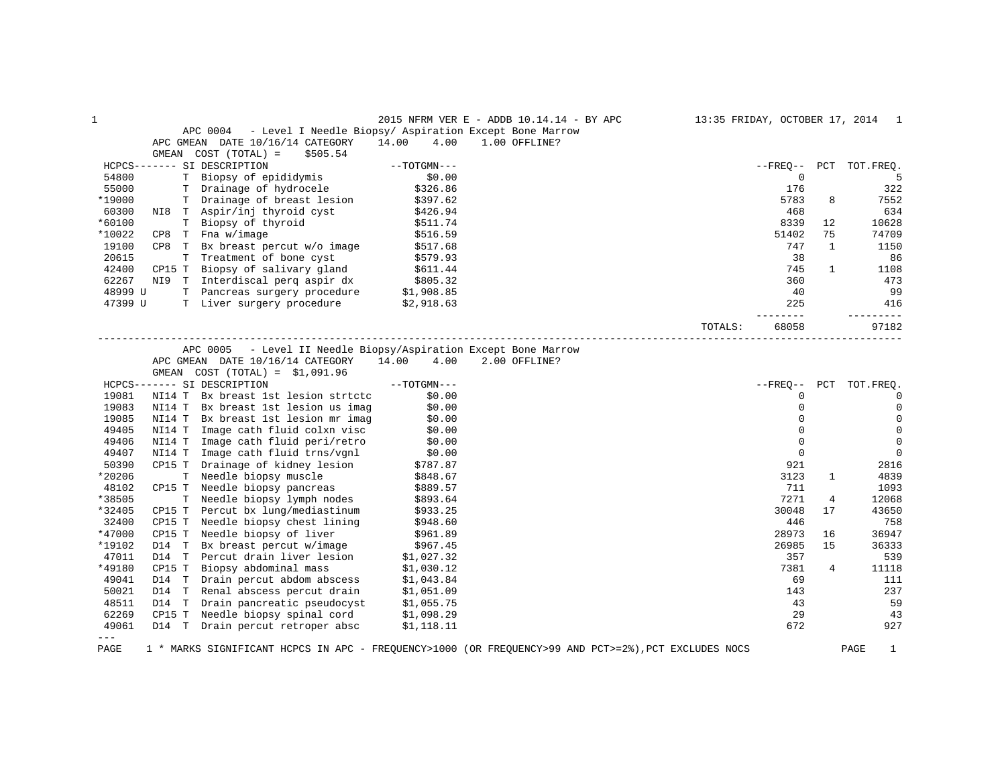|         |        |                                                                    |               | 2015 NFRM VER E - ADDB 10.14.14 - BY APC |         |                |              | 13:35 FRIDAY, OCTOBER 17, 2014 1 |
|---------|--------|--------------------------------------------------------------------|---------------|------------------------------------------|---------|----------------|--------------|----------------------------------|
|         |        | - Level I Needle Biopsy/ Aspiration Except Bone Marrow<br>APC 0004 |               |                                          |         |                |              |                                  |
|         |        | APC GMEAN DATE 10/16/14 CATEGORY                                   | 14.00<br>4.00 | 1.00 OFFLINE?                            |         |                |              |                                  |
|         | GMEAN  | COST (TOTAL) =<br>\$505.54                                         |               |                                          |         |                |              |                                  |
|         |        | HCPCS------- SI DESCRIPTION                                        | $--TOTGMN---$ |                                          |         | $- FREO--$     | PCT          | TOT.FREO.                        |
| 54800   |        | T Biopsy of epididymis                                             | \$0.00        |                                          |         | $\mathbf 0$    |              | 5                                |
| 55000   |        | T Drainage of hydrocele                                            | \$326.86      |                                          |         | 176            |              | 322                              |
| *19000  |        | T Drainage of breast lesion                                        | \$397.62      |                                          |         | 5783           | 8            | 7552                             |
| 60300   |        | NI8 T Aspir/inj thyroid cyst                                       | \$426.94      |                                          |         | 468            |              | 634                              |
| *60100  |        | T Biopsy of thyroid                                                | \$511.74      |                                          |         | 8339           | 12           | 10628                            |
| *10022  |        | $CP8$ T Fna $w/image$                                              | \$516.59      |                                          |         | 51402          | 75           | 74709                            |
| 19100   |        | CP8 T Bx breast percut w/o image                                   | \$517.68      |                                          |         | 747            | 1            | 1150                             |
| 20615   |        | T Treatment of bone cyst                                           | \$579.93      |                                          |         | 38             |              | 86                               |
| 42400   |        | CP15 T Biopsy of salivary gland                                    | \$611.44      |                                          |         | 745            | $\mathbf{1}$ | 1108                             |
| 62267   |        | NI9 T Interdiscal perq aspir dx                                    | \$805.32      |                                          |         | 360            |              | 473                              |
| 48999 U |        | T Pancreas surgery procedure \$1,908.85                            |               |                                          |         | 40             |              | 99                               |
| 47399 U |        | T Liver surgery procedure                                          | \$2,918.63    |                                          |         | 225            |              | 416                              |
|         |        |                                                                    |               |                                          |         | ------         |              | -------                          |
|         |        |                                                                    |               |                                          | TOTALS: | 68058          |              | 97182                            |
|         |        |                                                                    |               |                                          |         |                |              |                                  |
|         |        | APC 0005 - Level II Needle Biopsy/Aspiration Except Bone Marrow    |               |                                          |         |                |              |                                  |
|         |        | APC GMEAN DATE 10/16/14 CATEGORY                                   | 14.00 4.00    | 2.00 OFFLINE?                            |         |                |              |                                  |
|         |        | GMEAN COST $(TOTAL) = $1,091.96$                                   |               |                                          |         |                |              |                                  |
|         |        | HCPCS------- SI DESCRIPTION                                        | $--TOTGMN---$ |                                          |         | $--$ FREO $--$ | PCT          | TOT.FREQ.                        |
| 19081   |        | NI14 T Bx breast 1st lesion strtctc                                | \$0.00        |                                          |         | $\mathbf 0$    |              | 0                                |
| 19083   |        | NI14 T Bx breast 1st lesion us imag                                | \$0.00        |                                          |         | $\Omega$       |              | $\mathbf 0$                      |
| 19085   |        | NI14 T Bx breast 1st lesion mr imag                                | \$0.00        |                                          |         | $\mathbf 0$    |              | 0                                |
| 49405   |        | NI14 T Image cath fluid colxn visc                                 | \$0.00        |                                          |         | $\mathbf 0$    |              | $\mathbf 0$                      |
| 49406   | NI14 T | Image cath fluid peri/retro                                        | \$0.00        |                                          |         | $\mathbf 0$    |              | $\mathbf 0$                      |
| 49407   |        | NI14 T Image cath fluid trns/vgnl                                  | \$0.00        |                                          |         | $\mathbf 0$    |              | $\mathbf 0$                      |
| 50390   |        | CP15 T Drainage of kidney lesion                                   | \$787.87      |                                          |         | 921            |              | 2816                             |
| *20206  |        | T Needle biopsy muscle                                             | \$848.67      |                                          |         | 3123           | $\mathbf{1}$ | 4839                             |
| 48102   |        | CP15 T Needle biopsy pancreas                                      | \$889.57      |                                          |         | 711            |              | 1093                             |
| *38505  |        | T Needle biopsy lymph nodes                                        | \$893.64      |                                          |         | 7271           | 4            | 12068                            |
| *32405  | CP15 T | Percut bx lung/mediastinum                                         | \$933.25      |                                          |         | 30048          | 17           | 43650                            |
| 32400   |        | CP15 T Needle biopsy chest lining                                  | \$948.60      |                                          |         | 446            |              | 758                              |
| *47000  | CP15 T | Needle biopsy of liver                                             | \$961.89      |                                          |         | 28973          | 16           | 36947                            |
| *19102  | D14 T  | Bx breast percut w/image                                           | \$967.45      |                                          |         | 26985          | 15           | 36333                            |
| 47011   |        | D14 T Percut drain liver lesion                                    | \$1,027.32    |                                          |         | 357            |              | 539                              |
| *49180  | CP15 T | Biopsy abdominal mass                                              | \$1,030.12    |                                          |         | 7381           | 4            | 11118                            |
| 49041   | D14 T  | Drain percut abdom abscess                                         | \$1,043.84    |                                          |         | 69             |              | 111                              |
| 50021   | D14 T  | Renal abscess percut drain                                         | \$1,051.09    |                                          |         | 143            |              | 237                              |
| 48511   |        | D14 T Drain pancreatic pseudocyst                                  | \$1,055.75    |                                          |         | 43             |              | 59                               |
| 62269   |        | CP15 T Needle biopsy spinal cord                                   | \$1,098.29    |                                          |         | 29             |              | 43                               |
| 49061   |        | D14 T Drain percut retroper absc                                   | \$1,118.11    |                                          |         | 672            |              | 927                              |
| $---$   |        |                                                                    |               |                                          |         |                |              |                                  |
|         |        |                                                                    |               |                                          |         |                |              |                                  |

PAGE 1 \* MARKS SIGNIFICANT HCPCS IN APC - FREQUENCY>1000 (OR FREQUENCY>99 AND PCT>=2%),PCT EXCLUDES NOCS PAGE 1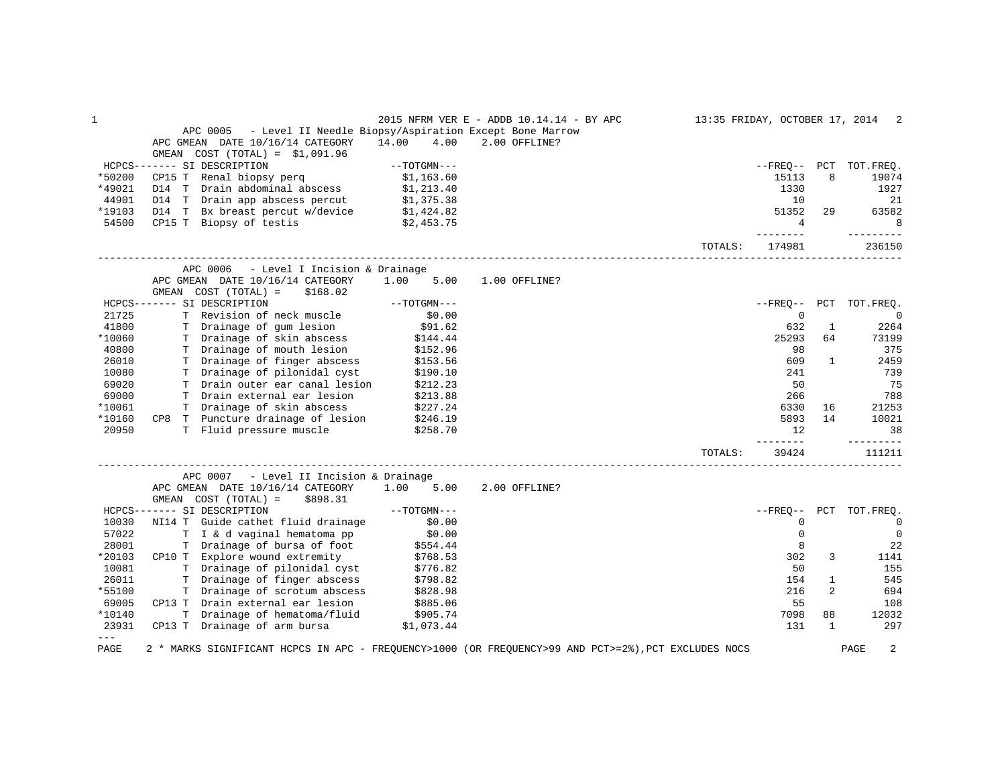| 1                            |                                                                    |               | 2015 NFRM VER E - ADDB 10.14.14 - BY APC                                                             |         |                          |              | 13:35 FRIDAY, OCTOBER 17, 2014 2 |
|------------------------------|--------------------------------------------------------------------|---------------|------------------------------------------------------------------------------------------------------|---------|--------------------------|--------------|----------------------------------|
|                              | - Level II Needle Biopsy/Aspiration Except Bone Marrow<br>APC 0005 |               |                                                                                                      |         |                          |              |                                  |
|                              | APC GMEAN DATE 10/16/14 CATEGORY                                   | 14.00<br>4.00 | 2.00 OFFLINE?                                                                                        |         |                          |              |                                  |
|                              | GMEAN $COST (TOTAL) = $1,091.96$                                   |               |                                                                                                      |         |                          |              |                                  |
|                              | HCPCS------- SI DESCRIPTION                                        | --TOTGMN---   |                                                                                                      |         |                          |              | --FREQ-- PCT TOT.FREQ.           |
| *50200                       | CP15 T Renal biopsy perg                                           | \$1,163.60    |                                                                                                      |         | 15113                    | 8            | 19074                            |
| *49021                       | D14 T Drain abdominal abscess                                      | \$1,213.40    |                                                                                                      |         | 1330                     |              | 1927                             |
| 44901                        | D14 T Drain app abscess percut \$1,375.38                          |               |                                                                                                      |         | 10                       |              | 21                               |
| *19103                       | D14 T Bx breast percut w/device \$1,424.82                         |               |                                                                                                      |         | 51352                    | 29           | 63582                            |
| 54500                        | CP15 T Biopsy of testis                                            | \$2,453.75    |                                                                                                      |         | $\overline{4}$<br>------ |              | 8<br>----------                  |
|                              |                                                                    |               |                                                                                                      | TOTALS: | 174981                   |              | 236150                           |
|                              | APC 0006 - Level I Incision & Drainage                             |               |                                                                                                      |         |                          |              |                                  |
|                              | APC GMEAN DATE 10/16/14 CATEGORY                                   | 1.00 5.00     | 1.00 OFFLINE?                                                                                        |         |                          |              |                                  |
|                              | GMEAN COST (TOTAL) =<br>\$168.02                                   |               |                                                                                                      |         |                          |              |                                  |
|                              | HCPCS------- SI DESCRIPTION                                        | $--TOTGMN---$ |                                                                                                      |         |                          |              | --FREQ-- PCT TOT.FREQ.           |
| 21725                        | T Revision of neck muscle                                          | \$0.00        |                                                                                                      |         | 0                        |              | $\overline{0}$                   |
| 41800                        | T Drainage of gum lesion                                           | \$91.62       |                                                                                                      |         | 632                      | $\mathbf{1}$ | 2264                             |
| *10060                       | T Drainage of skin abscess                                         | \$144.44      |                                                                                                      |         | 25293                    | 64           | 73199                            |
| 40800                        | T Drainage of mouth lesion                                         | \$152.96      |                                                                                                      |         | 98                       |              | 375                              |
| 26010                        | T Drainage of finger abscess                                       | \$153.56      |                                                                                                      |         | 609                      | 1            | 2459                             |
| 10080                        | T Drainage of pilonidal cyst<br>T Drain outer ear canal lesion     | \$190.10      |                                                                                                      |         | 241                      |              | 739                              |
| 69020                        |                                                                    | \$212.23      |                                                                                                      |         | 50                       |              | 75                               |
| 69000                        | T Drain external ear lesion                                        | \$213.88      |                                                                                                      |         | 266                      |              | 788                              |
| *10061                       | T Drainage of skin abscess                                         | \$227.24      |                                                                                                      |         | 6330                     | 16           | 21253                            |
| *10160                       | CP8 T Puncture drainage of lesion \$246.19                         |               |                                                                                                      |         | 5893                     | 14           | 10021                            |
| 20950                        | T Fluid pressure muscle                                            | \$258.70      |                                                                                                      |         | 12.<br>--------          |              | 38<br>---------                  |
|                              |                                                                    |               |                                                                                                      | TOTALS: | 39424                    |              | 111211                           |
|                              | APC 0007<br>- Level II Incision & Drainage                         |               |                                                                                                      |         |                          |              |                                  |
|                              | APC GMEAN DATE 10/16/14 CATEGORY 1.00 5.00                         |               | 2.00 OFFLINE?                                                                                        |         |                          |              |                                  |
|                              | GMEAN COST (TOTAL) =<br>\$898.31                                   |               |                                                                                                      |         |                          |              |                                  |
|                              | HCPCS------- SI DESCRIPTION                                        | $--TOTGMN---$ |                                                                                                      |         |                          |              | --FREO-- PCT TOT.FREQ.           |
| 10030                        | NI14 T Guide cathet fluid drainage                                 | \$0.00        |                                                                                                      |         | 0                        |              | $\overline{0}$                   |
| 57022                        | T I & d vaginal hematoma pp                                        | \$0.00        |                                                                                                      |         | $\mathbf 0$              |              | $\overline{0}$                   |
| 28001                        | T Drainage of bursa of foot                                        | \$554.44      |                                                                                                      |         | 8                        |              | 22                               |
| *20103                       | CP10 T Explore wound extremity                                     | \$768.53      |                                                                                                      |         | 302                      | 3            | 1141                             |
| 10081                        | T Drainage of pilonidal cyst                                       | \$776.82      |                                                                                                      |         | 50                       |              | 155                              |
| 26011                        | T Drainage of finger abscess                                       | \$798.82      |                                                                                                      |         | 154                      | $\mathbf{1}$ | 545                              |
| *55100                       | T Drainage of scrotum abscess                                      | \$828.98      |                                                                                                      |         | 216                      | 2            | 694                              |
| 69005                        | CP13 T Drain external ear lesion                                   | \$885.06      |                                                                                                      |         | 55                       |              | 108                              |
| *10140                       | T Drainage of hematoma/fluid                                       | \$905.74      |                                                                                                      |         | 7098                     | 88           | 12032                            |
| 23931<br>$\qquad \qquad - -$ | CP13 T Drainage of arm bursa $$1,073.44$                           |               |                                                                                                      |         | 131                      | 1            | 297                              |
| PAGE                         |                                                                    |               | 2 * MARKS SIGNIFICANT HCPCS IN APC - FREQUENCY>1000 (OR FREQUENCY>99 AND PCT>=2%), PCT EXCLUDES NOCS |         |                          |              | 2<br>PAGE                        |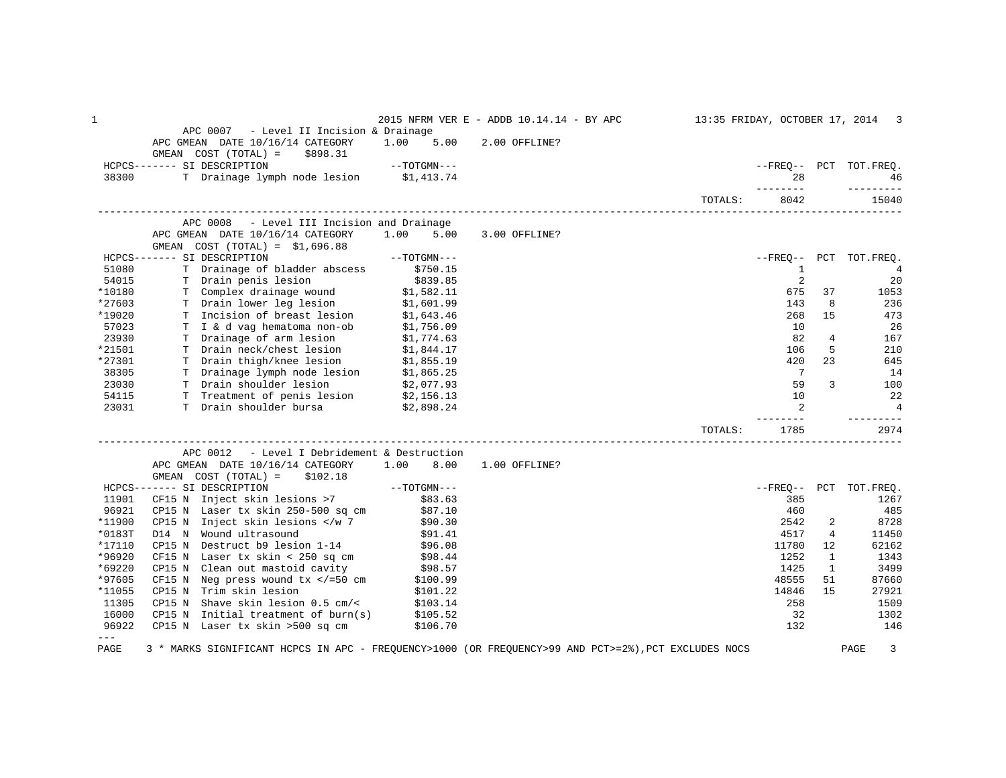| 1                           |                                                                                                                                                               |                                              | 2015 NFRM VER E - ADDB 10.14.14 - BY APC |         |                   |                | 13:35 FRIDAY, OCTOBER 17, 2014 3 |
|-----------------------------|---------------------------------------------------------------------------------------------------------------------------------------------------------------|----------------------------------------------|------------------------------------------|---------|-------------------|----------------|----------------------------------|
|                             | APC 0007 - Level II Incision & Drainage<br>APC GMEAN DATE 10/16/14 CATEGORY 1.00 5.00<br>GMEAN COST (TOTAL) =<br>\$898.31                                     |                                              | 2.00 OFFLINE?                            |         |                   |                |                                  |
|                             | HCPCS------- SI DESCRIPTION                                                                                                                                   | $--TOTGMN---$                                |                                          |         |                   |                | --FREO-- PCT TOT.FREQ.           |
| 38300                       | T Drainage lymph node lesion \$1,413.74                                                                                                                       |                                              |                                          |         | 2.8               |                | 46                               |
|                             |                                                                                                                                                               |                                              |                                          | TOTALS: | ---------<br>8042 |                | ----------<br>15040              |
|                             | APC 0008<br>- Level III Incision and Drainage                                                                                                                 |                                              |                                          |         |                   |                |                                  |
|                             | APC GMEAN DATE 10/16/14 CATEGORY<br>GMEAN $COST (TOTAL) = $1,696.88$                                                                                          | 1.00 5.00                                    | 3.00 OFFLINE?                            |         |                   |                |                                  |
|                             | HCPCS------- SI DESCRIPTION                                                                                                                                   | $--\textcolor{red}{\textbf{TOTG}MN---}$      |                                          |         |                   |                | --FREQ-- PCT TOT.FREQ.           |
| 51080                       | T Drainage of bladder abscess \$750.15                                                                                                                        |                                              |                                          |         | $\mathbf{1}$      |                | $\overline{4}$                   |
| 54015                       | T Drain penis lesion                                                                                                                                          |                                              |                                          |         | 2                 |                | 20                               |
| *10180                      |                                                                                                                                                               | \$839.85<br>und \$1,582.11<br>ion \$1,601.99 |                                          |         | 675               | 37             | 1053                             |
| *27603                      | T Complex drainage wound<br>T Drain lower leg lesion                                                                                                          |                                              |                                          |         | 143               | 8              | 236                              |
| *19020                      |                                                                                                                                                               |                                              |                                          |         | 268               | 15             | 473                              |
| 57023                       |                                                                                                                                                               |                                              |                                          |         | 10                |                | 26                               |
| 23930                       | T Incision of breast lesion \$1,643.46<br>T I & d vag hematoma non-ob \$1,756.09<br>T Drainage of arm lesion \$1,774.63                                       |                                              |                                          |         | 82                | 4              | 167                              |
| *21501                      | T Drain neck/chest lesion \$1,844.17<br>T Drain thigh/knee lesion \$1,855.19<br>T Drainage lymph node lesion \$1,855.25<br>T Drain shoulder lesion \$2,077.93 |                                              |                                          |         | 106               | 5              | 210                              |
| *27301                      |                                                                                                                                                               |                                              |                                          |         | 420               | 23             | 645                              |
| 38305                       |                                                                                                                                                               |                                              |                                          |         | $\overline{7}$    |                | 14                               |
| 23030                       |                                                                                                                                                               |                                              |                                          |         | 59                | 3              | 100                              |
| 54115                       | T Treatment of penis lesion \$2,156.13                                                                                                                        |                                              |                                          |         | 10                |                | 22                               |
| 23031                       | T Drain shoulder bursa<br>\$2,898.24                                                                                                                          |                                              |                                          |         | 2                 |                | $\overline{4}$                   |
|                             |                                                                                                                                                               |                                              |                                          | TOTALS: | 1785              |                | ---------<br>2974                |
|                             | - Level I Debridement & Destruction<br>APC 0012                                                                                                               |                                              |                                          |         |                   |                |                                  |
|                             | APC GMEAN DATE 10/16/14 CATEGORY 1.00 8.00 1.00 OFFLINE?<br>GMEAN $COST (TOTAL) = $102.18$                                                                    |                                              |                                          |         |                   |                |                                  |
|                             | GNEAN COST (TOTAL) - \$102.16<br>----- SI DESCRIPTION --TOTGMN---<br>CF15 N Inject skin lesions >7 \$83.63<br>HCPCS------- SI DESCRIPTION                     |                                              |                                          |         |                   |                | --FREQ-- PCT TOT.FREQ.           |
| 11901                       |                                                                                                                                                               |                                              |                                          |         | 385               |                | 1267                             |
| 96921                       | CP15 N Laser tx skin 250-500 sq cm<br>CP15 N Inject skin lesions  D14 N Wound ultrasound<br>CP15 N Destruct b9 lesion 1-14 \$96.08                            |                                              |                                          |         | 460               |                | 485                              |
| *11900                      |                                                                                                                                                               |                                              |                                          |         | 2542              | 2              | 8728                             |
| *0183T                      |                                                                                                                                                               |                                              |                                          |         | 4517              | $\overline{4}$ | 11450                            |
| *17110                      |                                                                                                                                                               |                                              |                                          |         | 11780             | 12             | 62162                            |
| *96920                      | CF15 N Laser $tx$ skin < 250 sq $cm$ $$98.44$                                                                                                                 |                                              |                                          |         | 1252              | 1              | 1343                             |
| *69220                      |                                                                                                                                                               |                                              |                                          |         | 1425              | 1              | 3499                             |
| *97605                      | CP15 N Clean out mastoid cavity $$98.57$<br>CF15 N Neg press wound tx =50 cm <math \$100.99                                                                   |                                              |                                          |         | 48555             | 51             | 87660                            |
| *11055                      | CP15 N Trim skin lesion                                                                                                                                       | \$101.22                                     |                                          |         | 14846             | 15             | 27921                            |
| 11305                       | Shave skin lesion 0.5 cm/<<br>CP15 N                                                                                                                          | \$103.14                                     |                                          |         | 258               |                | 1509                             |
| 16000                       | CP15 N Initial treatment of burn(s) $$105.52$                                                                                                                 |                                              |                                          |         | 32                |                | 1302                             |
| 96922                       | CP15 N Laser tx skin >500 sq cm                                                                                                                               | \$106.70                                     |                                          |         | 132               |                | 146                              |
| $\qquad \qquad - -$<br>PAGE | 3 * MARKS SIGNIFICANT HCPCS IN APC - FREQUENCY>1000 (OR FREQUENCY>99 AND PCT>=2%), PCT EXCLUDES NOCS                                                          |                                              |                                          |         |                   |                | $\mathbf{3}$<br>PAGE             |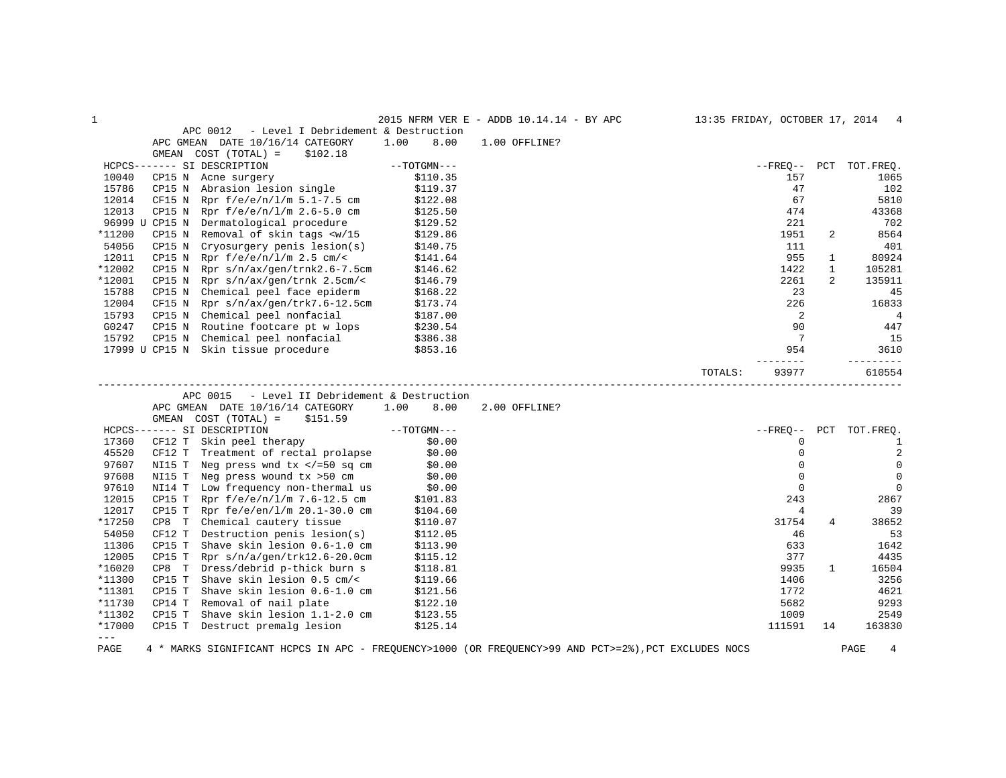| $\mathbf{1}$  |                |                                                                                                                                                                               |      |               | 2015 NFRM VER E - ADDB 10.14.14 - BY APC | 13:35 FRIDAY, OCTOBER 17, 2014 4 |                 |                |                |
|---------------|----------------|-------------------------------------------------------------------------------------------------------------------------------------------------------------------------------|------|---------------|------------------------------------------|----------------------------------|-----------------|----------------|----------------|
|               |                | APC 0012<br>- Level I Debridement & Destruction                                                                                                                               |      |               |                                          |                                  |                 |                |                |
|               |                | APC GMEAN DATE 10/16/14 CATEGORY                                                                                                                                              | 1.00 | 8.00          | 1.00 OFFLINE?                            |                                  |                 |                |                |
|               | GMEAN          | COST (TOTAL) =<br>\$102.18                                                                                                                                                    |      |               |                                          |                                  |                 |                |                |
|               |                | HCPCS------- SI DESCRIPTION                                                                                                                                                   |      | $--TOTGMN---$ |                                          |                                  | $--$ FREQ-- PCT |                | TOT.FREQ.      |
| 10040         | CP15 N         | Acne surgery                                                                                                                                                                  |      | \$110.35      |                                          |                                  | 157             |                | 1065           |
| 15786         | CP15 N         | Abrasion lesion single                                                                                                                                                        |      | \$119.37      |                                          |                                  | 47              |                | 102            |
| 12014         | CF15 N         | Rpr f/e/e/n/l/m 5.1-7.5 cm                                                                                                                                                    |      | \$122.08      |                                          |                                  | 67              |                | 5810           |
| 12013         | CP15 N         | Rpr $f/e/e/n/l/m$ 2.6-5.0 cm                                                                                                                                                  |      | \$125.50      |                                          |                                  | 474             |                | 43368          |
|               | 96999 U CP15 N | Dermatological procedure                                                                                                                                                      |      | \$129.52      |                                          |                                  | 221             |                | 702            |
| *11200        | CP15 N         | Removal of skin tags <w 15<="" td=""><td></td><td>\$129.86</td><td></td><td></td><td>1951</td><td>2</td><td>8564</td></w>                                                     |      | \$129.86      |                                          |                                  | 1951            | 2              | 8564           |
| 54056         | CP15 N         | Cryosurgery penis lesion(s)                                                                                                                                                   |      | \$140.75      |                                          |                                  | 111             |                | 401            |
| 12011         | CP15 N         | Rpr $f/e/e/n/l/m$ 2.5 cm/<                                                                                                                                                    |      | \$141.64      |                                          |                                  | 955             | $\mathbf{1}$   | 80924          |
| *12002        | CP15 N         | Rpr s/n/ax/gen/trnk2.6-7.5cm                                                                                                                                                  |      | \$146.62      |                                          |                                  | 1422            | $\mathbf{1}$   | 105281         |
| *12001        | CP15 N         | Rpr $s/n/ax/gen/trnk$ 2.5cm/<                                                                                                                                                 |      | \$146.79      |                                          |                                  | 2261            | $\overline{2}$ | 135911         |
| 15788         | CP15 N         | Chemical peel face epiderm                                                                                                                                                    |      | \$168.22      |                                          |                                  | 23              |                | 45             |
| 12004         | CF15 N         | Rpr s/n/ax/gen/trk7.6-12.5cm                                                                                                                                                  |      | \$173.74      |                                          |                                  | 226             |                | 16833          |
| 15793         |                | CP15 N Chemical peel nonfacial                                                                                                                                                |      | \$187.00      |                                          |                                  | 2               |                | $\overline{4}$ |
| G0247         | CP15 N         | Routine footcare pt w lops                                                                                                                                                    |      | \$230.54      |                                          |                                  | 90              |                | 447            |
| 15792         | CP15 N         | Chemical peel nonfacial                                                                                                                                                       |      | \$386.38      |                                          |                                  | 7               |                | 15             |
|               |                | 17999 U CP15 N Skin tissue procedure                                                                                                                                          |      | \$853.16      |                                          |                                  | 954             |                | 3610           |
|               |                |                                                                                                                                                                               |      |               |                                          |                                  |                 |                | $- - - - -$    |
|               |                |                                                                                                                                                                               |      |               |                                          | TOTALS:                          | 93977           |                | 610554         |
|               |                | APC 0015<br>- Level II Debridement & Destruction                                                                                                                              |      |               |                                          |                                  |                 |                |                |
|               |                | APC GMEAN DATE 10/16/14 CATEGORY                                                                                                                                              | 1.00 | 8.00          | 2.00 OFFLINE?                            |                                  |                 |                |                |
|               |                | GMEAN COST (TOTAL) =<br>\$151.59                                                                                                                                              |      |               |                                          |                                  |                 |                |                |
|               |                | HCPCS------- SI DESCRIPTION                                                                                                                                                   |      | $--TOTGMN---$ |                                          |                                  | $- FREO--$      | PCT            | TOT.FREQ.      |
| 17360         |                | CF12 T Skin peel therapy                                                                                                                                                      |      | \$0.00        |                                          |                                  | 0               |                | 1              |
| 45520         | CF12 T         | Treatment of rectal prolapse                                                                                                                                                  |      | \$0.00        |                                          |                                  | $\mathbf{0}$    |                | $\sqrt{2}$     |
| 97607         |                | NI15 T Neg press wnd $tx$ =50 sq cm</td <td></td> <td>\$0.00</td> <td></td> <td></td> <td><math>\Omega</math></td> <td></td> <td><math display="inline">\mathsf 0</math></td> |      | \$0.00        |                                          |                                  | $\Omega$        |                | $\mathsf 0$    |
| 97608         | NI15 T         | Neg press wound tx >50 cm                                                                                                                                                     |      | \$0.00        |                                          |                                  | $\mathbf 0$     |                | $\mathbf 0$    |
| 97610         |                | NI14 T Low frequency non-thermal us                                                                                                                                           |      | \$0.00        |                                          |                                  | $\mathbf 0$     |                | $\mathbf 0$    |
| 12015         | CP15 T         | Rpr $f/e/e/n/l/m$ 7.6-12.5 cm                                                                                                                                                 |      | \$101.83      |                                          |                                  | 243             |                | 2867           |
| 12017         | CP15 T         | Rpr $fe/e/en/l/m 20.1-30.0 cm$                                                                                                                                                |      | \$104.60      |                                          |                                  | $\overline{4}$  |                | 39             |
| *17250        | CP8 T          | Chemical cautery tissue                                                                                                                                                       |      | \$110.07      |                                          |                                  | 31754           | 4              | 38652          |
| 54050         | CF12 T         | Destruction penis lesion(s)                                                                                                                                                   |      | \$112.05      |                                          |                                  | 46              |                | 53             |
| 11306         | CP15 T         | Shave skin lesion 0.6-1.0 cm                                                                                                                                                  |      | \$113.90      |                                          |                                  | 633             |                | 1642           |
| 12005         | CP15 T         | Rpr $s/n/a/gen/trk12.6-20.0cm$                                                                                                                                                |      | \$115.12      |                                          |                                  | 377             |                | 4435           |
| *16020        | CP8 T          | Dress/debrid p-thick burn s                                                                                                                                                   |      | \$118.81      |                                          |                                  | 9935            | $\mathbf{1}$   | 16504          |
| *11300        | CP15 T         | Shave skin lesion $0.5$ cm/<                                                                                                                                                  |      | \$119.66      |                                          |                                  | 1406            |                | 3256           |
| *11301        | CP15 T         | Shave skin lesion 0.6-1.0 cm                                                                                                                                                  |      | \$121.56      |                                          |                                  | 1772            |                | 4621           |
| *11730        | CP14 T         | Removal of nail plate                                                                                                                                                         |      | \$122.10      |                                          |                                  | 5682            |                | 9293           |
| *11302        | CP15 T         | Shave skin lesion 1.1-2.0 cm                                                                                                                                                  |      |               |                                          |                                  | 1009            |                | 2549           |
|               |                |                                                                                                                                                                               |      |               |                                          |                                  |                 |                |                |
| *17000        | CP15 T         |                                                                                                                                                                               |      | \$123.55      |                                          |                                  | 111591          | 14             | 163830         |
| $\frac{1}{2}$ |                | Destruct premalg lesion                                                                                                                                                       |      | \$125.14      |                                          |                                  |                 |                |                |

PAGE 4 \* MARKS SIGNIFICANT HCPCS IN APC - FREQUENCY>1000 (OR FREQUENCY>99 AND PCT>=2%),PCT EXCLUDES NOCS PAGE 4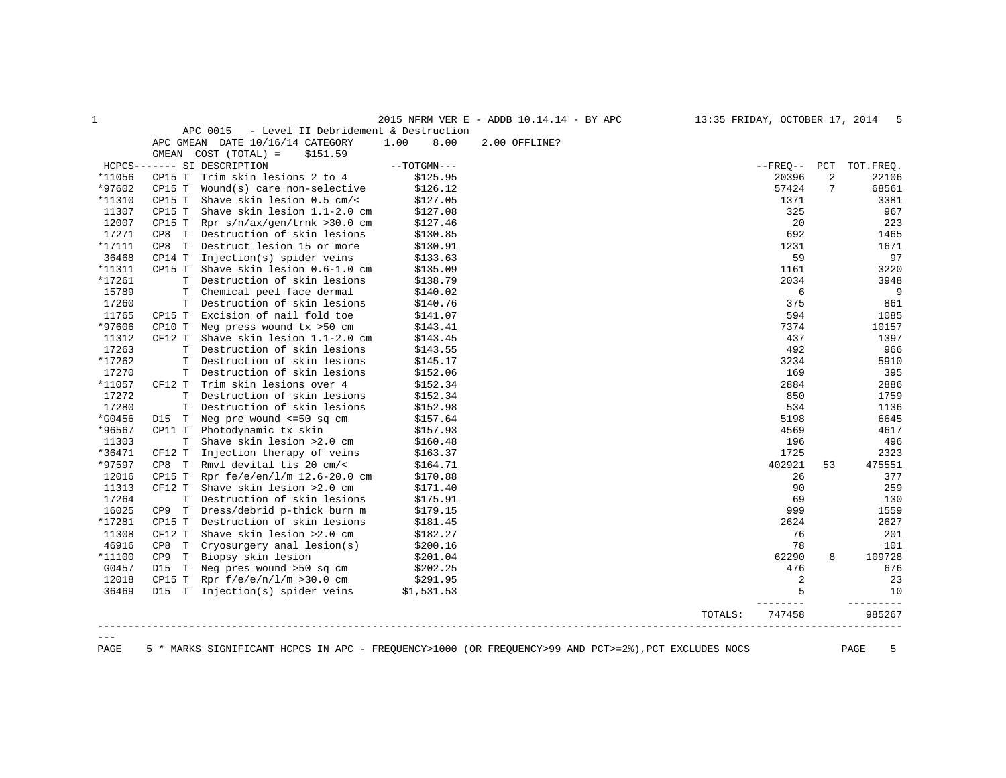| -1      |             |                                                  |      |               | 2015 NFRM VER E - ADDB 10.14.14 - BY APC | 13:35 FRIDAY, OCTOBER 17, 2014 |            |     | - 5       |
|---------|-------------|--------------------------------------------------|------|---------------|------------------------------------------|--------------------------------|------------|-----|-----------|
|         |             | APC 0015<br>- Level II Debridement & Destruction |      |               |                                          |                                |            |     |           |
|         |             | APC GMEAN DATE 10/16/14 CATEGORY                 | 1.00 | 8.00          | 2.00 OFFLINE?                            |                                |            |     |           |
|         |             | GMEAN COST (TOTAL) =<br>\$151.59                 |      |               |                                          |                                |            |     |           |
|         |             | HCPCS------- SI DESCRIPTION                      |      | $--TOTGMN---$ |                                          |                                | $- FREO--$ | PCT | TOT.FREO. |
| *11056  | CP15 T      | Trim skin lesions 2 to 4                         |      | \$125.95      |                                          |                                | 20396      | 2   | 22106     |
| *97602  | CP15 T      | $Wound(s)$ care non-selective                    |      | \$126.12      |                                          |                                | 57424      | 7   | 68561     |
| *11310  | CP15 T      | Shave skin lesion $0.5$ cm/<                     |      | \$127.05      |                                          |                                | 1371       |     | 3381      |
| 11307   | CP15 T      | Shave skin lesion 1.1-2.0 cm                     |      | \$127.08      |                                          |                                | 325        |     | 967       |
| 12007   | CP15 T      | Rpr s/n/ax/gen/trnk >30.0 cm                     |      | \$127.46      |                                          |                                | 20         |     | 223       |
| 17271   | CP8 T       | Destruction of skin lesions                      |      | \$130.85      |                                          |                                | 692        |     | 1465      |
| *17111  | CP8 T       | Destruct lesion 15 or more                       |      | \$130.91      |                                          |                                | 1231       |     | 1671      |
| 36468   | CP14 T      | Injection(s) spider veins                        |      | \$133.63      |                                          |                                | 59         |     | 97        |
| *11311  | CP15 T      | Shave skin lesion 0.6-1.0 cm                     |      | \$135.09      |                                          |                                | 1161       |     | 3220      |
| *17261  | $\mathbf T$ | Destruction of skin lesions                      |      | \$138.79      |                                          |                                | 2034       |     | 3948      |
| 15789   | $\mathbf T$ | Chemical peel face dermal                        |      | \$140.02      |                                          |                                | 6          |     | 9         |
| 17260   | T           | Destruction of skin lesions                      |      | \$140.76      |                                          |                                | 375        |     | 861       |
| 11765   | CP15 T      | Excision of nail fold toe                        |      | \$141.07      |                                          |                                | 594        |     | 1085      |
| *97606  | CP10 T      | Neg press wound tx >50 cm                        |      | \$143.41      |                                          |                                | 7374       |     | 10157     |
| 11312   | CF12 T      | Shave skin lesion 1.1-2.0 cm                     |      | \$143.45      |                                          |                                | 437        |     | 1397      |
| 17263   | $\mathbf T$ | Destruction of skin lesions                      |      | \$143.55      |                                          |                                | 492        |     | 966       |
| *17262  | $\mathbf T$ | Destruction of skin lesions                      |      | \$145.17      |                                          |                                | 3234       |     | 5910      |
| 17270   | T           | Destruction of skin lesions                      |      | \$152.06      |                                          |                                | 169        |     | 395       |
| *11057  | CF12 T      | Trim skin lesions over 4                         |      | \$152.34      |                                          |                                | 2884       |     | 2886      |
| 17272   | T           | Destruction of skin lesions                      |      | \$152.34      |                                          |                                | 850        |     | 1759      |
| 17280   | T           | Destruction of skin lesions                      |      | \$152.98      |                                          |                                | 534        |     | 1136      |
| *G0456  | D15 T       | Neg pre wound <= 50 sq cm                        |      | \$157.64      |                                          |                                | 5198       |     | 6645      |
| *96567  | CP11 T      | Photodynamic tx skin                             |      | \$157.93      |                                          |                                | 4569       |     | 4617      |
| 11303   | T           | Shave skin lesion >2.0 cm                        |      | \$160.48      |                                          |                                | 196        |     | 496       |
| *36471  | CF12 T      | Injection therapy of veins                       |      | \$163.37      |                                          |                                | 1725       |     | 2323      |
| *97597  | CP8 T       | Rmyl devital tis 20 cm/<                         |      | \$164.71      |                                          |                                | 402921     | 53  | 475551    |
| 12016   | CP15 T      | Rpr fe/e/en/1/m 12.6-20.0 cm                     |      | \$170.88      |                                          |                                | 26         |     | 377       |
| 11313   | CF12 T      | Shave skin lesion >2.0 cm                        |      | \$171.40      |                                          |                                | 90         |     | 259       |
| 17264   | $\mathbf T$ | Destruction of skin lesions                      |      | \$175.91      |                                          |                                | 69         |     | 130       |
| 16025   | CP9 T       | Dress/debrid p-thick burn m                      |      | \$179.15      |                                          |                                | 999        |     | 1559      |
| *17281  | CP15 T      | Destruction of skin lesions                      |      | \$181.45      |                                          |                                | 2624       |     | 2627      |
| 11308   | CF12 T      | Shave skin lesion >2.0 cm                        |      | \$182.27      |                                          |                                | 76         |     | 201       |
| 46916   | CP8 T       | Cryosurgery anal lesion(s)                       |      | \$200.16      |                                          |                                | 78         |     | 101       |
| *11100  | CP9 T       | Biopsy skin lesion                               |      | \$201.04      |                                          |                                | 62290      | 8   | 109728    |
| G0457   | D15 T       | Neg pres wound >50 sq cm                         |      | \$202.25      |                                          |                                | 476        |     | 676       |
| 12018   | CP15 T      | Rpr $f/e/e/n/l/m > 30.0 cm$                      |      | \$291.95      |                                          |                                | 2          |     | 23        |
| 36469   |             | D15 T Injection(s) spider veins                  |      | \$1,531.53    |                                          |                                | 5          |     | 10        |
|         |             |                                                  |      |               |                                          | TOTALS:                        | 747458     |     | 985267    |
| $- - -$ |             |                                                  |      |               |                                          |                                |            |     |           |

PAGE 5 \* MARKS SIGNIFICANT HCPCS IN APC - FREQUENCY>1000 (OR FREQUENCY>99 AND PCT>=2%),PCT EXCLUDES NOCS PAGE 5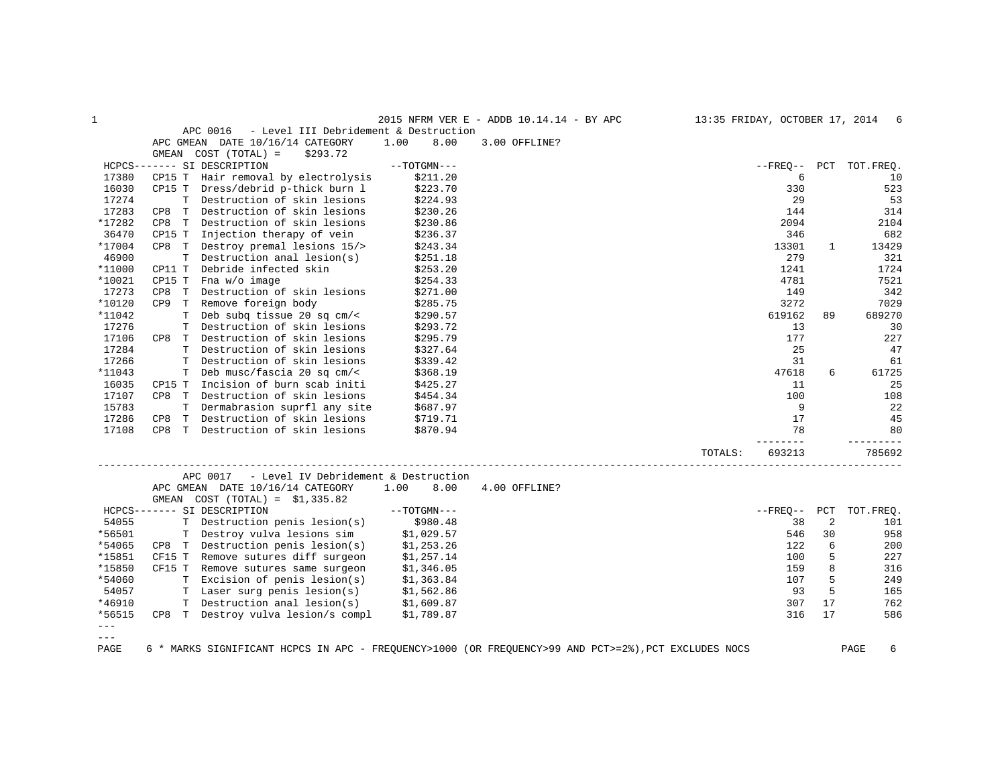| 1             |                                                   |               | 2015 NFRM VER E - ADDB 10.14.14 - BY APC |         |            |              | 13:35 FRIDAY, OCTOBER 17, 2014 6 |
|---------------|---------------------------------------------------|---------------|------------------------------------------|---------|------------|--------------|----------------------------------|
|               | APC 0016<br>- Level III Debridement & Destruction |               |                                          |         |            |              |                                  |
|               | APC GMEAN DATE 10/16/14 CATEGORY                  | 1.00<br>8.00  | 3.00 OFFLINE?                            |         |            |              |                                  |
|               | $COST (TOTAL) =$<br>\$293.72<br>GMEAN             |               |                                          |         |            |              |                                  |
|               | HCPCS------- SI DESCRIPTION                       | $--TOTGMN---$ |                                          |         |            |              | --FREQ-- PCT TOT.FREQ.           |
| 17380         | CP15 T<br>Hair removal by electrolysis            | \$211.20      |                                          |         | 6          |              | 10                               |
| 16030         | Dress/debrid p-thick burn l<br>CP15 T             | \$223.70      |                                          |         | 330        |              | 523                              |
| 17274         | T Destruction of skin lesions                     | \$224.93      |                                          |         | 29         |              | 53                               |
| 17283         | CP8 T<br>Destruction of skin lesions              | \$230.26      |                                          |         | 144        |              | 314                              |
| *17282        | Destruction of skin lesions<br>CP8<br>T           | \$230.86      |                                          |         | 2094       |              | 2104                             |
| 36470         | Injection therapy of vein<br>CP15 T               | \$236.37      |                                          |         | 346        |              | 682                              |
| *17004        | Destroy premal lesions 15/><br>CP8 T              | \$243.34      |                                          |         | 13301      | $\mathbf{1}$ | 13429                            |
| 46900         | Destruction anal lesion(s)<br>T                   | \$251.18      |                                          |         | 279        |              | 321                              |
| *11000        | CP11 T<br>Debride infected skin                   | \$253.20      |                                          |         | 1241       |              | 1724                             |
| *10021        | CP15 T<br>Fna w/o image                           | \$254.33      |                                          |         | 4781       |              | 7521                             |
| 17273         | Destruction of skin lesions<br>CP8<br>T           | \$271.00      |                                          |         | 149        |              | 342                              |
| *10120        | Remove foreign body<br>CP <sub>9</sub><br>T       | \$285.75      |                                          |         | 3272       |              | 7029                             |
| *11042        | T Deb subq tissue 20 sq cm/<                      | \$290.57      |                                          |         | 619162     | 89           | 689270                           |
| 17276         | T Destruction of skin lesions                     | \$293.72      |                                          |         | 13         |              | 30                               |
| 17106         | CP8 T Destruction of skin lesions                 | \$295.79      |                                          |         | 177        |              | 227                              |
| 17284         | T Destruction of skin lesions                     | \$327.64      |                                          |         | 25         |              | 47                               |
| 17266         | Destruction of skin lesions<br>$\mathbf T$        | \$339.42      |                                          |         | 31         |              | 61                               |
| *11043        | Deb musc/fascia 20 sq cm/<<br>T.                  | \$368.19      |                                          |         | 47618      | 6            | 61725                            |
| 16035         | Incision of burn scab initi<br>CP15 T             | \$425.27      |                                          |         | 11         |              | 25                               |
| 17107         | CP8 T Destruction of skin lesions                 | \$454.34      |                                          |         | 100        |              | 108                              |
| 15783         | T Dermabrasion suprfl any site                    | \$687.97      |                                          |         | 9          |              | 22                               |
| 17286         | T Destruction of skin lesions<br>CP8              | \$719.71      |                                          |         | 17         |              | 45                               |
| 17108         | T Destruction of skin lesions<br>CP8              | \$870.94      |                                          |         | 78         |              | 80                               |
|               |                                                   |               |                                          |         |            |              |                                  |
|               |                                                   |               | _________________________________        | TOTALS: | 693213     |              | 785692                           |
|               | - Level IV Debridement & Destruction<br>APC 0017  |               |                                          |         |            |              |                                  |
|               | APC GMEAN DATE 10/16/14 CATEGORY                  | 1.00<br>8.00  | 4.00 OFFLINE?                            |         |            |              |                                  |
|               | GMEAN COST $(TOTAL) = $1,335.82$                  |               |                                          |         |            |              |                                  |
|               | HCPCS------- SI DESCRIPTION                       | $--TOTGMN---$ |                                          |         | $- FREO--$ | PCT          | TOT.FREO.                        |
| 54055         | T Destruction penis lesion(s)                     | \$980.48      |                                          |         | 38         | 2            | 101                              |
| *56501        | T Destroy vulva lesions sim                       | \$1,029.57    |                                          |         | 546        | 30           | 958                              |
| *54065        | CP8 T Destruction penis lesion(s)                 | \$1,253.26    |                                          |         | 122        | 6            | 200                              |
| *15851        | CF15 T Remove sutures diff surgeon                | \$1,257.14    |                                          |         | 100        | 5            | 227                              |
| *15850        | CF15 T Remove sutures same surgeon                | \$1,346.05    |                                          |         | 159        | 8            | 316                              |
| *54060        | T Excision of penis lesion(s)                     | \$1,363.84    |                                          |         | 107        | 5            | 249                              |
| 54057         | T Laser surg penis lesion(s)                      | \$1,562.86    |                                          |         | 93         | 5            | 165                              |
| *46910        | T Destruction anal lesion(s)                      | \$1,609.87    |                                          |         | 307        | 17           | 762                              |
| *56515        | CP8 T Destroy vulva lesion/s compl                | \$1,789.87    |                                          |         | 316        | 17           | 586                              |
| $---$         |                                                   |               |                                          |         |            |              |                                  |
| $\frac{1}{2}$ |                                                   |               |                                          |         |            |              |                                  |

PAGE 6 \* MARKS SIGNIFICANT HCPCS IN APC - FREQUENCY>1000 (OR FREQUENCY>99 AND PCT>=2%),PCT EXCLUDES NOCS PAGE 6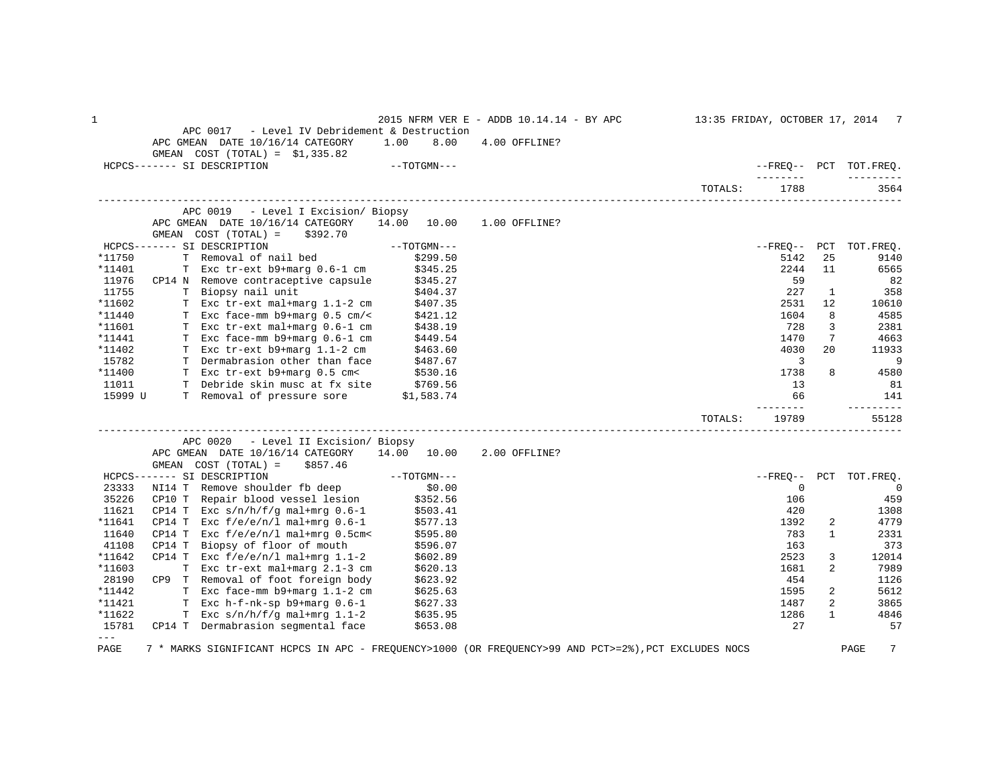| $\mathbf 1$   |                                                                                                      |               | 2015 NFRM VER E - ADDB 10.14.14 - BY APC |         |                   |                | 13:35 FRIDAY, OCTOBER 17, 2014 7 |
|---------------|------------------------------------------------------------------------------------------------------|---------------|------------------------------------------|---------|-------------------|----------------|----------------------------------|
|               | APC 0017<br>- Level IV Debridement & Destruction                                                     |               |                                          |         |                   |                |                                  |
|               | APC GMEAN DATE 10/16/14 CATEGORY                                                                     | 1.00<br>8.00  | 4.00 OFFLINE?                            |         |                   |                |                                  |
|               | GMEAN $COST (TOTAL) = $1,335.82$                                                                     |               |                                          |         |                   |                |                                  |
|               | HCPCS------- SI DESCRIPTION                                                                          | $--TOTGMN---$ |                                          |         | ________          |                | --FREO-- PCT TOT.FREQ.           |
|               |                                                                                                      |               |                                          | TOTALS: | 1788              |                | 3564                             |
|               | APC 0019 - Level I Excision/ Biopsy                                                                  |               |                                          |         |                   |                |                                  |
|               | APC GMEAN DATE 10/16/14 CATEGORY                                                                     | 14.00 10.00   | 1.00 OFFLINE?                            |         |                   |                |                                  |
|               | GMEAN COST (TOTAL) =<br>\$392.70                                                                     |               |                                          |         |                   |                |                                  |
|               | HCPCS------- SI DESCRIPTION                                                                          | $--TOTGMN---$ |                                          |         | $- FREO--$        | PCT            | TOT. FREO.                       |
| *11750        | T Removal of nail bed                                                                                | \$299.50      |                                          |         | 5142              | 25             | 9140                             |
| *11401        | T Exc tr-ext b9+marg 0.6-1 cm                                                                        | \$345.25      |                                          |         | 2244              | 11             | 6565                             |
| 11976         | CP14 N Remove contraceptive capsule                                                                  | \$345.27      |                                          |         | 59                |                | 82                               |
| 11755         | T Biopsy nail unit                                                                                   | \$404.37      |                                          |         | 227               | $\mathbf{1}$   | 358                              |
| *11602        | T Exc tr-ext mal+marg 1.1-2 cm                                                                       | \$407.35      |                                          |         | 2531              | 12             | 10610                            |
| *11440        | T Exc face-mm b9+marg 0.5 cm/<                                                                       | \$421.12      |                                          |         | 1604              | 8              | 4585                             |
| *11601        | T Exc tr-ext mal+marg 0.6-1 cm                                                                       | \$438.19      |                                          |         | 728               | 3              | 2381                             |
| *11441        | T Exc face-mm b9+marg 0.6-1 cm                                                                       | \$449.54      |                                          |         | 1470              | 7              | 4663                             |
| *11402        | T Exc tr-ext b9+marg 1.1-2 cm                                                                        | \$463.60      |                                          |         | 4030              | 20             | 11933                            |
| 15782         | T Dermabrasion other than face                                                                       | \$487.67      |                                          |         | 3                 |                | 9                                |
| *11400        | T Exc tr-ext b9+marg 0.5 cm<                                                                         | \$530.16      |                                          |         | 1738              | 8              | 4580                             |
| 11011         | T Debride skin musc at fx site                                                                       | \$769.56      |                                          |         | 13                |                | 81                               |
| 15999 U       | T Removal of pressure sore \$1,583.74                                                                |               |                                          |         | 66                |                | 141                              |
|               |                                                                                                      |               |                                          | TOTALS: | --------<br>19789 |                | ---------<br>55128               |
|               | APC 0020<br>- Level II Excision/ Biopsy                                                              |               |                                          |         |                   |                |                                  |
|               | APC GMEAN DATE 10/16/14 CATEGORY                                                                     | 14.00 10.00   | 2.00 OFFLINE?                            |         |                   |                |                                  |
|               | GMEAN COST (TOTAL) =<br>\$857.46                                                                     |               |                                          |         |                   |                |                                  |
|               | HCPCS------- SI DESCRIPTION                                                                          |               |                                          |         | $--$ FREO $--$    | PCT            | TOT.FREQ.                        |
| 23333         |                                                                                                      |               |                                          |         | $\mathbf 0$       |                | - 0                              |
| 35226         | CP10 T Repair blood vessel lesion                                                                    |               |                                          |         | 106               |                | 459                              |
| 11621         | CP14 T Exc $s/n/h/f/q$ mal+mrg 0.6-1                                                                 | \$503.41      |                                          |         | 420               |                | 1308                             |
| *11641        | CP14 T Exc $f/e/e/n/l$ mal+mrq $0.6-1$                                                               | \$577.13      |                                          |         | 1392              | 2              | 4779                             |
| 11640         | CP14 T<br>Exc $f/e/e/n/l$ mal+mrg 0.5cm<                                                             | \$595.80      |                                          |         | 783               | $\mathbf{1}$   | 2331                             |
| 41108         | CP14 T Biopsy of floor of mouth                                                                      | \$596.07      |                                          |         | 163               |                | 373                              |
| *11642        | CP14 T Exc $f/e/e/n/l$ mal+mrg 1.1-2                                                                 | \$602.89      |                                          |         | 2523              | 3              | 12014                            |
| *11603        | T Exc tr-ext mal+marg 2.1-3 cm                                                                       | \$620.13      |                                          |         | 1681              | $\overline{a}$ | 7989                             |
| 28190         | CP9 T Removal of foot foreign body                                                                   | \$623.92      |                                          |         | 454               |                | 1126                             |
| *11442        | T Exc face-mm b9+marg 1.1-2 cm                                                                       | \$625.63      |                                          |         | 1595              | 2              | 5612                             |
| *11421        | T Exc $h-f-nk-sp$ b9+marg $0.6-1$                                                                    | \$627.33      |                                          |         | 1487              | 2              | 3865                             |
| *11622        | T Exc $s/n/h/f/q$ mal+mrq 1.1-2                                                                      | \$635.95      |                                          |         | 1286              | $\mathbf{1}$   | 4846                             |
| 15781         | CP14 T Dermabrasion segmental face                                                                   | \$653.08      |                                          |         | 27                |                | 57                               |
| $\frac{1}{2}$ |                                                                                                      |               |                                          |         |                   |                |                                  |
| PAGE          | 7 * MARKS SIGNIFICANT HCPCS IN APC - FREQUENCY>1000 (OR FREQUENCY>99 AND PCT>=2%), PCT EXCLUDES NOCS |               |                                          |         |                   |                | 7<br>PAGE                        |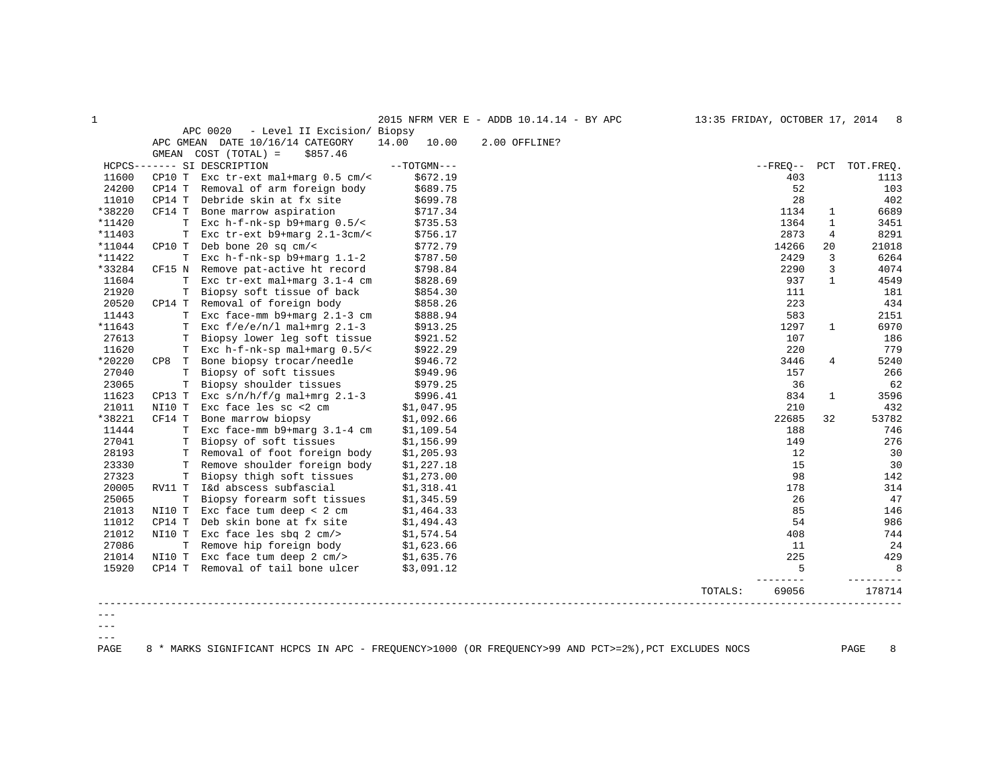| 1       |          |                                         |                | 2015 NFRM VER E - ADDB 10.14.14 - BY APC | 13:35 FRIDAY, OCTOBER 17, 2014 |                |              | - 8       |
|---------|----------|-----------------------------------------|----------------|------------------------------------------|--------------------------------|----------------|--------------|-----------|
|         |          | APC 0020<br>- Level II Excision/ Biopsy |                |                                          |                                |                |              |           |
|         |          | APC GMEAN DATE 10/16/14 CATEGORY        | 14.00<br>10.00 | 2.00 OFFLINE?                            |                                |                |              |           |
|         |          | GMEAN COST (TOTAL) =<br>\$857.46        |                |                                          |                                |                |              |           |
|         |          | HCPCS------- SI DESCRIPTION             | $--TOTGMN---$  |                                          |                                | $- FREO--$     | PCT          | TOT.FREO. |
| 11600   | CP10 T   | Exc $tr$ -ext mal+marg $0.5$ cm/<       | \$672.19       |                                          |                                | 403            |              | 1113      |
| 24200   | CP14 T   | Removal of arm foreign body             | \$689.75       |                                          |                                | 52             |              | 103       |
| 11010   | CP14 T   | Debride skin at fx site                 | \$699.78       |                                          |                                | 28             |              | 402       |
| *38220  | CF14 T   | Bone marrow aspiration                  | \$717.34       |                                          |                                | 1134           | 1            | 6689      |
| *11420  | т        | Exc $h-f-nk-sp$ b9+marg $0.5/s$         | \$735.53       |                                          |                                | 1364           | 1            | 3451      |
| *11403  | T.       | Exc $tr-ext$ b9+marg $2.1-3cm/<$        | \$756.17       |                                          |                                | 2873           | 4            | 8291      |
| *11044  | CP10 T   | Deb bone 20 sq $cm/<$                   | \$772.79       |                                          |                                | 14266          | 20           | 21018     |
| *11422  |          | T Exc $h-f-nk-sp$ b9+marg $1.1-2$       | \$787.50       |                                          |                                | 2429           | 3            | 6264      |
| *33284  | CF15 N   | Remove pat-active ht record             | \$798.84       |                                          |                                | 2290           | 3            | 4074      |
| 11604   | T        | Exc tr-ext mal+marg 3.1-4 cm            | \$828.69       |                                          |                                | 937            | $\mathbf{1}$ | 4549      |
| 21920   | T        | Biopsy soft tissue of back              | \$854.30       |                                          |                                | 111            |              | 181       |
| 20520   | CP14 T   | Removal of foreign body                 | \$858.26       |                                          |                                | 223            |              | 434       |
| 11443   |          | T Exc face-mm b9+marg 2.1-3 cm          | \$888.94       |                                          |                                | 583            |              | 2151      |
| *11643  |          | T Exc $f/e/e/n/l$ mal+mrq 2.1-3         | \$913.25       |                                          |                                | 1297           | $\mathbf{1}$ | 6970      |
| 27613   | т        | Biopsy lower leg soft tissue            | \$921.52       |                                          |                                | 107            |              | 186       |
| 11620   |          | T Exc $h-f-nk-sp$ mal+marg $0.5/$ <     | \$922.29       |                                          |                                | 220            |              | 779       |
| *20220  | CP8<br>T | Bone biopsy trocar/needle               | \$946.72       |                                          |                                | 3446           | 4            | 5240      |
| 27040   | T        | Biopsy of soft tissues                  | \$949.96       |                                          |                                | 157            |              | 266       |
| 23065   | Т        | Biopsy shoulder tissues                 | \$979.25       |                                          |                                | 36             |              | 62        |
| 11623   | CP13 T   | Exc $s/n/h/f/q$ mal+mrg 2.1-3           | \$996.41       |                                          |                                | 834            | $\mathbf{1}$ | 3596      |
| 21011   | NI10 T   | Exc face les sc <2 cm                   | \$1,047.95     |                                          |                                | 210            |              | 432       |
| *38221  | CF14 T   | Bone marrow biopsy                      | \$1,092.66     |                                          |                                | 22685          | 32           | 53782     |
| 11444   | T.       | Exc face-mm b9+marg 3.1-4 cm            | \$1,109.54     |                                          |                                | 188            |              | 746       |
| 27041   | т        | Biopsy of soft tissues                  | \$1,156.99     |                                          |                                | 149            |              | 276       |
| 28193   |          | T Removal of foot foreign body          | \$1,205.93     |                                          |                                | 12             |              | 30        |
| 23330   |          | T Remove shoulder foreign body          | \$1,227.18     |                                          |                                | 15             |              | 30        |
| 27323   | т        | Biopsy thigh soft tissues               | \$1,273.00     |                                          |                                | 98             |              | 142       |
| 20005   | RV11 T   | I&d abscess subfascial                  | \$1,318.41     |                                          |                                | 178            |              | 314       |
| 25065   | T        | Biopsy forearm soft tissues             | \$1,345.59     |                                          |                                | 26             |              | 47        |
| 21013   | NI10 T   | Exc face tum deep < $2$ cm              | \$1,464.33     |                                          |                                | 85             |              | 146       |
| 11012   | CP14 T   | Deb skin bone at fx site                | \$1,494.43     |                                          |                                | 54             |              | 986       |
| 21012   | NI10 T   | Exc face les sbq $2 \text{ cm/s}$       | \$1,574.54     |                                          |                                | 408            |              | 744       |
| 27086   | T.       | Remove hip foreign body                 | \$1,623.66     |                                          |                                | 11             |              | 24        |
| 21014   | NI10 T   | Exc face tum deep 2 cm/>                | \$1,635.76     |                                          |                                | 225            |              | 429       |
| 15920   |          | CP14 T Removal of tail bone ulcer       | \$3,091.12     |                                          |                                | 5<br>$- - - -$ |              | 8         |
|         |          |                                         |                |                                          | TOTALS:                        | 69056          |              | 178714    |
|         |          |                                         |                |                                          |                                |                |              |           |
| $- - -$ |          |                                         |                |                                          |                                |                |              |           |

 $---$ 

PAGE 8 \* MARKS SIGNIFICANT HCPCS IN APC - FREQUENCY>1000 (OR FREQUENCY>99 AND PCT>=2%),PCT EXCLUDES NOCS PAGE 8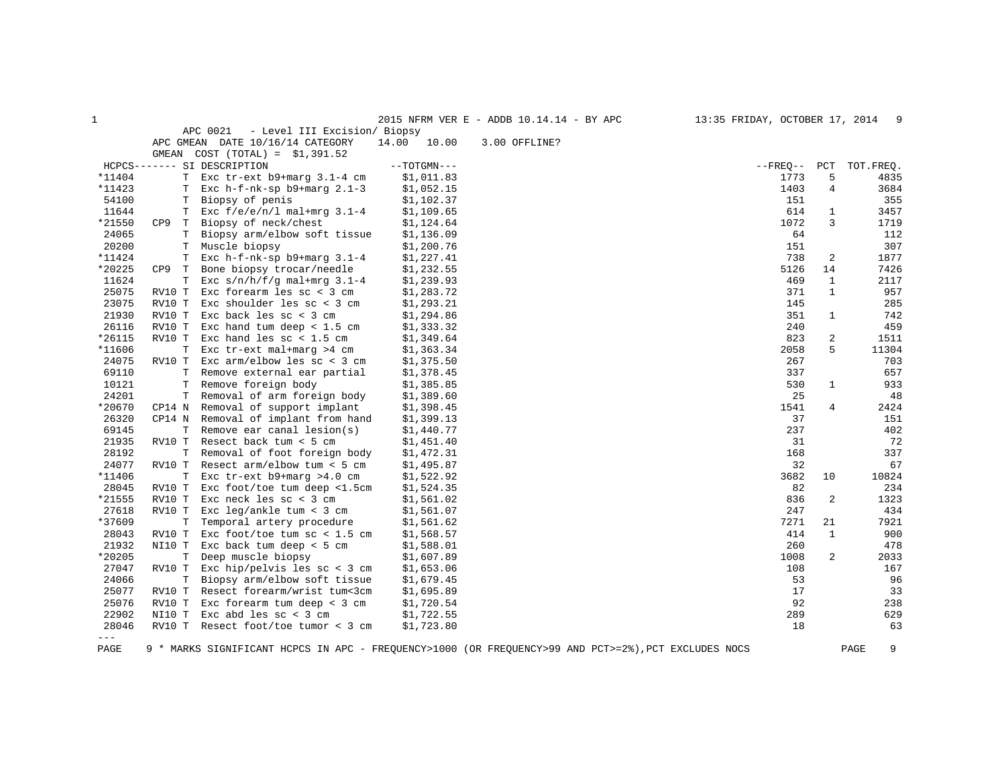| $\mathbf{1}$  |                      |                                               |                | 2015 NFRM VER E - ADDB 10.14.14 - BY APC                                                             | 13:35 FRIDAY, OCTOBER 17, 2014 |                | - 9       |
|---------------|----------------------|-----------------------------------------------|----------------|------------------------------------------------------------------------------------------------------|--------------------------------|----------------|-----------|
|               |                      | APC 0021<br>- Level III Excision/ Biopsy      |                |                                                                                                      |                                |                |           |
|               |                      | APC GMEAN DATE 10/16/14 CATEGORY              | 14.00<br>10.00 | 3.00 OFFLINE?                                                                                        |                                |                |           |
|               | GMEAN                | $COST (TOTAL) = $1,391.52$                    |                |                                                                                                      |                                |                |           |
|               |                      | HCPCS------- SI DESCRIPTION                   | $--TOTGMN---$  |                                                                                                      | $- FREQ--$                     | PCT            | TOT.FREQ. |
| *11404        | $\mathbf T$          | Exc $tr$ -ext $b9+$ marg $3.1-4$ cm           | \$1,011.83     |                                                                                                      | 1773                           | 5              | 4835      |
| *11423        | T                    | Exc $h-f-nk-sp$ b9+marg $2.1-3$               | \$1,052.15     |                                                                                                      | 1403                           | $\overline{4}$ | 3684      |
| 54100         | Т                    | Biopsy of penis                               | \$1,102.37     |                                                                                                      | 151                            |                | 355       |
| 11644         | т                    | Exc $f/e/e/n/l$ mal+mrg $3.1-4$               | \$1,109.65     |                                                                                                      | 614                            | 1              | 3457      |
| *21550        | CP <sub>9</sub><br>T | Biopsy of neck/chest                          | \$1,124.64     |                                                                                                      | 1072                           | 3              | 1719      |
| 24065         | T                    | Biopsy arm/elbow soft tissue                  | \$1,136.09     |                                                                                                      | 64                             |                | 112       |
| 20200         | $\mathbf T$          | Muscle biopsy                                 | \$1,200.76     |                                                                                                      | 151                            |                | 307       |
| *11424        | т                    | Exc $h-f-nk-sp$ b9+marg $3.1-4$               | \$1,227.41     |                                                                                                      | 738                            | 2              | 1877      |
| *20225        | CP9<br>T             | Bone biopsy trocar/needle                     | \$1,232.55     |                                                                                                      | 5126                           | 14             | 7426      |
| 11624         | $\mathbb T$          | Exc $s/n/h/f/q$ mal+mrq 3.1-4                 | \$1,239.93     |                                                                                                      | 469                            | 1              | 2117      |
| 25075         | RV10 T               | Exc forearm les $sc < 3$ cm                   | \$1,283.72     |                                                                                                      | 371                            | $\mathbf{1}$   | 957       |
| 23075         | RV10 T               | Exc shoulder les sc < 3 cm                    | \$1,293.21     |                                                                                                      | 145                            |                | 285       |
| 21930         | RV10 T               | Exc back les $\text{sc}$ < 3 cm               | \$1,294.86     |                                                                                                      | 351                            | 1              | 742       |
| 26116         | RV10 T               | Exc hand tum deep $< 1.5$ cm                  | \$1,333.32     |                                                                                                      | 240                            |                | 459       |
| *26115        | RV10 T               | Exc hand les $\text{sc}$ < 1.5 cm             | \$1,349.64     |                                                                                                      | 823                            | 2              | 1511      |
| *11606        | $\mathbf T$          | Exc tr-ext mal+marg >4 cm                     | \$1,363.34     |                                                                                                      | 2058                           | 5              | 11304     |
| 24075         | RV10 T               | Exc $arm/elbow$ les $sc < 3$ cm               | \$1,375.50     |                                                                                                      | 267                            |                | 703       |
| 69110         | T                    | Remove external ear partial                   | \$1,378.45     |                                                                                                      | 337                            |                | 657       |
| 10121         | T                    | Remove foreign body                           | \$1,385.85     |                                                                                                      | 530                            | $\mathbf{1}$   | 933       |
| 24201         | T                    | Removal of arm foreign body                   | \$1,389.60     |                                                                                                      | 25                             |                | 48        |
| *20670        | CP14 N               | Removal of support implant                    | \$1,398.45     |                                                                                                      | 1541                           | 4              | 2424      |
| 26320         | CP14 N               | Removal of implant from hand                  | \$1,399.13     |                                                                                                      | 37                             |                | 151       |
| 69145         | $\mathbf T$          | Remove ear canal lesion(s)                    | \$1,440.77     |                                                                                                      | 237                            |                | 402       |
| 21935         | RV10 T               | Resect back tum < 5 cm                        | \$1,451.40     |                                                                                                      | 31                             |                | 72        |
| 28192         | $\mathbf T$          | Removal of foot foreign body                  | \$1,472.31     |                                                                                                      | 168                            |                | 337       |
| 24077         | RV10 T               | Resect arm/elbow tum < 5 cm                   | \$1,495.87     |                                                                                                      | 32                             |                | 67        |
| *11406        | Т                    | Exc $tr$ -ext $b9+$ marg >4.0 cm              | \$1,522.92     |                                                                                                      | 3682                           | 10             | 10824     |
| 28045         | RV10 T               | Exc foot/toe tum deep <1.5cm                  | \$1,524.35     |                                                                                                      | 82                             |                | 234       |
| *21555        | RV10 T               | Exc neck les sc < 3 cm                        | \$1,561.02     |                                                                                                      | 836                            | $\overline{2}$ | 1323      |
| 27618         | RV10 T               | Exc leq/ankle tum < $3$ cm                    | \$1,561.07     |                                                                                                      | 247                            |                | 434       |
| *37609        | $\mathbf T$          | Temporal artery procedure                     | \$1,561.62     |                                                                                                      | 7271                           | 21             | 7921      |
| 28043         | RV10 T               | Exc foot/toe tum $\text{sc}$ < 1.5 cm         | \$1,568.57     |                                                                                                      | 414                            | 1              | 900       |
| 21932         | NI10 T               | Exc back tum deep $<$ 5 cm                    | \$1,588.01     |                                                                                                      | 260                            |                | 478       |
| *20205        | T                    | Deep muscle biopsy                            | \$1,607.89     |                                                                                                      | 1008                           | 2              | 2033      |
| 27047         | RV10 T               | Exc hip/pelvis les $\text{sc} < 3 \text{ cm}$ | \$1,653.06     |                                                                                                      | 108                            |                | 167       |
| 24066         | т                    | Biopsy arm/elbow soft tissue                  | \$1,679.45     |                                                                                                      | 53                             |                | 96        |
| 25077         | RV10 T               | Resect forearm/wrist tum<3cm                  | \$1,695.89     |                                                                                                      | 17                             |                | 33        |
| 25076         | RV10 T               | Exc forearm tum deep < $3$ cm                 | \$1,720.54     |                                                                                                      | 92                             |                | 238       |
| 22902         | NI10 T               | Exc abd les $\text{sc}$ < 3 cm                | \$1,722.55     |                                                                                                      | 289                            |                | 629       |
| 28046         |                      | RV10 T Resect foot/toe tumor < 3 cm           | \$1,723.80     |                                                                                                      | 18                             |                | 63        |
| $\frac{1}{2}$ |                      |                                               |                |                                                                                                      |                                |                |           |
| PAGE          |                      |                                               |                | 9 * MARKS SIGNIFICANT HCPCS IN APC - FREQUENCY>1000 (OR FREQUENCY>99 AND PCT>=2%), PCT EXCLUDES NOCS |                                |                | PAGE<br>9 |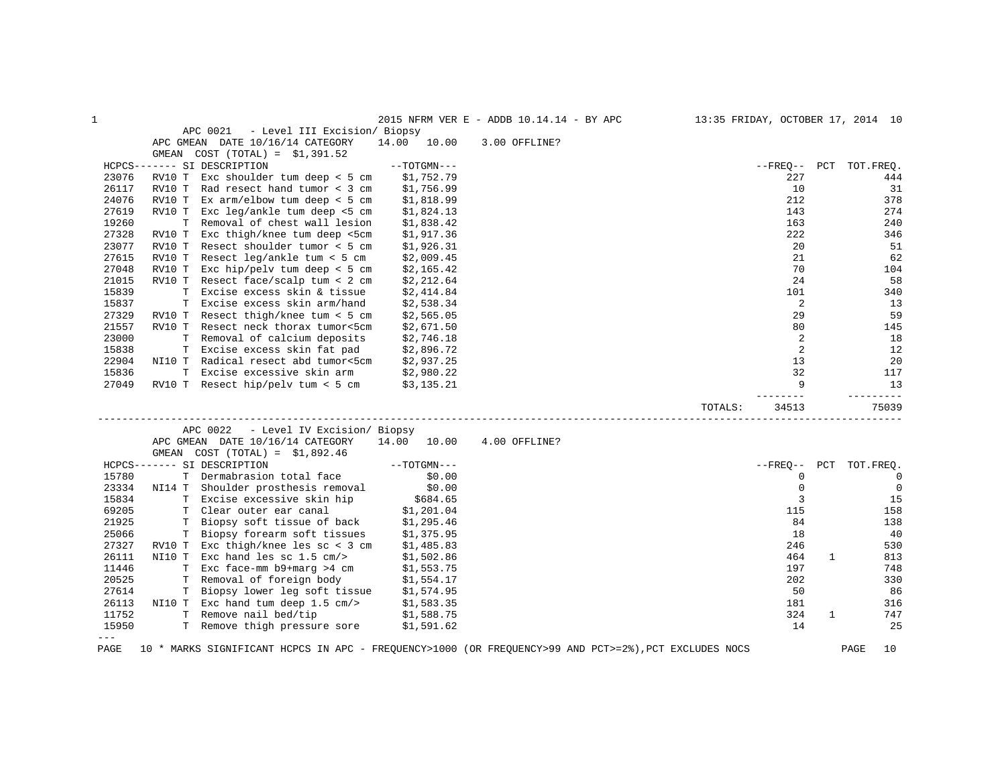| 1     |                                                                                                       |                | 2015 NFRM VER E - ADDB 10.14.14 - BY APC |         |                |     | 13:35 FRIDAY, OCTOBER 17, 2014 10 |
|-------|-------------------------------------------------------------------------------------------------------|----------------|------------------------------------------|---------|----------------|-----|-----------------------------------|
|       | APC 0021<br>- Level III Excision/ Biopsy                                                              |                |                                          |         |                |     |                                   |
|       | APC GMEAN DATE 10/16/14 CATEGORY                                                                      | 14.00<br>10.00 | 3.00 OFFLINE?                            |         |                |     |                                   |
|       | GMEAN COST $(TOTAL) = $1,391.52$                                                                      |                |                                          |         |                |     |                                   |
|       | HCPCS------- SI DESCRIPTION                                                                           | $--TOTGMN---$  |                                          |         | --FREQ--       | PCT | TOT.FREO.                         |
| 23076 | Exc shoulder tum deep $<$ 5 cm<br>RV10 T                                                              | \$1,752.79     |                                          |         | 227            |     | 444                               |
| 26117 | RV10 T<br>Rad resect hand tumor < 3 cm                                                                | \$1,756.99     |                                          |         | 10             |     | 31                                |
| 24076 | Ex $arm/elbow$ tum deep < 5 cm<br>RV10 T                                                              | \$1,818.99     |                                          |         | 212            |     | 378                               |
| 27619 | Exc leg/ankle tum deep <5 cm<br>RV10 T                                                                | \$1,824.13     |                                          |         | 143            |     | 274                               |
| 19260 | T.<br>Removal of chest wall lesion                                                                    | \$1,838.42     |                                          |         | 163            |     | 240                               |
| 27328 | Exc thigh/knee tum deep <5cm<br>RV10 T                                                                | \$1,917.36     |                                          |         | 222            |     | 346                               |
| 23077 | Resect shoulder tumor < 5 cm<br>RV10 T                                                                | \$1,926.31     |                                          |         | 20             |     | 51                                |
| 27615 | Resect $leq/ankle$ tum < 5 cm<br>RV10 T                                                               | \$2,009.45     |                                          |         | 21             |     | 62                                |
| 27048 | Exc hip/pelv tum deep $<$ 5 cm<br>RV10 T                                                              | \$2,165.42     |                                          |         | 70             |     | 104                               |
| 21015 | RV10 T Resect face/scalp tum < 2 cm                                                                   | \$2,212.64     |                                          |         | 24             |     | 58                                |
| 15839 | Excise excess skin & tissue<br>T.                                                                     | \$2,414.84     |                                          |         | 101            |     | 340                               |
| 15837 | T Excise excess skin arm/hand                                                                         | \$2,538.34     |                                          |         | 2              |     | 13                                |
| 27329 | RV10 T Resect thigh/knee tum < $5 \text{ cm}$                                                         | \$2,565.05     |                                          |         | 29             |     | 59                                |
| 21557 | RV10 T Resect neck thorax tumor<5cm                                                                   | \$2,671.50     |                                          |         | 80             |     | 145                               |
| 23000 | T Removal of calcium deposits                                                                         | \$2,746.18     |                                          |         | 2              |     | 18                                |
| 15838 | T Excise excess skin fat pad                                                                          | \$2,896.72     |                                          |         | $\overline{2}$ |     | 12                                |
| 22904 | NI10 T<br>Radical resect abd tumor<5cm                                                                | \$2,937.25     |                                          |         | 13             |     | 20                                |
| 15836 | T<br>Excise excessive skin arm                                                                        | \$2,980.22     |                                          |         | 32             |     | 117                               |
| 27049 | RV10 T Resect hip/pelv tum < 5 cm                                                                     | \$3,135.21     |                                          |         | 9              |     | 13                                |
|       |                                                                                                       |                |                                          |         |                |     | ------                            |
|       |                                                                                                       |                |                                          | TOTALS: | 34513          |     | 75039                             |
|       | APC 0022<br>- Level IV Excision/ Biopsy                                                               |                |                                          |         |                |     |                                   |
|       | APC GMEAN DATE 10/16/14 CATEGORY                                                                      | 14.00 10.00    | 4.00 OFFLINE?                            |         |                |     |                                   |
|       | $COST (TOTAL) = $1,892.46$<br>GMEAN                                                                   |                |                                          |         |                |     |                                   |
|       | HCPCS------- SI DESCRIPTION                                                                           | $--TOTGMN---$  |                                          |         | $--$ FREQ--    | PCT | TOT.FREQ.                         |
| 15780 | T Dermabrasion total face                                                                             | \$0.00         |                                          |         | $\mathbf 0$    |     | $\mathbf 0$                       |
| 23334 | NI14 T<br>Shoulder prosthesis removal                                                                 | \$0.00         |                                          |         | $\mathbf 0$    |     | $\mathbf 0$                       |
| 15834 | T Excise excessive skin hip                                                                           | \$684.65       |                                          |         | 3              |     | 15                                |
| 69205 | T Clear outer ear canal                                                                               | \$1,201.04     |                                          |         | 115            |     | 158                               |
| 21925 | Biopsy soft tissue of back<br>т                                                                       | \$1,295.46     |                                          |         | 84             |     | 138                               |
| 25066 | Biopsy forearm soft tissues<br>Т                                                                      | \$1,375.95     |                                          |         | 18             |     | 40                                |
| 27327 | RV10 T<br>Exc thigh/knee les $\text{sc} < 3 \text{ cm}$                                               | \$1,485.83     |                                          |         | 246            |     | 530                               |
| 26111 | Exc hand les sc $1.5$ cm/><br>NI10 T                                                                  | \$1,502.86     |                                          |         | 464            | 1   | 813                               |
| 11446 | T Exc face-mm b9+marg >4 cm                                                                           | \$1,553.75     |                                          |         | 197            |     | 748                               |
| 20525 | Removal of foreign body<br>т                                                                          | \$1,554.17     |                                          |         | 202            |     | 330                               |
| 27614 | Biopsy lower leg soft tissue<br>Т                                                                     | \$1,574.95     |                                          |         | 50             |     | 86                                |
| 26113 | NI10 T Exc hand tum deep $1.5$ cm/>                                                                   | \$1,583.35     |                                          |         | 181            |     | 316                               |
| 11752 | T Remove nail bed/tip                                                                                 | \$1,588.75     |                                          |         | 324            | 1   | 747                               |
| 15950 | T Remove thigh pressure sore                                                                          | \$1,591.62     |                                          |         | 14             |     | 25                                |
| $---$ |                                                                                                       |                |                                          |         |                |     |                                   |
| PAGE  | 10 * MARKS SIGNIFICANT HCPCS IN APC - FREQUENCY>1000 (OR FREQUENCY>99 AND PCT>=2%), PCT EXCLUDES NOCS |                |                                          |         |                |     | PAGE<br>10                        |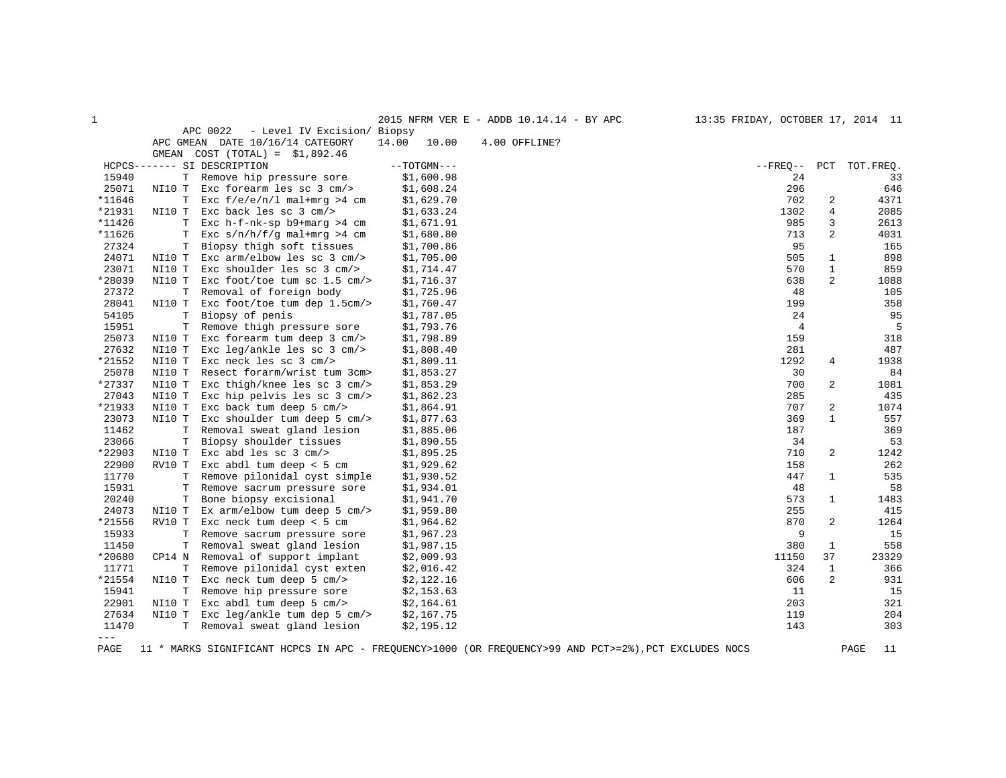| $\mathbf{1}$ |             |                                         |                | 2015 NFRM VER E - ADDB 10.14.14 - BY APC | 13:35 FRIDAY, OCTOBER 17, 2014 11 |                |            |
|--------------|-------------|-----------------------------------------|----------------|------------------------------------------|-----------------------------------|----------------|------------|
|              |             | APC 0022<br>- Level IV Excision/ Biopsy |                |                                          |                                   |                |            |
|              |             | APC GMEAN DATE 10/16/14 CATEGORY        | 14.00<br>10.00 | 4.00 OFFLINE?                            |                                   |                |            |
|              |             | GMEAN COST $(TOTAL) = $1,892.46$        |                |                                          |                                   |                |            |
|              |             | HCPCS------- SI DESCRIPTION             | $--TOTGMN---$  |                                          | $--$ FREO $--$                    | PCT            | TOT. FREO. |
| 15940        | т           | Remove hip pressure sore                | \$1,600.98     |                                          | 24                                |                | 33         |
| 25071        | NI10 T      | Exc forearm les sc $3$ cm/>             | \$1,608.24     |                                          | 296                               |                | 646        |
| *11646       | т           | Exc $f/e/e/n/l$ mal+mrq >4 cm           | \$1,629.70     |                                          | 702                               | 2              | 4371       |
| *21931       | NI10 T      | Exc back les sc 3 cm/>                  | \$1,633.24     |                                          | 1302                              | 4              | 2085       |
| *11426       | T           | Exc $h-f-nk-sp$ b9+marg >4 cm           | \$1,671.91     |                                          | 985                               | 3              | 2613       |
| *11626       | T           | Exc $s/n/h/f/q$ mal+mrq >4 cm           | \$1,680.80     |                                          | 713                               | 2              | 4031       |
| 27324        | T.          | Biopsy thigh soft tissues               | \$1,700.86     |                                          | 95                                |                | 165        |
| 24071        | NI10 T      | Exc $arm/elbow$ les sc $3$ cm/>         | \$1,705.00     |                                          | 505                               | 1              | 898        |
| 23071        | NI10 T      | Exc shoulder les sc 3 cm/>              | \$1,714.47     |                                          | 570                               | $\mathbf{1}$   | 859        |
| *28039       | NI10 T      | Exc foot/toe tum sc $1.5$ cm/>          | \$1,716.37     |                                          | 638                               | $\overline{c}$ | 1088       |
| 27372        | $\mathbb T$ | Removal of foreign body                 | \$1,725.96     |                                          | 48                                |                | 105        |
| 28041        | NI10 T      | Exc foot/toe tum dep 1.5cm/>            | \$1,760.47     |                                          | 199                               |                | 358        |
| 54105        | $\mathbf T$ | Biopsy of penis                         | \$1,787.05     |                                          | 24                                |                | 95         |
| 15951        | Т           | Remove thigh pressure sore              | \$1,793.76     |                                          | $\overline{4}$                    |                | 5          |
| 25073        | NI10 T      | Exc forearm tum deep 3 cm/>             | \$1,798.89     |                                          | 159                               |                | 318        |
| 27632        | NI10 T      | Exc leg/ankle les sc $3$ cm/>           | \$1,808.40     |                                          | 281                               |                | 487        |
| *21552       | NI10 T      | Exc neck les sc 3 cm/>                  | \$1,809.11     |                                          | 1292                              | 4              | 1938       |
| 25078        | NI10 T      | Resect forarm/wrist tum 3cm>            | \$1,853.27     |                                          | 30                                |                | 84         |
| *27337       | NI10 T      | Exc thigh/knee les sc 3 cm/>            | \$1,853.29     |                                          | 700                               | 2              | 1081       |
| 27043        | NI10 T      | Exc hip pelvis les sc 3 cm/>            | \$1,862.23     |                                          | 285                               |                | 435        |
| *21933       | NI10 T      | Exc back tum deep 5 cm/>                | \$1,864.91     |                                          | 707                               | 2              | 1074       |
| 23073        | NI10 T      | Exc shoulder tum deep 5 cm/>            | \$1,877.63     |                                          | 369                               | $\mathbf{1}$   | 557        |
| 11462        | т           | Removal sweat gland lesion              | \$1,885.06     |                                          | 187                               |                | 369        |
| 23066        | T           | Biopsy shoulder tissues                 | \$1,890.55     |                                          | 34                                |                | 53         |
| *22903       | NI10 T      | Exc abd les sc $3$ cm/>                 | \$1,895.25     |                                          | 710                               | 2              | 1242       |
| 22900        | RV10 T      | Exc abdl tum deep < 5 cm                | \$1,929.62     |                                          | 158                               |                | 262        |
| 11770        | Т           | Remove pilonidal cyst simple            | \$1,930.52     |                                          | 447                               | 1              | 535        |
| 15931        | т           | Remove sacrum pressure sore             | \$1,934.01     |                                          | 48                                |                | 58         |
| 20240        | Т           | Bone biopsy excisional                  | \$1,941.70     |                                          | 573                               | 1              | 1483       |
| 24073        | NI10 T      | Ex $arm/elbow$ tum deep 5 $cm/>$        | \$1,959.80     |                                          | 255                               |                | 415        |
| *21556       | RV10 T      | Exc neck tum deep $<$ 5 cm              | \$1,964.62     |                                          | 870                               | 2              | 1264       |
| 15933        | T           | Remove sacrum pressure sore             | \$1,967.23     |                                          | 9                                 |                | 15         |
| 11450        | т           | Removal sweat gland lesion              | \$1,987.15     |                                          | 380                               | $\mathbf{1}$   | 558        |
| *20680       | CP14 N      | Removal of support implant              | \$2,009.93     |                                          | 11150                             | 37             | 23329      |
| 11771        | T           | Remove pilonidal cyst exten             | \$2,016.42     |                                          | 324                               | 1              | 366        |
| *21554       | NI10 T      | Exc neck tum deep $5 \text{ cm}$        | \$2,122.16     |                                          | 606                               | 2              | 931        |
| 15941        | T           | Remove hip pressure sore                | \$2,153.63     |                                          | 11                                |                | 15         |
| 22901        | NI10 T      | Exc abdl tum deep 5 cm/>                | \$2,164.61     |                                          | 203                               |                | 321        |
| 27634        | NI10 T      | Exc leg/ankle tum dep 5 cm/>            | \$2,167.75     |                                          | 119                               |                | 204        |
| 11470        | T.          | Removal sweat gland lesion              | \$2,195.12     |                                          | 143                               |                | 303        |
| $---$        |             |                                         |                |                                          |                                   |                |            |

PAGE 11 \* MARKS SIGNIFICANT HCPCS IN APC - FREQUENCY>1000 (OR FREQUENCY>99 AND PCT>=2%),PCT EXCLUDES NOCS PAGE 11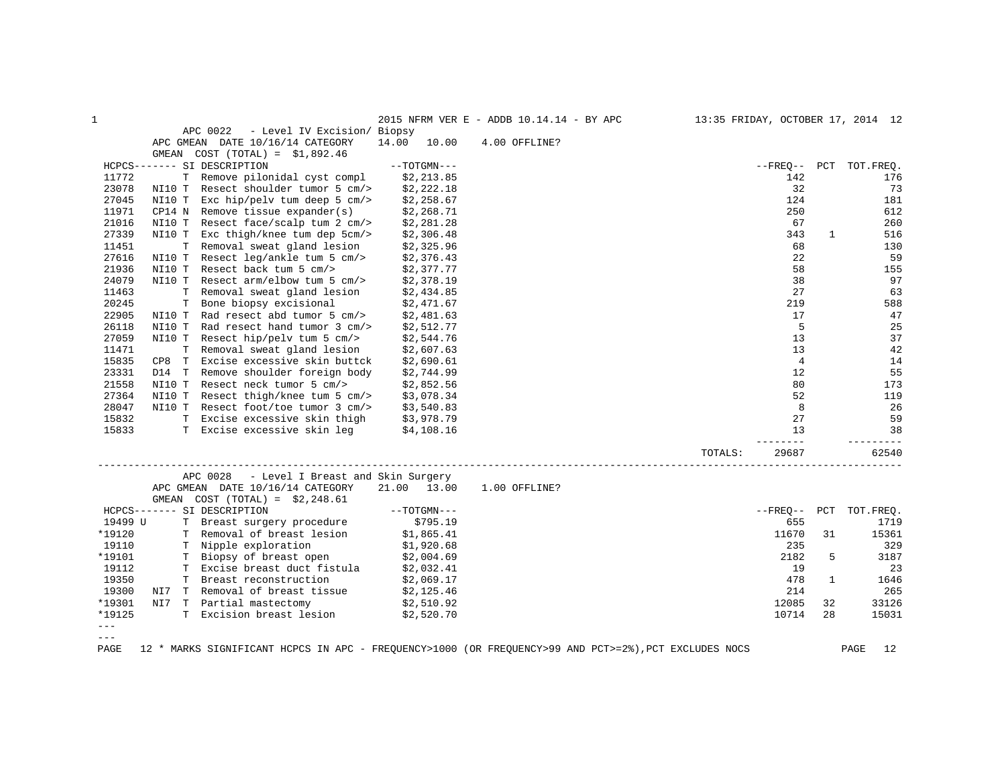| $\mathbf 1$ |        |                                               |                | 2015 NFRM VER E - ADDB 10.14.14 - BY APC |         |                                                                 |              | 13:35 FRIDAY, OCTOBER 17, 2014 12 |
|-------------|--------|-----------------------------------------------|----------------|------------------------------------------|---------|-----------------------------------------------------------------|--------------|-----------------------------------|
|             |        | APC 0022<br>- Level IV Excision/ Biopsy       |                |                                          |         |                                                                 |              |                                   |
|             |        | APC GMEAN DATE 10/16/14 CATEGORY              | 14.00<br>10.00 | 4.00 OFFLINE?                            |         |                                                                 |              |                                   |
|             |        | GMEAN COST $(TOTAL) = $1,892.46$              |                |                                          |         |                                                                 |              |                                   |
|             |        | HCPCS------- SI DESCRIPTION                   | $--TOTGMN---$  |                                          |         |                                                                 |              | --FREO-- PCT TOT.FREQ.            |
| 11772       |        | T Remove pilonidal cyst compl                 | \$2,213.85     |                                          |         | 142                                                             |              | 176                               |
| 23078       |        | NI10 T Resect shoulder tumor 5 cm/>           | \$2,222.18     |                                          |         | 32                                                              |              | 73                                |
| 27045       | NI10 T | Exc hip/pelv tum deep 5 cm/>                  | \$2,258.67     |                                          |         | 124                                                             |              | 181                               |
| 11971       |        | $CPI4$ N Remove tissue expander(s)            | \$2,268.71     |                                          |         | 250                                                             |              | 612                               |
| 21016       |        | NI10 T Resect face/scalp tum 2 cm/>           | \$2,281.28     |                                          |         | 67                                                              |              | 260                               |
| 27339       | NI10 T | Exc thigh/knee tum dep 5cm/>                  | \$2,306.48     |                                          |         | 343                                                             | 1            | 516                               |
| 11451       |        | T Removal sweat gland lesion                  | \$2,325.96     |                                          |         | 68                                                              |              | 130                               |
| 27616       | NI10 T | Resect leg/ankle tum 5 cm/>                   | \$2,376.43     |                                          |         | 22                                                              |              | 59                                |
| 21936       |        | NI10 T Resect back tum 5 cm/>                 | \$2,377.77     |                                          |         | 58                                                              |              | 155                               |
| 24079       |        | NI10 T Resect arm/elbow tum 5 cm/>            | \$2,378.19     |                                          |         | 38                                                              |              | 97                                |
| 11463       | T.     | Removal sweat gland lesion                    | \$2,434.85     |                                          |         | 27                                                              |              | 63                                |
| 20245       |        | T Bone biopsy excisional                      | \$2,471.67     |                                          |         | 219                                                             |              | 588                               |
| 22905       |        | NI10 T Rad resect abd tumor 5 cm/>            | \$2,481.63     |                                          |         | 17                                                              |              | 47                                |
| 26118       | NI10 T | Rad resect hand tumor 3 cm/>                  | \$2,512.77     |                                          |         | 5                                                               |              | 25                                |
| 27059       |        | NI10 T Resect hip/pelv tum 5 cm/>             | \$2,544.76     |                                          |         | 13                                                              |              | 37                                |
| 11471       |        | T Removal sweat gland lesion                  | \$2,607.63     |                                          |         | 13                                                              |              | 42                                |
| 15835       |        | CP8 T Excise excessive skin buttck            | \$2,690.61     |                                          |         | $\overline{4}$                                                  |              | 14                                |
| 23331       |        | D14 T Remove shoulder foreign body            | \$2,744.99     |                                          |         | 12                                                              |              | 55                                |
| 21558       | NI10 T | Resect neck tumor 5 cm/>                      | \$2,852.56     |                                          |         | 80                                                              |              | 173                               |
| 27364       |        | NI10 T Resect thigh/knee tum 5 cm/>           | \$3,078.34     |                                          |         | 52                                                              |              | 119                               |
| 28047       |        | NI10 T Resect foot/toe tumor 3 cm/>           | \$3,540.83     |                                          |         | 8                                                               |              | 26                                |
| 15832       |        | T Excise excessive skin thigh                 | \$3,978.79     |                                          |         | 27                                                              |              | 59                                |
| 15833       |        | T Excise excessive skin leg                   | \$4,108.16     |                                          |         | 13                                                              |              | 38                                |
|             |        |                                               |                |                                          |         | $\begin{tabular}{cccccc} - & - & - & - \\ \hline \end{tabular}$ |              | -----                             |
|             |        |                                               |                |                                          | TOTALS: | 29687                                                           |              | 62540                             |
|             |        | APC 0028<br>- Level I Breast and Skin Surgery |                |                                          |         |                                                                 |              |                                   |
|             |        | APC GMEAN DATE 10/16/14 CATEGORY              | 21.00 13.00    | 1.00 OFFLINE?                            |         |                                                                 |              |                                   |
|             |        | GMEAN COST $(TOTAL) = $2,248.61$              |                |                                          |         |                                                                 |              |                                   |
|             |        | HCPCS------- SI DESCRIPTION                   | $--TOTGMN---$  |                                          |         |                                                                 |              | --FREQ-- PCT TOT.FREQ.            |
| 19499 U     |        | T Breast surgery procedure                    | \$795.19       |                                          |         | 655                                                             |              | 1719                              |
| *19120      |        | T Removal of breast lesion                    | \$1,865.41     |                                          |         | 11670                                                           | 31           | 15361                             |
| 19110       |        | T Nipple exploration                          | \$1,920.68     |                                          |         | 235                                                             |              | 329                               |
| *19101      |        | T Biopsy of breast open                       | \$2,004.69     |                                          |         | 2182                                                            | 5            | 3187                              |
| 19112       |        | T Excise breast duct fistula                  | \$2,032.41     |                                          |         | 19                                                              |              | 23                                |
| 19350       |        | T Breast reconstruction                       | \$2,069.17     |                                          |         | 478                                                             | $\mathbf{1}$ | 1646                              |
| 19300       | NI7    | T Removal of breast tissue                    | \$2,125.46     |                                          |         | 214                                                             |              | 265                               |
| *19301      | NI7    | T Partial mastectomy                          | \$2,510.92     |                                          |         | 12085                                                           | 32           | 33126                             |
| *19125      |        | T Excision breast lesion                      | \$2,520.70     |                                          |         | 10714                                                           | 28           | 15031                             |
| $---$       |        |                                               |                |                                          |         |                                                                 |              |                                   |
| $---$       |        |                                               |                |                                          |         |                                                                 |              |                                   |
|             |        |                                               |                |                                          |         |                                                                 |              |                                   |

PAGE 12 \* MARKS SIGNIFICANT HCPCS IN APC - FREQUENCY>1000 (OR FREQUENCY>99 AND PCT>=2%),PCT EXCLUDES NOCS PAGE 12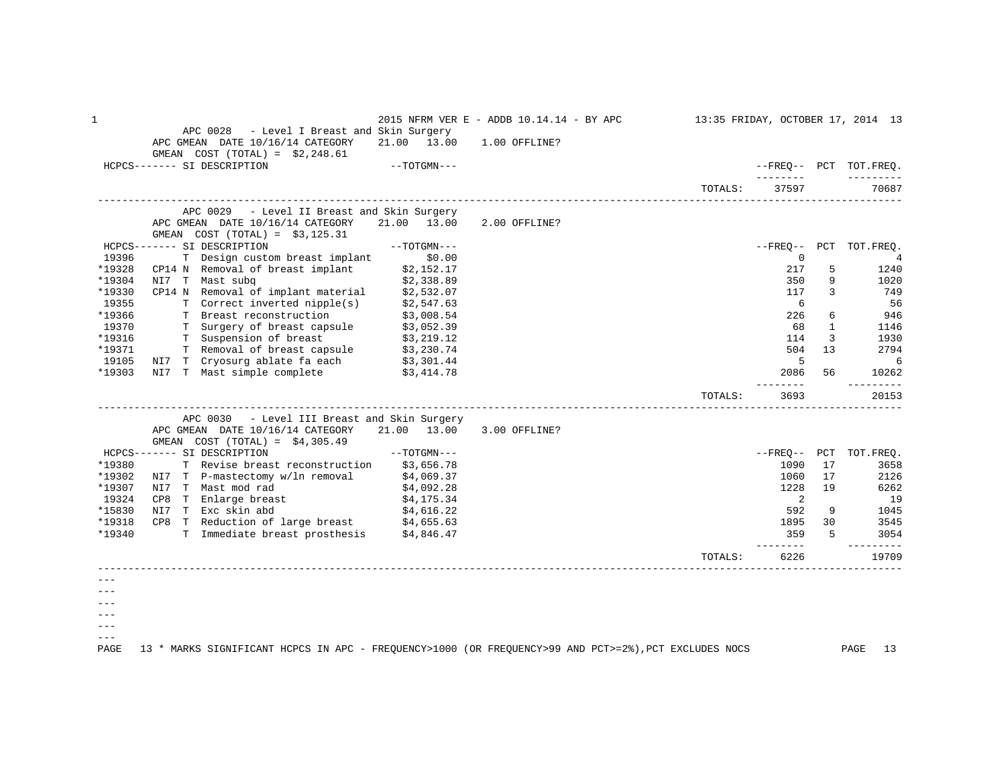| $\mathbf 1$ |                                                                                   |               | 2015 NFRM VER E - ADDB 10.14.14 - BY APC |         |                  |              | 13:35 FRIDAY, OCTOBER 17, 2014 13 |
|-------------|-----------------------------------------------------------------------------------|---------------|------------------------------------------|---------|------------------|--------------|-----------------------------------|
|             | APC 0028 - Level I Breast and Skin Surgery                                        |               |                                          |         |                  |              |                                   |
|             | APC GMEAN DATE 10/16/14 CATEGORY                                                  | 21.00 13.00   | 1.00 OFFLINE?                            |         |                  |              |                                   |
|             | GMEAN $COST (TOTAL) = $2,248.61$                                                  |               |                                          |         |                  |              |                                   |
|             | HCPCS------- SI DESCRIPTION                                                       | $--TOTGMN---$ |                                          |         | ________         |              | --FREO-- PCT TOT.FREO.            |
|             |                                                                                   |               |                                          | TOTALS: | 37597            |              | 70687                             |
|             |                                                                                   |               |                                          |         |                  |              |                                   |
|             | APC 0029 - Level II Breast and Skin Surgery                                       |               |                                          |         |                  |              |                                   |
|             | APC GMEAN DATE 10/16/14 CATEGORY                                                  | 21.00 13.00   | 2.00 OFFLINE?                            |         |                  |              |                                   |
|             | GMEAN $COST (TOTAL) = $3,125.31$                                                  |               |                                          |         |                  |              |                                   |
|             | HCPCS------- SI DESCRIPTION                                                       | $--TOTGMN---$ |                                          |         |                  |              | --FREO-- PCT TOT.FREO.            |
| 19396       | T Design custom breast implant                                                    | \$0.00        |                                          |         | 0                |              | 4                                 |
| *19328      | CP14 N Removal of breast implant                                                  | \$2,152.17    |                                          |         | 217              | 5            | 1240                              |
| *19304      | NI7 T Mast subg                                                                   | \$2,338.89    |                                          |         | 350              | 9            | 1020                              |
| *19330      | CP14 N Removal of implant material                                                | \$2,532.07    |                                          |         | 117              | 3            | 749                               |
| 19355       | T Correct inverted nipple(s)                                                      | \$2,547.63    |                                          |         | 6                |              | 56                                |
| *19366      | T Breast reconstruction                                                           | \$3,008.54    |                                          |         | 226              | 6            | 946                               |
| 19370       | T Surgery of breast capsule \$3,052.39                                            |               |                                          |         | 68               | $\mathbf{1}$ | 1146                              |
| *19316      | T Suspension of breast                                                            | \$3,219.12    |                                          |         | 114              | 3            | 1930                              |
| *19371      | T Removal of breast capsule \$3,230.74                                            |               |                                          |         | 504              | 13           | 2794                              |
| 19105       | NI7 T Cryosurg ablate fa each \$3,301.44<br>NI7 T Mast simple complete \$3,414.78 |               |                                          |         | -5               |              | 6                                 |
| *19303      |                                                                                   |               |                                          |         | 2086             | 56           | 10262                             |
|             |                                                                                   |               |                                          | TOTALS: | --------<br>3693 |              | ------<br>20153                   |
|             |                                                                                   |               |                                          |         |                  |              |                                   |
|             | APC 0030<br>- Level III Breast and Skin Surgery                                   |               |                                          |         |                  |              |                                   |
|             | APC GMEAN DATE 10/16/14 CATEGORY                                                  | 21.00 13.00   | 3.00 OFFLINE?                            |         |                  |              |                                   |
|             | GMEAN COST $(TOTAL) = $4,305.49$                                                  |               |                                          |         |                  |              |                                   |
|             | HCPCS------- SI DESCRIPTION                                                       | --TOTGMN---   |                                          |         |                  |              | --FREQ-- PCT TOT.FREQ.            |
| *19380      | T Revise breast reconstruction \$3,656.78                                         |               |                                          |         | 1090             | 17           | 3658                              |
| *19302      | NI7 T P-mastectomy w/ln removal                                                   | \$4,069.37    |                                          |         | 1060             | 17           | 2126                              |
| *19307      | NI7 T Mast mod rad                                                                | \$4,092.28    |                                          |         | 1228             | 19           | 6262                              |
| 19324       | CP8 T Enlarge breast                                                              | \$4,175.34    |                                          |         | 2                |              | 19                                |
| *15830      | NI7 T Exc skin abd                                                                | \$4,616.22    |                                          |         | 592              | 9            | 1045                              |
| *19318      | CP8 T Reduction of large breast \$4,655.63                                        |               |                                          |         | 1895             | 30           | 3545                              |
| *19340      | T Immediate breast prosthesis \$4,846.47                                          |               |                                          |         | 359<br>-------   | 5            | 3054<br>-------                   |
|             |                                                                                   |               |                                          | TOTALS: | 6226             |              | 19709                             |
|             |                                                                                   |               |                                          |         |                  |              |                                   |
|             |                                                                                   |               |                                          |         |                  |              |                                   |
|             |                                                                                   |               |                                          |         |                  |              |                                   |
|             |                                                                                   |               |                                          |         |                  |              |                                   |
|             |                                                                                   |               |                                          |         |                  |              |                                   |
|             |                                                                                   |               |                                          |         |                  |              |                                   |
|             |                                                                                   |               |                                          |         |                  |              |                                   |

PAGE 13 \* MARKS SIGNIFICANT HCPCS IN APC - FREQUENCY>1000 (OR FREQUENCY>99 AND PCT>=2%),PCT EXCLUDES NOCS PAGE 13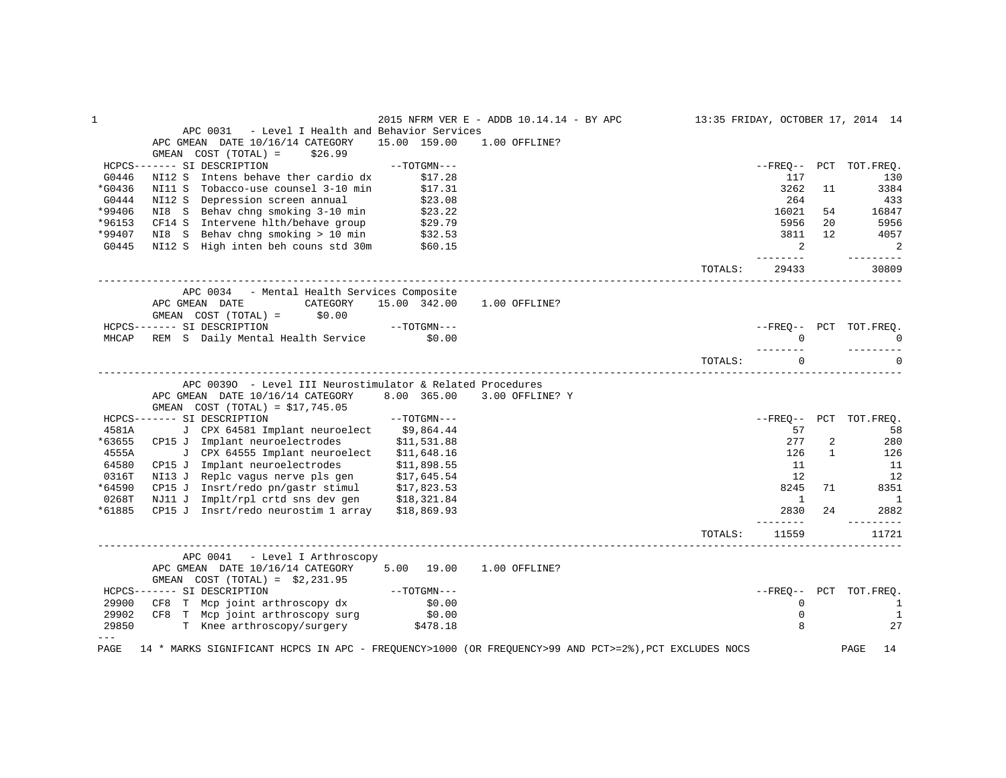| 1       |                                                                                                       |               | 2015 NFRM VER E - ADDB 10.14.14 - BY APC |         |                        |                   | 13:35 FRIDAY, OCTOBER 17, 2014 14 |
|---------|-------------------------------------------------------------------------------------------------------|---------------|------------------------------------------|---------|------------------------|-------------------|-----------------------------------|
|         | APC 0031<br>- Level I Health and Behavior Services                                                    |               |                                          |         |                        |                   |                                   |
|         | APC GMEAN DATE 10/16/14 CATEGORY                                                                      | 15.00 159.00  | 1.00 OFFLINE?                            |         |                        |                   |                                   |
|         | GMEAN COST (TOTAL) =<br>\$26.99                                                                       |               |                                          |         |                        |                   |                                   |
|         | HCPCS------- SI DESCRIPTION                                                                           | $--TOTGMN---$ |                                          |         |                        |                   | --FREO-- PCT TOT.FREO.            |
| G0446   | Intens behave ther cardio dx<br>NI12 S                                                                | \$17.28       |                                          |         | 117                    |                   | 130                               |
| *G0436  | Tobacco-use counsel 3-10 min<br>NI11 S                                                                | \$17.31       |                                          |         | 3262                   | 11                | 3384                              |
| G0444   | Depression screen annual<br>NI12 S                                                                    | \$23.08       |                                          |         | 264                    |                   | 433                               |
| *99406  | NI8 S Behav chng smoking 3-10 min                                                                     | \$23.22       |                                          |         | 16021                  | 54                | 16847                             |
| *96153  | Intervene hlth/behave group<br>CF14 S                                                                 | \$29.79       |                                          |         | 5956                   | 20                | 5956                              |
| *99407  | NI8 S Behav chng smoking > 10 min                                                                     | \$32.53       |                                          |         | 3811                   | 12                | 4057                              |
| G0445   | NI12 S High inten beh couns std 30m                                                                   | \$60.15       |                                          |         | 2                      |                   | 2                                 |
|         |                                                                                                       |               |                                          | TOTALS: | $\frac{1}{2}$<br>29433 |                   | -------<br>30809                  |
|         | APC 0034 - Mental Health Services Composite                                                           |               |                                          |         |                        |                   |                                   |
|         | APC GMEAN DATE<br>CATEGORY                                                                            | 15.00 342.00  | 1.00 OFFLINE?                            |         |                        |                   |                                   |
|         | GMEAN COST (TOTAL) =<br>\$0.00                                                                        |               |                                          |         |                        |                   |                                   |
|         | HCPCS------- SI DESCRIPTION                                                                           | --TOTGMN---   |                                          |         | --FREO-- PCT           |                   | TOT.FREO.                         |
|         | MHCAP REM S Daily Mental Health Service \$0.00                                                        |               |                                          |         | $\Omega$               |                   | $\Omega$                          |
|         |                                                                                                       |               |                                          |         |                        |                   |                                   |
|         |                                                                                                       |               |                                          | TOTALS: | $\Omega$               |                   |                                   |
|         | APC 00390 - Level III Neurostimulator & Related Procedures                                            |               |                                          |         |                        |                   |                                   |
|         | APC GMEAN DATE 10/16/14 CATEGORY                                                                      | 8.00 365.00   | 3.00 OFFLINE? Y                          |         |                        |                   |                                   |
|         | GMEAN $COST (TOTAL) = $17,745.05$                                                                     |               |                                          |         |                        |                   |                                   |
|         |                                                                                                       |               |                                          |         |                        |                   |                                   |
| 4581A   | HCPCS------- SI DESCRIPTION<br>J CPX 64581 Implant neuroelect \$9,864.44                              | $--TOTGMN---$ |                                          |         | $--FREQ--$ PCT<br>57   |                   | TOT.FREQ.                         |
| *63655  |                                                                                                       |               |                                          |         | 277                    |                   | 58                                |
|         | CP15 J Implant neuroelectrodes                                                                        | \$11,531.88   |                                          |         |                        | 2<br>$\mathbf{1}$ | 280                               |
| 4555A   | J CPX 64555 Implant neuroelect                                                                        | \$11,648.16   |                                          |         | 126                    |                   | 126                               |
| 64580   | CP15 J Implant neuroelectrodes                                                                        | \$11,898.55   |                                          |         | 11                     |                   | 11                                |
| 0316T   | NI13 J Replc vagus nerve pls gen                                                                      | \$17,645.54   |                                          |         | 12                     |                   | 12                                |
| *64590  | CP15 J Insrt/redo pn/gastr stimul                                                                     | \$17,823.53   |                                          |         | 8245                   | 71                | 8351                              |
| 0268T   | NJ11 J Implt/rpl crtd sns dev gen                                                                     | \$18,321.84   |                                          |         | 1                      |                   | <sup>1</sup>                      |
| *61885  | CP15 J Insrt/redo neurostim 1 array                                                                   | \$18,869.93   |                                          |         | 2830<br>------         | 2.4               | 2882                              |
|         |                                                                                                       |               |                                          | TOTALS: | 11559                  |                   | 11721                             |
|         | APC 0041<br>- Level I Arthroscopy                                                                     |               |                                          |         |                        |                   |                                   |
|         | APC GMEAN DATE 10/16/14 CATEGORY                                                                      | 5.00 19.00    | 1.00 OFFLINE?                            |         |                        |                   |                                   |
|         | GMEAN COST $(TOTAL) = $2,231.95$                                                                      |               |                                          |         |                        |                   |                                   |
|         | HCPCS------- SI DESCRIPTION                                                                           | $--TOTGMN---$ |                                          |         |                        |                   | --FREO-- PCT TOT.FREO.            |
| 29900   | CF8 T Mcp joint arthroscopy dx                                                                        | \$0.00        |                                          |         | $\mathbf 0$            |                   | 1                                 |
| 29902   | CF8 T Mcp joint arthroscopy surg                                                                      | \$0.00        |                                          |         | $\mathbf 0$            |                   | 1                                 |
| 29850   | T Knee arthroscopy/surgery \$478.18                                                                   |               |                                          |         | 8                      |                   | 27                                |
| $- - -$ |                                                                                                       |               |                                          |         |                        |                   |                                   |
| PAGE    | 14 * MARKS SIGNIFICANT HCPCS IN APC - FREQUENCY>1000 (OR FREQUENCY>99 AND PCT>=2%), PCT EXCLUDES NOCS |               |                                          |         |                        |                   | PAGE<br>14                        |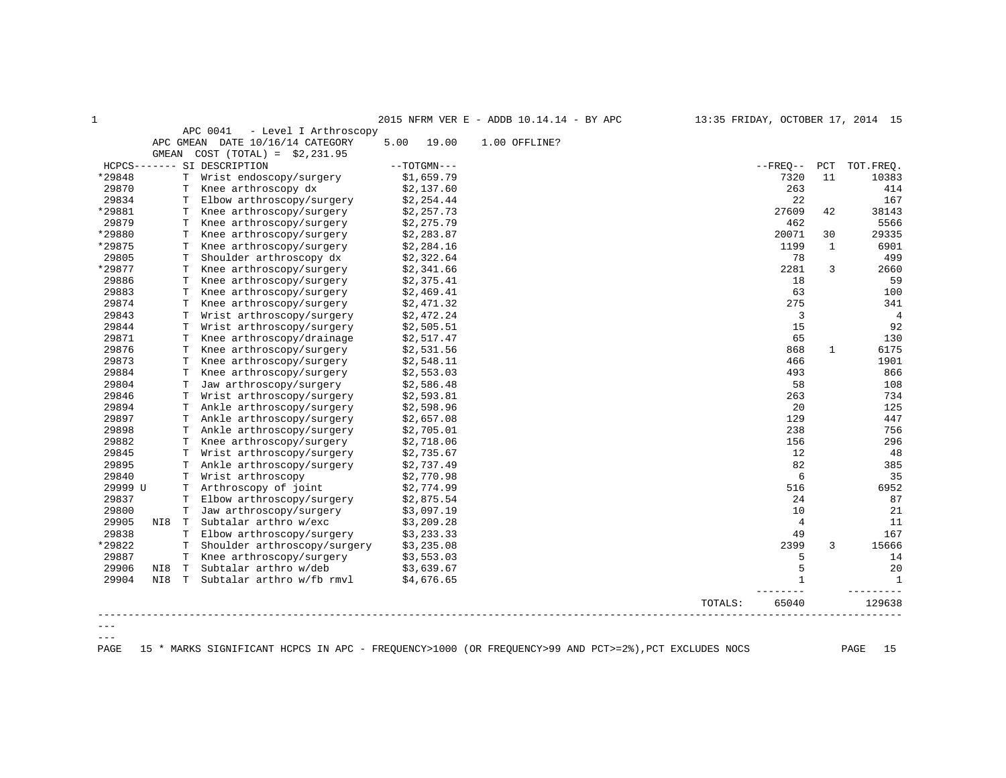1 2015 NFRM VER E - ADDB 10.14.14 - BY APC 13:35 FRIDAY, OCTOBER 17, 2014 15

| APC 0041<br>- Level I Arthroscopy<br>DATE 10/16/14 CATEGORY<br>APC GMEAN<br>5.00<br>19.00<br>1.00 OFFLINE?<br>GMEAN<br>$COST (TOTAL) = $2,231.95$<br>$--TOTGMN---$<br>HCPCS------- SI DESCRIPTION<br>$--$ FREO $--$<br>*29848<br>T<br>Wrist endoscopy/surgery<br>7320<br>\$1,659.79<br>29870<br>\$2,137.60<br>263<br>Knee arthroscopy dx<br>T<br>29834<br>22<br>Elbow arthroscopy/surgery<br>\$2,254.44<br>T<br>*29881<br>27609<br>Knee arthroscopy/surgery<br>\$2,257.73<br>Т<br>29879<br>462<br>Knee arthroscopy/surgery<br>\$2,275.79<br>T<br>*29880<br>Knee arthroscopy/surgery<br>\$2,283.87<br>20071<br>Т<br>*29875<br>1199<br>Knee arthroscopy/surgery<br>\$2,284.16<br>T<br>29805<br>Shoulder arthroscopy dx<br>78<br>T<br>\$2,322.64<br>*29877<br>2281<br>Knee arthroscopy/surgery<br>\$2,341.66<br>T<br>29886<br>18<br>T<br>Knee arthroscopy/surgery<br>\$2,375.41<br>29883<br>63<br>Knee arthroscopy/surgery<br>\$2,469.41<br>T<br>29874<br>Knee arthroscopy/surgery<br>275<br>T<br>\$2,471.32<br>29843<br>3<br>Wrist arthroscopy/surgery<br>\$2,472.24<br>T<br>29844<br>15<br>\$2,505.51<br>T<br>Wrist arthroscopy/surgery<br>29871<br>65<br>Т<br>Knee arthroscopy/drainage<br>\$2,517.47<br>29876<br>Knee arthroscopy/surgery<br>\$2,531.56<br>868<br>т<br>29873<br>Knee arthroscopy/surgery<br>\$2,548.11<br>466<br>T<br>29884<br>Knee arthroscopy/surgery<br>\$2,553.03<br>493<br>T<br>29804<br>Jaw arthroscopy/surgery<br>58<br>\$2,586.48<br>т<br>29846<br>Wrist arthroscopy/surgery<br>\$2,593.81<br>263<br>т<br>29894<br>20<br>T<br>Ankle arthroscopy/surgery<br>\$2,598.96 | PCT<br>11    | TOT. FREQ.<br>10383<br>414 |
|------------------------------------------------------------------------------------------------------------------------------------------------------------------------------------------------------------------------------------------------------------------------------------------------------------------------------------------------------------------------------------------------------------------------------------------------------------------------------------------------------------------------------------------------------------------------------------------------------------------------------------------------------------------------------------------------------------------------------------------------------------------------------------------------------------------------------------------------------------------------------------------------------------------------------------------------------------------------------------------------------------------------------------------------------------------------------------------------------------------------------------------------------------------------------------------------------------------------------------------------------------------------------------------------------------------------------------------------------------------------------------------------------------------------------------------------------------------------------------------------------------------------------------------------------------------------------------------------|--------------|----------------------------|
|                                                                                                                                                                                                                                                                                                                                                                                                                                                                                                                                                                                                                                                                                                                                                                                                                                                                                                                                                                                                                                                                                                                                                                                                                                                                                                                                                                                                                                                                                                                                                                                                |              |                            |
|                                                                                                                                                                                                                                                                                                                                                                                                                                                                                                                                                                                                                                                                                                                                                                                                                                                                                                                                                                                                                                                                                                                                                                                                                                                                                                                                                                                                                                                                                                                                                                                                |              |                            |
|                                                                                                                                                                                                                                                                                                                                                                                                                                                                                                                                                                                                                                                                                                                                                                                                                                                                                                                                                                                                                                                                                                                                                                                                                                                                                                                                                                                                                                                                                                                                                                                                |              |                            |
|                                                                                                                                                                                                                                                                                                                                                                                                                                                                                                                                                                                                                                                                                                                                                                                                                                                                                                                                                                                                                                                                                                                                                                                                                                                                                                                                                                                                                                                                                                                                                                                                |              |                            |
|                                                                                                                                                                                                                                                                                                                                                                                                                                                                                                                                                                                                                                                                                                                                                                                                                                                                                                                                                                                                                                                                                                                                                                                                                                                                                                                                                                                                                                                                                                                                                                                                |              |                            |
|                                                                                                                                                                                                                                                                                                                                                                                                                                                                                                                                                                                                                                                                                                                                                                                                                                                                                                                                                                                                                                                                                                                                                                                                                                                                                                                                                                                                                                                                                                                                                                                                |              | 167                        |
|                                                                                                                                                                                                                                                                                                                                                                                                                                                                                                                                                                                                                                                                                                                                                                                                                                                                                                                                                                                                                                                                                                                                                                                                                                                                                                                                                                                                                                                                                                                                                                                                | 42           | 38143                      |
|                                                                                                                                                                                                                                                                                                                                                                                                                                                                                                                                                                                                                                                                                                                                                                                                                                                                                                                                                                                                                                                                                                                                                                                                                                                                                                                                                                                                                                                                                                                                                                                                |              | 5566                       |
|                                                                                                                                                                                                                                                                                                                                                                                                                                                                                                                                                                                                                                                                                                                                                                                                                                                                                                                                                                                                                                                                                                                                                                                                                                                                                                                                                                                                                                                                                                                                                                                                | 30           | 29335                      |
|                                                                                                                                                                                                                                                                                                                                                                                                                                                                                                                                                                                                                                                                                                                                                                                                                                                                                                                                                                                                                                                                                                                                                                                                                                                                                                                                                                                                                                                                                                                                                                                                | $\mathbf{1}$ | 6901                       |
|                                                                                                                                                                                                                                                                                                                                                                                                                                                                                                                                                                                                                                                                                                                                                                                                                                                                                                                                                                                                                                                                                                                                                                                                                                                                                                                                                                                                                                                                                                                                                                                                |              | 499                        |
|                                                                                                                                                                                                                                                                                                                                                                                                                                                                                                                                                                                                                                                                                                                                                                                                                                                                                                                                                                                                                                                                                                                                                                                                                                                                                                                                                                                                                                                                                                                                                                                                | 3            | 2660                       |
|                                                                                                                                                                                                                                                                                                                                                                                                                                                                                                                                                                                                                                                                                                                                                                                                                                                                                                                                                                                                                                                                                                                                                                                                                                                                                                                                                                                                                                                                                                                                                                                                |              | 59                         |
|                                                                                                                                                                                                                                                                                                                                                                                                                                                                                                                                                                                                                                                                                                                                                                                                                                                                                                                                                                                                                                                                                                                                                                                                                                                                                                                                                                                                                                                                                                                                                                                                |              | 100                        |
|                                                                                                                                                                                                                                                                                                                                                                                                                                                                                                                                                                                                                                                                                                                                                                                                                                                                                                                                                                                                                                                                                                                                                                                                                                                                                                                                                                                                                                                                                                                                                                                                |              | 341                        |
|                                                                                                                                                                                                                                                                                                                                                                                                                                                                                                                                                                                                                                                                                                                                                                                                                                                                                                                                                                                                                                                                                                                                                                                                                                                                                                                                                                                                                                                                                                                                                                                                |              | $\overline{4}$             |
|                                                                                                                                                                                                                                                                                                                                                                                                                                                                                                                                                                                                                                                                                                                                                                                                                                                                                                                                                                                                                                                                                                                                                                                                                                                                                                                                                                                                                                                                                                                                                                                                |              | 92                         |
|                                                                                                                                                                                                                                                                                                                                                                                                                                                                                                                                                                                                                                                                                                                                                                                                                                                                                                                                                                                                                                                                                                                                                                                                                                                                                                                                                                                                                                                                                                                                                                                                |              | 130                        |
|                                                                                                                                                                                                                                                                                                                                                                                                                                                                                                                                                                                                                                                                                                                                                                                                                                                                                                                                                                                                                                                                                                                                                                                                                                                                                                                                                                                                                                                                                                                                                                                                | 1            | 6175                       |
|                                                                                                                                                                                                                                                                                                                                                                                                                                                                                                                                                                                                                                                                                                                                                                                                                                                                                                                                                                                                                                                                                                                                                                                                                                                                                                                                                                                                                                                                                                                                                                                                |              | 1901                       |
|                                                                                                                                                                                                                                                                                                                                                                                                                                                                                                                                                                                                                                                                                                                                                                                                                                                                                                                                                                                                                                                                                                                                                                                                                                                                                                                                                                                                                                                                                                                                                                                                |              | 866                        |
|                                                                                                                                                                                                                                                                                                                                                                                                                                                                                                                                                                                                                                                                                                                                                                                                                                                                                                                                                                                                                                                                                                                                                                                                                                                                                                                                                                                                                                                                                                                                                                                                |              | 108                        |
|                                                                                                                                                                                                                                                                                                                                                                                                                                                                                                                                                                                                                                                                                                                                                                                                                                                                                                                                                                                                                                                                                                                                                                                                                                                                                                                                                                                                                                                                                                                                                                                                |              | 734                        |
|                                                                                                                                                                                                                                                                                                                                                                                                                                                                                                                                                                                                                                                                                                                                                                                                                                                                                                                                                                                                                                                                                                                                                                                                                                                                                                                                                                                                                                                                                                                                                                                                |              | 125                        |
| 29897<br>Ankle arthroscopy/surgery<br>\$2,657.08<br>129<br>T                                                                                                                                                                                                                                                                                                                                                                                                                                                                                                                                                                                                                                                                                                                                                                                                                                                                                                                                                                                                                                                                                                                                                                                                                                                                                                                                                                                                                                                                                                                                   |              | 447                        |
| 29898<br>Ankle arthroscopy/surgery<br>238<br>\$2,705.01<br>т                                                                                                                                                                                                                                                                                                                                                                                                                                                                                                                                                                                                                                                                                                                                                                                                                                                                                                                                                                                                                                                                                                                                                                                                                                                                                                                                                                                                                                                                                                                                   |              | 756                        |
| 29882<br>156<br>Knee arthroscopy/surgery<br>\$2,718.06<br>T                                                                                                                                                                                                                                                                                                                                                                                                                                                                                                                                                                                                                                                                                                                                                                                                                                                                                                                                                                                                                                                                                                                                                                                                                                                                                                                                                                                                                                                                                                                                    |              | 296                        |
| 29845<br>Wrist arthroscopy/surgery<br>\$2,735.67<br>12<br>T                                                                                                                                                                                                                                                                                                                                                                                                                                                                                                                                                                                                                                                                                                                                                                                                                                                                                                                                                                                                                                                                                                                                                                                                                                                                                                                                                                                                                                                                                                                                    |              | 48                         |
| 82<br>29895<br>Ankle arthroscopy/surgery<br>T<br>\$2,737.49                                                                                                                                                                                                                                                                                                                                                                                                                                                                                                                                                                                                                                                                                                                                                                                                                                                                                                                                                                                                                                                                                                                                                                                                                                                                                                                                                                                                                                                                                                                                    |              | 385                        |
| 29840<br>6<br>Wrist arthroscopy<br>\$2,770.98<br>T                                                                                                                                                                                                                                                                                                                                                                                                                                                                                                                                                                                                                                                                                                                                                                                                                                                                                                                                                                                                                                                                                                                                                                                                                                                                                                                                                                                                                                                                                                                                             |              | 35                         |
| 29999 U<br>Arthroscopy of joint<br>\$2,774.99<br>516<br>T                                                                                                                                                                                                                                                                                                                                                                                                                                                                                                                                                                                                                                                                                                                                                                                                                                                                                                                                                                                                                                                                                                                                                                                                                                                                                                                                                                                                                                                                                                                                      |              | 6952                       |
| 29837<br>24<br>Elbow arthroscopy/surgery<br>\$2,875.54<br>T                                                                                                                                                                                                                                                                                                                                                                                                                                                                                                                                                                                                                                                                                                                                                                                                                                                                                                                                                                                                                                                                                                                                                                                                                                                                                                                                                                                                                                                                                                                                    |              | 87                         |
| 29800<br>Jaw arthroscopy/surgery<br>10<br>T<br>\$3,097.19                                                                                                                                                                                                                                                                                                                                                                                                                                                                                                                                                                                                                                                                                                                                                                                                                                                                                                                                                                                                                                                                                                                                                                                                                                                                                                                                                                                                                                                                                                                                      |              | 21                         |
| 29905<br>Subtalar arthro w/exc<br>$\overline{4}$<br>\$3,209.28<br>NI8<br>T                                                                                                                                                                                                                                                                                                                                                                                                                                                                                                                                                                                                                                                                                                                                                                                                                                                                                                                                                                                                                                                                                                                                                                                                                                                                                                                                                                                                                                                                                                                     |              | 11                         |
| 29838<br>Elbow arthroscopy/surgery<br>\$3,233.33<br>49<br>T                                                                                                                                                                                                                                                                                                                                                                                                                                                                                                                                                                                                                                                                                                                                                                                                                                                                                                                                                                                                                                                                                                                                                                                                                                                                                                                                                                                                                                                                                                                                    |              | 167                        |
| *29822<br>Shoulder arthroscopy/surgery<br>2399<br>T<br>\$3,235.08                                                                                                                                                                                                                                                                                                                                                                                                                                                                                                                                                                                                                                                                                                                                                                                                                                                                                                                                                                                                                                                                                                                                                                                                                                                                                                                                                                                                                                                                                                                              | 3            | 15666                      |
| 29887<br>Knee arthroscopy/surgery<br>T<br>\$3,553.03<br>5                                                                                                                                                                                                                                                                                                                                                                                                                                                                                                                                                                                                                                                                                                                                                                                                                                                                                                                                                                                                                                                                                                                                                                                                                                                                                                                                                                                                                                                                                                                                      |              | 14                         |
| 29906<br>Subtalar arthro w/deb<br>5<br>NI8<br>T<br>\$3,639.67                                                                                                                                                                                                                                                                                                                                                                                                                                                                                                                                                                                                                                                                                                                                                                                                                                                                                                                                                                                                                                                                                                                                                                                                                                                                                                                                                                                                                                                                                                                                  |              | 20                         |
| 29904<br>Subtalar arthro w/fb rmvl<br>NI8<br>\$4,676.65<br>1<br>T                                                                                                                                                                                                                                                                                                                                                                                                                                                                                                                                                                                                                                                                                                                                                                                                                                                                                                                                                                                                                                                                                                                                                                                                                                                                                                                                                                                                                                                                                                                              |              | $\mathbf{1}$               |
| TOTALS:<br>65040                                                                                                                                                                                                                                                                                                                                                                                                                                                                                                                                                                                                                                                                                                                                                                                                                                                                                                                                                                                                                                                                                                                                                                                                                                                                                                                                                                                                                                                                                                                                                                               |              | 129638                     |

 $--\,$  $---$ 

PAGE 15 \* MARKS SIGNIFICANT HCPCS IN APC - FREQUENCY>1000 (OR FREQUENCY>99 AND PCT>=2%),PCT EXCLUDES NOCS PAGE 15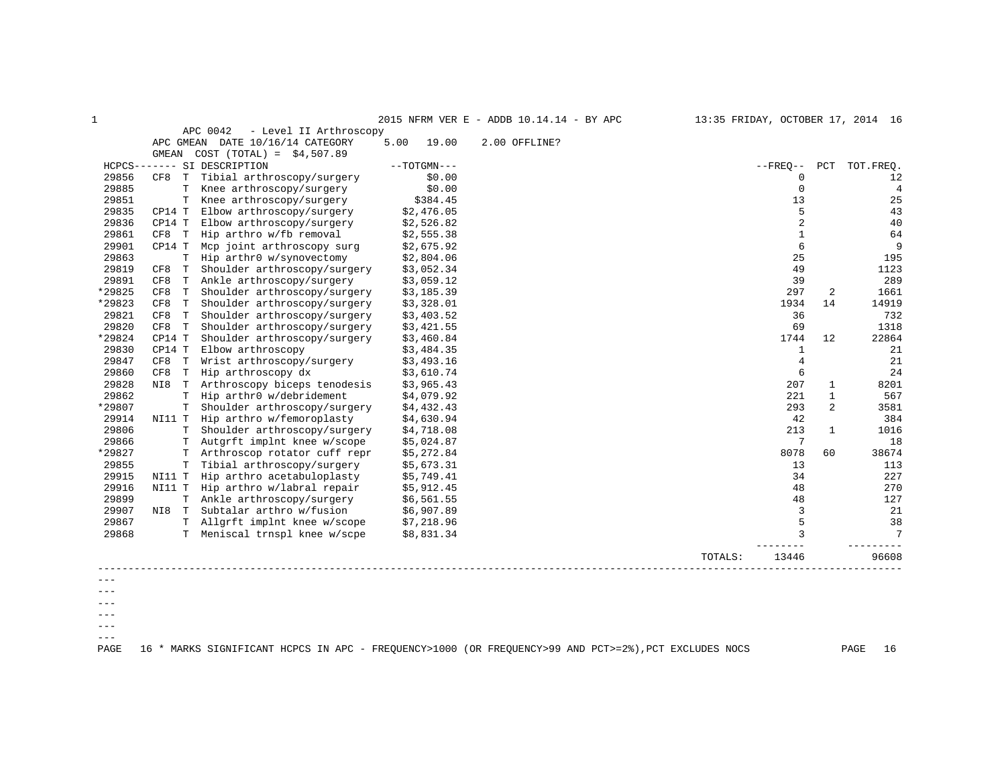| 1      |                    |                                    |      |               | 2015 NFRM VER E - ADDB 10.14.14 - BY APC |         |                |              | 13:35 FRIDAY, OCTOBER 17, 2014 16 |
|--------|--------------------|------------------------------------|------|---------------|------------------------------------------|---------|----------------|--------------|-----------------------------------|
|        |                    | APC 0042<br>- Level II Arthroscopy |      |               |                                          |         |                |              |                                   |
|        |                    | APC GMEAN DATE 10/16/14 CATEGORY   | 5.00 | 19.00         | 2.00 OFFLINE?                            |         |                |              |                                   |
|        |                    | GMEAN COST $(TOTAL) = $4,507.89$   |      |               |                                          |         |                |              |                                   |
|        |                    | HCPCS------- SI DESCRIPTION        |      | $--TOTGMN---$ |                                          |         | $--$ FREO $--$ | PCT          | TOT.FREO.                         |
| 29856  | CF8<br>T           | Tibial arthroscopy/surgery         |      | \$0.00        |                                          |         | $\Omega$       |              | 12                                |
| 29885  | T                  | Knee arthroscopy/surgery           |      | \$0.00        |                                          |         | $\mathbf 0$    |              | $\overline{4}$                    |
| 29851  | T                  | Knee arthroscopy/surgery           |      | \$384.45      |                                          |         | 13             |              | 25                                |
| 29835  | CP14 T             | Elbow arthroscopy/surgery          |      | \$2,476.05    |                                          |         | 5              |              | 43                                |
| 29836  | CP14 T             | Elbow arthroscopy/surgery          |      | \$2,526.82    |                                          |         | $\overline{2}$ |              | 40                                |
| 29861  | CF8 T              | Hip arthro w/fb removal            |      | \$2,555.38    |                                          |         | $\mathbf{1}$   |              | 64                                |
| 29901  | CP14 T             | Mcp joint arthroscopy surg         |      | \$2,675.92    |                                          |         | 6              |              | 9                                 |
| 29863  | T                  | Hip arthr0 w/synovectomy           |      | \$2,804.06    |                                          |         | 25             |              | 195                               |
| 29819  | CF8<br>T           | Shoulder arthroscopy/surgery       |      | \$3,052.34    |                                          |         | 49             |              | 1123                              |
| 29891  | CF8<br>T           | Ankle arthroscopy/surgery          |      | \$3,059.12    |                                          |         | 39             |              | 289                               |
| *29825 | CF8<br>T           | Shoulder arthroscopy/surgery       |      | \$3,185.39    |                                          |         | 297            | 2            | 1661                              |
| *29823 | T<br>CF8           | Shoulder arthroscopy/surgery       |      | \$3,328.01    |                                          |         | 1934           | 14           | 14919                             |
| 29821  | CF8 T              | Shoulder arthroscopy/surgery       |      | \$3,403.52    |                                          |         | 36             |              | 732                               |
| 29820  | CF8 T              | Shoulder arthroscopy/surgery       |      | \$3,421.55    |                                          |         | 69             |              | 1318                              |
| *29824 | CP14 T             | Shoulder arthroscopy/surgery       |      | \$3,460.84    |                                          |         | 1744           | 12           | 22864                             |
| 29830  | CP14 T             | Elbow arthroscopy                  |      | \$3,484.35    |                                          |         | $\mathbf{1}$   |              | 21                                |
| 29847  | CF8<br>T           | Wrist arthroscopy/surgery          |      | \$3,493.16    |                                          |         | $\overline{4}$ |              | 21                                |
| 29860  | $\mathbf T$<br>CF8 | Hip arthroscopy dx                 |      | \$3,610.74    |                                          |         | 6              |              | 24                                |
| 29828  | NI8<br>T           | Arthroscopy biceps tenodesis       |      | \$3,965.43    |                                          |         | 207            | $\mathbf{1}$ | 8201                              |
| 29862  | T                  | Hip arthr0 w/debridement           |      | \$4,079.92    |                                          |         | 221            | 1            | 567                               |
| *29807 |                    | Shoulder arthroscopy/surgery       |      | \$4,432.43    |                                          |         | 293            | 2            | 3581                              |
| 29914  | NI11 T             | Hip arthro w/femoroplasty          |      | \$4,630.94    |                                          |         | 42             |              | 384                               |
| 29806  | T                  | Shoulder arthroscopy/surgery       |      | \$4,718.08    |                                          |         | 213            | $\mathbf{1}$ | 1016                              |
| 29866  | т                  | Autgrft implnt knee w/scope        |      | \$5,024.87    |                                          |         | 7              |              | 18                                |
| *29827 | т                  | Arthroscop rotator cuff repr       |      | \$5,272.84    |                                          |         | 8078           | 60           | 38674                             |
| 29855  | T                  | Tibial arthroscopy/surgery         |      | \$5,673.31    |                                          |         | 13             |              | 113                               |
| 29915  | NI11 T             | Hip arthro acetabuloplasty         |      | \$5,749.41    |                                          |         | 34             |              | 227                               |
| 29916  | NI11 T             | Hip arthro w/labral repair         |      | \$5,912.45    |                                          |         | 48             |              | 270                               |
| 29899  | $\mathbf T$        | Ankle arthroscopy/surgery          |      | \$6,561.55    |                                          |         | 48             |              | 127                               |
| 29907  | NI8 T              | Subtalar arthro w/fusion           |      | \$6,907.89    |                                          |         | 3              |              | 21                                |
| 29867  |                    | T Allgrft implnt knee w/scope      |      | \$7,218.96    |                                          |         | 5              |              | 38                                |
| 29868  | T                  | Meniscal trnspl knee w/scpe        |      | \$8,831.34    |                                          |         |                |              | 7                                 |
|        |                    |                                    |      |               |                                          | TOTALS: | 13446          |              | 96608                             |
|        |                    |                                    |      |               |                                          |         |                |              |                                   |
|        |                    |                                    |      |               |                                          |         |                |              |                                   |

---  $--\,$  $---$ 

 $--\,$  $---$ 

PAGE 16 \* MARKS SIGNIFICANT HCPCS IN APC - FREQUENCY>1000 (OR FREQUENCY>99 AND PCT>=2%),PCT EXCLUDES NOCS PAGE 16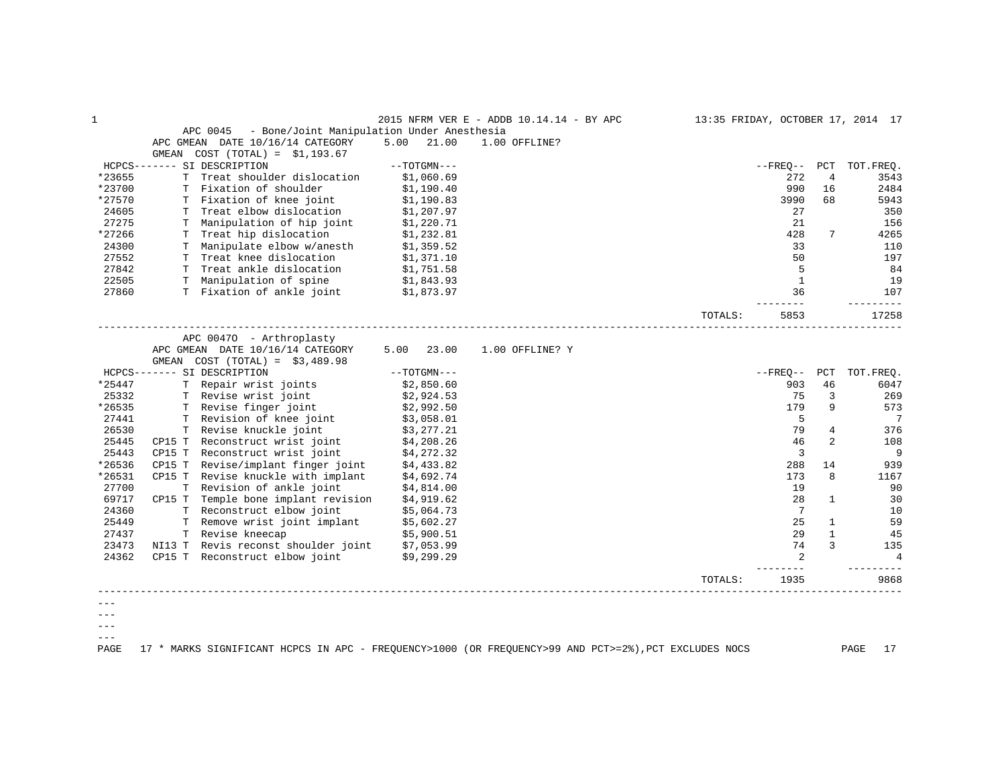| 1      |        |                                                        |               | 2015 NFRM VER E - ADDB 10.14.14 - BY APC |         |                     |              | 13:35 FRIDAY, OCTOBER 17, 2014 17 |
|--------|--------|--------------------------------------------------------|---------------|------------------------------------------|---------|---------------------|--------------|-----------------------------------|
|        |        | APC 0045<br>- Bone/Joint Manipulation Under Anesthesia |               |                                          |         |                     |              |                                   |
|        |        | APC GMEAN DATE 10/16/14 CATEGORY                       | 5.00<br>21.00 | 1.00 OFFLINE?                            |         |                     |              |                                   |
|        | GMEAN  | $COST (TOTAL) = $1,193.67$                             |               |                                          |         |                     |              |                                   |
|        |        | HCPCS------- SI DESCRIPTION                            | $--TOTGMN---$ |                                          |         | --FREO--            | PCT          | TOT.FREQ.                         |
| *23655 |        | T Treat shoulder dislocation                           | \$1,060.69    |                                          |         | 272                 | 4            | 3543                              |
| *23700 |        | T Fixation of shoulder                                 | \$1,190.40    |                                          |         | 990                 | 16           | 2484                              |
| *27570 |        | T Fixation of knee joint                               | \$1,190.83    |                                          |         | 3990                | 68           | 5943                              |
| 24605  |        | T Treat elbow dislocation                              | \$1,207.97    |                                          |         | 27                  |              | 350                               |
| 27275  |        | T Manipulation of hip joint                            | \$1,220.71    |                                          |         | 21                  |              | 156                               |
| *27266 |        | T Treat hip dislocation                                | \$1,232.81    |                                          |         | 428                 | 7            | 4265                              |
| 24300  |        | T Manipulate elbow w/anesth                            | \$1,359.52    |                                          |         | 33                  |              | 110                               |
| 27552  |        | T Treat knee dislocation                               | \$1,371.10    |                                          |         | 50                  |              | 197                               |
| 27842  |        | T Treat ankle dislocation                              | \$1,751.58    |                                          |         | -5                  |              | - 84                              |
| 22505  |        | T Manipulation of spine \$1,843.93                     |               |                                          |         | $\mathbf{1}$        |              | 19                                |
| 27860  |        | T Fixation of ankle joint                              | \$1,873.97    |                                          |         | 36                  |              | 107                               |
|        |        |                                                        |               |                                          | TOTALS: | -------<br>5853     |              | ----------<br>17258               |
|        |        |                                                        |               |                                          |         |                     |              |                                   |
|        |        | APC 00470 - Arthroplasty                               |               |                                          |         |                     |              |                                   |
|        |        | APC GMEAN DATE 10/16/14 CATEGORY                       | 23.00<br>5.00 | 1.00 OFFLINE? Y                          |         |                     |              |                                   |
|        |        | GMEAN $COST (TOTAL) = $3,489.98$                       |               |                                          |         |                     |              |                                   |
|        |        | HCPCS------- SI DESCRIPTION                            | $--TOTGMN---$ |                                          |         | --FREO--            | PCT          | TOT.FREO.                         |
| *25447 |        | T Repair wrist joints                                  | \$2,850.60    |                                          |         | 903                 | 46           | 6047                              |
| 25332  |        | T Revise wrist joint                                   | \$2,924.53    |                                          |         | 75                  | 3            | 269                               |
| *26535 |        | T Revise finger joint                                  | \$2,992.50    |                                          |         | 179                 | 9            | 573                               |
| 27441  |        | T Revision of knee joint                               | \$3,058.01    |                                          |         | 5                   |              | $\overline{7}$                    |
| 26530  |        | T Revise knuckle joint                                 | \$3,277.21    |                                          |         | 79                  | 4            | 376                               |
| 25445  |        | CP15 T Reconstruct wrist joint                         | \$4,208.26    |                                          |         | 46                  | 2            | 108                               |
| 25443  |        | CP15 T Reconstruct wrist joint                         | \$4,272.32    |                                          |         | $\overline{3}$      |              | 9                                 |
| *26536 |        | CP15 T Revise/implant finger joint                     | \$4,433.82    |                                          |         | 288                 | 14           | 939                               |
| *26531 |        | CP15 T Revise knuckle with implant                     | \$4,692.74    |                                          |         | 173                 | 8            | 1167                              |
| 27700  |        | T Revision of ankle joint                              | \$4,814.00    |                                          |         | 19                  |              | 90                                |
| 69717  |        | CP15 T Temple bone implant revision                    | \$4,919.62    |                                          |         | 28                  | $\mathbf{1}$ | 30                                |
| 24360  |        | T Reconstruct elbow joint                              | \$5,064.73    |                                          |         | 7                   |              | 10                                |
| 25449  |        | T Remove wrist joint implant                           | \$5,602.27    |                                          |         | 25                  | $\mathbf{1}$ | 59                                |
| 27437  |        | T Revise kneecap                                       | \$5,900.51    |                                          |         | 29                  | $\mathbf{1}$ | 45                                |
| 23473  | NI13 T | Revis reconst shoulder joint                           | \$7,053.99    |                                          |         | 74                  | 3            | 135                               |
| 24362  |        | CP15 T Reconstruct elbow joint                         | \$9,299.29    |                                          |         | $\overline{2}$      |              | $\overline{4}$                    |
|        |        |                                                        |               |                                          | TOTALS: | $- - - - -$<br>1935 |              | 9868                              |
|        |        |                                                        |               |                                          |         |                     |              |                                   |
|        |        |                                                        |               |                                          |         |                     |              |                                   |
|        |        |                                                        |               |                                          |         |                     |              |                                   |
| $---$  |        |                                                        |               |                                          |         |                     |              |                                   |

PAGE 17 \* MARKS SIGNIFICANT HCPCS IN APC - FREQUENCY>1000 (OR FREQUENCY>99 AND PCT>=2%),PCT EXCLUDES NOCS PAGE 17

 $---$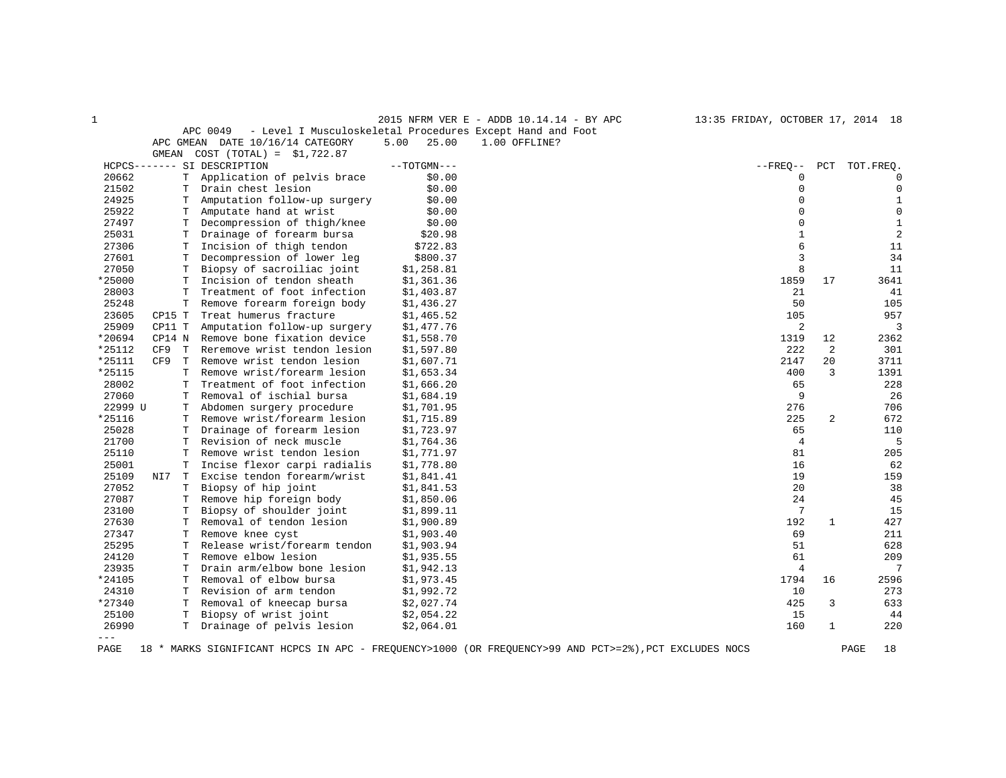1 2015 NFRM VER E - ADDB 10.14.14 - BY APC 13:35 FRIDAY, OCTOBER 17, 2014 18

|                                  | APC 0049 - Level I Musculoskeletal Procedures Except Hand and Foot |                          |  |
|----------------------------------|--------------------------------------------------------------------|--------------------------|--|
| APC GMEAN DATE 10/16/14 CATEGORY |                                                                    | 5.00 25.00 1.00 OFFLINE? |  |

|                     | GMEAN  |    | $COST (TOTAL) = $1,722.87$   |               |                |     |                |
|---------------------|--------|----|------------------------------|---------------|----------------|-----|----------------|
|                     |        |    | HCPCS------- SI DESCRIPTION  | $--TOTGMN---$ | $--$ FREO $--$ | PCT | TOT.FREO.      |
| 20662               |        | Т  | Application of pelvis brace  | \$0.00        | 0              |     | $\mathbf 0$    |
| 21502               |        | т  | Drain chest lesion           | \$0.00        | $\mathbf 0$    |     | $\mathbf 0$    |
| 24925               |        | T  | Amputation follow-up surgery | \$0.00        | $\Omega$       |     | $\mathbf{1}$   |
| 25922               |        | т  | Amputate hand at wrist       | \$0.00        | $\mathbf 0$    |     | 0              |
| 27497               |        | T  | Decompression of thigh/knee  | \$0.00        | $\Omega$       |     | $1\,$          |
| 25031               |        | т  | Drainage of forearm bursa    | \$20.98       | 1              |     | $\overline{2}$ |
| 27306               |        | т  | Incision of thigh tendon     | \$722.83      | 6              |     | 11             |
| 27601               |        | т  | Decompression of lower leg   | \$800.37      | 3              |     | 34             |
| 27050               |        | Т  | Biopsy of sacroiliac joint   | \$1,258.81    | 8              |     | 11             |
| *25000              |        | т  | Incision of tendon sheath    | \$1,361.36    | 1859           | 17  | 3641           |
| 28003               |        | T  | Treatment of foot infection  | \$1,403.87    | 21             |     | 41             |
| 25248               |        | Т  | Remove forearm foreign body  | \$1,436.27    | 50             |     | 105            |
| 23605               | CP15 T |    | Treat humerus fracture       | \$1,465.52    | 105            |     | 957            |
| 25909               | CP11 T |    | Amputation follow-up surgery | \$1,477.76    | 2              |     | 3              |
| *20694              | CP14 N |    | Remove bone fixation device  | \$1,558.70    | 1319           | 12  | 2362           |
| *25112              | CF9    | T  | Reremove wrist tendon lesion | \$1,597.80    | 222            | 2   | 301            |
| *25111              | CF9    | T  | Remove wrist tendon lesion   | \$1,607.71    | 2147           | 20  | 3711           |
| *25115              |        | т  | Remove wrist/forearm lesion  | \$1,653.34    | 400            | 3   | 1391           |
| 28002               |        | Т  | Treatment of foot infection  | \$1,666.20    | 65             |     | 228            |
| 27060               |        | т  | Removal of ischial bursa     | \$1,684.19    | 9              |     | 26             |
| 22999 U             |        | T  | Abdomen surgery procedure    | \$1,701.95    | 276            |     | 706            |
| *25116              |        | T. | Remove wrist/forearm lesion  | \$1,715.89    | 225            | 2   | 672            |
| 25028               |        | т  | Drainage of forearm lesion   | \$1,723.97    | 65             |     | 110            |
| 21700               |        | т  | Revision of neck muscle      | \$1,764.36    | 4              |     | 5              |
| 25110               |        | Т  | Remove wrist tendon lesion   | \$1,771.97    | 81             |     | 205            |
| 25001               |        | T  | Incise flexor carpi radialis | \$1,778.80    | 16             |     | 62             |
| 25109               | NI7    | T  | Excise tendon forearm/wrist  | \$1,841.41    | 19             |     | 159            |
| 27052               |        | т  | Biopsy of hip joint          | \$1,841.53    | 20             |     | 38             |
| 27087               |        | т  | Remove hip foreign body      | \$1,850.06    | 24             |     | 45             |
| 23100               |        | Т  | Biopsy of shoulder joint     | \$1,899.11    | 7              |     | 15             |
| 27630               |        | T  | Removal of tendon lesion     | \$1,900.89    | 192            | 1   | 427            |
| 27347               |        | т  | Remove knee cyst             | \$1,903.40    | 69             |     | 211            |
| 25295               |        | T  | Release wrist/forearm tendon | \$1,903.94    | 51             |     | 628            |
| 24120               |        | т  | Remove elbow lesion          | \$1,935.55    | 61             |     | 209            |
| 23935               |        | т  | Drain arm/elbow bone lesion  | \$1,942.13    | 4              |     | 7              |
| *24105              |        | т  | Removal of elbow bursa       | \$1,973.45    | 1794           | 16  | 2596           |
| 24310               |        | T  | Revision of arm tendon       | \$1,992.72    | 10             |     | 273            |
| *27340              |        | T  | Removal of kneecap bursa     | \$2,027.74    | 425            | 3   | 633            |
| 25100               |        | т  | Biopsy of wrist joint        | \$2,054.22    | 15             |     | 44             |
| 26990               |        | т  | Drainage of pelvis lesion    | \$2,064.01    | 160            | 1   | 220            |
| $\qquad \qquad - -$ |        |    |                              |               |                |     |                |

PAGE 18 \* MARKS SIGNIFICANT HCPCS IN APC - FREQUENCY>1000 (OR FREQUENCY>99 AND PCT>=2%),PCT EXCLUDES NOCS PAGE 18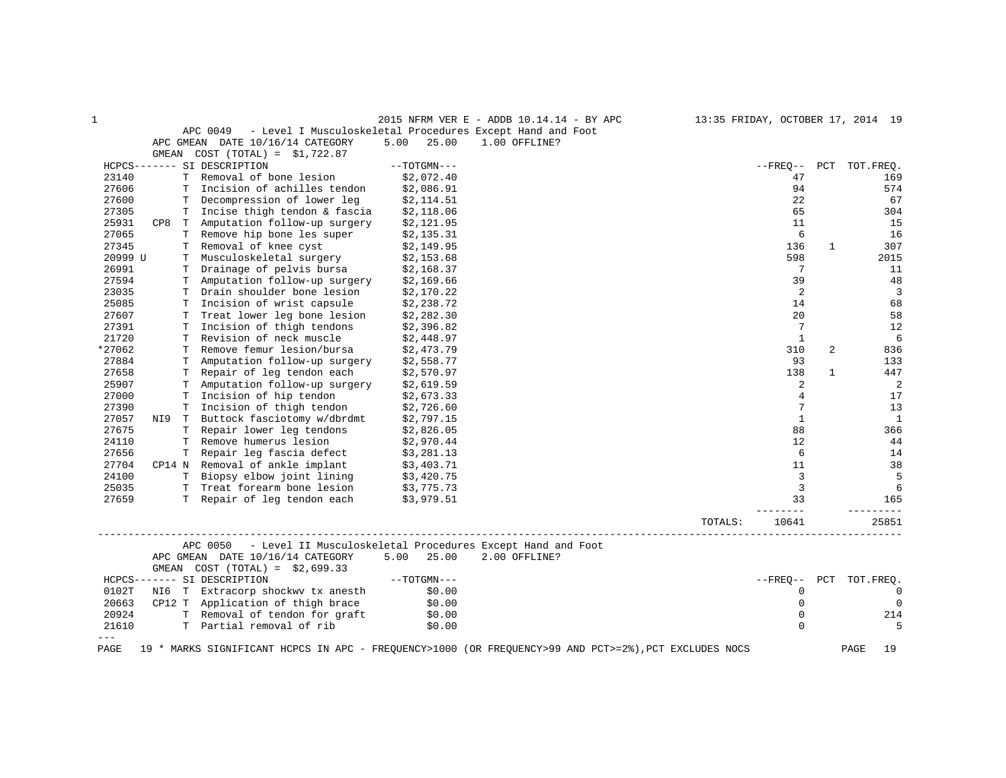| $\mathbf{1}$    |                                                                                                         |               | 2015 NFRM VER E - ADDB 10.14.14 - BY APC                                                              | 13:35 FRIDAY, OCTOBER 17, 2014 19 |              |                        |
|-----------------|---------------------------------------------------------------------------------------------------------|---------------|-------------------------------------------------------------------------------------------------------|-----------------------------------|--------------|------------------------|
|                 | APC 0049                                                                                                |               | - Level I Musculoskeletal Procedures Except Hand and Foot                                             |                                   |              |                        |
|                 | APC GMEAN DATE 10/16/14 CATEGORY                                                                        | 5.00<br>25.00 | 1.00 OFFLINE?                                                                                         |                                   |              |                        |
|                 | GMEAN COST $(TOTAL) = $1,722.87$                                                                        |               |                                                                                                       |                                   |              |                        |
|                 | HCPCS------- SI DESCRIPTION                                                                             | $--TOTGMN---$ |                                                                                                       |                                   |              | --FREO-- PCT TOT.FREO. |
| 23140           | T Removal of bone lesion                                                                                | \$2,072.40    |                                                                                                       | 47                                |              | 169                    |
| 27606           | T Incision of achilles tendon                                                                           | \$2,086.91    |                                                                                                       | 94                                |              | 574                    |
| 27600           | T Decompression of lower leg                                                                            | \$2,114.51    |                                                                                                       | 22                                |              | 67                     |
| 27305           | T Incise thigh tendon & fascia                                                                          | \$2,118.06    |                                                                                                       | 65                                |              | 304                    |
| 25931           | CP8 T Amputation follow-up surgery                                                                      | \$2,121.95    |                                                                                                       | 11                                |              | 15                     |
| 27065           | T Remove hip bone les super                                                                             | \$2,135.31    |                                                                                                       | 6                                 |              | 16                     |
| 27345           | T Removal of knee cyst                                                                                  | \$2,149.95    |                                                                                                       | 136                               | $\mathbf{1}$ | 307                    |
| 20999 U         | T Musculoskeletal surgery                                                                               | \$2,153.68    |                                                                                                       | 598                               |              | 2015                   |
| 26991           | T Drainage of pelvis bursa                                                                              | \$2,168.37    |                                                                                                       | $7\phantom{.0}$                   |              | 11                     |
| 27594           | T Amputation follow-up surgery                                                                          | \$2,169.66    |                                                                                                       | 39                                |              | 48                     |
| 23035           | T Drain shoulder bone lesion                                                                            | \$2,170.22    |                                                                                                       | 2                                 |              | $\overline{3}$         |
| 25085           | T Incision of wrist capsule                                                                             | \$2,238.72    |                                                                                                       | 14                                |              | 68                     |
| 27607           | T Treat lower leg bone lesion                                                                           | \$2,282.30    |                                                                                                       | 20                                |              | 58                     |
| 27391           | T Incision of thigh tendons                                                                             | \$2,396.82    |                                                                                                       | 7                                 |              | 12                     |
| 21720           | T Revision of neck muscle                                                                               | \$2,448.97    |                                                                                                       | $\mathbf{1}$                      |              | 6                      |
| *27062          | T Remove femur lesion/bursa                                                                             | \$2,473.79    |                                                                                                       | 310                               | 2            | 836                    |
| 27884           | T Amputation follow-up surgery                                                                          | \$2,558.77    |                                                                                                       | 93                                |              | 133                    |
| 27658           | T Repair of leg tendon each                                                                             | \$2,570.97    |                                                                                                       | 138                               | $\mathbf{1}$ | 447                    |
| 25907           | T Amputation follow-up surgery                                                                          | \$2,619.59    |                                                                                                       | 2                                 |              | 2                      |
| 27000           | T Incision of hip tendon                                                                                | \$2,673.33    |                                                                                                       | $\overline{4}$                    |              | 17                     |
| 27390           | T Incision of thigh tendon                                                                              | \$2,726.60    |                                                                                                       | 7                                 |              | 13                     |
| 27057           | NI9 T Buttock fasciotomy w/dbrdmt                                                                       | \$2,797.15    |                                                                                                       | $\mathbf{1}$                      |              | $\mathbf{1}$           |
| 27675           | T Repair lower leg tendons                                                                              | \$2,826.05    |                                                                                                       | 88                                |              | 366                    |
| 24110           | T Remove humerus lesion                                                                                 | \$2,970.44    |                                                                                                       | $12 \overline{ }$                 |              | 44                     |
| 27656           | T Repair leg fascia defect                                                                              | \$3,281.13    |                                                                                                       | 6                                 |              | 14                     |
| 27704           | CP14 N Removal of ankle implant                                                                         | \$3,403.71    |                                                                                                       | 11                                |              | 38                     |
| 24100           | T Biopsy elbow joint lining<br>T Treat forearm bone lesion                                              | \$3,420.75    |                                                                                                       | $\overline{3}$                    |              | 5                      |
| 25035           |                                                                                                         | \$3,775.73    |                                                                                                       | $\overline{3}$                    |              | 6                      |
| 27659           | T Repair of leg tendon each                                                                             | \$3,979.51    |                                                                                                       | 33                                |              | 165                    |
|                 |                                                                                                         |               | TOTALS:                                                                                               | -------<br>10641                  |              | _________<br>25851     |
|                 | APC 0050 - Level II Musculoskeletal Procedures Except Hand and Foot<br>APC GMEAN DATE 10/16/14 CATEGORY | 5.00 25.00    | 2.00 OFFLINE?                                                                                         |                                   |              |                        |
|                 | GMEAN $COST (TOTAL) = $2,699.33$                                                                        |               |                                                                                                       |                                   |              |                        |
|                 | HCPCS------- SI DESCRIPTION                                                                             | $--TOTGMN---$ |                                                                                                       | $- FREO--$                        | PCT          | TOT.FREQ.              |
| 0102T           | NI6 T Extracorp shockwy tx anesth                                                                       | \$0.00        |                                                                                                       | $\mathbf{0}$                      |              | $\overline{0}$         |
| 20663           | CP12 T Application of thigh brace                                                                       | \$0.00        |                                                                                                       | $\mathbf{0}$                      |              | $\overline{0}$         |
| 20924           | T Removal of tendon for graft                                                                           | \$0.00        |                                                                                                       | $\mathbf 0$                       |              | 214                    |
| 21610           | T Partial removal of rib                                                                                | \$0.00        |                                                                                                       | $\Omega$                          |              | 5                      |
| $- - -$<br>PAGE |                                                                                                         |               | 19 * MARKS SIGNIFICANT HCPCS IN APC - FREQUENCY>1000 (OR FREQUENCY>99 AND PCT>=2%), PCT EXCLUDES NOCS |                                   |              | PAGE<br>19             |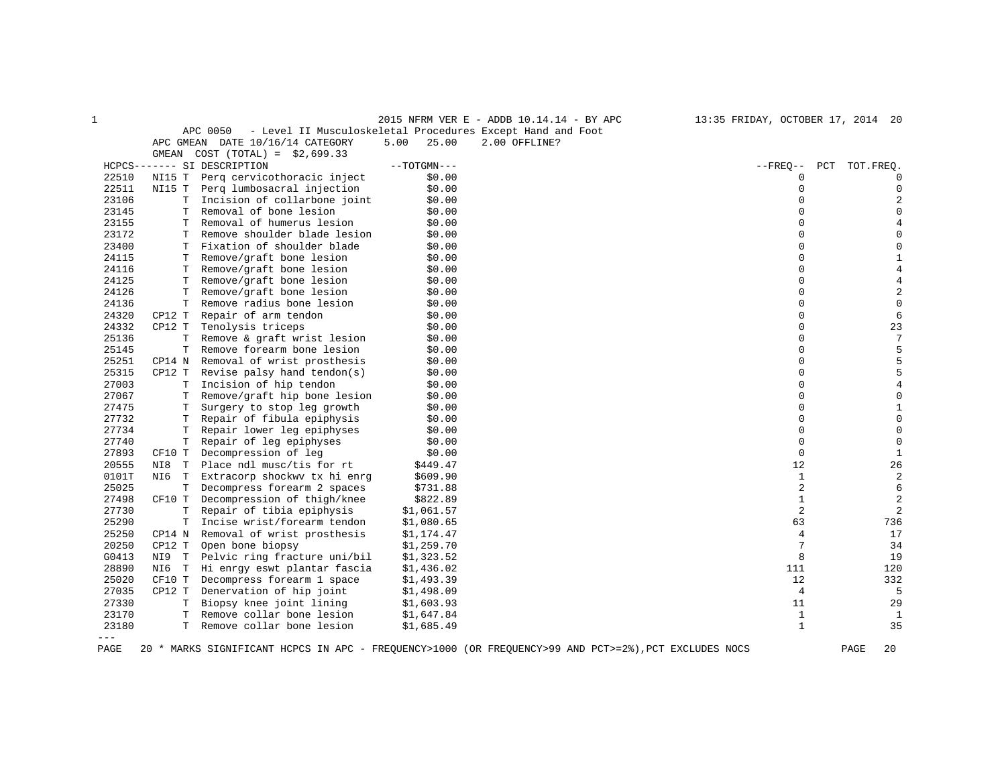|                |                  |                                                        |                          | 2015 NFRM VER E - ADDB 10.14.14 - BY APC                                                              | 13:35 FRIDAY, OCTOBER 17, 2014 20 |                         |
|----------------|------------------|--------------------------------------------------------|--------------------------|-------------------------------------------------------------------------------------------------------|-----------------------------------|-------------------------|
|                |                  | APC 0050                                               |                          | - Level II Musculoskeletal Procedures Except Hand and Foot                                            |                                   |                         |
|                |                  | APC GMEAN DATE 10/16/14 CATEGORY                       | 5.00<br>25.00            | 2.00 OFFLINE?                                                                                         |                                   |                         |
|                | GMEAN            | $COST (TOTAL) = $2,699.33$                             |                          |                                                                                                       |                                   |                         |
|                |                  | HCPCS------- SI DESCRIPTION                            | $--TOTGMN---$            |                                                                                                       | $--$ FREO $--$                    | PCT<br>TOT.FREO.        |
| 22510          | NI15 T           | Perg cervicothoracic inject                            | \$0.00                   |                                                                                                       | 0                                 | U                       |
| 22511          | NI15 T           | Perg lumbosacral injection                             | \$0.00                   |                                                                                                       | 0                                 |                         |
| 23106          | T                | Incision of collarbone joint                           | \$0.00                   |                                                                                                       | $\Omega$                          |                         |
| 23145          | т                | Removal of bone lesion                                 | \$0.00                   |                                                                                                       | $\Omega$                          | 0                       |
| 23155          | т                | Removal of humerus lesion                              | \$0.00                   |                                                                                                       | 0                                 |                         |
| 23172          | т                | Remove shoulder blade lesion                           | \$0.00                   |                                                                                                       | $\Omega$                          | O                       |
| 23400          | т                | Fixation of shoulder blade                             | \$0.00                   |                                                                                                       | 0                                 | 0                       |
| 24115          | Т                | Remove/graft bone lesion                               | \$0.00                   |                                                                                                       | 0                                 | $\mathbf{1}$            |
| 24116          | T.               | Remove/graft bone lesion                               | \$0.00                   |                                                                                                       | $\Omega$                          | 4                       |
| 24125          | Т                | Remove/graft bone lesion                               | \$0.00                   |                                                                                                       | 0                                 |                         |
| 24126          | T                | Remove/graft bone lesion                               | \$0.00                   |                                                                                                       | 0                                 | $\overline{a}$          |
| 24136          | T                | Remove radius bone lesion                              | \$0.00                   |                                                                                                       | 0                                 | $\mathbf 0$             |
| 24320          | CP12 T           | Repair of arm tendon                                   | \$0.00                   |                                                                                                       | 0                                 | 6                       |
| 24332          | CP12 T           | Tenolysis triceps                                      | \$0.00                   |                                                                                                       | 0                                 | 23                      |
| 25136          | $\mathbf T$      | Remove & graft wrist lesion                            | \$0.00                   |                                                                                                       | 0                                 | 7                       |
| 25145          | T                | Remove forearm bone lesion                             | \$0.00                   |                                                                                                       | $\Omega$                          | 5                       |
| 25251          | CP14 N           | Removal of wrist prosthesis                            | \$0.00                   |                                                                                                       | 0                                 | 5                       |
| 25315          | CP12 T           | Revise palsy hand tendon(s)                            | \$0.00                   |                                                                                                       | 0                                 | 5                       |
| 27003          | т                | Incision of hip tendon                                 | \$0.00                   |                                                                                                       | $\Omega$                          | 4                       |
| 27067          | Т                | Remove/graft hip bone lesion                           | \$0.00                   |                                                                                                       | 0                                 | 0                       |
| 27475          | т                | Surgery to stop leg growth                             | \$0.00                   |                                                                                                       | 0                                 | 1                       |
| 27732          | Т                | Repair of fibula epiphysis                             | \$0.00                   |                                                                                                       | 0                                 | $\Omega$                |
| 27734          | Т                | Repair lower leg epiphyses                             | \$0.00                   |                                                                                                       | 0                                 | 0                       |
| 27740          | T                | Repair of leg epiphyses                                | \$0.00                   |                                                                                                       | 0                                 | 0                       |
| 27893          | CF10 T           | Decompression of leg                                   | \$0.00                   |                                                                                                       | 0                                 | $\mathbf{1}$            |
| 20555          | NI8<br>T         | Place ndl musc/tis for rt                              | \$449.47                 |                                                                                                       | 12                                | 26                      |
| 0101T          | NI6<br>T         | Extracorp shockwy tx hi enrg                           | \$609.90                 |                                                                                                       | $\mathbf{1}$                      | $\overline{\mathbf{c}}$ |
| 25025          | T.               | Decompress forearm 2 spaces                            | \$731.88                 |                                                                                                       | 2                                 | 6                       |
| 27498          | CF10 T           | Decompression of thigh/knee                            | \$822.89                 |                                                                                                       | $\mathbf{1}$                      | $\overline{a}$          |
| 27730          | $\mathbf T$      | Repair of tibia epiphysis                              | \$1,061.57               |                                                                                                       | 2                                 | $\overline{2}$          |
| 25290          | T                | Incise wrist/forearm tendon                            | \$1,080.65               |                                                                                                       | 63                                | 736                     |
| 25250          | CP14 N           | Removal of wrist prosthesis                            | \$1,174.47               |                                                                                                       | 4                                 | 17                      |
| 20250<br>G0413 | CP12 T           | Open bone biopsy                                       | \$1,259.70               |                                                                                                       | 7<br>8                            | 34<br>19                |
|                | NI9 T            | Pelvic ring fracture uni/bil                           | \$1,323.52               |                                                                                                       |                                   |                         |
| 28890          | NI6 T            | Hi enrgy eswt plantar fascia                           | \$1,436.02               |                                                                                                       | 111                               | 120                     |
| 25020<br>27035 | CF10 T<br>CP12 T | Decompress forearm 1 space<br>Denervation of hip joint | \$1,493.39               |                                                                                                       | 12<br>$\overline{4}$              | 332<br>5                |
|                |                  |                                                        | \$1,498.09               |                                                                                                       | 11                                |                         |
| 27330<br>23170 | Т<br>т           | Biopsy knee joint lining<br>Remove collar bone lesion  | \$1,603.93               |                                                                                                       | $\mathbf{1}$                      | 29<br>1                 |
| 23180          | T.               | Remove collar bone lesion                              | \$1,647.84<br>\$1,685.49 |                                                                                                       | $\mathbf{1}$                      | 35                      |
| $---$          |                  |                                                        |                          |                                                                                                       |                                   |                         |
|                |                  |                                                        |                          |                                                                                                       |                                   | 20                      |
| PAGE           |                  |                                                        |                          | 20 * MARKS SIGNIFICANT HCPCS IN APC - FREQUENCY>1000 (OR FREQUENCY>99 AND PCT>=2%), PCT EXCLUDES NOCS |                                   | PAGE                    |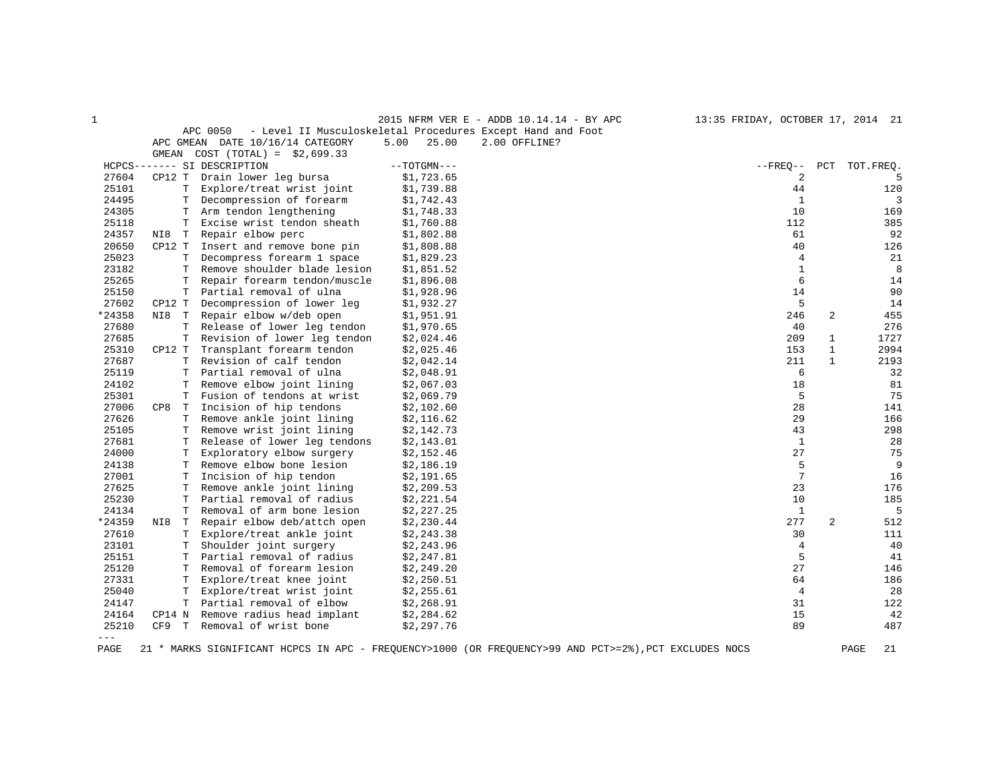| 1      |                    |                                  |               | 2015 NFRM VER E - ADDB 10.14.14 - BY APC                                                              | 13:35 FRIDAY, OCTOBER 17, 2014 21 |                |            |
|--------|--------------------|----------------------------------|---------------|-------------------------------------------------------------------------------------------------------|-----------------------------------|----------------|------------|
|        |                    | APC 0050                         |               | - Level II Musculoskeletal Procedures Except Hand and Foot                                            |                                   |                |            |
|        |                    | APC GMEAN DATE 10/16/14 CATEGORY | 5.00<br>25.00 | 2.00 OFFLINE?                                                                                         |                                   |                |            |
|        | GMEAN              | $COST (TOTAL) = $2,699.33$       |               |                                                                                                       |                                   |                |            |
|        |                    | HCPCS------- SI DESCRIPTION      | $--TOTGMN---$ |                                                                                                       | $--$ FREO $--$                    | PCT            | TOT.FREO.  |
| 27604  | CP12 T             | Drain lower leg bursa            | \$1,723.65    |                                                                                                       | 2                                 |                | 5          |
| 25101  | T                  | Explore/treat wrist joint        | \$1,739.88    |                                                                                                       | 44                                |                | 120        |
| 24495  | т                  | Decompression of forearm         | \$1,742.43    |                                                                                                       | $\mathbf{1}$                      |                | 3          |
| 24305  | Т                  | Arm tendon lengthening           | \$1,748.33    |                                                                                                       | 10                                |                | 169        |
| 25118  | T                  | Excise wrist tendon sheath       | \$1,760.88    |                                                                                                       | 112                               |                | 385        |
| 24357  | T<br>NI8           | Repair elbow perc                | \$1,802.88    |                                                                                                       | 61                                |                | 92         |
| 20650  | CP12 T             | Insert and remove bone pin       | \$1,808.88    |                                                                                                       | 40                                |                | 126        |
| 25023  | Т                  | Decompress forearm 1 space       | \$1,829.23    |                                                                                                       | $\overline{4}$                    |                | 21         |
| 23182  | т                  | Remove shoulder blade lesion     | \$1,851.52    |                                                                                                       | $\mathbf{1}$                      |                | 8          |
| 25265  | Т                  | Repair forearm tendon/muscle     | \$1,896.08    |                                                                                                       | 6                                 |                | 14         |
| 25150  | Т                  | Partial removal of ulna          | \$1,928.96    |                                                                                                       | 14                                |                | 90         |
| 27602  | CP12 T             | Decompression of lower leg       | \$1,932.27    |                                                                                                       | 5                                 |                | 14         |
| *24358 | T<br>NI8           | Repair elbow w/deb open          | \$1,951.91    |                                                                                                       | 246                               | 2              | 455        |
| 27680  | Т                  | Release of lower leg tendon      | \$1,970.65    |                                                                                                       | 40                                |                | 276        |
| 27685  | Т                  | Revision of lower leg tendon     | \$2,024.46    |                                                                                                       | 209                               | $\mathbf{1}$   | 1727       |
| 25310  | CP12 T             | Transplant forearm tendon        | \$2,025.46    |                                                                                                       | 153                               | $\mathbf{1}$   | 2994       |
| 27687  | Т                  | Revision of calf tendon          | \$2,042.14    |                                                                                                       | 211                               | $\mathbf{1}$   | 2193       |
| 25119  | T                  | Partial removal of ulna          | \$2,048.91    |                                                                                                       | 6                                 |                | 32         |
| 24102  | т                  | Remove elbow joint lining        | \$2,067.03    |                                                                                                       | 18                                |                | 81         |
| 25301  | Т                  | Fusion of tendons at wrist       | \$2,069.79    |                                                                                                       | 5                                 |                | 75         |
| 27006  | CP8<br>$\mathbb T$ | Incision of hip tendons          | \$2,102.60    |                                                                                                       | 28                                |                | 141        |
| 27626  | т                  | Remove ankle joint lining        | \$2,116.62    |                                                                                                       | 29                                |                | 166        |
| 25105  | т                  | Remove wrist joint lining        | \$2,142.73    |                                                                                                       | 43                                |                | 298        |
| 27681  | Т                  | Release of lower leg tendons     | \$2,143.01    |                                                                                                       | $\mathbf{1}$                      |                | 28         |
| 24000  | Т                  | Exploratory elbow surgery        | \$2,152.46    |                                                                                                       | 27                                |                | 75         |
| 24138  | т                  | Remove elbow bone lesion         | \$2,186.19    |                                                                                                       | 5                                 |                | 9          |
| 27001  | Т                  | Incision of hip tendon           | \$2,191.65    |                                                                                                       | 7                                 |                | 16         |
| 27625  | Т                  | Remove ankle joint lining        | \$2,209.53    |                                                                                                       | 23                                |                | 176        |
| 25230  | Т                  | Partial removal of radius        | \$2,221.54    |                                                                                                       | 10                                |                | 185        |
| 24134  | $\mathbf T$        | Removal of arm bone lesion       | \$2,227.25    |                                                                                                       | $\mathbf{1}$                      |                | 5          |
| *24359 | NI8<br>т           | Repair elbow deb/attch open      | \$2,230.44    |                                                                                                       | 277                               | $\overline{2}$ | 512        |
| 27610  | т                  | Explore/treat ankle joint        | \$2,243.38    |                                                                                                       | 30                                |                | 111        |
| 23101  | Т                  | Shoulder joint surgery           | \$2,243.96    |                                                                                                       | 4                                 |                | 40         |
| 25151  | т                  | Partial removal of radius        | \$2,247.81    |                                                                                                       | 5                                 |                | 41         |
| 25120  | Т                  | Removal of forearm lesion        | \$2,249.20    |                                                                                                       | 27                                |                | 146        |
| 27331  | Т                  | Explore/treat knee joint         | \$2,250.51    |                                                                                                       | 64                                |                | 186        |
| 25040  | т                  | Explore/treat wrist joint        | \$2,255.61    |                                                                                                       | $\overline{4}$                    |                | 28         |
| 24147  | T                  | Partial removal of elbow         | \$2,268.91    |                                                                                                       | 31                                |                | 122        |
| 24164  | CP14 N             | Remove radius head implant       | \$2,284.62    |                                                                                                       | 15                                |                | 42         |
| 25210  | CF9<br>T           | Removal of wrist bone            | \$2,297.76    |                                                                                                       | 89                                |                | 487        |
| $---$  |                    |                                  |               |                                                                                                       |                                   |                |            |
| PAGE   |                    |                                  |               | 21 * MARKS SIGNIFICANT HCPCS IN APC - FREQUENCY>1000 (OR FREQUENCY>99 AND PCT>=2%), PCT EXCLUDES NOCS |                                   |                | 21<br>PAGE |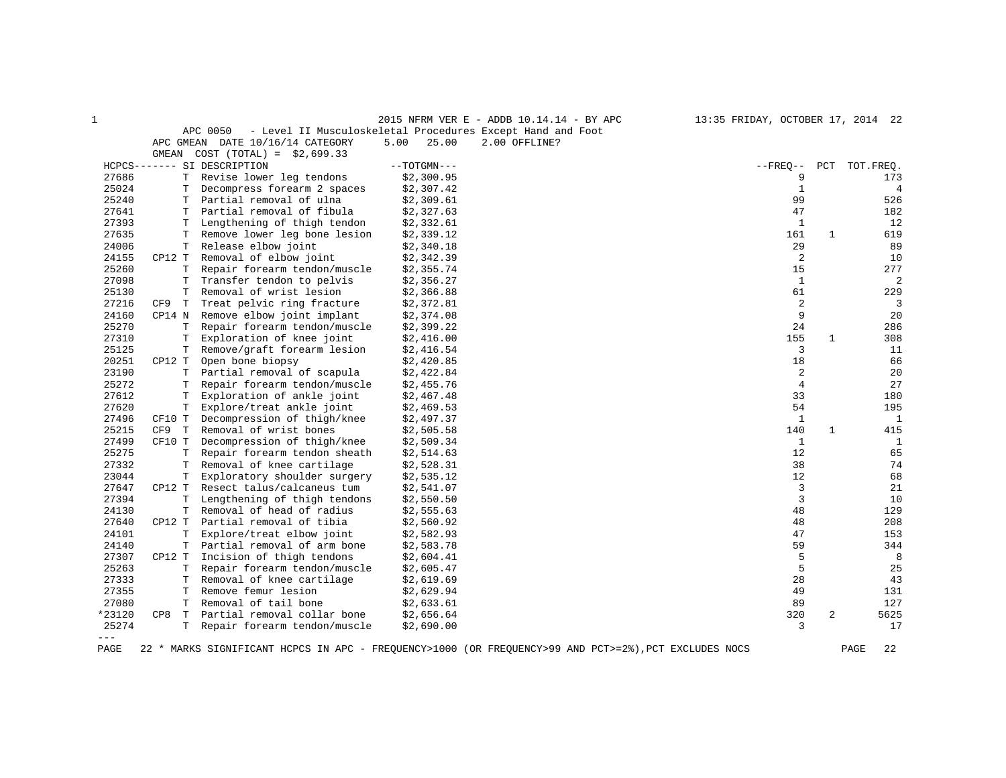|                     |          |                                  |               | 2015 NFRM VER E - ADDB 10.14.14 - BY APC<br>13:35 FRIDAY, OCTOBER 17, 2014 22                         |                     |                |
|---------------------|----------|----------------------------------|---------------|-------------------------------------------------------------------------------------------------------|---------------------|----------------|
|                     |          | APC 0050                         |               | - Level II Musculoskeletal Procedures Except Hand and Foot                                            |                     |                |
|                     |          | APC GMEAN DATE 10/16/14 CATEGORY | 5.00<br>25.00 | 2.00 OFFLINE?                                                                                         |                     |                |
|                     | GMEAN    | $COST (TOTAL) = $2,699.33$       |               |                                                                                                       |                     |                |
|                     |          | HCPCS------- SI DESCRIPTION      | $--TOTGMN---$ | $--$ FREQ--                                                                                           | PCT                 | TOT.FREQ.      |
| 27686               | T        | Revise lower leg tendons         | \$2,300.95    |                                                                                                       | 9                   | 173            |
| 25024               | Т        | Decompress forearm 2 spaces      | \$2,307.42    |                                                                                                       | $\mathbf{1}$        | $\overline{4}$ |
| 25240               | т        | Partial removal of ulna          | \$2,309.61    |                                                                                                       | 99                  | 526            |
| 27641               | т        | Partial removal of fibula        | \$2,327.63    |                                                                                                       | 47                  | 182            |
| 27393               | Т        | Lengthening of thigh tendon      | \$2,332.61    |                                                                                                       | $\mathbf{1}$        | 12             |
| 27635               | T        | Remove lower leg bone lesion     | \$2,339.12    |                                                                                                       | 161<br>$\mathbf{1}$ | 619            |
| 24006               | Т        | Release elbow joint              | \$2,340.18    |                                                                                                       | 29                  | 89             |
| 24155               | CP12 T   | Removal of elbow joint           | \$2,342.39    |                                                                                                       | 2                   | 10             |
| 25260               | т        | Repair forearm tendon/muscle     | \$2,355.74    |                                                                                                       | 15                  | 277            |
| 27098               | т        | Transfer tendon to pelvis        | \$2,356.27    |                                                                                                       | $\mathbf{1}$        | $\overline{2}$ |
| 25130               | T        | Removal of wrist lesion          | \$2,366.88    |                                                                                                       | 61                  | 229            |
| 27216               | CF9<br>т | Treat pelvic ring fracture       | \$2,372.81    |                                                                                                       | 2                   | 3              |
| 24160               | CP14 N   | Remove elbow joint implant       | \$2,374.08    |                                                                                                       | 9                   | 20             |
| 25270               | т        | Repair forearm tendon/muscle     | \$2,399.22    |                                                                                                       | 24                  | 286            |
| 27310               | Т        | Exploration of knee joint        | \$2,416.00    |                                                                                                       | 155<br>1            | 308            |
| 25125               | Т        | Remove/graft forearm lesion      | \$2,416.54    |                                                                                                       | 3                   | 11             |
| 20251               | CP12 T   | Open bone biopsy                 | \$2,420.85    |                                                                                                       | 18                  | 66             |
| 23190               | T.       | Partial removal of scapula       | \$2,422.84    |                                                                                                       | 2                   | 20             |
| 25272               | т        | Repair forearm tendon/muscle     | \$2,455.76    |                                                                                                       | 4                   | 27             |
| 27612               | Т        | Exploration of ankle joint       | \$2,467.48    |                                                                                                       | 33                  | 180            |
| 27620               | Т        | Explore/treat ankle joint        | \$2,469.53    |                                                                                                       | 54                  | 195            |
| 27496               | CF10 T   | Decompression of thigh/knee      | \$2,497.37    |                                                                                                       | $\mathbf{1}$        | $\mathbf{1}$   |
| 25215               | CF9<br>Т | Removal of wrist bones           | \$2,505.58    |                                                                                                       | 140<br>1            | 415            |
| 27499               | CF10 T   | Decompression of thigh/knee      | \$2,509.34    |                                                                                                       | $\mathbf{1}$        | 1              |
| 25275               | Т        | Repair forearm tendon sheath     | \$2,514.63    |                                                                                                       | 12                  | 65             |
| 27332               | т        | Removal of knee cartilage        | \$2,528.31    |                                                                                                       | 38                  | 74             |
| 23044               | Т        | Exploratory shoulder surgery     | \$2,535.12    |                                                                                                       | 12                  | 68             |
| 27647               | CP12 T   | Resect talus/calcaneus tum       | \$2,541.07    |                                                                                                       | 3                   | 21             |
| 27394               | Т        | Lengthening of thigh tendons     | \$2,550.50    |                                                                                                       | 3                   | 10             |
| 24130               | Т        | Removal of head of radius        | \$2,555.63    |                                                                                                       | 48                  | 129            |
| 27640               | CP12 T   | Partial removal of tibia         | \$2,560.92    |                                                                                                       | 48                  | 208            |
| 24101               | Т        | Explore/treat elbow joint        | \$2,582.93    |                                                                                                       | 47                  | 153            |
| 24140               | Т        | Partial removal of arm bone      | \$2,583.78    |                                                                                                       | 59                  | 344            |
| 27307               | CP12 T   | Incision of thigh tendons        | \$2,604.41    |                                                                                                       | 5                   | 8              |
| 25263               | т        | Repair forearm tendon/muscle     | \$2,605.47    |                                                                                                       | 5                   | 25             |
| 27333               | T        | Removal of knee cartilage        | \$2,619.69    |                                                                                                       | 28                  | 43             |
| 27355               | т        | Remove femur lesion              | \$2,629.94    |                                                                                                       | 49                  | 131            |
| 27080               | T        | Removal of tail bone             | \$2,633.61    |                                                                                                       | 89                  | 127            |
| *23120              | CP8<br>T | Partial removal collar bone      | \$2,656.64    |                                                                                                       | 320<br>2            | 5625           |
| 25274               | T.       | Repair forearm tendon/muscle     | \$2,690.00    |                                                                                                       | 3                   | 17             |
| $\qquad \qquad - -$ |          |                                  |               |                                                                                                       |                     |                |
| PAGE                |          |                                  |               | 22 * MARKS SIGNIFICANT HCPCS IN APC - FREQUENCY>1000 (OR FREQUENCY>99 AND PCT>=2%), PCT EXCLUDES NOCS |                     | PAGE<br>22     |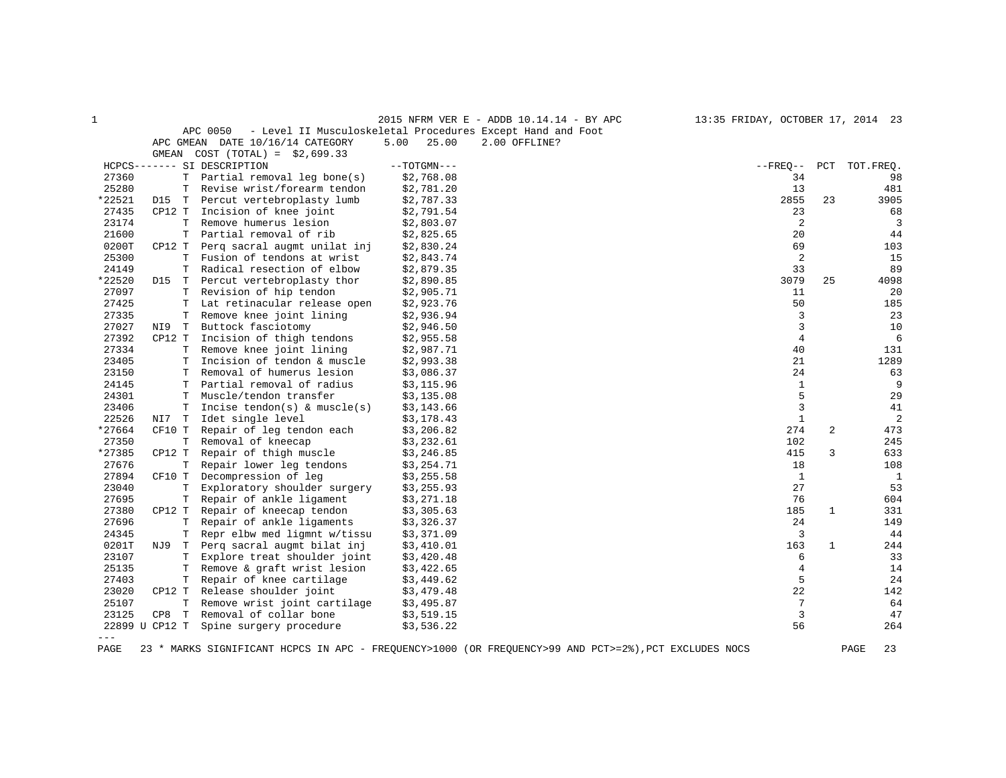| 1              |          |                                           |               | 2015 NFRM VER E - ADDB 10.14.14 - BY APC                   | 13:35 FRIDAY, OCTOBER 17, 2014 23 |              |              |
|----------------|----------|-------------------------------------------|---------------|------------------------------------------------------------|-----------------------------------|--------------|--------------|
|                |          | APC 0050                                  |               | - Level II Musculoskeletal Procedures Except Hand and Foot |                                   |              |              |
|                |          | APC GMEAN DATE 10/16/14 CATEGORY          | 5.00<br>25.00 | 2.00 OFFLINE?                                              |                                   |              |              |
|                | GMEAN    | $COST (TOTAL) = $2,699.33$                |               |                                                            |                                   |              |              |
|                |          | HCPCS------- SI DESCRIPTION               | $--TOTGMN---$ |                                                            | $- FREQ--$                        | PCT          | TOT.FREQ.    |
| 27360          |          | T<br>Partial removal leg bone(s)          | \$2,768.08    |                                                            | 34                                |              | 98           |
| 25280          |          | Revise wrist/forearm tendon<br>T          | \$2,781.20    |                                                            | 13                                |              | 481          |
| *22521         | D15 T    | Percut vertebroplasty lumb                | \$2,787.33    |                                                            | 2855                              | 23           | 3905         |
| 27435          | CP12 T   | Incision of knee joint                    | \$2,791.54    |                                                            | 23                                |              | 68           |
| 23174          |          | Remove humerus lesion<br>Т                | \$2,803.07    |                                                            | $\sqrt{2}$                        |              | 3            |
| 21600          |          | Partial removal of rib<br>T               | \$2,825.65    |                                                            | 20                                |              | 44           |
| 0200T          | CP12 T   | Perg sacral augmt unilat inj              | \$2,830.24    |                                                            | 69                                |              | 103          |
| 25300          |          | Fusion of tendons at wrist<br>т           | \$2,843.74    |                                                            | 2                                 |              | 15           |
| 24149          |          | $\mathbb T$<br>Radical resection of elbow | \$2,879.35    |                                                            | 33                                |              | 89           |
| *22520         | D15      | Percut vertebroplasty thor<br>т           | \$2,890.85    |                                                            | 3079                              | 25           | 4098         |
| 27097          |          | Revision of hip tendon<br>т               | \$2,905.71    |                                                            | 11                                |              | 20           |
| 27425          |          | Lat retinacular release open<br>T         | \$2,923.76    |                                                            | 50                                |              | 185          |
| 27335          |          | T<br>Remove knee joint lining             | \$2,936.94    |                                                            | 3                                 |              | 23           |
| 27027          | NI9<br>T | Buttock fasciotomy                        | \$2,946.50    |                                                            | 3                                 |              | 10           |
| 27392          | CP12 T   | Incision of thigh tendons                 | \$2,955.58    |                                                            | 4                                 |              | 6            |
| 27334          |          | Remove knee joint lining<br>т             | \$2,987.71    |                                                            | 40                                |              | 131          |
| 23405          |          | Incision of tendon & muscle<br>T          | \$2,993.38    |                                                            | 21                                |              | 1289         |
| 23150          |          | Removal of humerus lesion<br>т            | \$3,086.37    |                                                            | 24                                |              | 63           |
| 24145          |          | Partial removal of radius<br>т            | \$3,115.96    |                                                            | $\mathbf{1}$                      |              | 9            |
| 24301          |          | Muscle/tendon transfer<br>т               | \$3,135.08    |                                                            | 5                                 |              | 29           |
| 23406          |          | T<br>Incise tendon(s) & muscle(s)         | \$3,143.66    |                                                            | 3                                 |              | 41           |
| 22526          | NI7<br>T | Idet single level                         | \$3,178.43    |                                                            | $\mathbf{1}$                      |              | 2            |
| *27664         | CF10 T   | Repair of leg tendon each                 | \$3,206.82    |                                                            | 274                               | 2            | 473          |
| 27350          |          | Removal of kneecap<br>Т                   | \$3,232.61    |                                                            | 102                               |              | 245          |
| *27385         | CP12 T   | Repair of thigh muscle                    | \$3,246.85    |                                                            | 415                               | 3            | 633          |
| 27676          |          | Repair lower leg tendons<br>T             | \$3,254.71    |                                                            | 18                                |              | 108          |
| 27894          | CF10 T   | Decompression of leg                      | \$3,255.58    |                                                            | 1                                 |              | $\mathbf{1}$ |
| 23040          |          | T<br>Exploratory shoulder surgery         | \$3,255.93    |                                                            | 27                                |              | 53           |
| 27695          |          | Repair of ankle ligament<br>т             | \$3,271.18    |                                                            | 76                                |              | 604          |
| 27380          | CP12 T   | Repair of kneecap tendon                  | \$3,305.63    |                                                            | 185                               | 1            | 331          |
| 27696          |          | Repair of ankle ligaments<br>T            | \$3,326.37    |                                                            | 24                                |              | 149          |
| 24345          |          | Repr elbw med ligmnt w/tissu<br>т         | \$3,371.09    |                                                            | 3                                 |              | 44           |
| 0201T          | NJ 9     | Perg sacral augmt bilat inj<br>T          | \$3,410.01    |                                                            | 163                               | $\mathbf{1}$ | 244          |
| 23107          |          | Explore treat shoulder joint<br>т         | \$3,420.48    |                                                            | 6                                 |              | 33           |
| 25135          |          | Remove & graft wrist lesion<br>т          | \$3,422.65    |                                                            | 4                                 |              | 14           |
| 27403          |          | $\mathbf T$<br>Repair of knee cartilage   | \$3,449.62    |                                                            | 5                                 |              | 24           |
| 23020          | CP12 T   | Release shoulder joint                    | \$3,479.48    |                                                            | 22                                |              | 142          |
| 25107          |          | T<br>Remove wrist joint cartilage         | \$3,495.87    |                                                            | 7                                 |              | 64           |
| 23125          | CP8      | T<br>Removal of collar bone               | \$3,519.15    |                                                            | 3                                 |              | 47           |
| 22899 U CP12 T |          | Spine surgery procedure                   | \$3,536.22    |                                                            | 56                                |              | 264          |
| $\frac{1}{2}$  |          |                                           |               |                                                            |                                   |              |              |

PAGE 23 \* MARKS SIGNIFICANT HCPCS IN APC - FREQUENCY>1000 (OR FREQUENCY>99 AND PCT>=2%),PCT EXCLUDES NOCS PAGE 23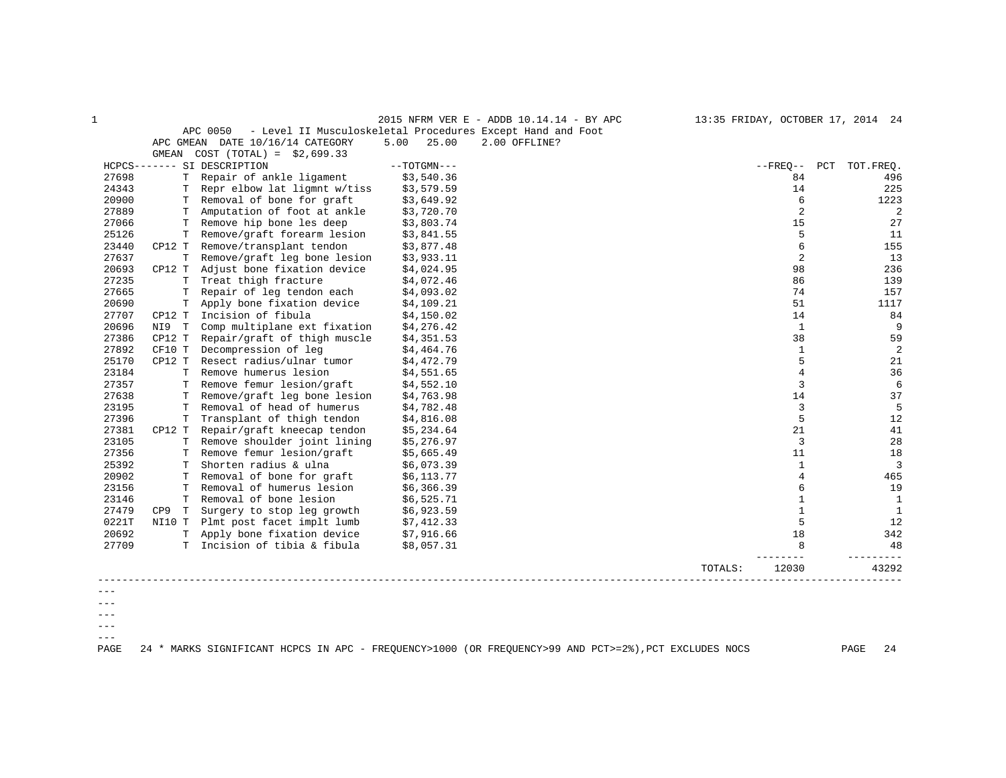|         |          |                                                                        |               | 2015 NFRM VER E - ADDB 10.14.14 - BY APC |         |                | 13:35 FRIDAY, OCTOBER 17, 2014 24 |
|---------|----------|------------------------------------------------------------------------|---------------|------------------------------------------|---------|----------------|-----------------------------------|
|         |          | APC 0050<br>- Level II Musculoskeletal Procedures Except Hand and Foot |               |                                          |         |                |                                   |
|         |          | APC GMEAN DATE 10/16/14 CATEGORY                                       | 25.00<br>5.00 | 2.00 OFFLINE?                            |         |                |                                   |
|         | GMEAN    | $COST (TOTAL) = $2,699.33$                                             |               |                                          |         |                |                                   |
|         |          | HCPCS------- SI DESCRIPTION                                            | $--TOTGMN---$ |                                          |         | $- FREQ--$     | PCT TOT.FREQ.                     |
| 27698   |          | T Repair of ankle ligament                                             | \$3,540.36    |                                          |         | 84             | 496                               |
| 24343   | T.       | Repr elbow lat ligmnt w/tiss                                           | \$3,579.59    |                                          |         | 14             | 225                               |
| 20900   |          | T Removal of bone for graft                                            | \$3,649.92    |                                          |         | 6              | 1223                              |
| 27889   |          | T Amputation of foot at ankle                                          | \$3,720.70    |                                          |         | 2              | 2                                 |
| 27066   | т        | Remove hip bone les deep                                               | \$3,803.74    |                                          |         | 15             | 27                                |
| 25126   | T.       | Remove/graft forearm lesion                                            | \$3,841.55    |                                          |         | 5              | 11                                |
| 23440   |          | CP12 T Remove/transplant tendon                                        | \$3,877.48    |                                          |         | 6              | 155                               |
| 27637   | Т        | Remove/graft leg bone lesion                                           | \$3,933.11    |                                          |         | 2              | 13                                |
| 20693   | CP12 T   | Adjust bone fixation device                                            | \$4,024.95    |                                          |         | 98             | 236                               |
| 27235   | T.       | Treat thigh fracture                                                   | \$4,072.46    |                                          |         | 86             | 139                               |
| 27665   | T        | Repair of leg tendon each                                              | \$4,093.02    |                                          |         | 74             | 157                               |
| 20690   | т        | Apply bone fixation device                                             | \$4,109.21    |                                          |         | 51             | 1117                              |
| 27707   | CP12 T   | Incision of fibula                                                     | \$4,150.02    |                                          |         | 14             | 84                                |
| 20696   | NI9 T    | Comp multiplane ext fixation                                           | \$4,276.42    |                                          |         | 1              | 9                                 |
| 27386   | CP12 T   | Repair/graft of thigh muscle                                           | \$4,351.53    |                                          |         | 38             | 59                                |
| 27892   | CF10 T   | Decompression of leg                                                   | \$4,464.76    |                                          |         | $\mathbf{1}$   | 2                                 |
| 25170   | CP12 T   | Resect radius/ulnar tumor                                              | \$4,472.79    |                                          |         | 5              | 21                                |
| 23184   | T.       | Remove humerus lesion                                                  | \$4,551.65    |                                          |         | $\overline{4}$ | 36                                |
| 27357   |          | T Remove femur lesion/graft                                            | \$4,552.10    |                                          |         | 3              | 6                                 |
| 27638   | T.       | Remove/graft leg bone lesion                                           | \$4,763.98    |                                          |         | 14             | 37                                |
| 23195   | т        | Removal of head of humerus                                             | \$4,782.48    |                                          |         | 3              | 5                                 |
| 27396   | T        | Transplant of thigh tendon                                             | \$4,816.08    |                                          |         | 5              | 12                                |
| 27381   | CP12 T   | Repair/graft kneecap tendon                                            | \$5,234.64    |                                          |         | 21             | 41                                |
| 23105   |          | T Remove shoulder joint lining                                         | \$5,276.97    |                                          |         | $\overline{3}$ | 28                                |
| 27356   | T.       | Remove femur lesion/graft                                              | \$5,665.49    |                                          |         | 11             | 18                                |
| 25392   | т        | Shorten radius & ulna                                                  | \$6,073.39    |                                          |         | $\mathbf{1}$   | 3                                 |
| 20902   | T.       | Removal of bone for graft                                              | \$6,113.77    |                                          |         | 4              | 465                               |
| 23156   | т        | Removal of humerus lesion                                              | \$6,366.39    |                                          |         | 6              | 19                                |
| 23146   | T.       | Removal of bone lesion                                                 | \$6,525.71    |                                          |         | $\mathbf{1}$   | $\mathbf{1}$                      |
| 27479   | T<br>CP9 | Surgery to stop leg growth                                             | \$6,923.59    |                                          |         | 1              | 1                                 |
| 0221T   | NI10 T   | Plmt post facet implt lumb                                             | \$7,412.33    |                                          |         | 5              | 12                                |
| 20692   | T.       | Apply bone fixation device                                             | \$7,916.66    |                                          |         | 18             | 342                               |
| 27709   |          | T Incision of tibia & fibula                                           | \$8,057.31    |                                          |         | 8              | 48                                |
|         |          |                                                                        |               |                                          |         |                |                                   |
|         |          |                                                                        |               |                                          | TOTALS: | 12030          | 43292                             |
|         |          |                                                                        |               |                                          |         |                |                                   |
|         |          |                                                                        |               |                                          |         |                |                                   |
|         |          |                                                                        |               |                                          |         |                |                                   |
| $- - -$ |          |                                                                        |               |                                          |         |                |                                   |

 $--\,$ 

 $---$ 

PAGE 24 \* MARKS SIGNIFICANT HCPCS IN APC - FREQUENCY>1000 (OR FREQUENCY>99 AND PCT>=2%),PCT EXCLUDES NOCS PAGE 24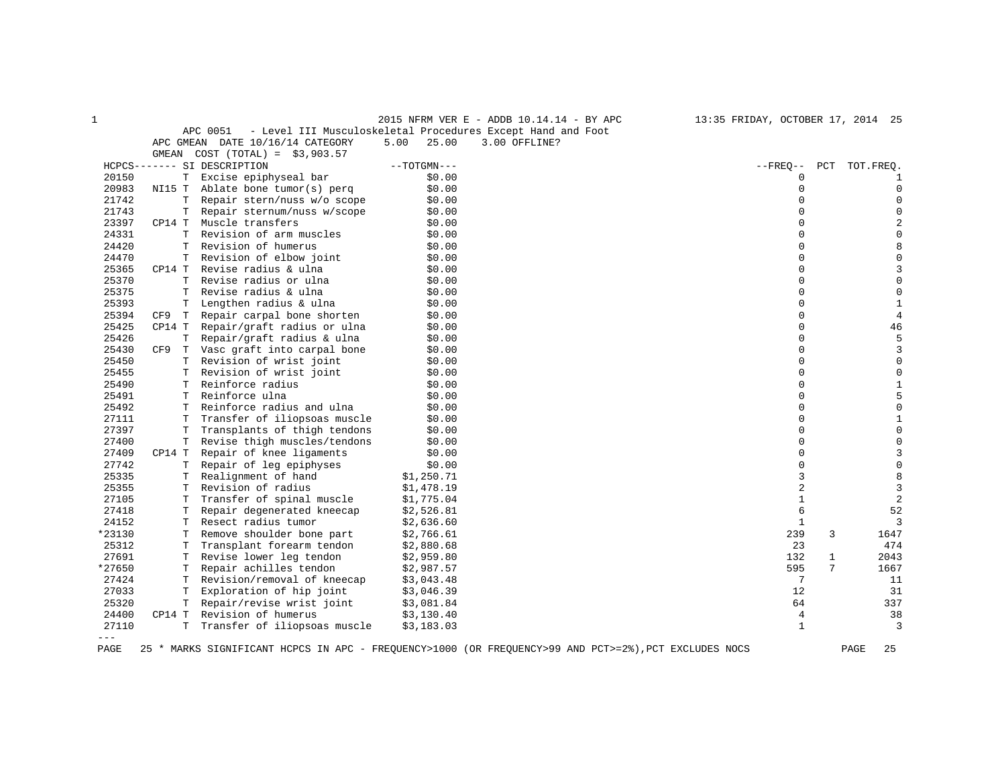|                |          |                                  |               | 2015 NFRM VER E - ADDB 10.14.14 - BY APC                                                              | 13:35 FRIDAY, OCTOBER 17, 2014 25 |                      |
|----------------|----------|----------------------------------|---------------|-------------------------------------------------------------------------------------------------------|-----------------------------------|----------------------|
|                |          | APC 0051                         |               | - Level III Musculoskeletal Procedures Except Hand and Foot                                           |                                   |                      |
|                |          | APC GMEAN DATE 10/16/14 CATEGORY | 5.00<br>25.00 | 3.00 OFFLINE?                                                                                         |                                   |                      |
|                | GMEAN    | $COST (TOTAL) = $3,903.57$       |               |                                                                                                       |                                   |                      |
|                |          | HCPCS------- SI DESCRIPTION      | $--TOTGMN---$ |                                                                                                       | $--$ FREO $--$                    | PCT<br>TOT.FREQ.     |
| 20150          |          | T Excise epiphyseal bar          | \$0.00        |                                                                                                       | $\Omega$                          | 1                    |
| 20983          |          | NI15 T Ablate bone tumor(s) perq | \$0.00        |                                                                                                       | $\mathbf 0$                       | $\mathbf 0$          |
| 21742          | Т        | Repair stern/nuss w/o scope      | \$0.00        |                                                                                                       | $\Omega$                          | $\mathbf{0}$         |
| 21743          | т        | Repair sternum/nuss w/scope      | \$0.00        |                                                                                                       | $\Omega$                          | $\mathbf{0}$         |
| 23397          | CP14 T   | Muscle transfers                 | \$0.00        |                                                                                                       | $\Omega$                          | 2                    |
| 24331          | T        | Revision of arm muscles          | \$0.00        |                                                                                                       | $\Omega$                          | $\mathbf 0$          |
| 24420          | Т        | Revision of humerus              | \$0.00        |                                                                                                       | $\Omega$                          | 8                    |
| 24470          | T        | Revision of elbow joint          | \$0.00        |                                                                                                       |                                   | $\mathbf{0}$         |
| 25365          | CP14 T   | Revise radius & ulna             | \$0.00        |                                                                                                       | $\Omega$                          | 3                    |
| 25370          | Т        | Revise radius or ulna            | \$0.00        |                                                                                                       | $\Omega$                          | $\mathsf 0$          |
| 25375          | T        | Revise radius & ulna             | \$0.00        |                                                                                                       | $\Omega$                          | $\mathbf 0$          |
| 25393          | Т        | Lengthen radius & ulna           | \$0.00        |                                                                                                       | $\Omega$                          | $\mathbf{1}$         |
| 25394          | CF9<br>T | Repair carpal bone shorten       | \$0.00        |                                                                                                       |                                   | $\overline{4}$       |
| 25425          | CP14 T   | Repair/graft radius or ulna      | \$0.00        |                                                                                                       | $\Omega$                          | 46                   |
| 25426          | T.       | Repair/graft radius & ulna       | \$0.00        |                                                                                                       | $\Omega$                          | 5                    |
| 25430          | CF9      | T Vasc graft into carpal bone    | \$0.00        |                                                                                                       | $\Omega$                          | 3                    |
| 25450          | Т        | Revision of wrist joint          | \$0.00        |                                                                                                       | $\Omega$                          | $\mathbf 0$          |
| 25455          | T        | Revision of wrist joint          | \$0.00        |                                                                                                       | $\Omega$                          | $\mathbf 0$          |
| 25490          | т        | Reinforce radius                 | \$0.00        |                                                                                                       | $\Omega$                          | $\mathbf{1}$         |
| 25491          | Т        | Reinforce ulna                   | \$0.00        |                                                                                                       | $\Omega$                          | 5                    |
| 25492          | Т        | Reinforce radius and ulna        | \$0.00        |                                                                                                       | $\Omega$                          | $\mathbf 0$          |
| 27111          | т        | Transfer of iliopsoas muscle     | \$0.00        |                                                                                                       | $\Omega$                          | 1                    |
| 27397          | T        | Transplants of thigh tendons     | \$0.00        |                                                                                                       | $\Omega$                          | $\mathbf 0$          |
| 27400          | T.       | Revise thigh muscles/tendons     | \$0.00        |                                                                                                       | $\Omega$                          | $\mathbf 0$          |
| 27409          | CP14 T   | Repair of knee ligaments         | \$0.00        |                                                                                                       | $\Omega$                          | 3                    |
| 27742          | Т        | Repair of leg epiphyses          | \$0.00        |                                                                                                       | $\Omega$                          | $\mathsf 0$          |
| 25335          | T.       | Realignment of hand              | \$1,250.71    |                                                                                                       | 3                                 | 8                    |
| 25355          | T        | Revision of radius               | \$1,478.19    |                                                                                                       | 2                                 | $\overline{3}$       |
| 27105          | Т        | Transfer of spinal muscle        | \$1,775.04    |                                                                                                       | $\mathbf 1$                       | $\sqrt{2}$           |
| 27418          | Т        | Repair degenerated kneecap       | \$2,526.81    |                                                                                                       | 6                                 | 52                   |
| 24152          | T.       | Resect radius tumor              | \$2,636.60    |                                                                                                       | 1                                 | 3                    |
| *23130         | т        | Remove shoulder bone part        | \$2,766.61    |                                                                                                       | 239                               | 3<br>1647            |
| 25312          | T        | Transplant forearm tendon        | \$2,880.68    |                                                                                                       | 23                                | 474                  |
| 27691          | т        | Revise lower leg tendon          | \$2,959.80    |                                                                                                       | 132                               | $\mathbf{1}$<br>2043 |
| *27650         | Т        | Repair achilles tendon           | \$2,987.57    |                                                                                                       | 595                               | 7<br>1667            |
| 27424          | Т        | Revision/removal of kneecap      | \$3,043.48    |                                                                                                       | 7                                 | 11                   |
| 27033          | т        | Exploration of hip joint         | \$3,046.39    |                                                                                                       | 12                                | 31                   |
| 25320          | T        | Repair/revise wrist joint        | \$3,081.84    |                                                                                                       | 64                                | 337                  |
| 24400<br>27110 | CP14 T   | Revision of humerus              | \$3,130.40    |                                                                                                       | 4<br>$\mathbf{1}$                 | 38<br>$\overline{3}$ |
| $---$          | Т        | Transfer of iliopsoas muscle     | \$3,183.03    |                                                                                                       |                                   |                      |
| PAGE           |          |                                  |               | 25 * MARKS SIGNIFICANT HCPCS IN APC - FREQUENCY>1000 (OR FREQUENCY>99 AND PCT>=2%), PCT EXCLUDES NOCS |                                   | 25<br>PAGE           |
|                |          |                                  |               |                                                                                                       |                                   |                      |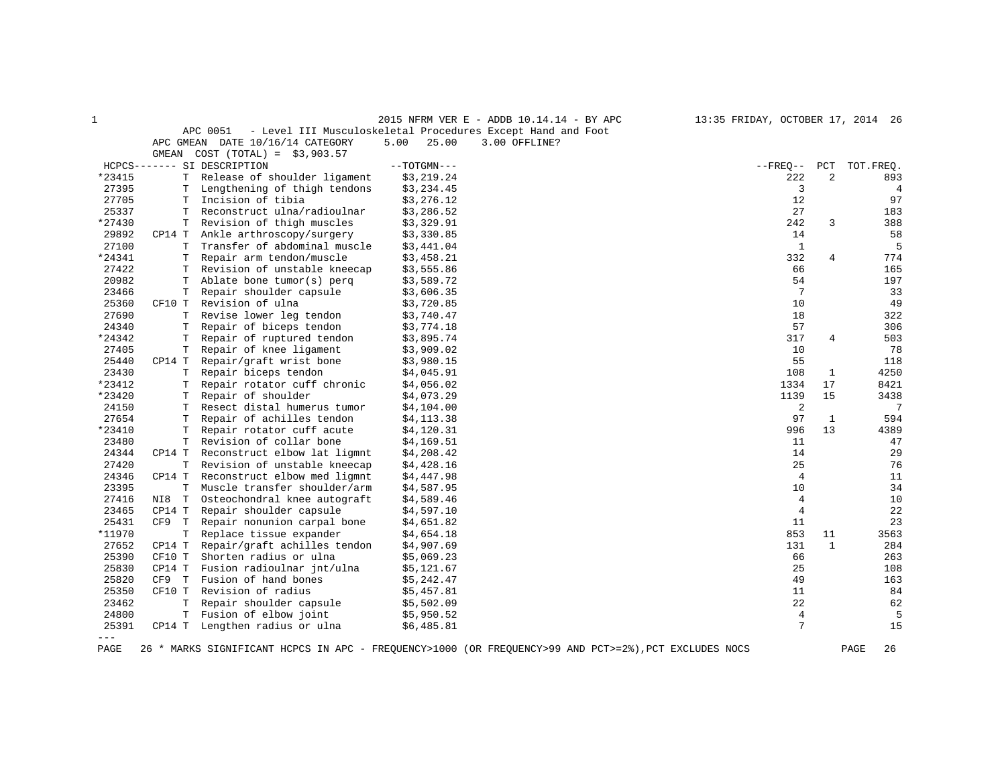|                    |                              | 5.00<br>25.00                                                                                                                             | 3.00 OFFLINE? |                                                                                                         |                |                                   |
|--------------------|------------------------------|-------------------------------------------------------------------------------------------------------------------------------------------|---------------|---------------------------------------------------------------------------------------------------------|----------------|-----------------------------------|
| GMEAN              |                              |                                                                                                                                           |               |                                                                                                         |                |                                   |
|                    |                              | $--TOTGMN---$                                                                                                                             |               | $--$ FREO $--$                                                                                          | PCT            | TOT.FREO.                         |
| т                  | Release of shoulder ligament | \$3,219.24                                                                                                                                |               | 222                                                                                                     | 2              | 893                               |
| т                  | Lengthening of thigh tendons | \$3,234.45                                                                                                                                |               | 3                                                                                                       |                | 4                                 |
| Т                  | Incision of tibia            | \$3,276.12                                                                                                                                |               | 12                                                                                                      |                | 97                                |
| Т                  | Reconstruct ulna/radioulnar  | \$3,286.52                                                                                                                                |               | 27                                                                                                      |                | 183                               |
| Т                  | Revision of thigh muscles    | \$3,329.91                                                                                                                                |               | 242                                                                                                     | 3              | 388                               |
| CP14 T             | Ankle arthroscopy/surgery    | \$3,330.85                                                                                                                                |               | 14                                                                                                      |                | 58                                |
| т                  |                              | \$3,441.04                                                                                                                                |               | $\mathbf{1}$                                                                                            |                | 5                                 |
| т                  | Repair arm tendon/muscle     | \$3,458.21                                                                                                                                |               | 332                                                                                                     | $\overline{4}$ | 774                               |
| Т                  | Revision of unstable kneecap | \$3,555.86                                                                                                                                |               | 66                                                                                                      |                | 165                               |
| т                  | Ablate bone tumor(s) perq    | \$3,589.72                                                                                                                                |               | 54                                                                                                      |                | 197                               |
| Т                  | Repair shoulder capsule      | \$3,606.35                                                                                                                                |               | $7\phantom{.0}$                                                                                         |                | 33                                |
| CF10 T             | Revision of ulna             | \$3,720.85                                                                                                                                |               | 10                                                                                                      |                | 49                                |
| т                  | Revise lower leg tendon      | \$3,740.47                                                                                                                                |               | 18                                                                                                      |                | 322                               |
| Т                  | Repair of biceps tendon      | \$3,774.18                                                                                                                                |               | 57                                                                                                      |                | 306                               |
| т                  | Repair of ruptured tendon    | \$3,895.74                                                                                                                                |               | 317                                                                                                     | 4              | 503                               |
| Т                  | Repair of knee ligament      | \$3,909.02                                                                                                                                |               | 10                                                                                                      |                | 78                                |
| CP14 T             | Repair/graft wrist bone      | \$3,980.15                                                                                                                                |               | 55                                                                                                      |                | 118                               |
| Т                  | Repair biceps tendon         | \$4,045.91                                                                                                                                |               | 108                                                                                                     | $\mathbf{1}$   | 4250                              |
| Т                  | Repair rotator cuff chronic  | \$4,056.02                                                                                                                                |               | 1334                                                                                                    | 17             | 8421                              |
| T                  | Repair of shoulder           | \$4,073.29                                                                                                                                |               | 1139                                                                                                    | 15             | 3438                              |
| T                  | Resect distal humerus tumor  | \$4,104.00                                                                                                                                |               | 2                                                                                                       |                | 7                                 |
| T                  | Repair of achilles tendon    | \$4,113.38                                                                                                                                |               | 97                                                                                                      | $\mathbf{1}$   | 594                               |
| т                  | Repair rotator cuff acute    | \$4,120.31                                                                                                                                |               | 996                                                                                                     | 13             | 4389                              |
| Т                  | Revision of collar bone      | \$4,169.51                                                                                                                                |               | 11                                                                                                      |                | 47                                |
| CP14 T             | Reconstruct elbow lat ligmnt | \$4,208.42                                                                                                                                |               | 14                                                                                                      |                | 29                                |
| Т                  | Revision of unstable kneecap | \$4,428.16                                                                                                                                |               | 25                                                                                                      |                | 76                                |
| CP14 T             | Reconstruct elbow med ligmnt | \$4,447.98                                                                                                                                |               | $\overline{4}$                                                                                          |                | 11                                |
| Т                  | Muscle transfer shoulder/arm | \$4,587.95                                                                                                                                |               | 10                                                                                                      |                | 34                                |
| $\mathbb T$<br>NI8 | Osteochondral knee autograft | \$4,589.46                                                                                                                                |               | 4                                                                                                       |                | 10                                |
| CP14 T             | Repair shoulder capsule      | \$4,597.10                                                                                                                                |               | $\overline{4}$                                                                                          |                | 22                                |
| CF9<br>$\mathbf T$ | Repair nonunion carpal bone  | \$4,651.82                                                                                                                                |               | 11                                                                                                      |                | 23                                |
| T                  | Replace tissue expander      | \$4,654.18                                                                                                                                |               | 853                                                                                                     | 11             | 3563                              |
| CP14 T             | Repair/graft achilles tendon | \$4,907.69                                                                                                                                |               | 131                                                                                                     | $\mathbf{1}$   | 284                               |
| CF10 T             | Shorten radius or ulna       | \$5,069.23                                                                                                                                |               | 66                                                                                                      |                | 263                               |
| CP14 T             | Fusion radioulnar jnt/ulna   | \$5,121.67                                                                                                                                |               | 25                                                                                                      |                | 108                               |
| CF9<br>$\mathbb T$ | Fusion of hand bones         | \$5,242.47                                                                                                                                |               | 49                                                                                                      |                | 163                               |
| CF10 T             | Revision of radius           | \$5,457.81                                                                                                                                |               | 11                                                                                                      |                | 84                                |
| Т                  | Repair shoulder capsule      | \$5,502.09                                                                                                                                |               | 22                                                                                                      |                | 62                                |
| T                  | Fusion of elbow joint        | \$5,950.52                                                                                                                                |               | $\overline{4}$                                                                                          |                | 5                                 |
| CP14 T             | Lengthen radius or ulna      | \$6,485.81                                                                                                                                |               | 7                                                                                                       |                | 15                                |
|                    |                              |                                                                                                                                           |               |                                                                                                         |                |                                   |
|                    |                              | APC 0051<br>APC GMEAN DATE 10/16/14 CATEGORY<br>$COST (TOTAL) = $3,903.57$<br>HCPCS------- SI DESCRIPTION<br>Transfer of abdominal muscle |               | 2015 NFRM VER E - ADDB 10.14.14 - BY APC<br>- Level III Musculoskeletal Procedures Except Hand and Foot |                | 13:35 FRIDAY, OCTOBER 17, 2014 26 |

PAGE 26 \* MARKS SIGNIFICANT HCPCS IN APC - FREQUENCY>1000 (OR FREQUENCY>99 AND PCT>=2%),PCT EXCLUDES NOCS PAGE 26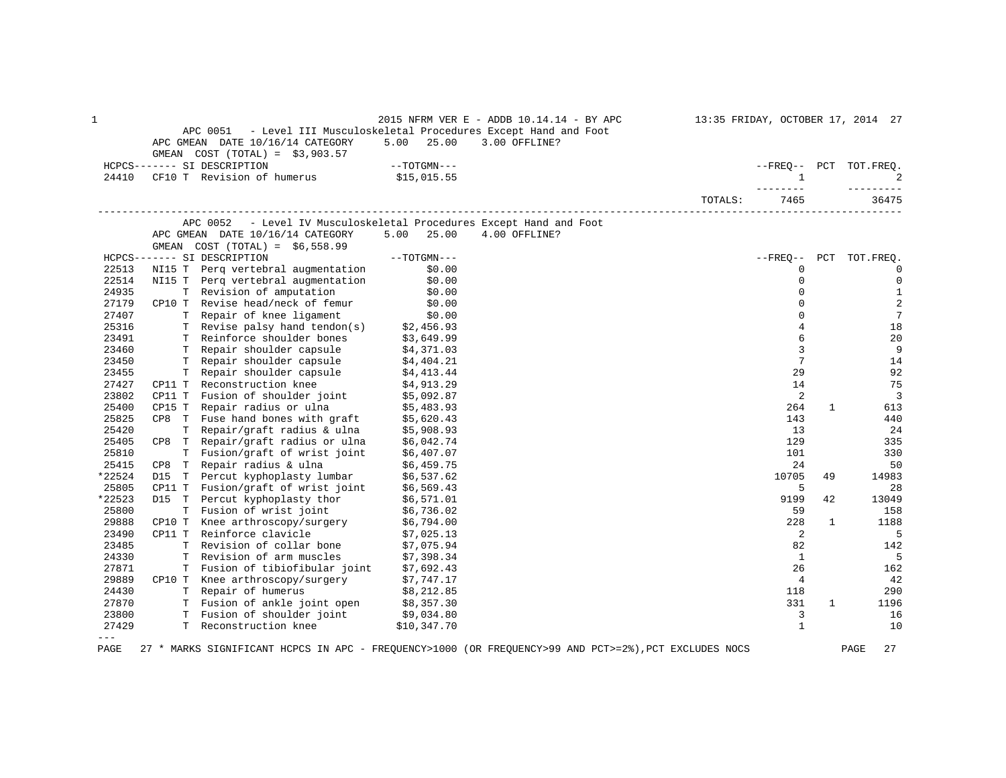| 1      |                                                                                                                                                   |                        | 2015 NFRM VER E - ADDB 10.14.14 - BY APC                    |         |                 |              | 13:35 FRIDAY, OCTOBER 17, 2014 27 |
|--------|---------------------------------------------------------------------------------------------------------------------------------------------------|------------------------|-------------------------------------------------------------|---------|-----------------|--------------|-----------------------------------|
|        | APC 0051                                                                                                                                          |                        | - Level III Musculoskeletal Procedures Except Hand and Foot |         |                 |              |                                   |
|        | APC GMEAN DATE 10/16/14 CATEGORY<br>GMEAN $COST (TOTAL) = $3,903.57$                                                                              | $5.00$ 25.00           | 3.00 OFFLINE?                                               |         |                 |              |                                   |
|        | HCPCS------- SI DESCRIPTION                                                                                                                       | $--\mathrm{TOTGMN---}$ |                                                             |         |                 |              | --FREQ-- PCT TOT.FREQ.            |
| 24410  | CF10 T Revision of humerus \$15,015.55                                                                                                            |                        |                                                             |         | $\mathbf{1}$    |              | $\overline{2}$                    |
|        |                                                                                                                                                   |                        |                                                             |         | -------         |              | --------                          |
|        |                                                                                                                                                   |                        |                                                             | TOTALS: | 7465            |              | 36475                             |
|        | APC 0052                                                                                                                                          |                        | - Level IV Musculoskeletal Procedures Except Hand and Foot  |         |                 |              |                                   |
|        | APC GMEAN DATE 10/16/14 CATEGORY                                                                                                                  | $5.00$ 25.00           | 4.00 OFFLINE?                                               |         |                 |              |                                   |
|        | GMEAN $COST (TOTAL) = $6,558.99$                                                                                                                  |                        |                                                             |         |                 |              |                                   |
|        | $--\mathrm{TOTGMN}---$<br>HCPCS------- SI DESCRIPTION                                                                                             |                        |                                                             |         | --FREO--        |              | PCT TOT.FREO.                     |
| 22513  | NI15 T Perq vertebral augmentation                                                                                                                | \$0.00                 |                                                             |         | 0               |              | $\mathbf{0}$                      |
| 22514  | NI15 T Perq vertebral augmentation                                                                                                                | \$0.00                 |                                                             |         | $\Omega$        |              | $\mathbf 0$                       |
| 24935  | T Revision of amputation                                                                                                                          | \$0.00                 |                                                             |         | $\Omega$        |              | $\mathbf{1}$                      |
| 27179  | CP10 T Revise head/neck of femur                                                                                                                  | \$0.00<br>\$0.00       |                                                             |         | 0               |              | 2                                 |
| 27407  | T Repair of knee ligament                                                                                                                         |                        |                                                             |         | $\Omega$        |              | $7\phantom{.0}$                   |
| 25316  | T Revise palsy hand tendon(s) \$2,456.93<br>T Reinforce shoulder bones \$3,649.99                                                                 |                        |                                                             |         | $\overline{4}$  |              | 18                                |
| 23491  |                                                                                                                                                   |                        |                                                             |         | 6               |              | 20                                |
| 23460  | T Repair shoulder capsule \$4,371.03                                                                                                              |                        |                                                             |         | 3               |              | 9                                 |
| 23450  |                                                                                                                                                   |                        |                                                             |         | $7\phantom{.0}$ |              | 14                                |
| 23455  |                                                                                                                                                   |                        |                                                             |         | 29              |              | 92                                |
| 27427  | T Repair shoulder capsule $$4,404.21$<br>T Repair shoulder capsule $$4,413.44$<br>T Reconstruction knee $$4,913.29$<br>CP11 T Reconstruction knee |                        |                                                             |         | 14              |              | 75                                |
| 23802  | CP11 T Fusion of shoulder joint \$5,092.87<br>CP15 T Repair radius or ulna \$5,483.93                                                             |                        |                                                             |         | 2               |              | $\overline{3}$                    |
| 25400  |                                                                                                                                                   |                        |                                                             |         | 264             | 1            | 613                               |
| 25825  |                                                                                                                                                   |                        |                                                             |         | 143             |              | 440                               |
| 25420  | CP8 T Fuse hand bones with graft $$5,620.43$<br>T Repair/graft radius & ulna $$5,908.93$                                                          |                        |                                                             |         | 13              |              | 24                                |
| 25405  | CP8 T Repair/graft radius or ulna $$6,042.74$                                                                                                     |                        |                                                             |         | 129             |              | 335                               |
| 25810  | T Fusion/graft of wrist joint                                                                                                                     | \$6,407.07             |                                                             |         | 101             |              | 330                               |
| 25415  | CP8 T Repair radius & ulna                                                                                                                        | \$6,459.75             |                                                             |         | 24              |              | 50                                |
| *22524 | D15 T Percut kyphoplasty lumbar \$6,537.62                                                                                                        |                        |                                                             |         | 10705           | 49           | 14983                             |
| 25805  | CP11 T Fusion/graft of wrist joint \$6,569.43                                                                                                     |                        |                                                             |         | 5               |              | 28                                |
| *22523 | D15 T Percut kyphoplasty thor \$6,571.01                                                                                                          |                        |                                                             |         | 9199            | 42           | 13049                             |
| 25800  | T Fusion of wrist joint                                                                                                                           | \$6,736.02             |                                                             |         | 59              |              | 158                               |
| 29888  | CP10 T Knee arthroscopy/surgery                                                                                                                   | \$6,794.00             |                                                             |         | 228             | 1            | 1188                              |
| 23490  | CP11 T Reinforce clavicle                                                                                                                         | \$7,025.13             |                                                             |         | 2               |              | 5                                 |
| 23485  | T Revision of collar bone                                                                                                                         | \$7,075.94             |                                                             |         | 82              |              | 142                               |
| 24330  | T Revision of arm muscles                                                                                                                         | \$7,398.34             |                                                             |         | $\mathbf{1}$    |              | 5                                 |
| 27871  | T Fusion of tibiofibular joint \$7,692.43                                                                                                         |                        |                                                             |         | 26              |              | 162                               |
| 29889  | CP10 T Knee arthroscopy/surgery \$7,747.17                                                                                                        |                        |                                                             |         | $\overline{4}$  |              | 42                                |
| 24430  | T Repair of humerus                                                                                                                               | \$8,212.85             |                                                             |         | 118             |              | 290                               |
| 27870  |                                                                                                                                                   |                        |                                                             |         | 331             | $\mathbf{1}$ | 1196                              |
| 23800  | T Fusion of ankle joint open \$8,357.30<br>T Fusion of shoulder joint \$9,034.80                                                                  |                        |                                                             |         | 3               |              | 16                                |
| 27429  | T Reconstruction knee                                                                                                                             | \$10,347.70            |                                                             |         | $\mathbf{1}$    |              | 10                                |
| $---$  |                                                                                                                                                   |                        |                                                             |         |                 |              |                                   |
|        |                                                                                                                                                   |                        |                                                             |         |                 |              |                                   |

PAGE 27 \* MARKS SIGNIFICANT HCPCS IN APC - FREQUENCY>1000 (OR FREQUENCY>99 AND PCT>=2%),PCT EXCLUDES NOCS PAGE 27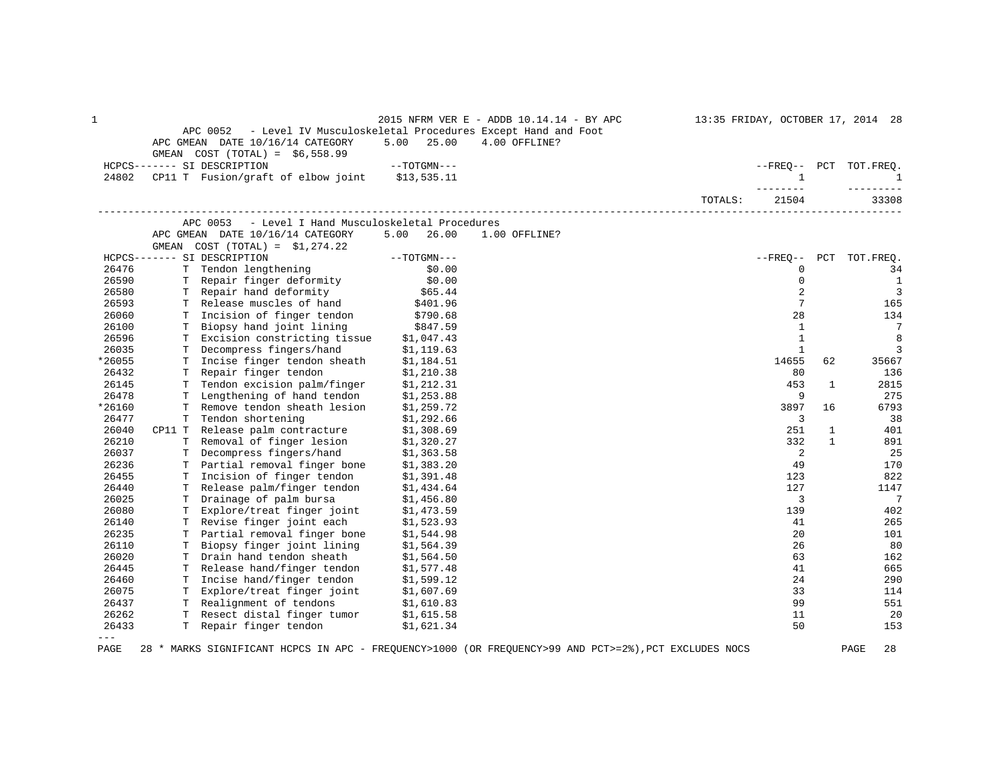| 1       |    | APC 0052<br>APC GMEAN DATE 10/16/14 CATEGORY<br>GMEAN COST $(TOTAL) = $6,558.99$ | 5.00<br>25.00            | 2015 NFRM VER E - ADDB 10.14.14 - BY APC<br>- Level IV Musculoskeletal Procedures Except Hand and Foot<br>4.00 OFFLINE? |         |                  |              | 13:35 FRIDAY, OCTOBER 17, 2014 28 |
|---------|----|----------------------------------------------------------------------------------|--------------------------|-------------------------------------------------------------------------------------------------------------------------|---------|------------------|--------------|-----------------------------------|
|         |    | HCPCS------- SI DESCRIPTION                                                      | --TOTGMN---              |                                                                                                                         |         |                  |              | --FREO-- PCT TOT.FREO.            |
| 24802   |    | CP11 T Fusion/graft of elbow joint                                               | \$13,535.11              |                                                                                                                         |         | $\mathbf{1}$     |              | <sup>1</sup>                      |
|         |    |                                                                                  |                          |                                                                                                                         | TOTALS: | -------<br>21504 |              | ----------<br>33308               |
|         |    | APC 0053<br>- Level I Hand Musculoskeletal Procedures                            |                          |                                                                                                                         |         |                  |              |                                   |
|         |    | APC GMEAN DATE 10/16/14 CATEGORY                                                 | 5.00 26.00               | 1.00 OFFLINE?                                                                                                           |         |                  |              |                                   |
|         |    | GMEAN $COST (TOTAL) = $1,274.22$                                                 |                          |                                                                                                                         |         |                  |              |                                   |
|         |    | HCPCS------- SI DESCRIPTION                                                      | $--TOTGMN---$            |                                                                                                                         |         | $--FRED--$ PCT   |              | TOT.FREQ.                         |
| 26476   |    | T Tendon lengthening                                                             | \$0.00                   |                                                                                                                         |         | $\mathbf 0$      |              | 34                                |
| 26590   |    | T Repair finger deformity                                                        | \$0.00                   |                                                                                                                         |         | $\mathbf 0$      |              | <sup>1</sup>                      |
| 26580   |    | T Repair hand deformity                                                          | \$65.44                  |                                                                                                                         |         | 2                |              | $\overline{3}$                    |
| 26593   |    | T Release muscles of hand                                                        | \$401.96                 |                                                                                                                         |         | 7                |              | 165                               |
| 26060   |    | T Incision of finger tendon                                                      | \$790.68                 |                                                                                                                         |         | 28               |              | 134                               |
| 26100   |    | T Biopsy hand joint lining                                                       | \$847.59                 |                                                                                                                         |         | 1                |              | 7                                 |
| 26596   |    | T Excision constricting tissue \$1,047.43                                        |                          |                                                                                                                         |         | $\mathbf{1}$     |              | 8                                 |
| 26035   |    | T Decompress fingers/hand                                                        | \$1,119.63               |                                                                                                                         |         | $\mathbf{1}$     |              | 3                                 |
| *26055  |    | T Incise finger tendon sheath                                                    | \$1,184.51               |                                                                                                                         |         | 14655            | 62           | 35667                             |
| 26432   |    | T Repair finger tendon                                                           | \$1,210.38               |                                                                                                                         |         | 80               |              | 136                               |
| 26145   |    | T Tendon excision palm/finger                                                    | \$1,212.31               |                                                                                                                         |         | 453              | $\mathbf{1}$ | 2815                              |
| 26478   |    | T Lengthening of hand tendon                                                     | \$1,253.88               |                                                                                                                         |         | 9                |              | 275                               |
| *26160  | T. | Remove tendon sheath lesion                                                      | \$1,259.72               |                                                                                                                         |         | 3897             | 16           | 6793                              |
| 26477   | T  | Tendon shortening                                                                | \$1,292.66               |                                                                                                                         |         | 3                |              | 38                                |
| 26040   |    | CP11 T Release palm contracture                                                  | \$1,308.69               |                                                                                                                         |         | 251              | $\mathbf{1}$ | 401                               |
| 26210   |    | T Removal of finger lesion                                                       | \$1,320.27               |                                                                                                                         |         | 332              | $\mathbf{1}$ | 891                               |
| 26037   |    | T Decompress fingers/hand                                                        | \$1,363.58               |                                                                                                                         |         | 2                |              | 25                                |
| 26236   |    | T Partial removal finger bone                                                    | \$1,383.20               |                                                                                                                         |         | 49               |              | 170                               |
| 26455   |    | T Incision of finger tendon                                                      | \$1,391.48               |                                                                                                                         |         | 123              |              | 822                               |
| 26440   |    | T Release palm/finger tendon                                                     | \$1,434.64               |                                                                                                                         |         | 127              |              | 1147                              |
| 26025   |    | T Drainage of palm bursa                                                         | \$1,456.80               |                                                                                                                         |         | 3                |              | $7\phantom{.0}$                   |
| 26080   | Т  | Explore/treat finger joint                                                       | \$1,473.59               |                                                                                                                         |         | 139              |              | 402                               |
| 26140   |    | T Revise finger joint each                                                       | \$1,523.93               |                                                                                                                         |         | 41               |              | 265                               |
| 26235   | T. | Partial removal finger bone                                                      | \$1,544.98               |                                                                                                                         |         | 20               |              | 101                               |
| 26110   | Т  | Biopsy finger joint lining                                                       | \$1,564.39               |                                                                                                                         |         | 26               |              | 80                                |
| 26020   |    | T Drain hand tendon sheath                                                       | \$1,564.50               |                                                                                                                         |         | 63               |              | 162                               |
| 26445   |    | T Release hand/finger tendon                                                     | \$1,577.48               |                                                                                                                         |         | 41               |              | 665                               |
| 26460   | T. | Incise hand/finger tendon                                                        | \$1,599.12               |                                                                                                                         |         | 24               |              | 290                               |
| 26075   |    | T Explore/treat finger joint                                                     | \$1,607.69               |                                                                                                                         |         | 33               |              | 114                               |
| 26437   |    | T Realignment of tendons                                                         |                          |                                                                                                                         |         | 99               |              | 551                               |
| 26262   |    | T Resect distal finger tumor                                                     | \$1,610.83<br>\$1,615.58 |                                                                                                                         |         | 11               |              | 20                                |
| 26433   |    | T Repair finger tendon                                                           | \$1,621.34               |                                                                                                                         |         | 50               |              | 153                               |
| $- - -$ |    |                                                                                  |                          |                                                                                                                         |         |                  |              |                                   |
|         |    |                                                                                  |                          |                                                                                                                         |         |                  |              |                                   |

PAGE 28 \* MARKS SIGNIFICANT HCPCS IN APC - FREQUENCY>1000 (OR FREQUENCY>99 AND PCT>=2%),PCT EXCLUDES NOCS PAGE 28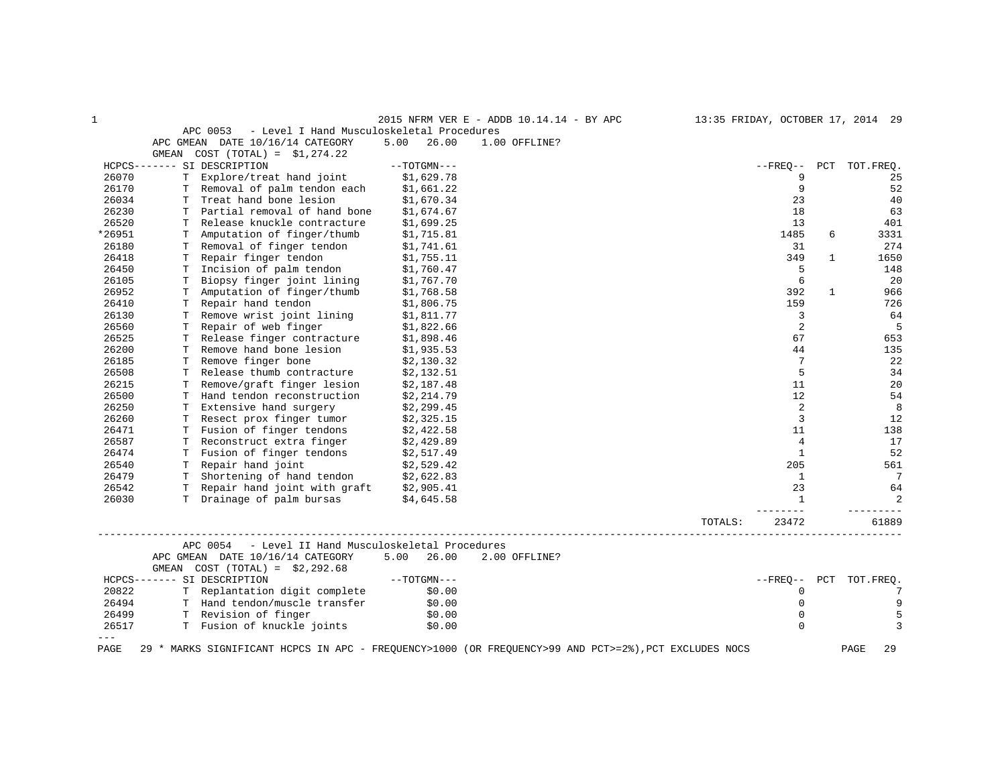| 1      |                                                                                         |               | 2015 NFRM VER E - ADDB 10.14.14 - BY APC                                                              |         | 13:35 FRIDAY, OCTOBER 17, 2014 29 |              |                        |
|--------|-----------------------------------------------------------------------------------------|---------------|-------------------------------------------------------------------------------------------------------|---------|-----------------------------------|--------------|------------------------|
|        | - Level I Hand Musculoskeletal Procedures<br>APC 0053                                   |               |                                                                                                       |         |                                   |              |                        |
|        | APC GMEAN DATE 10/16/14 CATEGORY                                                        | 5.00<br>26.00 | 1.00 OFFLINE?                                                                                         |         |                                   |              |                        |
|        | GMEAN COST $(TOTAL) = $1,274.22$                                                        |               |                                                                                                       |         |                                   |              |                        |
|        | HCPCS------- SI DESCRIPTION                                                             | $--TOTGMN---$ |                                                                                                       |         |                                   |              | --FREO-- PCT TOT.FREO. |
| 26070  | T Explore/treat hand joint                                                              | \$1,629.78    |                                                                                                       |         | 9                                 |              | 25                     |
| 26170  | T Removal of palm tendon each                                                           | \$1,661.22    |                                                                                                       |         | 9                                 |              | 52                     |
| 26034  | T Treat hand bone lesion                                                                | \$1,670.34    |                                                                                                       |         | 23                                |              | 40                     |
| 26230  | T Partial removal of hand bone                                                          | \$1,674.67    |                                                                                                       |         | 18                                |              | 63                     |
| 26520  | T Release knuckle contracture                                                           | \$1,699.25    |                                                                                                       |         | 13                                |              | 401                    |
| *26951 | T Amputation of finger/thumb                                                            | \$1,715.81    |                                                                                                       |         | 1485                              | 6            | 3331                   |
| 26180  | T Removal of finger tendon                                                              | \$1,741.61    |                                                                                                       |         | 31                                |              | 274                    |
| 26418  | T Repair finger tendon                                                                  | \$1,755.11    |                                                                                                       |         | 349                               | 1            | 1650                   |
| 26450  | T Incision of palm tendon                                                               | \$1,760.47    |                                                                                                       |         | 5                                 |              | 148                    |
| 26105  | T Biopsy finger joint lining                                                            | \$1,767.70    |                                                                                                       |         | 6                                 |              | 20                     |
| 26952  | T Amputation of finger/thumb                                                            | \$1,768.58    |                                                                                                       |         | 392                               | $\mathbf{1}$ | 966                    |
| 26410  | T Repair hand tendon                                                                    | \$1,806.75    |                                                                                                       |         | 159                               |              | 726                    |
| 26130  | T Remove wrist joint lining                                                             | \$1,811.77    |                                                                                                       |         | 3                                 |              | 64                     |
| 26560  | T Repair of web finger                                                                  | \$1,822.66    |                                                                                                       |         | 2                                 |              | 5                      |
| 26525  | T Release finger contracture                                                            | \$1,898.46    |                                                                                                       |         | 67                                |              | 653                    |
| 26200  | T Remove hand bone lesion                                                               | \$1,935.53    |                                                                                                       |         | 44                                |              | 135                    |
| 26185  | T Remove finger bone                                                                    | \$2,130.32    |                                                                                                       |         | 7                                 |              | 22                     |
| 26508  | T Release thumb contracture                                                             | \$2,132.51    |                                                                                                       |         | 5                                 |              | 34                     |
| 26215  | T Remove/graft finger lesion                                                            | \$2,187.48    |                                                                                                       |         | 11                                |              | 20                     |
| 26500  | T Hand tendon reconstruction                                                            | \$2,214.79    |                                                                                                       |         | 12                                |              | 54                     |
| 26250  | T Extensive hand surgery                                                                | \$2,299.45    |                                                                                                       |         | 2                                 |              | 8                      |
| 26260  | T Resect prox finger tumor                                                              | \$2,325.15    |                                                                                                       |         | 3                                 |              | 12                     |
| 26471  | T Fusion of finger tendons                                                              | \$2,422.58    |                                                                                                       |         | 11                                |              | 138                    |
| 26587  | T Reconstruct extra finger                                                              | \$2,429.89    |                                                                                                       |         | 4                                 |              | 17                     |
| 26474  | T Fusion of finger tendons                                                              | \$2,517.49    |                                                                                                       |         | $\mathbf{1}$                      |              | 52                     |
| 26540  | T Repair hand joint                                                                     | \$2,529.42    |                                                                                                       |         | 205                               |              | 561                    |
| 26479  | T Shortening of hand tendon \$2,622.83                                                  |               |                                                                                                       |         | 1                                 |              | $7\phantom{.0}$        |
| 26542  | T Repair hand joint with graft                                                          | \$2,905.41    |                                                                                                       |         | 23                                |              | 64                     |
| 26030  | T Drainage of palm bursas                                                               | \$4,645.58    |                                                                                                       |         | 1<br>$- - - - - -$                |              | 2                      |
|        |                                                                                         |               |                                                                                                       | TOTALS: | 23472                             |              | 61889                  |
|        | APC 0054 - Level II Hand Musculoskeletal Procedures<br>APC GMEAN DATE 10/16/14 CATEGORY | 5.00 26.00    | 2.00 OFFLINE?                                                                                         |         |                                   |              |                        |
|        | GMEAN $COST (TOTAL) = $2,292.68$                                                        |               |                                                                                                       |         |                                   |              |                        |
|        | HCPCS------- SI DESCRIPTION                                                             | --TOTGMN---   |                                                                                                       |         | $- FRED--$                        |              | PCT TOT. FREQ.         |
| 20822  | T Replantation digit complete                                                           | \$0.00        |                                                                                                       |         | $\mathbf 0$                       |              | 7                      |
| 26494  | T Hand tendon/muscle transfer                                                           | \$0.00        |                                                                                                       |         | $\mathbf{0}$                      |              | 9                      |
| 26499  | T Revision of finger                                                                    | \$0.00        |                                                                                                       |         | $\mathbf 0$                       |              | 5                      |
| 26517  | T Fusion of knuckle joints                                                              | \$0.00        |                                                                                                       |         | $\Omega$                          |              | 3                      |
| PAGE   |                                                                                         |               | 29 * MARKS SIGNIFICANT HCPCS IN APC - FREQUENCY>1000 (OR FREQUENCY>99 AND PCT>=2%), PCT EXCLUDES NOCS |         |                                   |              | PAGE                   |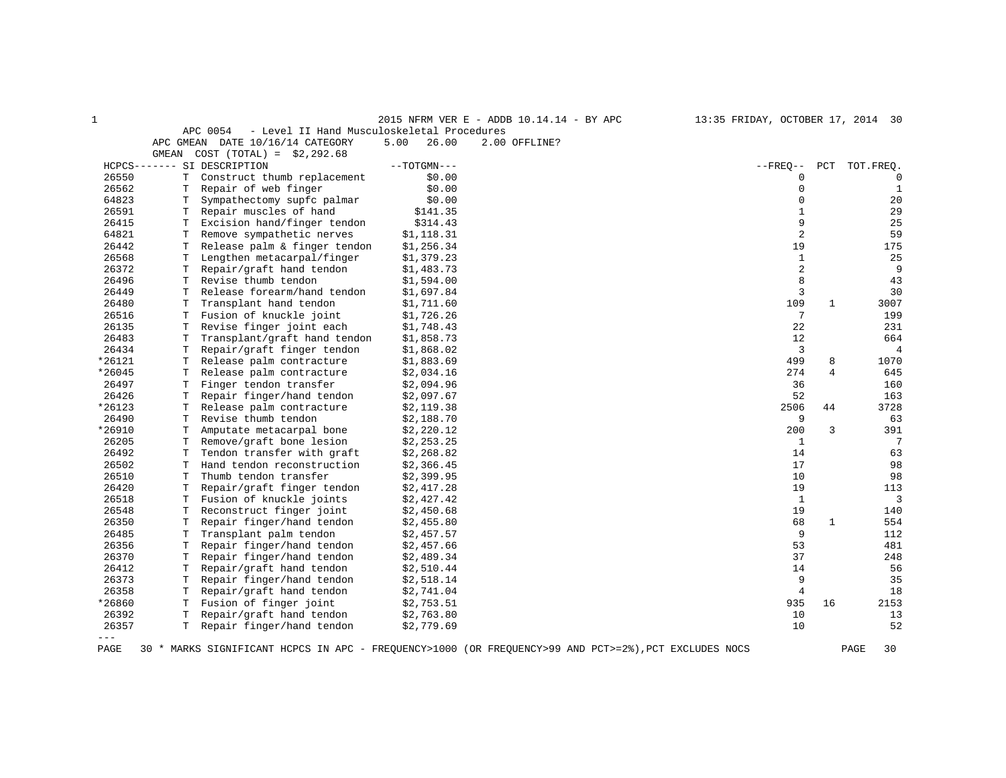| 2015 NFRM VER E - ADDB 10.14.14 - BY APC | 13:35 FRIDAY, OCTOBER 17, 2014 30 |  |
|------------------------------------------|-----------------------------------|--|
|                                          |                                   |  |

|       | - Level II Hand Musculoskeletal Procedures<br>APC 0054 |               |               |          |               |
|-------|--------------------------------------------------------|---------------|---------------|----------|---------------|
|       | APC GMEAN DATE 10/16/14 CATEGORY                       | 26.00<br>5.00 | 2.00 OFFLINE? |          |               |
|       | GMEAN COST $(TOTAL) = $2,292.68$                       |               |               |          |               |
|       | HCPCS------- SI DESCRIPTION                            | --TOTGMN---   |               | --FRE0-- | PCT TOT.FREO. |
| 26550 | T Construct thumb replacement                          | \$0.00        |               |          |               |
| 26562 | T Repair of web finger                                 | \$0.00        |               |          |               |
| 64823 | Sympathectomy supfc palmar                             | \$0.00        |               |          | 20            |

| 26562   | т | Repair of web finger         | \$0.00     | 0              |              | 1              |
|---------|---|------------------------------|------------|----------------|--------------|----------------|
| 64823   | т | Sympathectomy supfc palmar   | \$0.00     | $\mathbf{0}$   |              | 20             |
| 26591   | т | Repair muscles of hand       | \$141.35   | 1              |              | 29             |
| 26415   | T | Excision hand/finger tendon  | \$314.43   | 9              |              | 25             |
| 64821   | т | Remove sympathetic nerves    | \$1,118.31 | $\overline{2}$ |              | 59             |
| 26442   | Т | Release palm & finger tendon | \$1,256.34 | 19             |              | 175            |
| 26568   | т | Lengthen metacarpal/finger   | \$1,379.23 | 1              |              | 25             |
| 26372   | Т | Repair/graft hand tendon     | \$1,483.73 | 2              |              | 9              |
| 26496   | т | Revise thumb tendon          | \$1,594.00 | 8              |              | 43             |
| 26449   | т | Release forearm/hand tendon  | \$1,697.84 | 3              |              | 30             |
| 26480   | T | Transplant hand tendon       | \$1,711.60 | 109            | $\mathbf{1}$ | 3007           |
| 26516   | т | Fusion of knuckle joint      | \$1,726.26 | 7              |              | 199            |
| 26135   | т | Revise finger joint each     | \$1,748.43 | 22             |              | 231            |
| 26483   | т | Transplant/graft hand tendon | \$1,858.73 | 12             |              | 664            |
| 26434   | Т | Repair/graft finger tendon   | \$1,868.02 | 3              |              | $\overline{4}$ |
| *26121  | т | Release palm contracture     | \$1,883.69 | 499            | 8            | 1070           |
| *26045  | т | Release palm contracture     | \$2,034.16 | 274            | 4            | 645            |
| 26497   | т | Finger tendon transfer       | \$2,094.96 | 36             |              | 160            |
| 26426   | т | Repair finger/hand tendon    | \$2,097.67 | 52             |              | 163            |
| *26123  | т | Release palm contracture     | \$2,119.38 | 2506           | 44           | 3728           |
| 26490   | т | Revise thumb tendon          | \$2,188.70 | 9              |              | 63             |
| *26910  | Т | Amputate metacarpal bone     | \$2,220.12 | 200            | 3            | 391            |
| 26205   | т | Remove/graft bone lesion     | \$2,253.25 | 1              |              | 7              |
| 26492   | T | Tendon transfer with graft   | \$2,268.82 | 14             |              | 63             |
| 26502   | т | Hand tendon reconstruction   | \$2,366.45 | 17             |              | 98             |
| 26510   | т | Thumb tendon transfer        | \$2,399.95 | 10             |              | 98             |
| 26420   |   | Repair/graft finger tendon   | \$2,417.28 | 19             |              | 113            |
| 26518   | т | Fusion of knuckle joints     | \$2,427.42 | $\mathbf{1}$   |              | 3              |
| 26548   | т | Reconstruct finger joint     | \$2,450.68 | 19             |              | 140            |
| 26350   | Т | Repair finger/hand tendon    | \$2,455.80 | 68             | $\mathbf{1}$ | 554            |
| 26485   | T | Transplant palm tendon       | \$2,457.57 | 9              |              | 112            |
| 26356   | Т | Repair finger/hand tendon    | \$2,457.66 | 53             |              | 481            |
| 26370   | т | Repair finger/hand tendon    | \$2,489.34 | 37             |              | 248            |
| 26412   | т | Repair/graft hand tendon     | \$2,510.44 | 14             |              | 56             |
| 26373   | т | Repair finger/hand tendon    | \$2,518.14 | 9              |              | 35             |
| 26358   | Т | Repair/graft hand tendon     | \$2,741.04 | $\overline{4}$ |              | 18             |
| *26860  | Т | Fusion of finger joint       | \$2,753.51 | 935            | 16           | 2153           |
| 26392   | т | Repair/graft hand tendon     | \$2,763.80 | 10             |              | 13             |
| 26357   | т | Repair finger/hand tendon    | \$2,779.69 | 10             |              | 52             |
| $- - -$ |   |                              |            |                |              |                |

PAGE 30 \* MARKS SIGNIFICANT HCPCS IN APC - FREQUENCY>1000 (OR FREQUENCY>99 AND PCT>=2%),PCT EXCLUDES NOCS PAGE 30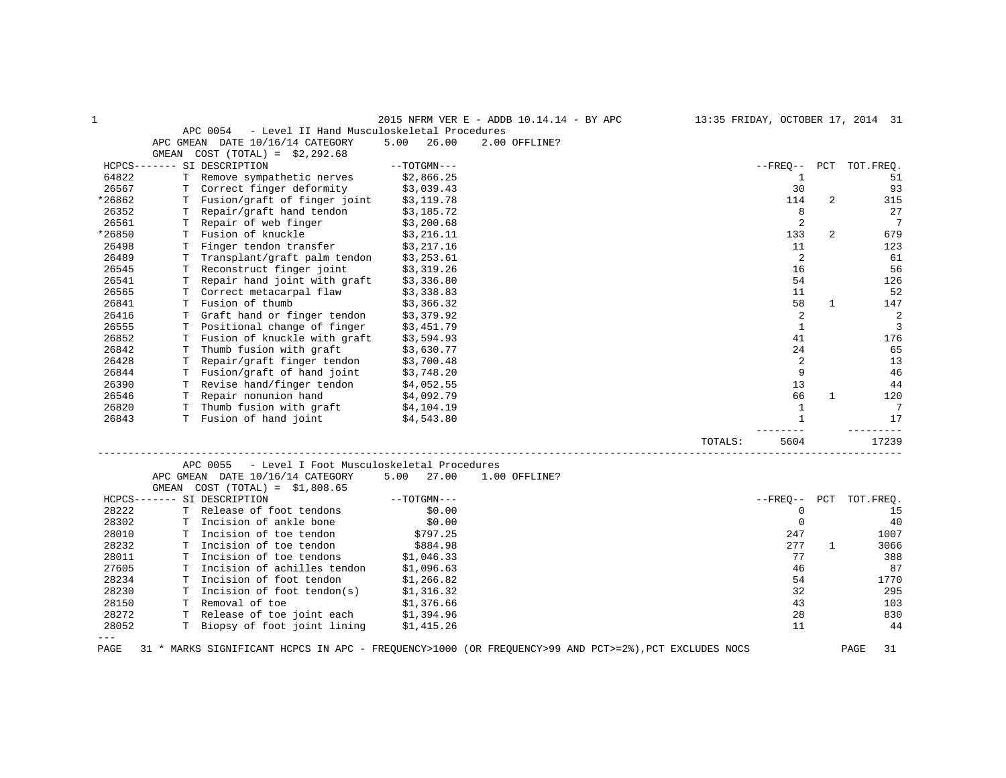| 1      |                                                                                                       |               | 2015 NFRM VER E - ADDB 10.14.14 - BY APC |         |                |              | 13:35 FRIDAY, OCTOBER 17, 2014 31 |
|--------|-------------------------------------------------------------------------------------------------------|---------------|------------------------------------------|---------|----------------|--------------|-----------------------------------|
|        | APC 0054<br>- Level II Hand Musculoskeletal Procedures                                                |               |                                          |         |                |              |                                   |
|        | APC GMEAN DATE 10/16/14 CATEGORY                                                                      | 5.00<br>26.00 | 2.00 OFFLINE?                            |         |                |              |                                   |
|        | $COST (TOTAL) = $2,292.68$<br>GMEAN                                                                   |               |                                          |         |                |              |                                   |
|        | HCPCS------- SI DESCRIPTION                                                                           | $--TOTGMN---$ |                                          |         | $--$ FREO $--$ | PCT          | TOT.FREO.                         |
| 64822  | T Remove sympathetic nerves                                                                           | \$2,866.25    |                                          |         | 1              |              | 51                                |
| 26567  | Correct finger deformity                                                                              | \$3,039.43    |                                          |         | 30             |              | 93                                |
| *26862 | T Fusion/graft of finger joint                                                                        | \$3,119.78    |                                          |         | 114            | 2            | 315                               |
| 26352  | T Repair/graft hand tendon                                                                            | \$3,185.72    |                                          |         | 8              |              | 27                                |
| 26561  | Repair of web finger<br>T.                                                                            | \$3,200.68    |                                          |         | $\overline{c}$ |              | $7\phantom{.0}$                   |
| *26850 | T Fusion of knuckle                                                                                   | \$3,216.11    |                                          |         | 133            | 2            | 679                               |
| 26498  | Finger tendon transfer<br>T                                                                           | \$3,217.16    |                                          |         | 11             |              | 123                               |
| 26489  | Transplant/graft palm tendon<br>Т                                                                     | \$3,253.61    |                                          |         | 2              |              | 61                                |
| 26545  | T Reconstruct finger joint                                                                            | \$3,319.26    |                                          |         | 16             |              | 56                                |
| 26541  | Repair hand joint with graft<br>T.                                                                    | \$3,336.80    |                                          |         | 54             |              | 126                               |
| 26565  | Correct metacarpal flaw<br>T                                                                          | \$3,338.83    |                                          |         | 11             |              | 52                                |
| 26841  | Fusion of thumb<br>T.                                                                                 | \$3,366.32    |                                          |         | 58             | $\mathbf{1}$ | 147                               |
| 26416  | Graft hand or finger tendon<br>т                                                                      | \$3,379.92    |                                          |         | 2              |              | 2                                 |
| 26555  | Positional change of finger<br>т                                                                      | \$3,451.79    |                                          |         | $\mathbf{1}$   |              | 3                                 |
| 26852  | Fusion of knuckle with graft<br>т                                                                     | \$3,594.93    |                                          |         | 41             |              | 176                               |
| 26842  | Thumb fusion with graft<br>т                                                                          | \$3,630.77    |                                          |         | 24             |              | 65                                |
| 26428  | Repair/graft finger tendon<br>т                                                                       | \$3,700.48    |                                          |         | 2              |              | 13                                |
| 26844  | T Fusion/graft of hand joint                                                                          | \$3,748.20    |                                          |         | 9              |              | 46                                |
| 26390  | T Revise hand/finger tendon                                                                           | \$4,052.55    |                                          |         | 13             |              | 44                                |
| 26546  | T Repair nonunion hand                                                                                | \$4,092.79    |                                          |         | 66             | $\mathbf{1}$ | 120                               |
| 26820  | T Thumb fusion with graft                                                                             | \$4,104.19    |                                          |         | 1              |              | $7\phantom{.0}$                   |
| 26843  | T Fusion of hand joint                                                                                | \$4,543.80    |                                          |         | $\mathbf{1}$   |              | 17                                |
|        |                                                                                                       |               |                                          |         | $- - - - -$    |              | -------                           |
|        |                                                                                                       |               |                                          | TOTALS: | 5604           |              | 17239                             |
|        | - Level I Foot Musculoskeletal Procedures<br>APC 0055                                                 |               |                                          |         |                |              |                                   |
|        | APC GMEAN DATE 10/16/14 CATEGORY                                                                      | 5.00<br>27.00 | 1.00 OFFLINE?                            |         |                |              |                                   |
|        | GMEAN<br>$COST (TOTAL) = $1,808.65$                                                                   |               |                                          |         |                |              |                                   |
|        | HCPCS------- SI DESCRIPTION                                                                           | $--TOTGMN---$ |                                          |         | $--$ FREO $--$ | PCT          | TOT. FREO.                        |
| 28222  | Release of foot tendons<br>Т                                                                          | \$0.00        |                                          |         | 0              |              | 15                                |
| 28302  | T Incision of ankle bone                                                                              | \$0.00        |                                          |         | $\mathbf 0$    |              | 40                                |
| 28010  | T Incision of toe tendon                                                                              | \$797.25      |                                          |         | 247            |              | 1007                              |
| 28232  | Incision of toe tendon<br>т                                                                           | \$884.98      |                                          |         | 277            | 1            | 3066                              |
| 28011  | Incision of toe tendons<br>т                                                                          | \$1,046.33    |                                          |         | 77             |              | 388                               |
| 27605  | Incision of achilles tendon<br>т                                                                      | \$1,096.63    |                                          |         | 46             |              | 87                                |
| 28234  | Incision of foot tendon<br>т                                                                          | \$1,266.82    |                                          |         | 54             |              | 1770                              |
| 28230  | T Incision of foot tendon(s)                                                                          | \$1,316.32    |                                          |         | 32             |              | 295                               |
| 28150  | T Removal of toe                                                                                      | \$1,376.66    |                                          |         | 43             |              | 103                               |
| 28272  | T Release of toe joint each                                                                           | \$1,394.96    |                                          |         | 28             |              | 830                               |
| 28052  | T Biopsy of foot joint lining                                                                         | \$1,415.26    |                                          |         | 11             |              | 44                                |
| $---$  |                                                                                                       |               |                                          |         |                |              |                                   |
| PAGE   | 31 * MARKS SIGNIFICANT HCPCS IN APC - FREQUENCY>1000 (OR FREQUENCY>99 AND PCT>=2%), PCT EXCLUDES NOCS |               |                                          |         |                |              | PAGE<br>31                        |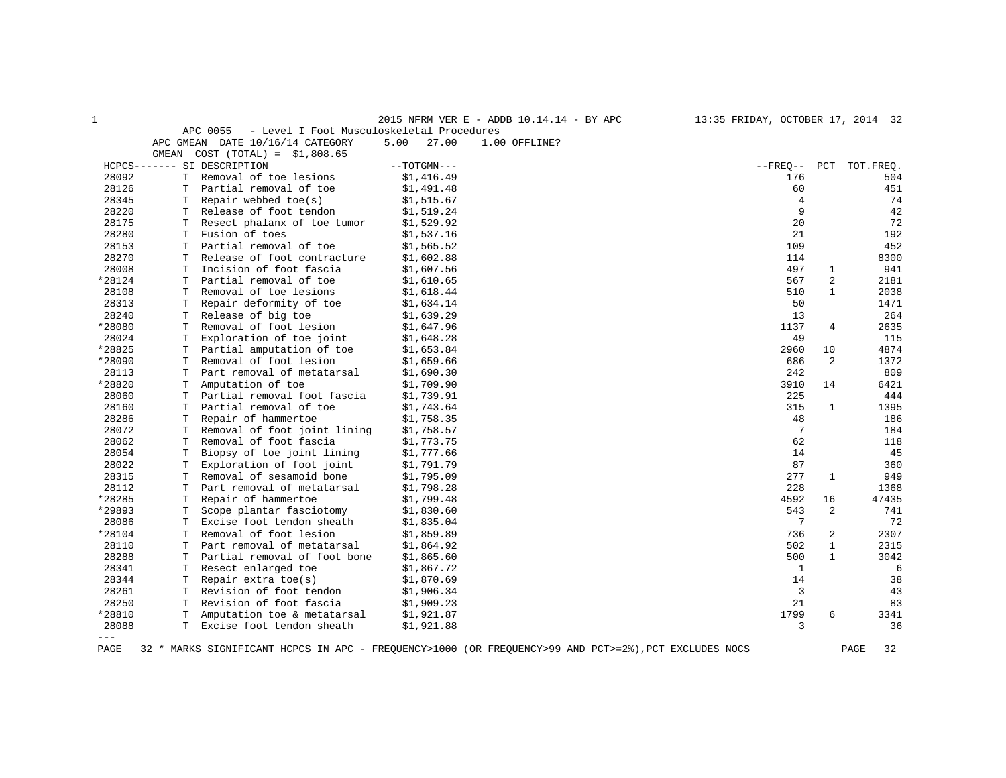1 2015 NFRM VER E - ADDB 10.14.14 - BY APC 13:35 FRIDAY, OCTOBER 17, 2014 32

|  | APC 0055 |  |  | - Level I Foot Musculoskeletal Procedures |  |  |  |  |
|--|----------|--|--|-------------------------------------------|--|--|--|--|
|  |          |  |  |                                           |  |  |  |  |

|         |       | APC GMEAN DATE 10/16/14 CATEGORY | 5.00<br>27.00 | 1.00 OFFLINE? |                |                |                        |
|---------|-------|----------------------------------|---------------|---------------|----------------|----------------|------------------------|
|         | GMEAN | $COST (TOTAL) = $1,808.65$       |               |               |                |                |                        |
|         |       | HCPCS------- SI DESCRIPTION      | $--TOTGMN---$ |               |                |                | --FREO-- PCT TOT.FREO. |
| 28092   |       | T Removal of toe lesions         | \$1,416.49    |               | 176            |                | 504                    |
| 28126   | т     | Partial removal of toe           | \$1,491.48    |               | 60             |                | 451                    |
| 28345   | т     | Repair webbed $toe(s)$           | \$1,515.67    |               | $\overline{4}$ |                | 74                     |
| 28220   | T.    | Release of foot tendon           | \$1,519.24    |               | 9              |                | 42                     |
| 28175   |       | Resect phalanx of toe tumor      | \$1,529.92    |               | 20             |                | 72                     |
| 28280   | т     | Fusion of toes                   | \$1,537.16    |               | 21             |                | 192                    |
| 28153   | T     | Partial removal of toe           | \$1,565.52    |               | 109            |                | 452                    |
| 28270   | т     | Release of foot contracture      | \$1,602.88    |               | 114            |                | 8300                   |
| 28008   | Т     | Incision of foot fascia          | \$1,607.56    |               | 497            | 1              | 941                    |
| *28124  | T     | Partial removal of toe           | \$1,610.65    |               | 567            | 2              | 2181                   |
| 28108   | T     | Removal of toe lesions           | \$1,618.44    |               | 510            | $\mathbf{1}$   | 2038                   |
| 28313   | т     | Repair deformity of toe          | \$1,634.14    |               | 50             |                | 1471                   |
| 28240   | т     | Release of big toe               | \$1,639.29    |               | 13             |                | 264                    |
| *28080  | т     | Removal of foot lesion           | \$1,647.96    |               | 1137           | 4              | 2635                   |
| 28024   | Т     | Exploration of toe joint         | \$1,648.28    |               | 49             |                | 115                    |
| *28825  | т     | Partial amputation of toe        | \$1,653.84    |               | 2960           | 10             | 4874                   |
| *28090  | Т     | Removal of foot lesion           | \$1,659.66    |               | 686            | 2              | 1372                   |
| 28113   | т     | Part removal of metatarsal       | \$1,690.30    |               | 242            |                | 809                    |
| *28820  | т     | Amputation of toe                | \$1,709.90    |               | 3910           | 14             | 6421                   |
| 28060   | Т     | Partial removal foot fascia      | \$1,739.91    |               | 225            |                | 444                    |
| 28160   | T     | Partial removal of toe           | \$1,743.64    |               | 315            | 1              | 1395                   |
| 28286   | т     | Repair of hammertoe              | \$1,758.35    |               | 48             |                | 186                    |
| 28072   | т     | Removal of foot joint lining     | \$1,758.57    |               | 7              |                | 184                    |
| 28062   | т     | Removal of foot fascia           | \$1,773.75    |               | 62             |                | 118                    |
| 28054   | T     | Biopsy of toe joint lining       | \$1,777.66    |               | 14             |                | 45                     |
| 28022   | т     | Exploration of foot joint        | \$1,791.79    |               | 87             |                | 360                    |
| 28315   | Т     | Removal of sesamoid bone         | \$1,795.09    |               | 277            | $\mathbf{1}$   | 949                    |
| 28112   | т     | Part removal of metatarsal       | \$1,798.28    |               | 228            |                | 1368                   |
| *28285  | Т     | Repair of hammertoe              | \$1,799.48    |               | 4592           | 16             | 47435                  |
| *29893  | T     | Scope plantar fasciotomy         | \$1,830.60    |               | 543            | 2              | 741                    |
| 28086   | Т     | Excise foot tendon sheath        | \$1,835.04    |               | 7              |                | 72                     |
| *28104  | т     | Removal of foot lesion           | \$1,859.89    |               | 736            | $\overline{c}$ | 2307                   |
| 28110   | т     | Part removal of metatarsal       | \$1,864.92    |               | 502            | $\mathbf{1}$   | 2315                   |
| 28288   | T     | Partial removal of foot bone     | \$1,865.60    |               | 500            | $\mathbf{1}$   | 3042                   |
| 28341   | Т     | Resect enlarged toe              | \$1,867.72    |               | 1              |                | 6                      |
| 28344   | т     | Repair extra toe(s)              | \$1,870.69    |               | 14             |                | 38                     |
| 28261   | т     | Revision of foot tendon          | \$1,906.34    |               | 3              |                | 43                     |
| 28250   | Т     | Revision of foot fascia          | \$1,909.23    |               | 21             |                | 83                     |
| *28810  | т     | Amputation toe & metatarsal      | \$1,921.87    |               | 1799           | 6              | 3341                   |
| 28088   | т     | Excise foot tendon sheath        | \$1,921.88    |               | 3              |                | 36                     |
| $- - -$ |       |                                  |               |               |                |                |                        |
|         |       |                                  |               |               |                |                |                        |

PAGE 32 \* MARKS SIGNIFICANT HCPCS IN APC - FREQUENCY>1000 (OR FREQUENCY>99 AND PCT>=2%),PCT EXCLUDES NOCS PAGE 32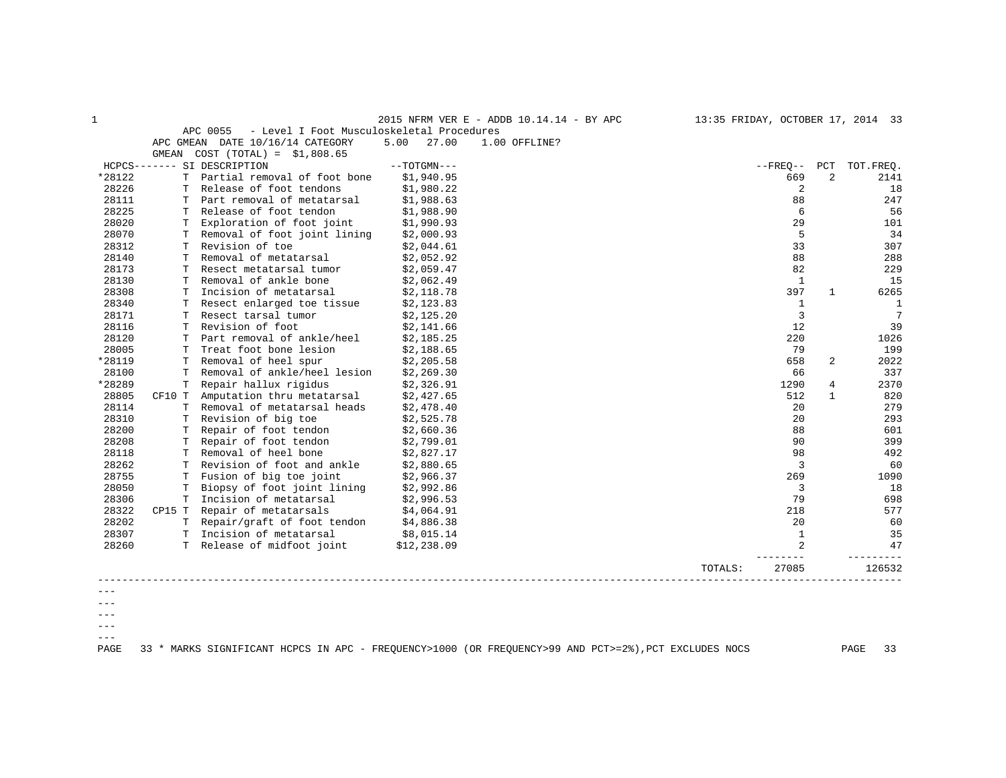|         |        |                                                       |               | 2015 NFRM VER E - ADDB 10.14.14 - BY APC | 13:35 FRIDAY, OCTOBER 17, 2014 33 |                |              |                 |
|---------|--------|-------------------------------------------------------|---------------|------------------------------------------|-----------------------------------|----------------|--------------|-----------------|
|         |        | APC 0055<br>- Level I Foot Musculoskeletal Procedures |               |                                          |                                   |                |              |                 |
|         |        | APC GMEAN DATE 10/16/14 CATEGORY                      | 5.00<br>27.00 | 1.00 OFFLINE?                            |                                   |                |              |                 |
|         |        | GMEAN $COST (TOTAL) = $1,808.65$                      |               |                                          |                                   |                |              |                 |
|         |        | HCPCS------- SI DESCRIPTION                           | $--TOTGMN---$ |                                          |                                   | --FREO-- PCT   |              | TOT.FREQ.       |
| *28122  |        | T Partial removal of foot bone                        | \$1,940.95    |                                          |                                   | 669            | 2            | 2141            |
| 28226   |        | Release of foot tendons                               | \$1,980.22    |                                          |                                   | 2              |              | 18              |
| 28111   |        | T Part removal of metatarsal                          | \$1,988.63    |                                          |                                   | 88             |              | 247             |
| 28225   |        | T Release of foot tendon                              | \$1,988.90    |                                          |                                   | 6              |              | 56              |
| 28020   | T.     | Exploration of foot joint                             | \$1,990.93    |                                          |                                   | 29             |              | 101             |
| 28070   |        | Removal of foot joint lining                          | \$2,000.93    |                                          |                                   | 5              |              | 34              |
| 28312   |        | T Revision of toe                                     | \$2,044.61    |                                          |                                   | 33             |              | 307             |
| 28140   | T.     | Removal of metatarsal                                 | \$2,052.92    |                                          |                                   | 88             |              | 288             |
| 28173   | T.     | Resect metatarsal tumor                               | \$2,059.47    |                                          |                                   | 82             |              | 229             |
| 28130   | т      | Removal of ankle bone                                 | \$2,062.49    |                                          |                                   | 1              |              | 15              |
| 28308   | т      | Incision of metatarsal                                | \$2,118.78    |                                          |                                   | 397            | $\mathbf{1}$ | 6265            |
| 28340   | т      | Resect enlarged toe tissue                            | \$2,123.83    |                                          |                                   | $\mathbf{1}$   |              | <sup>1</sup>    |
| 28171   |        | T Resect tarsal tumor                                 | \$2,125.20    |                                          |                                   | 3              |              | $7\phantom{.0}$ |
| 28116   | т      | Revision of foot                                      | \$2,141.66    |                                          |                                   | 12             |              | 39              |
| 28120   | T.     | Part removal of ankle/heel                            | \$2,185.25    |                                          |                                   | 220            |              | 1026            |
| 28005   | т      | Treat foot bone lesion                                | \$2,188.65    |                                          |                                   | 79             |              | 199             |
| *28119  | T.     | Removal of heel spur                                  | \$2,205.58    |                                          |                                   | 658            | 2            | 2022            |
| 28100   | т      | Removal of ankle/heel lesion                          | \$2,269.30    |                                          |                                   | 66             |              | 337             |
| *28289  | т      | Repair hallux rigidus                                 | \$2,326.91    |                                          |                                   | 1290           | 4            | 2370            |
| 28805   | CF10 T | Amputation thru metatarsal                            | \$2,427.65    |                                          |                                   | 512            | $\mathbf{1}$ | 820             |
| 28114   |        | T Removal of metatarsal heads                         | \$2,478.40    |                                          |                                   | 20             |              | 279             |
| 28310   |        | T Revision of big toe                                 | \$2,525.78    |                                          |                                   | 20             |              | 293             |
| 28200   | т      | Repair of foot tendon                                 | \$2,660.36    |                                          |                                   | 88             |              | 601             |
| 28208   | Т      | Repair of foot tendon                                 | \$2,799.01    |                                          |                                   | 90             |              | 399             |
| 28118   |        | T Removal of heel bone                                | \$2,827.17    |                                          |                                   | 98             |              | 492             |
| 28262   | T      | Revision of foot and ankle                            | \$2,880.65    |                                          |                                   | 3              |              | 60              |
| 28755   |        | T Fusion of big toe joint                             | \$2,966.37    |                                          |                                   | 269            |              | 1090            |
| 28050   | т      | Biopsy of foot joint lining                           | \$2,992.86    |                                          |                                   | 3              |              | 18              |
| 28306   |        | T Incision of metatarsal                              | \$2,996.53    |                                          |                                   | 79             |              | 698             |
| 28322   | CP15 T | Repair of metatarsals                                 | \$4,064.91    |                                          |                                   | 218            |              | 577             |
| 28202   |        | T Repair/graft of foot tendon                         | \$4,886.38    |                                          |                                   | 20             |              | 60              |
| 28307   |        | T Incision of metatarsal                              | \$8,015.14    |                                          |                                   | $\mathbf{1}$   |              | 35              |
| 28260   |        | T Release of midfoot joint                            | \$12,238.09   |                                          |                                   | $\overline{a}$ |              | 47              |
|         |        |                                                       |               |                                          | TOTALS:                           | 27085          |              | 126532          |
|         |        |                                                       |               |                                          |                                   |                |              |                 |
|         |        |                                                       |               |                                          |                                   |                |              |                 |
| $- - -$ |        |                                                       |               |                                          |                                   |                |              |                 |

--- ---  $--\,$ 

 $---$ 

PAGE 33 \* MARKS SIGNIFICANT HCPCS IN APC - FREQUENCY>1000 (OR FREQUENCY>99 AND PCT>=2%),PCT EXCLUDES NOCS PAGE 33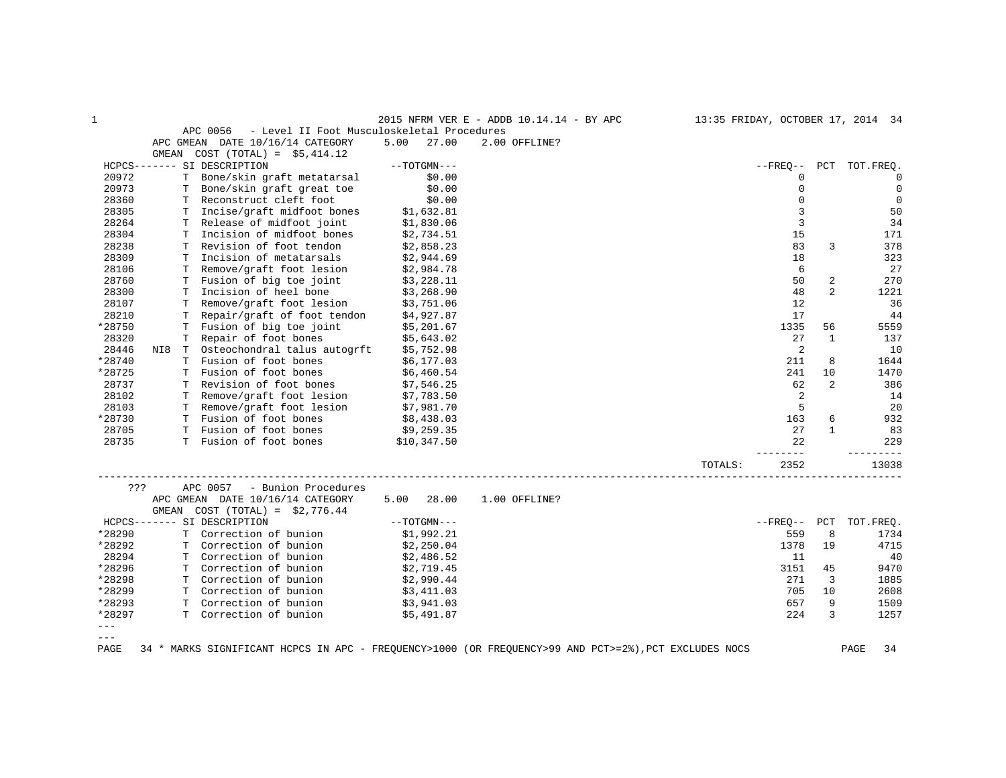| $\mathbf{1}$ |       |    |                                                                                                       |             |               | 2015 NFRM VER E - ADDB 10.14.14 - BY APC |         |                |                | 13:35 FRIDAY, OCTOBER 17, 2014 34 |
|--------------|-------|----|-------------------------------------------------------------------------------------------------------|-------------|---------------|------------------------------------------|---------|----------------|----------------|-----------------------------------|
|              |       |    | APC 0056<br>- Level II Foot Musculoskeletal Procedures                                                |             |               |                                          |         |                |                |                                   |
|              |       |    | APC GMEAN DATE 10/16/14 CATEGORY                                                                      | 5.00        | 27.00         | 2.00 OFFLINE?                            |         |                |                |                                   |
|              | GMEAN |    | $COST (TOTAL) = $5,414.12$                                                                            |             |               |                                          |         |                |                |                                   |
|              |       |    | HCPCS------- SI DESCRIPTION                                                                           |             | $--TOTGMN---$ |                                          |         | $- FREO--$     |                | PCT TOT.FREO.                     |
| 20972        |       |    | T Bone/skin graft metatarsal                                                                          |             | \$0.00        |                                          |         | $\mathbf 0$    |                | $\overline{0}$                    |
| 20973        |       |    | T Bone/skin graft great toe                                                                           |             | \$0.00        |                                          |         | $\mathbf 0$    |                | $\mathbf 0$                       |
| 28360        |       |    | T Reconstruct cleft foot                                                                              |             | \$0.00        |                                          |         | $\mathbf 0$    |                | $\overline{0}$                    |
| 28305        |       |    | T Incise/graft midfoot bones                                                                          |             | \$1,632.81    |                                          |         | 3              |                | 50                                |
| 28264        |       | T. | Release of midfoot joint                                                                              |             | \$1,830.06    |                                          |         | $\overline{3}$ |                | 34                                |
| 28304        |       |    | T Incision of midfoot bones                                                                           |             | \$2,734.51    |                                          |         | 15             |                | 171                               |
| 28238        |       |    | T Revision of foot tendon                                                                             |             | \$2,858.23    |                                          |         | 83             | 3              | 378                               |
| 28309        |       |    | T Incision of metatarsals                                                                             |             | \$2,944.69    |                                          |         | 18             |                | 323                               |
| 28106        |       |    | T Remove/graft foot lesion                                                                            |             | \$2,984.78    |                                          |         | 6              |                | 27                                |
| 28760        |       |    | T Fusion of big toe joint                                                                             |             | \$3,228.11    |                                          |         | 50             | 2              | 270                               |
| 28300        |       | T. | Incision of heel bone                                                                                 |             | \$3,268.90    |                                          |         | 48             | $\overline{a}$ | 1221                              |
| 28107        |       | T. | Remove/graft foot lesion                                                                              | \$3,751.06  |               |                                          |         | 12             |                | 36                                |
| 28210        |       | T. | Repair/graft of foot tendon                                                                           |             | \$4,927.87    |                                          |         | 17             |                | 44                                |
| *28750       |       |    | T Fusion of big toe joint                                                                             |             | \$5,201.67    |                                          |         | 1335           | 56             | 5559                              |
| 28320        |       | T. | Repair of foot bones                                                                                  |             | \$5,643.02    |                                          |         | 27             | $\mathbf{1}$   | 137                               |
| 28446        |       |    | NI8 T Osteochondral talus autogrft                                                                    |             | \$5,752.98    |                                          |         | 2              |                | 10                                |
| *28740       |       |    | T Fusion of foot bones                                                                                |             | \$6,177.03    |                                          |         | 211            | 8              | 1644                              |
| *28725       |       |    | T Fusion of foot bones                                                                                |             | \$6,460.54    |                                          |         | 241            | 10             | 1470                              |
| 28737        |       |    | T Revision of foot bones                                                                              |             | \$7,546.25    |                                          |         | 62             | 2              | 386                               |
| 28102        |       |    | T Remove/graft foot lesion                                                                            |             | \$7,783.50    |                                          |         | 2              |                | 14                                |
| 28103        |       |    | T Remove/graft foot lesion                                                                            |             | \$7,981.70    |                                          |         | 5              |                | 20                                |
| *28730       |       |    | T Fusion of foot bones                                                                                |             | \$8,438.03    |                                          |         | 163            | 6              | 932                               |
| 28705        |       |    | T Fusion of foot bones                                                                                |             | \$9,259.35    |                                          |         | 27             | 1              | 83                                |
| 28735        |       |    | T Fusion of foot bones                                                                                | \$10,347.50 |               |                                          |         | 22             |                | 229                               |
|              |       |    |                                                                                                       |             |               |                                          | TOTALS: | -----<br>2352  |                | 13038                             |
| ???          |       |    | APC 0057<br>- Bunion Procedures                                                                       |             |               |                                          |         |                |                |                                   |
|              |       |    | APC GMEAN DATE 10/16/14 CATEGORY                                                                      |             | $5.00$ 28.00  | 1.00 OFFLINE?                            |         |                |                |                                   |
|              |       |    | GMEAN COST $(TOTAL) = $2,776.44$                                                                      |             |               |                                          |         |                |                |                                   |
|              |       |    | HCPCS------- SI DESCRIPTION                                                                           |             | $--TOTGMN---$ |                                          |         | $--FRED--$ PCT |                | TOT.FREO.                         |
| *28290       |       |    | T Correction of bunion                                                                                |             | \$1,992.21    |                                          |         | 559            | 8              | 1734                              |
| *28292       |       |    | T Correction of bunion                                                                                |             | \$2,250.04    |                                          |         | 1378           | 19             | 4715                              |
| 28294        |       |    | T Correction of bunion                                                                                |             | \$2,486.52    |                                          |         | 11             |                | 40                                |
| *28296       |       |    | T Correction of bunion                                                                                |             | \$2,719.45    |                                          |         | 3151           | 45             | 9470                              |
| *28298       |       |    | T Correction of bunion                                                                                |             | \$2,990.44    |                                          |         | 271            | 3              | 1885                              |
| *28299       |       |    | T Correction of bunion                                                                                |             | \$3,411.03    |                                          |         | 705            | 10             | 2608                              |
| *28293       |       |    | T Correction of bunion                                                                                |             | \$3,941.03    |                                          |         | 657            | 9              | 1509                              |
| *28297       |       |    | T Correction of bunion                                                                                | \$5,491.87  |               |                                          |         | 224            | 3              | 1257                              |
| $---$        |       |    |                                                                                                       |             |               |                                          |         |                |                |                                   |
| $- - -$      |       |    |                                                                                                       |             |               |                                          |         |                |                |                                   |
| PAGE         |       |    | 34 * MARKS SIGNIFICANT HCPCS IN APC - FREQUENCY>1000 (OR FREQUENCY>99 AND PCT>=2%), PCT EXCLUDES NOCS |             |               |                                          |         |                |                | PAGE<br>34                        |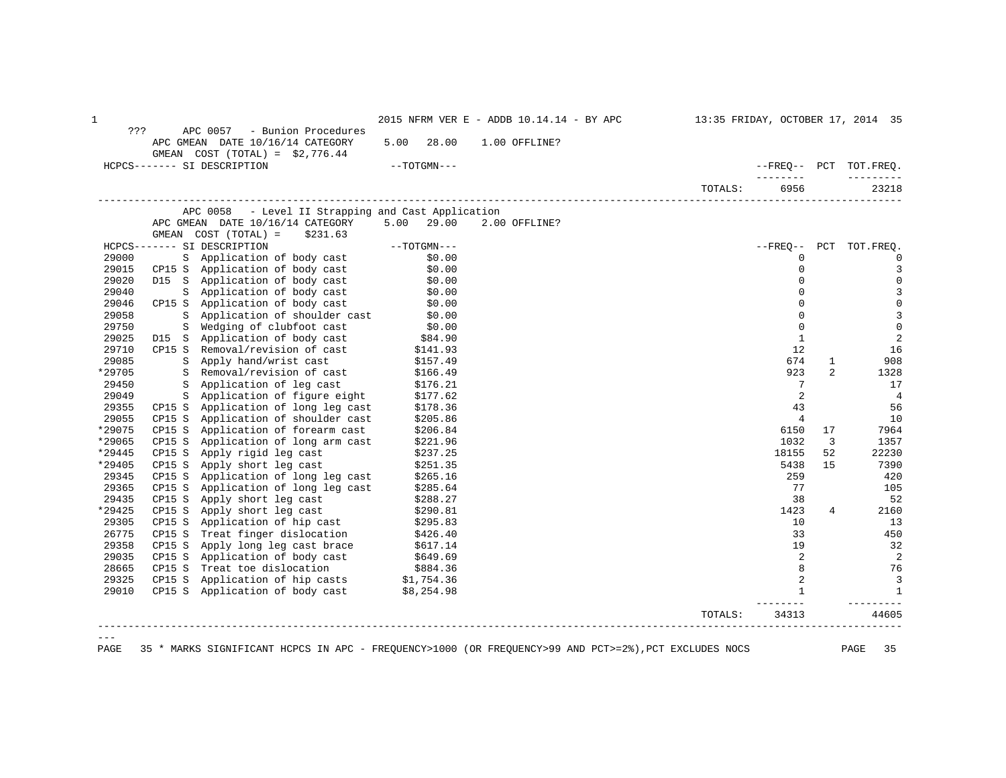| $\mathbf 1$ |                  |                                                                                       |      |                      | 2015 NFRM VER E - ADDB 10.14.14 - BY APC |         |                        |                | 13:35 FRIDAY, OCTOBER 17, 2014 35 |
|-------------|------------------|---------------------------------------------------------------------------------------|------|----------------------|------------------------------------------|---------|------------------------|----------------|-----------------------------------|
| ???         |                  | APC 0057<br>- Bunion Procedures                                                       |      |                      |                                          |         |                        |                |                                   |
|             |                  | APC GMEAN DATE 10/16/14 CATEGORY                                                      | 5.00 | 28.00                | 1.00 OFFLINE?                            |         |                        |                |                                   |
|             |                  | GMEAN $COST (TOTAL) = $2,776.44$                                                      |      |                      |                                          |         |                        |                |                                   |
|             |                  | HCPCS------- SI DESCRIPTION                                                           |      | $--TOTGMN---$        |                                          |         |                        |                | --FREQ-- PCT TOT.FREQ.            |
|             |                  |                                                                                       |      |                      |                                          | TOTALS: | ________<br>6956       |                | 23218                             |
|             |                  | APC 0058 - Level II Strapping and Cast Application                                    |      |                      |                                          |         |                        |                |                                   |
|             |                  | APC GMEAN DATE 10/16/14 CATEGORY                                                      |      | $5.00$ 29.00         | 2.00 OFFLINE?                            |         |                        |                |                                   |
|             |                  | GMEAN $COST (TOTAL) = $231.63$                                                        |      |                      |                                          |         |                        |                |                                   |
|             |                  | HCPCS------- SI DESCRIPTION                                                           |      | $--TOTGMN---$        |                                          |         | $--$ FREO $--$         |                | PCT TOT. FREO.                    |
| 29000       |                  | S Application of body cast                                                            |      | \$0.00               |                                          |         | 0                      |                |                                   |
| 29015       |                  | CP15 S Application of body cast                                                       |      | \$0.00               |                                          |         | $\mathbf 0$            |                |                                   |
| 29020       |                  | D15 S Application of body cast                                                        |      | \$0.00               |                                          |         | $\Omega$               |                | 0                                 |
| 29040       | S                | Application of body cast                                                              |      | \$0.00               |                                          |         | $\Omega$               |                | 3                                 |
| 29046       |                  | CP15 S Application of body cast                                                       |      | \$0.00               |                                          |         | $\mathbf 0$            |                |                                   |
| 29058       |                  | S Application of shoulder cast                                                        |      | \$0.00               |                                          |         | $\mathbf 0$            |                | 3                                 |
| 29750       |                  | S Wedging of clubfoot cast                                                            |      | \$0.00               |                                          |         | $\mathsf 0$            |                | $\mathbf 0$                       |
| 29025       |                  | D15 S Application of body cast                                                        |      | \$84.90              |                                          |         | $\mathbf{1}$           |                | $\overline{c}$                    |
| 29710       |                  | CP15 S Removal/revision of cast                                                       |      | \$141.93             |                                          |         | 12                     |                | 16                                |
| 29085       |                  | S Apply hand/wrist cast                                                               |      | \$157.49             |                                          |         | 674                    | $\mathbf{1}$   | 908                               |
| *29705      |                  | S Removal/revision of cast                                                            |      | \$166.49             |                                          |         | 923                    | $\overline{2}$ | 1328                              |
| 29450       |                  | S Application of leg cast                                                             |      | \$176.21             |                                          |         | 7                      |                | 17                                |
| 29049       |                  | S Application of figure eight                                                         |      | \$177.62             |                                          |         | 2                      |                | $\overline{4}$                    |
| 29355       | CP15 S           | Application of long leg cast                                                          |      | \$178.36             |                                          |         | 43                     |                | 56                                |
| 29055       | CP15 S           | Application of shoulder cast                                                          |      | \$205.86             |                                          |         | $\overline{4}$         |                | 10                                |
| *29075      | CP15 S           | Application of forearm cast                                                           |      | \$206.84             |                                          |         | 6150                   | 17             | 7964                              |
| *29065      | CP15 S           | Application of long arm cast                                                          |      | \$221.96             |                                          |         | 1032                   | 3              | 1357                              |
| *29445      | CP15 S           | Apply rigid leg cast                                                                  |      | \$237.25             |                                          |         | 18155                  | 52             | 22230                             |
| *29405      | CP15 S           | Apply short leg cast                                                                  |      | \$251.35             |                                          |         | 5438                   | 15             | 7390                              |
| 29345       |                  | Application of long leg cast                                                          |      |                      |                                          |         | 259                    |                | 420                               |
| 29365       | CP15 S<br>CP15 S | Application of long leg cast                                                          |      | \$265.16<br>\$285.64 |                                          |         | 77                     |                | 105                               |
| 29435       | CP15 S           | Apply short leg cast                                                                  |      | \$288.27             |                                          |         | 38                     |                | 52                                |
| *29425      | CP15 S           | Apply short leg cast                                                                  |      |                      |                                          |         | 1423                   | 4              | 2160                              |
| 29305       | CP15 S           | Application of hip cast                                                               |      | \$290.81             |                                          |         | 10                     |                | 13                                |
| 26775       |                  |                                                                                       |      | \$295.83             |                                          |         | 33                     |                |                                   |
| 29358       | CP15 S           | Treat finger dislocation                                                              |      | \$426.40             |                                          |         | 19                     |                | 450<br>32                         |
|             | CP15 S           | Apply long leg cast brace                                                             |      | \$617.14             |                                          |         |                        |                |                                   |
| 29035       |                  | CP15 S Application of body cast                                                       |      | \$649.69             |                                          |         | 2                      |                | 2                                 |
| 28665       | CP15 S           | Treat toe dislocation<br>Preat toe disiocation<br>Application of hip casts \$1,754.36 |      | \$884.36             |                                          |         | 8                      |                | 76                                |
| 29325       | CP15 S           |                                                                                       |      |                      |                                          |         | $\overline{c}$         |                | $\overline{3}$                    |
| 29010       |                  | CP15 S Application of body cast $$8,254.98$                                           |      |                      |                                          |         | $\mathbf{1}$<br>------ |                | $\mathbf{1}$                      |
|             |                  |                                                                                       |      |                      |                                          | TOTALS: | 34313                  |                | 44605                             |
|             |                  |                                                                                       |      |                      |                                          |         |                        |                |                                   |
|             |                  |                                                                                       |      |                      |                                          |         |                        |                |                                   |

PAGE 35 \* MARKS SIGNIFICANT HCPCS IN APC - FREQUENCY>1000 (OR FREQUENCY>99 AND PCT>=2%),PCT EXCLUDES NOCS PAGE 35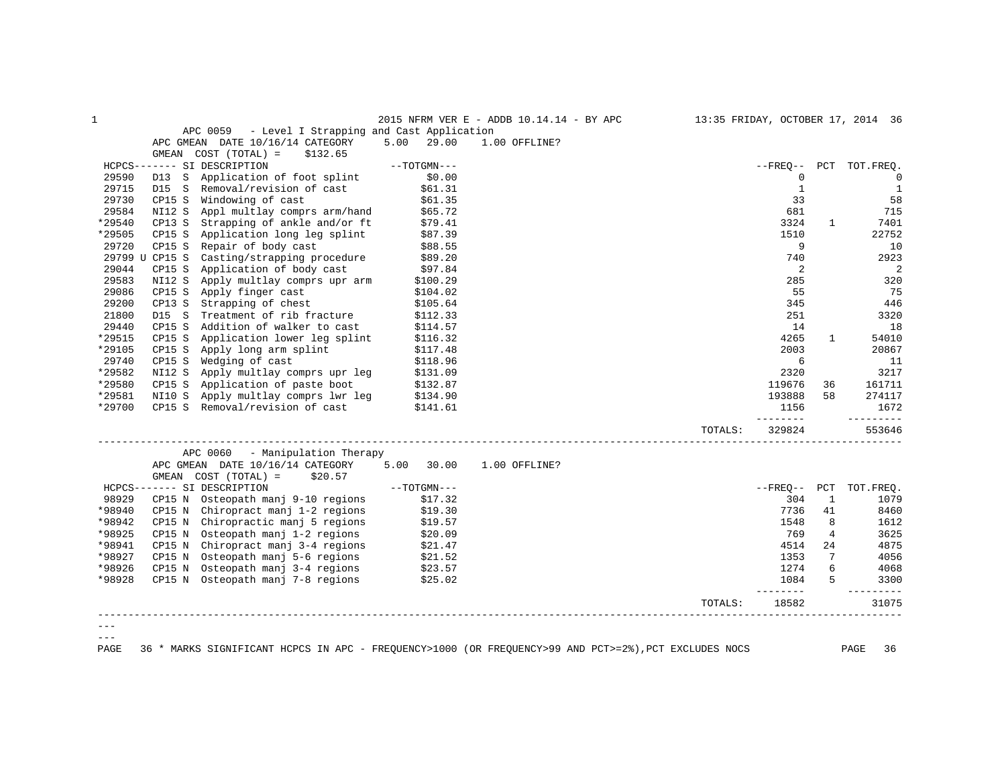| $\mathbf{1}$ |                                                   |               | 2015 NFRM VER E - ADDB 10.14.14 - BY APC |         |                       |              | 13:35 FRIDAY, OCTOBER 17, 2014 36 |
|--------------|---------------------------------------------------|---------------|------------------------------------------|---------|-----------------------|--------------|-----------------------------------|
|              | APC 0059 - Level I Strapping and Cast Application |               |                                          |         |                       |              |                                   |
|              | APC GMEAN DATE 10/16/14 CATEGORY                  | 5.00<br>29.00 | 1.00 OFFLINE?                            |         |                       |              |                                   |
|              | GMEAN COST (TOTAL) =<br>\$132.65                  |               |                                          |         |                       |              |                                   |
|              | HCPCS------- SI DESCRIPTION                       | $--TOTGMN---$ |                                          |         | $--$ FREO $--$        |              | PCT TOT. FREO.                    |
| 29590        | D13 S<br>Application of foot splint               | \$0.00        |                                          |         | 0                     |              | $\mathbf 0$                       |
| 29715        | Removal/revision of cast<br>D15 S                 | \$61.31       |                                          |         | $\mathbf{1}$          |              | $\mathbf{1}$                      |
| 29730        | CP15 S<br>Windowing of cast                       | \$61.35       |                                          |         | 33                    |              | 58                                |
| 29584        | NI12 S<br>Appl multlay comprs arm/hand            | \$65.72       |                                          |         | 681                   |              | 715                               |
| *29540       | Strapping of ankle and/or ft<br>CP13 S            | \$79.41       |                                          |         | 3324                  | $\mathbf{1}$ | 7401                              |
| *29505       | Application long leg splint<br>CP15 S             | \$87.39       |                                          |         | 1510                  |              | 22752                             |
| 29720        | CP15 S<br>Repair of body cast                     | \$88.55       |                                          |         | 9                     |              | 10                                |
|              | 29799 U CP15 S<br>Casting/strapping procedure     | \$89.20       |                                          |         | 740                   |              | 2923                              |
| 29044        | Application of body cast<br>CP15 S                | \$97.84       |                                          |         | 2                     |              | 2                                 |
| 29583        | NI12 S<br>Apply multlay comprs upr arm            | \$100.29      |                                          |         | 285                   |              | 320                               |
| 29086        | CP15 S<br>Apply finger cast                       | \$104.02      |                                          |         | 55                    |              | 75                                |
| 29200        | Strapping of chest<br>CP13 S                      | \$105.64      |                                          |         | 345                   |              | 446                               |
| 21800        | D15 S<br>Treatment of rib fracture                | \$112.33      |                                          |         | 251                   |              | 3320                              |
| 29440        | CP15 S<br>Addition of walker to cast              | \$114.57      |                                          |         | 14                    |              | 18                                |
| *29515       | CP15 S<br>Application lower leg splint            | \$116.32      |                                          |         | 4265                  | $\mathbf{1}$ | 54010                             |
| *29105       | CP15 S Apply long arm splint                      | \$117.48      |                                          |         | 2003                  |              | 20867                             |
| 29740        | Wedging of cast<br>CP15 S                         | \$118.96      |                                          |         | 6                     |              | 11                                |
| *29582       | NI12 S<br>Apply multlay comprs upr leg            | \$131.09      |                                          |         | 2320                  |              | 3217                              |
| *29580       | CP15 S Application of paste boot                  | \$132.87      |                                          |         | 119676                | 36           | 161711                            |
| *29581       | Apply multlay comprs lwr leg<br>NI10 S            | \$134.90      |                                          |         | 193888                | 58           | 274117                            |
| *29700       | CP15 S Removal/revision of cast                   | \$141.61      |                                          |         | 1156                  |              | 1672                              |
|              |                                                   |               |                                          |         | ________              |              | _________                         |
|              |                                                   |               |                                          | TOTALS: | 329824                |              | 553646                            |
|              | APC 0060<br>- Manipulation Therapy                |               |                                          |         |                       |              |                                   |
|              | APC GMEAN DATE 10/16/14 CATEGORY 5.00             | 30.00         | 1.00 OFFLINE?                            |         |                       |              |                                   |
|              | GMEAN COST (TOTAL) =<br>\$20.57                   |               |                                          |         |                       |              |                                   |
|              | HCPCS------- SI DESCRIPTION                       | $--TOTGMN---$ |                                          |         | $--$ FREO $--$        | PCT          | TOT. FREO.                        |
| 98929        | CP15 N Osteopath manj 9-10 regions                | \$17.32       |                                          |         | 304                   | 1            | 1079                              |
| *98940       | CP15 N Chiropract manj 1-2 regions                | \$19.30       |                                          |         | 7736                  | 41           | 8460                              |
| *98942       | Chiropractic manj 5 regions<br>CP15 N             | \$19.57       |                                          |         | 1548                  | 8            | 1612                              |
| *98925       | CP15 N Osteopath manj 1-2 regions                 | \$20.09       |                                          |         | 769                   | 4            | 3625                              |
| *98941       | CP15 N Chiropract manj 3-4 regions                | \$21.47       |                                          |         | 4514                  | 24           | 4875                              |
| *98927       | CP15 N Osteopath manj 5-6 regions                 | \$21.52       |                                          |         | 1353                  | 7            | 4056                              |
| *98926       | CP15 N Osteopath manj 3-4 regions                 | \$23.57       |                                          |         | 1274                  | 6            | 4068                              |
| *98928       | CP15 N Osteopath manj 7-8 regions                 | \$25.02       |                                          |         | 1084<br>$\frac{1}{2}$ | 5            | 3300<br>$- - - - -$               |
|              |                                                   |               |                                          | TOTALS: | 18582                 |              | 31075                             |
|              |                                                   |               |                                          |         |                       |              |                                   |
|              |                                                   |               |                                          |         |                       |              |                                   |
| $- - -$      |                                                   |               |                                          |         |                       |              |                                   |

PAGE 36 \* MARKS SIGNIFICANT HCPCS IN APC - FREQUENCY>1000 (OR FREQUENCY>99 AND PCT>=2%),PCT EXCLUDES NOCS PAGE 36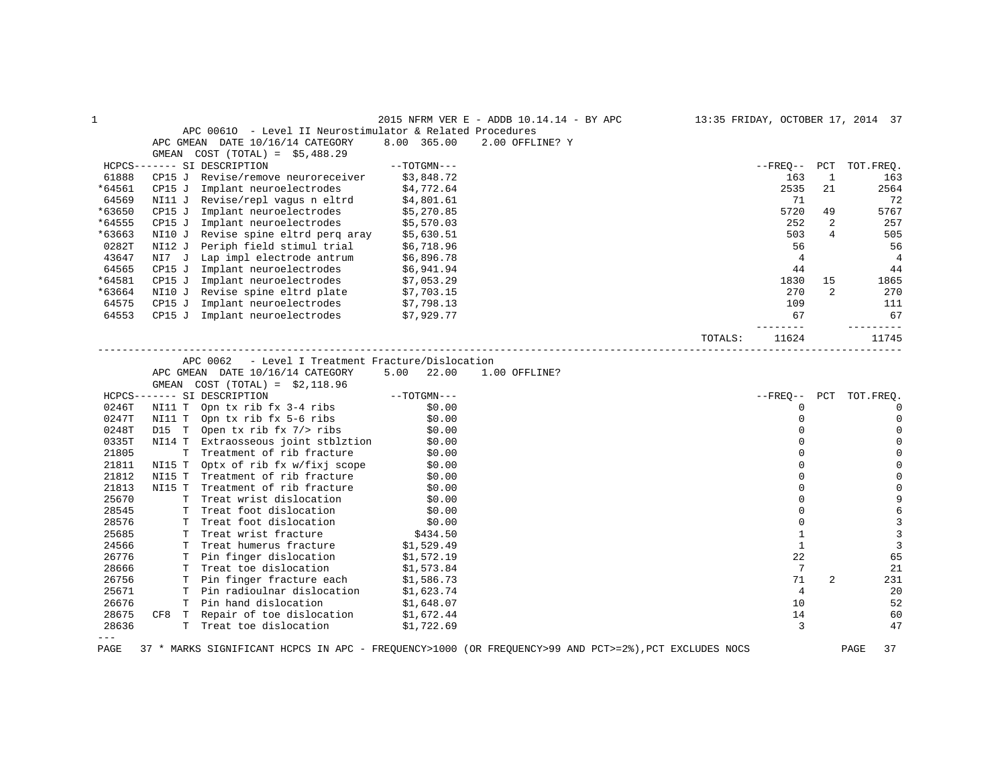| APC 00610 - Level II Neurostimulator & Related Procedures<br>APC GMEAN DATE 10/16/14 CATEGORY<br>8.00 365.00<br>2.00 OFFLINE? Y<br>$COST (TOTAL) = $5,488.29$<br>GMEAN<br>HCPCS------- SI DESCRIPTION<br>$--TOTGMN---$<br>--FREQ--<br>PCT<br>TOT.FREQ.<br>61888<br>CP15 J Revise/remove neuroreceiver<br>\$3,848.72<br>163<br>1<br>163<br>*64561<br>Implant neuroelectrodes<br>2535<br>21<br>CP15J<br>\$4,772.64<br>2564<br>64569<br>NI11 J Revise/repl vagus n eltrd<br>\$4,801.61<br>71<br>72<br>5720<br>*63650<br>5767<br>CP15 J Implant neuroelectrodes<br>\$5,270.85<br>49<br>CP15 J Implant neuroelectrodes<br>*64555<br>\$5,570.03<br>252<br>2<br>257<br>*63663<br>NI10 J Revise spine eltrd perg aray<br>503<br>$\overline{4}$<br>505<br>\$5,630.51<br>0282T<br>NI12 J Periph field stimul trial \$6,718.96<br>56<br>56<br>NI7 J Lap impl electrode antrum \$6,896.78<br>43647<br>$\overline{4}$<br>$\overline{4}$<br>64565<br>44<br>44<br>CP15 J Implant neuroelectrodes $\frac{1}{2}$ \$6,941.94<br>*64581<br>CP15 J Implant neuroelectrodes<br>\$7,053.29<br>1865<br>1830<br>15<br>*63664<br>NI10 J Revise spine eltrd plate \$7,703.15<br>270<br>$\overline{2}$<br>270<br>64575<br>Implant neuroelectrodes<br>CP15 J<br>\$7,798.13<br>109<br>111<br>CP15 J Implant neuroelectrodes \$7,929.77<br>64553<br>67<br>67<br>$- - - - -$<br>------<br>11624<br>TOTALS:<br>11745<br>____________________<br>APC 0062<br>- Level I Treatment Fracture/Dislocation<br>APC GMEAN DATE 10/16/14 CATEGORY<br>$5.00$ 22.00<br>1.00 OFFLINE?<br>GMEAN $COST (TOTAL) = $2,118.96$<br>$--{\tt TOTGMN---}$<br>$- FREQ--$<br>PCT TOT. FREQ.<br>HCPCS------- SI DESCRIPTION<br>0246T<br>NI11 T Opn tx rib fx 3-4 ribs<br>\$0.00<br>$\mathbf 0$<br>$\Omega$<br>0247T<br>NI11 T Opn tx rib fx 5-6 ribs<br>\$0.00<br>$\mathbf 0$<br>$\Omega$<br>0248T<br>D15 T Open tx rib fx 7/> ribs<br>\$0.00<br>$\Omega$<br>0<br>0335T<br>NI14 T Extraosseous joint stblztion<br>$\Omega$<br>\$0.00<br>$\mathbf 0$<br>21805<br>T Treatment of rib fracture<br>\$0.00<br>$\Omega$<br>$\Omega$<br>\$0.00<br>21811<br>NI15 T Optx of rib fx w/fixj scope<br>$\Omega$<br>$\Omega$<br>21812<br>Treatment of rib fracture<br>$\Omega$<br>$\Omega$<br>NI15 T<br>\$0.00<br>21813<br>NI15 T Treatment of rib fracture<br>$\Omega$<br>\$0.00<br>$\mathbf 0$<br>25670<br>$\Omega$<br>9<br>T Treat wrist dislocation<br>\$0.00<br>28545<br>T Treat foot dislocation<br>6<br>\$0.00<br>$\Omega$<br>3<br>28576<br>T Treat foot dislocation<br>$\mathbf{0}$<br>\$0.00<br>3<br>25685<br>T Treat wrist fracture<br>$\mathbf{1}$<br>\$434.50<br>$\overline{3}$<br>24566<br>$\mathbf{1}$<br>T Treat humerus fracture<br>\$1,529.49<br>22<br>26776<br>T Pin finger dislocation<br>65<br>\$1,572.19<br>28666<br>T Treat toe dislocation<br>7<br>21<br>\$1,573.84<br>26756<br>T Pin finger fracture each<br>71<br>2<br>231<br>\$1,586.73<br>\$1,623.74<br>25671<br>T Pin radioulnar dislocation<br>$\overline{4}$<br>20<br>26676<br>T Pin hand dislocation<br>10<br>52<br>\$1,648.07<br>\$1,672.44<br>28675<br>CF8 T Repair of toe dislocation<br>14<br>60<br>28636<br>T Treat toe dislocation<br>3<br>\$1,722.69<br>47<br>$= - -$ | 1 |  | 2015 NFRM VER E - ADDB 10.14.14 - BY APC |  | 13:35 FRIDAY, OCTOBER 17, 2014 37 |
|---------------------------------------------------------------------------------------------------------------------------------------------------------------------------------------------------------------------------------------------------------------------------------------------------------------------------------------------------------------------------------------------------------------------------------------------------------------------------------------------------------------------------------------------------------------------------------------------------------------------------------------------------------------------------------------------------------------------------------------------------------------------------------------------------------------------------------------------------------------------------------------------------------------------------------------------------------------------------------------------------------------------------------------------------------------------------------------------------------------------------------------------------------------------------------------------------------------------------------------------------------------------------------------------------------------------------------------------------------------------------------------------------------------------------------------------------------------------------------------------------------------------------------------------------------------------------------------------------------------------------------------------------------------------------------------------------------------------------------------------------------------------------------------------------------------------------------------------------------------------------------------------------------------------------------------------------------------------------------------------------------------------------------------------------------------------------------------------------------------------------------------------------------------------------------------------------------------------------------------------------------------------------------------------------------------------------------------------------------------------------------------------------------------------------------------------------------------------------------------------------------------------------------------------------------------------------------------------------------------------------------------------------------------------------------------------------------------------------------------------------------------------------------------------------------------------------------------------------------------------------------------------------------------------------------------------------------------------------------------------------------------------------------------------------------------------------------------------------------------------------------------------------------------------------------------|---|--|------------------------------------------|--|-----------------------------------|
|                                                                                                                                                                                                                                                                                                                                                                                                                                                                                                                                                                                                                                                                                                                                                                                                                                                                                                                                                                                                                                                                                                                                                                                                                                                                                                                                                                                                                                                                                                                                                                                                                                                                                                                                                                                                                                                                                                                                                                                                                                                                                                                                                                                                                                                                                                                                                                                                                                                                                                                                                                                                                                                                                                                                                                                                                                                                                                                                                                                                                                                                                                                                                                                       |   |  |                                          |  |                                   |
|                                                                                                                                                                                                                                                                                                                                                                                                                                                                                                                                                                                                                                                                                                                                                                                                                                                                                                                                                                                                                                                                                                                                                                                                                                                                                                                                                                                                                                                                                                                                                                                                                                                                                                                                                                                                                                                                                                                                                                                                                                                                                                                                                                                                                                                                                                                                                                                                                                                                                                                                                                                                                                                                                                                                                                                                                                                                                                                                                                                                                                                                                                                                                                                       |   |  |                                          |  |                                   |
|                                                                                                                                                                                                                                                                                                                                                                                                                                                                                                                                                                                                                                                                                                                                                                                                                                                                                                                                                                                                                                                                                                                                                                                                                                                                                                                                                                                                                                                                                                                                                                                                                                                                                                                                                                                                                                                                                                                                                                                                                                                                                                                                                                                                                                                                                                                                                                                                                                                                                                                                                                                                                                                                                                                                                                                                                                                                                                                                                                                                                                                                                                                                                                                       |   |  |                                          |  |                                   |
|                                                                                                                                                                                                                                                                                                                                                                                                                                                                                                                                                                                                                                                                                                                                                                                                                                                                                                                                                                                                                                                                                                                                                                                                                                                                                                                                                                                                                                                                                                                                                                                                                                                                                                                                                                                                                                                                                                                                                                                                                                                                                                                                                                                                                                                                                                                                                                                                                                                                                                                                                                                                                                                                                                                                                                                                                                                                                                                                                                                                                                                                                                                                                                                       |   |  |                                          |  |                                   |
|                                                                                                                                                                                                                                                                                                                                                                                                                                                                                                                                                                                                                                                                                                                                                                                                                                                                                                                                                                                                                                                                                                                                                                                                                                                                                                                                                                                                                                                                                                                                                                                                                                                                                                                                                                                                                                                                                                                                                                                                                                                                                                                                                                                                                                                                                                                                                                                                                                                                                                                                                                                                                                                                                                                                                                                                                                                                                                                                                                                                                                                                                                                                                                                       |   |  |                                          |  |                                   |
|                                                                                                                                                                                                                                                                                                                                                                                                                                                                                                                                                                                                                                                                                                                                                                                                                                                                                                                                                                                                                                                                                                                                                                                                                                                                                                                                                                                                                                                                                                                                                                                                                                                                                                                                                                                                                                                                                                                                                                                                                                                                                                                                                                                                                                                                                                                                                                                                                                                                                                                                                                                                                                                                                                                                                                                                                                                                                                                                                                                                                                                                                                                                                                                       |   |  |                                          |  |                                   |
|                                                                                                                                                                                                                                                                                                                                                                                                                                                                                                                                                                                                                                                                                                                                                                                                                                                                                                                                                                                                                                                                                                                                                                                                                                                                                                                                                                                                                                                                                                                                                                                                                                                                                                                                                                                                                                                                                                                                                                                                                                                                                                                                                                                                                                                                                                                                                                                                                                                                                                                                                                                                                                                                                                                                                                                                                                                                                                                                                                                                                                                                                                                                                                                       |   |  |                                          |  |                                   |
|                                                                                                                                                                                                                                                                                                                                                                                                                                                                                                                                                                                                                                                                                                                                                                                                                                                                                                                                                                                                                                                                                                                                                                                                                                                                                                                                                                                                                                                                                                                                                                                                                                                                                                                                                                                                                                                                                                                                                                                                                                                                                                                                                                                                                                                                                                                                                                                                                                                                                                                                                                                                                                                                                                                                                                                                                                                                                                                                                                                                                                                                                                                                                                                       |   |  |                                          |  |                                   |
|                                                                                                                                                                                                                                                                                                                                                                                                                                                                                                                                                                                                                                                                                                                                                                                                                                                                                                                                                                                                                                                                                                                                                                                                                                                                                                                                                                                                                                                                                                                                                                                                                                                                                                                                                                                                                                                                                                                                                                                                                                                                                                                                                                                                                                                                                                                                                                                                                                                                                                                                                                                                                                                                                                                                                                                                                                                                                                                                                                                                                                                                                                                                                                                       |   |  |                                          |  |                                   |
|                                                                                                                                                                                                                                                                                                                                                                                                                                                                                                                                                                                                                                                                                                                                                                                                                                                                                                                                                                                                                                                                                                                                                                                                                                                                                                                                                                                                                                                                                                                                                                                                                                                                                                                                                                                                                                                                                                                                                                                                                                                                                                                                                                                                                                                                                                                                                                                                                                                                                                                                                                                                                                                                                                                                                                                                                                                                                                                                                                                                                                                                                                                                                                                       |   |  |                                          |  |                                   |
|                                                                                                                                                                                                                                                                                                                                                                                                                                                                                                                                                                                                                                                                                                                                                                                                                                                                                                                                                                                                                                                                                                                                                                                                                                                                                                                                                                                                                                                                                                                                                                                                                                                                                                                                                                                                                                                                                                                                                                                                                                                                                                                                                                                                                                                                                                                                                                                                                                                                                                                                                                                                                                                                                                                                                                                                                                                                                                                                                                                                                                                                                                                                                                                       |   |  |                                          |  |                                   |
|                                                                                                                                                                                                                                                                                                                                                                                                                                                                                                                                                                                                                                                                                                                                                                                                                                                                                                                                                                                                                                                                                                                                                                                                                                                                                                                                                                                                                                                                                                                                                                                                                                                                                                                                                                                                                                                                                                                                                                                                                                                                                                                                                                                                                                                                                                                                                                                                                                                                                                                                                                                                                                                                                                                                                                                                                                                                                                                                                                                                                                                                                                                                                                                       |   |  |                                          |  |                                   |
|                                                                                                                                                                                                                                                                                                                                                                                                                                                                                                                                                                                                                                                                                                                                                                                                                                                                                                                                                                                                                                                                                                                                                                                                                                                                                                                                                                                                                                                                                                                                                                                                                                                                                                                                                                                                                                                                                                                                                                                                                                                                                                                                                                                                                                                                                                                                                                                                                                                                                                                                                                                                                                                                                                                                                                                                                                                                                                                                                                                                                                                                                                                                                                                       |   |  |                                          |  |                                   |
|                                                                                                                                                                                                                                                                                                                                                                                                                                                                                                                                                                                                                                                                                                                                                                                                                                                                                                                                                                                                                                                                                                                                                                                                                                                                                                                                                                                                                                                                                                                                                                                                                                                                                                                                                                                                                                                                                                                                                                                                                                                                                                                                                                                                                                                                                                                                                                                                                                                                                                                                                                                                                                                                                                                                                                                                                                                                                                                                                                                                                                                                                                                                                                                       |   |  |                                          |  |                                   |
|                                                                                                                                                                                                                                                                                                                                                                                                                                                                                                                                                                                                                                                                                                                                                                                                                                                                                                                                                                                                                                                                                                                                                                                                                                                                                                                                                                                                                                                                                                                                                                                                                                                                                                                                                                                                                                                                                                                                                                                                                                                                                                                                                                                                                                                                                                                                                                                                                                                                                                                                                                                                                                                                                                                                                                                                                                                                                                                                                                                                                                                                                                                                                                                       |   |  |                                          |  |                                   |
|                                                                                                                                                                                                                                                                                                                                                                                                                                                                                                                                                                                                                                                                                                                                                                                                                                                                                                                                                                                                                                                                                                                                                                                                                                                                                                                                                                                                                                                                                                                                                                                                                                                                                                                                                                                                                                                                                                                                                                                                                                                                                                                                                                                                                                                                                                                                                                                                                                                                                                                                                                                                                                                                                                                                                                                                                                                                                                                                                                                                                                                                                                                                                                                       |   |  |                                          |  |                                   |
|                                                                                                                                                                                                                                                                                                                                                                                                                                                                                                                                                                                                                                                                                                                                                                                                                                                                                                                                                                                                                                                                                                                                                                                                                                                                                                                                                                                                                                                                                                                                                                                                                                                                                                                                                                                                                                                                                                                                                                                                                                                                                                                                                                                                                                                                                                                                                                                                                                                                                                                                                                                                                                                                                                                                                                                                                                                                                                                                                                                                                                                                                                                                                                                       |   |  |                                          |  |                                   |
|                                                                                                                                                                                                                                                                                                                                                                                                                                                                                                                                                                                                                                                                                                                                                                                                                                                                                                                                                                                                                                                                                                                                                                                                                                                                                                                                                                                                                                                                                                                                                                                                                                                                                                                                                                                                                                                                                                                                                                                                                                                                                                                                                                                                                                                                                                                                                                                                                                                                                                                                                                                                                                                                                                                                                                                                                                                                                                                                                                                                                                                                                                                                                                                       |   |  |                                          |  |                                   |
|                                                                                                                                                                                                                                                                                                                                                                                                                                                                                                                                                                                                                                                                                                                                                                                                                                                                                                                                                                                                                                                                                                                                                                                                                                                                                                                                                                                                                                                                                                                                                                                                                                                                                                                                                                                                                                                                                                                                                                                                                                                                                                                                                                                                                                                                                                                                                                                                                                                                                                                                                                                                                                                                                                                                                                                                                                                                                                                                                                                                                                                                                                                                                                                       |   |  |                                          |  |                                   |
|                                                                                                                                                                                                                                                                                                                                                                                                                                                                                                                                                                                                                                                                                                                                                                                                                                                                                                                                                                                                                                                                                                                                                                                                                                                                                                                                                                                                                                                                                                                                                                                                                                                                                                                                                                                                                                                                                                                                                                                                                                                                                                                                                                                                                                                                                                                                                                                                                                                                                                                                                                                                                                                                                                                                                                                                                                                                                                                                                                                                                                                                                                                                                                                       |   |  |                                          |  |                                   |
|                                                                                                                                                                                                                                                                                                                                                                                                                                                                                                                                                                                                                                                                                                                                                                                                                                                                                                                                                                                                                                                                                                                                                                                                                                                                                                                                                                                                                                                                                                                                                                                                                                                                                                                                                                                                                                                                                                                                                                                                                                                                                                                                                                                                                                                                                                                                                                                                                                                                                                                                                                                                                                                                                                                                                                                                                                                                                                                                                                                                                                                                                                                                                                                       |   |  |                                          |  |                                   |
|                                                                                                                                                                                                                                                                                                                                                                                                                                                                                                                                                                                                                                                                                                                                                                                                                                                                                                                                                                                                                                                                                                                                                                                                                                                                                                                                                                                                                                                                                                                                                                                                                                                                                                                                                                                                                                                                                                                                                                                                                                                                                                                                                                                                                                                                                                                                                                                                                                                                                                                                                                                                                                                                                                                                                                                                                                                                                                                                                                                                                                                                                                                                                                                       |   |  |                                          |  |                                   |
|                                                                                                                                                                                                                                                                                                                                                                                                                                                                                                                                                                                                                                                                                                                                                                                                                                                                                                                                                                                                                                                                                                                                                                                                                                                                                                                                                                                                                                                                                                                                                                                                                                                                                                                                                                                                                                                                                                                                                                                                                                                                                                                                                                                                                                                                                                                                                                                                                                                                                                                                                                                                                                                                                                                                                                                                                                                                                                                                                                                                                                                                                                                                                                                       |   |  |                                          |  |                                   |
|                                                                                                                                                                                                                                                                                                                                                                                                                                                                                                                                                                                                                                                                                                                                                                                                                                                                                                                                                                                                                                                                                                                                                                                                                                                                                                                                                                                                                                                                                                                                                                                                                                                                                                                                                                                                                                                                                                                                                                                                                                                                                                                                                                                                                                                                                                                                                                                                                                                                                                                                                                                                                                                                                                                                                                                                                                                                                                                                                                                                                                                                                                                                                                                       |   |  |                                          |  |                                   |
|                                                                                                                                                                                                                                                                                                                                                                                                                                                                                                                                                                                                                                                                                                                                                                                                                                                                                                                                                                                                                                                                                                                                                                                                                                                                                                                                                                                                                                                                                                                                                                                                                                                                                                                                                                                                                                                                                                                                                                                                                                                                                                                                                                                                                                                                                                                                                                                                                                                                                                                                                                                                                                                                                                                                                                                                                                                                                                                                                                                                                                                                                                                                                                                       |   |  |                                          |  |                                   |
|                                                                                                                                                                                                                                                                                                                                                                                                                                                                                                                                                                                                                                                                                                                                                                                                                                                                                                                                                                                                                                                                                                                                                                                                                                                                                                                                                                                                                                                                                                                                                                                                                                                                                                                                                                                                                                                                                                                                                                                                                                                                                                                                                                                                                                                                                                                                                                                                                                                                                                                                                                                                                                                                                                                                                                                                                                                                                                                                                                                                                                                                                                                                                                                       |   |  |                                          |  |                                   |
|                                                                                                                                                                                                                                                                                                                                                                                                                                                                                                                                                                                                                                                                                                                                                                                                                                                                                                                                                                                                                                                                                                                                                                                                                                                                                                                                                                                                                                                                                                                                                                                                                                                                                                                                                                                                                                                                                                                                                                                                                                                                                                                                                                                                                                                                                                                                                                                                                                                                                                                                                                                                                                                                                                                                                                                                                                                                                                                                                                                                                                                                                                                                                                                       |   |  |                                          |  |                                   |
|                                                                                                                                                                                                                                                                                                                                                                                                                                                                                                                                                                                                                                                                                                                                                                                                                                                                                                                                                                                                                                                                                                                                                                                                                                                                                                                                                                                                                                                                                                                                                                                                                                                                                                                                                                                                                                                                                                                                                                                                                                                                                                                                                                                                                                                                                                                                                                                                                                                                                                                                                                                                                                                                                                                                                                                                                                                                                                                                                                                                                                                                                                                                                                                       |   |  |                                          |  |                                   |
|                                                                                                                                                                                                                                                                                                                                                                                                                                                                                                                                                                                                                                                                                                                                                                                                                                                                                                                                                                                                                                                                                                                                                                                                                                                                                                                                                                                                                                                                                                                                                                                                                                                                                                                                                                                                                                                                                                                                                                                                                                                                                                                                                                                                                                                                                                                                                                                                                                                                                                                                                                                                                                                                                                                                                                                                                                                                                                                                                                                                                                                                                                                                                                                       |   |  |                                          |  |                                   |
|                                                                                                                                                                                                                                                                                                                                                                                                                                                                                                                                                                                                                                                                                                                                                                                                                                                                                                                                                                                                                                                                                                                                                                                                                                                                                                                                                                                                                                                                                                                                                                                                                                                                                                                                                                                                                                                                                                                                                                                                                                                                                                                                                                                                                                                                                                                                                                                                                                                                                                                                                                                                                                                                                                                                                                                                                                                                                                                                                                                                                                                                                                                                                                                       |   |  |                                          |  |                                   |
|                                                                                                                                                                                                                                                                                                                                                                                                                                                                                                                                                                                                                                                                                                                                                                                                                                                                                                                                                                                                                                                                                                                                                                                                                                                                                                                                                                                                                                                                                                                                                                                                                                                                                                                                                                                                                                                                                                                                                                                                                                                                                                                                                                                                                                                                                                                                                                                                                                                                                                                                                                                                                                                                                                                                                                                                                                                                                                                                                                                                                                                                                                                                                                                       |   |  |                                          |  |                                   |
|                                                                                                                                                                                                                                                                                                                                                                                                                                                                                                                                                                                                                                                                                                                                                                                                                                                                                                                                                                                                                                                                                                                                                                                                                                                                                                                                                                                                                                                                                                                                                                                                                                                                                                                                                                                                                                                                                                                                                                                                                                                                                                                                                                                                                                                                                                                                                                                                                                                                                                                                                                                                                                                                                                                                                                                                                                                                                                                                                                                                                                                                                                                                                                                       |   |  |                                          |  |                                   |
|                                                                                                                                                                                                                                                                                                                                                                                                                                                                                                                                                                                                                                                                                                                                                                                                                                                                                                                                                                                                                                                                                                                                                                                                                                                                                                                                                                                                                                                                                                                                                                                                                                                                                                                                                                                                                                                                                                                                                                                                                                                                                                                                                                                                                                                                                                                                                                                                                                                                                                                                                                                                                                                                                                                                                                                                                                                                                                                                                                                                                                                                                                                                                                                       |   |  |                                          |  |                                   |
|                                                                                                                                                                                                                                                                                                                                                                                                                                                                                                                                                                                                                                                                                                                                                                                                                                                                                                                                                                                                                                                                                                                                                                                                                                                                                                                                                                                                                                                                                                                                                                                                                                                                                                                                                                                                                                                                                                                                                                                                                                                                                                                                                                                                                                                                                                                                                                                                                                                                                                                                                                                                                                                                                                                                                                                                                                                                                                                                                                                                                                                                                                                                                                                       |   |  |                                          |  |                                   |
|                                                                                                                                                                                                                                                                                                                                                                                                                                                                                                                                                                                                                                                                                                                                                                                                                                                                                                                                                                                                                                                                                                                                                                                                                                                                                                                                                                                                                                                                                                                                                                                                                                                                                                                                                                                                                                                                                                                                                                                                                                                                                                                                                                                                                                                                                                                                                                                                                                                                                                                                                                                                                                                                                                                                                                                                                                                                                                                                                                                                                                                                                                                                                                                       |   |  |                                          |  |                                   |
|                                                                                                                                                                                                                                                                                                                                                                                                                                                                                                                                                                                                                                                                                                                                                                                                                                                                                                                                                                                                                                                                                                                                                                                                                                                                                                                                                                                                                                                                                                                                                                                                                                                                                                                                                                                                                                                                                                                                                                                                                                                                                                                                                                                                                                                                                                                                                                                                                                                                                                                                                                                                                                                                                                                                                                                                                                                                                                                                                                                                                                                                                                                                                                                       |   |  |                                          |  |                                   |
|                                                                                                                                                                                                                                                                                                                                                                                                                                                                                                                                                                                                                                                                                                                                                                                                                                                                                                                                                                                                                                                                                                                                                                                                                                                                                                                                                                                                                                                                                                                                                                                                                                                                                                                                                                                                                                                                                                                                                                                                                                                                                                                                                                                                                                                                                                                                                                                                                                                                                                                                                                                                                                                                                                                                                                                                                                                                                                                                                                                                                                                                                                                                                                                       |   |  |                                          |  |                                   |
|                                                                                                                                                                                                                                                                                                                                                                                                                                                                                                                                                                                                                                                                                                                                                                                                                                                                                                                                                                                                                                                                                                                                                                                                                                                                                                                                                                                                                                                                                                                                                                                                                                                                                                                                                                                                                                                                                                                                                                                                                                                                                                                                                                                                                                                                                                                                                                                                                                                                                                                                                                                                                                                                                                                                                                                                                                                                                                                                                                                                                                                                                                                                                                                       |   |  |                                          |  |                                   |
|                                                                                                                                                                                                                                                                                                                                                                                                                                                                                                                                                                                                                                                                                                                                                                                                                                                                                                                                                                                                                                                                                                                                                                                                                                                                                                                                                                                                                                                                                                                                                                                                                                                                                                                                                                                                                                                                                                                                                                                                                                                                                                                                                                                                                                                                                                                                                                                                                                                                                                                                                                                                                                                                                                                                                                                                                                                                                                                                                                                                                                                                                                                                                                                       |   |  |                                          |  |                                   |
|                                                                                                                                                                                                                                                                                                                                                                                                                                                                                                                                                                                                                                                                                                                                                                                                                                                                                                                                                                                                                                                                                                                                                                                                                                                                                                                                                                                                                                                                                                                                                                                                                                                                                                                                                                                                                                                                                                                                                                                                                                                                                                                                                                                                                                                                                                                                                                                                                                                                                                                                                                                                                                                                                                                                                                                                                                                                                                                                                                                                                                                                                                                                                                                       |   |  |                                          |  |                                   |
|                                                                                                                                                                                                                                                                                                                                                                                                                                                                                                                                                                                                                                                                                                                                                                                                                                                                                                                                                                                                                                                                                                                                                                                                                                                                                                                                                                                                                                                                                                                                                                                                                                                                                                                                                                                                                                                                                                                                                                                                                                                                                                                                                                                                                                                                                                                                                                                                                                                                                                                                                                                                                                                                                                                                                                                                                                                                                                                                                                                                                                                                                                                                                                                       |   |  |                                          |  |                                   |
|                                                                                                                                                                                                                                                                                                                                                                                                                                                                                                                                                                                                                                                                                                                                                                                                                                                                                                                                                                                                                                                                                                                                                                                                                                                                                                                                                                                                                                                                                                                                                                                                                                                                                                                                                                                                                                                                                                                                                                                                                                                                                                                                                                                                                                                                                                                                                                                                                                                                                                                                                                                                                                                                                                                                                                                                                                                                                                                                                                                                                                                                                                                                                                                       |   |  |                                          |  |                                   |
|                                                                                                                                                                                                                                                                                                                                                                                                                                                                                                                                                                                                                                                                                                                                                                                                                                                                                                                                                                                                                                                                                                                                                                                                                                                                                                                                                                                                                                                                                                                                                                                                                                                                                                                                                                                                                                                                                                                                                                                                                                                                                                                                                                                                                                                                                                                                                                                                                                                                                                                                                                                                                                                                                                                                                                                                                                                                                                                                                                                                                                                                                                                                                                                       |   |  |                                          |  |                                   |
|                                                                                                                                                                                                                                                                                                                                                                                                                                                                                                                                                                                                                                                                                                                                                                                                                                                                                                                                                                                                                                                                                                                                                                                                                                                                                                                                                                                                                                                                                                                                                                                                                                                                                                                                                                                                                                                                                                                                                                                                                                                                                                                                                                                                                                                                                                                                                                                                                                                                                                                                                                                                                                                                                                                                                                                                                                                                                                                                                                                                                                                                                                                                                                                       |   |  |                                          |  |                                   |

PAGE 37 \* MARKS SIGNIFICANT HCPCS IN APC - FREQUENCY>1000 (OR FREQUENCY>99 AND PCT>=2%),PCT EXCLUDES NOCS PAGE 37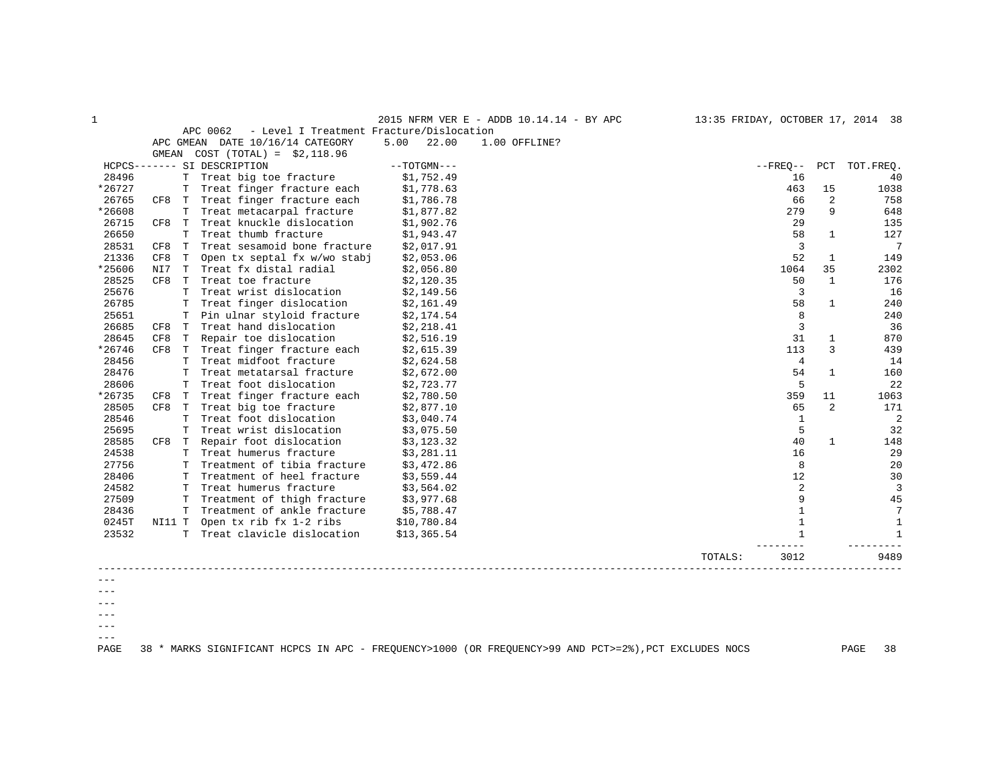| 1      |        |    |                                                      |               | 2015 NFRM VER E - ADDB 10.14.14 - BY APC | 13:35 FRIDAY, OCTOBER 17, 2014 38 |                |                |                |
|--------|--------|----|------------------------------------------------------|---------------|------------------------------------------|-----------------------------------|----------------|----------------|----------------|
|        |        |    | APC 0062<br>- Level I Treatment Fracture/Dislocation |               |                                          |                                   |                |                |                |
|        |        |    | APC GMEAN DATE 10/16/14 CATEGORY                     | 5.00<br>22.00 | 1.00 OFFLINE?                            |                                   |                |                |                |
|        |        |    | GMEAN COST $(TOTAL) = $2,118.96$                     |               |                                          |                                   |                |                |                |
|        |        |    | HCPCS------- SI DESCRIPTION                          | $--TOTGMN---$ |                                          |                                   | $--$ FREO $--$ |                | PCT TOT. FREO. |
| 28496  |        | Т  | Treat big toe fracture                               | \$1,752.49    |                                          |                                   | 16             |                | 40             |
| *26727 |        | т  | Treat finger fracture each                           | \$1,778.63    |                                          |                                   | 463            | 15             | 1038           |
| 26765  | CF8 T  |    | Treat finger fracture each                           | \$1,786.78    |                                          |                                   | 66             | $\overline{2}$ | 758            |
| *26608 |        | Т  | Treat metacarpal fracture                            | \$1,877.82    |                                          |                                   | 279            | 9              | 648            |
| 26715  | CF8    | T  | Treat knuckle dislocation                            | \$1,902.76    |                                          |                                   | 29             |                | 135            |
| 26650  |        | T  | Treat thumb fracture                                 | \$1,943.47    |                                          |                                   | 58             | $\mathbf{1}$   | 127            |
| 28531  | CF8    | T  | Treat sesamoid bone fracture                         | \$2,017.91    |                                          |                                   | 3              |                | 7              |
| 21336  | CF8    | T  | Open tx septal fx w/wo stabj                         | \$2,053.06    |                                          |                                   | 52             | 1              | 149            |
| *25606 | NI7    | T  | Treat fx distal radial                               | \$2,056.80    |                                          |                                   | 1064           | 35             | 2302           |
| 28525  | CF8    | T  | Treat toe fracture                                   | \$2,120.35    |                                          |                                   | 50             | $\mathbf{1}$   | 176            |
| 25676  |        | T  | Treat wrist dislocation                              | \$2,149.56    |                                          |                                   | 3              |                | 16             |
| 26785  |        | т  | Treat finger dislocation                             | \$2,161.49    |                                          |                                   | 58             | $\mathbf{1}$   | 240            |
| 25651  |        | т  | Pin ulnar styloid fracture                           | \$2,174.54    |                                          |                                   | 8              |                | 240            |
| 26685  | CF8    | T  | Treat hand dislocation                               | \$2,218.41    |                                          |                                   | 3              |                | 36             |
| 28645  | CF8    | T  | Repair toe dislocation                               | \$2,516.19    |                                          |                                   | 31             | 1              | 870            |
| *26746 | CF8    | T  | Treat finger fracture each                           | \$2,615.39    |                                          |                                   | 113            | 3              | 439            |
| 28456  |        | T  | Treat midfoot fracture                               | \$2,624.58    |                                          |                                   | $\overline{4}$ |                | 14             |
| 28476  |        | T  | Treat metatarsal fracture                            | \$2,672.00    |                                          |                                   | 54             | $\mathbf{1}$   | 160            |
| 28606  |        | Т  | Treat foot dislocation                               | \$2,723.77    |                                          |                                   | 5              |                | 22             |
| *26735 | CF8    | т  | Treat finger fracture each                           | \$2,780.50    |                                          |                                   | 359            | 11             | 1063           |
| 28505  | CF8    | T  | Treat big toe fracture                               | \$2,877.10    |                                          |                                   | 65             | 2              | 171            |
| 28546  |        | т  | Treat foot dislocation                               | \$3,040.74    |                                          |                                   | 1              |                | 2              |
| 25695  |        | т  | Treat wrist dislocation                              | \$3,075.50    |                                          |                                   | 5              |                | 32             |
| 28585  | CF8 T  |    | Repair foot dislocation                              | \$3,123.32    |                                          |                                   | 40             | $\mathbf{1}$   | 148            |
| 24538  |        | T  | Treat humerus fracture                               | \$3,281.11    |                                          |                                   | 16             |                | 29             |
| 27756  |        | т  | Treatment of tibia fracture                          | \$3,472.86    |                                          |                                   | 8              |                | 20             |
| 28406  |        | т  | Treatment of heel fracture                           | \$3,559.44    |                                          |                                   | 12             |                | 30             |
| 24582  |        | т  | Treat humerus fracture                               | \$3,564.02    |                                          |                                   | 2              |                | $\overline{3}$ |
| 27509  |        | т  | Treatment of thigh fracture                          | \$3,977.68    |                                          |                                   | 9              |                | 45             |
| 28436  |        | т  | Treatment of ankle fracture                          | \$5,788.47    |                                          |                                   | 1              |                | 7              |
| 0245T  | NI11 T |    | Open tx rib fx 1-2 ribs                              | \$10,780.84   |                                          |                                   | $\mathbf{1}$   |                | $\mathbf{1}$   |
| 23532  |        | T. | Treat clavicle dislocation                           | \$13,365.54   |                                          |                                   | 1              |                | $\mathbf{1}$   |
|        |        |    |                                                      |               |                                          | TOTALS:                           | 3012           |                | 9489           |
|        |        |    |                                                      |               |                                          |                                   |                |                |                |
|        |        |    |                                                      |               |                                          |                                   |                |                |                |

 $---$ 

 $--\,$ 

 $---$ 

 $--\,$  $---$ 

PAGE 38 \* MARKS SIGNIFICANT HCPCS IN APC - FREQUENCY>1000 (OR FREQUENCY>99 AND PCT>=2%),PCT EXCLUDES NOCS PAGE 38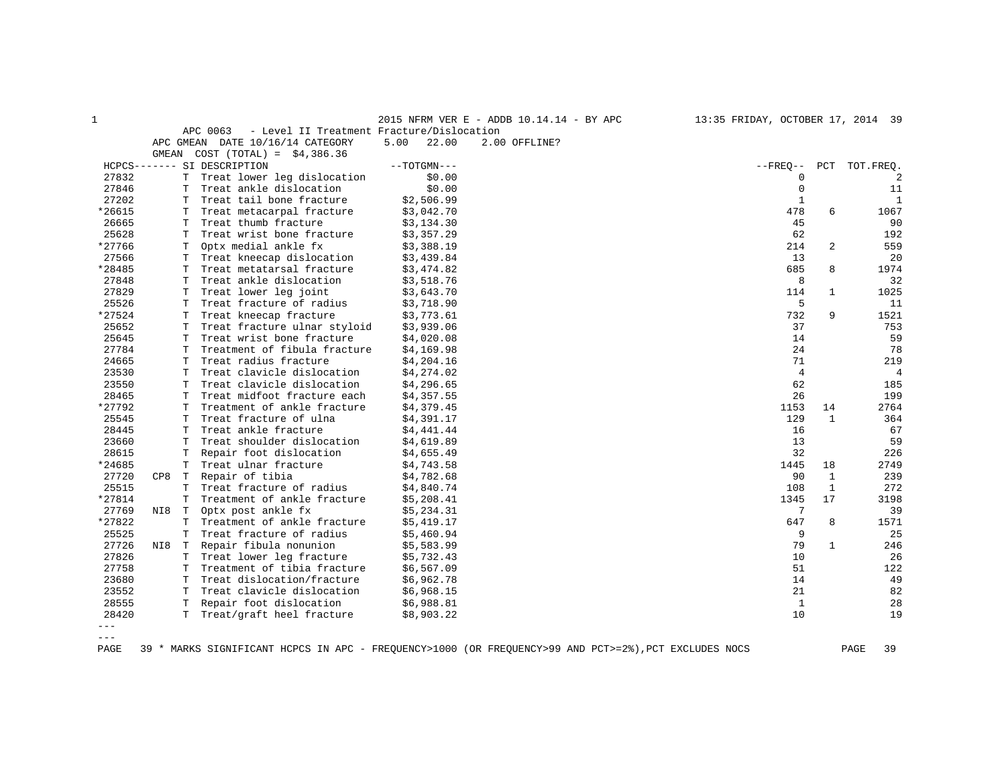| $\mathbf 1$ |           |             |                                                       |      |               | 2015 NFRM VER E - ADDB 10.14.14 - BY APC | 13:35 FRIDAY, OCTOBER 17, 2014 39 |              |              |
|-------------|-----------|-------------|-------------------------------------------------------|------|---------------|------------------------------------------|-----------------------------------|--------------|--------------|
|             |           |             | APC 0063<br>- Level II Treatment Fracture/Dislocation |      |               |                                          |                                   |              |              |
|             | APC GMEAN |             | DATE 10/16/14 CATEGORY                                | 5.00 | 22.00         | 2.00 OFFLINE?                            |                                   |              |              |
|             | GMEAN     |             | $COST (TOTAL) = $4,386.36$                            |      |               |                                          |                                   |              |              |
|             |           |             | HCPCS------- SI DESCRIPTION                           |      | $--TOTGMN---$ |                                          | $- FREO--$                        | PCT          | TOT.FREQ.    |
| 27832       |           | T           | Treat lower leg dislocation                           |      | \$0.00        |                                          | 0                                 |              | 2            |
| 27846       |           | T           | Treat ankle dislocation                               |      | \$0.00        |                                          | $\mathbf 0$                       |              | 11           |
| 27202       |           | Т           | Treat tail bone fracture                              |      | \$2,506.99    |                                          | $\mathbf{1}$                      |              | $\mathbf{1}$ |
| *26615      |           | Т           | Treat metacarpal fracture                             |      | \$3,042.70    |                                          | 478                               | 6            | 1067         |
| 26665       |           | T           | Treat thumb fracture                                  |      | \$3,134.30    |                                          | 45                                |              | 90           |
| 25628       |           | T           | Treat wrist bone fracture                             |      | \$3,357.29    |                                          | 62                                |              | 192          |
| *27766      |           | Т           | Optx medial ankle fx                                  |      | \$3,388.19    |                                          | 214                               | 2            | 559          |
| 27566       |           | T           | Treat kneecap dislocation                             |      | \$3,439.84    |                                          | 13                                |              | 20           |
| *28485      |           | т           | Treat metatarsal fracture                             |      | \$3,474.82    |                                          | 685                               | 8            | 1974         |
| 27848       |           | Т           | Treat ankle dislocation                               |      | \$3,518.76    |                                          | 8                                 |              | 32           |
| 27829       |           | $\mathbf T$ | Treat lower leg joint                                 |      | \$3,643.70    |                                          | 114                               | $\mathbf{1}$ | 1025         |
| 25526       |           | т           | Treat fracture of radius                              |      | \$3,718.90    |                                          | 5                                 |              | 11           |
| *27524      |           | Т           | Treat kneecap fracture                                |      | \$3,773.61    |                                          | 732                               | 9            | 1521         |
| 25652       |           | Т           | Treat fracture ulnar styloid                          |      | \$3,939.06    |                                          | 37                                |              | 753          |
| 25645       |           | Т           | Treat wrist bone fracture                             |      | \$4,020.08    |                                          | 14                                |              | 59           |
| 27784       |           | т           | Treatment of fibula fracture                          |      | \$4,169.98    |                                          | 24                                |              | 78           |
| 24665       |           | T           | Treat radius fracture                                 |      | \$4,204.16    |                                          | 71                                |              | 219          |
| 23530       |           | T           | Treat clavicle dislocation                            |      | \$4,274.02    |                                          | $\overline{4}$                    |              | 4            |
| 23550       |           | Т           | Treat clavicle dislocation                            |      | \$4,296.65    |                                          | 62                                |              | 185          |
| 28465       |           | Т           | Treat midfoot fracture each                           |      | \$4,357.55    |                                          | 26                                |              | 199          |
| *27792      |           | т           | Treatment of ankle fracture                           |      | \$4,379.45    |                                          | 1153                              | 14           | 2764         |
| 25545       |           | Т           | Treat fracture of ulna                                |      | \$4,391.17    |                                          | 129                               | 1            | 364          |
| 28445       |           | Т           | Treat ankle fracture                                  |      | \$4,441.44    |                                          | 16                                |              | 67           |
| 23660       |           | Т           | Treat shoulder dislocation                            |      | \$4,619.89    |                                          | 13                                |              | 59           |
| 28615       |           | Т           | Repair foot dislocation                               |      | \$4,655.49    |                                          | 32                                |              | 226          |
| *24685      |           | Т           | Treat ulnar fracture                                  |      | \$4,743.58    |                                          | 1445                              | 18           | 2749         |
| 27720       | CP8       | T           | Repair of tibia                                       |      | \$4,782.68    |                                          | 90                                | 1            | 239          |
| 25515       |           | Т           | Treat fracture of radius                              |      | \$4,840.74    |                                          | 108                               | 1            | 272          |
| *27814      |           | T           | Treatment of ankle fracture                           |      | \$5,208.41    |                                          | 1345                              | 17           | 3198         |
| 27769       | NI8       | $\mathbb T$ | Optx post ankle fx                                    |      | \$5,234.31    |                                          | 7                                 |              | 39           |
| *27822      |           | T           | Treatment of ankle fracture                           |      | \$5,419.17    |                                          | 647                               | 8            | 1571         |
| 25525       |           | T           | Treat fracture of radius                              |      | \$5,460.94    |                                          | 9                                 |              | 25           |
| 27726       | NI8       | $\mathbb T$ | Repair fibula nonunion                                |      | \$5,583.99    |                                          | 79                                | 1            | 246          |
| 27826       |           | Т           | Treat lower leg fracture                              |      | \$5,732.43    |                                          | 10                                |              | 26           |
| 27758       |           | T           | Treatment of tibia fracture                           |      | \$6,567.09    |                                          | 51                                |              | 122          |
| 23680       |           | Т           | Treat dislocation/fracture                            |      | \$6,962.78    |                                          | 14                                |              | 49           |
| 23552       |           | т           | Treat clavicle dislocation                            |      | \$6,968.15    |                                          | 21                                |              | 82           |
| 28555       |           | T           | Repair foot dislocation                               |      | \$6,988.81    |                                          | $\mathbf{1}$                      |              | 28           |
| 28420       |           | T           | Treat/graft heel fracture                             |      | \$8,903.22    |                                          | 10                                |              | 19           |
| $- - -$     |           |             |                                                       |      |               |                                          |                                   |              |              |

 $---$ 

PAGE 39 \* MARKS SIGNIFICANT HCPCS IN APC - FREQUENCY>1000 (OR FREQUENCY>99 AND PCT>=2%),PCT EXCLUDES NOCS PAGE 39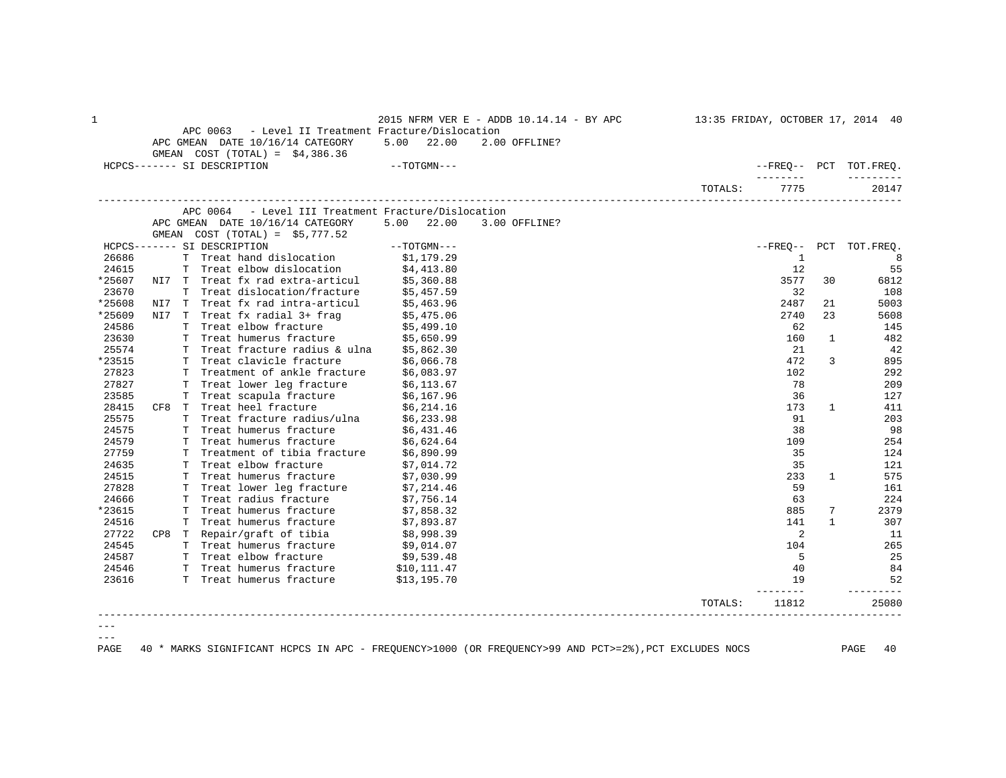| 26686<br>24615<br>*25607<br>23670<br>*25608<br>NI7 | APC 0063 - Level II Treatment Fracture/Dislocation<br>APC GMEAN DATE 10/16/14 CATEGORY 5.00 22.00<br>GMEAN $COST (TOTAL) = $4,386.36$<br>HCPCS------- SI DESCRIPTION<br>APC 0064 - Level III Treatment Fracture/Dislocation<br>APC GMEAN DATE 10/16/14 CATEGORY<br>GMEAN $COST (TOTAL) = $5,777.52$ | $-$ - $\operatorname{TOTGMN}$ – $-$ –<br>5.00 22.00 | 2.00 OFFLINE? | TOTALS: | ---------<br>7775 |              | --FREO-- PCT TOT.FREO. |
|----------------------------------------------------|-----------------------------------------------------------------------------------------------------------------------------------------------------------------------------------------------------------------------------------------------------------------------------------------------------|-----------------------------------------------------|---------------|---------|-------------------|--------------|------------------------|
|                                                    |                                                                                                                                                                                                                                                                                                     |                                                     |               |         |                   |              |                        |
|                                                    |                                                                                                                                                                                                                                                                                                     |                                                     |               |         |                   |              |                        |
|                                                    |                                                                                                                                                                                                                                                                                                     |                                                     |               |         |                   |              | ----------             |
|                                                    |                                                                                                                                                                                                                                                                                                     |                                                     |               |         |                   |              |                        |
|                                                    |                                                                                                                                                                                                                                                                                                     |                                                     |               |         |                   |              | 20147                  |
|                                                    |                                                                                                                                                                                                                                                                                                     |                                                     |               |         |                   |              |                        |
|                                                    |                                                                                                                                                                                                                                                                                                     |                                                     | 3.00 OFFLINE? |         |                   |              |                        |
|                                                    |                                                                                                                                                                                                                                                                                                     |                                                     |               |         |                   |              |                        |
|                                                    | HCPCS------- SI DESCRIPTION                                                                                                                                                                                                                                                                         | $--\texttt{TOTGMN}---$                              |               |         |                   |              | --FREQ-- PCT TOT.FREQ. |
|                                                    | T Treat hand dislocation \$1,179.29                                                                                                                                                                                                                                                                 |                                                     |               |         | 1                 |              | 8                      |
|                                                    | T Treat elbow dislocation \$4,413.80<br>NI7 T Treat fx rad extra-articul \$5,360.88                                                                                                                                                                                                                 |                                                     |               |         | 12                |              | 55                     |
|                                                    |                                                                                                                                                                                                                                                                                                     |                                                     |               |         | 3577              | 30           | 6812                   |
|                                                    | T Treat dislocation/fracture                                                                                                                                                                                                                                                                        | \$5,457.59                                          |               |         | 32                |              | 108                    |
|                                                    | T Treat fx rad intra-articul                                                                                                                                                                                                                                                                        | \$5,463.96                                          |               |         | 2487              | 21           | 5003                   |
| *25609                                             | NI7 T Treat fx radial 3+ frag                                                                                                                                                                                                                                                                       |                                                     |               |         | 2740              | 23           | 5608                   |
| 24586                                              | T Treat elbow fracture                                                                                                                                                                                                                                                                              | \$5,475.06<br>\$5,499.10                            |               |         | 62                |              | 145                    |
| 23630                                              | T Treat humerus fracture \$5,650.99                                                                                                                                                                                                                                                                 |                                                     |               |         | 160               | $\mathbf{1}$ | 482                    |
| 25574                                              | T Treat fracture radius & ulna \$5,862.30                                                                                                                                                                                                                                                           |                                                     |               |         | 21                |              | 42                     |
| *23515                                             | T Treat clavicle fracture                                                                                                                                                                                                                                                                           | \$6,066.78                                          |               |         | 472               | 3            | 895                    |
| 27823                                              | T Treatment of ankle fracture \$6,083.97                                                                                                                                                                                                                                                            |                                                     |               |         | 102               |              | 292                    |
| 27827                                              | T Treat lower leg fracture                                                                                                                                                                                                                                                                          |                                                     |               |         | 78                |              | 209                    |
| 23585                                              | T Treat scapula fracture                                                                                                                                                                                                                                                                            | \$6,113.67<br>\$6,167.96                            |               |         | 36                |              | 127                    |
| 28415                                              | CF8 T Treat heel fracture                                                                                                                                                                                                                                                                           | \$6,214.16                                          |               |         | 173               | $\mathbf{1}$ | 411                    |
| 25575                                              | T Treat fracture radius/ulna \$6,233.98                                                                                                                                                                                                                                                             |                                                     |               |         | 91                |              | 203                    |
| 24575                                              | T Treat humerus fracture                                                                                                                                                                                                                                                                            | \$6,431.46                                          |               |         | 38                |              | 98                     |
| 24579                                              | T Treat humerus fracture                                                                                                                                                                                                                                                                            | \$6,624.64                                          |               |         | 109               |              | 254                    |
| 27759                                              | T Treatment of tibia fracture \$6,890.99                                                                                                                                                                                                                                                            |                                                     |               |         | 35                |              | 124                    |
| 24635                                              | T Treat elbow fracture                                                                                                                                                                                                                                                                              | \$7,014.72                                          |               |         | 35                |              | 121                    |
| 24515                                              | T Treat humerus fracture                                                                                                                                                                                                                                                                            | \$7,030.99                                          |               |         | 233               | $\mathbf{1}$ | 575                    |
| 27828                                              | T Treat lower leg fracture \$7,214.46                                                                                                                                                                                                                                                               |                                                     |               |         | 59                |              | 161                    |
| 24666                                              | T Treat radius fracture                                                                                                                                                                                                                                                                             | \$7,756.14                                          |               |         | 63                |              | 224                    |
| *23615                                             | T Treat humerus fracture                                                                                                                                                                                                                                                                            | \$7,858.32                                          |               |         | 885               | 7            | 2379                   |
| 24516                                              | T Treat humerus fracture                                                                                                                                                                                                                                                                            | \$7,893.87                                          |               |         | 141               | $\mathbf{1}$ | 307                    |
| 27722                                              | CP8 T Repair/graft of tibia                                                                                                                                                                                                                                                                         |                                                     |               |         | 2                 |              | -11                    |
| 24545                                              | T Treat humerus fracture                                                                                                                                                                                                                                                                            | \$8,998.39<br>\$9,014.07                            |               |         | 104               |              | 265                    |
| 24587                                              | T Treat elbow fracture \$9,539.48                                                                                                                                                                                                                                                                   |                                                     |               |         | -5                |              | 25                     |
| 24546                                              | T Treat humerus fracture                                                                                                                                                                                                                                                                            |                                                     |               |         | 40                |              | 84                     |
| 23616                                              | T Treat humerus fracture                                                                                                                                                                                                                                                                            | \$10, 111.47<br>\$13,195.70                         |               |         | 19                |              | 52                     |
|                                                    |                                                                                                                                                                                                                                                                                                     |                                                     |               |         |                   |              | -------                |
|                                                    |                                                                                                                                                                                                                                                                                                     |                                                     |               | TOTALS: | 11812             |              | 25080                  |

 $--\,$  $---$ 

PAGE 40 \* MARKS SIGNIFICANT HCPCS IN APC - FREQUENCY>1000 (OR FREQUENCY>99 AND PCT>=2%),PCT EXCLUDES NOCS PAGE 40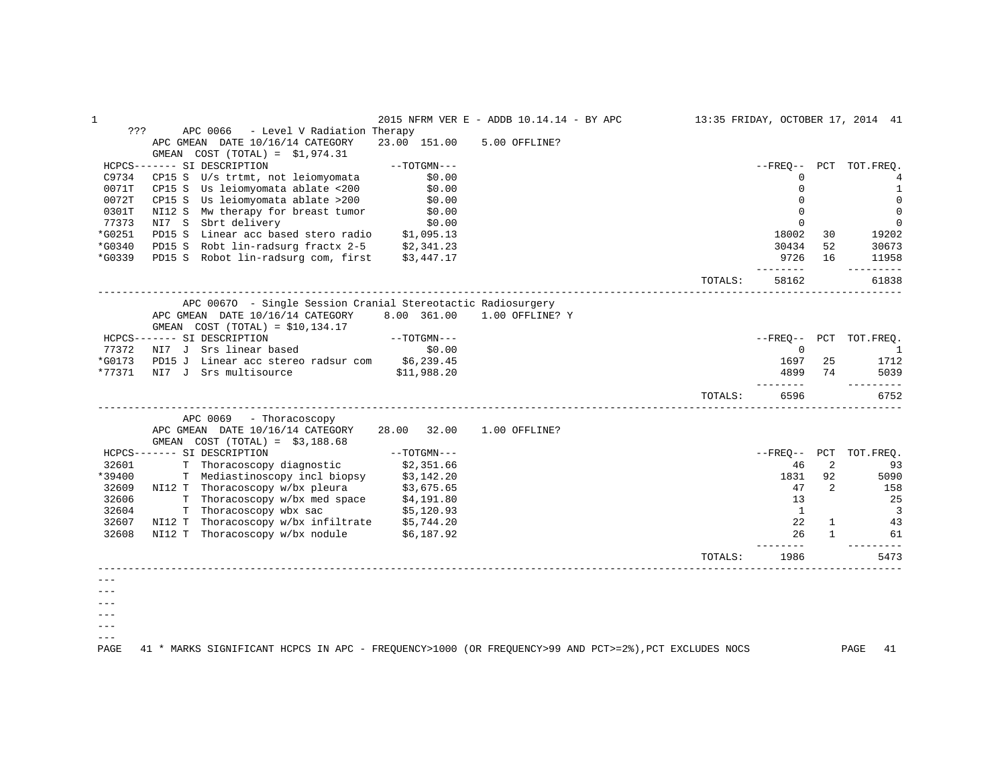| ???<br>APC 0066<br>- Level V Radiation Therapy<br>APC GMEAN DATE 10/16/14 CATEGORY<br>23.00 151.00<br>5.00 OFFLINE?<br>GMEAN $COST (TOTAL) = $1,974.31$<br>HCPCS------- SI DESCRIPTION<br>$--TOTGMN---$<br>$- FREO--$<br>PCT TOT.FREO.<br>C9734<br>CP15 S U/s trtmt, not leiomyomata<br>\$0.00<br>$\Omega$<br>4<br>Us leiomyomata ablate <200<br>0071T<br>CP15 S<br>\$0.00<br>$\Omega$<br>$\mathbf{1}$<br>0072T<br>$\mathbf 0$<br>CP15 S Us leiomyomata ablate >200<br>\$0.00<br>$\Omega$<br>0301T<br>NI12 S Mw therapy for breast tumor<br>\$0.00<br>$\Omega$<br>$\mathbf 0$<br>77373<br>NI7 S<br>Sbrt delivery<br>\$0.00<br>$\mathbf 0$<br>$\mathbf 0$<br>*G0251<br>PD15 S Linear acc based stero radio \$1,095.13<br>18002<br>19202<br>30<br>*G0340<br>PD15 S Robt lin-radsurg fractx 2-5 \$2,341.23<br>52<br>30673<br>30434<br>*G0339<br>PD15 S Robot lin-radsurg com, first<br>9726<br>\$3,447.17<br>16<br>11958<br>--------<br>----------<br>TOTALS:<br>58162<br>61838<br>APC 00670 - Single Session Cranial Stereotactic Radiosurgery<br>APC GMEAN DATE 10/16/14 CATEGORY<br>8.00 361.00<br>1.00 OFFLINE? Y<br>GMEAN $COST (TOTAL) = $10,134.17$<br>HCPCS------- SI DESCRIPTION<br>$--TOTGMN---$<br>--FREO--<br>PCT TOT.FREQ.<br>NI7 J Srs linear based<br>77372<br>\$0.00<br>$\mathbf 0$<br>$\overline{1}$<br>*G0173<br>PD15 J Linear acc stereo radsur com<br>\$6,239.45<br>25<br>1697<br>1712<br>*77371<br>NI7 J Srs multisource<br>74<br>\$11,988.20<br>4899<br>5039<br>---------<br>---------<br>6596<br>6752<br>TOTALS:<br>APC 0069<br>- Thoracoscopy<br>APC GMEAN DATE 10/16/14 CATEGORY<br>28.00<br>32.00<br>1.00 OFFLINE?<br>GMEAN COST $(TOTAL) = $3,188.68$<br>HCPCS------- SI DESCRIPTION<br>$--TOTGMN---$<br>$--FRED--$ PCT<br>TOT.FREQ.<br>32601<br>T Thoracoscopy diagnostic<br>2<br>\$2,351.66<br>46<br>93<br>*39400<br>T Mediastinoscopy incl biopsy<br>1831<br>92<br>\$3,142.20<br>5090<br>32609<br>NI12 T Thoracoscopy w/bx pleura<br>$\overline{2}$<br>158<br>\$3,675.65<br>47<br>T Thoracoscopy w/bx med space<br>32606<br>13<br>25<br>\$4,191.80<br>32604<br>T Thoracoscopy wbx sac<br>$\overline{\mathbf{3}}$<br>\$5,120.93<br><sup>1</sup><br>32607<br>NI12 T<br>Thoracoscopy w/bx infiltrate \$5,744.20<br>22<br>$\mathbf{1}$<br>43<br>32608<br>NI12 T Thoracoscopy w/bx nodule<br>26<br>$\mathbf{1}$<br>\$6,187.92<br>61<br>------<br>1986<br>5473<br>TOTALS:<br>$- - -$<br>41 * MARKS SIGNIFICANT HCPCS IN APC - FREQUENCY>1000 (OR FREQUENCY>99 AND PCT>=2%), PCT EXCLUDES NOCS<br>PAGE<br>PAGE<br>41 | 1 |  | 2015 NFRM VER E - ADDB 10.14.14 - BY APC |  | 13:35 FRIDAY, OCTOBER 17, 2014 41 |
|------------------------------------------------------------------------------------------------------------------------------------------------------------------------------------------------------------------------------------------------------------------------------------------------------------------------------------------------------------------------------------------------------------------------------------------------------------------------------------------------------------------------------------------------------------------------------------------------------------------------------------------------------------------------------------------------------------------------------------------------------------------------------------------------------------------------------------------------------------------------------------------------------------------------------------------------------------------------------------------------------------------------------------------------------------------------------------------------------------------------------------------------------------------------------------------------------------------------------------------------------------------------------------------------------------------------------------------------------------------------------------------------------------------------------------------------------------------------------------------------------------------------------------------------------------------------------------------------------------------------------------------------------------------------------------------------------------------------------------------------------------------------------------------------------------------------------------------------------------------------------------------------------------------------------------------------------------------------------------------------------------------------------------------------------------------------------------------------------------------------------------------------------------------------------------------------------------------------------------------------------------------------------------------------------------------------------------------------------------------------------------------------------------------------------------------------------------------------------------------------------------------------------------------|---|--|------------------------------------------|--|-----------------------------------|
|                                                                                                                                                                                                                                                                                                                                                                                                                                                                                                                                                                                                                                                                                                                                                                                                                                                                                                                                                                                                                                                                                                                                                                                                                                                                                                                                                                                                                                                                                                                                                                                                                                                                                                                                                                                                                                                                                                                                                                                                                                                                                                                                                                                                                                                                                                                                                                                                                                                                                                                                          |   |  |                                          |  |                                   |
|                                                                                                                                                                                                                                                                                                                                                                                                                                                                                                                                                                                                                                                                                                                                                                                                                                                                                                                                                                                                                                                                                                                                                                                                                                                                                                                                                                                                                                                                                                                                                                                                                                                                                                                                                                                                                                                                                                                                                                                                                                                                                                                                                                                                                                                                                                                                                                                                                                                                                                                                          |   |  |                                          |  |                                   |
|                                                                                                                                                                                                                                                                                                                                                                                                                                                                                                                                                                                                                                                                                                                                                                                                                                                                                                                                                                                                                                                                                                                                                                                                                                                                                                                                                                                                                                                                                                                                                                                                                                                                                                                                                                                                                                                                                                                                                                                                                                                                                                                                                                                                                                                                                                                                                                                                                                                                                                                                          |   |  |                                          |  |                                   |
|                                                                                                                                                                                                                                                                                                                                                                                                                                                                                                                                                                                                                                                                                                                                                                                                                                                                                                                                                                                                                                                                                                                                                                                                                                                                                                                                                                                                                                                                                                                                                                                                                                                                                                                                                                                                                                                                                                                                                                                                                                                                                                                                                                                                                                                                                                                                                                                                                                                                                                                                          |   |  |                                          |  |                                   |
|                                                                                                                                                                                                                                                                                                                                                                                                                                                                                                                                                                                                                                                                                                                                                                                                                                                                                                                                                                                                                                                                                                                                                                                                                                                                                                                                                                                                                                                                                                                                                                                                                                                                                                                                                                                                                                                                                                                                                                                                                                                                                                                                                                                                                                                                                                                                                                                                                                                                                                                                          |   |  |                                          |  |                                   |
|                                                                                                                                                                                                                                                                                                                                                                                                                                                                                                                                                                                                                                                                                                                                                                                                                                                                                                                                                                                                                                                                                                                                                                                                                                                                                                                                                                                                                                                                                                                                                                                                                                                                                                                                                                                                                                                                                                                                                                                                                                                                                                                                                                                                                                                                                                                                                                                                                                                                                                                                          |   |  |                                          |  |                                   |
|                                                                                                                                                                                                                                                                                                                                                                                                                                                                                                                                                                                                                                                                                                                                                                                                                                                                                                                                                                                                                                                                                                                                                                                                                                                                                                                                                                                                                                                                                                                                                                                                                                                                                                                                                                                                                                                                                                                                                                                                                                                                                                                                                                                                                                                                                                                                                                                                                                                                                                                                          |   |  |                                          |  |                                   |
|                                                                                                                                                                                                                                                                                                                                                                                                                                                                                                                                                                                                                                                                                                                                                                                                                                                                                                                                                                                                                                                                                                                                                                                                                                                                                                                                                                                                                                                                                                                                                                                                                                                                                                                                                                                                                                                                                                                                                                                                                                                                                                                                                                                                                                                                                                                                                                                                                                                                                                                                          |   |  |                                          |  |                                   |
|                                                                                                                                                                                                                                                                                                                                                                                                                                                                                                                                                                                                                                                                                                                                                                                                                                                                                                                                                                                                                                                                                                                                                                                                                                                                                                                                                                                                                                                                                                                                                                                                                                                                                                                                                                                                                                                                                                                                                                                                                                                                                                                                                                                                                                                                                                                                                                                                                                                                                                                                          |   |  |                                          |  |                                   |
|                                                                                                                                                                                                                                                                                                                                                                                                                                                                                                                                                                                                                                                                                                                                                                                                                                                                                                                                                                                                                                                                                                                                                                                                                                                                                                                                                                                                                                                                                                                                                                                                                                                                                                                                                                                                                                                                                                                                                                                                                                                                                                                                                                                                                                                                                                                                                                                                                                                                                                                                          |   |  |                                          |  |                                   |
|                                                                                                                                                                                                                                                                                                                                                                                                                                                                                                                                                                                                                                                                                                                                                                                                                                                                                                                                                                                                                                                                                                                                                                                                                                                                                                                                                                                                                                                                                                                                                                                                                                                                                                                                                                                                                                                                                                                                                                                                                                                                                                                                                                                                                                                                                                                                                                                                                                                                                                                                          |   |  |                                          |  |                                   |
|                                                                                                                                                                                                                                                                                                                                                                                                                                                                                                                                                                                                                                                                                                                                                                                                                                                                                                                                                                                                                                                                                                                                                                                                                                                                                                                                                                                                                                                                                                                                                                                                                                                                                                                                                                                                                                                                                                                                                                                                                                                                                                                                                                                                                                                                                                                                                                                                                                                                                                                                          |   |  |                                          |  |                                   |
|                                                                                                                                                                                                                                                                                                                                                                                                                                                                                                                                                                                                                                                                                                                                                                                                                                                                                                                                                                                                                                                                                                                                                                                                                                                                                                                                                                                                                                                                                                                                                                                                                                                                                                                                                                                                                                                                                                                                                                                                                                                                                                                                                                                                                                                                                                                                                                                                                                                                                                                                          |   |  |                                          |  |                                   |
|                                                                                                                                                                                                                                                                                                                                                                                                                                                                                                                                                                                                                                                                                                                                                                                                                                                                                                                                                                                                                                                                                                                                                                                                                                                                                                                                                                                                                                                                                                                                                                                                                                                                                                                                                                                                                                                                                                                                                                                                                                                                                                                                                                                                                                                                                                                                                                                                                                                                                                                                          |   |  |                                          |  |                                   |
|                                                                                                                                                                                                                                                                                                                                                                                                                                                                                                                                                                                                                                                                                                                                                                                                                                                                                                                                                                                                                                                                                                                                                                                                                                                                                                                                                                                                                                                                                                                                                                                                                                                                                                                                                                                                                                                                                                                                                                                                                                                                                                                                                                                                                                                                                                                                                                                                                                                                                                                                          |   |  |                                          |  |                                   |
|                                                                                                                                                                                                                                                                                                                                                                                                                                                                                                                                                                                                                                                                                                                                                                                                                                                                                                                                                                                                                                                                                                                                                                                                                                                                                                                                                                                                                                                                                                                                                                                                                                                                                                                                                                                                                                                                                                                                                                                                                                                                                                                                                                                                                                                                                                                                                                                                                                                                                                                                          |   |  |                                          |  |                                   |
|                                                                                                                                                                                                                                                                                                                                                                                                                                                                                                                                                                                                                                                                                                                                                                                                                                                                                                                                                                                                                                                                                                                                                                                                                                                                                                                                                                                                                                                                                                                                                                                                                                                                                                                                                                                                                                                                                                                                                                                                                                                                                                                                                                                                                                                                                                                                                                                                                                                                                                                                          |   |  |                                          |  |                                   |
|                                                                                                                                                                                                                                                                                                                                                                                                                                                                                                                                                                                                                                                                                                                                                                                                                                                                                                                                                                                                                                                                                                                                                                                                                                                                                                                                                                                                                                                                                                                                                                                                                                                                                                                                                                                                                                                                                                                                                                                                                                                                                                                                                                                                                                                                                                                                                                                                                                                                                                                                          |   |  |                                          |  |                                   |
|                                                                                                                                                                                                                                                                                                                                                                                                                                                                                                                                                                                                                                                                                                                                                                                                                                                                                                                                                                                                                                                                                                                                                                                                                                                                                                                                                                                                                                                                                                                                                                                                                                                                                                                                                                                                                                                                                                                                                                                                                                                                                                                                                                                                                                                                                                                                                                                                                                                                                                                                          |   |  |                                          |  |                                   |
|                                                                                                                                                                                                                                                                                                                                                                                                                                                                                                                                                                                                                                                                                                                                                                                                                                                                                                                                                                                                                                                                                                                                                                                                                                                                                                                                                                                                                                                                                                                                                                                                                                                                                                                                                                                                                                                                                                                                                                                                                                                                                                                                                                                                                                                                                                                                                                                                                                                                                                                                          |   |  |                                          |  |                                   |
|                                                                                                                                                                                                                                                                                                                                                                                                                                                                                                                                                                                                                                                                                                                                                                                                                                                                                                                                                                                                                                                                                                                                                                                                                                                                                                                                                                                                                                                                                                                                                                                                                                                                                                                                                                                                                                                                                                                                                                                                                                                                                                                                                                                                                                                                                                                                                                                                                                                                                                                                          |   |  |                                          |  |                                   |
|                                                                                                                                                                                                                                                                                                                                                                                                                                                                                                                                                                                                                                                                                                                                                                                                                                                                                                                                                                                                                                                                                                                                                                                                                                                                                                                                                                                                                                                                                                                                                                                                                                                                                                                                                                                                                                                                                                                                                                                                                                                                                                                                                                                                                                                                                                                                                                                                                                                                                                                                          |   |  |                                          |  |                                   |
|                                                                                                                                                                                                                                                                                                                                                                                                                                                                                                                                                                                                                                                                                                                                                                                                                                                                                                                                                                                                                                                                                                                                                                                                                                                                                                                                                                                                                                                                                                                                                                                                                                                                                                                                                                                                                                                                                                                                                                                                                                                                                                                                                                                                                                                                                                                                                                                                                                                                                                                                          |   |  |                                          |  |                                   |
|                                                                                                                                                                                                                                                                                                                                                                                                                                                                                                                                                                                                                                                                                                                                                                                                                                                                                                                                                                                                                                                                                                                                                                                                                                                                                                                                                                                                                                                                                                                                                                                                                                                                                                                                                                                                                                                                                                                                                                                                                                                                                                                                                                                                                                                                                                                                                                                                                                                                                                                                          |   |  |                                          |  |                                   |
|                                                                                                                                                                                                                                                                                                                                                                                                                                                                                                                                                                                                                                                                                                                                                                                                                                                                                                                                                                                                                                                                                                                                                                                                                                                                                                                                                                                                                                                                                                                                                                                                                                                                                                                                                                                                                                                                                                                                                                                                                                                                                                                                                                                                                                                                                                                                                                                                                                                                                                                                          |   |  |                                          |  |                                   |
|                                                                                                                                                                                                                                                                                                                                                                                                                                                                                                                                                                                                                                                                                                                                                                                                                                                                                                                                                                                                                                                                                                                                                                                                                                                                                                                                                                                                                                                                                                                                                                                                                                                                                                                                                                                                                                                                                                                                                                                                                                                                                                                                                                                                                                                                                                                                                                                                                                                                                                                                          |   |  |                                          |  |                                   |
|                                                                                                                                                                                                                                                                                                                                                                                                                                                                                                                                                                                                                                                                                                                                                                                                                                                                                                                                                                                                                                                                                                                                                                                                                                                                                                                                                                                                                                                                                                                                                                                                                                                                                                                                                                                                                                                                                                                                                                                                                                                                                                                                                                                                                                                                                                                                                                                                                                                                                                                                          |   |  |                                          |  |                                   |
|                                                                                                                                                                                                                                                                                                                                                                                                                                                                                                                                                                                                                                                                                                                                                                                                                                                                                                                                                                                                                                                                                                                                                                                                                                                                                                                                                                                                                                                                                                                                                                                                                                                                                                                                                                                                                                                                                                                                                                                                                                                                                                                                                                                                                                                                                                                                                                                                                                                                                                                                          |   |  |                                          |  |                                   |
|                                                                                                                                                                                                                                                                                                                                                                                                                                                                                                                                                                                                                                                                                                                                                                                                                                                                                                                                                                                                                                                                                                                                                                                                                                                                                                                                                                                                                                                                                                                                                                                                                                                                                                                                                                                                                                                                                                                                                                                                                                                                                                                                                                                                                                                                                                                                                                                                                                                                                                                                          |   |  |                                          |  |                                   |
|                                                                                                                                                                                                                                                                                                                                                                                                                                                                                                                                                                                                                                                                                                                                                                                                                                                                                                                                                                                                                                                                                                                                                                                                                                                                                                                                                                                                                                                                                                                                                                                                                                                                                                                                                                                                                                                                                                                                                                                                                                                                                                                                                                                                                                                                                                                                                                                                                                                                                                                                          |   |  |                                          |  |                                   |
|                                                                                                                                                                                                                                                                                                                                                                                                                                                                                                                                                                                                                                                                                                                                                                                                                                                                                                                                                                                                                                                                                                                                                                                                                                                                                                                                                                                                                                                                                                                                                                                                                                                                                                                                                                                                                                                                                                                                                                                                                                                                                                                                                                                                                                                                                                                                                                                                                                                                                                                                          |   |  |                                          |  |                                   |
|                                                                                                                                                                                                                                                                                                                                                                                                                                                                                                                                                                                                                                                                                                                                                                                                                                                                                                                                                                                                                                                                                                                                                                                                                                                                                                                                                                                                                                                                                                                                                                                                                                                                                                                                                                                                                                                                                                                                                                                                                                                                                                                                                                                                                                                                                                                                                                                                                                                                                                                                          |   |  |                                          |  |                                   |
|                                                                                                                                                                                                                                                                                                                                                                                                                                                                                                                                                                                                                                                                                                                                                                                                                                                                                                                                                                                                                                                                                                                                                                                                                                                                                                                                                                                                                                                                                                                                                                                                                                                                                                                                                                                                                                                                                                                                                                                                                                                                                                                                                                                                                                                                                                                                                                                                                                                                                                                                          |   |  |                                          |  |                                   |
|                                                                                                                                                                                                                                                                                                                                                                                                                                                                                                                                                                                                                                                                                                                                                                                                                                                                                                                                                                                                                                                                                                                                                                                                                                                                                                                                                                                                                                                                                                                                                                                                                                                                                                                                                                                                                                                                                                                                                                                                                                                                                                                                                                                                                                                                                                                                                                                                                                                                                                                                          |   |  |                                          |  |                                   |
|                                                                                                                                                                                                                                                                                                                                                                                                                                                                                                                                                                                                                                                                                                                                                                                                                                                                                                                                                                                                                                                                                                                                                                                                                                                                                                                                                                                                                                                                                                                                                                                                                                                                                                                                                                                                                                                                                                                                                                                                                                                                                                                                                                                                                                                                                                                                                                                                                                                                                                                                          |   |  |                                          |  |                                   |
|                                                                                                                                                                                                                                                                                                                                                                                                                                                                                                                                                                                                                                                                                                                                                                                                                                                                                                                                                                                                                                                                                                                                                                                                                                                                                                                                                                                                                                                                                                                                                                                                                                                                                                                                                                                                                                                                                                                                                                                                                                                                                                                                                                                                                                                                                                                                                                                                                                                                                                                                          |   |  |                                          |  |                                   |
|                                                                                                                                                                                                                                                                                                                                                                                                                                                                                                                                                                                                                                                                                                                                                                                                                                                                                                                                                                                                                                                                                                                                                                                                                                                                                                                                                                                                                                                                                                                                                                                                                                                                                                                                                                                                                                                                                                                                                                                                                                                                                                                                                                                                                                                                                                                                                                                                                                                                                                                                          |   |  |                                          |  |                                   |
|                                                                                                                                                                                                                                                                                                                                                                                                                                                                                                                                                                                                                                                                                                                                                                                                                                                                                                                                                                                                                                                                                                                                                                                                                                                                                                                                                                                                                                                                                                                                                                                                                                                                                                                                                                                                                                                                                                                                                                                                                                                                                                                                                                                                                                                                                                                                                                                                                                                                                                                                          |   |  |                                          |  |                                   |
|                                                                                                                                                                                                                                                                                                                                                                                                                                                                                                                                                                                                                                                                                                                                                                                                                                                                                                                                                                                                                                                                                                                                                                                                                                                                                                                                                                                                                                                                                                                                                                                                                                                                                                                                                                                                                                                                                                                                                                                                                                                                                                                                                                                                                                                                                                                                                                                                                                                                                                                                          |   |  |                                          |  |                                   |
|                                                                                                                                                                                                                                                                                                                                                                                                                                                                                                                                                                                                                                                                                                                                                                                                                                                                                                                                                                                                                                                                                                                                                                                                                                                                                                                                                                                                                                                                                                                                                                                                                                                                                                                                                                                                                                                                                                                                                                                                                                                                                                                                                                                                                                                                                                                                                                                                                                                                                                                                          |   |  |                                          |  |                                   |
|                                                                                                                                                                                                                                                                                                                                                                                                                                                                                                                                                                                                                                                                                                                                                                                                                                                                                                                                                                                                                                                                                                                                                                                                                                                                                                                                                                                                                                                                                                                                                                                                                                                                                                                                                                                                                                                                                                                                                                                                                                                                                                                                                                                                                                                                                                                                                                                                                                                                                                                                          |   |  |                                          |  |                                   |
|                                                                                                                                                                                                                                                                                                                                                                                                                                                                                                                                                                                                                                                                                                                                                                                                                                                                                                                                                                                                                                                                                                                                                                                                                                                                                                                                                                                                                                                                                                                                                                                                                                                                                                                                                                                                                                                                                                                                                                                                                                                                                                                                                                                                                                                                                                                                                                                                                                                                                                                                          |   |  |                                          |  |                                   |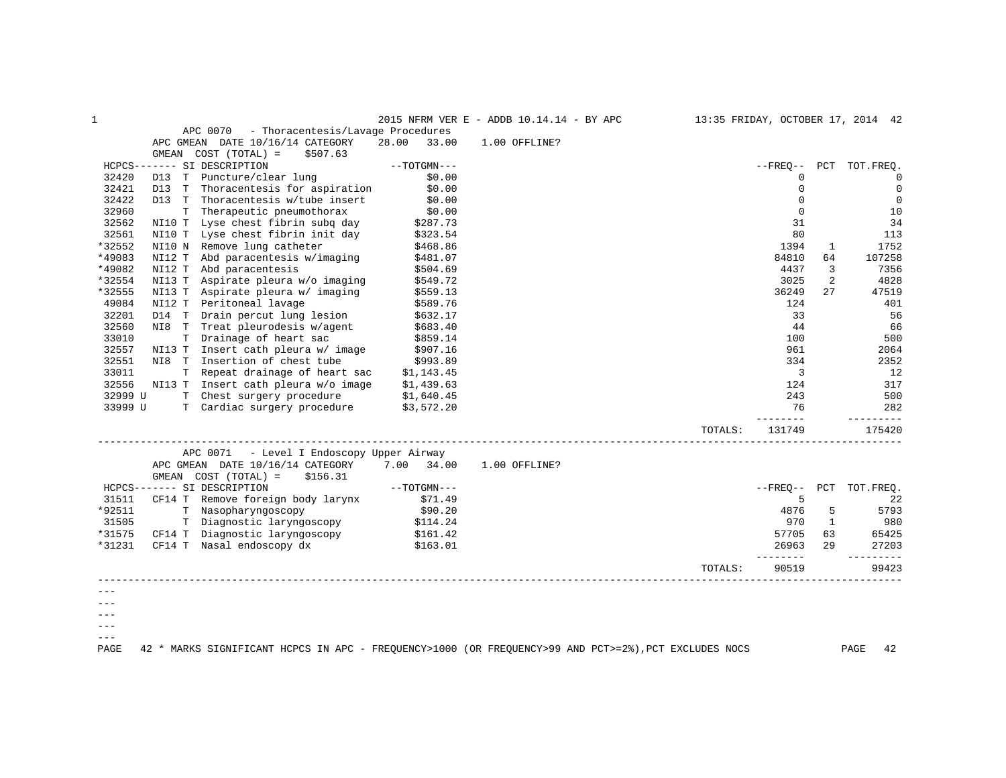|         |                                                                                                       |                                                             |                      |            | 2015 NFRM VER E - ADDB 10.14.14 - BY APC |  |         |                 |              | 13:35 FRIDAY, OCTOBER 17, 2014 42 |
|---------|-------------------------------------------------------------------------------------------------------|-------------------------------------------------------------|----------------------|------------|------------------------------------------|--|---------|-----------------|--------------|-----------------------------------|
|         | APC 0070                                                                                              | - Thoracentesis/Lavage Procedures                           |                      |            |                                          |  |         |                 |              |                                   |
|         | APC GMEAN DATE 10/16/14 CATEGORY                                                                      |                                                             | 28.00                | 33.00      | 1.00 OFFLINE?                            |  |         |                 |              |                                   |
|         | GMEAN COST (TOTAL) =                                                                                  | \$507.63                                                    |                      |            |                                          |  |         |                 |              |                                   |
|         | HCPCS------- SI DESCRIPTION                                                                           |                                                             | $--TOTGMN---$        |            |                                          |  |         | $- FREO--$      |              | PCT TOT.FREO.                     |
| 32420   | D13<br>T Puncture/clear lung                                                                          |                                                             |                      | \$0.00     |                                          |  |         | 0               |              | $\overline{0}$                    |
| 32421   |                                                                                                       | D13 T Thoracentesis for aspiration                          |                      | \$0.00     |                                          |  |         | $\mathbf 0$     |              | $\mathsf 0$                       |
| 32422   |                                                                                                       | D13 T Thoracentesis w/tube insert                           |                      | \$0.00     |                                          |  |         | $\Omega$        |              | $\mathbf 0$                       |
| 32960   | T.                                                                                                    | Therapeutic pneumothorax                                    |                      | \$0.00     |                                          |  |         | $\mathbf 0$     |              | 10                                |
| 32562   |                                                                                                       | NI10 T Lyse chest fibrin subq day                           |                      |            |                                          |  |         | 31              |              | 34                                |
| 32561   |                                                                                                       | NI10 T Lyse chest fibrin init day                           | \$287.73<br>\$323.54 |            |                                          |  |         | 80              |              | 113                               |
| *32552  | NI10 N Remove lung catheter                                                                           |                                                             |                      | \$468.86   |                                          |  |         | 1394            | 1            | 1752                              |
| *49083  | NI12 T                                                                                                | Abd paracentesis w/imaging                                  |                      | \$481.07   |                                          |  |         | 84810           | 64           | 107258                            |
| *49082  | NI12 T<br>Abd paracentesis                                                                            |                                                             |                      | \$504.69   |                                          |  |         | 4437            | 3            | 7356                              |
| *32554  | NI13 T                                                                                                | Aspirate pleura w/o imaging                                 |                      | \$549.72   |                                          |  |         | 3025            | 2            | 4828                              |
| *32555  | NI13 T                                                                                                | Aspirate pleura w/ imaging                                  |                      | \$559.13   |                                          |  |         | 36249           | 27           | 47519                             |
| 49084   | NI12 T<br>Peritoneal lavage                                                                           |                                                             |                      | \$589.76   |                                          |  |         | 124             |              | 401                               |
| 32201   | D14 T Drain percut lung lesion                                                                        |                                                             |                      | \$632.17   |                                          |  |         | 33              |              | 56                                |
| 32560   | NI8 T Treat pleurodesis w/agent                                                                       |                                                             |                      | \$683.40   |                                          |  |         | 44              |              | 66                                |
| 33010   | T Drainage of heart sac                                                                               |                                                             |                      | \$859.14   |                                          |  |         | 100             |              | 500                               |
| 32557   |                                                                                                       | NI13 T Insert cath pleura w/ image                          |                      | \$907.16   |                                          |  |         | 961             |              | 2064                              |
| 32551   | NI8 T Insertion of chest tube                                                                         |                                                             |                      | \$993.89   |                                          |  |         | 334             |              | 2352                              |
| 33011   |                                                                                                       | T Repeat drainage of heart sac                              |                      | \$1,143.45 |                                          |  |         | $\overline{3}$  |              | 12                                |
| 32556   |                                                                                                       | NI13 T Insert cath pleura w/o image                         | \$1,439.63           |            |                                          |  |         | 124             |              | 317                               |
| 32999 U |                                                                                                       | T Chest surgery procedure                                   |                      | \$1,640.45 |                                          |  |         | 243             |              | 500                               |
| 33999 U |                                                                                                       | T Cardiac surgery procedure                                 |                      | \$3,572.20 |                                          |  |         | 76              |              | 282                               |
|         |                                                                                                       |                                                             |                      |            |                                          |  |         |                 |              | ---------                         |
|         |                                                                                                       |                                                             |                      |            |                                          |  | TOTALS: | 131749          |              | 175420                            |
|         |                                                                                                       | APC 0071 - Level I Endoscopy Upper Airway                   |                      |            |                                          |  |         |                 |              |                                   |
|         | APC GMEAN DATE 10/16/14 CATEGORY                                                                      |                                                             | 7.00 34.00           |            | 1.00 OFFLINE?                            |  |         |                 |              |                                   |
|         | GMEAN COST (TOTAL) =                                                                                  | \$156.31                                                    |                      |            |                                          |  |         |                 |              |                                   |
|         | HCPCS------- SI DESCRIPTION                                                                           |                                                             | $--TOTGMN---$        |            |                                          |  |         | $- FREO--$      | PCT          | TOT.FREO.                         |
| 31511   |                                                                                                       | CF14 T Remove foreign body larynx                           |                      | \$71.49    |                                          |  |         | 5               |              | 22                                |
| *92511  |                                                                                                       | T Nasopharyngoscopy                                         |                      | \$90.20    |                                          |  |         | 4876            | 5            | 5793                              |
| 31505   |                                                                                                       | T Diagnostic laryngoscopy                                   | \$114.24             |            |                                          |  |         | 970             | $\mathbf{1}$ | 980                               |
| *31575  |                                                                                                       |                                                             | \$161.42             |            |                                          |  |         | 57705           | 63           | 65425                             |
| *31231  |                                                                                                       | CF14 T Diagnostic laryngoscopy<br>TE14 T Nasal endoscopy dx |                      | \$163.01   |                                          |  |         | 26963           | 29           | 27203                             |
|         |                                                                                                       |                                                             |                      |            |                                          |  | TOTALS: | ------<br>90519 |              | ------<br>99423                   |
|         |                                                                                                       |                                                             |                      |            |                                          |  |         |                 |              |                                   |
|         |                                                                                                       |                                                             |                      |            |                                          |  |         |                 |              |                                   |
|         |                                                                                                       |                                                             |                      |            |                                          |  |         |                 |              |                                   |
|         |                                                                                                       |                                                             |                      |            |                                          |  |         |                 |              |                                   |
|         |                                                                                                       |                                                             |                      |            |                                          |  |         |                 |              |                                   |
| $- - -$ |                                                                                                       |                                                             |                      |            |                                          |  |         |                 |              |                                   |
| PAGE    | 42 * MARKS SIGNIFICANT HCPCS IN APC - FREQUENCY>1000 (OR FREQUENCY>99 AND PCT>=2%), PCT EXCLUDES NOCS |                                                             |                      |            |                                          |  |         |                 |              | PAGE<br>42                        |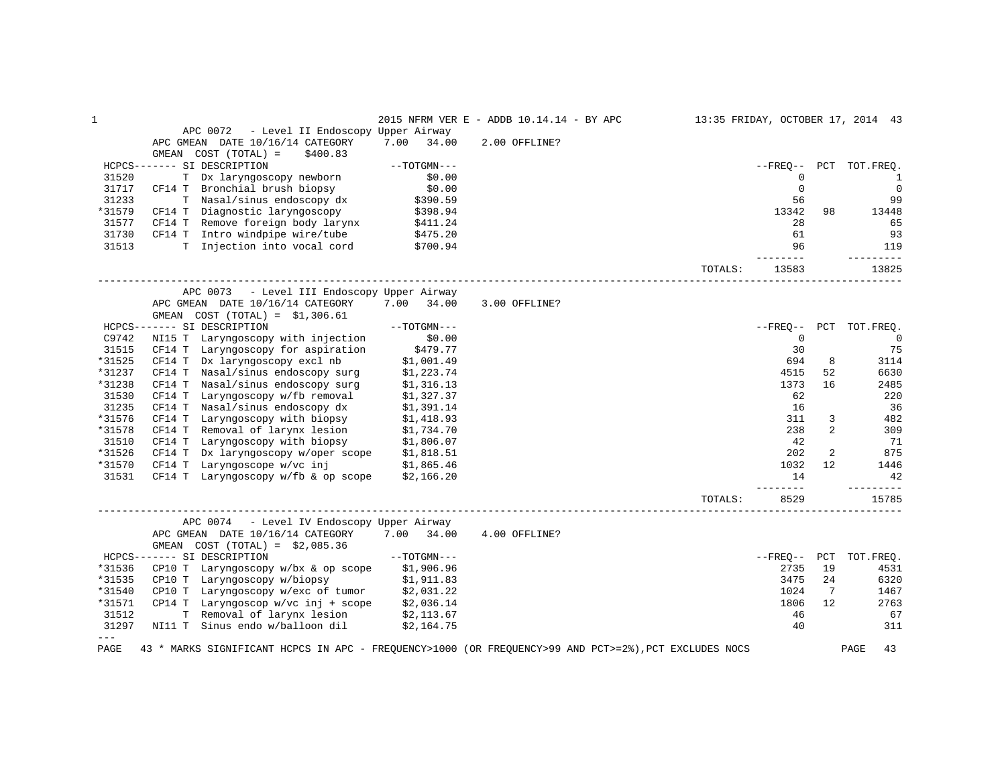| $\mathbf 1$ |                                                                                                       |               | 2015 NFRM VER E - ADDB 10.14.14 - BY APC |         |                          |                | 13:35 FRIDAY, OCTOBER 17, 2014 43 |
|-------------|-------------------------------------------------------------------------------------------------------|---------------|------------------------------------------|---------|--------------------------|----------------|-----------------------------------|
|             | APC 0072<br>- Level II Endoscopy Upper Airway                                                         |               |                                          |         |                          |                |                                   |
|             | APC GMEAN DATE 10/16/14 CATEGORY                                                                      | 7.00<br>34.00 | 2.00 OFFLINE?                            |         |                          |                |                                   |
|             | GMEAN COST (TOTAL) =<br>\$400.83                                                                      |               |                                          |         |                          |                |                                   |
|             | HCPCS------- SI DESCRIPTION                                                                           | $--TOTGMN---$ |                                          |         | $--$ FREO $--$           |                | PCT TOT.FREO.                     |
| 31520       | T Dx laryngoscopy newborn                                                                             | \$0.00        |                                          |         | 0                        |                | 1                                 |
| 31717       | CF14 T Bronchial brush biopsy                                                                         | \$0.00        |                                          |         | $\mathbf 0$              |                | $\mathbf 0$                       |
| 31233       | T Nasal/sinus endoscopy dx                                                                            | \$390.59      |                                          |         | 56                       |                | 99                                |
| *31579      | CF14 T Diagnostic laryngoscopy                                                                        | \$398.94      |                                          |         | 13342                    | 98             | 13448                             |
| 31577       | CF14 T Remove foreign body larynx                                                                     | \$411.24      |                                          |         | 28                       |                | 65                                |
| 31730       | CF14 T Intro windpipe wire/tube                                                                       | \$475.20      |                                          |         | 61                       |                | 93                                |
| 31513       | T Injection into vocal cord \$700.94                                                                  |               |                                          |         | 96                       |                | 119                               |
|             |                                                                                                       |               |                                          | TOTALS: | $- - - - - - -$<br>13583 |                | _________<br>13825                |
|             | APC 0073 - Level III Endoscopy Upper Airway                                                           |               |                                          |         |                          |                |                                   |
|             | APC GMEAN DATE 10/16/14 CATEGORY                                                                      | 7.00<br>34.00 | 3.00 OFFLINE?                            |         |                          |                |                                   |
|             | GMEAN COST $(TOTAL) = $1,306.61$                                                                      |               |                                          |         |                          |                |                                   |
|             | HCPCS------- SI DESCRIPTION                                                                           | $--TOTGMN---$ |                                          |         |                          |                | --FREO-- PCT TOT.FREQ.            |
| C9742       | NI15 T Laryngoscopy with injection                                                                    | \$0.00        |                                          |         | $\Omega$                 |                | $\Omega$                          |
| 31515       | CF14 T Laryngoscopy for aspiration                                                                    | \$479.77      |                                          |         | 30                       |                | 75                                |
| *31525      | Dx laryngoscopy excl nb<br>CF14 T                                                                     | \$1,001.49    |                                          |         | 694                      | 8              | 3114                              |
| *31237      | CF14 T Nasal/sinus endoscopy surg                                                                     | \$1,223.74    |                                          |         | 4515                     | 52             | 6630                              |
| *31238      | CF14 T Nasal/sinus endoscopy surg                                                                     | \$1,316.13    |                                          |         | 1373                     | 16             | 2485                              |
| 31530       | CF14 T Laryngoscopy w/fb removal                                                                      | \$1,327.37    |                                          |         | 62                       |                | 220                               |
| 31235       | CF14 T Nasal/sinus endoscopy dx                                                                       | \$1,391.14    |                                          |         | 16                       |                | 36                                |
| *31576      | Laryngoscopy with biopsy<br>CF14 T                                                                    | \$1,418.93    |                                          |         | 311                      | 3              | 482                               |
| *31578      | CF14 T Removal of larynx lesion                                                                       | \$1,734.70    |                                          |         | 238                      | $\overline{a}$ | 309                               |
| 31510       | CF14 T Laryngoscopy with biopsy                                                                       | \$1,806.07    |                                          |         | 42                       |                | 71                                |
| *31526      | CF14 T Dx laryngoscopy w/oper scope                                                                   | \$1,818.51    |                                          |         | 202                      | $\overline{a}$ | 875                               |
| *31570      | CF14 T Laryngoscope $w/vc$ inj $$1,865.46$                                                            |               |                                          |         | 1032                     | 12             | 1446                              |
| 31531       | CF14 T Laryngoscopy w/fb $\&$ op scope $$2,166.20$                                                    |               |                                          |         | 14                       |                | 42                                |
|             |                                                                                                       |               |                                          |         | $- - - - -$              |                | --------                          |
|             |                                                                                                       |               | ____________________________________     | TOTALS: | 8529                     |                | 15785                             |
|             | APC 0074 - Level IV Endoscopy Upper Airway                                                            |               |                                          |         |                          |                |                                   |
|             | APC GMEAN DATE 10/16/14 CATEGORY<br>GMEAN COST $(TOTAL) = $2,085.36$                                  | 7.00 34.00    | 4.00 OFFLINE?                            |         |                          |                |                                   |
|             | HCPCS------- SI DESCRIPTION                                                                           | $--TOTGMN---$ |                                          |         | --FREO-- PCT             |                | TOT.FREO.                         |
| *31536      | CP10 T Laryngoscopy $w/bx$ & op scope                                                                 | \$1,906.96    |                                          |         | 2735                     | 19             | 4531                              |
| *31535      | CP10 T Laryngoscopy w/biopsy                                                                          | \$1,911.83    |                                          |         | 3475                     | 24             | 6320                              |
| *31540      | CP10 T Laryngoscopy w/exc of tumor                                                                    | \$2,031.22    |                                          |         | 1024                     | 7              | 1467                              |
| *31571      | CP14 T Laryngoscop $w/vc$ inj + scope                                                                 | \$2,036.14    |                                          |         | 1806                     | 12             | 2763                              |
| 31512       | T Removal of larynx lesion                                                                            | \$2,113.67    |                                          |         | 46                       |                | 67                                |
| 31297       | NI11 T Sinus endo w/balloon dil                                                                       | \$2,164.75    |                                          |         | 40                       |                | 311                               |
| $---$       |                                                                                                       |               |                                          |         |                          |                |                                   |
| PAGE        | 43 * MARKS SIGNIFICANT HCPCS IN APC - FREQUENCY>1000 (OR FREQUENCY>99 AND PCT>=2%), PCT EXCLUDES NOCS |               |                                          |         |                          |                | PAGE<br>43                        |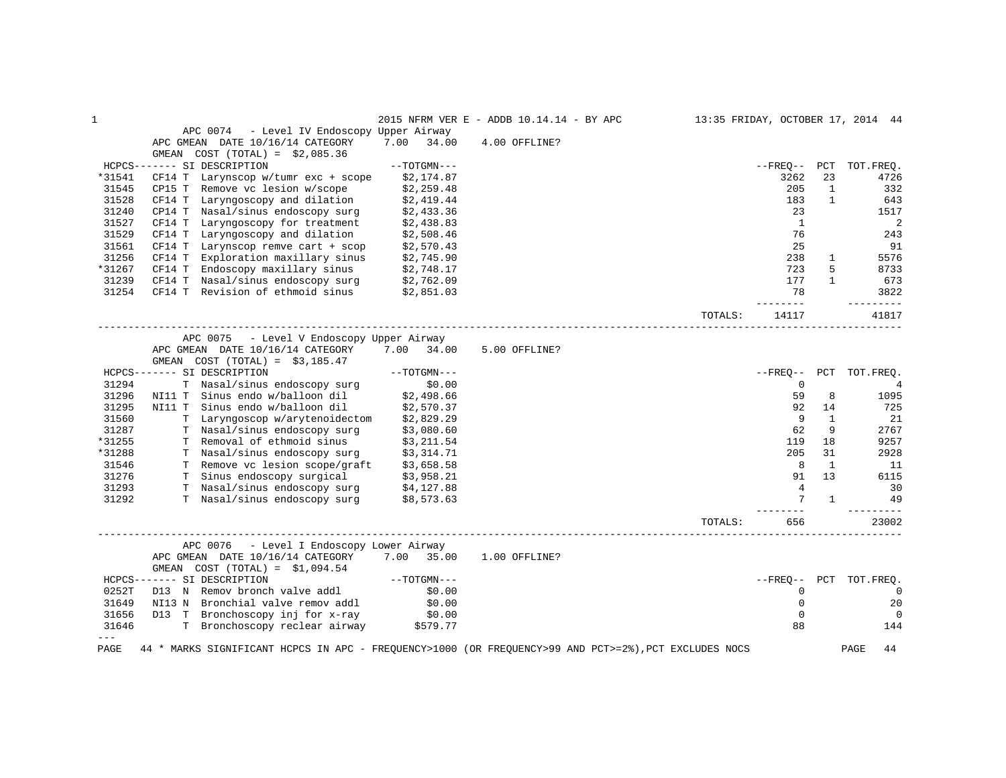|        |                                                                                                       |                        | 2015 NFRM VER E - ADDB 10.14.14 - BY APC |         |                |              | 13:35 FRIDAY, OCTOBER 17, 2014 44 |
|--------|-------------------------------------------------------------------------------------------------------|------------------------|------------------------------------------|---------|----------------|--------------|-----------------------------------|
|        | APC 0074<br>- Level IV Endoscopy Upper Airway                                                         |                        |                                          |         |                |              |                                   |
|        | APC GMEAN DATE 10/16/14 CATEGORY                                                                      | 7.00<br>34.00          | 4.00 OFFLINE?                            |         |                |              |                                   |
|        | GMEAN $COST (TOTAL) = $2,085.36$                                                                      |                        |                                          |         |                |              |                                   |
|        | HCPCS------- SI DESCRIPTION                                                                           | $--TOTGMN---$          |                                          |         |                |              | --FREO-- PCT TOT.FREO.            |
| *31541 | CF14 T Larynscop w/tumr exc + scope                                                                   | \$2,174.87             |                                          |         | 3262           | 23           | 4726                              |
| 31545  | Remove vc lesion w/scope<br>CP15 T                                                                    | \$2,259.48             |                                          |         | 205            | $\mathbf{1}$ | 332                               |
| 31528  | CF14 T<br>Laryngoscopy and dilation                                                                   | \$2,419.44             |                                          |         | 183            | $\mathbf{1}$ | 643                               |
| 31240  | Nasal/sinus endoscopy surg<br>CP14 T                                                                  | \$2,433.36             |                                          |         | 23             |              | 1517                              |
| 31527  | CF14 T<br>Laryngoscopy for treatment                                                                  | \$2,438.83             |                                          |         | <sup>1</sup>   |              | 2                                 |
| 31529  | Laryngoscopy and dilation<br>CF14 T                                                                   | \$2,508.46             |                                          |         | 76             |              | 243                               |
| 31561  | Larynscop remve cart + scop<br>CF14 T                                                                 | \$2,570.43             |                                          |         | 25             |              | 91                                |
| 31256  | Exploration maxillary sinus<br>CF14 T                                                                 | \$2,745.90             |                                          |         | 238            | $\mathbf{1}$ | 5576                              |
| *31267 | CF14 T Endoscopy maxillary sinus \$2,748.17                                                           |                        |                                          |         | 723            | 5            | 8733                              |
| 31239  |                                                                                                       |                        |                                          |         | 177            | $\mathbf{1}$ | 673                               |
| 31254  | CF14 T Nasal/sinus endoscopy surg $$2,762.09$<br>CF14 T Revision of ethmoid sinus $$2,851.03$         |                        |                                          |         | 78             |              | 3822                              |
|        |                                                                                                       |                        |                                          |         | -------        |              | ---------                         |
|        |                                                                                                       |                        |                                          | TOTALS: | 14117          |              | 41817                             |
|        | APC 0075 - Level V Endoscopy Upper Airway                                                             |                        |                                          |         |                |              |                                   |
|        | APC GMEAN DATE 10/16/14 CATEGORY                                                                      | 7.00 34.00             | 5.00 OFFLINE?                            |         |                |              |                                   |
|        | GMEAN COST $(TOTAL) = $3,185.47$                                                                      |                        |                                          |         |                |              |                                   |
|        | HCPCS------- SI DESCRIPTION                                                                           | $--TOTGMN---$          |                                          |         |                |              | --FREO-- PCT TOT.FREO.            |
| 31294  | T Nasal/sinus endoscopy surg                                                                          |                        |                                          |         | $\mathbf 0$    |              | $\overline{4}$                    |
| 31296  | NI11 T Sinus endo w/balloon dil                                                                       | 0.00\$<br>2,498.66\$   |                                          |         | 59             | 8            | 1095                              |
| 31295  | NI11 T Sinus endo w/balloon dil                                                                       | \$2,570.37             |                                          |         | 92             | 14           | 725                               |
| 31560  | T Laryngoscop w/arytenoidectom                                                                        | \$2,829.29             |                                          |         | 9              | $\mathbf{1}$ | 21                                |
| 31287  | T Nasal/sinus endoscopy surg \$3,080.60                                                               |                        |                                          |         | 62             | 9            | 2767                              |
| *31255 | T Removal of ethmoid sinus \$3,211.54                                                                 |                        |                                          |         | 119            | 18           | 9257                              |
| *31288 | T Nasal/sinus endoscopy surg \$3,314.71                                                               |                        |                                          |         | 205            | 31           | 2928                              |
| 31546  | T Remove vc lesion scope/graft \$3,658.58                                                             |                        |                                          |         | 8              | 1            | - 11                              |
| 31276  |                                                                                                       |                        |                                          |         | 91             | 13           | 6115                              |
| 31293  | T Sinus endoscopy surgical \$3,958.21<br>T Nasal/sinus endoscopy surg \$4,127.88                      |                        |                                          |         | $\overline{4}$ |              | 30                                |
| 31292  | T Nasal/sinus endoscopy surg \$8,573.63                                                               |                        |                                          |         | 7              | 1            | 49                                |
|        |                                                                                                       |                        |                                          |         |                |              |                                   |
|        |                                                                                                       |                        |                                          | TOTALS: | 656            |              | 23002                             |
|        | APC 0076<br>- Level I Endoscopy Lower Airway                                                          |                        |                                          |         |                |              |                                   |
|        | APC GMEAN DATE 10/16/14 CATEGORY 7.00 35.00<br>GMEAN $COST (TOTAL) = $1,094.54$                       |                        | 1.00 OFFLINE?                            |         |                |              |                                   |
|        | HCPCS------- SI DESCRIPTION                                                                           | $--\mathrm{TOTGMN---}$ |                                          |         |                |              | --FREQ-- PCT TOT.FREQ.            |
| 0252T  | D13 N Remov bronch valve addl                                                                         | \$0.00                 |                                          |         | $\mathbf 0$    |              | $\overline{0}$                    |
| 31649  | NI13 N Bronchial valve remov addl                                                                     | \$0.00                 |                                          |         | $\mathbf 0$    |              | 20                                |
| 31656  | D13 T Bronchoscopy inj for x-ray                                                                      |                        |                                          |         | $\mathbf 0$    |              | $\Omega$                          |
| 31646  | T Bronchoscopy inj for x-ray \$0.00<br>T Bronchoscopy reclear airway \$579.77                         |                        |                                          |         | 88             |              | 144                               |
| $---$  |                                                                                                       |                        |                                          |         |                |              |                                   |
| PAGE   | 44 * MARKS SIGNIFICANT HCPCS IN APC - FREQUENCY>1000 (OR FREQUENCY>99 AND PCT>=2%), PCT EXCLUDES NOCS |                        |                                          |         |                |              | PAGE<br>44                        |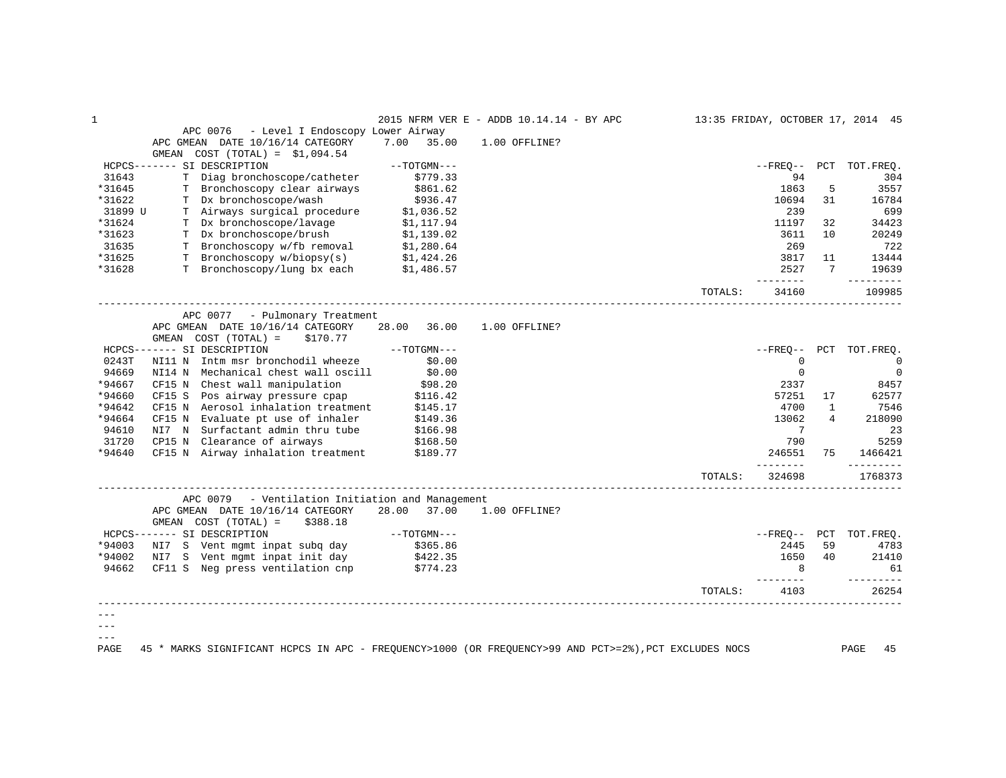| APC 0076<br>- Level I Endoscopy Lower Airway<br>7.00<br>APC GMEAN DATE 10/16/14 CATEGORY<br>35.00<br>1.00 OFFLINE?<br>$COST (TOTAL) = $1,094.54$<br>GMEAN<br>HCPCS------- SI DESCRIPTION<br>$--TOTGMN---$<br>$- FREO--$<br>PCT TOT.FREQ.<br>31643<br>T Diag bronchoscope/catheter<br>\$779.33<br>94<br>304<br>*31645<br>T Bronchoscopy clear airways<br>1863<br>\$861.62<br>5<br>3557<br>T Dx bronchoscope/wash<br>*31622<br>\$936.47<br>10694<br>31<br>16784<br>\$1,036.52<br>T Airways surgical procedure<br>239<br>699<br>31899 U<br>T Dx bronchoscope/lavage<br>*31624<br>34423<br>\$1,117.94<br>11197<br>32<br>T Dx bronchoscope/brush<br>10<br>20249<br>*31623<br>\$1,139.02<br>3611<br>T Bronchoscopy w/fb removal \$1,280.64<br>269<br>722<br>31635<br>T Bronchoscopy w/biopsy(s) $$1,424.26$<br>T Bronchoscopy/lung bx each $$1,486.57$<br>3817<br>*31625<br>11<br>13444<br>*31628<br>2527<br>7<br>19639<br>--------<br>---------<br>TOTALS:<br>34160<br>109985<br>APC 0077 - Pulmonary Treatment<br>APC GMEAN DATE 10/16/14 CATEGORY<br>28.00 36.00<br>1.00 OFFLINE?<br>GMEAN COST (TOTAL) =<br>\$170.77<br>HCPCS------- SI DESCRIPTION<br>$--TOTGMN---$<br>$- FREO--$<br>PCT<br>TOT.FREQ.<br>NI11 N Intm msr bronchodil wheeze<br>\$0.00<br>$\mathbf 0$<br>0243T<br>$\mathbf 0$<br>94669<br>NI14 N Mechanical chest wall oscill<br>\$0.00<br>$\mathbf 0$<br>$\mathbf 0$<br>*94667<br>CF15 N Chest wall manipulation<br>\$98.20<br>2337<br>8457<br>*94660<br>CF15 S Pos airway pressure cpap<br>57251<br>\$116.42<br>17<br>62577<br>*94642<br>CF15 N Aerosol inhalation treatment<br>4700<br>7546<br>\$145.17<br>$\mathbf{1}$<br>*94664<br>CF15 N Evaluate pt use of inhaler<br>13062<br>4<br>218090<br>\$149.36<br>\$166.98<br>94610<br>NI7 N Surfactant admin thru tube<br>7<br>23<br>31720<br>5259<br>CP15 N Clearance of airways<br>790<br>\$168.50<br>*94640<br>CF15 N Airway inhalation treatment \$189.77<br>246551<br>75<br>1466421<br>----------<br>________<br>324698<br>1768373<br>TOTALS:<br>APC 0079<br>- Ventilation Initiation and Management<br>APC GMEAN DATE 10/16/14 CATEGORY<br>28.00<br>37.00<br>1.00 OFFLINE?<br>GMEAN COST (TOTAL) =<br>\$388.18<br>$--TOTGMN---$<br>HCPCS------- SI DESCRIPTION<br>--FREO-- PCT TOT.FREO.<br>\$365.86<br>*94003<br>NI7 S Vent mgmt inpat subg day<br>2445<br>59<br>4783<br>*94002<br>1650<br>40<br>NI7 S Vent mgmt inpat init day<br>21410<br>\$422.35<br>94662<br>CF11 S Neg press ventilation cnp<br>8<br>\$774.23<br>61<br>------<br>----------<br>TOTALS:<br>4103<br>26254 | $\mathbf 1$ |  | 2015 NFRM VER E - ADDB 10.14.14 - BY APC |  |  | 13:35 FRIDAY, OCTOBER 17, 2014 45 |
|--------------------------------------------------------------------------------------------------------------------------------------------------------------------------------------------------------------------------------------------------------------------------------------------------------------------------------------------------------------------------------------------------------------------------------------------------------------------------------------------------------------------------------------------------------------------------------------------------------------------------------------------------------------------------------------------------------------------------------------------------------------------------------------------------------------------------------------------------------------------------------------------------------------------------------------------------------------------------------------------------------------------------------------------------------------------------------------------------------------------------------------------------------------------------------------------------------------------------------------------------------------------------------------------------------------------------------------------------------------------------------------------------------------------------------------------------------------------------------------------------------------------------------------------------------------------------------------------------------------------------------------------------------------------------------------------------------------------------------------------------------------------------------------------------------------------------------------------------------------------------------------------------------------------------------------------------------------------------------------------------------------------------------------------------------------------------------------------------------------------------------------------------------------------------------------------------------------------------------------------------------------------------------------------------------------------------------------------------------------------------------------------------------------------------------------------------------------------------------------------------------------------------------------------------|-------------|--|------------------------------------------|--|--|-----------------------------------|
|                                                                                                                                                                                                                                                                                                                                                                                                                                                                                                                                                                                                                                                                                                                                                                                                                                                                                                                                                                                                                                                                                                                                                                                                                                                                                                                                                                                                                                                                                                                                                                                                                                                                                                                                                                                                                                                                                                                                                                                                                                                                                                                                                                                                                                                                                                                                                                                                                                                                                                                                                  |             |  |                                          |  |  |                                   |
|                                                                                                                                                                                                                                                                                                                                                                                                                                                                                                                                                                                                                                                                                                                                                                                                                                                                                                                                                                                                                                                                                                                                                                                                                                                                                                                                                                                                                                                                                                                                                                                                                                                                                                                                                                                                                                                                                                                                                                                                                                                                                                                                                                                                                                                                                                                                                                                                                                                                                                                                                  |             |  |                                          |  |  |                                   |
|                                                                                                                                                                                                                                                                                                                                                                                                                                                                                                                                                                                                                                                                                                                                                                                                                                                                                                                                                                                                                                                                                                                                                                                                                                                                                                                                                                                                                                                                                                                                                                                                                                                                                                                                                                                                                                                                                                                                                                                                                                                                                                                                                                                                                                                                                                                                                                                                                                                                                                                                                  |             |  |                                          |  |  |                                   |
|                                                                                                                                                                                                                                                                                                                                                                                                                                                                                                                                                                                                                                                                                                                                                                                                                                                                                                                                                                                                                                                                                                                                                                                                                                                                                                                                                                                                                                                                                                                                                                                                                                                                                                                                                                                                                                                                                                                                                                                                                                                                                                                                                                                                                                                                                                                                                                                                                                                                                                                                                  |             |  |                                          |  |  |                                   |
|                                                                                                                                                                                                                                                                                                                                                                                                                                                                                                                                                                                                                                                                                                                                                                                                                                                                                                                                                                                                                                                                                                                                                                                                                                                                                                                                                                                                                                                                                                                                                                                                                                                                                                                                                                                                                                                                                                                                                                                                                                                                                                                                                                                                                                                                                                                                                                                                                                                                                                                                                  |             |  |                                          |  |  |                                   |
|                                                                                                                                                                                                                                                                                                                                                                                                                                                                                                                                                                                                                                                                                                                                                                                                                                                                                                                                                                                                                                                                                                                                                                                                                                                                                                                                                                                                                                                                                                                                                                                                                                                                                                                                                                                                                                                                                                                                                                                                                                                                                                                                                                                                                                                                                                                                                                                                                                                                                                                                                  |             |  |                                          |  |  |                                   |
|                                                                                                                                                                                                                                                                                                                                                                                                                                                                                                                                                                                                                                                                                                                                                                                                                                                                                                                                                                                                                                                                                                                                                                                                                                                                                                                                                                                                                                                                                                                                                                                                                                                                                                                                                                                                                                                                                                                                                                                                                                                                                                                                                                                                                                                                                                                                                                                                                                                                                                                                                  |             |  |                                          |  |  |                                   |
|                                                                                                                                                                                                                                                                                                                                                                                                                                                                                                                                                                                                                                                                                                                                                                                                                                                                                                                                                                                                                                                                                                                                                                                                                                                                                                                                                                                                                                                                                                                                                                                                                                                                                                                                                                                                                                                                                                                                                                                                                                                                                                                                                                                                                                                                                                                                                                                                                                                                                                                                                  |             |  |                                          |  |  |                                   |
|                                                                                                                                                                                                                                                                                                                                                                                                                                                                                                                                                                                                                                                                                                                                                                                                                                                                                                                                                                                                                                                                                                                                                                                                                                                                                                                                                                                                                                                                                                                                                                                                                                                                                                                                                                                                                                                                                                                                                                                                                                                                                                                                                                                                                                                                                                                                                                                                                                                                                                                                                  |             |  |                                          |  |  |                                   |
|                                                                                                                                                                                                                                                                                                                                                                                                                                                                                                                                                                                                                                                                                                                                                                                                                                                                                                                                                                                                                                                                                                                                                                                                                                                                                                                                                                                                                                                                                                                                                                                                                                                                                                                                                                                                                                                                                                                                                                                                                                                                                                                                                                                                                                                                                                                                                                                                                                                                                                                                                  |             |  |                                          |  |  |                                   |
|                                                                                                                                                                                                                                                                                                                                                                                                                                                                                                                                                                                                                                                                                                                                                                                                                                                                                                                                                                                                                                                                                                                                                                                                                                                                                                                                                                                                                                                                                                                                                                                                                                                                                                                                                                                                                                                                                                                                                                                                                                                                                                                                                                                                                                                                                                                                                                                                                                                                                                                                                  |             |  |                                          |  |  |                                   |
|                                                                                                                                                                                                                                                                                                                                                                                                                                                                                                                                                                                                                                                                                                                                                                                                                                                                                                                                                                                                                                                                                                                                                                                                                                                                                                                                                                                                                                                                                                                                                                                                                                                                                                                                                                                                                                                                                                                                                                                                                                                                                                                                                                                                                                                                                                                                                                                                                                                                                                                                                  |             |  |                                          |  |  |                                   |
|                                                                                                                                                                                                                                                                                                                                                                                                                                                                                                                                                                                                                                                                                                                                                                                                                                                                                                                                                                                                                                                                                                                                                                                                                                                                                                                                                                                                                                                                                                                                                                                                                                                                                                                                                                                                                                                                                                                                                                                                                                                                                                                                                                                                                                                                                                                                                                                                                                                                                                                                                  |             |  |                                          |  |  |                                   |
|                                                                                                                                                                                                                                                                                                                                                                                                                                                                                                                                                                                                                                                                                                                                                                                                                                                                                                                                                                                                                                                                                                                                                                                                                                                                                                                                                                                                                                                                                                                                                                                                                                                                                                                                                                                                                                                                                                                                                                                                                                                                                                                                                                                                                                                                                                                                                                                                                                                                                                                                                  |             |  |                                          |  |  |                                   |
|                                                                                                                                                                                                                                                                                                                                                                                                                                                                                                                                                                                                                                                                                                                                                                                                                                                                                                                                                                                                                                                                                                                                                                                                                                                                                                                                                                                                                                                                                                                                                                                                                                                                                                                                                                                                                                                                                                                                                                                                                                                                                                                                                                                                                                                                                                                                                                                                                                                                                                                                                  |             |  |                                          |  |  |                                   |
|                                                                                                                                                                                                                                                                                                                                                                                                                                                                                                                                                                                                                                                                                                                                                                                                                                                                                                                                                                                                                                                                                                                                                                                                                                                                                                                                                                                                                                                                                                                                                                                                                                                                                                                                                                                                                                                                                                                                                                                                                                                                                                                                                                                                                                                                                                                                                                                                                                                                                                                                                  |             |  |                                          |  |  |                                   |
|                                                                                                                                                                                                                                                                                                                                                                                                                                                                                                                                                                                                                                                                                                                                                                                                                                                                                                                                                                                                                                                                                                                                                                                                                                                                                                                                                                                                                                                                                                                                                                                                                                                                                                                                                                                                                                                                                                                                                                                                                                                                                                                                                                                                                                                                                                                                                                                                                                                                                                                                                  |             |  |                                          |  |  |                                   |
|                                                                                                                                                                                                                                                                                                                                                                                                                                                                                                                                                                                                                                                                                                                                                                                                                                                                                                                                                                                                                                                                                                                                                                                                                                                                                                                                                                                                                                                                                                                                                                                                                                                                                                                                                                                                                                                                                                                                                                                                                                                                                                                                                                                                                                                                                                                                                                                                                                                                                                                                                  |             |  |                                          |  |  |                                   |
|                                                                                                                                                                                                                                                                                                                                                                                                                                                                                                                                                                                                                                                                                                                                                                                                                                                                                                                                                                                                                                                                                                                                                                                                                                                                                                                                                                                                                                                                                                                                                                                                                                                                                                                                                                                                                                                                                                                                                                                                                                                                                                                                                                                                                                                                                                                                                                                                                                                                                                                                                  |             |  |                                          |  |  |                                   |
|                                                                                                                                                                                                                                                                                                                                                                                                                                                                                                                                                                                                                                                                                                                                                                                                                                                                                                                                                                                                                                                                                                                                                                                                                                                                                                                                                                                                                                                                                                                                                                                                                                                                                                                                                                                                                                                                                                                                                                                                                                                                                                                                                                                                                                                                                                                                                                                                                                                                                                                                                  |             |  |                                          |  |  |                                   |
|                                                                                                                                                                                                                                                                                                                                                                                                                                                                                                                                                                                                                                                                                                                                                                                                                                                                                                                                                                                                                                                                                                                                                                                                                                                                                                                                                                                                                                                                                                                                                                                                                                                                                                                                                                                                                                                                                                                                                                                                                                                                                                                                                                                                                                                                                                                                                                                                                                                                                                                                                  |             |  |                                          |  |  |                                   |
|                                                                                                                                                                                                                                                                                                                                                                                                                                                                                                                                                                                                                                                                                                                                                                                                                                                                                                                                                                                                                                                                                                                                                                                                                                                                                                                                                                                                                                                                                                                                                                                                                                                                                                                                                                                                                                                                                                                                                                                                                                                                                                                                                                                                                                                                                                                                                                                                                                                                                                                                                  |             |  |                                          |  |  |                                   |
|                                                                                                                                                                                                                                                                                                                                                                                                                                                                                                                                                                                                                                                                                                                                                                                                                                                                                                                                                                                                                                                                                                                                                                                                                                                                                                                                                                                                                                                                                                                                                                                                                                                                                                                                                                                                                                                                                                                                                                                                                                                                                                                                                                                                                                                                                                                                                                                                                                                                                                                                                  |             |  |                                          |  |  |                                   |
|                                                                                                                                                                                                                                                                                                                                                                                                                                                                                                                                                                                                                                                                                                                                                                                                                                                                                                                                                                                                                                                                                                                                                                                                                                                                                                                                                                                                                                                                                                                                                                                                                                                                                                                                                                                                                                                                                                                                                                                                                                                                                                                                                                                                                                                                                                                                                                                                                                                                                                                                                  |             |  |                                          |  |  |                                   |
|                                                                                                                                                                                                                                                                                                                                                                                                                                                                                                                                                                                                                                                                                                                                                                                                                                                                                                                                                                                                                                                                                                                                                                                                                                                                                                                                                                                                                                                                                                                                                                                                                                                                                                                                                                                                                                                                                                                                                                                                                                                                                                                                                                                                                                                                                                                                                                                                                                                                                                                                                  |             |  |                                          |  |  |                                   |
|                                                                                                                                                                                                                                                                                                                                                                                                                                                                                                                                                                                                                                                                                                                                                                                                                                                                                                                                                                                                                                                                                                                                                                                                                                                                                                                                                                                                                                                                                                                                                                                                                                                                                                                                                                                                                                                                                                                                                                                                                                                                                                                                                                                                                                                                                                                                                                                                                                                                                                                                                  |             |  |                                          |  |  |                                   |
|                                                                                                                                                                                                                                                                                                                                                                                                                                                                                                                                                                                                                                                                                                                                                                                                                                                                                                                                                                                                                                                                                                                                                                                                                                                                                                                                                                                                                                                                                                                                                                                                                                                                                                                                                                                                                                                                                                                                                                                                                                                                                                                                                                                                                                                                                                                                                                                                                                                                                                                                                  |             |  |                                          |  |  |                                   |
|                                                                                                                                                                                                                                                                                                                                                                                                                                                                                                                                                                                                                                                                                                                                                                                                                                                                                                                                                                                                                                                                                                                                                                                                                                                                                                                                                                                                                                                                                                                                                                                                                                                                                                                                                                                                                                                                                                                                                                                                                                                                                                                                                                                                                                                                                                                                                                                                                                                                                                                                                  |             |  |                                          |  |  |                                   |
|                                                                                                                                                                                                                                                                                                                                                                                                                                                                                                                                                                                                                                                                                                                                                                                                                                                                                                                                                                                                                                                                                                                                                                                                                                                                                                                                                                                                                                                                                                                                                                                                                                                                                                                                                                                                                                                                                                                                                                                                                                                                                                                                                                                                                                                                                                                                                                                                                                                                                                                                                  |             |  |                                          |  |  |                                   |
|                                                                                                                                                                                                                                                                                                                                                                                                                                                                                                                                                                                                                                                                                                                                                                                                                                                                                                                                                                                                                                                                                                                                                                                                                                                                                                                                                                                                                                                                                                                                                                                                                                                                                                                                                                                                                                                                                                                                                                                                                                                                                                                                                                                                                                                                                                                                                                                                                                                                                                                                                  |             |  |                                          |  |  |                                   |
|                                                                                                                                                                                                                                                                                                                                                                                                                                                                                                                                                                                                                                                                                                                                                                                                                                                                                                                                                                                                                                                                                                                                                                                                                                                                                                                                                                                                                                                                                                                                                                                                                                                                                                                                                                                                                                                                                                                                                                                                                                                                                                                                                                                                                                                                                                                                                                                                                                                                                                                                                  |             |  |                                          |  |  |                                   |
|                                                                                                                                                                                                                                                                                                                                                                                                                                                                                                                                                                                                                                                                                                                                                                                                                                                                                                                                                                                                                                                                                                                                                                                                                                                                                                                                                                                                                                                                                                                                                                                                                                                                                                                                                                                                                                                                                                                                                                                                                                                                                                                                                                                                                                                                                                                                                                                                                                                                                                                                                  |             |  |                                          |  |  |                                   |
|                                                                                                                                                                                                                                                                                                                                                                                                                                                                                                                                                                                                                                                                                                                                                                                                                                                                                                                                                                                                                                                                                                                                                                                                                                                                                                                                                                                                                                                                                                                                                                                                                                                                                                                                                                                                                                                                                                                                                                                                                                                                                                                                                                                                                                                                                                                                                                                                                                                                                                                                                  |             |  |                                          |  |  |                                   |
|                                                                                                                                                                                                                                                                                                                                                                                                                                                                                                                                                                                                                                                                                                                                                                                                                                                                                                                                                                                                                                                                                                                                                                                                                                                                                                                                                                                                                                                                                                                                                                                                                                                                                                                                                                                                                                                                                                                                                                                                                                                                                                                                                                                                                                                                                                                                                                                                                                                                                                                                                  |             |  |                                          |  |  |                                   |
|                                                                                                                                                                                                                                                                                                                                                                                                                                                                                                                                                                                                                                                                                                                                                                                                                                                                                                                                                                                                                                                                                                                                                                                                                                                                                                                                                                                                                                                                                                                                                                                                                                                                                                                                                                                                                                                                                                                                                                                                                                                                                                                                                                                                                                                                                                                                                                                                                                                                                                                                                  |             |  |                                          |  |  |                                   |
|                                                                                                                                                                                                                                                                                                                                                                                                                                                                                                                                                                                                                                                                                                                                                                                                                                                                                                                                                                                                                                                                                                                                                                                                                                                                                                                                                                                                                                                                                                                                                                                                                                                                                                                                                                                                                                                                                                                                                                                                                                                                                                                                                                                                                                                                                                                                                                                                                                                                                                                                                  |             |  |                                          |  |  |                                   |
|                                                                                                                                                                                                                                                                                                                                                                                                                                                                                                                                                                                                                                                                                                                                                                                                                                                                                                                                                                                                                                                                                                                                                                                                                                                                                                                                                                                                                                                                                                                                                                                                                                                                                                                                                                                                                                                                                                                                                                                                                                                                                                                                                                                                                                                                                                                                                                                                                                                                                                                                                  |             |  |                                          |  |  |                                   |
|                                                                                                                                                                                                                                                                                                                                                                                                                                                                                                                                                                                                                                                                                                                                                                                                                                                                                                                                                                                                                                                                                                                                                                                                                                                                                                                                                                                                                                                                                                                                                                                                                                                                                                                                                                                                                                                                                                                                                                                                                                                                                                                                                                                                                                                                                                                                                                                                                                                                                                                                                  |             |  |                                          |  |  |                                   |
|                                                                                                                                                                                                                                                                                                                                                                                                                                                                                                                                                                                                                                                                                                                                                                                                                                                                                                                                                                                                                                                                                                                                                                                                                                                                                                                                                                                                                                                                                                                                                                                                                                                                                                                                                                                                                                                                                                                                                                                                                                                                                                                                                                                                                                                                                                                                                                                                                                                                                                                                                  |             |  |                                          |  |  |                                   |
|                                                                                                                                                                                                                                                                                                                                                                                                                                                                                                                                                                                                                                                                                                                                                                                                                                                                                                                                                                                                                                                                                                                                                                                                                                                                                                                                                                                                                                                                                                                                                                                                                                                                                                                                                                                                                                                                                                                                                                                                                                                                                                                                                                                                                                                                                                                                                                                                                                                                                                                                                  |             |  |                                          |  |  |                                   |
|                                                                                                                                                                                                                                                                                                                                                                                                                                                                                                                                                                                                                                                                                                                                                                                                                                                                                                                                                                                                                                                                                                                                                                                                                                                                                                                                                                                                                                                                                                                                                                                                                                                                                                                                                                                                                                                                                                                                                                                                                                                                                                                                                                                                                                                                                                                                                                                                                                                                                                                                                  |             |  |                                          |  |  |                                   |
|                                                                                                                                                                                                                                                                                                                                                                                                                                                                                                                                                                                                                                                                                                                                                                                                                                                                                                                                                                                                                                                                                                                                                                                                                                                                                                                                                                                                                                                                                                                                                                                                                                                                                                                                                                                                                                                                                                                                                                                                                                                                                                                                                                                                                                                                                                                                                                                                                                                                                                                                                  |             |  |                                          |  |  |                                   |
|                                                                                                                                                                                                                                                                                                                                                                                                                                                                                                                                                                                                                                                                                                                                                                                                                                                                                                                                                                                                                                                                                                                                                                                                                                                                                                                                                                                                                                                                                                                                                                                                                                                                                                                                                                                                                                                                                                                                                                                                                                                                                                                                                                                                                                                                                                                                                                                                                                                                                                                                                  | $- - -$     |  |                                          |  |  |                                   |
| 45 * MARKS SIGNIFICANT HCPCS IN APC - FREQUENCY>1000 (OR FREQUENCY>99 AND PCT>=2%), PCT EXCLUDES NOCS<br>PAGE<br>PAGE<br>45                                                                                                                                                                                                                                                                                                                                                                                                                                                                                                                                                                                                                                                                                                                                                                                                                                                                                                                                                                                                                                                                                                                                                                                                                                                                                                                                                                                                                                                                                                                                                                                                                                                                                                                                                                                                                                                                                                                                                                                                                                                                                                                                                                                                                                                                                                                                                                                                                      |             |  |                                          |  |  |                                   |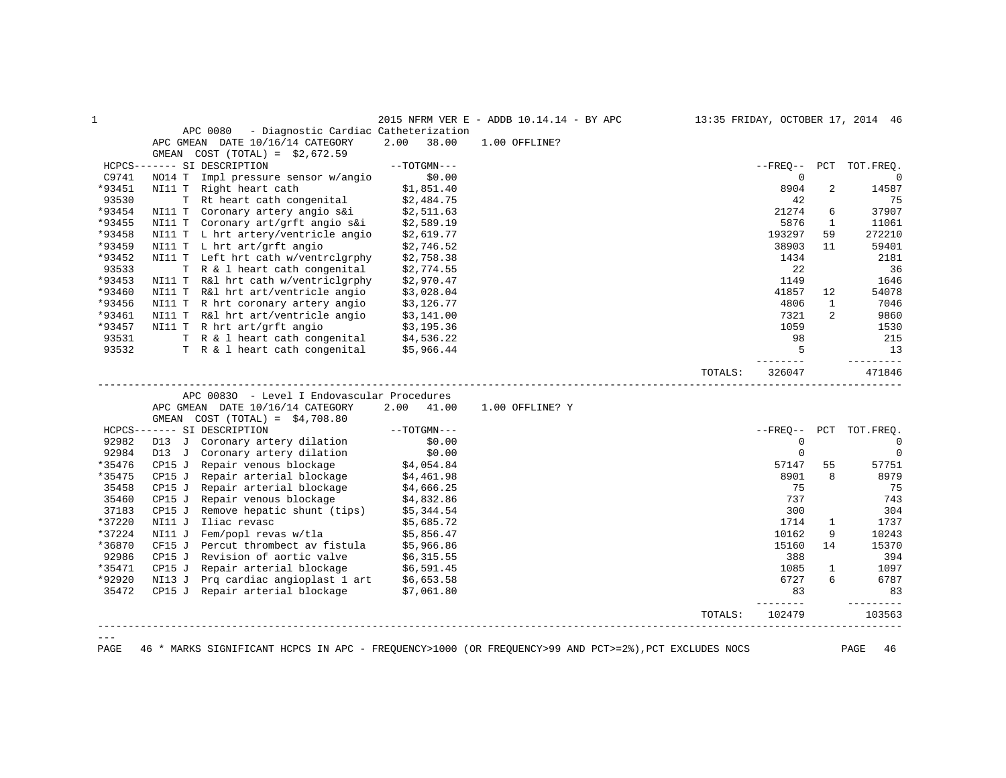| $\mathbf 1$ |                                                                                          |                          | 2015 NFRM VER E - ADDB 10.14.14 - BY APC |         |                         |                | 13:35 FRIDAY, OCTOBER 17, 2014 46 |
|-------------|------------------------------------------------------------------------------------------|--------------------------|------------------------------------------|---------|-------------------------|----------------|-----------------------------------|
|             | APC 0080<br>- Diagnostic Cardiac Catheterization                                         |                          |                                          |         |                         |                |                                   |
|             | APC GMEAN DATE 10/16/14 CATEGORY                                                         | 2.00<br>38.00            | 1.00 OFFLINE?                            |         |                         |                |                                   |
|             | $COST (TOTAL) = $2,672.59$<br>GMEAN                                                      |                          |                                          |         |                         |                |                                   |
|             | HCPCS------- SI DESCRIPTION                                                              | $--TOTGMN---$            |                                          |         | $- FREQ--$              |                | PCT TOT.FREQ.                     |
| C9741       | NO14 T<br>Impl pressure sensor w/angio                                                   | \$0.00                   |                                          |         | $\mathbf 0$             |                | $\Omega$                          |
| *93451      | NI11 T Right heart cath                                                                  | \$1,851.40               |                                          |         | 8904                    | 2              | 14587                             |
| 93530       | T Rt heart cath congenital                                                               | \$2,484.75               |                                          |         | 42                      |                | 75                                |
| *93454      | NI11 T Coronary artery angio s&i                                                         | \$2,511.63               |                                          |         | 21274                   | 6              | 37907                             |
| *93455      | NI11 T Coronary art/grft angio s&i                                                       | \$2,589.19               |                                          |         | 5876                    | $\mathbf{1}$   | 11061                             |
| *93458      | NI11 T L hrt artery/ventricle angio                                                      | \$2,619.77               |                                          |         | 193297                  | 59             | 272210                            |
| *93459      | NI11 T L hrt art/grft angio                                                              | \$2,746.52               |                                          |         | 38903                   | 11             | 59401                             |
| *93452      | NI11 T Left hrt cath w/ventrclgrphy                                                      | \$2,758.38               |                                          |         | 1434                    |                | 2181                              |
| 93533       | T R & 1 heart cath congenital                                                            | \$2,774.55               |                                          |         | 22                      |                | 36                                |
| *93453      | NI11 T R&l hrt cath w/ventriclgrphy                                                      | \$2,970.47               |                                          |         | 1149                    |                | 1646                              |
| *93460      | NI11 T R&l hrt art/ventricle angio                                                       | \$3,028.04               |                                          |         | 41857                   | 12             | 54078                             |
| *93456      | NI11 T R hrt coronary artery angio                                                       | \$3,126.77               |                                          |         | 4806                    | $\mathbf{1}$   | 7046                              |
| *93461      | NI11 T R&l hrt art/ventricle angio                                                       | \$3,141.00               |                                          |         | 7321                    | $\overline{2}$ | 9860                              |
| *93457      | NI11 T R hrt art/grft angio                                                              | \$3,195.36               |                                          |         | 1059                    |                | 1530                              |
| 93531       | 33,195.36<br>T R & l heart cath congenital \$4,536.22                                    |                          |                                          |         | 98                      |                | 215                               |
| 93532       | T R & 1 heart cath congenital \$5,966.44                                                 |                          |                                          |         | 5                       |                | 13                                |
|             |                                                                                          |                          |                                          |         | $- - - - - -$           |                | ----------                        |
|             |                                                                                          |                          |                                          | TOTALS: | 326047                  |                | 471846                            |
|             |                                                                                          |                          |                                          |         |                         |                |                                   |
|             |                                                                                          |                          |                                          |         |                         |                |                                   |
|             | APC 00830 - Level I Endovascular Procedures                                              | 2.00 41.00               | 1.00 OFFLINE? Y                          |         |                         |                |                                   |
|             | APC GMEAN DATE 10/16/14 CATEGORY<br>GMEAN $COST (TOTAL) = $4,708.80$                     |                          |                                          |         |                         |                |                                   |
|             | HCPCS------- SI DESCRIPTION                                                              | $--TOTGMN---$            |                                          |         | --FREO--                | PCT            |                                   |
| 92982       | D13 J Coronary artery dilation                                                           | \$0.00                   |                                          |         | $\mathbf 0$             |                | TOT.FREQ.                         |
| 92984       |                                                                                          | \$0.00                   |                                          |         | $\mathbf 0$             |                | $\mathbf 0$                       |
| *35476      | D13 J Coronary artery dilation<br>CP15 J Repair venous blockage                          |                          |                                          |         | 57147                   | 55             | 57751                             |
| *35475      | CP15 J Repair arterial blockage                                                          | \$4,054.84<br>\$4,461.98 |                                          |         | 8901                    | 8              | $\overline{0}$<br>8979            |
| 35458       | Repair arterial blockage<br>CP15 J                                                       | \$4,666.25               |                                          |         | 75                      |                | 75                                |
| 35460       | CP15 J                                                                                   |                          |                                          |         | 737                     |                | 743                               |
| 37183       | Repair venous blockage<br>Remove hepatic shunt (tips)<br>CP15J                           | \$4,832.86<br>\$5,344.54 |                                          |         | 300                     |                | 304                               |
| *37220      | Iliac revasc<br>NI11 J                                                                   | \$5,685.72               |                                          |         | 1714                    | 1              | 1737                              |
| *37224      | Fem/popl revas w/tla<br>NI11 J                                                           | \$5,856.47               |                                          |         | 10162                   | 9              | 10243                             |
| *36870      | Percut thrombect av fistula<br>CF15 J                                                    | \$5,966.86               |                                          |         | 15160                   | 14             | 15370                             |
| 92986       | CP15 J Revision of aortic valve                                                          | \$6,315.55               |                                          |         | 388                     |                | 394                               |
| *35471      | CP15 J                                                                                   |                          |                                          |         | 1085                    | $\mathbf{1}$   | 1097                              |
| *92920      | Repair arterial blockage \$6,591.45<br>Prq cardiac angioplast 1 art \$6,653.58<br>NI13 J |                          |                                          |         | 6727                    | 6              | 6787                              |
| 35472       | CP15 J Repair arterial blockage                                                          | \$7,061.80               |                                          |         | 83                      |                | 83                                |
|             |                                                                                          |                          |                                          | TOTALS: | $- - - - - -$<br>102479 |                | ----------<br>103563              |
|             |                                                                                          |                          |                                          |         |                         |                |                                   |

PAGE 46 \* MARKS SIGNIFICANT HCPCS IN APC - FREQUENCY>1000 (OR FREQUENCY>99 AND PCT>=2%),PCT EXCLUDES NOCS PAGE 46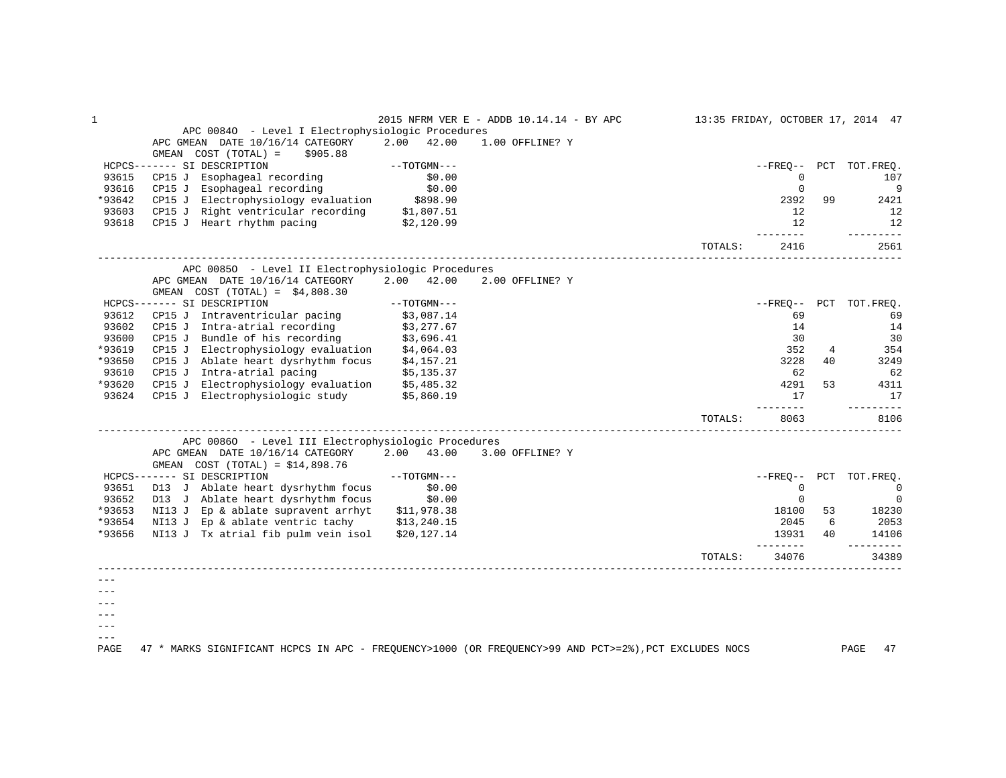| $\mathbf{1}$ |                                                                                                       |               | 2015 NFRM VER E - ADDB 10.14.14 - BY APC |         |                                                                                                                                                                                                                                                                                                                                                                                                                                                                                                |    | 13:35 FRIDAY, OCTOBER 17, 2014 47 |
|--------------|-------------------------------------------------------------------------------------------------------|---------------|------------------------------------------|---------|------------------------------------------------------------------------------------------------------------------------------------------------------------------------------------------------------------------------------------------------------------------------------------------------------------------------------------------------------------------------------------------------------------------------------------------------------------------------------------------------|----|-----------------------------------|
|              | APC 00840 - Level I Electrophysiologic Procedures                                                     |               |                                          |         |                                                                                                                                                                                                                                                                                                                                                                                                                                                                                                |    |                                   |
|              | APC GMEAN DATE 10/16/14 CATEGORY                                                                      | 2.00 42.00    | 1.00 OFFLINE? Y                          |         |                                                                                                                                                                                                                                                                                                                                                                                                                                                                                                |    |                                   |
|              | GMEAN $COST (TOTAL) = $905.88$                                                                        |               |                                          |         |                                                                                                                                                                                                                                                                                                                                                                                                                                                                                                |    |                                   |
|              | HCPCS------- SI DESCRIPTION                                                                           | --TOTGMN---   |                                          |         |                                                                                                                                                                                                                                                                                                                                                                                                                                                                                                |    | --FREO-- PCT TOT.FREO.            |
| 93615        | CP15 J Esophageal recording                                                                           | \$0.00        |                                          |         | $\mathbf 0$                                                                                                                                                                                                                                                                                                                                                                                                                                                                                    |    | 107                               |
| 93616        | CP15 J Esophageal recording                                                                           | \$0.00        |                                          |         | $\Omega$                                                                                                                                                                                                                                                                                                                                                                                                                                                                                       |    | 9                                 |
| *93642       |                                                                                                       |               |                                          |         | 2392                                                                                                                                                                                                                                                                                                                                                                                                                                                                                           | 99 | 2421                              |
| 93603        | CP15 J Electrophysiology evaluation \$898.90<br>CP15 J Right ventricular recording \$1,807.51         |               |                                          |         | 12                                                                                                                                                                                                                                                                                                                                                                                                                                                                                             |    | 12                                |
| 93618        | CP15 J Heart rhythm pacing $$2,120.99$                                                                |               |                                          |         | 12<br>. <u>.</u> .                                                                                                                                                                                                                                                                                                                                                                                                                                                                             |    | 12<br>----------                  |
|              |                                                                                                       |               |                                          | TOTALS: | 2416                                                                                                                                                                                                                                                                                                                                                                                                                                                                                           |    | 2561                              |
|              | APC 00850 - Level II Electrophysiologic Procedures                                                    |               |                                          |         |                                                                                                                                                                                                                                                                                                                                                                                                                                                                                                |    |                                   |
|              | APC GMEAN DATE 10/16/14 CATEGORY                                                                      | 2.00 42.00    | 2.00 OFFLINE? Y                          |         |                                                                                                                                                                                                                                                                                                                                                                                                                                                                                                |    |                                   |
|              | GMEAN $COST (TOTAL) = $4,808.30$                                                                      |               |                                          |         |                                                                                                                                                                                                                                                                                                                                                                                                                                                                                                |    |                                   |
|              | HCPCS------- SI DESCRIPTION                                                                           | $--TOTGMN---$ |                                          |         | $- FREO--$                                                                                                                                                                                                                                                                                                                                                                                                                                                                                     |    | PCT TOT. FREQ.                    |
| 93612        | CP15 J Intraventricular pacing                                                                        | \$3,087.14    |                                          |         | 69                                                                                                                                                                                                                                                                                                                                                                                                                                                                                             |    | 69                                |
| 93602        | CP15 J Intra-atrial recording $\frac{1}{3}$ , 277.67                                                  |               |                                          |         | 14                                                                                                                                                                                                                                                                                                                                                                                                                                                                                             |    | 14                                |
| 93600        |                                                                                                       |               |                                          |         | 30                                                                                                                                                                                                                                                                                                                                                                                                                                                                                             |    | 30                                |
| *93619       | CP15 J Bundle of his recording $$3,696.41$<br>CP15 J Electrophysiology evaluation $$4,064.03$         |               |                                          |         | 352                                                                                                                                                                                                                                                                                                                                                                                                                                                                                            | 4  | 354                               |
| *93650       | CP15 J Ablate heart dysrhythm focus \$4,157.21                                                        |               |                                          |         | 3228                                                                                                                                                                                                                                                                                                                                                                                                                                                                                           | 40 | 3249                              |
| 93610        | CP15 J Intra-atrial pacing \$5,135.37                                                                 |               |                                          |         | 62                                                                                                                                                                                                                                                                                                                                                                                                                                                                                             |    | 62                                |
| *93620       | CP15 J Electrophysiology evaluation \$5,485.32                                                        |               |                                          |         | 4291                                                                                                                                                                                                                                                                                                                                                                                                                                                                                           | 53 | 4311                              |
| 93624        | CP15 J Electrophysiologic study \$5,860.19                                                            |               |                                          |         | 17                                                                                                                                                                                                                                                                                                                                                                                                                                                                                             |    | 17                                |
|              |                                                                                                       |               |                                          | TOTALS: | $\begin{array}{cccccccccc} \multicolumn{2}{c}{} & \multicolumn{2}{c}{} & \multicolumn{2}{c}{} & \multicolumn{2}{c}{} & \multicolumn{2}{c}{} & \multicolumn{2}{c}{} & \multicolumn{2}{c}{} & \multicolumn{2}{c}{} & \multicolumn{2}{c}{} & \multicolumn{2}{c}{} & \multicolumn{2}{c}{} & \multicolumn{2}{c}{} & \multicolumn{2}{c}{} & \multicolumn{2}{c}{} & \multicolumn{2}{c}{} & \multicolumn{2}{c}{} & \multicolumn{2}{c}{} & \multicolumn{2}{c}{} & \multicolumn{2}{c}{} & \mult$<br>8063 |    | ----------<br>8106                |
|              |                                                                                                       |               |                                          |         |                                                                                                                                                                                                                                                                                                                                                                                                                                                                                                |    |                                   |
|              | APC 00860 - Level III Electrophysiologic Procedures                                                   |               |                                          |         |                                                                                                                                                                                                                                                                                                                                                                                                                                                                                                |    |                                   |
|              | APC GMEAN DATE 10/16/14 CATEGORY 2.00 43.00                                                           |               | 3.00 OFFLINE? Y                          |         |                                                                                                                                                                                                                                                                                                                                                                                                                                                                                                |    |                                   |
|              | GMEAN $COST (TOTAL) = $14,898.76$                                                                     |               |                                          |         |                                                                                                                                                                                                                                                                                                                                                                                                                                                                                                |    |                                   |
|              | HCPCS------- SI DESCRIPTION                                                                           | $--TOTGMN---$ |                                          |         |                                                                                                                                                                                                                                                                                                                                                                                                                                                                                                |    | --FREO-- PCT TOT.FREO.            |
| 93651        | D13 J Ablate heart dysrhythm focus                                                                    | \$0.00        |                                          |         | $\mathbf 0$                                                                                                                                                                                                                                                                                                                                                                                                                                                                                    |    | $\overline{0}$                    |
| 93652        | D13 J Ablate heart dysrhythm focus                                                                    | \$0.00        |                                          |         | $\mathbf 0$                                                                                                                                                                                                                                                                                                                                                                                                                                                                                    |    | $\overline{0}$                    |
|              | *93653 NI13 J Ep & ablate supravent arrhyt \$11,978.38                                                |               |                                          |         | 18100                                                                                                                                                                                                                                                                                                                                                                                                                                                                                          | 53 | 18230                             |
| *93654       | NI13 J Ep & ablate ventric tachy \$13,240.15                                                          |               |                                          |         | 2045                                                                                                                                                                                                                                                                                                                                                                                                                                                                                           | 6  | 2053                              |
| *93656       | NI13 J Tx atrial fib pulm vein isol \$20,127.14                                                       |               |                                          |         | 13931<br><u>________</u>                                                                                                                                                                                                                                                                                                                                                                                                                                                                       | 40 | 14106<br>$- - - - - - - - -$      |
|              |                                                                                                       |               |                                          | TOTALS: | 34076                                                                                                                                                                                                                                                                                                                                                                                                                                                                                          |    | 34389                             |
|              |                                                                                                       |               |                                          |         |                                                                                                                                                                                                                                                                                                                                                                                                                                                                                                |    |                                   |
|              |                                                                                                       |               |                                          |         |                                                                                                                                                                                                                                                                                                                                                                                                                                                                                                |    |                                   |
|              |                                                                                                       |               |                                          |         |                                                                                                                                                                                                                                                                                                                                                                                                                                                                                                |    |                                   |
|              |                                                                                                       |               |                                          |         |                                                                                                                                                                                                                                                                                                                                                                                                                                                                                                |    |                                   |
|              |                                                                                                       |               |                                          |         |                                                                                                                                                                                                                                                                                                                                                                                                                                                                                                |    |                                   |
|              |                                                                                                       |               |                                          |         |                                                                                                                                                                                                                                                                                                                                                                                                                                                                                                |    |                                   |
| PAGE         | 47 * MARKS SIGNIFICANT HCPCS IN APC - FREQUENCY>1000 (OR FREQUENCY>99 AND PCT>=2%), PCT EXCLUDES NOCS |               |                                          |         |                                                                                                                                                                                                                                                                                                                                                                                                                                                                                                |    | PAGE<br>47                        |
|              |                                                                                                       |               |                                          |         |                                                                                                                                                                                                                                                                                                                                                                                                                                                                                                |    |                                   |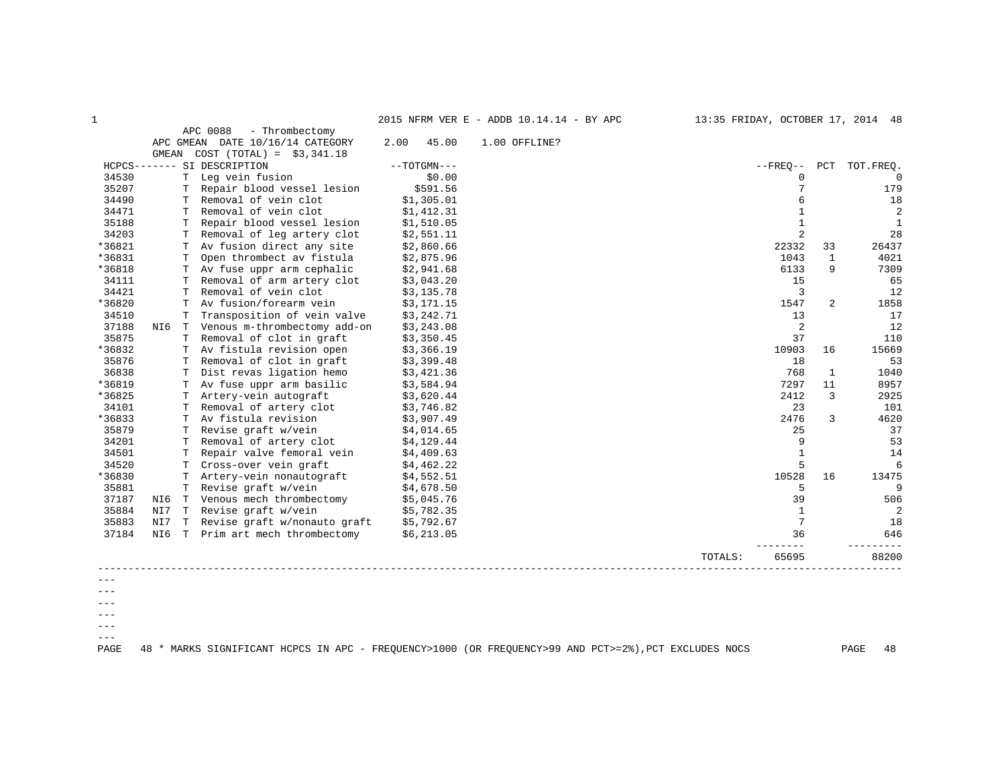| 2015 NFRM VER E - ADDB 10.14.14 - BY APC | 13:35 FRIDAY, OCTOBER 17, 2014 48                                                                                                                                                                                                |
|------------------------------------------|----------------------------------------------------------------------------------------------------------------------------------------------------------------------------------------------------------------------------------|
|                                          | и производство при применении с производство на селото на селото на селото на селото на селото на селото на се<br>В селото на селото на селото на селото на селото на селото на селото на селото на селото на селото на селото н |

|        |       |    |                                  |      | AUIU NEAM VEA B | $-$ ADDD 10.17.17<br>$-$ DI APU |         |                |              | 13.33 FRIDAI, OCIOBER 17, 2014 40 |
|--------|-------|----|----------------------------------|------|-----------------|---------------------------------|---------|----------------|--------------|-----------------------------------|
|        |       |    | APC 0088<br>- Thrombectomy       |      |                 |                                 |         |                |              |                                   |
|        |       |    | APC GMEAN DATE 10/16/14 CATEGORY | 2.00 | 45.00           | 1.00 OFFLINE?                   |         |                |              |                                   |
|        | GMEAN |    | $COST (TOTAL) = $3,341.18$       |      |                 |                                 |         |                |              |                                   |
|        |       |    | HCPCS------- SI DESCRIPTION      |      | $--TOTGMN---$   |                                 |         | $--$ FREO $--$ | PCT          | TOT.FREO.                         |
| 34530  |       |    | T Leg vein fusion                |      | \$0.00          |                                 |         | $\Omega$       |              | $\Omega$                          |
| 35207  |       |    | Repair blood vessel lesion       |      | \$591.56        |                                 |         |                |              | 179                               |
| 34490  |       | T. | Removal of vein clot             |      | \$1,305.01      |                                 |         | 6              |              | 18                                |
| 34471  |       | T. | Removal of vein clot             |      | \$1,412.31      |                                 |         | $\mathbf{1}$   |              | $\overline{2}$                    |
| 35188  |       | т  | Repair blood vessel lesion       |      | \$1,510.05      |                                 |         | $\mathbf{1}$   |              | 1                                 |
| 34203  |       |    | Removal of leg artery clot       |      | \$2,551.11      |                                 |         | 2              |              | 28                                |
| *36821 |       | т  | Av fusion direct any site        |      | \$2,860.66      |                                 |         | 22332          | 33           | 26437                             |
| *36831 |       | т  | Open thrombect av fistula        |      | \$2,875.96      |                                 |         | 1043           | $\mathbf{1}$ | 4021                              |
| *36818 |       |    | Av fuse uppr arm cephalic        |      | \$2,941.68      |                                 |         | 6133           | 9            | 7309                              |
| 34111  |       | т  | Removal of arm artery clot       |      | \$3,043.20      |                                 |         | 15             |              | 65                                |
| 34421  |       | T  | Removal of vein clot             |      | \$3,135.78      |                                 |         | 3              |              | 12                                |
| *36820 |       |    | Av fusion/forearm vein           |      | \$3,171.15      |                                 |         | 1547           | 2            | 1858                              |
| 34510  |       |    | Transposition of vein valve      |      | \$3,242.71      |                                 |         | 13             |              | 17                                |
| 37188  | NI6   | T  | Venous m-thrombectomy add-on     |      | \$3,243.08      |                                 |         | 2              |              | 12                                |
| 35875  |       | Т  | Removal of clot in graft         |      | \$3,350.45      |                                 |         | 37             |              | 110                               |
| *36832 |       | т  | Av fistula revision open         |      | \$3,366.19      |                                 |         | 10903          | 16           | 15669                             |
| 35876  |       | т  | Removal of clot in graft         |      | \$3,399.48      |                                 |         | 18             |              | 53                                |
| 36838  |       | т  | Dist revas ligation hemo         |      | \$3,421.36      |                                 |         | 768            | 1            | 1040                              |
| *36819 |       |    | Av fuse uppr arm basilic         |      | \$3,584.94      |                                 |         | 7297           | 11           | 8957                              |
| *36825 |       | т  | Artery-vein autograft            |      | \$3,620.44      |                                 |         | 2412           | 3            | 2925                              |
| 34101  |       | T. | Removal of artery clot           |      | \$3,746.82      |                                 |         | 23             |              | 101                               |
| *36833 |       | т  | Av fistula revision              |      | \$3,907.49      |                                 |         | 2476           | 3            | 4620                              |
| 35879  |       | Т  | Revise graft w/vein              |      | \$4,014.65      |                                 |         | 25             |              | 37                                |
| 34201  |       | T  | Removal of artery clot           |      | \$4,129.44      |                                 |         | 9              |              | 53                                |
| 34501  |       |    | Repair valve femoral vein        |      | \$4,409.63      |                                 |         | $\mathbf{1}$   |              | 14                                |
| 34520  |       |    | Cross-over vein graft            |      | \$4,462.22      |                                 |         | 5              |              | 6                                 |
| *36830 |       | т  | Artery-vein nonautograft         |      | \$4,552.51      |                                 |         | 10528          | 16           | 13475                             |
| 35881  |       | Т  | Revise graft w/vein              |      | \$4,678.50      |                                 |         | 5              |              | 9                                 |
| 37187  | NI6   |    | T Venous mech thrombectomy       |      | \$5,045.76      |                                 |         | 39             |              | 506                               |
| 35884  | NI7   |    | T Revise graft w/vein            |      | \$5,782.35      |                                 |         | $\mathbf{1}$   |              | 2                                 |
| 35883  | NI7   |    | T Revise graft w/nonauto graft   |      | \$5,792.67      |                                 |         | 7              |              | 18                                |
| 37184  | NI6   |    | T Prim art mech thrombectomy     |      | \$6,213.05      |                                 |         | 36             |              | 646                               |
|        |       |    |                                  |      |                 |                                 | TOTALS: | 65695          |              | 88200                             |
|        |       |    |                                  |      |                 |                                 |         |                |              |                                   |
|        |       |    |                                  |      |                 |                                 |         |                |              |                                   |

---  $---$ 

 $---$ 

 $--\,$  $---$ 

PAGE 48 \* MARKS SIGNIFICANT HCPCS IN APC - FREQUENCY>1000 (OR FREQUENCY>99 AND PCT>=2%),PCT EXCLUDES NOCS PAGE 48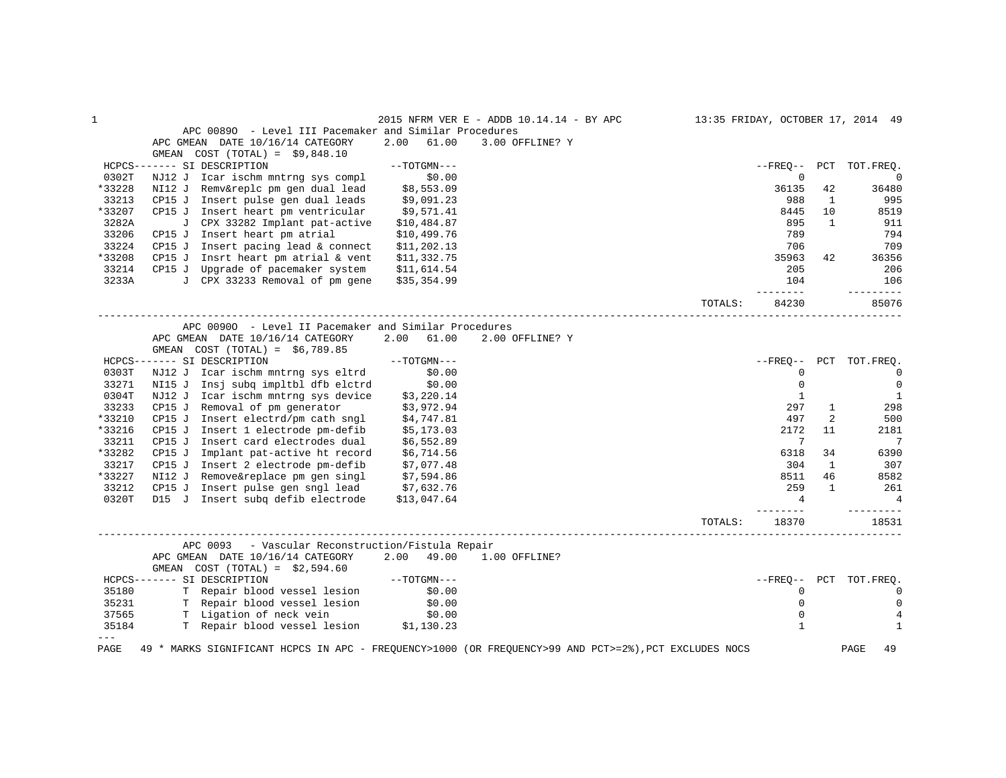| 1      |                                                                                                       |               | 2015 NFRM VER E - ADDB 10.14.14 - BY APC |         |                |              | 13:35 FRIDAY, OCTOBER 17, 2014 49 |
|--------|-------------------------------------------------------------------------------------------------------|---------------|------------------------------------------|---------|----------------|--------------|-----------------------------------|
|        | APC 00890 - Level III Pacemaker and Similar Procedures                                                |               |                                          |         |                |              |                                   |
|        | APC GMEAN DATE 10/16/14 CATEGORY                                                                      | 2.00<br>61.00 | 3.00 OFFLINE? Y                          |         |                |              |                                   |
|        | GMEAN COST $(TOTAL) = $9,848.10$                                                                      |               |                                          |         |                |              |                                   |
|        | HCPCS------- SI DESCRIPTION                                                                           | $--TOTGMN---$ |                                          |         | --FRE0--       | PCT          | TOT.FREO.                         |
| 0302T  | NJ12 J Icar ischm mntrng sys compl                                                                    | \$0.00        |                                          |         | 0              |              | $\overline{0}$                    |
| *33228 | Remv&replc pm gen dual lead<br>NI12 J                                                                 | \$8,553.09    |                                          |         | 36135          | 42           | 36480                             |
| 33213  | CP15 J<br>Insert pulse gen dual leads                                                                 | \$9,091.23    |                                          |         | 988            | $\mathbf{1}$ | 995                               |
| *33207 | CP15 J Insert heart pm ventricular                                                                    | \$9,571.41    |                                          |         | 8445           | 10           | 8519                              |
| 3282A  | J CPX 33282 Implant pat-active                                                                        | \$10,484.87   |                                          |         | 895            | $\mathbf{1}$ | 911                               |
| 33206  | CP15 J Insert heart pm atrial                                                                         | \$10,499.76   |                                          |         | 789            |              | 794                               |
| 33224  | Insert pacing lead & connect<br>CP15 J                                                                | \$11, 202.13  |                                          |         | 706            |              | 709                               |
| *33208 | CP15 J Insrt heart pm atrial $\&$ vent                                                                | \$11,332.75   |                                          |         | 35963          | 42           | 36356                             |
| 33214  | CP15 J Upgrade of pacemaker system                                                                    | \$11,614.54   |                                          |         | 205            |              | 206                               |
| 3233A  | J CPX 33233 Removal of pm gene                                                                        | \$35,354.99   |                                          |         | 104            |              | 106                               |
|        |                                                                                                       |               |                                          |         |                |              |                                   |
|        |                                                                                                       |               |                                          | TOTALS: | 84230          |              | 85076                             |
|        | APC 00900 - Level II Pacemaker and Similar Procedures                                                 |               |                                          |         |                |              |                                   |
|        | APC GMEAN DATE 10/16/14 CATEGORY                                                                      | 2.00 61.00    | 2.00 OFFLINE? Y                          |         |                |              |                                   |
|        | GMEAN $COST (TOTAL) = $6,789.85$                                                                      |               |                                          |         |                |              |                                   |
|        | HCPCS------- SI DESCRIPTION                                                                           | $--TOTGMN---$ |                                          |         | $--FRED--$ PCT |              | TOT.FREO.                         |
| 0303T  | NJ12 J Icar ischm mntrng sys eltrd                                                                    | \$0.00        |                                          |         | 0              |              | $\overline{0}$                    |
| 33271  | NI15 J Insj subq impltbl dfb elctrd                                                                   | \$0.00        |                                          |         | $\mathbf 0$    |              | $\mathbf 0$                       |
| 0304T  | NJ12 J Icar ischm mntrng sys device                                                                   | \$3,220.14    |                                          |         | 1              |              | 1                                 |
| 33233  | CP15 J Removal of pm generator                                                                        | \$3,972.94    |                                          |         | 297            | $\mathbf{1}$ | 298                               |
| *33210 | CP15 J<br>Insert electrd/pm cath sngl                                                                 | \$4,747.81    |                                          |         | 497            | 2            | 500                               |
| *33216 | CP15 J Insert 1 electrode pm-defib                                                                    | \$5,173.03    |                                          |         | 2172           | 11           | 2181                              |
| 33211  | Insert card electrodes dual<br>CP15 J                                                                 | \$6,552.89    |                                          |         | 7              |              | 7                                 |
| *33282 | CP15 J<br>Implant pat-active ht record                                                                | \$6,714.56    |                                          |         | 6318           | 34           | 6390                              |
| 33217  | CP15 J Insert 2 electrode pm-defib                                                                    |               |                                          |         | 304            | 1            | 307                               |
| *33227 | NI12 J Remove&replace pm gen singl                                                                    | \$7,077.48    |                                          |         | 8511           | 46           | 8582                              |
|        |                                                                                                       | \$7,594.86    |                                          |         | 259            | $\mathbf{1}$ |                                   |
| 33212  | CP15 J Insert pulse gen sngl lead                                                                     | \$7,632.76    |                                          |         |                |              | 261                               |
| 0320T  | D15 J Insert subq defib electrode                                                                     | \$13,047.64   |                                          |         | 4<br>-----     |              | 4                                 |
|        |                                                                                                       |               |                                          | TOTALS: | 18370          |              | 18531                             |
|        | APC 0093<br>- Vascular Reconstruction/Fistula Repair                                                  |               |                                          |         |                |              |                                   |
|        | APC GMEAN DATE 10/16/14 CATEGORY                                                                      | 2.00<br>49.00 | 1.00 OFFLINE?                            |         |                |              |                                   |
|        | GMEAN COST $(TOTAL) = $2,594.60$                                                                      |               |                                          |         |                |              |                                   |
|        | HCPCS------- SI DESCRIPTION                                                                           | $--TOTGMN---$ |                                          |         | $- FREO--$     | PCT          | TOT.FREQ.                         |
| 35180  | T Repair blood vessel lesion                                                                          | \$0.00        |                                          |         | $\mathbf 0$    |              | $\Omega$                          |
| 35231  | T Repair blood vessel lesion                                                                          | \$0.00        |                                          |         | $\mathbf 0$    |              | $\mathbf 0$                       |
| 37565  | T Ligation of neck vein                                                                               | \$0.00        |                                          |         | 0              |              | 4                                 |
| 35184  | T Repair blood vessel lesion \$1,130.23                                                               |               |                                          |         | $\mathbf{1}$   |              | $\mathbf{1}$                      |
| $---$  |                                                                                                       |               |                                          |         |                |              |                                   |
| PAGE   | 49 * MARKS SIGNIFICANT HCPCS IN APC - FREQUENCY>1000 (OR FREQUENCY>99 AND PCT>=2%), PCT EXCLUDES NOCS |               |                                          |         |                |              | 49<br>PAGE                        |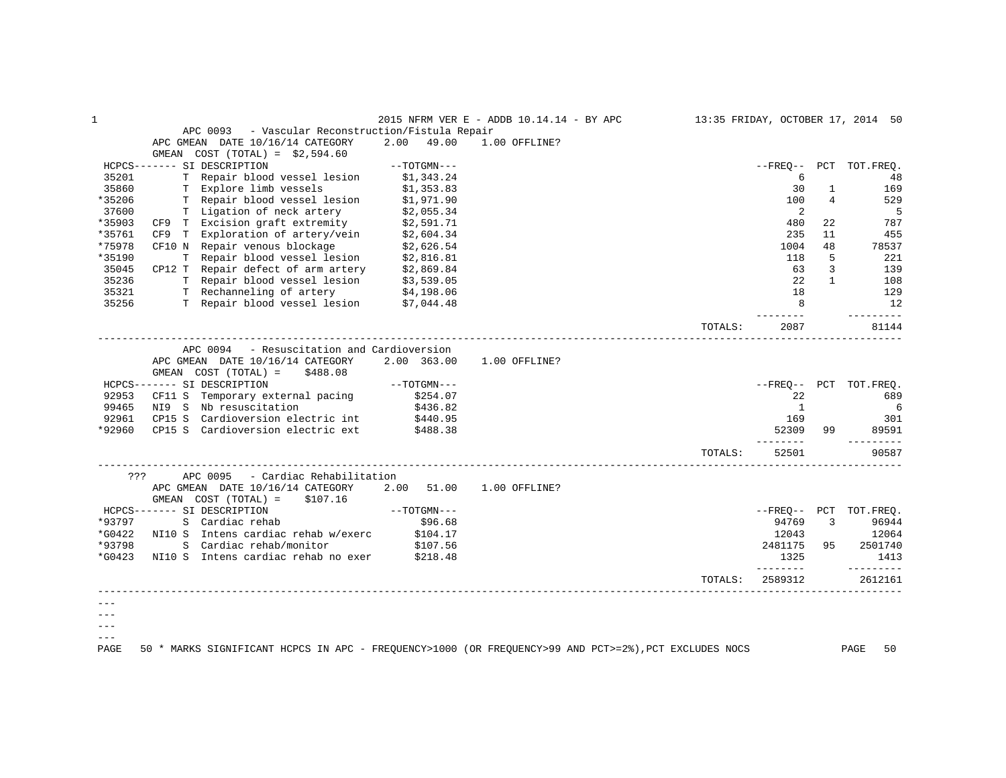| $\mathbf 1$    |                                                                                                       |               | 2015 NFRM VER E - ADDB 10.14.14 - BY APC |         |                      |              | 13:35 FRIDAY, OCTOBER 17, 2014 50 |
|----------------|-------------------------------------------------------------------------------------------------------|---------------|------------------------------------------|---------|----------------------|--------------|-----------------------------------|
|                | - Vascular Reconstruction/Fistula Repair<br>APC 0093                                                  |               |                                          |         |                      |              |                                   |
|                | APC GMEAN DATE 10/16/14 CATEGORY                                                                      | 2.00<br>49.00 | 1.00 OFFLINE?                            |         |                      |              |                                   |
|                | GMEAN COST $(TOTAL) = $2,594.60$                                                                      |               |                                          |         |                      |              |                                   |
|                | HCPCS------- SI DESCRIPTION                                                                           | $--TOTGMN---$ |                                          |         | $- FREO--$           |              | PCT TOT. FREQ.                    |
| 35201          | T Repair blood vessel lesion                                                                          | \$1,343.24    |                                          |         | 6                    |              | 48                                |
| 35860          | T Explore limb vessels                                                                                | \$1,353.83    |                                          |         | 30                   | 1            | 169                               |
| *35206         | T Repair blood vessel lesion                                                                          | \$1,971.90    |                                          |         | 100                  | 4            | 529                               |
| 37600          | T Ligation of neck artery                                                                             | \$2,055.34    |                                          |         | 2                    |              | 5                                 |
| *35903         | CF9 T Excision graft extremity                                                                        | \$2,591.71    |                                          |         | 480                  | 22           | 787                               |
| *35761         | CF9 T Exploration of artery/vein                                                                      | \$2,604.34    |                                          |         | 235                  | 11           | 455                               |
| *75978         | CF10 N Repair venous blockage                                                                         | \$2,626.54    |                                          |         | 1004                 | 48           | 78537                             |
| *35190         |                                                                                                       |               |                                          |         | 118                  | 5            | 221                               |
| 35045          | T Repair blood vessel lesion \$2,816.81<br>CP12 T Repair defect of arm artery \$2,869.84              |               |                                          |         | 63                   | 3            | 139                               |
| 35236          |                                                                                                       |               |                                          |         | 2.2.                 | $\mathbf{1}$ | 108                               |
| 35321          | T Repair blood vessel lesion \$3,539.05<br>T Rechanneling of artery \$4,198.06                        |               |                                          |         | 18                   |              | 129                               |
| 35256          | T Repair blood vessel lesion \$7,044.48                                                               |               |                                          |         | 8                    |              | 12                                |
|                |                                                                                                       |               |                                          |         |                      |              | ---------                         |
|                |                                                                                                       |               |                                          | TOTALS: | 2087                 |              | 81144                             |
|                | APC 0094 - Resuscitation and Cardioversion                                                            |               |                                          |         |                      |              |                                   |
|                | APC GMEAN DATE 10/16/14 CATEGORY                                                                      | 2.00 363.00   |                                          |         |                      |              |                                   |
|                |                                                                                                       |               | 1.00 OFFLINE?                            |         |                      |              |                                   |
|                | GMEAN $COST (TOTAL) = $488.08$                                                                        | $--TOTGMN---$ |                                          |         |                      |              |                                   |
|                | HCPCS------- SI DESCRIPTION                                                                           |               |                                          |         |                      |              | --FREO-- PCT TOT.FREO.            |
| 92953<br>99465 | CF11 S Temporary external pacing<br>NI9 S Nb resuscitation                                            | \$254.07      |                                          |         | 22<br><sup>1</sup>   |              | 689                               |
|                |                                                                                                       | \$436.82      |                                          |         |                      |              | 6                                 |
| 92961          | CP15 S<br>Cardioversion electric int                                                                  | \$440.95      |                                          |         | 169                  |              | 301                               |
| *92960         | CP15 S Cardioversion electric ext                                                                     | \$488.38      |                                          |         | 52309<br>--------    | 99           | 89591                             |
|                |                                                                                                       |               |                                          | TOTALS: | 52501                |              | 90587                             |
| ???            | - Cardiac Rehabilitation<br>APC 0095                                                                  |               |                                          |         |                      |              |                                   |
|                | APC GMEAN DATE 10/16/14 CATEGORY                                                                      | 2.00 51.00    | 1.00 OFFLINE?                            |         |                      |              |                                   |
|                | GMEAN $COST (TOTAL) = $107.16$                                                                        |               |                                          |         |                      |              |                                   |
|                | HCPCS------- SI DESCRIPTION                                                                           | $--TOTGMN---$ |                                          |         |                      |              | --FREQ-- PCT TOT.FREQ.            |
| *93797         | S Cardiac rehab                                                                                       | \$96.68       |                                          |         | 94769                | 3            | 96944                             |
| *G0422         | NI10 S Intens cardiac rehab w/exerc                                                                   | \$104.17      |                                          |         | 12043                |              | 12064                             |
| *93798         | S Cardiac rehab/monitor                                                                               | \$107.56      |                                          |         | 2481175              | 95           | 2501740                           |
| *G0423         | NI10 S Intens cardiac rehab no exer \$218.48                                                          |               |                                          |         | 1325                 |              | 1413                              |
|                |                                                                                                       |               |                                          | TOTALS: | ---------<br>2589312 |              | ---------<br>2612161              |
|                |                                                                                                       |               |                                          |         |                      |              |                                   |
|                |                                                                                                       |               |                                          |         |                      |              |                                   |
|                |                                                                                                       |               |                                          |         |                      |              |                                   |
|                |                                                                                                       |               |                                          |         |                      |              |                                   |
| $- - -$        |                                                                                                       |               |                                          |         |                      |              |                                   |
| PAGE           | 50 * MARKS SIGNIFICANT HCPCS IN APC - FREQUENCY>1000 (OR FREQUENCY>99 AND PCT>=2%), PCT EXCLUDES NOCS |               |                                          |         |                      |              | 50<br>PAGE                        |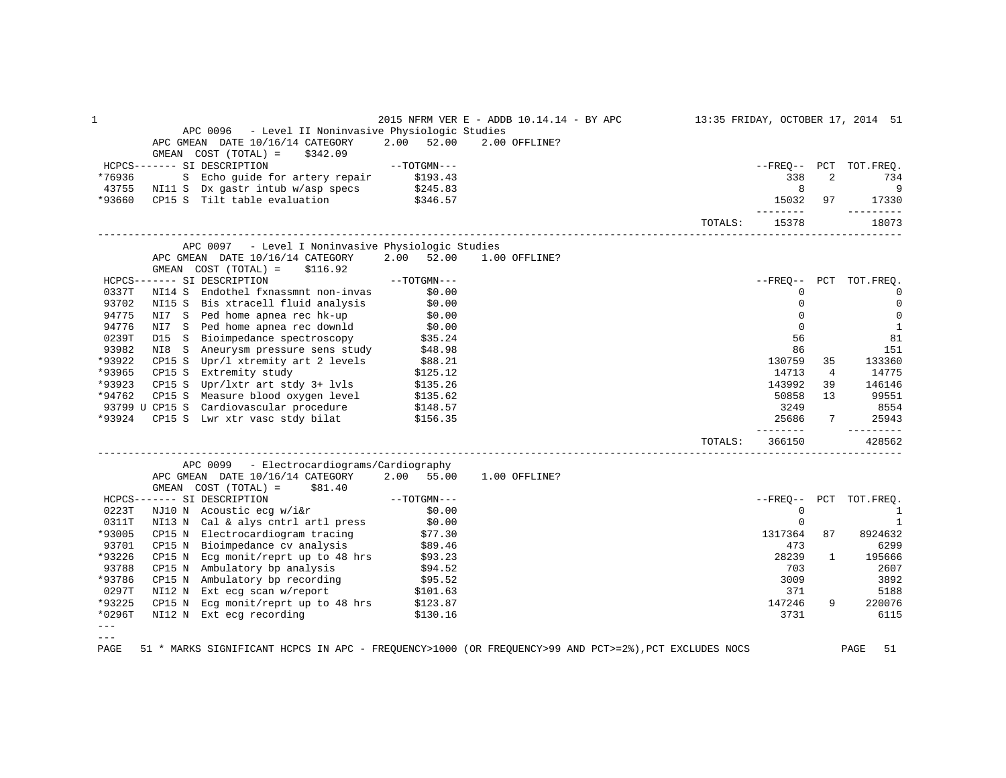| 1             |                                                                                                                                                                                                                                                   |               | 2015 NFRM VER E - ADDB 10.14.14 - BY APC 13:35 FRIDAY, OCTOBER 17, 2014 51 |         |                         |                |                             |
|---------------|---------------------------------------------------------------------------------------------------------------------------------------------------------------------------------------------------------------------------------------------------|---------------|----------------------------------------------------------------------------|---------|-------------------------|----------------|-----------------------------|
|               | APC 0096 - Level II Noninvasive Physiologic Studies                                                                                                                                                                                               |               |                                                                            |         |                         |                |                             |
|               | APC GMEAN DATE 10/16/14 CATEGORY 2.00 52.00<br>GMEAN $COST (TOTAL) = $342.09$                                                                                                                                                                     |               | 2.00 OFFLINE?                                                              |         |                         |                |                             |
|               | HCPCS------- SI DESCRIPTION                                                                                                                                                                                                                       | $--TOTGMN---$ |                                                                            |         |                         |                | --FREQ-- PCT TOT.FREQ.      |
|               |                                                                                                                                                                                                                                                   |               |                                                                            |         | 338                     | $\overline{a}$ | 734                         |
|               |                                                                                                                                                                                                                                                   |               |                                                                            |         | 8 <sup>8</sup>          |                | $\overline{9}$              |
|               | %76936 S Echo guide for artery repair \$193.43<br>43755 NI11 S Dx gastr intub w/asp specs \$245.83<br>*93660 CP15 S Tilt table evaluation \$346.57                                                                                                |               |                                                                            |         | 15032 97                |                | 17330                       |
|               |                                                                                                                                                                                                                                                   |               |                                                                            | TOTALS: | 15378                   |                | _________<br>18073          |
|               | APC 0097 - Level I Noninvasive Physiologic Studies                                                                                                                                                                                                |               |                                                                            |         |                         |                |                             |
|               | APC GMEAN DATE 10/16/14 CATEGORY 2.00 52.00 1.00 OFFLINE?<br>GMEAN $COST (TOTAL) = $116.92$                                                                                                                                                       |               |                                                                            |         |                         |                |                             |
|               | $\verb HCPCS----- S1   DESCRIPTION -- TOTGMN---$                                                                                                                                                                                                  |               |                                                                            |         |                         |                | --FREQ-- PCT TOT.FREQ.      |
| 0337T         | NI14 S Endothel fxnassmnt non-invas \$0.00                                                                                                                                                                                                        |               |                                                                            |         | 0                       |                | $\Omega$                    |
| 93702         |                                                                                                                                                                                                                                                   |               |                                                                            |         | $\mathbf 0$             |                | $\overline{0}$              |
| 94775         | NI15 S Bis xtracell fluid analysis \$0.00<br>NI7 S Ped home apnea rec hk-up \$0.00                                                                                                                                                                |               |                                                                            |         | $\mathbf 0$             |                | $\overline{0}$              |
| 94776         | NIT S Ped home appeared ownld<br>DI5 S Bioimpedance spectroscopy \$35.24<br>NI8 S Aneurysm pressure sens study \$48.98                                                                                                                            |               |                                                                            |         | $\Omega$                |                | 1                           |
| 0239T         |                                                                                                                                                                                                                                                   |               |                                                                            |         | 56                      |                | 81                          |
| 93982         |                                                                                                                                                                                                                                                   |               |                                                                            |         | 86                      |                | 151                         |
|               |                                                                                                                                                                                                                                                   |               |                                                                            |         | 130759                  | 35             | 133360                      |
|               |                                                                                                                                                                                                                                                   |               |                                                                            |         | 14713                   | $\overline{4}$ | 14775                       |
|               |                                                                                                                                                                                                                                                   |               |                                                                            |         | 143992                  | 39             | 146146                      |
|               |                                                                                                                                                                                                                                                   |               |                                                                            |         | 50858                   | 13             | 99551                       |
|               |                                                                                                                                                                                                                                                   |               |                                                                            |         | 3249                    |                | 8554                        |
| *93924        | CP15 S Lwr xtr vasc stdy bilat \$156.35                                                                                                                                                                                                           |               |                                                                            |         | 25686<br><u>_______</u> |                | 7 25943<br><u>_________</u> |
|               |                                                                                                                                                                                                                                                   |               |                                                                            | TOTALS: | 366150                  |                | 428562                      |
|               | APC 0099 - Electrocardiograms/Cardiography                                                                                                                                                                                                        |               |                                                                            |         |                         |                |                             |
|               | APC GMEAN DATE 10/16/14 CATEGORY 2.00 55.00 1.00 OFFLINE?                                                                                                                                                                                         |               |                                                                            |         |                         |                |                             |
|               | GMEAN $COST (TOTAL) = $81.40$                                                                                                                                                                                                                     |               |                                                                            |         |                         |                |                             |
|               | HCPCS------- SI DESCRIPTION<br>0223T NJ10 N Acoustic ecg w/i&r \$0.00<br>0311T NI13 N Cal & alys cntrl artl press \$0.00                                                                                                                          |               |                                                                            |         |                         |                | --FREQ-- PCT TOT.FREQ.      |
|               |                                                                                                                                                                                                                                                   |               |                                                                            |         | $\overline{0}$          |                | $\overline{1}$              |
|               |                                                                                                                                                                                                                                                   |               |                                                                            |         | $\mathbf 0$             |                | $\overline{1}$              |
| *93005        | CP15 N Electrocardiogram tracing \$77.30<br>CP15 N Bioimpedance cv analysis \$89.46                                                                                                                                                               |               |                                                                            |         | 1317364                 | 87             | 8924632                     |
| 93701         |                                                                                                                                                                                                                                                   |               |                                                                            |         | 473                     |                | 6299                        |
| *93226        | CP15 N Ecg monit/reprt up to 48 hrs \$93.23                                                                                                                                                                                                       |               |                                                                            |         | 28239                   | $\mathbf{1}$   | 195666                      |
| 93788         |                                                                                                                                                                                                                                                   |               |                                                                            |         | 703                     |                | 2607                        |
| *93786        |                                                                                                                                                                                                                                                   |               |                                                                            |         | 3009                    |                | 3892                        |
| 0297T         |                                                                                                                                                                                                                                                   |               |                                                                            |         | 371                     |                | 5188                        |
| *93225        |                                                                                                                                                                                                                                                   |               |                                                                            |         | 147246                  | 9              | 220076                      |
| $*0296T$      | CP15 N Ambulatory bp analysis<br>CP15 N Ambulatory bp analysis<br>CP15 N Ambulatory bp recording<br>SP4.52<br>CP15 N Ext ecg scan w/report<br>SP15 N Ext ecg recording<br>SP15 N Ext ecg recording<br>SP13.87<br>NI12 N Ext ecg recording<br>\$13 |               |                                                                            |         | 3731                    |                | 6115                        |
| $---$         |                                                                                                                                                                                                                                                   |               |                                                                            |         |                         |                |                             |
| $\frac{1}{2}$ |                                                                                                                                                                                                                                                   |               |                                                                            |         |                         |                |                             |

PAGE 51 \* MARKS SIGNIFICANT HCPCS IN APC - FREQUENCY>1000 (OR FREQUENCY>99 AND PCT>=2%),PCT EXCLUDES NOCS PAGE 51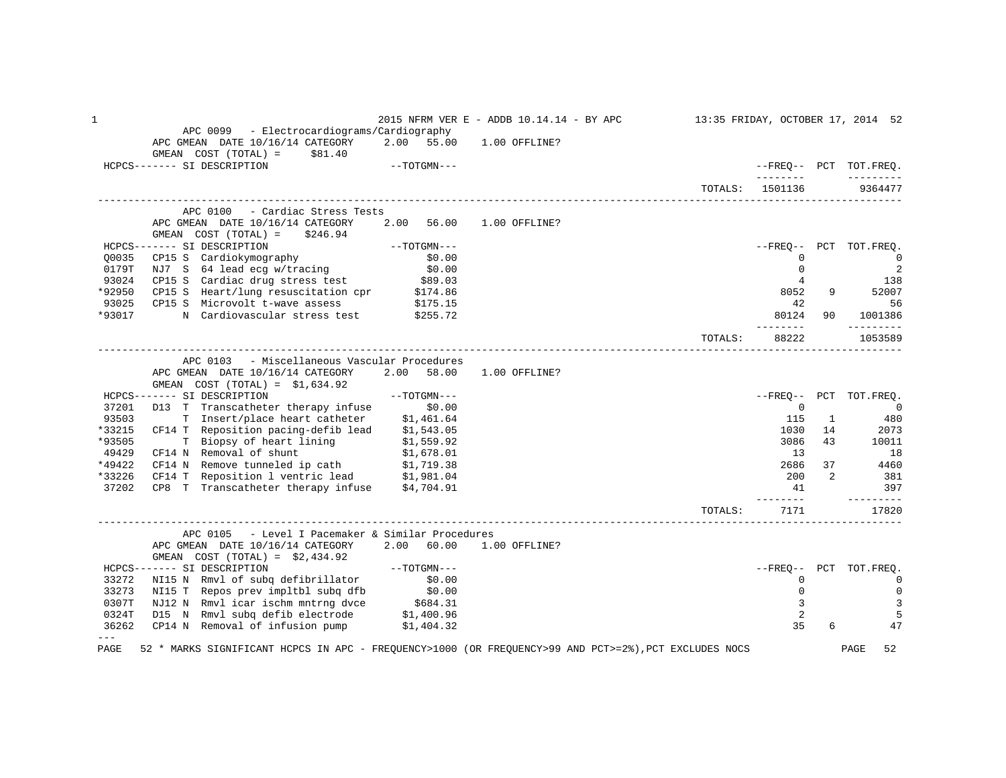1 2015 NFRM VER E - ADDB 10.14.14 - BY APC 13:35 FRIDAY, OCTOBER 17, 2014 52 APC 0099 - Electrocardiograms/Cardiography APC GMEAN DATE 10/16/14 CATEGORY 2.00 55.00 1.00 OFFLINE?  $GMEAN$   $COST$   $(TOTAL)$  =  $\$81.40$  HCPCS------- SI DESCRIPTION --TOTGMN--- --FREQ-- PCT TOT.FREQ. -------- --------- TOTALS: 1501136 ------------------------------------------------------------------------------------------------------------------------------------ APC 0100 - Cardiac Stress Tests APC GMEAN DATE 10/16/14 CATEGORY 2.00 56.00 1.00 OFFLINE? GMEAN COST (TOTAL) = \$246.94 HCPCS------- SI DESCRIPTION --TOTGMN--- --FREQ-- PCT TOT.FREQ. Q0035 CP15 S Cardiokymography \$0.00 0 0 0179T NJ7 S 64 lead ecg w/tracing \$0.00 \$0.00 \$0.00 \$1 and \$1 and \$1 and \$1 and \$1 and \$1 and \$2 and \$1 and \$1 93024 CP15 S Cardiac drug stress test \$89.03 \$89.03 \$89.03 \$138 \*92950 CP15 S Heart/lung resuscitation cpr \$174.86 8052 8052 8052 8052 8052 8052 8052 81 93025 CP15 S Microvolt t-wave assess \$175.15 56 \$175.15 56 \*93017 N Cardiovascular stress test \$255.72 80121 80124 90 1001386 -------- ---------  $\texttt{TorALS:} \qquad 88222 \qquad \qquad 1053589$ ------------------------------------------------------------------------------------------------------------------------------------ APC 0103 - Miscellaneous Vascular Procedures APC GMEAN DATE 10/16/14 CATEGORY 2.00 58.00 1.00 OFFLINE? GMEAN COST (TOTAL) = \$1,634.92 HCPCS------- SI DESCRIPTION --TOTGMN--- --FREQ-- PCT TOT.FREQ. 37201 D13 T Transcatheter therapy infuse \$0.00 0 0 93503 T Insert/place heart catheter \$1,461.64 115 1 480 \*33215 CF14 T Reposition pacing-defib lead \$1,543.05 1030 14 2073 \*93505 T Biopsy of heart lining \$1,559.92 3086 43 10011 49429 CF14 N Removal of shunt \$1,678.01 13 18 \*49422 CF14 N Remove tunneled ip cath \$1,719.38 2686 37 4460 \*33226 CF14 T Reposition 1 ventric lead \$1,981.04 200 2 381<br>37202 CP8 T Transcatheter therapy infuse \$4,704.91 200 2 381 397 37202 CP8 T Transcatheter therapy infuse  $$4,704.91$   $$41$   $$397$  -------- --------- TOTALS: 7171 17820 ------------------------------------------------------------------------------------------------------------------------------------ APC 0105 - Level I Pacemaker & Similar Procedures APC GMEAN DATE 10/16/14 CATEGORY 2.00 60.00 GMEAN COST (TOTAL) =  $$2,434.92$ <br>HCPCS------- SI DESCRIPTION HCPCS------- SI DESCRIPTION --TOTGMN--- --FREQ-- PCT TOT.FREQ. 33272 NI15 N Rmvl of subq defibrillator \$0.00 0 0 33273 NI15 T Repos prev impltbl subq dfb \$0.00 0 0 0307T NJ12 N Rmvl icar ischm mntrng dvce \$684.31 3 3 0324T D15 N Rmvl subq defib electrode \$1,400.96 2 5 36262 CP14 N Removal of infusion pump \$1,404.32 --- PAGE 52 \* MARKS SIGNIFICANT HCPCS IN APC - FREQUENCY>1000 (OR FREQUENCY>99 AND PCT>=2%),PCT EXCLUDES NOCS PAGE 52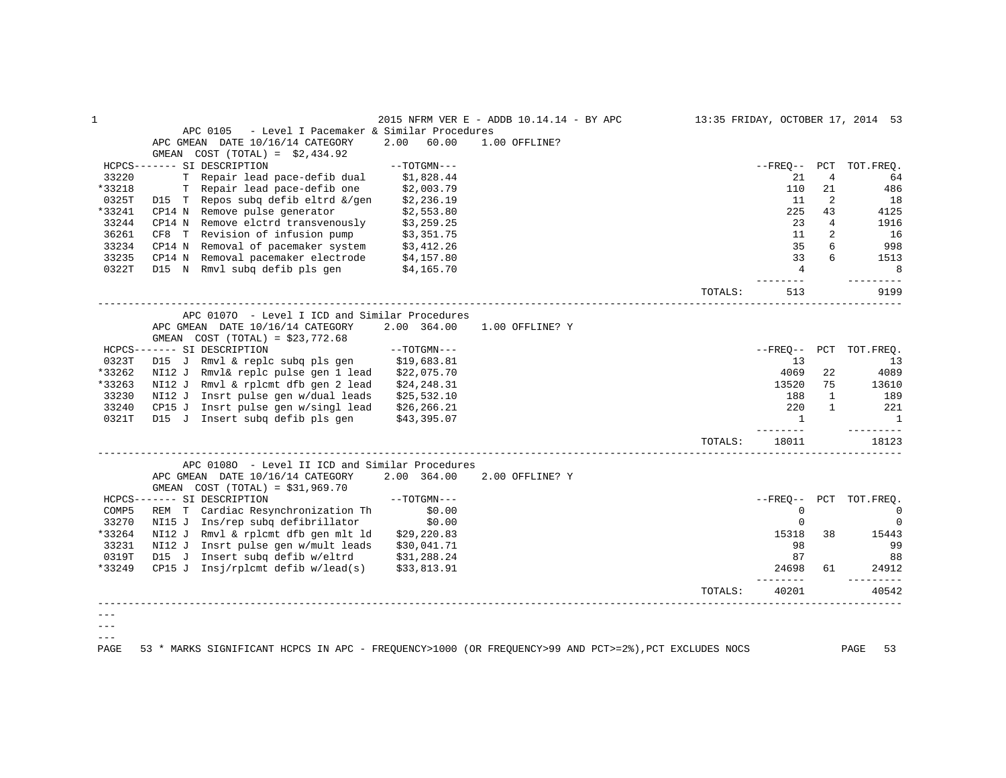|        |                                                                                                       |               | 2015 NFRM VER E - ADDB 10.14.14 - BY APC |         |                   |              | 13:35 FRIDAY, OCTOBER 17, 2014 53 |
|--------|-------------------------------------------------------------------------------------------------------|---------------|------------------------------------------|---------|-------------------|--------------|-----------------------------------|
|        | - Level I Pacemaker & Similar Procedures<br>APC 0105                                                  |               |                                          |         |                   |              |                                   |
|        | APC GMEAN DATE 10/16/14 CATEGORY                                                                      | 2.00<br>60.00 | 1.00 OFFLINE?                            |         |                   |              |                                   |
|        | GMEAN COST $(TOTAL) = $2,434.92$                                                                      |               |                                          |         |                   |              |                                   |
|        | HCPCS------- SI DESCRIPTION                                                                           | $--TOTGMN---$ |                                          |         | --FREO--          | PCT          | TOT. FREO.                        |
| 33220  | T Repair lead pace-defib dual                                                                         | \$1,828.44    |                                          |         | 21                | 4            | 64                                |
| *33218 | T Repair lead pace-defib one                                                                          | \$2,003.79    |                                          |         | 110               | 21           | 486                               |
| 0325T  | D15 T Repos subq defib eltrd &/gen                                                                    | \$2,236.19    |                                          |         | 11                | 2            | 18                                |
| *33241 | CP14 N<br>Remove pulse generator                                                                      | \$2,553.80    |                                          |         | 225               | 43           | 4125                              |
| 33244  | CP14 N Remove elctrd transvenously                                                                    | \$3,259.25    |                                          |         | 23                | 4            | 1916                              |
| 36261  | CF8 T Revision of infusion pump                                                                       | \$3,351.75    |                                          |         | 11                | 2            | 16                                |
| 33234  | Removal of pacemaker system<br>CP14 N                                                                 | \$3,412.26    |                                          |         | 35                | 6            | 998                               |
| 33235  | CP14 N Removal pacemaker electrode                                                                    | \$4,157.80    |                                          |         | 33                | 6            | 1513                              |
| 0322T  | D15 N Rmvl subq defib pls gen                                                                         | \$4,165.70    |                                          |         | $\overline{4}$    |              | 8                                 |
|        |                                                                                                       |               |                                          | TOTALS: | 513               |              | 9199                              |
|        |                                                                                                       |               |                                          |         |                   |              |                                   |
|        | APC 01070 - Level I ICD and Similar Procedures<br>APC GMEAN DATE 10/16/14 CATEGORY                    | 2.00 364.00   | 1.00 OFFLINE? Y                          |         |                   |              |                                   |
|        | GMEAN $COST (TOTAL) = $23,772.68$                                                                     |               |                                          |         |                   |              |                                   |
|        | HCPCS------- SI DESCRIPTION                                                                           | $--TOTGMN---$ |                                          |         | $- FREQ--$        |              | PCT TOT. FREQ.                    |
| 0323T  | D15 J Rmvl & replc subq pls gen                                                                       | \$19,683.81   |                                          |         | 13                |              | 13                                |
| *33262 | NI12 J Rmvl& replc pulse gen 1 lead                                                                   | \$22,075.70   |                                          |         | 4069              | 22           | 4089                              |
| *33263 | NI12 J Rmvl & rplcmt dfb gen 2 lead                                                                   | \$24, 248.31  |                                          |         | 13520             | 75           | 13610                             |
| 33230  | NI12 J Insrt pulse gen w/dual leads                                                                   | \$25,532.10   |                                          |         | 188               | $\mathbf{1}$ | 189                               |
| 33240  | CP15 J Insrt pulse gen w/singl lead                                                                   | \$26, 266.21  |                                          |         | 220               | 1            | 221                               |
| 0321T  | D15 J Insert subq defib pls gen                                                                       | \$43,395.07   |                                          |         | $\mathbf{1}$      |              | 1                                 |
|        |                                                                                                       |               |                                          |         | ------            |              | -------                           |
|        |                                                                                                       |               |                                          | TOTALS: | 18011             |              | 18123                             |
|        | APC 01080 - Level II ICD and Similar Procedures                                                       |               |                                          |         |                   |              |                                   |
|        | APC GMEAN DATE 10/16/14 CATEGORY                                                                      | 2.00 364.00   | 2.00 OFFLINE? Y                          |         |                   |              |                                   |
|        | GMEAN COST (TOTAL) = $$31,969.70$                                                                     |               |                                          |         |                   |              |                                   |
|        | HCPCS------- SI DESCRIPTION                                                                           | $--TOTGMN---$ |                                          |         | --FRE0--          | PCT          | TOT.FREO.                         |
| COMP5  | REM T Cardiac Resynchronization Th                                                                    | \$0.00        |                                          |         | 0                 |              | $\mathbf 0$                       |
| 33270  | NI15 J Ins/rep subq defibrillator                                                                     | \$0.00        |                                          |         | 0                 |              | $\mathbf 0$                       |
| *33264 | NI12 J Rmvl & rplcmt dfb gen mlt ld                                                                   | \$29, 220.83  |                                          |         | 15318             | 38           | 15443                             |
| 33231  | NI12 J Insrt pulse gen w/mult leads                                                                   | \$30,041.71   |                                          |         | 98                |              | 99                                |
| 0319T  | D15 J<br>Insert subq defib w/eltrd                                                                    | \$31,288.24   |                                          |         | 87                |              | 88                                |
| *33249 | CP15 J Insj/rplcmt defib $w/lead(s)$                                                                  | \$33,813.91   |                                          |         | 24698<br>-------- | 61           | 24912                             |
|        |                                                                                                       |               |                                          | TOTALS: | 40201             |              | 40542                             |
|        |                                                                                                       |               |                                          |         |                   |              |                                   |
|        |                                                                                                       |               |                                          |         |                   |              |                                   |
|        |                                                                                                       |               |                                          |         |                   |              |                                   |
| PAGE   | 53 * MARKS SIGNIFICANT HCPCS IN APC - FREQUENCY>1000 (OR FREQUENCY>99 AND PCT>=2%), PCT EXCLUDES NOCS |               |                                          |         |                   |              | PAGE<br>53                        |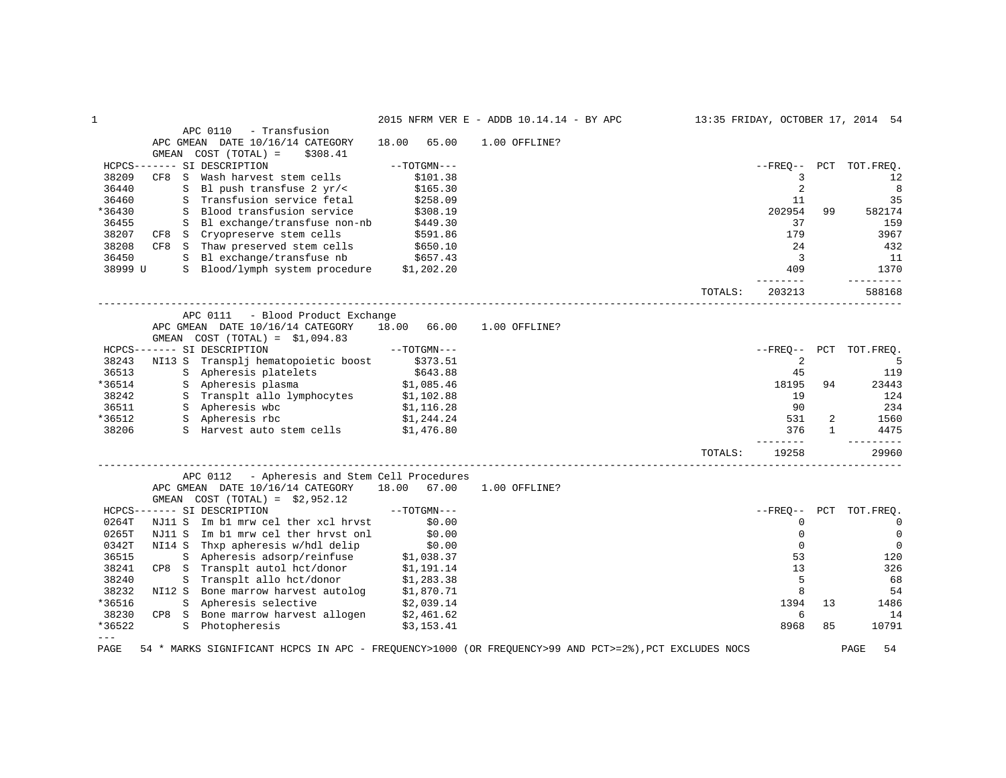| $\mathbf{1}$ |                                                                                                       |                          | 2015 NFRM VER E - ADDB 10.14.14 - BY APC |         |                 |              | 13:35 FRIDAY, OCTOBER 17, 2014 54 |
|--------------|-------------------------------------------------------------------------------------------------------|--------------------------|------------------------------------------|---------|-----------------|--------------|-----------------------------------|
|              | APC 0110<br>- Transfusion                                                                             |                          |                                          |         |                 |              |                                   |
|              | APC GMEAN DATE 10/16/14 CATEGORY                                                                      | 18.00<br>65.00           | 1.00 OFFLINE?                            |         |                 |              |                                   |
|              | GMEAN<br>$COST (TOTAL) =$<br>\$308.41                                                                 |                          |                                          |         |                 |              |                                   |
|              | HCPCS------- SI DESCRIPTION                                                                           | $--TOTGMN---$            |                                          |         | $--$ FREO $--$  | PCT          | TOT.FREQ.                         |
| 38209        | S<br>Wash harvest stem cells<br>CF8                                                                   | \$101.38                 |                                          |         | 3               |              | 12                                |
| 36440        | Bl push transfuse 2 yr/<<br>S                                                                         | \$165.30                 |                                          |         | 2               |              | 8                                 |
| 36460        | S Transfusion service fetal                                                                           | \$258.09                 |                                          |         | 11              |              | 35                                |
| *36430       | S Blood transfusion service                                                                           | \$308.19                 |                                          |         | 202954          | 99           | 582174                            |
| 36455        | Bl exchange/transfuse non-nb<br>S                                                                     | \$449.30                 |                                          |         | 37              |              | 159                               |
| 38207        | CF8 S Cryopreserve stem cells                                                                         | \$591.86                 |                                          |         | 179             |              | 3967                              |
| 38208        | CF8 S Thaw preserved stem cells                                                                       | \$650.10                 |                                          |         | 24              |              | 432                               |
| 36450        | S Bl exchange/transfuse nb \$657.43                                                                   |                          |                                          |         | 3               |              | 11                                |
| 38999 U      | S Blood/lymph system procedure \$1,202.20                                                             |                          |                                          |         | 409             |              | 1370                              |
|              |                                                                                                       |                          |                                          |         | $- - - - - - -$ |              | ---------                         |
|              |                                                                                                       |                          |                                          | TOTALS: | 203213          |              | 588168                            |
|              |                                                                                                       |                          |                                          |         |                 |              |                                   |
|              | APC 0111 - Blood Product Exchange                                                                     |                          |                                          |         |                 |              |                                   |
|              | APC GMEAN DATE 10/16/14 CATEGORY                                                                      | 18.00 66.00              | 1.00 OFFLINE?                            |         |                 |              |                                   |
|              | GMEAN COST $(TOTAL) = $1,094.83$                                                                      |                          |                                          |         |                 |              |                                   |
|              | HCPCS------- SI DESCRIPTION                                                                           | $--TOTGMN---$            |                                          |         | $- FREQ--$      | PCT          | TOT.FREQ.                         |
| 38243        | NI13 S<br>Transplj hematopoietic boost                                                                | \$373.51                 |                                          |         | 2               |              | -5                                |
| 36513        |                                                                                                       |                          |                                          |         | 45              |              | 119                               |
| *36514       | S Apheresis platelets (5643.88<br>S Apheresis plasma (51,085.46)                                      |                          |                                          |         | 18195           | 94           | 23443                             |
| 38242        |                                                                                                       |                          |                                          |         | 19              |              | 124                               |
| 36511        | S Transplt allo lymphocytes \$1,102.88<br>S Apheresis wbc \$1,116.28                                  |                          |                                          |         | 90              |              | 234                               |
| *36512       | S Apheresis rbc                                                                                       |                          |                                          |         | 531             | 2            | 1560                              |
| 38206        | S Harvest auto stem cells                                                                             | \$1,244.24<br>\$1,476.80 |                                          |         | 376             | $\mathbf{1}$ | 4475                              |
|              |                                                                                                       |                          |                                          |         | $- - - - - -$   |              |                                   |
|              |                                                                                                       |                          |                                          | TOTALS: | 19258           |              | 29960                             |
|              |                                                                                                       |                          |                                          |         |                 |              |                                   |
|              | APC 0112 - Apheresis and Stem Cell Procedures                                                         |                          |                                          |         |                 |              |                                   |
|              | APC GMEAN DATE 10/16/14 CATEGORY                                                                      | 18.00 67.00              | 1.00 OFFLINE?                            |         |                 |              |                                   |
|              | GMEAN COST $(TOTAL) = $2,952.12$                                                                      |                          |                                          |         |                 |              |                                   |
|              | HCPCS------- SI DESCRIPTION                                                                           | $--TOTGMN---$            |                                          |         | --FREO--        | PCT          | TOT.FREQ.                         |
| 0264T        | Im b1 mrw cel ther xcl hrvst<br>NJ11 S                                                                | \$0.00                   |                                          |         | $\mathbf 0$     |              | $\overline{0}$                    |
| 0265T        | NJ11 S<br>Im b1 mrw cel ther hrvst onl                                                                | \$0.00                   |                                          |         | $\mathbf 0$     |              | $\overline{0}$                    |
| 0342T        | NI14 S<br>Thxp apheresis w/hdl delip                                                                  | \$0.00                   |                                          |         | $\mathbf 0$     |              | $\overline{0}$                    |
| 36515        | S Apheresis adsorp/reinfuse                                                                           | \$1,038.37               |                                          |         | 53              |              | 120                               |
| 38241        | CP8 S Transplt autol hct/donor                                                                        | \$1,191.14               |                                          |         | 13              |              | 326                               |
| 38240        | S Transplt allo hct/donor \$1,283.38                                                                  |                          |                                          |         | 5               |              | 68                                |
| 38232        | NI12 S Bone marrow harvest autolog                                                                    | \$1,870.71               |                                          |         | 8               |              | 54                                |
| *36516       | S Apheresis selective                                                                                 | \$2,039.14               |                                          |         | 1394            | 13           | 1486                              |
| 38230        | CP8 S Bone marrow harvest allogen                                                                     | \$2,461.62               |                                          |         | 6               |              | 14                                |
| *36522       | Photopheresis<br>S                                                                                    | \$3,153.41               |                                          |         | 8968            | 85           | 10791                             |
| $---$        |                                                                                                       |                          |                                          |         |                 |              |                                   |
| PAGE         | 54 * MARKS SIGNIFICANT HCPCS IN APC - FREQUENCY>1000 (OR FREQUENCY>99 AND PCT>=2%), PCT EXCLUDES NOCS |                          |                                          |         |                 |              | PAGE<br>54                        |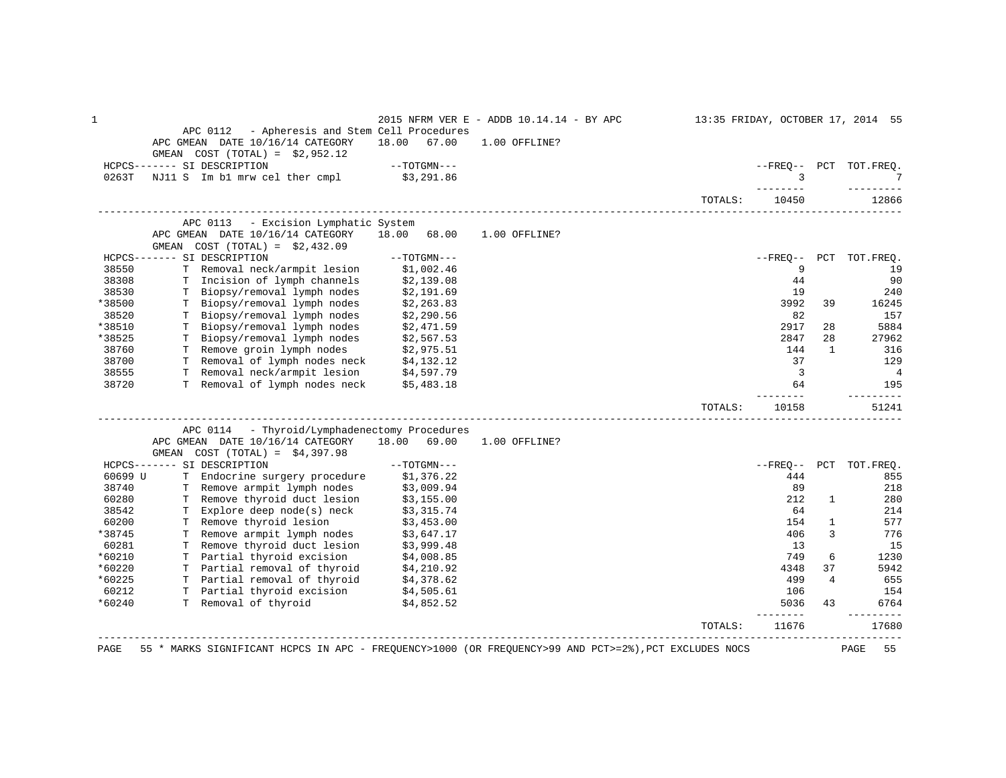| 1       | APC 0112 - Apheresis and Stem Cell Procedures<br>APC GMEAN DATE 10/16/14 CATEGORY<br>GMEAN $COST (TOTAL) = $2,952.12$   |                             | 18.00 67.00              | 2015 NFRM VER E - ADDB 10.14.14 - BY APC<br>1.00 OFFLINE?                                             |         |                       |                | 13:35 FRIDAY, OCTOBER 17, 2014 55 |
|---------|-------------------------------------------------------------------------------------------------------------------------|-----------------------------|--------------------------|-------------------------------------------------------------------------------------------------------|---------|-----------------------|----------------|-----------------------------------|
|         | HCPCS------- SI DESCRIPTION                                                                                             |                             | $--TOTGMN---$            |                                                                                                       |         |                       |                | --FREO-- PCT TOT.FREO.            |
| 0263T   | NJ11 S Im b1 mrw cel ther cmpl \$3,291.86                                                                               |                             |                          |                                                                                                       |         | $\overline{3}$        |                | $7\phantom{.0}$                   |
|         |                                                                                                                         |                             |                          |                                                                                                       | TOTALS: | -------<br>10450      |                | 12866                             |
|         | APC 0113                                                                                                                | - Excision Lymphatic System |                          |                                                                                                       |         |                       |                |                                   |
|         | APC GMEAN DATE 10/16/14 CATEGORY<br>GMEAN $COST (TOTAL) = $2,432.09$                                                    |                             | 18.00 68.00              | 1.00 OFFLINE?                                                                                         |         |                       |                |                                   |
|         | HCPCS------- SI DESCRIPTION                                                                                             |                             | $--TOTGMN---$            |                                                                                                       |         | $--$ FREO $--$        | PCT            | TOT.FREQ.                         |
| 38550   | T Removal neck/armpit lesion                                                                                            |                             | \$1,002.46               |                                                                                                       |         | 9                     |                | 19                                |
| 38308   | T Incision of lymph channels                                                                                            |                             | \$2,139.08               |                                                                                                       |         | 44                    |                | 90                                |
| 38530   | T Biopsy/removal lymph nodes                                                                                            |                             | \$2,191.69<br>\$2,263.83 |                                                                                                       |         | 19                    |                | 240                               |
| *38500  | T Biopsy/removal lymph nodes                                                                                            |                             |                          |                                                                                                       |         | 3992                  | 39             | 16245                             |
| 38520   | T Biopsy/removal lymph nodes                                                                                            |                             | \$2,290.56<br>\$2,471.59 |                                                                                                       |         | 82                    |                | 157                               |
| *38510  | T Biopsy/removal lymph nodes                                                                                            |                             |                          |                                                                                                       |         | 2917                  | 28             | 5884                              |
| *38525  | T Biopsy/removal lymph nodes<br>T Biopsy/removal lymph nodes \$2,567.53<br>T Remove groin lymph nodes \$2,975.51        |                             |                          |                                                                                                       |         | 2847                  | 28             | 27962                             |
| 38760   |                                                                                                                         |                             |                          |                                                                                                       |         | 144                   | 1              | 316                               |
| 38700   | T Removal of lymph nodes neck \$4,132.12                                                                                |                             |                          |                                                                                                       |         | 37                    |                | 129                               |
| 38555   | T Removal neck/armpit lesion \$4,597.79<br>T Removal of lymph nodes neck \$5,483.18                                     |                             |                          |                                                                                                       |         | $\overline{3}$        |                | $\overline{4}$                    |
| 38720   |                                                                                                                         |                             |                          |                                                                                                       |         | 64<br>$- - - - - -$   |                | 195<br>---------                  |
|         |                                                                                                                         |                             |                          |                                                                                                       | TOTALS: | 10158                 |                | 51241                             |
|         | APC 0114 - Thyroid/Lymphadenectomy Procedures                                                                           |                             |                          |                                                                                                       |         |                       |                |                                   |
|         | APC GMEAN DATE 10/16/14 CATEGORY 18.00 69.00<br>GMEAN $COST (TOTAL) = $4,397.98$                                        |                             |                          | 1.00 OFFLINE?                                                                                         |         |                       |                |                                   |
|         | HCPCS------- SI DESCRIPTION                                                                                             |                             | $--{\tt TOTGMN---}$      |                                                                                                       |         | $- FREQ--$            |                | PCT TOT.FREQ.                     |
| 60699 U | T Endocrine surgery procedure \$1,376.22<br>T Remove armpit lymph nodes \$3,009.94                                      |                             |                          |                                                                                                       |         | 444                   |                | 855                               |
| 38740   |                                                                                                                         |                             |                          |                                                                                                       |         | 89                    |                | 218                               |
| 60280   |                                                                                                                         |                             |                          |                                                                                                       |         | 212                   | $\mathbf{1}$   | 280                               |
| 38542   | T Remove thyroid duct lesion \$3,155.00<br>T Explore deep node(s) neck \$3,315.74<br>T Remove thyroid lesion \$3,453.00 |                             |                          |                                                                                                       |         | 64                    |                | 214                               |
| 60200   |                                                                                                                         |                             |                          |                                                                                                       |         | 154                   | $\mathbf{1}$   | 577                               |
| *38745  | T Remove armpit lymph nodes \$3,647.17<br>T Remove thyroid duct lesion \$3,999.48                                       |                             |                          |                                                                                                       |         | 406                   | 3              | 776                               |
| 60281   |                                                                                                                         |                             |                          |                                                                                                       |         | 13                    |                | 15                                |
| *60210  | T Partial thyroid excision \$4,008.85<br>T Partial removal of thyroid \$4,210.92                                        |                             |                          |                                                                                                       |         | 749                   | 6              | 1230                              |
| *60220  |                                                                                                                         |                             |                          |                                                                                                       |         | 4348                  | 37             | 5942                              |
| *60225  | T Partial removal of thyroid \$4,378.62                                                                                 |                             |                          |                                                                                                       |         | 499                   | $\overline{4}$ | 655                               |
| 60212   | T Partial thyroid excision \$4,505.61<br>T Removal of thyroid \$4,852.52                                                |                             |                          |                                                                                                       |         | 106                   |                | 154                               |
| *60240  |                                                                                                                         |                             |                          |                                                                                                       |         | 5036<br>$- - - - - -$ | 43             | 6764<br>$- - - - - -$             |
|         |                                                                                                                         |                             |                          |                                                                                                       | TOTALS: | 11676                 |                | 17680                             |
| PAGE    |                                                                                                                         |                             |                          | 55 * MARKS SIGNIFICANT HCPCS IN APC - FREQUENCY>1000 (OR FREQUENCY>99 AND PCT>=2%), PCT EXCLUDES NOCS |         |                       |                | PAGE<br>55                        |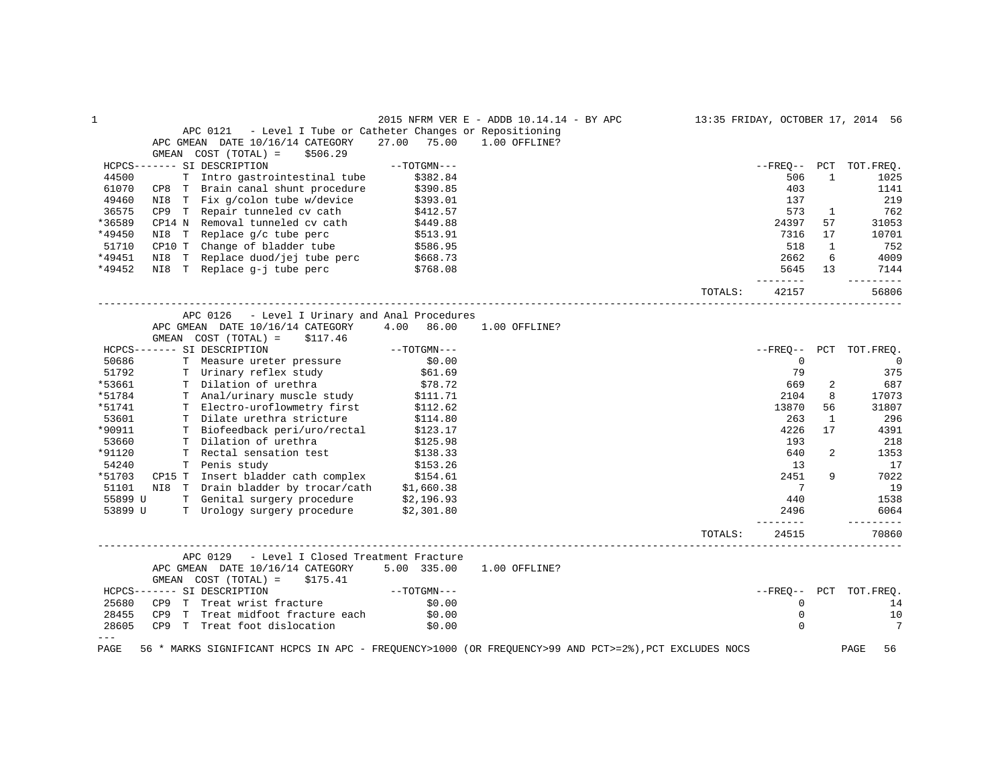| APC GMEAN DATE 10/16/14 CATEGORY 27.00 75.00<br>--TOTGMN---<br>T Intro gastrointestinal tube<br>\$382.84<br>CP8 T Brain canal shunt procedure \$390.85<br>\$393.01<br>$CP9$ T Repair tunneled cv cath $$412.57$<br>\$449.88<br>\$513.91<br>CP10 T Change of bladder tube \$586.95<br>NI8 T Replace duod/jej tube perc \$668.73<br>NI8 T Replace g-j tube perc \$768.08<br>APC 0126 - Level I Urinary and Anal Procedures<br>APC GMEAN DATE 10/16/14 CATEGORY 4.00 86.00<br>$\label{eq:1} --{\tt TOTGMN---}$<br>\$0.00 | APC 0121 - Level I Tube or Catheter Changes or Repositioning<br>1.00 OFFLINE?<br>1.00 OFFLINE?                                                                                                                                                                                                                  | TOTALS: | 506<br>403<br>137<br>573<br>24397<br>7316<br>518<br>2662<br>5645 13<br>________<br>42157 | $\mathbf{1}$<br>$\mathbf{1}$<br>57<br>17<br>1<br>6                                     | --FREO-- PCT TOT.FREO.<br>1025<br>1141<br>219<br>762<br>31053<br>10701<br>752<br>4009<br>7144<br>----------<br>56806 |
|-----------------------------------------------------------------------------------------------------------------------------------------------------------------------------------------------------------------------------------------------------------------------------------------------------------------------------------------------------------------------------------------------------------------------------------------------------------------------------------------------------------------------|-----------------------------------------------------------------------------------------------------------------------------------------------------------------------------------------------------------------------------------------------------------------------------------------------------------------|---------|------------------------------------------------------------------------------------------|----------------------------------------------------------------------------------------|----------------------------------------------------------------------------------------------------------------------|
|                                                                                                                                                                                                                                                                                                                                                                                                                                                                                                                       |                                                                                                                                                                                                                                                                                                                 |         |                                                                                          |                                                                                        |                                                                                                                      |
|                                                                                                                                                                                                                                                                                                                                                                                                                                                                                                                       |                                                                                                                                                                                                                                                                                                                 |         |                                                                                          |                                                                                        |                                                                                                                      |
|                                                                                                                                                                                                                                                                                                                                                                                                                                                                                                                       |                                                                                                                                                                                                                                                                                                                 |         |                                                                                          |                                                                                        |                                                                                                                      |
|                                                                                                                                                                                                                                                                                                                                                                                                                                                                                                                       |                                                                                                                                                                                                                                                                                                                 |         |                                                                                          |                                                                                        |                                                                                                                      |
|                                                                                                                                                                                                                                                                                                                                                                                                                                                                                                                       |                                                                                                                                                                                                                                                                                                                 |         |                                                                                          |                                                                                        |                                                                                                                      |
|                                                                                                                                                                                                                                                                                                                                                                                                                                                                                                                       |                                                                                                                                                                                                                                                                                                                 |         |                                                                                          |                                                                                        |                                                                                                                      |
|                                                                                                                                                                                                                                                                                                                                                                                                                                                                                                                       |                                                                                                                                                                                                                                                                                                                 |         |                                                                                          |                                                                                        |                                                                                                                      |
|                                                                                                                                                                                                                                                                                                                                                                                                                                                                                                                       |                                                                                                                                                                                                                                                                                                                 |         |                                                                                          |                                                                                        |                                                                                                                      |
|                                                                                                                                                                                                                                                                                                                                                                                                                                                                                                                       |                                                                                                                                                                                                                                                                                                                 |         |                                                                                          |                                                                                        |                                                                                                                      |
|                                                                                                                                                                                                                                                                                                                                                                                                                                                                                                                       |                                                                                                                                                                                                                                                                                                                 |         |                                                                                          |                                                                                        |                                                                                                                      |
|                                                                                                                                                                                                                                                                                                                                                                                                                                                                                                                       |                                                                                                                                                                                                                                                                                                                 |         |                                                                                          |                                                                                        |                                                                                                                      |
|                                                                                                                                                                                                                                                                                                                                                                                                                                                                                                                       |                                                                                                                                                                                                                                                                                                                 |         |                                                                                          |                                                                                        |                                                                                                                      |
|                                                                                                                                                                                                                                                                                                                                                                                                                                                                                                                       |                                                                                                                                                                                                                                                                                                                 |         |                                                                                          |                                                                                        |                                                                                                                      |
|                                                                                                                                                                                                                                                                                                                                                                                                                                                                                                                       |                                                                                                                                                                                                                                                                                                                 |         |                                                                                          |                                                                                        |                                                                                                                      |
|                                                                                                                                                                                                                                                                                                                                                                                                                                                                                                                       |                                                                                                                                                                                                                                                                                                                 |         |                                                                                          |                                                                                        |                                                                                                                      |
|                                                                                                                                                                                                                                                                                                                                                                                                                                                                                                                       |                                                                                                                                                                                                                                                                                                                 |         |                                                                                          |                                                                                        |                                                                                                                      |
|                                                                                                                                                                                                                                                                                                                                                                                                                                                                                                                       |                                                                                                                                                                                                                                                                                                                 |         |                                                                                          |                                                                                        |                                                                                                                      |
|                                                                                                                                                                                                                                                                                                                                                                                                                                                                                                                       |                                                                                                                                                                                                                                                                                                                 |         |                                                                                          |                                                                                        | --FREO-- PCT TOT.FREQ.                                                                                               |
|                                                                                                                                                                                                                                                                                                                                                                                                                                                                                                                       |                                                                                                                                                                                                                                                                                                                 |         |                                                                                          |                                                                                        |                                                                                                                      |
|                                                                                                                                                                                                                                                                                                                                                                                                                                                                                                                       |                                                                                                                                                                                                                                                                                                                 |         | $\overline{0}$                                                                           |                                                                                        | 0                                                                                                                    |
| \$61.69                                                                                                                                                                                                                                                                                                                                                                                                                                                                                                               |                                                                                                                                                                                                                                                                                                                 |         | 79                                                                                       |                                                                                        | 375                                                                                                                  |
| \$78.72                                                                                                                                                                                                                                                                                                                                                                                                                                                                                                               |                                                                                                                                                                                                                                                                                                                 |         | 669                                                                                      | 2                                                                                      | 687                                                                                                                  |
|                                                                                                                                                                                                                                                                                                                                                                                                                                                                                                                       |                                                                                                                                                                                                                                                                                                                 |         |                                                                                          |                                                                                        | 17073                                                                                                                |
|                                                                                                                                                                                                                                                                                                                                                                                                                                                                                                                       |                                                                                                                                                                                                                                                                                                                 |         |                                                                                          |                                                                                        | 31807                                                                                                                |
|                                                                                                                                                                                                                                                                                                                                                                                                                                                                                                                       |                                                                                                                                                                                                                                                                                                                 |         |                                                                                          |                                                                                        | 296                                                                                                                  |
|                                                                                                                                                                                                                                                                                                                                                                                                                                                                                                                       |                                                                                                                                                                                                                                                                                                                 |         |                                                                                          |                                                                                        | 4391                                                                                                                 |
|                                                                                                                                                                                                                                                                                                                                                                                                                                                                                                                       |                                                                                                                                                                                                                                                                                                                 |         |                                                                                          |                                                                                        | 218                                                                                                                  |
|                                                                                                                                                                                                                                                                                                                                                                                                                                                                                                                       |                                                                                                                                                                                                                                                                                                                 |         |                                                                                          |                                                                                        | 1353                                                                                                                 |
|                                                                                                                                                                                                                                                                                                                                                                                                                                                                                                                       |                                                                                                                                                                                                                                                                                                                 |         |                                                                                          |                                                                                        | 17                                                                                                                   |
|                                                                                                                                                                                                                                                                                                                                                                                                                                                                                                                       |                                                                                                                                                                                                                                                                                                                 |         |                                                                                          |                                                                                        | 7022                                                                                                                 |
|                                                                                                                                                                                                                                                                                                                                                                                                                                                                                                                       |                                                                                                                                                                                                                                                                                                                 |         |                                                                                          |                                                                                        | 19                                                                                                                   |
|                                                                                                                                                                                                                                                                                                                                                                                                                                                                                                                       |                                                                                                                                                                                                                                                                                                                 |         | 440                                                                                      |                                                                                        | 1538                                                                                                                 |
| T Urology surgery procedure \$2,301.80                                                                                                                                                                                                                                                                                                                                                                                                                                                                                |                                                                                                                                                                                                                                                                                                                 |         | 2496                                                                                     |                                                                                        | 6064<br>---------                                                                                                    |
|                                                                                                                                                                                                                                                                                                                                                                                                                                                                                                                       |                                                                                                                                                                                                                                                                                                                 | TOTALS: | 24515                                                                                    |                                                                                        | 70860                                                                                                                |
|                                                                                                                                                                                                                                                                                                                                                                                                                                                                                                                       | \$111.71<br>T Electro-uroflowmetry first \$112.62<br>T Dilate urethra stricture \$114.80<br>T Riofeedback peri/uro/rectal \$123.17<br>\$125.98<br>\$138.33<br>\$153.26<br>CP15 T Insert bladder cath complex 5154.61<br>NI8 T Drain bladder by trocar/cath \$1,660.38<br>T Genital surgery procedure \$2,196.93 |         |                                                                                          | 2104<br>13870<br>263<br>4226<br>193<br>640<br>13<br>2451<br>$\overline{7}$<br>-------- | 8<br>56<br>1<br>17<br>2<br>9                                                                                         |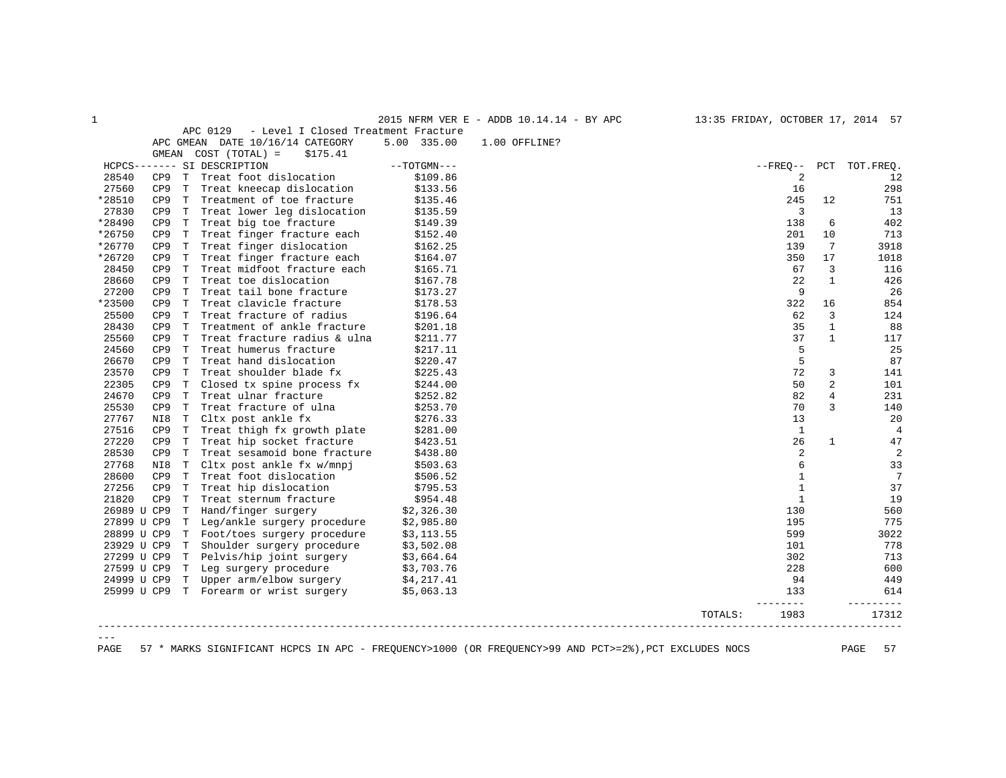1 2015 NFRM VER E - ADDB 10.14.14 - BY APC 13:35 FRIDAY, OCTOBER 17, 2014 57

APC 0129 - Level I Closed Treatment Fracture

|             |                 |             | APC GMEAN DATE 10/16/14 CATEGORY       | 5.00 335.00   | 1.00 OFFLINE? |         |                |                |                 |
|-------------|-----------------|-------------|----------------------------------------|---------------|---------------|---------|----------------|----------------|-----------------|
|             | GMEAN           |             | $COST (TOTAL) =$<br>\$175.41           |               |               |         |                |                |                 |
|             |                 |             | HCPCS------- SI DESCRIPTION            | $--TOTGMN---$ |               |         | $- FREO--$     |                | PCT TOT. FREO.  |
| 28540       | CP9             |             | T Treat foot dislocation               | \$109.86      |               |         | $\overline{2}$ |                | 12              |
| 27560       | CP <sub>9</sub> | T           | Treat kneecap dislocation              | \$133.56      |               |         | 16             |                | 298             |
| *28510      | CP9             |             | T Treatment of toe fracture            | \$135.46      |               |         | 245            | 12             | 751             |
| 27830       | CP <sub>9</sub> | T           | Treat lower leg dislocation            | \$135.59      |               |         | 3              |                | 13              |
| *28490      | CP <sub>9</sub> | T           | Treat big toe fracture                 | \$149.39      |               |         | 138            | 6              | 402             |
| *26750      | CP <sub>9</sub> | T           | Treat finger fracture each             | \$152.40      |               |         | 201            | 10             | 713             |
| *26770      | CP <sub>9</sub> | T           | Treat finger dislocation               | \$162.25      |               |         | 139            | 7              | 3918            |
| *26720      | CP <sub>9</sub> | T           | Treat finger fracture each             | \$164.07      |               |         | 350            | 17             | 1018            |
| 28450       | CP <sub>9</sub> | T           | Treat midfoot fracture each            | \$165.71      |               |         | 67             | 3              | 116             |
| 28660       | CP <sub>9</sub> | T           | Treat toe dislocation                  | \$167.78      |               |         | 22             | $\mathbf{1}$   | 426             |
| 27200       | CP <sub>9</sub> | $\mathbf T$ | Treat tail bone fracture               | \$173.27      |               |         | 9              |                | 26              |
| *23500      | CP <sub>9</sub> | T           | Treat clavicle fracture                | \$178.53      |               |         | 322            | 16             | 854             |
| 25500       | CP <sub>9</sub> | T           | Treat fracture of radius               | \$196.64      |               |         | 62             | 3              | 124             |
| 28430       | CP <sub>9</sub> | T           | Treatment of ankle fracture            | \$201.18      |               |         | 35             | $\mathbf{1}$   | 88              |
| 25560       | CP <sub>9</sub> | T           | Treat fracture radius & ulna           | \$211.77      |               |         | 37             | $\mathbf{1}$   | 117             |
| 24560       | CP <sub>9</sub> | T           | Treat humerus fracture                 | \$217.11      |               |         | 5              |                | 25              |
| 26670       | CP <sub>9</sub> | $\mathbf T$ | Treat hand dislocation                 | \$220.47      |               |         | 5              |                | 87              |
| 23570       | CP <sub>9</sub> | T           | Treat shoulder blade fx                | \$225.43      |               |         | 72             | 3              | 141             |
| 22305       | CP <sub>9</sub> | T           | Closed tx spine process fx             | \$244.00      |               |         | 50             | $\overline{2}$ | 101             |
| 24670       | CP <sub>9</sub> | T           | Treat ulnar fracture                   | \$252.82      |               |         | 82             | $\overline{4}$ | 231             |
| 25530       | CP <sub>9</sub> | T           | Treat fracture of ulna                 | \$253.70      |               |         | 70             | 3              | 140             |
| 27767       | NI8             | T           | Cltx post ankle fx                     | \$276.33      |               |         | 13             |                | 20              |
| 27516       | CP <sub>9</sub> | T           | Treat thigh fx growth plate            | \$281.00      |               |         | 1              |                | $\overline{4}$  |
| 27220       | CP <sub>9</sub> | T           | Treat hip socket fracture              | \$423.51      |               |         | 26             | $\mathbf{1}$   | 47              |
| 28530       | CP <sub>9</sub> | T           | Treat sesamoid bone fracture           | \$438.80      |               |         | $\overline{a}$ |                | 2               |
| 27768       | NI8             | T           | Cltx post ankle fx w/mnpj              | \$503.63      |               |         | 6              |                | 33              |
| 28600       | CP <sub>9</sub> | T           | Treat foot dislocation                 | \$506.52      |               |         | $\mathbf{1}$   |                | $7\phantom{.0}$ |
| 27256       | CP <sub>9</sub> | Т           | Treat hip dislocation                  | \$795.53      |               |         | 1              |                | 37              |
| 21820       | CP <sub>9</sub> | T           | Treat sternum fracture                 | \$954.48      |               |         | $\mathbf{1}$   |                | 19              |
| 26989 U CP9 |                 | T           | Hand/finger surgery                    | \$2,326.30    |               |         | 130            |                | 560             |
| 27899 U CP9 |                 |             | T Leg/ankle surgery procedure          | \$2,985.80    |               |         | 195            |                | 775             |
| 28899 U CP9 |                 |             | T Foot/toes surgery procedure          | \$3,113.55    |               |         | 599            |                | 3022            |
| 23929 U CP9 |                 | T           | Shoulder surgery procedure             | \$3,502.08    |               |         | 101            |                | 778             |
| 27299 U CP9 |                 |             | T Pelvis/hip joint surgery             | \$3,664.64    |               |         | 302            |                | 713             |
| 27599 U CP9 |                 |             | T Leg surgery procedure                | \$3,703.76    |               |         | 228            |                | 600             |
| 24999 U CP9 |                 | T.          | Upper arm/elbow surgery                | \$4,217.41    |               |         | 94             |                | 449             |
|             |                 |             | 25999 U CP9 T Forearm or wrist surgery | \$5,063.13    |               |         | 133            |                | 614             |
|             |                 |             |                                        |               |               | TOTALS: | 1983           |                | 17312           |
|             |                 |             |                                        |               |               |         |                |                |                 |
|             |                 |             |                                        |               |               |         |                |                |                 |

PAGE 57 \* MARKS SIGNIFICANT HCPCS IN APC - FREQUENCY>1000 (OR FREQUENCY>99 AND PCT>=2%),PCT EXCLUDES NOCS PAGE 57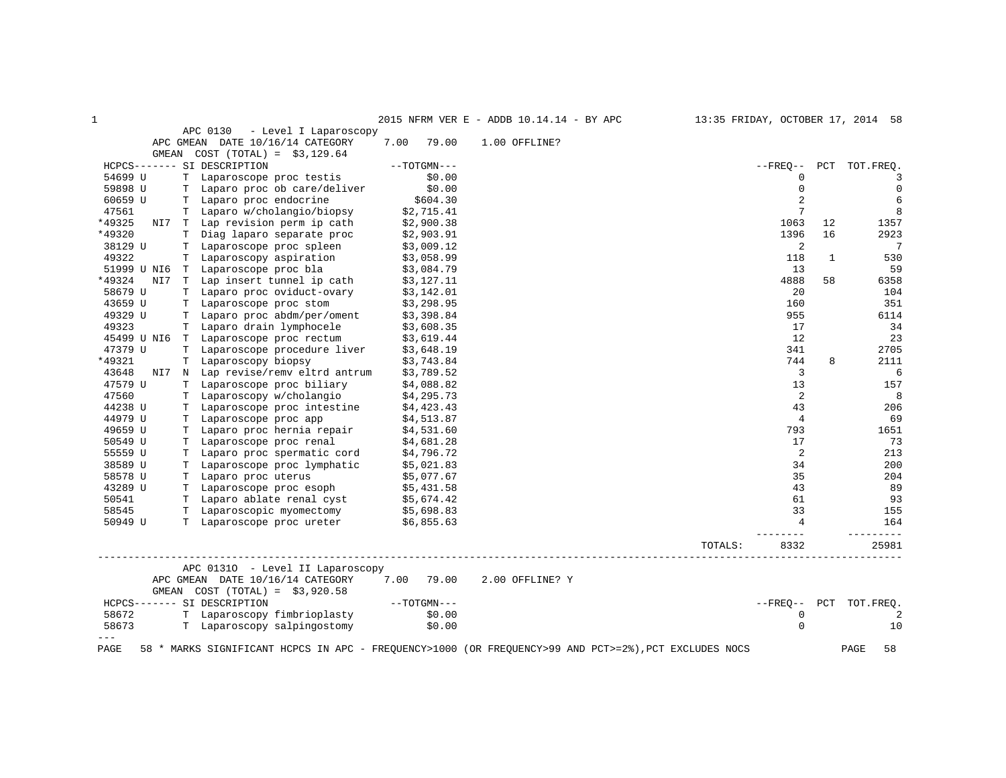| $\mathbf{1}$ |                                                                                                                                                                                                                                       |                          | 2015 NFRM VER E - ADDB 10.14.14 - BY APC | 13:35 FRIDAY, OCTOBER 17, 2014 58 |    |                        |
|--------------|---------------------------------------------------------------------------------------------------------------------------------------------------------------------------------------------------------------------------------------|--------------------------|------------------------------------------|-----------------------------------|----|------------------------|
|              | APC 0130 - Level I Laparoscopy<br>APC GMEAN DATE 10/16/14 CATEGORY                                                                                                                                                                    | 7.00 79.00               | 1.00 OFFLINE?                            |                                   |    |                        |
|              | GMEAN $COST (TOTAL) = $3,129.64$                                                                                                                                                                                                      |                          |                                          |                                   |    |                        |
|              | HCPCS------- SI DESCRIPTION                                                                                                                                                                                                           | --TOTGMN---              |                                          |                                   |    | --FREO-- PCT TOT.FREO. |
| 54699 U      | T Laparoscope proc testis                                                                                                                                                                                                             |                          |                                          | $\mathbf 0$                       |    | 3                      |
| 59898 U      |                                                                                                                                                                                                                                       |                          |                                          | $\mathbf 0$                       |    | $\overline{0}$         |
| 60659 U      | T Laparoscope proc cessis<br>T Laparo proc ob care/deliver \$0.00<br>\$604.30 \$604.30                                                                                                                                                |                          |                                          | 2                                 |    | 6                      |
| 47561        | T Laparo w/cholangio/biopsy                                                                                                                                                                                                           |                          |                                          | $\overline{7}$                    |    | 8                      |
| *49325       | NI7 T Lap revision perm ip cath                                                                                                                                                                                                       | \$2,715.41<br>\$2,900.38 |                                          | 1063                              | 12 | 1357                   |
| *49320       | T Diag laparo separate proc (32,903.91)<br>T Laparoscope proc spleen (33,009.12)<br>T Laparoscopy aspiration (33,058.99)                                                                                                              |                          |                                          | 1396                              | 16 | 2923                   |
| 38129 U      |                                                                                                                                                                                                                                       |                          |                                          | 2                                 |    | $\overline{7}$         |
| 49322        |                                                                                                                                                                                                                                       |                          |                                          | 118                               | 1  | 530                    |
|              | 51999 U NI6 T Laparoscope proc bla \$3,084.79<br>*49324 NI7 T Lap insert tunnel ip cath \$3,127.11                                                                                                                                    |                          |                                          | 13                                |    | 59                     |
|              |                                                                                                                                                                                                                                       |                          |                                          | 4888                              | 58 | 6358                   |
| 58679 U      | T Laparo proc oviduct-ovary \$3,142.01<br>T Laparoscope proc stom \$3,298.95                                                                                                                                                          |                          |                                          | 20                                |    | 104                    |
| 43659 U      |                                                                                                                                                                                                                                       | \$3,298.95               |                                          | 160                               |    | 351                    |
| 49329 U      | T Laparo proc abdm/per/oment \$3,398.84<br>T Laparo drain lymphocele \$3,608.35                                                                                                                                                       |                          |                                          | 955                               |    | 6114                   |
| 49323        |                                                                                                                                                                                                                                       |                          |                                          | 17                                |    | 34                     |
|              | 45499 U NI6 T Laparoscope proc rectum \$3,619.44                                                                                                                                                                                      |                          |                                          | 12                                |    | 23                     |
| 47379 U      | T Laparoscope procedure liver \$3,648.19<br>T Laparoscopy biopsy \$3,743.84                                                                                                                                                           |                          |                                          | 341                               |    | 2705                   |
| *49321       |                                                                                                                                                                                                                                       |                          |                                          | 744                               | 8  | 2111                   |
| 43648        | NI7 N Lap revise/remv eltrd antrum \$3,789.52                                                                                                                                                                                         |                          |                                          | $\overline{3}$                    |    | 6                      |
| 47579 U      | T Laparoscope proc biliary                                                                                                                                                                                                            | \$4,088.82               |                                          | 13                                |    | 157                    |
| 47560        | The paroscopy w/cholangio<br>The paroscopy w/cholangio<br>The paroscope proc intestine<br>The paroscope proc app 54,423.43<br>The same series and the series of the series of the series of the series of the series of the series of |                          |                                          | 2                                 |    | $_{\rm 8}$             |
| 44238 U      |                                                                                                                                                                                                                                       |                          |                                          | 43                                |    | 206                    |
| 44979 U      |                                                                                                                                                                                                                                       |                          |                                          | $\overline{4}$                    |    | 69                     |
| 49659 U      |                                                                                                                                                                                                                                       |                          |                                          | 793                               |    | 1651                   |
| 50549 U      |                                                                                                                                                                                                                                       |                          |                                          | 17                                |    | 73                     |
| 55559 U      |                                                                                                                                                                                                                                       |                          |                                          | 2                                 |    | 213                    |
| 38589 U      |                                                                                                                                                                                                                                       |                          |                                          | 34                                |    | 200                    |
| 58578 U      |                                                                                                                                                                                                                                       |                          |                                          | 35                                |    | 204                    |
| 43289 U      |                                                                                                                                                                                                                                       |                          |                                          | 43                                |    | 89                     |
| 50541        | The particle of the cord (1,96.72<br>The aparoscope proclymphatic (1,96.72<br>The particle ord (1,96.72<br>The start (1,96.72<br>The start (1,96.77.67<br>The start (1,96.74.42<br>The start (1,96.74.42)                             |                          |                                          | 61                                |    | 93                     |
| 58545        |                                                                                                                                                                                                                                       |                          |                                          | 33                                |    | 155                    |
| 50949 U      | T Laparoscopic myomectomy \$5,698.83<br>T Laparoscope proc ureter \$6,855.63                                                                                                                                                          |                          |                                          | $\overline{4}$                    |    | 164<br>------          |
|              |                                                                                                                                                                                                                                       |                          |                                          | TOTALS:<br>8332                   |    | 25981                  |
|              | APC 01310 - Level II Laparoscopy                                                                                                                                                                                                      |                          |                                          |                                   |    |                        |
|              | APC GMEAN DATE 10/16/14 CATEGORY<br>GMEAN $COST (TOTAL) = $3,920.58$                                                                                                                                                                  | 7.00 79.00               | 2.00 OFFLINE? Y                          |                                   |    |                        |
|              | HCPCS------- SI DESCRIPTION                                                                                                                                                                                                           | $--TOTGMN---$            |                                          |                                   |    | --FREQ-- PCT TOT.FREQ. |
| 58672        | T Laparoscopy fimbrioplasty<br>T Laparoscopy salpingostomy                                                                                                                                                                            | \$0.00                   |                                          | 0                                 |    | 2                      |
| 58673        |                                                                                                                                                                                                                                       | \$0.00                   |                                          | $\Omega$                          |    | 10                     |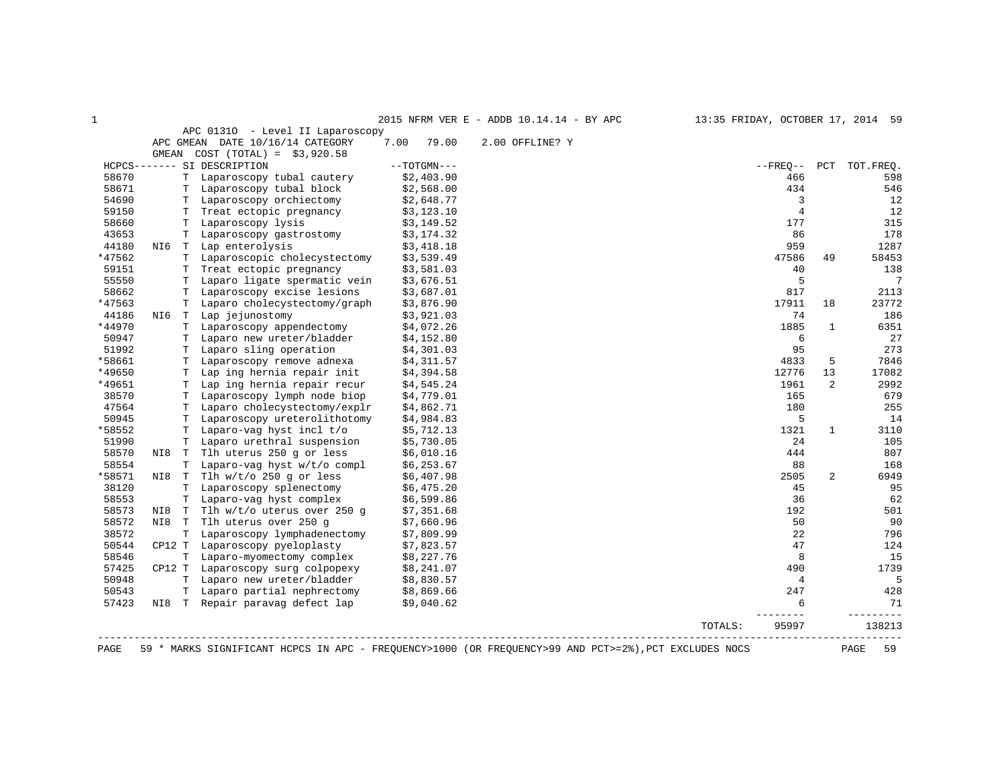| $\mathbf{1}$   |     |                                                                                                                                 |               | 2015 NFRM VER E - ADDB 10.14.14 - BY APC | 13:35 FRIDAY, OCTOBER 17, 2014 59 |                |                |                        |
|----------------|-----|---------------------------------------------------------------------------------------------------------------------------------|---------------|------------------------------------------|-----------------------------------|----------------|----------------|------------------------|
|                |     | APC 01310 - Level II Laparoscopy<br>APC GMEAN DATE 10/16/14 CATEGORY                                                            | 7.00 79.00    | 2.00 OFFLINE? Y                          |                                   |                |                |                        |
|                |     | GMEAN $COST (TOTAL) = $3,920.58$                                                                                                |               |                                          |                                   |                |                |                        |
|                |     | HCPCS------- SI DESCRIPTION                                                                                                     | $--TOTGMN---$ |                                          |                                   |                |                | --FREO-- PCT TOT.FREO. |
| 58670          |     | T Laparoscopy tubal cautery                                                                                                     | \$2,403.90    |                                          |                                   | 466            |                | 598                    |
| 58671          |     | T Laparoscopy tubal block                                                                                                       | \$2,568.00    |                                          |                                   | 434            |                | 546                    |
| 54690          |     | T Laparoscopy cubal block (2,500.00)<br>T Laparoscopy orchiectomy (2,648.77                                                     |               |                                          |                                   | $\mathbf{3}$   |                | 12                     |
| 59150          |     | T Treat ectopic pregnancy $$3,123.10$<br>T Laparoscopy lysis $$3,149.52$                                                        |               |                                          |                                   | $\overline{4}$ |                | 12                     |
| 58660          |     |                                                                                                                                 |               |                                          |                                   | 177            |                | 315                    |
| 43653          |     | T Laparoscopy gastrostomy \$3,174.32                                                                                            |               |                                          |                                   | 86             |                | 178                    |
| 44180          |     | NI6 T Lap enterolysis                                                                                                           | \$3,418.18    |                                          |                                   | 959            |                | 1287                   |
| *47562         |     | T Laparoscopic cholecystectomy \$3,539.49                                                                                       |               |                                          |                                   | 47586          | 49             | 58453                  |
| 59151          |     | T Treat ectopic pregnancy \$3,581.03<br>T Laparo ligate spermatic vein \$3,676.51                                               |               |                                          |                                   | 40             |                | 138                    |
| 55550          |     |                                                                                                                                 |               |                                          |                                   | 5              |                | $7\phantom{.0}$        |
| 58662          |     | T Laparoscopy excise lesions \$3,687.01<br>T Laparo cholecystectomy/graph \$3,876.90                                            |               |                                          |                                   | 817            |                | 2113                   |
| *47563         |     |                                                                                                                                 |               |                                          |                                   | 17911          | 18             | 23772                  |
| 44186          |     | NI6 T Lap jejunostomy                                                                                                           | \$3,921.03    |                                          |                                   | 74             |                | 186                    |
| *44970         |     | T Laparoscopy appendectomy                                                                                                      | \$4,072.26    |                                          |                                   | 1885           | $\mathbf{1}$   | 6351                   |
| 50947<br>51992 |     | T Laparo new ureter/bladder \$4,152.80                                                                                          |               |                                          |                                   | 6<br>95        |                | 27<br>273              |
| *58661         |     | T Laparo sling operation<br>T Laparoscopy remove adnexa \$4,311.57                                                              | \$4,301.03    |                                          |                                   |                |                |                        |
| *49650         |     | T Laparoscopy remove additional control \$4,394.58<br>T Lap ing hernia repair init \$4,545.24                                   |               |                                          |                                   | 4833<br>12776  | 5<br>13        | 7846<br>17082          |
| *49651         |     |                                                                                                                                 |               |                                          |                                   | 1961           | $\overline{2}$ | 2992                   |
| 38570          |     | T Laparoscopy lymph node biop                                                                                                   | \$4,779.01    |                                          |                                   | 165            |                | 679                    |
| 47564          |     | T Laparo cholecystectomy/explr                                                                                                  | \$4,862.71    |                                          |                                   | 180            |                | 255                    |
| 50945          |     | T Laparoscopy ureterolithotomy                                                                                                  | \$4,984.83    |                                          |                                   | 5              |                | 14                     |
| *58552         |     | T Laparo-vag hyst incl t/o                                                                                                      | \$5,712.13    |                                          |                                   | 1321           | 1              | 3110                   |
| 51990          |     | T Laparo urethral suspension \$5,730.05                                                                                         |               |                                          |                                   | 24             |                | 105                    |
| 58570          |     |                                                                                                                                 |               |                                          |                                   | 444            |                | 807                    |
| 58554          |     | NI8 T Tlh uterus 250 g or less \$6,010.16<br>T Laparo-vag hyst w/t/o compl \$6,253.67                                           |               |                                          |                                   | 88             |                | 168                    |
| *58571         |     | NI8 T Tlh w/t/o 250 g or less                                                                                                   | \$6,407.98    |                                          |                                   | 2505           | $\overline{a}$ | 6949                   |
| 38120          |     | T Laparoscopy splenectomy                                                                                                       | \$6,475.20    |                                          |                                   | 45             |                | 95                     |
| 58553          |     | T Laparo-vag hyst complex \$6,599.86                                                                                            |               |                                          |                                   | 36             |                | 62                     |
| 58573          | NI8 | T Tlh w/t/o uterus over 250 g                                                                                                   | \$7,351.68    |                                          |                                   | 192            |                | 501                    |
| 58572          |     | NI8 T Tlh uterus over 250 q                                                                                                     | \$7,660.96    |                                          |                                   | 50             |                | 90                     |
| 38572          |     | T Laparoscopy lymphadenectomy \$7,809.99<br>CP12 T Laparoscopy pyeloplasty \$7,823.57                                           |               |                                          |                                   | 22             |                | 796                    |
| 50544          |     |                                                                                                                                 |               |                                          |                                   | 47             |                | 124                    |
| 58546          |     | T Laparo-myomectomy complex \$8,227.76<br>CP12 T Laparoscopy surg colpopexy \$8,241.07                                          |               |                                          |                                   | 8              |                | 15                     |
| 57425          |     |                                                                                                                                 |               |                                          |                                   | 490            |                | 1739                   |
| 50948          |     | T Laparo new ureter/bladder \$8,830.57<br>T Laparo partial nephrectomy \$8,869.66<br>NI8 T Repair paravag defect lap \$9,040.62 |               |                                          |                                   | $\overline{4}$ |                | 5                      |
| 50543          |     |                                                                                                                                 |               |                                          |                                   | 247            |                | 428                    |
| 57423          |     |                                                                                                                                 |               |                                          |                                   | 6<br>------    |                | 71<br>.                |
|                |     |                                                                                                                                 |               |                                          | TOTALS:                           | 95997          |                | 138213                 |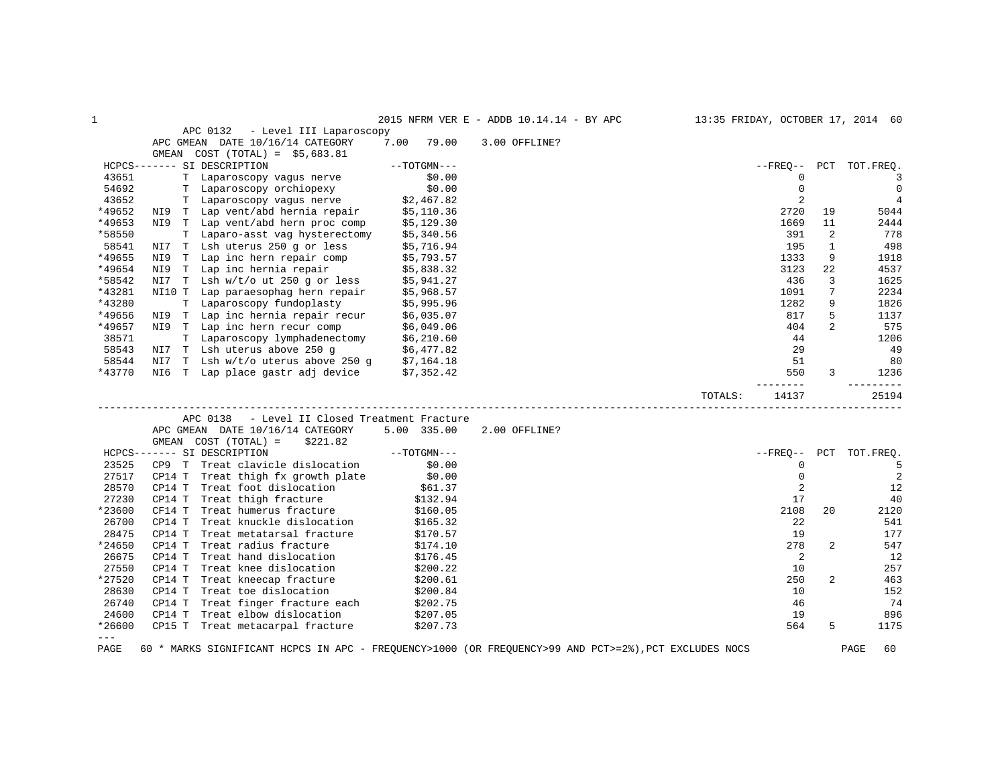| 1                                                                                                                                                                                                                                                                                                                                                                                            |        |                                                                                                                                 |                       | 2015 NFRM VER E - ADDB 10.14.14 - BY APC                                                              | 13:35 FRIDAY, OCTOBER 17, 2014 60 |                |                |
|----------------------------------------------------------------------------------------------------------------------------------------------------------------------------------------------------------------------------------------------------------------------------------------------------------------------------------------------------------------------------------------------|--------|---------------------------------------------------------------------------------------------------------------------------------|-----------------------|-------------------------------------------------------------------------------------------------------|-----------------------------------|----------------|----------------|
|                                                                                                                                                                                                                                                                                                                                                                                              |        | APC 0132<br>- Level III Laparoscopy                                                                                             |                       |                                                                                                       |                                   |                |                |
|                                                                                                                                                                                                                                                                                                                                                                                              |        | APC GMEAN DATE 10/16/14 CATEGORY                                                                                                | 7.00 79.00            | 3.00 OFFLINE?                                                                                         |                                   |                |                |
|                                                                                                                                                                                                                                                                                                                                                                                              |        | GMEAN $COST (TOTAL) = $5,683.81$                                                                                                |                       |                                                                                                       |                                   |                |                |
|                                                                                                                                                                                                                                                                                                                                                                                              |        | HCPCS------- SI DESCRIPTION                                                                                                     | --TOTGMN---           |                                                                                                       | $- FREO--$                        |                | PCT TOT.FREO.  |
| 43651                                                                                                                                                                                                                                                                                                                                                                                        |        | T Laparoscopy vagus nerve                                                                                                       | \$0.00                |                                                                                                       |                                   | 0              | 3              |
| 54692                                                                                                                                                                                                                                                                                                                                                                                        |        | T Laparoscopy orchiopexy<br>T Laparoscopy vagus nerve                                                                           | \$0.00                |                                                                                                       | $\mathbf 0$                       |                | $\overline{0}$ |
| 43652                                                                                                                                                                                                                                                                                                                                                                                        |        |                                                                                                                                 | $$0.00$<br>\$2,467.82 |                                                                                                       | 2                                 |                | $\overline{4}$ |
| *49652                                                                                                                                                                                                                                                                                                                                                                                       |        | NI9 T Lap vent/abd hernia repair \$5,110.36                                                                                     |                       |                                                                                                       | 2720                              | 19             | 5044           |
| *49653                                                                                                                                                                                                                                                                                                                                                                                       |        | NI9 T Lap vent/abd hern proc comp \$5,129.30                                                                                    |                       |                                                                                                       | 1669                              | 11             | 2444           |
| *58550                                                                                                                                                                                                                                                                                                                                                                                       |        | T Laparo-asst vag hysterectomy \$5,340.56                                                                                       |                       |                                                                                                       | 391                               | 2              | 778            |
| 58541                                                                                                                                                                                                                                                                                                                                                                                        |        | NI7 T Lsh uterus 250 g or less \$5,716.94<br>NI9 T Lap inc hern repair comp \$5,793.57                                          |                       |                                                                                                       | 195                               | 1              | 498            |
| *49655                                                                                                                                                                                                                                                                                                                                                                                       |        |                                                                                                                                 |                       |                                                                                                       | 1333                              | 9              | 1918           |
| *49654                                                                                                                                                                                                                                                                                                                                                                                       |        | NI9 T Lap inc hernia repair \$5,838.32<br>NI7 T Lsh w/t/out 250 g or less \$5,941.27                                            |                       |                                                                                                       | 3123                              | 22             | 4537           |
| *58542                                                                                                                                                                                                                                                                                                                                                                                       |        |                                                                                                                                 |                       |                                                                                                       | 436                               | 3              | 1625           |
| *43281                                                                                                                                                                                                                                                                                                                                                                                       |        | NI10 T Lap paraesophag hern repair \$5,968.57                                                                                   |                       |                                                                                                       | 1091                              | 7              | 2234           |
| *43280                                                                                                                                                                                                                                                                                                                                                                                       |        | T Laparoscopy fundoplasty \$5,995.96<br>NI9 T Lap inc hernia repair recur \$6,035.07                                            |                       |                                                                                                       | 1282                              | 9              | 1826           |
| *49656                                                                                                                                                                                                                                                                                                                                                                                       |        |                                                                                                                                 |                       |                                                                                                       | 817                               | 5              | 1137           |
| *49657                                                                                                                                                                                                                                                                                                                                                                                       |        | NI9 T Lap inc hern recur comp \$6,049.06<br>T Laparoscopy lymphadenectomy \$6,210.60<br>NI7 T Lsh uterus above 250 g \$6,477.82 |                       |                                                                                                       | 404                               | $\overline{2}$ | 575            |
| 38571                                                                                                                                                                                                                                                                                                                                                                                        |        |                                                                                                                                 |                       |                                                                                                       | 44                                |                | 1206           |
| 58543                                                                                                                                                                                                                                                                                                                                                                                        |        |                                                                                                                                 |                       |                                                                                                       | 29                                |                | 49             |
| 58544                                                                                                                                                                                                                                                                                                                                                                                        |        | NI7 T Lsh w/t/o uterus above 250 g \$7,164.18                                                                                   |                       |                                                                                                       | 51                                |                | 80             |
| *43770                                                                                                                                                                                                                                                                                                                                                                                       |        | NI6 T Lap place gastr adj device \$7,352.42                                                                                     |                       |                                                                                                       | 550<br>--------                   | 3              | 1236           |
|                                                                                                                                                                                                                                                                                                                                                                                              |        |                                                                                                                                 |                       |                                                                                                       | TOTALS:<br>14137                  |                | 25194          |
|                                                                                                                                                                                                                                                                                                                                                                                              |        | - Level II Closed Treatment Fracture<br>APC 0138                                                                                |                       |                                                                                                       |                                   |                |                |
|                                                                                                                                                                                                                                                                                                                                                                                              |        | APC GMEAN DATE 10/16/14 CATEGORY 5.00 335.00                                                                                    |                       | 2.00 OFFLINE?                                                                                         |                                   |                |                |
|                                                                                                                                                                                                                                                                                                                                                                                              |        | GMEAN $COST (TOTAL) = $221.82$                                                                                                  |                       |                                                                                                       |                                   |                |                |
|                                                                                                                                                                                                                                                                                                                                                                                              |        | HCPCS------- SI DESCRIPTION                                                                                                     | $--TOTGMN---$         |                                                                                                       | --FRE0--                          |                | PCT TOT. FREQ. |
| 23525                                                                                                                                                                                                                                                                                                                                                                                        |        | CP9 T Treat clavicle dislocation                                                                                                |                       |                                                                                                       | $\mathbf 0$                       |                | 5              |
| 27517                                                                                                                                                                                                                                                                                                                                                                                        |        | CP9 T Treat clavicie distribute:<br>CP14 T Treat thigh fx growth plate \$0.00<br>561.37                                         |                       |                                                                                                       | $\mathbf 0$                       |                | $\overline{2}$ |
| 28570                                                                                                                                                                                                                                                                                                                                                                                        |        |                                                                                                                                 |                       |                                                                                                       | 2                                 |                | 12             |
| 27230                                                                                                                                                                                                                                                                                                                                                                                        | CP14 T | Treat thigh fracture                                                                                                            |                       |                                                                                                       | 17                                |                | 40             |
| *23600                                                                                                                                                                                                                                                                                                                                                                                       | CF14 T | Treat humerus fracture                                                                                                          | \$132.94<br>\$160.05  |                                                                                                       | 2108                              | 20             | 2120           |
| 26700                                                                                                                                                                                                                                                                                                                                                                                        | CP14 T | Treat knuckle dislocation \$165.32                                                                                              |                       |                                                                                                       | 22                                |                | 541            |
| 28475                                                                                                                                                                                                                                                                                                                                                                                        | CP14 T |                                                                                                                                 | \$170.57              |                                                                                                       | 19                                |                | 177            |
| *24650                                                                                                                                                                                                                                                                                                                                                                                       | CP14 T | Treat metatarsal fracture<br>Treat radius fracture                                                                              | \$174.10              |                                                                                                       | 278                               | 2              | 547            |
| 26675                                                                                                                                                                                                                                                                                                                                                                                        | CP14 T | Treat hand dislocation                                                                                                          | \$176.45              |                                                                                                       |                                   | 2              | 12             |
| 27550                                                                                                                                                                                                                                                                                                                                                                                        | CP14 T | Treat knee dislocation                                                                                                          | \$200.22              |                                                                                                       | 10                                |                | 257            |
| *27520                                                                                                                                                                                                                                                                                                                                                                                       | CP14 T | Treat kneecap fracture                                                                                                          | \$200.61              |                                                                                                       | 250                               | 2              | 463            |
| 28630                                                                                                                                                                                                                                                                                                                                                                                        | CP14 T | Treat toe dislocation                                                                                                           | \$200.84              |                                                                                                       | 10                                |                | 152            |
| 26740                                                                                                                                                                                                                                                                                                                                                                                        |        | CP14 T Treat finger fracture each                                                                                               | \$202.75              |                                                                                                       | 46                                |                | 74             |
| 24600                                                                                                                                                                                                                                                                                                                                                                                        | CP14 T | Treat elbow dislocation                                                                                                         | \$207.05              |                                                                                                       | 19                                |                | 896            |
| *26600                                                                                                                                                                                                                                                                                                                                                                                       |        | CP15 T Treat metacarpal fracture                                                                                                | \$207.73              |                                                                                                       | 564                               | 5              | 1175           |
| $\frac{1}{2} \frac{1}{2} \frac{1}{2} \frac{1}{2} \frac{1}{2} \frac{1}{2} \frac{1}{2} \frac{1}{2} \frac{1}{2} \frac{1}{2} \frac{1}{2} \frac{1}{2} \frac{1}{2} \frac{1}{2} \frac{1}{2} \frac{1}{2} \frac{1}{2} \frac{1}{2} \frac{1}{2} \frac{1}{2} \frac{1}{2} \frac{1}{2} \frac{1}{2} \frac{1}{2} \frac{1}{2} \frac{1}{2} \frac{1}{2} \frac{1}{2} \frac{1}{2} \frac{1}{2} \frac{1}{2} \frac{$ |        |                                                                                                                                 |                       |                                                                                                       |                                   |                |                |
| PAGE                                                                                                                                                                                                                                                                                                                                                                                         |        |                                                                                                                                 |                       | 60 * MARKS SIGNIFICANT HCPCS IN APC - FREQUENCY>1000 (OR FREQUENCY>99 AND PCT>=2%), PCT EXCLUDES NOCS |                                   |                | 60<br>PAGE     |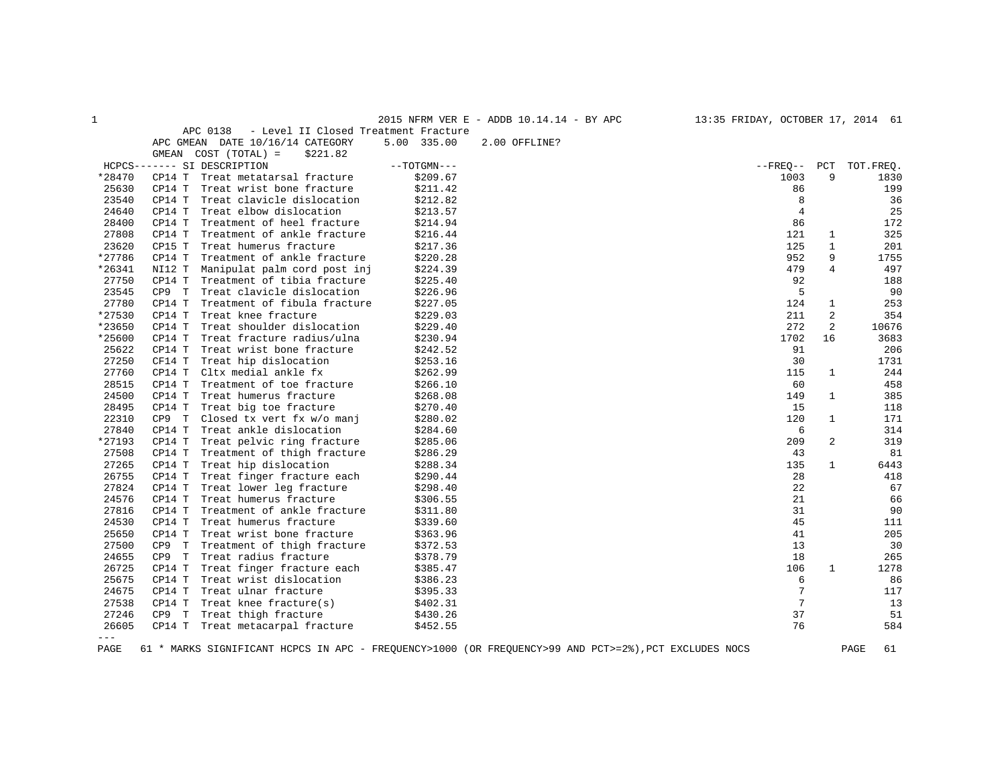| . . |
|-----|
| . . |
|     |

1 2015 NFRM VER E - ADDB 10.14.14 - BY APC 13:35 FRIDAY, OCTOBER 17, 2014 61

APC 0138 - Level II Closed Treatment Fracture

|         |          | APC GMEAN DATE 10/16/14 CATEGORY | 5.00 335.00   | 2.00 OFFLINE? |                    |                |            |
|---------|----------|----------------------------------|---------------|---------------|--------------------|----------------|------------|
|         | GMEAN    | $COST (TOTAL) =$<br>\$221.82     |               |               |                    |                |            |
|         |          | HCPCS------- SI DESCRIPTION      | $--TOTGMN---$ |               | $--$ FREQ $--$ PCT |                | TOT. FREQ. |
| *28470  | CP14 T   | Treat metatarsal fracture        | \$209.67      |               | 1003               | 9              | 1830       |
| 25630   | CP14 T   | Treat wrist bone fracture        | \$211.42      |               | 86                 |                | 199        |
| 23540   | CP14 T   | Treat clavicle dislocation       | \$212.82      |               | 8                  |                | 36         |
| 24640   | CP14 T   | Treat elbow dislocation          | \$213.57      |               | $\overline{4}$     |                | 25         |
| 28400   | CP14 T   | Treatment of heel fracture       | \$214.94      |               | 86                 |                | 172        |
| 27808   | CP14 T   | Treatment of ankle fracture      | \$216.44      |               | 121                | 1              | 325        |
| 23620   | CP15 T   | Treat humerus fracture           | \$217.36      |               | 125                | $\mathbf{1}$   | 201        |
| *27786  | CP14 T   | Treatment of ankle fracture      | \$220.28      |               | 952                | 9              | 1755       |
| *26341  | NI12 T   | Manipulat palm cord post inj     | \$224.39      |               | 479                | 4              | 497        |
| 27750   | CP14 T   | Treatment of tibia fracture      | \$225.40      |               | 92                 |                | 188        |
| 23545   | CP9 T    | Treat clavicle dislocation       | \$226.96      |               | 5                  |                | 90         |
| 27780   | CP14 T   | Treatment of fibula fracture     | \$227.05      |               | 124                | $\mathbf{1}$   | 253        |
| *27530  | CP14 T   | Treat knee fracture              | \$229.03      |               | 211                | 2              | 354        |
| *23650  | CP14 T   | Treat shoulder dislocation       | \$229.40      |               | 272                | 2              | 10676      |
| *25600  | CP14 T   | Treat fracture radius/ulna       | \$230.94      |               | 1702               | 16             | 3683       |
| 25622   | CP14 T   | Treat wrist bone fracture        | \$242.52      |               | 91                 |                | 206        |
| 27250   | CF14 T   | Treat hip dislocation            | \$253.16      |               | 30                 |                | 1731       |
| 27760   | CP14 T   | Cltx medial ankle fx             | \$262.99      |               | 115                | $\mathbf{1}$   | 244        |
| 28515   | CP14 T   | Treatment of toe fracture        | \$266.10      |               | 60                 |                | 458        |
| 24500   | CP14 T   | Treat humerus fracture           | \$268.08      |               | 149                | $\mathbf{1}$   | 385        |
| 28495   | CP14 T   | Treat big toe fracture           | \$270.40      |               | 15                 |                | 118        |
| 22310   | CP9 T    | Closed tx vert fx w/o manj       | \$280.02      |               | 120                | $\mathbf{1}$   | 171        |
| 27840   | CP14 T   | Treat ankle dislocation          | \$284.60      |               | 6                  |                | 314        |
| *27193  | CP14 T   | Treat pelvic ring fracture       | \$285.06      |               | 209                | $\overline{a}$ | 319        |
| 27508   | CP14 T   | Treatment of thigh fracture      | \$286.29      |               | 43                 |                | 81         |
| 27265   | CP14 T   | Treat hip dislocation            | \$288.34      |               | 135                | $\mathbf{1}$   | 6443       |
| 26755   | CP14 T   | Treat finger fracture each       | \$290.44      |               | 28                 |                | 418        |
| 27824   | CP14 T   | Treat lower leg fracture         | \$298.40      |               | 22                 |                | 67         |
| 24576   | CP14 T   | Treat humerus fracture           | \$306.55      |               | 21                 |                | 66         |
| 27816   | CP14 T   | Treatment of ankle fracture      | \$311.80      |               | 31                 |                | 90         |
| 24530   | CP14 T   | Treat humerus fracture           | \$339.60      |               | 45                 |                | 111        |
| 25650   | CP14 T   | Treat wrist bone fracture        | \$363.96      |               | 41                 |                | 205        |
| 27500   | CP9<br>T | Treatment of thigh fracture      | \$372.53      |               | 13                 |                | 30         |
| 24655   | CP9 T    | Treat radius fracture            | \$378.79      |               | 18                 |                | 265        |
| 26725   | CP14 T   | Treat finger fracture each       | \$385.47      |               | 106                | $\mathbf{1}$   | 1278       |
| 25675   | CP14 T   | Treat wrist dislocation          | \$386.23      |               | 6                  |                | 86         |
| 24675   | CP14 T   | Treat ulnar fracture             | \$395.33      |               | 7                  |                | 117        |
| 27538   | CP14 T   | Treat knee fracture(s)           | \$402.31      |               | $7\phantom{.0}$    |                | 13         |
| 27246   | CP9 T    | Treat thigh fracture             | \$430.26      |               | 37                 |                | 51         |
| 26605   | CP14 T   | Treat metacarpal fracture        | \$452.55      |               | 76                 |                | 584        |
| $= - -$ |          |                                  |               |               |                    |                |            |

PAGE 61 \* MARKS SIGNIFICANT HCPCS IN APC - FREQUENCY>1000 (OR FREQUENCY>99 AND PCT>=2%),PCT EXCLUDES NOCS PAGE 61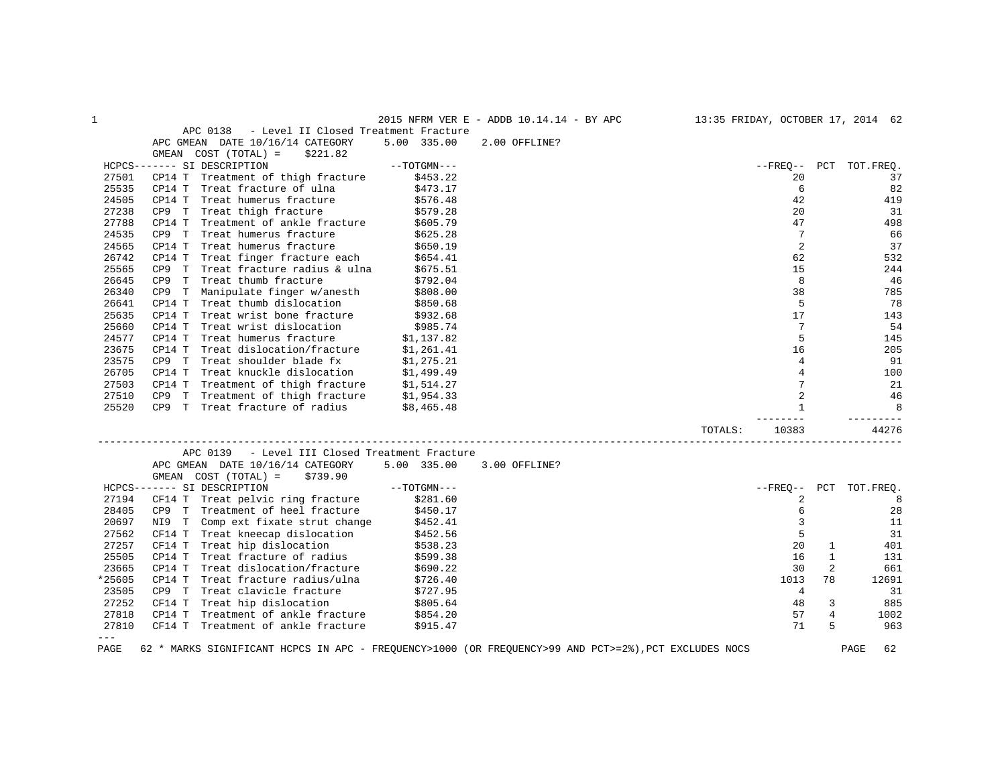| 1      |                                                                                                       |               | 2015 NFRM VER E - ADDB 10.14.14 - BY APC |         |                |              | 13:35 FRIDAY, OCTOBER 17, 2014 62 |
|--------|-------------------------------------------------------------------------------------------------------|---------------|------------------------------------------|---------|----------------|--------------|-----------------------------------|
|        | APC 0138<br>- Level II Closed Treatment Fracture                                                      |               |                                          |         |                |              |                                   |
|        | APC GMEAN DATE 10/16/14 CATEGORY                                                                      | 5.00 335.00   | 2.00 OFFLINE?                            |         |                |              |                                   |
|        | GMEAN COST (TOTAL) =<br>\$221.82                                                                      |               |                                          |         |                |              |                                   |
|        | HCPCS------- SI DESCRIPTION                                                                           | $--TOTGMN---$ |                                          |         | $- FREQ--$     |              | PCT TOT.FREQ.                     |
| 27501  | CP14 T Treatment of thigh fracture                                                                    | \$453.22      |                                          |         | 20             |              | 37                                |
| 25535  | CP14 T Treat fracture of ulna                                                                         | \$473.17      |                                          |         | 6              |              | 82                                |
| 24505  | CP14 T Treat humerus fracture                                                                         | \$576.48      |                                          |         | 42             |              | 419                               |
| 27238  | Treat thigh fracture<br>CP9 T                                                                         | \$579.28      |                                          |         | 20             |              | 31                                |
| 27788  | Treatment of ankle fracture<br>CP14 T                                                                 | \$605.79      |                                          |         | 47             |              | 498                               |
| 24535  | CP9 T<br>Treat humerus fracture                                                                       | \$625.28      |                                          |         | 7              |              | 66                                |
| 24565  | Treat humerus fracture<br>CP14 T                                                                      | \$650.19      |                                          |         | 2              |              | 37                                |
| 26742  | CP14 T Treat finger fracture each                                                                     | \$654.41      |                                          |         | 62             |              | 532                               |
| 25565  | CP9 T<br>Treat fracture radius & ulna                                                                 | \$675.51      |                                          |         | 15             |              | 244                               |
| 26645  | CP9 T<br>Treat thumb fracture                                                                         | \$792.04      |                                          |         | 8              |              | 46                                |
| 26340  | Manipulate finger w/anesth<br>CP9 T                                                                   | \$808.00      |                                          |         | 38             |              | 785                               |
| 26641  | CP14 T<br>Treat thumb dislocation                                                                     | \$850.68      |                                          |         | 5              |              | 78                                |
| 25635  | CP14 T Treat wrist bone fracture                                                                      | \$932.68      |                                          |         | 17             |              | 143                               |
| 25660  | CP14 T Treat wrist dislocation                                                                        | \$985.74      |                                          |         | 7              |              | 54                                |
| 24577  | CP14 T<br>Treat humerus fracture                                                                      | \$1,137.82    |                                          |         | 5              |              | 145                               |
| 23675  | CP14 T Treat dislocation/fracture                                                                     | \$1,261.41    |                                          |         | 16             |              | 205                               |
| 23575  | CP9 T Treat shoulder blade fx                                                                         | \$1,275.21    |                                          |         | $\overline{4}$ |              | 91                                |
| 26705  | Treat knuckle dislocation \$1,499.49<br>CP14 T                                                        |               |                                          |         | $\overline{4}$ |              | 100                               |
| 27503  |                                                                                                       |               |                                          |         | 7              |              | 21                                |
| 27510  | CP14 T Treatment of thigh fracture $$1,514.27$<br>CP9 T Treatment of thigh fracture $$1,954.33$       |               |                                          |         | 2              |              | 46                                |
| 25520  | CP9 T Treat fracture of radius                                                                        | \$8,465.48    |                                          |         | $\mathbf{1}$   |              | 8                                 |
|        |                                                                                                       |               |                                          |         |                |              | -------                           |
|        |                                                                                                       |               |                                          | TOTALS: | 10383          |              | 44276                             |
|        |                                                                                                       |               |                                          |         |                |              |                                   |
|        | - Level III Closed Treatment Fracture<br>APC 0139                                                     |               |                                          |         |                |              |                                   |
|        | APC GMEAN DATE 10/16/14 CATEGORY                                                                      | 5.00 335.00   | 3.00 OFFLINE?                            |         |                |              |                                   |
|        | GMEAN COST (TOTAL) =<br>\$739.90                                                                      |               |                                          |         |                |              |                                   |
|        | HCPCS------- SI DESCRIPTION                                                                           | $--TOTGMN---$ |                                          |         | $--$ FREO $--$ |              | PCT TOT. FREO.                    |
| 27194  | --- SI DESCRIPTION --<br>CF14 T Treat pelvic ring fracture                                            | \$281.60      |                                          |         | 2              |              | 8                                 |
| 28405  | CP9 T Treatment of heel fracture                                                                      | \$450.17      |                                          |         | 6              |              | 28                                |
| 20697  | NI9 T Comp ext fixate strut change                                                                    | \$452.41      |                                          |         | 3              |              | 11                                |
| 27562  | CF14 T Treat kneecap dislocation                                                                      | \$452.56      |                                          |         | 5              |              | 31                                |
| 27257  | CF14 T Treat hip dislocation                                                                          | \$538.23      |                                          |         | 20             | $\mathbf{1}$ | 401                               |
| 25505  | CP14 T Treat fracture of radius                                                                       | \$599.38      |                                          |         | 16             | $\mathbf{1}$ | 131                               |
| 23665  | CP14 T Treat dislocation/fracture                                                                     | \$690.22      |                                          |         | 30             | 2            | 661                               |
| *25605 | CP14 T Treat fracture radius/ulna                                                                     | \$726.40      |                                          |         | 1013           | 78           | 12691                             |
| 23505  | CP9 T Treat clavicle fracture                                                                         | \$727.95      |                                          |         | $\overline{4}$ |              | 31                                |
| 27252  | CF14 T Treat hip dislocation                                                                          | \$805.64      |                                          |         | 48             | 3            | 885                               |
| 27818  | CP14 T Treatment of ankle fracture                                                                    | \$854.20      |                                          |         | 57             | 4            | 1002                              |
| 27810  | CF14 T Treatment of ankle fracture                                                                    | \$915.47      |                                          |         | 71             | 5            | 963                               |
| $---$  |                                                                                                       |               |                                          |         |                |              |                                   |
| PAGE   | 62 * MARKS SIGNIFICANT HCPCS IN APC - FREOUENCY>1000 (OR FREOUENCY>99 AND PCT>=2%), PCT EXCLUDES NOCS |               |                                          |         |                |              | PAGE<br>62                        |
|        |                                                                                                       |               |                                          |         |                |              |                                   |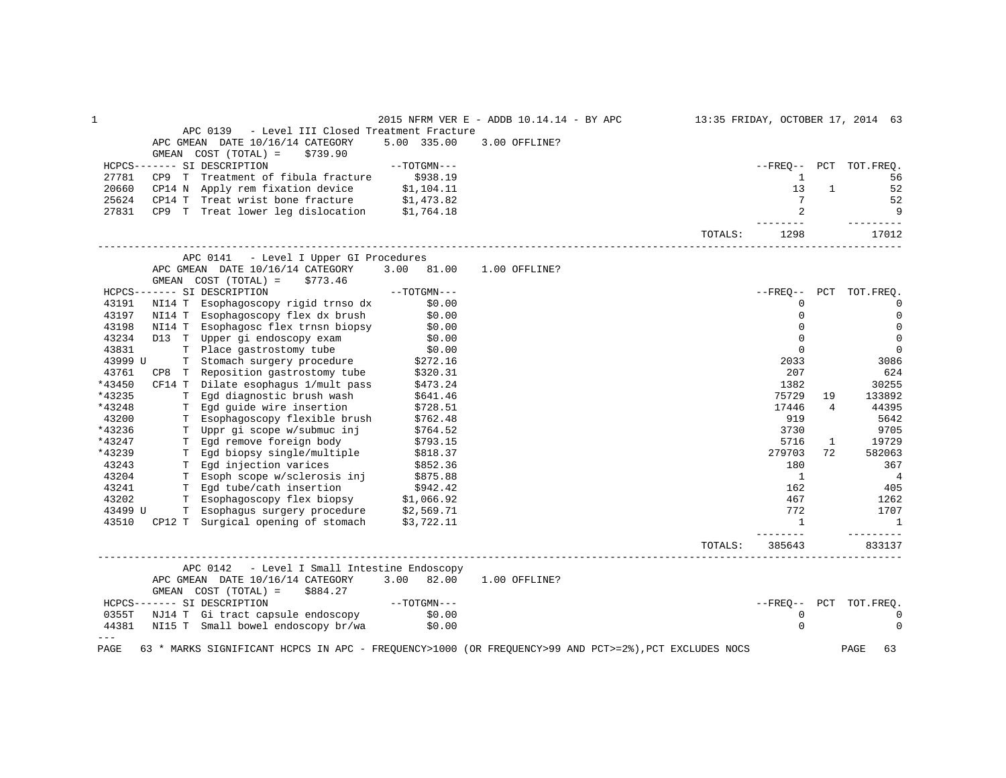| $\mathbf 1$    |                                                                                                                                            |                  | 2015 NFRM VER E - ADDB 10.14.14 - BY APC                                                              | 13:35 FRIDAY, OCTOBER 17, 2014 63 |                            |              |                        |
|----------------|--------------------------------------------------------------------------------------------------------------------------------------------|------------------|-------------------------------------------------------------------------------------------------------|-----------------------------------|----------------------------|--------------|------------------------|
|                | APC 0139<br>- Level III Closed Treatment Fracture<br>APC GMEAN DATE 10/16/14 CATEGORY                                                      | 5.00 335.00      | 3.00 OFFLINE?                                                                                         |                                   |                            |              |                        |
|                | GMEAN COST (TOTAL) =<br>\$739.90                                                                                                           |                  |                                                                                                       |                                   |                            |              |                        |
| 27781          | HCPCS------- SI DESCRIPTION<br>CP9 T Treatment of fibula fracture \$938.19                                                                 | $--TOTGMN---$    |                                                                                                       |                                   | $- FREO--$<br>$\mathbf{1}$ |              | PCT TOT.FREO.<br>56    |
| 20660          |                                                                                                                                            |                  |                                                                                                       |                                   | 13                         | $\mathbf{1}$ | 52                     |
| 25624          |                                                                                                                                            |                  |                                                                                                       |                                   | 7                          |              | 52                     |
| 27831          | CP14 N Apply rem fixation device \$1,104.11<br>CP14 T Treat wrist bone fracture \$1,473.82<br>CP9 T Treat lower leg dislocation \$1,764.18 |                  |                                                                                                       |                                   | $\overline{2}$             |              | 9                      |
|                |                                                                                                                                            |                  |                                                                                                       | TOTALS:                           | $- - - - - - -$<br>1298    |              | ---------<br>17012     |
|                | APC 0141 - Level I Upper GI Procedures                                                                                                     |                  |                                                                                                       |                                   |                            |              |                        |
|                | APC GMEAN DATE 10/16/14 CATEGORY                                                                                                           | 3.00 81.00       | 1.00 OFFLINE?                                                                                         |                                   |                            |              |                        |
|                | GMEAN $COST (TOTAL) = $773.46$                                                                                                             |                  |                                                                                                       |                                   |                            |              |                        |
|                | $---TOTGMN---$<br>HCPCS------- SI DESCRIPTION                                                                                              |                  |                                                                                                       |                                   | $--$ FREO $--$             |              | PCT TOT. FREO.         |
| 43191          | NI14 T Esophagoscopy rigid trnso dx                                                                                                        | \$0.00           |                                                                                                       |                                   | $\mathbf 0$                |              | 0                      |
| 43197          | NI14 T Esophagoscopy flex dx brush                                                                                                         | \$0.00           |                                                                                                       |                                   | $\mathbf 0$                |              | 0                      |
| 43198          | NI14 T Esophagosc flex trnsn biopsy                                                                                                        | \$0.00<br>\$0.00 |                                                                                                       |                                   | 0                          |              | 0                      |
| 43234          | D13 T Upper gi endoscopy exam                                                                                                              |                  |                                                                                                       |                                   | $\Omega$                   |              | $\mathbf 0$            |
| 43831          | T Place gastrostomy tube \$0.00<br>T Stomach surgery procedure \$272.16                                                                    |                  |                                                                                                       |                                   | $\mathbf 0$                |              | $\mathbf 0$            |
| 43999 U        | T Stomach surgery procedure<br>CP8 T Reposition gastrostomy tube \$320.31<br>- Title coordianus 1/mult pass \$473.24                       |                  |                                                                                                       |                                   | 2033                       |              | 3086                   |
| 43761          |                                                                                                                                            |                  |                                                                                                       |                                   | 207                        |              | 624                    |
| *43450         |                                                                                                                                            |                  |                                                                                                       |                                   | 1382                       |              | 30255                  |
| *43235         | T Egd diagnostic brush wash                                                                                                                | \$641.46         |                                                                                                       |                                   | 75729                      | 19           | 133892                 |
| *43248         | T Egd guide wire insertion                                                                                                                 | \$728.51         |                                                                                                       |                                   | 17446                      | 4            | 44395                  |
| 43200          | T Esophagoscopy flexible brush                                                                                                             | \$762.48         |                                                                                                       |                                   | 919                        |              | 5642                   |
| *43236         | T Uppr gi scope w/submuc inj                                                                                                               | \$764.52         |                                                                                                       |                                   | 3730                       |              | 9705                   |
| *43247         | T Egd remove foreign body                                                                                                                  | \$793.15         |                                                                                                       |                                   | 5716                       | $\mathbf{1}$ | 19729                  |
| *43239         | T Egd biopsy single/multiple \$818.37                                                                                                      |                  |                                                                                                       |                                   | 279703                     | 72           | 582063                 |
| 43243          | T Egd injection varices                                                                                                                    | \$852.36         |                                                                                                       |                                   | 180                        |              | 367                    |
| 43204          | T Esoph scope w/sclerosis inj \$875.88                                                                                                     |                  |                                                                                                       |                                   | <sup>1</sup>               |              | $\overline{4}$         |
| 43241          |                                                                                                                                            |                  |                                                                                                       |                                   | 162                        |              | 405                    |
| 43202          | T Egd tube/cath insertion \$942.42<br>T Esophagoscopy flex biopsy \$1,066.92                                                               |                  |                                                                                                       |                                   | 467                        |              | 1262                   |
| 43499 U        | T Esophagus surgery procedure \$2,569.71<br>CP12 T Surgical opening of stomach \$3,722.11                                                  |                  |                                                                                                       |                                   | 772                        |              | 1707                   |
| 43510          |                                                                                                                                            |                  |                                                                                                       |                                   | $\overline{1}$             |              | $\mathbf{1}$           |
|                |                                                                                                                                            |                  |                                                                                                       | TOTALS:                           | 385643                     |              | 833137                 |
|                | APC 0142 - Level I Small Intestine Endoscopy                                                                                               |                  |                                                                                                       |                                   |                            |              |                        |
|                | APC GMEAN DATE 10/16/14 CATEGORY                                                                                                           | 3.00 82.00       | 1.00 OFFLINE?                                                                                         |                                   |                            |              |                        |
|                | GMEAN COST (TOTAL) =<br>\$884.27                                                                                                           |                  |                                                                                                       |                                   |                            |              |                        |
|                | HCPCS------- SI DESCRIPTION                                                                                                                | $--TOTGMN---$    |                                                                                                       |                                   |                            |              | --FREO-- PCT TOT.FREQ. |
|                | 0355T NJ14 T Gi tract capsule endoscopy \$0.00                                                                                             |                  |                                                                                                       |                                   | $\mathbf 0$                |              | 0                      |
| 44381<br>$---$ | NI15 T Small bowel endoscopy br/wa                                                                                                         | \$0.00           |                                                                                                       |                                   | $\Omega$                   |              | $\Omega$               |
| PAGE           |                                                                                                                                            |                  | 63 * MARKS SIGNIFICANT HCPCS IN APC - FREQUENCY>1000 (OR FREQUENCY>99 AND PCT>=2%), PCT EXCLUDES NOCS |                                   |                            |              | PAGE<br>63             |
|                |                                                                                                                                            |                  |                                                                                                       |                                   |                            |              |                        |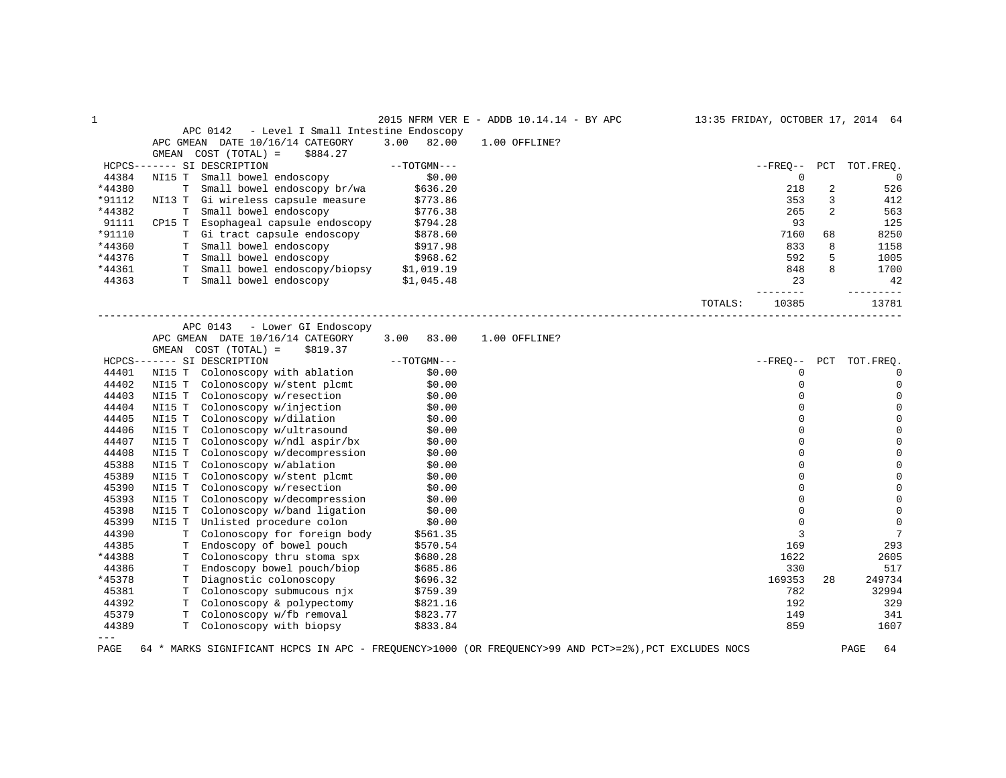| 1      |                                                                                                      |                  | 2015 NFRM VER E - ADDB 10.14.14 - BY APC | 13:35 FRIDAY, OCTOBER 17, 2014 64 |             |                |                |
|--------|------------------------------------------------------------------------------------------------------|------------------|------------------------------------------|-----------------------------------|-------------|----------------|----------------|
|        | APC 0142<br>- Level I Small Intestine Endoscopy                                                      |                  |                                          |                                   |             |                |                |
|        | APC GMEAN DATE 10/16/14 CATEGORY                                                                     | 3.00<br>82.00    | 1.00 OFFLINE?                            |                                   |             |                |                |
|        | COST (TOTAL) =<br>GMEAN<br>\$884.27                                                                  |                  |                                          |                                   |             |                |                |
|        | HCPCS------- SI DESCRIPTION                                                                          | $--TOTGMN---$    |                                          |                                   | $- FREQ--$  |                | PCT TOT. FREQ. |
| 44384  | NI15 T<br>Small bowel endoscopy                                                                      | \$0.00           |                                          |                                   | $\mathbf 0$ |                | $\Omega$       |
| *44380 | T Small bowel endoscopy br/wa                                                                        | \$636.20         |                                          |                                   | 218         | 2              | 526            |
| *91112 | NI13 T Gi wireless capsule measure                                                                   | \$773.86         |                                          |                                   | 353         | 3              | 412            |
| *44382 | T Small bowel endoscopy                                                                              | \$776.38         |                                          |                                   | 265         | $\overline{2}$ | 563            |
| 91111  | CP15 T Esophageal capsule endoscopy                                                                  | \$794.28         |                                          |                                   | 93          |                | 125            |
| *91110 | T Gi tract capsule endoscopy                                                                         | \$878.60         |                                          |                                   | 7160        | 68             | 8250           |
| *44360 | T Small bowel endoscopy                                                                              | \$917.98         |                                          |                                   | 833         | 8              | 1158           |
| *44376 | T Small bowel endoscopy                                                                              | \$968.62         |                                          |                                   | 592         | 5              | 1005           |
| *44361 | T Small bowel endoscopy/biopsy \$1,019.19                                                            |                  |                                          |                                   | 848         |                | 1700           |
| 44363  | T Small bowel endoscopy \$1,045.48                                                                   |                  |                                          |                                   | 23          |                | 42             |
|        |                                                                                                      |                  |                                          |                                   | $- - - - -$ |                |                |
|        | _________________________________                                                                    |                  |                                          | TOTALS:                           | 10385       |                | 13781          |
|        | APC 0143 - Lower GI Endoscopy                                                                        |                  |                                          |                                   |             |                |                |
|        | APC GMEAN DATE 10/16/14 CATEGORY                                                                     | 3.00<br>83.00    | 1.00 OFFLINE?                            |                                   |             |                |                |
|        | GMEAN COST (TOTAL) =<br>\$819.37                                                                     |                  |                                          |                                   |             |                |                |
|        | HCPCS------- SI DESCRIPTION                                                                          | $--TOTGMN---$    |                                          |                                   | $- FREQ--$  |                | PCT TOT.FREQ.  |
| 44401  | NI15 T Colonoscopy with ablation                                                                     | \$0.00           |                                          |                                   | $\mathbf 0$ |                | $\mathbf 0$    |
| 44402  | NI15 T Colonoscopy w/stent plcmt                                                                     | \$0.00           |                                          |                                   | $\Omega$    |                | $\Omega$       |
| 44403  | NI15 T Colonoscopy w/resection                                                                       | \$0.00           |                                          |                                   |             |                | $\Omega$       |
| 44404  | NI15 T Colonoscopy w/injection \$0.00                                                                |                  |                                          |                                   | $\Omega$    |                | $\Omega$       |
| 44405  | NI15 T Colonoscopy w/dilation                                                                        |                  |                                          |                                   | $\mathbf 0$ |                | $\mathbf 0$    |
| 44406  | NI15 T Colonoscopy w/dilation<br>NI15 T Colonoscopy w/ultrasound                                     | \$0.00<br>\$0.00 |                                          |                                   | $\Omega$    |                | $\Omega$       |
| 44407  | Colonoscopy w/ndl aspir/bx<br>NI15 T                                                                 | \$0.00           |                                          |                                   | $\Omega$    |                | $\Omega$       |
| 44408  | NI15 T Colonoscopy w/decompression<br>NI15 T Colonoscopy w/ablation                                  | \$0.00           |                                          |                                   |             |                |                |
| 45388  | NI15 T Colonoscopy w/ablation                                                                        | \$0.00           |                                          |                                   | $\Omega$    |                |                |
| 45389  | NI15 T                                                                                               |                  |                                          |                                   | $\Omega$    |                |                |
| 45390  | Colonoscopy w/stent plcmt \$0.00<br>Colonoscopy w/resection \$0.00<br>NI15 T Colonoscopy w/resection |                  |                                          |                                   | $\Omega$    |                | $\Omega$       |
| 45393  | NI15 T Colonoscopy w/decompression \$0.00                                                            |                  |                                          |                                   | $\Omega$    |                | $\mathbf 0$    |
| 45398  | Colonoscopy w/band ligation<br>NI15 T                                                                | \$0.00           |                                          |                                   | $\mathbf 0$ |                | $\mathbf 0$    |
| 45399  | NI15 T Unlisted procedure colon                                                                      | \$0.00           |                                          |                                   | $\Omega$    |                | $\mathbf 0$    |
| 44390  | T Colonoscopy for foreign body                                                                       | \$561.35         |                                          |                                   | 3           |                | 7              |
| 44385  | T Endoscopy of bowel pouch                                                                           | \$570.54         |                                          |                                   | 169         |                | 293            |
| *44388 | T Colonoscopy thru stoma spx                                                                         | \$680.28         |                                          |                                   | 1622        |                | 2605           |
| 44386  | T Endoscopy bowel pouch/biop                                                                         | \$685.86         |                                          |                                   | 330         |                | 517            |
| *45378 | T Diagnostic colonoscopy                                                                             | \$696.32         |                                          |                                   | 169353      | 28             | 249734         |
| 45381  | T Colonoscopy submucous njx                                                                          | \$759.39         |                                          |                                   | 782         |                | 32994          |
| 44392  | T Colonoscopy & polypectomy                                                                          | \$821.16         |                                          |                                   | 192         |                | 329            |
| 45379  | T Colonoscopy w/fb removal                                                                           | \$823.77         |                                          |                                   | 149         |                | 341            |
| 44389  | T Colonoscopy with biopsy                                                                            | \$833.84         |                                          |                                   | 859         |                | 1607           |
| $---$  |                                                                                                      |                  |                                          |                                   |             |                |                |
|        |                                                                                                      |                  |                                          |                                   |             |                |                |

PAGE 64 \* MARKS SIGNIFICANT HCPCS IN APC - FREQUENCY>1000 (OR FREQUENCY>99 AND PCT>=2%),PCT EXCLUDES NOCS PAGE 64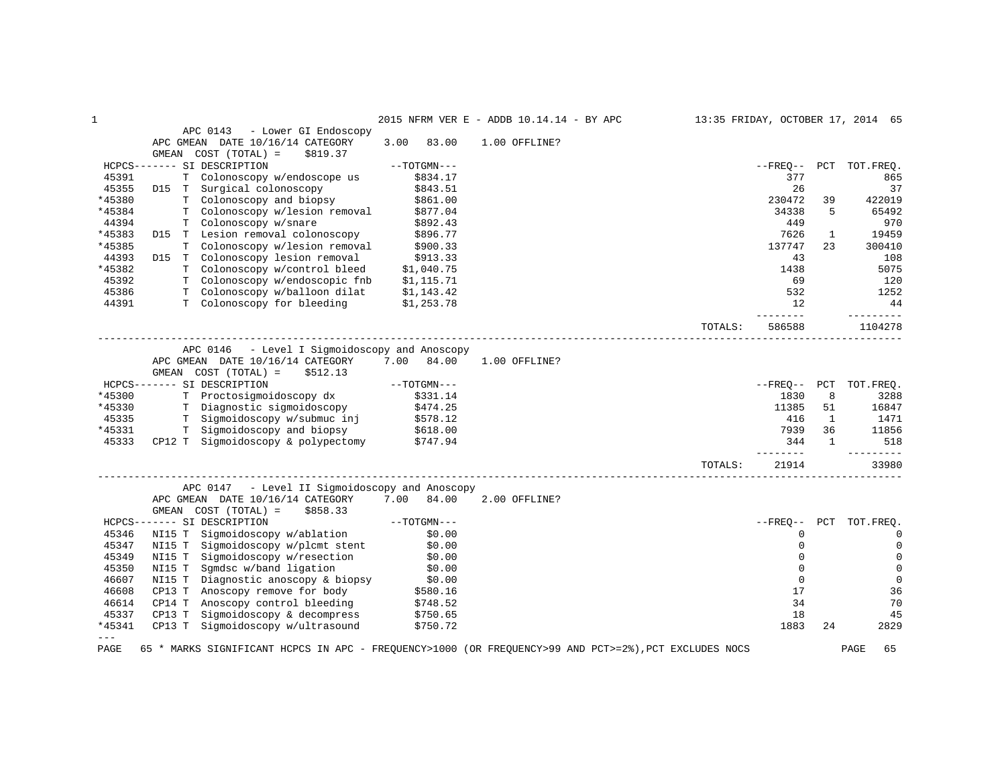| $\mathbf 1$   |                                                                                                                                     |                      | 2015 NFRM VER E - ADDB 10.14.14 - BY APC | 13:35 FRIDAY, OCTOBER 17, 2014 65 |                |              |                        |
|---------------|-------------------------------------------------------------------------------------------------------------------------------------|----------------------|------------------------------------------|-----------------------------------|----------------|--------------|------------------------|
|               | APC 0143<br>- Lower GI Endoscopy                                                                                                    |                      |                                          |                                   |                |              |                        |
|               | APC GMEAN DATE 10/16/14 CATEGORY                                                                                                    | 3.00<br>83.00        | 1.00 OFFLINE?                            |                                   |                |              |                        |
|               | GMEAN COST (TOTAL) =<br>\$819.37                                                                                                    |                      |                                          |                                   |                |              |                        |
|               | HCPCS------- SI DESCRIPTION                                                                                                         | --TOTGMN---          |                                          |                                   |                |              | --FREO-- PCT TOT.FREO. |
| 45391         | T Colonoscopy w/endoscope us                                                                                                        | \$834.17             |                                          |                                   | 377            |              | 865                    |
| 45355         | D15 T Surgical colonoscopy                                                                                                          | \$843.51<br>\$861.00 |                                          |                                   | 26             |              | 37                     |
| *45380        | T Colonoscopy and biopsy                                                                                                            |                      |                                          |                                   | 230472         | 39           | 422019                 |
| *45384        | Colonoscopy w/lesion removal \$877.04<br>T.                                                                                         |                      |                                          |                                   | 34338          | 5            | 65492                  |
| 44394         | T Colonoscopy w/snare                                                                                                               | \$892.43             |                                          |                                   | 449            |              | 970                    |
| *45383        | D15 T Lesion removal colonoscopy \$896.77                                                                                           |                      |                                          |                                   | 7626           | $\mathbf{1}$ | 19459                  |
| *45385        | T Colonoscopy w/lesion removal                                                                                                      | \$900.33             |                                          |                                   | 137747         | 23           | 300410                 |
| 44393         | D15 T Colonoscopy lesion removal                                                                                                    | \$913.33             |                                          |                                   | 43             |              | 108                    |
| *45382        | T Colonoscopy w/control bleed                                                                                                       | \$1,040.75           |                                          |                                   | 1438           |              | 5075                   |
| 45392         | T Colonoscopy w/endoscopic fnb                                                                                                      | \$1,115.71           |                                          |                                   | 69             |              | 120                    |
| 45386         | T Colonoscopy w/balloon dilat                                                                                                       | \$1,143.42           |                                          |                                   | 532            |              | 1252                   |
| 44391         | T Colonoscopy for bleeding                                                                                                          | \$1,253.78           |                                          |                                   | 12<br>-------- |              | 44<br>----------       |
|               |                                                                                                                                     |                      |                                          | TOTALS:                           | 586588         |              | 1104278                |
|               | APC 0146 - Level I Sigmoidoscopy and Anoscopy                                                                                       |                      |                                          |                                   |                |              |                        |
|               | APC GMEAN DATE 10/16/14 CATEGORY 7.00 84.00                                                                                         |                      | 1.00 OFFLINE?                            |                                   |                |              |                        |
|               | GMEAN COST (TOTAL) =<br>\$512.13                                                                                                    |                      |                                          |                                   |                |              |                        |
|               | HCPCS------- SI DESCRIPTION                                                                                                         | $--TOTGMN---$        |                                          |                                   |                |              | --FREO-- PCT TOT.FREO. |
| *45300        | T Proctosigmoidoscopy dx                                                                                                            | \$331.14             |                                          |                                   | 1830           | 8            | 3288                   |
| *45330        |                                                                                                                                     |                      |                                          |                                   | 11385          | 51           | 16847                  |
| 45335         | T Diagnostic sigmoidoscopy 5474.25<br>T Sigmoidoscopy w/submuc inj \$578.12                                                         |                      |                                          |                                   | 416            | 1            | 1471                   |
| *45331        | T Sigmoidoscopy and biopsy \$618.00                                                                                                 |                      |                                          |                                   | 7939           | 36           | 11856                  |
| 45333         | CP12 T Sigmoidoscopy & polypectomy \$747.94                                                                                         |                      |                                          |                                   | 344            | 1            | 518                    |
|               |                                                                                                                                     |                      |                                          |                                   |                |              |                        |
|               |                                                                                                                                     |                      |                                          | TOTALS:                           | 21914          |              | 33980                  |
|               | APC 0147 - Level II Sigmoidoscopy and Anoscopy                                                                                      |                      |                                          |                                   |                |              |                        |
|               | APC GMEAN DATE 10/16/14 CATEGORY 7.00 84.00                                                                                         |                      | 2.00 OFFLINE?                            |                                   |                |              |                        |
|               | GMEAN COST (TOTAL) =<br>\$858.33                                                                                                    |                      |                                          |                                   |                |              |                        |
|               | HCPCS------- SI DESCRIPTION                                                                                                         |                      |                                          |                                   | $--$ FREO $--$ |              | PCT TOT.FREO.          |
| 45346         | NI15 T                                                                                                                              |                      |                                          |                                   | $\Omega$       |              | 0                      |
| 45347         | NI15 T<br>Sigmoidoscopy w/plcmt stent                                                                                               | \$0.00               |                                          |                                   | $\mathbf 0$    |              | $\mathbf 0$            |
| 45349         | NI15 T<br>Sigmoidoscopy w/resection                                                                                                 | \$0.00               |                                          |                                   | $\mathbf 0$    |              | 0                      |
| 45350         | NI15 T<br>Sqmdsc w/band ligation                                                                                                    | \$0.00               |                                          |                                   | $\Omega$       |              | $\mathbf 0$            |
| 46607         | NI15 T Symuse w/band 11, biopsy \$0.00<br>NI15 T Diagnostic anoscopy & biopsy \$0.00<br>The Contractor of the Subset of the S580.16 |                      |                                          |                                   | $\Omega$       |              | $\mathbf 0$            |
| 46608         |                                                                                                                                     |                      |                                          |                                   | 17             |              | 36                     |
| 46614         | Anoscopy control bleeding<br>CP14 T                                                                                                 | \$748.52             |                                          |                                   | 34             |              | 70                     |
| 45337         | CP13 T Sigmoidoscopy & decompress                                                                                                   | \$750.65             |                                          |                                   | 18             |              | 45                     |
| *45341        | Sigmoidoscopy w/ultrasound<br>CP13 T                                                                                                | \$750.72             |                                          |                                   | 1883           | 24           | 2829                   |
| $---$<br>PAGE | 65 * MARKS SIGNIFICANT HCPCS IN APC - FREQUENCY>1000 (OR FREQUENCY>99 AND PCT>=2%), PCT EXCLUDES NOCS                               |                      |                                          |                                   |                |              | 65<br>PAGE             |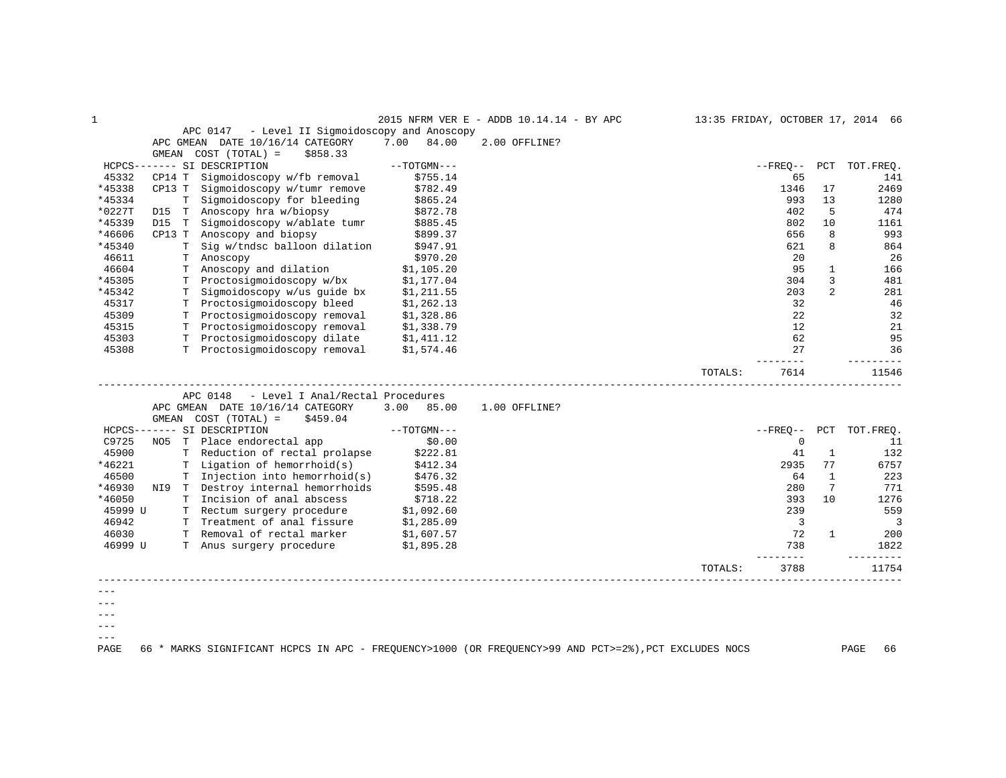| 1       |        |    |                                                   |               | 2015 NFRM VER E - ADDB 10.14.14 - BY APC |         |                |                | 13:35 FRIDAY, OCTOBER 17, 2014 66 |
|---------|--------|----|---------------------------------------------------|---------------|------------------------------------------|---------|----------------|----------------|-----------------------------------|
|         |        |    | - Level II Sigmoidoscopy and Anoscopy<br>APC 0147 |               |                                          |         |                |                |                                   |
|         |        |    | APC GMEAN DATE 10/16/14 CATEGORY                  | 7.00<br>84.00 | 2.00 OFFLINE?                            |         |                |                |                                   |
|         | GMEAN  |    | $COST (TOTAL) =$<br>\$858.33                      |               |                                          |         |                |                |                                   |
|         |        |    | HCPCS------- SI DESCRIPTION                       | $--TOTGMN---$ |                                          |         | $--$ FREO $--$ | PCT            | TOT. FREO.                        |
| 45332   | CP14 T |    | Sigmoidoscopy w/fb removal                        | \$755.14      |                                          |         | 65             |                | 141                               |
| *45338  | CP13 T |    | Sigmoidoscopy w/tumr remove                       | \$782.49      |                                          |         | 1346           | 17             | 2469                              |
| *45334  |        | T  | Sigmoidoscopy for bleeding                        | \$865.24      |                                          |         | 993            | 13             | 1280                              |
| *0227T  | D15    | T  | Anoscopy hra w/biopsy                             | \$872.78      |                                          |         | 402            | 5              | 474                               |
| *45339  | D15    | T  | Sigmoidoscopy w/ablate tumr                       | \$885.45      |                                          |         | 802            | 10             | 1161                              |
| *46606  | CP13 T |    | Anoscopy and biopsy                               | \$899.37      |                                          |         | 656            | 8              | 993                               |
| *45340  |        | т  | Sig w/tndsc balloon dilation                      | \$947.91      |                                          |         | 621            | 8              | 864                               |
| 46611   |        | T. | Anoscopy                                          | \$970.20      |                                          |         | 20             |                | 26                                |
| 46604   |        |    | T Anoscopy and dilation                           | \$1,105.20    |                                          |         | 95             | $\mathbf{1}$   | 166                               |
| *45305  |        |    | T Proctosigmoidoscopy w/bx                        | \$1,177.04    |                                          |         | 304            | 3              | 481                               |
| *45342  |        | T  | Sigmoidoscopy w/us guide bx                       | \$1,211.55    |                                          |         | 203            | $\overline{a}$ | 281                               |
| 45317   |        |    | T Proctosigmoidoscopy bleed                       | \$1,262.13    |                                          |         | 32             |                | 46                                |
| 45309   |        |    | T Proctosigmoidoscopy removal                     | \$1,328.86    |                                          |         | 22             |                | 32                                |
| 45315   |        |    | T Proctosigmoidoscopy removal                     | \$1,338.79    |                                          |         | 12             |                | 21                                |
| 45303   |        |    | T Proctosigmoidoscopy dilate                      | \$1,411.12    |                                          |         | 62             |                | 95                                |
| 45308   |        |    | T Proctosigmoidoscopy removal                     | \$1,574.46    |                                          |         | 27             |                | 36                                |
|         |        |    |                                                   |               |                                          |         |                |                |                                   |
|         |        |    |                                                   |               | ___________________________              | TOTALS: | 7614           |                | 11546                             |
|         |        |    | APC 0148<br>- Level I Anal/Rectal Procedures      |               |                                          |         |                |                |                                   |
|         |        |    | APC GMEAN DATE 10/16/14 CATEGORY                  | 3.00<br>85.00 | 1.00 OFFLINE?                            |         |                |                |                                   |
|         | GMEAN  |    | $COST (TOTAL) =$<br>\$459.04                      |               |                                          |         |                |                |                                   |
|         |        |    | HCPCS------- SI DESCRIPTION                       | $--TOTGMN---$ |                                          |         | $--$ FREO $--$ | PCT            | TOT. FREO.                        |
| C9725   | NO5    |    | T Place endorectal app                            | \$0.00        |                                          |         | 0              |                | 11                                |
| 45900   |        |    | T Reduction of rectal prolapse                    | \$222.81      |                                          |         | 41             | $\mathbf{1}$   | 132                               |
| *46221  |        |    | T Ligation of hemorrhoid(s)                       | \$412.34      |                                          |         | 2935           | 77             | 6757                              |
| 46500   |        | т  | Injection into hemorrhoid(s)                      | \$476.32      |                                          |         | 64             | $\mathbf{1}$   | 223                               |
| *46930  |        |    | NI9 T Destroy internal hemorrhoids                | \$595.48      |                                          |         | 280            | 7              | 771                               |
| *46050  |        |    | T Incision of anal abscess                        | \$718.22      |                                          |         | 393            | 10             | 1276                              |
| 45999 U |        |    | T Rectum surgery procedure                        | \$1,092.60    |                                          |         | 239            |                | 559                               |
| 46942   |        |    | T Treatment of anal fissure                       | \$1,285.09    |                                          |         | $\overline{3}$ |                | 3                                 |
| 46030   |        |    | T Removal of rectal marker                        | \$1,607.57    |                                          |         | 72             | $\mathbf{1}$   | 200                               |
| 46999 U |        |    | T Anus surgery procedure                          | \$1,895.28    |                                          |         | 738            |                | 1822                              |
|         |        |    |                                                   |               |                                          |         |                |                |                                   |
|         |        |    |                                                   |               |                                          | TOTALS: | 3788           |                | 11754                             |
|         |        |    |                                                   |               |                                          |         |                |                |                                   |
|         |        |    |                                                   |               |                                          |         |                |                |                                   |
|         |        |    |                                                   |               |                                          |         |                |                |                                   |
| $---$   |        |    |                                                   |               |                                          |         |                |                |                                   |
|         |        |    |                                                   |               |                                          |         |                |                |                                   |

PAGE 66 \* MARKS SIGNIFICANT HCPCS IN APC - FREQUENCY>1000 (OR FREQUENCY>99 AND PCT>=2%),PCT EXCLUDES NOCS PAGE 66

 $---$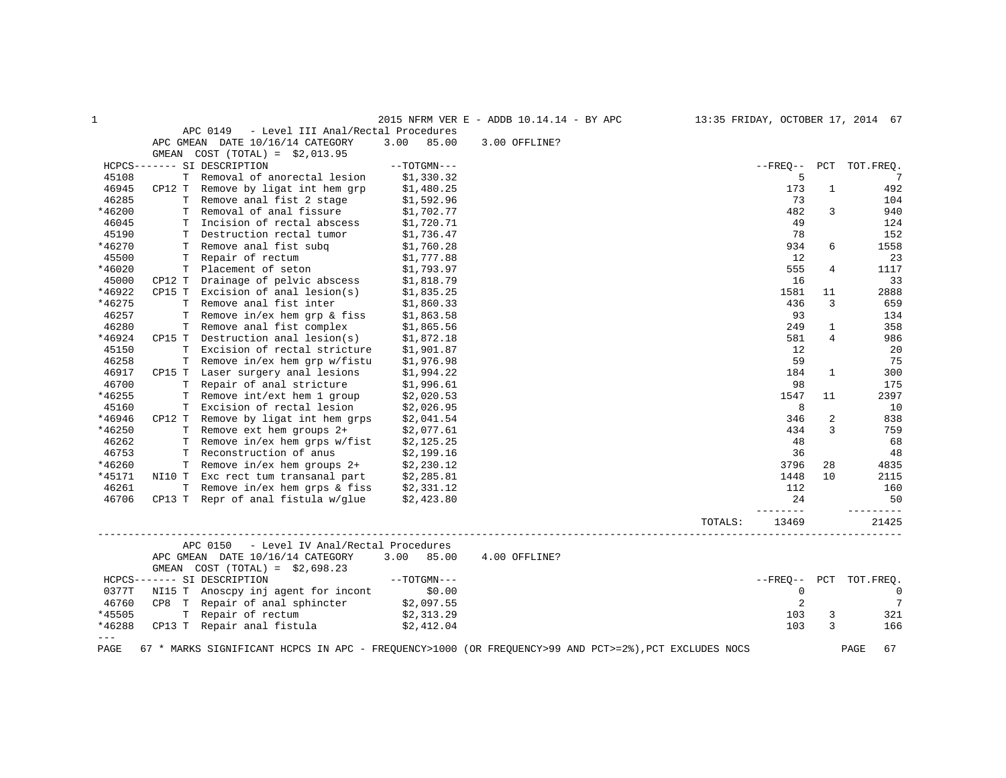| $\mathbf{1}$  |        |                                                                                                       |               | 2015 NFRM VER E - ADDB 10.14.14 - BY APC |         |                        |              | 13:35 FRIDAY, OCTOBER 17, 2014 67 |
|---------------|--------|-------------------------------------------------------------------------------------------------------|---------------|------------------------------------------|---------|------------------------|--------------|-----------------------------------|
|               |        | APC 0149<br>- Level III Anal/Rectal Procedures                                                        |               |                                          |         |                        |              |                                   |
|               |        | APC GMEAN DATE 10/16/14 CATEGORY                                                                      | 3.00<br>85.00 | 3.00 OFFLINE?                            |         |                        |              |                                   |
|               |        | GMEAN COST (TOTAL) = $$2,013.95$                                                                      |               |                                          |         |                        |              |                                   |
|               |        | HCPCS------- SI DESCRIPTION                                                                           | $--TOTGMN---$ |                                          |         | $- FREO--$             |              | PCT TOT. FREO.                    |
| 45108         |        | T Removal of anorectal lesion                                                                         | \$1,330.32    |                                          |         | 5                      |              | - 7                               |
| 46945         |        | CP12 T Remove by ligat int hem grp                                                                    | \$1,480.25    |                                          |         | 173                    | $\mathbf{1}$ | 492                               |
| 46285         |        | T Remove anal fist 2 stage                                                                            | \$1,592.96    |                                          |         | 73                     |              | 104                               |
| *46200        | т      | Removal of anal fissure                                                                               | \$1,702.77    |                                          |         | 482                    | 3            | 940                               |
| 46045         | т      | Incision of rectal abscess                                                                            | \$1,720.71    |                                          |         | 49                     |              | 124                               |
| 45190         |        | T Destruction rectal tumor                                                                            | \$1,736.47    |                                          |         | 78                     |              | 152                               |
| *46270        |        | T Remove anal fist subq                                                                               | \$1,760.28    |                                          |         | 934                    | 6            | 1558                              |
| 45500         |        | T Repair of rectum                                                                                    | \$1,777.88    |                                          |         | 12                     |              | 23                                |
| *46020        |        | T Placement of seton                                                                                  | \$1,793.97    |                                          |         | 555                    | 4            | 1117                              |
| 45000         | CP12 T | Drainage of pelvic abscess                                                                            | \$1,818.79    |                                          |         | 16                     |              | 33                                |
| *46922        |        | $CP15$ T Excision of anal lesion(s)                                                                   | \$1,835.25    |                                          |         | 1581                   | 11           | 2888                              |
| *46275        | т      | Remove anal fist inter                                                                                | \$1,860.33    |                                          |         | 436                    | 3            | 659                               |
| 46257         | T.     | Remove in/ex hem grp & fiss                                                                           | \$1,863.58    |                                          |         | 93                     |              | 134                               |
| 46280         | Т      | Remove anal fist complex                                                                              | \$1,865.56    |                                          |         | 249                    | 1            | 358                               |
| *46924        |        | $CP15$ T Destruction anal lesion(s)                                                                   | \$1,872.18    |                                          |         | 581                    | 4            | 986                               |
| 45150         | T.     | Excision of rectal stricture                                                                          | \$1,901.87    |                                          |         | 12                     |              | 20                                |
| 46258         | т      | Remove in/ex hem grp w/fistu                                                                          | \$1,976.98    |                                          |         | 59                     |              | 75                                |
| 46917         |        | CP15 T Laser surgery anal lesions                                                                     | \$1,994.22    |                                          |         | 184                    | 1            | 300                               |
| 46700         |        | T Repair of anal stricture                                                                            | \$1,996.61    |                                          |         | 98                     |              | 175                               |
| *46255        |        | T Remove int/ext hem 1 group                                                                          | \$2,020.53    |                                          |         | 1547                   | 11           | 2397                              |
| 45160         | Т      | Excision of rectal lesion                                                                             | \$2,026.95    |                                          |         | 8                      |              | 10                                |
| *46946        |        | CP12 T Remove by ligat int hem grps                                                                   | \$2,041.54    |                                          |         | 346                    | 2            | 838                               |
| *46250        |        | T Remove ext hem groups 2+                                                                            | \$2,077.61    |                                          |         | 434                    | 3            | 759                               |
| 46262         |        | T Remove in/ex hem grps w/fist                                                                        | \$2,125.25    |                                          |         | 48                     |              | 68                                |
| 46753         |        | T Reconstruction of anus                                                                              | \$2,199.16    |                                          |         | 36                     |              | 48                                |
| *46260        |        | T Remove in/ex hem groups 2+                                                                          | \$2,230.12    |                                          |         | 3796                   | 28           | 4835                              |
| *45171        |        | NI10 T Exc rect tum transanal part                                                                    | \$2,285.81    |                                          |         | 1448                   | 10           | 2115                              |
| 46261         |        | T Remove in/ex hem grps & fiss                                                                        | \$2,331.12    |                                          |         | 112                    |              | 160                               |
| 46706         |        | CP13 T Repr of anal fistula w/glue                                                                    | \$2,423.80    |                                          |         | 24                     |              | 50                                |
|               |        |                                                                                                       |               |                                          | TOTALS: | $- - - - - -$<br>13469 |              | $- - - - - - -$<br>21425          |
|               |        | APC 0150<br>- Level IV Anal/Rectal Procedures                                                         |               |                                          |         |                        |              |                                   |
|               |        | APC GMEAN DATE 10/16/14 CATEGORY                                                                      | 3.00 85.00    | 4.00 OFFLINE?                            |         |                        |              |                                   |
|               |        | GMEAN COST $(TOTAL) = $2,698.23$                                                                      |               |                                          |         |                        |              |                                   |
|               |        | HCPCS------- SI DESCRIPTION                                                                           | $--TOTGMN---$ |                                          |         | $--$ FREO $--$         |              | PCT TOT. FREO.                    |
| 0377T         |        | NI15 T Anoscpy inj agent for incont                                                                   | \$0.00        |                                          |         | $\mathbf 0$            |              | $\overline{0}$                    |
| 46760         |        | CP8 T Repair of anal sphincter $\frac{1}{2}$ , 097.55                                                 |               |                                          |         | $\overline{2}$         |              | 7                                 |
| *45505        |        | T Repair of rectum                                                                                    | \$2,313.29    |                                          |         | 103                    | 3            | 321                               |
| *46288        |        | CP13 T Repair anal fistula                                                                            | \$2,412.04    |                                          |         | 103                    | 3            | 166                               |
| $\frac{1}{2}$ |        |                                                                                                       |               |                                          |         |                        |              |                                   |
| PAGE          |        | 67 * MARKS SIGNIFICANT HCPCS IN APC - FREQUENCY>1000 (OR FREQUENCY>99 AND PCT>=2%), PCT EXCLUDES NOCS |               |                                          |         |                        |              | PAGE<br>67                        |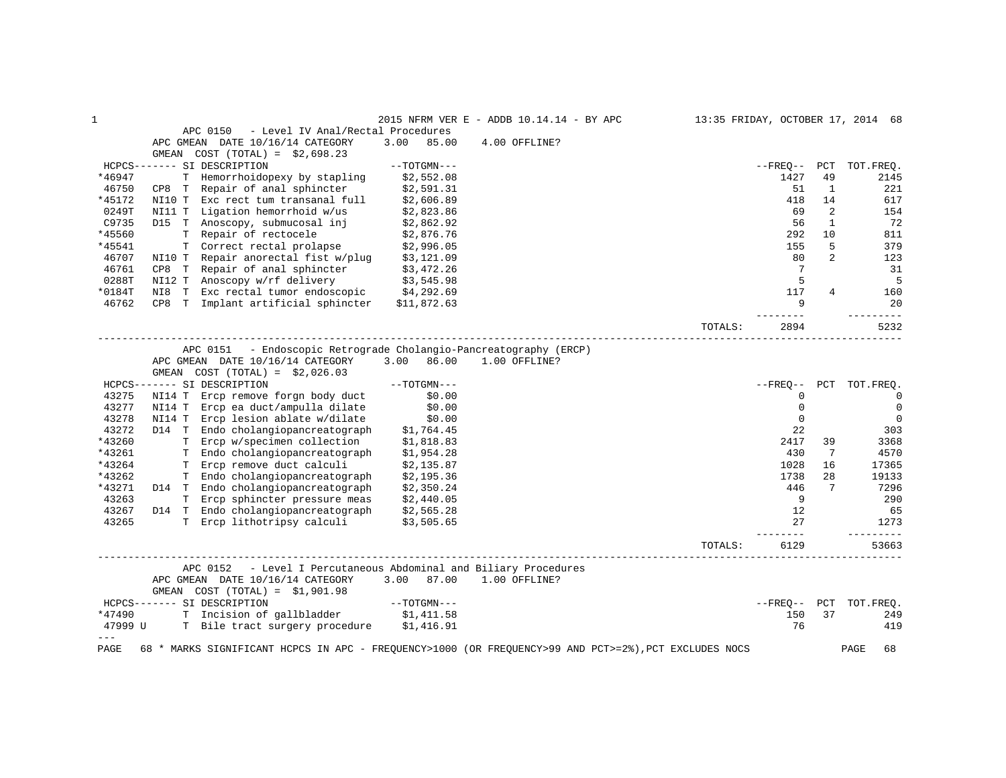| $\mathbf 1$    |                                                                                                       |               | 2015 NFRM VER E - ADDB 10.14.14 - BY APC |         |                |                | 13:35 FRIDAY, OCTOBER 17, 2014 68 |
|----------------|-------------------------------------------------------------------------------------------------------|---------------|------------------------------------------|---------|----------------|----------------|-----------------------------------|
|                | APC 0150<br>- Level IV Anal/Rectal Procedures                                                         |               |                                          |         |                |                |                                   |
|                | APC GMEAN DATE 10/16/14 CATEGORY                                                                      | 3.00<br>85.00 | 4.00 OFFLINE?                            |         |                |                |                                   |
|                | $COST (TOTAL) = $2,698.23$<br>GMEAN                                                                   |               |                                          |         |                |                |                                   |
|                | HCPCS------- SI DESCRIPTION                                                                           | $--TOTGMN---$ |                                          |         | $- FREO--$     | PCT            | TOT. FREO.                        |
| *46947         | T Hemorrhoidopexy by stapling                                                                         | \$2,552.08    |                                          |         | 1427           | 49             | 2145                              |
| 46750          | CP8 T Repair of anal sphincter                                                                        | \$2,591.31    |                                          |         | 51             | 1              | 221                               |
| *45172         | Exc rect tum transanal full<br>NI10 T                                                                 | \$2,606.89    |                                          |         | 418            | 14             | 617                               |
| 0249T          | Ligation hemorrhoid w/us<br>NI11 T                                                                    | \$2,823.86    |                                          |         | 69             | 2              | 154                               |
| C9735          | Anoscopy, submucosal inj<br>D15 T                                                                     | \$2,862.92    |                                          |         | 56             | 1              | 72                                |
| *45560         | T Repair of rectocele                                                                                 | \$2,876.76    |                                          |         | 292            | 10             | 811                               |
| *45541         | T Correct rectal prolapse                                                                             | \$2,996.05    |                                          |         | 155            | 5              | 379                               |
| 46707          | NI10 T Repair anorectal fist w/plug                                                                   | \$3,121.09    |                                          |         | 80             | $\overline{2}$ | 123                               |
| 46761          | CP8 T Repair of anal sphincter                                                                        | \$3,472.26    |                                          |         | 7              |                | 31                                |
| 0288T          | NI12 T Anoscopy w/rf delivery                                                                         | \$3,545.98    |                                          |         | 5              |                | 5                                 |
| $*0184T$       | NI8 T Exc rectal tumor endoscopic \$4,292.69                                                          |               |                                          |         | 117            | 4              | 160                               |
| 46762          | CP8 T Implant artificial sphincter                                                                    | \$11,872.63   |                                          |         | 9              |                | 20                                |
|                |                                                                                                       |               |                                          | TOTALS: | 2894           |                | $- - - -$<br>5232                 |
|                |                                                                                                       |               |                                          |         |                |                |                                   |
|                | - Endoscopic Retrograde Cholangio-Pancreatography (ERCP)<br>APC 0151                                  |               |                                          |         |                |                |                                   |
|                | APC GMEAN DATE 10/16/14 CATEGORY                                                                      | 3.00<br>86.00 | 1.00 OFFLINE?                            |         |                |                |                                   |
|                | $COST (TOTAL) = $2,026.03$<br>GMEAN                                                                   |               |                                          |         |                |                |                                   |
|                | HCPCS------- SI DESCRIPTION                                                                           | $--TOTGMN---$ |                                          |         | $--$ FREO $--$ | PCT            | TOT.FREQ.                         |
| 43275          | NI14 T Ercp remove forgn body duct                                                                    | \$0.00        |                                          |         | $\mathbf 0$    |                | $\Omega$                          |
| 43277          | NI14 T Ercp ea duct/ampulla dilate                                                                    | \$0.00        |                                          |         | $\mathbf 0$    |                | $\mathbf{0}$                      |
| 43278          | Ercp lesion ablate w/dilate<br>NI14 T                                                                 | \$0.00        |                                          |         | $\mathbf 0$    |                | $\mathbf 0$                       |
| 43272          | D14 T Endo cholangiopancreatograph                                                                    | \$1,764.45    |                                          |         | 22             |                | 303                               |
| *43260         | T Ercp w/specimen collection                                                                          | \$1,818.83    |                                          |         | 2417           | 39             | 3368                              |
| *43261         | T Endo cholangiopancreatograph                                                                        | \$1,954.28    |                                          |         | 430            | 7              | 4570                              |
| *43264         | T Ercp remove duct calculi                                                                            | \$2,135.87    |                                          |         | 1028           | 16             | 17365                             |
| *43262         | T Endo cholangiopancreatograph                                                                        | \$2,195.36    |                                          |         | 1738           | 28             | 19133                             |
| *43271         | D14 T Endo cholangiopancreatograph                                                                    | \$2,350.24    |                                          |         | 446            | 7              | 7296                              |
| 43263          | T Ercp sphincter pressure meas                                                                        | \$2,440.05    |                                          |         | 9              |                | 290                               |
| 43267          | D14 T Endo cholangiopancreatograph                                                                    | \$2,565.28    |                                          |         | 12             |                | 65                                |
| 43265          | T Ercp lithotripsy calculi                                                                            | \$3,505.65    |                                          |         | 27             |                | 1273                              |
|                |                                                                                                       |               |                                          | TOTALS: | 6129           |                | --------<br>53663                 |
|                |                                                                                                       |               | ---------------------------------        |         |                |                |                                   |
|                | - Level I Percutaneous Abdominal and Biliary Procedures<br>APC 0152                                   |               |                                          |         |                |                |                                   |
|                | APC GMEAN DATE 10/16/14 CATEGORY                                                                      | 3.00 87.00    | 1.00 OFFLINE?                            |         |                |                |                                   |
|                | GMEAN $COST (TOTAL) = $1,901.98$                                                                      |               |                                          |         |                |                |                                   |
|                | HCPCS------- SI DESCRIPTION                                                                           | --TOTGMN---   |                                          |         | $- FREO--$     | PCT            | TOT. FREO.                        |
| *47490         | T Incision of gallbladder \$1,411.58                                                                  |               |                                          |         | 150            | 37             | 249                               |
| 47999 U        | T Bile tract surgery procedure \$1,416.91                                                             |               |                                          |         | 76             |                | 419                               |
| $-- -$<br>PAGE | 68 * MARKS SIGNIFICANT HCPCS IN APC - FREQUENCY>1000 (OR FREQUENCY>99 AND PCT>=2%), PCT EXCLUDES NOCS |               |                                          |         |                |                | PAGE<br>68                        |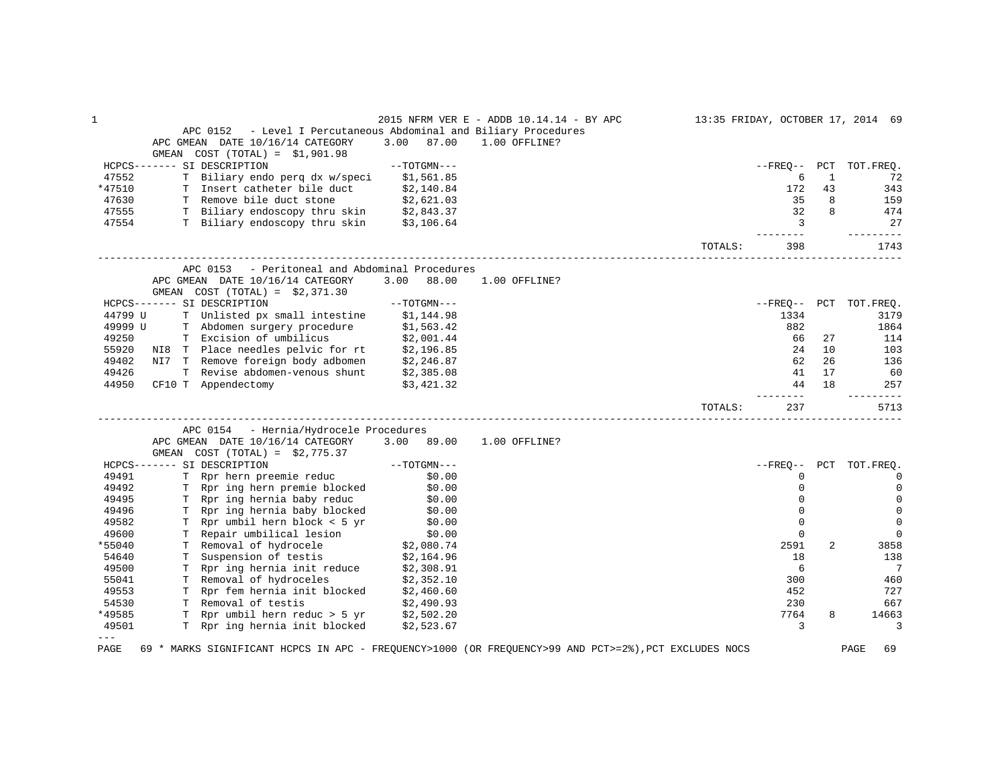| 1       |       |                                                                     |               | 2015 NFRM VER E - ADDB 10.14.14 - BY APC                                                              |         |                |              | 13:35 FRIDAY, OCTOBER 17, 2014 69 |
|---------|-------|---------------------------------------------------------------------|---------------|-------------------------------------------------------------------------------------------------------|---------|----------------|--------------|-----------------------------------|
|         |       | - Level I Percutaneous Abdominal and Biliary Procedures<br>APC 0152 |               |                                                                                                       |         |                |              |                                   |
|         |       | APC GMEAN DATE 10/16/14 CATEGORY                                    | 3.00<br>87.00 | 1.00 OFFLINE?                                                                                         |         |                |              |                                   |
|         | GMEAN | $COST (TOTAL) = $1,901.98$                                          |               |                                                                                                       |         |                |              |                                   |
|         |       | HCPCS------- SI DESCRIPTION                                         | $--TOTGMN---$ |                                                                                                       |         | $--$ FREO $--$ | PCT          | TOT.FREO.                         |
| 47552   |       | T Biliary endo perq dx w/speci                                      | \$1,561.85    |                                                                                                       |         | 6              | $\mathbf{1}$ | 72                                |
| *47510  |       | T Insert catheter bile duct                                         | \$2,140.84    |                                                                                                       |         | 172            | 43           | 343                               |
| 47630   |       | T Remove bile duct stone                                            | \$2,621.03    |                                                                                                       |         | 35             | 8            | 159                               |
| 47555   |       | T Biliary endoscopy thru skin \$2,843.37                            |               |                                                                                                       |         | 32             | 8            | 474                               |
| 47554   |       | T Biliary endoscopy thru skin                                       | \$3,106.64    |                                                                                                       |         | 3              |              | 27                                |
|         |       |                                                                     |               |                                                                                                       | TOTALS: | 398            |              | -----<br>1743                     |
|         |       | - Peritoneal and Abdominal Procedures<br>APC 0153                   |               |                                                                                                       |         |                |              |                                   |
|         |       | APC GMEAN DATE 10/16/14 CATEGORY                                    | 3.00<br>88.00 | 1.00 OFFLINE?                                                                                         |         |                |              |                                   |
|         |       | GMEAN $COST (TOTAL) = $2,371.30$                                    |               |                                                                                                       |         |                |              |                                   |
|         |       | HCPCS------- SI DESCRIPTION                                         | $--TOTGMN---$ |                                                                                                       |         | $- FREO--$     |              | PCT TOT. FREQ.                    |
| 44799 U |       | T Unlisted px small intestine                                       | \$1,144.98    |                                                                                                       |         | 1334           |              | 3179                              |
| 49999 U |       | T Abdomen surgery procedure                                         | \$1,563.42    |                                                                                                       |         | 882            |              | 1864                              |
| 49250   |       | T Excision of umbilicus                                             | \$2,001.44    |                                                                                                       |         | 66             | 27           | 114                               |
| 55920   |       | NI8 T Place needles pelvic for rt \$2,196.85                        |               |                                                                                                       |         | 24             | 10           | 103                               |
| 49402   |       | NI7 T Remove foreign body adbomen                                   | \$2,246.87    |                                                                                                       |         | 62             | 26           | 136                               |
| 49426   |       | T Revise abdomen-venous shunt                                       | \$2,385.08    |                                                                                                       |         | 41             | 17           | 60                                |
| 44950   |       | CF10 T Appendectomy                                                 | \$3,421.32    |                                                                                                       |         | 44             | 18           | 257                               |
|         |       |                                                                     |               |                                                                                                       |         | ------         |              | $- - - -$                         |
|         |       |                                                                     |               |                                                                                                       | TOTALS: | 237            |              | 5713                              |
|         |       | APC 0154 - Hernia/Hydrocele Procedures                              |               |                                                                                                       |         |                |              |                                   |
|         |       | APC GMEAN DATE 10/16/14 CATEGORY                                    | 3.00 89.00    | 1.00 OFFLINE?                                                                                         |         |                |              |                                   |
|         |       | GMEAN $COST (TOTAL) = $2,775.37$                                    |               |                                                                                                       |         |                |              |                                   |
|         |       | HCPCS------- SI DESCRIPTION                                         | $--TOTGMN---$ |                                                                                                       |         | $- FREO--$     | PCT          | TOT.FREO.                         |
| 49491   |       | T Rpr hern preemie reduc                                            | \$0.00        |                                                                                                       |         | 0              |              | 0                                 |
| 49492   |       | T Rpr ing hern premie blocked                                       | \$0.00        |                                                                                                       |         | $\mathbf 0$    |              | $\mathbf 0$                       |
| 49495   |       | T Rpr ing hernia baby reduc                                         | \$0.00        |                                                                                                       |         | $\mathbf 0$    |              | 0                                 |
| 49496   |       | T Rpr ing hernia baby blocked                                       | \$0.00        |                                                                                                       |         | $\Omega$       |              | $\mathbf 0$                       |
| 49582   |       | T Rpr umbil hern block < 5 yr                                       | \$0.00        |                                                                                                       |         | $\mathbf 0$    |              | $\mathbf 0$                       |
| 49600   |       | T Repair umbilical lesion                                           | \$0.00        |                                                                                                       |         | $\mathbf 0$    |              | $\Omega$                          |
| *55040  |       | T Removal of hydrocele                                              | \$2,080.74    |                                                                                                       |         | 2591           | 2            | 3858                              |
| 54640   |       | T Suspension of testis                                              | \$2,164.96    |                                                                                                       |         | 18             |              | 138                               |
| 49500   |       | T Rpr ing hernia init reduce                                        | \$2,308.91    |                                                                                                       |         | 6              |              | 7                                 |
| 55041   |       | T Removal of hydroceles                                             | \$2,352.10    |                                                                                                       |         | 300            |              | 460                               |
| 49553   |       | T Rpr fem hernia init blocked                                       | \$2,460.60    |                                                                                                       |         | 452            |              | 727                               |
| 54530   |       | T Removal of testis                                                 | \$2,490.93    |                                                                                                       |         | 230            |              | 667                               |
| *49585  |       | T Rpr umbil hern reduc > 5 yr                                       | \$2,502.20    |                                                                                                       |         | 7764           | 8            | 14663                             |
| 49501   |       | T Rpr ing hernia init blocked                                       | \$2,523.67    |                                                                                                       |         | 3              |              | 3                                 |
| $- - -$ |       |                                                                     |               |                                                                                                       |         |                |              |                                   |
| PAGE    |       |                                                                     |               | 69 * MARKS SIGNIFICANT HCPCS IN APC - FREQUENCY>1000 (OR FREQUENCY>99 AND PCT>=2%), PCT EXCLUDES NOCS |         |                |              | PAGE<br>69                        |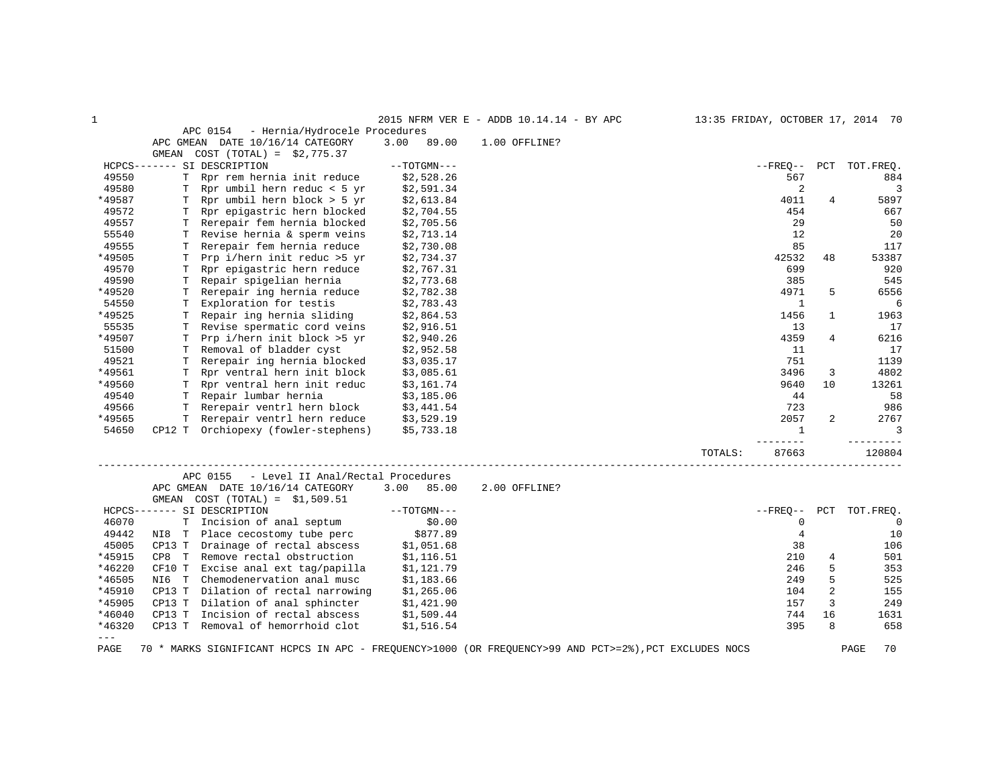| $\mathbf{1}$ |                                               |               | 2015 NFRM VER E - ADDB 10.14.14 - BY APC                                                              | 13:35 FRIDAY, OCTOBER 17, 2014 70 |                |             |
|--------------|-----------------------------------------------|---------------|-------------------------------------------------------------------------------------------------------|-----------------------------------|----------------|-------------|
|              | - Hernia/Hydrocele Procedures<br>APC 0154     |               |                                                                                                       |                                   |                |             |
|              | APC GMEAN DATE 10/16/14 CATEGORY              | 3.00<br>89.00 | 1.00 OFFLINE?                                                                                         |                                   |                |             |
|              | GMEAN COST $(TOTAL) = $2,775.37$              |               |                                                                                                       |                                   |                |             |
|              | HCPCS------- SI DESCRIPTION                   | $--TOTGMN---$ |                                                                                                       | $- FREQ--$                        | PCT            | TOT.FREO.   |
| 49550        | T Rpr rem hernia init reduce                  | \$2,528.26    |                                                                                                       | 567                               |                | 884         |
| 49580        | T Rpr umbil hern reduc < 5 yr                 | \$2,591.34    |                                                                                                       | 2                                 |                | 3           |
| *49587       | Rpr umbil hern block > 5 yr<br>T              | \$2,613.84    |                                                                                                       | 4011                              | 4              | 5897        |
| 49572        | Rpr epigastric hern blocked<br>т              | \$2,704.55    |                                                                                                       | 454                               |                | 667         |
| 49557        | Rerepair fem hernia blocked<br>T              | \$2,705.56    |                                                                                                       | 29                                |                | 50          |
| 55540        | Revise hernia & sperm veins<br>T              | \$2,713.14    |                                                                                                       | 12                                |                | 20          |
| 49555        | Rerepair fem hernia reduce<br>T               | \$2,730.08    |                                                                                                       | 85                                |                | 117         |
| *49505       | Prp i/hern init reduc >5 yr<br>T              | \$2,734.37    |                                                                                                       | 42532                             | 48             | 53387       |
| 49570        | Rpr epigastric hern reduce<br>т               | \$2,767.31    |                                                                                                       | 699                               |                | 920         |
| 49590        | T Repair spigelian hernia                     | \$2,773.68    |                                                                                                       | 385                               |                | 545         |
| *49520       | Rerepair ing hernia reduce<br>T               | \$2,782.38    |                                                                                                       | 4971                              | 5              | 6556        |
| 54550        | Exploration for testis<br>т                   | \$2,783.43    |                                                                                                       | 1                                 |                | 6           |
| *49525       | Repair ing hernia sliding<br>т                | \$2,864.53    |                                                                                                       | 1456                              | $\mathbf{1}$   | 1963        |
| 55535        | Revise spermatic cord veins<br>т              | \$2,916.51    |                                                                                                       | 13                                |                | 17          |
| *49507       | Prp i/hern init block >5 yr<br>т              | \$2,940.26    |                                                                                                       | 4359                              | 4              | 6216        |
| 51500        | Removal of bladder cyst<br>Т                  | \$2,952.58    |                                                                                                       | 11                                |                | 17          |
| 49521        | Rerepair ing hernia blocked<br>т              | \$3,035.17    |                                                                                                       | 751                               |                | 1139        |
| *49561       | Rpr ventral hern init block                   |               |                                                                                                       |                                   | 3              | 4802        |
|              | т                                             | \$3,085.61    |                                                                                                       | 3496                              | 10             |             |
| *49560       | T Rpr ventral hern init reduc                 | \$3,161.74    |                                                                                                       | 9640                              |                | 13261       |
| 49540        | T Repair lumbar hernia                        | \$3,185.06    |                                                                                                       | 44                                |                | 58          |
| 49566        | Rerepair ventrl hern block<br>т               | \$3,441.54    |                                                                                                       | 723                               |                | 986         |
| *49565       | Rerepair ventrl hern reduce<br>T.             | \$3,529.19    |                                                                                                       | 2057                              | 2              | 2767        |
| 54650        | CP12 T Orchiopexy (fowler-stephens)           | \$5,733.18    |                                                                                                       | $\mathbf{1}$                      |                | 3           |
|              |                                               |               |                                                                                                       | $- - - - -$                       |                |             |
|              |                                               |               | TOTALS:                                                                                               | 87663                             |                | 120804      |
|              |                                               |               |                                                                                                       |                                   |                |             |
|              | APC 0155<br>- Level II Anal/Rectal Procedures |               |                                                                                                       |                                   |                |             |
|              | APC GMEAN DATE 10/16/14 CATEGORY              | 3.00<br>85.00 | 2.00 OFFLINE?                                                                                         |                                   |                |             |
|              | GMEAN $COST (TOTAL) = $1,509.51$              |               |                                                                                                       |                                   |                |             |
|              | HCPCS------- SI DESCRIPTION                   | $--TOTGMN---$ |                                                                                                       | $--$ FREO $--$                    | PCT            | TOT.FREQ.   |
| 46070        | Incision of anal septum<br>T                  | \$0.00        |                                                                                                       | 0                                 |                | $\mathbf 0$ |
| 49442        | Place cecostomy tube perc<br>NI8 T            | \$877.89      |                                                                                                       | $\overline{4}$                    |                | 10          |
| 45005        | CP13 T Drainage of rectal abscess             | \$1,051.68    |                                                                                                       | 38                                |                | 106         |
| *45915       | CP8 T Remove rectal obstruction               | \$1,116.51    |                                                                                                       | 210                               | 4              | 501         |
| *46220       | CF10 T<br>Excise anal ext tag/papilla         | \$1,121.79    |                                                                                                       | 246                               | 5              | 353         |
| *46505       | Chemodenervation anal musc<br>NI6 T           | \$1,183.66    |                                                                                                       | 249                               | 5              | 525         |
| *45910       | Dilation of rectal narrowing<br>CP13 T        | \$1,265.06    |                                                                                                       | 104                               | $\overline{2}$ | 155         |
| *45905       | CP13 T Dilation of anal sphincter             | \$1,421.90    |                                                                                                       | 157                               | 3              | 249         |
| *46040       | Incision of rectal abscess<br>CP13 T          | \$1,509.44    |                                                                                                       | 744                               | 16             | 1631        |
| *46320       | CP13 T Removal of hemorrhoid clot             | \$1,516.54    |                                                                                                       | 395                               | 8              | 658         |
| $---$        |                                               |               |                                                                                                       |                                   |                |             |
| PAGE         |                                               |               | 70 * MARKS SIGNIFICANT HCPCS IN APC - FREQUENCY>1000 (OR FREQUENCY>99 AND PCT>=2%), PCT EXCLUDES NOCS |                                   |                | 70<br>PAGE  |
|              |                                               |               |                                                                                                       |                                   |                |             |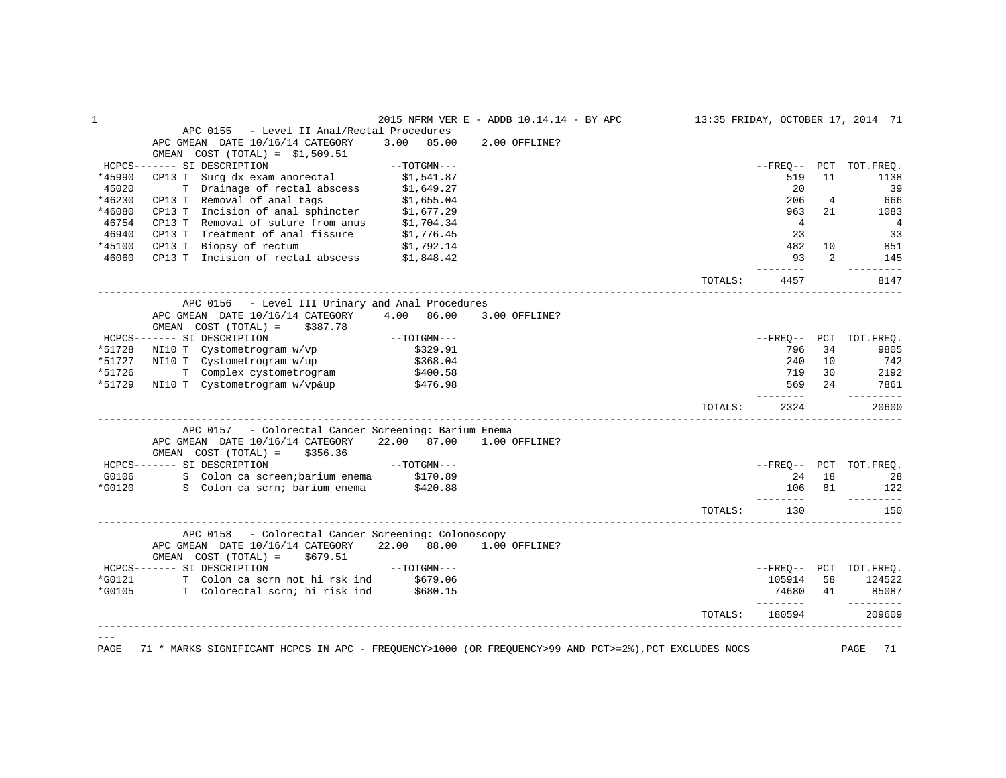| $\mathbf 1$ |                                                                                                                                   |                                                                                               | 2015 NFRM VER E - ADDB 10.14.14 - BY APC 13:35 FRIDAY, OCTOBER 17, 2014 71 |         |                   |                |                               |
|-------------|-----------------------------------------------------------------------------------------------------------------------------------|-----------------------------------------------------------------------------------------------|----------------------------------------------------------------------------|---------|-------------------|----------------|-------------------------------|
|             | APC 0155 - Level II Anal/Rectal Procedures                                                                                        |                                                                                               |                                                                            |         |                   |                |                               |
|             | APC GMEAN DATE 10/16/14 CATEGORY                                                                                                  | 3.00 85.00                                                                                    | 2.00 OFFLINE?                                                              |         |                   |                |                               |
|             | GMEAN $COST (TOTAL) = $1,509.51$                                                                                                  |                                                                                               |                                                                            |         |                   |                |                               |
|             | HCPCS------- SI DESCRIPTION                                                                                                       |                                                                                               |                                                                            |         |                   |                | --FREQ-- PCT TOT.FREQ.        |
| *45990      |                                                                                                                                   |                                                                                               |                                                                            |         | 519               | 11             | 1138                          |
| 45020       |                                                                                                                                   |                                                                                               |                                                                            |         | 20                |                | 39                            |
| *46230      |                                                                                                                                   |                                                                                               |                                                                            |         | 206               | $\overline{4}$ | 666                           |
| *46080      | T Drainage of rectal abscess \$1,649.27<br>CP13 T Removal of anal tags \$1,655.04<br>CP13 T Incision of anal sphincter \$1,677.29 |                                                                                               |                                                                            |         | 963               | 21             | 1083                          |
| 46754       | CP13 T Removal of suture from anus $$1,704.34$<br>CP13 T Treatment of anal fissure $$1,776.45$                                    |                                                                                               |                                                                            |         |                   |                | $\overline{4}$                |
| 46940       |                                                                                                                                   |                                                                                               |                                                                            |         | 23                |                | 33                            |
| *45100      |                                                                                                                                   |                                                                                               |                                                                            |         | 482               | 10             | 851                           |
| 46060       | CP13 T Biopsy of rectum $$1,792.14$<br>CP13 T Incision of rectal abscess $$1,848.42$                                              |                                                                                               |                                                                            |         | 93                | 2              | 145                           |
|             |                                                                                                                                   |                                                                                               |                                                                            | TOTALS: | ---------<br>4457 |                | ----------<br>8147            |
|             | APC 0156 - Level III Urinary and Anal Procedures                                                                                  |                                                                                               |                                                                            |         |                   |                |                               |
|             | APC GMEAN DATE 10/16/14 CATEGORY 4.00 86.00 3.00 OFFLINE?                                                                         |                                                                                               |                                                                            |         |                   |                |                               |
|             | GMEAN COST $(TOTAL) = $387.78$                                                                                                    |                                                                                               |                                                                            |         |                   |                |                               |
|             | HCPCS------- SI DESCRIPTION                                                                                                       | $--TOTGMN---$                                                                                 |                                                                            |         |                   |                | --FREQ-- PCT TOT.FREQ.        |
|             | *51728 NI10 T Cystometrogram w/vp \$329.91                                                                                        |                                                                                               |                                                                            |         | 796               | 34             | 9805                          |
|             | *51727 NI10 T Cystometrogram w/up<br>*51726 T Complex cystometrogram                                                              | \$368.04                                                                                      |                                                                            |         | 240               | 10             | 742<br>$142$<br>2192          |
|             |                                                                                                                                   | \$400.58                                                                                      |                                                                            |         | 719               | 30             |                               |
|             | *51729 NI10 T Cystometrogram w/vp&up \$476.98                                                                                     |                                                                                               |                                                                            |         | 569               | 24             | 7861<br>----------            |
|             |                                                                                                                                   |                                                                                               |                                                                            | TOTALS: | 2324              |                | 20600                         |
|             | APC 0157 - Colorectal Cancer Screening: Barium Enema                                                                              |                                                                                               |                                                                            |         |                   |                |                               |
|             | APC GMEAN DATE 10/16/14 CATEGORY 22.00 87.00 1.00 OFFLINE?<br>GMEAN $COST (TOTAL) = $356.36$                                      |                                                                                               |                                                                            |         |                   |                |                               |
|             | $--\texttt{TOTGMN---}$<br>HCPCS------- SI DESCRIPTION                                                                             |                                                                                               |                                                                            |         |                   |                | --FREO-- PCT TOT.FREO.        |
|             |                                                                                                                                   |                                                                                               |                                                                            |         |                   |                | 24 18 28                      |
|             | G0106 S Colon ca screen; barium enema \$170.89<br>*G0120 S Colon ca scrn; barium enema \$420.88                                   |                                                                                               |                                                                            |         |                   |                | 106 81 122                    |
|             |                                                                                                                                   |                                                                                               |                                                                            | TOTALS: | 130               |                | ----------<br>150             |
|             | APC 0158 - Colorectal Cancer Screening: Colonoscopy                                                                               |                                                                                               |                                                                            |         |                   |                |                               |
|             | APC GMEAN DATE 10/16/14 CATEGORY 22.00 88.00 1.00 OFFLINE?<br>GMEAN $COST (TOTAL) = $679.51$                                      |                                                                                               |                                                                            |         |                   |                |                               |
|             | HCPCS------- SI DESCRIPTION                                                                                                       | $\begin{array}{cc} \leftarrow & \circ & \cdot \circ \cdot \circ \bot \end{array}$ --TOTGMN--- |                                                                            |         |                   |                | --FREQ-- PCT TOT.FREQ.        |
|             | *G0121 T Colon ca scrn not hi rsk ind \$679.06                                                                                    |                                                                                               |                                                                            |         | 105914 58         |                | 124522                        |
|             | *G0105 T Colorectal scrn; hi risk ind \$680.15                                                                                    |                                                                                               |                                                                            |         |                   |                | 74680 41 85087                |
|             |                                                                                                                                   |                                                                                               |                                                                            |         | ---------         |                | $- - - - - - - - -$<br>209609 |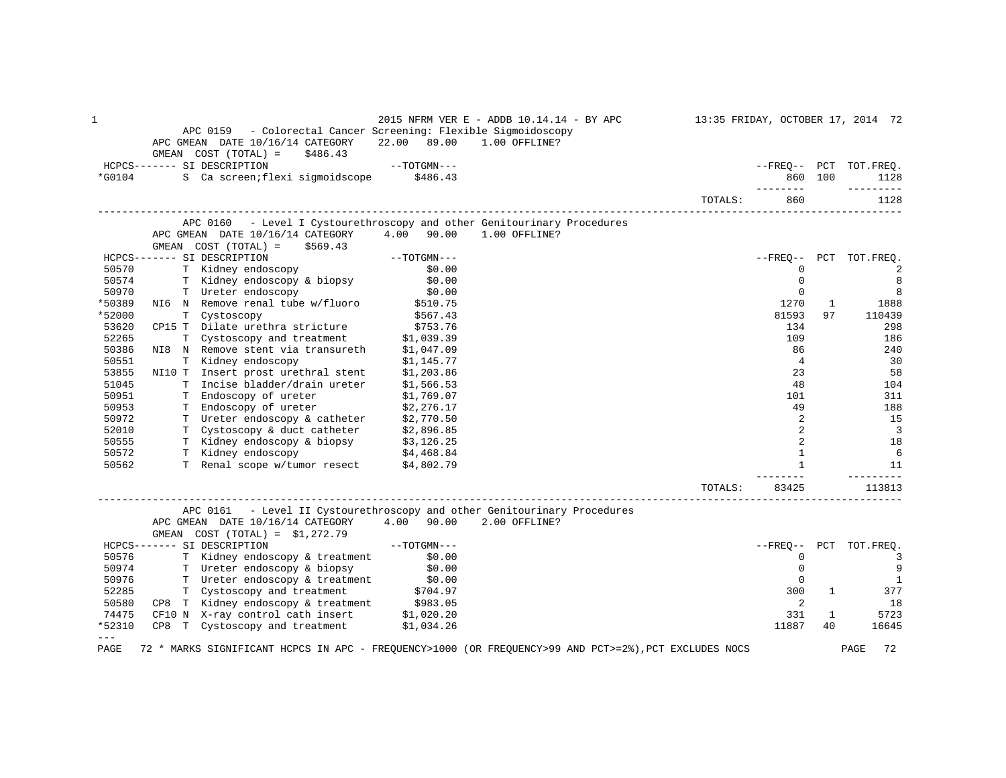| 1      | APC 0159 - Colorectal Cancer Screening: Flexible Sigmoidoscopy<br>APC GMEAN DATE 10/16/14 CATEGORY 22.00 89.00 1.00 OFFLINE?<br>GMEAN $COST (TOTAL) = $486.43$                                                                                  |                                  | 2015 NFRM VER E - ADDB 10.14.14 - BY APC | 13:35 FRIDAY, OCTOBER 17, 2014 72 |                   |              |                          |
|--------|-------------------------------------------------------------------------------------------------------------------------------------------------------------------------------------------------------------------------------------------------|----------------------------------|------------------------------------------|-----------------------------------|-------------------|--------------|--------------------------|
|        | HCPCS------- SI DESCRIPTION                                                                                                                                                                                                                     | $\label{eq:1} --{\tt TOTGMN---}$ |                                          |                                   |                   |              | --FREO-- PCT TOT.FREO.   |
| *G0104 | S Ca screen; flexi sigmoidscope \$486.43                                                                                                                                                                                                        |                                  |                                          |                                   |                   | 860 100      | 1128                     |
|        |                                                                                                                                                                                                                                                 |                                  |                                          |                                   | . _ _ _ _ _ _ _ _ |              | ---------                |
|        |                                                                                                                                                                                                                                                 |                                  |                                          | TOTALS:                           | 860               |              | 1128                     |
|        | APC 0160 - Level I Cystourethroscopy and other Genitourinary Procedures                                                                                                                                                                         |                                  |                                          |                                   |                   |              |                          |
|        | APC GMEAN DATE 10/16/14 CATEGORY 4.00 90.00 1.00 OFFLINE?                                                                                                                                                                                       |                                  |                                          |                                   |                   |              |                          |
|        | $GMEAN$ $COST$ $(TOTAL) = $569.43$                                                                                                                                                                                                              |                                  |                                          |                                   |                   |              |                          |
|        | SI DESCRIPTION -- 70TGMN---<br>T Kidney endoscopy \$0.00<br>T Kidney endoscopy & biopsy \$0.00<br>HCPCS------- SI DESCRIPTION                                                                                                                   |                                  |                                          |                                   |                   |              | --FREO-- PCT TOT.FREO.   |
| 50570  |                                                                                                                                                                                                                                                 |                                  |                                          |                                   | $\Omega$          |              | $\overline{2}$           |
| 50574  |                                                                                                                                                                                                                                                 |                                  |                                          |                                   | $\overline{0}$    |              | 8                        |
| 50970  | T Ureter endoscopy                                                                                                                                                                                                                              | \$0.00                           |                                          |                                   | $\mathbf 0$       |              | 8                        |
| *50389 | NI6 N Remove renal tube w/fluoro $$510.75$                                                                                                                                                                                                      |                                  |                                          |                                   | 1270              | $\mathbf{1}$ | 1888                     |
| *52000 | T Cystoscopy<br>CP15 T Dilate urethra stricture<br>T Cystoscopy and treatment<br>T Cystoscopy and treatment<br>S1,039.39                                                                                                                        |                                  |                                          |                                   | 81593             | 97           | 110439                   |
| 53620  |                                                                                                                                                                                                                                                 |                                  |                                          |                                   | 134               |              | 298                      |
| 52265  |                                                                                                                                                                                                                                                 |                                  |                                          |                                   | 109               |              | 186                      |
| 50386  |                                                                                                                                                                                                                                                 |                                  |                                          |                                   | 86                |              | 240                      |
| 50551  | NI8 N Remove stent via transureth \$1,047.09<br>T Kidney endoscopy \$1,145.77                                                                                                                                                                   |                                  |                                          |                                   | $\overline{4}$    |              | 30                       |
| 53855  |                                                                                                                                                                                                                                                 |                                  |                                          |                                   | 23                |              | 58                       |
| 51045  | NI10 T Insert prost urethral stent \$1,203.86<br>T Incise bladder/drain ureter \$1,566.53                                                                                                                                                       |                                  |                                          |                                   | 48                |              | 104                      |
| 50951  | T Endoscopy of ureter                                                                                                                                                                                                                           | \$1,769.07                       |                                          |                                   | 101               |              | 311                      |
| 50953  | Thus copy of ureter $$2,276.17$<br>The endoscopy of ureter $$2,276.17$<br>The endoscopy & catheter $$2,770.50$<br>The endoscopy & duct catheter $$2,896.85$<br>The endoscopy & biopsy $$3,126.25$<br>The endoscopy $$4,468.84$<br>The end scope |                                  |                                          |                                   | 49                |              | 188                      |
| 50972  |                                                                                                                                                                                                                                                 |                                  |                                          |                                   | 2                 |              | 15                       |
| 52010  |                                                                                                                                                                                                                                                 |                                  |                                          |                                   | 2                 |              | $\overline{\phantom{a}}$ |
| 50555  |                                                                                                                                                                                                                                                 |                                  |                                          |                                   | 2                 |              | 18                       |
| 50572  |                                                                                                                                                                                                                                                 |                                  |                                          |                                   | $\mathbf{1}$      |              | 6                        |
|        |                                                                                                                                                                                                                                                 |                                  |                                          |                                   | $\mathbf{1}$      |              |                          |
| 50562  |                                                                                                                                                                                                                                                 |                                  |                                          |                                   |                   |              | 11                       |
|        |                                                                                                                                                                                                                                                 |                                  |                                          | TOTALS:                           | 83425             |              | 113813                   |
|        | APC 0161 - Level II Cystourethroscopy and other Genitourinary Procedures                                                                                                                                                                        |                                  |                                          |                                   |                   |              |                          |
|        | APC GMEAN DATE 10/16/14 CATEGORY 4.00 90.00 2.00 OFFLINE?                                                                                                                                                                                       |                                  |                                          |                                   |                   |              |                          |
|        | GMEAN $COST (TOTAL) = $1,272.79$                                                                                                                                                                                                                |                                  |                                          |                                   |                   |              |                          |
|        | $--TOTGMN---$<br>HCPCS------- SI DESCRIPTION                                                                                                                                                                                                    |                                  |                                          |                                   |                   |              | --FREO-- PCT TOT.FREO.   |
| 50576  | T Kidney endoscopy & treatment \$0.00                                                                                                                                                                                                           |                                  |                                          |                                   | $\circ$           |              | $\overline{3}$           |
|        |                                                                                                                                                                                                                                                 |                                  |                                          |                                   | $\mathbf{0}$      |              | 9                        |
|        | 50974 Tueter endoscopy & biopsy<br>50974 Tueter endoscopy & biopsy<br>50976 Tueter endoscopy & treatment \$0.00<br>52285 T Cystoscopy and treatment \$704.97<br>50580 CP8 T Kidney endoscopy & treatment \$983.05<br>74475 CF10 N X-ray con     |                                  |                                          |                                   | $\mathbf{0}$      |              | $\overline{1}$           |
|        |                                                                                                                                                                                                                                                 |                                  |                                          |                                   | 300               | $\mathbf{1}$ | 377                      |
|        |                                                                                                                                                                                                                                                 |                                  |                                          |                                   | 2                 |              | 18                       |
|        |                                                                                                                                                                                                                                                 |                                  |                                          |                                   | 331               | 1            | 5723                     |
| *52310 | CP8 T Cystoscopy and treatment \$1,034.26                                                                                                                                                                                                       |                                  |                                          |                                   | 11887             | 40           | 16645                    |
| $---$  |                                                                                                                                                                                                                                                 |                                  |                                          |                                   |                   |              |                          |
| PAGE   | 72 * MARKS SIGNIFICANT HCPCS IN APC - FREQUENCY>1000 (OR FREQUENCY>99 AND PCT>=2%), PCT EXCLUDES NOCS                                                                                                                                           |                                  |                                          |                                   |                   |              | 72<br>PAGE               |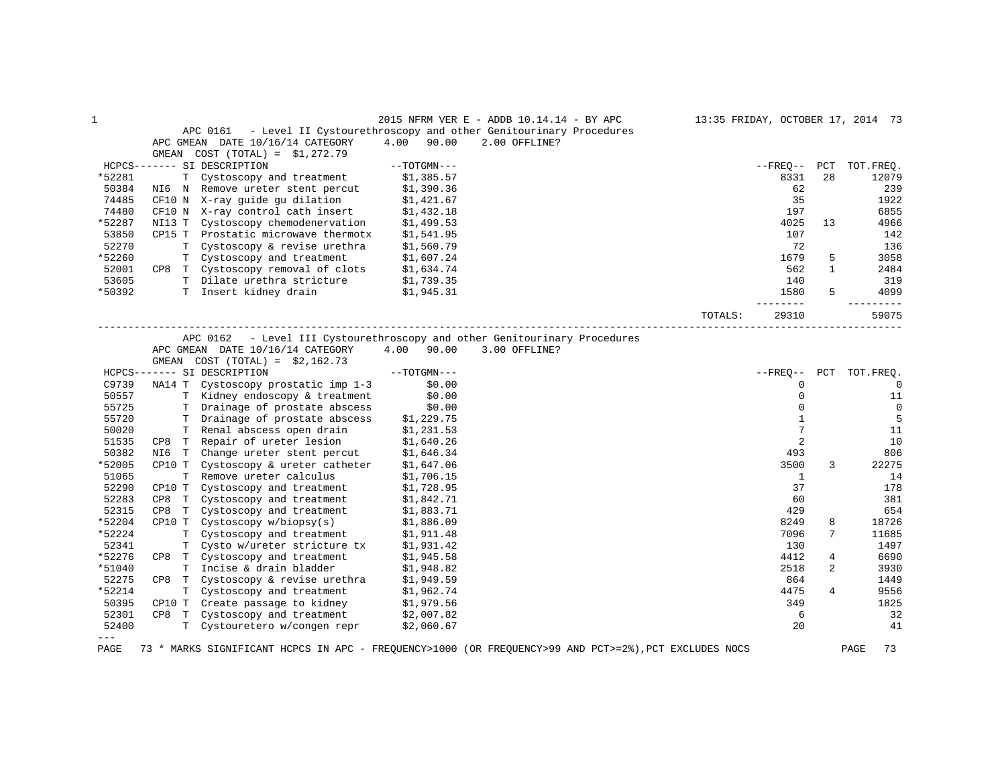|               |                    |                                     |               | 2015 NFRM VER E - ADDB $10.14.14$ - BY APC                      | 13:35 FRIDAY, OCTOBER 17, 2014 73 |            |     |           |
|---------------|--------------------|-------------------------------------|---------------|-----------------------------------------------------------------|-----------------------------------|------------|-----|-----------|
|               |                    | APC 0161                            |               | - Level II Cystourethroscopy and other Genitourinary Procedures |                                   |            |     |           |
|               | APC GMEAN          | DATE 10/16/14 CATEGORY              | 90.00<br>4.00 | 2.00 OFFLINE?                                                   |                                   |            |     |           |
|               | GMEAN              | $COST (TOTAL) = $1,272.79$          |               |                                                                 |                                   |            |     |           |
| $HCPCS------$ |                    | SI DESCRIPTION                      | $--TOTGMN---$ |                                                                 |                                   | $- FREO--$ | PCT | TOT.FREO. |
| *52281        |                    | T Cystoscopy and treatment          | \$1,385.57    |                                                                 |                                   | 8331       | 2.8 | 12079     |
| 50384         | NI6<br>$\mathbb N$ | Remove ureter stent percut          | \$1,390.36    |                                                                 |                                   | 62         |     | 239       |
| 74485         |                    | CF10 N X-ray guide gu dilation      | \$1,421.67    |                                                                 |                                   | 35         |     | 1922      |
| 74480         |                    | CF10 N X-ray control cath insert    | \$1,432.18    |                                                                 |                                   | 197        |     | 6855      |
| *52287        |                    | NI13 T Cystoscopy chemodenervation  | \$1,499.53    |                                                                 |                                   | 4025       | 13  | 4966      |
| 53850         |                    | CP15 T Prostatic microwave thermotx | \$1,541.95    |                                                                 |                                   | 107        |     | 142       |
| 52270         |                    | T Cystoscopy & revise urethra       | \$1,560.79    |                                                                 |                                   | 72         |     | 136       |
| *52260        |                    | T Cystoscopy and treatment          | \$1,607.24    |                                                                 |                                   | 1679       | 5.  | 3058      |
| 52001         | CP8                | T Cystoscopy removal of clots       | \$1,634.74    |                                                                 |                                   | 562        |     | 2484      |
| 53605         |                    | T Dilate urethra stricture          | \$1,739.35    |                                                                 |                                   | 140        |     | 319       |
| *50392        |                    | Insert kidney drain                 | \$1,945.31    |                                                                 |                                   | 1580       | 5   | 4099      |
|               |                    |                                     |               |                                                                 | TOTALS:                           | 29310      |     | 59075     |
|               |                    |                                     |               |                                                                 |                                   |            |     |           |

APC 0162 - Level III Cystourethroscopy and other Genitourinary Procedures

APC GMEAN DATE  $10/16/14$  CATEGORY  $4.00$   $90.00$  3.00 OFFLINE?

|          | GMEAN    | $COST (TOTAL) = $2,162.73$   |               |            |     |             |
|----------|----------|------------------------------|---------------|------------|-----|-------------|
| $HCPCS-$ | ------   | SI DESCRIPTION               | $--TOTGMN---$ | $- FREQ--$ | PCT | TOT.FREQ.   |
| C9739    | NA14 T   | Cystoscopy prostatic imp 1-3 | \$0.00        |            |     | 0           |
| 50557    | т        | Kidney endoscopy & treatment | \$0.00        |            |     | 11          |
| 55725    |          | Drainage of prostate abscess | \$0.00        |            |     | $\mathbf 0$ |
| 55720    |          | Drainage of prostate abscess | \$1,229.75    |            |     | 5           |
| 50020    |          | Renal abscess open drain     | \$1,231.53    |            |     | 11          |
| 51535    | CP8<br>т | Repair of ureter lesion      | \$1,640.26    |            |     | 10          |
| 50382    | NI6<br>T | Change ureter stent percut   | \$1,646.34    | 493        |     | 806         |
| *52005   | CP10 T   | Cystoscopy & ureter catheter | \$1,647.06    | 3500       | 3   | 22275       |
| 51065    | т        | Remove ureter calculus       | \$1,706.15    |            |     | 14          |
| 52290    | CP10 T   | Cystoscopy and treatment     | \$1,728.95    | 37         |     | 178         |
| 52283    | CP8<br>т | Cystoscopy and treatment     | \$1,842.71    | 60         |     | 381         |
| 52315    | CP8<br>т | Cystoscopy and treatment     | \$1,883.71    | 429        |     | 654         |
| *52204   | CP10 T   | Cystoscopy w/biopy(s)        | \$1,886.09    | 8249       | 8   | 18726       |
| *52224   |          | Cystoscopy and treatment     | \$1,911.48    | 7096       | 7   | 11685       |
| 52341    |          | Cysto w/ureter stricture tx  | \$1,931.42    | 130        |     | 1497        |
| *52276   | CP8<br>T | Cystoscopy and treatment     | \$1,945.58    | 4412       | 4   | 6690        |
| *51040   | т        | Incise & drain bladder       | \$1,948.82    | 2518       | 2   | 3930        |
| 52275    | CP8<br>т | Cystoscopy & revise urethra  | \$1,949.59    | 864        |     | 1449        |
| *52214   |          | Cystoscopy and treatment     | \$1,962.74    | 4475       | 4   | 9556        |
| 50395    | CP10 T   | Create passage to kidney     | \$1,979.56    | 349        |     | 1825        |
| 52301    | CP8<br>т | Cystoscopy and treatment     | \$2,007.82    | 6          |     | 32          |
| 52400    |          | Cystouretero w/congen repr   | \$2,060.67    | 20         |     | 41          |
| ---      |          |                              |               |            |     |             |

PAGE 73 \* MARKS SIGNIFICANT HCPCS IN APC - FREQUENCY>1000 (OR FREQUENCY>99 AND PCT>=2%),PCT EXCLUDES NOCS PAGE 73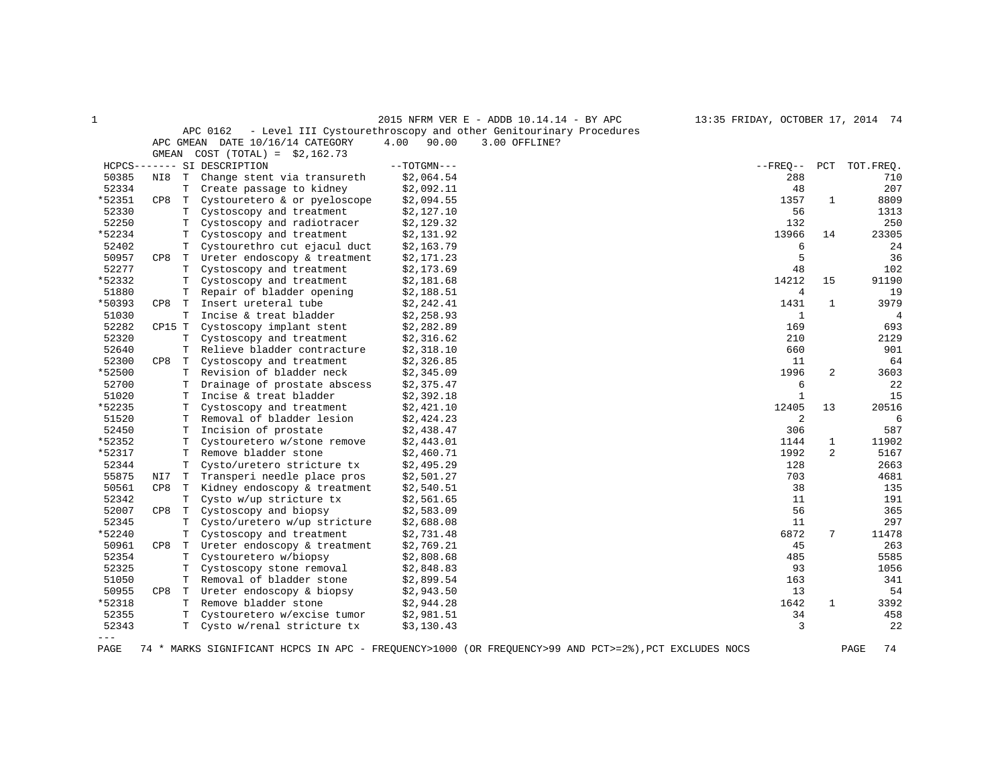|        |        |    |                                  |               | 2015 NFRM VER E - ADDB 10.14.14 - BY APC                         | 13:35 FRIDAY, OCTOBER 17, 2014 74 |              |           |
|--------|--------|----|----------------------------------|---------------|------------------------------------------------------------------|-----------------------------------|--------------|-----------|
|        |        |    | APC 0162                         |               | - Level III Cystourethroscopy and other Genitourinary Procedures |                                   |              |           |
|        |        |    | APC GMEAN DATE 10/16/14 CATEGORY | 4.00<br>90.00 | 3.00 OFFLINE?                                                    |                                   |              |           |
|        | GMEAN  |    | $COST (TOTAL) = $2,162.73$       |               |                                                                  |                                   |              |           |
|        |        |    | HCPCS------- SI DESCRIPTION      | $--TOTGMN---$ |                                                                  | $- FREO--$                        | PCT          | TOT.FREO. |
| 50385  | NI8    | T  | Change stent via transureth      | \$2,064.54    |                                                                  | 288                               |              | 710       |
| 52334  |        |    | T Create passage to kidney       | \$2,092.11    |                                                                  | 48                                |              | 207       |
| *52351 | CP8    | T  | Cystouretero & or pyeloscope     | \$2,094.55    |                                                                  | 1357                              | 1            | 8809      |
| 52330  |        | т  | Cystoscopy and treatment         | \$2,127.10    |                                                                  | 56                                |              | 1313      |
| 52250  |        | т  | Cystoscopy and radiotracer       | \$2,129.32    |                                                                  | 132                               |              | 250       |
| *52234 |        | Т  | Cystoscopy and treatment         | \$2,131.92    |                                                                  | 13966                             | 14           | 23305     |
| 52402  |        | T. | Cystourethro cut ejacul duct     | \$2,163.79    |                                                                  | 6                                 |              | 24        |
| 50957  | CP8    | T. | Ureter endoscopy & treatment     | \$2,171.23    |                                                                  | 5                                 |              | 36        |
| 52277  |        | T. | Cystoscopy and treatment         | \$2,173.69    |                                                                  | 48                                |              | 102       |
| *52332 |        | т  | Cystoscopy and treatment         | \$2,181.68    |                                                                  | 14212                             | 15           | 91190     |
| 51880  |        | т  | Repair of bladder opening        | \$2,188.51    |                                                                  | $\overline{4}$                    |              | 19        |
| *50393 | CP8    | T. | Insert ureteral tube             | \$2,242.41    |                                                                  | 1431                              | $\mathbf{1}$ | 3979      |
| 51030  |        | т  | Incise & treat bladder           | \$2,258.93    |                                                                  | 1                                 |              | 4         |
| 52282  | CP15 T |    | Cystoscopy implant stent         | \$2,282.89    |                                                                  | 169                               |              | 693       |
| 52320  |        | Т  | Cystoscopy and treatment         | \$2,316.62    |                                                                  | 210                               |              | 2129      |
| 52640  |        | Т  | Relieve bladder contracture      | \$2,318.10    |                                                                  | 660                               |              | 901       |
| 52300  | CP8    | T. | Cystoscopy and treatment         | \$2,326.85    |                                                                  | 11                                |              | 64        |
| *52500 |        | T. | Revision of bladder neck         | \$2,345.09    |                                                                  | 1996                              | 2            | 3603      |
| 52700  |        | т  | Drainage of prostate abscess     | \$2,375.47    |                                                                  | 6                                 |              | 22        |
| 51020  |        | T. | Incise & treat bladder           | \$2,392.18    |                                                                  | $\mathbf{1}$                      |              | 15        |
| *52235 |        | т  | Cystoscopy and treatment         | \$2,421.10    |                                                                  | 12405                             | 13           | 20516     |
| 51520  |        | T  | Removal of bladder lesion        | \$2,424.23    |                                                                  | $\overline{c}$                    |              | 6         |
| 52450  |        | Т  | Incision of prostate             | \$2,438.47    |                                                                  | 306                               |              | 587       |
| *52352 |        | т  | Cystouretero w/stone remove      | \$2,443.01    |                                                                  | 1144                              | 1            | 11902     |
| *52317 |        | T  | Remove bladder stone             | \$2,460.71    |                                                                  | 1992                              | 2            | 5167      |
| 52344  |        | T  | Cysto/uretero stricture tx       | \$2,495.29    |                                                                  | 128                               |              | 2663      |
| 55875  | NI7    | T. | Transperi needle place pros      | \$2,501.27    |                                                                  | 703                               |              | 4681      |
| 50561  | CP8    |    | T Kidney endoscopy & treatment   | \$2,540.51    |                                                                  | 38                                |              | 135       |
| 52342  |        | т  | Cysto w/up stricture tx          | \$2,561.65    |                                                                  | 11                                |              | 191       |
| 52007  | CP8    | T  | Cystoscopy and biopsy            | \$2,583.09    |                                                                  | 56                                |              | 365       |
| 52345  |        | T  | Cysto/uretero w/up stricture     | \$2,688.08    |                                                                  | 11                                |              | 297       |
| *52240 |        | т  | Cystoscopy and treatment         | \$2,731.48    |                                                                  | 6872                              | 7            | 11478     |
| 50961  | CP8    | T  | Ureter endoscopy & treatment     | \$2,769.21    |                                                                  | 45                                |              | 263       |
| 52354  |        | т  | Cystouretero w/biopsy            | \$2,808.68    |                                                                  | 485                               |              | 5585      |
| 52325  |        | т  | Cystoscopy stone removal         | \$2,848.83    |                                                                  | 93                                |              | 1056      |
| 51050  |        | T. | Removal of bladder stone         | \$2,899.54    |                                                                  | 163                               |              | 341       |
| 50955  | CP8    | T  | Ureter endoscopy & biopsy        | \$2,943.50    |                                                                  | 13                                |              | 54        |
| *52318 |        | Т  | Remove bladder stone             | \$2,944.28    |                                                                  | 1642                              | $\mathbf{1}$ | 3392      |
| 52355  |        | T. | Cystouretero w/excise tumor      | \$2,981.51    |                                                                  | 34                                |              | 458       |
| 52343  |        | T. | Cysto w/renal stricture tx       | \$3,130.43    |                                                                  | 3                                 |              | 22        |
| $---$  |        |    |                                  |               |                                                                  |                                   |              |           |

PAGE 74 \* MARKS SIGNIFICANT HCPCS IN APC - FREQUENCY>1000 (OR FREQUENCY>99 AND PCT>=2%),PCT EXCLUDES NOCS PAGE 74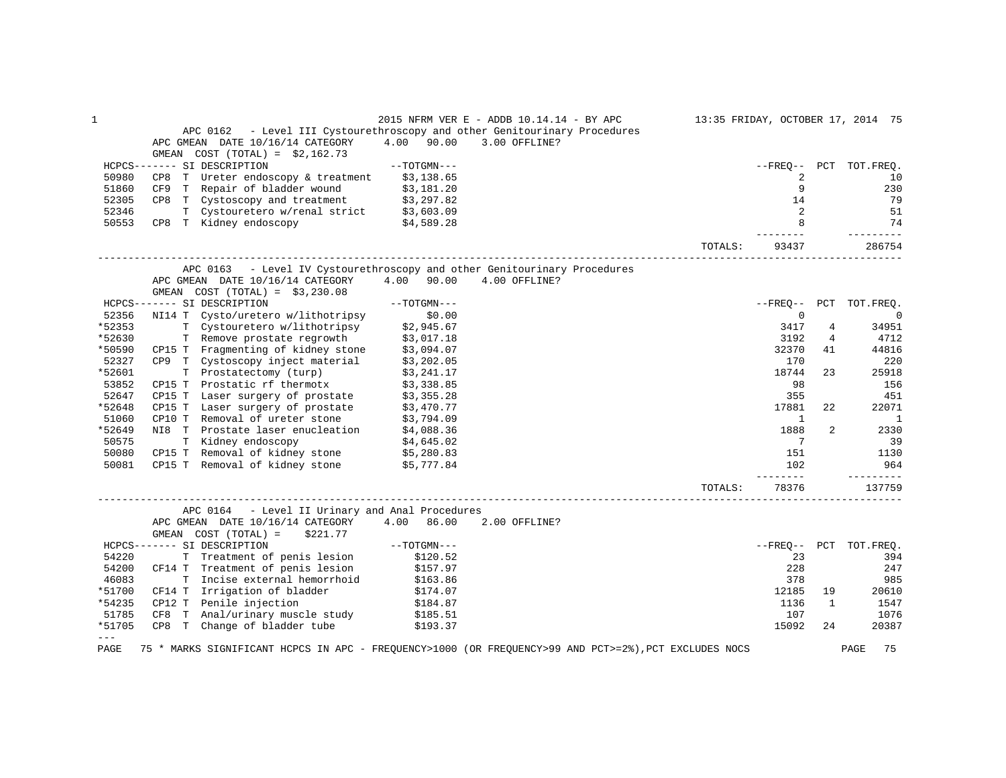| $\mathbf{1}$  | 2015 NFRM VER E - ADDB 10.14.14 - BY APC 13:35 FRIDAY, OCTOBER 17, 2014 75                                                        |         |                   |                |                        |
|---------------|-----------------------------------------------------------------------------------------------------------------------------------|---------|-------------------|----------------|------------------------|
|               | APC 0162 - Level III Cystourethroscopy and other Genitourinary Procedures                                                         |         |                   |                |                        |
|               | APC GMEAN DATE 10/16/14 CATEGORY<br>4.00 90.00<br>3.00 OFFLINE?                                                                   |         |                   |                |                        |
|               | GMEAN $COST (TOTAL) = $2,162.73$                                                                                                  |         |                   |                |                        |
|               | HCPCS------- SI DESCRIPTION<br>--TOTGMN---                                                                                        |         |                   |                | --FREO-- PCT TOT.FREO. |
| 50980         | CP8 T Ureter endoscopy & treatment $$3,138.65$                                                                                    |         | 2                 |                | 10                     |
| 51860         | CF9 T Repair of bladder wound \$3,181.20<br>CP8 T Cystoscopy and treatment \$3,297.82<br>T Cystouretero w/renal strict \$3,603.09 |         | 9                 |                | 230                    |
| 52305         |                                                                                                                                   |         | 14                |                | 79                     |
| 52346         |                                                                                                                                   |         | 2                 |                | 51                     |
| 50553         | CP8 T Kidney endoscopy \$4,589.28                                                                                                 |         | 8                 |                | 74                     |
|               |                                                                                                                                   | TOTALS: | 93437             |                | 286754                 |
|               | APC 0163 - Level IV Cystourethroscopy and other Genitourinary Procedures                                                          |         |                   |                |                        |
|               | APC GMEAN DATE 10/16/14 CATEGORY 4.00 90.00<br>4.00 OFFLINE?                                                                      |         |                   |                |                        |
|               | GMEAN $COST (TOTAL) = $3,230.08$                                                                                                  |         |                   |                |                        |
|               | HCPCS------- SI DESCRIPTION<br>$--TOTGMN---$                                                                                      |         |                   |                | --FREO-- PCT TOT.FREO. |
| 52356         | NI14 T Cysto/uretero w/lithotripsy<br>\$0.00                                                                                      |         | $\overline{0}$    |                | $\mathbf 0$            |
| *52353        | T Cystouretero w/lithotripsy \$2,945.67                                                                                           |         | 3417              | 4              | 34951                  |
| *52630        |                                                                                                                                   |         | 3192              | $\overline{4}$ | 4712                   |
| *50590        | T Remove prostate regrowth \$3,017.18<br>CP15 T Fragmenting of kidney stone \$3,094.07                                            |         | 32370             | 41             | 44816                  |
| 52327         |                                                                                                                                   |         | 170               |                | 220                    |
| *52601        | CP9 T Cystoscopy inject material \$3,202.05<br>T Prostatectomy (turp) \$3,241.17                                                  |         | 18744             | 23             | 25918                  |
| 53852         |                                                                                                                                   |         | 98                |                | 156                    |
| 52647         | CP15 T Prostatic rf thermotx \$3,338.85<br>CP15 T Laser surgery of prostate \$3,355.28                                            |         | 355               |                | 451                    |
| *52648        | CP15 T Laser surgery of prostate \$3,470.77                                                                                       |         | 17881             | 22             | 22071                  |
| 51060         |                                                                                                                                   |         | <sup>1</sup>      |                | <sup>1</sup>           |
| *52649        | CP10 T Removal of ureter stone \$3,794.09<br>NI8 T Prostate laser enucleation \$4,088.36                                          |         | 1888              | 2              | 2330                   |
| 50575         |                                                                                                                                   |         | $\overline{7}$    |                | 39                     |
| 50080         | \$4,645.02<br>CP15 T Removal of kidney stone \$5,280.83                                                                           |         | 151               |                | 1130                   |
| 50081         | CP15 T Removal of kidney stone \$5,777.84                                                                                         |         | 102               |                | 964                    |
|               |                                                                                                                                   | TOTALS: | --------<br>78376 |                | ----------<br>137759   |
|               | APC 0164 - Level II Urinary and Anal Procedures                                                                                   |         |                   |                |                        |
|               | APC GMEAN DATE 10/16/14 CATEGORY 4.00 86.00<br>2.00 OFFLINE?                                                                      |         |                   |                |                        |
|               | GMEAN COST (TOTAL) =<br>\$221.77                                                                                                  |         |                   |                |                        |
|               | HCPCS------- SI DESCRIPTION                                                                                                       |         |                   |                | --FREO-- PCT TOT.FREO. |
| 54220         |                                                                                                                                   |         | 23                |                | 394                    |
| 54200         | CF14 T Treatment of penis lesion                                                                                                  |         | 228               |                | 247                    |
| 46083         | T Incise external hemorrhoid                                                                                                      |         | 378               |                | 985                    |
| *51700        | \$163.86<br>\$174.07<br>CF14 T Irrigation of bladder                                                                              |         | 12185             | 19             | 20610                  |
| *54235        | CP12 T Penile injection<br>\$184.87                                                                                               |         | 1136              | $\mathbf{1}$   | 1547                   |
| 51785         | CF8 T Anal/urinary muscle study<br>\$185.51                                                                                       |         | 107               |                | 1076                   |
| *51705        | CP8 T Change of bladder tube \$193.37                                                                                             |         | 15092             | 2.4            | 20387                  |
| $---$<br>PAGE | 75 * MARKS SIGNIFICANT HCPCS IN APC - FREQUENCY>1000 (OR FREQUENCY>99 AND PCT>=2%), PCT EXCLUDES NOCS                             |         |                   |                | 75<br>PAGE             |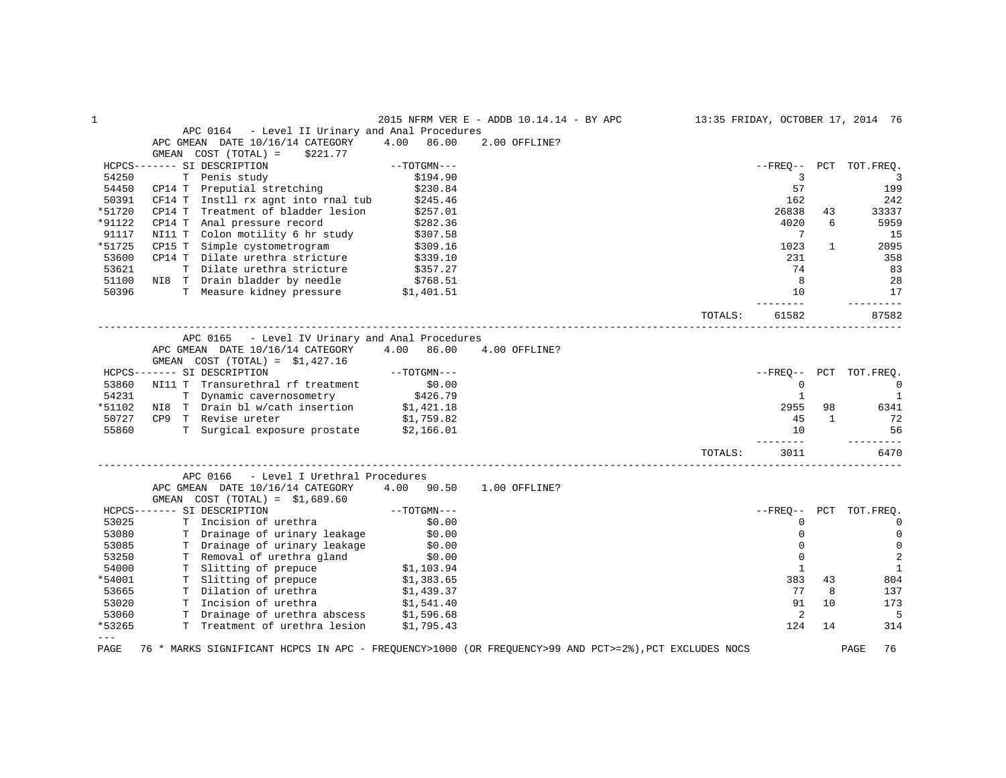| 1      |                                                                                                       |                      | 2015 NFRM VER E - ADDB 10.14.14 - BY APC | 13:35 FRIDAY, OCTOBER 17, 2014 76 |                |              |                        |
|--------|-------------------------------------------------------------------------------------------------------|----------------------|------------------------------------------|-----------------------------------|----------------|--------------|------------------------|
|        | APC 0164 - Level II Urinary and Anal Procedures                                                       |                      |                                          |                                   |                |              |                        |
|        | APC GMEAN DATE 10/16/14 CATEGORY                                                                      | 4.00<br>86.00        | 2.00 OFFLINE?                            |                                   |                |              |                        |
|        | GMEAN COST (TOTAL) =<br>\$221.77                                                                      |                      |                                          |                                   |                |              |                        |
|        | HCPCS------- SI DESCRIPTION                                                                           | $--TOTGMN---$        |                                          |                                   |                |              | --FREO-- PCT TOT.FREO. |
| 54250  | T Penis study                                                                                         | \$194.90             |                                          |                                   | 3              |              | 3                      |
| 54450  | CP14 T Preputial stretching                                                                           | \$230.84             |                                          |                                   | 57             |              | 199                    |
| 50391  | CF14 T Instll rx agnt into rnal tub                                                                   | \$245.46             |                                          |                                   | 162            |              | 242                    |
| *51720 | CP14 T Treatment of bladder lesion                                                                    | \$257.01             |                                          |                                   | 26838          | 43           | 33337                  |
| *91122 | CP14 T<br>Anal pressure record                                                                        | \$282.36             |                                          |                                   | 4020           | 6            | 5959                   |
| 91117  | Colon motility 6 hr study<br>NI11 T                                                                   | \$307.58             |                                          |                                   | 7              |              | 15                     |
| *51725 | CP15 T<br>Simple cystometrogram                                                                       | \$309.16             |                                          |                                   | 1023           | $\mathbf{1}$ | 2095                   |
| 53600  | CP14 T Dilate urethra stricture                                                                       | \$339.10             |                                          |                                   | 231            |              | 358                    |
| 53621  | T Dilate urethra stricture                                                                            | \$357.27             |                                          |                                   | 74             |              | 83                     |
| 51100  |                                                                                                       |                      |                                          |                                   | 8              |              | 28                     |
| 50396  | NI8 T Drain bladder by needle \$768.51<br>T Measure kidney pressure \$1,401.51                        |                      |                                          |                                   | 10             |              | 17                     |
|        |                                                                                                       |                      |                                          |                                   |                |              | $- - - - - -$          |
|        |                                                                                                       |                      |                                          | TOTALS:                           | 61582          |              | 87582                  |
|        | APC 0165 - Level IV Urinary and Anal Procedures                                                       |                      |                                          |                                   |                |              |                        |
|        | APC GMEAN DATE 10/16/14 CATEGORY                                                                      | 4.00 86.00           | 4.00 OFFLINE?                            |                                   |                |              |                        |
|        | GMEAN COST $(TOTAL) = $1,427.16$                                                                      |                      |                                          |                                   |                |              |                        |
|        | HCPCS------- SI DESCRIPTION                                                                           | $--TOTGMN---$        |                                          |                                   | --FRE0--       |              | PCT TOT.FREQ.          |
| 53860  | NI11 T Transurethral rf treatment                                                                     | \$0.00               |                                          |                                   | $\mathbf 0$    |              | $\mathbf 0$            |
| 54231  |                                                                                                       |                      |                                          |                                   | 1              |              | <sup>1</sup>           |
| *51102 |                                                                                                       |                      |                                          |                                   | 2955           | 98           | 6341                   |
| 50727  | T Dynamic cavernosometry 5426.79<br>NI8 T Drain bl w/cath insertion \$1,421.18                        |                      |                                          |                                   |                | $\mathbf{1}$ |                        |
|        | CP9 T Revise ureter<br>\$1,759.82<br>T Surgical exposure prostate \$2,166.01                          |                      |                                          |                                   | 45             |              | 72                     |
| 55860  |                                                                                                       |                      |                                          |                                   | 10<br>-------- |              | 56                     |
|        |                                                                                                       |                      |                                          | TOTALS:                           | 3011           |              | 6470                   |
|        | APC 0166<br>- Level I Urethral Procedures                                                             |                      |                                          |                                   |                |              |                        |
|        | APC GMEAN DATE 10/16/14 CATEGORY                                                                      | 4.00 90.50           | 1.00 OFFLINE?                            |                                   |                |              |                        |
|        | GMEAN $COST (TOTAL) = $1,689.60$                                                                      |                      |                                          |                                   |                |              |                        |
|        | HCPCS------- SI DESCRIPTION                                                                           | $--{\tt TOTGMN---}$  |                                          |                                   | $- FREO--$     | PCT          | TOT.FREQ.              |
| 53025  | T Incision of urethra                                                                                 | \$0.00               |                                          |                                   | 0              |              | $\mathbf 0$            |
| 53080  | T Drainage of urinary leakage                                                                         | \$0.00               |                                          |                                   | $\mathbf 0$    |              | $\mathbf 0$            |
| 53085  |                                                                                                       | \$0.00               |                                          |                                   | $\Omega$       |              | $\mathbf 0$            |
|        | T Drainage of urinary leakage                                                                         |                      |                                          |                                   | $\Omega$       |              |                        |
| 53250  | T Removal of urethra gland                                                                            | \$0.00<br>\$1,103.94 |                                          |                                   |                |              | $\overline{2}$         |
| 54000  | T Slitting of prepuce                                                                                 |                      |                                          |                                   | $\mathbf{1}$   |              | $\mathbf{1}$           |
| *54001 | T Slitting of prepuce \$1,383.65                                                                      |                      |                                          |                                   | 383            | 43           | 804                    |
| 53665  | T Dilation of urethra                                                                                 | \$1,439.37           |                                          |                                   | 77             | 8            | 137                    |
| 53020  | T Incision of urethra                                                                                 | \$1,541.40           |                                          |                                   | 91             | 10           | 173                    |
| 53060  | T Drainage of urethra abscess \$1,596.68                                                              |                      |                                          |                                   | 2              |              | 5                      |
| *53265 | T Treatment of urethra lesion                                                                         | \$1,795.43           |                                          |                                   | 124            | 14           | 314                    |
| $---$  |                                                                                                       |                      |                                          |                                   |                |              |                        |
| PAGE   | 76 * MARKS SIGNIFICANT HCPCS IN APC - FREQUENCY>1000 (OR FREQUENCY>99 AND PCT>=2%), PCT EXCLUDES NOCS |                      |                                          |                                   |                |              | PAGE<br>76             |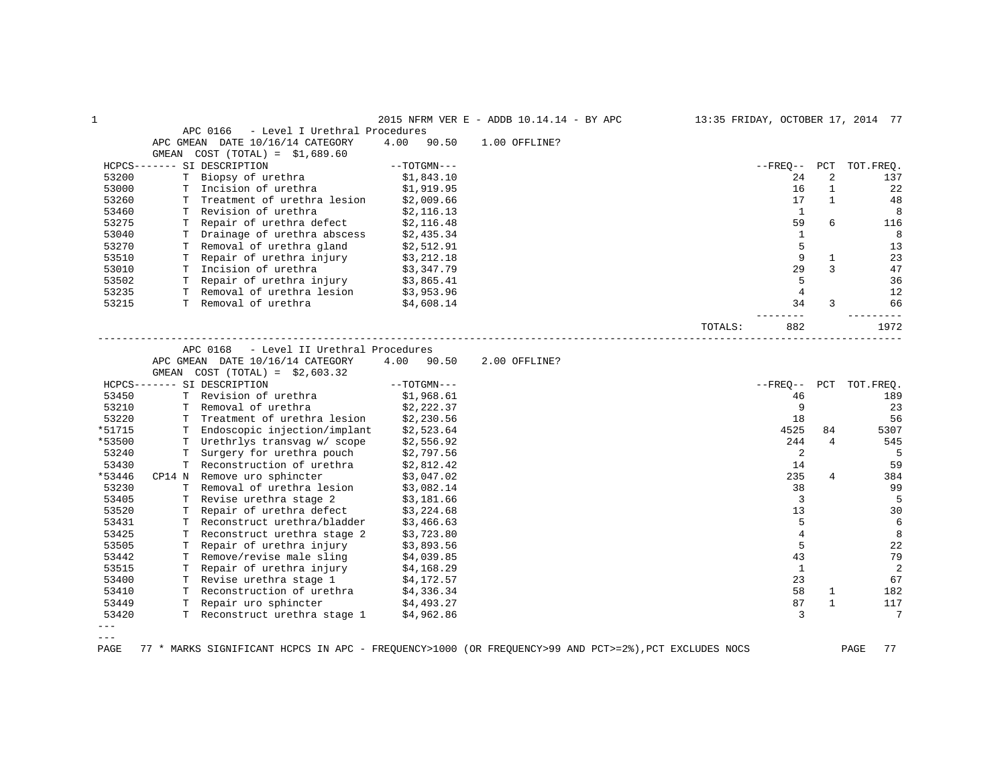| 1      |       |                                            |               | 2015 NFRM VER E - ADDB 10.14.14 - BY APC |         | 13:35 FRIDAY, OCTOBER 17, 2014 77 |                |           |
|--------|-------|--------------------------------------------|---------------|------------------------------------------|---------|-----------------------------------|----------------|-----------|
|        |       | - Level I Urethral Procedures<br>APC 0166  |               |                                          |         |                                   |                |           |
|        |       | APC GMEAN DATE 10/16/14 CATEGORY           | 4.00<br>90.50 | 1.00 OFFLINE?                            |         |                                   |                |           |
|        | GMEAN | $COST (TOTAL) = $1,689.60$                 |               |                                          |         |                                   |                |           |
|        |       | HCPCS------- SI DESCRIPTION                | $--TOTGMN---$ |                                          |         | $- FREO--$                        | PCT            | TOT.FREQ. |
| 53200  |       | T Biopsy of urethra                        | \$1,843.10    |                                          |         | 24                                | 2              | 137       |
| 53000  |       | T Incision of urethra                      | \$1,919.95    |                                          |         | 16                                | $\mathbf{1}$   | 22        |
| 53260  |       | T Treatment of urethra lesion              | \$2,009.66    |                                          |         | 17                                | $\mathbf{1}$   | 48        |
| 53460  |       | T Revision of urethra                      | \$2,116.13    |                                          |         | 1                                 |                | 8         |
| 53275  |       | T Repair of urethra defect                 | \$2,116.48    |                                          |         | 59                                | 6              | 116       |
| 53040  |       | T Drainage of urethra abscess              | \$2,435.34    |                                          |         | $\mathbf{1}$                      |                | 8         |
| 53270  |       | T Removal of urethra gland                 | \$2,512.91    |                                          |         | 5                                 |                | 13        |
| 53510  |       | T Repair of urethra injury                 | \$3,212.18    |                                          |         | 9                                 | $\mathbf{1}$   | 23        |
| 53010  |       | T Incision of urethra                      | \$3,347.79    |                                          |         | 29                                | 3              | 47        |
| 53502  |       | T Repair of urethra injury                 | \$3,865.41    |                                          |         | 5                                 |                | 36        |
| 53235  |       | T Removal of urethra lesion                | \$3,953.96    |                                          |         | $\overline{4}$                    |                | 12        |
| 53215  |       | T Removal of urethra                       | \$4,608.14    |                                          |         | 34                                | 3              | 66        |
|        |       |                                            |               |                                          | TOTALS: | 882                               |                | 1972      |
|        |       |                                            |               |                                          |         |                                   |                |           |
|        |       | - Level II Urethral Procedures<br>APC 0168 |               |                                          |         |                                   |                |           |
|        |       | APC GMEAN DATE 10/16/14 CATEGORY           | 4.00 90.50    | 2.00 OFFLINE?                            |         |                                   |                |           |
|        |       | GMEAN $COST (TOTAL) = $2,603.32$           |               |                                          |         |                                   |                |           |
|        |       | HCPCS------- SI DESCRIPTION                | $--TOTGMN---$ |                                          |         | $- FREQ--$                        | PCT            | TOT.FREO. |
| 53450  |       | T Revision of urethra                      | \$1,968.61    |                                          |         | 46                                |                | 189       |
| 53210  |       | T Removal of urethra                       | \$2,222.37    |                                          |         | 9                                 |                | 23        |
| 53220  |       | T Treatment of urethra lesion              | \$2,230.56    |                                          |         | 18                                |                | 56        |
| *51715 |       | T Endoscopic injection/implant             | \$2,523.64    |                                          |         | 4525                              | 84             | 5307      |
| *53500 |       | T Urethrlys transvag w/ scope              | \$2,556.92    |                                          |         | 244                               | $\overline{4}$ | 545       |
| 53240  |       | T Surgery for urethra pouch                | \$2,797.56    |                                          |         | 2                                 |                | 5         |
| 53430  |       | T Reconstruction of urethra                | \$2,812.42    |                                          |         | 14                                |                | 59        |
| *53446 |       | CP14 N Remove uro sphincter                | \$3,047.02    |                                          |         | 235                               | 4              | 384       |
| 53230  |       | T Removal of urethra lesion                | \$3,082.14    |                                          |         | 38                                |                | 99        |
| 53405  |       | T Revise urethra stage 2                   | \$3,181.66    |                                          |         | 3                                 |                | 5         |
| 53520  | т     | Repair of urethra defect                   | \$3,224.68    |                                          |         | 13                                |                | 30        |
| 53431  |       | T Reconstruct urethra/bladder              | \$3,466.63    |                                          |         | 5                                 |                | 6         |
| 53425  |       | T Reconstruct urethra stage 2              | \$3,723.80    |                                          |         | $\overline{4}$                    |                | 8         |
| 53505  |       | T Repair of urethra injury                 | \$3,893.56    |                                          |         | 5                                 |                | 22        |
| 53442  |       | T Remove/revise male sling                 | \$4,039.85    |                                          |         | 43                                |                | 79        |
| 53515  |       | T Repair of urethra injury                 | \$4,168.29    |                                          |         | $\mathbf{1}$                      |                | 2         |
| 53400  |       | T Revise urethra stage 1                   | \$4,172.57    |                                          |         | 23                                |                | 67        |
| 53410  |       | T Reconstruction of urethra                | \$4,336.34    |                                          |         | 58                                | $\mathbf{1}$   | 182       |
| 53449  |       | T Repair uro sphincter                     | \$4,493.27    |                                          |         | 87                                | 1              | 117       |
| 53420  |       | T Reconstruct urethra stage 1              | \$4,962.86    |                                          |         | 3                                 |                | 7         |
| $---$  |       |                                            |               |                                          |         |                                   |                |           |

 $---$ 

PAGE 77 \* MARKS SIGNIFICANT HCPCS IN APC - FREQUENCY>1000 (OR FREQUENCY>99 AND PCT>=2%),PCT EXCLUDES NOCS PAGE 77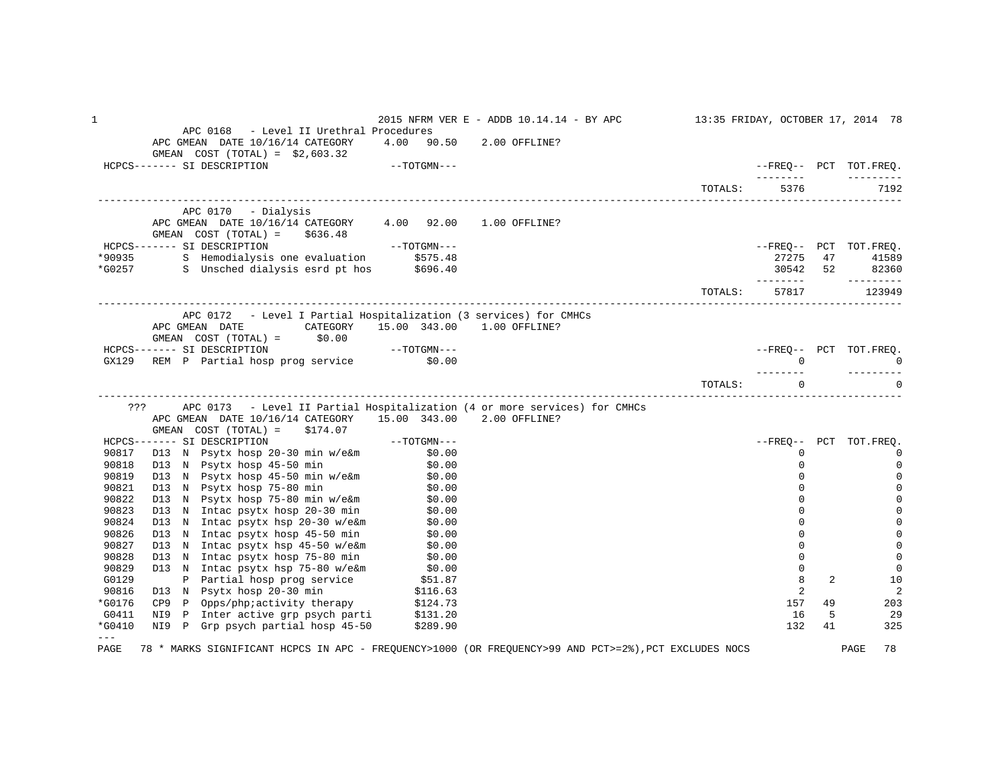1 2015 NFRM VER E - ADDB 10.14.14 - BY APC 13:35 FRIDAY, OCTOBER 17, 2014 78 APC 0168 - Level II Urethral Procedures APC GMEAN DATE 10/16/14 CATEGORY 4.00 90.50 2.00 OFFLINE? GMEAN COST (TOTAL) = \$2,603.32<br>HCPCS------- SI DESCRIPTION  $-$ -TOTGMN--- $\blacksquare$  -------- --------- TOTALS: 5376 ------------------------------------------------------------------------------------------------------------------------------------ APC 0170 - Dialysis APC GMEAN DATE 10/16/14 CATEGORY 4.00 92.00 1.00 OFFLINE? GMEAN COST (TOTAL) = \$636.48<br>HCPCS------- SI DESCRIPTION HCPCS------- SI DESCRIPTION --TOTGMN--- --FREQ-- PCT TOT.FREQ. \*90935 S Hemodialysis one evaluation \$575.48 27275 47 41589 \*G0257 S Unsched dialysis esrd pt hos \$696.40 30542 52 82360 -------- --------- TOTALS: 57817 123949 ------------------------------------------------------------------------------------------------------------------------------------ APC 0172 - Level I Partial Hospitalization (3 services) for CMHCs APC GMEAN DATE CATEGORY 15.00 343.00 1.00 OFFLINE? GMEAN COST (TOTAL) = \$0.00 HCPCS------- SI DESCRIPTION --TOTGMN--- --FREQ-- PCT TOT.FREQ. GX129 REM P Partial hosp prog service \$0.00 0 0 -------- --------- TOTALS: 0 0 ------------------------------------------------------------------------------------------------------------------------------------ ??? APC 0173 - Level II Partial Hospitalization (4 or more services) for CMHCs APC GMEAN DATE 10/16/14 CATEGORY 15.00 343.00 2.00 OFFLINE? GMEAN COST (TOTAL) = \$174.07 HCPCS------- SI DESCRIPTION --TOTGMN--- --FREQ-- PCT TOT.FREQ. 90817 D13 N Psytx hosp 20-30 min w/e&m \$0.00 \$0.00 \$0.00 \$0.00 \$0.00 \$0.00 \$0.00 \$0.00 \$0.00 \$0.00 \$0.00 \$0.00<br>\$0.00 \$0.00 \$0.00 \$0.00 \$0.00 \$0.00 \$0.00 \$0.00 \$0.00 \$0.00 \$0.00 \$0.00 \$0.00 \$0.00 \$0.00 \$0.00 \$0.00 \$0.00 \$0. 90818 D13 N Psytx hosp 45–50 min \$0.00 \$0.00 \$0.00 psytematrix and the set of the set of the set of the set of t 90819 D13 N Psytx hosp 45–50 min w/e&m \$0.00 \$0.00 \$0.00 \$0.00 \$0.00 \$0.00 \$0.00 \$0.00 \$1.00 \$1.00 \$1.00 \$1.00 90821 D13 N Psytx hosp 75–80 min \$0.00 \$0.00 control to the state of the state of the state of the state of th 90822 D13 N Psytx hosp 75–80 min w/e&m \$0.00 \$0.00 \$0.00 \$0.00 \$0.00 \$0.00 \$0.00 \$0.00 \$1.00 \$1.00 \$1.00 \$1.00 90823 D13 N Intac psytx hosp 20-30 min \$0.00 \$0.00 \$0.00 \$0.00 \$0.00 \$0.00 \$0.00 \$0.00 \$1.00 \$1.00 \$1.00 \$1.00 \$1.00 \$1.00 \$1.00 \$1.00 \$1.00 \$1.00 \$1.00 \$1.00 \$1.00 \$1.00 \$1.00 \$1.00 \$1.00 \$1.00 \$1.00 \$1.00 \$1.00 \$1.00 \$1. 90824 D13 N Intac psytx hsp 20-30 w/e&m \$0.00 0 0 90826 D13 N Intac psytx hosp 45-50 min \$0.00 0 0 90827 D13 N Intac psytx hsp 45-50 w/e&m \$0.00 0 0 90828 D13 N Intac psytx hosp 75-80 min \$0.00 0 0 90829 D13 N Intac psytx hsp 75-80 w/e&m \$0.00 0 0 G0129 P Partial hosp prog service \$51.87 \$10.87 \$10.87 \$10.87 \$10.87 \$10.88 \$10.88 \$10.88 \$10.88 \$10.88 \$10.88 90816 D13 N Psytx hosp 20-30 min \$116.63 2 2 \*G0176 CP9 P Opps/php;activity therapy \$124.73 157 49 203 G0411 NI9 P Inter active grp psych parti \$131.20 16 16 16 16 16 16 16 16 16 16 16 16 17 16 16 17 16 16 17 16 1 \*G0410 NI9 P Grp psych partial hosp 45-50 \$289.90 132 41 325  $--$ PAGE 78 \* MARKS SIGNIFICANT HCPCS IN APC - FREQUENCY>1000 (OR FREQUENCY>99 AND PCT>=2%),PCT EXCLUDES NOCS PAGE 78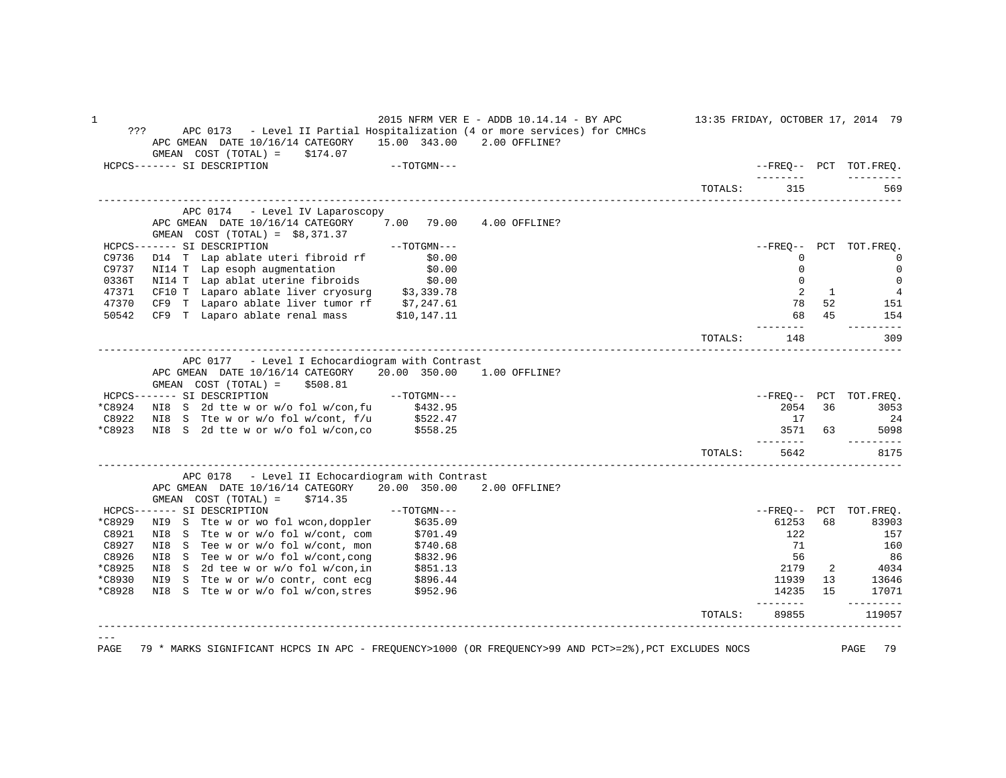1 2015 NFRM VER E - ADDB 10.14.14 - BY APC 13:35 FRIDAY, OCTOBER 17, 2014 79 ??? APC 0173 - Level II Partial Hospitalization (4 or more services) for CMHCs APC GMEAN DATE 10/16/14 CATEGORY 15.00 343.00 2.00 OFFLINE?  $GMEAN$   $COST$   $(TOTAL) = $174.07$  HCPCS------- SI DESCRIPTION --TOTGMN--- --FREQ-- PCT TOT.FREQ. -------- --------- TOTALS: 315 ------------------------------------------------------------------------------------------------------------------------------------ APC 0174 - Level IV Laparoscopy APC GMEAN DATE 10/16/14 CATEGORY 7.00 79.00 4.00 OFFLINE? GMEAN COST (TOTAL) = \$8,371.37 HCPCS------- SI DESCRIPTION --TOTGMN--- --FREQ-- PCT TOT.FREQ. C9736 D14 T Lap ablate uteri fibroid rf \$0.00 0 0 C9737 NI14 T Lap esoph augmentation \$0.00 0 0 0336T NI14 T Lap ablat uterine fibroids \$0.00 0 0 47371 CF10 T Laparo ablate liver cryosurg \$3,339.78  $\begin{array}{cccccccc} 47371 & \text{CF10 T} & \text{Laparo ablate liver cryosurg} & 53,339.78 & & & & & & & & 2 & 1 & 4 \ 47370 & \text{CF9 T} & \text{Laparo ablate liver tumor rf} & 57,247.61 & & & & & & & & 78 & 52 & 151 \end{array}$ 19370 CF9 T Laparo ablate liver tumor rf \$7,247.61 (1998) 72 151 (1998) 78 52 151 151 (1998) 78 52 151 154<br>19542 CF9 T Laparo ablate renal mass 1990, 1990, 1991 11 50542 CF9 T Laparo ablate renal mass \$10,147.11 68 68 45 154  $\sim$  68 45 154 -------- --------- TOTALS: 148 309 ------------------------------------------------------------------------------------------------------------------------------------ APC 0177 - Level I Echocardiogram with Contrast APC GMEAN DATE 10/16/14 CATEGORY 20.00 350.00 1.00 OFFLINE? GMEAN COST (TOTAL) = \$508.81 HCPCS------- SI DESCRIPTION --TOTGMN--- --FREQ-- PCT TOT.FREQ. \*C8924 NI8 S 2d tte w or w/o fol w/con,fu \$432.95 2054 36 3053 C8922 NI8 S Tte w or w/o fol w/cont, f/u \$522.47<br>
C8923 NI8 S 2d tte w or w/o fol w/con,co \$558.25 17 17 3571 63 5098 \*C8923 NI8 S 2d tte w or w/o fol w/con,co \$558.25 3571 63 5098 3571 63 5098 -------- --------- TOTALS: 5642 8175 ------------------------------------------------------------------------------------------------------------------------------------ APC 0178 - Level II Echocardiogram with Contrast APC GMEAN DATE 10/16/14 CATEGORY 20.00 350.00 2.00 OFFLINE? GMEAN COST (TOTAL) = \$714.35 HCPCS------- SI DESCRIPTION --TOTGMN--- --FREQ-- PCT TOT.FREQ. \*C8929 NI9 S Tte w or wo fol wcon,doppler \$635.09 \$635.09 \$639.03 \$63903 68 \$61253 68 \$63903<br>C8921 NI8 S Tte w or w/o fol w/cont, com \$701.49 \$701.49 C8921 NI8 S Tte w or w/o fol w/cont, com \$701.49 122 157<br>
C8927 NI8 S Tee w or w/o fol w/cont, mon \$740.68 120 160 C8927 NI8 S Tee w or w/o fol w/cont, mon \$740.68<br>
C8926 NI8 S Tee w or w/o fol w/cont,cong \$832.96 \$832.96 C8926 NI8 S Tee w or w/o fol w/cont,cong \$832.96 \$832.96 \$80 \$6 \$6 \$6 \$6 \$6<br>\*C8925 NI8 S 2d tee w or w/o fol w/con,in \$851.13 \*C8925 NI8 S 2d tee w or w/o fol w/con,in \$851.13 2009 \$851.13 2179 2 4034<br>\*C8930 NI9 S Tte w or w/o contr. cont ecg \$896.44 \*C8930 NI9 S Tte w or w/o contr, cont ecg \$896.44 11939 13 13646<br>\*C8928 NI8 S Tte w or w/o fol w/con,stres \$952.96 11939 13 17071 \*C8928 NI8 S Tte w or w/o fol w/con,stres \$952.96 14235 15 17071 -------- --------- TOTALS: 89855 119057 ------------------------------------------------------------------------------------------------------------------------------------ --- PAGE 79 \* MARKS SIGNIFICANT HCPCS IN APC - FREQUENCY>1000 (OR FREQUENCY>99 AND PCT>=2%),PCT EXCLUDES NOCS PAGE 79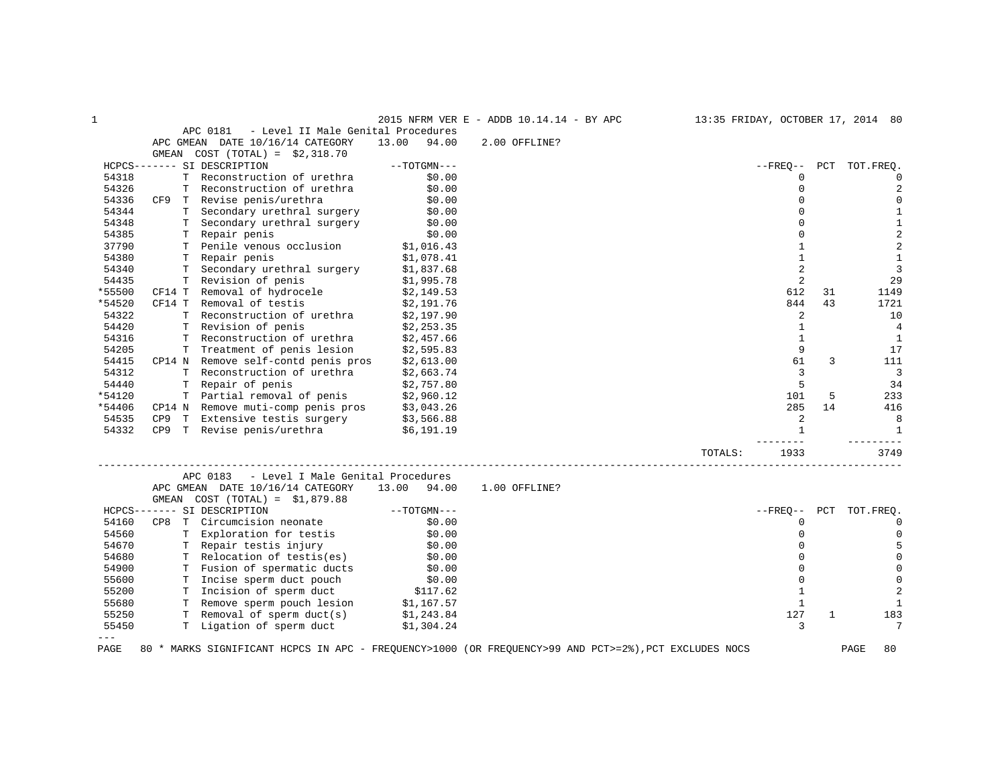| 1       |                 |    |                                                                                                       |               |        | 2015 NFRM VER E - ADDB 10.14.14 - BY APC |         |                |     | 13:35 FRIDAY, OCTOBER 17, 2014 80 |
|---------|-----------------|----|-------------------------------------------------------------------------------------------------------|---------------|--------|------------------------------------------|---------|----------------|-----|-----------------------------------|
|         |                 |    | APC 0181<br>- Level II Male Genital Procedures                                                        |               |        |                                          |         |                |     |                                   |
|         |                 |    | APC GMEAN DATE 10/16/14 CATEGORY                                                                      | 13.00         | 94.00  | 2.00 OFFLINE?                            |         |                |     |                                   |
|         | GMEAN           |    | COST $(TOTAL) = $2,318.70$                                                                            |               |        |                                          |         |                |     |                                   |
|         |                 |    | HCPCS------- SI DESCRIPTION                                                                           | $--TOTGMN---$ |        |                                          |         | $--$ FREO $--$ | PCT | TOT.FREO.                         |
| 54318   |                 | T. | Reconstruction of urethra                                                                             |               | \$0.00 |                                          |         | $\Omega$       |     | $\mathbf 0$                       |
| 54326   |                 |    | Reconstruction of urethra                                                                             |               | \$0.00 |                                          |         | $\Omega$       |     | $\overline{2}$                    |
| 54336   |                 |    | CF9 T Revise penis/urethra                                                                            |               | \$0.00 |                                          |         | $\mathbf 0$    |     | $\mathbf 0$                       |
| 54344   |                 |    | T Secondary urethral surgery                                                                          |               | \$0.00 |                                          |         | $\Omega$       |     | $1\,$                             |
| 54348   |                 |    | T Secondary urethral surgery                                                                          |               | \$0.00 |                                          |         | $\Omega$       |     | $1\,$                             |
| 54385   |                 |    | T Repair penis                                                                                        |               | \$0.00 |                                          |         | $\Omega$       |     | $\overline{\mathbf{c}}$           |
| 37790   |                 |    | T Penile venous occlusion                                                                             | \$1,016.43    |        |                                          |         | $\mathbf{1}$   |     | $\overline{\mathbf{c}}$           |
| 54380   |                 |    | T Repair penis                                                                                        | \$1,078.41    |        |                                          |         | $\mathbf{1}$   |     | $\mathbf{1}$                      |
| 54340   |                 |    | T Secondary urethral surgery                                                                          | \$1,837.68    |        |                                          |         | 2              |     | $\overline{3}$                    |
| 54435   |                 |    | T Revision of penis                                                                                   | \$1,995.78    |        |                                          |         | 2              |     | 29                                |
| *55500  |                 |    | CF14 T Removal of hydrocele                                                                           | \$2,149.53    |        |                                          |         | 612            | 31  | 1149                              |
| *54520  | CF14 T          |    | Removal of testis                                                                                     | \$2,191.76    |        |                                          |         | 844            | 43  | 1721                              |
| 54322   |                 |    | T Reconstruction of urethra                                                                           | \$2,197.90    |        |                                          |         | 2              |     | 10                                |
| 54420   |                 |    | T Revision of penis                                                                                   | \$2,253.35    |        |                                          |         | $\mathbf{1}$   |     | 4                                 |
| 54316   |                 |    | T Reconstruction of urethra                                                                           | \$2,457.66    |        |                                          |         | $\mathbf{1}$   |     | $\mathbf{1}$                      |
| 54205   |                 |    | T Treatment of penis lesion                                                                           | \$2,595.83    |        |                                          |         | 9              |     | 17                                |
| 54415   |                 |    | CP14 N Remove self-contd penis pros                                                                   | \$2,613.00    |        |                                          |         | 61             | 3   | 111                               |
| 54312   |                 |    | T Reconstruction of urethra                                                                           | \$2,663.74    |        |                                          |         | 3              |     | $\overline{3}$                    |
| 54440   |                 |    | T Repair of penis                                                                                     | \$2,757.80    |        |                                          |         | 5              |     | 34                                |
| *54120  |                 |    | T Partial removal of penis                                                                            | \$2,960.12    |        |                                          |         | 101            | 5   | 233                               |
| *54406  |                 |    | CP14 N Remove muti-comp penis pros                                                                    | \$3,043.26    |        |                                          |         | 285            | 14  | 416                               |
| 54535   | CP <sub>9</sub> |    | T Extensive testis surgery                                                                            | \$3,566.88    |        |                                          |         | 2              |     | 8                                 |
| 54332   |                 |    | CP9 T Revise penis/urethra                                                                            | \$6,191.19    |        |                                          |         | $\mathbf{1}$   |     | $\mathbf{1}$                      |
|         |                 |    |                                                                                                       |               |        |                                          |         | ------         |     | $- - - -$                         |
|         |                 |    |                                                                                                       |               |        |                                          | TOTALS: | 1933           |     | 3749                              |
|         |                 |    |                                                                                                       |               |        |                                          |         |                |     |                                   |
|         |                 |    | APC 0183<br>- Level I Male Genital Procedures                                                         |               |        |                                          |         |                |     |                                   |
|         |                 |    | APC GMEAN DATE 10/16/14 CATEGORY                                                                      | 13.00 94.00   |        | 1.00 OFFLINE?                            |         |                |     |                                   |
|         | GMEAN           |    | $COST (TOTAL) = $1,879.88$                                                                            |               |        |                                          |         |                |     |                                   |
|         |                 |    | HCPCS------- SI DESCRIPTION                                                                           | $--TOTGMN---$ |        |                                          |         | $- FREQ--$     |     | PCT TOT.FREQ.                     |
| 54160   | CP8             | T  | Circumcision neonate                                                                                  |               | \$0.00 |                                          |         | $\Omega$       |     | $\mathbf 0$                       |
| 54560   |                 |    | T Exploration for testis                                                                              |               | \$0.00 |                                          |         | $\mathbf 0$    |     | $\mathbf 0$                       |
| 54670   |                 |    | T Repair testis injury                                                                                |               | \$0.00 |                                          |         | $\Omega$       |     | 5                                 |
| 54680   |                 |    | T Relocation of testis(es)                                                                            | \$0.00        |        |                                          |         | $\Omega$       |     | $\mathbf 0$                       |
| 54900   |                 |    | T Fusion of spermatic ducts                                                                           |               | \$0.00 |                                          |         | $\mathbf 0$    |     | $\mathbf 0$                       |
| 55600   |                 |    | T Incise sperm duct pouch                                                                             | \$0.00        |        |                                          |         | $\Omega$       |     | $\mathbb O$                       |
| 55200   |                 |    | T Incision of sperm duct                                                                              | \$117.62      |        |                                          |         | $\mathbf{1}$   |     | $\overline{2}$                    |
| 55680   |                 |    | T Remove sperm pouch lesion                                                                           | \$1,167.57    |        |                                          |         | $\mathbf{1}$   |     | $\mathbf{1}$                      |
| 55250   |                 |    | T Removal of sperm duct(s)                                                                            | \$1,243.84    |        |                                          |         | 127            | 1   | 183                               |
| 55450   |                 |    | T Ligation of sperm duct                                                                              | \$1,304.24    |        |                                          |         | 3              |     | 7                                 |
| $- - -$ |                 |    |                                                                                                       |               |        |                                          |         |                |     |                                   |
| PAGE    |                 |    | 80 * MARKS SIGNIFICANT HCPCS IN APC - FREQUENCY>1000 (OR FREQUENCY>99 AND PCT>=2%), PCT EXCLUDES NOCS |               |        |                                          |         |                |     | 80<br>PAGE                        |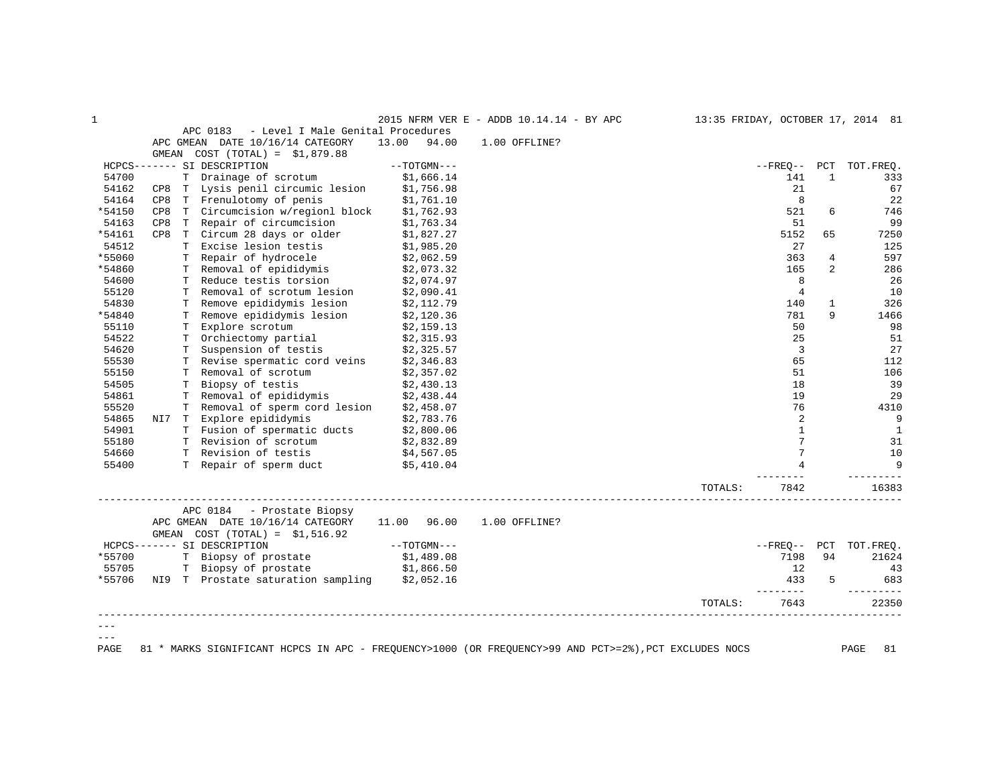| $\mathbf 1$ |     |   |                                               |                | 2015 NFRM VER E - ADDB 10.14.14 - BY APC |         |                |                | 13:35 FRIDAY, OCTOBER 17, 2014 81 |
|-------------|-----|---|-----------------------------------------------|----------------|------------------------------------------|---------|----------------|----------------|-----------------------------------|
|             |     |   | - Level I Male Genital Procedures<br>APC 0183 |                |                                          |         |                |                |                                   |
|             |     |   | APC GMEAN DATE 10/16/14 CATEGORY              | 13.00<br>94.00 | 1.00 OFFLINE?                            |         |                |                |                                   |
|             |     |   | GMEAN $COST (TOTAL) = $1,879.88$              |                |                                          |         |                |                |                                   |
|             |     |   | HCPCS------- SI DESCRIPTION                   | $--TOTGMN---$  |                                          |         |                |                | --FREQ-- PCT TOT.FREQ.            |
| 54700       |     |   | T Drainage of scrotum                         | \$1,666.14     |                                          |         | 141            | $\mathbf{1}$   | 333                               |
| 54162       |     |   | CP8 T Lysis penil circumic lesion             | \$1,756.98     |                                          |         | 21             |                | 67                                |
| 54164       | CP8 |   | T Frenulotomy of penis                        | \$1,761.10     |                                          |         | 8              |                | 22                                |
| *54150      | CP8 |   | T Circumcision w/regionl block                | \$1,762.93     |                                          |         | 521            | 6              | 746                               |
| 54163       | CP8 |   | T Repair of circumcision                      | \$1,763.34     |                                          |         | 51             |                | 99                                |
| *54161      | CP8 |   | T Circum 28 days or older                     | \$1,827.27     |                                          |         | 5152           | 65             | 7250                              |
| 54512       |     |   | T Excise lesion testis                        | \$1,985.20     |                                          |         | 27             |                | 125                               |
| *55060      |     |   | T Repair of hydrocele                         | \$2,062.59     |                                          |         | 363            | 4              | 597                               |
| *54860      |     |   | T Removal of epididymis                       | \$2,073.32     |                                          |         | 165            | $\overline{2}$ | 286                               |
| 54600       |     |   | T Reduce testis torsion                       | \$2,074.97     |                                          |         | 8              |                | 26                                |
| 55120       |     | Т | Removal of scrotum lesion                     | \$2,090.41     |                                          |         | $\overline{4}$ |                | 10                                |
| 54830       |     |   | T Remove epididymis lesion                    | \$2,112.79     |                                          |         | 140            | $\mathbf{1}$   | 326                               |
| *54840      |     |   | T Remove epididymis lesion                    | \$2,120.36     |                                          |         | 781            | 9              | 1466                              |
| 55110       |     |   | T Explore scrotum                             | \$2,159.13     |                                          |         | 50             |                | 98                                |
| 54522       |     |   | T Orchiectomy partial                         | \$2,315.93     |                                          |         | 25             |                | 51                                |
| 54620       |     | т | Suspension of testis                          | \$2,325.57     |                                          |         | 3              |                | 27                                |
| 55530       |     |   | T Revise spermatic cord veins                 | \$2,346.83     |                                          |         | 65             |                | 112                               |
| 55150       |     |   | T Removal of scrotum                          | \$2,357.02     |                                          |         | 51             |                | 106                               |
| 54505       |     |   | T Biopsy of testis                            | \$2,430.13     |                                          |         | 18             |                | 39                                |
| 54861       |     |   | T Removal of epididymis                       | \$2,438.44     |                                          |         | 19             |                | 29                                |
| 55520       |     |   | T Removal of sperm cord lesion \$2,458.07     |                |                                          |         | 76             |                | 4310                              |
| 54865       |     |   | NI7 T Explore epididymis                      | \$2,783.76     |                                          |         | 2              |                | 9                                 |
| 54901       |     |   | T Fusion of spermatic ducts                   | \$2,800.06     |                                          |         | $\mathbf{1}$   |                | $\mathbf{1}$                      |
| 55180       |     |   | T Revision of scrotum                         | \$2,832.89     |                                          |         | 7              |                | 31                                |
| 54660       |     |   | T Revision of testis                          | \$4,567.05     |                                          |         | 7              |                | 10                                |
| 55400       |     |   | T Repair of sperm duct                        | \$5,410.04     |                                          |         |                |                | 9                                 |
|             |     |   |                                               |                |                                          |         |                |                |                                   |
|             |     |   |                                               |                |                                          | TOTALS: | 7842           |                | 16383                             |
|             |     |   | APC 0184 - Prostate Biopsy                    |                |                                          |         |                |                |                                   |
|             |     |   | APC GMEAN DATE 10/16/14 CATEGORY              | 11.00 96.00    | 1.00 OFFLINE?                            |         |                |                |                                   |
|             |     |   | GMEAN $COST (TOTAL) = $1,516.92$              |                |                                          |         |                |                |                                   |
|             |     |   | HCPCS------- SI DESCRIPTION                   | $--TOTGMN---$  |                                          |         |                |                | --FREQ-- PCT TOT.FREQ.            |
| *55700      |     |   | T Biopsy of prostate                          | \$1,489.08     |                                          |         | 7198           | 94             | 21624                             |
| 55705       |     |   | T Biopsy of prostate \$1,866.50               |                |                                          |         | 12             |                | 43                                |
|             |     |   | NI9 T Prostate saturation sampling \$2,052.16 |                |                                          |         | 433            | 5              | 683                               |
| *55706      |     |   |                                               |                |                                          |         | --------       |                |                                   |
|             |     |   |                                               |                |                                          | TOTALS: | 7643           |                | 22350                             |
|             |     |   |                                               |                |                                          |         |                |                |                                   |
|             |     |   |                                               |                |                                          |         |                |                |                                   |
| $- - -$     |     |   |                                               |                |                                          |         |                |                |                                   |

PAGE 81 \* MARKS SIGNIFICANT HCPCS IN APC - FREQUENCY>1000 (OR FREQUENCY>99 AND PCT>=2%),PCT EXCLUDES NOCS PAGE 81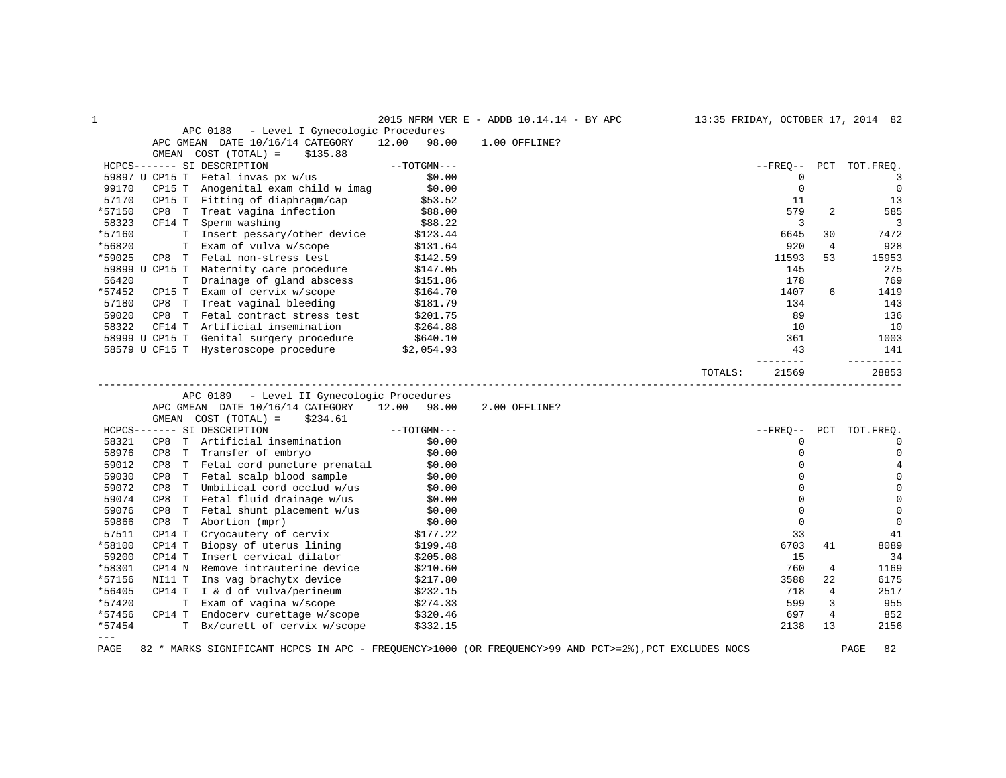| - Level I Gynecologic Procedures<br>APC 0188<br>APC GMEAN DATE 10/16/14 CATEGORY<br>12.00<br>98.00<br>1.00 OFFLINE?<br>COST (TOTAL) =<br>\$135.88<br>GMEAN<br>HCPCS------- SI DESCRIPTION<br>$--TOTGMN---$<br>$--$ FREO $--$<br>PCT<br>TOT.FREO.<br>\$0.00<br>59897 U CP15 T Fetal invas px w/us<br>0<br>3<br>CP15 T Anogenital exam child w imag \$0.00<br>$\mathbf 0$<br>$\overline{0}$<br>99170<br>13<br>57170<br>CP15 T Fitting of diaphragm/cap<br>CP8 T Treat vagina infection<br>\$53.52<br>11<br>\$88.00<br>*57150<br>579<br>2<br>585<br>58323<br>CF14 T<br>Sperm washing<br>3<br>3<br>\$88.22<br>T Insert pessary/other device<br>*57160<br>7472<br>\$123.44<br>6645<br>30<br>*56820<br>T Exam of vulva w/scope<br>920<br>$\overline{4}$<br>928<br>\$131.64<br>*59025<br>CP8 T Fetal non-stress test<br>11593<br>53<br>15953<br>\$142.59<br>59899 U CP15 T Maternity care procedure<br>275<br>145<br>\$147.05<br>56420<br>T Drainage of gland abscess<br>178<br>769<br>\$151.86<br>*57452<br>CP15 T Exam of cervix w/scope<br>6<br>1419<br>\$164.70<br>1407<br>CP8 T Treat vaginal bleeding<br>57180<br>134<br>143<br>59020<br>89<br>CP8 T Fetal contract stress test<br>\$201.75<br>136<br>58322<br>CF14 T Artificial insemination<br>10<br>10<br>\$264.88<br>\$8999 U CP15 T Genital surgery procedure \$640.10<br>58579 U CF15 T Hysteroscope procedure \$2,054.93<br>361<br>1003<br>141<br>43<br>-------<br>TOTALS:<br>21569<br>28853<br>APC 0189<br>- Level II Gynecologic Procedures<br>APC GMEAN DATE 10/16/14 CATEGORY 12.00 98.00<br>2.00 OFFLINE?<br>\$234.61<br>GMEAN COST (TOTAL) =<br>$--\mathrm{TOTGMN---}$<br>HCPCS------- SI DESCRIPTION<br>--FREO--<br>PCT TOT. FREQ.<br>58321<br>T Artificial insemination<br>\$0.00<br>0<br>$\mathbf 0$<br>CP8<br>58976<br>\$0.00<br>CP8 T Transfer of embryo<br>0<br>$\mathbf 0$<br>CP8 T Fetal cord puncture prenatal \$0.00<br>59012<br>$\Omega$<br>4<br>59030<br>CP8 T Fetal scalp blood sample $$0.00$<br>CP8 T Umbilical cord occlud w/us $$0.00$<br>$\mathbf 0$<br>$\mathbf 0$<br>59072<br>$\Omega$<br>$\mathbf 0$<br>$\mathbf 0$<br>$\mathsf 0$<br>59074<br>CP8<br>T Fetal fluid drainage w/us<br>\$0.00<br>59076<br>$\mathsf 0$<br>CP8 T Fetal shunt placement $w/u$ s $\begin{array}{ccc} $0.00 \\ $0.00 \end{array}$ $\begin{array}{ccc} $0.00 \\ $0.00 \end{array}$<br>$\mathbf 0$<br>59866<br>$\mathbf 0$<br>$\mathbf 0$<br>\$177.22<br>\$199.48<br>57511<br>CP14 T<br>Cryocautery of cervix<br>Biopsy of uterus lining<br>33<br>41<br>*58100<br>CP14 T<br>6703<br>8089<br>41<br>59200<br>Insert cervical dilator<br>CP14 T<br>15<br>34<br>\$205.08<br>*58301<br>CP14 N<br>Remove intrauterine device<br>760<br>4<br>1169<br>\$210.60<br>*57156<br>NI11 T Ins vag brachytx device<br>\$217.80<br>3588<br>22<br>6175<br>*56405<br>CP14 $T$ I & d of vulva/perineum<br>2517<br>\$232.15<br>718<br>4<br>*57420<br>T Exam of vagina w/scope<br>599<br>3<br>955<br>\$274.33<br>*57456<br>$\overline{4}$<br>852<br>CP14 T Endocerv curettage w/scope<br>697<br>\$320.46<br>*57454<br>T Bx/curett of cervix w/scope<br>2138<br>13<br>\$332.15<br>2156<br>$- - -$<br>82 * MARKS SIGNIFICANT HCPCS IN APC - FREQUENCY>1000 (OR FREQUENCY>99 AND PCT>=2%), PCT EXCLUDES NOCS<br>PAGE<br>82<br>PAGE | 1 |  | 2015 NFRM VER E - ADDB 10.14.14 - BY APC | 13:35 FRIDAY, OCTOBER 17, 2014 82 |  |
|-------------------------------------------------------------------------------------------------------------------------------------------------------------------------------------------------------------------------------------------------------------------------------------------------------------------------------------------------------------------------------------------------------------------------------------------------------------------------------------------------------------------------------------------------------------------------------------------------------------------------------------------------------------------------------------------------------------------------------------------------------------------------------------------------------------------------------------------------------------------------------------------------------------------------------------------------------------------------------------------------------------------------------------------------------------------------------------------------------------------------------------------------------------------------------------------------------------------------------------------------------------------------------------------------------------------------------------------------------------------------------------------------------------------------------------------------------------------------------------------------------------------------------------------------------------------------------------------------------------------------------------------------------------------------------------------------------------------------------------------------------------------------------------------------------------------------------------------------------------------------------------------------------------------------------------------------------------------------------------------------------------------------------------------------------------------------------------------------------------------------------------------------------------------------------------------------------------------------------------------------------------------------------------------------------------------------------------------------------------------------------------------------------------------------------------------------------------------------------------------------------------------------------------------------------------------------------------------------------------------------------------------------------------------------------------------------------------------------------------------------------------------------------------------------------------------------------------------------------------------------------------------------------------------------------------------------------------------------------------------------------------------------------------------------------------------------------------------------------------------------------------------------------------------------------------------------------------------------------------------------------------------|---|--|------------------------------------------|-----------------------------------|--|
|                                                                                                                                                                                                                                                                                                                                                                                                                                                                                                                                                                                                                                                                                                                                                                                                                                                                                                                                                                                                                                                                                                                                                                                                                                                                                                                                                                                                                                                                                                                                                                                                                                                                                                                                                                                                                                                                                                                                                                                                                                                                                                                                                                                                                                                                                                                                                                                                                                                                                                                                                                                                                                                                                                                                                                                                                                                                                                                                                                                                                                                                                                                                                                                                                                                                   |   |  |                                          |                                   |  |
|                                                                                                                                                                                                                                                                                                                                                                                                                                                                                                                                                                                                                                                                                                                                                                                                                                                                                                                                                                                                                                                                                                                                                                                                                                                                                                                                                                                                                                                                                                                                                                                                                                                                                                                                                                                                                                                                                                                                                                                                                                                                                                                                                                                                                                                                                                                                                                                                                                                                                                                                                                                                                                                                                                                                                                                                                                                                                                                                                                                                                                                                                                                                                                                                                                                                   |   |  |                                          |                                   |  |
|                                                                                                                                                                                                                                                                                                                                                                                                                                                                                                                                                                                                                                                                                                                                                                                                                                                                                                                                                                                                                                                                                                                                                                                                                                                                                                                                                                                                                                                                                                                                                                                                                                                                                                                                                                                                                                                                                                                                                                                                                                                                                                                                                                                                                                                                                                                                                                                                                                                                                                                                                                                                                                                                                                                                                                                                                                                                                                                                                                                                                                                                                                                                                                                                                                                                   |   |  |                                          |                                   |  |
|                                                                                                                                                                                                                                                                                                                                                                                                                                                                                                                                                                                                                                                                                                                                                                                                                                                                                                                                                                                                                                                                                                                                                                                                                                                                                                                                                                                                                                                                                                                                                                                                                                                                                                                                                                                                                                                                                                                                                                                                                                                                                                                                                                                                                                                                                                                                                                                                                                                                                                                                                                                                                                                                                                                                                                                                                                                                                                                                                                                                                                                                                                                                                                                                                                                                   |   |  |                                          |                                   |  |
|                                                                                                                                                                                                                                                                                                                                                                                                                                                                                                                                                                                                                                                                                                                                                                                                                                                                                                                                                                                                                                                                                                                                                                                                                                                                                                                                                                                                                                                                                                                                                                                                                                                                                                                                                                                                                                                                                                                                                                                                                                                                                                                                                                                                                                                                                                                                                                                                                                                                                                                                                                                                                                                                                                                                                                                                                                                                                                                                                                                                                                                                                                                                                                                                                                                                   |   |  |                                          |                                   |  |
|                                                                                                                                                                                                                                                                                                                                                                                                                                                                                                                                                                                                                                                                                                                                                                                                                                                                                                                                                                                                                                                                                                                                                                                                                                                                                                                                                                                                                                                                                                                                                                                                                                                                                                                                                                                                                                                                                                                                                                                                                                                                                                                                                                                                                                                                                                                                                                                                                                                                                                                                                                                                                                                                                                                                                                                                                                                                                                                                                                                                                                                                                                                                                                                                                                                                   |   |  |                                          |                                   |  |
|                                                                                                                                                                                                                                                                                                                                                                                                                                                                                                                                                                                                                                                                                                                                                                                                                                                                                                                                                                                                                                                                                                                                                                                                                                                                                                                                                                                                                                                                                                                                                                                                                                                                                                                                                                                                                                                                                                                                                                                                                                                                                                                                                                                                                                                                                                                                                                                                                                                                                                                                                                                                                                                                                                                                                                                                                                                                                                                                                                                                                                                                                                                                                                                                                                                                   |   |  |                                          |                                   |  |
|                                                                                                                                                                                                                                                                                                                                                                                                                                                                                                                                                                                                                                                                                                                                                                                                                                                                                                                                                                                                                                                                                                                                                                                                                                                                                                                                                                                                                                                                                                                                                                                                                                                                                                                                                                                                                                                                                                                                                                                                                                                                                                                                                                                                                                                                                                                                                                                                                                                                                                                                                                                                                                                                                                                                                                                                                                                                                                                                                                                                                                                                                                                                                                                                                                                                   |   |  |                                          |                                   |  |
|                                                                                                                                                                                                                                                                                                                                                                                                                                                                                                                                                                                                                                                                                                                                                                                                                                                                                                                                                                                                                                                                                                                                                                                                                                                                                                                                                                                                                                                                                                                                                                                                                                                                                                                                                                                                                                                                                                                                                                                                                                                                                                                                                                                                                                                                                                                                                                                                                                                                                                                                                                                                                                                                                                                                                                                                                                                                                                                                                                                                                                                                                                                                                                                                                                                                   |   |  |                                          |                                   |  |
|                                                                                                                                                                                                                                                                                                                                                                                                                                                                                                                                                                                                                                                                                                                                                                                                                                                                                                                                                                                                                                                                                                                                                                                                                                                                                                                                                                                                                                                                                                                                                                                                                                                                                                                                                                                                                                                                                                                                                                                                                                                                                                                                                                                                                                                                                                                                                                                                                                                                                                                                                                                                                                                                                                                                                                                                                                                                                                                                                                                                                                                                                                                                                                                                                                                                   |   |  |                                          |                                   |  |
|                                                                                                                                                                                                                                                                                                                                                                                                                                                                                                                                                                                                                                                                                                                                                                                                                                                                                                                                                                                                                                                                                                                                                                                                                                                                                                                                                                                                                                                                                                                                                                                                                                                                                                                                                                                                                                                                                                                                                                                                                                                                                                                                                                                                                                                                                                                                                                                                                                                                                                                                                                                                                                                                                                                                                                                                                                                                                                                                                                                                                                                                                                                                                                                                                                                                   |   |  |                                          |                                   |  |
|                                                                                                                                                                                                                                                                                                                                                                                                                                                                                                                                                                                                                                                                                                                                                                                                                                                                                                                                                                                                                                                                                                                                                                                                                                                                                                                                                                                                                                                                                                                                                                                                                                                                                                                                                                                                                                                                                                                                                                                                                                                                                                                                                                                                                                                                                                                                                                                                                                                                                                                                                                                                                                                                                                                                                                                                                                                                                                                                                                                                                                                                                                                                                                                                                                                                   |   |  |                                          |                                   |  |
|                                                                                                                                                                                                                                                                                                                                                                                                                                                                                                                                                                                                                                                                                                                                                                                                                                                                                                                                                                                                                                                                                                                                                                                                                                                                                                                                                                                                                                                                                                                                                                                                                                                                                                                                                                                                                                                                                                                                                                                                                                                                                                                                                                                                                                                                                                                                                                                                                                                                                                                                                                                                                                                                                                                                                                                                                                                                                                                                                                                                                                                                                                                                                                                                                                                                   |   |  |                                          |                                   |  |
|                                                                                                                                                                                                                                                                                                                                                                                                                                                                                                                                                                                                                                                                                                                                                                                                                                                                                                                                                                                                                                                                                                                                                                                                                                                                                                                                                                                                                                                                                                                                                                                                                                                                                                                                                                                                                                                                                                                                                                                                                                                                                                                                                                                                                                                                                                                                                                                                                                                                                                                                                                                                                                                                                                                                                                                                                                                                                                                                                                                                                                                                                                                                                                                                                                                                   |   |  |                                          |                                   |  |
|                                                                                                                                                                                                                                                                                                                                                                                                                                                                                                                                                                                                                                                                                                                                                                                                                                                                                                                                                                                                                                                                                                                                                                                                                                                                                                                                                                                                                                                                                                                                                                                                                                                                                                                                                                                                                                                                                                                                                                                                                                                                                                                                                                                                                                                                                                                                                                                                                                                                                                                                                                                                                                                                                                                                                                                                                                                                                                                                                                                                                                                                                                                                                                                                                                                                   |   |  |                                          |                                   |  |
|                                                                                                                                                                                                                                                                                                                                                                                                                                                                                                                                                                                                                                                                                                                                                                                                                                                                                                                                                                                                                                                                                                                                                                                                                                                                                                                                                                                                                                                                                                                                                                                                                                                                                                                                                                                                                                                                                                                                                                                                                                                                                                                                                                                                                                                                                                                                                                                                                                                                                                                                                                                                                                                                                                                                                                                                                                                                                                                                                                                                                                                                                                                                                                                                                                                                   |   |  |                                          |                                   |  |
|                                                                                                                                                                                                                                                                                                                                                                                                                                                                                                                                                                                                                                                                                                                                                                                                                                                                                                                                                                                                                                                                                                                                                                                                                                                                                                                                                                                                                                                                                                                                                                                                                                                                                                                                                                                                                                                                                                                                                                                                                                                                                                                                                                                                                                                                                                                                                                                                                                                                                                                                                                                                                                                                                                                                                                                                                                                                                                                                                                                                                                                                                                                                                                                                                                                                   |   |  |                                          |                                   |  |
|                                                                                                                                                                                                                                                                                                                                                                                                                                                                                                                                                                                                                                                                                                                                                                                                                                                                                                                                                                                                                                                                                                                                                                                                                                                                                                                                                                                                                                                                                                                                                                                                                                                                                                                                                                                                                                                                                                                                                                                                                                                                                                                                                                                                                                                                                                                                                                                                                                                                                                                                                                                                                                                                                                                                                                                                                                                                                                                                                                                                                                                                                                                                                                                                                                                                   |   |  |                                          |                                   |  |
|                                                                                                                                                                                                                                                                                                                                                                                                                                                                                                                                                                                                                                                                                                                                                                                                                                                                                                                                                                                                                                                                                                                                                                                                                                                                                                                                                                                                                                                                                                                                                                                                                                                                                                                                                                                                                                                                                                                                                                                                                                                                                                                                                                                                                                                                                                                                                                                                                                                                                                                                                                                                                                                                                                                                                                                                                                                                                                                                                                                                                                                                                                                                                                                                                                                                   |   |  |                                          |                                   |  |
|                                                                                                                                                                                                                                                                                                                                                                                                                                                                                                                                                                                                                                                                                                                                                                                                                                                                                                                                                                                                                                                                                                                                                                                                                                                                                                                                                                                                                                                                                                                                                                                                                                                                                                                                                                                                                                                                                                                                                                                                                                                                                                                                                                                                                                                                                                                                                                                                                                                                                                                                                                                                                                                                                                                                                                                                                                                                                                                                                                                                                                                                                                                                                                                                                                                                   |   |  |                                          |                                   |  |
|                                                                                                                                                                                                                                                                                                                                                                                                                                                                                                                                                                                                                                                                                                                                                                                                                                                                                                                                                                                                                                                                                                                                                                                                                                                                                                                                                                                                                                                                                                                                                                                                                                                                                                                                                                                                                                                                                                                                                                                                                                                                                                                                                                                                                                                                                                                                                                                                                                                                                                                                                                                                                                                                                                                                                                                                                                                                                                                                                                                                                                                                                                                                                                                                                                                                   |   |  |                                          |                                   |  |
|                                                                                                                                                                                                                                                                                                                                                                                                                                                                                                                                                                                                                                                                                                                                                                                                                                                                                                                                                                                                                                                                                                                                                                                                                                                                                                                                                                                                                                                                                                                                                                                                                                                                                                                                                                                                                                                                                                                                                                                                                                                                                                                                                                                                                                                                                                                                                                                                                                                                                                                                                                                                                                                                                                                                                                                                                                                                                                                                                                                                                                                                                                                                                                                                                                                                   |   |  |                                          |                                   |  |
|                                                                                                                                                                                                                                                                                                                                                                                                                                                                                                                                                                                                                                                                                                                                                                                                                                                                                                                                                                                                                                                                                                                                                                                                                                                                                                                                                                                                                                                                                                                                                                                                                                                                                                                                                                                                                                                                                                                                                                                                                                                                                                                                                                                                                                                                                                                                                                                                                                                                                                                                                                                                                                                                                                                                                                                                                                                                                                                                                                                                                                                                                                                                                                                                                                                                   |   |  |                                          |                                   |  |
|                                                                                                                                                                                                                                                                                                                                                                                                                                                                                                                                                                                                                                                                                                                                                                                                                                                                                                                                                                                                                                                                                                                                                                                                                                                                                                                                                                                                                                                                                                                                                                                                                                                                                                                                                                                                                                                                                                                                                                                                                                                                                                                                                                                                                                                                                                                                                                                                                                                                                                                                                                                                                                                                                                                                                                                                                                                                                                                                                                                                                                                                                                                                                                                                                                                                   |   |  |                                          |                                   |  |
|                                                                                                                                                                                                                                                                                                                                                                                                                                                                                                                                                                                                                                                                                                                                                                                                                                                                                                                                                                                                                                                                                                                                                                                                                                                                                                                                                                                                                                                                                                                                                                                                                                                                                                                                                                                                                                                                                                                                                                                                                                                                                                                                                                                                                                                                                                                                                                                                                                                                                                                                                                                                                                                                                                                                                                                                                                                                                                                                                                                                                                                                                                                                                                                                                                                                   |   |  |                                          |                                   |  |
|                                                                                                                                                                                                                                                                                                                                                                                                                                                                                                                                                                                                                                                                                                                                                                                                                                                                                                                                                                                                                                                                                                                                                                                                                                                                                                                                                                                                                                                                                                                                                                                                                                                                                                                                                                                                                                                                                                                                                                                                                                                                                                                                                                                                                                                                                                                                                                                                                                                                                                                                                                                                                                                                                                                                                                                                                                                                                                                                                                                                                                                                                                                                                                                                                                                                   |   |  |                                          |                                   |  |
|                                                                                                                                                                                                                                                                                                                                                                                                                                                                                                                                                                                                                                                                                                                                                                                                                                                                                                                                                                                                                                                                                                                                                                                                                                                                                                                                                                                                                                                                                                                                                                                                                                                                                                                                                                                                                                                                                                                                                                                                                                                                                                                                                                                                                                                                                                                                                                                                                                                                                                                                                                                                                                                                                                                                                                                                                                                                                                                                                                                                                                                                                                                                                                                                                                                                   |   |  |                                          |                                   |  |
|                                                                                                                                                                                                                                                                                                                                                                                                                                                                                                                                                                                                                                                                                                                                                                                                                                                                                                                                                                                                                                                                                                                                                                                                                                                                                                                                                                                                                                                                                                                                                                                                                                                                                                                                                                                                                                                                                                                                                                                                                                                                                                                                                                                                                                                                                                                                                                                                                                                                                                                                                                                                                                                                                                                                                                                                                                                                                                                                                                                                                                                                                                                                                                                                                                                                   |   |  |                                          |                                   |  |
|                                                                                                                                                                                                                                                                                                                                                                                                                                                                                                                                                                                                                                                                                                                                                                                                                                                                                                                                                                                                                                                                                                                                                                                                                                                                                                                                                                                                                                                                                                                                                                                                                                                                                                                                                                                                                                                                                                                                                                                                                                                                                                                                                                                                                                                                                                                                                                                                                                                                                                                                                                                                                                                                                                                                                                                                                                                                                                                                                                                                                                                                                                                                                                                                                                                                   |   |  |                                          |                                   |  |
|                                                                                                                                                                                                                                                                                                                                                                                                                                                                                                                                                                                                                                                                                                                                                                                                                                                                                                                                                                                                                                                                                                                                                                                                                                                                                                                                                                                                                                                                                                                                                                                                                                                                                                                                                                                                                                                                                                                                                                                                                                                                                                                                                                                                                                                                                                                                                                                                                                                                                                                                                                                                                                                                                                                                                                                                                                                                                                                                                                                                                                                                                                                                                                                                                                                                   |   |  |                                          |                                   |  |
|                                                                                                                                                                                                                                                                                                                                                                                                                                                                                                                                                                                                                                                                                                                                                                                                                                                                                                                                                                                                                                                                                                                                                                                                                                                                                                                                                                                                                                                                                                                                                                                                                                                                                                                                                                                                                                                                                                                                                                                                                                                                                                                                                                                                                                                                                                                                                                                                                                                                                                                                                                                                                                                                                                                                                                                                                                                                                                                                                                                                                                                                                                                                                                                                                                                                   |   |  |                                          |                                   |  |
|                                                                                                                                                                                                                                                                                                                                                                                                                                                                                                                                                                                                                                                                                                                                                                                                                                                                                                                                                                                                                                                                                                                                                                                                                                                                                                                                                                                                                                                                                                                                                                                                                                                                                                                                                                                                                                                                                                                                                                                                                                                                                                                                                                                                                                                                                                                                                                                                                                                                                                                                                                                                                                                                                                                                                                                                                                                                                                                                                                                                                                                                                                                                                                                                                                                                   |   |  |                                          |                                   |  |
|                                                                                                                                                                                                                                                                                                                                                                                                                                                                                                                                                                                                                                                                                                                                                                                                                                                                                                                                                                                                                                                                                                                                                                                                                                                                                                                                                                                                                                                                                                                                                                                                                                                                                                                                                                                                                                                                                                                                                                                                                                                                                                                                                                                                                                                                                                                                                                                                                                                                                                                                                                                                                                                                                                                                                                                                                                                                                                                                                                                                                                                                                                                                                                                                                                                                   |   |  |                                          |                                   |  |
|                                                                                                                                                                                                                                                                                                                                                                                                                                                                                                                                                                                                                                                                                                                                                                                                                                                                                                                                                                                                                                                                                                                                                                                                                                                                                                                                                                                                                                                                                                                                                                                                                                                                                                                                                                                                                                                                                                                                                                                                                                                                                                                                                                                                                                                                                                                                                                                                                                                                                                                                                                                                                                                                                                                                                                                                                                                                                                                                                                                                                                                                                                                                                                                                                                                                   |   |  |                                          |                                   |  |
|                                                                                                                                                                                                                                                                                                                                                                                                                                                                                                                                                                                                                                                                                                                                                                                                                                                                                                                                                                                                                                                                                                                                                                                                                                                                                                                                                                                                                                                                                                                                                                                                                                                                                                                                                                                                                                                                                                                                                                                                                                                                                                                                                                                                                                                                                                                                                                                                                                                                                                                                                                                                                                                                                                                                                                                                                                                                                                                                                                                                                                                                                                                                                                                                                                                                   |   |  |                                          |                                   |  |
|                                                                                                                                                                                                                                                                                                                                                                                                                                                                                                                                                                                                                                                                                                                                                                                                                                                                                                                                                                                                                                                                                                                                                                                                                                                                                                                                                                                                                                                                                                                                                                                                                                                                                                                                                                                                                                                                                                                                                                                                                                                                                                                                                                                                                                                                                                                                                                                                                                                                                                                                                                                                                                                                                                                                                                                                                                                                                                                                                                                                                                                                                                                                                                                                                                                                   |   |  |                                          |                                   |  |
|                                                                                                                                                                                                                                                                                                                                                                                                                                                                                                                                                                                                                                                                                                                                                                                                                                                                                                                                                                                                                                                                                                                                                                                                                                                                                                                                                                                                                                                                                                                                                                                                                                                                                                                                                                                                                                                                                                                                                                                                                                                                                                                                                                                                                                                                                                                                                                                                                                                                                                                                                                                                                                                                                                                                                                                                                                                                                                                                                                                                                                                                                                                                                                                                                                                                   |   |  |                                          |                                   |  |
|                                                                                                                                                                                                                                                                                                                                                                                                                                                                                                                                                                                                                                                                                                                                                                                                                                                                                                                                                                                                                                                                                                                                                                                                                                                                                                                                                                                                                                                                                                                                                                                                                                                                                                                                                                                                                                                                                                                                                                                                                                                                                                                                                                                                                                                                                                                                                                                                                                                                                                                                                                                                                                                                                                                                                                                                                                                                                                                                                                                                                                                                                                                                                                                                                                                                   |   |  |                                          |                                   |  |
|                                                                                                                                                                                                                                                                                                                                                                                                                                                                                                                                                                                                                                                                                                                                                                                                                                                                                                                                                                                                                                                                                                                                                                                                                                                                                                                                                                                                                                                                                                                                                                                                                                                                                                                                                                                                                                                                                                                                                                                                                                                                                                                                                                                                                                                                                                                                                                                                                                                                                                                                                                                                                                                                                                                                                                                                                                                                                                                                                                                                                                                                                                                                                                                                                                                                   |   |  |                                          |                                   |  |
|                                                                                                                                                                                                                                                                                                                                                                                                                                                                                                                                                                                                                                                                                                                                                                                                                                                                                                                                                                                                                                                                                                                                                                                                                                                                                                                                                                                                                                                                                                                                                                                                                                                                                                                                                                                                                                                                                                                                                                                                                                                                                                                                                                                                                                                                                                                                                                                                                                                                                                                                                                                                                                                                                                                                                                                                                                                                                                                                                                                                                                                                                                                                                                                                                                                                   |   |  |                                          |                                   |  |
|                                                                                                                                                                                                                                                                                                                                                                                                                                                                                                                                                                                                                                                                                                                                                                                                                                                                                                                                                                                                                                                                                                                                                                                                                                                                                                                                                                                                                                                                                                                                                                                                                                                                                                                                                                                                                                                                                                                                                                                                                                                                                                                                                                                                                                                                                                                                                                                                                                                                                                                                                                                                                                                                                                                                                                                                                                                                                                                                                                                                                                                                                                                                                                                                                                                                   |   |  |                                          |                                   |  |
|                                                                                                                                                                                                                                                                                                                                                                                                                                                                                                                                                                                                                                                                                                                                                                                                                                                                                                                                                                                                                                                                                                                                                                                                                                                                                                                                                                                                                                                                                                                                                                                                                                                                                                                                                                                                                                                                                                                                                                                                                                                                                                                                                                                                                                                                                                                                                                                                                                                                                                                                                                                                                                                                                                                                                                                                                                                                                                                                                                                                                                                                                                                                                                                                                                                                   |   |  |                                          |                                   |  |
|                                                                                                                                                                                                                                                                                                                                                                                                                                                                                                                                                                                                                                                                                                                                                                                                                                                                                                                                                                                                                                                                                                                                                                                                                                                                                                                                                                                                                                                                                                                                                                                                                                                                                                                                                                                                                                                                                                                                                                                                                                                                                                                                                                                                                                                                                                                                                                                                                                                                                                                                                                                                                                                                                                                                                                                                                                                                                                                                                                                                                                                                                                                                                                                                                                                                   |   |  |                                          |                                   |  |
|                                                                                                                                                                                                                                                                                                                                                                                                                                                                                                                                                                                                                                                                                                                                                                                                                                                                                                                                                                                                                                                                                                                                                                                                                                                                                                                                                                                                                                                                                                                                                                                                                                                                                                                                                                                                                                                                                                                                                                                                                                                                                                                                                                                                                                                                                                                                                                                                                                                                                                                                                                                                                                                                                                                                                                                                                                                                                                                                                                                                                                                                                                                                                                                                                                                                   |   |  |                                          |                                   |  |
|                                                                                                                                                                                                                                                                                                                                                                                                                                                                                                                                                                                                                                                                                                                                                                                                                                                                                                                                                                                                                                                                                                                                                                                                                                                                                                                                                                                                                                                                                                                                                                                                                                                                                                                                                                                                                                                                                                                                                                                                                                                                                                                                                                                                                                                                                                                                                                                                                                                                                                                                                                                                                                                                                                                                                                                                                                                                                                                                                                                                                                                                                                                                                                                                                                                                   |   |  |                                          |                                   |  |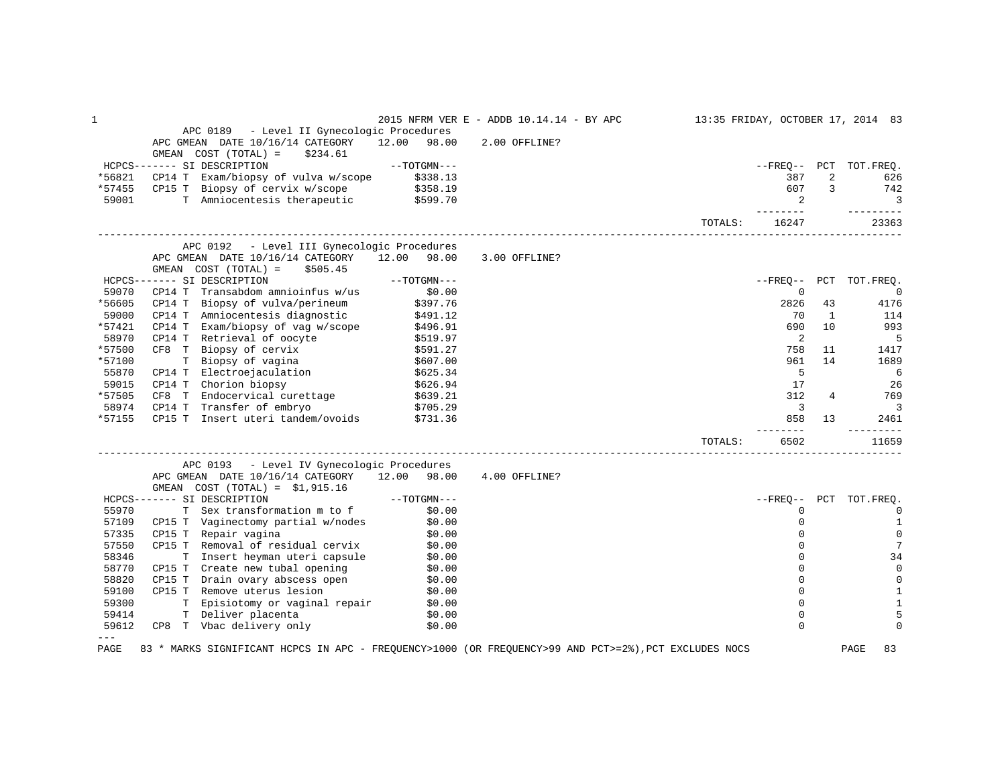| 1      |                                                                                                       |                      | 2015 NFRM VER E - ADDB 10.14.14 - BY APC |         |                            |     | 13:35 FRIDAY, OCTOBER 17, 2014 83 |
|--------|-------------------------------------------------------------------------------------------------------|----------------------|------------------------------------------|---------|----------------------------|-----|-----------------------------------|
|        | APC 0189 - Level II Gynecologic Procedures                                                            |                      |                                          |         |                            |     |                                   |
|        | APC GMEAN DATE 10/16/14 CATEGORY                                                                      | 12.00<br>98.00       | 2.00 OFFLINE?                            |         |                            |     |                                   |
|        | GMEAN COST (TOTAL) =<br>\$234.61                                                                      |                      |                                          |         |                            |     |                                   |
|        | HCPCS------- SI DESCRIPTION                                                                           | $--TOTGMN---$        |                                          |         | $- FREO--$                 |     | PCT TOT. FREQ.                    |
| *56821 | CP14 T Exam/biopsy of vulva w/scope                                                                   | \$338.13<br>\$358.19 |                                          |         | 387                        | 2   | 626                               |
| *57455 | CP15 T Biopsy of cervix w/scope                                                                       |                      |                                          |         | 607                        | 3   | 742                               |
| 59001  | T Amniocentesis therapeutic \$599.70                                                                  |                      |                                          |         | $\overline{2}$<br>-------- |     | $\overline{3}$<br>---------       |
|        |                                                                                                       |                      |                                          | TOTALS: | 16247                      |     | 23363                             |
|        | APC 0192 - Level III Gynecologic Procedures                                                           |                      |                                          |         |                            |     |                                   |
|        | APC GMEAN DATE 10/16/14 CATEGORY 12.00                                                                | 98.00                | 3.00 OFFLINE?                            |         |                            |     |                                   |
|        | GMEAN COST (TOTAL) =<br>\$505.45                                                                      |                      |                                          |         |                            |     |                                   |
|        | HCPCS------- SI DESCRIPTION                                                                           | $--TOTGMN---$        |                                          |         | $- FREO--$                 | PCT | TOT.FREQ.                         |
| 59070  | Transabdom amnioinfus w/us<br>CP14 T                                                                  | \$0.00               |                                          |         | $\mathbf 0$                |     | $\overline{0}$                    |
| *56605 | CP14 T Biopsy of vulva/perineum                                                                       | \$397.76             |                                          |         | 2826                       | 43  | 4176                              |
| 59000  | Amniocentesis diagnostic<br>CP14 T                                                                    | \$491.12             |                                          |         | 70                         | 1   | 114                               |
| *57421 | CP14 T Exam/biopsy of vag w/scope                                                                     | \$496.91             |                                          |         | 690                        | 10  | 993                               |
| 58970  | CP14 T Retrieval of oocyte                                                                            | \$519.97             |                                          |         | 2                          |     | 5                                 |
| *57500 | CF8 T Biopsy of cervix                                                                                | \$591.27             |                                          |         | 758                        | 11  | 1417                              |
| *57100 | T Biopsy of vagina                                                                                    | \$607.00             |                                          |         | 961                        | 14  | 1689                              |
| 55870  | CP14 T Electroejaculation                                                                             | \$625.34             |                                          |         | 5                          |     | 6                                 |
| 59015  | CP14 T Chorion biopsy                                                                                 | \$626.94             |                                          |         | 17                         |     | 26                                |
| *57505 | CF8 T Endocervical curettage                                                                          | \$639.21             |                                          |         | 312                        | 4   | 769                               |
| 58974  | CP14 T Transfer of embryo                                                                             | \$705.29             |                                          |         | $\overline{3}$             |     | $\overline{3}$                    |
| *57155 | CP15 T<br>Insert uteri tandem/ovoids \$731.36                                                         |                      |                                          |         | 858                        | 13  | 2461                              |
|        |                                                                                                       |                      |                                          | TOTALS: | $- - - -$<br>6502          |     | -----<br>11659                    |
|        | APC 0193 - Level IV Gynecologic Procedures                                                            |                      |                                          |         |                            |     |                                   |
|        | APC GMEAN DATE 10/16/14 CATEGORY 12.00 98.00                                                          |                      | 4.00 OFFLINE?                            |         |                            |     |                                   |
|        | GMEAN $COST (TOTAL) = $1,915.16$                                                                      |                      |                                          |         |                            |     |                                   |
|        | HCPCS------- SI DESCRIPTION                                                                           | $--TOTGMN---$        |                                          |         | $- FREO--$                 | PCT | TOT.FREQ.                         |
| 55970  | T Sex transformation m to f                                                                           | \$0.00               |                                          |         | 0                          |     | 0                                 |
| 57109  | CP15 T Vaginectomy partial w/nodes                                                                    | \$0.00               |                                          |         | 0                          |     | 1                                 |
| 57335  | CP15 T Repair vagina                                                                                  | \$0.00               |                                          |         | 0                          |     | $\mathbf 0$                       |
| 57550  | CP15 T Removal of residual cervix                                                                     | \$0.00               |                                          |         | $\Omega$                   |     | 7                                 |
| 58346  | T Insert heyman uteri capsule                                                                         | \$0.00               |                                          |         | $\Omega$                   |     | 34                                |
| 58770  | CP15 T Create new tubal opening                                                                       | \$0.00               |                                          |         | $\Omega$                   |     | 0                                 |
| 58820  | CP15 T Drain ovary abscess open                                                                       | \$0.00               |                                          |         | $\Omega$                   |     | 0                                 |
| 59100  | CP15 T Remove uterus lesion                                                                           | \$0.00               |                                          |         | 0                          |     | $\mathbf{1}$                      |
| 59300  | T Episiotomy or vaginal repair                                                                        | \$0.00               |                                          |         | $\mathbf 0$                |     | 1                                 |
| 59414  | T Deliver placenta                                                                                    | \$0.00               |                                          |         | 0                          |     | 5                                 |
| 59612  | CP8 T Vbac delivery only                                                                              | \$0.00               |                                          |         | $\Omega$                   |     | $\Omega$                          |
| $---$  |                                                                                                       |                      |                                          |         |                            |     |                                   |
| PAGE   | 83 * MARKS SIGNIFICANT HCPCS IN APC - FREQUENCY>1000 (OR FREQUENCY>99 AND PCT>=2%), PCT EXCLUDES NOCS |                      |                                          |         |                            |     | 83<br>PAGE                        |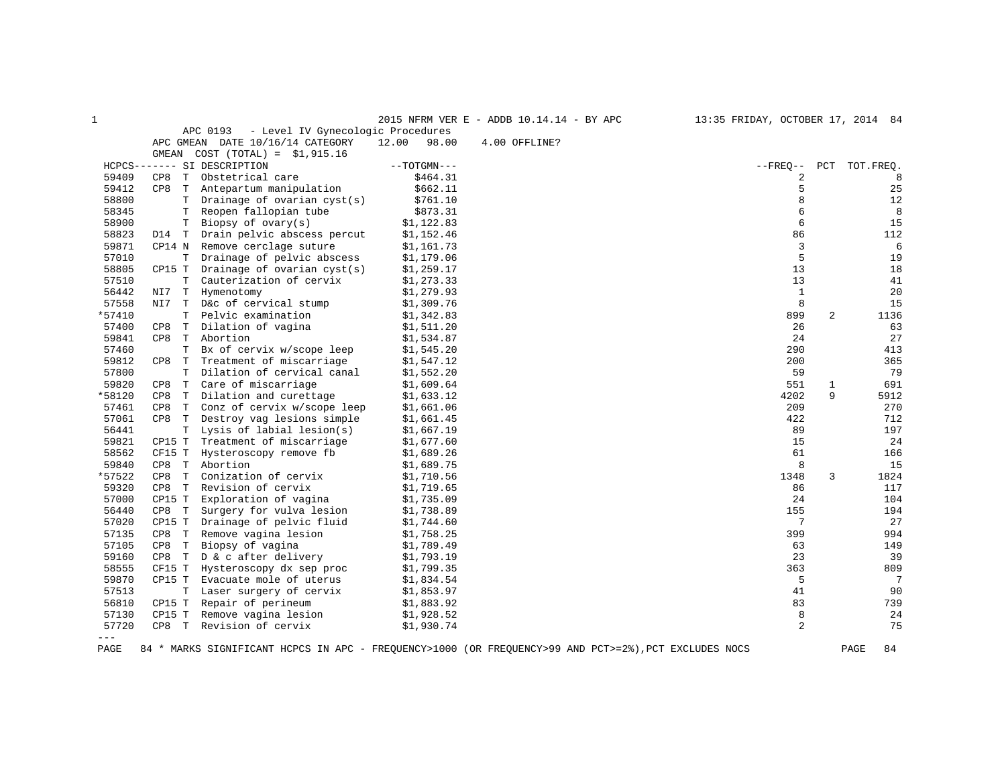| 1      |          |   |                                               |                | 2015 NFRM VER E - ADDB 10.14.14 - BY APC                                                              | 13:35 FRIDAY, OCTOBER 17, 2014 84 |     |            |
|--------|----------|---|-----------------------------------------------|----------------|-------------------------------------------------------------------------------------------------------|-----------------------------------|-----|------------|
|        |          |   | APC 0193<br>- Level IV Gynecologic Procedures |                |                                                                                                       |                                   |     |            |
|        |          |   | APC GMEAN DATE 10/16/14 CATEGORY              | 12.00<br>98.00 | 4.00 OFFLINE?                                                                                         |                                   |     |            |
|        |          |   | GMEAN $COST (TOTAL) = $1,915.16$              |                |                                                                                                       |                                   |     |            |
|        |          |   | HCPCS------- SI DESCRIPTION                   | $--TOTGMN---$  |                                                                                                       | $--$ FREO $--$                    | PCT | TOT.FREO.  |
| 59409  | CP8      | T | Obstetrical care                              | \$464.31       |                                                                                                       | 2                                 |     | 8          |
| 59412  | CP8      | T | Antepartum manipulation                       | \$662.11       |                                                                                                       | 5                                 |     | 25         |
| 58800  |          | т | Drainage of ovarian $cyst(s)$                 | \$761.10       |                                                                                                       | 8                                 |     | 12         |
| 58345  |          | T | Reopen fallopian tube                         | \$873.31       |                                                                                                       | 6                                 |     | 8          |
| 58900  |          | Т | Biopsy of $ovary(s)$                          | \$1,122.83     |                                                                                                       | 6                                 |     | 15         |
| 58823  | D14 T    |   | Drain pelvic abscess percut                   | \$1,152.46     |                                                                                                       | 86                                |     | 112        |
| 59871  | CP14 N   |   | Remove cerclage suture                        | \$1,161.73     |                                                                                                       | 3                                 |     | 6          |
| 57010  |          | т | Drainage of pelvic abscess                    | \$1,179.06     |                                                                                                       | 5                                 |     | 19         |
| 58805  | CP15 T   |   | Drainage of ovarian $cyst(s)$                 | \$1,259.17     |                                                                                                       | 13                                |     | 18         |
| 57510  |          | T | Cauterization of cervix                       | \$1,273.33     |                                                                                                       | 13                                |     | 41         |
| 56442  | NI7      | T | Hymenotomy                                    | \$1,279.93     |                                                                                                       | $\mathbf{1}$                      |     | 20         |
| 57558  | NI7      | T | D&c of cervical stump                         | \$1,309.76     |                                                                                                       | 8                                 |     | 15         |
| *57410 |          | T | Pelvic examination                            | \$1,342.83     |                                                                                                       | 899                               | 2   | 1136       |
| 57400  | CP8      | T | Dilation of vagina                            | \$1,511.20     |                                                                                                       | 26                                |     | 63         |
| 59841  | CP8      | T | Abortion                                      | \$1,534.87     |                                                                                                       | 24                                |     | 27         |
| 57460  |          | т | Bx of cervix w/scope leep                     | \$1,545.20     |                                                                                                       | 290                               |     | 413        |
| 59812  | CP8      | T | Treatment of miscarriage                      | \$1,547.12     |                                                                                                       | 200                               |     | 365        |
| 57800  |          | T | Dilation of cervical canal                    | \$1,552.20     |                                                                                                       | 59                                |     | 79         |
| 59820  | CP8      | T | Care of miscarriage                           | \$1,609.64     |                                                                                                       | 551                               | 1   | 691        |
| *58120 | CP8      | T | Dilation and curettage                        | \$1,633.12     |                                                                                                       | 4202                              | 9   | 5912       |
| 57461  | CP8      | T | Conz of cervix w/scope leep                   | \$1,661.06     |                                                                                                       | 209                               |     | 270        |
| 57061  | CP8      | T | Destroy vag lesions simple                    | \$1,661.45     |                                                                                                       | 422                               |     | 712        |
| 56441  |          | Т | Lysis of labial lesion(s)                     | \$1,667.19     |                                                                                                       | 89                                |     | 197        |
| 59821  | CP15 T   |   | Treatment of miscarriage                      | \$1,677.60     |                                                                                                       | 15                                |     | 24         |
| 58562  | CF15 T   |   | Hysteroscopy remove fb                        | \$1,689.26     |                                                                                                       | 61                                |     | 166        |
| 59840  | CP8<br>T |   | Abortion                                      | \$1,689.75     |                                                                                                       | 8                                 |     | 15         |
| *57522 | CP8      | T | Conization of cervix                          | \$1,710.56     |                                                                                                       | 1348                              | 3   | 1824       |
| 59320  | CP8      | T | Revision of cervix                            | \$1,719.65     |                                                                                                       | 86                                |     | 117        |
| 57000  | CP15 T   |   | Exploration of vagina                         | \$1,735.09     |                                                                                                       | 24                                |     | 104        |
| 56440  | CP8 T    |   | Surgery for vulva lesion                      | \$1,738.89     |                                                                                                       | 155                               |     | 194        |
| 57020  | CP15 T   |   | Drainage of pelvic fluid                      | \$1,744.60     |                                                                                                       | 7                                 |     | 27         |
| 57135  | CP8 T    |   | Remove vagina lesion                          | \$1,758.25     |                                                                                                       | 399                               |     | 994        |
| 57105  | CP8<br>T |   | Biopsy of vagina                              | \$1,789.49     |                                                                                                       | 63                                |     | 149        |
| 59160  | CP8 T    |   | D & c after delivery                          | \$1,793.19     |                                                                                                       | 23                                |     | 39         |
| 58555  | CF15 T   |   | Hysteroscopy dx sep proc                      | \$1,799.35     |                                                                                                       | 363                               |     | 809        |
| 59870  | CP15 T   |   | Evacuate mole of uterus                       | \$1,834.54     |                                                                                                       | 5                                 |     | 7          |
| 57513  |          | T | Laser surgery of cervix                       | \$1,853.97     |                                                                                                       | 41                                |     | 90         |
| 56810  | CP15 T   |   | Repair of perineum                            | \$1,883.92     |                                                                                                       | 83                                |     | 739        |
| 57130  | CP15 T   |   | Remove vagina lesion                          | \$1,928.52     |                                                                                                       | 8                                 |     | 24         |
| 57720  | T<br>CP8 |   | Revision of cervix                            | \$1,930.74     |                                                                                                       | 2                                 |     | 75         |
| $---$  |          |   |                                               |                |                                                                                                       |                                   |     |            |
| PAGE   |          |   |                                               |                | 84 * MARKS SIGNIFICANT HCPCS IN APC - FREQUENCY>1000 (OR FREQUENCY>99 AND PCT>=2%), PCT EXCLUDES NOCS |                                   |     | PAGE<br>84 |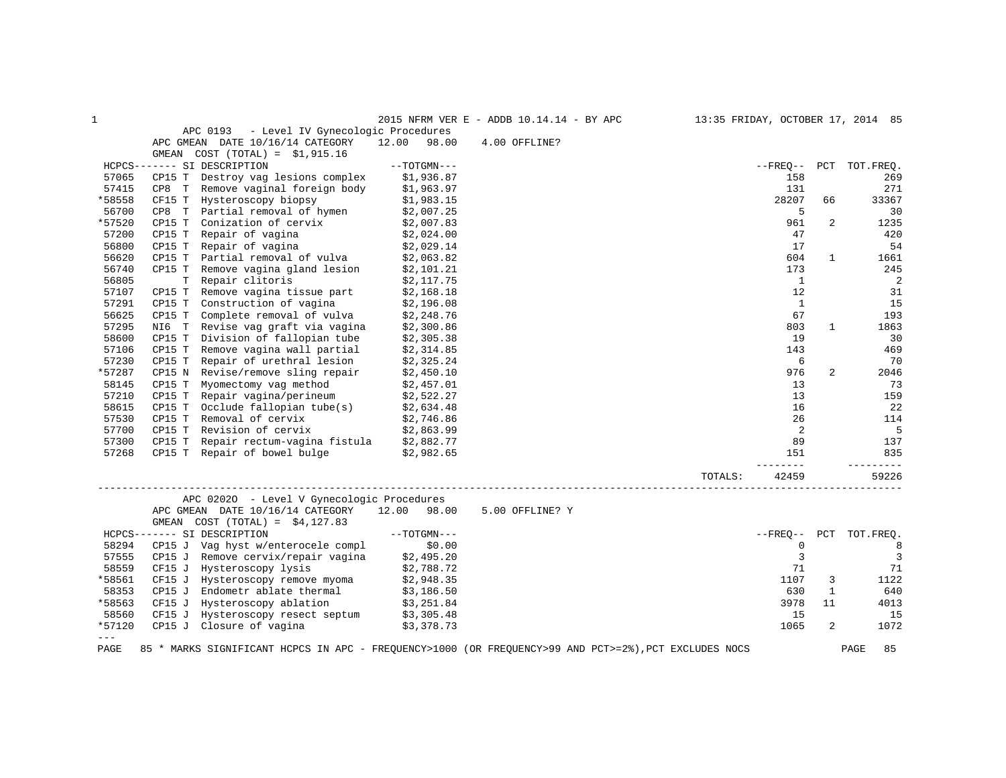| 1                                                                                                                                                                                                                                                                                                                                                                                            |                                                                                                       |                | 2015 NFRM VER E - ADDB 10.14.14 - BY APC |         |                |              | 13:35 FRIDAY, OCTOBER 17, 2014 85 |
|----------------------------------------------------------------------------------------------------------------------------------------------------------------------------------------------------------------------------------------------------------------------------------------------------------------------------------------------------------------------------------------------|-------------------------------------------------------------------------------------------------------|----------------|------------------------------------------|---------|----------------|--------------|-----------------------------------|
|                                                                                                                                                                                                                                                                                                                                                                                              | - Level IV Gynecologic Procedures<br>APC 0193                                                         |                |                                          |         |                |              |                                   |
|                                                                                                                                                                                                                                                                                                                                                                                              | APC GMEAN DATE 10/16/14 CATEGORY                                                                      | 12.00<br>98.00 | 4.00 OFFLINE?                            |         |                |              |                                   |
|                                                                                                                                                                                                                                                                                                                                                                                              | GMEAN COST $(TOTAL) = $1,915.16$                                                                      |                |                                          |         |                |              |                                   |
|                                                                                                                                                                                                                                                                                                                                                                                              | HCPCS------- SI DESCRIPTION                                                                           | $--TOTGMN---$  |                                          |         | $- FREQ--$     | PCT          | TOT.FREQ.                         |
| 57065                                                                                                                                                                                                                                                                                                                                                                                        | CP15 T Destroy vag lesions complex                                                                    | \$1,936.87     |                                          |         | 158            |              | 269                               |
| 57415                                                                                                                                                                                                                                                                                                                                                                                        | CP8 T Remove vaginal foreign body                                                                     | \$1,963.97     |                                          |         | 131            |              | 271                               |
| *58558                                                                                                                                                                                                                                                                                                                                                                                       | CF15 T Hysteroscopy biopsy                                                                            | \$1,983.15     |                                          |         | 28207          | 66           | 33367                             |
| 56700                                                                                                                                                                                                                                                                                                                                                                                        | CP8 T Partial removal of hymen                                                                        | \$2,007.25     |                                          |         | 5              |              | 30                                |
| *57520                                                                                                                                                                                                                                                                                                                                                                                       | Conization of cervix<br>CP15 T                                                                        | \$2,007.83     |                                          |         | 961            | 2            | 1235                              |
| 57200                                                                                                                                                                                                                                                                                                                                                                                        | Repair of vagina<br>CP15 T                                                                            | \$2,024.00     |                                          |         | 47             |              | 420                               |
| 56800                                                                                                                                                                                                                                                                                                                                                                                        | CP15 T<br>Repair of vagina                                                                            | \$2,029.14     |                                          |         | 17             |              | 54                                |
| 56620                                                                                                                                                                                                                                                                                                                                                                                        | Partial removal of vulva<br>CP15 T                                                                    | \$2,063.82     |                                          |         | 604            | 1            | 1661                              |
| 56740                                                                                                                                                                                                                                                                                                                                                                                        | CP15 T Remove vagina gland lesion                                                                     | \$2,101.21     |                                          |         | 173            |              | 245                               |
| 56805                                                                                                                                                                                                                                                                                                                                                                                        | T Repair clitoris                                                                                     | \$2,117.75     |                                          |         | 1              |              | $\overline{\phantom{0}}^2$        |
| 57107                                                                                                                                                                                                                                                                                                                                                                                        | CP15 T Remove vagina tissue part                                                                      | \$2,168.18     |                                          |         | 12             |              | 31                                |
| 57291                                                                                                                                                                                                                                                                                                                                                                                        | Construction of vagina \$2,196.08<br>CP15 T                                                           |                |                                          |         | $\mathbf{1}$   |              | 15                                |
| 56625                                                                                                                                                                                                                                                                                                                                                                                        | Complete removal of vulva<br>CP15 T                                                                   | \$2,248.76     |                                          |         | 67             |              | 193                               |
| 57295                                                                                                                                                                                                                                                                                                                                                                                        | NI6 T Revise vag graft via vagina                                                                     | \$2,300.86     |                                          |         | 803            | 1            | 1863                              |
| 58600                                                                                                                                                                                                                                                                                                                                                                                        | CP15 T<br>Division of fallopian tube                                                                  | \$2,305.38     |                                          |         | 19             |              | 30                                |
| 57106                                                                                                                                                                                                                                                                                                                                                                                        | CP15 T Remove vagina wall partial                                                                     | \$2,314.85     |                                          |         | 143            |              | 469                               |
| 57230                                                                                                                                                                                                                                                                                                                                                                                        | Repair of urethral lesion<br>CP15 T                                                                   | \$2,325.24     |                                          |         | 6              |              | 70                                |
| *57287                                                                                                                                                                                                                                                                                                                                                                                       | Revise/remove sling repair<br>CP15 N                                                                  | \$2,450.10     |                                          |         | 976            | 2            | 2046                              |
| 58145                                                                                                                                                                                                                                                                                                                                                                                        | Myomectomy vag method<br>CP15 T                                                                       | \$2,457.01     |                                          |         | 13             |              | 73                                |
| 57210                                                                                                                                                                                                                                                                                                                                                                                        | Repair vagina/perineum<br>CP15 T                                                                      | \$2,522.27     |                                          |         | 13             |              | 159                               |
| 58615                                                                                                                                                                                                                                                                                                                                                                                        | CP15 T<br>Occlude fallopian tube(s)                                                                   | \$2,634.48     |                                          |         | 16             |              | 22                                |
| 57530                                                                                                                                                                                                                                                                                                                                                                                        | Removal of cervix<br>CP15 T                                                                           | \$2,746.86     |                                          |         | 26             |              | 114                               |
| 57700                                                                                                                                                                                                                                                                                                                                                                                        | Revision of cervix<br>CP15 T                                                                          | \$2,863.99     |                                          |         | 2              |              | $\overline{5}$                    |
| 57300                                                                                                                                                                                                                                                                                                                                                                                        | Repair rectum-vagina fistula \$2,882.77<br>CP15 T                                                     |                |                                          |         | 89             |              | 137                               |
| 57268                                                                                                                                                                                                                                                                                                                                                                                        | CP15 T Repair of bowel bulge \$2,982.65                                                               |                |                                          |         | 151            |              | 835                               |
|                                                                                                                                                                                                                                                                                                                                                                                              |                                                                                                       |                |                                          |         |                |              |                                   |
|                                                                                                                                                                                                                                                                                                                                                                                              |                                                                                                       |                |                                          | TOTALS: | 42459          |              | 59226                             |
|                                                                                                                                                                                                                                                                                                                                                                                              | APC 02020 - Level V Gynecologic Procedures                                                            |                |                                          |         |                |              |                                   |
|                                                                                                                                                                                                                                                                                                                                                                                              | APC GMEAN DATE 10/16/14 CATEGORY                                                                      | 12.00 98.00    | 5.00 OFFLINE? Y                          |         |                |              |                                   |
|                                                                                                                                                                                                                                                                                                                                                                                              | GMEAN COST $(TOTAL) = $4,127.83$                                                                      |                |                                          |         |                |              |                                   |
|                                                                                                                                                                                                                                                                                                                                                                                              | HCPCS------- SI DESCRIPTION                                                                           | $--TOTGMN---$  |                                          |         | $--$ FREO $--$ | PCT          | TOT.FREO.                         |
| 58294                                                                                                                                                                                                                                                                                                                                                                                        | CP15 J Vag hyst w/enterocele compl                                                                    | \$0.00         |                                          |         | $\mathbf 0$    |              | 8                                 |
| 57555                                                                                                                                                                                                                                                                                                                                                                                        | CP15 J Remove cervix/repair vagina                                                                    | \$2,495.20     |                                          |         | 3              |              | $\overline{3}$                    |
| 58559                                                                                                                                                                                                                                                                                                                                                                                        | CF15 J Hysteroscopy lysis                                                                             | \$2,788.72     |                                          |         | 71             |              | 71                                |
| *58561                                                                                                                                                                                                                                                                                                                                                                                       | CF15 J Hysteroscopy remove myoma                                                                      | \$2,948.35     |                                          |         | 1107           | 3            | 1122                              |
| 58353                                                                                                                                                                                                                                                                                                                                                                                        | Endometr ablate thermal<br>CP15 J                                                                     | \$3,186.50     |                                          |         | 630            | $\mathbf{1}$ | 640                               |
| *58563                                                                                                                                                                                                                                                                                                                                                                                       | CF15 J Hysteroscopy ablation                                                                          | \$3,251.84     |                                          |         | 3978           | 11           | 4013                              |
| 58560                                                                                                                                                                                                                                                                                                                                                                                        | Hysteroscopy resect septum \$3,305.48<br>CF15 J                                                       |                |                                          |         | 15             |              | 15                                |
| *57120                                                                                                                                                                                                                                                                                                                                                                                       | CP15 J Closure of vagina                                                                              | \$3,378.73     |                                          |         | 1065           | 2            | 1072                              |
| $\frac{1}{2} \frac{1}{2} \frac{1}{2} \frac{1}{2} \frac{1}{2} \frac{1}{2} \frac{1}{2} \frac{1}{2} \frac{1}{2} \frac{1}{2} \frac{1}{2} \frac{1}{2} \frac{1}{2} \frac{1}{2} \frac{1}{2} \frac{1}{2} \frac{1}{2} \frac{1}{2} \frac{1}{2} \frac{1}{2} \frac{1}{2} \frac{1}{2} \frac{1}{2} \frac{1}{2} \frac{1}{2} \frac{1}{2} \frac{1}{2} \frac{1}{2} \frac{1}{2} \frac{1}{2} \frac{1}{2} \frac{$ |                                                                                                       |                |                                          |         |                |              |                                   |
| PAGE                                                                                                                                                                                                                                                                                                                                                                                         | 85 * MARKS SIGNIFICANT HCPCS IN APC - FREQUENCY>1000 (OR FREQUENCY>99 AND PCT>=2%), PCT EXCLUDES NOCS |                |                                          |         |                |              | 85<br>PAGE                        |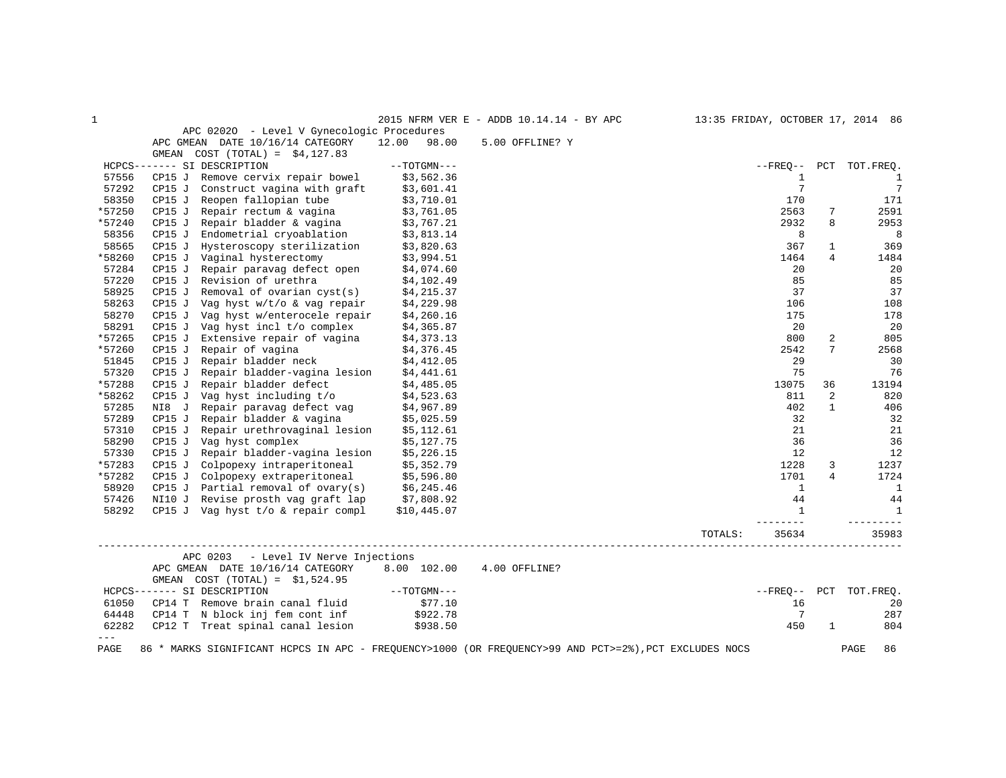| $\mathbf 1$ |        |                                                                      |                | 2015 NFRM VER E - ADDB 10.14.14 - BY APC                                                              |         |                   |              | 13:35 FRIDAY, OCTOBER 17, 2014 86 |
|-------------|--------|----------------------------------------------------------------------|----------------|-------------------------------------------------------------------------------------------------------|---------|-------------------|--------------|-----------------------------------|
|             |        | APC 02020 - Level V Gynecologic Procedures                           |                |                                                                                                       |         |                   |              |                                   |
|             |        | APC GMEAN DATE 10/16/14 CATEGORY                                     | 12.00<br>98.00 | 5.00 OFFLINE? Y                                                                                       |         |                   |              |                                   |
|             |        | GMEAN COST $(TOTAL) = $4,127.83$                                     |                |                                                                                                       |         |                   |              |                                   |
|             |        | HCPCS------- SI DESCRIPTION                                          | $--TOTGMN---$  |                                                                                                       |         | $--$ FREO $--$    |              | PCT TOT. FREO.                    |
| 57556       | CP15 J | Remove cervix repair bowel                                           | \$3,562.36     |                                                                                                       |         | 1                 |              | $\mathbf{1}$                      |
| 57292       | CP15 J | Construct vagina with graft                                          | \$3,601.41     |                                                                                                       |         | $7\phantom{.0}$   |              | $7\phantom{.0}$                   |
| 58350       | CP15 J | Reopen fallopian tube                                                | \$3,710.01     |                                                                                                       |         | 170               |              | 171                               |
| *57250      | CP15 J | Repair rectum & vagina                                               | \$3,761.05     |                                                                                                       |         | 2563              | 7            | 2591                              |
| *57240      | CP15 J | Repair bladder & vagina                                              | \$3,767.21     |                                                                                                       |         | 2932              | 8            | 2953                              |
| 58356       | CP15J  | Endometrial cryoablation                                             | \$3,813.14     |                                                                                                       |         | 8                 |              | 8                                 |
| 58565       | CP15J  | Hysteroscopy sterilization                                           | \$3,820.63     |                                                                                                       |         | 367               | $\mathbf{1}$ | 369                               |
| *58260      | CP15 J | Vaginal hysterectomy                                                 | \$3,994.51     |                                                                                                       |         | 1464              | 4            | 1484                              |
| 57284       | CP15 J | Repair paravag defect open                                           | \$4,074.60     |                                                                                                       |         | 20                |              | 20                                |
| 57220       | CP15 J | Revision of urethra                                                  | \$4,102.49     |                                                                                                       |         | 85                |              | 85                                |
| 58925       |        | Removal of ovarian $cyst(s)$                                         |                |                                                                                                       |         | 37                |              | 37                                |
|             | CP15 J |                                                                      | \$4,215.37     |                                                                                                       |         |                   |              |                                   |
| 58263       | CP15 J | Vag hyst w/t/o & vag repair                                          | \$4,229.98     |                                                                                                       |         | 106               |              | 108                               |
| 58270       | CP15 J | Vag hyst w/enterocele repair                                         | \$4,260.16     |                                                                                                       |         | 175               |              | 178                               |
| 58291       | CP15 J | Vag hyst incl t/o complex                                            | \$4,365.87     |                                                                                                       |         | 20                |              | 20                                |
| *57265      | CP15J  | Extensive repair of vagina                                           | \$4,373.13     |                                                                                                       |         | 800               | 2            | 805                               |
| *57260      | CP15 J | Repair of vagina                                                     | \$4,376.45     |                                                                                                       |         | 2542              | 7            | 2568                              |
| 51845       | CP15 J | Repair bladder neck                                                  | \$4,412.05     |                                                                                                       |         | 29                |              | 30                                |
| 57320       | CP15J  | Repair bladder-vagina lesion                                         | \$4,441.61     |                                                                                                       |         | 75                |              | 76                                |
| *57288      | CP15 J | Repair bladder defect                                                | \$4,485.05     |                                                                                                       |         | 13075             | 36           | 13194                             |
| *58262      | CP15 J | Vag hyst including t/o                                               | \$4,523.63     |                                                                                                       |         | 811               | 2            | 820                               |
| 57285       | NI8 J  | Repair paravag defect vag                                            | \$4,967.89     |                                                                                                       |         | 402               | $\mathbf{1}$ | 406                               |
| 57289       | CP15J  | Repair bladder & vagina                                              | \$5,025.59     |                                                                                                       |         | 32                |              | 32                                |
| 57310       | CP15 J | Repair urethrovaginal lesion                                         | \$5,112.61     |                                                                                                       |         | 21                |              | 21                                |
| 58290       | CP15 J | Vag hyst complex                                                     | \$5,127.75     |                                                                                                       |         | 36                |              | 36                                |
| 57330       | CP15J  | Repair bladder-vagina lesion                                         | \$5,226.15     |                                                                                                       |         | $12 \overline{ }$ |              | 12                                |
| *57283      | CP15 J | Colpopexy intraperitoneal                                            | \$5,352.79     |                                                                                                       |         | 1228              | 3            | 1237                              |
| *57282      | CP15 J | Colpopexy extraperitoneal                                            | \$5,596.80     |                                                                                                       |         | 1701              | 4            | 1724                              |
| 58920       | CP15 J | Partial removal of ovary(s)                                          | \$6,245.46     |                                                                                                       |         | $\mathbf{1}$      |              | $\mathbf{1}$                      |
| 57426       | NI10 J | Revise prosth vag graft lap                                          | \$7,808.92     |                                                                                                       |         | 44                |              | 44                                |
| 58292       |        | CP15 J Vag hyst t/o & repair compl                                   | \$10,445.07    |                                                                                                       |         | $\mathbf{1}$      |              | $\mathbf{1}$                      |
|             |        |                                                                      |                |                                                                                                       |         | $- - - - -$       |              | $- - - -$                         |
|             |        |                                                                      |                |                                                                                                       | TOTALS: | 35634             |              | 35983                             |
|             |        | APC 0203<br>- Level IV Nerve Injections                              |                |                                                                                                       |         |                   |              |                                   |
|             |        | APC GMEAN DATE 10/16/14 CATEGORY<br>GMEAN COST $(TOTAL) = $1,524.95$ | 8.00 102.00    | 4.00 OFFLINE?                                                                                         |         |                   |              |                                   |
|             |        | HCPCS------- SI DESCRIPTION                                          | $--TOTGMN---$  |                                                                                                       |         | $- FREO--$        | PCT          | TOT.FREO.                         |
| 61050       |        | CP14 T Remove brain canal fluid                                      | \$77.10        |                                                                                                       |         | 16                |              | 20                                |
| 64448       |        | CP14 T N block inj fem cont inf                                      | \$922.78       |                                                                                                       |         | 7                 |              | 287                               |
| 62282       |        | CP12 T Treat spinal canal lesion                                     | \$938.50       |                                                                                                       |         | 450               | $\mathbf{1}$ | 804                               |
| $---$       |        |                                                                      |                |                                                                                                       |         |                   |              |                                   |
| PAGE        |        |                                                                      |                | 86 * MARKS SIGNIFICANT HCPCS IN APC - FREQUENCY>1000 (OR FREQUENCY>99 AND PCT>=2%), PCT EXCLUDES NOCS |         |                   |              | PAGE<br>86                        |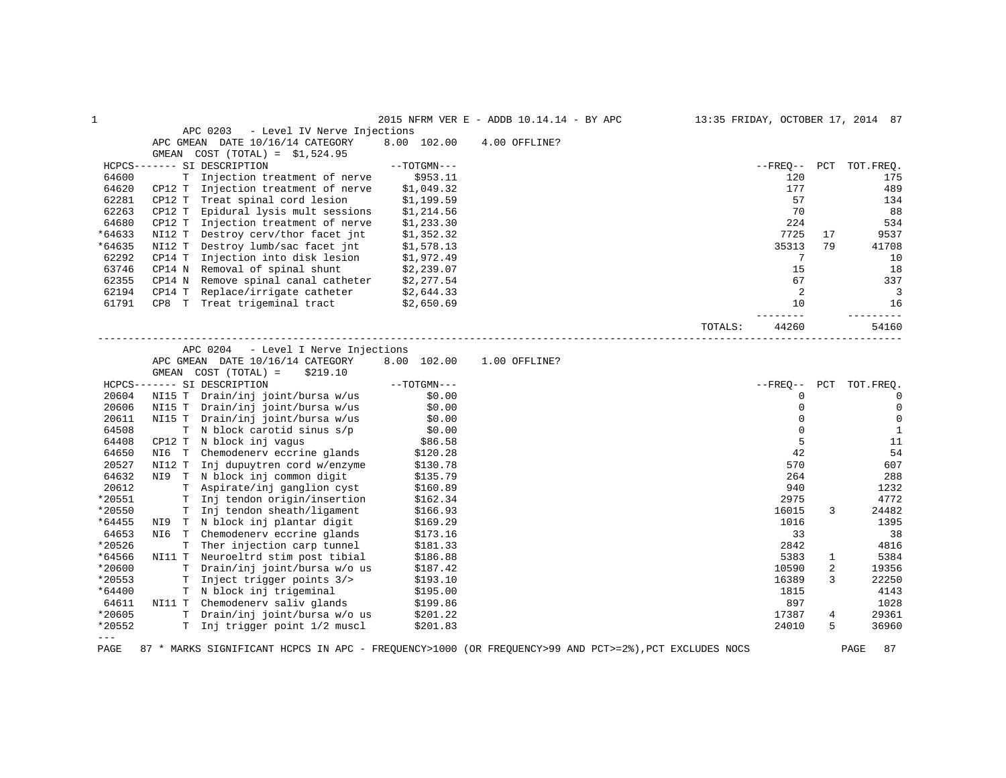| 1      |                                          |               | 2015 NFRM VER E - ADDB 10.14.14 - BY APC | 13:35 FRIDAY, OCTOBER 17, 2014 87 |             |     |              |
|--------|------------------------------------------|---------------|------------------------------------------|-----------------------------------|-------------|-----|--------------|
|        | APC 0203<br>- Level IV Nerve Injections  |               |                                          |                                   |             |     |              |
|        | APC GMEAN DATE 10/16/14 CATEGORY         | 8.00 102.00   | 4.00 OFFLINE?                            |                                   |             |     |              |
|        | $COST (TOTAL) = $1,524.95$<br>GMEAN      |               |                                          |                                   |             |     |              |
|        | HCPCS------- SI DESCRIPTION              | $--TOTGMN---$ |                                          |                                   | --FREQ--    | PCT | TOT.FREQ.    |
| 64600  | Injection treatment of nerve<br>T.       | \$953.11      |                                          |                                   | 120         |     | 175          |
| 64620  | Injection treatment of nerve<br>CP12 T   | \$1,049.32    |                                          |                                   | 177         |     | 489          |
| 62281  | CP12 T<br>Treat spinal cord lesion       | \$1,199.59    |                                          |                                   | 57          |     | 134          |
| 62263  | CP12 T<br>Epidural lysis mult sessions   | \$1,214.56    |                                          |                                   | 70          |     | 88           |
| 64680  | CP12 T<br>Injection treatment of nerve   | \$1,233.30    |                                          |                                   | 224         |     | 534          |
| *64633 | Destroy cerv/thor facet int<br>NI12 T    | \$1,352.32    |                                          |                                   | 7725        | 17  | 9537         |
| *64635 | NI12 T<br>Destroy lumb/sac facet jnt     | \$1,578.13    |                                          |                                   | 35313       | 79  | 41708        |
| 62292  | Injection into disk lesion<br>CP14 T     | \$1,972.49    |                                          |                                   | 7           |     | 10           |
| 63746  | Removal of spinal shunt<br>CP14 N        | \$2,239.07    |                                          |                                   | 15          |     | 18           |
| 62355  | CP14 N Remove spinal canal catheter      | \$2,277.54    |                                          |                                   | 67          |     | 337          |
| 62194  | Replace/irrigate catheter<br>CP14 T      | \$2,644.33    |                                          |                                   | 2           |     | 3            |
| 61791  | Treat trigeminal tract<br>CP8 T          | \$2,650.69    |                                          |                                   | 10          |     | 16           |
|        |                                          |               |                                          |                                   |             |     | $- - - -$    |
|        |                                          |               |                                          | TOTALS:                           | 44260       |     | 54160        |
|        | APC 0204<br>- Level I Nerve Injections   |               |                                          |                                   |             |     |              |
|        | APC GMEAN DATE 10/16/14 CATEGORY         | 8.00 102.00   | 1.00 OFFLINE?                            |                                   |             |     |              |
|        | GMEAN COST (TOTAL) =<br>\$219.10         |               |                                          |                                   |             |     |              |
|        | HCPCS------- SI DESCRIPTION              | $--TOTGMN---$ |                                          |                                   | $- FREO--$  | PCT | TOT.FREQ.    |
| 20604  | NI15 T Drain/inj joint/bursa w/us        | \$0.00        |                                          |                                   | 0           |     | 0            |
| 20606  | NI15 T Drain/inj joint/bursa w/us        | \$0.00        |                                          |                                   | $\mathbf 0$ |     | $\mathbf 0$  |
| 20611  | NI15 T Drain/inj joint/bursa w/us        | \$0.00        |                                          |                                   | $\mathbf 0$ |     | $\mathbf 0$  |
| 64508  | T.<br>N block carotid sinus s/p          | \$0.00        |                                          |                                   | $\Omega$    |     | $\mathbf{1}$ |
| 64408  | CP12 T<br>N block inj vaqus              | \$86.58       |                                          |                                   | 5           |     | 11           |
| 64650  | Chemodenery eccrine glands<br>NI6 T      | \$120.28      |                                          |                                   | 42          |     | 54           |
| 20527  | Inj dupuytren cord w/enzyme<br>NI12 T    | \$130.78      |                                          |                                   | 570         |     | 607          |
| 64632  | NI9 T N block inj common digit           | \$135.79      |                                          |                                   | 264         |     | 288          |
| 20612  | T Aspirate/inj ganglion cyst             | \$160.89      |                                          |                                   | 940         |     | 1232         |
| *20551 | Inj tendon origin/insertion<br>T.        | \$162.34      |                                          |                                   | 2975        |     | 4772         |
| *20550 | Inj tendon sheath/ligament<br>T.         | \$166.93      |                                          |                                   | 16015       | 3   | 24482        |
| *64455 | T N block inj plantar digit<br>NI9       | \$169.29      |                                          |                                   | 1016        |     | 1395         |
| 64653  | NI6 T<br>Chemodenery eccrine glands      | \$173.16      |                                          |                                   | 33          |     | 38           |
| *20526 | T<br>Ther injection carp tunnel          | \$181.33      |                                          |                                   | 2842        |     | 4816         |
| *64566 | NI11 T Neuroeltrd stim post tibial       | \$186.88      |                                          |                                   | 5383        | 1   | 5384         |
| *20600 | T Drain/inj joint/bursa w/o us           | \$187.42      |                                          |                                   | 10590       | 2   | 19356        |
| *20553 | Inject trigger points 3/><br>$\mathbf T$ | \$193.10      |                                          |                                   | 16389       | 3   | 22250        |
|        | T N block inj trigeminal                 |               |                                          |                                   |             |     |              |
| *64400 |                                          | \$195.00      |                                          |                                   | 1815        |     | 4143         |
| 64611  | NI11 T Chemodenerv saliv glands          | \$199.86      |                                          |                                   | 897         |     | 1028         |
| *20605 | T Drain/inj joint/bursa w/o us           | \$201.22      |                                          |                                   | 17387       | 4   | 29361        |
| *20552 | T Inj trigger point 1/2 muscl            | \$201.83      |                                          |                                   | 24010       | 5   | 36960        |
| $---$  |                                          |               |                                          |                                   |             |     |              |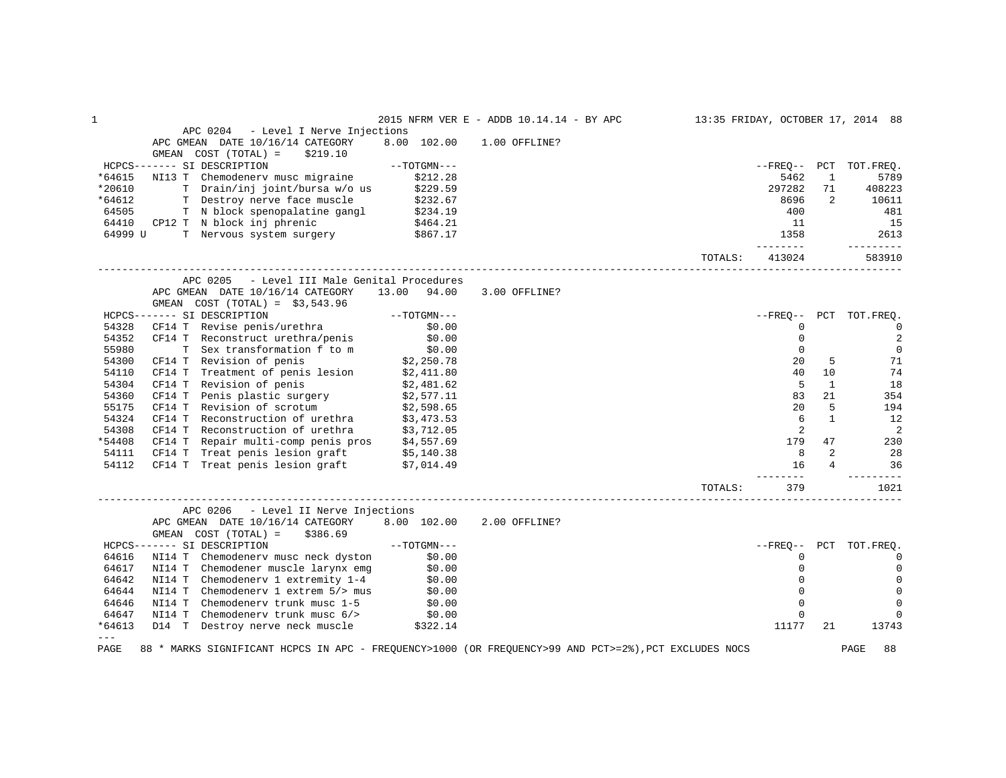| 1        |                                                                                                                            |                          | 2015 NFRM VER E - ADDB 10.14.14 - BY APC |         |                     |                | 13:35 FRIDAY, OCTOBER 17, 2014 88 |
|----------|----------------------------------------------------------------------------------------------------------------------------|--------------------------|------------------------------------------|---------|---------------------|----------------|-----------------------------------|
|          | APC 0204 - Level I Nerve Injections                                                                                        |                          |                                          |         |                     |                |                                   |
|          | APC GMEAN DATE 10/16/14 CATEGORY                                                                                           | 8.00 102.00              | 1.00 OFFLINE?                            |         |                     |                |                                   |
|          | COST (TOTAL) =<br>GMEAN<br>\$219.10                                                                                        |                          |                                          |         |                     |                |                                   |
|          | ----- SI DESCRIPTION ------ SI DESCRIPTION ---<br>NI13 T Chemodenerv musc migraine \$212.28<br>HCPCS------- SI DESCRIPTION |                          |                                          |         |                     |                | --FREO-- PCT TOT.FREO.            |
| *64615   |                                                                                                                            |                          |                                          |         | 5462                | $\mathbf{1}$   | 5789                              |
| *20610   | T Drain/inj joint/bursa w/o us \$229.59                                                                                    |                          |                                          |         | 297282              | 71             | 408223                            |
| *64612   | T Destroy nerve face muscle \$232.67<br>T N block spenopalatine gangl \$234.19                                             |                          |                                          |         | 8696                | 2              | 10611                             |
| 64505    |                                                                                                                            |                          |                                          |         | 400                 |                | 481                               |
| 64410    | CP12 T N block inj phrenic                                                                                                 | \$464.21                 |                                          |         | 11                  |                | 15                                |
| 64999 U  | T Nervous system surgery \$867.17                                                                                          |                          |                                          |         | 1358                |                | 2613                              |
|          |                                                                                                                            |                          |                                          | TOTALS: | --------<br>413024  |                | ----------<br>583910              |
|          | APC 0205<br>- Level III Male Genital Procedures                                                                            |                          |                                          |         |                     |                |                                   |
|          | APC GMEAN DATE 10/16/14 CATEGORY                                                                                           | 13.00 94.00              | 3.00 OFFLINE?                            |         |                     |                |                                   |
|          |                                                                                                                            |                          |                                          |         |                     |                |                                   |
|          | HCPCS------- SI DESCRIPTION                                                                                                |                          |                                          |         |                     |                | --FREO-- PCT TOT.FREO.            |
| 54328    |                                                                                                                            |                          |                                          |         | 0                   |                | $\overline{0}$                    |
| 54352    |                                                                                                                            |                          |                                          |         | $\mathsf{O}\xspace$ |                | $\overline{2}$                    |
| 55980    |                                                                                                                            |                          |                                          |         | $\mathbf{0}$        |                | $\mathbf 0$                       |
| 54300    | CF14 T Revision of penis                                                                                                   | 0.00 \$0<br>27.250.78 \$ |                                          |         | 20                  | 5              | 71                                |
| 54110    |                                                                                                                            |                          |                                          |         | 40                  | 10             | 74                                |
| 54304    | CF14 T Treatment of penis lesion \$2,411.80<br>CF14 T Revision of penis \$2,481.62                                         |                          |                                          |         | $5^{\circ}$         | 1              | 18                                |
| 54360    |                                                                                                                            |                          |                                          |         | 83                  | 21             | 354                               |
| 55175    | CF14 T Penis plastic surgery $$2,577.11$<br>CF14 T Revision of scrotum $$2,598.65$                                         |                          |                                          |         | 20                  | 5              | 194                               |
| 54324    | CF14 T Reconstruction of urethra \$3,473.53                                                                                |                          |                                          |         | 6                   | $\mathbf{1}$   | 12                                |
| 54308    |                                                                                                                            |                          |                                          |         | 2                   |                | 2                                 |
| *54408   | CF14 T Reconstruction of urethra \$3,712.05<br>CF14 T Repair multi-comp penis pros \$4,557.69                              |                          |                                          |         | 179                 | 47             | 230                               |
| 54111    |                                                                                                                            |                          |                                          |         | 8                   | 2              | 28                                |
| 54112    | CF14 T Treat penis lesion graft $$5,140.38$<br>CF14 T Treat penis lesion graft \$7,014.49                                  |                          |                                          |         | 16                  | $\overline{4}$ | 36                                |
|          |                                                                                                                            |                          |                                          |         |                     |                | $- - - - -$                       |
|          |                                                                                                                            |                          |                                          | TOTALS: | 379                 |                | 1021                              |
|          | APC 0206 - Level II Nerve Injections                                                                                       |                          |                                          |         |                     |                |                                   |
|          | APC GMEAN DATE 10/16/14 CATEGORY 8.00 102.00                                                                               |                          | 2.00 OFFLINE?                            |         |                     |                |                                   |
|          | GMEAN $COST (TOTAL) = $386.69$                                                                                             |                          |                                          |         |                     |                |                                   |
|          | HCPCS------- SI DESCRIPTION                                                                                                |                          |                                          |         |                     |                | --FREO-- PCT TOT.FREQ.            |
| 64616    | NI14 T Chemodenerv musc neck dyston \$0.00                                                                                 |                          |                                          |         | $\Omega$            |                | $\Omega$                          |
| 64617    | NI14 T Chemodener muscle larynx emg                                                                                        |                          |                                          |         | $\mathbf 0$         |                | $\mathbf 0$                       |
| 64642    | NI14 T Chemodener muscle larynx emg \$0.00<br>NI14 T Chemodenerv 1 extremity 1-4 \$0.00                                    |                          |                                          |         | $\Omega$            |                | $\Omega$                          |
| 64644    | NI14 T                                                                                                                     |                          |                                          |         | $\Omega$            |                | $\Omega$                          |
| 64646    | Chemodenerv 1 extrem $5$ /> mus $$0.00$<br>Chemodenerv trunk musc $1-5$ $$0.00$<br>NI14 T Chemodenerv trunk musc 1-5       |                          |                                          |         | $\mathbf 0$         |                | $\Omega$                          |
| 64647    | NI14 T Chemodenerv trunk musc 6/> \$0.00                                                                                   |                          |                                          |         | $\mathbf 0$         |                |                                   |
| $*64613$ | D14 T Destroy nerve neck muscle \$322.14                                                                                   |                          |                                          |         | 11177               | 21             | 13743                             |
| $---$    |                                                                                                                            |                          |                                          |         |                     |                |                                   |
| PAGE     | 88 * MARKS SIGNIFICANT HCPCS IN APC - FREQUENCY>1000 (OR FREQUENCY>99 AND PCT>=2%), PCT EXCLUDES NOCS                      |                          |                                          |         |                     |                | 88<br>PAGE                        |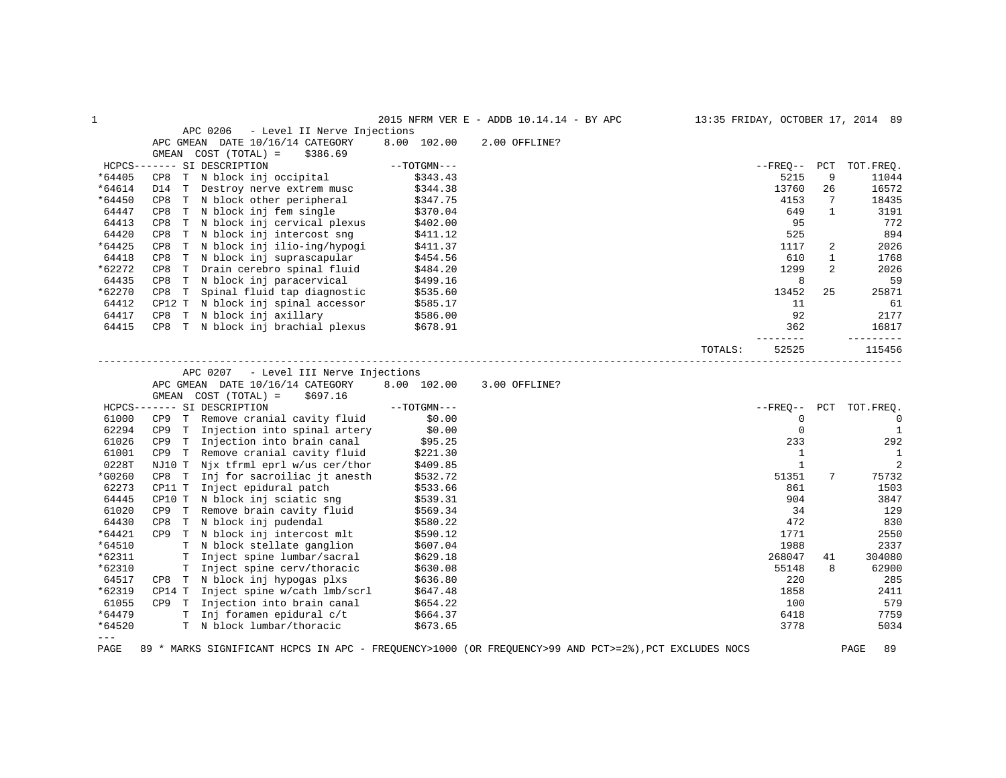| $\mathbf 1$ |                                                                                                                                              |                              | 2015 NFRM VER E - ADDB 10.14.14 - BY APC | 13:35 FRIDAY, OCTOBER 17, 2014 89 |                        |                |                        |
|-------------|----------------------------------------------------------------------------------------------------------------------------------------------|------------------------------|------------------------------------------|-----------------------------------|------------------------|----------------|------------------------|
|             | APC 0206<br>- Level II Nerve Injections                                                                                                      |                              |                                          |                                   |                        |                |                        |
|             | APC GMEAN DATE 10/16/14 CATEGORY                                                                                                             | 8.00 102.00                  | 2.00 OFFLINE?                            |                                   |                        |                |                        |
|             | GMEAN COST (TOTAL) =<br>\$386.69                                                                                                             |                              |                                          |                                   |                        |                |                        |
|             | HCPCS------- SI DESCRIPTION                                                                                                                  | $--TOTGMN---$                |                                          |                                   | $--FREQ--$ PCT         |                | TOT.FREQ.              |
| *64405      | CP8 T N block inj occipital                                                                                                                  | \$343.43                     |                                          |                                   | 5215                   | 9              | 11044                  |
| *64614      | D14 T Destroy nerve extrem musc                                                                                                              | \$344.38                     |                                          |                                   | 13760                  | 26             | 16572                  |
| *64450      | CP8 T N block other peripheral                                                                                                               | \$347.75                     |                                          |                                   | 4153                   | 7              | 18435                  |
| 64447       | CP8 T N block inj fem single                                                                                                                 | \$370.04                     |                                          |                                   | 649                    | $\mathbf{1}$   | 3191                   |
| 64413       | T N block inj cervical plexus<br>CP8                                                                                                         | \$402.00                     |                                          |                                   | 95                     |                | 772                    |
| 64420       | CP8 T N block inj intercost sng                                                                                                              | \$411.12                     |                                          |                                   | 525                    |                | 894                    |
| *64425      | CP8 T N block inj ilio-ing/hypogi                                                                                                            | \$411.37                     |                                          |                                   | 1117                   | 2              | 2026                   |
| 64418       | T N block inj suprascapular<br>CP8                                                                                                           | \$454.56                     |                                          |                                   | 610                    | $\mathbf{1}$   | 1768                   |
| *62272      | CP8 T Drain cerebro spinal fluid                                                                                                             | \$484.20                     |                                          |                                   | 1299                   | $\overline{2}$ | 2026                   |
| 64435       | CP8 T N block inj paracervical                                                                                                               | \$499.16                     |                                          |                                   | 8                      |                | 59                     |
| *62270      | CP8 T Spinal fluid tap diagnostic                                                                                                            | \$535.60                     |                                          |                                   | 13452                  | 25             | 25871                  |
| 64412       | CP12 T N block inj spinal accessor                                                                                                           | \$585.17                     |                                          |                                   | 11                     |                | 61                     |
| 64417       | CP8 T N block inj axillary \$586.00                                                                                                          |                              |                                          |                                   | 92                     |                | 2177                   |
| 64415       | CP8 T N block inj brachial plexus \$678.91                                                                                                   |                              |                                          |                                   | 362                    |                | 16817                  |
|             |                                                                                                                                              |                              |                                          | TOTALS:                           | $- - - - - -$<br>52525 |                | 115456                 |
|             | APC 0207 - Level III Nerve Injections<br>APC GMEAN DATE 10/16/14 CATEGORY<br>GMEAN COST (TOTAL) =<br>\$697.16<br>HCPCS------- SI DESCRIPTION | 8.00 102.00<br>$--TOTGMN---$ | 3.00 OFFLINE?                            |                                   |                        |                | --FREQ-- PCT TOT.FREQ. |
| 61000       | CP9 T Remove cranial cavity fluid                                                                                                            | \$0.00                       |                                          |                                   | $\mathbf 0$            |                | $\overline{0}$         |
| 62294       | CP9 T Injection into spinal artery                                                                                                           | \$0.00                       |                                          |                                   | $\mathbf 0$            |                | $\overline{1}$         |
| 61026       | CP9 T Injection into brain canal                                                                                                             | \$95.25                      |                                          |                                   | 233                    |                | 292                    |
| 61001       | CP9 T Remove cranial cavity fluid                                                                                                            | \$221.30                     |                                          |                                   | $\mathbf{1}$           |                | 1                      |
| 0228T       | NJ10 T Njx tfrml eprl w/us cer/thor                                                                                                          | \$409.85                     |                                          |                                   | $\mathbf{1}$           |                | 2                      |
| *G0260      | CP8 T Inj for sacroiliac jt anesth                                                                                                           | \$532.72                     |                                          |                                   | 51351                  | 7              | 75732                  |
| 62273       | CP11 T Inject epidural patch                                                                                                                 | \$533.66                     |                                          |                                   | 861                    |                | 1503                   |
| 64445       | CP10 T N block inj sciatic sng                                                                                                               | \$539.31                     |                                          |                                   | 904                    |                | 3847                   |
| 61020       | CP9 T Remove brain cavity fluid                                                                                                              | \$569.34                     |                                          |                                   | 34                     |                | 129                    |
| 64430       | T N block inj pudendal<br>CP8                                                                                                                | \$580.22                     |                                          |                                   | 472                    |                | 830                    |
| *64421      | CP9 T N block inj intercost mlt                                                                                                              | \$590.12                     |                                          |                                   | 1771                   |                | 2550                   |
| *64510      | T N block stellate ganglion                                                                                                                  | \$607.04                     |                                          |                                   | 1988                   |                | 2337                   |
| *62311      | T Inject spine lumbar/sacral                                                                                                                 | \$629.18                     |                                          |                                   | 268047                 | 41             | 304080                 |
| *62310      |                                                                                                                                              |                              |                                          |                                   | 55148                  | 8              | 62900                  |
|             | T Inject spine cerv/thoracic                                                                                                                 | \$630.08                     |                                          |                                   |                        |                |                        |
| 64517       | CP8 T N block inj hypogas plxs                                                                                                               | \$636.80                     |                                          |                                   | 220                    |                | 285                    |
| *62319      | CP14 T Inject spine w/cath lmb/scrl                                                                                                          | \$647.48                     |                                          |                                   | 1858                   |                | 2411                   |
| 61055       | CP9 T Injection into brain canal                                                                                                             | \$654.22                     |                                          |                                   | 100                    |                | 579                    |
| *64479      | T Inj foramen epidural c/t                                                                                                                   | \$664.37                     |                                          |                                   | 6418                   |                | 7759                   |
| *64520      | T N block lumbar/thoracic                                                                                                                    | \$673.65                     |                                          |                                   | 3778                   |                | 5034                   |

PAGE 89 \* MARKS SIGNIFICANT HCPCS IN APC - FREQUENCY>1000 (OR FREQUENCY>99 AND PCT>=2%),PCT EXCLUDES NOCS PAGE 89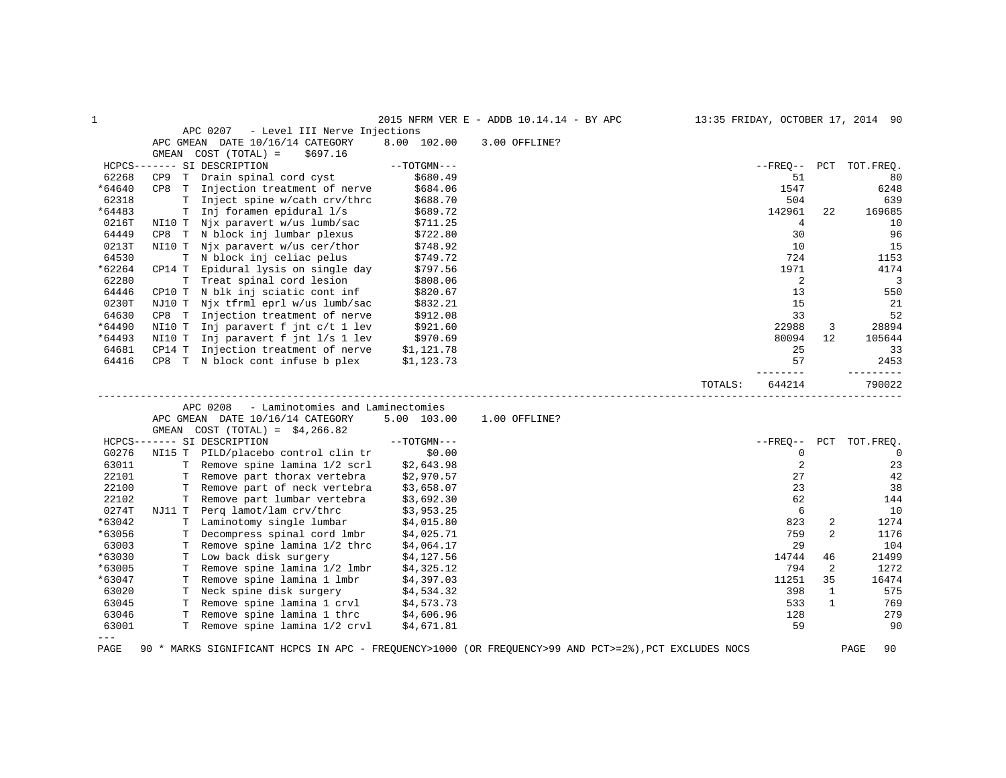| $\mathbf{1}$ |        |                                                                      |               | 2015 NFRM VER E - ADDB 10.14.14 - BY APC | 13:35 FRIDAY, OCTOBER 17, 2014 90 |              |             |
|--------------|--------|----------------------------------------------------------------------|---------------|------------------------------------------|-----------------------------------|--------------|-------------|
|              |        | APC 0207<br>- Level III Nerve Injections                             |               |                                          |                                   |              |             |
|              |        | APC GMEAN DATE 10/16/14 CATEGORY                                     | 8.00 102.00   | 3.00 OFFLINE?                            |                                   |              |             |
|              |        | GMEAN COST (TOTAL) =<br>\$697.16                                     |               |                                          |                                   |              |             |
|              |        | HCPCS------- SI DESCRIPTION                                          | $--TOTGMN---$ |                                          | $- FREO--$                        | PCT          | TOT.FREO.   |
| 62268        |        | CP9 T Drain spinal cord cyst                                         | \$680.49      |                                          | 51                                |              | 80          |
| *64640       |        | CP8 T Injection treatment of nerve                                   | \$684.06      |                                          | 1547                              |              | 6248        |
| 62318        |        | T Inject spine w/cath crv/thrc                                       | \$688.70      |                                          | 504                               |              | 639         |
| *64483       |        | T Inj foramen epidural 1/s                                           | \$689.72      |                                          | 142961                            | 22           | 169685      |
| 0216T        | NI10 T | Njx paravert w/us lumb/sac                                           | \$711.25      |                                          | $\overline{4}$                    |              | 10          |
| 64449        | CP8 T  | N block inj lumbar plexus                                            | \$722.80      |                                          | 30                                |              | 96          |
| 0213T        |        | NI10 T Njx paravert w/us cer/thor                                    | \$748.92      |                                          | 10                                |              | 15          |
| 64530        |        | T N block inj celiac pelus                                           | \$749.72      |                                          | 724                               |              | 1153        |
| *62264       | CP14 T | Epidural lysis on single day                                         | \$797.56      |                                          | 1971                              |              | 4174        |
| 62280        |        | T Treat spinal cord lesion                                           | \$808.06      |                                          | 2                                 |              | 3           |
| 64446        |        | CP10 T N blk inj sciatic cont inf                                    | \$820.67      |                                          | 13                                |              | 550         |
| 0230T        |        | NJ10 T Njx tfrml eprl w/us lumb/sac                                  | \$832.21      |                                          | 15                                |              | 21          |
| 64630        |        | CP8 T Injection treatment of nerve                                   | \$912.08      |                                          | 33                                |              | 52          |
| *64490       |        | NI10 T Inj paravert f jnt c/t 1 lev                                  | \$921.60      |                                          | 22988                             | 3            | 28894       |
| *64493       |        | NI10 T Inj paravert f jnt 1/s 1 lev                                  | \$970.69      |                                          | 80094                             | 12           | 105644      |
| 64681        | CP14 T | Injection treatment of nerve                                         | \$1,121.78    |                                          | 25                                |              | 33          |
| 64416        |        | CP8 T N block cont infuse b plex                                     | \$1,123.73    |                                          | 57                                |              | 2453        |
|              |        |                                                                      |               |                                          |                                   |              |             |
|              |        |                                                                      |               |                                          | 644214<br>TOTALS:                 |              | 790022      |
|              |        | - Laminotomies and Laminectomies<br>APC 0208                         |               |                                          |                                   |              |             |
|              |        | APC GMEAN DATE 10/16/14 CATEGORY<br>GMEAN COST $(TOTAL) = $4,266.82$ | 5.00 103.00   | 1.00 OFFLINE?                            |                                   |              |             |
|              |        | HCPCS------- SI DESCRIPTION                                          | $--TOTGMN---$ |                                          | $- FREO--$                        | PCT          | TOT.FREQ.   |
| G0276        | NI15 T | PILD/placebo control clin tr                                         | \$0.00        |                                          | $\mathbf 0$                       |              | $\mathbf 0$ |
| 63011        |        | T Remove spine lamina 1/2 scrl                                       | \$2,643.98    |                                          | 2                                 |              | 23          |
| 22101        |        | T Remove part thorax vertebra                                        | \$2,970.57    |                                          | 27                                |              | 42          |
| 22100        |        | T Remove part of neck vertebra                                       | \$3,658.07    |                                          | 23                                |              | 38          |
| 22102        |        | T Remove part lumbar vertebra                                        | \$3,692.30    |                                          | 62                                |              | 144         |
| 0274T        | NJ11 T | Perg lamot/lam crv/thrc                                              | \$3,953.25    |                                          | 6                                 |              | 10          |
| *63042       |        | T Laminotomy single lumbar                                           | \$4,015.80    |                                          | 823                               | 2            | 1274        |
| *63056       | T      | Decompress spinal cord lmbr                                          | \$4,025.71    |                                          | 759                               | 2            | 1176        |
| 63003        |        | T Remove spine lamina 1/2 thrc                                       | \$4,064.17    |                                          | 29                                |              | 104         |
| *63030       |        | T Low back disk surgery                                              | \$4,127.56    |                                          | 14744                             | 46           | 21499       |
| *63005       | T.     | Remove spine lamina 1/2 lmbr                                         | \$4,325.12    |                                          | 794                               | 2            | 1272        |
| *63047       | Т      | Remove spine lamina 1 lmbr                                           | \$4,397.03    |                                          | 11251                             | 35           | 16474       |
| 63020        | Т      | Neck spine disk surgery                                              | \$4,534.32    |                                          | 398                               | 1            | 575         |
| 63045        |        | T Remove spine lamina 1 crvl                                         | \$4,573.73    |                                          | 533                               | $\mathbf{1}$ | 769         |
| 63046        |        | T Remove spine lamina 1 thrc                                         | \$4,606.96    |                                          | 128                               |              | 279         |
| 63001        |        | T Remove spine lamina 1/2 crvl                                       | \$4,671.81    |                                          | 59                                |              | 90          |
| $---$        |        |                                                                      |               |                                          |                                   |              |             |
|              |        |                                                                      |               |                                          |                                   |              |             |

PAGE 90 \* MARKS SIGNIFICANT HCPCS IN APC - FREQUENCY>1000 (OR FREQUENCY>99 AND PCT>=2%),PCT EXCLUDES NOCS PAGE 90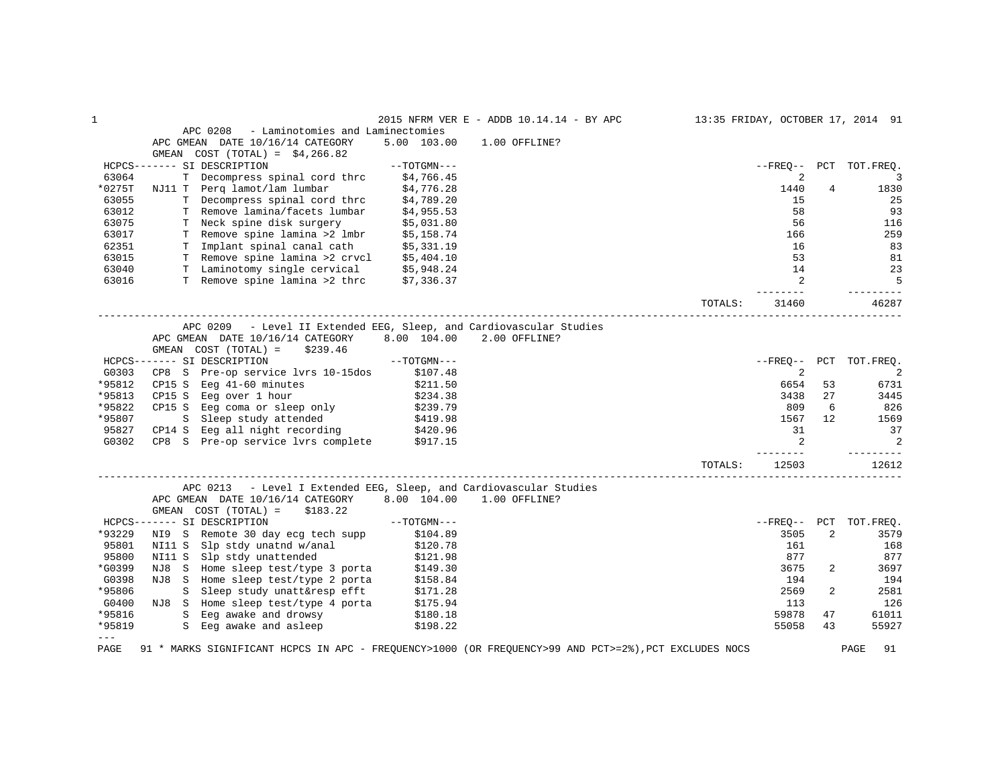| $\mathbf 1$   |                                                                                                       |             | 2015 NFRM VER E - ADDB 10.14.14 - BY APC                   | 13:35 FRIDAY, OCTOBER 17, 2014 91 |         |                |                        |
|---------------|-------------------------------------------------------------------------------------------------------|-------------|------------------------------------------------------------|-----------------------------------|---------|----------------|------------------------|
|               | APC 0208<br>- Laminotomies and Laminectomies                                                          |             |                                                            |                                   |         |                |                        |
|               | APC GMEAN DATE 10/16/14 CATEGORY                                                                      | 5.00 103.00 | 1.00 OFFLINE?                                              |                                   |         |                |                        |
|               | GMEAN COST $(TOTAL) = $4,266.82$                                                                      |             |                                                            |                                   |         |                |                        |
|               | HCPCS------- SI DESCRIPTION                                                                           | --TOTGMN--- |                                                            |                                   |         |                | --FREO-- PCT TOT.FREO. |
| 63064         | T Decompress spinal cord thrc \$4,766.45                                                              |             |                                                            |                                   | 2       |                | 3                      |
| *0275T        | NJ11 T Perq lamot/lam lumbar \$4,776.28<br>T Decompress spinal cord thrc \$4,789.20                   |             |                                                            |                                   | 1440    | $\overline{4}$ | 1830                   |
| 63055         |                                                                                                       |             |                                                            |                                   | 15      |                | 25                     |
| 63012         | T Remove lamina/facets lumbar \$4,955.53                                                              |             |                                                            |                                   | 58      |                | 93                     |
| 63075         |                                                                                                       |             |                                                            |                                   | 56      |                | 116                    |
| 63017         | T Neck spine disk surgery \$5,031.80<br>T Remove spine lamina >2 lmbr \$5,158.74                      |             |                                                            |                                   | 166     |                | 259                    |
| 62351         |                                                                                                       |             |                                                            |                                   | 16      |                | 83                     |
| 63015         | T Implant spinal canal cath \$5,331.19<br>T Remove spine lamina >2 crvcl \$5,404.10                   |             |                                                            |                                   | 53      |                | 81                     |
| 63040         | T Laminotomy single cervical \$5,948.24                                                               |             |                                                            |                                   | 14      |                | 23                     |
| 63016         | T Remove spine lamina >2 thrc \$7,336.37                                                              |             |                                                            |                                   | 2       |                | - 5                    |
|               |                                                                                                       |             |                                                            | TOTALS:                           | 31460   |                | 46287                  |
|               | APC 0209                                                                                              |             | - Level II Extended EEG, Sleep, and Cardiovascular Studies |                                   |         |                |                        |
|               | APC GMEAN DATE 10/16/14 CATEGORY                                                                      |             | 8.00 104.00 2.00 OFFLINE?                                  |                                   |         |                |                        |
|               | GMEAN $COST (TOTAL) = $239.46$                                                                        |             |                                                            |                                   |         |                |                        |
|               | $---TOTGMN---$<br>HCPCS------- SI DESCRIPTION                                                         |             |                                                            |                                   |         |                | --FREO-- PCT TOT.FREO. |
| G0303         | CP8 S Pre-op service lvrs 10-15dos \$107.48                                                           |             |                                                            |                                   | 2       |                | 2                      |
| *95812        |                                                                                                       |             |                                                            |                                   | 6654    | 53             | 6731                   |
| *95813        | CP15 S Eeg 41-60 minutes $$211.50$<br>CP15 S Eeg over 1 hour $$234.38$                                |             |                                                            |                                   | 3438    | 27             | 3445                   |
| *95822        | CP15 S Eeg coma or sleep only \$239.79                                                                |             |                                                            |                                   | 809     | 6              | 826                    |
| *95807        |                                                                                                       |             |                                                            |                                   | 1567    | 12             | 1569                   |
| 95827         | S Sleep study attended \$419.98<br>CP14 S Eeg all night recording \$420.96                            |             |                                                            |                                   | 31      |                | 37                     |
| G0302         | CP8 S Pre-op service lvrs complete \$917.15                                                           |             |                                                            |                                   | 2       |                | 2                      |
|               |                                                                                                       |             |                                                            |                                   | ------- |                |                        |
|               |                                                                                                       |             |                                                            | TOTALS:                           | 12503   |                | 12612                  |
|               | APC 0213 - Level I Extended EEG, Sleep, and Cardiovascular Studies                                    |             |                                                            |                                   |         |                |                        |
|               | APC GMEAN DATE 10/16/14 CATEGORY 8.00 104.00 1.00 OFFLINE?                                            |             |                                                            |                                   |         |                |                        |
|               | $GMEAN$ $COST$ $(TOTAL) = $183.22$                                                                    |             |                                                            |                                   |         |                |                        |
|               | $--{\tt TOTGMN---}$<br>HCPCS------- SI DESCRIPTION                                                    |             |                                                            |                                   |         |                | --FREO-- PCT TOT.FREO. |
| *93229        | NI9 S Remote 30 day ecg tech supp \$104.89                                                            |             |                                                            |                                   | 3505    | $\overline{2}$ | 3579                   |
| 95801         | NI11 S Slp stdy unatnd w/anal \$120.78<br>NI11 S Slp stdy unattended \$121.98                         |             |                                                            |                                   | 161     |                | 168                    |
| 95800         |                                                                                                       |             |                                                            |                                   | 877     |                | 877                    |
| *G0399        | NJ8 S Home sleep test/type 3 porta \$149.30                                                           |             |                                                            |                                   | 3675    | 2              | 3697                   |
| G0398         | NJ8 S Home sleep test/type 2 porta \$158.84<br>S Sleep study unatt&resp efft \$171.28                 |             |                                                            |                                   | 194     |                | 194                    |
| *95806        |                                                                                                       |             |                                                            |                                   | 2569    | 2              | 2581                   |
| G0400         | S Sleep study unattactor to the S175.94<br>NJ8 S Home sleep test/type 4 porta \$175.94<br>2180.18 S   |             |                                                            |                                   | 113     |                | 126                    |
| *95816        |                                                                                                       |             |                                                            |                                   | 59878   | 47             | 61011                  |
| *95819        | S Eeg awake and asleep \$198.22                                                                       |             |                                                            |                                   | 55058   | 43             | 55927                  |
| $---$<br>PAGE | 91 * MARKS SIGNIFICANT HCPCS IN APC - FREQUENCY>1000 (OR FREQUENCY>99 AND PCT>=2%), PCT EXCLUDES NOCS |             |                                                            |                                   |         |                | PAGE<br>91             |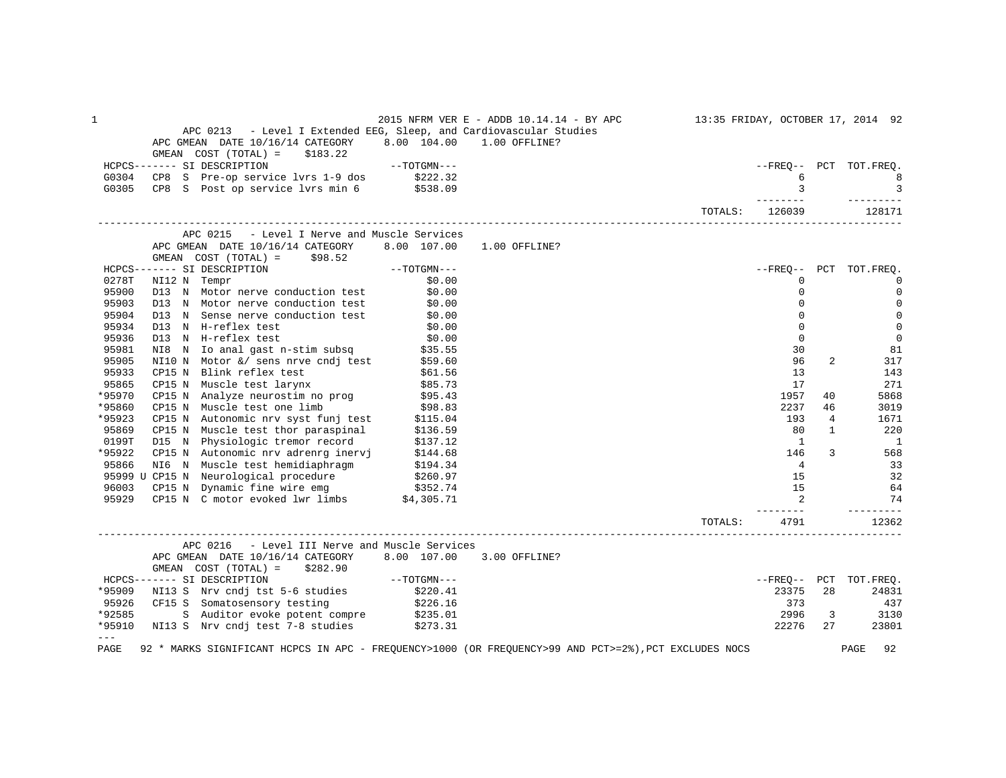| 1               | APC 0213 - Level I Extended EEG, Sleep, and Cardiovascular Studies<br>APC GMEAN DATE 10/16/14 CATEGORY 8.00 104.00                                                                                                                  |                        | 2015 NFRM VER E - ADDB 10.14.14 - BY APC<br>1.00 OFFLINE? |         |                       |              | 13:35 FRIDAY, OCTOBER 17, 2014 92 |
|-----------------|-------------------------------------------------------------------------------------------------------------------------------------------------------------------------------------------------------------------------------------|------------------------|-----------------------------------------------------------|---------|-----------------------|--------------|-----------------------------------|
|                 | $GMEAN$ $COST$ $(TOTAL) = $183.22$                                                                                                                                                                                                  |                        |                                                           |         |                       |              |                                   |
|                 | HCPCS------- SI DESCRIPTION                                                                                                                                                                                                         | $--\mathrm{TOTGMN}---$ |                                                           |         |                       |              | --FREO-- PCT TOT.FREQ.            |
| G0304           | CP8 S Pre-op service lvrs 1-9 dos \$222.32<br>CP8 S Post op service lvrs min 6 \$538.09                                                                                                                                             |                        |                                                           |         | 6                     |              | 8                                 |
| G0305           |                                                                                                                                                                                                                                     |                        |                                                           |         | 3                     |              | $\overline{\phantom{a}}$          |
|                 |                                                                                                                                                                                                                                     |                        |                                                           | TOTALS: | --------<br>126039    |              | ---------<br>128171               |
|                 | APC 0215 - Level I Nerve and Muscle Services                                                                                                                                                                                        |                        |                                                           |         |                       |              |                                   |
|                 | APC GMEAN DATE 10/16/14 CATEGORY 8.00 107.00 1.00 OFFLINE?<br>GMEAN $COST (TOTAL) = $98.52$                                                                                                                                         |                        |                                                           |         |                       |              |                                   |
|                 | $--TOTGMN---$<br>HCPCS------- SI DESCRIPTION                                                                                                                                                                                        |                        |                                                           |         |                       |              | --FREQ-- PCT TOT.FREQ.            |
| 0278T           |                                                                                                                                                                                                                                     |                        |                                                           |         | $\Omega$              |              | $\Omega$                          |
| 95900           | NI12 N Tempr<br>D13 N Motor nerve conduction test                                                                                                                                                                                   | \$0.00                 |                                                           |         | $\Omega$              |              | $\mathbf 0$                       |
| 95903           | D13 N Motor nerve conduction test \$0.00                                                                                                                                                                                            |                        |                                                           |         | $\Omega$              |              | 0                                 |
| 95904           | D13 N Sense nerve conduction test                                                                                                                                                                                                   | \$0.00                 |                                                           |         | $\mathbf 0$           |              | $\mathbf 0$                       |
| 95934           | D13 N H-reflex test                                                                                                                                                                                                                 | \$0.00                 |                                                           |         | $\mathbf 0$           |              | $\mathbf 0$                       |
| 95936           | D13 N H-reflex test                                                                                                                                                                                                                 | \$0.00                 |                                                           |         | $\Omega$              |              | $\overline{0}$                    |
| 95981           | Notice in the case<br>NI8 N Io anal gast n-stim subsq \$35.55                                                                                                                                                                       |                        |                                                           |         | 30                    |              | 81                                |
| 95905           | NI10 N Motor &/ sens nrve cndj test \$59.60                                                                                                                                                                                         |                        |                                                           |         | 96                    | 2            | 317                               |
| 95933           |                                                                                                                                                                                                                                     | \$61.56                |                                                           |         | 13                    |              | 143                               |
| 95865           | CP15 N Blink reflex test<br>CP15 N Muscle test larynx                                                                                                                                                                               | \$85.73                |                                                           |         | 17                    |              | 271                               |
| *95970          | CP15 N Analyze neurostim no prog (995.43)<br>CP15 N Muscle test one limb (98.83)                                                                                                                                                    |                        |                                                           |         | 1957                  | 40           | 5868                              |
| *95860          |                                                                                                                                                                                                                                     |                        |                                                           |         | 2237                  | 46           | 3019                              |
| *95923          | CP15 N Autonomic nrv syst funj test \$115.04<br>CP15 N Muscle test thor paraspinal \$136.59<br>D15 N Physiologic tremor record \$137.12<br>CP15 N Autonomic nrv adrenry inervj \$144.68<br>N16 N Muscle test hemidiaphragm \$194.34 |                        |                                                           |         | 193                   | 4            | 1671                              |
| 95869           |                                                                                                                                                                                                                                     |                        |                                                           |         | 80                    | $\mathbf{1}$ | 220                               |
| 0199T           |                                                                                                                                                                                                                                     |                        |                                                           |         | $\overline{1}$        |              | $\overline{\phantom{0}}$          |
| *95922          |                                                                                                                                                                                                                                     |                        |                                                           |         | 146                   | 3            | 568                               |
| 95866           |                                                                                                                                                                                                                                     |                        |                                                           |         | $\overline{4}$        |              | 33                                |
|                 |                                                                                                                                                                                                                                     |                        |                                                           |         | 15                    |              | 32                                |
|                 |                                                                                                                                                                                                                                     |                        |                                                           |         | 15                    |              | 64                                |
|                 | 95999 U CP15 N Neurological procedure (2260.97<br>96003 CP15 N Dynamic fine wire emg (3352.74<br>95929 CP15 N C motor evoked lwr limbs (\$4,305.71)                                                                                 |                        |                                                           |         | 2                     |              | 74                                |
|                 |                                                                                                                                                                                                                                     |                        |                                                           | TOTALS: | $- - - - - -$<br>4791 |              | 12362                             |
|                 | APC 0216 - Level III Nerve and Muscle Services                                                                                                                                                                                      |                        |                                                           |         |                       |              |                                   |
|                 | APC GMEAN DATE 10/16/14 CATEGORY 8.00 107.00<br>GMEAN $COST (TOTAL) = $282.90$                                                                                                                                                      |                        | 3.00 OFFLINE?                                             |         |                       |              |                                   |
|                 | $--\texttt{TOTGMN---}$<br>HCPCS------- SI DESCRIPTION                                                                                                                                                                               |                        |                                                           |         |                       |              | --FREO-- PCT TOT.FREO.            |
| *95909          |                                                                                                                                                                                                                                     |                        |                                                           |         | 23375                 | 28           | 24831                             |
| 95926           | NI13 S Nrv cndj tst 5-6 studies \$220.41<br>CF15 S Somatosensory testing \$226.16                                                                                                                                                   |                        |                                                           |         | 373                   |              | 437                               |
| *92585          |                                                                                                                                                                                                                                     |                        |                                                           |         | 2996                  | 3            | 3130                              |
| *95910          | S Auditor evoke potent compre \$235.01<br>NI13 S Nrv cndj test 7-8 studies \$273.31                                                                                                                                                 |                        |                                                           |         | 22276                 | 27           | 23801                             |
| $- - -$<br>PAGE | 92 * MARKS SIGNIFICANT HCPCS IN APC - FREQUENCY>1000 (OR FREQUENCY>99 AND PCT>=2%), PCT EXCLUDES NOCS                                                                                                                               |                        |                                                           |         |                       |              | PAGE<br>92                        |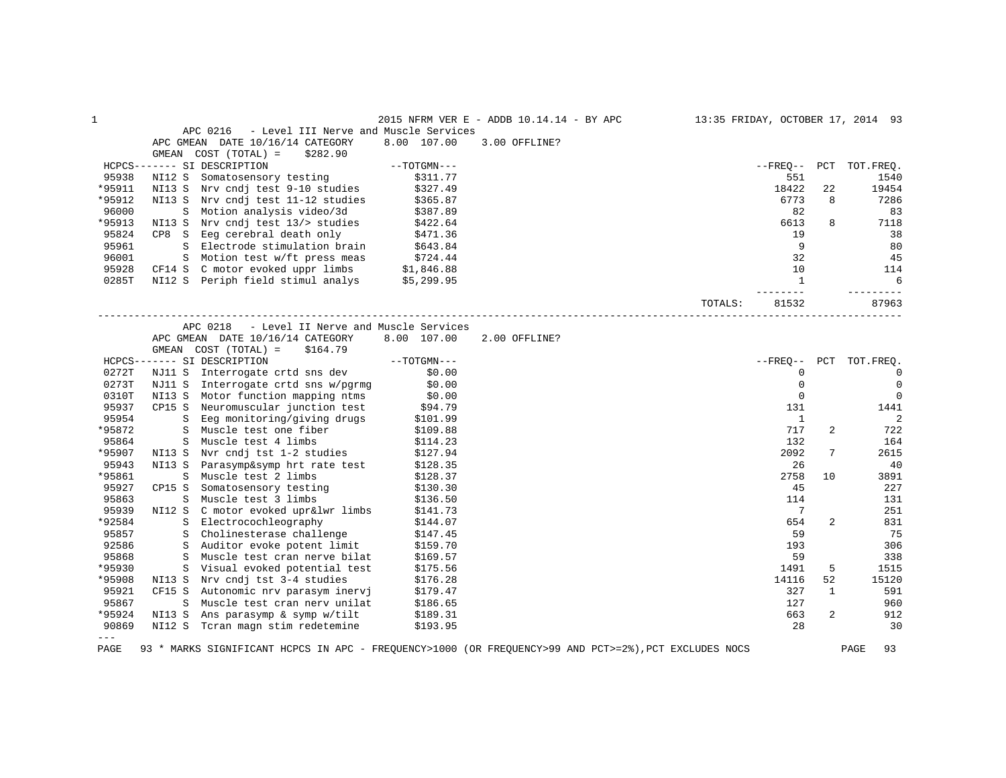| 1      |                                                                                                                                                                                       |                        | 2015 NFRM VER E - ADDB 10.14.14 - BY APC | 13:35 FRIDAY, OCTOBER 17, 2014 93 |                |                            |
|--------|---------------------------------------------------------------------------------------------------------------------------------------------------------------------------------------|------------------------|------------------------------------------|-----------------------------------|----------------|----------------------------|
|        | APC 0216<br>- Level III Nerve and Muscle Services                                                                                                                                     |                        |                                          |                                   |                |                            |
|        | APC GMEAN DATE 10/16/14 CATEGORY                                                                                                                                                      | 8.00 107.00            | 3.00 OFFLINE?                            |                                   |                |                            |
|        | GMEAN COST (TOTAL) =<br>\$282.90                                                                                                                                                      |                        |                                          |                                   |                |                            |
|        | HCPCS------- SI DESCRIPTION                                                                                                                                                           |                        |                                          |                                   |                | --FREO-- PCT TOT.FREO.     |
| 95938  |                                                                                                                                                                                       |                        |                                          |                                   | 551            | 1540                       |
| *95911 | NI13 S Nrv cndj test 9-10 studies \$327.49<br>NI13 S Nrv cndj test 3 10 bodier (365.87)<br>NI13 S Nrv cndj test 11-12 studies (365.87)<br>NI13 S Nrv cndj test 11-12 studies (387.89) |                        |                                          | 18422                             | 22             | 19454                      |
| *95912 |                                                                                                                                                                                       |                        |                                          |                                   | 6773           | 7286<br>8                  |
| 96000  |                                                                                                                                                                                       |                        |                                          |                                   | 82             | 83                         |
| *95913 | NI13 S Nrv cndj test 13/> studies \$422.64                                                                                                                                            |                        |                                          |                                   | 6613           | 8<br>7118                  |
| 95824  | CP8 S Eeg cerebral death only $$471.36$<br>S Electrode stimulation brain $$643.84$                                                                                                    |                        |                                          |                                   | 19             | 38                         |
| 95961  |                                                                                                                                                                                       |                        |                                          |                                   | 9              | 80                         |
| 96001  |                                                                                                                                                                                       |                        |                                          |                                   | 32             | 45                         |
| 95928  |                                                                                                                                                                                       |                        |                                          |                                   | 10             | 114                        |
| 0285T  | S Motion test w/ft press meas \$724.44<br>CF14 S C motor evoked uppr limbs \$1,846.88<br>NI12 S Periph field stimul analys \$5,299.95                                                 |                        |                                          |                                   | $\overline{1}$ | 6                          |
|        |                                                                                                                                                                                       |                        |                                          | ------<br>TOTALS:                 | 81532          | 87963                      |
|        |                                                                                                                                                                                       |                        |                                          |                                   |                |                            |
|        | APC 0218 - Level II Nerve and Muscle Services                                                                                                                                         |                        |                                          |                                   |                |                            |
|        | APC GMEAN DATE 10/16/14 CATEGORY                                                                                                                                                      | 8.00 107.00            | 2.00 OFFLINE?                            |                                   |                |                            |
|        | GMEAN $COST (TOTAL) = $164.79$                                                                                                                                                        | $--\mathrm{TOTGMN---}$ |                                          |                                   |                |                            |
|        | HCPCS------- SI DESCRIPTION                                                                                                                                                           |                        |                                          |                                   |                | --FREQ-- PCT TOT.FREQ.     |
| 0272T  | NJ11 S Interrogate crtd sns dev \$0.00                                                                                                                                                |                        |                                          |                                   | $\mathbf 0$    | $\overline{0}$             |
| 0273T  | NJ11 S Interrogate crtd sns w/pgrmg \$0.00<br>NI13 S Motor function mapping ntms \$0.00                                                                                               |                        |                                          |                                   | $\mathbf 0$    | $\mathbf 0$                |
| 0310T  |                                                                                                                                                                                       |                        |                                          |                                   | $\mathbf 0$    | $\mathbf 0$                |
| 95937  | CP15 S Neuromuscular junction test \$94.79                                                                                                                                            |                        |                                          |                                   | 131            | 1441                       |
| 95954  | S Eeg monitoring/giving drugs \$101.99<br>S Muscle test one fiber \$109.88                                                                                                            |                        |                                          |                                   | $\mathbf{1}$   | $\overline{\phantom{0}}^2$ |
| *95872 |                                                                                                                                                                                       |                        |                                          |                                   | 717            | 2<br>722                   |
| 95864  | S Muscle test 4 limbs                                                                                                                                                                 | \$114.23<br>\$127.94   |                                          |                                   | 132            | 164                        |
| *95907 | NI13 S Nvr cndj tst 1-2 studies                                                                                                                                                       |                        |                                          |                                   | 2092           | 7<br>2615                  |
| 95943  | NI13 S Parasymp&symp hrt rate test \$128.35                                                                                                                                           |                        |                                          |                                   | 26             | 40                         |
| *95861 | S Muscle test 2 limbs                                                                                                                                                                 | \$128.37               |                                          |                                   | 2758<br>10     | 3891                       |
| 95927  | CP15 S Somatosensory testing                                                                                                                                                          | \$130.30               |                                          |                                   | 45             | 227                        |
| 95863  | <u>e de la compa</u><br>S Muscle test 3 limbs                                                                                                                                         | \$136.50               |                                          |                                   | 114            | 131                        |
| 95939  | NI12 S C motor evoked upr&lwr limbs                                                                                                                                                   | \$141.73               |                                          |                                   | $\overline{7}$ | 251                        |
| *92584 | S Electrocochleography                                                                                                                                                                | \$144.07               |                                          |                                   | 654            | 831<br>2                   |
| 95857  | S Cholinesterase challenge                                                                                                                                                            | \$147.45               |                                          |                                   | 59             | 75                         |
| 92586  | S Auditor evoke potent limit                                                                                                                                                          | \$159.70               |                                          |                                   | 193            | 306                        |
| 95868  | S Muscle test cran nerve bilat                                                                                                                                                        | \$169.57               |                                          |                                   | 59             | 338                        |
| *95930 | S Visual evoked potential test                                                                                                                                                        | \$175.56               |                                          |                                   | 1491           | 5<br>1515                  |
| *95908 | NI13 S Nrv cndj tst 3-4 studies                                                                                                                                                       | \$176.28               |                                          | 14116                             | 52             | 15120                      |
| 95921  | CF15 S Autonomic nrv parasym inervj                                                                                                                                                   | \$179.47               |                                          |                                   | 327            | $\mathbf{1}$<br>591        |
| 95867  | S Muscle test cran nerv unilat \$186.65<br>NI13 S Ans parasymp & symp w/tilt \$189.31                                                                                                 |                        |                                          |                                   | 127            | 960                        |
| *95924 |                                                                                                                                                                                       |                        |                                          |                                   | 663            | $\overline{a}$<br>912      |
| 90869  | NI12 S Tcran magn stim redetemine                                                                                                                                                     | \$193.95               |                                          |                                   | 28             | 30                         |
| $---$  |                                                                                                                                                                                       |                        |                                          |                                   |                |                            |

PAGE 93 \* MARKS SIGNIFICANT HCPCS IN APC - FREQUENCY>1000 (OR FREQUENCY>99 AND PCT>=2%),PCT EXCLUDES NOCS PAGE 93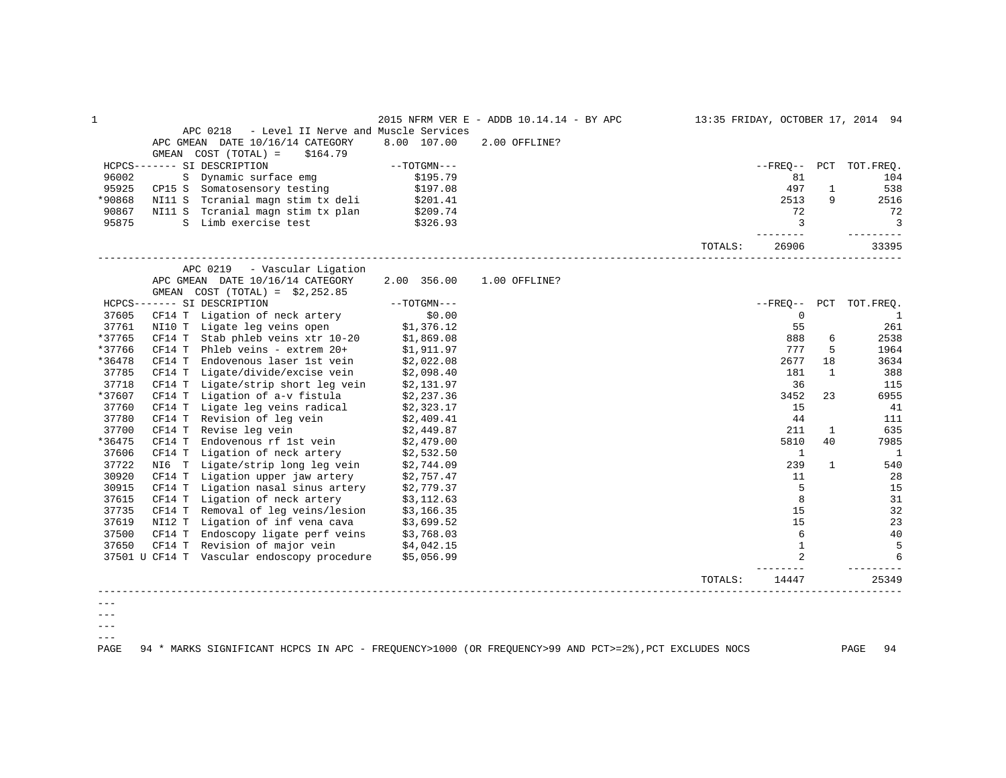|        |        | APC 0218 - Level II Nerve and Muscle Services                                                                    |                          |               | 2015 NFRM VER E - ADDB 10.14.14 - BY APC 13:35 FRIDAY, OCTOBER 17, 2014 94 |         |                 |              |                        |
|--------|--------|------------------------------------------------------------------------------------------------------------------|--------------------------|---------------|----------------------------------------------------------------------------|---------|-----------------|--------------|------------------------|
|        |        | APC GMEAN DATE 10/16/14 CATEGORY                                                                                 | 8.00 107.00              | 2.00 OFFLINE? |                                                                            |         |                 |              |                        |
|        |        | GMEAN $COST (TOTAL) = $164.79$                                                                                   |                          |               |                                                                            |         |                 |              |                        |
|        |        | HCPCS------- SI DESCRIPTION                                                                                      | $--TOTGMN---$            |               |                                                                            |         |                 |              | --FREO-- PCT TOT.FREO. |
| 96002  |        | S Dynamic surface emg                                                                                            | \$195.79                 |               |                                                                            |         | 81              |              | 104                    |
| 95925  |        | $CP15 S$ Somatosensory testing $$197.08$                                                                         |                          |               |                                                                            |         | 497             | $\mathbf{1}$ | 538                    |
| *90868 |        | NI11 S Teranial magn stim tx deli \$201.41                                                                       |                          |               |                                                                            |         | 2513            | 9            | 2516                   |
| 90867  |        | NI11 S Tcranial magn stim tx plan                                                                                |                          |               |                                                                            |         | 72              |              | 72                     |
| 95875  |        | S Limb exercise test                                                                                             | \$209.74<br>\$326.93     |               |                                                                            |         | $\overline{3}$  |              | $\overline{3}$         |
|        |        |                                                                                                                  |                          |               |                                                                            | TOTALS: | ------<br>26906 |              | ------<br>33395        |
|        |        | - Vascular Ligation<br>APC 0219                                                                                  |                          |               |                                                                            |         |                 |              |                        |
|        |        | APC GMEAN DATE 10/16/14 CATEGORY                                                                                 | 2.00 356.00              | 1.00 OFFLINE? |                                                                            |         |                 |              |                        |
|        |        | GMEAN $COST (TOTAL) = $2,252.85$                                                                                 |                          |               |                                                                            |         |                 |              |                        |
|        |        | HCPCS------- SI DESCRIPTION                                                                                      | $--TOTGMN---$            |               |                                                                            |         |                 |              | --FREQ-- PCT TOT.FREQ. |
| 37605  |        | CF14 T Ligation of neck artery<br>0.00 CF14 T Ligation of neck artery<br>NI10 T Ligate leg veins open \$1,376.12 | \$0.00                   |               |                                                                            |         | $\overline{0}$  |              | $\blacksquare$         |
| 37761  |        |                                                                                                                  |                          |               |                                                                            |         | 55              |              | 261                    |
| *37765 |        | CF14 T Stab phleb veins xtr 10-20 $\frac{1}{2}$ ,869.08                                                          |                          |               |                                                                            |         | 888             | 6            | 2538                   |
| *37766 |        | CF14 T Phleb veins - extrem 20+                                                                                  | \$1,911.97<br>\$2,022.08 |               |                                                                            |         | 777             | 5            | 1964                   |
| *36478 | CF14 T | Endovenous laser 1st vein                                                                                        |                          |               |                                                                            |         | 2677            | 18           | 3634                   |
| 37785  |        | CF14 T Ligate/divide/excise vein $$2,098.40$                                                                     |                          |               |                                                                            |         | 181             | 1            | 388                    |
| 37718  | CF14 T | Ligate/strip short leg vein \$2,131.97                                                                           |                          |               |                                                                            |         | 36              |              | 115                    |
| *37607 |        | CF14 T Ligation of $a-v$ fistula $$2,237.36$                                                                     |                          |               |                                                                            |         | 3452            | 23           | 6955                   |
| 37760  |        | CF14 T Ligate leg veins radical $$2,323.17$                                                                      |                          |               |                                                                            |         | 15              |              | 41                     |
| 37780  |        | CF14 T Revision of leg vein $$2,409.41$                                                                          |                          |               |                                                                            |         | 44              |              | 111                    |
| 37700  |        | CF14 T Revise leg vein                                                                                           | \$2,449.87               |               |                                                                            |         | 211             | $\mathbf{1}$ | 635                    |
| *36475 |        | CF14 T Endovenous rf 1st vein $$2,479.00$                                                                        |                          |               |                                                                            |         | 5810            | 40           | 7985                   |
| 37606  | CF14 T | Ligation of neck artery \$2,532.50                                                                               |                          |               |                                                                            |         | $\mathbf{1}$    |              | $\overline{1}$         |
| 37722  |        | NI6 T Ligate/strip long leg vein                                                                                 | \$2,744.09               |               |                                                                            |         | 239             | $\mathbf{1}$ | 540                    |
| 30920  |        | CF14 T Ligation upper jaw artery \$2,757.47                                                                      |                          |               |                                                                            |         | 11              |              | 28                     |
| 30915  | CF14 T | Ligation nasal sinus artery \$2,779.37                                                                           |                          |               |                                                                            |         | 5               |              | 15                     |
| 37615  |        | CF14 T Ligation of neck artery $$3,112.63$<br>CF14 T Removal of leg veins/lesion $$3,166.35$                     |                          |               |                                                                            |         | 8               |              | 31                     |
| 37735  |        |                                                                                                                  |                          |               |                                                                            |         | 15              |              | 32                     |
| 37619  | NI12 T | Ligation of inf vena cava \$3,699.52                                                                             |                          |               |                                                                            |         | 15              |              | 23                     |
| 37500  |        | CF14 T Endoscopy ligate perf veins $$3,768.03$<br>CF14 T Revision of major vein $$4,042.15$                      |                          |               |                                                                            |         | 6               |              | 40                     |
| 37650  |        |                                                                                                                  |                          |               |                                                                            |         | $\mathbf{1}$    |              | -5                     |
|        |        | 37501 U CF14 T Vascular endoscopy procedure \$5,056.99                                                           |                          |               |                                                                            |         |                 |              | 6                      |
|        |        |                                                                                                                  |                          |               |                                                                            | TOTALS: | 14447           |              | 25349                  |
|        |        |                                                                                                                  |                          |               |                                                                            |         |                 |              |                        |
|        |        |                                                                                                                  |                          |               |                                                                            |         |                 |              |                        |
|        |        |                                                                                                                  |                          |               |                                                                            |         |                 |              |                        |

 $--\,$ ---

PAGE 94 \* MARKS SIGNIFICANT HCPCS IN APC - FREQUENCY>1000 (OR FREQUENCY>99 AND PCT>=2%),PCT EXCLUDES NOCS PAGE 94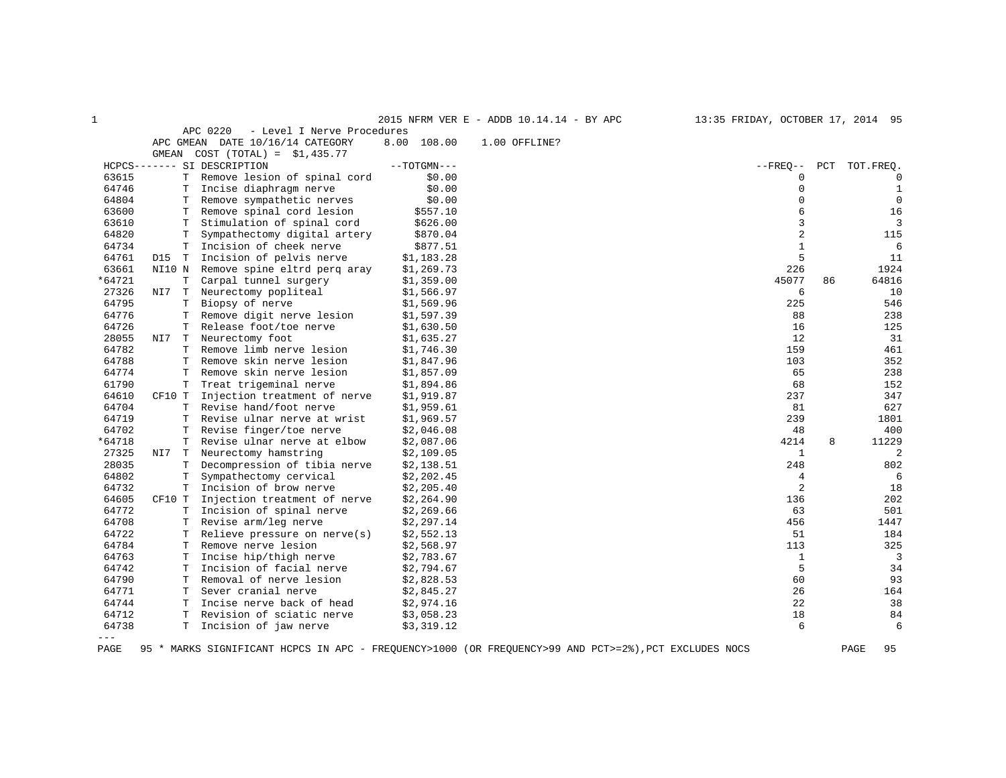|        |          |                                        |               | 2015 NFRM VER E - ADDB 10.14.14 - BY APC                                                              | 13:35 FRIDAY, OCTOBER 17, 2014 95 |     |             |
|--------|----------|----------------------------------------|---------------|-------------------------------------------------------------------------------------------------------|-----------------------------------|-----|-------------|
|        |          | APC 0220<br>- Level I Nerve Procedures |               |                                                                                                       |                                   |     |             |
|        |          | APC GMEAN DATE 10/16/14 CATEGORY       | 8.00 108.00   | 1.00 OFFLINE?                                                                                         |                                   |     |             |
|        | GMEAN    | $COST (TOTAL) = $1,435.77$             |               |                                                                                                       |                                   |     |             |
|        |          | HCPCS------- SI DESCRIPTION            | $--TOTGMN---$ |                                                                                                       | $--$ FREO $--$                    | PCT | TOT. FREQ.  |
| 63615  | T        | Remove lesion of spinal cord           | \$0.00        |                                                                                                       | 0                                 |     | 0           |
| 64746  | T        | Incise diaphragm nerve                 | \$0.00        |                                                                                                       | $\Omega$                          |     | 1           |
| 64804  | т        | Remove sympathetic nerves              | \$0.00        |                                                                                                       | $\Omega$                          |     | $\mathbf 0$ |
| 63600  | т        | Remove spinal cord lesion              | \$557.10      |                                                                                                       | 6                                 |     | 16          |
| 63610  | T        | Stimulation of spinal cord             | \$626.00      |                                                                                                       | 3                                 |     | 3           |
| 64820  | T        | Sympathectomy digital artery           | \$870.04      |                                                                                                       | $\overline{2}$                    |     | 115         |
| 64734  | T        | Incision of cheek nerve                | \$877.51      |                                                                                                       | $\mathbf{1}$                      |     | 6           |
| 64761  | D15<br>T | Incision of pelvis nerve               | \$1,183.28    |                                                                                                       | 5                                 |     | 11          |
| 63661  | NI10 N   | Remove spine eltrd perg aray           | \$1,269.73    |                                                                                                       | 226                               |     | 1924        |
| *64721 | Т        | Carpal tunnel surgery                  | \$1,359.00    |                                                                                                       | 45077                             | 86  | 64816       |
| 27326  | NI7<br>T | Neurectomy popliteal                   | \$1,566.97    |                                                                                                       | 6                                 |     | 10          |
| 64795  | T        | Biopsy of nerve                        | \$1,569.96    |                                                                                                       | 225                               |     | 546         |
| 64776  | T        | Remove digit nerve lesion              | \$1,597.39    |                                                                                                       | 88                                |     | 238         |
| 64726  | т        | Release foot/toe nerve                 | \$1,630.50    |                                                                                                       | 16                                |     | 125         |
| 28055  | NI7<br>T | Neurectomy foot                        | \$1,635.27    |                                                                                                       | 12                                |     | 31          |
| 64782  | т        | Remove limb nerve lesion               | \$1,746.30    |                                                                                                       | 159                               |     | 461         |
| 64788  | T        | Remove skin nerve lesion               | \$1,847.96    |                                                                                                       | 103                               |     | 352         |
| 64774  | T        | Remove skin nerve lesion               | \$1,857.09    |                                                                                                       | 65                                |     | 238         |
| 61790  | Т        | Treat trigeminal nerve                 | \$1,894.86    |                                                                                                       | 68                                |     | 152         |
| 64610  | CF10 T   | Injection treatment of nerve           | \$1,919.87    |                                                                                                       | 237                               |     | 347         |
| 64704  | т        | Revise hand/foot nerve                 | \$1,959.61    |                                                                                                       | 81                                |     | 627         |
| 64719  | T        | Revise ulnar nerve at wrist            | \$1,969.57    |                                                                                                       | 239                               |     | 1801        |
| 64702  | T        | Revise finger/toe nerve                | \$2,046.08    |                                                                                                       | 48                                |     | 400         |
| *64718 | T        | Revise ulnar nerve at elbow            | \$2,087.06    |                                                                                                       | 4214                              | 8   | 11229       |
| 27325  | NI7<br>T | Neurectomy hamstring                   | \$2,109.05    |                                                                                                       | $\mathbf{1}$                      |     | 2           |
| 28035  | т        | Decompression of tibia nerve           | \$2,138.51    |                                                                                                       | 248                               |     | 802         |
| 64802  | T        | Sympathectomy cervical                 | \$2, 202.45   |                                                                                                       | $\overline{4}$                    |     | 6           |
| 64732  | т        | Incision of brow nerve                 | \$2,205.40    |                                                                                                       | $\overline{2}$                    |     | 18          |
| 64605  | CF10 T   | Injection treatment of nerve           | \$2,264.90    |                                                                                                       | 136                               |     | 202         |
| 64772  | T        | Incision of spinal nerve               | \$2,269.66    |                                                                                                       | 63                                |     | 501         |
| 64708  | T        | Revise arm/leg nerve                   | \$2,297.14    |                                                                                                       | 456                               |     | 1447        |
| 64722  | т        | Relieve pressure on $nerve(s)$         | \$2,552.13    |                                                                                                       | 51                                |     | 184         |
| 64784  | т        | Remove nerve lesion                    | \$2,568.97    |                                                                                                       | 113                               |     | 325         |
| 64763  | т        | Incise hip/thigh nerve                 | \$2,783.67    |                                                                                                       | $\mathbf{1}$                      |     | 3           |
| 64742  | т        | Incision of facial nerve               | \$2,794.67    |                                                                                                       | 5                                 |     | 34          |
| 64790  | T        | Removal of nerve lesion                | \$2,828.53    |                                                                                                       | 60                                |     | 93          |
| 64771  | т        | Sever cranial nerve                    | \$2,845.27    |                                                                                                       | 26                                |     | 164         |
| 64744  | Т        | Incise nerve back of head              | \$2,974.16    |                                                                                                       | 22                                |     | 38          |
| 64712  | т        | Revision of sciatic nerve              | \$3,058.23    |                                                                                                       | 18                                |     | 84          |
| 64738  | T        | Incision of jaw nerve                  | \$3,319.12    |                                                                                                       | 6                                 |     | 6           |
| $---$  |          |                                        |               |                                                                                                       |                                   |     |             |
| PAGE   |          |                                        |               | 95 * MARKS SIGNIFICANT HCPCS IN APC - FREQUENCY>1000 (OR FREQUENCY>99 AND PCT>=2%), PCT EXCLUDES NOCS |                                   |     | PAGE<br>95  |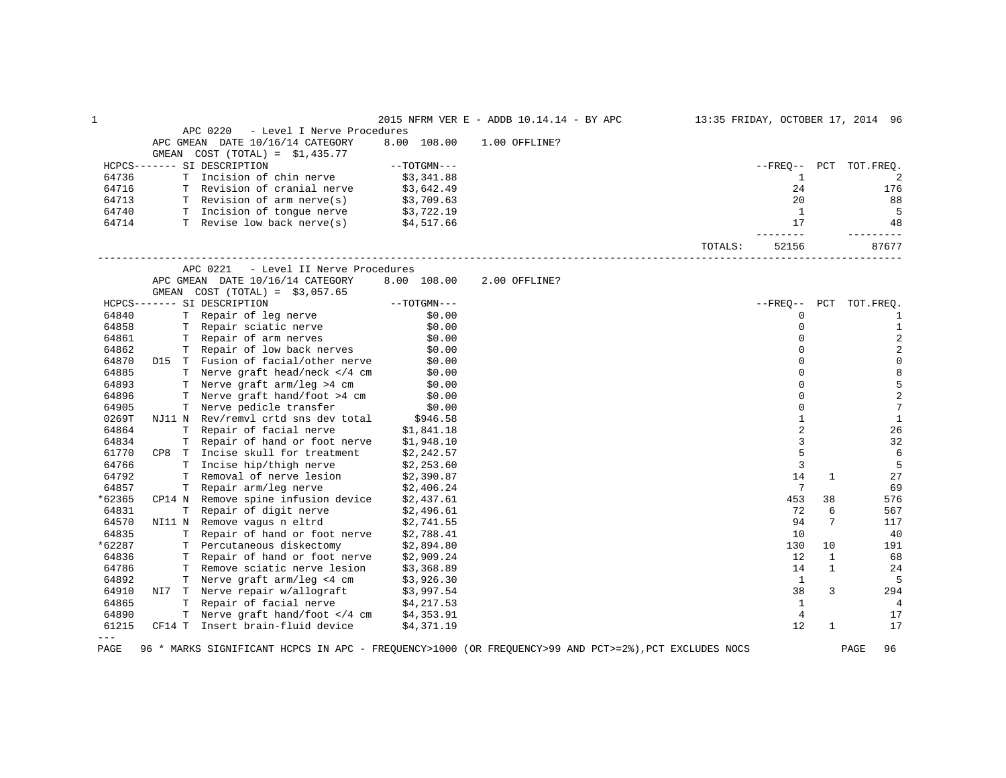| 1      |                                                                                                                     |               | 2015 NFRM VER E - ADDB 10.14.14 - BY APC                                                              |         | 13:35 FRIDAY, OCTOBER 17, 2014 96 |              |                        |
|--------|---------------------------------------------------------------------------------------------------------------------|---------------|-------------------------------------------------------------------------------------------------------|---------|-----------------------------------|--------------|------------------------|
|        | APC 0220<br>- Level I Nerve Procedures                                                                              |               |                                                                                                       |         |                                   |              |                        |
|        | APC GMEAN DATE 10/16/14 CATEGORY                                                                                    | 8.00 108.00   | $1.00$ OFFLINE?                                                                                       |         |                                   |              |                        |
|        | GMEAN COST $(TOTAL) = $1,435.77$<br>HCPCS------- SI DESCRIPTION                                                     | --TOTGMN---   |                                                                                                       |         |                                   |              | --FREO-- PCT TOT.FREO. |
| 64736  | T Incision of chin nerve                                                                                            | \$3,341.88    |                                                                                                       |         | 1                                 |              | 2                      |
| 64716  | T Revision of cranial nerve                                                                                         | \$3,642.49    |                                                                                                       |         | 24                                |              | 176                    |
| 64713  | T Revision of arm nerve(s) $$3,709.63$                                                                              |               |                                                                                                       |         | 20                                |              | 88                     |
| 64740  |                                                                                                                     |               |                                                                                                       |         | $\overline{1}$                    |              | -5                     |
| 64714  | T Incision of tongue nerve \$3,722.19<br>T Revise low back nerve(s) \$4,517.66                                      |               |                                                                                                       |         | 17                                |              | 48                     |
|        |                                                                                                                     |               |                                                                                                       |         | --------                          |              | ---------              |
|        |                                                                                                                     |               |                                                                                                       | TOTALS: | 52156                             |              | 87677                  |
|        | APC 0221<br>- Level II Nerve Procedures                                                                             |               |                                                                                                       |         |                                   |              |                        |
|        | APC GMEAN DATE 10/16/14 CATEGORY                                                                                    | 8.00 108.00   | 2.00 OFFLINE?                                                                                         |         |                                   |              |                        |
|        | GMEAN COST $(TOTAL) = $3,057.65$                                                                                    |               |                                                                                                       |         |                                   |              |                        |
|        | HCPCS------- SI DESCRIPTION                                                                                         | $--TOTGMN---$ |                                                                                                       |         | --FREO--                          |              | PCT TOT. FREO.         |
| 64840  | T Repair of leg nerve                                                                                               | \$0.00        |                                                                                                       |         | 0                                 |              | 1                      |
| 64858  |                                                                                                                     | \$0.00        |                                                                                                       |         | $\Omega$                          |              | $\mathbf{1}$           |
| 64861  | T Repair sciatic nerve \$0.00<br>T Repair of arm nerves \$0.00                                                      |               |                                                                                                       |         | $\Omega$                          |              | $\overline{c}$         |
| 64862  | T Repair of low back nerves                                                                                         | \$0.00        |                                                                                                       |         | $\Omega$                          |              | $\sqrt{2}$             |
| 64870  | D15 T Fusion of facial/other nerve \$0.00                                                                           |               |                                                                                                       |         | $\Omega$                          |              | $\mathsf 0$            |
| 64885  |                                                                                                                     |               |                                                                                                       |         | $\Omega$                          |              | $\,8\,$                |
| 64893  | T Nerve graft head/neck $\langle 4 \text{ cm} \rangle$ \$0.00<br>T Nerve graft arm/leg >4 cm $\langle 0.00 \rangle$ |               |                                                                                                       |         | $\Omega$                          |              | 5                      |
| 64896  | T Nerve graft hand/foot >4 cm \$0.00                                                                                |               |                                                                                                       |         | $\Omega$                          |              | $\sqrt{2}$             |
| 64905  | T Nerve pedicle transfer                                                                                            | \$0.00        |                                                                                                       |         | 0                                 |              | $7\phantom{.0}$        |
| 0269T  | NJ11 N Rev/remvl crtd sns dev total \$946.58                                                                        |               |                                                                                                       |         | $\mathbf{1}$                      |              | $\mathbf{1}$           |
| 64864  | T Repair of facial nerve \$1,841.18                                                                                 |               |                                                                                                       |         | $\overline{2}$                    |              | 26                     |
| 64834  | T Repair of hand or foot nerve \$1,948.10                                                                           |               |                                                                                                       |         | 3                                 |              | 32                     |
| 61770  | CP8 T Incise skull for treatment $$2,242.57$                                                                        |               |                                                                                                       |         | 5                                 |              | 6                      |
| 64766  | T Incise hip/thigh nerve                                                                                            | \$2,253.60    |                                                                                                       |         | 3                                 |              | 5                      |
| 64792  | T Removal of nerve lesion \$2,390.87                                                                                |               |                                                                                                       |         | 14                                | 1            | 27                     |
| 64857  | T Repair arm/leg nerve                                                                                              | \$2,406.24    |                                                                                                       |         | $7\phantom{.0}$                   |              | 69                     |
| *62365 | CP14 N Remove spine infusion device $$2,437.61$                                                                     |               |                                                                                                       |         | 453                               | 38           | 576                    |
| 64831  |                                                                                                                     |               |                                                                                                       |         | 72                                | 6            | 567                    |
| 64570  | T Repair of digit nerve \$2,496.61<br>N Remove vagus n eltrd \$2,741.55<br>NI11 N Remove vagus n eltrd              |               |                                                                                                       |         | 94                                | 7            | 117                    |
| 64835  | T Repair of hand or foot nerve \$2,788.41                                                                           |               |                                                                                                       |         | 10                                |              | 40                     |
| *62287 | T Percutaneous diskectomy \$2,894.80                                                                                |               |                                                                                                       |         | 130                               | 10           | 191                    |
| 64836  | T Repair of hand or foot nerve                                                                                      | \$2,909.24    |                                                                                                       |         | 12                                | 1            | 68                     |
| 64786  | T Remove sciatic nerve lesion \$3,368.89                                                                            |               |                                                                                                       |         | 14                                | $\mathbf{1}$ | 24                     |
| 64892  | T Nerve graft $arm/leg < 4$ cm $$3,926.30$                                                                          |               |                                                                                                       |         | $\mathbf{1}$                      |              | 5                      |
| 64910  |                                                                                                                     |               |                                                                                                       |         | 38                                | 3            | 294                    |
| 64865  | NI7 T Nerve repair w/allograft \$3,997.54<br>T Repair of facial nerve \$4,217.53                                    |               |                                                                                                       |         | 1                                 |              | 4                      |
| 64890  | T Nerve graft hand/foot 4 cm <math \$4,353.91                                                                       |               |                                                                                                       |         | 4                                 |              | 17                     |
| 61215  | CF14 T Insert brain-fluid device $$4,371.19$                                                                        |               |                                                                                                       |         | 12.                               | $\mathbf{1}$ | 17                     |
| $---$  |                                                                                                                     |               |                                                                                                       |         |                                   |              |                        |
| PAGE   |                                                                                                                     |               | 96 * MARKS SIGNIFICANT HCPCS IN APC - FREQUENCY>1000 (OR FREQUENCY>99 AND PCT>=2%), PCT EXCLUDES NOCS |         |                                   |              | PAGE<br>96             |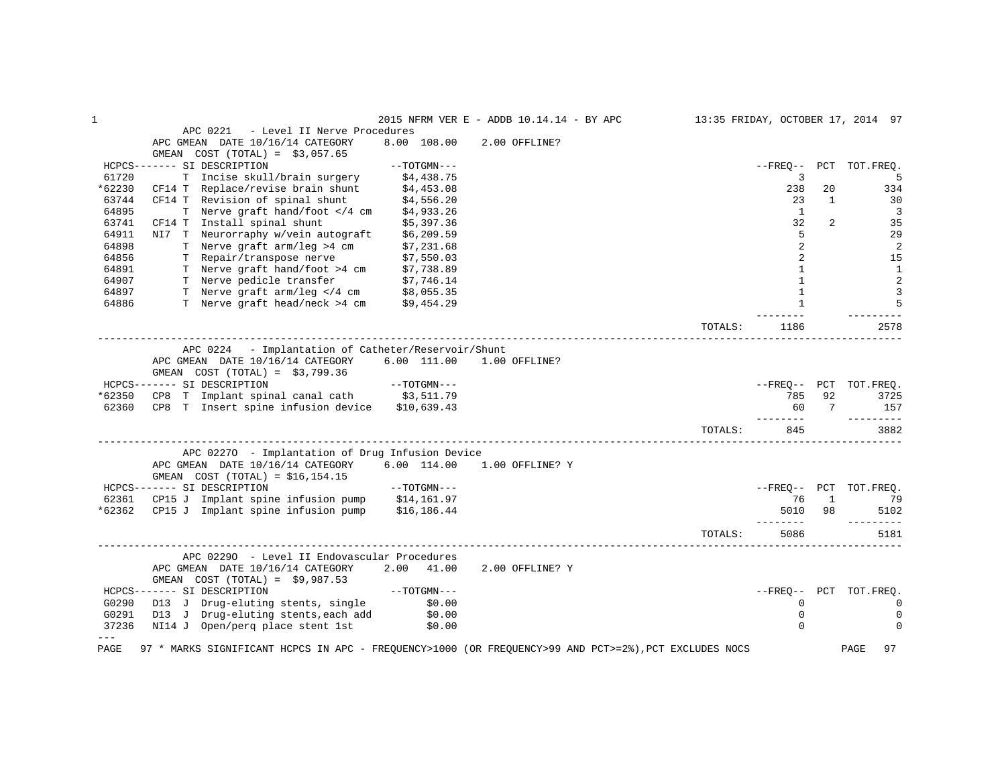| APC 0221<br>- Level II Nerve Procedures<br>APC GMEAN DATE 10/16/14 CATEGORY<br>8.00 108.00<br>2.00 OFFLINE?<br>GMEAN $COST (TOTAL) = $3,057.65$<br>HCPCS------- SI DESCRIPTION<br>$--TOTGMN---$<br>$- FREO--$<br>PCT TOT. FREQ.<br>3<br>61720<br>T Incise skull/brain surgery<br>\$4,438.75<br>5<br>*62230<br>CF14 T Replace/revise brain shunt<br>238<br>20<br>334<br>\$4,453.08<br>63744<br>CF14 T Revision of spinal shunt<br>23<br>$\mathbf{1}$<br>30<br>\$4,556.20<br>64895<br>T Nerve graft hand/foot 4 cm<br 1<br>3<br>\$4,933.26<br>63741<br>CF14 T Install spinal shunt<br>32<br>$\overline{2}$<br>35<br>\$5,397.36<br>5<br>64911<br>NI7 T Neurorraphy w/vein autograft<br>29<br>\$6,209.59<br>2<br>64898<br>T Nerve graft arm/leg >4 cm \$7,231.68<br>2<br>64856<br>2<br>15<br>T Repair/transpose nerve<br>\$7,550.03<br>T Nerve graft hand/foot >4 cm \$7,738.89<br>$\mathbf{1}$<br>64891<br>$\mathbf{1}$<br>$\overline{2}$<br>T Nerve pedicle transfer \$7,746.14<br>T Nerve graft arm/leg 4 cm \$8,055.35<br $\mathbf{1}$<br>64907<br>$\mathbf{1}$<br>3<br>64897<br>5<br>T Nerve graft head/neck >4 cm \$9,454.29<br>$\mathbf{1}$<br>64886<br>TOTALS:<br>2578<br>1186<br>APC 0224 - Implantation of Catheter/Reservoir/Shunt<br>APC GMEAN DATE 10/16/14 CATEGORY<br>6.00 111.00<br>1.00 OFFLINE?<br>GMEAN $COST (TOTAL) = $3,799.36$<br>HCPCS------- SI DESCRIPTION<br>$--{\tt TOTGMN---}$<br>--FREO-- PCT TOT.FREQ.<br>CP8 T Implant spinal canal cath \$3,511.79<br>*62350<br>92<br>785<br>3725<br>CP8 T Insert spine infusion device \$10,639.43<br>157<br>62360<br>60<br>7<br>-----<br>3882<br>TOTALS:<br>845<br>APC 02270 - Implantation of Drug Infusion Device<br>6.00 114.00<br>APC GMEAN DATE 10/16/14 CATEGORY<br>1.00 OFFLINE? Y<br>GMEAN $COST (TOTAL) = $16, 154.15$<br>HCPCS------- SI DESCRIPTION<br>--TOTGMN---<br>--FREQ-- PCT TOT.FREQ.<br>CP15 J Implant spine infusion pump \$14,161.97<br>62361<br>76<br>$\mathbf{1}$<br>79<br>*62362<br>CP15 J Implant spine infusion pump \$16,186.44<br>5010<br>98<br>5102<br>--------<br>----------<br>TOTALS:<br>5086<br>5181<br>APC 02290 - Level II Endovascular Procedures<br>APC GMEAN DATE 10/16/14 CATEGORY<br>2.00 41.00<br>2.00 OFFLINE? Y<br>GMEAN COST $(TOTAL) = $9,987.53$<br>$---TOTGMN---$<br>PCT TOT.FREQ.<br>HCPCS------- SI DESCRIPTION<br>$- FREO--$<br>G0290<br>D13 J Drug-eluting stents, single<br>\$0.00<br>$\mathbf 0$<br>0<br>G0291<br>D13 J Drug-eluting stents, each add<br>\$0.00<br>0<br>0<br>37236<br>NI14 J Open/perg place stent 1st<br>$\mathbf 0$<br>\$0.00<br>$\Omega$<br>$- - -$<br>97 * MARKS SIGNIFICANT HCPCS IN APC - FREQUENCY>1000 (OR FREQUENCY>99 AND PCT>=2%), PCT EXCLUDES NOCS |      |  | 2015 NFRM VER E - ADDB 10.14.14 - BY APC |  | 13:35 FRIDAY, OCTOBER 17, 2014 97 |
|-----------------------------------------------------------------------------------------------------------------------------------------------------------------------------------------------------------------------------------------------------------------------------------------------------------------------------------------------------------------------------------------------------------------------------------------------------------------------------------------------------------------------------------------------------------------------------------------------------------------------------------------------------------------------------------------------------------------------------------------------------------------------------------------------------------------------------------------------------------------------------------------------------------------------------------------------------------------------------------------------------------------------------------------------------------------------------------------------------------------------------------------------------------------------------------------------------------------------------------------------------------------------------------------------------------------------------------------------------------------------------------------------------------------------------------------------------------------------------------------------------------------------------------------------------------------------------------------------------------------------------------------------------------------------------------------------------------------------------------------------------------------------------------------------------------------------------------------------------------------------------------------------------------------------------------------------------------------------------------------------------------------------------------------------------------------------------------------------------------------------------------------------------------------------------------------------------------------------------------------------------------------------------------------------------------------------------------------------------------------------------------------------------------------------------------------------------------------------------------------------------------------------------------------------------------------------------------------------------------------------------------------------------------------------------------------------------|------|--|------------------------------------------|--|-----------------------------------|
|                                                                                                                                                                                                                                                                                                                                                                                                                                                                                                                                                                                                                                                                                                                                                                                                                                                                                                                                                                                                                                                                                                                                                                                                                                                                                                                                                                                                                                                                                                                                                                                                                                                                                                                                                                                                                                                                                                                                                                                                                                                                                                                                                                                                                                                                                                                                                                                                                                                                                                                                                                                                                                                                                                     |      |  |                                          |  |                                   |
|                                                                                                                                                                                                                                                                                                                                                                                                                                                                                                                                                                                                                                                                                                                                                                                                                                                                                                                                                                                                                                                                                                                                                                                                                                                                                                                                                                                                                                                                                                                                                                                                                                                                                                                                                                                                                                                                                                                                                                                                                                                                                                                                                                                                                                                                                                                                                                                                                                                                                                                                                                                                                                                                                                     |      |  |                                          |  |                                   |
|                                                                                                                                                                                                                                                                                                                                                                                                                                                                                                                                                                                                                                                                                                                                                                                                                                                                                                                                                                                                                                                                                                                                                                                                                                                                                                                                                                                                                                                                                                                                                                                                                                                                                                                                                                                                                                                                                                                                                                                                                                                                                                                                                                                                                                                                                                                                                                                                                                                                                                                                                                                                                                                                                                     |      |  |                                          |  |                                   |
|                                                                                                                                                                                                                                                                                                                                                                                                                                                                                                                                                                                                                                                                                                                                                                                                                                                                                                                                                                                                                                                                                                                                                                                                                                                                                                                                                                                                                                                                                                                                                                                                                                                                                                                                                                                                                                                                                                                                                                                                                                                                                                                                                                                                                                                                                                                                                                                                                                                                                                                                                                                                                                                                                                     |      |  |                                          |  |                                   |
|                                                                                                                                                                                                                                                                                                                                                                                                                                                                                                                                                                                                                                                                                                                                                                                                                                                                                                                                                                                                                                                                                                                                                                                                                                                                                                                                                                                                                                                                                                                                                                                                                                                                                                                                                                                                                                                                                                                                                                                                                                                                                                                                                                                                                                                                                                                                                                                                                                                                                                                                                                                                                                                                                                     |      |  |                                          |  |                                   |
|                                                                                                                                                                                                                                                                                                                                                                                                                                                                                                                                                                                                                                                                                                                                                                                                                                                                                                                                                                                                                                                                                                                                                                                                                                                                                                                                                                                                                                                                                                                                                                                                                                                                                                                                                                                                                                                                                                                                                                                                                                                                                                                                                                                                                                                                                                                                                                                                                                                                                                                                                                                                                                                                                                     |      |  |                                          |  |                                   |
|                                                                                                                                                                                                                                                                                                                                                                                                                                                                                                                                                                                                                                                                                                                                                                                                                                                                                                                                                                                                                                                                                                                                                                                                                                                                                                                                                                                                                                                                                                                                                                                                                                                                                                                                                                                                                                                                                                                                                                                                                                                                                                                                                                                                                                                                                                                                                                                                                                                                                                                                                                                                                                                                                                     |      |  |                                          |  |                                   |
|                                                                                                                                                                                                                                                                                                                                                                                                                                                                                                                                                                                                                                                                                                                                                                                                                                                                                                                                                                                                                                                                                                                                                                                                                                                                                                                                                                                                                                                                                                                                                                                                                                                                                                                                                                                                                                                                                                                                                                                                                                                                                                                                                                                                                                                                                                                                                                                                                                                                                                                                                                                                                                                                                                     |      |  |                                          |  |                                   |
|                                                                                                                                                                                                                                                                                                                                                                                                                                                                                                                                                                                                                                                                                                                                                                                                                                                                                                                                                                                                                                                                                                                                                                                                                                                                                                                                                                                                                                                                                                                                                                                                                                                                                                                                                                                                                                                                                                                                                                                                                                                                                                                                                                                                                                                                                                                                                                                                                                                                                                                                                                                                                                                                                                     |      |  |                                          |  |                                   |
|                                                                                                                                                                                                                                                                                                                                                                                                                                                                                                                                                                                                                                                                                                                                                                                                                                                                                                                                                                                                                                                                                                                                                                                                                                                                                                                                                                                                                                                                                                                                                                                                                                                                                                                                                                                                                                                                                                                                                                                                                                                                                                                                                                                                                                                                                                                                                                                                                                                                                                                                                                                                                                                                                                     |      |  |                                          |  |                                   |
|                                                                                                                                                                                                                                                                                                                                                                                                                                                                                                                                                                                                                                                                                                                                                                                                                                                                                                                                                                                                                                                                                                                                                                                                                                                                                                                                                                                                                                                                                                                                                                                                                                                                                                                                                                                                                                                                                                                                                                                                                                                                                                                                                                                                                                                                                                                                                                                                                                                                                                                                                                                                                                                                                                     |      |  |                                          |  |                                   |
|                                                                                                                                                                                                                                                                                                                                                                                                                                                                                                                                                                                                                                                                                                                                                                                                                                                                                                                                                                                                                                                                                                                                                                                                                                                                                                                                                                                                                                                                                                                                                                                                                                                                                                                                                                                                                                                                                                                                                                                                                                                                                                                                                                                                                                                                                                                                                                                                                                                                                                                                                                                                                                                                                                     |      |  |                                          |  |                                   |
|                                                                                                                                                                                                                                                                                                                                                                                                                                                                                                                                                                                                                                                                                                                                                                                                                                                                                                                                                                                                                                                                                                                                                                                                                                                                                                                                                                                                                                                                                                                                                                                                                                                                                                                                                                                                                                                                                                                                                                                                                                                                                                                                                                                                                                                                                                                                                                                                                                                                                                                                                                                                                                                                                                     |      |  |                                          |  |                                   |
|                                                                                                                                                                                                                                                                                                                                                                                                                                                                                                                                                                                                                                                                                                                                                                                                                                                                                                                                                                                                                                                                                                                                                                                                                                                                                                                                                                                                                                                                                                                                                                                                                                                                                                                                                                                                                                                                                                                                                                                                                                                                                                                                                                                                                                                                                                                                                                                                                                                                                                                                                                                                                                                                                                     |      |  |                                          |  |                                   |
|                                                                                                                                                                                                                                                                                                                                                                                                                                                                                                                                                                                                                                                                                                                                                                                                                                                                                                                                                                                                                                                                                                                                                                                                                                                                                                                                                                                                                                                                                                                                                                                                                                                                                                                                                                                                                                                                                                                                                                                                                                                                                                                                                                                                                                                                                                                                                                                                                                                                                                                                                                                                                                                                                                     |      |  |                                          |  |                                   |
|                                                                                                                                                                                                                                                                                                                                                                                                                                                                                                                                                                                                                                                                                                                                                                                                                                                                                                                                                                                                                                                                                                                                                                                                                                                                                                                                                                                                                                                                                                                                                                                                                                                                                                                                                                                                                                                                                                                                                                                                                                                                                                                                                                                                                                                                                                                                                                                                                                                                                                                                                                                                                                                                                                     |      |  |                                          |  |                                   |
|                                                                                                                                                                                                                                                                                                                                                                                                                                                                                                                                                                                                                                                                                                                                                                                                                                                                                                                                                                                                                                                                                                                                                                                                                                                                                                                                                                                                                                                                                                                                                                                                                                                                                                                                                                                                                                                                                                                                                                                                                                                                                                                                                                                                                                                                                                                                                                                                                                                                                                                                                                                                                                                                                                     |      |  |                                          |  |                                   |
|                                                                                                                                                                                                                                                                                                                                                                                                                                                                                                                                                                                                                                                                                                                                                                                                                                                                                                                                                                                                                                                                                                                                                                                                                                                                                                                                                                                                                                                                                                                                                                                                                                                                                                                                                                                                                                                                                                                                                                                                                                                                                                                                                                                                                                                                                                                                                                                                                                                                                                                                                                                                                                                                                                     |      |  |                                          |  |                                   |
|                                                                                                                                                                                                                                                                                                                                                                                                                                                                                                                                                                                                                                                                                                                                                                                                                                                                                                                                                                                                                                                                                                                                                                                                                                                                                                                                                                                                                                                                                                                                                                                                                                                                                                                                                                                                                                                                                                                                                                                                                                                                                                                                                                                                                                                                                                                                                                                                                                                                                                                                                                                                                                                                                                     |      |  |                                          |  |                                   |
|                                                                                                                                                                                                                                                                                                                                                                                                                                                                                                                                                                                                                                                                                                                                                                                                                                                                                                                                                                                                                                                                                                                                                                                                                                                                                                                                                                                                                                                                                                                                                                                                                                                                                                                                                                                                                                                                                                                                                                                                                                                                                                                                                                                                                                                                                                                                                                                                                                                                                                                                                                                                                                                                                                     |      |  |                                          |  |                                   |
|                                                                                                                                                                                                                                                                                                                                                                                                                                                                                                                                                                                                                                                                                                                                                                                                                                                                                                                                                                                                                                                                                                                                                                                                                                                                                                                                                                                                                                                                                                                                                                                                                                                                                                                                                                                                                                                                                                                                                                                                                                                                                                                                                                                                                                                                                                                                                                                                                                                                                                                                                                                                                                                                                                     |      |  |                                          |  |                                   |
|                                                                                                                                                                                                                                                                                                                                                                                                                                                                                                                                                                                                                                                                                                                                                                                                                                                                                                                                                                                                                                                                                                                                                                                                                                                                                                                                                                                                                                                                                                                                                                                                                                                                                                                                                                                                                                                                                                                                                                                                                                                                                                                                                                                                                                                                                                                                                                                                                                                                                                                                                                                                                                                                                                     |      |  |                                          |  |                                   |
|                                                                                                                                                                                                                                                                                                                                                                                                                                                                                                                                                                                                                                                                                                                                                                                                                                                                                                                                                                                                                                                                                                                                                                                                                                                                                                                                                                                                                                                                                                                                                                                                                                                                                                                                                                                                                                                                                                                                                                                                                                                                                                                                                                                                                                                                                                                                                                                                                                                                                                                                                                                                                                                                                                     |      |  |                                          |  |                                   |
|                                                                                                                                                                                                                                                                                                                                                                                                                                                                                                                                                                                                                                                                                                                                                                                                                                                                                                                                                                                                                                                                                                                                                                                                                                                                                                                                                                                                                                                                                                                                                                                                                                                                                                                                                                                                                                                                                                                                                                                                                                                                                                                                                                                                                                                                                                                                                                                                                                                                                                                                                                                                                                                                                                     |      |  |                                          |  |                                   |
|                                                                                                                                                                                                                                                                                                                                                                                                                                                                                                                                                                                                                                                                                                                                                                                                                                                                                                                                                                                                                                                                                                                                                                                                                                                                                                                                                                                                                                                                                                                                                                                                                                                                                                                                                                                                                                                                                                                                                                                                                                                                                                                                                                                                                                                                                                                                                                                                                                                                                                                                                                                                                                                                                                     |      |  |                                          |  |                                   |
|                                                                                                                                                                                                                                                                                                                                                                                                                                                                                                                                                                                                                                                                                                                                                                                                                                                                                                                                                                                                                                                                                                                                                                                                                                                                                                                                                                                                                                                                                                                                                                                                                                                                                                                                                                                                                                                                                                                                                                                                                                                                                                                                                                                                                                                                                                                                                                                                                                                                                                                                                                                                                                                                                                     |      |  |                                          |  |                                   |
|                                                                                                                                                                                                                                                                                                                                                                                                                                                                                                                                                                                                                                                                                                                                                                                                                                                                                                                                                                                                                                                                                                                                                                                                                                                                                                                                                                                                                                                                                                                                                                                                                                                                                                                                                                                                                                                                                                                                                                                                                                                                                                                                                                                                                                                                                                                                                                                                                                                                                                                                                                                                                                                                                                     |      |  |                                          |  |                                   |
|                                                                                                                                                                                                                                                                                                                                                                                                                                                                                                                                                                                                                                                                                                                                                                                                                                                                                                                                                                                                                                                                                                                                                                                                                                                                                                                                                                                                                                                                                                                                                                                                                                                                                                                                                                                                                                                                                                                                                                                                                                                                                                                                                                                                                                                                                                                                                                                                                                                                                                                                                                                                                                                                                                     |      |  |                                          |  |                                   |
|                                                                                                                                                                                                                                                                                                                                                                                                                                                                                                                                                                                                                                                                                                                                                                                                                                                                                                                                                                                                                                                                                                                                                                                                                                                                                                                                                                                                                                                                                                                                                                                                                                                                                                                                                                                                                                                                                                                                                                                                                                                                                                                                                                                                                                                                                                                                                                                                                                                                                                                                                                                                                                                                                                     |      |  |                                          |  |                                   |
|                                                                                                                                                                                                                                                                                                                                                                                                                                                                                                                                                                                                                                                                                                                                                                                                                                                                                                                                                                                                                                                                                                                                                                                                                                                                                                                                                                                                                                                                                                                                                                                                                                                                                                                                                                                                                                                                                                                                                                                                                                                                                                                                                                                                                                                                                                                                                                                                                                                                                                                                                                                                                                                                                                     |      |  |                                          |  |                                   |
|                                                                                                                                                                                                                                                                                                                                                                                                                                                                                                                                                                                                                                                                                                                                                                                                                                                                                                                                                                                                                                                                                                                                                                                                                                                                                                                                                                                                                                                                                                                                                                                                                                                                                                                                                                                                                                                                                                                                                                                                                                                                                                                                                                                                                                                                                                                                                                                                                                                                                                                                                                                                                                                                                                     |      |  |                                          |  |                                   |
|                                                                                                                                                                                                                                                                                                                                                                                                                                                                                                                                                                                                                                                                                                                                                                                                                                                                                                                                                                                                                                                                                                                                                                                                                                                                                                                                                                                                                                                                                                                                                                                                                                                                                                                                                                                                                                                                                                                                                                                                                                                                                                                                                                                                                                                                                                                                                                                                                                                                                                                                                                                                                                                                                                     |      |  |                                          |  |                                   |
|                                                                                                                                                                                                                                                                                                                                                                                                                                                                                                                                                                                                                                                                                                                                                                                                                                                                                                                                                                                                                                                                                                                                                                                                                                                                                                                                                                                                                                                                                                                                                                                                                                                                                                                                                                                                                                                                                                                                                                                                                                                                                                                                                                                                                                                                                                                                                                                                                                                                                                                                                                                                                                                                                                     |      |  |                                          |  |                                   |
|                                                                                                                                                                                                                                                                                                                                                                                                                                                                                                                                                                                                                                                                                                                                                                                                                                                                                                                                                                                                                                                                                                                                                                                                                                                                                                                                                                                                                                                                                                                                                                                                                                                                                                                                                                                                                                                                                                                                                                                                                                                                                                                                                                                                                                                                                                                                                                                                                                                                                                                                                                                                                                                                                                     |      |  |                                          |  |                                   |
|                                                                                                                                                                                                                                                                                                                                                                                                                                                                                                                                                                                                                                                                                                                                                                                                                                                                                                                                                                                                                                                                                                                                                                                                                                                                                                                                                                                                                                                                                                                                                                                                                                                                                                                                                                                                                                                                                                                                                                                                                                                                                                                                                                                                                                                                                                                                                                                                                                                                                                                                                                                                                                                                                                     |      |  |                                          |  |                                   |
|                                                                                                                                                                                                                                                                                                                                                                                                                                                                                                                                                                                                                                                                                                                                                                                                                                                                                                                                                                                                                                                                                                                                                                                                                                                                                                                                                                                                                                                                                                                                                                                                                                                                                                                                                                                                                                                                                                                                                                                                                                                                                                                                                                                                                                                                                                                                                                                                                                                                                                                                                                                                                                                                                                     |      |  |                                          |  |                                   |
|                                                                                                                                                                                                                                                                                                                                                                                                                                                                                                                                                                                                                                                                                                                                                                                                                                                                                                                                                                                                                                                                                                                                                                                                                                                                                                                                                                                                                                                                                                                                                                                                                                                                                                                                                                                                                                                                                                                                                                                                                                                                                                                                                                                                                                                                                                                                                                                                                                                                                                                                                                                                                                                                                                     |      |  |                                          |  |                                   |
|                                                                                                                                                                                                                                                                                                                                                                                                                                                                                                                                                                                                                                                                                                                                                                                                                                                                                                                                                                                                                                                                                                                                                                                                                                                                                                                                                                                                                                                                                                                                                                                                                                                                                                                                                                                                                                                                                                                                                                                                                                                                                                                                                                                                                                                                                                                                                                                                                                                                                                                                                                                                                                                                                                     |      |  |                                          |  |                                   |
|                                                                                                                                                                                                                                                                                                                                                                                                                                                                                                                                                                                                                                                                                                                                                                                                                                                                                                                                                                                                                                                                                                                                                                                                                                                                                                                                                                                                                                                                                                                                                                                                                                                                                                                                                                                                                                                                                                                                                                                                                                                                                                                                                                                                                                                                                                                                                                                                                                                                                                                                                                                                                                                                                                     |      |  |                                          |  |                                   |
|                                                                                                                                                                                                                                                                                                                                                                                                                                                                                                                                                                                                                                                                                                                                                                                                                                                                                                                                                                                                                                                                                                                                                                                                                                                                                                                                                                                                                                                                                                                                                                                                                                                                                                                                                                                                                                                                                                                                                                                                                                                                                                                                                                                                                                                                                                                                                                                                                                                                                                                                                                                                                                                                                                     |      |  |                                          |  |                                   |
|                                                                                                                                                                                                                                                                                                                                                                                                                                                                                                                                                                                                                                                                                                                                                                                                                                                                                                                                                                                                                                                                                                                                                                                                                                                                                                                                                                                                                                                                                                                                                                                                                                                                                                                                                                                                                                                                                                                                                                                                                                                                                                                                                                                                                                                                                                                                                                                                                                                                                                                                                                                                                                                                                                     | PAGE |  |                                          |  | 97<br>PAGE                        |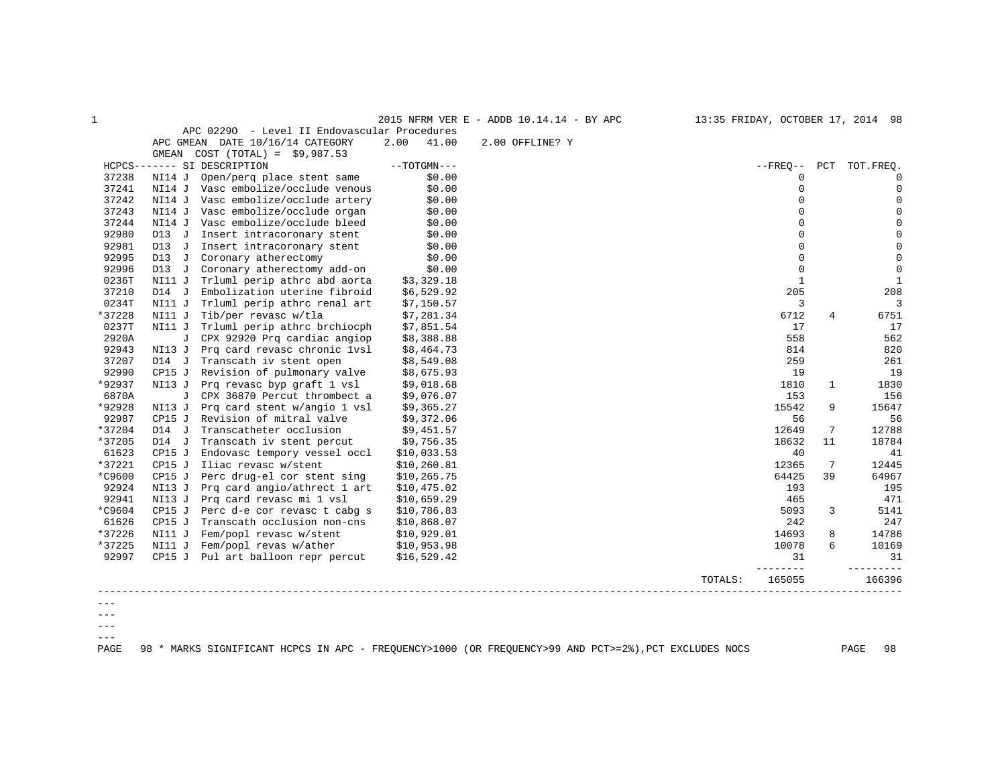| $\mathbf{1}$ |         |                                              |               | 2015 NFRM VER E - ADDB 10.14.14 - BY APC | 13:35 FRIDAY, OCTOBER 17, 2014 98 |              |                   |
|--------------|---------|----------------------------------------------|---------------|------------------------------------------|-----------------------------------|--------------|-------------------|
|              |         | APC 02290 - Level II Endovascular Procedures |               |                                          |                                   |              |                   |
|              |         | APC GMEAN DATE 10/16/14 CATEGORY             | 41.00<br>2.00 | 2.00 OFFLINE? Y                          |                                   |              |                   |
|              | GMEAN   | $COST (TOTAL) = $9,987.53$                   |               |                                          |                                   |              |                   |
|              |         | HCPCS------- SI DESCRIPTION                  | $--TOTGMN---$ |                                          | $- FREO--$                        |              | PCT TOT. FREO.    |
| 37238        | NI14 J  | Open/perg place stent same                   | \$0.00        |                                          |                                   | $\Omega$     | $\Omega$          |
| 37241        |         | NI14 J Vasc embolize/occlude venous          | \$0.00        |                                          |                                   | $\Omega$     | $\Omega$          |
| 37242        |         | NI14 J Vasc embolize/occlude artery          | \$0.00        |                                          |                                   | $\Omega$     | $\Omega$          |
| 37243        | NI14 J  | Vasc embolize/occlude organ                  | \$0.00        |                                          |                                   | $\Omega$     | $\mathbf 0$       |
| 37244        |         | NI14 J Vasc embolize/occlude bleed           | \$0.00        |                                          |                                   | $\Omega$     | $\mathbf 0$       |
| 92980        | $D13$ J | Insert intracoronary stent                   | \$0.00        |                                          |                                   | $\mathbf 0$  | $\mathbf 0$       |
| 92981        | D13 J   | Insert intracoronary stent                   | \$0.00        |                                          |                                   | $\Omega$     | $\mathbf 0$       |
| 92995        | $D13$ J | Coronary atherectomy                         | \$0.00        |                                          |                                   | $\Omega$     | $\mathbf 0$       |
| 92996        | $D13$ J | Coronary atherectomy add-on                  | \$0.00        |                                          |                                   | $\mathbf 0$  | $\mathbf 0$       |
| 0236T        | NI11 J  | Trluml perip athrc abd aorta                 | \$3,329.18    |                                          |                                   | $\mathbf{1}$ | $\mathbf{1}$      |
| 37210        | $D14$ J | Embolization uterine fibroid                 | \$6,529.92    |                                          | 205                               |              | 208               |
| 0234T        | NI11 J  | Trluml perip athrc renal art                 | \$7,150.57    |                                          |                                   | 3            | 3                 |
| *37228       | NI11 J  | Tib/per revasc w/tla                         | \$7,281.34    |                                          | 6712                              | 4            | 6751              |
| 0237T        | NI11 J  | Trluml perip athrc brchiocph                 | \$7,851.54    |                                          | 17                                |              | 17                |
| 2920A        |         | J CPX 92920 Prq cardiac angiop               | \$8,388.88    |                                          | 558                               |              | 562               |
| 92943        |         | NI13 J Prq card revasc chronic 1vsl          | \$8,464.73    |                                          | 814                               |              | 820               |
| 37207        | D14 J   | Transcath iv stent open                      | \$8,549.08    |                                          | 259                               |              | 261               |
| 92990        | CP15 J  | Revision of pulmonary valve                  | \$8,675.93    |                                          | 19                                |              | 19                |
| *92937       |         | NI13 J Prq revasc byp qraft 1 vsl            | \$9,018.68    |                                          | 1810                              | $\mathbf{1}$ | 1830              |
| 6870A        |         | J CPX 36870 Percut thrombect a               | \$9,076.07    |                                          | 153                               |              | 156               |
| *92928       | NI13 J  | Prq card stent w/angio 1 vsl                 | \$9,365.27    |                                          | 15542                             | 9            | 15647             |
| 92987        | CP15J   | Revision of mitral valve                     | \$9,372.06    |                                          |                                   | 56           | 56                |
| *37204       | $D14$ J | Transcatheter occlusion                      | \$9,451.57    |                                          | 12649                             | 7            | 12788             |
| *37205       | D14 J   | Transcath iv stent percut                    | \$9,756.35    |                                          | 18632                             | 11           | 18784             |
| 61623        | CP15J   | Endovasc tempory vessel occl                 | \$10,033.53   |                                          | 40                                |              | 41                |
| *37221       | CP15 J  | Iliac revasc w/stent                         | \$10, 260.81  |                                          | 12365                             | 7            | 12445             |
| $*$ C9600    | CP15 J  | Perc drug-el cor stent sing                  | \$10, 265.75  |                                          | 64425                             | 39           | 64967             |
| 92924        |         | NI13 J Prq card angio/athrect 1 art          | \$10,475.02   |                                          | 193                               |              | 195               |
| 92941        |         | NI13 J Prq card revasc mi 1 vsl              | \$10,659.29   |                                          | 465                               |              | 471               |
| *C9604       |         | CP15 J Perc d-e cor revasc t cabq s          | \$10,786.83   |                                          | 5093                              | 3            | 5141              |
| 61626        | CP15J   | Transcath occlusion non-cns                  | \$10,868.07   |                                          | 242                               |              | 247               |
| *37226       | NI11 J  | Fem/popl revasc w/stent                      | \$10,929.01   |                                          | 14693                             | 8            | 14786             |
| *37225       |         | NI11 J Fem/popl revas w/ather                | \$10,953.98   |                                          | 10078                             | 6            | 10169             |
| 92997        |         | CP15 J Pul art balloon repr percut           | \$16,529.42   |                                          |                                   | 31           | 31                |
|              |         |                                              |               |                                          | ------<br>165055<br>TOTALS:       |              | -------<br>166396 |
|              |         |                                              |               |                                          |                                   |              |                   |
|              |         |                                              |               |                                          |                                   |              |                   |
| $- - -$      |         |                                              |               |                                          |                                   |              |                   |

 $--\,$ 

 $---$ 

PAGE 98 \* MARKS SIGNIFICANT HCPCS IN APC - FREQUENCY>1000 (OR FREQUENCY>99 AND PCT>=2%),PCT EXCLUDES NOCS PAGE 98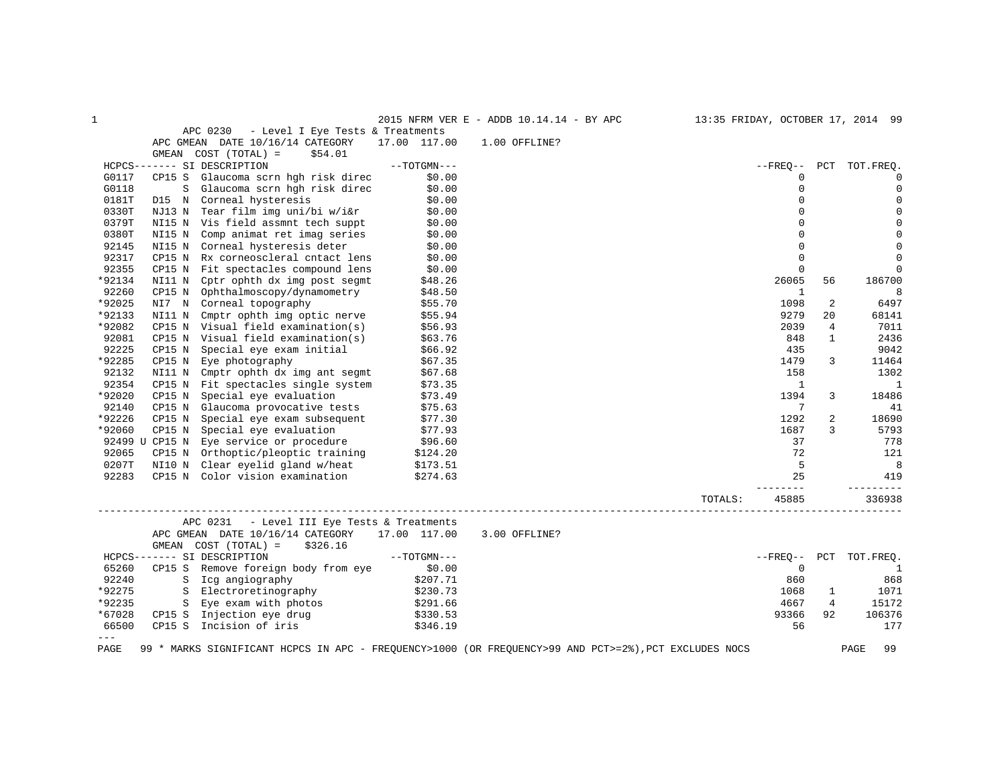| $\mathbf{1}$ |        |                                                                |               | 2015 NFRM VER E - ADDB 10.14.14 - BY APC                                                              |                                |                |                | 13:35 FRIDAY, OCTOBER 17, 2014 99 |
|--------------|--------|----------------------------------------------------------------|---------------|-------------------------------------------------------------------------------------------------------|--------------------------------|----------------|----------------|-----------------------------------|
|              |        | APC 0230<br>- Level I Eye Tests & Treatments                   |               |                                                                                                       |                                |                |                |                                   |
|              |        | APC GMEAN DATE 10/16/14 CATEGORY                               | 17.00 117.00  | 1.00 OFFLINE?                                                                                         |                                |                |                |                                   |
|              |        | GMEAN COST (TOTAL) =<br>\$54.01                                |               |                                                                                                       |                                |                |                |                                   |
|              |        | HCPCS------- SI DESCRIPTION                                    | $--TOTGMN---$ |                                                                                                       |                                | $- FREO--$     | PCT            | TOT.FREO.                         |
| G0117        | CP15 S | Glaucoma scrn hgh risk direc                                   | \$0.00        |                                                                                                       |                                | $\Omega$       |                | $\mathbf 0$                       |
| G0118        | S      | Glaucoma scrn hgh risk direc                                   | \$0.00        |                                                                                                       |                                | $\Omega$       |                | $\mathbf 0$                       |
| 0181T        |        | D15 N Corneal hysteresis                                       | \$0.00        |                                                                                                       |                                | $\Omega$       |                | $\mathbf 0$                       |
| 0330T        | NJ13 N | Tear film img uni/bi w/i&r                                     | \$0.00        |                                                                                                       |                                | $\Omega$       |                | $\mathbf 0$                       |
| 0379T        |        | NI15 N Vis field assmnt tech suppt                             | \$0.00        |                                                                                                       |                                | $\mathbf 0$    |                | $\mathsf{O}\xspace$               |
| 0380T        | NI15 N | Comp animat ret imag series                                    | \$0.00        |                                                                                                       |                                | $\Omega$       |                | $\mathbf 0$                       |
| 92145        |        | NI15 N Corneal hysteresis deter                                | \$0.00        |                                                                                                       |                                | $\mathbf 0$    |                | $\mathbf 0$                       |
| 92317        | CP15 N | Rx corneoscleral cntact lens                                   | \$0.00        |                                                                                                       |                                | $\Omega$       |                | $\mathbf 0$                       |
| 92355        | CP15 N | Fit spectacles compound lens                                   | \$0.00        |                                                                                                       |                                | $\Omega$       |                | 0                                 |
| *92134       |        | NI11 N Cptr ophth dx img post segmt                            | \$48.26       |                                                                                                       |                                | 26065          | 56             | 186700                            |
| 92260        | CP15 N | Ophthalmoscopy/dynamometry                                     | \$48.50       |                                                                                                       |                                | $\mathbf{1}$   |                | 8                                 |
| *92025       | NI7 N  | Corneal topography                                             | \$55.70       |                                                                                                       |                                | 1098           | 2              | 6497                              |
| *92133       | NI11 N | Cmptr ophth img optic nerve                                    | \$55.94       |                                                                                                       |                                | 9279           | 2.0            | 68141                             |
| *92082       | CP15 N | Visual field examination(s)                                    | \$56.93       |                                                                                                       |                                | 2039           | 4              | 7011                              |
| 92081        | CP15 N | Visual field examination(s)                                    | \$63.76       |                                                                                                       |                                | 848            | $\mathbf{1}$   | 2436                              |
| 92225        | CP15 N | Special eye exam initial                                       | \$66.92       |                                                                                                       |                                | 435            |                | 9042                              |
| *92285       | CP15 N | Eye photography                                                | \$67.35       |                                                                                                       |                                | 1479           | 3              | 11464                             |
| 92132        | NI11 N | Cmptr ophth dx img ant segmt                                   | \$67.68       |                                                                                                       |                                | 158            |                | 1302                              |
| 92354        | CP15 N | Fit spectacles single system                                   | \$73.35       |                                                                                                       |                                | $\mathbf{1}$   |                | $\mathbf{1}$                      |
| *92020       | CP15 N | Special eye evaluation                                         | \$73.49       |                                                                                                       |                                | 1394           | 3              | 18486                             |
| 92140        |        | CP15 N Glaucoma provocative tests                              | \$75.63       |                                                                                                       |                                | 7              |                | 41                                |
| *92226       | CP15 N | Special eye exam subsequent                                    | \$77.30       |                                                                                                       |                                | 1292           | 2              | 18690                             |
| *92060       | CP15 N | Special eye evaluation                                         | \$77.93       |                                                                                                       |                                | 1687           | 3              | 5793                              |
|              |        | 92499 U CP15 N Eye service or procedure                        | \$96.60       |                                                                                                       |                                | 37             |                | 778                               |
| 92065        | CP15 N | Orthoptic/pleoptic training                                    | \$124.20      |                                                                                                       |                                | 72             |                | 121                               |
| 0207T        |        | NI10 N Clear eyelid gland w/heat                               | \$173.51      |                                                                                                       |                                | 5              |                | 8                                 |
| 92283        |        | CP15 N Color vision examination                                | \$274.63      |                                                                                                       |                                | 25             |                | 419                               |
|              |        |                                                                |               |                                                                                                       |                                | ------         |                | ----------                        |
|              |        |                                                                |               |                                                                                                       | TOTALS:<br>___________________ | 45885          |                | 336938                            |
|              |        | APC 0231<br>- Level III Eye Tests & Treatments                 |               |                                                                                                       |                                |                |                |                                   |
|              | GMEAN  | APC GMEAN DATE 10/16/14 CATEGORY<br>COST (TOTAL) =<br>\$326.16 | 17.00 117.00  | 3.00 OFFLINE?                                                                                         |                                |                |                |                                   |
|              |        | HCPCS------- SI DESCRIPTION                                    | $--TOTGMN---$ |                                                                                                       |                                | $--$ FREO $--$ | PCT            | TOT.FREQ.                         |
| 65260        | CP15 S | Remove foreign body from eye                                   | \$0.00        |                                                                                                       |                                | $\mathbf 0$    |                | <sup>1</sup>                      |
| 92240        |        | S Icq angiography                                              | \$207.71      |                                                                                                       |                                | 860            |                | 868                               |
| *92275       | S      | Electroretinography                                            | \$230.73      |                                                                                                       |                                | 1068           | 1              | 1071                              |
| *92235       |        | S Eye exam with photos                                         | \$291.66      |                                                                                                       |                                | 4667           | $\overline{4}$ | 15172                             |
| *67028       | CP15 S | Injection eye drug                                             | \$330.53      |                                                                                                       |                                | 93366          | 92             | 106376                            |
| 66500        | CP15 S | Incision of iris                                               | \$346.19      |                                                                                                       |                                | 56             |                | 177                               |
| $---$        |        |                                                                |               |                                                                                                       |                                |                |                |                                   |
| PAGE         |        |                                                                |               | 99 * MARKS SIGNIFICANT HCPCS IN APC - FREQUENCY>1000 (OR FREQUENCY>99 AND PCT>=2%), PCT EXCLUDES NOCS |                                |                |                | PAGE<br>99                        |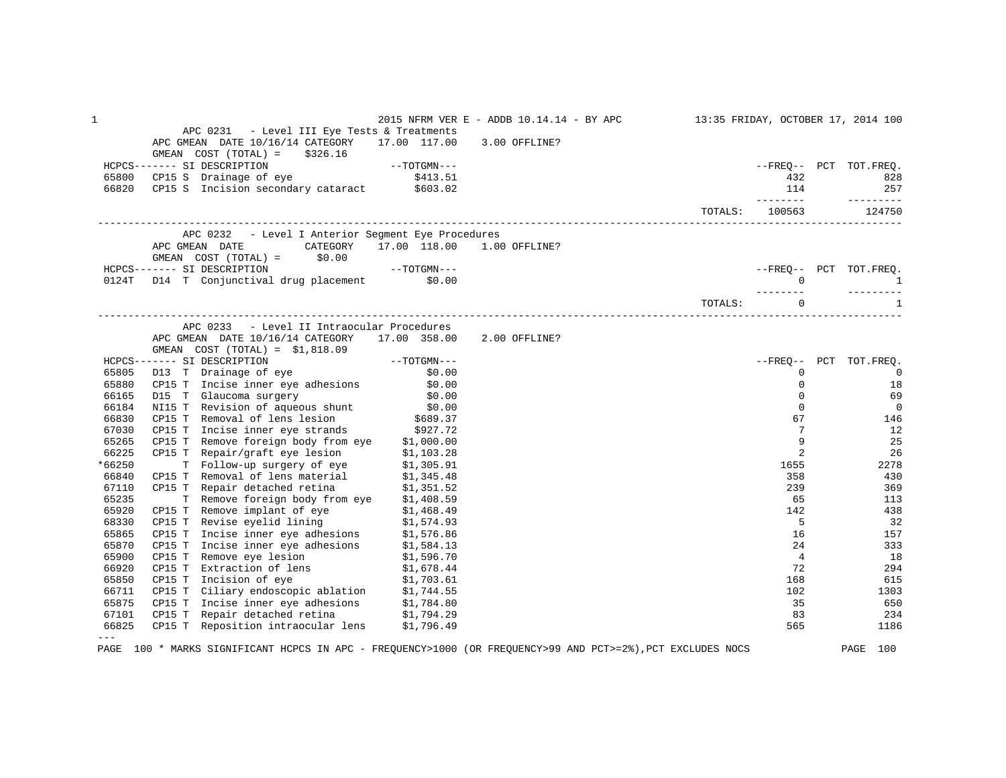| 1      |                                                                                                                                                                                                                                              | 2015 NFRM VER E - ADDB 10.14.14 - BY APC 13:35 FRIDAY, OCTOBER 17, 2014 100 |                |                 |                          |
|--------|----------------------------------------------------------------------------------------------------------------------------------------------------------------------------------------------------------------------------------------------|-----------------------------------------------------------------------------|----------------|-----------------|--------------------------|
|        | APC 0231 - Level III Eye Tests & Treatments                                                                                                                                                                                                  |                                                                             |                |                 |                          |
|        | APC GMEAN DATE 10/16/14 CATEGORY 17.00 117.00 3.00 OFFLINE?                                                                                                                                                                                  |                                                                             |                |                 |                          |
|        | GMEAN COST $(TOTAL) = $326.16$                                                                                                                                                                                                               |                                                                             |                |                 |                          |
|        |                                                                                                                                                                                                                                              |                                                                             |                |                 | --FREQ-- PCT TOT.FREQ.   |
|        |                                                                                                                                                                                                                                              |                                                                             |                | 432             | 828                      |
|        | HCPCS-------- SIDESCRIPTION --TOTGMM---<br>65800 CP15 S Drainage of eye \$413.51<br>66820 CP15 S Incision secondary cataract \$603.02                                                                                                        |                                                                             |                | 114             | 257                      |
|        |                                                                                                                                                                                                                                              |                                                                             | TOTALS: 100563 | _________       | ----------<br>124750     |
|        |                                                                                                                                                                                                                                              |                                                                             |                |                 |                          |
|        | APC 0232 - Level I Anterior Segment Eye Procedures<br>APC GMEAN DATE CATEGORY 17.00 118.00 1.00 OFFLINE?                                                                                                                                     |                                                                             |                |                 |                          |
|        | GMEAN COST $(TOTAL) =$ \$0.00                                                                                                                                                                                                                |                                                                             |                |                 |                          |
|        |                                                                                                                                                                                                                                              |                                                                             |                |                 | --FREQ-- PCT TOT.FREQ.   |
|        | GMEAN COST (TOTAL) = 50.00<br>HCPCS------- SI DESCRIPTION ---TOTGMN---<br>0124T D14 T Conjunctival drug placement \$0.00                                                                                                                     |                                                                             |                | $\Omega$        | $\mathbf{1}$             |
|        |                                                                                                                                                                                                                                              |                                                                             |                | ---------       |                          |
|        |                                                                                                                                                                                                                                              |                                                                             | TOTALS:        | $\Omega$        | $\mathbf{1}$             |
|        | APC 0233 - Level II Intraocular Procedures                                                                                                                                                                                                   |                                                                             |                |                 |                          |
|        | APC GMEAN DATE 10/16/14 CATEGORY 17.00 358.00 2.00 OFFLINE?                                                                                                                                                                                  |                                                                             |                |                 |                          |
|        | GMEAN $COST (TOTAL) = $1,818.09$                                                                                                                                                                                                             |                                                                             |                |                 |                          |
|        | HCPCS------- SI DESCRIPTION<br>65805 D13 T Drainage of eye \$0.00<br>65806 CP15 T Incise inner eye adhesions \$0.00                                                                                                                          |                                                                             |                |                 | --FREQ-- PCT TOT.FREQ.   |
|        |                                                                                                                                                                                                                                              |                                                                             |                | $\mathbf 0$     | $\overline{\phantom{0}}$ |
|        |                                                                                                                                                                                                                                              |                                                                             |                | $\mathbf 0$     | 18                       |
| 66165  |                                                                                                                                                                                                                                              |                                                                             |                | $\Omega$        | 69                       |
| 66184  | D15 T Glaucoma surgery \$0.00<br>NI15 T Revision of aqueous shunt \$0.00                                                                                                                                                                     |                                                                             |                | $\Omega$        | $\overline{0}$           |
| 66830  |                                                                                                                                                                                                                                              |                                                                             |                | 67              | 146                      |
| 67030  | CP15 T Removal of lens lesion \$689.37<br>CP15 T Incise inner eye strands \$927.72                                                                                                                                                           |                                                                             |                | $7\phantom{.0}$ | 12                       |
| 65265  | CP15 T Remove foreign body from eye $$1,000.00$                                                                                                                                                                                              |                                                                             |                | 9               | 25                       |
| 66225  |                                                                                                                                                                                                                                              |                                                                             |                | 2               | 26                       |
| *66250 | CP15 T Repair/graft eye lesion \$1,103.28<br>T Follow-up surgery of eye \$1,305.91                                                                                                                                                           |                                                                             |                | 1655            | 2278                     |
| 66840  |                                                                                                                                                                                                                                              |                                                                             |                | 358             | 430                      |
| 67110  | CP15 T Removal of lens material \$1,345.48<br>CP15 T Repair detached retina \$1,351.52                                                                                                                                                       |                                                                             |                | 239             | 369                      |
| 65235  | T Remove foreign body from eye \$1,408.59                                                                                                                                                                                                    |                                                                             |                | 65              | 113                      |
| 65920  |                                                                                                                                                                                                                                              |                                                                             |                | 142             | 438                      |
| 68330  |                                                                                                                                                                                                                                              |                                                                             |                | 5               | 32                       |
| 65865  |                                                                                                                                                                                                                                              |                                                                             |                | 16              | 157                      |
| 65870  |                                                                                                                                                                                                                                              |                                                                             |                | 24              | 333                      |
| 65900  |                                                                                                                                                                                                                                              |                                                                             |                | $\overline{4}$  | 18                       |
| 66920  | T Remove implant of eye 51,408.59<br>CP15 T Remove implant of eye \$1,468.49<br>CP15 T Revise eyeld lining \$1,574.98<br>CP15 T Incise inner eye adhesions \$1,574.86<br>CP15 T Incise inner eye adhesions \$1,584.13<br>CP15 T Remove eye l |                                                                             |                | 72              | 294                      |
| 65850  |                                                                                                                                                                                                                                              |                                                                             |                | 168             | 615                      |
| 66711  |                                                                                                                                                                                                                                              |                                                                             |                | 102             | 1303                     |
| 65875  |                                                                                                                                                                                                                                              |                                                                             |                | 35              | 650                      |
| 67101  |                                                                                                                                                                                                                                              |                                                                             |                | 83              | 234                      |
| 66825  | CP15 T Reposition intraocular lens \$1,796.49                                                                                                                                                                                                |                                                                             |                | 565             | 1186                     |
|        |                                                                                                                                                                                                                                              |                                                                             |                |                 |                          |

PAGE 100 \* MARKS SIGNIFICANT HCPCS IN APC - FREQUENCY>1000 (OR FREQUENCY>99 AND PCT>=2%),PCT EXCLUDES NOCS PAGE 100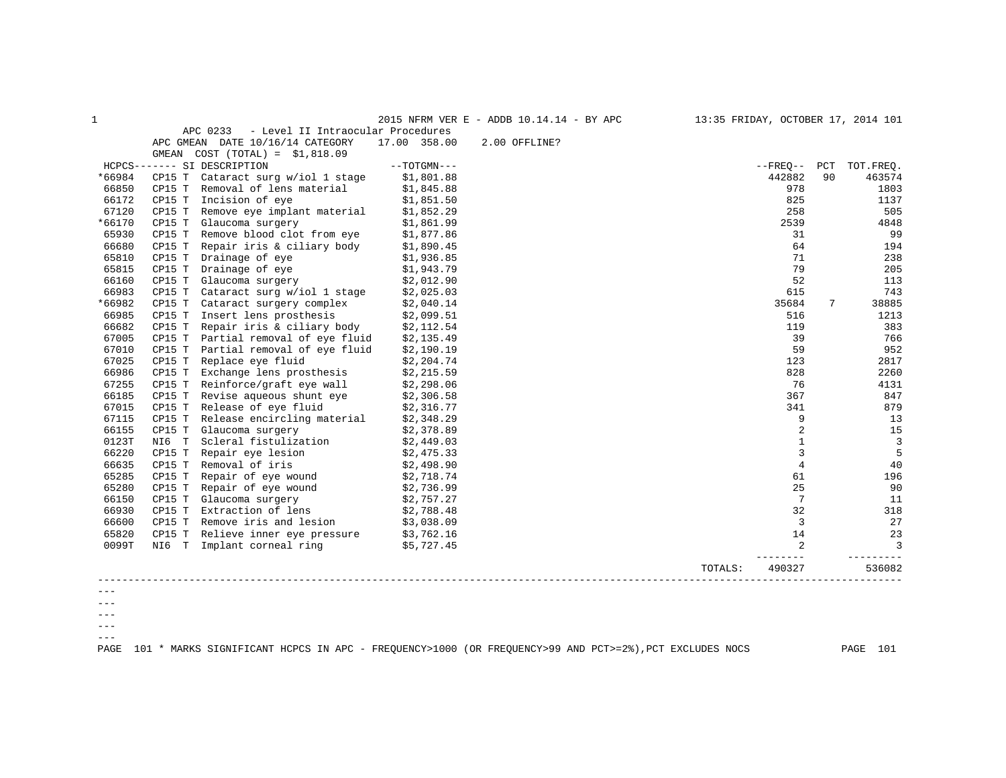| $\mathbf{1}$ |        |                                                                                                                               |               | 2015 NFRM VER E - ADDB $10.14.14$ - BY APC | 13:35 FRIDAY, OCTOBER 17, 2014 101 |                 |    |                        |
|--------------|--------|-------------------------------------------------------------------------------------------------------------------------------|---------------|--------------------------------------------|------------------------------------|-----------------|----|------------------------|
|              |        | APC 0233 - Level II Intraocular Procedures                                                                                    |               |                                            |                                    |                 |    |                        |
|              |        | APC GMEAN DATE 10/16/14 CATEGORY                                                                                              | 17.00 358.00  | 2.00 OFFLINE?                              |                                    |                 |    |                        |
|              |        | GMEAN $COST (TOTAL) = $1,818.09$                                                                                              |               |                                            |                                    |                 |    |                        |
|              |        | HCPCS------- SI DESCRIPTION                                                                                                   | $--TOTGMN---$ |                                            |                                    |                 |    | --FREQ-- PCT TOT.FREQ. |
| *66984       |        | CP15 T Cataract surg w/iol 1 stage                                                                                            | \$1,801.88    |                                            |                                    | 442882          | 90 | 463574                 |
| 66850        |        | CP15 T Removal of lens material \$1,845.88                                                                                    |               |                                            |                                    | 978             |    | 1803                   |
| 66172        | CP15 T | Incision of eye                                                                                                               | \$1,851.50    |                                            |                                    | 825             |    | 1137                   |
| 67120        |        | CP15 T Remove eye implant material $$1,852.29$<br>CP15 T Glaucoma surgery $$1,861.99$                                         |               |                                            |                                    | 258             |    | 505                    |
| *66170       |        |                                                                                                                               |               |                                            |                                    | 2539            |    | 4848                   |
| 65930        |        | CP15 T Remove blood clot from eye $$1,877.86$                                                                                 |               |                                            |                                    | 31              |    | 99                     |
| 66680        | CP15 T | Repair iris & ciliary body \$1,890.45                                                                                         |               |                                            |                                    | 64              |    | 194                    |
| 65810        |        | CP15 T Drainage of eye \$1,936.85<br>CP15 T Drainage of eye \$1,943.79                                                        |               |                                            |                                    | 71              |    | 238                    |
| 65815        |        |                                                                                                                               |               |                                            |                                    | 79              |    | 205                    |
| 66160        |        | CP15 T Glaucoma surgery $$2,012.90$                                                                                           |               |                                            |                                    | 52              |    | 113                    |
| 66983        | CP15 T | Cataract surg w/iol 1 stage \$2,025.03                                                                                        |               |                                            |                                    | 615             |    | 743                    |
| *66982       |        | CP15 T Cataract surgery complex \$2,040.14                                                                                    |               |                                            |                                    | 35684           | 7  | 38885                  |
| 66985        |        | CP15 T Insert lens prosthesis                                                                                                 | \$2,099.51    |                                            |                                    | 516             |    | 1213                   |
| 66682        |        | CP15 T Repair iris & ciliary body $$2,112.54$                                                                                 |               |                                            |                                    | 119             |    | 383                    |
| 67005        |        | CP15 T Partial removal of eye fluid \$2,135.49                                                                                |               |                                            |                                    | 39              |    | 766                    |
| 67010        | CP15 T | Partial removal of eye fluid                                                                                                  | \$2,190.19    |                                            |                                    | 59              |    | 952                    |
| 67025        |        | CP15 T Replace eye fluid                                                                                                      | \$2,204.74    |                                            |                                    | 123             |    | 2817                   |
| 66986        |        | CP15 T Exchange lens prosthesis $\frac{1}{2}$ , 215.59                                                                        |               |                                            |                                    | 828             |    | 2260                   |
| 67255        |        | CP15 T Reinforce/graft eye wall \$2,298.06                                                                                    |               |                                            |                                    | 76              |    | 4131                   |
| 66185        |        | CP15 T Revise aqueous shunt eye $$2,306.58$                                                                                   |               |                                            |                                    | 367             |    | 847                    |
| 67015        |        |                                                                                                                               |               |                                            |                                    | 341             |    | 879                    |
| 67115        |        | CP15 T Release of eye fluid \$2,316.77<br>CP15 T Release encircling material \$2,348.29<br>CP15 T Glaucoma surgery \$2,378.89 |               |                                            |                                    | 9               |    | 13                     |
| 66155        |        |                                                                                                                               |               |                                            |                                    | $\overline{2}$  |    | 15                     |
| 0123T        |        | NI6 T Scleral fistulization                                                                                                   | \$2,449.03    |                                            |                                    | $\mathbf{1}$    |    | $\overline{3}$         |
| 66220        |        | CP15 T Repair eye lesion                                                                                                      | \$2,475.33    |                                            |                                    | 3               |    | 5                      |
| 66635        | CP15 T | Removal of iris                                                                                                               | \$2,498.90    |                                            |                                    | $\overline{4}$  |    | 40                     |
| 65285        |        | CP15 T Repair of eye wound $$2,718.74$                                                                                        |               |                                            |                                    | 61              |    | 196                    |
| 65280        | CP15 T | Repair of eye wound \$2,736.99                                                                                                |               |                                            |                                    | 25              |    | 90                     |
| 66150        |        | CP15 T Glaucoma surgery $$2,757.27$<br>CP15 T Extraction of lens $$2,788.48$                                                  |               |                                            |                                    | $7\overline{ }$ |    | 11                     |
| 66930        |        |                                                                                                                               |               |                                            |                                    | 32              |    | 318                    |
| 66600        |        | CP15 T Remove iris and lesion $\frac{1}{5}$ 3,038.09                                                                          |               |                                            |                                    | $\overline{3}$  |    | 27                     |
| 65820        | CP15 T | Relieve inner eye pressure \$3,762.16                                                                                         |               |                                            |                                    | 14              |    | 23                     |
| 0099T        |        | NI6 T Implant corneal ring \$5,727.45                                                                                         |               |                                            |                                    | 2               |    | $\overline{3}$         |
|              |        |                                                                                                                               |               |                                            | TOTALS:                            | 490327          |    | 536082                 |
|              |        |                                                                                                                               |               |                                            |                                    |                 |    |                        |
|              |        |                                                                                                                               |               |                                            |                                    |                 |    |                        |

--- ---

 $--\,$  $---$ 

PAGE 101 \* MARKS SIGNIFICANT HCPCS IN APC - FREQUENCY>1000 (OR FREQUENCY>99 AND PCT>=2%),PCT EXCLUDES NOCS PAGE 101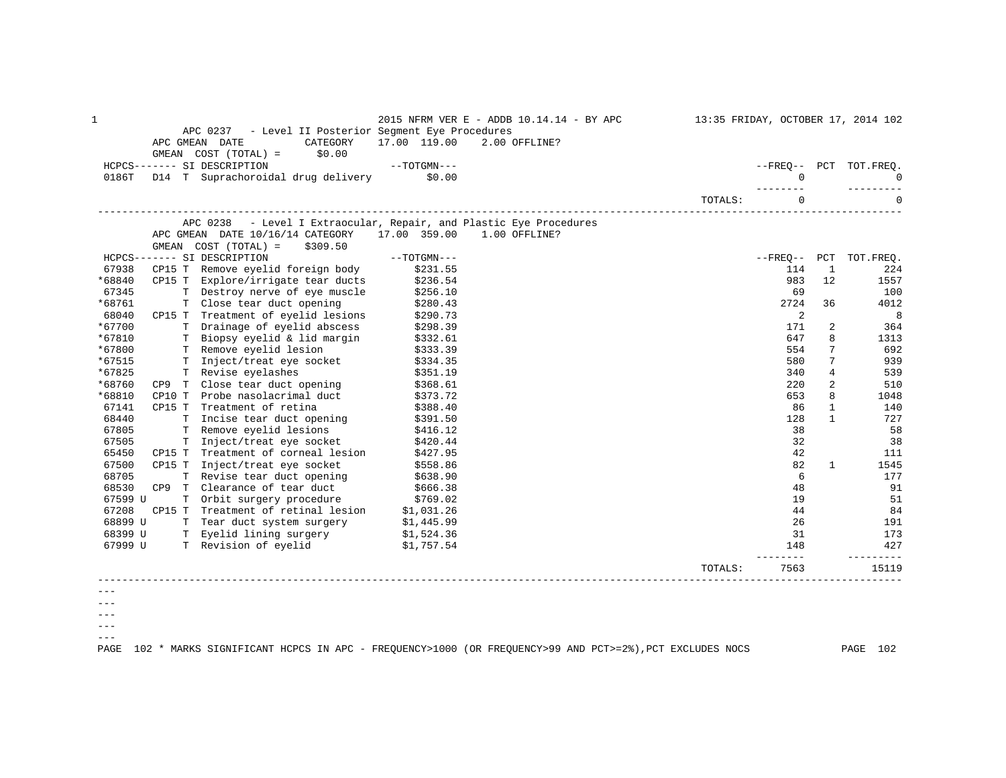| 1               |        |                                                                                    |                      | 2015 NFRM VER E - ADDB 10.14.14 - BY APC |         |              |                | 13:35 FRIDAY, OCTOBER 17, 2014 102 |
|-----------------|--------|------------------------------------------------------------------------------------|----------------------|------------------------------------------|---------|--------------|----------------|------------------------------------|
|                 |        | APC 0237 - Level II Posterior Segment Eye Procedures<br>APC GMEAN DATE<br>CATEGORY | 17.00 119.00         | 2.00 OFFLINE?                            |         |              |                |                                    |
|                 |        | GMEAN $COST (TOTAL) = $0.00$                                                       |                      |                                          |         |              |                |                                    |
|                 |        | HCPCS------- SI DESCRIPTION<br>$--TOTGMN---$                                       |                      |                                          |         |              |                | --FREO-- PCT TOT.FREO.             |
| 0186T           |        | D14 T Suprachoroidal drug delivery \$0.00                                          |                      |                                          |         | $\mathbf{0}$ |                | $\Omega$                           |
|                 |        |                                                                                    |                      |                                          |         |              |                |                                    |
|                 |        |                                                                                    |                      |                                          | TOTALS: | $\Omega$     |                | $\Omega$                           |
|                 |        | APC 0238 - Level I Extraocular, Repair, and Plastic Eye Procedures                 |                      |                                          |         |              |                |                                    |
|                 |        | APC GMEAN DATE 10/16/14 CATEGORY                                                   | 17.00 359.00         | $1.00$ OFFLINE?                          |         |              |                |                                    |
|                 |        | GMEAN COST (TOTAL) =<br>\$309.50                                                   |                      |                                          |         |              |                |                                    |
|                 |        | HCPCS------- SI DESCRIPTION                                                        | $--TOTGMN---$        |                                          |         |              |                | --FREQ-- PCT TOT.FREQ.             |
| 67938<br>*68840 |        | CP15 T Remove eyelid foreign body                                                  | \$231.55             |                                          |         | 114<br>983   | <sup>1</sup>   | 224                                |
| 67345           |        | CP15 T Explore/irrigate tear ducts<br>T Destroy nerve of eye muscle                | \$236.54             |                                          |         |              | 12             | 1557<br>100                        |
| *68761          |        | T Close tear duct opening                                                          | \$256.10<br>\$280.43 |                                          |         | 69<br>2724   | 36             | 4012                               |
| 68040           |        | CP15 T Treatment of eyelid lesions                                                 | \$290.73             |                                          |         | 2            |                | 8                                  |
| *67700          |        | T Drainage of eyelid abscess                                                       | \$298.39             |                                          |         | 171          | 2              | 364                                |
| *67810          |        | T Biopsy eyelid & lid margin                                                       | \$332.61             |                                          |         | 647          | 8              | 1313                               |
| *67800          |        | T Remove eyelid lesion                                                             | \$333.39             |                                          |         | 554          | 7              | 692                                |
| *67515          |        | T Inject/treat eye socket                                                          | \$334.35             |                                          |         | 580          | 7              | 939                                |
| *67825          |        | T Revise eyelashes                                                                 | \$351.19             |                                          |         | 340          | 4              | 539                                |
| *68760          |        | CP9 T Close tear duct opening                                                      | \$368.61             |                                          |         | 220          | $\overline{a}$ | 510                                |
| *68810          |        | CP10 T Probe nasolacrimal duct                                                     | \$373.72             |                                          |         | 653          | 8              | 1048                               |
| 67141           |        | CP15 T Treatment of retina                                                         | \$388.40             |                                          |         | 86           | $\mathbf{1}$   | 140                                |
| 68440           |        | T Incise tear duct opening                                                         | \$391.50             |                                          |         | 128          | $\mathbf{1}$   | 727                                |
| 67805           |        | T Remove eyelid lesions                                                            | \$416.12             |                                          |         | 38           |                | 58                                 |
| 67505           |        | T Inject/treat eye socket                                                          | \$420.44             |                                          |         | 32           |                | 38                                 |
| 65450           | CP15 T | Treatment of corneal lesion                                                        | \$427.95             |                                          |         | 42           |                | 111                                |
| 67500           |        | CP15 T Inject/treat eye socket                                                     | \$558.86             |                                          |         | 82           | 1              | 1545                               |
| 68705           |        | T Revise tear duct opening                                                         | \$638.90             |                                          |         | 6            |                | 177                                |
| 68530           |        | CP9 T Clearance of tear duct                                                       | \$666.38             |                                          |         | 48           |                | 91                                 |
| 67599 U         |        | T Orbit surgery procedure                                                          | \$769.02             |                                          |         | 19           |                | 51                                 |
| 67208           | CP15 T | Treatment of retinal lesion                                                        | \$1,031.26           |                                          |         | 44           |                | 84                                 |
| 68899 U         |        | T Tear duct system surgery                                                         | \$1,445.99           |                                          |         | 26           |                | 191                                |
| 68399 U         |        | T Eyelid lining surgery \$1,524.36                                                 |                      |                                          |         | 31           |                | 173                                |
| 67999 U         |        | T Revision of eyelid                                                               | \$1,757.54           |                                          |         | 148          |                | 427<br>-------                     |
|                 |        |                                                                                    |                      |                                          | TOTALS: | 7563         |                | 15119                              |
|                 |        |                                                                                    |                      |                                          |         |              |                |                                    |
| $- - -$         |        |                                                                                    |                      |                                          |         |              |                |                                    |

---  $--\,$ 

 $---$ 

PAGE 102 \* MARKS SIGNIFICANT HCPCS IN APC - FREQUENCY>1000 (OR FREQUENCY>99 AND PCT>=2%),PCT EXCLUDES NOCS PAGE 102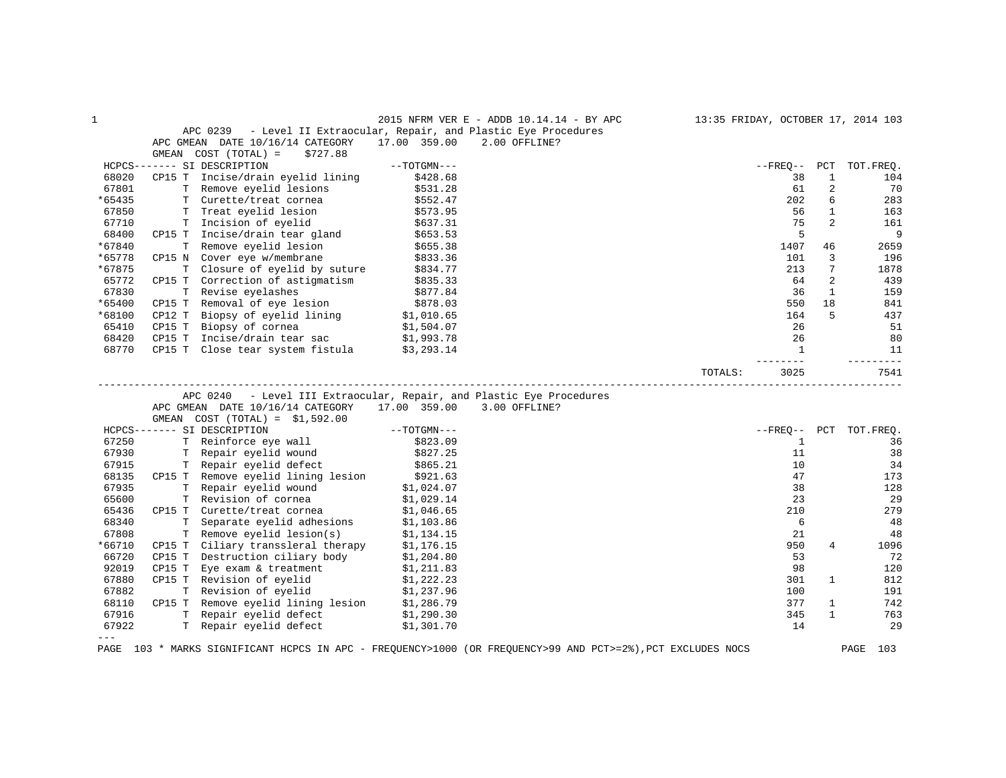| 1      |        |                                                                     |               | 2015 NFRM VER E - ADDB 10.14.14 - BY APC                                                                    | 13:35 FRIDAY, OCTOBER 17, 2014 103 |              |              |               |
|--------|--------|---------------------------------------------------------------------|---------------|-------------------------------------------------------------------------------------------------------------|------------------------------------|--------------|--------------|---------------|
|        |        | APC 0239 - Level II Extraocular, Repair, and Plastic Eye Procedures |               |                                                                                                             |                                    |              |              |               |
|        |        | APC GMEAN DATE 10/16/14 CATEGORY                                    | 17.00 359.00  | 2.00 OFFLINE?                                                                                               |                                    |              |              |               |
|        | GMEAN  | COST (TOTAL) =<br>\$727.88                                          |               |                                                                                                             |                                    |              |              |               |
|        |        | HCPCS------- SI DESCRIPTION                                         | $--TOTGMN---$ |                                                                                                             | $- FREQ--$                         |              | PCT          | TOT.FREQ.     |
| 68020  |        | CP15 T Incise/drain eyelid lining                                   | \$428.68      |                                                                                                             |                                    | 38           | $\mathbf{1}$ | 104           |
| 67801  |        | T Remove eyelid lesions                                             | \$531.28      |                                                                                                             |                                    | 61           | 2            | 70            |
| *65435 |        | T Curette/treat cornea                                              | \$552.47      |                                                                                                             |                                    | 202          | 6            | 283           |
| 67850  |        | T Treat eyelid lesion                                               | \$573.95      |                                                                                                             |                                    | 56           | $\mathbf{1}$ | 163           |
| 67710  |        | T Incision of eyelid                                                | \$637.31      |                                                                                                             |                                    | 75           | 2            | 161           |
| 68400  |        | CP15 T Incise/drain tear gland                                      | \$653.53      |                                                                                                             |                                    | 5            |              | 9             |
| *67840 |        | T Remove eyelid lesion                                              | \$655.38      |                                                                                                             | 1407                               |              | 46           | 2659          |
| *65778 |        | CP15 N Cover eye w/membrane                                         | \$833.36      |                                                                                                             |                                    | 101          | 3            | 196           |
| *67875 |        | T Closure of eyelid by suture                                       | \$834.77      |                                                                                                             |                                    | 213          | 7            | 1878          |
| 65772  | CP15 T | Correction of astigmatism                                           | \$835.33      |                                                                                                             |                                    | 64           | 2            | 439           |
| 67830  |        | T Revise eyelashes                                                  | \$877.84      |                                                                                                             |                                    | 36           | $\mathbf{1}$ | 159           |
| *65400 |        | CP15 T Removal of eye lesion                                        | \$878.03      |                                                                                                             |                                    | 550          | 18           | 841           |
| *68100 | CP12 T | Biopsy of eyelid lining                                             | \$1,010.65    |                                                                                                             |                                    | 164          | 5            | 437           |
| 65410  | CP15 T | Biopsy of cornea                                                    | \$1,504.07    |                                                                                                             |                                    | 26           |              | 51            |
| 68420  | CP15 T | Incise/drain tear sac                                               | \$1,993.78    |                                                                                                             |                                    | 26           |              | 80            |
| 68770  |        | CP15 T Close tear system fistula $$3,293.14$                        |               |                                                                                                             |                                    | 1            |              | 11            |
|        |        |                                                                     |               |                                                                                                             |                                    |              |              | -----         |
|        |        |                                                                     |               |                                                                                                             | 3025<br>TOTALS:                    |              |              | 7541          |
|        |        |                                                                     |               |                                                                                                             |                                    |              |              |               |
|        |        | APC 0240                                                            |               | - Level III Extraocular, Repair, and Plastic Eye Procedures                                                 |                                    |              |              |               |
|        |        | APC GMEAN DATE 10/16/14 CATEGORY                                    |               | 17.00 359.00 3.00 OFFLINE?                                                                                  |                                    |              |              |               |
|        |        | GMEAN $COST (TOTAL) = $1,592.00$                                    |               |                                                                                                             |                                    |              |              |               |
|        |        | HCPCS------- SI DESCRIPTION                                         | $--TOTGMN---$ |                                                                                                             | $- FREQ--$                         |              |              | PCT TOT.FREQ. |
| 67250  |        | T Reinforce eye wall                                                | \$823.09      |                                                                                                             |                                    | $\mathbf{1}$ |              | 36            |
| 67930  |        | T Repair eyelid wound                                               | \$827.25      |                                                                                                             |                                    | 11           |              | 38            |
| 67915  |        | T Repair eyelid defect                                              | \$865.21      |                                                                                                             |                                    | 10           |              | 34            |
| 68135  |        | CP15 T Remove eyelid lining lesion \$921.63                         |               |                                                                                                             |                                    | 47           |              | 173           |
| 67935  |        | T Repair eyelid wound                                               | \$1,024.07    |                                                                                                             |                                    | 38           |              | 128           |
| 65600  |        | T Revision of cornea                                                | \$1,029.14    |                                                                                                             |                                    | 23           |              | 29            |
| 65436  |        | CP15 T Curette/treat cornea                                         | \$1,046.65    |                                                                                                             |                                    | 210          |              | 279           |
| 68340  |        | T Separate eyelid adhesions                                         | \$1,103.86    |                                                                                                             |                                    | 6            |              | 48            |
| 67808  |        | T Remove eyelid lesion(s)                                           | \$1,134.15    |                                                                                                             |                                    | 21           |              | 48            |
| *66710 |        | CP15 T Ciliary transsleral therapy                                  | \$1,176.15    |                                                                                                             |                                    | 950          | 4            | 1096          |
| 66720  | CP15 T | Destruction ciliary body \$1,204.80                                 |               |                                                                                                             |                                    | 53           |              | 72            |
| 92019  |        | CP15 T Eye exam & treatment                                         | \$1,211.83    |                                                                                                             |                                    | 98           |              | 120           |
| 67880  |        | CP15 T Revision of eyelid                                           | \$1,222.23    |                                                                                                             |                                    | 301          | $\mathbf{1}$ | 812           |
| 67882  |        | T Revision of eyelid                                                | \$1,237.96    |                                                                                                             |                                    | 100          |              | 191           |
| 68110  |        | CP15 T Remove eyelid lining lesion \$1,286.79                       |               |                                                                                                             |                                    | 377          | 1            | 742           |
| 67916  |        | T Repair eyelid defect                                              | \$1,290.30    |                                                                                                             |                                    | 345          | $\mathbf{1}$ | 763           |
| 67922  |        | T Repair eyelid defect                                              | \$1,301.70    |                                                                                                             |                                    | 14           |              | 29            |
| $-- -$ |        |                                                                     |               |                                                                                                             |                                    |              |              |               |
|        |        |                                                                     |               | PAGE 103 * MARKS SIGNIFICANT HCPCS IN APC - FREQUENCY>1000 (OR FREQUENCY>99 AND PCT>=2%), PCT EXCLUDES NOCS |                                    |              |              | PAGE 103      |
|        |        |                                                                     |               |                                                                                                             |                                    |              |              |               |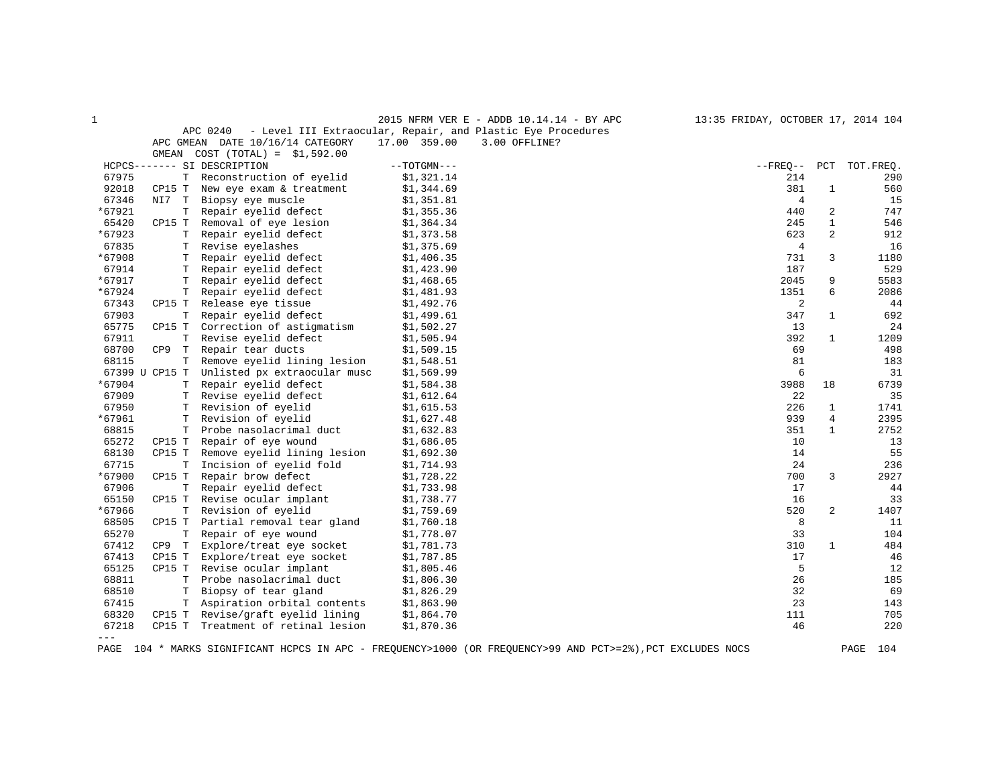| 1      |                |                                  | 2015 NFRM VER E - ADDB 10.14.14 - BY APC                    | 13:35 FRIDAY, OCTOBER 17, 2014 104 |              |           |
|--------|----------------|----------------------------------|-------------------------------------------------------------|------------------------------------|--------------|-----------|
|        |                | APC 0240                         | - Level III Extraocular, Repair, and Plastic Eye Procedures |                                    |              |           |
|        |                | APC GMEAN DATE 10/16/14 CATEGORY | 17.00 359.00<br>3.00 OFFLINE?                               |                                    |              |           |
|        | GMEAN          | $COST (TOTAL) = $1,592.00$       |                                                             |                                    |              |           |
|        |                | HCPCS------- SI DESCRIPTION      | $--TOTGMN---$                                               | $- FREQ--$                         | PCT          | TOT.FREQ. |
| 67975  | Т              | Reconstruction of eyelid         | \$1,321.14                                                  | 214                                |              | 290       |
| 92018  | CP15 T         | New eye exam & treatment         | \$1,344.69                                                  | 381                                | $\mathbf{1}$ | 560       |
| 67346  | NI7 T          | Biopsy eye muscle                | \$1,351.81                                                  | $\overline{4}$                     |              | 15        |
| *67921 | T              | Repair eyelid defect             | \$1,355.36                                                  | 440                                | 2            | 747       |
| 65420  | CP15 T         | Removal of eye lesion            | \$1,364.34                                                  | 245                                | $\mathbf{1}$ | 546       |
| *67923 | т              | Repair eyelid defect             | \$1,373.58                                                  | 623                                | 2            | 912       |
| 67835  | Т              | Revise eyelashes                 | \$1,375.69                                                  | $\overline{4}$                     |              | 16        |
| *67908 | т              | Repair eyelid defect             | \$1,406.35                                                  | 731                                | 3            | 1180      |
| 67914  | Т              | Repair eyelid defect             | \$1,423.90                                                  | 187                                |              | 529       |
| *67917 | т              | Repair eyelid defect             | \$1,468.65                                                  | 2045                               | 9            | 5583      |
| *67924 | T              | Repair eyelid defect             | \$1,481.93                                                  | 1351                               | 6            | 2086      |
| 67343  | CP15 T         | Release eye tissue               | \$1,492.76                                                  | 2                                  |              | 44        |
| 67903  | Т              | Repair eyelid defect             | \$1,499.61                                                  | 347                                | $\mathbf{1}$ | 692       |
| 65775  | CP15 T         | Correction of astigmatism        | \$1,502.27                                                  | 13                                 |              | 24        |
| 67911  | T.             | Revise eyelid defect             | \$1,505.94                                                  | 392                                | 1            | 1209      |
| 68700  | CP9<br>T       | Repair tear ducts                | \$1,509.15                                                  | 69                                 |              | 498       |
| 68115  | T              | Remove eyelid lining lesion      | \$1,548.51                                                  | 81                                 |              | 183       |
|        | 67399 U CP15 T | Unlisted px extraocular musc     | \$1,569.99                                                  | 6                                  |              | 31        |
| *67904 | Т              | Repair eyelid defect             | \$1,584.38                                                  | 3988                               | 18           | 6739      |
| 67909  | т              | Revise eyelid defect             | \$1,612.64                                                  | 22                                 |              | 35        |
| 67950  | т              | Revision of eyelid               | \$1,615.53                                                  | 226                                | 1            | 1741      |
| *67961 | Т              | Revision of eyelid               | \$1,627.48                                                  | 939                                | 4            | 2395      |
| 68815  | $\mathbf T$    | Probe nasolacrimal duct          | \$1,632.83                                                  | 351                                | $\mathbf{1}$ | 2752      |
| 65272  | CP15 T         | Repair of eye wound              | \$1,686.05                                                  | 10                                 |              | 13        |
| 68130  | CP15 T         | Remove eyelid lining lesion      | \$1,692.30                                                  | 14                                 |              | 55        |
| 67715  | т              | Incision of eyelid fold          | \$1,714.93                                                  | 24                                 |              | 236       |
| *67900 | CP15 T         | Repair brow defect               | \$1,728.22                                                  | 700                                | 3            | 2927      |
| 67906  | $\mathbb T$    | Repair eyelid defect             | \$1,733.98                                                  | 17                                 |              | 44        |
| 65150  | CP15 T         | Revise ocular implant            | \$1,738.77                                                  | 16                                 |              | 33        |
| *67966 | Т              | Revision of eyelid               | \$1,759.69                                                  | 520                                | 2            | 1407      |
| 68505  | CP15 T         | Partial removal tear gland       | \$1,760.18                                                  | 8                                  |              | 11        |
| 65270  | T              | Repair of eye wound              | \$1,778.07                                                  | 33                                 |              | 104       |
| 67412  | CP9 T          | Explore/treat eye socket         | \$1,781.73                                                  | 310                                | $\mathbf{1}$ | 484       |
| 67413  | CP15 T         | Explore/treat eye socket         | \$1,787.85                                                  | 17                                 |              | 46        |
| 65125  | CP15 T         | Revise ocular implant            | \$1,805.46                                                  | 5                                  |              | 12        |
| 68811  | $\mathbf T$    | Probe nasolacrimal duct          | \$1,806.30                                                  | 26                                 |              | 185       |
| 68510  | T              | Biopsy of tear gland             | \$1,826.29                                                  | 32                                 |              | 69        |
| 67415  | т              | Aspiration orbital contents      | \$1,863.90                                                  | 23                                 |              | 143       |
| 68320  | CP15 T         | Revise/graft eyelid lining       | \$1,864.70                                                  | 111                                |              | 705       |
| 67218  | CP15 T         | Treatment of retinal lesion      | \$1,870.36                                                  | 46                                 |              | 220       |
| $---$  |                |                                  |                                                             |                                    |              |           |

PAGE 104 \* MARKS SIGNIFICANT HCPCS IN APC - FREQUENCY>1000 (OR FREQUENCY>99 AND PCT>=2%),PCT EXCLUDES NOCS PAGE 104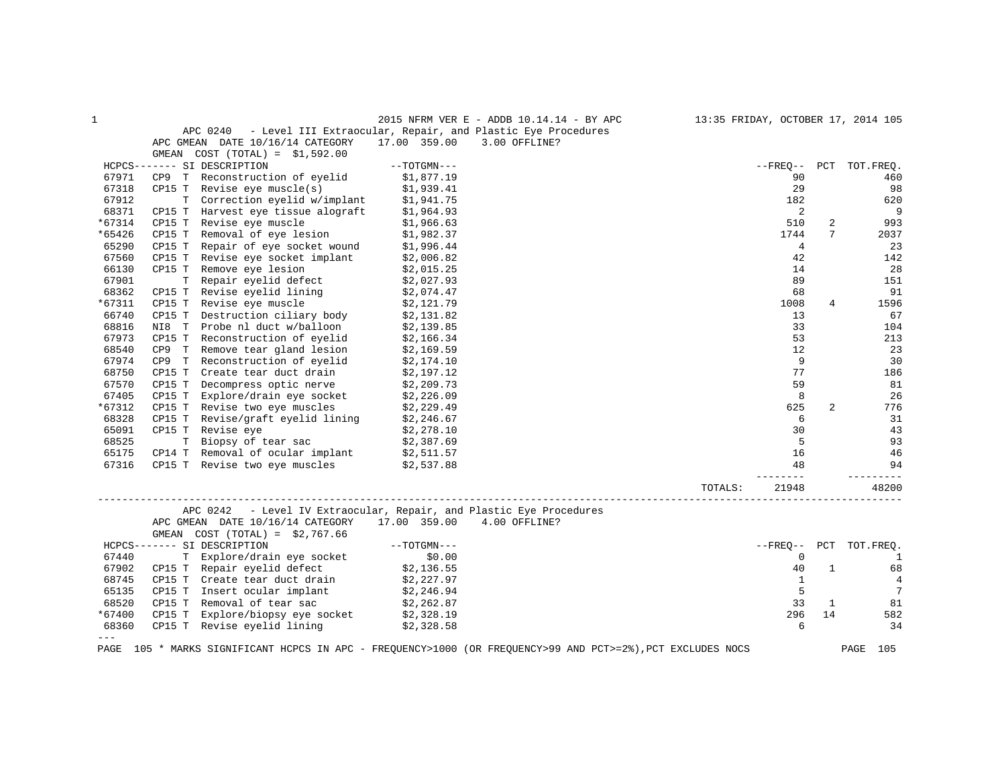| $\mathbf 1$ |                                                                                                                                                                                                                                | 2015 NFRM VER E - ADDB 10.14.14 - BY APC                             |         |                 |              | 13:35 FRIDAY, OCTOBER 17, 2014 105 |
|-------------|--------------------------------------------------------------------------------------------------------------------------------------------------------------------------------------------------------------------------------|----------------------------------------------------------------------|---------|-----------------|--------------|------------------------------------|
|             |                                                                                                                                                                                                                                | APC 0240 - Level III Extraocular, Repair, and Plastic Eye Procedures |         |                 |              |                                    |
|             | APC GMEAN DATE 10/16/14 CATEGORY                                                                                                                                                                                               | 17.00 359.00<br>3.00 OFFLINE?                                        |         |                 |              |                                    |
|             | GMEAN $COST (TOTAL) = $1,592.00$                                                                                                                                                                                               |                                                                      |         |                 |              |                                    |
|             | HCPCS------- SI DESCRIPTION                                                                                                                                                                                                    | $--TOTGMN---$                                                        |         | $- FREQ--$      |              | PCT TOT.FREQ.                      |
| 67971       | CP9 T Reconstruction of eyelid                                                                                                                                                                                                 | \$1,877.19<br>\$1,939.41                                             |         | 90              |              | 460                                |
| 67318       | $CPI5$ T Revise eye muscle(s)                                                                                                                                                                                                  |                                                                      |         | 29              |              | 98                                 |
| 67912       |                                                                                                                                                                                                                                |                                                                      |         | 182             |              | 620                                |
| 68371       | CP15 T Harvest eye tissue alograft                                                                                                                                                                                             |                                                                      |         | 2               |              | - 9                                |
| *67314      | T Correction eyelid w/implant \$1,941.75<br>T Harvest eye tissue alograft \$1,964.93<br>T Revise eye muscle \$1,966.63<br>CP15 T Revise eye muscle                                                                             |                                                                      |         | 510             | 2            | 993                                |
| *65426      | CP15 T Removal of eye lesion \$1,982.37<br>CP15 T Repair of eye socket wound \$1,996.44                                                                                                                                        |                                                                      |         | 1744            | 7            | 2037                               |
| 65290       |                                                                                                                                                                                                                                |                                                                      |         | $\overline{4}$  |              | 23                                 |
| 67560       | CP15 T Revise eye socket implant $$2,006.82$                                                                                                                                                                                   |                                                                      |         | 42              |              | 142                                |
| 66130       |                                                                                                                                                                                                                                |                                                                      |         | 14              |              | 28                                 |
| 67901       | CP15 T Remove eye lesion $$2,015.25$<br>T Repair eyelid defect $$2,027.93$                                                                                                                                                     |                                                                      |         | 89              |              | 151                                |
| 68362       |                                                                                                                                                                                                                                |                                                                      |         | 68              |              | 91                                 |
| *67311      | CP15 T Revise eyelid lining $$2,074.47$<br>CP15 T Revise eye muscle $$2,121.79$                                                                                                                                                |                                                                      |         | 1008            | 4            | 1596                               |
| 66740       | CP15 T Destruction ciliary body $$2,131.82$                                                                                                                                                                                    |                                                                      |         | 13              |              | 67                                 |
| 68816       |                                                                                                                                                                                                                                | \$2,139.85                                                           |         | 33              |              | 104                                |
| 67973       | NI8 T Probe nl duct w/balloon<br>CP15 T Reconstruction of eyelid                                                                                                                                                               | \$2,166.34                                                           |         | 53              |              | 213                                |
| 68540       | CP9 T Remove tear gland lesion                                                                                                                                                                                                 | \$2,169.59                                                           |         | 12              |              | 23                                 |
| 67974       |                                                                                                                                                                                                                                | \$2,174.10                                                           |         | 9               |              | 30                                 |
| 68750       |                                                                                                                                                                                                                                | \$2,197.12                                                           |         | 77              |              | 186                                |
| 67570       | CP15 T                                                                                                                                                                                                                         |                                                                      |         | 59              |              | 81                                 |
| 67405       | Decompress optic nerve \$2,209.73<br>Explore/drain eye socket \$2,226.09                                                                                                                                                       |                                                                      |         | 8               |              | 26                                 |
| *67312      | CP15 T Explore/drain eye socket $$2,226.09$<br>CP15 T Revise two eye muscles $$2,229.49$                                                                                                                                       |                                                                      |         | 625             | 2            | 776                                |
| 68328       |                                                                                                                                                                                                                                |                                                                      |         | 6               |              | 31                                 |
| 65091       | CP15 T Revise/graft eyelid lining $$2,246.67$<br>CP15 T Revise eye $$2,278.10$                                                                                                                                                 |                                                                      |         | 30              |              | 43                                 |
| 68525       |                                                                                                                                                                                                                                |                                                                      |         | 5               |              | 93                                 |
| 65175       | The more of tear sac and the series of tear in the series of tear in the series of the series of the series of the series of the series of the series of the series of the series of the series of the series of the series of |                                                                      |         | 16              |              | 46                                 |
| 67316       |                                                                                                                                                                                                                                |                                                                      |         | 48              |              | 94                                 |
|             |                                                                                                                                                                                                                                |                                                                      |         | $- - - - - - -$ |              |                                    |
|             |                                                                                                                                                                                                                                |                                                                      | TOTALS: | 21948           |              | 48200                              |
|             |                                                                                                                                                                                                                                | APC 0242 - Level IV Extraocular, Repair, and Plastic Eye Procedures  |         |                 |              |                                    |
|             | APC GMEAN DATE 10/16/14 CATEGORY 17.00 359.00 4.00 OFFLINE?                                                                                                                                                                    |                                                                      |         |                 |              |                                    |
|             | GMEAN COST $(TOTAL) = $2,767.66$                                                                                                                                                                                               |                                                                      |         |                 |              |                                    |
|             | HCPCS------- SI DESCRIPTION                                                                                                                                                                                                    |                                                                      |         |                 |              | --FREQ-- PCT TOT.FREQ.             |
| 67440       |                                                                                                                                                                                                                                |                                                                      |         | 0               |              | <sup>1</sup>                       |
| 67902       |                                                                                                                                                                                                                                |                                                                      |         | 40              | $\mathbf{1}$ | 68                                 |
| 68745       | ------ SI DESCRIPTION<br>T Explore/drain eye socket \$0.00<br>CP15 T Repair eyelid defect \$2,136.55<br>T T The their duct drain \$2,227.97                                                                                    |                                                                      |         | 1               |              | $\overline{4}$                     |
| 65135       | CP15 T Insert ocular implant $$2,246.94$                                                                                                                                                                                       |                                                                      |         | $5^{\circ}$     |              | 7                                  |
| 68520       |                                                                                                                                                                                                                                |                                                                      |         | 33              | 1            | 81                                 |
| *67400      | CP15 T Removal of tear sac $$2,262.87$<br>CP15 T Explore/biopsy eye socket $$2,328.19$                                                                                                                                         |                                                                      |         | 296             | 14           | 582                                |
| 68360       | CP15 T Revise eyelid lining \$2,328.58                                                                                                                                                                                         |                                                                      |         | 6               |              | 34                                 |
| $= - -$     |                                                                                                                                                                                                                                |                                                                      |         |                 |              |                                    |
|             |                                                                                                                                                                                                                                |                                                                      |         |                 |              |                                    |

PAGE 105 \* MARKS SIGNIFICANT HCPCS IN APC - FREQUENCY>1000 (OR FREQUENCY>99 AND PCT>=2%),PCT EXCLUDES NOCS PAGE 105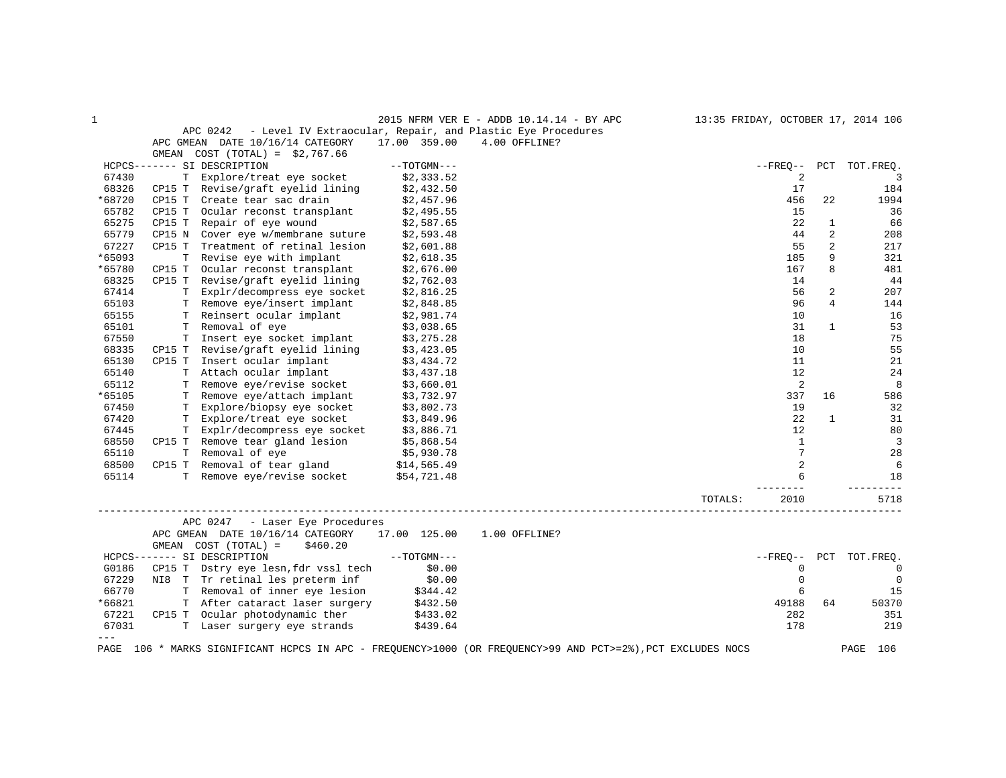| 1       |                             |                                                                |               | 2015 NFRM VER E - ADDB 10.14.14 - BY APC                                                               |         |                |                | 13:35 FRIDAY, OCTOBER 17, 2014 106 |
|---------|-----------------------------|----------------------------------------------------------------|---------------|--------------------------------------------------------------------------------------------------------|---------|----------------|----------------|------------------------------------|
|         | APC 0242                    |                                                                |               | - Level IV Extraocular, Repair, and Plastic Eye Procedures                                             |         |                |                |                                    |
|         |                             | APC GMEAN DATE 10/16/14 CATEGORY                               | 17.00 359.00  | 4.00 OFFLINE?                                                                                          |         |                |                |                                    |
|         | GMEAN                       | $COST (TOTAL) = $2,767.66$                                     |               |                                                                                                        |         |                |                |                                    |
|         | HCPCS------- SI DESCRIPTION |                                                                | $--TOTGMN---$ |                                                                                                        |         | $--$ FREO $--$ | PCT            | TOT.FREO.                          |
| 67430   |                             | T Explore/treat eye socket                                     | \$2,333.52    |                                                                                                        |         | 2              |                | 3                                  |
| 68326   |                             | CP15 T Revise/graft eyelid lining                              | \$2,432.50    |                                                                                                        |         | 17             |                | 184                                |
| *68720  | CP15 T                      | Create tear sac drain                                          | \$2,457.96    |                                                                                                        |         | 456            | 22             | 1994                               |
| 65782   | CP15 T                      | Ocular reconst transplant                                      | \$2,495.55    |                                                                                                        |         | 15             |                | 36                                 |
| 65275   | CP15 T                      | Repair of eye wound                                            | \$2,587.65    |                                                                                                        |         | 22             | 1              | 66                                 |
| 65779   | CP15 N                      | Cover eye w/membrane suture                                    | \$2,593.48    |                                                                                                        |         | 44             | 2              | 208                                |
| 67227   | CP15 T                      | Treatment of retinal lesion                                    | \$2,601.88    |                                                                                                        |         | 55             | $\overline{a}$ | 217                                |
| *65093  | Т                           | Revise eye with implant                                        | \$2,618.35    |                                                                                                        |         | 185            | 9              | 321                                |
| *65780  | CP15 T                      | Ocular reconst transplant                                      | \$2,676.00    |                                                                                                        |         | 167            | 8              | 481                                |
| 68325   | CP15 T                      | Revise/graft eyelid lining                                     | \$2,762.03    |                                                                                                        |         | 14             |                | 44                                 |
| 67414   |                             | T Explr/decompress eye socket                                  | \$2,816.25    |                                                                                                        |         | 56             | $\overline{a}$ | 207                                |
| 65103   |                             | T Remove eye/insert implant                                    | \$2,848.85    |                                                                                                        |         | 96             | 4              | 144                                |
| 65155   |                             | T Reinsert ocular implant                                      | \$2,981.74    |                                                                                                        |         | 10             |                | 16                                 |
| 65101   |                             | T Removal of eye                                               | \$3,038.65    |                                                                                                        |         | 31             | $\mathbf{1}$   | 53                                 |
| 67550   |                             | T Insert eye socket implant                                    | \$3,275.28    |                                                                                                        |         | 18             |                | 75                                 |
| 68335   |                             | CP15 T Revise/graft eyelid lining                              | \$3,423.05    |                                                                                                        |         | 10             |                | 55                                 |
| 65130   | CP15 T                      | Insert ocular implant                                          | \$3,434.72    |                                                                                                        |         | 11             |                | 21                                 |
| 65140   |                             | T Attach ocular implant                                        | \$3,437.18    |                                                                                                        |         | 12             |                | 24                                 |
| 65112   | Т                           | Remove eye/revise socket                                       | \$3,660.01    |                                                                                                        |         | 2              |                | 8                                  |
| *65105  |                             | T Remove eye/attach implant                                    | \$3,732.97    |                                                                                                        |         | 337            | 16             | 586                                |
| 67450   |                             | T Explore/biopsy eye socket                                    | \$3,802.73    |                                                                                                        |         | 19             |                | 32                                 |
| 67420   | T.                          | Explore/treat eye socket                                       | \$3,849.96    |                                                                                                        |         | 22             | $\mathbf{1}$   | 31                                 |
| 67445   |                             | T Explr/decompress eye socket                                  | \$3,886.71    |                                                                                                        |         | 12             |                | 80                                 |
| 68550   |                             | CP15 T Remove tear gland lesion                                | \$5,868.54    |                                                                                                        |         | 1              |                | 3                                  |
| 65110   |                             | T Removal of eye                                               | \$5,930.78    |                                                                                                        |         | $\overline{7}$ |                | 28                                 |
| 68500   |                             | CP15 T Removal of tear gland                                   | \$14,565.49   |                                                                                                        |         | $\overline{a}$ |                | 6                                  |
| 65114   |                             | T Remove eye/revise socket                                     | \$54,721.48   |                                                                                                        |         | 6              |                | 18                                 |
|         |                             |                                                                |               |                                                                                                        |         |                |                |                                    |
|         |                             |                                                                |               |                                                                                                        | TOTALS: | 2010           |                | 5718                               |
|         | APC 0247                    | - Laser Eye Procedures                                         |               |                                                                                                        |         |                |                |                                    |
|         | GMEAN                       | APC GMEAN DATE 10/16/14 CATEGORY<br>COST (TOTAL) =<br>\$460.20 | 17.00 125.00  | 1.00 OFFLINE?                                                                                          |         |                |                |                                    |
|         | HCPCS------- SI DESCRIPTION |                                                                | $--TOTGMN---$ |                                                                                                        |         | $--$ FREO $--$ | PCT            | TOT.FREQ.                          |
| G0186   |                             | CP15 T Dstry eye lesn, fdr vssl tech                           | \$0.00        |                                                                                                        |         | 0              |                | 0                                  |
| 67229   |                             | NI8 T Tr retinal les preterm inf                               | \$0.00        |                                                                                                        |         | $\mathbf 0$    |                | $\mathbf 0$                        |
| 66770   |                             | T Removal of inner eye lesion                                  | \$344.42      |                                                                                                        |         | 6              |                | 15                                 |
| *66821  |                             | T After cataract laser surgery                                 | \$432.50      |                                                                                                        |         | 49188          | 64             | 50370                              |
| 67221   |                             | CP15 T Ocular photodynamic ther                                | \$433.02      |                                                                                                        |         | 282            |                | 351                                |
| 67031   |                             | T Laser surgery eye strands                                    | \$439.64      |                                                                                                        |         | 178            |                | 219                                |
| $- - -$ |                             |                                                                |               |                                                                                                        |         |                |                |                                    |
| PAGE    |                             |                                                                |               | 106 * MARKS SIGNIFICANT HCPCS IN APC - FREQUENCY>1000 (OR FREQUENCY>99 AND PCT>=2%), PCT EXCLUDES NOCS |         |                |                | PAGE<br>106                        |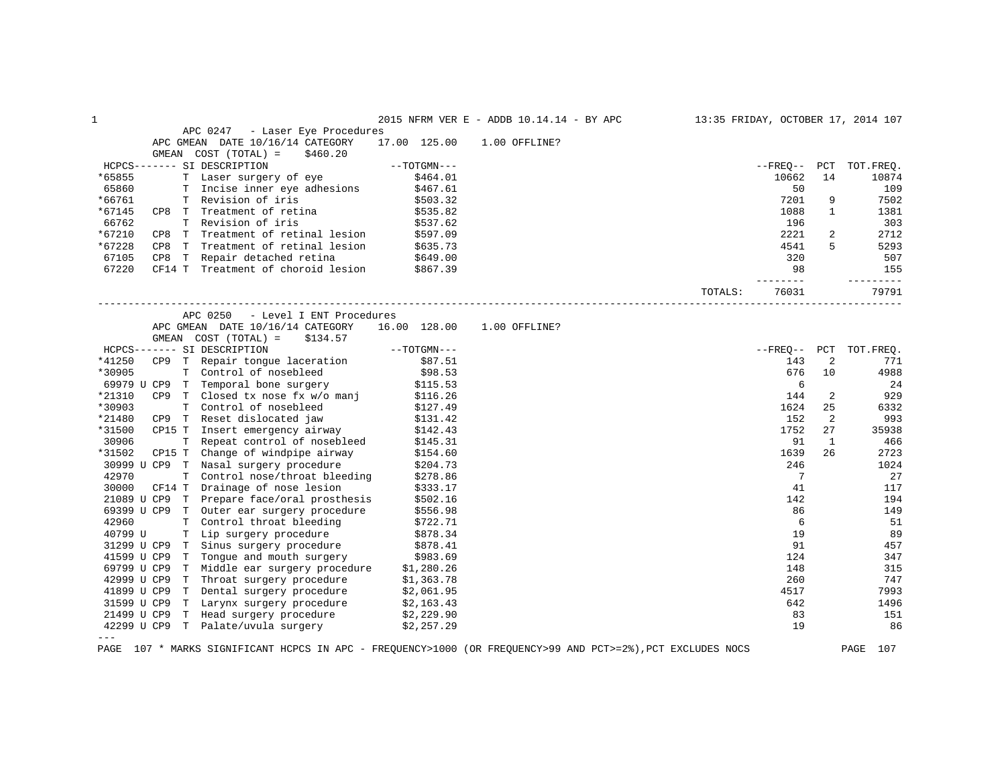| $\mathbf 1$ |     |                                                                                                        |               |                      | 2015 NFRM VER E - ADDB 10.14.14 - BY APC |         |                 |              | 13:35 FRIDAY, OCTOBER 17, 2014 107 |
|-------------|-----|--------------------------------------------------------------------------------------------------------|---------------|----------------------|------------------------------------------|---------|-----------------|--------------|------------------------------------|
|             |     | APC 0247 - Laser Eye Procedures                                                                        |               |                      |                                          |         |                 |              |                                    |
|             |     | APC GMEAN DATE 10/16/14 CATEGORY                                                                       | 17.00 125.00  |                      | 1.00 OFFLINE?                            |         |                 |              |                                    |
|             |     | GMEAN COST (TOTAL) =<br>\$460.20                                                                       |               |                      |                                          |         |                 |              |                                    |
|             |     | HCPCS------- SI DESCRIPTION                                                                            |               | $--TOTGMN---$        |                                          |         |                 |              | --FREQ-- PCT TOT.FREQ.             |
| *65855      |     | T Laser surgery of eye                                                                                 |               | \$464.01             |                                          |         | 10662           | 14           | 10874                              |
| 65860       |     | T Incise inner eye adhesions                                                                           |               | \$467.61             |                                          |         | 50              |              | 109                                |
| *66761      |     | T Revision of iris                                                                                     |               | \$503.32             |                                          |         | 7201            | 9            | 7502                               |
| *67145      |     | CP8 T Treatment of retina                                                                              |               | \$535.82             |                                          |         | 1088            | $\mathbf{1}$ | 1381                               |
| 66762       |     | T Revision of iris                                                                                     |               | \$537.62             |                                          |         | 196             |              | 303                                |
| *67210      |     | CP8 T Treatment of retinal lesion                                                                      |               | \$597.09             |                                          |         | 2221            | 2            | 2712                               |
| *67228      | CP8 | T Treatment of retinal lesion                                                                          |               | \$635.73             |                                          |         | 4541            | 5            | 5293                               |
| 67105       |     | CP8 T Repair detached retina $$649.00$                                                                 |               |                      |                                          |         | 320             |              | 507                                |
| 67220       |     | CF14 T Treatment of choroid lesion \$867.39                                                            |               |                      |                                          |         | 98              |              | 155                                |
|             |     |                                                                                                        |               |                      |                                          |         | --------        |              | ----------                         |
|             |     |                                                                                                        |               |                      |                                          | TOTALS: | 76031           |              | 79791                              |
|             |     | APC 0250 - Level I ENT Procedures                                                                      |               |                      |                                          |         |                 |              |                                    |
|             |     | APC GMEAN DATE 10/16/14 CATEGORY                                                                       | 16.00 128.00  |                      | 1.00 OFFLINE?                            |         |                 |              |                                    |
|             |     | GMEAN COST (TOTAL) =<br>\$134.57                                                                       |               |                      |                                          |         |                 |              |                                    |
|             |     | HCPCS------- SI DESCRIPTION                                                                            | $--TOTGMN---$ |                      |                                          |         |                 |              | --FREQ-- PCT TOT.FREQ.             |
| *41250      |     | CP9 T Repair tongue laceration                                                                         |               | \$87.51              |                                          |         | 143             | 2            | 771                                |
| *30905      |     | T Control of nosebleed                                                                                 |               | \$98.53              |                                          |         | 676             | 10           | 4988                               |
|             |     | 69979 U CP9 T Temporal bone surgery                                                                    |               | \$115.53             |                                          |         | 6               |              | 24                                 |
| *21310      |     | CP9 T Closed tx nose fx w/o manj                                                                       |               | \$116.26             |                                          |         | 144             | 2            | 929                                |
| *30903      |     | T Control of nosebleed                                                                                 |               | \$127.49             |                                          |         | 1624            | 25           | 6332                               |
| *21480      |     | CP9 T Reset dislocated jaw                                                                             |               | \$131.42<br>\$142.43 |                                          |         | 152             | 2            | 993                                |
| *31500      |     | CP15 T Insert emergency airway                                                                         |               | \$142.43             |                                          |         | 1752            | 27           | 35938                              |
| 30906       |     | T Repeat control of nosebleed                                                                          |               | \$145.31             |                                          |         | 91              | 1            | 466                                |
| *31502      |     | CP15 T Change of windpipe airway                                                                       |               | \$154.60             |                                          |         | 1639            | 26           | 2723                               |
|             |     | 30999 U CP9 T Nasal surgery procedure                                                                  |               | \$204.73             |                                          |         | 246             |              | 1024                               |
| 42970       |     | T Control nose/throat bleeding                                                                         |               | \$278.86             |                                          |         | $7\phantom{.0}$ |              | 27                                 |
| 30000       |     | CF14 T Drainage of nose lesion                                                                         |               | \$333.17             |                                          |         | 41              |              | 117                                |
|             |     | 21089 U CP9 T Prepare face/oral prosthesis                                                             |               | \$502.16             |                                          |         | 142             |              | 194                                |
|             |     | 69399 U CP9 T Outer ear surgery procedure                                                              |               | \$556.98             |                                          |         | 86              |              | 149                                |
| 42960       |     | T Control throat bleeding                                                                              |               | \$722.71             |                                          |         | 6               |              | 51                                 |
| 40799 U     |     | T Lip surgery procedure                                                                                |               | \$878.34             |                                          |         | 19              |              | 89                                 |
|             |     |                                                                                                        |               | \$878.41             |                                          |         | 91              |              | 457                                |
|             |     | 31299 U CP9 T Sinus surgery procedure<br>41599 U CP9 T Tongue and mouth surgery                        |               | \$983.69             |                                          |         | 124             |              | 347                                |
| 69799 U CP9 |     | T Middle ear surgery procedure \$1,280.26                                                              |               |                      |                                          |         | 148             |              | 315                                |
|             |     | 42999 U CP9 T Throat surgery procedure                                                                 | \$1,363.78    |                      |                                          |         | 260             |              | 747                                |
|             |     | 41899 U CP9 T Dental surgery procedure                                                                 | \$2,061.95    |                      |                                          |         | 4517            |              | 7993                               |
|             |     |                                                                                                        |               | \$2,163.43           |                                          |         | 642             |              | 1496                               |
|             |     | 31599 U CP9 T Larynx surgery procedure $$2,163.43$<br>21499 U CP9 T Head surgery procedure $$2,229.90$ |               |                      |                                          |         | 83              |              | 151                                |
|             |     | 42299 U CP9 T Palate/uvula surgery \$2,257.29                                                          |               |                      |                                          |         | 19              |              | 86                                 |
| $---$       |     |                                                                                                        |               |                      |                                          |         |                 |              |                                    |
|             |     |                                                                                                        |               |                      |                                          |         |                 |              |                                    |

PAGE 107 \* MARKS SIGNIFICANT HCPCS IN APC - FREQUENCY>1000 (OR FREQUENCY>99 AND PCT>=2%),PCT EXCLUDES NOCS PAGE 107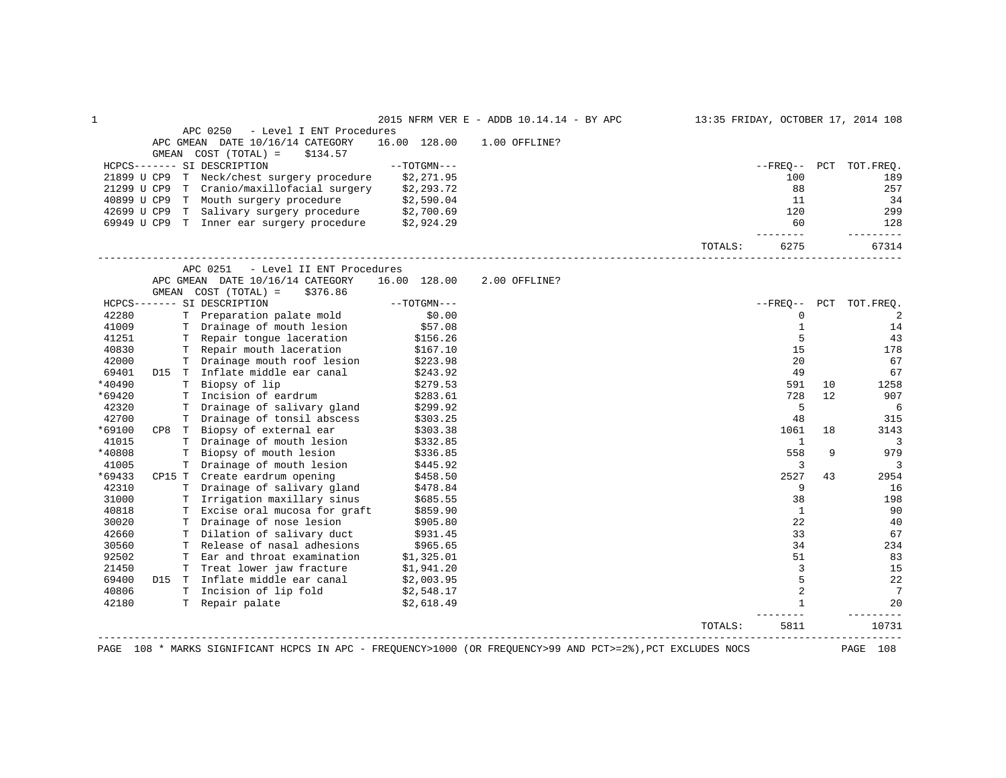| 1              |  |                                                                                                             |                                  | 2015 NFRM VER E - ADDB 10.14.14 - BY APC                                                                    |         |                        |    | 13:35 FRIDAY, OCTOBER 17, 2014 108 |
|----------------|--|-------------------------------------------------------------------------------------------------------------|----------------------------------|-------------------------------------------------------------------------------------------------------------|---------|------------------------|----|------------------------------------|
|                |  | APC 0250<br>- Level I ENT Procedures                                                                        |                                  |                                                                                                             |         |                        |    |                                    |
|                |  | APC GMEAN DATE 10/16/14 CATEGORY                                                                            | 16.00 128.00                     | 1.00 OFFLINE?                                                                                               |         |                        |    |                                    |
|                |  | GMEAN COST (TOTAL) =<br>\$134.57<br>HCPCS------- SI DESCRIPTION                                             | --TOTGMN---                      |                                                                                                             |         |                        |    | --FREO-- PCT TOT.FREO.             |
|                |  | 21899 U CP9 T Neck/chest surgery procedure                                                                  | \$2,271.95                       |                                                                                                             |         | 100                    |    | 189                                |
|                |  | 21299 U CP9 T Cranio/maxillofacial surgery \$2,293.72                                                       |                                  |                                                                                                             |         | 88                     |    | 257                                |
|                |  | 40899 U CP9 T Mouth surgery procedure \$2,590.04                                                            |                                  |                                                                                                             |         | 11                     |    | 34                                 |
|                |  |                                                                                                             |                                  |                                                                                                             |         | 120                    |    | 299                                |
|                |  | 42699 U CP9 T Salivary surgery procedure \$2,700.69<br>69949 U CP9 T Inner ear surgery procedure \$2,924.29 |                                  |                                                                                                             |         | 60                     |    | 128                                |
|                |  |                                                                                                             |                                  |                                                                                                             |         | $- - - - - -$          |    | .                                  |
|                |  |                                                                                                             |                                  |                                                                                                             | TOTALS: | 6275                   |    | 67314                              |
|                |  | APC 0251<br>- Level II ENT Procedures                                                                       |                                  |                                                                                                             |         |                        |    |                                    |
|                |  | APC GMEAN DATE 10/16/14 CATEGORY                                                                            | 16.00 128.00                     | 2.00 OFFLINE?                                                                                               |         |                        |    |                                    |
|                |  | GMEAN $COST (TOTAL) = $376.86$                                                                              |                                  |                                                                                                             |         |                        |    |                                    |
|                |  | HCPCS------- SI DESCRIPTION                                                                                 | $--TOTGMN---$                    |                                                                                                             |         |                        |    | --FREQ-- PCT TOT.FREQ.             |
| 42280          |  | T Preparation palate mold<br>T Drainage of mouth lesion                                                     | \$0.00                           |                                                                                                             |         | 0                      |    | 2                                  |
| 41009          |  |                                                                                                             | \$57.08                          |                                                                                                             |         | $\mathbf{1}$           |    | 14                                 |
| 41251          |  | T Repair tongue laceration                                                                                  | \$156.26                         |                                                                                                             |         | 5                      |    | 43                                 |
| 40830          |  | T Repair mouth laceration                                                                                   | \$167.10                         |                                                                                                             |         | 15                     |    | 178                                |
| 42000          |  | T Drainage mouth roof lesion \$223.98                                                                       |                                  |                                                                                                             |         | 20                     |    | 67                                 |
| 69401          |  | D15 T Inflate middle ear canal                                                                              | \$243.92                         |                                                                                                             |         | 49                     |    | 67                                 |
| *40490         |  | T Biopsy of lip                                                                                             | \$279.53                         |                                                                                                             |         | 591                    | 10 | 1258                               |
| *69420         |  | T Incision of eardrum                                                                                       | \$283.61                         |                                                                                                             |         | 728                    | 12 | 907                                |
| 42320<br>42700 |  | T Drainage of salivary gland<br>T Drainage of tonsil abscess                                                | \$299.92                         |                                                                                                             |         | 5                      |    | 6<br>315                           |
| *69100         |  | CP8 T Biopsy of external ear                                                                                | \$303.25                         |                                                                                                             |         | 48<br>1061             | 18 | 3143                               |
| 41015          |  | T Drainage of mouth lesion                                                                                  | \$303.38<br>\$332.85             |                                                                                                             |         | 1                      |    | 3                                  |
| *40808         |  | T Biopsy of mouth lesion                                                                                    | \$336.85                         |                                                                                                             |         | 558                    | 9  | 979                                |
| 41005          |  | T Drainage of mouth lesion                                                                                  | \$445.92                         |                                                                                                             |         | 3                      |    | 3                                  |
| *69433         |  | CP15 T Create eardrum opening                                                                               |                                  |                                                                                                             |         | 2527                   | 43 | 2954                               |
| 42310          |  | T Drainage of salivary gland                                                                                | \$458.50<br>\$478.84<br>\$478.84 |                                                                                                             |         | 9                      |    | 16                                 |
| 31000          |  | T Irrigation maxillary sinus                                                                                | \$685.55                         |                                                                                                             |         | 38                     |    | 198                                |
| 40818          |  | T Excise oral mucosa for graft                                                                              |                                  |                                                                                                             |         | $\mathbf{1}$           |    | 90                                 |
| 30020          |  | T Drainage of nose lesion                                                                                   | \$859.90<br>\$905.80             |                                                                                                             |         | 22                     |    | 40                                 |
| 42660          |  | T Dilation of salivary duct                                                                                 | \$931.45                         |                                                                                                             |         | 33                     |    | 67                                 |
| 30560          |  | T Release of nasal adhesions                                                                                | \$965.65                         |                                                                                                             |         | 34                     |    | 234                                |
| 92502          |  | T Ear and throat examination                                                                                |                                  |                                                                                                             |         | 51                     |    | 83                                 |
| 21450          |  | T Treat lower jaw fracture                                                                                  | \$1,325.01<br>\$1,941.20         |                                                                                                             |         | $\overline{3}$         |    | 15                                 |
| 69400          |  | D15 T Inflate middle ear canal \$2,003.95                                                                   |                                  |                                                                                                             |         | 5                      |    | 22                                 |
| 40806          |  | T Incision of lip fold \$2,548.17<br>T Repair palate \$2,618.49                                             |                                  |                                                                                                             |         | 2                      |    | $7\phantom{.0}$                    |
| 42180          |  |                                                                                                             |                                  |                                                                                                             |         | $\mathbf{1}$<br>------ |    | 20                                 |
|                |  |                                                                                                             |                                  |                                                                                                             | TOTALS: | 5811                   |    | 10731                              |
|                |  | _______________________________                                                                             |                                  | PAGE 108 * MARKS SIGNIFICANT HCPCS IN APC - FREQUENCY>1000 (OR FREQUENCY>99 AND PCT>=2%), PCT EXCLUDES NOCS |         |                        |    | PAGE 108                           |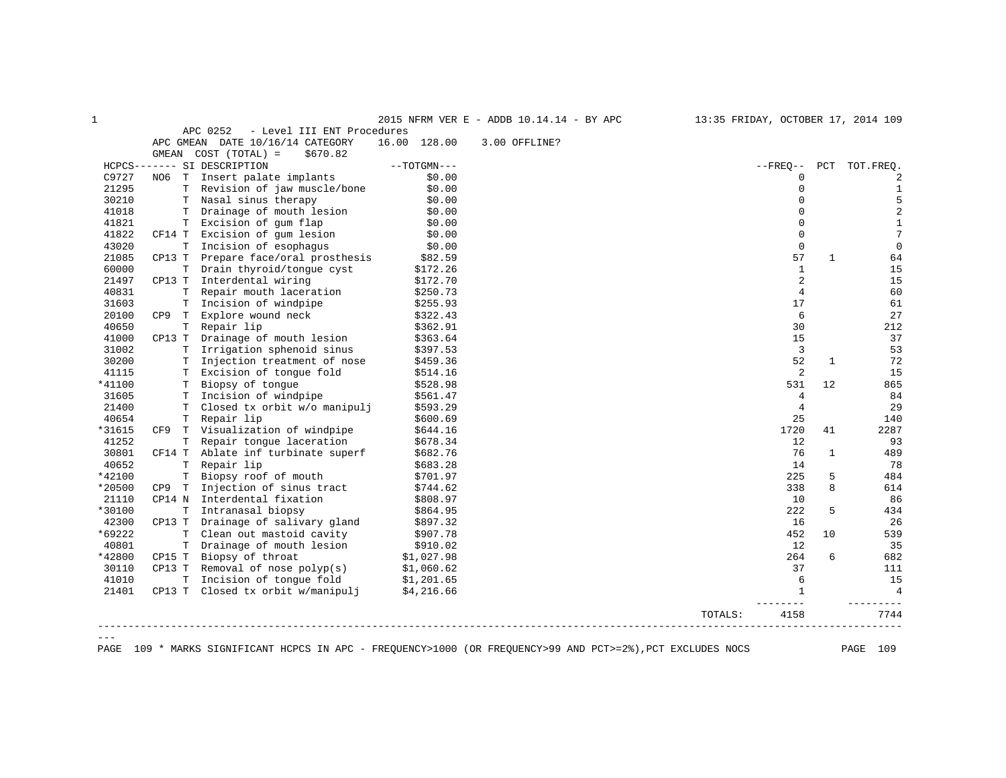|         |             |                                        |               | 2015 NFRM VER E - ADDB 10.14.14 - BY APC | 13:35 FRIDAY, OCTOBER 17, 2014 109 |                |     |                 |
|---------|-------------|----------------------------------------|---------------|------------------------------------------|------------------------------------|----------------|-----|-----------------|
|         |             | APC 0252<br>- Level III ENT Procedures |               |                                          |                                    |                |     |                 |
|         |             | APC GMEAN DATE 10/16/14 CATEGORY       | 16.00 128.00  | 3.00 OFFLINE?                            |                                    |                |     |                 |
|         |             | GMEAN COST (TOTAL) =<br>\$670.82       |               |                                          |                                    |                |     |                 |
|         |             | HCPCS------- SI DESCRIPTION            | $--TOTGMN---$ |                                          | $--$ FREO $--$                     |                | PCT | TOT.FREO.       |
| C9727   |             | NO6 T Insert palate implants           | \$0.00        |                                          |                                    | $\mathbf 0$    |     | 2               |
| 21295   |             | T Revision of jaw muscle/bone          | \$0.00        |                                          |                                    | $\mathbf 0$    |     | 1               |
| 30210   |             | T Nasal sinus therapy                  | \$0.00        |                                          |                                    | $\Omega$       |     | 5               |
| 41018   |             | T Drainage of mouth lesion             | \$0.00        |                                          |                                    | $\Omega$       |     | 2               |
| 41821   | T.          | Excision of gum flap                   | \$0.00        |                                          |                                    | $\mathbf 0$    |     | $\mathbf{1}$    |
| 41822   | CF14 T      | Excision of gum lesion                 | \$0.00        |                                          |                                    | $\mathbf 0$    |     | $7\phantom{.0}$ |
| 43020   | Т           | Incision of esophagus                  | \$0.00        |                                          |                                    | $\mathbf 0$    |     | $\mathbf 0$     |
| 21085   | CP13 T      | Prepare face/oral prosthesis           | \$82.59       |                                          |                                    | 57             | 1   | 64              |
| 60000   |             | T Drain thyroid/tongue cyst            | \$172.26      |                                          |                                    | $\mathbf{1}$   |     | 15              |
| 21497   | CP13 T      | Interdental wiring                     | \$172.70      |                                          |                                    | 2              |     | 15              |
| 40831   | $\mathbf T$ | Repair mouth laceration                | \$250.73      |                                          |                                    | 4              |     | 60              |
| 31603   | Т           | Incision of windpipe                   | \$255.93      |                                          |                                    | 17             |     | 61              |
| 20100   | CP9 T       | Explore wound neck                     | \$322.43      |                                          |                                    | 6              |     | 27              |
| 40650   | T           | Repair lip                             | \$362.91      |                                          |                                    | 30             |     | 212             |
| 41000   | CP13 T      | Drainage of mouth lesion               | \$363.64      |                                          |                                    | 15             |     | 37              |
| 31002   | T.          | Irrigation sphenoid sinus              | \$397.53      |                                          |                                    | 3              |     | 53              |
| 30200   |             | T Injection treatment of nose          | \$459.36      |                                          |                                    | 52             | 1   | 72              |
| 41115   |             | T Excision of tonque fold              | \$514.16      |                                          |                                    | 2              |     | 15              |
| *41100  |             | T Biopsy of tonque                     | \$528.98      |                                          |                                    | 531            | 12  | 865             |
| 31605   |             | T Incision of windpipe                 | \$561.47      |                                          |                                    | 4              |     | 84              |
| 21400   | Т           | Closed tx orbit w/o manipulj           | \$593.29      |                                          |                                    | $\overline{4}$ |     | 29              |
| 40654   |             | T Repair lip                           | \$600.69      |                                          |                                    | 25             |     | 140             |
| *31615  | CF9         | T Visualization of windpipe            | \$644.16      |                                          |                                    | 1720           | 41  | 2287            |
| 41252   | T.          | Repair tongue laceration               | \$678.34      |                                          |                                    | 12             |     | 93              |
| 30801   |             | CF14 T Ablate inf turbinate superf     | \$682.76      |                                          |                                    | 76             | 1   | 489             |
| 40652   | Т           | Repair lip                             | \$683.28      |                                          |                                    | 14             |     | 78              |
| *42100  | T.          | Biopsy roof of mouth                   | \$701.97      |                                          |                                    | 225            | 5   | 484             |
| *20500  | CP9<br>T    | Injection of sinus tract               | \$744.62      |                                          |                                    | 338            | 8   | 614             |
| 21110   | CP14 N      | Interdental fixation                   | \$808.97      |                                          |                                    | 10             |     | 86              |
| *30100  | $\mathbf T$ | Intranasal biopsy                      | \$864.95      |                                          |                                    | 222            | 5   | 434             |
| 42300   | CP13 T      | Drainage of salivary gland             | \$897.32      |                                          |                                    | 16             |     | 26              |
| *69222  | Т           | Clean out mastoid cavity               | \$907.78      |                                          |                                    | 452            | 10  | 539             |
| 40801   | $\mathbf T$ | Drainage of mouth lesion               | \$910.02      |                                          |                                    | 12             |     | 35              |
| *42800  | CP15 T      | Biopsy of throat                       | \$1,027.98    |                                          |                                    | 264            | 6   | 682             |
| 30110   | CP13 T      | Removal of nose $polyp(s)$             | \$1,060.62    |                                          |                                    | 37             |     | 111             |
| 41010   | $\mathbf T$ | Incision of tonque fold                | \$1,201.65    |                                          |                                    | 6              |     | 15              |
| 21401   |             | CP13 T Closed tx orbit w/manipulj      | \$4,216.66    |                                          |                                    | $\mathbf{1}$   |     | $\overline{4}$  |
|         |             |                                        |               |                                          | TOTALS:                            | 4158           |     | 7744            |
| $= - -$ |             |                                        |               |                                          |                                    |                |     |                 |

PAGE 109 \* MARKS SIGNIFICANT HCPCS IN APC - FREQUENCY>1000 (OR FREQUENCY>99 AND PCT>=2%),PCT EXCLUDES NOCS PAGE 109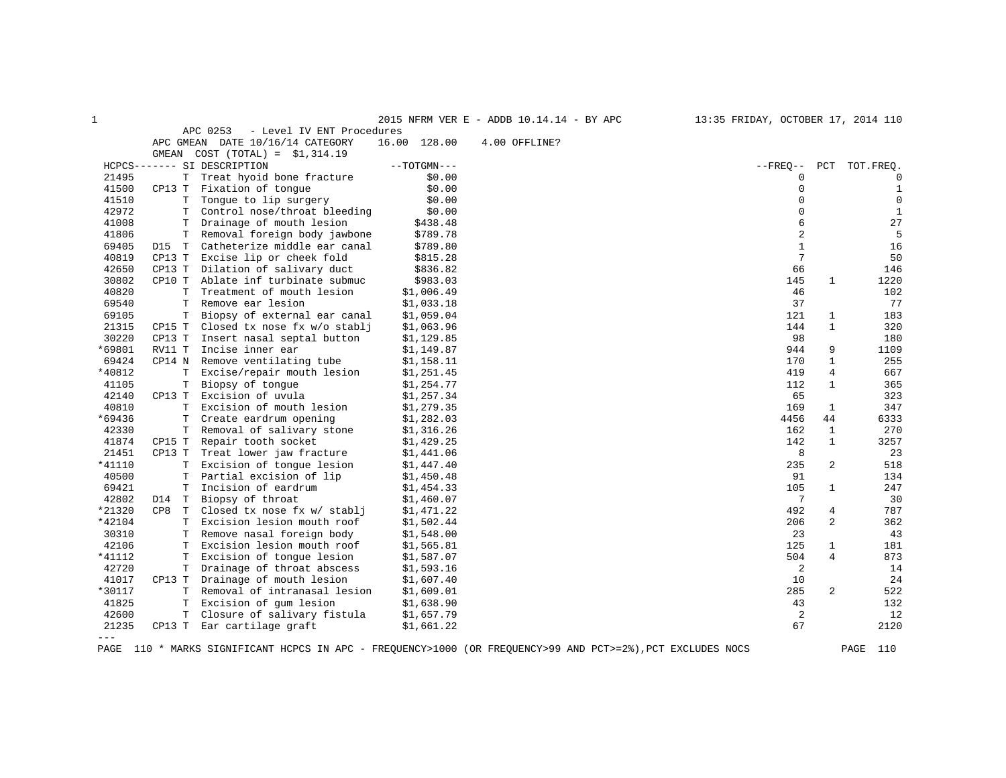| 1      |          |                                       |               | 2015 NFRM VER E - ADDB 10.14.14 - BY APC | 13:35 FRIDAY, OCTOBER 17, 2014 110 |                         |              |
|--------|----------|---------------------------------------|---------------|------------------------------------------|------------------------------------|-------------------------|--------------|
|        |          | APC 0253<br>- Level IV ENT Procedures |               |                                          |                                    |                         |              |
|        |          | APC GMEAN DATE 10/16/14 CATEGORY      | 16.00 128.00  | 4.00 OFFLINE?                            |                                    |                         |              |
|        |          | GMEAN $COST (TOTAL) = $1,314.19$      |               |                                          |                                    |                         |              |
|        |          | HCPCS------- SI DESCRIPTION           | $--TOTGMN---$ |                                          | $--$ FREO $--$                     | PCT                     | TOT.FREO.    |
| 21495  | T        | Treat hyoid bone fracture             | \$0.00        |                                          | 0                                  |                         | 0            |
| 41500  | CP13 T   | Fixation of tongue                    | \$0.00        |                                          | 0                                  |                         | $\mathbf{1}$ |
| 41510  | T        | Tongue to lip surgery                 | \$0.00        |                                          | $\Omega$                           |                         | $\mathbf 0$  |
| 42972  | т        | Control nose/throat bleeding          | \$0.00        |                                          | 0                                  |                         | $\mathbf{1}$ |
| 41008  | т        | Drainage of mouth lesion              | \$438.48      |                                          | 6                                  |                         | 27           |
| 41806  | T        | Removal foreign body jawbone          | \$789.78      |                                          | $\overline{c}$                     |                         | 5            |
| 69405  | D15 T    | Catheterize middle ear canal          | \$789.80      |                                          | $\mathbf{1}$                       |                         | 16           |
| 40819  | CP13 T   | Excise lip or cheek fold              | \$815.28      |                                          | 7                                  |                         | 50           |
| 42650  | CP13 T   | Dilation of salivary duct             | \$836.82      |                                          | 66                                 |                         | 146          |
| 30802  | CP10 T   | Ablate inf turbinate submuc           | \$983.03      |                                          | 145                                | 1                       | 1220         |
| 40820  | T        | Treatment of mouth lesion             | \$1,006.49    |                                          | 46                                 |                         | 102          |
| 69540  | T        | Remove ear lesion                     | \$1,033.18    |                                          | 37                                 |                         | 77           |
| 69105  | Т        | Biopsy of external ear canal          | \$1,059.04    |                                          | 121                                | 1                       | 183          |
| 21315  | CP15 T   | Closed tx nose fx w/o stablj          | \$1,063.96    |                                          | 144                                | $\mathbf{1}$            | 320          |
| 30220  | CP13 T   | Insert nasal septal button            | \$1,129.85    |                                          | 98                                 |                         | 180          |
| *69801 | RV11 T   | Incise inner ear                      | \$1,149.87    |                                          | 944                                | 9                       | 1109         |
| 69424  | CP14 N   | Remove ventilating tube               | \$1,158.11    |                                          | 170                                | $\mathbf{1}$            | 255          |
| *40812 | T        | Excise/repair mouth lesion            | \$1,251.45    |                                          | 419                                | 4                       | 667          |
| 41105  | T.       | Biopsy of tonque                      | \$1,254.77    |                                          | 112                                | $\mathbf{1}$            | 365          |
| 42140  | CP13 T   | Excision of uvula                     | \$1,257.34    |                                          | 65                                 |                         | 323          |
| 40810  | Т        | Excision of mouth lesion              | \$1,279.35    |                                          | 169                                | 1                       | 347          |
| *69436 | T        | Create eardrum opening                | \$1,282.03    |                                          | 4456                               | 44                      | 6333         |
| 42330  | T        | Removal of salivary stone             | \$1,316.26    |                                          | 162                                | 1                       | 270          |
| 41874  | CP15 T   | Repair tooth socket                   | \$1,429.25    |                                          | 142                                | $\mathbf{1}$            | 3257         |
| 21451  | CP13 T   | Treat lower jaw fracture              | \$1,441.06    |                                          | 8                                  |                         | 23           |
| *41110 | т        | Excision of tonque lesion             | \$1,447.40    |                                          | 235                                | $\overline{\mathbf{c}}$ | 518          |
| 40500  | Т        | Partial excision of lip               | \$1,450.48    |                                          | 91                                 |                         | 134          |
| 69421  | Т        | Incision of eardrum                   | \$1,454.33    |                                          | 105                                | $\mathbf{1}$            | 247          |
| 42802  | D14 T    | Biopsy of throat                      | \$1,460.07    |                                          | $7\phantom{.0}$                    |                         | 30           |
| *21320 | CP8<br>T | Closed tx nose fx w/ stablj           | \$1,471.22    |                                          | 492                                | 4                       | 787          |
| *42104 | T.       | Excision lesion mouth roof            | \$1,502.44    |                                          | 206                                | 2                       | 362          |
| 30310  | Т        | Remove nasal foreign body             | \$1,548.00    |                                          | 23                                 |                         | 43           |
| 42106  | т        | Excision lesion mouth roof            | \$1,565.81    |                                          | 125                                | 1                       | 181          |
| *41112 | T        | Excision of tongue lesion             | \$1,587.07    |                                          | 504                                | 4                       | 873          |
| 42720  | т        | Drainage of throat abscess            | \$1,593.16    |                                          | 2                                  |                         | 14           |
| 41017  | CP13 T   | Drainage of mouth lesion              | \$1,607.40    |                                          | 10                                 |                         | 24           |
| *30117 | т        | Removal of intranasal lesion          | \$1,609.01    |                                          | 285                                | 2                       | 522          |
| 41825  | Т        | Excision of gum lesion                | \$1,638.90    |                                          | 43                                 |                         | 132          |
| 42600  | T        | Closure of salivary fistula           | \$1,657.79    |                                          | 2                                  |                         | 12           |
| 21235  | CP13 T   | Ear cartilage graft                   | \$1,661.22    |                                          | 67                                 |                         | 2120         |
| $---$  |          |                                       |               |                                          |                                    |                         |              |
|        |          |                                       |               |                                          |                                    |                         |              |

PAGE 110 \* MARKS SIGNIFICANT HCPCS IN APC - FREQUENCY>1000 (OR FREQUENCY>99 AND PCT>=2%),PCT EXCLUDES NOCS PAGE 110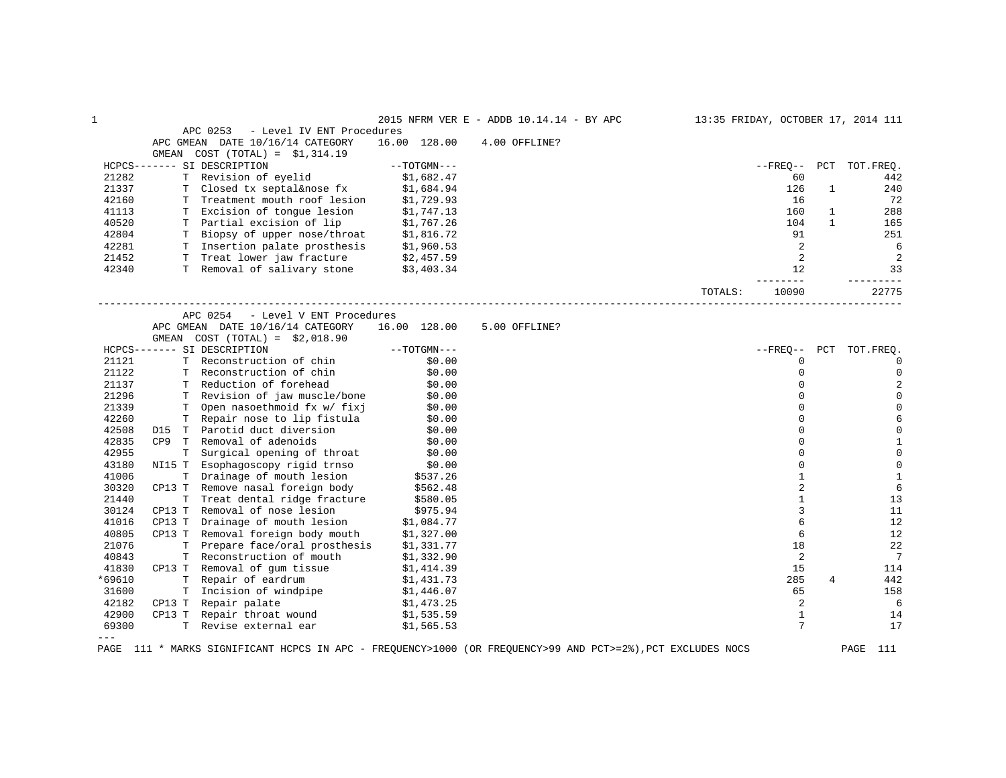| $1\,$          |        |                                        |            |                  | 2015 NFRM VER E - ADDB 10.14.14 - BY APC |         |                |              | 13:35 FRIDAY, OCTOBER 17, 2014 111 |
|----------------|--------|----------------------------------------|------------|------------------|------------------------------------------|---------|----------------|--------------|------------------------------------|
|                |        | APC 0253<br>- Level IV ENT Procedures  |            |                  |                                          |         |                |              |                                    |
|                |        | APC GMEAN DATE 10/16/14 CATEGORY       |            | 16.00 128.00     | 4.00 OFFLINE?                            |         |                |              |                                    |
|                |        | GMEAN COST $(TOTAL) = $1,314.19$       |            |                  |                                          |         |                |              |                                    |
|                |        | HCPCS------- SI DESCRIPTION            |            | $--TOTGMN---$    |                                          |         |                |              | --FREQ-- PCT TOT.FREQ.             |
| 21282          |        | T Revision of eyelid                   |            | \$1,682.47       |                                          |         | 60             |              | 442                                |
| 21337          | T.     | Closed tx septal&nose fx               |            | \$1,684.94       |                                          |         | 126            | $\mathbf{1}$ | 240                                |
| 42160          |        | T Treatment mouth roof lesion          |            | \$1,729.93       |                                          |         | 16             |              | 72                                 |
| 41113          |        | T Excision of tonque lesion            |            | \$1,747.13       |                                          |         | 160            | $\mathbf{1}$ | 288                                |
| 40520          |        | T Partial excision of lip              |            | \$1,767.26       |                                          |         | 104            | $\mathbf{1}$ | 165                                |
| 42804          |        | T Biopsy of upper nose/throat          | \$1,816.72 |                  |                                          |         | 91             |              | 251                                |
| 42281          |        | T Insertion palate prosthesis          | \$1,960.53 |                  |                                          |         | 2              |              | 6                                  |
| 21452          |        | T Treat lower jaw fracture \$2,457.59  |            |                  |                                          |         | 2              |              | 2                                  |
| 42340          |        | T Removal of salivary stone \$3,403.34 |            |                  |                                          |         | 12             |              | 33                                 |
|                |        |                                        |            |                  |                                          |         | -------        |              | _________                          |
|                |        |                                        |            |                  |                                          | TOTALS: | 10090          |              | 22775                              |
|                |        | - Level V ENT Procedures<br>APC 0254   |            |                  |                                          |         |                |              |                                    |
|                |        | APC GMEAN DATE 10/16/14 CATEGORY       |            | 16.00 128.00     | 5.00 OFFLINE?                            |         |                |              |                                    |
|                |        | GMEAN $COST (TOTAL) = $2,018.90$       |            |                  |                                          |         |                |              |                                    |
|                |        | HCPCS------- SI DESCRIPTION            |            | $--TOTGMN---$    |                                          |         | $- FREO--$     |              | PCT TOT. FREQ.                     |
| 21121          |        | T Reconstruction of chin               |            | \$0.00           |                                          |         | 0              |              | $\mathbf 0$                        |
| 21122          |        | T Reconstruction of chin               |            | \$0.00           |                                          |         | $\Omega$       |              | $\mathsf 0$                        |
| 21137          |        | T Reduction of forehead                |            | \$0.00           |                                          |         | $\Omega$       |              | $\overline{2}$                     |
| 21296          |        | T Revision of jaw muscle/bone          |            | \$0.00           |                                          |         | $\Omega$       |              | $\mathbb O$                        |
| 21339          |        | T Open nasoethmoid fx w/ fixj          |            | \$0.00           |                                          |         | $\Omega$       |              | $\mathbf 0$                        |
| 42260          |        | T Repair nose to lip fistula           |            | \$0.00           |                                          |         | $\Omega$       |              | 6                                  |
| 42508          |        | D15 T Parotid duct diversion           |            | \$0.00           |                                          |         | $\Omega$       |              | $\mathbb O$                        |
| 42835          |        | CP9 T Removal of adenoids              |            |                  |                                          |         | $\Omega$       |              | $\,1\,$                            |
| 42955          |        | T Surgical opening of throat           |            | \$0.00<br>\$0.00 |                                          |         | $\Omega$       |              | $\mathbf 0$                        |
| 43180          |        | NI15 T Esophagoscopy rigid trnso       |            |                  |                                          |         | $\Omega$       |              | $\mathbb O$                        |
|                |        |                                        |            | \$0.00           |                                          |         | $\mathbf{1}$   |              | $\mathbf{1}$                       |
| 41006<br>30320 |        | T Drainage of mouth lesion             |            | \$537.26         |                                          |         |                |              | $6\,$                              |
|                |        | CP13 T Remove nasal foreign body       |            | \$562.48         |                                          |         | $\overline{c}$ |              |                                    |
| 21440          |        | T Treat dental ridge fracture          |            | \$580.05         |                                          |         | $\mathbf{1}$   |              | 13                                 |
| 30124          | CP13 T | Removal of nose lesion                 |            | \$975.94         |                                          |         | 3              |              | 11                                 |
| 41016          | CP13 T | Drainage of mouth lesion               |            | \$1,084.77       |                                          |         | 6              |              | 12                                 |
| 40805          | CP13 T | Removal foreign body mouth             |            | \$1,327.00       |                                          |         | 6              |              | 12                                 |
| 21076          | T.     | Prepare face/oral prosthesis           |            | \$1,331.77       |                                          |         | 18             |              | 22                                 |
| 40843          |        | T Reconstruction of mouth              |            | \$1,332.90       |                                          |         | 2              |              | $7\phantom{.0}$                    |
| 41830          |        | CP13 T Removal of gum tissue           |            | \$1,414.39       |                                          |         | 15             |              | 114                                |
| *69610         |        | T Repair of eardrum                    |            | \$1,431.73       |                                          |         | 285            | 4            | 442                                |
| 31600          |        | T Incision of windpipe                 |            | \$1,446.07       |                                          |         | 65             |              | 158                                |
| 42182          | CP13 T | Repair palate                          |            | \$1,473.25       |                                          |         | 2              |              | 6                                  |
| 42900          | CP13 T | Repair throat wound                    |            | \$1,535.59       |                                          |         | $\mathbf{1}$   |              | 14                                 |
| 69300          |        | T Revise external ear                  |            | \$1,565.53       |                                          |         | 7              |              | 17                                 |
| $---$          |        |                                        |            |                  |                                          |         |                |              |                                    |

PAGE 111 \* MARKS SIGNIFICANT HCPCS IN APC - FREQUENCY>1000 (OR FREQUENCY>99 AND PCT>=2%),PCT EXCLUDES NOCS PAGE 111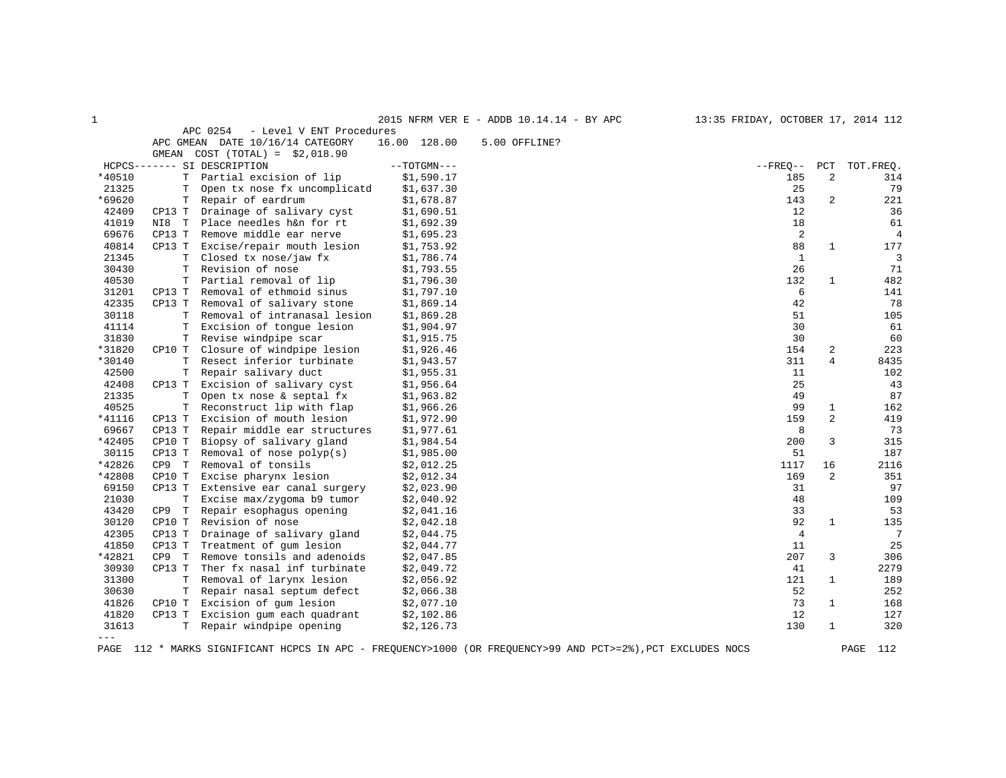| 1      |             |                                      |               | 2015 NFRM VER E - ADDB 10.14.14 - BY APC | 13:35 FRIDAY, OCTOBER 17, 2014 112 |                |                |
|--------|-------------|--------------------------------------|---------------|------------------------------------------|------------------------------------|----------------|----------------|
|        |             | APC 0254<br>- Level V ENT Procedures |               |                                          |                                    |                |                |
|        |             | APC GMEAN DATE 10/16/14 CATEGORY     | 16.00 128.00  | 5.00 OFFLINE?                            |                                    |                |                |
|        | GMEAN       | $COST (TOTAL) = $2,018.90$           |               |                                          |                                    |                |                |
|        |             | HCPCS------- SI DESCRIPTION          | $--TOTGMN---$ |                                          | $- FREQ--$                         | PCT            | TOT.FREQ.      |
| *40510 |             | T Partial excision of lip            | \$1,590.17    |                                          | 185                                | $\overline{c}$ | 314            |
| 21325  | Т           | Open tx nose fx uncomplicatd         | \$1,637.30    |                                          | 25                                 |                | 79             |
| *69620 | Т           | Repair of eardrum                    | \$1,678.87    |                                          | 143                                | $\overline{c}$ | 221            |
| 42409  | CP13 T      | Drainage of salivary cyst            | \$1,690.51    |                                          | 12                                 |                | 36             |
| 41019  | NI8 T       | Place needles h&n for rt             | \$1,692.39    |                                          | 18                                 |                | 61             |
| 69676  | CP13 T      | Remove middle ear nerve              | \$1,695.23    |                                          | 2                                  |                | $\overline{4}$ |
| 40814  | CP13 T      | Excise/repair mouth lesion           | \$1,753.92    |                                          | 88                                 | $\mathbf{1}$   | 177            |
| 21345  | $\mathbf T$ | Closed tx nose/jaw fx                | \$1,786.74    |                                          | $\mathbf{1}$                       |                | $\overline{3}$ |
| 30430  | $\mathbf T$ | Revision of nose                     | \$1,793.55    |                                          | 26                                 |                | 71             |
| 40530  | T           | Partial removal of lip               | \$1,796.30    |                                          | 132                                | $\mathbf{1}$   | 482            |
| 31201  | CP13 T      | Removal of ethmoid sinus             | \$1,797.10    |                                          | 6                                  |                | 141            |
| 42335  | CP13 T      | Removal of salivary stone            | \$1,869.14    |                                          | 42                                 |                | 78             |
| 30118  | т           | Removal of intranasal lesion         | \$1,869.28    |                                          | 51                                 |                | 105            |
| 41114  | T           | Excision of tonque lesion            | \$1,904.97    |                                          | 30                                 |                | 61             |
| 31830  | Т           | Revise windpipe scar                 | \$1,915.75    |                                          | 30                                 |                | 60             |
| *31820 | CP10 T      | Closure of windpipe lesion           | \$1,926.46    |                                          | 154                                | $\overline{c}$ | 223            |
| *30140 | $\mathbf T$ | Resect inferior turbinate            | \$1,943.57    |                                          | 311                                | $\overline{4}$ | 8435           |
| 42500  | т           | Repair salivary duct                 | \$1,955.31    |                                          | 11                                 |                | 102            |
| 42408  | CP13 T      | Excision of salivary cyst            | \$1,956.64    |                                          | 25                                 |                | 43             |
| 21335  | Т           | Open tx nose & septal fx             | \$1,963.82    |                                          | 49                                 |                | 87             |
| 40525  | T           | Reconstruct lip with flap            | \$1,966.26    |                                          | 99                                 | $\mathbf{1}$   | 162            |
| *41116 | CP13 T      | Excision of mouth lesion             | \$1,972.90    |                                          | 159                                | $\overline{a}$ | 419            |
| 69667  | CP13 T      | Repair middle ear structures         | \$1,977.61    |                                          | 8                                  |                | 73             |
| *42405 | CP10 T      | Biopsy of salivary gland             | \$1,984.54    |                                          | 200                                | 3              | 315            |
| 30115  | CP13 T      | Removal of nose $polyp(s)$           | \$1,985.00    |                                          | 51                                 |                | 187            |
| *42826 | CP9 T       | Removal of tonsils                   | \$2,012.25    |                                          | 1117                               | 16             | 2116           |
| *42808 | CP10 T      | Excise pharynx lesion                | \$2,012.34    |                                          | 169                                | 2              | 351            |
| 69150  | CP13 T      | Extensive ear canal surgery          | \$2,023.90    |                                          | 31                                 |                | 97             |
| 21030  | T           | Excise max/zygoma b9 tumor           | \$2,040.92    |                                          | 48                                 |                | 109            |
| 43420  | T<br>CP9    | Repair esophagus opening             | \$2,041.16    |                                          | 33                                 |                | 53             |
| 30120  | CP10 T      | Revision of nose                     | \$2,042.18    |                                          | 92                                 | $\mathbf{1}$   | 135            |
| 42305  | CP13 T      | Drainage of salivary gland           | \$2,044.75    |                                          | $\overline{4}$                     |                | 7              |
| 41850  | CP13 T      | Treatment of gum lesion              | \$2,044.77    |                                          | 11                                 |                | 25             |
| *42821 | CP9 T       | Remove tonsils and adenoids          | \$2,047.85    |                                          | 207                                | 3              | 306            |
| 30930  | CP13 T      | Ther fx nasal inf turbinate          | \$2,049.72    |                                          | 41                                 |                | 2279           |
| 31300  | $\mathbf T$ | Removal of larynx lesion             | \$2,056.92    |                                          | 121                                | $\mathbf{1}$   | 189            |
| 30630  | T           | Repair nasal septum defect           | \$2,066.38    |                                          | 52                                 |                | 252            |
| 41826  | CP10 T      | Excision of gum lesion               | \$2,077.10    |                                          | 73                                 | $\mathbf{1}$   | 168            |
| 41820  | CP13 T      | Excision gum each quadrant           | \$2,102.86    |                                          | 12                                 |                | 127            |
| 31613  | T.          | Repair windpipe opening              | \$2,126.73    |                                          | 130                                | $\mathbf{1}$   | 320            |
| $---$  |             |                                      |               |                                          |                                    |                |                |

PAGE 112 \* MARKS SIGNIFICANT HCPCS IN APC - FREQUENCY>1000 (OR FREQUENCY>99 AND PCT>=2%),PCT EXCLUDES NOCS PAGE 112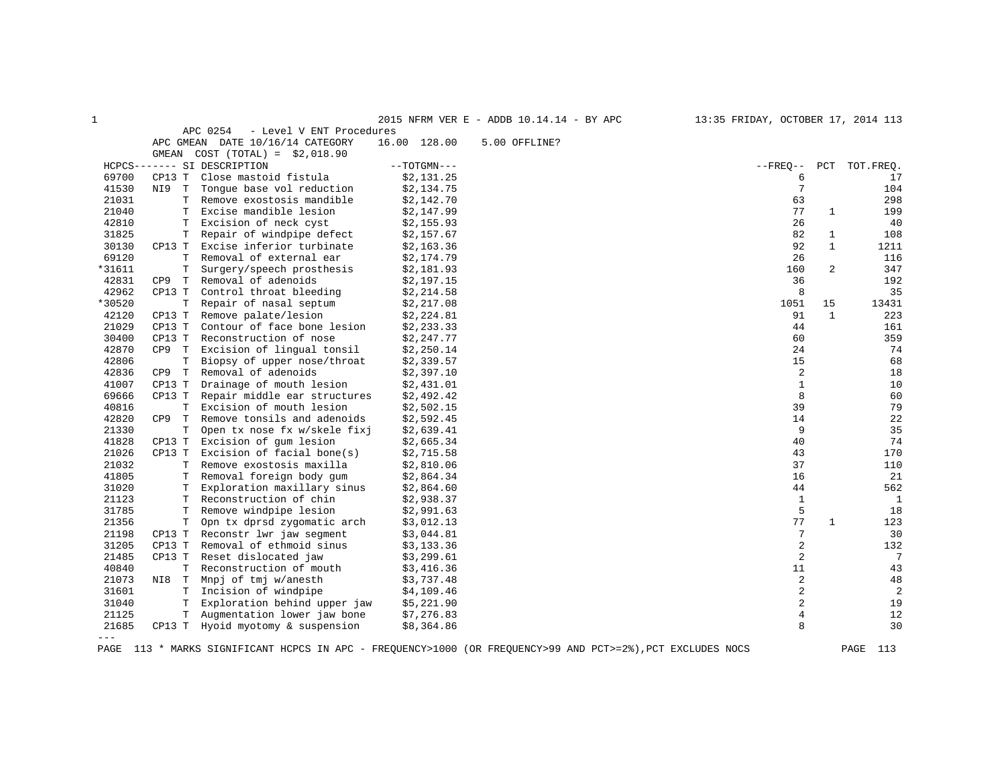| 1      |                                |                                      |               | 2015 NFRM VER E - ADDB 10.14.14 - BY APC | 13:35 FRIDAY, OCTOBER 17, 2014 113 |                |                 |
|--------|--------------------------------|--------------------------------------|---------------|------------------------------------------|------------------------------------|----------------|-----------------|
|        |                                | APC 0254<br>- Level V ENT Procedures |               |                                          |                                    |                |                 |
|        |                                | APC GMEAN DATE 10/16/14 CATEGORY     | 16.00 128.00  | 5.00 OFFLINE?                            |                                    |                |                 |
|        |                                | GMEAN $COST (TOTAL) = $2,018.90$     |               |                                          |                                    |                |                 |
|        |                                | HCPCS------- SI DESCRIPTION          | $--TOTGMN---$ |                                          | $--$ FREO $--$                     | PCT            | TOT.FREO.       |
| 69700  | CP13 T                         | Close mastoid fistula                | \$2,131.25    |                                          | 6                                  |                | 17              |
| 41530  | NI9 T                          | Tongue base vol reduction            | \$2,134.75    |                                          | 7                                  |                | 104             |
| 21031  | T                              | Remove exostosis mandible            | \$2,142.70    |                                          | 63                                 |                | 298             |
| 21040  | Т                              | Excise mandible lesion               | \$2,147.99    |                                          | 77                                 | $\mathbf{1}$   | 199             |
| 42810  | Т                              | Excision of neck cyst                | \$2,155.93    |                                          | 26                                 |                | 40              |
| 31825  | Т                              | Repair of windpipe defect            | \$2,157.67    |                                          | 82                                 | $\mathbf{1}$   | 108             |
| 30130  | CP13 T                         | Excise inferior turbinate            | \$2,163.36    |                                          | 92                                 | $\mathbf{1}$   | 1211            |
| 69120  | т                              | Removal of external ear              | \$2,174.79    |                                          | 26                                 |                | 116             |
| *31611 | Т                              | Surgery/speech prosthesis            | \$2,181.93    |                                          | 160                                | $\overline{c}$ | 347             |
| 42831  | CP9<br>T                       | Removal of adenoids                  | \$2,197.15    |                                          | 36                                 |                | 192             |
| 42962  | CP13 T                         | Control throat bleeding              | \$2,214.58    |                                          | 8                                  |                | 35              |
| *30520 | T                              | Repair of nasal septum               | \$2,217.08    |                                          | 1051                               | 15             | 13431           |
| 42120  | CP13 T                         | Remove palate/lesion                 | \$2,224.81    |                                          | 91                                 | $\mathbf{1}$   | 223             |
| 21029  | CP13 T                         | Contour of face bone lesion          | \$2,233.33    |                                          | 44                                 |                | 161             |
| 30400  | CP13 T                         | Reconstruction of nose               | \$2,247.77    |                                          | 60                                 |                | 359             |
| 42870  | CP9 T                          | Excision of lingual tonsil           | \$2,250.14    |                                          | 24                                 |                | 74              |
| 42806  | Т                              | Biopsy of upper nose/throat          | \$2,339.57    |                                          | 15                                 |                | 68              |
| 42836  | CP9<br>$\mathbb T$             | Removal of adenoids                  | \$2,397.10    |                                          | 2                                  |                | 18              |
| 41007  | CP13 T                         | Drainage of mouth lesion             | \$2,431.01    |                                          | 1                                  |                | 10              |
| 69666  | CP13 T                         | Repair middle ear structures         | \$2,492.42    |                                          | 8                                  |                | 60              |
| 40816  | Т                              | Excision of mouth lesion             | \$2,502.15    |                                          | 39                                 |                | 79              |
| 42820  | CP <sub>9</sub><br>$\mathbf T$ | Remove tonsils and adenoids          | \$2,592.45    |                                          | 14                                 |                | 22              |
| 21330  | T                              | Open tx nose fx w/skele fixj         | \$2,639.41    |                                          | 9                                  |                | 35              |
| 41828  | CP13 T                         | Excision of gum lesion               | \$2,665.34    |                                          | 40                                 |                | 74              |
| 21026  | CP13 T                         | Excision of facial bone(s)           | \$2,715.58    |                                          | 43                                 |                | 170             |
| 21032  | т                              | Remove exostosis maxilla             | \$2,810.06    |                                          | 37                                 |                | 110             |
| 41805  | т                              | Removal foreign body gum             | \$2,864.34    |                                          | 16                                 |                | 21              |
| 31020  | T                              | Exploration maxillary sinus          | \$2,864.60    |                                          | 44                                 |                | 562             |
| 21123  | T                              | Reconstruction of chin               | \$2,938.37    |                                          | 1                                  |                | $\mathbf{1}$    |
| 31785  | T                              | Remove windpipe lesion               | \$2,991.63    |                                          | 5                                  |                | 18              |
| 21356  | T                              | Opn tx dprsd zygomatic arch          | \$3,012.13    |                                          | 77                                 | 1              | 123             |
| 21198  | CP13 T                         | Reconstr lwr jaw segment             | \$3,044.81    |                                          | 7                                  |                | 30              |
| 31205  | CP13 T                         | Removal of ethmoid sinus             | \$3,133.36    |                                          | 2                                  |                | 132             |
| 21485  | CP13 T                         | Reset dislocated jaw                 | \$3,299.61    |                                          | $\overline{c}$                     |                | $7\phantom{.0}$ |
| 40840  | T.                             | Reconstruction of mouth              | \$3,416.36    |                                          | 11                                 |                | 43              |
| 21073  | NI8<br>$\mathbb T$             | Mnpj of tmj w/anesth                 | \$3,737.48    |                                          | $\overline{c}$                     |                | 48              |
| 31601  | т                              | Incision of windpipe                 | \$4,109.46    |                                          | $\overline{c}$                     |                | $\overline{c}$  |
| 31040  | Т                              | Exploration behind upper jaw         | \$5,221.90    |                                          | 2                                  |                | 19              |
| 21125  | T                              | Augmentation lower jaw bone          | \$7,276.83    |                                          | 4                                  |                | 12              |
| 21685  | CP13 T                         | Hyoid myotomy & suspension           | \$8,364.86    |                                          | 8                                  |                | 30              |
| $---$  |                                |                                      |               |                                          |                                    |                |                 |

PAGE 113 \* MARKS SIGNIFICANT HCPCS IN APC - FREQUENCY>1000 (OR FREQUENCY>99 AND PCT>=2%),PCT EXCLUDES NOCS PAGE 113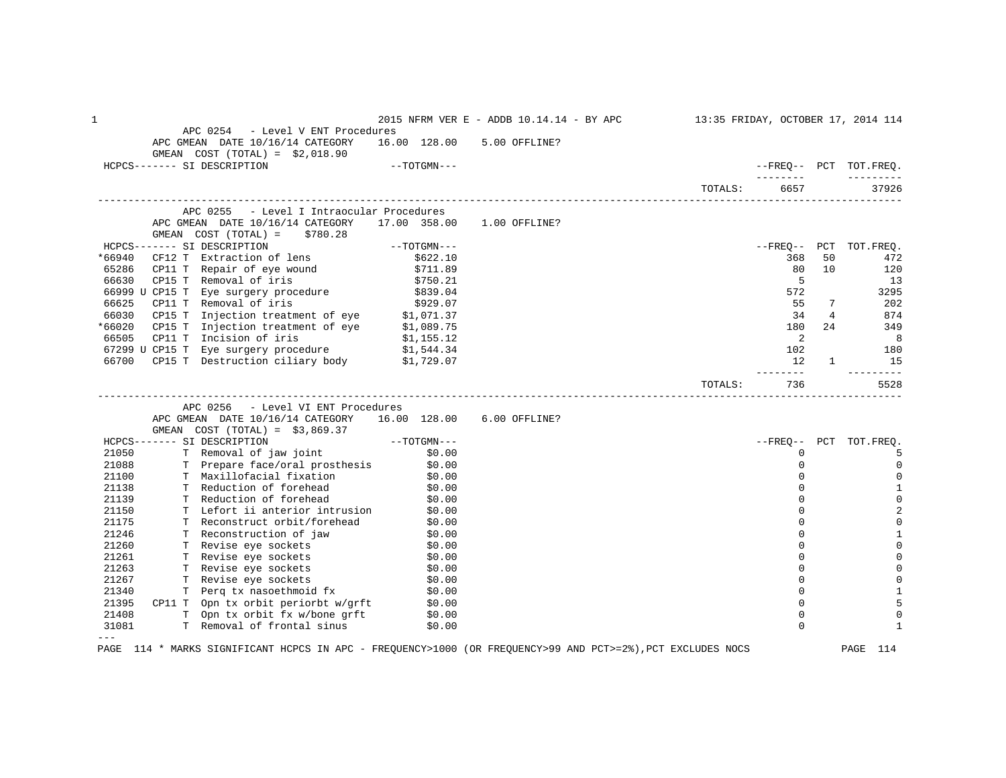| 1              |                                                                                                                                                                                                                               |                    | 2015 NFRM VER E - ADDB 10.14.14 - BY APC 13:35 FRIDAY, OCTOBER 17, 2014 114 |         |                |                |                               |
|----------------|-------------------------------------------------------------------------------------------------------------------------------------------------------------------------------------------------------------------------------|--------------------|-----------------------------------------------------------------------------|---------|----------------|----------------|-------------------------------|
|                | APC 0254 - Level V ENT Procedures                                                                                                                                                                                             |                    |                                                                             |         |                |                |                               |
|                | APC GMEAN DATE 10/16/14 CATEGORY 16.00 128.00 5.00 OFFLINE?                                                                                                                                                                   |                    |                                                                             |         |                |                |                               |
|                | GMEAN $COST (TOTAL) = $2,018.90$<br>HCPCS------- SI DESCRIPTION                                                                                                                                                               | $--TOTGMN---$      |                                                                             |         |                |                | --FREO-- PCT TOT.FREO.        |
|                |                                                                                                                                                                                                                               |                    |                                                                             |         | _________      |                |                               |
|                |                                                                                                                                                                                                                               |                    |                                                                             | TOTALS: | 6657           |                | 37926                         |
|                | APC 0255 - Level I Intraocular Procedures                                                                                                                                                                                     |                    |                                                                             |         |                |                |                               |
|                | APC GMEAN DATE 10/16/14 CATEGORY 17.00 358.00 1.00 OFFLINE?                                                                                                                                                                   |                    |                                                                             |         |                |                |                               |
|                | GMEAN $COST (TOTAL) = $780.28$                                                                                                                                                                                                |                    |                                                                             |         |                |                |                               |
|                | HCPCS------- SI DESCRIPTION                                                                                                                                                                                                   | $--TOTGMN---$      |                                                                             |         |                |                | --FREQ-- PCT TOT.FREQ.        |
| $*66940$       | CF12 T Extraction of lens $$622.10$                                                                                                                                                                                           |                    |                                                                             |         | 368            | 50             | 472                           |
| 65286          | CP11 T Repair of eye wound (\$711.89)<br>CP15 T Removal of iris (\$750.21)                                                                                                                                                    |                    |                                                                             |         | 80             | 10             | 120                           |
| 66630          |                                                                                                                                                                                                                               |                    |                                                                             |         | $5^{\circ}$    |                | 13                            |
|                |                                                                                                                                                                                                                               |                    |                                                                             |         | 572            |                | 3295                          |
|                |                                                                                                                                                                                                                               |                    |                                                                             |         | 55             | 7              | 202                           |
|                | 66999 U CP15 I Removal Of 1115<br>66999 U CP15 T Eye surgery procedure (\$839.04)<br>66625 CP11 T Removal of iris (\$929.07)<br>66030 CP15 T Injection treatment of eye (\$1,071.37)                                          |                    |                                                                             |         | 34             | $\overline{4}$ | 874                           |
| *66020         | Fraction transmetric contract the contract of the contract of the contract of the contract of the contract of the contract of the contract of the contract of the contract of the contract of the contract of the contract of |                    |                                                                             |         | 180            | 24             | 349                           |
|                |                                                                                                                                                                                                                               |                    |                                                                             |         | $\overline{2}$ |                | 8 <sup>8</sup>                |
|                |                                                                                                                                                                                                                               |                    |                                                                             |         | 102            |                | 180                           |
| 66700          | CP15 T Destruction ciliary body \$1,729.07                                                                                                                                                                                    |                    |                                                                             |         | 12             | 1              | 15<br>---------               |
|                |                                                                                                                                                                                                                               |                    |                                                                             | TOTALS: | 736            |                | 5528                          |
|                |                                                                                                                                                                                                                               |                    |                                                                             |         |                |                |                               |
|                |                                                                                                                                                                                                                               |                    |                                                                             |         |                |                |                               |
|                | APC 0256 - Level VI ENT Procedures                                                                                                                                                                                            |                    |                                                                             |         |                |                |                               |
|                | APC GMEAN DATE 10/16/14 CATEGORY 16.00 128.00 6.00 OFFLINE?                                                                                                                                                                   |                    |                                                                             |         |                |                |                               |
|                | GMEAN COST $(TOTAL) = $3,869.37$                                                                                                                                                                                              |                    |                                                                             |         |                |                |                               |
|                | HCPCS------- SI DESCRIPTION                                                                                                                                                                                                   |                    |                                                                             |         |                |                | --FREO-- PCT TOT.FREO.        |
| 21050          |                                                                                                                                                                                                                               |                    |                                                                             |         | 0              |                | -5                            |
| 21088          | SI DESCRIPTION - 35,009.37<br>T Removal of jaw joint \$0.00<br>T Prepare face/oral prosthesis \$0.00                                                                                                                          |                    |                                                                             |         | 0<br>$\Omega$  |                | $\overline{0}$                |
| 21100          |                                                                                                                                                                                                                               |                    |                                                                             |         | 0              |                | $\mathbf 0$                   |
| 21138          | T Maxillofacial fixation \$0.00<br>T Reduction of forehead \$0.00                                                                                                                                                             |                    |                                                                             |         | $\Omega$       |                | $\mathbf{1}$                  |
| 21139          | T Reduction of forehead \$0.00                                                                                                                                                                                                |                    |                                                                             |         | $\Omega$       |                | $\mathbf 0$                   |
| 21150<br>21175 |                                                                                                                                                                                                                               |                    |                                                                             |         | $\Omega$       |                | $\overline{2}$<br>$\mathbf 0$ |
| 21246          | T Lefort ii anterior intrusion \$0.00<br>T Reconstruct orbit/forehead \$0.00                                                                                                                                                  |                    |                                                                             |         | $\Omega$       |                | 1                             |
| 21260          | T Reconstruction of jaw \$0.00<br>T Revise eye sockets                                                                                                                                                                        |                    |                                                                             |         | $\mathbf 0$    |                | $\mathbf 0$                   |
| 21261          | T Revise eye sockets                                                                                                                                                                                                          |                    |                                                                             |         | $\Omega$       |                | $\mathbf 0$                   |
| 21263          |                                                                                                                                                                                                                               | $$0.00$<br>$$0.00$ |                                                                             |         | $\mathbf 0$    |                | $\mathbf 0$                   |
| 21267          |                                                                                                                                                                                                                               |                    |                                                                             |         | 0              |                | $\mathbf 0$                   |
| 21340          | T Revise eye sockets $$0.00$<br>T Revise eye sockets $$0.00$                                                                                                                                                                  |                    |                                                                             |         | $\Omega$       |                | $\mathbf{1}$                  |
| 21395          | T Perq tx nasoethmoid fx \$0.00                                                                                                                                                                                               |                    |                                                                             |         | $\mathbf 0$    |                | 5                             |
| 21408          |                                                                                                                                                                                                                               |                    |                                                                             |         | $\mathbf 0$    |                | 0                             |
| 31081          | CP11 T Opn tx orbit periorbt w/grft $\frac{1}{50.00}$<br>T Opn tx orbit fx w/bone grft $\frac{1}{50.00}$<br>T Removal of frontal sinus \$0.00                                                                                 |                    |                                                                             |         | $\Omega$       |                | 1                             |

PAGE 114 \* MARKS SIGNIFICANT HCPCS IN APC - FREQUENCY>1000 (OR FREQUENCY>99 AND PCT>=2%),PCT EXCLUDES NOCS PAGE 114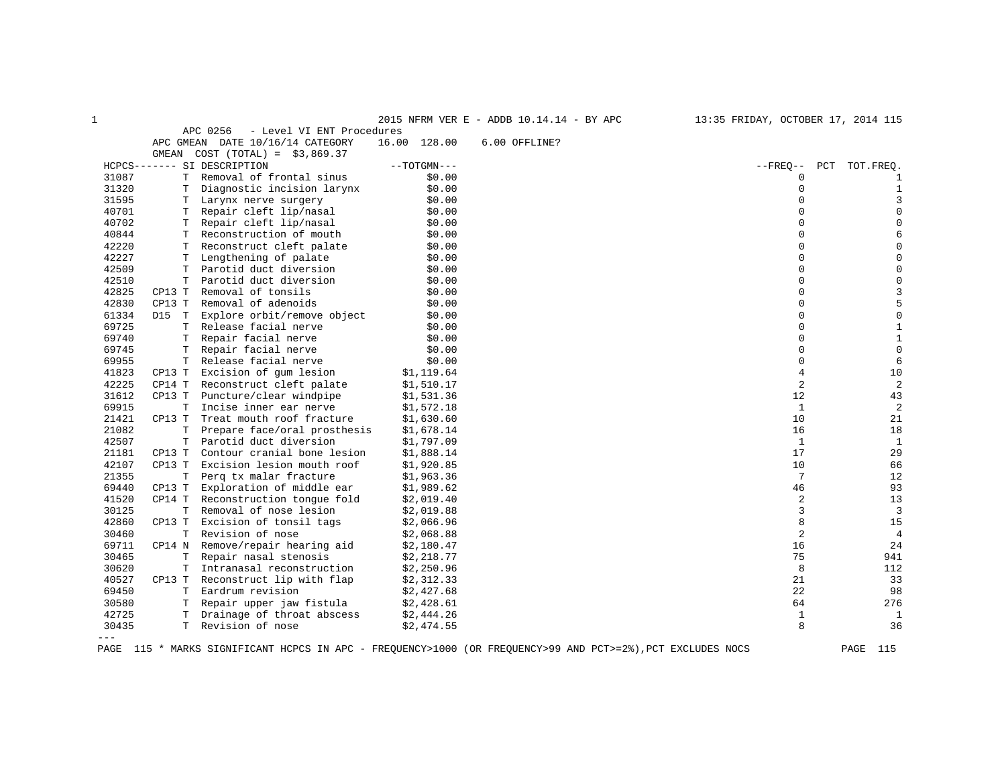|                     |        |                                       |               | 2015 NFRM VER E - ADDB 10.14.14 - BY APC | 13:35 FRIDAY, OCTOBER 17, 2014 115 |                |
|---------------------|--------|---------------------------------------|---------------|------------------------------------------|------------------------------------|----------------|
|                     |        | APC 0256<br>- Level VI ENT Procedures |               |                                          |                                    |                |
|                     |        | APC GMEAN DATE 10/16/14 CATEGORY      | 16.00 128.00  | 6.00 OFFLINE?                            |                                    |                |
|                     | GMEAN  | $COST (TOTAL) = $3,869.37$            |               |                                          |                                    |                |
|                     |        | HCPCS------- SI DESCRIPTION           | $--TOTGMN---$ |                                          | $--$ FREQ--                        | PCT TOT. FREQ. |
| 31087               |        | T Removal of frontal sinus            | \$0.00        |                                          | 0                                  |                |
| 31320               |        | T Diagnostic incision larynx          | \$0.00        |                                          | 0                                  | 1              |
| 31595               | Т      | Larynx nerve surgery                  | \$0.00        |                                          | $\Omega$                           | 3              |
| 40701               | T.     | Repair cleft lip/nasal                | \$0.00        |                                          | $\Omega$                           | $\mathbf 0$    |
| 40702               |        | T Repair cleft lip/nasal              | \$0.00        |                                          | 0                                  |                |
| 40844               |        | T Reconstruction of mouth             | \$0.00        |                                          | $\Omega$                           |                |
| 42220               | T.     | Reconstruct cleft palate              | \$0.00        |                                          | $\Omega$                           |                |
| 42227               |        | T Lengthening of palate               | \$0.00        |                                          | 0                                  |                |
| 42509               |        | T Parotid duct diversion              | \$0.00        |                                          | $\Omega$                           | 0              |
| 42510               | т      | Parotid duct diversion                | \$0.00        |                                          | 0                                  |                |
| 42825               | CP13 T | Removal of tonsils                    | \$0.00        |                                          | $\Omega$                           |                |
| 42830               | CP13 T | Removal of adenoids                   | \$0.00        |                                          | $\Omega$                           | 5              |
| 61334               | D15 T  | Explore orbit/remove object           | \$0.00        |                                          | 0                                  | $\mathbf 0$    |
| 69725               |        | T Release facial nerve                | \$0.00        |                                          | $\Omega$                           | $\mathbf{1}$   |
| 69740               | T.     | Repair facial nerve                   | \$0.00        |                                          | $\Omega$                           | $\mathbf{1}$   |
| 69745               |        | T Repair facial nerve                 | \$0.00        |                                          | 0                                  | $\mathbf 0$    |
| 69955               |        | T Release facial nerve                | \$0.00        |                                          | $\Omega$                           | 6              |
| 41823               | CP13 T | Excision of qum lesion                | \$1,119.64    |                                          | $\overline{4}$                     | 10             |
| 42225               | CP14 T | Reconstruct cleft palate              | \$1,510.17    |                                          | 2                                  | $\overline{2}$ |
| 31612               | CP13 T | Puncture/clear windpipe               | \$1,531.36    |                                          | 12                                 | 43             |
| 69915               | T.     | Incise inner ear nerve                | \$1,572.18    |                                          | $\mathbf{1}$                       | $\overline{2}$ |
| 21421               | CP13 T | Treat mouth roof fracture             | \$1,630.60    |                                          | 10                                 | 21             |
| 21082               | T      | Prepare face/oral prosthesis          | \$1,678.14    |                                          | 16                                 | 18             |
| 42507               | T      | Parotid duct diversion                | \$1,797.09    |                                          | 1                                  | $\mathbf{1}$   |
| 21181               | CP13 T | Contour cranial bone lesion           | \$1,888.14    |                                          | 17                                 | 29             |
| 42107               | CP13 T | Excision lesion mouth roof            | \$1,920.85    |                                          | 10                                 | 66             |
| 21355               | T.     | Perq tx malar fracture                | \$1,963.36    |                                          | 7                                  | 12             |
| 69440               | CP13 T | Exploration of middle ear             | \$1,989.62    |                                          | 46                                 | 93             |
| 41520               | CP14 T | Reconstruction tonque fold            | \$2,019.40    |                                          | 2                                  | 13             |
| 30125               | T.     | Removal of nose lesion                | \$2,019.88    |                                          | 3                                  | 3              |
| 42860               | CP13 T | Excision of tonsil tags               | \$2,066.96    |                                          | 8                                  | 15             |
| 30460               |        | T Revision of nose                    | \$2,068.88    |                                          | $\overline{2}$                     | $\overline{4}$ |
| 69711               |        | CP14 N Remove/repair hearing aid      | \$2,180.47    |                                          | 16                                 | 24             |
| 30465               | т      | Repair nasal stenosis                 | \$2,218.77    |                                          | 75                                 | 941            |
| 30620               | T      | Intranasal reconstruction             | \$2,250.96    |                                          | 8                                  | 112            |
| 40527               |        | CP13 T Reconstruct lip with flap      | \$2,312.33    |                                          | 21                                 | 33             |
| 69450               |        | T Eardrum revision                    | \$2,427.68    |                                          | 22                                 | 98             |
| 30580               |        | T Repair upper jaw fistula            | \$2,428.61    |                                          | 64                                 | 276            |
| 42725               |        | T Drainage of throat abscess          | \$2,444.26    |                                          | $\mathbf{1}$                       | $\mathbf{1}$   |
| 30435               |        | T Revision of nose                    | \$2,474.55    |                                          | 8                                  | 36             |
| $\qquad \qquad - -$ |        |                                       |               |                                          |                                    |                |
|                     |        |                                       |               |                                          |                                    |                |

PAGE 115 \* MARKS SIGNIFICANT HCPCS IN APC - FREQUENCY>1000 (OR FREQUENCY>99 AND PCT>=2%),PCT EXCLUDES NOCS PAGE 115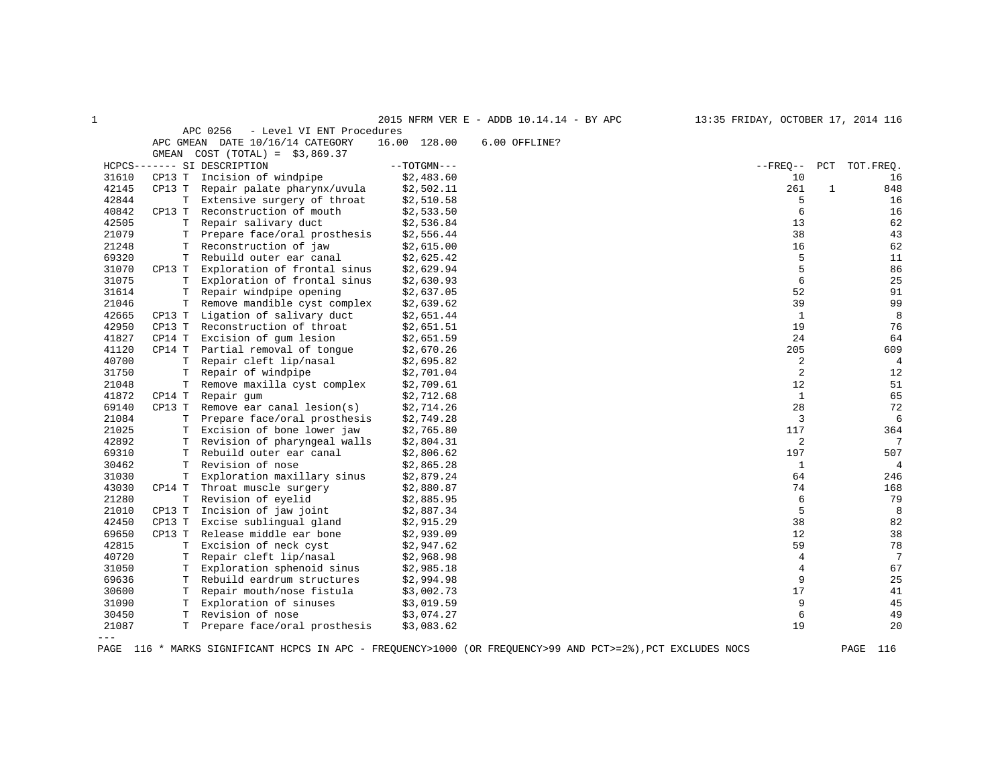|       |             |                                       |               | 2015 NFRM VER E - ADDB 10.14.14 - BY APC | 13:35 FRIDAY, OCTOBER 17, 2014 116 |              |                |
|-------|-------------|---------------------------------------|---------------|------------------------------------------|------------------------------------|--------------|----------------|
|       |             | APC 0256<br>- Level VI ENT Procedures |               |                                          |                                    |              |                |
|       |             | APC GMEAN DATE 10/16/14 CATEGORY      | 16.00 128.00  | 6.00 OFFLINE?                            |                                    |              |                |
|       |             | GMEAN COST $(TOTAL) = $3,869.37$      |               |                                          |                                    |              |                |
|       |             | HCPCS------- SI DESCRIPTION           | $--TOTGMN---$ |                                          | $- FREO--$                         | PCT          | TOT. FREO.     |
| 31610 | CP13 T      | Incision of windpipe                  | \$2,483.60    |                                          | 10                                 |              | 16             |
| 42145 | CP13 T      | Repair palate pharynx/uvula           | \$2,502.11    |                                          | 261                                | $\mathbf{1}$ | 848            |
| 42844 | T           | Extensive surgery of throat           | \$2,510.58    |                                          | 5                                  |              | 16             |
| 40842 | CP13 T      | Reconstruction of mouth               | \$2,533.50    |                                          | 6                                  |              | 16             |
| 42505 | т           | Repair salivary duct                  | \$2,536.84    |                                          | 13                                 |              | 62             |
| 21079 | Т           | Prepare face/oral prosthesis          | \$2,556.44    |                                          | 38                                 |              | 43             |
| 21248 | т           | Reconstruction of jaw                 | \$2,615.00    |                                          | 16                                 |              | 62             |
| 69320 | T.          | Rebuild outer ear canal               | \$2,625.42    |                                          | 5                                  |              | 11             |
| 31070 | CP13 T      | Exploration of frontal sinus          | \$2,629.94    |                                          | 5                                  |              | 86             |
| 31075 | т           | Exploration of frontal sinus          | \$2,630.93    |                                          | 6                                  |              | 25             |
| 31614 | $\mathbb T$ | Repair windpipe opening               | \$2,637.05    |                                          | 52                                 |              | 91             |
| 21046 |             | T Remove mandible cyst complex        | \$2,639.62    |                                          | 39                                 |              | 99             |
| 42665 | CP13 T      | Ligation of salivary duct             | \$2,651.44    |                                          | $\mathbf{1}$                       |              | 8              |
| 42950 | CP13 T      | Reconstruction of throat              | \$2,651.51    |                                          | 19                                 |              | 76             |
| 41827 | CP14 T      | Excision of gum lesion                | \$2,651.59    |                                          | 24                                 |              | 64             |
| 41120 | CP14 T      | Partial removal of tongue             | \$2,670.26    |                                          | 205                                |              | 609            |
| 40700 | $\mathbb T$ | Repair cleft lip/nasal                | \$2,695.82    |                                          | 2                                  |              | $\overline{4}$ |
| 31750 | T           | Repair of windpipe                    | \$2,701.04    |                                          | $\overline{c}$                     |              | 12             |
| 21048 | т           | Remove maxilla cyst complex           | \$2,709.61    |                                          | 12                                 |              | 51             |
| 41872 | CP14 T      | Repair qum                            | \$2,712.68    |                                          | 1                                  |              | 65             |
| 69140 | CP13 T      | Remove ear canal lesion( $s$ )        | \$2,714.26    |                                          | 28                                 |              | 72             |
| 21084 | T           | Prepare face/oral prosthesis          | \$2,749.28    |                                          | 3                                  |              | 6              |
| 21025 | T.          | Excision of bone lower jaw            | \$2,765.80    |                                          | 117                                |              | 364            |
| 42892 | т           | Revision of pharyngeal walls          | \$2,804.31    |                                          | 2                                  |              | 7              |
| 69310 | т           | Rebuild outer ear canal               | \$2,806.62    |                                          | 197                                |              | 507            |
| 30462 | Т           | Revision of nose                      | \$2,865.28    |                                          | $\mathbf{1}$                       |              | 4              |
| 31030 | Т           | Exploration maxillary sinus           | \$2,879.24    |                                          | 64                                 |              | 246            |
| 43030 | CP14 T      | Throat muscle surgery                 | \$2,880.87    |                                          | 74                                 |              | 168            |
| 21280 | Т           | Revision of eyelid                    | \$2,885.95    |                                          | 6                                  |              | 79             |
| 21010 | CP13 T      | Incision of jaw joint                 | \$2,887.34    |                                          | 5                                  |              | 8              |
| 42450 | CP13 T      | Excise sublingual gland               | \$2,915.29    |                                          | 38                                 |              | 82             |
| 69650 | CP13 T      | Release middle ear bone               | \$2,939.09    |                                          | 12                                 |              | 38             |
| 42815 | Т           | Excision of neck cyst                 | \$2,947.62    |                                          | 59                                 |              | 78             |
| 40720 | т           | Repair cleft lip/nasal                | \$2,968.98    |                                          | 4                                  |              | 7              |
| 31050 | т           | Exploration sphenoid sinus            | \$2,985.18    |                                          | 4                                  |              | 67             |
| 69636 | T           | Rebuild eardrum structures            | \$2,994.98    |                                          | 9                                  |              | 25             |
| 30600 | T           | Repair mouth/nose fistula             | \$3,002.73    |                                          | 17                                 |              | 41             |
| 31090 | Т           | Exploration of sinuses                | \$3,019.59    |                                          | 9                                  |              | 45             |
| 30450 | T.          | Revision of nose                      | \$3,074.27    |                                          | 6                                  |              | 49             |
| 21087 | T.          | Prepare face/oral prosthesis          | \$3,083.62    |                                          | 19                                 |              | 20             |
| $---$ |             |                                       |               |                                          |                                    |              |                |

PAGE 116 \* MARKS SIGNIFICANT HCPCS IN APC - FREQUENCY>1000 (OR FREQUENCY>99 AND PCT>=2%),PCT EXCLUDES NOCS PAGE 116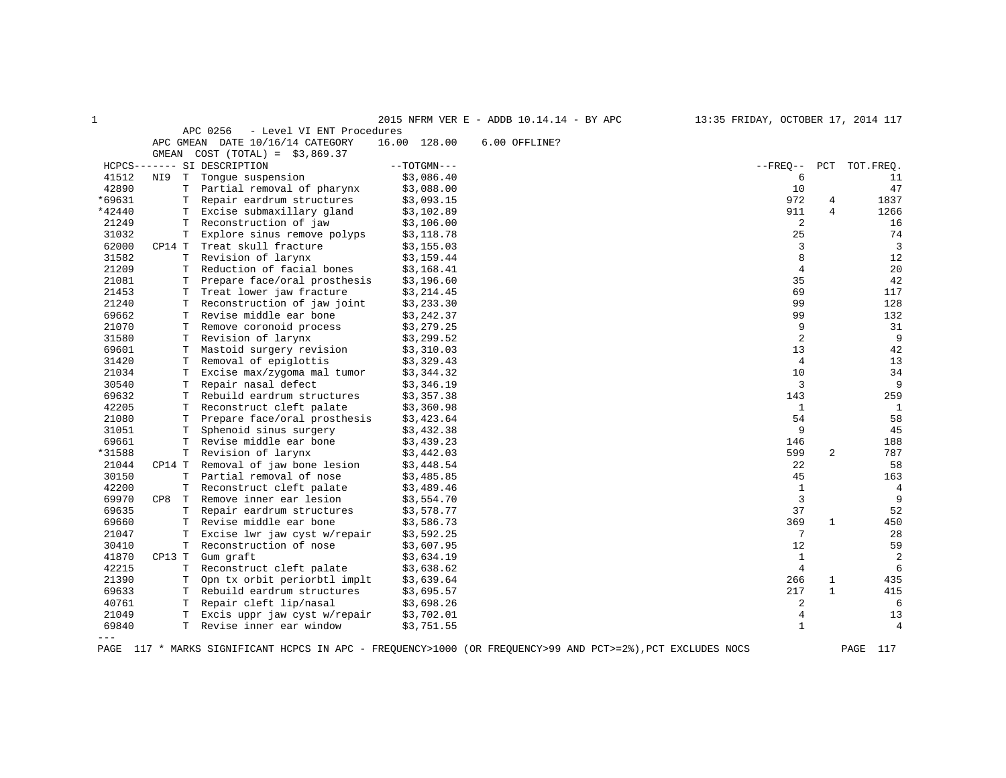| 1      |            |                                       |               | 2015 NFRM VER E - ADDB 10.14.14 - BY APC | 13:35 FRIDAY, OCTOBER 17, 2014 117 |                |                |
|--------|------------|---------------------------------------|---------------|------------------------------------------|------------------------------------|----------------|----------------|
|        |            | APC 0256<br>- Level VI ENT Procedures |               |                                          |                                    |                |                |
|        |            | APC GMEAN DATE 10/16/14 CATEGORY      | 16.00 128.00  | 6.00 OFFLINE?                            |                                    |                |                |
|        |            | GMEAN COST $(TOTAL) = $3,869.37$      |               |                                          |                                    |                |                |
|        |            | HCPCS------- SI DESCRIPTION           | $--TOTGMN---$ |                                          | $--$ FREO $--$                     |                | PCT TOT. FREO. |
| 41512  | T –<br>NI9 | Tonque suspension                     | \$3,086.40    |                                          | 6                                  |                | 11             |
| 42890  |            | Partial removal of pharynx            | \$3,088.00    |                                          | 10                                 |                | 47             |
| *69631 | T          | Repair eardrum structures             | \$3,093.15    |                                          | 972                                | 4              | 1837           |
| *42440 | T.         | Excise submaxillary gland             | \$3,102.89    |                                          | 911                                | $\overline{4}$ | 1266           |
| 21249  |            | T Reconstruction of jaw               | \$3,106.00    |                                          | 2                                  |                | 16             |
| 31032  | T.         | Explore sinus remove polyps           | \$3,118.78    |                                          | 25                                 |                | 74             |
| 62000  |            | CP14 T Treat skull fracture           | \$3,155.03    |                                          | 3                                  |                | 3              |
| 31582  |            | T Revision of larynx                  | \$3,159.44    |                                          | 8                                  |                | 12             |
| 21209  | T.         | Reduction of facial bones             | \$3,168.41    |                                          | $\overline{4}$                     |                | 20             |
| 21081  |            | T Prepare face/oral prosthesis        | \$3,196.60    |                                          | 35                                 |                | 42             |
| 21453  | Т          | Treat lower jaw fracture              | \$3,214.45    |                                          | 69                                 |                | 117            |
| 21240  | Т          | Reconstruction of jaw joint           | \$3,233.30    |                                          | 99                                 |                | 128            |
| 69662  | T          | Revise middle ear bone                | \$3,242.37    |                                          | 99                                 |                | 132            |
| 21070  |            | T Remove coronoid process             | \$3,279.25    |                                          | 9                                  |                | 31             |
| 31580  |            | T Revision of larynx                  | \$3,299.52    |                                          | $\overline{a}$                     |                | 9              |
| 69601  | Т          | Mastoid surgery revision              | \$3,310.03    |                                          | 13                                 |                | 42             |
| 31420  | T.         | Removal of epiglottis                 | \$3,329.43    |                                          | $\overline{4}$                     |                | 13             |
| 21034  | T          | Excise max/zygoma mal tumor           | \$3,344.32    |                                          | 10                                 |                | 34             |
| 30540  | T.         | Repair nasal defect                   | \$3,346.19    |                                          | 3                                  |                | 9              |
| 69632  |            | T Rebuild eardrum structures          | \$3,357.38    |                                          | 143                                |                | 259            |
| 42205  | T.         | Reconstruct cleft palate              | \$3,360.98    |                                          | $\mathbf{1}$                       |                | $\mathbf{1}$   |
| 21080  | T.         | Prepare face/oral prosthesis          | \$3,423.64    |                                          | 54                                 |                | 58             |
| 31051  | T          | Sphenoid sinus surgery                | \$3,432.38    |                                          | 9                                  |                | 45             |
| 69661  | T.         | Revise middle ear bone                | \$3,439.23    |                                          | 146                                |                | 188            |
| *31588 | T.         | Revision of larynx                    | \$3,442.03    |                                          | 599                                | $\overline{2}$ | 787            |
| 21044  | CP14 T     | Removal of jaw bone lesion            | \$3,448.54    |                                          | 22                                 |                | 58             |
| 30150  | T.         | Partial removal of nose               | \$3,485.85    |                                          | 45                                 |                | 163            |
| 42200  |            | T Reconstruct cleft palate            | \$3,489.46    |                                          | $\mathbf{1}$                       |                | 4              |
| 69970  |            | CP8 T Remove inner ear lesion         | \$3,554.70    |                                          | $\overline{3}$                     |                | 9              |
| 69635  |            | T Repair eardrum structures           | \$3,578.77    |                                          | 37                                 |                | 52             |
| 69660  |            | T Revise middle ear bone              | \$3,586.73    |                                          | 369                                | $\mathbf{1}$   | 450            |
| 21047  | T.         | Excise lwr jaw cyst w/repair          | \$3,592.25    |                                          | 7                                  |                | 28             |
| 30410  |            | T Reconstruction of nose              | \$3,607.95    |                                          | 12                                 |                | 59             |
| 41870  | CP13 T     | Gum graft                             | \$3,634.19    |                                          | $\mathbf{1}$                       |                | 2              |
| 42215  |            | T Reconstruct cleft palate            | \$3,638.62    |                                          | $\overline{4}$                     |                | 6              |
| 21390  | T          | Opn tx orbit periorbtl implt          | \$3,639.64    |                                          | 266                                | $\mathbf{1}$   | 435            |
| 69633  |            | T Rebuild eardrum structures          | \$3,695.57    |                                          | 217                                | $\mathbf{1}$   | 415            |
| 40761  |            | T Repair cleft lip/nasal              | \$3,698.26    |                                          | 2                                  |                | 6              |
| 21049  | T.         | Excis uppr jaw cyst w/repair          | \$3,702.01    |                                          | $\overline{4}$                     |                | 13             |
| 69840  | T.         | Revise inner ear window               | \$3,751.55    |                                          | $\mathbf{1}$                       |                | 4              |
| $---$  |            |                                       |               |                                          |                                    |                |                |

PAGE 117 \* MARKS SIGNIFICANT HCPCS IN APC - FREQUENCY>1000 (OR FREQUENCY>99 AND PCT>=2%),PCT EXCLUDES NOCS PAGE 117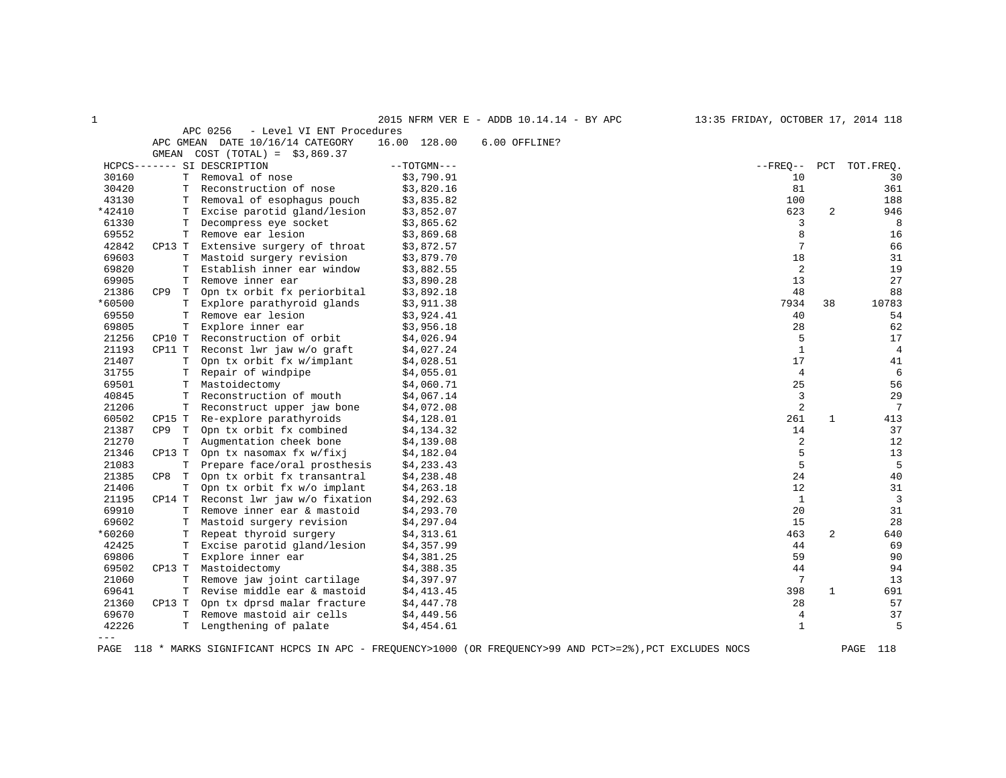| $\mathbf{1}$ |          |                                       |               | 2015 NFRM VER E - ADDB 10.14.14 - BY APC | 13:35 FRIDAY, OCTOBER 17, 2014 118 |                |                |
|--------------|----------|---------------------------------------|---------------|------------------------------------------|------------------------------------|----------------|----------------|
|              |          | APC 0256<br>- Level VI ENT Procedures |               |                                          |                                    |                |                |
|              |          | APC GMEAN DATE 10/16/14 CATEGORY      | 16.00 128.00  | 6.00 OFFLINE?                            |                                    |                |                |
|              |          | GMEAN COST $(TOTAL) = $3,869.37$      |               |                                          |                                    |                |                |
|              |          | HCPCS------- SI DESCRIPTION           | $--TOTGMN---$ |                                          | $- FREQ--$                         | PCT            | TOT.FREQ.      |
| 30160        | T.       | Removal of nose                       | \$3,790.91    |                                          | 10                                 |                | 30             |
| 30420        | T.       | Reconstruction of nose                | \$3,820.16    |                                          | 81                                 |                | 361            |
| 43130        | T.       | Removal of esophagus pouch            | \$3,835.82    |                                          | 100                                |                | 188            |
| *42410       | Т        | Excise parotid gland/lesion           | \$3,852.07    |                                          | 623                                | $\overline{2}$ | 946            |
| 61330        | T.       | Decompress eye socket                 | \$3,865.62    |                                          | 3                                  |                | 8              |
| 69552        | T.       | Remove ear lesion                     | \$3,869.68    |                                          | 8                                  |                | 16             |
| 42842        | CP13 T   | Extensive surgery of throat           | \$3,872.57    |                                          | $7\phantom{.0}$                    |                | 66             |
| 69603        |          | T Mastoid surgery revision            | \$3,879.70    |                                          | 18                                 |                | 31             |
| 69820        | T.       | Establish inner ear window            | \$3,882.55    |                                          | 2                                  |                | 19             |
| 69905        | T.       | Remove inner ear                      | \$3,890.28    |                                          | 13                                 |                | 27             |
| 21386        | CP9<br>T | Opn tx orbit fx periorbital           | \$3,892.18    |                                          | 48                                 |                | 88             |
| *60500       | T.       | Explore parathyroid glands            | \$3,911.38    |                                          | 7934                               | 38             | 10783          |
| 69550        | T.       | Remove ear lesion                     | \$3,924.41    |                                          | 40                                 |                | 54             |
| 69805        | T.       | Explore inner ear                     | \$3,956.18    |                                          | 28                                 |                | 62             |
| 21256        | CP10 T   | Reconstruction of orbit               | \$4,026.94    |                                          | 5                                  |                | 17             |
| 21193        | CP11 T   | Reconst lwr jaw w/o graft             | \$4,027.24    |                                          | $\mathbf{1}$                       |                | 4              |
| 21407        | T.       | Opn tx orbit fx w/implant             | \$4,028.51    |                                          | 17                                 |                | 41             |
| 31755        | Т        | Repair of windpipe                    | \$4,055.01    |                                          | $\overline{4}$                     |                | 6              |
| 69501        | T.       | Mastoidectomy                         | \$4,060.71    |                                          | 25                                 |                | 56             |
| 40845        | T.       | Reconstruction of mouth               | \$4,067.14    |                                          | $\overline{3}$                     |                | 29             |
| 21206        | T.       | Reconstruct upper jaw bone            | \$4,072.08    |                                          | 2                                  |                | 7              |
| 60502        | CP15 T   | Re-explore parathyroids               | \$4,128.01    |                                          | 261                                | $\mathbf{1}$   | 413            |
| 21387        | CP9 T    | Opn tx orbit fx combined              | \$4,134.32    |                                          | 14                                 |                | 37             |
| 21270        | T        | Augmentation cheek bone               | \$4,139.08    |                                          | 2                                  |                | 12             |
| 21346        | CP13 T   | Opn tx nasomax fx w/fixj              | \$4,182.04    |                                          | 5                                  |                | 13             |
| 21083        | T.       | Prepare face/oral prosthesis          | \$4,233.43    |                                          | 5                                  |                | 5              |
| 21385        | CP8 T    | Opn tx orbit fx transantral           | \$4,238.48    |                                          | 24                                 |                | 40             |
| 21406        | T.       | Opn tx orbit fx w/o implant           | \$4,263.18    |                                          | $12 \overline{ }$                  |                | 31             |
| 21195        | CP14 T   | Reconst lwr jaw w/o fixation          | \$4,292.63    |                                          | $\mathbf{1}$                       |                | $\overline{3}$ |
| 69910        | T.       | Remove inner ear & mastoid            | \$4,293.70    |                                          | 20                                 |                | 31             |
| 69602        | T.       | Mastoid surgery revision              | \$4,297.04    |                                          | 15                                 |                | 28             |
| *60260       | T.       | Repeat thyroid surgery                | \$4,313.61    |                                          | 463                                | 2              | 640            |
| 42425        | T.       | Excise parotid gland/lesion           | \$4,357.99    |                                          | 44                                 |                | 69             |
| 69806        | T        | Explore inner ear                     | \$4,381.25    |                                          | 59                                 |                | 90             |
| 69502        | CP13 T   | Mastoidectomy                         | \$4,388.35    |                                          | 44                                 |                | 94             |
| 21060        | T.       | Remove jaw joint cartilage            | \$4,397.97    |                                          | 7                                  |                | 13             |
| 69641        | T.       | Revise middle ear & mastoid           | \$4,413.45    |                                          | 398                                | $\mathbf{1}$   | 691            |
| 21360        | CP13 T   | Opn tx dprsd malar fracture           | \$4,447.78    |                                          | 28                                 |                | 57             |
| 69670        | T.       | Remove mastoid air cells              | \$4,449.56    |                                          | $\overline{4}$                     |                | 37             |
| 42226        |          | T Lengthening of palate               | \$4,454.61    |                                          | $\mathbf{1}$                       |                | 5              |
| $---$        |          |                                       |               |                                          |                                    |                |                |

PAGE 118 \* MARKS SIGNIFICANT HCPCS IN APC - FREQUENCY>1000 (OR FREQUENCY>99 AND PCT>=2%),PCT EXCLUDES NOCS PAGE 118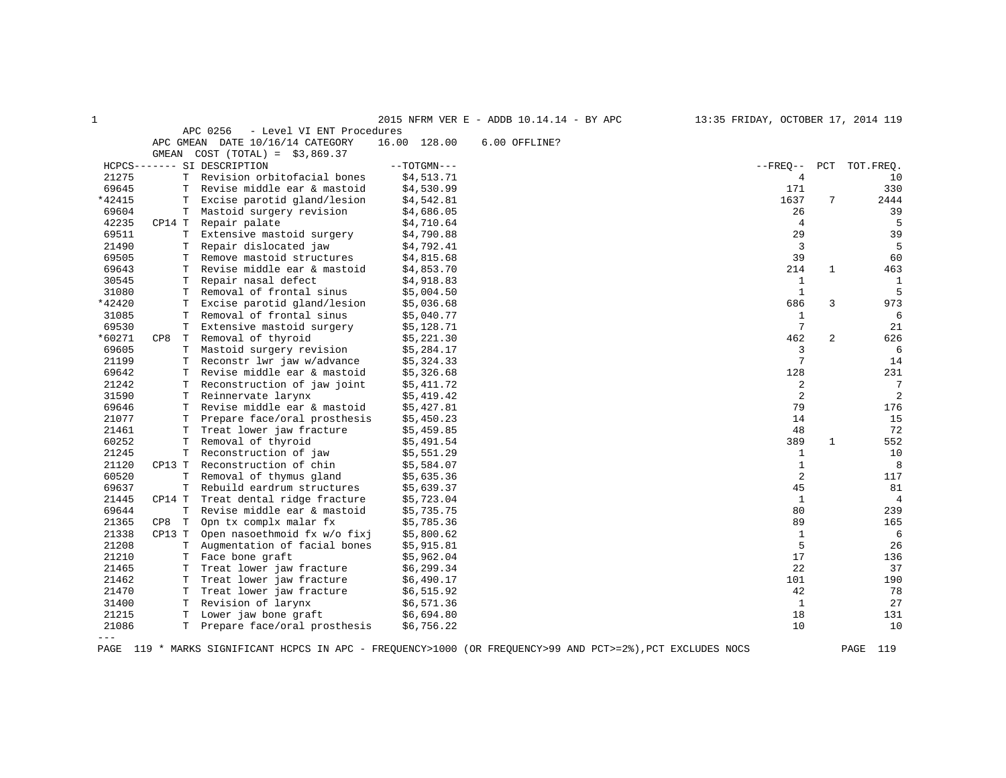| 1      |                    |                                       |               | 2015 NFRM VER E - ADDB 10.14.14 - BY APC | 13:35 FRIDAY, OCTOBER 17, 2014 119 |                |                |
|--------|--------------------|---------------------------------------|---------------|------------------------------------------|------------------------------------|----------------|----------------|
|        |                    | APC 0256<br>- Level VI ENT Procedures |               |                                          |                                    |                |                |
|        |                    | APC GMEAN DATE 10/16/14 CATEGORY      | 16.00 128.00  | 6.00 OFFLINE?                            |                                    |                |                |
|        | GMEAN              | $COST (TOTAL) = $3,869.37$            |               |                                          |                                    |                |                |
|        |                    | HCPCS------- SI DESCRIPTION           | $--TOTGMN---$ |                                          | $--$ FREO $--$                     | PCT            | TOT.FREO.      |
| 21275  |                    | T Revision orbitofacial bones         | \$4,513.71    |                                          | 4                                  |                | 10             |
| 69645  | т                  | Revise middle ear & mastoid           | \$4,530.99    |                                          | 171                                |                | 330            |
| *42415 | т                  | Excise parotid gland/lesion           | \$4,542.81    |                                          | 1637                               | 7              | 2444           |
| 69604  | Т                  | Mastoid surgery revision              | \$4,686.05    |                                          | 26                                 |                | 39             |
| 42235  | CP14 T             | Repair palate                         | \$4,710.64    |                                          | $\overline{4}$                     |                | 5              |
| 69511  | Т                  | Extensive mastoid surgery             | \$4,790.88    |                                          | 29                                 |                | 39             |
| 21490  | т                  | Repair dislocated jaw                 | \$4,792.41    |                                          | 3                                  |                | 5              |
| 69505  | Т                  | Remove mastoid structures             | \$4,815.68    |                                          | 39                                 |                | 60             |
| 69643  | т                  | Revise middle ear & mastoid           | \$4,853.70    |                                          | 214                                | 1              | 463            |
| 30545  | т                  | Repair nasal defect                   | \$4,918.83    |                                          | 1                                  |                | $\mathbf{1}$   |
| 31080  | Т                  | Removal of frontal sinus              | \$5,004.50    |                                          | $\mathbf{1}$                       |                | 5              |
| *42420 | Т                  | Excise parotid gland/lesion           | \$5,036.68    |                                          | 686                                | 3              | 973            |
| 31085  | т                  | Removal of frontal sinus              | \$5,040.77    |                                          | 1                                  |                | 6              |
| 69530  | Т                  | Extensive mastoid surgery             | \$5,128.71    |                                          | $7\phantom{.0}$                    |                | 21             |
| *60271 | CP8<br>т           | Removal of thyroid                    | \$5,221.30    |                                          | 462                                | $\overline{c}$ | 626            |
| 69605  | Т                  | Mastoid surgery revision              | \$5,284.17    |                                          | 3                                  |                | 6              |
| 21199  | Т                  | Reconstr lwr jaw w/advance            | \$5,324.33    |                                          | $7\phantom{.0}$                    |                | 14             |
| 69642  | T                  | Revise middle ear & mastoid           | \$5,326.68    |                                          | 128                                |                | 231            |
| 21242  | Т                  | Reconstruction of jaw joint           | \$5,411.72    |                                          | 2                                  |                | $\overline{7}$ |
| 31590  | Т                  | Reinnervate larynx                    | \$5,419.42    |                                          | 2                                  |                | $\overline{2}$ |
| 69646  | Т                  | Revise middle ear & mastoid           | \$5,427.81    |                                          | 79                                 |                | 176            |
| 21077  | Т                  | Prepare face/oral prosthesis          | \$5,450.23    |                                          | 14                                 |                | 15             |
| 21461  | т                  | Treat lower jaw fracture              | \$5,459.85    |                                          | 48                                 |                | 72             |
| 60252  | т                  | Removal of thyroid                    | \$5,491.54    |                                          | 389                                | $\mathbf{1}$   | 552            |
| 21245  | Т                  | Reconstruction of jaw                 | \$5,551.29    |                                          | $\mathbf{1}$                       |                | 10             |
| 21120  | CP13 T             | Reconstruction of chin                | \$5,584.07    |                                          | $\mathbf{1}$                       |                | 8              |
| 60520  | T                  | Removal of thymus gland               | \$5,635.36    |                                          | 2                                  |                | 117            |
| 69637  | Т                  | Rebuild eardrum structures            | \$5,639.37    |                                          | 45                                 |                | 81             |
| 21445  | CP14 T             | Treat dental ridge fracture           | \$5,723.04    |                                          | $\mathbf{1}$                       |                | $\overline{4}$ |
| 69644  | $\mathbf T$        | Revise middle ear & mastoid           | \$5,735.75    |                                          | 80                                 |                | 239            |
| 21365  | CP8<br>$\mathbb T$ | Opn tx complx malar fx                | \$5,785.36    |                                          | 89                                 |                | 165            |
| 21338  | CP13 T             | Open nasoethmoid fx w/o fixj          | \$5,800.62    |                                          | $\mathbf{1}$                       |                | 6              |
| 21208  | Т                  | Augmentation of facial bones          | \$5,915.81    |                                          | 5                                  |                | 26             |
| 21210  | т                  | Face bone graft                       | \$5,962.04    |                                          | 17                                 |                | 136            |
| 21465  | т                  | Treat lower jaw fracture              | \$6, 299.34   |                                          | 22                                 |                | 37             |
| 21462  | Т                  | Treat lower jaw fracture              | \$6,490.17    |                                          | 101                                |                | 190            |
| 21470  | T                  | Treat lower jaw fracture              | \$6,515.92    |                                          | 42                                 |                | 78             |
| 31400  | т                  | Revision of larynx                    | \$6,571.36    |                                          | $\mathbf{1}$                       |                | 27             |
| 21215  | T.                 | Lower jaw bone graft                  | \$6,694.80    |                                          | 18                                 |                | 131            |
| 21086  | т                  | Prepare face/oral prosthesis          | \$6,756.22    |                                          | 10                                 |                | 10             |
| $---$  |                    |                                       |               |                                          |                                    |                |                |

PAGE 119 \* MARKS SIGNIFICANT HCPCS IN APC - FREQUENCY>1000 (OR FREQUENCY>99 AND PCT>=2%),PCT EXCLUDES NOCS PAGE 119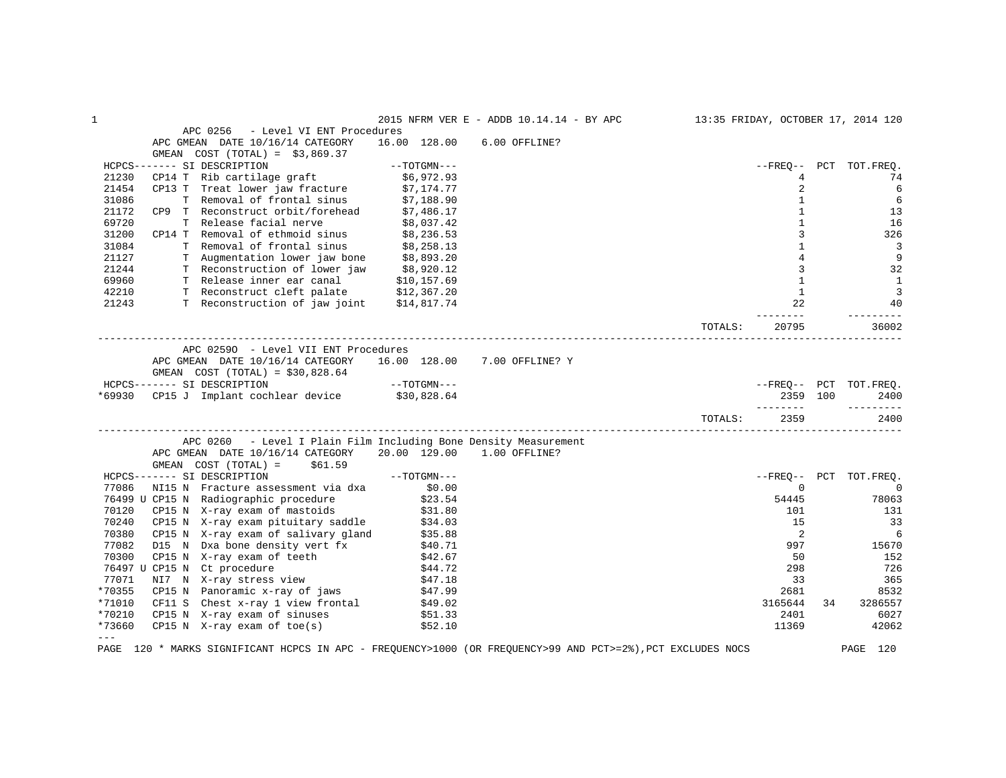| 1             |                                                                                                             |               | 2015 NFRM VER E - ADDB 10.14.14 - BY APC |         |                |    | 13:35 FRIDAY, OCTOBER 17, 2014 120 |
|---------------|-------------------------------------------------------------------------------------------------------------|---------------|------------------------------------------|---------|----------------|----|------------------------------------|
|               | APC 0256<br>- Level VI ENT Procedures                                                                       |               |                                          |         |                |    |                                    |
|               | APC GMEAN DATE 10/16/14 CATEGORY                                                                            | 16.00 128.00  | 6.00 OFFLINE?                            |         |                |    |                                    |
|               | GMEAN $COST (TOTAL) = $3,869.37$                                                                            |               |                                          |         |                |    |                                    |
|               | HCPCS------- SI DESCRIPTION                                                                                 | $--TOTGMN---$ |                                          |         |                |    | --FREO-- PCT TOT.FREQ.             |
| 21230         | CP14 T Rib cartilage graft                                                                                  | \$6,972.93    |                                          |         | $\overline{4}$ |    | 74                                 |
| 21454         | CP13 T Treat lower jaw fracture $$7,174.77$                                                                 |               |                                          |         | 2              |    | 6                                  |
| 31086         | T Removal of frontal sinus                                                                                  | \$7,188.90    |                                          |         | $\mathbf{1}$   |    | 6                                  |
| 21172         | CP9 T Reconstruct orbit/forehead \$7,486.17                                                                 |               |                                          |         | $\mathbf{1}$   |    | 13                                 |
| 69720         | T Release facial nerve                                                                                      | \$8,037.42    |                                          |         | $\mathbf{1}$   |    | 16                                 |
| 31200         | CP14 T Removal of ethmoid sinus                                                                             | \$8,236.53    |                                          |         | 3              |    | 326                                |
| 31084         | T Removal of frontal sinus \$8,258.13<br>T Augmentation lower jaw bone \$8,893.20                           |               |                                          |         | $\mathbf{1}$   |    | $\overline{3}$                     |
| 21127         |                                                                                                             |               |                                          |         | $\overline{4}$ |    | 9                                  |
| 21244         | T Reconstruction of lower jaw \$8,920.12                                                                    |               |                                          |         | 3              |    | 32                                 |
| 69960         | T Release inner ear canal                                                                                   | \$10,157.69   |                                          |         | 1              |    | <sup>1</sup>                       |
| 42210         | T Reconstruct cleft palate \$12,367.20                                                                      |               |                                          |         | $\mathbf{1}$   |    | $\overline{3}$                     |
| 21243         | T Reconstruction of jaw joint \$14,817.74                                                                   |               |                                          |         | 22             |    | 40                                 |
|               |                                                                                                             |               |                                          |         | $- - - - - -$  |    |                                    |
|               |                                                                                                             |               |                                          | TOTALS: | 20795          |    | 36002                              |
|               | APC 02590 - Level VII ENT Procedures                                                                        |               |                                          |         |                |    |                                    |
|               | APC GMEAN DATE 10/16/14 CATEGORY 16.00 128.00 7.00 OFFLINE? Y                                               |               |                                          |         |                |    |                                    |
|               | GMEAN $COST (TOTAL) = $30,828.64$                                                                           |               |                                          |         |                |    |                                    |
|               | HCPCS------- SI DESCRIPTION                                                                                 | $--TOTGMN---$ |                                          |         |                |    | --FREQ-- PCT TOT.FREQ.             |
| *69930        | CP15 J Implant cochlear device \$30,828.64                                                                  |               |                                          |         | 2359 100       |    | 2400                               |
|               |                                                                                                             |               |                                          |         | ________       |    | _________                          |
|               |                                                                                                             |               |                                          | TOTALS: | 2359           |    | 2400                               |
|               | APC 0260 - Level I Plain Film Including Bone Density Measurement                                            |               |                                          |         |                |    |                                    |
|               | APC GMEAN DATE 10/16/14 CATEGORY                                                                            | 20.00 129.00  | 1.00 OFFLINE?                            |         |                |    |                                    |
|               | \$61.59<br>GMEAN COST (TOTAL) =                                                                             |               |                                          |         |                |    |                                    |
|               | HCPCS------- SI DESCRIPTION                                                                                 | --TOTGMN---   |                                          |         |                |    | --FREQ-- PCT TOT.FREQ.             |
| 77086         | NI15 N Fracture assessment via dxa                                                                          | \$0.00        |                                          |         | $\Omega$       |    | $\overline{0}$                     |
|               | 76499 U CP15 N Radiographic procedure \$23.54                                                               |               |                                          |         | 54445          |    | 78063                              |
| 70120         |                                                                                                             |               |                                          |         | 101            |    | 131                                |
| 70240         | CP15 N X-ray exam of mastoids \$31.80<br>CP15 N X-ray exam pituitary saddle \$34.03                         |               |                                          |         | 15             |    | 33                                 |
| 70380         | CP15 N X-ray exam of salivary gland \$35.88                                                                 |               |                                          |         | 2              |    | 6                                  |
| 77082         | D15 N Dxa bone density vert fx                                                                              | \$40.71       |                                          |         | 997            |    | 15670                              |
| 70300         | CP15 N X-ray exam of teeth                                                                                  | \$42.67       |                                          |         | 50             |    | 152                                |
|               | 76497 U CP15 N Ct procedure                                                                                 | \$44.72       |                                          |         | 298            |    | 726                                |
| 77071         | NI7 N X-ray stress view                                                                                     | \$47.18       |                                          |         | 33             |    | 365                                |
| *70355        | CP15 N Panoramic x-ray of jaws                                                                              | \$47.99       |                                          |         | 2681           |    | 8532                               |
| *71010        | CF11 S Chest x-ray 1 view frontal                                                                           | \$49.02       |                                          |         | 3165644        | 34 | 3286557                            |
| *70210        |                                                                                                             | \$51.33       |                                          |         | 2401           |    | 6027                               |
| *73660        | CP15 N X-ray exam of sinuses                                                                                |               |                                          |         |                |    |                                    |
| $\frac{1}{2}$ | $CP15$ N X-ray exam of toe(s)                                                                               | \$52.10       |                                          |         | 11369          |    | 42062                              |
|               | PAGE 120 * MARKS SIGNIFICANT HCPCS IN APC - FREOUENCY>1000 (OR FREOUENCY>99 AND PCT>=2%), PCT EXCLUDES NOCS |               |                                          |         |                |    | PAGE 120                           |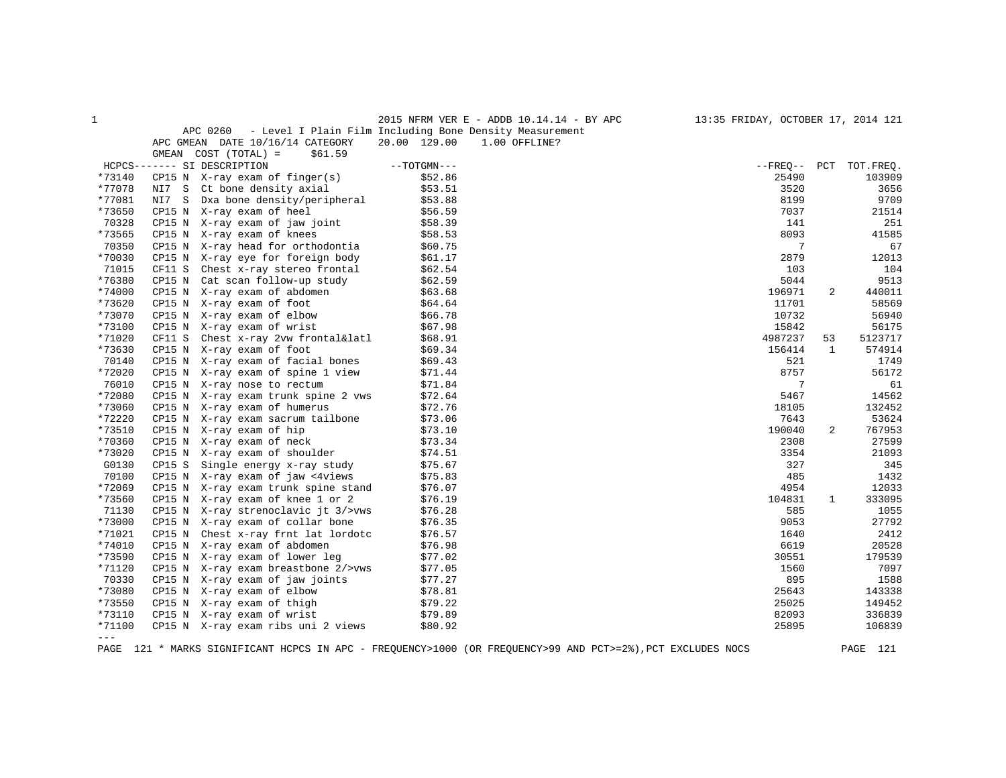| - |  |  |  |
|---|--|--|--|

1 2015 NFRM VER E - ADDB 10.14.14 - BY APC 13:35 FRIDAY, OCTOBER 17, 2014 121

APC 0260 - Level I Plain Film Including Bone Density Measurement

|                     |        | APC GMEAN DATE 10/16/14 CATEGORY    | 20.00 129.00  | 1.00 OFFLINE? |              |              |           |
|---------------------|--------|-------------------------------------|---------------|---------------|--------------|--------------|-----------|
|                     |        | GMEAN COST (TOTAL) =<br>\$61.59     |               |               |              |              |           |
|                     |        | HCPCS------- SI DESCRIPTION         | $--TOTGMN---$ |               | --FREO-- PCT |              | TOT.FREO. |
| *73140              |        | $CP15 N$ X-ray exam of finger(s)    | \$52.86       |               | 25490        |              | 103909    |
| *77078              | NI7 S  | Ct bone density axial               | \$53.51       |               | 3520         |              | 3656      |
| *77081              | NI7 S  | Dxa bone density/peripheral         | \$53.88       |               | 8199         |              | 9709      |
| *73650              |        | CP15 N X-ray exam of heel           | \$56.59       |               | 7037         |              | 21514     |
| 70328               |        | CP15 N X-ray exam of jaw joint      | \$58.39       |               | 141          |              | 251       |
| *73565              |        | CP15 N X-ray exam of knees          | \$58.53       |               | 8093         |              | 41585     |
| 70350               |        | CP15 N X-ray head for orthodontia   | \$60.75       |               | 7            |              | 67        |
| *70030              |        | CP15 N X-ray eye for foreign body   | \$61.17       |               | 2879         |              | 12013     |
| 71015               | CF11 S | Chest x-ray stereo frontal          | \$62.54       |               | 103          |              | 104       |
| *76380              | CP15 N | Cat scan follow-up study            | \$62.59       |               | 5044         |              | 9513      |
| *74000              |        | CP15 N X-ray exam of abdomen        | \$63.68       |               | 196971       | 2            | 440011    |
| *73620              |        | CP15 N X-ray exam of foot           | \$64.64       |               | 11701        |              | 58569     |
| *73070              |        | CP15 N X-ray exam of elbow          | \$66.78       |               | 10732        |              | 56940     |
| *73100              |        | CP15 N X-ray exam of wrist          | \$67.98       |               | 15842        |              | 56175     |
| *71020              | CF11 S | Chest x-ray 2vw frontal&latl        | \$68.91       |               | 4987237      | 53           | 5123717   |
| *73630              |        | CP15 N X-ray exam of foot           | \$69.34       |               | 156414       | 1            | 574914    |
| 70140               |        | CP15 N X-ray exam of facial bones   | \$69.43       |               | 521          |              | 1749      |
| *72020              |        | CP15 N X-ray exam of spine 1 view   | \$71.44       |               | 8757         |              | 56172     |
| 76010               |        | CP15 N X-ray nose to rectum         | \$71.84       |               | 7            |              | 61        |
| *72080              |        | CP15 N X-ray exam trunk spine 2 vws | \$72.64       |               | 5467         |              | 14562     |
| *73060              |        | CP15 N X-ray exam of humerus        | \$72.76       |               | 18105        |              | 132452    |
| *72220              |        | CP15 N X-ray exam sacrum tailbone   | \$73.06       |               | 7643         |              | 53624     |
| *73510              | CP15 N | X-ray exam of hip                   | \$73.10       |               | 190040       | 2            | 767953    |
| *70360              | CP15 N | X-ray exam of neck                  | \$73.34       |               | 2308         |              | 27599     |
| *73020              |        | CP15 N X-ray exam of shoulder       | \$74.51       |               | 3354         |              | 21093     |
| G0130               | CP15 S | Single energy x-ray study           | \$75.67       |               | 327          |              | 345       |
| 70100               |        | CP15 N X-ray exam of jaw <4views    | \$75.83       |               | 485          |              | 1432      |
| *72069              |        | CP15 N X-ray exam trunk spine stand | \$76.07       |               | 4954         |              | 12033     |
| *73560              | CP15 N | X-ray exam of knee 1 or 2           | \$76.19       |               | 104831       | $\mathbf{1}$ | 333095    |
| 71130               | CP15 N | X-ray strenoclavic jt 3/>vws        | \$76.28       |               | 585          |              | 1055      |
| *73000              |        | CP15 N X-ray exam of collar bone    | \$76.35       |               | 9053         |              | 27792     |
| *71021              |        | CP15 N Chest x-ray frnt lat lordotc | \$76.57       |               | 1640         |              | 2412      |
| *74010              | CP15 N | X-ray exam of abdomen               | \$76.98       |               | 6619         |              | 20528     |
| *73590              |        | CP15 N X-ray exam of lower leg      | \$77.02       |               | 30551        |              | 179539    |
| *71120              |        | CP15 N X-ray exam breastbone 2/>vws | \$77.05       |               | 1560         |              | 7097      |
| 70330               | CP15 N | X-ray exam of jaw joints            | \$77.27       |               | 895          |              | 1588      |
| *73080              |        | CP15 N X-ray exam of elbow          | \$78.81       |               | 25643        |              | 143338    |
| *73550              |        | CP15 N X-ray exam of thigh          | \$79.22       |               | 25025        |              | 149452    |
| *73110              |        | CP15 N X-ray exam of wrist          | \$79.89       |               | 82093        |              | 336839    |
| *71100              |        | CP15 N X-ray exam ribs uni 2 views  | \$80.92       |               | 25895        |              | 106839    |
| $\qquad \qquad - -$ |        |                                     |               |               |              |              |           |
|                     |        |                                     |               |               |              |              |           |

PAGE 121 \* MARKS SIGNIFICANT HCPCS IN APC - FREQUENCY>1000 (OR FREQUENCY>99 AND PCT>=2%),PCT EXCLUDES NOCS PAGE 121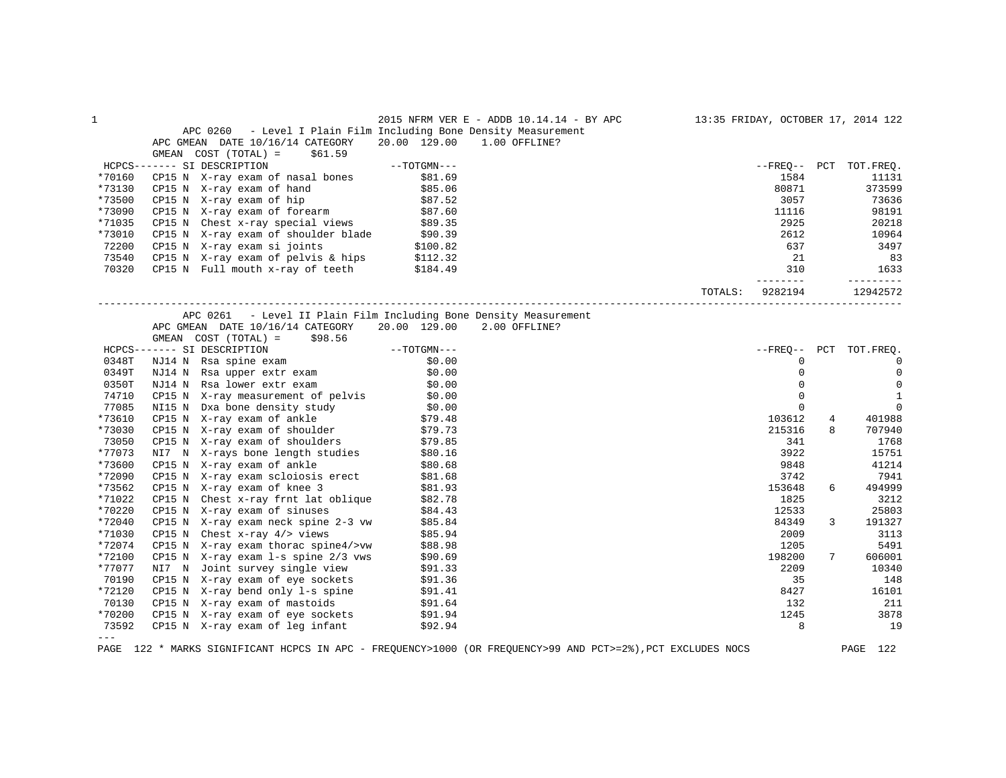| 1      |                                                                                                                                            | 2015 NFRM VER E - ADDB 10.14.14 - BY APC 13:35 FRIDAY, OCTOBER 17, 2014 122 |                    |                        |
|--------|--------------------------------------------------------------------------------------------------------------------------------------------|-----------------------------------------------------------------------------|--------------------|------------------------|
|        |                                                                                                                                            | APC 0260 - Level I Plain Film Including Bone Density Measurement            |                    |                        |
|        | APC GMEAN DATE 10/16/14 CATEGORY                                                                                                           | 20.00 129.00<br>1.00 OFFLINE?                                               |                    |                        |
|        | $GMEAN$ $COST$ $(TOTAL) = $61.59$                                                                                                          |                                                                             |                    |                        |
|        | HCPCS------- SI DESCRIPTION                                                                                                                | $--TOTGMN---$                                                               |                    | --FREQ-- PCT TOT.FREQ. |
| *70160 | CP15 N $X$ -ray exam of nasal bones $$81.69$<br>CP15 N $X$ -ray exam of hand $$85.06$                                                      |                                                                             | 1584               | 11131                  |
| *73130 |                                                                                                                                            |                                                                             | 80871              | 373599                 |
| *73500 |                                                                                                                                            |                                                                             | 3057               | 73636                  |
| *73090 |                                                                                                                                            |                                                                             | 11116              | 98191                  |
| *71035 | CP15 N X-ray exam of hip<br>CP15 N X-ray exam of hip<br>CP15 N X-ray exam of forearm<br>CP15 N Chest x-ray special views<br>\$89.35        |                                                                             | 2925               | 20218                  |
| *73010 |                                                                                                                                            |                                                                             | 2612               | 10964                  |
| 72200  | CP15 N X-ray exam of shoulder blade \$90.39<br>CP15 N X-ray exam si joints \$100.82<br>CP15 N X-ray exam of pelvis & hips \$112.32         |                                                                             | 637                | 3497                   |
| 73540  |                                                                                                                                            |                                                                             | 21                 | 83                     |
| 70320  | CP15 N Full mouth x-ray of teeth \$184.49                                                                                                  |                                                                             | 310                | 1633                   |
|        |                                                                                                                                            |                                                                             | --------           | ---------              |
|        |                                                                                                                                            |                                                                             | TOTALS:<br>9282194 | 12942572               |
|        |                                                                                                                                            | APC 0261 - Level II Plain Film Including Bone Density Measurement           |                    |                        |
|        | APC GMEAN DATE 10/16/14 CATEGORY 20.00 129.00 2.00 OFFLINE?                                                                                |                                                                             |                    |                        |
|        | GMEAN $COST (TOTAL) = $98.56$                                                                                                              |                                                                             |                    |                        |
|        | $--{\tt TOTGMN---}$<br>HCPCS------- SI DESCRIPTION                                                                                         |                                                                             |                    | --FREO-- PCT TOT.FREO. |
| 0348T  |                                                                                                                                            |                                                                             | 0                  | $\overline{0}$         |
| 0349T  |                                                                                                                                            |                                                                             | $\mathbf 0$        | $\overline{0}$         |
| 0350T  | NJ14 N Rsa lower extr exam \$0.00<br>CP15 N X-ray measurement of pelvis \$0.00                                                             |                                                                             | $\mathbf 0$        | $\mathbb O$            |
| 74710  |                                                                                                                                            |                                                                             | $\Omega$           | $\mathbf{1}$           |
| 77085  | NI15 N Dxa bone density study \$0.00                                                                                                       |                                                                             | $\mathbf{0}$       | $\mathbf 0$            |
| *73610 |                                                                                                                                            |                                                                             | 103612             | 401988<br>4            |
| *73030 |                                                                                                                                            |                                                                             | 215316             | 707940<br>8            |
| 73050  | CP15 N X-ray exam of ankle<br>CP15 N X-ray exam of shoulder<br>CP15 N X-ray exam of shoulders<br>\$79.85<br>CP15 N X-ray exam of shoulders |                                                                             | 341                | 1768                   |
| *77073 |                                                                                                                                            |                                                                             | 3922               | 15751                  |
| *73600 | NI7 N X-rays bone length studies \$80.16<br>CP15 N X-ray exam of ankle \$80.68                                                             |                                                                             | 9848               | 41214                  |
| *72090 | CP15 N X-ray exam scloiosis erect \$81.68                                                                                                  |                                                                             | 3742               | 7941                   |
| *73562 | CP15 N X-ray exam of knee 3                                                                                                                | \$81.93                                                                     | 153648             | 494999<br>6            |
| *71022 | CP15 N Chest $x$ -ray frnt lat oblique $$82.78$                                                                                            |                                                                             | 1825               | 3212                   |
| *70220 |                                                                                                                                            |                                                                             | 12533              | 25803                  |
| *72040 | CP15 N X-ray exam of sinuses<br>CP15 N X-ray exam neck spine 2-3 vw                                                                        | \$84.43<br>\$85.84                                                          | 84349              | 3<br>191327            |
| *71030 | CP15 N Chest $x$ -ray $4$ /> views                                                                                                         | \$85.94                                                                     | 2009               | 3113                   |
| *72074 | CP15 N $X$ -ray exam thorac spine4/>vw                                                                                                     | \$88.98                                                                     | 1205               | 5491                   |
| *72100 | CP15 N X-ray exam 1-s spine 2/3 vws                                                                                                        | \$90.69                                                                     | 198200             | 7<br>606001            |
| *77077 | NI7 N Joint survey single view                                                                                                             | \$91.33                                                                     | 2209               | 10340                  |
| 70190  | CP15 N X-ray exam of eye sockets                                                                                                           | \$91.36                                                                     | 35                 | 148                    |
| *72120 | CP15 N $X$ -ray bend only 1-s spine $$91.41$                                                                                               |                                                                             | 8427               | 16101                  |
| 70130  |                                                                                                                                            |                                                                             | 132                | 211                    |
| *70200 | CP15 N X-ray exam of mastoids \$91.64<br>CP15 N X-ray exam of eye sockets \$91.94                                                          |                                                                             | 1245               | 3878                   |
| 73592  |                                                                                                                                            |                                                                             | 8                  |                        |
| $---$  | CP15 N X-ray exam of leg infant                                                                                                            | \$92.94                                                                     |                    | 19                     |
|        |                                                                                                                                            |                                                                             |                    |                        |

PAGE 122 \* MARKS SIGNIFICANT HCPCS IN APC - FREQUENCY>1000 (OR FREQUENCY>99 AND PCT>=2%),PCT EXCLUDES NOCS PAGE 122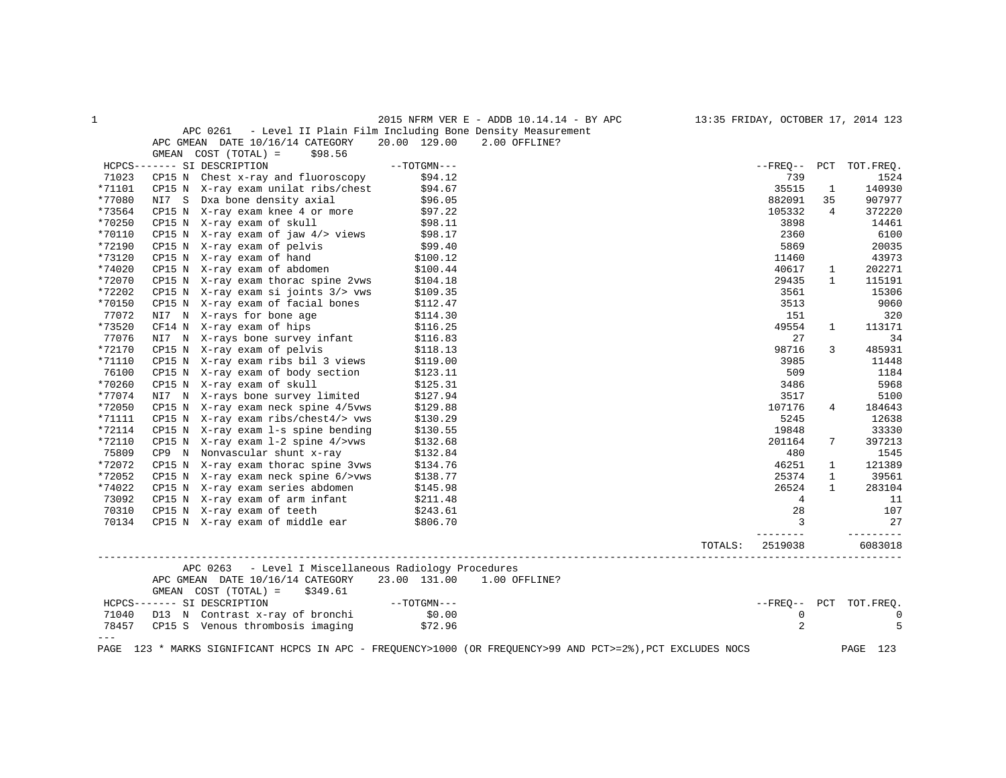| $\mathbf{1}$     |                                                                                                                                                                                                                                  |                      | 2015 NFRM VER E - ADDB 10.14.14 - BY APC 13:35 FRIDAY, OCTOBER 17, 2014 123                                 |                 |                        |
|------------------|----------------------------------------------------------------------------------------------------------------------------------------------------------------------------------------------------------------------------------|----------------------|-------------------------------------------------------------------------------------------------------------|-----------------|------------------------|
|                  | APC 0261 - Level II Plain Film Including Bone Density Measurement<br>APC GMEAN DATE 10/16/14 CATEGORY                                                                                                                            |                      | 20.00 129.00 2.00 OFFLINE?                                                                                  |                 |                        |
|                  | GMEAN $COST (TOTAL) = $98.56$                                                                                                                                                                                                    |                      |                                                                                                             |                 |                        |
|                  | HCPCS------- SI DESCRIPTION                                                                                                                                                                                                      | $--TOTGMN---$        |                                                                                                             |                 | --FREO-- PCT TOT.FREO. |
| 71023            | CP15 N Chest x-ray and fluoroscopy                                                                                                                                                                                               | \$94.12              | 739                                                                                                         |                 | 1524                   |
| *71101           |                                                                                                                                                                                                                                  |                      | 35515                                                                                                       | 1               | 140930                 |
| *77080           | CP15 N X-ray exam unilat ribs/chest \$94.67<br>NI7 S Dxa bone density axial \$96.05                                                                                                                                              |                      | 882091                                                                                                      | 35              | 907977                 |
| *73564           | CP15 N $X$ -ray exam knee 4 or more $$97.22$                                                                                                                                                                                     |                      | 105332                                                                                                      | $\overline{4}$  | 372220                 |
| *70250           | CP15 N $X-ray$ exam of skull $$98.11$<br>CP15 N $X-ray$ exam of jaw $4/$ views $$98.17$                                                                                                                                          |                      | 3898                                                                                                        |                 | 14461                  |
| *70110           |                                                                                                                                                                                                                                  |                      | 2360                                                                                                        |                 | 6100                   |
| *72190           | CP15 N X-ray exam of pelvis<br>CP15 N X-ray exam of pelvis<br>CP15 N X-ray exam of abdomen<br>CP15 N X-ray exam of abdomen<br>CP15 N X-ray exam thorac spine 2vws<br>\$100.44<br>CP15 N X-ray exam thorac spine 2vws<br>\$104.18 |                      | 5869                                                                                                        |                 | 20035                  |
| *73120           |                                                                                                                                                                                                                                  |                      | 11460                                                                                                       |                 | 43973                  |
| *74020           |                                                                                                                                                                                                                                  |                      | 40617                                                                                                       | $\mathbf{1}$    | 202271                 |
| *72070           |                                                                                                                                                                                                                                  |                      | 29435                                                                                                       | $\mathbf{1}$    | 115191                 |
| *72202           |                                                                                                                                                                                                                                  |                      | 3561                                                                                                        |                 | 15306                  |
| *70150           |                                                                                                                                                                                                                                  |                      | 3513                                                                                                        |                 | 9060                   |
| 77072            |                                                                                                                                                                                                                                  |                      | 151                                                                                                         |                 | 320                    |
| *73520           | CP15 N X-ray exam thorac spine zvw.<br>CP15 N X-ray exam si joints $3$ /> vws \$109.35<br>CP15 N X-ray exam of facial bones \$112.47<br>NI7 N X-rays for bone age \$114.30<br>CF14 N X-ray exam of hips \$116.25                 |                      | 49554                                                                                                       | 1               | 113171                 |
| 77076            | CF14 N X-ray exam of hips<br>NI7 N X-rays bone survey infant \$116.25<br>NI7 N X-rays bone survey infant \$116.83<br>CP15 N X-ray exam ribs bil 3 views \$119.00                                                                 |                      |                                                                                                             | 27              | 34                     |
| *72170           |                                                                                                                                                                                                                                  |                      | 98716                                                                                                       | $\mathbf{3}$    | 485931                 |
| *71110           |                                                                                                                                                                                                                                  |                      | 3985                                                                                                        |                 | 11448                  |
| 76100            | CP15 N X-ray exam of body section \$123.11<br>CP15 N X-ray exam of skull \$125.31                                                                                                                                                |                      | 509                                                                                                         |                 | 1184                   |
| *70260           | NI7 N X-rays bone survey limited \$127.94                                                                                                                                                                                        |                      | 3486                                                                                                        |                 | 5968                   |
| *77074           |                                                                                                                                                                                                                                  |                      | 3517                                                                                                        |                 | 5100                   |
| *72050           | CP15 N X-ray exam neck spine 4/5vws                                                                                                                                                                                              | \$129.88<br>\$130.29 | 107176                                                                                                      | $4\overline{ }$ | 184643                 |
| *71111<br>*72114 | CP15 N $X$ -ray exam ribs/chest4/> vws                                                                                                                                                                                           |                      | 5245                                                                                                        |                 | 12638                  |
| *72110           | CP15 N X-ray exam 1-s spine bending<br>CP15 N $X$ -ray exam 1-2 spine 4/>vws                                                                                                                                                     | \$130.55<br>\$132.68 | 19848<br>201164                                                                                             | $7^{\circ}$     | 33330                  |
| 75809            |                                                                                                                                                                                                                                  |                      | 480                                                                                                         |                 | 397213<br>1545         |
| *72072           |                                                                                                                                                                                                                                  |                      | 46251                                                                                                       | 1               | 121389                 |
| *72052           |                                                                                                                                                                                                                                  |                      | 25374                                                                                                       | $\mathbf{1}$    | 39561                  |
| *74022           |                                                                                                                                                                                                                                  |                      | 26524                                                                                                       | $\mathbf{1}$    | 283104                 |
| 73092            | CP9 N Nonvascular shunt x-ray (132.84<br>CP15 N X-ray exam thorac spine 3vws (134.76<br>CP15 N X-ray exam neck spine 6/>vws (138.77<br>CP15 N X-ray exam series abdomen (145.98<br>CP15 N X-ray exam of arm infant (211.48)      |                      |                                                                                                             | $\overline{4}$  | 11                     |
|                  |                                                                                                                                                                                                                                  |                      |                                                                                                             | 28              | 107                    |
|                  | 70310 CP15 N X-ray exam of teeth \$243.61<br>70134 CP15 N X-ray exam of middle ear \$806.70                                                                                                                                      |                      | $\overline{\mathbf{3}}$                                                                                     |                 | 27                     |
|                  |                                                                                                                                                                                                                                  |                      | TOTALS:<br>2519038                                                                                          |                 | ---------<br>6083018   |
|                  | APC 0263 - Level I Miscellaneous Radiology Procedures                                                                                                                                                                            |                      |                                                                                                             |                 |                        |
|                  | APC GMEAN DATE 10/16/14 CATEGORY 23.00 131.00 1.00 OFFLINE?<br>GMEAN COST $(TOTAL) = $349.61$                                                                                                                                    |                      |                                                                                                             |                 |                        |
|                  |                                                                                                                                                                                                                                  |                      |                                                                                                             |                 | --FREQ-- PCT TOT.FREQ. |
|                  |                                                                                                                                                                                                                                  |                      |                                                                                                             | $\mathbf 0$     | $\mathbf 0$            |
|                  | HCPCS------- SI DESCRIPTION ---<br>71040 D13 N Contrast x-ray of bronchi \$0.00<br>78457 CP15 S Venous thrombosis imaging \$72.96                                                                                                |                      |                                                                                                             | $\overline{2}$  | 5                      |
| $---$            |                                                                                                                                                                                                                                  |                      | PAGE 123 * MARKS SIGNIFICANT HCPCS IN APC - FREQUENCY>1000 (OR FREQUENCY>99 AND PCT>=2%), PCT EXCLUDES NOCS |                 | PAGE 123               |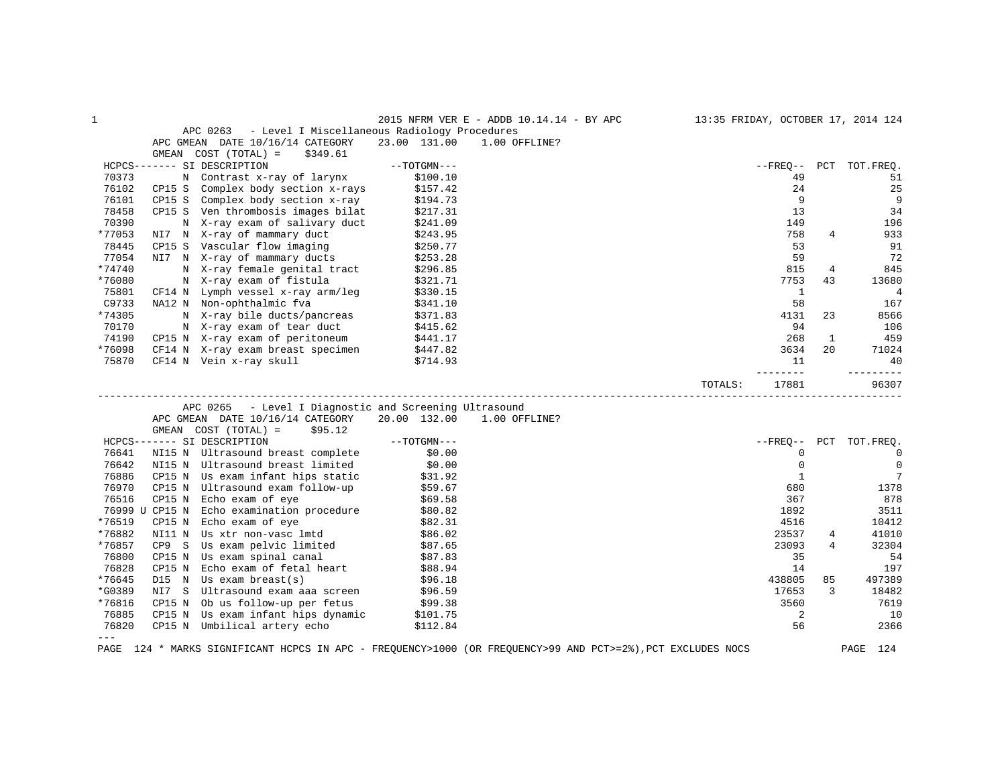| $\mathbf{1}$ |                                                                                                             |               | 2015 NFRM VER E - ADDB 10.14.14 - BY APC | 13:35 FRIDAY, OCTOBER 17, 2014 124 |     |                |
|--------------|-------------------------------------------------------------------------------------------------------------|---------------|------------------------------------------|------------------------------------|-----|----------------|
|              | APC 0263<br>- Level I Miscellaneous Radiology Procedures                                                    |               |                                          |                                    |     |                |
|              | APC GMEAN DATE 10/16/14 CATEGORY                                                                            | 23.00 131.00  | 1.00 OFFLINE?                            |                                    |     |                |
|              | GMEAN COST (TOTAL) =<br>\$349.61                                                                            |               |                                          |                                    |     |                |
|              | HCPCS------- SI DESCRIPTION                                                                                 | $--TOTGMN---$ |                                          | $- FREO--$                         | PCT | TOT.FREQ.      |
| 70373        | N Contrast x-ray of larynx                                                                                  | \$100.10      |                                          | 49                                 |     | 51             |
| 76102        | Complex body section x-rays<br>CP15 S                                                                       | \$157.42      |                                          | 24                                 |     | 25             |
| 76101        | Complex body section x-ray<br>CP15 S                                                                        | \$194.73      |                                          | 9                                  |     | 9              |
| 78458        | CP15 S Ven thrombosis images bilat                                                                          | \$217.31      |                                          | 13                                 |     | 34             |
| 70390        | N X-ray exam of salivary duct                                                                               | \$241.09      |                                          | 149                                |     | 196            |
| *77053       | NI7 N X-ray of mammary duct                                                                                 | \$243.95      |                                          | 758                                | 4   | 933            |
| 78445        | CP15 S Vascular flow imaging                                                                                | \$250.77      |                                          | 53                                 |     | 91             |
| 77054        | NI7 N X-ray of mammary ducts                                                                                | \$253.28      |                                          | 59                                 |     | 72             |
| *74740       | N X-ray female genital tract                                                                                | \$296.85      |                                          | 815                                | 4   | 845            |
| *76080       | N X-ray exam of fistula                                                                                     | \$321.71      |                                          | 7753                               | 43  | 13680          |
| 75801        | CF14 N Lymph vessel x-ray arm/leg                                                                           | \$330.15      |                                          | 1                                  |     | $\overline{4}$ |
| C9733        | NA12 N Non-ophthalmic fva                                                                                   | \$341.10      |                                          | 58                                 |     | 167            |
| *74305       | N X-ray bile ducts/pancreas                                                                                 | \$371.83      |                                          | 4131                               | 23  | 8566           |
| 70170        | N X-ray exam of tear duct                                                                                   | \$415.62      |                                          | 94                                 |     | 106            |
| 74190        | CP15 N X-ray exam of peritoneum                                                                             | \$441.17      |                                          | 268                                | 1   | 459            |
| *76098       | CF14 N X-ray exam breast specimen                                                                           | \$447.82      |                                          | 3634                               | 20  | 71024          |
| 75870        | CF14 N Vein x-ray skull                                                                                     | \$714.93      |                                          | 11                                 |     | 40             |
|              |                                                                                                             |               |                                          | $- - - - -$                        |     | $- - - - -$    |
|              |                                                                                                             |               |                                          | 17881<br>TOTALS:                   |     | 96307          |
|              | - Level I Diagnostic and Screening Ultrasound<br>APC 0265                                                   |               |                                          |                                    |     |                |
|              | APC GMEAN DATE 10/16/14 CATEGORY                                                                            | 20.00 132.00  | 1.00 OFFLINE?                            |                                    |     |                |
|              | \$95.12<br>GMEAN COST (TOTAL) =                                                                             |               |                                          |                                    |     |                |
|              | HCPCS------- SI DESCRIPTION                                                                                 | $--TOTGMN---$ |                                          | $- FREQ--$                         | PCT | TOT.FREQ.      |
| 76641        | NI15 N Ultrasound breast complete                                                                           | \$0.00        |                                          | $\mathbf 0$                        |     | $\mathbf 0$    |
| 76642        | NI15 N Ultrasound breast limited                                                                            | \$0.00        |                                          | $\mathbf 0$                        |     | $\mathbf 0$    |
| 76886        | CP15 N Us exam infant hips static                                                                           | \$31.92       |                                          | $\mathbf{1}$                       |     | 7              |
| 76970        | Ultrasound exam follow-up<br>CP15 N                                                                         | \$59.67       |                                          | 680                                |     | 1378           |
| 76516        | Echo exam of eye<br>CP15 N                                                                                  | \$69.58       |                                          | 367                                |     | 878            |
|              | 76999 U CP15 N<br>Echo examination procedure                                                                | \$80.82       |                                          | 1892                               |     | 3511           |
| *76519       | CP15 N<br>Echo exam of eye                                                                                  | \$82.31       |                                          | 4516                               |     | 10412          |
| *76882       | Us xtr non-vasc lmtd<br>NI11 N                                                                              | \$86.02       |                                          | 23537                              | 4   | 41010          |
| *76857       | CP9 S<br>Us exam pelvic limited                                                                             | \$87.65       |                                          | 23093                              | 4   | 32304          |
| 76800        | CP15 N<br>Us exam spinal canal                                                                              | \$87.83       |                                          | 35                                 |     | 54             |
| 76828        | Echo exam of fetal heart<br>CP15 N                                                                          | \$88.94       |                                          | 14                                 |     | 197            |
| *76645       | Us exam $break(s)$<br>D15 N                                                                                 | \$96.18       |                                          | 438805                             | 85  | 497389         |
| *G0389       | Ultrasound exam aaa screen<br>NI7 S                                                                         | \$96.59       |                                          | 17653                              | 3   | 18482          |
| *76816       | Ob us follow-up per fetus<br>CP15 N                                                                         | \$99.38       |                                          | 3560                               |     | 7619           |
| 76885        | Us exam infant hips dynamic<br>CP15 N                                                                       | \$101.75      |                                          | 2                                  |     | 10             |
| 76820        | CP15 N Umbilical artery echo                                                                                | \$112.84      |                                          | 56                                 |     | 2366           |
| $---$        |                                                                                                             |               |                                          |                                    |     |                |
|              | PAGE 124 * MARKS SIGNIFICANT HCPCS IN APC - FREQUENCY>1000 (OR FREQUENCY>99 AND PCT>=2%), PCT EXCLUDES NOCS |               |                                          |                                    |     | PAGE<br>124    |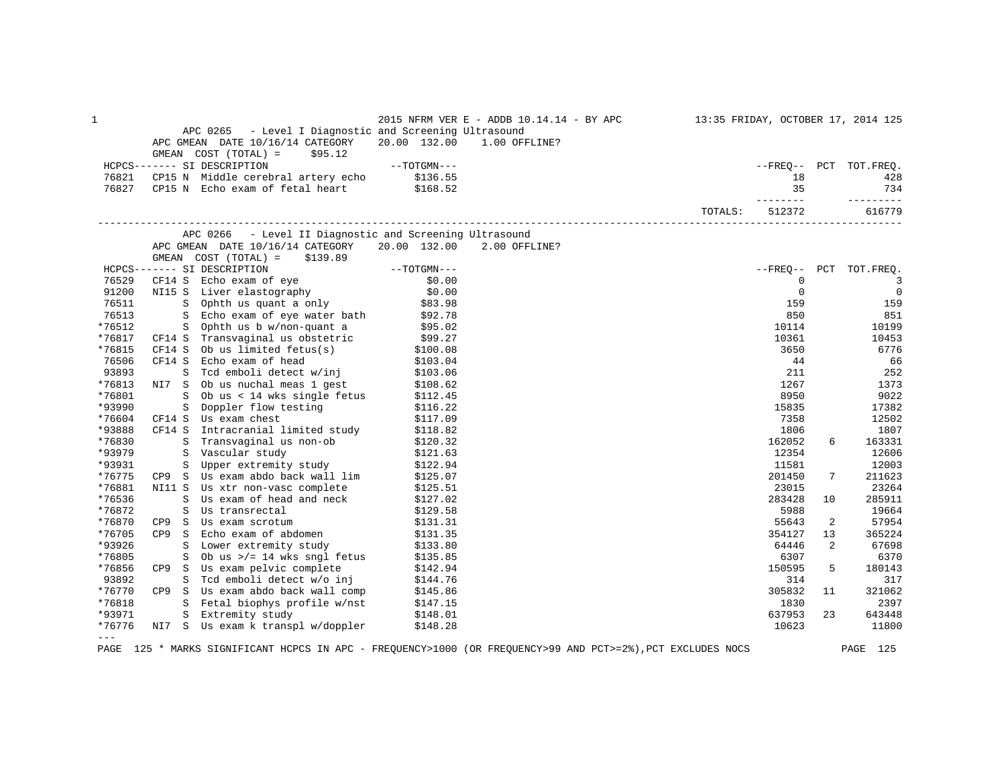| $--TOTGMN---$<br>HCPCS------- SI DESCRIPTION<br>--FREO-- PCT TOT.FREO.<br>CP15 N Middle cerebral artery echo \$136.55<br>76821<br>18<br>428<br>76827<br>CP15 N Echo exam of fetal heart \$168.52<br>35<br>734<br>_________<br>----------<br>512372<br>616779<br>TOTALS:<br>- Level II Diagnostic and Screening Ultrasound<br>APC 0266<br>APC GMEAN DATE 10/16/14 CATEGORY 20.00 132.00<br>2.00 OFFLINE?<br>GMEAN $COST (TOTAL) = $139.89$<br>GMEAN COST (TOTAL) = \$139.89<br>----- SI DESCRIPTION --TOTGMN---<br>CF14 S Echo exam of eye \$0.00<br>NI15 S Liver elastography \$0.00<br>S Ophth us quant a only \$83.98<br>S Echo exam of eye water bath \$92.78<br>HCPCS------- SI DESCRIPTION<br>--FREQ-- PCT TOT.FREQ.<br>$\overline{\phantom{a}}$<br>76529<br>$\mathbf 0$<br>$\mathbf 0$<br>$\overline{0}$<br>91200<br>76511<br>159<br>159<br>76513<br>850<br>851<br>S Ophthus b w/non-quant a<br>S Ophthus b w/non-quant a<br>S Ophthus b w/non-quant a<br>$\frac{595.02}{799.27}$<br>CF14 S Ob us limited fetus(s) \$100.08<br>*76512<br>10114<br>10199<br>*76817<br>10361<br>10453<br>*76815<br>6776<br>3650<br>76506<br>CF14 S<br>Echo exam of head<br>44<br>66<br>\$103.04<br>\$103.06<br>S Tcd emboli detect w/inj<br>93893<br>211<br>252<br>NI7 S Ob us nuchal meas 1 gest \$108.62<br>*76813<br>1267<br>1373<br>*76801<br>S Ob us < 14 wks single fetus \$112.45<br>S Doppler flow testing \$116.22<br>8950<br>9022<br>*93990<br>15835<br>17382<br>Us exam chest<br>*76604<br>\$117.09<br>7358<br>12502<br>CF14 S<br>*93888<br>CF14 S<br>S Intracranial limited study $$118.82$<br>S Transvaginal us non-ob $$120.32$<br>1806<br>1807<br>*76830<br>162052<br>6<br>163331<br>*93979<br>12354<br>12606<br>S Vascular study<br>S Upper extremity study<br>\$121.63<br>*93931<br>11581<br>12003<br>\$122.94<br>Us exam abdo back wall lim<br>*76775<br>\$125.07<br>201450<br>7<br>211623<br>CP9 S<br>*76881<br>23015<br>23264<br>NI11 S Us xtr non-vasc complete<br>\$125.51<br>S Us exam of head and neck<br>*76536<br>283428<br>\$127.02<br>10<br>285911<br>*76872<br>Us transrectal<br>5988<br>\$129.58<br>19664<br>S<br>*76870<br>Us exam scrotum<br>55643<br>$\mathbf{S}$<br>\$131.31<br>2<br>57954<br>CP9<br>Echo exam of abdomen<br>*76705<br>354127<br>365224<br>CP9 S<br>\$131.35<br>13<br>*93926<br>64446<br>Lower extremity study<br>\$133.80<br>2<br>67698<br>S<br>*76805<br>6307<br>6370<br>S<br>*76856<br>CP9 S Us exam pelvic complete<br>150595<br>\$142.94<br>5<br>180143<br>93892<br>S Tcd emboli detect w/o inj<br>\$144.76<br>314<br>317<br>\$145.86<br>*76770<br>CP9 S Us exam abdo back wall comp<br>305832<br>321062<br>11<br>*76818<br>S Fetal biophys profile w/nst \$147.15<br>S Extremity study \$148.01<br>1830<br>2397<br>*93971<br>637953<br>S Extremity study<br>\$148.01<br>23<br>643448<br>*76776<br>NI7 S Us exam k transpl w/doppler<br>\$148.28<br>10623<br>11800<br>$---$ | $\mathbf 1$ | APC 0265 - Level I Diagnostic and Screening Ultrasound<br>APC GMEAN DATE 10/16/14 CATEGORY<br>GMEAN $COST (TOTAL) = $95.12$ | 20.00 132.00 | 2015 NFRM VER E - ADDB 10.14.14 - BY APC 13:35 FRIDAY, OCTOBER 17, 2014 125<br>1.00 OFFLINE? |  |  |
|------------------------------------------------------------------------------------------------------------------------------------------------------------------------------------------------------------------------------------------------------------------------------------------------------------------------------------------------------------------------------------------------------------------------------------------------------------------------------------------------------------------------------------------------------------------------------------------------------------------------------------------------------------------------------------------------------------------------------------------------------------------------------------------------------------------------------------------------------------------------------------------------------------------------------------------------------------------------------------------------------------------------------------------------------------------------------------------------------------------------------------------------------------------------------------------------------------------------------------------------------------------------------------------------------------------------------------------------------------------------------------------------------------------------------------------------------------------------------------------------------------------------------------------------------------------------------------------------------------------------------------------------------------------------------------------------------------------------------------------------------------------------------------------------------------------------------------------------------------------------------------------------------------------------------------------------------------------------------------------------------------------------------------------------------------------------------------------------------------------------------------------------------------------------------------------------------------------------------------------------------------------------------------------------------------------------------------------------------------------------------------------------------------------------------------------------------------------------------------------------------------------------------------------------------------------------------------------------------------------------------------------------------------------------------------------------------------------------------------------------------------------------------------------------------------------------------------------------------------------------------------------------------------------------|-------------|-----------------------------------------------------------------------------------------------------------------------------|--------------|----------------------------------------------------------------------------------------------|--|--|
|                                                                                                                                                                                                                                                                                                                                                                                                                                                                                                                                                                                                                                                                                                                                                                                                                                                                                                                                                                                                                                                                                                                                                                                                                                                                                                                                                                                                                                                                                                                                                                                                                                                                                                                                                                                                                                                                                                                                                                                                                                                                                                                                                                                                                                                                                                                                                                                                                                                                                                                                                                                                                                                                                                                                                                                                                                                                                                                        |             |                                                                                                                             |              |                                                                                              |  |  |
|                                                                                                                                                                                                                                                                                                                                                                                                                                                                                                                                                                                                                                                                                                                                                                                                                                                                                                                                                                                                                                                                                                                                                                                                                                                                                                                                                                                                                                                                                                                                                                                                                                                                                                                                                                                                                                                                                                                                                                                                                                                                                                                                                                                                                                                                                                                                                                                                                                                                                                                                                                                                                                                                                                                                                                                                                                                                                                                        |             |                                                                                                                             |              |                                                                                              |  |  |
|                                                                                                                                                                                                                                                                                                                                                                                                                                                                                                                                                                                                                                                                                                                                                                                                                                                                                                                                                                                                                                                                                                                                                                                                                                                                                                                                                                                                                                                                                                                                                                                                                                                                                                                                                                                                                                                                                                                                                                                                                                                                                                                                                                                                                                                                                                                                                                                                                                                                                                                                                                                                                                                                                                                                                                                                                                                                                                                        |             |                                                                                                                             |              |                                                                                              |  |  |
|                                                                                                                                                                                                                                                                                                                                                                                                                                                                                                                                                                                                                                                                                                                                                                                                                                                                                                                                                                                                                                                                                                                                                                                                                                                                                                                                                                                                                                                                                                                                                                                                                                                                                                                                                                                                                                                                                                                                                                                                                                                                                                                                                                                                                                                                                                                                                                                                                                                                                                                                                                                                                                                                                                                                                                                                                                                                                                                        |             |                                                                                                                             |              |                                                                                              |  |  |
|                                                                                                                                                                                                                                                                                                                                                                                                                                                                                                                                                                                                                                                                                                                                                                                                                                                                                                                                                                                                                                                                                                                                                                                                                                                                                                                                                                                                                                                                                                                                                                                                                                                                                                                                                                                                                                                                                                                                                                                                                                                                                                                                                                                                                                                                                                                                                                                                                                                                                                                                                                                                                                                                                                                                                                                                                                                                                                                        |             |                                                                                                                             |              |                                                                                              |  |  |
|                                                                                                                                                                                                                                                                                                                                                                                                                                                                                                                                                                                                                                                                                                                                                                                                                                                                                                                                                                                                                                                                                                                                                                                                                                                                                                                                                                                                                                                                                                                                                                                                                                                                                                                                                                                                                                                                                                                                                                                                                                                                                                                                                                                                                                                                                                                                                                                                                                                                                                                                                                                                                                                                                                                                                                                                                                                                                                                        |             |                                                                                                                             |              |                                                                                              |  |  |
|                                                                                                                                                                                                                                                                                                                                                                                                                                                                                                                                                                                                                                                                                                                                                                                                                                                                                                                                                                                                                                                                                                                                                                                                                                                                                                                                                                                                                                                                                                                                                                                                                                                                                                                                                                                                                                                                                                                                                                                                                                                                                                                                                                                                                                                                                                                                                                                                                                                                                                                                                                                                                                                                                                                                                                                                                                                                                                                        |             |                                                                                                                             |              |                                                                                              |  |  |
|                                                                                                                                                                                                                                                                                                                                                                                                                                                                                                                                                                                                                                                                                                                                                                                                                                                                                                                                                                                                                                                                                                                                                                                                                                                                                                                                                                                                                                                                                                                                                                                                                                                                                                                                                                                                                                                                                                                                                                                                                                                                                                                                                                                                                                                                                                                                                                                                                                                                                                                                                                                                                                                                                                                                                                                                                                                                                                                        |             |                                                                                                                             |              |                                                                                              |  |  |
|                                                                                                                                                                                                                                                                                                                                                                                                                                                                                                                                                                                                                                                                                                                                                                                                                                                                                                                                                                                                                                                                                                                                                                                                                                                                                                                                                                                                                                                                                                                                                                                                                                                                                                                                                                                                                                                                                                                                                                                                                                                                                                                                                                                                                                                                                                                                                                                                                                                                                                                                                                                                                                                                                                                                                                                                                                                                                                                        |             |                                                                                                                             |              |                                                                                              |  |  |
|                                                                                                                                                                                                                                                                                                                                                                                                                                                                                                                                                                                                                                                                                                                                                                                                                                                                                                                                                                                                                                                                                                                                                                                                                                                                                                                                                                                                                                                                                                                                                                                                                                                                                                                                                                                                                                                                                                                                                                                                                                                                                                                                                                                                                                                                                                                                                                                                                                                                                                                                                                                                                                                                                                                                                                                                                                                                                                                        |             |                                                                                                                             |              |                                                                                              |  |  |
|                                                                                                                                                                                                                                                                                                                                                                                                                                                                                                                                                                                                                                                                                                                                                                                                                                                                                                                                                                                                                                                                                                                                                                                                                                                                                                                                                                                                                                                                                                                                                                                                                                                                                                                                                                                                                                                                                                                                                                                                                                                                                                                                                                                                                                                                                                                                                                                                                                                                                                                                                                                                                                                                                                                                                                                                                                                                                                                        |             |                                                                                                                             |              |                                                                                              |  |  |
|                                                                                                                                                                                                                                                                                                                                                                                                                                                                                                                                                                                                                                                                                                                                                                                                                                                                                                                                                                                                                                                                                                                                                                                                                                                                                                                                                                                                                                                                                                                                                                                                                                                                                                                                                                                                                                                                                                                                                                                                                                                                                                                                                                                                                                                                                                                                                                                                                                                                                                                                                                                                                                                                                                                                                                                                                                                                                                                        |             |                                                                                                                             |              |                                                                                              |  |  |
|                                                                                                                                                                                                                                                                                                                                                                                                                                                                                                                                                                                                                                                                                                                                                                                                                                                                                                                                                                                                                                                                                                                                                                                                                                                                                                                                                                                                                                                                                                                                                                                                                                                                                                                                                                                                                                                                                                                                                                                                                                                                                                                                                                                                                                                                                                                                                                                                                                                                                                                                                                                                                                                                                                                                                                                                                                                                                                                        |             |                                                                                                                             |              |                                                                                              |  |  |
|                                                                                                                                                                                                                                                                                                                                                                                                                                                                                                                                                                                                                                                                                                                                                                                                                                                                                                                                                                                                                                                                                                                                                                                                                                                                                                                                                                                                                                                                                                                                                                                                                                                                                                                                                                                                                                                                                                                                                                                                                                                                                                                                                                                                                                                                                                                                                                                                                                                                                                                                                                                                                                                                                                                                                                                                                                                                                                                        |             |                                                                                                                             |              |                                                                                              |  |  |
|                                                                                                                                                                                                                                                                                                                                                                                                                                                                                                                                                                                                                                                                                                                                                                                                                                                                                                                                                                                                                                                                                                                                                                                                                                                                                                                                                                                                                                                                                                                                                                                                                                                                                                                                                                                                                                                                                                                                                                                                                                                                                                                                                                                                                                                                                                                                                                                                                                                                                                                                                                                                                                                                                                                                                                                                                                                                                                                        |             |                                                                                                                             |              |                                                                                              |  |  |
|                                                                                                                                                                                                                                                                                                                                                                                                                                                                                                                                                                                                                                                                                                                                                                                                                                                                                                                                                                                                                                                                                                                                                                                                                                                                                                                                                                                                                                                                                                                                                                                                                                                                                                                                                                                                                                                                                                                                                                                                                                                                                                                                                                                                                                                                                                                                                                                                                                                                                                                                                                                                                                                                                                                                                                                                                                                                                                                        |             |                                                                                                                             |              |                                                                                              |  |  |
|                                                                                                                                                                                                                                                                                                                                                                                                                                                                                                                                                                                                                                                                                                                                                                                                                                                                                                                                                                                                                                                                                                                                                                                                                                                                                                                                                                                                                                                                                                                                                                                                                                                                                                                                                                                                                                                                                                                                                                                                                                                                                                                                                                                                                                                                                                                                                                                                                                                                                                                                                                                                                                                                                                                                                                                                                                                                                                                        |             |                                                                                                                             |              |                                                                                              |  |  |
|                                                                                                                                                                                                                                                                                                                                                                                                                                                                                                                                                                                                                                                                                                                                                                                                                                                                                                                                                                                                                                                                                                                                                                                                                                                                                                                                                                                                                                                                                                                                                                                                                                                                                                                                                                                                                                                                                                                                                                                                                                                                                                                                                                                                                                                                                                                                                                                                                                                                                                                                                                                                                                                                                                                                                                                                                                                                                                                        |             |                                                                                                                             |              |                                                                                              |  |  |
|                                                                                                                                                                                                                                                                                                                                                                                                                                                                                                                                                                                                                                                                                                                                                                                                                                                                                                                                                                                                                                                                                                                                                                                                                                                                                                                                                                                                                                                                                                                                                                                                                                                                                                                                                                                                                                                                                                                                                                                                                                                                                                                                                                                                                                                                                                                                                                                                                                                                                                                                                                                                                                                                                                                                                                                                                                                                                                                        |             |                                                                                                                             |              |                                                                                              |  |  |
|                                                                                                                                                                                                                                                                                                                                                                                                                                                                                                                                                                                                                                                                                                                                                                                                                                                                                                                                                                                                                                                                                                                                                                                                                                                                                                                                                                                                                                                                                                                                                                                                                                                                                                                                                                                                                                                                                                                                                                                                                                                                                                                                                                                                                                                                                                                                                                                                                                                                                                                                                                                                                                                                                                                                                                                                                                                                                                                        |             |                                                                                                                             |              |                                                                                              |  |  |
|                                                                                                                                                                                                                                                                                                                                                                                                                                                                                                                                                                                                                                                                                                                                                                                                                                                                                                                                                                                                                                                                                                                                                                                                                                                                                                                                                                                                                                                                                                                                                                                                                                                                                                                                                                                                                                                                                                                                                                                                                                                                                                                                                                                                                                                                                                                                                                                                                                                                                                                                                                                                                                                                                                                                                                                                                                                                                                                        |             |                                                                                                                             |              |                                                                                              |  |  |
|                                                                                                                                                                                                                                                                                                                                                                                                                                                                                                                                                                                                                                                                                                                                                                                                                                                                                                                                                                                                                                                                                                                                                                                                                                                                                                                                                                                                                                                                                                                                                                                                                                                                                                                                                                                                                                                                                                                                                                                                                                                                                                                                                                                                                                                                                                                                                                                                                                                                                                                                                                                                                                                                                                                                                                                                                                                                                                                        |             |                                                                                                                             |              |                                                                                              |  |  |
|                                                                                                                                                                                                                                                                                                                                                                                                                                                                                                                                                                                                                                                                                                                                                                                                                                                                                                                                                                                                                                                                                                                                                                                                                                                                                                                                                                                                                                                                                                                                                                                                                                                                                                                                                                                                                                                                                                                                                                                                                                                                                                                                                                                                                                                                                                                                                                                                                                                                                                                                                                                                                                                                                                                                                                                                                                                                                                                        |             |                                                                                                                             |              |                                                                                              |  |  |
|                                                                                                                                                                                                                                                                                                                                                                                                                                                                                                                                                                                                                                                                                                                                                                                                                                                                                                                                                                                                                                                                                                                                                                                                                                                                                                                                                                                                                                                                                                                                                                                                                                                                                                                                                                                                                                                                                                                                                                                                                                                                                                                                                                                                                                                                                                                                                                                                                                                                                                                                                                                                                                                                                                                                                                                                                                                                                                                        |             |                                                                                                                             |              |                                                                                              |  |  |
|                                                                                                                                                                                                                                                                                                                                                                                                                                                                                                                                                                                                                                                                                                                                                                                                                                                                                                                                                                                                                                                                                                                                                                                                                                                                                                                                                                                                                                                                                                                                                                                                                                                                                                                                                                                                                                                                                                                                                                                                                                                                                                                                                                                                                                                                                                                                                                                                                                                                                                                                                                                                                                                                                                                                                                                                                                                                                                                        |             |                                                                                                                             |              |                                                                                              |  |  |
|                                                                                                                                                                                                                                                                                                                                                                                                                                                                                                                                                                                                                                                                                                                                                                                                                                                                                                                                                                                                                                                                                                                                                                                                                                                                                                                                                                                                                                                                                                                                                                                                                                                                                                                                                                                                                                                                                                                                                                                                                                                                                                                                                                                                                                                                                                                                                                                                                                                                                                                                                                                                                                                                                                                                                                                                                                                                                                                        |             |                                                                                                                             |              |                                                                                              |  |  |
|                                                                                                                                                                                                                                                                                                                                                                                                                                                                                                                                                                                                                                                                                                                                                                                                                                                                                                                                                                                                                                                                                                                                                                                                                                                                                                                                                                                                                                                                                                                                                                                                                                                                                                                                                                                                                                                                                                                                                                                                                                                                                                                                                                                                                                                                                                                                                                                                                                                                                                                                                                                                                                                                                                                                                                                                                                                                                                                        |             |                                                                                                                             |              |                                                                                              |  |  |
|                                                                                                                                                                                                                                                                                                                                                                                                                                                                                                                                                                                                                                                                                                                                                                                                                                                                                                                                                                                                                                                                                                                                                                                                                                                                                                                                                                                                                                                                                                                                                                                                                                                                                                                                                                                                                                                                                                                                                                                                                                                                                                                                                                                                                                                                                                                                                                                                                                                                                                                                                                                                                                                                                                                                                                                                                                                                                                                        |             |                                                                                                                             |              |                                                                                              |  |  |
|                                                                                                                                                                                                                                                                                                                                                                                                                                                                                                                                                                                                                                                                                                                                                                                                                                                                                                                                                                                                                                                                                                                                                                                                                                                                                                                                                                                                                                                                                                                                                                                                                                                                                                                                                                                                                                                                                                                                                                                                                                                                                                                                                                                                                                                                                                                                                                                                                                                                                                                                                                                                                                                                                                                                                                                                                                                                                                                        |             |                                                                                                                             |              |                                                                                              |  |  |
|                                                                                                                                                                                                                                                                                                                                                                                                                                                                                                                                                                                                                                                                                                                                                                                                                                                                                                                                                                                                                                                                                                                                                                                                                                                                                                                                                                                                                                                                                                                                                                                                                                                                                                                                                                                                                                                                                                                                                                                                                                                                                                                                                                                                                                                                                                                                                                                                                                                                                                                                                                                                                                                                                                                                                                                                                                                                                                                        |             |                                                                                                                             |              |                                                                                              |  |  |
|                                                                                                                                                                                                                                                                                                                                                                                                                                                                                                                                                                                                                                                                                                                                                                                                                                                                                                                                                                                                                                                                                                                                                                                                                                                                                                                                                                                                                                                                                                                                                                                                                                                                                                                                                                                                                                                                                                                                                                                                                                                                                                                                                                                                                                                                                                                                                                                                                                                                                                                                                                                                                                                                                                                                                                                                                                                                                                                        |             |                                                                                                                             |              |                                                                                              |  |  |
|                                                                                                                                                                                                                                                                                                                                                                                                                                                                                                                                                                                                                                                                                                                                                                                                                                                                                                                                                                                                                                                                                                                                                                                                                                                                                                                                                                                                                                                                                                                                                                                                                                                                                                                                                                                                                                                                                                                                                                                                                                                                                                                                                                                                                                                                                                                                                                                                                                                                                                                                                                                                                                                                                                                                                                                                                                                                                                                        |             |                                                                                                                             |              |                                                                                              |  |  |
|                                                                                                                                                                                                                                                                                                                                                                                                                                                                                                                                                                                                                                                                                                                                                                                                                                                                                                                                                                                                                                                                                                                                                                                                                                                                                                                                                                                                                                                                                                                                                                                                                                                                                                                                                                                                                                                                                                                                                                                                                                                                                                                                                                                                                                                                                                                                                                                                                                                                                                                                                                                                                                                                                                                                                                                                                                                                                                                        |             |                                                                                                                             |              |                                                                                              |  |  |
|                                                                                                                                                                                                                                                                                                                                                                                                                                                                                                                                                                                                                                                                                                                                                                                                                                                                                                                                                                                                                                                                                                                                                                                                                                                                                                                                                                                                                                                                                                                                                                                                                                                                                                                                                                                                                                                                                                                                                                                                                                                                                                                                                                                                                                                                                                                                                                                                                                                                                                                                                                                                                                                                                                                                                                                                                                                                                                                        |             |                                                                                                                             |              |                                                                                              |  |  |
|                                                                                                                                                                                                                                                                                                                                                                                                                                                                                                                                                                                                                                                                                                                                                                                                                                                                                                                                                                                                                                                                                                                                                                                                                                                                                                                                                                                                                                                                                                                                                                                                                                                                                                                                                                                                                                                                                                                                                                                                                                                                                                                                                                                                                                                                                                                                                                                                                                                                                                                                                                                                                                                                                                                                                                                                                                                                                                                        |             |                                                                                                                             |              |                                                                                              |  |  |
|                                                                                                                                                                                                                                                                                                                                                                                                                                                                                                                                                                                                                                                                                                                                                                                                                                                                                                                                                                                                                                                                                                                                                                                                                                                                                                                                                                                                                                                                                                                                                                                                                                                                                                                                                                                                                                                                                                                                                                                                                                                                                                                                                                                                                                                                                                                                                                                                                                                                                                                                                                                                                                                                                                                                                                                                                                                                                                                        |             |                                                                                                                             |              |                                                                                              |  |  |
|                                                                                                                                                                                                                                                                                                                                                                                                                                                                                                                                                                                                                                                                                                                                                                                                                                                                                                                                                                                                                                                                                                                                                                                                                                                                                                                                                                                                                                                                                                                                                                                                                                                                                                                                                                                                                                                                                                                                                                                                                                                                                                                                                                                                                                                                                                                                                                                                                                                                                                                                                                                                                                                                                                                                                                                                                                                                                                                        |             |                                                                                                                             |              |                                                                                              |  |  |
|                                                                                                                                                                                                                                                                                                                                                                                                                                                                                                                                                                                                                                                                                                                                                                                                                                                                                                                                                                                                                                                                                                                                                                                                                                                                                                                                                                                                                                                                                                                                                                                                                                                                                                                                                                                                                                                                                                                                                                                                                                                                                                                                                                                                                                                                                                                                                                                                                                                                                                                                                                                                                                                                                                                                                                                                                                                                                                                        |             |                                                                                                                             |              |                                                                                              |  |  |
|                                                                                                                                                                                                                                                                                                                                                                                                                                                                                                                                                                                                                                                                                                                                                                                                                                                                                                                                                                                                                                                                                                                                                                                                                                                                                                                                                                                                                                                                                                                                                                                                                                                                                                                                                                                                                                                                                                                                                                                                                                                                                                                                                                                                                                                                                                                                                                                                                                                                                                                                                                                                                                                                                                                                                                                                                                                                                                                        |             |                                                                                                                             |              |                                                                                              |  |  |

PAGE 125 \* MARKS SIGNIFICANT HCPCS IN APC - FREQUENCY>1000 (OR FREQUENCY>99 AND PCT>=2%),PCT EXCLUDES NOCS PAGE 125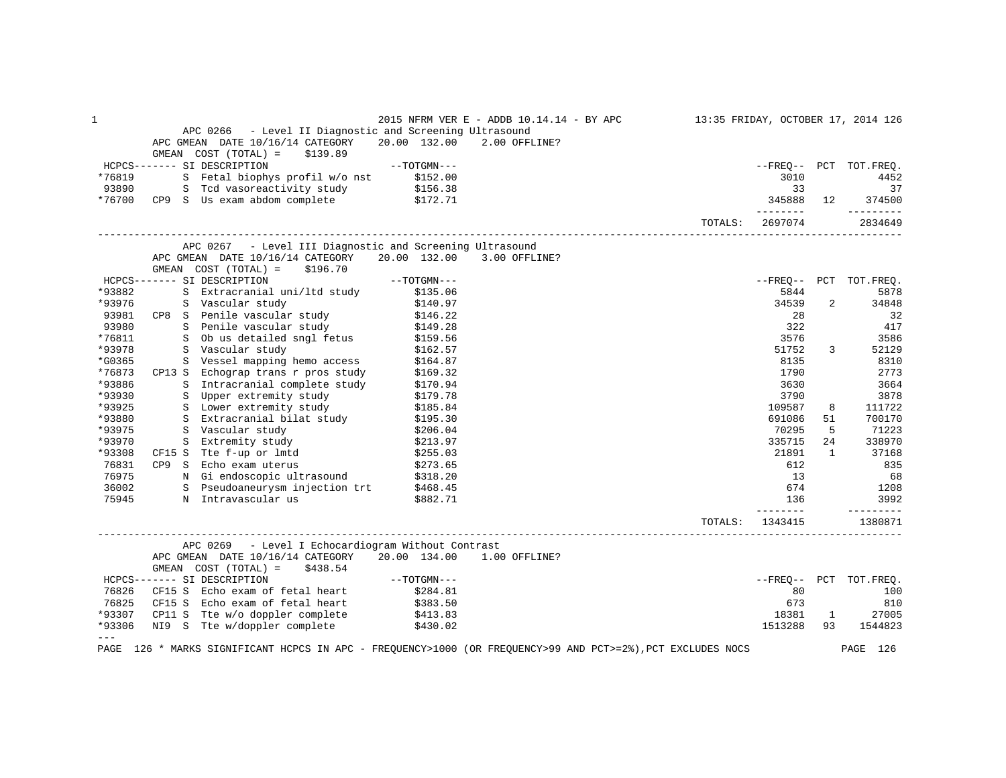| 1<br>2015 NFRM VER E - ADDB 10.14.14 - BY APC                                                                                         |                  |                | 13:35 FRIDAY, OCTOBER 17, 2014 126 |
|---------------------------------------------------------------------------------------------------------------------------------------|------------------|----------------|------------------------------------|
| APC 0266 - Level II Diagnostic and Screening Ultrasound                                                                               |                  |                |                                    |
| APC GMEAN DATE 10/16/14 CATEGORY<br>20.00 132.00<br>2.00 OFFLINE?                                                                     |                  |                |                                    |
| GMEAN COST (TOTAL) =<br>\$139.89                                                                                                      |                  |                |                                    |
| HCPCS------- SI DESCRIPTION<br>$--TOTGMN---$                                                                                          |                  |                | --FREO-- PCT TOT.FREO.             |
| S Fetal biophys profil w/o nst \$152.00<br>S Tcd vasoreactivity study \$156.38<br>*76819                                              | 3010             |                | 4452                               |
| 93890                                                                                                                                 | 33               |                | 37                                 |
| *76700<br>CP9 S Us exam abdom complete \$172.71                                                                                       | 345888           | 12             | 374500                             |
|                                                                                                                                       | --------         |                | ----------                         |
| TOTALS:                                                                                                                               | 2697074          |                | 2834649                            |
| APC 0267 - Level III Diagnostic and Screening Ultrasound                                                                              |                  |                |                                    |
| APC GMEAN DATE 10/16/14 CATEGORY<br>20.00 132.00<br>3.00 OFFLINE?<br>GMEAN COST (TOTAL) =<br>\$196.70                                 |                  |                |                                    |
| HCPCS------- SI DESCRIPTION<br>$--TOTGMN---$                                                                                          |                  |                | --FREQ-- PCT TOT.FREQ.             |
| *93882<br>S Extracranial uni/ltd study<br>\$135.06                                                                                    | 5844             |                | 5878                               |
| *93976<br>\$140.97                                                                                                                    | 34539            | $\overline{2}$ | 34848                              |
| S Vascular study<br>CP8 S Penile vascular study<br>S Penile vascular study<br>93981                                                   | 28               |                | 32                                 |
| \$146.22<br>\$149.28<br>93980                                                                                                         | 322              |                | 417                                |
| *76811                                                                                                                                | 3576             |                | 3586                               |
| 5 Ob us detailed sngl fetus \$159.56<br>S Vascular study \$162.57<br>*93978                                                           | 51752            | 3              | 52129                              |
| S Vessel mapping hemo access<br>*G0365<br>\$164.87                                                                                    | 8135             |                | 8310                               |
| *76873<br>CP13 S Echograp trans r pros study<br>\$169.32                                                                              | 1790             |                | 2773                               |
| S Echograp trans r pros study<br>S Intracranial complete study<br>*93886<br>\$170.94                                                  | 3630             |                | 3664                               |
| *93930<br>S Upper extremity study<br>\$179.78                                                                                         | 3790             |                | 3878                               |
| S Lower extremity study<br>S Lower extremity study<br>S Extraorphic <sup>1</sup><br>*93925<br>\$185.84                                | 109587           | 8              | 111722                             |
| S Extracranial bilat study<br>*93880<br>\$195.30                                                                                      | 691086           | 51             | 700170                             |
| S Vascular study<br>*93975<br>\$206.04                                                                                                | 70295            | 5              | 71223                              |
| *93970<br>S Extremity study<br>\$213.97                                                                                               | 335715           | 24             | 338970                             |
| CF15 S Tte f-up or lmtd<br>*93308<br>\$255.03                                                                                         | 21891            | $\mathbf{1}$   | 37168                              |
| 76831<br>CP9 S Echo exam uterus<br>\$273.65                                                                                           | 612              |                | 835                                |
| 76975<br>N Gi endoscopic ultrasound \$318.20<br>S Pseudoaneurysm injection trt \$468.45                                               | 13               |                | 68                                 |
| 36002                                                                                                                                 | 674              |                | 1208                               |
| 75945<br>N Intravascular us<br>\$882.71                                                                                               | 136<br>--------- |                | 3992<br>----------                 |
| TOTALS:                                                                                                                               | 1343415          |                | 1380871                            |
| APC 0269 - Level I Echocardiogram Without Contrast                                                                                    |                  |                |                                    |
| APC GMEAN DATE 10/16/14 CATEGORY 20.00 134.00<br>1.00 OFFLINE?<br>GMEAN $COST (TOTAL) = $438.54$                                      |                  |                |                                    |
| $--TOTGMN---$<br>HCPCS------- SI DESCRIPTION                                                                                          | --FREQ--         |                | PCT TOT.FREQ.                      |
| CF15 S Echo exam of fetal heart<br>76826<br>\$284.81                                                                                  | 80               |                | 100                                |
| CF15 S Echo exam of fetal heart \$383.50<br>76825                                                                                     | 673              |                | 810                                |
| *93307<br>\$413.83                                                                                                                    | 18381            | 1              | 27005                              |
| CP11 S Tte w/o doppler complete<br>NI9 S Tte w/doppler complete<br>*93306<br>\$430.02                                                 | 1513288          | 93             | 1544823                            |
| $\qquad \qquad - -$<br>126 * MARKS SIGNIFICANT HCPCS IN APC - FREQUENCY>1000 (OR FREQUENCY>99 AND PCT>=2%), PCT EXCLUDES NOCS<br>PAGE |                  |                | PAGE<br>126                        |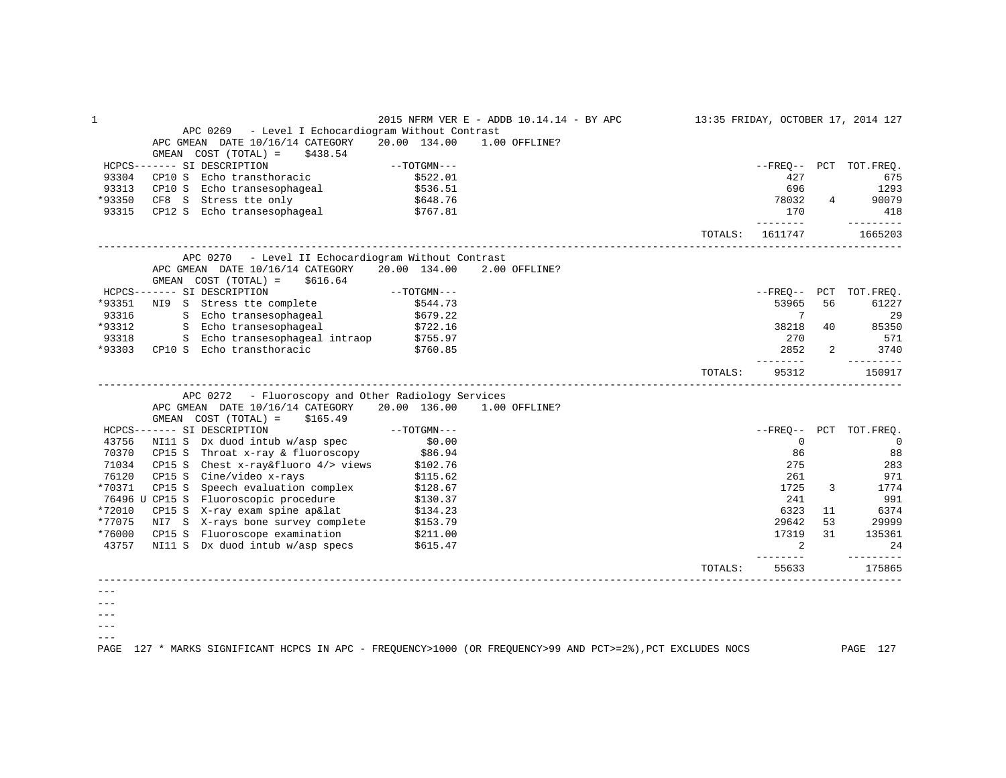| $\mathbf{1}$ |                                                                                                                        |               | 2015 NFRM VER E - ADDB 10.14.14 - BY APC 13:35 FRIDAY, OCTOBER 17, 2014 127 |         |                              |                |                             |
|--------------|------------------------------------------------------------------------------------------------------------------------|---------------|-----------------------------------------------------------------------------|---------|------------------------------|----------------|-----------------------------|
|              | APC 0269 - Level I Echocardiogram Without Contrast                                                                     |               |                                                                             |         |                              |                |                             |
|              | APC GMEAN DATE 10/16/14 CATEGORY                                                                                       | 20.00 134.00  | 1.00 OFFLINE?                                                               |         |                              |                |                             |
|              | GMEAN $COST (TOTAL) = $438.54$                                                                                         |               |                                                                             |         |                              |                |                             |
|              | HCPCS------- SI DESCRIPTION                                                                                            | $--TOTGMN---$ |                                                                             |         |                              |                | --FREQ-- PCT TOT.FREQ.      |
| 93304        | CP10 S Echo transthoracic                                                                                              | \$522.01      |                                                                             |         | 427                          |                | 675                         |
| 93313        | CP10 S Echo transesophageal<br>CF8 S Stress tte only                                                                   | \$536.51      |                                                                             |         | 696                          |                | 1293                        |
| *93350       |                                                                                                                        | \$648.76      |                                                                             |         | 78032                        | $\overline{4}$ | 90079                       |
| 93315        | CP12 S Echo transesophageal \$767.81                                                                                   |               |                                                                             |         | 170                          |                | 418                         |
|              |                                                                                                                        |               |                                                                             |         | _________<br>TOTALS: 1611747 |                | <u>_________</u><br>1665203 |
|              | APC 0270 - Level II Echocardiogram Without Contrast                                                                    |               |                                                                             |         |                              |                |                             |
|              | APC GMEAN DATE 10/16/14 CATEGORY 20.00 134.00<br>GMEAN $COST (TOTAL) = $616.64$                                        |               | 2.00 OFFLINE?                                                               |         |                              |                |                             |
|              | HCPCS------- SI DESCRIPTION --- TOTGMN---                                                                              |               |                                                                             |         |                              |                | --FREQ-- PCT TOT.FREQ.      |
| *93351       | NI9 S Stress tte complete                                                                                              | \$544.73      |                                                                             |         | 53965                        | 56             | 61227                       |
| 93316        | S Echo transesophageal \$679.22                                                                                        |               |                                                                             |         | $7\phantom{0}$               |                | -29                         |
| *93312       | S Echo transesophageal \$722.16                                                                                        |               |                                                                             |         | 38218                        | 40             | 85350                       |
| 93318        | S Echo transesophageal intraop \$755.97                                                                                |               |                                                                             |         | 270                          |                | 571                         |
|              | *93303 CP10 S Echo transthoracic                                                                                       | \$760.85      |                                                                             |         | 2852                         | $\overline{2}$ | 3740                        |
|              |                                                                                                                        |               |                                                                             |         | ________                     |                | $- - - - - - - - -$         |
|              |                                                                                                                        |               |                                                                             | TOTALS: | 95312                        |                | 150917                      |
|              | APC 0272 - Fluoroscopy and Other Radiology Services                                                                    |               |                                                                             |         |                              |                |                             |
|              | APC GMEAN DATE 10/16/14 CATEGORY                                                                                       |               | 20.00 136.00 1.00 OFFLINE?                                                  |         |                              |                |                             |
|              | $GMEAN$ $COST$ $(TOTAL) = $165.49$                                                                                     |               |                                                                             |         |                              |                |                             |
|              | HCPCS------- SI DESCRIPTION                                                                                            | $--TOTGMN---$ |                                                                             |         |                              |                | --FREO-- PCT TOT.FREO.      |
| 43756        | NI11 S Dx duod intub w/asp spec                                                                                        | \$0.00        |                                                                             |         | $\mathbf 0$                  |                | $\overline{0}$              |
| 70370        | CFIS S INFORT X-TRY & fluoroscopy $$86.94$<br>CP15 S Chest x-ray&fluoro 4/> views $$102.76$<br>CP15 S Cine/video x III |               |                                                                             |         | 86                           |                | 88                          |
| 71034        |                                                                                                                        |               |                                                                             |         | 275                          |                | 283                         |
| 76120        | CP15 S Cine/video x-rays                                                                                               | \$115.62      |                                                                             |         | 261                          |                | 971                         |
| *70371       | CP15 S Speech evaluation complex                                                                                       | \$128.67      |                                                                             |         | 1725                         | 3              | 1774                        |
|              | 76496 U CP15 S Fluoroscopic procedure                                                                                  | \$130.37      |                                                                             |         | 241                          |                | 991                         |
| *72010       | CP15 S X-ray exam spine ap⪫ $$134.23$                                                                                  |               |                                                                             |         | 6323                         | 11             | 6374                        |
| *77075       | NI7 S X-rays bone survey complete \$153.79                                                                             |               |                                                                             |         | 29642                        | 53             | 29999                       |
| *76000       |                                                                                                                        |               |                                                                             |         | 17319                        | 31             | 135361                      |
| 43757        | CP15 S Fluoroscope examination $$211.00$ NI11 S Dx duod intub w/asp specs $$615.47$                                    |               |                                                                             |         | 2                            |                | 24                          |
|              |                                                                                                                        |               |                                                                             | TOTALS: | ---------<br>55633           |                | ---------<br>175865         |
|              |                                                                                                                        |               |                                                                             |         |                              |                |                             |
|              |                                                                                                                        |               |                                                                             |         |                              |                |                             |
|              |                                                                                                                        |               |                                                                             |         |                              |                |                             |
|              |                                                                                                                        |               |                                                                             |         |                              |                |                             |

 $--\,$  $---$ 

PAGE 127 \* MARKS SIGNIFICANT HCPCS IN APC - FREQUENCY>1000 (OR FREQUENCY>99 AND PCT>=2%),PCT EXCLUDES NOCS PAGE 127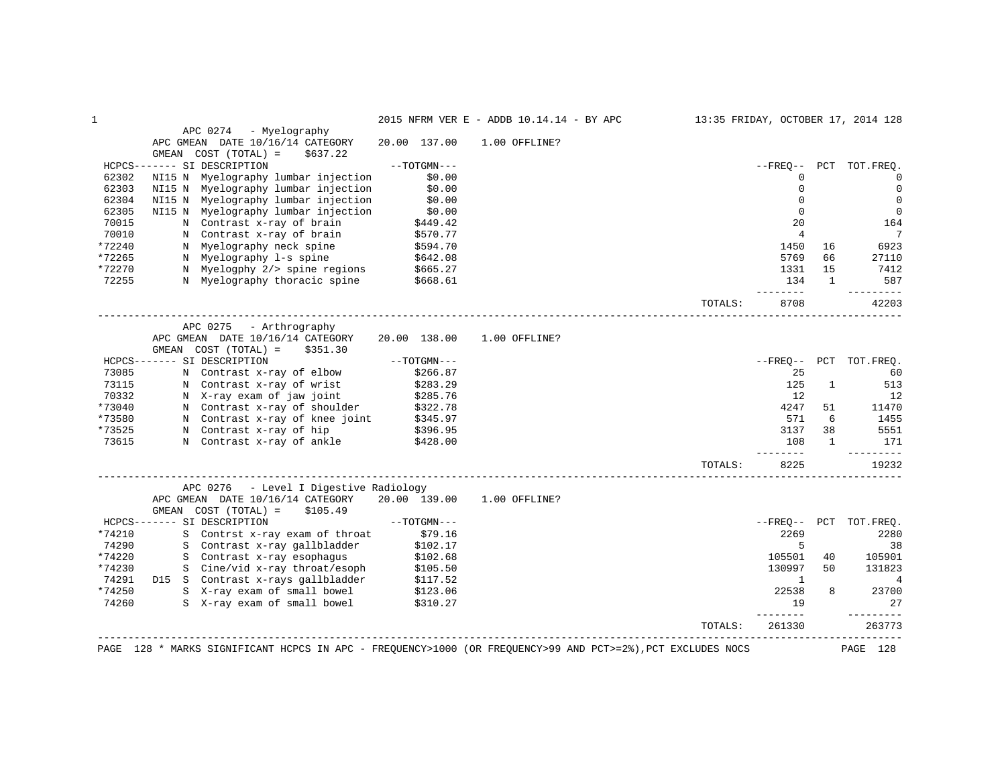|        |                                                                                                                                                                                                                                                                                     |                      | 2015 NFRM VER E - ADDB 10.14.14 - BY APC |                         |                |                | 13:35 FRIDAY, OCTOBER 17, 2014 128 |
|--------|-------------------------------------------------------------------------------------------------------------------------------------------------------------------------------------------------------------------------------------------------------------------------------------|----------------------|------------------------------------------|-------------------------|----------------|----------------|------------------------------------|
|        | APC 0274 - Myelography                                                                                                                                                                                                                                                              |                      |                                          |                         |                |                |                                    |
|        | APC GMEAN DATE 10/16/14 CATEGORY                                                                                                                                                                                                                                                    | 20.00 137.00         | 1.00 OFFLINE?                            |                         |                |                |                                    |
|        | GMEAN $COST (TOTAL) = $637.22$                                                                                                                                                                                                                                                      |                      |                                          |                         |                |                |                                    |
|        | HCPCS------- SI DESCRIPTION                                                                                                                                                                                                                                                         | $--TOTGMN---$        |                                          |                         | $- FREQ--$     |                | PCT TOT.FREO.                      |
| 62302  | NI15 N Myelography lumbar injection                                                                                                                                                                                                                                                 | \$0.00               |                                          |                         | $\mathbf 0$    |                | $\Omega$                           |
| 62303  | NI15 N Myelography lumbar injection                                                                                                                                                                                                                                                 | \$0.00<br>\$0.00     |                                          |                         | $\mathbf{0}$   |                | $\Omega$                           |
| 62304  | NI15 N Myelography lumbar injection                                                                                                                                                                                                                                                 |                      |                                          |                         | $\Omega$       |                | $\mathbf 0$                        |
| 62305  | NI15 N Myelography lumbar injection<br>N Myelography lumbar injection<br>N Contrast x-ray of brain<br>N Contrast x-ray of brain<br>N Myelography neck spine<br>N Myelography 1-s spine<br>N Myelography 2/> spine regions<br>N Myelogphy 2/> spine regions<br>N Myelogphy 2/> spine |                      |                                          |                         | $\mathbf{0}$   |                | $\mathbf 0$                        |
| 70015  |                                                                                                                                                                                                                                                                                     |                      |                                          |                         | 20             |                | 164                                |
| 70010  |                                                                                                                                                                                                                                                                                     |                      |                                          |                         | $\overline{4}$ |                | 7                                  |
| *72240 |                                                                                                                                                                                                                                                                                     |                      |                                          |                         | 1450           | 16             | 6923                               |
| *72265 |                                                                                                                                                                                                                                                                                     |                      |                                          |                         | 5769           | 66             | 27110                              |
| *72270 | N Myelogphy 2/> spine regions<br>N Myelography thoracic spine \$668.61                                                                                                                                                                                                              |                      |                                          |                         | 1331           | 15             | 7412                               |
| 72255  |                                                                                                                                                                                                                                                                                     |                      |                                          |                         | 134            | $\overline{1}$ | 587                                |
|        |                                                                                                                                                                                                                                                                                     |                      |                                          |                         | $- - - - - -$  |                | --------                           |
|        |                                                                                                                                                                                                                                                                                     |                      |                                          | TOTALS:                 | 8708           |                | 42203                              |
|        | APC 0275 - Arthrography                                                                                                                                                                                                                                                             |                      |                                          |                         |                |                |                                    |
|        | APC GMEAN DATE 10/16/14 CATEGORY 20.00 138.00                                                                                                                                                                                                                                       |                      | 1.00 OFFLINE?                            |                         |                |                |                                    |
|        | GMEAN $COST (TOTAL) = $351.30$                                                                                                                                                                                                                                                      |                      |                                          |                         |                |                |                                    |
|        | HCPCS------- SI DESCRIPTION                                                                                                                                                                                                                                                         | $--TOTGMN---$        |                                          |                         | $- FREO--$     |                | PCT TOT.FREQ.                      |
| 73085  | N Contrast x-ray of elbow \$266.87                                                                                                                                                                                                                                                  |                      |                                          |                         | 25             |                | 60                                 |
| 73115  | N Contrast x-ray of wrist                                                                                                                                                                                                                                                           |                      |                                          |                         | 125            | 1              | 513                                |
| 70332  | N X-ray exam of jaw joint                                                                                                                                                                                                                                                           | \$283.29<br>\$285.76 |                                          |                         | 12             |                | 12                                 |
| *73040 | N Contrast x-ray of shoulder $$322.78$                                                                                                                                                                                                                                              |                      |                                          |                         | 4247           | 51             | 11470                              |
| *73580 | N Contrast x-1ay of boodback<br>N Contrast x-ray of knee joint \$345.97<br>N Contrast x-ray of hip \$396.95                                                                                                                                                                         |                      |                                          |                         | 571            | 6              | 1455                               |
| *73525 |                                                                                                                                                                                                                                                                                     |                      |                                          |                         | 3137           | 38             | 5551                               |
| 73615  | N Contrast x-ray of ankle \$428.00                                                                                                                                                                                                                                                  |                      |                                          |                         | 108            | $\mathbf{1}$   | 171                                |
|        |                                                                                                                                                                                                                                                                                     |                      |                                          |                         | ------         |                | ---------                          |
|        |                                                                                                                                                                                                                                                                                     |                      |                                          | TOTALS:                 | 8225           |                | 19232                              |
|        | APC 0276 - Level I Digestive Radiology                                                                                                                                                                                                                                              |                      |                                          |                         |                |                |                                    |
|        | APC GMEAN DATE 10/16/14 CATEGORY 20.00 139.00 1.00 OFFLINE?                                                                                                                                                                                                                         |                      |                                          |                         |                |                |                                    |
|        | GMEAN COST (TOTAL) =<br>\$105.49                                                                                                                                                                                                                                                    |                      |                                          |                         |                |                |                                    |
|        | HCPCS------- SI DESCRIPTION                                                                                                                                                                                                                                                         | $--TOTGMN---$        |                                          |                         |                |                | --FREO-- PCT TOT.FREO.             |
| *74210 | S Contrst x-ray exam of throat \$79.16                                                                                                                                                                                                                                              |                      |                                          |                         | 2269           |                | 2280                               |
| 74290  | S Contrast x-ray gallbladder \$102.17                                                                                                                                                                                                                                               |                      |                                          |                         | 5              |                | 38                                 |
| *74220 | S Contrast x-ray esophagus \$102.68<br>S Cine/vid x-ray throat/esoph \$105.50                                                                                                                                                                                                       |                      |                                          |                         | 105501         | 40             | 105901                             |
| *74230 |                                                                                                                                                                                                                                                                                     |                      |                                          |                         | 130997         | 50             | 131823                             |
| 74291  | D15 S Contrast x-rays gallbladder \$117.52<br>S X-ray exam of small bowel \$123.06<br>S X-ray exam of small bowel \$310.27                                                                                                                                                          |                      |                                          |                         | $\mathbf{1}$   |                | 4                                  |
| *74250 |                                                                                                                                                                                                                                                                                     |                      |                                          |                         | 22538          | 8              | 23700                              |
| 74260  |                                                                                                                                                                                                                                                                                     |                      |                                          |                         | 19<br>-------- |                | 27<br>----------                   |
|        |                                                                                                                                                                                                                                                                                     |                      |                                          | TOTALS:                 | 261330         |                | 263773                             |
|        | ________________________________<br>PAGE 128 * MARKS SIGNIFICANT HCPCS IN APC - FREQUENCY>1000 (OR FREQUENCY>99 AND PCT>=2%), PCT EXCLUDES NOCS                                                                                                                                     |                      |                                          | _______________________ |                |                | PAGE 128                           |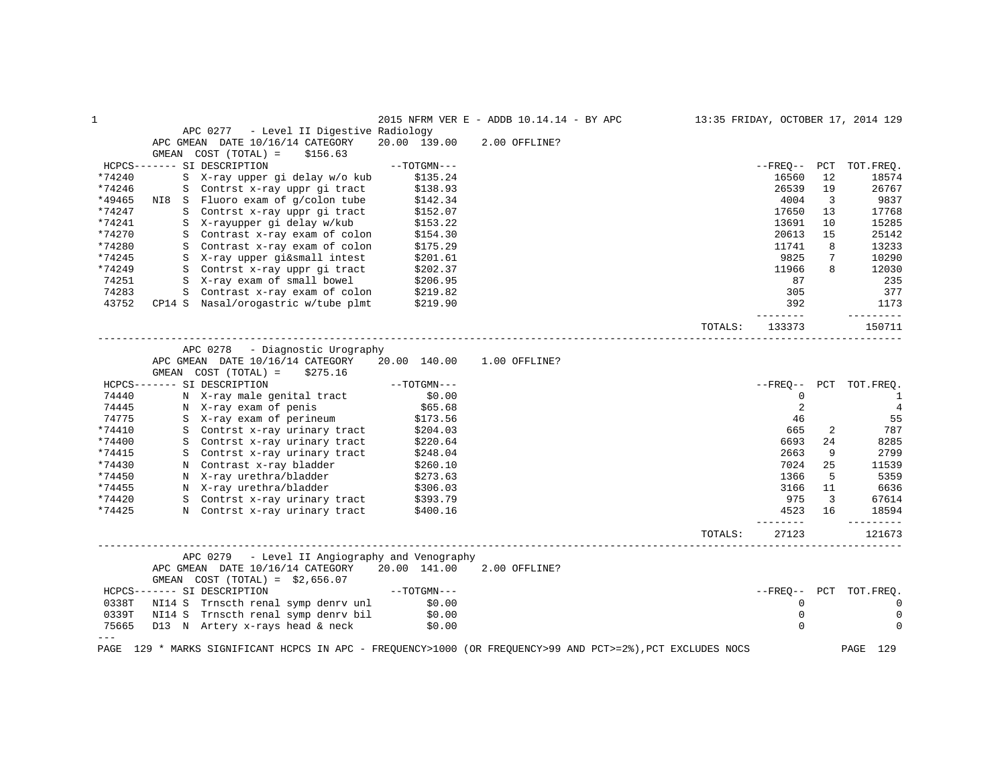| $\mathbf{1}$   |                                                                            |                      | 2015 NFRM VER E - ADDB 10.14.14 - BY APC | 13:35 FRIDAY, OCTOBER 17, 2014 129 |                   |             |                        |
|----------------|----------------------------------------------------------------------------|----------------------|------------------------------------------|------------------------------------|-------------------|-------------|------------------------|
|                | APC 0277 - Level II Digestive Radiology                                    |                      |                                          |                                    |                   |             |                        |
|                | APC GMEAN DATE 10/16/14 CATEGORY                                           | 20.00 139.00         | 2.00 OFFLINE?                            |                                    |                   |             |                        |
|                | GMEAN COST (TOTAL) =<br>\$156.63                                           |                      |                                          |                                    |                   |             |                        |
|                | HCPCS------- SI DESCRIPTION                                                | $--TOTGMN---$        |                                          |                                    | --FREO-- PCT      |             | TOT.FREO.              |
| *74240         | S X-ray upper gi delay w/o kub                                             | \$135.24             |                                          |                                    | 16560             | 12          | 18574                  |
| *74246         | S Contrst x-ray uppr gi tract                                              | \$138.93             |                                          |                                    | 26539             | 19          | 26767                  |
| *49465         | NI8 S Fluoro exam of g/colon tube                                          | \$142.34             |                                          |                                    | 4004              | 3           | 9837                   |
| *74247         | S Contrst x-ray uppr gi tract                                              | \$152.07             |                                          |                                    | 17650             | 13          | 17768                  |
| *74241         | S X-rayupper gi delay w/kub                                                | \$153.22             |                                          |                                    | 13691             | 10          | 15285                  |
| *74270         | S Contrast x-ray exam of colon                                             | \$154.30             |                                          |                                    | 20613             | 15          | 25142                  |
| *74280         | S Contrast x-ray exam of colon                                             | \$175.29             |                                          |                                    | 11741             | 8           | 13233                  |
| *74245         | S X-ray upper gi&small intest                                              | \$201.61             |                                          |                                    | 9825              | $7^{\circ}$ | 10290                  |
| *74249         | S Contrst x-ray uppr gi tract                                              | \$202.37             |                                          |                                    | 11966             | 8           | 12030                  |
| 74251          | S X-ray exam of small bowel                                                | \$206.95             |                                          |                                    | 87                |             | 235                    |
| 74283          | S Contrast x-ray exam of colon \$219.82                                    |                      |                                          |                                    | 305               |             | 377                    |
| 43752          | CP14 S Nasal/orogastric w/tube plmt \$219.90                               |                      |                                          |                                    | 392               |             | 1173                   |
|                |                                                                            |                      |                                          |                                    | --------          |             | ---------              |
|                |                                                                            |                      |                                          | TOTALS:                            | 133373            |             | 150711                 |
|                |                                                                            |                      |                                          |                                    |                   |             |                        |
|                | APC 0278 - Diagnostic Urography                                            |                      |                                          |                                    |                   |             |                        |
|                | APC GMEAN DATE 10/16/14 CATEGORY 20.00 140.00                              |                      | 1.00 OFFLINE?                            |                                    |                   |             |                        |
|                | GMEAN COST (TOTAL) =<br>\$275.16                                           |                      |                                          |                                    |                   |             |                        |
|                | HCPCS------- SI DESCRIPTION                                                | $--{\tt TOTGMN---}$  |                                          |                                    |                   |             | --FREQ-- PCT TOT.FREQ. |
| 74440          | N X-ray male genital tract<br>N X-ray exam of penis                        | \$0.00               |                                          |                                    | 0                 |             | -1                     |
| 74445          | N X-ray exam of perineum<br>S X-ray exam of perineum<br>A continuous tract | \$65.68              |                                          |                                    | 2                 |             | $\overline{4}$         |
| 74775          |                                                                            | \$173.56             |                                          |                                    | 46                |             | 55                     |
| *74410         |                                                                            | \$204.03             |                                          |                                    | 665               | 2           | 787                    |
| *74400         | S Contrst x-ray urinary tract                                              | \$220.64             |                                          |                                    | 6693              | 24          | 8285                   |
| *74415         | S Contrst x-ray urinary tract                                              | \$248.04             |                                          |                                    | 2663              | 9           | 2799                   |
| *74430         | N Contrast x-ray bladder                                                   | \$260.10             |                                          |                                    | 7024              | 25          | 11539                  |
| *74450         |                                                                            | \$273.63<br>\$306.03 |                                          |                                    | 1366              | 5           | 5359                   |
| *74455         | N X-ray urethra/bladder<br>N X-ray urethra/bladder                         | \$306.03             |                                          |                                    | 3166              | 11          | 6636                   |
| *74420         | S Contrst x-ray urinary tract \$393.79                                     |                      |                                          |                                    | 975               | 3           | 67614                  |
| *74425         | N Contrst x-ray urinary tract                                              | \$400.16             |                                          |                                    | 4523              | 16          | 18594                  |
|                |                                                                            |                      |                                          | TOTALS:                            | --------<br>27123 |             | ---------<br>121673    |
|                | APC 0279 - Level II Angiography and Venography                             |                      |                                          |                                    |                   |             |                        |
|                | APC GMEAN DATE 10/16/14 CATEGORY 20.00 141.00 2.00 OFFLINE?                |                      |                                          |                                    |                   |             |                        |
|                |                                                                            |                      |                                          |                                    |                   |             |                        |
|                | GMEAN $COST (TOTAL) = $2,656.07$<br>HCPCS------- SI DESCRIPTION            | $--TOTGMN---$        |                                          |                                    |                   |             | --FREO-- PCT TOT.FREO. |
|                |                                                                            |                      |                                          |                                    |                   |             |                        |
|                | 0338T NI14 S Trnscth renal symp denrv unl \$0.00                           |                      |                                          |                                    | 0                 |             | 0                      |
| 0339T          | NI14 S Trnscth renal symp denrv bil \$0.00                                 |                      |                                          |                                    | $\mathbf 0$       |             | 0                      |
| 75665<br>$---$ | D13 N Artery x-rays head & neck                                            | \$0.00               |                                          |                                    | $\Omega$          |             | 0                      |
|                |                                                                            |                      |                                          |                                    |                   |             |                        |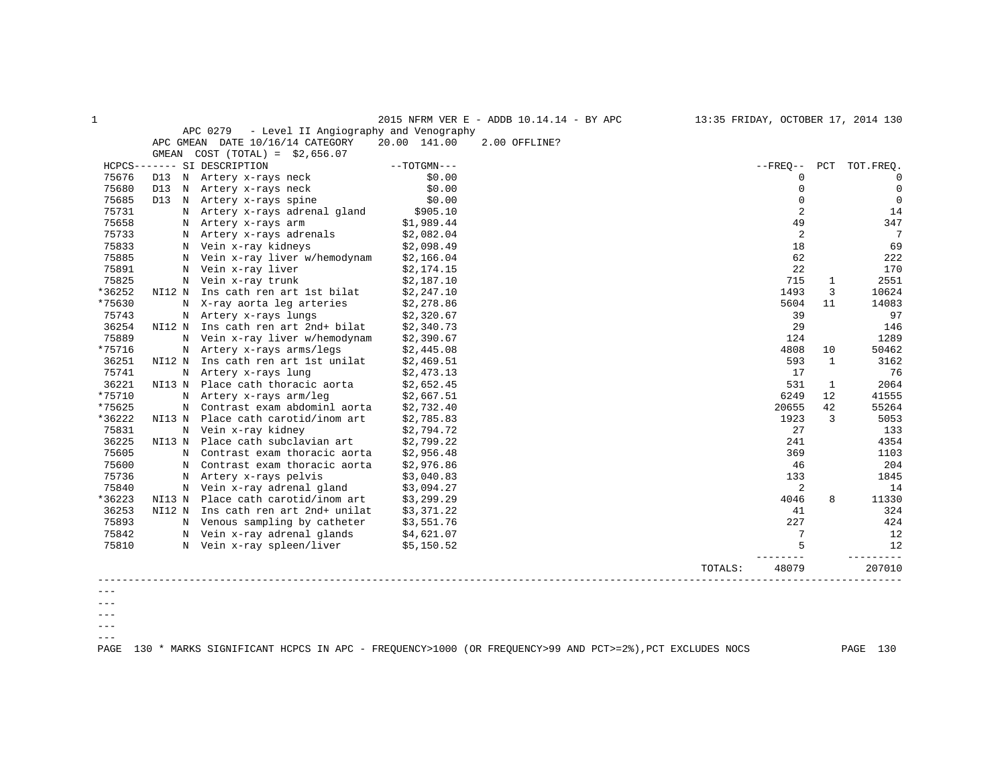| $\mathbf{1}$ |                                                |               | 2015 NFRM VER E - ADDB 10.14.14 - BY APC | 13:35 FRIDAY, OCTOBER 17, 2014 130 |                |              |                |
|--------------|------------------------------------------------|---------------|------------------------------------------|------------------------------------|----------------|--------------|----------------|
|              | APC 0279 - Level II Angiography and Venography |               |                                          |                                    |                |              |                |
|              | APC GMEAN DATE 10/16/14 CATEGORY               | 20.00 141.00  | 2.00 OFFLINE?                            |                                    |                |              |                |
|              | GMEAN COST $(TOTAL) = $2,656.07$               |               |                                          |                                    |                |              |                |
|              | HCPCS------- SI DESCRIPTION                    | $--TOTGMN---$ |                                          |                                    | $--$ FREO $--$ | PCT          | TOT. FREO.     |
| 75676        | D13 N Artery x-rays neck                       | \$0.00        |                                          |                                    | 0              |              | $\mathbf 0$    |
| 75680        | D13 N Artery x-rays neck                       | \$0.00        |                                          |                                    | $\Omega$       |              | 0              |
| 75685        | D13 N Artery x-rays spine                      | \$0.00        |                                          |                                    | $\Omega$       |              | $\mathbf 0$    |
| 75731        | N Artery x-rays adrenal gland                  | \$905.10      |                                          |                                    | 2              |              | 14             |
| 75658        | N Artery x-rays arm                            | \$1,989.44    |                                          |                                    | 49             |              | 347            |
| 75733        | N Artery x-rays adrenals                       | \$2,082.04    |                                          |                                    | 2              |              | $\overline{7}$ |
| 75833        | N Vein x-ray kidneys                           | \$2,098.49    |                                          |                                    | 18             |              | 69             |
| 75885        | N Vein x-ray liver w/hemodynam                 | \$2,166.04    |                                          |                                    | 62             |              | 222            |
| 75891        | N Vein x-ray liver                             | \$2,174.15    |                                          |                                    | 22             |              | 170            |
| 75825        | N Vein x-ray trunk                             | \$2,187.10    |                                          |                                    | 715            | $\mathbf{1}$ | 2551           |
| *36252       | NI12 N Ins cath ren art 1st bilat              | \$2,247.10    |                                          |                                    | 1493           | 3            | 10624          |
| *75630       | N X-ray aorta leg arteries \$2,278.86          |               |                                          |                                    | 5604           | 11           | 14083          |
| 75743        | N Artery x-rays lungs                          | \$2,320.67    |                                          |                                    | 39             |              | 97             |
| 36254        | NI12 N Ins cath ren art 2nd+ bilat             | \$2,340.73    |                                          |                                    | 29             |              | 146            |
| 75889        | N Vein x-ray liver w/hemodynam                 | \$2,390.67    |                                          |                                    | 124            |              | 1289           |
| *75716       | N Artery x-rays arms/legs                      | \$2,445.08    |                                          |                                    | 4808           | 10           | 50462          |
| 36251        | NI12 N Ins cath ren art 1st unilat             | \$2,469.51    |                                          |                                    | 593            | $\mathbf{1}$ | 3162           |
| 75741        | N Artery x-rays lung                           | \$2,473.13    |                                          |                                    | 17             |              | 76             |
| 36221        | NI13 N Place cath thoracic aorta               | \$2,652.45    |                                          |                                    | 531            | 1            | 2064           |
| *75710       | N Artery x-rays arm/leg                        | \$2,667.51    |                                          |                                    | 6249           | 12           | 41555          |
| *75625       | N Contrast exam abdominl aorta                 | \$2,732.40    |                                          |                                    | 20655          | 42           | 55264          |
| *36222       | NI13 N Place cath carotid/inom art             | \$2,785.83    |                                          |                                    | 1923           | 3            | 5053           |
| 75831        | N Vein x-ray kidney                            | \$2,794.72    |                                          |                                    | 27             |              | 133            |
| 36225        | NI13 N Place cath subclavian art               | \$2,799.22    |                                          |                                    | 241            |              | 4354           |
| 75605        | N Contrast exam thoracic aorta                 | \$2,956.48    |                                          |                                    | 369            |              | 1103           |
| 75600        | N Contrast exam thoracic aorta                 | \$2,976.86    |                                          |                                    | 46             |              | 204            |
| 75736        | N Artery x-rays pelvis                         | \$3,040.83    |                                          |                                    | 133            |              | 1845           |
| 75840        | N Vein x-ray adrenal gland                     | \$3,094.27    |                                          |                                    | 2              |              | 14             |
| *36223       | NI13 N Place cath carotid/inom art             | \$3,299.29    |                                          |                                    | 4046           | 8            | 11330          |
| 36253        | NI12 N Ins cath ren art 2nd+ unilat            | \$3,371.22    |                                          |                                    | 41             |              | 324            |
| 75893        | N Venous sampling by catheter                  | \$3,551.76    |                                          |                                    | 227            |              | 424            |
| 75842        | N Vein x-ray adrenal glands                    | \$4,621.07    |                                          |                                    | 7              |              | 12             |
| 75810        | N Vein x-ray spleen/liver                      | \$5,150.52    |                                          |                                    | 5              |              | 12             |
|              |                                                |               |                                          | TOTALS:                            | 48079          |              | 207010         |
|              |                                                |               |                                          |                                    |                |              |                |

 $-$ 

 $-- --\,$ 

 $---$ 

PAGE 130 \* MARKS SIGNIFICANT HCPCS IN APC - FREQUENCY>1000 (OR FREQUENCY>99 AND PCT>=2%),PCT EXCLUDES NOCS PAGE 130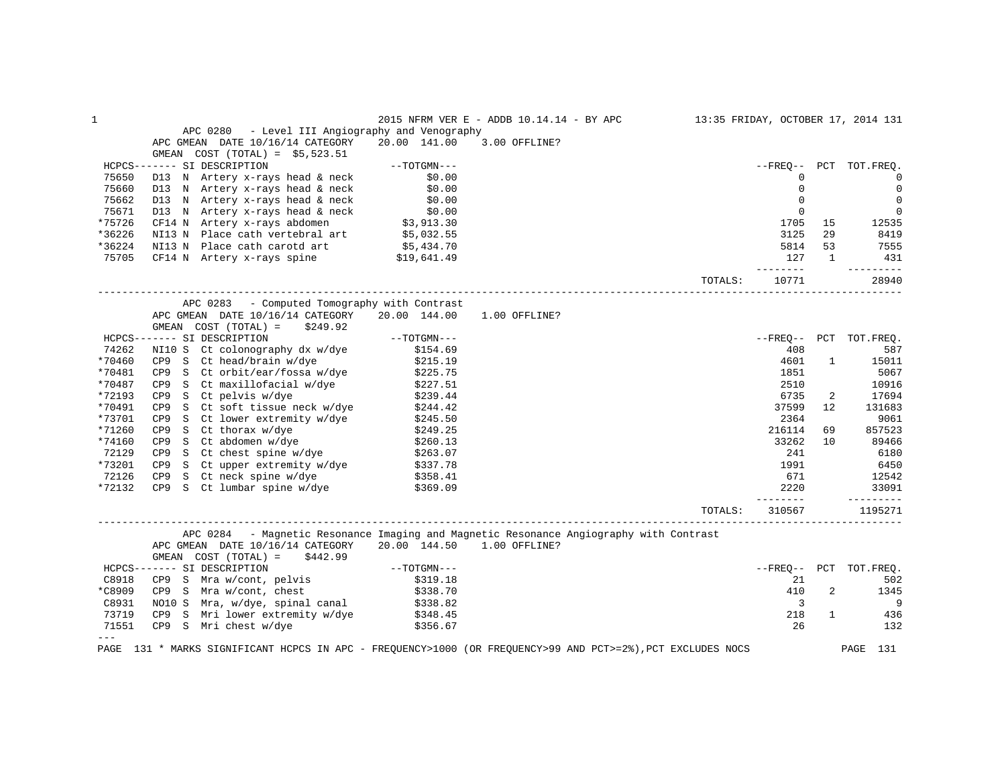| 1         |                                                                                                                                                                                                                                         |                        | 2015 NFRM VER E - ADDB 10.14.14 - BY APC                                               | 13:35 FRIDAY, OCTOBER 17, 2014 131 |                         |                |                              |
|-----------|-----------------------------------------------------------------------------------------------------------------------------------------------------------------------------------------------------------------------------------------|------------------------|----------------------------------------------------------------------------------------|------------------------------------|-------------------------|----------------|------------------------------|
|           | APC 0280 - Level III Angiography and Venography                                                                                                                                                                                         |                        |                                                                                        |                                    |                         |                |                              |
|           | APC GMEAN DATE 10/16/14 CATEGORY 20.00 141.00 3.00 OFFLINE?                                                                                                                                                                             |                        |                                                                                        |                                    |                         |                |                              |
|           |                                                                                                                                                                                                                                         |                        |                                                                                        |                                    |                         |                |                              |
|           | HCPCS------- SI DESCRIPTION                                                                                                                                                                                                             |                        |                                                                                        |                                    |                         |                | --FREO-- PCT TOT.FREO.       |
| 75650     |                                                                                                                                                                                                                                         |                        |                                                                                        |                                    | 0                       |                | $\overline{0}$               |
| 75660     |                                                                                                                                                                                                                                         |                        |                                                                                        |                                    | $\mathsf{O}\xspace$     |                | $\mathbf 0$                  |
| 75662     |                                                                                                                                                                                                                                         |                        |                                                                                        |                                    | $\mathbf 0$             |                | $\mathbf 0$                  |
| 75671     |                                                                                                                                                                                                                                         |                        |                                                                                        |                                    | $\mathbf 0$             |                | 0                            |
| *75726    | D13 N Artery x-rays head & neck (90.00)<br>CF14 N Artery x-rays head & neck (90.00)<br>NI13 N Place cath vertebral art (95,032.55)                                                                                                      |                        |                                                                                        |                                    | 1705                    | 15             | 12535                        |
| *36226    |                                                                                                                                                                                                                                         |                        |                                                                                        |                                    | 3125                    | 29             | 8419                         |
| *36224    |                                                                                                                                                                                                                                         |                        |                                                                                        |                                    | 5814                    | 53             | 7555                         |
| 75705     | NI13 N Place cath carotd art \$5,434.70<br>CF14 N Artery x-rays spine \$19,641.49                                                                                                                                                       |                        |                                                                                        |                                    | 127                     | $\overline{1}$ | 431                          |
|           |                                                                                                                                                                                                                                         |                        |                                                                                        |                                    | ---------               |                | ----------                   |
|           |                                                                                                                                                                                                                                         |                        |                                                                                        | TOTALS:                            | 10771                   |                | 28940                        |
|           | APC 0283 - Computed Tomography with Contrast                                                                                                                                                                                            |                        |                                                                                        |                                    |                         |                |                              |
|           | APC GMEAN DATE 10/16/14 CATEGORY 20.00 144.00                                                                                                                                                                                           |                        | 1.00 OFFLINE?                                                                          |                                    |                         |                |                              |
|           | GMEAN COST (TOTAL) =<br>\$249.92                                                                                                                                                                                                        |                        |                                                                                        |                                    |                         |                |                              |
|           | HCPCS------- SI DESCRIPTION                                                                                                                                                                                                             | $--TOTGMN---$          |                                                                                        |                                    |                         |                | --FREO-- PCT TOT.FREO.       |
| 74262     | NI10 S Ct colonography dx w/dye \$154.69                                                                                                                                                                                                |                        |                                                                                        |                                    | 408                     |                | 587                          |
| *70460    | CP9 S Ct head/brain w/dye \$215.19<br>CP9 S Ct orbit/ear/fossa w/dye \$225.75                                                                                                                                                           |                        |                                                                                        |                                    | 4601                    | $\mathbf{1}$   | 15011                        |
| *70481    | CP9 S Ct orbit/ear/iossa w/w/c<br>CP9 S Ct maxillofacial w/dye \$227.51<br>$200 - 7$ complise w/dye \$239.44                                                                                                                            |                        |                                                                                        |                                    | 1851                    |                | 5067                         |
| *70487    |                                                                                                                                                                                                                                         |                        |                                                                                        |                                    | 2510                    |                | 10916                        |
| *72193    | CP9 S Ct pelvis w/dye \$239.44<br>CP9 S Ct soft tissue neck w/dye \$244.42                                                                                                                                                              |                        |                                                                                        |                                    | 6735                    | 2              | 17694                        |
| *70491    |                                                                                                                                                                                                                                         |                        |                                                                                        |                                    | 37599                   | 12             | 131683                       |
| *73701    | S Ct lower extremity w/dye<br>S Ct thorax w/dye<br>\$249.25<br>CP <sub>9</sub>                                                                                                                                                          |                        |                                                                                        |                                    | 2364                    |                | 9061                         |
| *71260    | CP9 S Ct thorax w/dye                                                                                                                                                                                                                   |                        |                                                                                        |                                    | 216114                  | 69             | 857523                       |
| *74160    |                                                                                                                                                                                                                                         |                        |                                                                                        |                                    | 33262                   | 10             | 89466                        |
| 72129     |                                                                                                                                                                                                                                         |                        |                                                                                        |                                    | 241                     |                | 6180                         |
| *73201    |                                                                                                                                                                                                                                         |                        |                                                                                        |                                    | 1991                    |                | 6450                         |
| 72126     |                                                                                                                                                                                                                                         |                        |                                                                                        |                                    | 671                     |                | 12542                        |
| *72132    | CP S Ct abdomen w/dye<br>CP S Ct abdomen w/dye<br>CP S Ct chest spine w/dye<br>CP S Ct upper extremity w/dye<br>CP S Ct neck spine w/dye<br>S358.41<br>CP S Ct lumbar spine w/dye<br>\$358.41<br>CP S Ct lumbar spine w/dye<br>\$369.09 |                        |                                                                                        |                                    | 2220<br>--------        |                | 33091<br>$- - - - - - - - -$ |
|           |                                                                                                                                                                                                                                         |                        |                                                                                        | TOTALS:                            | 310567                  |                | 1195271                      |
|           |                                                                                                                                                                                                                                         |                        | APC 0284 - Magnetic Resonance Imaging and Magnetic Resonance Angiography with Contrast |                                    |                         |                |                              |
|           | APC GMEAN DATE 10/16/14 CATEGORY 20.00 144.50 1.00 OFFLINE?                                                                                                                                                                             |                        |                                                                                        |                                    |                         |                |                              |
|           | GMEAN $COST (TOTAL) = $442.99$                                                                                                                                                                                                          |                        |                                                                                        |                                    |                         |                |                              |
|           | HCPCS------- SI DESCRIPTION                                                                                                                                                                                                             | $--\mathrm{TOTGMN---}$ |                                                                                        |                                    |                         |                | --FREQ-- PCT TOT.FREQ.       |
| C8918     |                                                                                                                                                                                                                                         |                        |                                                                                        |                                    | 21                      |                | 502                          |
| $*$ C8909 |                                                                                                                                                                                                                                         |                        |                                                                                        |                                    | 410                     | $\overline{a}$ | 1345                         |
| C8931     | CP9 S Mra w/cont, pelvis (\$319.18)<br>CP9 S Mra w/cont, chest (\$338.70)<br>NO10 S Mra, w/dye, spinal canal (\$338.82)                                                                                                                 |                        |                                                                                        |                                    | $\overline{\mathbf{3}}$ |                | - 9                          |
| 73719     |                                                                                                                                                                                                                                         |                        |                                                                                        |                                    | 218                     | $\mathbf{1}$   | 436                          |
| 71551     | CP9 S Mri lower extremity w/dye \$348.45<br>CP9 S Mri chest w/dye \$356.67                                                                                                                                                              |                        |                                                                                        |                                    | 26                      |                | 132                          |
| $---$     |                                                                                                                                                                                                                                         |                        |                                                                                        |                                    |                         |                |                              |
|           | PAGE 131 * MARKS SIGNIFICANT HCPCS IN APC - FREQUENCY>1000 (OR FREQUENCY>99 AND PCT>=2%), PCT EXCLUDES NOCS                                                                                                                             |                        |                                                                                        |                                    |                         |                | PAGE<br>131                  |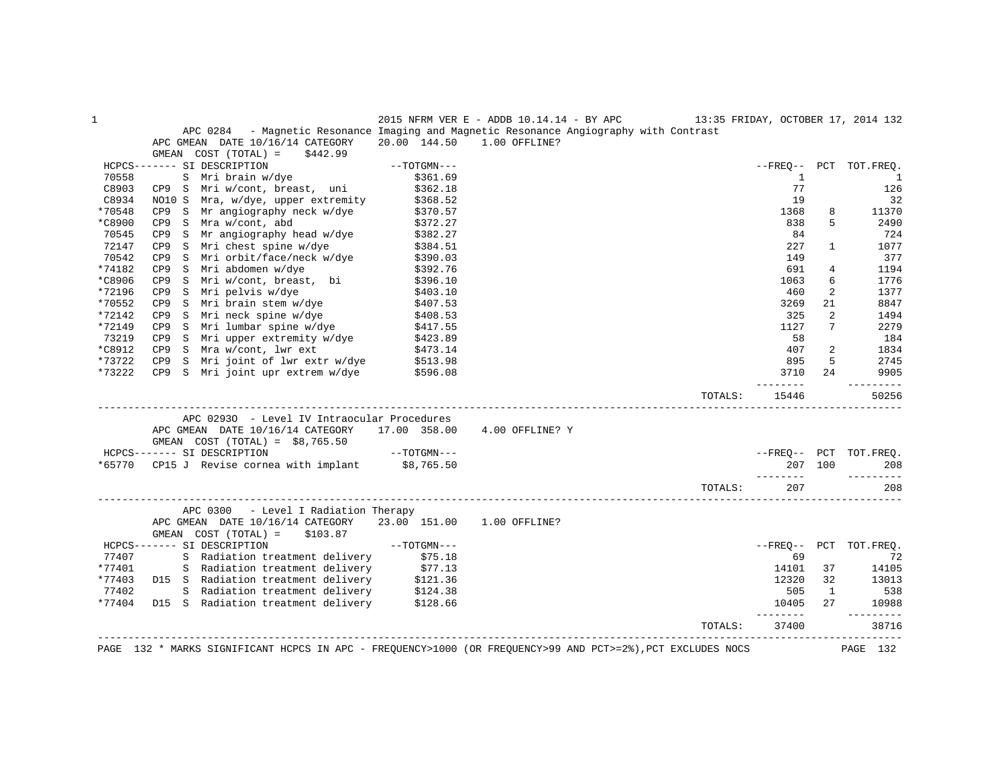| $\mathbf{1}$ |                                                                                                                    |                                                                                                                                     | 2015 NFRM VER E - ADDB 10.14.14 - BY APC 13:35 FRIDAY, OCTOBER 17, 2014 132 |         |                   |                |                        |
|--------------|--------------------------------------------------------------------------------------------------------------------|-------------------------------------------------------------------------------------------------------------------------------------|-----------------------------------------------------------------------------|---------|-------------------|----------------|------------------------|
|              | APC 0284 - Magnetic Resonance Imaging and Magnetic Resonance Angiography with Contrast                             |                                                                                                                                     |                                                                             |         |                   |                |                        |
|              | APC GMEAN DATE 10/16/14 CATEGORY                                                                                   |                                                                                                                                     | 20.00 144.50 1.00 OFFLINE?                                                  |         |                   |                |                        |
|              | GMEAN $COST (TOTAL) = $442.99$                                                                                     |                                                                                                                                     |                                                                             |         |                   |                |                        |
|              | HCPCS------- SI DESCRIPTION                                                                                        | $--TOTGMN---$                                                                                                                       |                                                                             |         |                   |                | --FREO-- PCT TOT.FREO. |
| 70558        | S Mri brain w/dye                                                                                                  | \$361.69                                                                                                                            |                                                                             |         | $\mathbf{1}$      |                | $\overline{1}$         |
| C8903        | CP9 S Mri w/cont, breast, uni \$362.18                                                                             |                                                                                                                                     |                                                                             |         | 77                |                | 126                    |
| C8934        | NO10 S Mra, w/dye, upper extremity<br>NOIU S Mra, w/dye, upper extremity<br>CP9 S Mr angiography neck w/dye        | \$368.52                                                                                                                            |                                                                             |         | 19                |                | 32                     |
| *70548       |                                                                                                                    | \$370.57                                                                                                                            |                                                                             |         | 1368              | 8              | 11370                  |
| *C8900       | CP9 S Mra w/cont, abd                                                                                              | \$372.27                                                                                                                            |                                                                             |         | 838               | 5              | 2490                   |
| 70545        | CP9 S Mr angiography head w/dye                                                                                    | \$382.27                                                                                                                            |                                                                             |         | 84                |                | 724                    |
| 72147        | S Mri chest spine w/dye<br>CP9                                                                                     | \$384.51                                                                                                                            |                                                                             |         | 227               | $\mathbf{1}$   | 1077                   |
| 70542        | CP9 S Mri orbit/face/neck w/dye<br>CP9 S Mri abdomen w/dye                                                         | \$390.03                                                                                                                            |                                                                             |         | 149               |                | 377                    |
| *74182       |                                                                                                                    | \$392.76                                                                                                                            |                                                                             |         | 691               | 4              | 1194                   |
| *C8906       | S Mri w/cont, breast, bi \$396.10<br>S Mri pelvis w/dye \$403.10<br>CP9                                            |                                                                                                                                     |                                                                             |         | 1063              | 6              | 1776                   |
| *72196       | CP9                                                                                                                |                                                                                                                                     |                                                                             |         | 460               | 2              | 1377                   |
| *70552       | S Mri brain stem w/dye \$407.53<br>CP9                                                                             |                                                                                                                                     |                                                                             |         | 3269              | 21             | 8847                   |
| *72142       | CP9 S Mri neck spine w/dye                      \$408.53<br>CP9 S Mri lumbar spine w/dye                  \$417.55 |                                                                                                                                     |                                                                             |         | 325               | $\overline{2}$ | 1494                   |
| *72149       |                                                                                                                    |                                                                                                                                     |                                                                             |         | 1127              | 7              | 2279                   |
| 73219        | CP9 S Mri upper extremity w/dye \$423.89<br>CP9 S Mra w/cont, lwr ext \$473.14                                     |                                                                                                                                     |                                                                             |         | 58                |                | 184                    |
| *C8912       |                                                                                                                    |                                                                                                                                     |                                                                             |         | 407               | 2              | 1834                   |
| *73722       | S Mri joint of lwr extr w/dye \$513.98<br>CP9                                                                      |                                                                                                                                     |                                                                             |         | 895               | 5              | 2745                   |
| *73222       | CP9 S Mri joint upr extrem w/dye                                                                                   | \$596.08                                                                                                                            |                                                                             |         | 3710<br>--------  | 2.4            | 9905<br>---------      |
|              |                                                                                                                    |                                                                                                                                     |                                                                             | TOTALS: | 15446             |                | 50256                  |
|              | APC 02930 - Level IV Intraocular Procedures                                                                        |                                                                                                                                     |                                                                             |         |                   |                |                        |
|              | APC GMEAN DATE 10/16/14 CATEGORY 17.00 358.00 4.00 OFFLINE? Y                                                      |                                                                                                                                     |                                                                             |         |                   |                |                        |
|              | GMEAN $COST (TOTAL) = $8,765.50$                                                                                   |                                                                                                                                     |                                                                             |         |                   |                |                        |
|              | ---TOTGMN---<br>---TOTGMN---<br>HCPCS------- SI DESCRIPTION                                                        |                                                                                                                                     |                                                                             |         |                   |                | --FREQ-- PCT TOT.FREQ. |
|              | *65770 CP15 J Revise cornea with implant \$8,765.50                                                                |                                                                                                                                     |                                                                             |         |                   | 207 100        | 208                    |
|              |                                                                                                                    |                                                                                                                                     |                                                                             |         | _________         |                | ----------             |
|              |                                                                                                                    |                                                                                                                                     |                                                                             | TOTALS: | 207               |                | 208                    |
|              | APC 0300<br>- Level I Radiation Therapy                                                                            |                                                                                                                                     |                                                                             |         |                   |                |                        |
|              | APC GMEAN DATE 10/16/14 CATEGORY 23.00 151.00                                                                      |                                                                                                                                     | 1.00 OFFLINE?                                                               |         |                   |                |                        |
|              | GMEAN COST (TOTAL) =<br>\$103.87                                                                                   |                                                                                                                                     |                                                                             |         |                   |                |                        |
|              | HCPCS------- SI DESCRIPTION                                                                                        | $\begin{minipage}{.4\linewidth} \label{eq:1} \textit{--} \textit{+} \textit{--} \textit{--} \textit{--} \textit{--} \end{minipage}$ |                                                                             |         | --FRE0--          |                | PCT TOT.FREO.          |
| 77407        | S Radiation treatment delivery \$75.18                                                                             |                                                                                                                                     |                                                                             |         | 69                |                | 72                     |
| *77401       | S Radiation treatment delivery \$77.13                                                                             |                                                                                                                                     |                                                                             |         | 14101             | 37             | 14105                  |
| *77403       | D15 S Radiation treatment delivery \$121.36                                                                        |                                                                                                                                     |                                                                             |         | 12320             | 32             | 13013                  |
| 77402        | S Radiation treatment delivery \$124.38<br>D15 S Radiation treatment delivery \$128.66                             |                                                                                                                                     |                                                                             |         | 505               | $\mathbf{1}$   | 538                    |
| *77404       |                                                                                                                    |                                                                                                                                     |                                                                             |         | 10405<br>-------- | $27^{\circ}$   | 10988<br>---------     |
|              |                                                                                                                    |                                                                                                                                     |                                                                             | TOTALS: | 37400             |                | 38716                  |
|              | ________________________________                                                                                   |                                                                                                                                     |                                                                             |         |                   |                |                        |
|              | PAGE 132 * MARKS SIGNIFICANT HCPCS IN APC - FREQUENCY>1000 (OR FREQUENCY>99 AND PCT>=2%), PCT EXCLUDES NOCS        |                                                                                                                                     |                                                                             |         |                   |                | PAGE 132               |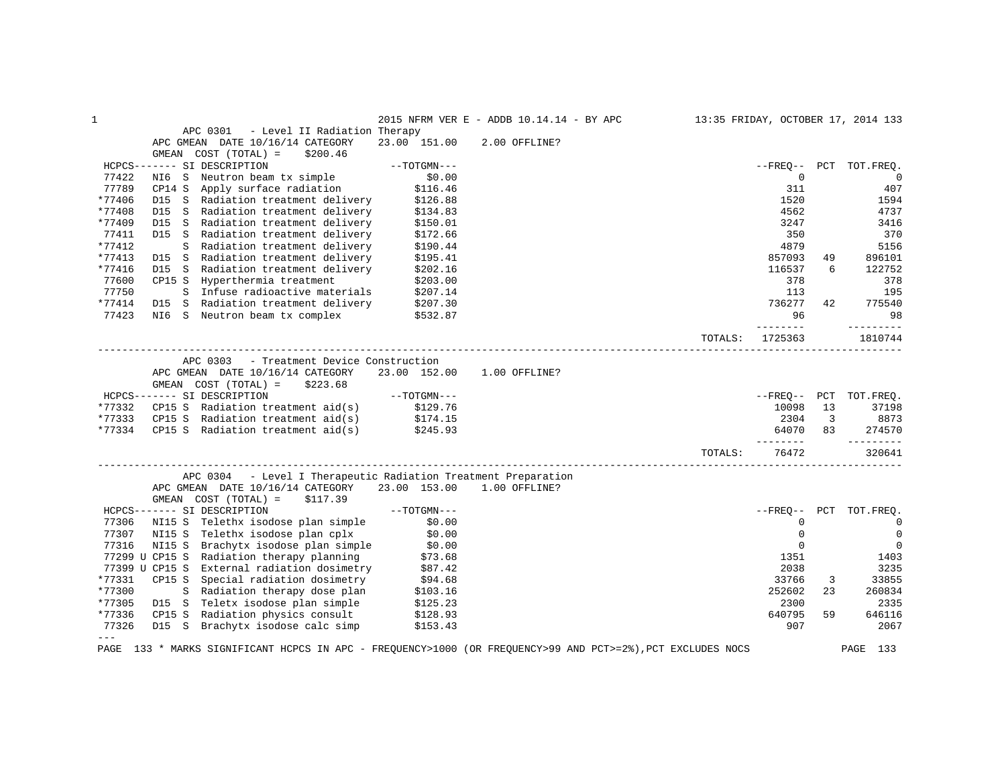| 1      |                                                                                                             |               | 2015 NFRM VER E - ADDB 10.14.14 - BY APC |         |             |     | 13:35 FRIDAY, OCTOBER 17, 2014 133 |
|--------|-------------------------------------------------------------------------------------------------------------|---------------|------------------------------------------|---------|-------------|-----|------------------------------------|
|        | APC 0301<br>- Level II Radiation Therapy                                                                    |               |                                          |         |             |     |                                    |
|        | APC GMEAN DATE 10/16/14 CATEGORY                                                                            | 23.00 151.00  | 2.00 OFFLINE?                            |         |             |     |                                    |
|        | GMEAN COST (TOTAL) =<br>\$200.46                                                                            |               |                                          |         |             |     |                                    |
|        | HCPCS------- SI DESCRIPTION                                                                                 | $--TOTGMN---$ |                                          |         |             |     | --FREO-- PCT TOT.FREO.             |
| 77422  | NI6 S<br>Neutron beam tx simple                                                                             | \$0.00        |                                          |         | 0           |     | $\overline{0}$                     |
| 77789  | CP14 S<br>Apply surface radiation                                                                           | \$116.46      |                                          |         | 311         |     | 407                                |
| *77406 | D15 S Radiation treatment delivery                                                                          | \$126.88      |                                          |         | 1520        |     | 1594                               |
| *77408 | D15 S Radiation treatment delivery                                                                          | \$134.83      |                                          |         | 4562        |     | 4737                               |
| *77409 | Radiation treatment delivery<br>D15<br>S                                                                    | \$150.01      |                                          |         | 3247        |     | 3416                               |
| 77411  | D15 S Radiation treatment delivery                                                                          | \$172.66      |                                          |         | 350         |     | 370                                |
| *77412 | S Radiation treatment delivery                                                                              | \$190.44      |                                          |         | 4879        |     | 5156                               |
| *77413 | D15 S Radiation treatment delivery                                                                          | \$195.41      |                                          |         | 857093      | 49  | 896101                             |
| *77416 | D15 S Radiation treatment delivery                                                                          | \$202.16      |                                          |         | 116537      | 6   | 122752                             |
| 77600  | CP15 S Hyperthermia treatment                                                                               | \$203.00      |                                          |         | 378         |     | 378                                |
| 77750  | S Infuse radioactive materials                                                                              | \$207.14      |                                          |         | 113         |     | 195                                |
| *77414 | Radiation treatment delivery<br>D15 S                                                                       | \$207.30      |                                          |         | 736277      | 42  | 775540                             |
| 77423  | NI6 S Neutron beam tx complex                                                                               | \$532.87      |                                          |         | 96          |     | 98                                 |
|        |                                                                                                             |               |                                          |         | --------    |     | ----------                         |
|        |                                                                                                             |               |                                          | TOTALS: | 1725363     |     | 1810744                            |
|        |                                                                                                             |               |                                          |         |             |     |                                    |
|        | APC 0303<br>- Treatment Device Construction                                                                 |               |                                          |         |             |     |                                    |
|        | APC GMEAN DATE 10/16/14 CATEGORY                                                                            | 23.00 152.00  | 1.00 OFFLINE?                            |         |             |     |                                    |
|        | GMEAN COST (TOTAL) =<br>\$223.68                                                                            |               |                                          |         |             |     |                                    |
|        | HCPCS------- SI DESCRIPTION                                                                                 | $--TOTGMN---$ |                                          |         |             |     | --FREO-- PCT TOT.FREO.             |
| *77332 | CP15 S Radiation treatment $aid(s)$ \$129.76                                                                |               |                                          |         | 10098       | 13  | 37198                              |
| *77333 | Radiation treatment aid(s)<br>CP15 S                                                                        | \$174.15      |                                          |         | 2304        | 3   | 8873                               |
|        | *77334 CP15 S Radiation treatment aid(s)                                                                    | \$245.93      |                                          |         | 64070       | 83  | 274570                             |
|        |                                                                                                             |               |                                          |         | ---------   |     | ----------                         |
|        |                                                                                                             |               |                                          | TOTALS: | 76472       |     | 320641                             |
|        |                                                                                                             |               |                                          |         |             |     |                                    |
|        | APC 0304 - Level I Therapeutic Radiation Treatment Preparation                                              |               |                                          |         |             |     |                                    |
|        | APC GMEAN DATE 10/16/14 CATEGORY                                                                            | 23.00 153.00  | 1.00 OFFLINE?                            |         |             |     |                                    |
|        | GMEAN COST (TOTAL) =<br>\$117.39                                                                            |               |                                          |         |             |     |                                    |
|        | HCPCS------- SI DESCRIPTION                                                                                 | $--TOTGMN---$ |                                          |         | --FREO--    | PCT | TOT.FREO.                          |
| 77306  | NI15 S Telethx isodose plan simple                                                                          | \$0.00        |                                          |         | $\mathbf 0$ |     | $\overline{0}$                     |
| 77307  | NI15 S Telethx isodose plan cplx                                                                            | \$0.00        |                                          |         | 0           |     | $\mathbf 0$                        |
| 77316  | NI15 S Brachytx isodose plan simple                                                                         | \$0.00        |                                          |         | $\mathbf 0$ |     | $\mathbf 0$                        |
|        | 77299 U CP15 S Radiation therapy planning                                                                   | \$73.68       |                                          |         | 1351        |     | 1403                               |
|        | 77399 U CP15 S External radiation dosimetry                                                                 | \$87.42       |                                          |         | 2038        |     | 3235                               |
| *77331 | CP15 S<br>Special radiation dosimetry                                                                       | \$94.68       |                                          |         | 33766       | 3   | 33855                              |
| *77300 | S Radiation therapy dose plan                                                                               | \$103.16      |                                          |         | 252602      | 23  | 260834                             |
| *77305 | D15 S Teletx isodose plan simple                                                                            | \$125.23      |                                          |         | 2300        |     | 2335                               |
| *77336 | Radiation physics consult<br>CP15 S                                                                         | \$128.93      |                                          |         | 640795      | 59  | 646116                             |
| 77326  | D15 S Brachytx isodose calc simp                                                                            | \$153.43      |                                          |         | 907         |     | 2067                               |
| $---$  |                                                                                                             |               |                                          |         |             |     |                                    |
|        | PAGE 133 * MARKS SIGNIFICANT HCPCS IN APC - FREQUENCY>1000 (OR FREQUENCY>99 AND PCT>=2%), PCT EXCLUDES NOCS |               |                                          |         |             |     | PAGE<br>133                        |
|        |                                                                                                             |               |                                          |         |             |     |                                    |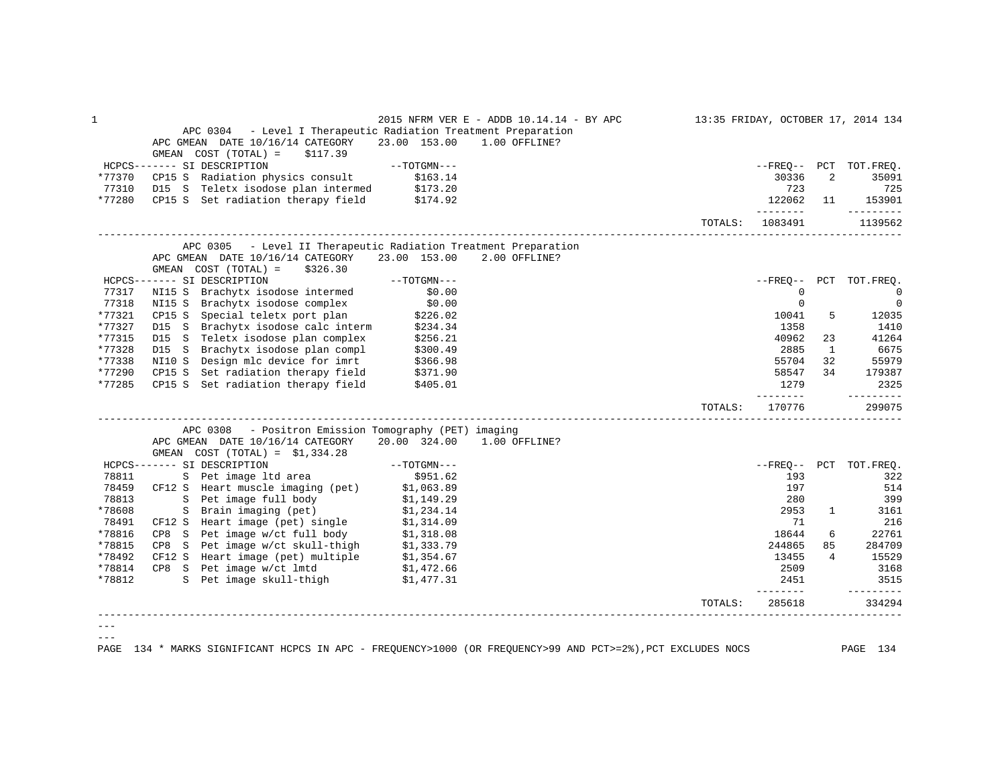| 1      |                                                                                                                                           |                          | 2015 NFRM VER E - ADDB 10.14.14 - BY APC |         |                       |                | 13:35 FRIDAY, OCTOBER 17, 2014 134 |
|--------|-------------------------------------------------------------------------------------------------------------------------------------------|--------------------------|------------------------------------------|---------|-----------------------|----------------|------------------------------------|
|        | APC 0304 - Level I Therapeutic Radiation Treatment Preparation                                                                            |                          |                                          |         |                       |                |                                    |
|        | APC GMEAN DATE 10/16/14 CATEGORY                                                                                                          | 23.00 153.00             | 1.00 OFFLINE?                            |         |                       |                |                                    |
|        | GMEAN $COST (TOTAL) = $117.39$                                                                                                            |                          |                                          |         |                       |                |                                    |
|        | HCPCS------- SI DESCRIPTION                                                                                                               | $--TOTGMN---$            |                                          |         |                       |                | --FREQ-- PCT TOT.FREQ.             |
| *77370 | CP15 S Radiation physics consult \$163.14                                                                                                 |                          |                                          |         | 30336                 | 2              | 35091                              |
| 77310  |                                                                                                                                           |                          |                                          |         | 723                   |                | 725                                |
| *77280 | D15 S Teletx isodose plan intermed \$173.20<br>CP15 S Set radiation therapy field \$174.92                                                |                          |                                          |         | 122062                | 11             | 153901                             |
|        |                                                                                                                                           |                          |                                          |         | ________              |                | ----------                         |
|        |                                                                                                                                           |                          |                                          | TOTALS: | 1083491               |                | 1139562                            |
|        | - Level II Therapeutic Radiation Treatment Preparation<br>APC 0305                                                                        |                          |                                          |         |                       |                |                                    |
|        | APC GMEAN DATE 10/16/14 CATEGORY 23.00 153.00 2.00 OFFLINE?                                                                               |                          |                                          |         |                       |                |                                    |
|        | GMEAN $COST (TOTAL) = $326.30$                                                                                                            |                          |                                          |         |                       |                |                                    |
|        | HCPCS------- SI DESCRIPTION                                                                                                               | $--TOTGMN---$            |                                          |         |                       |                | --FREQ-- PCT TOT.FREQ.             |
| 77317  | NI15 S Brachytx isodose intermed                                                                                                          | \$0.00                   |                                          |         | $\mathbf 0$           |                | $\Omega$                           |
| 77318  | NI15 S Brachytx isodose complex                                                                                                           | \$0.00                   |                                          |         | 0                     |                | $\mathbf{0}$                       |
| *77321 | CP15 S<br>Special teletx port plan                                                                                                        | \$226.02<br>\$234.34     |                                          |         | 10041                 | 5              | 12035                              |
| *77327 | D15 S Brachytx isodose calc interm                                                                                                        | \$234.34                 |                                          |         | 1358                  |                | 1410                               |
| *77315 | D15 S Teletx isodose plan complex                                                                                                         | \$256.21                 |                                          |         | 40962                 | 23             | 41264                              |
| *77328 | D15 S Brachytx isodose plan compl                                                                                                         | \$300.49                 |                                          |         | 2885                  | 1              | 6675                               |
| *77338 | NI10 S Design mlc device for imrt                                                                                                         | \$366.98                 |                                          |         | 55704                 | 32             | 55979                              |
| *77290 | Set radiation therapy field \$371.90<br>CP15 S                                                                                            |                          |                                          |         | 58547                 | 34             | 179387                             |
| *77285 | CP15 S Set radiation therapy field \$405.01                                                                                               |                          |                                          |         | 1279<br>------        |                | 2325<br>_________                  |
|        |                                                                                                                                           |                          |                                          | TOTALS: | 170776                |                | 299075                             |
|        | APC 0308 - Positron Emission Tomography (PET) imaging                                                                                     |                          |                                          |         |                       |                |                                    |
|        | APC GMEAN DATE 10/16/14 CATEGORY                                                                                                          | 20.00 324.00             | 1.00 OFFLINE?                            |         |                       |                |                                    |
|        | GMEAN $COST (TOTAL) = $1,334.28$                                                                                                          |                          |                                          |         |                       |                |                                    |
|        | HCPCS------- SI DESCRIPTION                                                                                                               | $--{\tt TOTGMN---}$      |                                          |         |                       |                | --FREQ-- PCT TOT.FREQ.             |
| 78811  | S Pet image ltd area                                                                                                                      | \$951.62                 |                                          |         | 193                   |                | 322                                |
| 78459  | CF12 S Heart muscle imaging (pet)                                                                                                         | \$1,063.89<br>\$1,149.29 |                                          |         | 197                   |                | 514                                |
| 78813  | S Pet image full body                                                                                                                     |                          |                                          |         | 280                   |                | 399                                |
| *78608 | S Brain imaging (pet)                                                                                                                     | \$1,234.14               |                                          |         | 2953                  | $\mathbf{1}$   | 3161                               |
| 78491  | CF12 S Heart image (pet) single $$1,314.09$<br>CP8 S Pet image w/ct full body $$1,318.08$                                                 |                          |                                          |         | 71                    |                | 216                                |
| *78816 |                                                                                                                                           |                          |                                          |         | 18644                 | 6              | 22761                              |
| *78815 |                                                                                                                                           |                          |                                          |         | 244865                | 85             | 284709                             |
| *78492 | CP8 S Pet image $w$ /ct skull-thigh \$1,333.79<br>CF12 S Heart image (pet) multiple \$1,354.67<br>CP8 S Pet image $w$ /ct lmtd \$1,472.66 |                          |                                          |         | 13455                 | $\overline{4}$ | 15529                              |
| *78814 |                                                                                                                                           |                          |                                          |         | 2509                  |                | 3168                               |
| *78812 | S Pet image skull-thigh \$1,477.31                                                                                                        |                          |                                          |         | 2451<br>$- - - - - -$ |                | 3515<br>---------                  |
|        |                                                                                                                                           |                          |                                          | TOTALS: | 285618                |                | 334294                             |
|        |                                                                                                                                           |                          |                                          |         |                       |                |                                    |
|        |                                                                                                                                           |                          |                                          |         |                       |                |                                    |

PAGE 134 \* MARKS SIGNIFICANT HCPCS IN APC - FREQUENCY>1000 (OR FREQUENCY>99 AND PCT>=2%),PCT EXCLUDES NOCS PAGE 134

 $---$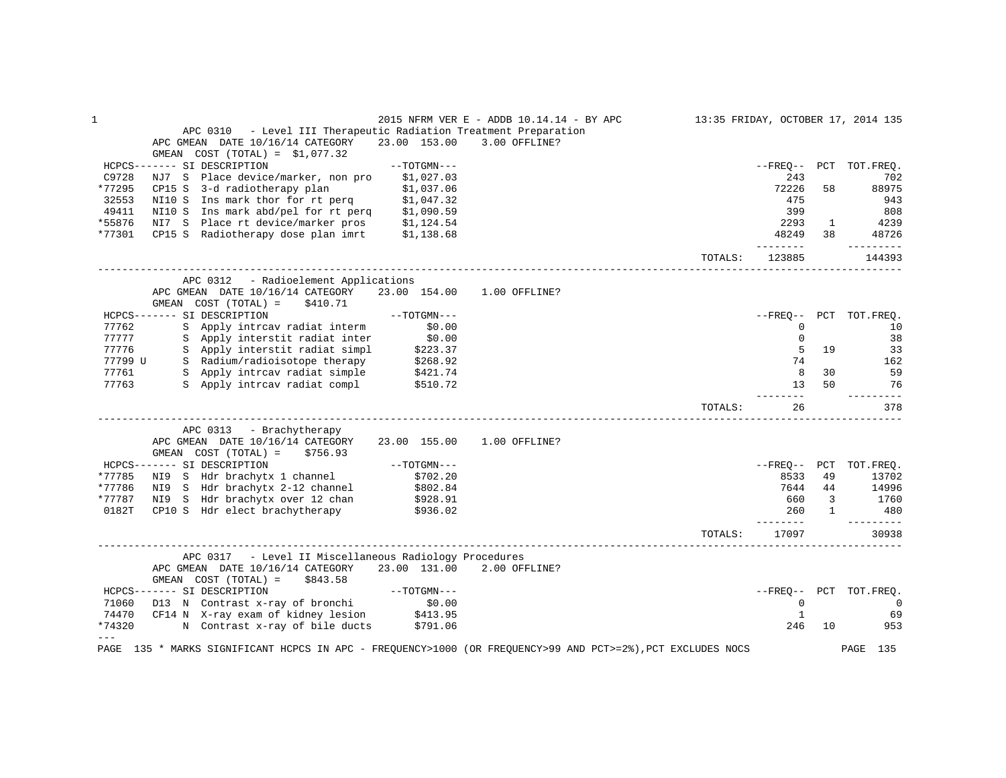|         |                                                                                                                 |                      | 2015 NFRM VER E - ADDB 10.14.14 - BY APC |         |               |              | 13:35 FRIDAY, OCTOBER 17, 2014 135 |
|---------|-----------------------------------------------------------------------------------------------------------------|----------------------|------------------------------------------|---------|---------------|--------------|------------------------------------|
|         | APC 0310 - Level III Therapeutic Radiation Treatment Preparation                                                |                      |                                          |         |               |              |                                    |
|         | APC GMEAN DATE 10/16/14 CATEGORY                                                                                | 23.00 153.00         | 3.00 OFFLINE?                            |         |               |              |                                    |
|         | GMEAN $COST (TOTAL) = $1,077.32$                                                                                |                      |                                          |         |               |              |                                    |
|         | HCPCS------- SI DESCRIPTION                                                                                     | $--TOTGMN---$        |                                          |         | --FRE0--      |              | PCT TOT. FREQ.                     |
| C9728   | NJ7 S Place device/marker, non pro                                                                              | \$1,027.03           |                                          |         | 243           |              | 702                                |
| *77295  | CP15 S 3-d radiotherapy plan                                                                                    | \$1,037.06           |                                          |         | 72226         | 58           | 88975                              |
| 32553   | NI10 S Ins mark thor for rt perq                                                                                | \$1,047.32           |                                          |         | 475           |              | 943                                |
| 49411   | NI10 S Ins mark abd/pel for rt perq \$1,090.59                                                                  |                      |                                          |         | 399           |              | 808                                |
| *55876  | NI7 S Place rt device/marker pros \$1,124.54                                                                    |                      |                                          |         | 2293          | $\mathbf{1}$ | 4239                               |
| *77301  | CP15 S Radiotherapy dose plan imrt \$1,138.68                                                                   |                      |                                          |         | 48249         | 38           | 48726                              |
|         |                                                                                                                 |                      |                                          |         | --------      |              | ----------                         |
|         |                                                                                                                 |                      |                                          | TOTALS: | 123885        |              | 144393                             |
|         | APC 0312 - Radioelement Applications                                                                            |                      |                                          |         |               |              |                                    |
|         | APC GMEAN DATE 10/16/14 CATEGORY<br>GMEAN $COST (TOTAL) = $410.71$                                              | 23.00 154.00         | 1.00 OFFLINE?                            |         |               |              |                                    |
|         | HCPCS------- SI DESCRIPTION                                                                                     | --TOTGMN---          |                                          |         | --FREO--      |              | PCT TOT.FREQ.                      |
| 77762   | S Apply intrcav radiat interm                                                                                   | \$0.00               |                                          |         | 0             |              | 10                                 |
| 77777   | S Apply interstit radiat inter                                                                                  | \$0.00               |                                          |         | $\mathbf{0}$  |              | 38                                 |
| 77776   | S Apply interstit radiat simpl                                                                                  | \$223.37             |                                          |         | 5             | 19           | 33                                 |
| 77799 U | S Radium/radioisotope therapy                                                                                   |                      |                                          |         | 74            |              | 162                                |
|         |                                                                                                                 | \$268.92<br>\$421.74 |                                          |         |               | 30           |                                    |
| 77761   | S Apply intrcav radiat simple                                                                                   |                      |                                          |         | 8             |              | 59                                 |
| 77763   | S Apply intreav radiat compl \$510.72                                                                           |                      |                                          |         | 13<br>-----   | 50           | 76<br>$- - - -$                    |
|         |                                                                                                                 |                      |                                          | TOTALS: | 26            |              | 378                                |
|         | APC 0313 - Brachytherapy                                                                                        |                      |                                          |         |               |              |                                    |
|         | APC GMEAN DATE 10/16/14 CATEGORY<br>$GMEAN$ $COST$ $(TOTAL) = $756.93$                                          | 23.00 155.00         | 1.00 OFFLINE?                            |         |               |              |                                    |
|         | HCPCS------- SI DESCRIPTION                                                                                     | $--TOTGMN---$        |                                          |         | --FREO--      | PCT          | TOT.FREO.                          |
| *77785  | NI9 S Hdr brachytx 1 channel                                                                                    | \$702.20             |                                          |         | 8533          | 49           | 13702                              |
| *77786  | NI9 S Hdr brachytx 2-12 channel \$802.84                                                                        |                      |                                          |         | 7644          | 44           | 14996                              |
| *77787  | NI9 S Hdr brachytx over 12 chan                                                                                 | \$928.91             |                                          |         | 660           | 3            | 1760                               |
| 0182T   | CP10 S Hdr elect brachytherapy                                                                                  | \$936.02             |                                          |         | 260           | $\mathbf{1}$ | 480                                |
|         |                                                                                                                 |                      |                                          |         | $- - - - - -$ |              | ----------                         |
|         |                                                                                                                 |                      |                                          | TOTALS: | 17097         |              | 30938                              |
|         | APC 0317 - Level II Miscellaneous Radiology Procedures                                                          |                      |                                          |         |               |              |                                    |
|         | APC GMEAN DATE 10/16/14 CATEGORY                                                                                | 23.00 131.00         | 2.00 OFFLINE?                            |         |               |              |                                    |
|         | GMEAN COST (TOTAL) =<br>\$843.58                                                                                |                      |                                          |         |               |              |                                    |
|         | HCPCS------- SI DESCRIPTION                                                                                     | $--TOTGMN---$        |                                          |         |               |              | --FREQ-- PCT TOT.FREQ.             |
| 71060   | D13 N Contrast x-ray of bronchi \$0.00                                                                          |                      |                                          |         | $\mathbf{0}$  |              | $\mathbf 0$                        |
| 74470   |                                                                                                                 |                      |                                          |         | $\mathbf{1}$  |              | 69                                 |
| *74320  | D13 N Contrast x-ray or x x<br>CF14 N X-ray exam of kidney lesion \$413.95<br>- november of hile ducts \$791.06 |                      |                                          |         | 246           | 10           | 953                                |
| $---$   |                                                                                                                 |                      |                                          |         |               |              |                                    |
| PAGE    | 135 * MARKS SIGNIFICANT HCPCS IN APC - FREQUENCY>1000 (OR FREQUENCY>99 AND PCT>=2%), PCT EXCLUDES NOCS          |                      |                                          |         |               |              | PAGE 135                           |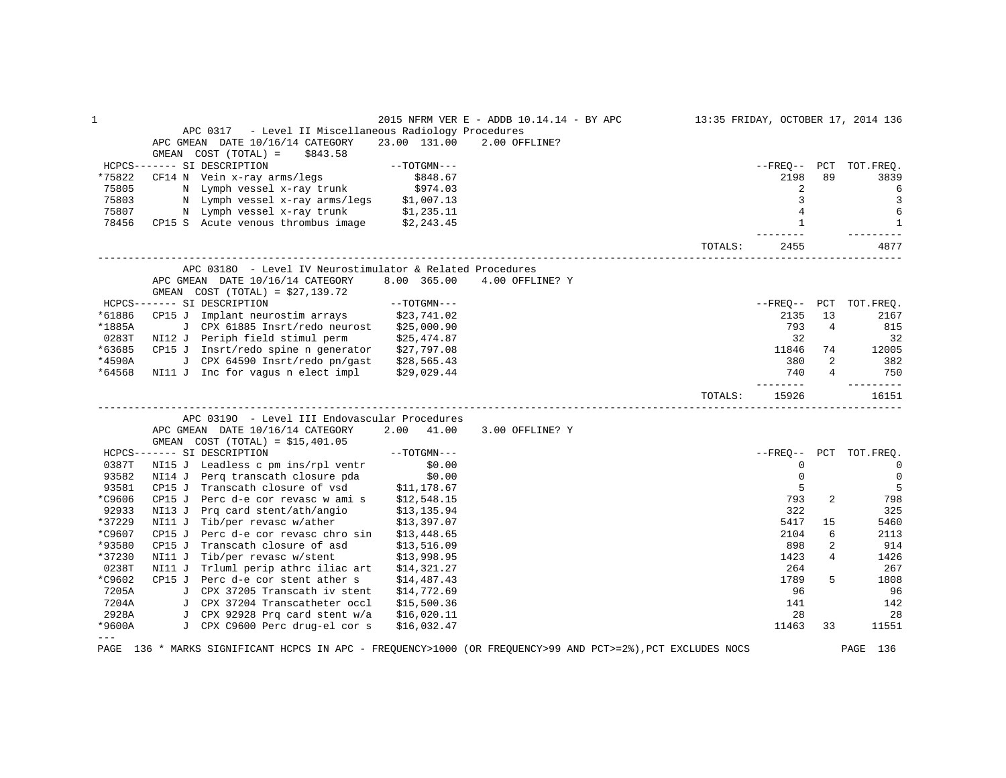| $\mathbf 1$ |                                                                                                        |               | 2015 NFRM VER E - ADDB 10.14.14 - BY APC |         |                   |                | 13:35 FRIDAY, OCTOBER 17, 2014 136 |
|-------------|--------------------------------------------------------------------------------------------------------|---------------|------------------------------------------|---------|-------------------|----------------|------------------------------------|
|             | - Level II Miscellaneous Radiology Procedures<br>APC 0317                                              |               |                                          |         |                   |                |                                    |
|             | APC GMEAN DATE 10/16/14 CATEGORY                                                                       | 23.00 131.00  | 2.00 OFFLINE?                            |         |                   |                |                                    |
|             | $COST (TOTAL) =$<br>GMEAN<br>\$843.58                                                                  |               |                                          |         |                   |                |                                    |
|             | HCPCS------- SI DESCRIPTION                                                                            | $--TOTGMN---$ |                                          |         | $--$ FREO $--$    | PCT            | TOT.FREO.                          |
| *75822      | CF14 N Vein x-ray arms/legs                                                                            | \$848.67      |                                          |         | 2198              | 89             | 3839                               |
| 75805       | N Lymph vessel x-ray trunk                                                                             | \$974.03      |                                          |         | 2                 |                | 6                                  |
| 75803       | N Lymph vessel x-ray arms/legs                                                                         | \$1,007.13    |                                          |         | 3                 |                | $\overline{3}$                     |
| 75807       | N Lymph vessel x-ray trunk                                                                             | \$1,235.11    |                                          |         | 4                 |                | 6                                  |
| 78456       | CP15 S Acute venous thrombus image                                                                     | \$2,243.45    |                                          |         | $\mathbf{1}$      |                | $\mathbf{1}$                       |
|             |                                                                                                        |               |                                          | TOTALS: | 2455              |                | 4877                               |
|             | APC 03180 - Level IV Neurostimulator & Related Procedures                                              |               |                                          |         |                   |                |                                    |
|             | APC GMEAN DATE 10/16/14 CATEGORY                                                                       | 8.00 365.00   | 4.00 OFFLINE? Y                          |         |                   |                |                                    |
|             | GMEAN COST (TOTAL) = $$27,139.72$                                                                      |               |                                          |         |                   |                |                                    |
|             | HCPCS------- SI DESCRIPTION                                                                            | $--TOTGMN---$ |                                          |         | $- FREO--$        | PCT            | TOT.FREQ.                          |
| *61886      | CP15 J Implant neurostim arrays                                                                        | \$23,741.02   |                                          |         | 2135              | 13             | 2167                               |
| *1885A      | J CPX 61885 Insrt/redo neurost                                                                         | \$25,000.90   |                                          |         | 793               | $\overline{4}$ | 815                                |
| 0283T       | NI12 J Periph field stimul perm                                                                        | \$25,474.87   |                                          |         | 32                |                | 32                                 |
| *63685      | CP15 J Insrt/redo spine n generator                                                                    | \$27,797.08   |                                          |         | 11846             | 74             | 12005                              |
| *4590A      | J CPX 64590 Insrt/redo pn/gast                                                                         | \$28,565.43   |                                          |         | 380               | $\overline{2}$ | 382                                |
| *64568      | NI11 J Inc for vagus n elect impl                                                                      | \$29,029.44   |                                          |         | 740               | 4              | 750                                |
|             |                                                                                                        |               |                                          | TOTALS: | --------<br>15926 |                | ----------<br>16151                |
|             | APC 03190 - Level III Endovascular Procedures                                                          |               |                                          |         |                   |                |                                    |
|             | APC GMEAN DATE 10/16/14 CATEGORY                                                                       | 2.00<br>41.00 | 3.00 OFFLINE? Y                          |         |                   |                |                                    |
|             | GMEAN COST $(TOTAL) = $15,401.05$                                                                      |               |                                          |         |                   |                |                                    |
|             | HCPCS------- SI DESCRIPTION                                                                            | $--TOTGMN---$ |                                          |         | $- FREO--$        | PCT            | TOT.FREQ.                          |
| 0387T       | NI15 J Leadless c pm ins/rpl ventr                                                                     | \$0.00        |                                          |         | 0                 |                | 0                                  |
| 93582       | NI14 J Perg transcath closure pda                                                                      | \$0.00        |                                          |         | $\mathbf 0$       |                | 0                                  |
| 93581       | CP15 J Transcath closure of vsd                                                                        | \$11,178.67   |                                          |         | 5                 |                | 5                                  |
| *C9606      | CP15 J<br>Perc d-e cor revasc w ami s                                                                  | \$12,548.15   |                                          |         | 793               | 2              | 798                                |
| 92933       | Prg card stent/ath/angio<br>NI13 J                                                                     | \$13,135.94   |                                          |         | 322               |                | 325                                |
| *37229      | NI11 J Tib/per revasc w/ather                                                                          | \$13,397.07   |                                          |         | 5417              | 15             | 5460                               |
| *C9607      | CP15J<br>Perc d-e cor revasc chro sin                                                                  | \$13,448.65   |                                          |         | 2104              | 6              | 2113                               |
| *93580      | CP15 J<br>Transcath closure of asd                                                                     | \$13,516.09   |                                          |         | 898               | 2              | 914                                |
| *37230      | Tib/per revasc w/stent<br>NI11 J                                                                       | \$13,998.95   |                                          |         | 1423              | 4              | 1426                               |
| 0238T       | NI11 J<br>Trluml perip athrc iliac art                                                                 | \$14,321.27   |                                          |         | 264               |                | 267                                |
| *C9602      | CP15 J Perc d-e cor stent ather s                                                                      | \$14,487.43   |                                          |         | 1789              | 5              | 1808                               |
| 7205A       | J CPX 37205 Transcath iv stent                                                                         | \$14,772.69   |                                          |         | 96                |                | 96                                 |
| 7204A       | J CPX 37204 Transcatheter occl                                                                         | \$15,500.36   |                                          |         | 141               |                | 142                                |
| 2928A       | J CPX 92928 Prq card stent w/a                                                                         | \$16,020.11   |                                          |         | 28                |                | 28                                 |
| *9600A      | J CPX C9600 Perc drug-el cor s                                                                         | \$16,032.47   |                                          |         | 11463             | 33             | 11551                              |
| $---$       |                                                                                                        |               |                                          |         |                   |                |                                    |
| PAGE        | 136 * MARKS SIGNIFICANT HCPCS IN APC - FREQUENCY>1000 (OR FREQUENCY>99 AND PCT>=2%), PCT EXCLUDES NOCS |               |                                          |         |                   |                | PAGE 136                           |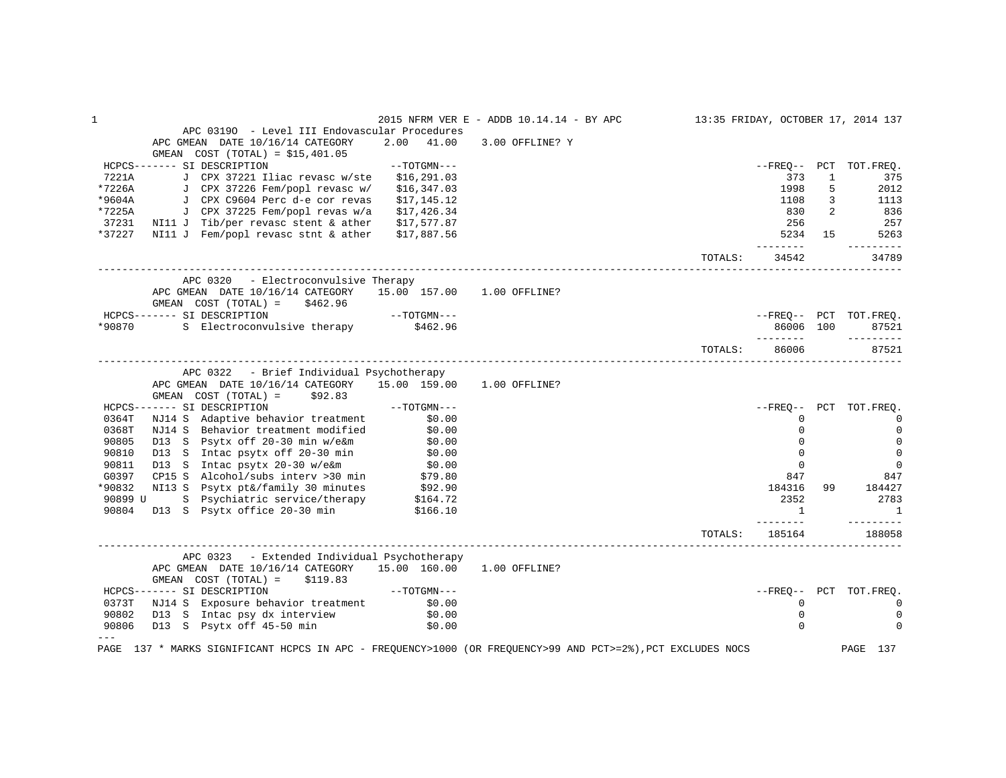|          |                                                                                                                                                                                                                                                                                          |               | 2015 NFRM VER E - ADDB 10.14.14 - BY APC |         |                   |                | 13:35 FRIDAY, OCTOBER 17, 2014 137 |
|----------|------------------------------------------------------------------------------------------------------------------------------------------------------------------------------------------------------------------------------------------------------------------------------------------|---------------|------------------------------------------|---------|-------------------|----------------|------------------------------------|
|          | APC 03190 - Level III Endovascular Procedures                                                                                                                                                                                                                                            |               |                                          |         |                   |                |                                    |
|          | APC GMEAN DATE 10/16/14 CATEGORY                                                                                                                                                                                                                                                         | 2.00 41.00    | 3.00 OFFLINE? Y                          |         |                   |                |                                    |
|          | GMEAN COST (TOTAL) = $$15,401.05$                                                                                                                                                                                                                                                        |               |                                          |         |                   |                |                                    |
|          | HCPCS------- SI DESCRIPTION                                                                                                                                                                                                                                                              | $--TOTGMN---$ |                                          |         |                   |                | --FREQ-- PCT TOT.FREQ.             |
| 7221A    | J CPX 37221 Iliac revasc w/ste \$16,291.03                                                                                                                                                                                                                                               |               |                                          |         | 373               | $\mathbf{1}$   | 375                                |
| $*7226A$ | J CPX 37226 Fem/popl revasc w/ \$16,347.03                                                                                                                                                                                                                                               |               |                                          |         | 1998              | 5              | 2012                               |
| *9604A   | J CPX C9604 Perc d-e cor revas                                                                                                                                                                                                                                                           | \$17,145.12   |                                          |         | 1108              | $\mathbf{3}$   | 1113                               |
| *7225A   | J CPX 37225 Fem/popl revas w/a                                                                                                                                                                                                                                                           | \$17,426.34   |                                          |         | 830               | $\overline{2}$ | 836                                |
|          | 37231 NI11 J Tib/per revasc stent & ather                                                                                                                                                                                                                                                | \$17,577.87   |                                          |         | 256               |                | 257                                |
| *37227   | NI11 J Fem/popl revasc stnt & ather                                                                                                                                                                                                                                                      | \$17,887.56   |                                          |         | ---------         |                | 5234 15<br>5263<br>----------      |
|          |                                                                                                                                                                                                                                                                                          |               |                                          | TOTALS: | 34542             |                | 34789                              |
|          | APC 0320 - Electroconvulsive Therapy                                                                                                                                                                                                                                                     |               |                                          |         |                   |                |                                    |
|          | APC GMEAN DATE 10/16/14 CATEGORY 15.00 157.00 1.00 OFFLINE?<br>GMEAN $COST (TOTAL) = $462.96$                                                                                                                                                                                            |               |                                          |         |                   |                |                                    |
|          | HCPCS------- SI DESCRIPTION                                                                                                                                                                                                                                                              | $--TOTGMN---$ |                                          |         |                   |                | --FREO-- PCT TOT.FREO.             |
|          | *90870 S Electroconvulsive therapy \$462.96                                                                                                                                                                                                                                              |               |                                          |         | 86006 100         |                | 87521                              |
|          |                                                                                                                                                                                                                                                                                          |               |                                          |         | _________         |                | ----------                         |
|          |                                                                                                                                                                                                                                                                                          |               |                                          | TOTALS: | 86006             |                | 87521                              |
|          | APC 0322 - Brief Individual Psychotherapy                                                                                                                                                                                                                                                |               |                                          |         |                   |                |                                    |
|          | APC GMEAN DATE 10/16/14 CATEGORY 15.00 159.00 1.00 OFFLINE?                                                                                                                                                                                                                              |               |                                          |         |                   |                |                                    |
|          | $GMEAN$ $COST$ $(TOTAL) =$ $$92.83$                                                                                                                                                                                                                                                      |               |                                          |         |                   |                |                                    |
|          | $--\texttt{TOTGMN---}$<br>HCPCS------- SI DESCRIPTION                                                                                                                                                                                                                                    |               |                                          |         |                   |                | --FREO-- PCT TOT.FREO.             |
| 0364T    | NJ14 S Adaptive behavior treatment \$0.00<br>NJ14 S Behavior treatment modified \$0.00                                                                                                                                                                                                   |               |                                          |         | $\mathbf 0$       |                | $\mathbf 0$                        |
| 0368T    |                                                                                                                                                                                                                                                                                          |               |                                          |         | $\Omega$          |                | $\mathbf 0$                        |
| 90805    | D13 S Psytx off 20-30 min w/e&m \$0.00<br>D13 S Intac psytx off 20-30 min \$0.00                                                                                                                                                                                                         |               |                                          |         | $\Omega$          |                | $\mathbf 0$                        |
| 90810    | D13 S Intac psytx off 20-30 min                                                                                                                                                                                                                                                          |               |                                          |         | $\Omega$          |                | $\mathbf 0$                        |
| 90811    | $D13$ S Intac $P^2$ and $I = -1$ is the set of $\frac{1}{2}$ of $\frac{1}{2}$ of $\frac{1}{2}$ of $\frac{1}{2}$ of $\frac{1}{2}$ of $\frac{1}{2}$ of $\frac{1}{2}$ of $\frac{1}{2}$ of $\frac{1}{2}$ of $\frac{1}{2}$ of $\frac{1}{2}$ of $\frac{1}{2}$ of $\frac{1}{2}$ of $\frac{1}{2$ |               |                                          |         | $\Omega$          |                | $\mathbf{0}$                       |
| G0397    | CP15 S Alcohol/subs interv > 30 min $$79.80$<br>NI13 S Psytx pt&/family 30 minutes $$92.90$                                                                                                                                                                                              |               |                                          |         | 847               |                | 847                                |
| *90832   |                                                                                                                                                                                                                                                                                          |               |                                          |         | 184316            | 99             | 184427                             |
| 90899 U  |                                                                                                                                                                                                                                                                                          |               |                                          |         | 2352              |                | 2783                               |
| 90804    | S Psychiatric service/therapy \$164.72<br>D13 S Psytx office 20-30 min \$166.10                                                                                                                                                                                                          |               |                                          |         | $\overline{1}$    |                | $\overline{\phantom{1}}$           |
|          |                                                                                                                                                                                                                                                                                          |               |                                          | TOTALS: | -------<br>185164 |                | ---------<br>188058                |
|          |                                                                                                                                                                                                                                                                                          |               |                                          |         |                   |                |                                    |
|          | APC 0323 - Extended Individual Psychotherapy                                                                                                                                                                                                                                             |               |                                          |         |                   |                |                                    |
|          | APC GMEAN DATE 10/16/14 CATEGORY 15.00 160.00 1.00 OFFLINE?                                                                                                                                                                                                                              |               |                                          |         |                   |                |                                    |
|          | GMEAN $COST (TOTAL) = $119.83$                                                                                                                                                                                                                                                           |               |                                          |         |                   |                |                                    |
|          | $\begin{aligned} - & -\text{TOTGMN} \texttt{---} \end{aligned}$<br>HCPCS------- SI DESCRIPTION                                                                                                                                                                                           |               |                                          |         |                   |                | --FREO-- PCT TOT.FREO.             |
|          | 0373T NJ14 S Exposure behavior treatment \$0.00                                                                                                                                                                                                                                          |               |                                          |         | 0                 |                | $\mathbf{0}$                       |
| 90802    | D13 S Intac psy dx interview<br>D13 S Psytx off 45-50 min                                                                                                                                                                                                                                | \$0.00        |                                          |         | $\mathbf{0}$      |                | $\Omega$                           |
| 90806    |                                                                                                                                                                                                                                                                                          | \$0.00        |                                          |         | $\Omega$          |                | $\Omega$                           |
|          | PAGE 137 * MARKS SIGNIFICANT HCPCS IN APC - FREQUENCY>1000 (OR FREQUENCY>99 AND PCT>=2%), PCT EXCLUDES NOCS                                                                                                                                                                              |               |                                          |         |                   |                | PAGE 137                           |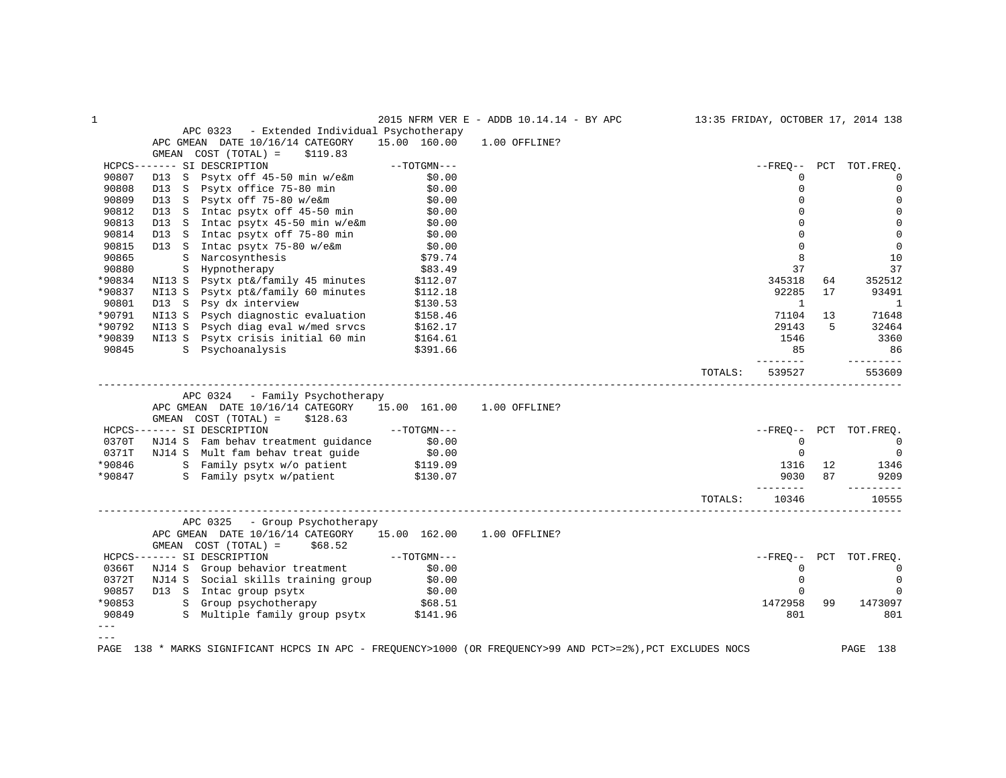| $\mathbf{1}$ |                                                                                                              |                     | 2015 NFRM VER E - ADDB 10.14.14 - BY APC |         |             |     | 13:35 FRIDAY, OCTOBER 17, 2014 138 |
|--------------|--------------------------------------------------------------------------------------------------------------|---------------------|------------------------------------------|---------|-------------|-----|------------------------------------|
|              | APC 0323 - Extended Individual Psychotherapy                                                                 |                     |                                          |         |             |     |                                    |
|              | APC GMEAN DATE 10/16/14 CATEGORY                                                                             | 15.00 160.00        | 1.00 OFFLINE?                            |         |             |     |                                    |
|              | $COST (TOTAL) =$<br>GMEAN<br>\$119.83                                                                        |                     |                                          |         |             |     |                                    |
|              | HCPCS------- SI DESCRIPTION                                                                                  | $--{\tt TOTGMN---}$ |                                          |         | $--FREQ--$  |     | PCT TOT. FREO.                     |
| 90807        | Psytx off 45-50 min w/e&m<br>D13 S                                                                           | \$0.00              |                                          |         | $\Omega$    |     | $\mathbf{0}$                       |
| 90808        | Psytx office 75-80 min \$0.00<br>D13 S                                                                       |                     |                                          |         | $\Omega$    |     | $\mathbf 0$                        |
| 90809        |                                                                                                              |                     |                                          |         | 0           |     | $\mathbf 0$                        |
| 90812        | D13 S Psytx off 75-80 w/e&m \$0.00<br>D13 S Intac psytx off 45-50 min \$0.00                                 |                     |                                          |         | $\Omega$    |     | $\mathbf 0$                        |
| 90813        | D13 S                                                                                                        |                     |                                          |         | $\Omega$    |     | $\mathbf{0}$                       |
| 90814        | Intac psytx 45-50 min w/e&m \$0.00<br>Intac psytx off 75-80 min \$0.00<br>D13 S Intac psytx off 75-80 min    |                     |                                          |         | $\Omega$    |     | $\mathbf 0$                        |
| 90815        | D13 S Intac psytx 75-80 w/e&m \$0.00                                                                         |                     |                                          |         | $\Omega$    |     | $\mathbf 0$                        |
| 90865        | S Narcosynthesis                                                                                             |                     |                                          |         | 8           |     | 10                                 |
| 90880        | S Hypnotherapy                                                                                               | \$79.74<br>\$83.49  |                                          |         | 37          |     | 37                                 |
| *90834       | S Hypnotherapy<br>NI13 S Psytx pt&/family 45 minutes<br>NI13 S Devty nt&/family 60 minutes                   | \$112.07            |                                          |         | 345318      | 64  | 352512                             |
| *90837       |                                                                                                              | \$112.18            |                                          |         | 92285       | 17  | 93491                              |
| 90801        | D13 S Psy dx interview                                                                                       | \$130.53            |                                          |         | 1           |     | 1                                  |
| *90791       | NI13 S Psych diagnostic evaluation                                                                           | \$158.46            |                                          |         | 71104       | 13  | 71648                              |
| *90792       | Psych diag eval w/med srvcs<br>NI13 S                                                                        | \$162.17            |                                          |         | 29143       | 5   | 32464                              |
| *90839       | Psytx crisis initial 60 min<br>NI13 S                                                                        | \$164.61            |                                          |         | 1546        |     | 3360                               |
| 90845        | S Psychoanalysis                                                                                             | \$391.66            |                                          |         | 85          |     | 86                                 |
|              |                                                                                                              |                     |                                          |         | -------     |     | ---------                          |
|              |                                                                                                              |                     |                                          | TOTALS: | 539527      |     | 553609                             |
|              |                                                                                                              |                     |                                          |         |             |     |                                    |
|              | APC 0324 - Family Psychotherapy                                                                              |                     |                                          |         |             |     |                                    |
|              | APC GMEAN DATE 10/16/14 CATEGORY 15.00 161.00 1.00 OFFLINE?                                                  |                     |                                          |         |             |     |                                    |
|              | \$128.63<br>GMEAN COST (TOTAL) =                                                                             |                     |                                          |         |             |     |                                    |
|              | $--TOTGMN---$<br>HCPCS------- SI DESCRIPTION                                                                 |                     |                                          |         | --FRE0--    |     | PCT TOT. FREO.                     |
| 0370T        |                                                                                                              |                     |                                          |         | $\mathbf 0$ |     | $\overline{0}$                     |
| 0371T        | NJ14 S Fam behav treatment guidance \$0.00                                                                   |                     |                                          |         | $\mathbf 0$ |     | $\overline{0}$                     |
| *90846       | NJ14 S Mult fam behav treat guide \$0.00<br>S Family psytx w/o patient \$119.09                              |                     |                                          |         | 1316        | 12  |                                    |
| *90847       |                                                                                                              |                     |                                          |         | 9030        | 87  | 1346<br>9209                       |
|              | S Family psytx w/patient \$130.07                                                                            |                     |                                          |         | --------    |     |                                    |
|              |                                                                                                              |                     |                                          |         | 10346       |     | 10555                              |
|              |                                                                                                              |                     |                                          | TOTALS: |             |     |                                    |
|              | APC 0325 - Group Psychotherapy                                                                               |                     |                                          |         |             |     |                                    |
|              | APC GMEAN DATE 10/16/14 CATEGORY 15.00 162.00 1.00 OFFLINE?                                                  |                     |                                          |         |             |     |                                    |
|              | GMEAN COST (TOTAL) =<br>\$68.52                                                                              |                     |                                          |         |             |     |                                    |
|              | HCPCS------- SI DESCRIPTION                                                                                  |                     |                                          |         | $- FREO--$  | PCT | TOT.FREQ.                          |
| 0366T        |                                                                                                              |                     |                                          |         | $\mathbf 0$ |     | $\mathbf{0}$                       |
|              | ----- SI DESCRIPTION<br>NJ14 S Group behavior treatment \$0.00<br>NJ14 S Social skills training group \$0.00 |                     |                                          |         | $\Omega$    |     |                                    |
| 0372T        |                                                                                                              |                     |                                          |         |             |     | $\mathbf{0}$                       |
| 90857        | D13 S Intac group psytx \$0.00<br>S Group psychotherapy \$68.51                                              |                     |                                          |         | $\mathbf 0$ |     | 0                                  |
| *90853       |                                                                                                              |                     |                                          |         | 1472958     | 99  | 1473097                            |
| 90849        | S Multiple family group psytx \$141.96                                                                       |                     |                                          |         | 801         |     | 801                                |
|              |                                                                                                              |                     |                                          |         |             |     |                                    |
|              |                                                                                                              |                     |                                          |         |             |     |                                    |
| PAGE         | 138 * MARKS SIGNIFICANT HCPCS IN APC - FREQUENCY>1000 (OR FREQUENCY>99 AND PCT>=2%), PCT EXCLUDES NOCS       |                     |                                          |         |             |     | PAGE 138                           |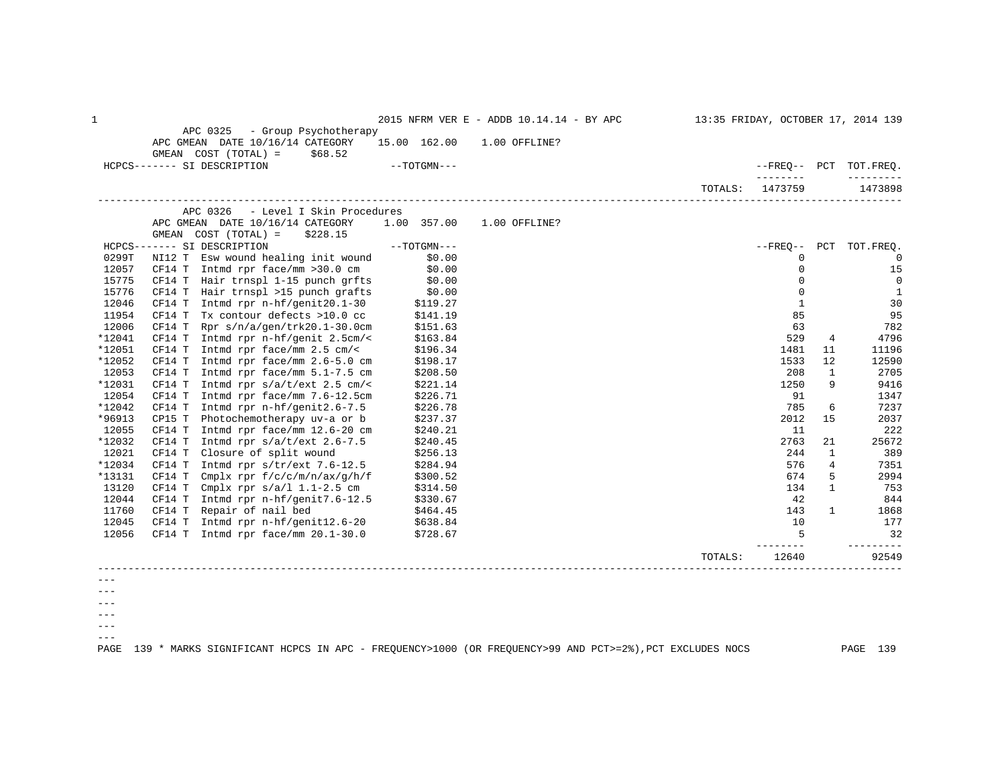| $\mathbf 1$ |                                                                     |                            |               | 2015 NFRM VER E - ADDB 10.14.14 - BY APC |         |              |              | 13:35 FRIDAY, OCTOBER 17, 2014 139 |
|-------------|---------------------------------------------------------------------|----------------------------|---------------|------------------------------------------|---------|--------------|--------------|------------------------------------|
|             | APC 0325<br>- Group Psychotherapy                                   |                            |               |                                          |         |              |              |                                    |
|             | APC GMEAN DATE 10/16/14 CATEGORY<br>GMEAN COST (TOTAL) =<br>\$68.52 | 15.00 162.00 1.00 OFFLINE? |               |                                          |         |              |              |                                    |
|             | HCPCS------- SI DESCRIPTION                                         | $--TOTGMN---$              |               |                                          |         |              |              | --FREO-- PCT TOT.FREO.             |
|             |                                                                     |                            |               |                                          |         |              |              |                                    |
|             |                                                                     |                            |               |                                          | TOTALS: | 1473759      |              | 1473898                            |
|             | - Level I Skin Procedures<br>APC 0326                               |                            |               |                                          |         |              |              |                                    |
|             | APC GMEAN DATE 10/16/14 CATEGORY                                    | 1.00 357.00                | 1.00 OFFLINE? |                                          |         |              |              |                                    |
|             | GMEAN COST (TOTAL) =<br>\$228.15                                    |                            |               |                                          |         |              |              |                                    |
|             | HCPCS------- SI DESCRIPTION                                         | $--TOTGMN---$              |               |                                          |         |              |              | --FREQ-- PCT TOT.FREQ.             |
| 0299T       | NI12 T Esw wound healing init wound                                 | \$0.00                     |               |                                          |         | $\mathbf 0$  |              | $\Omega$                           |
| 12057       | $CF14$ T Intmd rpr face/mm >30.0 cm                                 | \$0.00                     |               |                                          |         | $\mathbf 0$  |              | 15                                 |
| 15775       | CF14 T Hair trnspl 1-15 punch grfts                                 | \$0.00                     |               |                                          |         | $\Omega$     |              | $\overline{0}$                     |
| 15776       | CF14 T Hair trnspl >15 punch grafts                                 | \$0.00                     |               |                                          |         | $\Omega$     |              | 1                                  |
| 12046       | Intmd rpr n-hf/genit20.1-30<br>CF14 T                               | \$119.27                   |               |                                          |         | $\mathbf{1}$ |              | 30                                 |
| 11954       | Tx contour defects >10.0 cc<br>CF14 T                               | \$141.19                   |               |                                          |         | 85           |              | 95                                 |
| 12006       | Rpr s/n/a/gen/trk20.1-30.0cm<br>CF14 T                              | \$151.63                   |               |                                          |         | 63           |              | 782                                |
| *12041      | Intmd rpr n-hf/genit 2.5cm/<<br>CF14 T                              | \$163.84                   |               |                                          |         | 529          | 4            | 4796                               |
| *12051      | CF14 T<br>Intmd rpr face/mm 2.5 cm/<                                | \$196.34                   |               |                                          |         | 1481         | 11           | 11196                              |
| *12052      | Intmd rpr face/mm 2.6-5.0 cm<br>CF14 T                              | \$198.17                   |               |                                          |         | 1533         | 12           | 12590                              |
| 12053       | CF14 T<br>Intmd rpr face/mm 5.1-7.5 cm                              | \$208.50                   |               |                                          |         | 208          | 1            | 2705                               |
| *12031      | CF14 T<br>Intmd rpr $s/a/t/ext$ 2.5 cm/<                            | \$221.14                   |               |                                          |         | 1250         | 9            | 9416                               |
| 12054       | CF14 T<br>Intmd rpr face/mm 7.6-12.5cm                              | \$226.71                   |               |                                          |         | 91           |              | 1347                               |
| *12042      | CF14 T<br>Intmd rpr n-hf/genit2.6-7.5                               | \$226.78                   |               |                                          |         | 785          | 6            | 7237                               |
| *96913      | Photochemotherapy uv-a or b<br>CP15 T                               | \$237.37                   |               |                                          |         | 2012         | 15           | 2037                               |
| 12055       | Intmd rpr face/mm 12.6-20 cm<br>CF14 T                              | \$240.21                   |               |                                          |         | 11           |              | 222                                |
| *12032      | Intmd rpr $s/a/t/ext$ 2.6-7.5<br>CF14 T                             | \$240.45                   |               |                                          |         | 2763         | 21           | 25672                              |
| 12021       | Closure of split wound<br>CF14 T                                    | \$256.13                   |               |                                          |         | 244          | 1            | 389                                |
| *12034      | CF14 T Intmd rpr $s/tr/ext$ 7.6-12.5                                | \$284.94                   |               |                                          |         | 576          | 4            | 7351                               |
| *13131      | Cmplx rpr $f/c/c/m/n/ax/q/h/f$<br>CF14 T                            | \$300.52                   |               |                                          |         | 674          | 5            | 2994                               |
| 13120       | CF14 T<br>Cmplx rpr $s/a/l$ 1.1-2.5 cm                              | \$314.50                   |               |                                          |         | 134          | $\mathbf{1}$ | 753                                |
| 12044       | CF14 T<br>Intmd rpr n-hf/genit7.6-12.5                              | \$330.67                   |               |                                          |         | 42           |              | 844                                |
| 11760       | Repair of nail bed<br>CF14 T                                        | \$464.45                   |               |                                          |         | 143          | $\mathbf{1}$ | 1868                               |
| 12045       | CF14 T Intmd rpr n-hf/genit12.6-20 $$638.84$                        |                            |               |                                          |         | 10           |              | 177                                |
| 12056       | CF14 T Intmd rpr face/mm $20.1-30.0$                                | \$728.67                   |               |                                          |         | 5            |              | 32                                 |
|             |                                                                     |                            |               |                                          | TOTALS: | 12640        |              | 92549                              |
|             |                                                                     |                            |               |                                          |         |              |              |                                    |
|             |                                                                     |                            |               |                                          |         |              |              |                                    |

---

 $---$ 

 $-- --\,$ 

 $---$ 

PAGE 139 \* MARKS SIGNIFICANT HCPCS IN APC - FREQUENCY>1000 (OR FREQUENCY>99 AND PCT>=2%),PCT EXCLUDES NOCS PAGE 139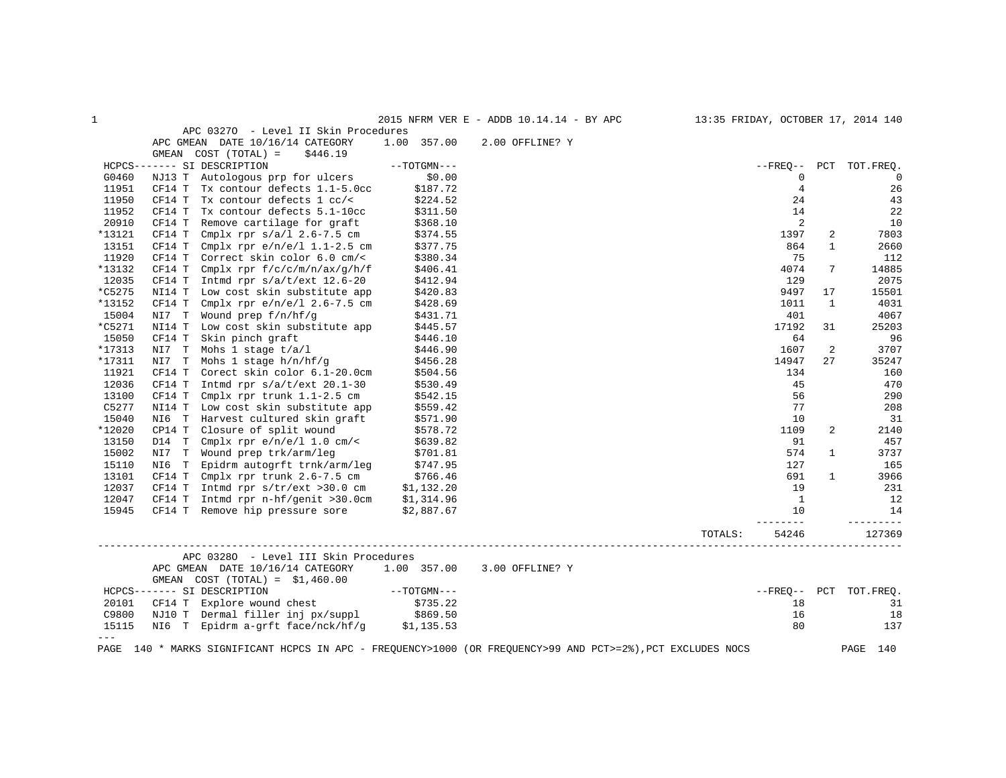| 1              |                                                                                                             |                        | 2015 NFRM VER E - ADDB 10.14.14 - BY APC |         |                     |                | 13:35 FRIDAY, OCTOBER 17, 2014 140 |
|----------------|-------------------------------------------------------------------------------------------------------------|------------------------|------------------------------------------|---------|---------------------|----------------|------------------------------------|
|                | APC 03270 - Level II Skin Procedures                                                                        |                        |                                          |         |                     |                |                                    |
|                | APC GMEAN DATE 10/16/14 CATEGORY                                                                            | 1.00 357.00            | 2.00 OFFLINE? Y                          |         |                     |                |                                    |
|                | GMEAN COST (TOTAL) =<br>\$446.19                                                                            |                        |                                          |         |                     |                |                                    |
|                | HCPCS------- SI DESCRIPTION                                                                                 | $--TOTGMN---$          |                                          |         |                     |                | --FREQ-- PCT TOT.FREQ.             |
| G0460          | NJ13 T Autologous prp for ulcers                                                                            | \$0.00                 |                                          |         | 0                   |                | $\overline{0}$                     |
| 11951          | Tx contour defects 1.1-5.0cc<br>CF14 T                                                                      | \$187.72               |                                          |         | $\overline{4}$      |                | 26                                 |
| 11950          | CF14 T<br>Tx contour defects 1 cc/<                                                                         | \$224.52               |                                          |         | 24                  |                | 43                                 |
| 11952          | Tx contour defects 5.1-10cc<br>CF14 T                                                                       | \$311.50               |                                          |         | 14                  |                | 22                                 |
| 20910          | CF14 T<br>Remove cartilage for graft                                                                        | \$368.10               |                                          |         | 2                   |                | 10                                 |
| *13121         | CF14 T<br>Cmplx rpr $s/a/l$ 2.6-7.5 cm                                                                      | \$374.55               |                                          |         | 1397                | 2              | 7803                               |
| 13151          | Cmplx rpr $e/n/e/l$ 1.1-2.5 cm<br>CF14 T                                                                    | \$377.75               |                                          |         | 864                 | $\mathbf{1}$   | 2660                               |
| 11920          | CF14 T<br>Correct skin color 6.0 cm/<                                                                       | \$380.34               |                                          |         | 75                  |                | 112                                |
| *13132         | Cmplx rpr $f/c/c/m/n/ax/q/h/f$<br>CF14 T                                                                    | \$406.41               |                                          |         | 4074                | 7              | 14885                              |
| 12035          | CF14 T<br>Intmd rpr $s/a/t/ext$ 12.6-20                                                                     | \$412.94               |                                          |         | 129                 |                | 2075                               |
| *C5275         | NI14 T<br>Low cost skin substitute app                                                                      | \$420.83               |                                          |         | 9497                | 17             | 15501                              |
| *13152         | CF14 T<br>Cmplx rpr $e/n/e/l$ 2.6-7.5 cm                                                                    | \$428.69               |                                          |         | 1011                | 1              | 4031                               |
| 15004          | NI7 T<br>Wound prep f/n/hf/g                                                                                | \$431.71               |                                          |         | 401                 |                | 4067                               |
| *C5271         | Low cost skin substitute app<br>NI14 T                                                                      | \$445.57               |                                          |         | 17192               | 31             | 25203                              |
| 15050          | CF14 T<br>Skin pinch graft                                                                                  | \$446.10               |                                          |         | 64                  |                | 96                                 |
| *17313         | NI7 T<br>Mohs 1 stage t/a/l                                                                                 | \$446.90               |                                          |         | 1607                | 2              | 3707                               |
| *17311         | Mohs 1 stage $h/n/hf/q$<br>NI7 T                                                                            | \$456.28               |                                          |         | 14947               | 27             | 35247                              |
| 11921          | Corect skin color 6.1-20.0cm<br>CF14 T                                                                      | \$504.56               |                                          |         | 134                 |                | 160                                |
| 12036          | CF14 T<br>Intmd rpr $s/a/t/ext$ 20.1-30                                                                     | \$530.49               |                                          |         | 45                  |                | 470                                |
| 13100          | Cmplx rpr trunk 1.1-2.5 cm<br>CF14 T                                                                        | \$542.15               |                                          |         | 56                  |                | 290                                |
| C5277          | NI14 T Low cost skin substitute app                                                                         | \$559.42               |                                          |         | 77                  |                | 208                                |
| 15040          | Harvest cultured skin graft<br>NI6 T                                                                        | \$571.90               |                                          |         | 10                  |                | 31                                 |
| *12020         | CP14 T<br>Closure of split wound                                                                            | \$578.72               |                                          |         | 1109                | $\overline{a}$ | 2140                               |
| 13150          | D14 T<br>Cmplx rpr $e/n/e/l$ 1.0 cm/<                                                                       | \$639.82               |                                          |         | 91                  |                | 457                                |
| 15002          | NI7 T Wound prep trk/arm/leg                                                                                | \$701.81               |                                          |         | 574                 | $\mathbf{1}$   | 3737                               |
| 15110          | Epidrm autogrft trnk/arm/leg \$747.95<br>NI6 T                                                              |                        |                                          |         | 127                 |                | 165                                |
| 13101          | Cmplx rpr trunk $2.6 - 7.5$ cm $$766.46$<br>CF14 T                                                          |                        |                                          |         | 691                 | $\mathbf{1}$   | 3966                               |
| 12037          | CF14 T<br>Intmd rpr s/tr/ext >30.0 cm                                                                       | \$1,132.20             |                                          |         | 19                  |                | 231                                |
| 12047          | Intmd rpr n-hf/genit >30.0cm<br>CF14 T                                                                      | \$1,314.96             |                                          |         | $\overline{1}$      |                | 12                                 |
| 15945          | CF14 T Remove hip pressure sore                                                                             | \$2,887.67             |                                          |         | 10<br>$- - - - - -$ |                | 14<br>--------                     |
|                |                                                                                                             |                        |                                          | TOTALS: | 54246               |                | 127369                             |
|                | APC 03280 - Level III Skin Procedures                                                                       |                        |                                          |         |                     |                |                                    |
|                | APC GMEAN DATE 10/16/14 CATEGORY                                                                            | 1.00 357.00            | 3.00 OFFLINE? Y                          |         |                     |                |                                    |
|                | GMEAN $COST (TOTAL) = $1,460.00$                                                                            |                        |                                          |         |                     |                |                                    |
|                | HCPCS------- SI DESCRIPTION                                                                                 | $--\mathrm{TOTGMN}---$ |                                          |         |                     |                | --FREQ-- PCT TOT.FREQ.             |
| 20101          | CF14 T Explore wound chest                                                                                  | \$735.22               |                                          |         | 18                  |                | 31                                 |
| C9800          | NJ10 T Dermal filler inj px/suppl \$869.50<br>NI6 T Epidrm a-grft face/nck/hf/g \$1,135.53                  |                        |                                          |         | 16                  |                | 18                                 |
| 15115<br>$---$ |                                                                                                             |                        |                                          |         | 80                  |                | 137                                |
|                | PAGE 140 * MARKS SIGNIFICANT HCPCS IN APC - FREQUENCY>1000 (OR FREQUENCY>99 AND PCT>=2%), PCT EXCLUDES NOCS |                        |                                          |         |                     |                | PAGE<br>140                        |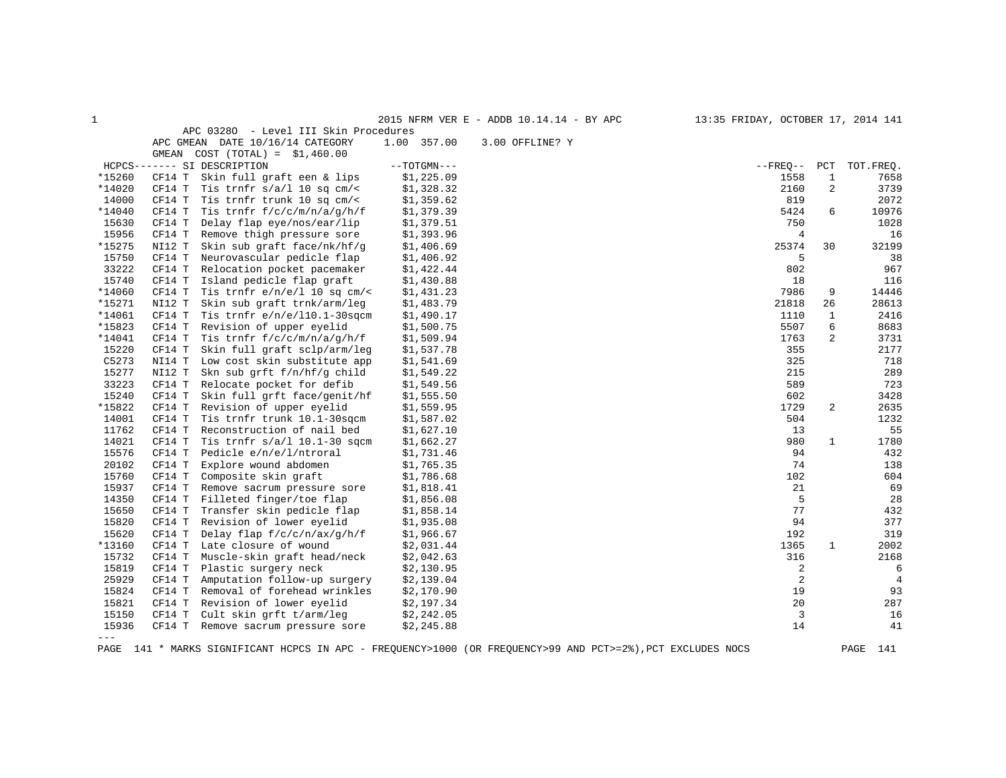| APC 03280 - Level III Skin Procedures<br>1.00 357.00<br>APC GMEAN DATE 10/16/14 CATEGORY<br>3.00 OFFLINE? Y<br>GMEAN COST $(TOTAL) = $1,460.00$<br>HCPCS------- SI DESCRIPTION<br>$--TOTGMN---$<br>$- FREO--$<br>PCT<br>*15260<br>\$1,225.09<br>1558<br>CF14 T<br>Skin full graft een & lips<br>$\mathbf{1}$<br>2160<br>2<br>*14020<br>CF14 T<br>Tis trnfr $s/a/l$ 10 sq cm/<<br>\$1,328.32<br>14000<br>\$1,359.62<br>819<br>CF14 T<br>Tis trnfr trunk 10 sq cm/<<br>*14040<br>5424<br>6<br>CF14 T<br>Tis trnfr $f/c/c/m/n/a/q/h/f$<br>\$1,379.39<br>15630<br>Delay flap eye/nos/ear/lip<br>750<br>CF14 T<br>\$1,379.51<br>15956<br>CF14 T<br>Remove thigh pressure sore<br>\$1,393.96<br>$\overline{4}$<br>*15275<br>25374<br>NI12 T<br>Skin sub graft face/nk/hf/g<br>30<br>\$1,406.69<br>15750<br>Neurovascular pedicle flap<br>5<br>CF14 T<br>\$1,406.92<br>33222<br>802<br>CF14 T<br>Relocation pocket pacemaker<br>\$1,422.44<br>15740<br>Island pedicle flap graft<br>CF14 T<br>\$1,430.88<br>18<br>*14060<br>CF14 T<br>Tis trnfr $e/n/e/l$ 10 sq cm/<<br>\$1,431.23<br>7986<br>9<br>*15271<br>NI12 T<br>Skin sub graft trnk/arm/leg<br>\$1,483.79<br>21818<br>26<br>*14061<br>CF14 T<br>Tis trnfr $e/n/e/110.1-30$ sqcm<br>\$1,490.17<br>1110<br>$\mathbf{1}$<br>*15823<br>5507<br>6<br>CF14 T<br>Revision of upper eyelid<br>\$1,500.75<br>*14041<br>2<br>Tis trnfr $f/c/c/m/n/a/q/h/f$<br>1763<br>CF14 T<br>\$1,509.94<br>15220<br>355<br>Skin full graft sclp/arm/leg<br>\$1,537.78<br>CF14 T<br>C5273<br>Low cost skin substitute app<br>325<br>NI14 T<br>\$1,541.69<br>15277<br>Skn sub grft f/n/hf/g child<br>215<br>NI12 T<br>\$1,549.22<br>33223<br>589<br>CF14 T<br>Relocate pocket for defib<br>\$1,549.56<br>15240<br>602<br>CF14 T<br>Skin full grft face/genit/hf<br>\$1,555.50<br>*15822<br>2<br>CF14 T<br>Revision of upper eyelid<br>\$1,559.95<br>1729<br>14001<br>504<br>CF14 T<br>Tis trnfr trunk 10.1-30sgcm<br>\$1,587.02<br>Reconstruction of nail bed<br>11762<br>CF14 T<br>\$1,627.10<br>13<br>14021<br>Tis trnfr $s/a/l$ 10.1-30 sqcm<br>980<br>$\mathbf{1}$<br>CF14 T<br>\$1,662.27<br>15576<br>Pedicle e/n/e/l/ntroral<br>94<br>CF14 T<br>\$1,731.46<br>20102<br>CF14 T<br>Explore wound abdomen<br>74<br>\$1,765.35<br>15760<br>Composite skin graft<br>\$1,786.68<br>102<br>CF14 T<br>15937<br>21<br>CF14 T<br>Remove sacrum pressure sore<br>\$1,818.41<br>5<br>14350<br>CF14 T<br>Filleted finger/toe flap<br>\$1,856.08<br>77<br>15650<br>Transfer skin pedicle flap<br>CF14 T<br>\$1,858.14<br>15820<br>Revision of lower eyelid<br>94<br>CF14 T<br>\$1,935.08<br>15620<br>Delay flap $f/c/c/n/ax/q/h/f$<br>CF14 T<br>\$1,966.67<br>192<br>*13160<br>Late closure of wound<br>$\mathbf{1}$<br>CF14 T<br>\$2,031.44<br>1365<br>15732<br>316<br>CF14 T<br>Muscle-skin graft head/neck<br>\$2,042.63<br>15819<br>Plastic surgery neck<br>\$2,130.95<br>2<br>CF14 T<br>25929<br>2<br>CF14 T<br>Amputation follow-up surgery<br>\$2,139.04<br>15824<br>CF14 T<br>Removal of forehead wrinkles<br>\$2,170.90<br>19<br>20<br>15821<br>Revision of lower eyelid<br>CF14 T<br>\$2,197.34<br>3<br>15150<br>Cult skin grft t/arm/leg<br>\$2,242.05<br>CF14 T<br>14<br>15936<br>Remove sacrum pressure sore<br>CF14 T<br>\$2,245.88 | 1 |  | 2015 NFRM VER E - ADDB 10.14.14 - BY APC | 13:35 FRIDAY, OCTOBER 17, 2014 141 |                |
|------------------------------------------------------------------------------------------------------------------------------------------------------------------------------------------------------------------------------------------------------------------------------------------------------------------------------------------------------------------------------------------------------------------------------------------------------------------------------------------------------------------------------------------------------------------------------------------------------------------------------------------------------------------------------------------------------------------------------------------------------------------------------------------------------------------------------------------------------------------------------------------------------------------------------------------------------------------------------------------------------------------------------------------------------------------------------------------------------------------------------------------------------------------------------------------------------------------------------------------------------------------------------------------------------------------------------------------------------------------------------------------------------------------------------------------------------------------------------------------------------------------------------------------------------------------------------------------------------------------------------------------------------------------------------------------------------------------------------------------------------------------------------------------------------------------------------------------------------------------------------------------------------------------------------------------------------------------------------------------------------------------------------------------------------------------------------------------------------------------------------------------------------------------------------------------------------------------------------------------------------------------------------------------------------------------------------------------------------------------------------------------------------------------------------------------------------------------------------------------------------------------------------------------------------------------------------------------------------------------------------------------------------------------------------------------------------------------------------------------------------------------------------------------------------------------------------------------------------------------------------------------------------------------------------------------------------------------------------------------------------------------------------------------------------------------------------------------------------------------------------------------------------------------------------------------------------------------------------------------------------------------|---|--|------------------------------------------|------------------------------------|----------------|
|                                                                                                                                                                                                                                                                                                                                                                                                                                                                                                                                                                                                                                                                                                                                                                                                                                                                                                                                                                                                                                                                                                                                                                                                                                                                                                                                                                                                                                                                                                                                                                                                                                                                                                                                                                                                                                                                                                                                                                                                                                                                                                                                                                                                                                                                                                                                                                                                                                                                                                                                                                                                                                                                                                                                                                                                                                                                                                                                                                                                                                                                                                                                                                                                                                                                  |   |  |                                          |                                    |                |
|                                                                                                                                                                                                                                                                                                                                                                                                                                                                                                                                                                                                                                                                                                                                                                                                                                                                                                                                                                                                                                                                                                                                                                                                                                                                                                                                                                                                                                                                                                                                                                                                                                                                                                                                                                                                                                                                                                                                                                                                                                                                                                                                                                                                                                                                                                                                                                                                                                                                                                                                                                                                                                                                                                                                                                                                                                                                                                                                                                                                                                                                                                                                                                                                                                                                  |   |  |                                          |                                    |                |
|                                                                                                                                                                                                                                                                                                                                                                                                                                                                                                                                                                                                                                                                                                                                                                                                                                                                                                                                                                                                                                                                                                                                                                                                                                                                                                                                                                                                                                                                                                                                                                                                                                                                                                                                                                                                                                                                                                                                                                                                                                                                                                                                                                                                                                                                                                                                                                                                                                                                                                                                                                                                                                                                                                                                                                                                                                                                                                                                                                                                                                                                                                                                                                                                                                                                  |   |  |                                          |                                    |                |
|                                                                                                                                                                                                                                                                                                                                                                                                                                                                                                                                                                                                                                                                                                                                                                                                                                                                                                                                                                                                                                                                                                                                                                                                                                                                                                                                                                                                                                                                                                                                                                                                                                                                                                                                                                                                                                                                                                                                                                                                                                                                                                                                                                                                                                                                                                                                                                                                                                                                                                                                                                                                                                                                                                                                                                                                                                                                                                                                                                                                                                                                                                                                                                                                                                                                  |   |  |                                          |                                    | TOT.FREO.      |
|                                                                                                                                                                                                                                                                                                                                                                                                                                                                                                                                                                                                                                                                                                                                                                                                                                                                                                                                                                                                                                                                                                                                                                                                                                                                                                                                                                                                                                                                                                                                                                                                                                                                                                                                                                                                                                                                                                                                                                                                                                                                                                                                                                                                                                                                                                                                                                                                                                                                                                                                                                                                                                                                                                                                                                                                                                                                                                                                                                                                                                                                                                                                                                                                                                                                  |   |  |                                          |                                    | 7658           |
|                                                                                                                                                                                                                                                                                                                                                                                                                                                                                                                                                                                                                                                                                                                                                                                                                                                                                                                                                                                                                                                                                                                                                                                                                                                                                                                                                                                                                                                                                                                                                                                                                                                                                                                                                                                                                                                                                                                                                                                                                                                                                                                                                                                                                                                                                                                                                                                                                                                                                                                                                                                                                                                                                                                                                                                                                                                                                                                                                                                                                                                                                                                                                                                                                                                                  |   |  |                                          |                                    | 3739           |
|                                                                                                                                                                                                                                                                                                                                                                                                                                                                                                                                                                                                                                                                                                                                                                                                                                                                                                                                                                                                                                                                                                                                                                                                                                                                                                                                                                                                                                                                                                                                                                                                                                                                                                                                                                                                                                                                                                                                                                                                                                                                                                                                                                                                                                                                                                                                                                                                                                                                                                                                                                                                                                                                                                                                                                                                                                                                                                                                                                                                                                                                                                                                                                                                                                                                  |   |  |                                          |                                    | 2072           |
|                                                                                                                                                                                                                                                                                                                                                                                                                                                                                                                                                                                                                                                                                                                                                                                                                                                                                                                                                                                                                                                                                                                                                                                                                                                                                                                                                                                                                                                                                                                                                                                                                                                                                                                                                                                                                                                                                                                                                                                                                                                                                                                                                                                                                                                                                                                                                                                                                                                                                                                                                                                                                                                                                                                                                                                                                                                                                                                                                                                                                                                                                                                                                                                                                                                                  |   |  |                                          |                                    | 10976          |
|                                                                                                                                                                                                                                                                                                                                                                                                                                                                                                                                                                                                                                                                                                                                                                                                                                                                                                                                                                                                                                                                                                                                                                                                                                                                                                                                                                                                                                                                                                                                                                                                                                                                                                                                                                                                                                                                                                                                                                                                                                                                                                                                                                                                                                                                                                                                                                                                                                                                                                                                                                                                                                                                                                                                                                                                                                                                                                                                                                                                                                                                                                                                                                                                                                                                  |   |  |                                          |                                    | 1028           |
|                                                                                                                                                                                                                                                                                                                                                                                                                                                                                                                                                                                                                                                                                                                                                                                                                                                                                                                                                                                                                                                                                                                                                                                                                                                                                                                                                                                                                                                                                                                                                                                                                                                                                                                                                                                                                                                                                                                                                                                                                                                                                                                                                                                                                                                                                                                                                                                                                                                                                                                                                                                                                                                                                                                                                                                                                                                                                                                                                                                                                                                                                                                                                                                                                                                                  |   |  |                                          |                                    | 16             |
|                                                                                                                                                                                                                                                                                                                                                                                                                                                                                                                                                                                                                                                                                                                                                                                                                                                                                                                                                                                                                                                                                                                                                                                                                                                                                                                                                                                                                                                                                                                                                                                                                                                                                                                                                                                                                                                                                                                                                                                                                                                                                                                                                                                                                                                                                                                                                                                                                                                                                                                                                                                                                                                                                                                                                                                                                                                                                                                                                                                                                                                                                                                                                                                                                                                                  |   |  |                                          |                                    | 32199          |
|                                                                                                                                                                                                                                                                                                                                                                                                                                                                                                                                                                                                                                                                                                                                                                                                                                                                                                                                                                                                                                                                                                                                                                                                                                                                                                                                                                                                                                                                                                                                                                                                                                                                                                                                                                                                                                                                                                                                                                                                                                                                                                                                                                                                                                                                                                                                                                                                                                                                                                                                                                                                                                                                                                                                                                                                                                                                                                                                                                                                                                                                                                                                                                                                                                                                  |   |  |                                          |                                    | 38             |
|                                                                                                                                                                                                                                                                                                                                                                                                                                                                                                                                                                                                                                                                                                                                                                                                                                                                                                                                                                                                                                                                                                                                                                                                                                                                                                                                                                                                                                                                                                                                                                                                                                                                                                                                                                                                                                                                                                                                                                                                                                                                                                                                                                                                                                                                                                                                                                                                                                                                                                                                                                                                                                                                                                                                                                                                                                                                                                                                                                                                                                                                                                                                                                                                                                                                  |   |  |                                          |                                    | 967            |
|                                                                                                                                                                                                                                                                                                                                                                                                                                                                                                                                                                                                                                                                                                                                                                                                                                                                                                                                                                                                                                                                                                                                                                                                                                                                                                                                                                                                                                                                                                                                                                                                                                                                                                                                                                                                                                                                                                                                                                                                                                                                                                                                                                                                                                                                                                                                                                                                                                                                                                                                                                                                                                                                                                                                                                                                                                                                                                                                                                                                                                                                                                                                                                                                                                                                  |   |  |                                          |                                    | 116            |
|                                                                                                                                                                                                                                                                                                                                                                                                                                                                                                                                                                                                                                                                                                                                                                                                                                                                                                                                                                                                                                                                                                                                                                                                                                                                                                                                                                                                                                                                                                                                                                                                                                                                                                                                                                                                                                                                                                                                                                                                                                                                                                                                                                                                                                                                                                                                                                                                                                                                                                                                                                                                                                                                                                                                                                                                                                                                                                                                                                                                                                                                                                                                                                                                                                                                  |   |  |                                          |                                    | 14446          |
|                                                                                                                                                                                                                                                                                                                                                                                                                                                                                                                                                                                                                                                                                                                                                                                                                                                                                                                                                                                                                                                                                                                                                                                                                                                                                                                                                                                                                                                                                                                                                                                                                                                                                                                                                                                                                                                                                                                                                                                                                                                                                                                                                                                                                                                                                                                                                                                                                                                                                                                                                                                                                                                                                                                                                                                                                                                                                                                                                                                                                                                                                                                                                                                                                                                                  |   |  |                                          |                                    | 28613          |
|                                                                                                                                                                                                                                                                                                                                                                                                                                                                                                                                                                                                                                                                                                                                                                                                                                                                                                                                                                                                                                                                                                                                                                                                                                                                                                                                                                                                                                                                                                                                                                                                                                                                                                                                                                                                                                                                                                                                                                                                                                                                                                                                                                                                                                                                                                                                                                                                                                                                                                                                                                                                                                                                                                                                                                                                                                                                                                                                                                                                                                                                                                                                                                                                                                                                  |   |  |                                          |                                    | 2416           |
|                                                                                                                                                                                                                                                                                                                                                                                                                                                                                                                                                                                                                                                                                                                                                                                                                                                                                                                                                                                                                                                                                                                                                                                                                                                                                                                                                                                                                                                                                                                                                                                                                                                                                                                                                                                                                                                                                                                                                                                                                                                                                                                                                                                                                                                                                                                                                                                                                                                                                                                                                                                                                                                                                                                                                                                                                                                                                                                                                                                                                                                                                                                                                                                                                                                                  |   |  |                                          |                                    | 8683           |
|                                                                                                                                                                                                                                                                                                                                                                                                                                                                                                                                                                                                                                                                                                                                                                                                                                                                                                                                                                                                                                                                                                                                                                                                                                                                                                                                                                                                                                                                                                                                                                                                                                                                                                                                                                                                                                                                                                                                                                                                                                                                                                                                                                                                                                                                                                                                                                                                                                                                                                                                                                                                                                                                                                                                                                                                                                                                                                                                                                                                                                                                                                                                                                                                                                                                  |   |  |                                          |                                    | 3731           |
|                                                                                                                                                                                                                                                                                                                                                                                                                                                                                                                                                                                                                                                                                                                                                                                                                                                                                                                                                                                                                                                                                                                                                                                                                                                                                                                                                                                                                                                                                                                                                                                                                                                                                                                                                                                                                                                                                                                                                                                                                                                                                                                                                                                                                                                                                                                                                                                                                                                                                                                                                                                                                                                                                                                                                                                                                                                                                                                                                                                                                                                                                                                                                                                                                                                                  |   |  |                                          |                                    | 2177           |
|                                                                                                                                                                                                                                                                                                                                                                                                                                                                                                                                                                                                                                                                                                                                                                                                                                                                                                                                                                                                                                                                                                                                                                                                                                                                                                                                                                                                                                                                                                                                                                                                                                                                                                                                                                                                                                                                                                                                                                                                                                                                                                                                                                                                                                                                                                                                                                                                                                                                                                                                                                                                                                                                                                                                                                                                                                                                                                                                                                                                                                                                                                                                                                                                                                                                  |   |  |                                          |                                    | 718            |
|                                                                                                                                                                                                                                                                                                                                                                                                                                                                                                                                                                                                                                                                                                                                                                                                                                                                                                                                                                                                                                                                                                                                                                                                                                                                                                                                                                                                                                                                                                                                                                                                                                                                                                                                                                                                                                                                                                                                                                                                                                                                                                                                                                                                                                                                                                                                                                                                                                                                                                                                                                                                                                                                                                                                                                                                                                                                                                                                                                                                                                                                                                                                                                                                                                                                  |   |  |                                          |                                    | 289            |
|                                                                                                                                                                                                                                                                                                                                                                                                                                                                                                                                                                                                                                                                                                                                                                                                                                                                                                                                                                                                                                                                                                                                                                                                                                                                                                                                                                                                                                                                                                                                                                                                                                                                                                                                                                                                                                                                                                                                                                                                                                                                                                                                                                                                                                                                                                                                                                                                                                                                                                                                                                                                                                                                                                                                                                                                                                                                                                                                                                                                                                                                                                                                                                                                                                                                  |   |  |                                          |                                    | 723            |
|                                                                                                                                                                                                                                                                                                                                                                                                                                                                                                                                                                                                                                                                                                                                                                                                                                                                                                                                                                                                                                                                                                                                                                                                                                                                                                                                                                                                                                                                                                                                                                                                                                                                                                                                                                                                                                                                                                                                                                                                                                                                                                                                                                                                                                                                                                                                                                                                                                                                                                                                                                                                                                                                                                                                                                                                                                                                                                                                                                                                                                                                                                                                                                                                                                                                  |   |  |                                          |                                    | 3428           |
|                                                                                                                                                                                                                                                                                                                                                                                                                                                                                                                                                                                                                                                                                                                                                                                                                                                                                                                                                                                                                                                                                                                                                                                                                                                                                                                                                                                                                                                                                                                                                                                                                                                                                                                                                                                                                                                                                                                                                                                                                                                                                                                                                                                                                                                                                                                                                                                                                                                                                                                                                                                                                                                                                                                                                                                                                                                                                                                                                                                                                                                                                                                                                                                                                                                                  |   |  |                                          |                                    | 2635           |
|                                                                                                                                                                                                                                                                                                                                                                                                                                                                                                                                                                                                                                                                                                                                                                                                                                                                                                                                                                                                                                                                                                                                                                                                                                                                                                                                                                                                                                                                                                                                                                                                                                                                                                                                                                                                                                                                                                                                                                                                                                                                                                                                                                                                                                                                                                                                                                                                                                                                                                                                                                                                                                                                                                                                                                                                                                                                                                                                                                                                                                                                                                                                                                                                                                                                  |   |  |                                          |                                    | 1232           |
|                                                                                                                                                                                                                                                                                                                                                                                                                                                                                                                                                                                                                                                                                                                                                                                                                                                                                                                                                                                                                                                                                                                                                                                                                                                                                                                                                                                                                                                                                                                                                                                                                                                                                                                                                                                                                                                                                                                                                                                                                                                                                                                                                                                                                                                                                                                                                                                                                                                                                                                                                                                                                                                                                                                                                                                                                                                                                                                                                                                                                                                                                                                                                                                                                                                                  |   |  |                                          |                                    | 55             |
|                                                                                                                                                                                                                                                                                                                                                                                                                                                                                                                                                                                                                                                                                                                                                                                                                                                                                                                                                                                                                                                                                                                                                                                                                                                                                                                                                                                                                                                                                                                                                                                                                                                                                                                                                                                                                                                                                                                                                                                                                                                                                                                                                                                                                                                                                                                                                                                                                                                                                                                                                                                                                                                                                                                                                                                                                                                                                                                                                                                                                                                                                                                                                                                                                                                                  |   |  |                                          |                                    | 1780           |
|                                                                                                                                                                                                                                                                                                                                                                                                                                                                                                                                                                                                                                                                                                                                                                                                                                                                                                                                                                                                                                                                                                                                                                                                                                                                                                                                                                                                                                                                                                                                                                                                                                                                                                                                                                                                                                                                                                                                                                                                                                                                                                                                                                                                                                                                                                                                                                                                                                                                                                                                                                                                                                                                                                                                                                                                                                                                                                                                                                                                                                                                                                                                                                                                                                                                  |   |  |                                          |                                    | 432            |
|                                                                                                                                                                                                                                                                                                                                                                                                                                                                                                                                                                                                                                                                                                                                                                                                                                                                                                                                                                                                                                                                                                                                                                                                                                                                                                                                                                                                                                                                                                                                                                                                                                                                                                                                                                                                                                                                                                                                                                                                                                                                                                                                                                                                                                                                                                                                                                                                                                                                                                                                                                                                                                                                                                                                                                                                                                                                                                                                                                                                                                                                                                                                                                                                                                                                  |   |  |                                          |                                    | 138            |
|                                                                                                                                                                                                                                                                                                                                                                                                                                                                                                                                                                                                                                                                                                                                                                                                                                                                                                                                                                                                                                                                                                                                                                                                                                                                                                                                                                                                                                                                                                                                                                                                                                                                                                                                                                                                                                                                                                                                                                                                                                                                                                                                                                                                                                                                                                                                                                                                                                                                                                                                                                                                                                                                                                                                                                                                                                                                                                                                                                                                                                                                                                                                                                                                                                                                  |   |  |                                          |                                    | 604            |
|                                                                                                                                                                                                                                                                                                                                                                                                                                                                                                                                                                                                                                                                                                                                                                                                                                                                                                                                                                                                                                                                                                                                                                                                                                                                                                                                                                                                                                                                                                                                                                                                                                                                                                                                                                                                                                                                                                                                                                                                                                                                                                                                                                                                                                                                                                                                                                                                                                                                                                                                                                                                                                                                                                                                                                                                                                                                                                                                                                                                                                                                                                                                                                                                                                                                  |   |  |                                          |                                    | 69             |
|                                                                                                                                                                                                                                                                                                                                                                                                                                                                                                                                                                                                                                                                                                                                                                                                                                                                                                                                                                                                                                                                                                                                                                                                                                                                                                                                                                                                                                                                                                                                                                                                                                                                                                                                                                                                                                                                                                                                                                                                                                                                                                                                                                                                                                                                                                                                                                                                                                                                                                                                                                                                                                                                                                                                                                                                                                                                                                                                                                                                                                                                                                                                                                                                                                                                  |   |  |                                          |                                    | 28             |
|                                                                                                                                                                                                                                                                                                                                                                                                                                                                                                                                                                                                                                                                                                                                                                                                                                                                                                                                                                                                                                                                                                                                                                                                                                                                                                                                                                                                                                                                                                                                                                                                                                                                                                                                                                                                                                                                                                                                                                                                                                                                                                                                                                                                                                                                                                                                                                                                                                                                                                                                                                                                                                                                                                                                                                                                                                                                                                                                                                                                                                                                                                                                                                                                                                                                  |   |  |                                          |                                    | 432            |
|                                                                                                                                                                                                                                                                                                                                                                                                                                                                                                                                                                                                                                                                                                                                                                                                                                                                                                                                                                                                                                                                                                                                                                                                                                                                                                                                                                                                                                                                                                                                                                                                                                                                                                                                                                                                                                                                                                                                                                                                                                                                                                                                                                                                                                                                                                                                                                                                                                                                                                                                                                                                                                                                                                                                                                                                                                                                                                                                                                                                                                                                                                                                                                                                                                                                  |   |  |                                          |                                    | 377            |
|                                                                                                                                                                                                                                                                                                                                                                                                                                                                                                                                                                                                                                                                                                                                                                                                                                                                                                                                                                                                                                                                                                                                                                                                                                                                                                                                                                                                                                                                                                                                                                                                                                                                                                                                                                                                                                                                                                                                                                                                                                                                                                                                                                                                                                                                                                                                                                                                                                                                                                                                                                                                                                                                                                                                                                                                                                                                                                                                                                                                                                                                                                                                                                                                                                                                  |   |  |                                          |                                    | 319            |
|                                                                                                                                                                                                                                                                                                                                                                                                                                                                                                                                                                                                                                                                                                                                                                                                                                                                                                                                                                                                                                                                                                                                                                                                                                                                                                                                                                                                                                                                                                                                                                                                                                                                                                                                                                                                                                                                                                                                                                                                                                                                                                                                                                                                                                                                                                                                                                                                                                                                                                                                                                                                                                                                                                                                                                                                                                                                                                                                                                                                                                                                                                                                                                                                                                                                  |   |  |                                          |                                    | 2002           |
|                                                                                                                                                                                                                                                                                                                                                                                                                                                                                                                                                                                                                                                                                                                                                                                                                                                                                                                                                                                                                                                                                                                                                                                                                                                                                                                                                                                                                                                                                                                                                                                                                                                                                                                                                                                                                                                                                                                                                                                                                                                                                                                                                                                                                                                                                                                                                                                                                                                                                                                                                                                                                                                                                                                                                                                                                                                                                                                                                                                                                                                                                                                                                                                                                                                                  |   |  |                                          |                                    | 2168           |
|                                                                                                                                                                                                                                                                                                                                                                                                                                                                                                                                                                                                                                                                                                                                                                                                                                                                                                                                                                                                                                                                                                                                                                                                                                                                                                                                                                                                                                                                                                                                                                                                                                                                                                                                                                                                                                                                                                                                                                                                                                                                                                                                                                                                                                                                                                                                                                                                                                                                                                                                                                                                                                                                                                                                                                                                                                                                                                                                                                                                                                                                                                                                                                                                                                                                  |   |  |                                          |                                    | 6              |
|                                                                                                                                                                                                                                                                                                                                                                                                                                                                                                                                                                                                                                                                                                                                                                                                                                                                                                                                                                                                                                                                                                                                                                                                                                                                                                                                                                                                                                                                                                                                                                                                                                                                                                                                                                                                                                                                                                                                                                                                                                                                                                                                                                                                                                                                                                                                                                                                                                                                                                                                                                                                                                                                                                                                                                                                                                                                                                                                                                                                                                                                                                                                                                                                                                                                  |   |  |                                          |                                    | $\overline{4}$ |
|                                                                                                                                                                                                                                                                                                                                                                                                                                                                                                                                                                                                                                                                                                                                                                                                                                                                                                                                                                                                                                                                                                                                                                                                                                                                                                                                                                                                                                                                                                                                                                                                                                                                                                                                                                                                                                                                                                                                                                                                                                                                                                                                                                                                                                                                                                                                                                                                                                                                                                                                                                                                                                                                                                                                                                                                                                                                                                                                                                                                                                                                                                                                                                                                                                                                  |   |  |                                          |                                    | 93             |
|                                                                                                                                                                                                                                                                                                                                                                                                                                                                                                                                                                                                                                                                                                                                                                                                                                                                                                                                                                                                                                                                                                                                                                                                                                                                                                                                                                                                                                                                                                                                                                                                                                                                                                                                                                                                                                                                                                                                                                                                                                                                                                                                                                                                                                                                                                                                                                                                                                                                                                                                                                                                                                                                                                                                                                                                                                                                                                                                                                                                                                                                                                                                                                                                                                                                  |   |  |                                          |                                    | 287            |
|                                                                                                                                                                                                                                                                                                                                                                                                                                                                                                                                                                                                                                                                                                                                                                                                                                                                                                                                                                                                                                                                                                                                                                                                                                                                                                                                                                                                                                                                                                                                                                                                                                                                                                                                                                                                                                                                                                                                                                                                                                                                                                                                                                                                                                                                                                                                                                                                                                                                                                                                                                                                                                                                                                                                                                                                                                                                                                                                                                                                                                                                                                                                                                                                                                                                  |   |  |                                          |                                    | 16             |
|                                                                                                                                                                                                                                                                                                                                                                                                                                                                                                                                                                                                                                                                                                                                                                                                                                                                                                                                                                                                                                                                                                                                                                                                                                                                                                                                                                                                                                                                                                                                                                                                                                                                                                                                                                                                                                                                                                                                                                                                                                                                                                                                                                                                                                                                                                                                                                                                                                                                                                                                                                                                                                                                                                                                                                                                                                                                                                                                                                                                                                                                                                                                                                                                                                                                  |   |  |                                          |                                    | 41             |
| $---$                                                                                                                                                                                                                                                                                                                                                                                                                                                                                                                                                                                                                                                                                                                                                                                                                                                                                                                                                                                                                                                                                                                                                                                                                                                                                                                                                                                                                                                                                                                                                                                                                                                                                                                                                                                                                                                                                                                                                                                                                                                                                                                                                                                                                                                                                                                                                                                                                                                                                                                                                                                                                                                                                                                                                                                                                                                                                                                                                                                                                                                                                                                                                                                                                                                            |   |  |                                          |                                    |                |

PAGE 141 \* MARKS SIGNIFICANT HCPCS IN APC - FREQUENCY>1000 (OR FREQUENCY>99 AND PCT>=2%),PCT EXCLUDES NOCS PAGE 141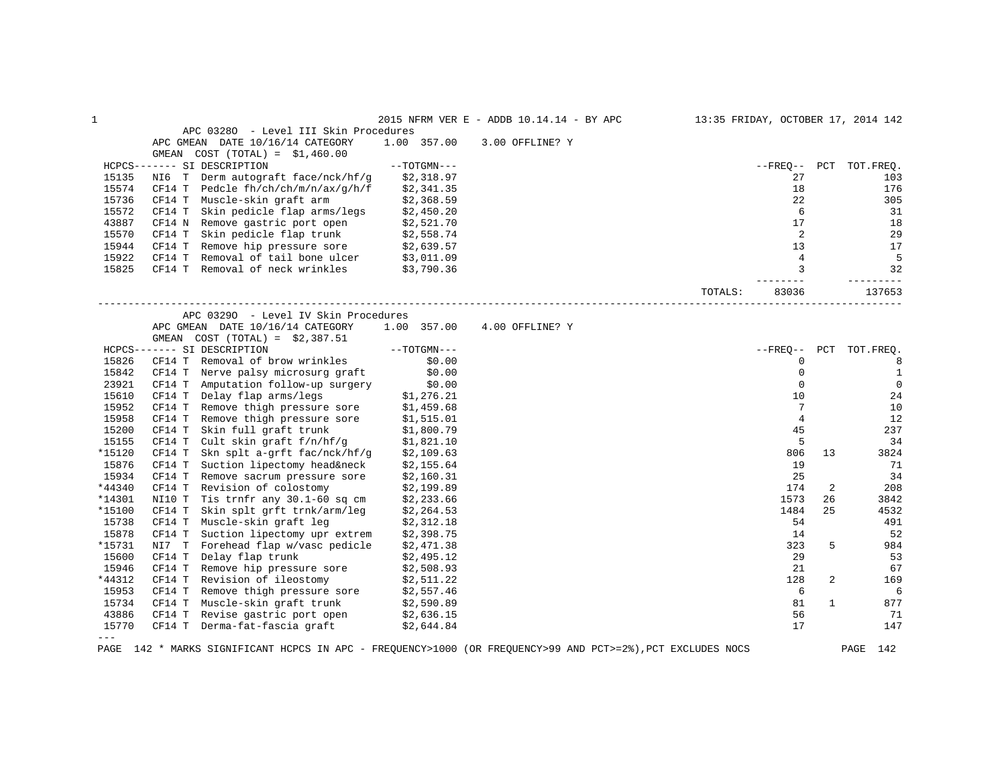| 1                   |                                                                                                    |               | 2015 NFRM VER E - ADDB 10.14.14 - BY APC |         |                |    | 13:35 FRIDAY, OCTOBER 17, 2014 142 |
|---------------------|----------------------------------------------------------------------------------------------------|---------------|------------------------------------------|---------|----------------|----|------------------------------------|
|                     | APC 03280 - Level III Skin Procedures                                                              |               |                                          |         |                |    |                                    |
|                     | APC GMEAN DATE 10/16/14 CATEGORY                                                                   | 1.00 357.00   | 3.00 OFFLINE? Y                          |         |                |    |                                    |
|                     | GMEAN COST $(TOTAL) = $1,460.00$                                                                   |               |                                          |         |                |    |                                    |
|                     | HCPCS------- SI DESCRIPTION                                                                        | $--TOTGMN---$ |                                          |         |                |    | --FREQ-- PCT TOT.FREQ.             |
| 15135               | NI6 T Derm autograft face/nck/hf/g                                                                 | \$2,318.97    |                                          |         | 27             |    | 103                                |
| 15574               | Pedcle fh/ch/ch/m/n/ax/g/h/f<br>CF14 T                                                             | \$2,341.35    |                                          |         | 18             |    | 176                                |
| 15736               | CF14 T Muscle-skin graft arm                                                                       | \$2,368.59    |                                          |         | 22             |    | 305                                |
| 15572               | Skin pedicle flap arms/legs<br>CF14 T                                                              | \$2,450.20    |                                          |         | 6              |    | 31                                 |
| 43887               | CF14 N Remove gastric port open                                                                    | \$2,521.70    |                                          |         | 17             |    | 18                                 |
| 15570               | Skin pedicle flap trunk \$2,558.74<br>CF14 T                                                       |               |                                          |         | 2              |    | 29                                 |
| 15944               | CF14 T Remove hip pressure sore $$2,639.57$<br>CF14 T Removal of tail bone ulcer $$3,011.09$       |               |                                          |         | 13             |    | 17                                 |
| 15922               |                                                                                                    |               |                                          |         | $\overline{4}$ |    | 5                                  |
| 15825               | CF14 T Removal of neck wrinkles \$3,790.36                                                         |               |                                          |         | 3              |    | 32                                 |
|                     |                                                                                                    |               |                                          |         | -------        |    | $- - - - - -$                      |
|                     |                                                                                                    |               |                                          | TOTALS: | 83036          |    | 137653                             |
|                     | APC 03290 - Level IV Skin Procedures                                                               |               |                                          |         |                |    |                                    |
|                     | APC GMEAN DATE 10/16/14 CATEGORY                                                                   | 1.00 357.00   | 4.00 OFFLINE? Y                          |         |                |    |                                    |
|                     | GMEAN COST $(TOTAL) = $2,387.51$                                                                   |               |                                          |         |                |    |                                    |
|                     | HCPCS------- SI DESCRIPTION                                                                        | $--TOTGMN---$ |                                          |         |                |    | --FREO-- PCT TOT.FREQ.             |
| 15826               | CF14 T Removal of brow wrinkles                                                                    | \$0.00        |                                          |         | 0              |    | 8                                  |
| 15842               | Nerve palsy microsurg graft<br>CF14 T                                                              | \$0.00        |                                          |         | $\mathbf 0$    |    | $\mathbf{1}$                       |
| 23921               | CF14 T<br>Amputation follow-up surgery                                                             | \$0.00        |                                          |         | $\mathbf 0$    |    | $\mathbf{0}$                       |
| 15610               | CF14 T Delay flap arms/legs \$1,276.21<br>CF14 T Remove thigh pressure sore \$1,459.68             |               |                                          |         | 10             |    | 24                                 |
| 15952               |                                                                                                    |               |                                          |         | 7              |    | 10                                 |
| 15958               | Remove thigh pressure sore<br>CF14 T                                                               | \$1,515.01    |                                          |         | $\overline{4}$ |    | 12                                 |
| 15200               | CF14 T<br>Skin full graft trunk                                                                    | \$1,800.79    |                                          |         | 45             |    | 237                                |
| 15155               | Cult skin graft $f/n/hf/g$ \$1,821.10<br>CF14 T                                                    |               |                                          |         | 5              |    | 34                                 |
| *15120              | Skn splt a-grft fac/nck/hf/g<br>CF14 T                                                             | \$2,109.63    |                                          |         | 806            | 13 | 3824                               |
| 15876               | Suction lipectomy head&neck<br>CF14 T                                                              | \$2,155.64    |                                          |         | 19             |    | 71                                 |
| 15934               | CF14 T<br>Remove sacrum pressure sore                                                              | \$2,160.31    |                                          |         | 25             |    | 34                                 |
| *44340              | CF14 T<br>Revision of colostomy                                                                    | \$2,199.89    |                                          |         | 174            | 2  | 208                                |
| *14301              | NI10 T Tis trnfr any 30.1-60 sq cm                                                                 | \$2,233.66    |                                          |         | 1573           | 26 | 3842                               |
| *15100              | CF14 T<br>Skin splt grft trnk/arm/leg                                                              | \$2,264.53    |                                          |         | 1484           | 25 | 4532                               |
| 15738               | Muscle-skin graft leg<br>CF14 T                                                                    | \$2,312.18    |                                          |         | 54             |    | 491                                |
| 15878               | CF14 T<br>Suction lipectomy upr extrem                                                             | \$2,398.75    |                                          |         | 14             |    | 52                                 |
| *15731              | NI7 T<br>Forehead flap w/vasc pedicle                                                              | \$2,471.38    |                                          |         | 323            | 5  | 984                                |
| 15600               | Delay flap trunk<br>CF14 T                                                                         | \$2,495.12    |                                          |         | 29             |    | 53                                 |
| 15946               | Remove hip pressure sore<br>CF14 T                                                                 | \$2,508.93    |                                          |         | 21             |    | 67                                 |
| *44312              | CF14 T<br>Revision of ileostomy                                                                    | \$2,511.22    |                                          |         | 128            | 2  | 169                                |
| 15953               | Remove thigh pressure sore \$2,557.46<br>CF14 T                                                    |               |                                          |         | 6              |    | 6                                  |
| 15734               | CF14 T<br>Remove thigh propose.<br>Muscle-skin graft trunk \$2,590.85<br>is north open \$2,636.15. |               |                                          |         | 81             | 1  | 877                                |
| 43886               | CF14 T Revise gastric port open                                                                    |               |                                          |         | 56             |    | 71                                 |
| 15770               | CF14 T Derma-fat-fascia graft \$2,644.84                                                           |               |                                          |         | 17             |    | 147                                |
| $\qquad \qquad - -$ |                                                                                                    |               |                                          |         |                |    |                                    |

PAGE 142 \* MARKS SIGNIFICANT HCPCS IN APC - FREQUENCY>1000 (OR FREQUENCY>99 AND PCT>=2%),PCT EXCLUDES NOCS PAGE 142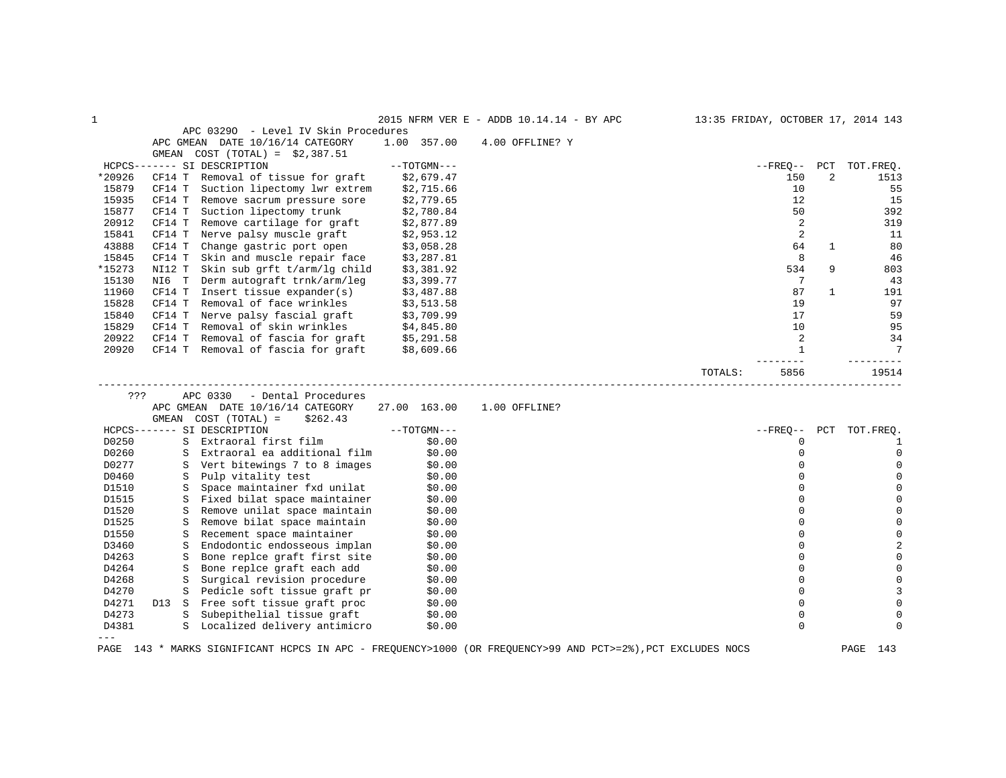| 1              |                                                                                               |               | 2015 NFRM VER E - ADDB 10.14.14 - BY APC | 13:35 FRIDAY, OCTOBER 17, 2014 143 |              |              |                        |
|----------------|-----------------------------------------------------------------------------------------------|---------------|------------------------------------------|------------------------------------|--------------|--------------|------------------------|
|                | APC 03290 - Level IV Skin Procedures                                                          |               |                                          |                                    |              |              |                        |
|                | APC GMEAN DATE 10/16/14 CATEGORY                                                              | 1.00 357.00   | 4.00 OFFLINE? Y                          |                                    |              |              |                        |
|                | GMEAN COST $(TOTAL) = $2,387.51$                                                              |               |                                          |                                    |              |              |                        |
|                | HCPCS------- SI DESCRIPTION                                                                   | $--TOTGMN---$ |                                          |                                    |              |              | --FREQ-- PCT TOT.FREQ. |
| *20926         | CF14 T Removal of tissue for graft                                                            | \$2,679.47    |                                          |                                    | 150          | 2            | 1513                   |
| 15879          | CF14 T Suction lipectomy lwr extrem                                                           | \$2,715.66    |                                          |                                    | 10           |              | -55                    |
| 15935          | CF14 T<br>Remove sacrum pressure sore                                                         | \$2,779.65    |                                          |                                    | 12           |              | 15                     |
| 15877          | Suction lipectomy trunk<br>CF14 T                                                             | \$2,780.84    |                                          |                                    | 50           |              | 392                    |
| 20912          | CF14 T<br>Remove cartilage for graft \$2,877.89                                               |               |                                          |                                    | 2            |              | 319                    |
| 15841          | Nerve palsy muscle graft<br>CF14 T                                                            | \$2,953.12    |                                          |                                    | 2            |              | 11                     |
| 43888          | CF14 T Change gastric port open                                                               | \$3,058.28    |                                          |                                    | 64           | 1            | 80                     |
| 15845          | CF14 T<br>Skin and muscle repair face \$3,287.81                                              |               |                                          |                                    | 8            |              | 46                     |
| *15273         | NI12 T Skin sub grft t/arm/lg child                                                           | \$3,381.92    |                                          |                                    | 534          | 9            | 803                    |
| 15130          | NI6 T Derm autograft trnk/arm/leg                                                             | \$3,399.77    |                                          |                                    | 7            |              | 43                     |
| 11960          | CF14 T<br>Insert tissue expander(s)                                                           | \$3,487.88    |                                          |                                    | 87           | $\mathbf{1}$ | 191                    |
| 15828          | Removal of face wrinkles<br>CF14 T                                                            | \$3,513.58    |                                          |                                    | 19           |              | 97                     |
| 15840          | CF14 T Nerve palsy fascial graft \$3,709.99                                                   |               |                                          |                                    | 17           |              | 59                     |
| 15829          |                                                                                               |               |                                          |                                    | 10           |              | 95                     |
| 20922          | CF14 T Removal of skin wrinkles $$4,845.80$<br>CF14 T Removal of fascia for graft $$5,291.58$ |               |                                          |                                    | 2            |              | 34                     |
| 20920          | CF14 T Removal of fascia for graft \$8,609.66                                                 |               |                                          |                                    | $\mathbf{1}$ |              | $7\phantom{.0}$        |
|                |                                                                                               |               |                                          |                                    |              |              |                        |
|                |                                                                                               |               |                                          | TOTALS:                            | 5856         |              | 19514                  |
|                |                                                                                               |               |                                          |                                    |              |              |                        |
|                |                                                                                               |               |                                          |                                    |              |              |                        |
| ???            | APC 0330<br>- Dental Procedures                                                               |               |                                          |                                    |              |              |                        |
|                | APC GMEAN DATE 10/16/14 CATEGORY                                                              | 27.00 163.00  | 1.00 OFFLINE?                            |                                    |              |              |                        |
|                | GMEAN COST (TOTAL) =<br>\$262.43                                                              |               |                                          |                                    |              |              |                        |
|                | HCPCS------- SI DESCRIPTION                                                                   | $--TOTGMN---$ |                                          |                                    | --FREO-- PCT |              | TOT.FREO.              |
| D0250          | S Extraoral first film                                                                        | \$0.00        |                                          |                                    | 0            |              | 1                      |
| D0260          | S Extraoral ea additional film                                                                | \$0.00        |                                          |                                    | 0            |              | 0                      |
| D0277          | S Vert bitewings 7 to 8 images                                                                | \$0.00        |                                          |                                    | 0            |              | 0                      |
| D0460          | S Pulp vitality test                                                                          | \$0.00        |                                          |                                    | $\mathbf 0$  |              | $\mathbf 0$            |
| D1510          | S Space maintainer fxd unilat                                                                 | \$0.00        |                                          |                                    | $\mathbf 0$  |              | $\mathsf 0$            |
| D1515          | S Fixed bilat space maintainer \$0.00                                                         |               |                                          |                                    | $\Omega$     |              | $\mathsf{O}\xspace$    |
| D1520          | S Remove unilat space maintain                                                                | \$0.00        |                                          |                                    | $\mathbf 0$  |              | $\mathbf 0$            |
| D1525          | S Remove bilat space maintain                                                                 | \$0.00        |                                          |                                    | $\mathbf 0$  |              | $\mathbf 0$            |
| D1550          | Recement space maintainer<br>S                                                                | \$0.00        |                                          |                                    | $\mathbf 0$  |              | $\mathbf 0$            |
| D3460          | S Endodontic endosseous implan                                                                | \$0.00        |                                          |                                    | $\mathbf 0$  |              | $\overline{2}$         |
| D4263          | Bone replce graft first site<br>S                                                             | \$0.00        |                                          |                                    | $\Omega$     |              | $\mathbf 0$            |
| D4264          | S Bone replce graft each add                                                                  | \$0.00        |                                          |                                    | $\Omega$     |              | $\mathbf 0$            |
| D4268          | Surgical revision procedure<br>S                                                              | \$0.00        |                                          |                                    | $\Omega$     |              | $\mathsf{O}\xspace$    |
| D4270          | S Pedicle soft tissue graft pr \$0.00                                                         |               |                                          |                                    | $\mathbf 0$  |              | 3                      |
| D4271          |                                                                                               |               |                                          |                                    | 0            |              | $\mathbf 0$            |
| D4273          | D13 S Free soft tissue graft proc \$0.00<br>S Subepithelial tissue graft \$0.00               |               |                                          |                                    | $\mathbf 0$  |              | $\mathbf 0$            |
| D4381<br>$---$ | S Localized delivery antimicro \$0.00                                                         |               |                                          |                                    | $\Omega$     |              | 0                      |

PAGE 143 \* MARKS SIGNIFICANT HCPCS IN APC - FREQUENCY>1000 (OR FREQUENCY>99 AND PCT>=2%),PCT EXCLUDES NOCS PAGE 143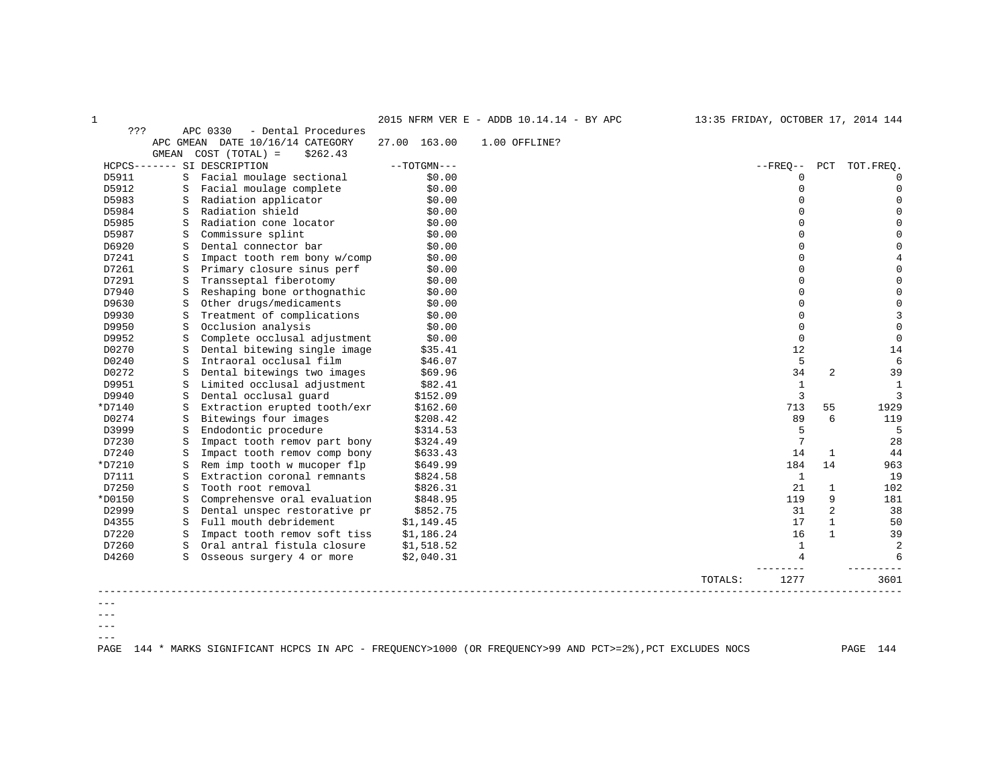| c.<br>. . |
|-----------|

1 2015 NFRM VER E - ADDB 10.14.14 - BY APC 13:35 FRIDAY, OCTOBER 17, 2014 144

| ???     |           | APC 0330<br>- Dental Procedures |               |               |         |              |                |             |
|---------|-----------|---------------------------------|---------------|---------------|---------|--------------|----------------|-------------|
|         | APC GMEAN | DATE 10/16/14 CATEGORY          | 27.00 163.00  | 1.00 OFFLINE? |         |              |                |             |
|         | GMEAN     | $COST (TOTAL) =$<br>\$262.43    |               |               |         |              |                |             |
|         |           | HCPCS------- SI DESCRIPTION     | $--TOTGMN---$ |               |         | $--$ FREQ--  | PCT            | TOT. FREO.  |
| D5911   | S         | Facial moulage sectional        | \$0.00        |               |         | 0            |                | 0           |
| D5912   | S         | Facial moulage complete         | \$0.00        |               |         | 0            |                | $\Omega$    |
| D5983   | S         | Radiation applicator            | \$0.00        |               |         | $\Omega$     |                | $\Omega$    |
| D5984   | S         | Radiation shield                | \$0.00        |               |         | $\Omega$     |                | $\Omega$    |
| D5985   | S         | Radiation cone locator          | \$0.00        |               |         | $\Omega$     |                | $\mathbf 0$ |
| D5987   | S         | Commissure splint               | \$0.00        |               |         | U            |                | $\mathbf 0$ |
| D6920   | S         | Dental connector bar            | \$0.00        |               |         | $\Omega$     |                | $\mathbf 0$ |
| D7241   | S         | Impact tooth rem bony w/comp    | \$0.00        |               |         | U            |                | $\,4$       |
| D7261   | S         | Primary closure sinus perf      | \$0.00        |               |         | $\Omega$     |                | $\Omega$    |
| D7291   | S         | Transseptal fiberotomy          | \$0.00        |               |         | $\Omega$     |                | $\mathsf 0$ |
| D7940   | S         | Reshaping bone orthognathic     | \$0.00        |               |         | O            |                | $\mathbf 0$ |
| D9630   | S         | Other drugs/medicaments         | \$0.00        |               |         | $\Omega$     |                | $\mathsf 0$ |
| D9930   | S         | Treatment of complications      | \$0.00        |               |         | $\Omega$     |                | 3           |
| D9950   | S         | Occlusion analysis              | \$0.00        |               |         | $\Omega$     |                | $\mathbf 0$ |
| D9952   | S         | Complete occlusal adjustment    | \$0.00        |               |         | $\mathbf 0$  |                | $\mathbf 0$ |
| D0270   | S         | Dental bitewing single image    | \$35.41       |               |         | 12           |                | 14          |
| D0240   | S         | Intraoral occlusal film         | \$46.07       |               |         | 5            |                | 6           |
| D0272   | S         | Dental bitewings two images     | \$69.96       |               |         | 34           | $\overline{2}$ | 39          |
| D9951   | S         | Limited occlusal adjustment     | \$82.41       |               |         | $\mathbf{1}$ |                | $1\,$       |
| D9940   | S         | Dental occlusal quard           | \$152.09      |               |         | 3            |                | 3           |
| *D7140  | S         | Extraction erupted tooth/exr    | \$162.60      |               |         | 713          | 55             | 1929        |
| D0274   | S         | Bitewings four images           | \$208.42      |               |         | 89           | $\epsilon$     | 119         |
| D3999   | S         | Endodontic procedure            | \$314.53      |               |         | 5            |                | 5           |
| D7230   | S         | Impact tooth remov part bony    | \$324.49      |               |         | 7            |                | 28          |
| D7240   | S         | Impact tooth remov comp bony    | \$633.43      |               |         | 14           | $\mathbf{1}$   | 44          |
| *D7210  | S         | Rem imp tooth w mucoper flp     | \$649.99      |               |         | 184          | 14             | 963         |
| D7111   | S         | Extraction coronal remnants     | \$824.58      |               |         | $\mathbf{1}$ |                | 19          |
| D7250   | S         | Tooth root removal              | \$826.31      |               |         | 21           | $\mathbf{1}$   | 102         |
| *D0150  | S         | Comprehensve oral evaluation    | \$848.95      |               |         | 119          | 9              | 181         |
| D2999   | S         | Dental unspec restorative pr    | \$852.75      |               |         | 31           | 2              | 38          |
| D4355   | S         | Full mouth debridement          | \$1,149.45    |               |         | 17           | $\mathbf{1}$   | 50          |
| D7220   | S         | Impact tooth remov soft tiss    | \$1,186.24    |               |         | 16           | $\mathbf{1}$   | 39          |
| D7260   | S         | Oral antral fistula closure     | \$1,518.52    |               |         | 1            |                | 2           |
| D4260   | S.        | Osseous surgery 4 or more       | \$2,040.31    |               |         | 4            |                | 6           |
|         |           |                                 |               |               | TOTALS: | 1277         |                | 3601        |
| $- - -$ |           |                                 |               |               |         |              |                |             |
|         |           |                                 |               |               |         |              |                |             |

---  $--\,$  $---$ 

PAGE 144 \* MARKS SIGNIFICANT HCPCS IN APC - FREQUENCY>1000 (OR FREQUENCY>99 AND PCT>=2%),PCT EXCLUDES NOCS PAGE 144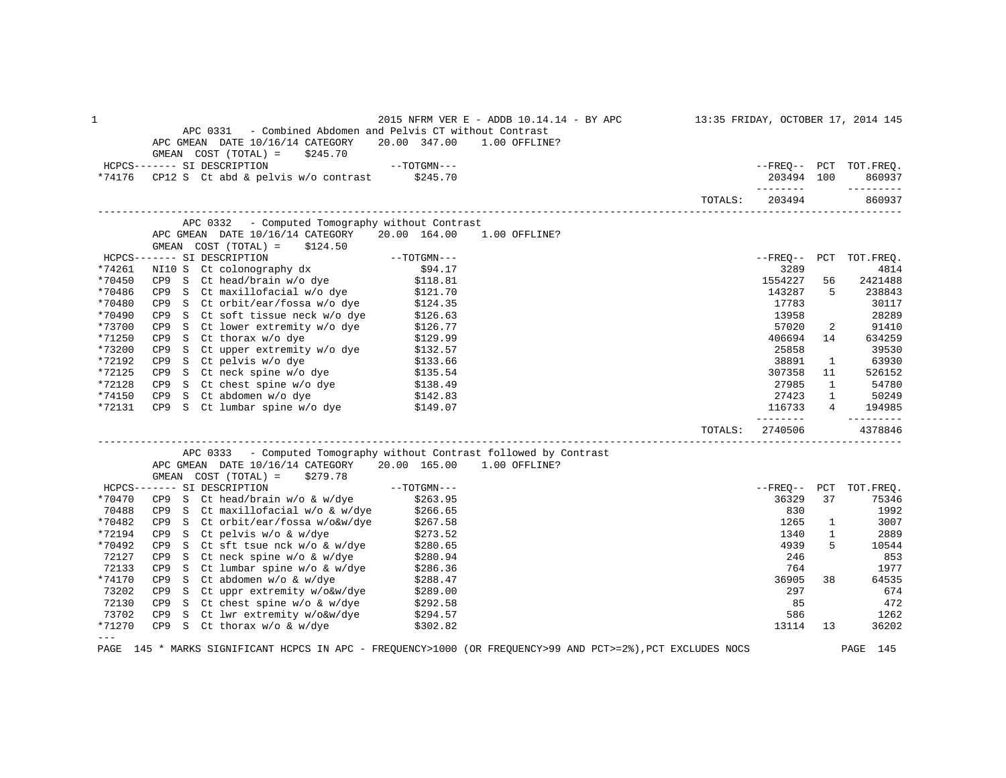| 1                       |                                                                                                                                                                                                                                                |                     | 2015 NFRM VER E - ADDB 10.14.14 - BY APC                                                                    | 13:35 FRIDAY, OCTOBER 17, 2014 145 |                |                                               |
|-------------------------|------------------------------------------------------------------------------------------------------------------------------------------------------------------------------------------------------------------------------------------------|---------------------|-------------------------------------------------------------------------------------------------------------|------------------------------------|----------------|-----------------------------------------------|
|                         | APC 0331 - Combined Abdomen and Pelvis CT without Contrast                                                                                                                                                                                     |                     |                                                                                                             |                                    |                |                                               |
|                         | APC GMEAN DATE 10/16/14 CATEGORY                                                                                                                                                                                                               | 20.00 347.00        | 1.00 OFFLINE?                                                                                               |                                    |                |                                               |
|                         | GMEAN $COST (TOTAL) = $245.70$<br>HCPCS------- SI DESCRIPTION                                                                                                                                                                                  | $--TOTGMN---$       |                                                                                                             |                                    |                | --FREQ-- PCT TOT.FREQ.                        |
| *74176                  | CP12 S Ct abd & pelvis w/o contrast \$245.70                                                                                                                                                                                                   |                     |                                                                                                             | 203494 100                         |                | 860937                                        |
|                         |                                                                                                                                                                                                                                                |                     |                                                                                                             |                                    |                | ---------                                     |
|                         |                                                                                                                                                                                                                                                |                     | TOTALS:                                                                                                     | 203494                             |                | 860937                                        |
|                         | APC 0332 - Computed Tomography without Contrast                                                                                                                                                                                                |                     |                                                                                                             |                                    |                |                                               |
|                         | APC GMEAN DATE 10/16/14 CATEGORY 20.00 164.00<br>GMEAN $COST (TOTAL) = $124.50$                                                                                                                                                                |                     | 1.00 OFFLINE?                                                                                               |                                    |                |                                               |
|                         | HCPCS------- SI DESCRIPTION                                                                                                                                                                                                                    | $--{\tt TOTGMN---}$ |                                                                                                             |                                    |                | --FREO-- PCT TOT.FREO.                        |
| *74261                  | ----- SI DESCRIPTION<br>NI10 S  Ct colonography dx                                                                                                                                                                                             | \$94.17             |                                                                                                             | 3289                               |                | 4814                                          |
| *70450                  | CP9 S Ct head/brain $w/o$ dye \$118.81                                                                                                                                                                                                         |                     |                                                                                                             | 1554227                            | 56             | 2421488                                       |
| *70486                  | CP9 S Ct maxillofacial w/o dye \$121.70<br>CP9 S Ct orbit/ear/fossa w/o dye \$124.35                                                                                                                                                           |                     |                                                                                                             | 143287                             | 5              | 238843                                        |
| *70480                  |                                                                                                                                                                                                                                                |                     |                                                                                                             | 17783                              |                | 30117                                         |
| *70490                  | S Ct soft tissue neck w/o dye \$126.63<br>S Ct lower extremity w/o dye \$126.77<br>CP9                                                                                                                                                         |                     |                                                                                                             | 13958                              |                | 28289                                         |
| *73700                  | CP9                                                                                                                                                                                                                                            |                     |                                                                                                             | 57020                              | $\overline{2}$ | 91410                                         |
| *71250                  | S Ct thorax w/o dye<br>S Ct upper extremity w/o dye<br>S Ct upper extremity w/o dye<br>S Ct pelvis w/o dye<br>S Ct chest spine w/o dye<br>S Ct chest spine w/o dye<br>S Ct chest spine w/o dye<br>S Ct chest spine w/o dye<br>S 2138.49<br>CP9 |                     |                                                                                                             | 406694                             | 14             | 634259                                        |
| *73200                  | CP9                                                                                                                                                                                                                                            |                     |                                                                                                             | 25858                              |                | 39530                                         |
| *72192                  | CP <sub>9</sub>                                                                                                                                                                                                                                |                     |                                                                                                             | 38891                              | $\mathbf{1}$   | 63930                                         |
| *72125                  | CP9                                                                                                                                                                                                                                            |                     |                                                                                                             | 307358                             | 11             | 526152                                        |
| *72128                  | CP9                                                                                                                                                                                                                                            |                     |                                                                                                             | 27985                              | $\mathbf{1}$   | 54780                                         |
| *74150                  | CP9 S Ct abdomen w/o dye $\begin{array}{cc} 142.83 \\ \text{CP9} & \text{S} & \text{Ct} \end{array}$ Lumbar spine w/o dye $\begin{array}{cc} 5142.83 \\ \text{S149.07} \end{array}$                                                            | \$142.83            |                                                                                                             | 27423                              | $\mathbf{1}$   | 50249                                         |
| *72131                  |                                                                                                                                                                                                                                                |                     |                                                                                                             | 116733<br>________                 |                | $4 \quad \blacksquare$<br>194985<br>--------- |
|                         |                                                                                                                                                                                                                                                |                     | TOTALS:                                                                                                     | 2740506                            |                | 4378846                                       |
|                         | APC 0333 - Computed Tomography without Contrast followed by Contrast                                                                                                                                                                           |                     |                                                                                                             |                                    |                |                                               |
|                         | APC GMEAN DATE 10/16/14 CATEGORY 20.00 165.00                                                                                                                                                                                                  |                     | $1.00$ OFFLINE?                                                                                             |                                    |                |                                               |
|                         | GMEAN $COST (TOTAL) = $279.78$                                                                                                                                                                                                                 |                     |                                                                                                             |                                    |                |                                               |
|                         | HCPCS------- SI DESCRIPTION                                                                                                                                                                                                                    | $---TOTGMN---$      |                                                                                                             |                                    |                | --FREO-- PCT TOT.FREO.                        |
| *70470                  |                                                                                                                                                                                                                                                |                     |                                                                                                             | 36329                              | 37             | 75346                                         |
| 70488                   | CP9 S Ct head/brain w/o & w/dye \$263.95<br>CP9 S Ct maxillofacial w/o & w/dye \$266.65                                                                                                                                                        |                     |                                                                                                             | 830                                |                | 1992                                          |
| *70482                  | S Ct orbit/ear/fossa w/o&w/dye<br>CP9                                                                                                                                                                                                          | \$267.58            |                                                                                                             | 1265                               | $\mathbf{1}$   | 3007                                          |
| *72194                  | CP9 S Ct pelvis w/o & w/dye                                                                                                                                                                                                                    | \$273.52            |                                                                                                             | 1340                               | $\mathbf{1}$   | 2889                                          |
| *70492                  | CP9 S Ct sft tsue nck w/o & w/dye \$280.65                                                                                                                                                                                                     |                     |                                                                                                             | 4939                               | 5              | 10544                                         |
| 72127                   | CP9 S Ct neck spine $w/o \& w/dye$ \$280.94<br>CP9 S Ct lumbar spine $w/o \& w/dye$ \$286.36                                                                                                                                                   |                     |                                                                                                             | 246                                |                | 853                                           |
| 72133                   |                                                                                                                                                                                                                                                |                     |                                                                                                             | 764                                |                | 1977                                          |
| *74170                  | S Ct abdomen w/o & w/dye<br>CP9<br>S Ct abdomen w/o & w/dye \$288.47<br>S Ct uppr extremity w/o&w/dye \$289.00                                                                                                                                 |                     |                                                                                                             | 36905                              | 38             | 64535                                         |
| 73202                   | CP9                                                                                                                                                                                                                                            |                     |                                                                                                             | 297                                |                | 674                                           |
| 72130                   | S Ct chest spine $w/o$ & $w/dye$ \$292.58<br>CP9                                                                                                                                                                                               |                     |                                                                                                             | 85                                 |                | 472                                           |
| 73702                   | CP9 S Ct lwr extremity w/o&w/dye                                                                                                                                                                                                               | \$294.57            |                                                                                                             | 586                                |                | 1262                                          |
| *71270<br>$\frac{1}{2}$ | CP9 S Ct thorax w/o & w/dye                                                                                                                                                                                                                    | \$302.82            |                                                                                                             | 13114                              | 13             | 36202                                         |
|                         |                                                                                                                                                                                                                                                |                     | PAGE 145 * MARKS SIGNIFICANT HCPCS IN APC - FREQUENCY>1000 (OR FREQUENCY>99 AND PCT>=2%), PCT EXCLUDES NOCS |                                    |                | PAGE 145                                      |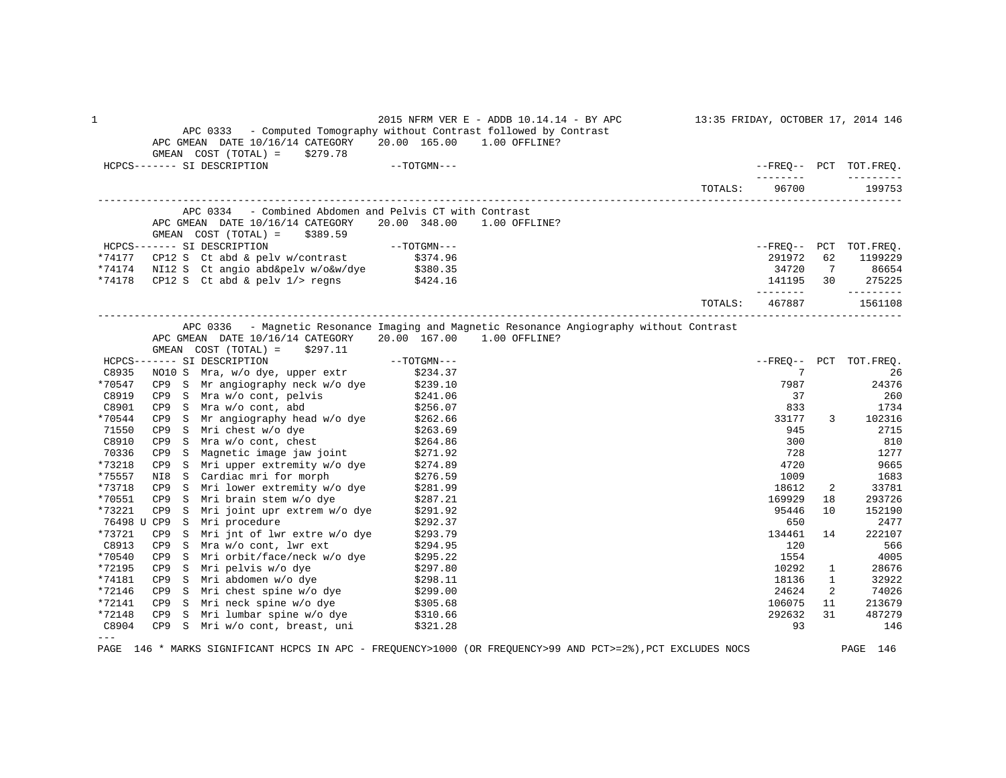| 1         |           | APC 0333 - Computed Tomography without Contrast followed by Contrast<br>APC GMEAN DATE 10/16/14 CATEGORY 20.00 165.00 1.00 OFFLINE? |               | 2015 NFRM VER E - ADDB 10.14.14 - BY APC                                                  |                |                     |              | 13:35 FRIDAY, OCTOBER 17, 2014 146 |
|-----------|-----------|-------------------------------------------------------------------------------------------------------------------------------------|---------------|-------------------------------------------------------------------------------------------|----------------|---------------------|--------------|------------------------------------|
|           |           | $GMEAN$ $COST$ $(TOTAL) = $279.78$<br>HCPCS------- SI DESCRIPTION                                                                   | $--TOTGMN---$ |                                                                                           |                |                     |              | --FREO-- PCT TOT.FREQ.             |
|           |           |                                                                                                                                     |               |                                                                                           | TOTALS:        | ________<br>96700   |              | 199753                             |
|           |           | APC 0334 - Combined Abdomen and Pelvis CT with Contrast                                                                             |               |                                                                                           |                |                     |              |                                    |
|           |           | APC GMEAN DATE 10/16/14 CATEGORY 20.00 348.00 1.00 OFFLINE?<br>GMEAN $COST (TOTAL) = $389.59$                                       |               |                                                                                           |                |                     |              |                                    |
|           |           | HCPCS------- SI DESCRIPTION                                                                                                         | $--TOTGMN---$ |                                                                                           |                |                     |              | --FREQ-- PCT TOT.FREQ.             |
|           |           | *74177 CP12 S Ct abd & pelv w/contrast $$374.96$                                                                                    |               |                                                                                           |                | 291972              | 62           | 1199229                            |
|           |           |                                                                                                                                     |               |                                                                                           |                |                     |              | 34720 7 86654                      |
|           |           | *74174 NI12 S Ct angio abd&pelv w/o&w/dye \$380.35<br>*74178 CP12 S Ct abd & pelv 1/> regns \$424.16                                |               |                                                                                           |                |                     |              | 141195 30 275225                   |
|           |           |                                                                                                                                     |               |                                                                                           | <b>TOTALS:</b> | ---------<br>467887 |              | $- - - - - - - - -$<br>1561108     |
|           |           |                                                                                                                                     |               |                                                                                           |                |                     |              |                                    |
|           |           |                                                                                                                                     |               | APC 0336 - Magnetic Resonance Imaging and Magnetic Resonance Angiography without Contrast |                |                     |              |                                    |
|           |           | APC GMEAN DATE 10/16/14 CATEGORY 20.00 167.00 1.00 OFFLINE?<br>GMEAN $COST (TOTAL) = $297.11$                                       |               |                                                                                           |                |                     |              |                                    |
|           |           | HCPCS------- SI DESCRIPTION                                                                                                         |               |                                                                                           |                |                     |              | --FREQ-- PCT TOT.FREQ.             |
| C8935     |           | ----- SI DESCRIPTION ------ SI DESCRIPTION ---<br>NO10 S Mra, w/o dye, upper extr \$234.37                                          |               |                                                                                           |                | 7                   |              | 26                                 |
| *70547    |           | CP9 S Mr angiography neck $w/o$ dye $$239.10$                                                                                       |               |                                                                                           |                | 7987                |              | 24376                              |
| C8919     |           |                                                                                                                                     |               |                                                                                           |                | 37                  |              | 260                                |
| C8901     |           | CP9 S Mra w/o cont, pelvis \$241.06<br>CP9 S Mra w/o cont, abd \$256.07                                                             |               |                                                                                           |                | 833                 |              | 1734                               |
| *70544    |           |                                                                                                                                     |               |                                                                                           |                | 33177               | 3            | 102316                             |
| 71550     |           | CP9 S Mr angiography head w/o dye \$262.66<br>CP9 S Mri chest w/o dye \$263.69                                                      |               |                                                                                           |                | 945                 |              | 2715                               |
| C8910     |           | CP9 S Mri chest w/o dye<br>CP9 S Mra w/o cont, chest                                                                                | \$264.86      |                                                                                           |                | 300                 |              | 810                                |
| 70336     |           |                                                                                                                                     |               |                                                                                           |                | 728                 |              | 1277                               |
| *73218    |           | CP9 S Magnetic image jaw joint \$271.92<br>CP9 S Mri upper extremity w/o dye \$274.89                                               |               |                                                                                           |                | 4720                |              | 9665                               |
| *75557    |           | NI8 S Cardiac mri for morph                                                                                                         | \$276.59      |                                                                                           |                | 1009                |              | 1683                               |
| *73718    |           | CP9 S Mri lower extremity w/o dye                                                                                                   | \$281.99      |                                                                                           |                | 18612               | 2            | 33781                              |
| *70551    | CP9       | S Mri brain stem w/o dye                                                                                                            | \$287.21      |                                                                                           |                | 169929              | 18           | 293726                             |
| *73221    | CP9<br>S. | Mri joint upr extrem w/o dye                                                                                                        | \$291.92      |                                                                                           |                | 95446               | 10           | 152190                             |
|           |           | 76498 U CP9 S Mri procedure                                                                                                         | \$292.37      |                                                                                           |                | 650                 |              | 2477                               |
| *73721    | CP9       | S Mri jnt of lwr extre w/o dye                                                                                                      | \$293.79      |                                                                                           |                | 134461              | 14           | 222107                             |
| C8913     |           | CP9 S Mra w/o cont, lwr ext                                                                                                         | \$294.95      |                                                                                           |                | 120                 |              | 566                                |
| *70540    | CP9       | S Mri orbit/face/neck w/o dye \$295.22                                                                                              |               |                                                                                           |                | 1554                |              | 4005                               |
| *72195    | CP9       | S Mri pelvis w/o dye                                                                                                                | \$297.80      |                                                                                           |                | 10292               | $\mathbf{1}$ | 28676                              |
| *74181    |           | CP9 S Mri abdomen w/o dye                                                                                                           | \$298.11      |                                                                                           |                | 18136               | $\mathbf{1}$ | 32922                              |
| *72146    |           | CP9 S Mri chest spine $w/o$ dye $$299.00$                                                                                           |               |                                                                                           |                | 24624               | 2            | 74026                              |
| *72141    |           |                                                                                                                                     |               |                                                                                           |                | 106075              | 11           | 213679                             |
| *72148    |           | CP9 S Mri neck spine w/o dye \$305.68<br>CP9 S Mri lumbar spine w/o dye \$310.66                                                    |               |                                                                                           |                | 292632              | 31           | 487279                             |
| C8904     |           | CP9 S Mri w/o cont, breast, uni \$321.28                                                                                            |               |                                                                                           |                | 93                  |              | 146                                |
| $- - - -$ |           |                                                                                                                                     |               |                                                                                           |                |                     |              |                                    |

PAGE 146 \* MARKS SIGNIFICANT HCPCS IN APC - FREQUENCY>1000 (OR FREQUENCY>99 AND PCT>=2%),PCT EXCLUDES NOCS PAGE 146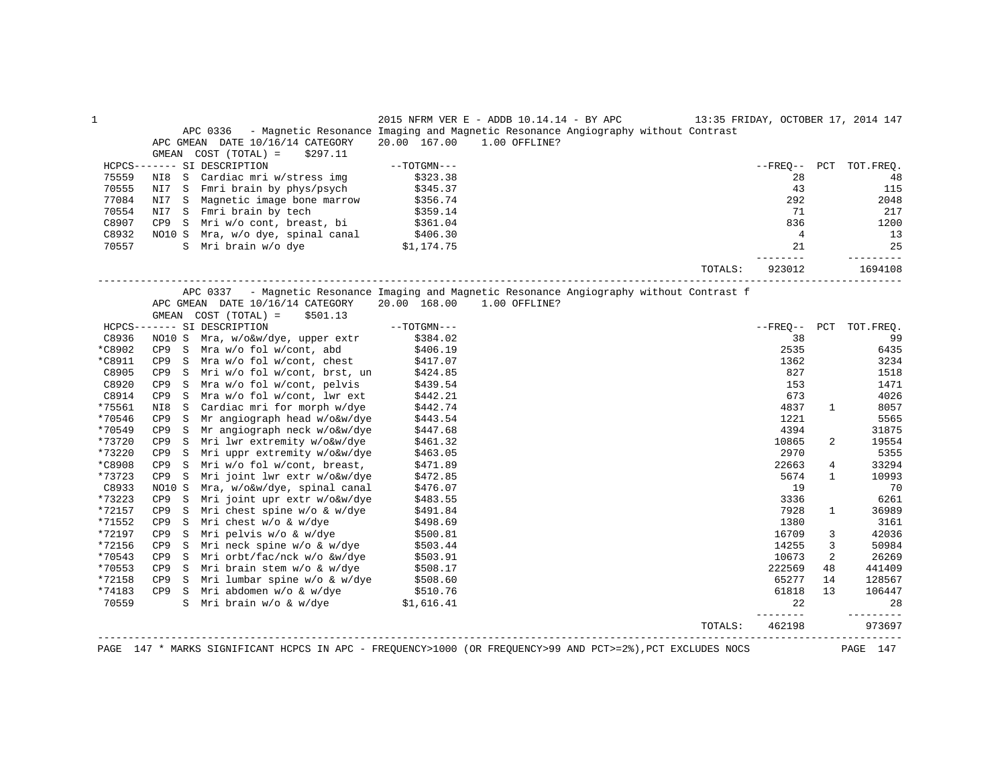| APC 0336 - Magnetic Resonance Imaging and Magnetic Resonance Angiography without Contrast<br>20.00 167.00<br>1.00 OFFLINE?<br>APC GMEAN DATE 10/16/14 CATEGORY<br>COST (TOTAL) =<br>GMEAN<br>\$297.11<br>HCPCS------- SI DESCRIPTION<br>$--TOTGMN---$<br>--FREO-- PCT TOT.FREO.<br>75559<br>NI8 S Cardiac mri w/stress img<br>\$323.38<br>28<br>NI7 S Fmri brain by phys/psych<br>70555<br>\$345.37<br>43<br>115<br>77084<br>292<br>2048<br>NI7 S Magnetic image bone marrow<br>\$356.74<br>70554<br>NI7 S Fmri brain by tech<br>\$359.14<br>71<br>CP9 S Mri w/o cont, breast, bi $$361.04$<br>C8907<br>836<br>1200<br>C8932<br>NO10 S Mra, w/o dye, spinal canal<br>S Mra, w/o dye, spinal canal $$406.30$<br>S Mri brain w/o dye $$1,174.75$<br>$\overline{4}$<br>21<br>25<br>70557<br>--------<br>----------<br>1694108<br>TOTALS:<br>923012<br>APC 0337 - Magnetic Resonance Imaging and Magnetic Resonance Angiography without Contrast f<br>20.00 168.00<br>1.00 OFFLINE?<br>APC GMEAN DATE 10/16/14 CATEGORY<br>GMEAN COST (TOTAL) =<br>\$501.13<br>$--TOTGMN---$<br>HCPCS------- SI DESCRIPTION<br>C8936<br>NO10 S Mra, w/o&w/dye, upper extr<br>\$384.02<br>38<br>*C8902<br>2535<br>CP9 S Mra w/o fol w/cont, abd<br>\$406.19<br>*C8911<br>1362<br>3234<br>CP9 S Mra w/o fol w/cont, chest<br>\$417.07<br>C8905<br>827<br>CP9 S Mri w/o fol w/cont, brst, un<br>\$424.85<br>1518<br>CP9 S Mra w/o fol w/cont, pelvis<br>C8920<br>1471<br>\$439.54<br>153<br>C8914<br>CP9 S Mra w/o fol w/cont, lwr ext<br>4026<br>\$442.21<br>673<br>*75561<br>4837<br>NI8<br>$\mathbf S$<br>Cardiac mri for morph w/dye<br>\$442.74<br>1<br>*70546<br>Mr angiograph head w/o&w/dye<br>CP9 S<br>\$443.54<br>1221<br>5565<br>*70549<br>CP9 S<br>Mr angiograph neck w/o&w/dye<br>\$447.68<br>4394<br>31875<br>*73720<br>Mri lwr extremity w/o&w/dye<br>10865<br>2<br>19554<br>CP9 S<br>\$461.32<br>*73220<br>Mri uppr extremity w/o&w/dye<br>2970<br>5355<br>CP9 S<br>\$463.05<br>*C8908<br>Mri w/o fol w/cont, breast,<br>22663<br>$\overline{4}$<br>33294<br>CP9 S<br>\$471.89<br>*73723<br>5674<br>CP9 S<br>Mri joint lwr extr w/o&w/dye<br>\$472.85<br>$\mathbf{1}$<br>C8933<br>NO10 S<br>19<br>70<br>Mra, w/o&w/dye, spinal canal<br>\$476.07<br>*73223<br>3336<br>6261<br>CP9 S<br>Mri joint upr extr w/o&w/dye<br>\$483.55<br>*72157<br>Mri chest spine w/o & w/dye<br>\$491.84<br>7928<br>36989<br>CP9<br>$\mathbf S$<br>$\mathbf{1}$<br>*71552<br>Mri chest w/o & w/dye<br>3161<br>CP9<br>$\mathbf S$<br>\$498.69<br>1380<br>*72197<br>42036<br>CP9<br>$\mathbf S$<br>Mri pelvis w/o & w/dye<br>\$500.81<br>16709<br>3<br>*72156<br>14255<br>3<br>CP9 S<br>Mri neck spine w/o & w/dye<br>50984<br>\$503.44<br>*70543<br>Mri orbt/fac/nck w/o &w/dye<br>10673<br>2<br>CP9 S<br>\$503.91<br>26269<br>*70553<br>222569<br>CP9 S Mri brain stem w/o & w/dye<br>\$508.17<br>48<br>441409<br>S Mri lumbar spine w/o & w/dye \$508.60<br>*72158<br>65277<br>CP9<br>14<br>*74183<br>CP9 S Mri abdomen w/o & w/dye<br>S Mri brain w/o & w/dye<br>61818<br>\$510.76<br>\$1,616.41<br>13<br>70559<br>22<br>28<br>------<br>--------<br>462198<br>TOTALS:<br>____________________________________<br>PAGE 147 * MARKS SIGNIFICANT HCPCS IN APC - FREQUENCY>1000 (OR FREQUENCY>99 AND PCT>=2%), PCT EXCLUDES NOCS<br>PAGE 147 | $\mathbf{1}$ | 2015 NFRM VER E - ADDB 10.14.14 - BY APC 13:35 FRIDAY, OCTOBER 17, 2014 147 |  |  |
|------------------------------------------------------------------------------------------------------------------------------------------------------------------------------------------------------------------------------------------------------------------------------------------------------------------------------------------------------------------------------------------------------------------------------------------------------------------------------------------------------------------------------------------------------------------------------------------------------------------------------------------------------------------------------------------------------------------------------------------------------------------------------------------------------------------------------------------------------------------------------------------------------------------------------------------------------------------------------------------------------------------------------------------------------------------------------------------------------------------------------------------------------------------------------------------------------------------------------------------------------------------------------------------------------------------------------------------------------------------------------------------------------------------------------------------------------------------------------------------------------------------------------------------------------------------------------------------------------------------------------------------------------------------------------------------------------------------------------------------------------------------------------------------------------------------------------------------------------------------------------------------------------------------------------------------------------------------------------------------------------------------------------------------------------------------------------------------------------------------------------------------------------------------------------------------------------------------------------------------------------------------------------------------------------------------------------------------------------------------------------------------------------------------------------------------------------------------------------------------------------------------------------------------------------------------------------------------------------------------------------------------------------------------------------------------------------------------------------------------------------------------------------------------------------------------------------------------------------------------------------------------------------------------------------------------------------------------------------------------------------------------------------------------------------------------------------------------------------------------------------------------------------------------------------------------------------------------------------------------------------------------------------------------------------------------|--------------|-----------------------------------------------------------------------------|--|--|
|                                                                                                                                                                                                                                                                                                                                                                                                                                                                                                                                                                                                                                                                                                                                                                                                                                                                                                                                                                                                                                                                                                                                                                                                                                                                                                                                                                                                                                                                                                                                                                                                                                                                                                                                                                                                                                                                                                                                                                                                                                                                                                                                                                                                                                                                                                                                                                                                                                                                                                                                                                                                                                                                                                                                                                                                                                                                                                                                                                                                                                                                                                                                                                                                                                                                                                                  |              |                                                                             |  |  |
|                                                                                                                                                                                                                                                                                                                                                                                                                                                                                                                                                                                                                                                                                                                                                                                                                                                                                                                                                                                                                                                                                                                                                                                                                                                                                                                                                                                                                                                                                                                                                                                                                                                                                                                                                                                                                                                                                                                                                                                                                                                                                                                                                                                                                                                                                                                                                                                                                                                                                                                                                                                                                                                                                                                                                                                                                                                                                                                                                                                                                                                                                                                                                                                                                                                                                                                  |              |                                                                             |  |  |
| 48<br>217<br>13<br>--FREO-- PCT TOT.FREQ.<br>99<br>6435<br>8057<br>10993<br>128567<br>106447<br>973697                                                                                                                                                                                                                                                                                                                                                                                                                                                                                                                                                                                                                                                                                                                                                                                                                                                                                                                                                                                                                                                                                                                                                                                                                                                                                                                                                                                                                                                                                                                                                                                                                                                                                                                                                                                                                                                                                                                                                                                                                                                                                                                                                                                                                                                                                                                                                                                                                                                                                                                                                                                                                                                                                                                                                                                                                                                                                                                                                                                                                                                                                                                                                                                                           |              |                                                                             |  |  |
|                                                                                                                                                                                                                                                                                                                                                                                                                                                                                                                                                                                                                                                                                                                                                                                                                                                                                                                                                                                                                                                                                                                                                                                                                                                                                                                                                                                                                                                                                                                                                                                                                                                                                                                                                                                                                                                                                                                                                                                                                                                                                                                                                                                                                                                                                                                                                                                                                                                                                                                                                                                                                                                                                                                                                                                                                                                                                                                                                                                                                                                                                                                                                                                                                                                                                                                  |              |                                                                             |  |  |
|                                                                                                                                                                                                                                                                                                                                                                                                                                                                                                                                                                                                                                                                                                                                                                                                                                                                                                                                                                                                                                                                                                                                                                                                                                                                                                                                                                                                                                                                                                                                                                                                                                                                                                                                                                                                                                                                                                                                                                                                                                                                                                                                                                                                                                                                                                                                                                                                                                                                                                                                                                                                                                                                                                                                                                                                                                                                                                                                                                                                                                                                                                                                                                                                                                                                                                                  |              |                                                                             |  |  |
|                                                                                                                                                                                                                                                                                                                                                                                                                                                                                                                                                                                                                                                                                                                                                                                                                                                                                                                                                                                                                                                                                                                                                                                                                                                                                                                                                                                                                                                                                                                                                                                                                                                                                                                                                                                                                                                                                                                                                                                                                                                                                                                                                                                                                                                                                                                                                                                                                                                                                                                                                                                                                                                                                                                                                                                                                                                                                                                                                                                                                                                                                                                                                                                                                                                                                                                  |              |                                                                             |  |  |
|                                                                                                                                                                                                                                                                                                                                                                                                                                                                                                                                                                                                                                                                                                                                                                                                                                                                                                                                                                                                                                                                                                                                                                                                                                                                                                                                                                                                                                                                                                                                                                                                                                                                                                                                                                                                                                                                                                                                                                                                                                                                                                                                                                                                                                                                                                                                                                                                                                                                                                                                                                                                                                                                                                                                                                                                                                                                                                                                                                                                                                                                                                                                                                                                                                                                                                                  |              |                                                                             |  |  |
|                                                                                                                                                                                                                                                                                                                                                                                                                                                                                                                                                                                                                                                                                                                                                                                                                                                                                                                                                                                                                                                                                                                                                                                                                                                                                                                                                                                                                                                                                                                                                                                                                                                                                                                                                                                                                                                                                                                                                                                                                                                                                                                                                                                                                                                                                                                                                                                                                                                                                                                                                                                                                                                                                                                                                                                                                                                                                                                                                                                                                                                                                                                                                                                                                                                                                                                  |              |                                                                             |  |  |
|                                                                                                                                                                                                                                                                                                                                                                                                                                                                                                                                                                                                                                                                                                                                                                                                                                                                                                                                                                                                                                                                                                                                                                                                                                                                                                                                                                                                                                                                                                                                                                                                                                                                                                                                                                                                                                                                                                                                                                                                                                                                                                                                                                                                                                                                                                                                                                                                                                                                                                                                                                                                                                                                                                                                                                                                                                                                                                                                                                                                                                                                                                                                                                                                                                                                                                                  |              |                                                                             |  |  |
|                                                                                                                                                                                                                                                                                                                                                                                                                                                                                                                                                                                                                                                                                                                                                                                                                                                                                                                                                                                                                                                                                                                                                                                                                                                                                                                                                                                                                                                                                                                                                                                                                                                                                                                                                                                                                                                                                                                                                                                                                                                                                                                                                                                                                                                                                                                                                                                                                                                                                                                                                                                                                                                                                                                                                                                                                                                                                                                                                                                                                                                                                                                                                                                                                                                                                                                  |              |                                                                             |  |  |
|                                                                                                                                                                                                                                                                                                                                                                                                                                                                                                                                                                                                                                                                                                                                                                                                                                                                                                                                                                                                                                                                                                                                                                                                                                                                                                                                                                                                                                                                                                                                                                                                                                                                                                                                                                                                                                                                                                                                                                                                                                                                                                                                                                                                                                                                                                                                                                                                                                                                                                                                                                                                                                                                                                                                                                                                                                                                                                                                                                                                                                                                                                                                                                                                                                                                                                                  |              |                                                                             |  |  |
|                                                                                                                                                                                                                                                                                                                                                                                                                                                                                                                                                                                                                                                                                                                                                                                                                                                                                                                                                                                                                                                                                                                                                                                                                                                                                                                                                                                                                                                                                                                                                                                                                                                                                                                                                                                                                                                                                                                                                                                                                                                                                                                                                                                                                                                                                                                                                                                                                                                                                                                                                                                                                                                                                                                                                                                                                                                                                                                                                                                                                                                                                                                                                                                                                                                                                                                  |              |                                                                             |  |  |
|                                                                                                                                                                                                                                                                                                                                                                                                                                                                                                                                                                                                                                                                                                                                                                                                                                                                                                                                                                                                                                                                                                                                                                                                                                                                                                                                                                                                                                                                                                                                                                                                                                                                                                                                                                                                                                                                                                                                                                                                                                                                                                                                                                                                                                                                                                                                                                                                                                                                                                                                                                                                                                                                                                                                                                                                                                                                                                                                                                                                                                                                                                                                                                                                                                                                                                                  |              |                                                                             |  |  |
|                                                                                                                                                                                                                                                                                                                                                                                                                                                                                                                                                                                                                                                                                                                                                                                                                                                                                                                                                                                                                                                                                                                                                                                                                                                                                                                                                                                                                                                                                                                                                                                                                                                                                                                                                                                                                                                                                                                                                                                                                                                                                                                                                                                                                                                                                                                                                                                                                                                                                                                                                                                                                                                                                                                                                                                                                                                                                                                                                                                                                                                                                                                                                                                                                                                                                                                  |              |                                                                             |  |  |
|                                                                                                                                                                                                                                                                                                                                                                                                                                                                                                                                                                                                                                                                                                                                                                                                                                                                                                                                                                                                                                                                                                                                                                                                                                                                                                                                                                                                                                                                                                                                                                                                                                                                                                                                                                                                                                                                                                                                                                                                                                                                                                                                                                                                                                                                                                                                                                                                                                                                                                                                                                                                                                                                                                                                                                                                                                                                                                                                                                                                                                                                                                                                                                                                                                                                                                                  |              |                                                                             |  |  |
|                                                                                                                                                                                                                                                                                                                                                                                                                                                                                                                                                                                                                                                                                                                                                                                                                                                                                                                                                                                                                                                                                                                                                                                                                                                                                                                                                                                                                                                                                                                                                                                                                                                                                                                                                                                                                                                                                                                                                                                                                                                                                                                                                                                                                                                                                                                                                                                                                                                                                                                                                                                                                                                                                                                                                                                                                                                                                                                                                                                                                                                                                                                                                                                                                                                                                                                  |              |                                                                             |  |  |
|                                                                                                                                                                                                                                                                                                                                                                                                                                                                                                                                                                                                                                                                                                                                                                                                                                                                                                                                                                                                                                                                                                                                                                                                                                                                                                                                                                                                                                                                                                                                                                                                                                                                                                                                                                                                                                                                                                                                                                                                                                                                                                                                                                                                                                                                                                                                                                                                                                                                                                                                                                                                                                                                                                                                                                                                                                                                                                                                                                                                                                                                                                                                                                                                                                                                                                                  |              |                                                                             |  |  |
|                                                                                                                                                                                                                                                                                                                                                                                                                                                                                                                                                                                                                                                                                                                                                                                                                                                                                                                                                                                                                                                                                                                                                                                                                                                                                                                                                                                                                                                                                                                                                                                                                                                                                                                                                                                                                                                                                                                                                                                                                                                                                                                                                                                                                                                                                                                                                                                                                                                                                                                                                                                                                                                                                                                                                                                                                                                                                                                                                                                                                                                                                                                                                                                                                                                                                                                  |              |                                                                             |  |  |
|                                                                                                                                                                                                                                                                                                                                                                                                                                                                                                                                                                                                                                                                                                                                                                                                                                                                                                                                                                                                                                                                                                                                                                                                                                                                                                                                                                                                                                                                                                                                                                                                                                                                                                                                                                                                                                                                                                                                                                                                                                                                                                                                                                                                                                                                                                                                                                                                                                                                                                                                                                                                                                                                                                                                                                                                                                                                                                                                                                                                                                                                                                                                                                                                                                                                                                                  |              |                                                                             |  |  |
|                                                                                                                                                                                                                                                                                                                                                                                                                                                                                                                                                                                                                                                                                                                                                                                                                                                                                                                                                                                                                                                                                                                                                                                                                                                                                                                                                                                                                                                                                                                                                                                                                                                                                                                                                                                                                                                                                                                                                                                                                                                                                                                                                                                                                                                                                                                                                                                                                                                                                                                                                                                                                                                                                                                                                                                                                                                                                                                                                                                                                                                                                                                                                                                                                                                                                                                  |              |                                                                             |  |  |
|                                                                                                                                                                                                                                                                                                                                                                                                                                                                                                                                                                                                                                                                                                                                                                                                                                                                                                                                                                                                                                                                                                                                                                                                                                                                                                                                                                                                                                                                                                                                                                                                                                                                                                                                                                                                                                                                                                                                                                                                                                                                                                                                                                                                                                                                                                                                                                                                                                                                                                                                                                                                                                                                                                                                                                                                                                                                                                                                                                                                                                                                                                                                                                                                                                                                                                                  |              |                                                                             |  |  |
|                                                                                                                                                                                                                                                                                                                                                                                                                                                                                                                                                                                                                                                                                                                                                                                                                                                                                                                                                                                                                                                                                                                                                                                                                                                                                                                                                                                                                                                                                                                                                                                                                                                                                                                                                                                                                                                                                                                                                                                                                                                                                                                                                                                                                                                                                                                                                                                                                                                                                                                                                                                                                                                                                                                                                                                                                                                                                                                                                                                                                                                                                                                                                                                                                                                                                                                  |              |                                                                             |  |  |
|                                                                                                                                                                                                                                                                                                                                                                                                                                                                                                                                                                                                                                                                                                                                                                                                                                                                                                                                                                                                                                                                                                                                                                                                                                                                                                                                                                                                                                                                                                                                                                                                                                                                                                                                                                                                                                                                                                                                                                                                                                                                                                                                                                                                                                                                                                                                                                                                                                                                                                                                                                                                                                                                                                                                                                                                                                                                                                                                                                                                                                                                                                                                                                                                                                                                                                                  |              |                                                                             |  |  |
|                                                                                                                                                                                                                                                                                                                                                                                                                                                                                                                                                                                                                                                                                                                                                                                                                                                                                                                                                                                                                                                                                                                                                                                                                                                                                                                                                                                                                                                                                                                                                                                                                                                                                                                                                                                                                                                                                                                                                                                                                                                                                                                                                                                                                                                                                                                                                                                                                                                                                                                                                                                                                                                                                                                                                                                                                                                                                                                                                                                                                                                                                                                                                                                                                                                                                                                  |              |                                                                             |  |  |
|                                                                                                                                                                                                                                                                                                                                                                                                                                                                                                                                                                                                                                                                                                                                                                                                                                                                                                                                                                                                                                                                                                                                                                                                                                                                                                                                                                                                                                                                                                                                                                                                                                                                                                                                                                                                                                                                                                                                                                                                                                                                                                                                                                                                                                                                                                                                                                                                                                                                                                                                                                                                                                                                                                                                                                                                                                                                                                                                                                                                                                                                                                                                                                                                                                                                                                                  |              |                                                                             |  |  |
|                                                                                                                                                                                                                                                                                                                                                                                                                                                                                                                                                                                                                                                                                                                                                                                                                                                                                                                                                                                                                                                                                                                                                                                                                                                                                                                                                                                                                                                                                                                                                                                                                                                                                                                                                                                                                                                                                                                                                                                                                                                                                                                                                                                                                                                                                                                                                                                                                                                                                                                                                                                                                                                                                                                                                                                                                                                                                                                                                                                                                                                                                                                                                                                                                                                                                                                  |              |                                                                             |  |  |
|                                                                                                                                                                                                                                                                                                                                                                                                                                                                                                                                                                                                                                                                                                                                                                                                                                                                                                                                                                                                                                                                                                                                                                                                                                                                                                                                                                                                                                                                                                                                                                                                                                                                                                                                                                                                                                                                                                                                                                                                                                                                                                                                                                                                                                                                                                                                                                                                                                                                                                                                                                                                                                                                                                                                                                                                                                                                                                                                                                                                                                                                                                                                                                                                                                                                                                                  |              |                                                                             |  |  |
|                                                                                                                                                                                                                                                                                                                                                                                                                                                                                                                                                                                                                                                                                                                                                                                                                                                                                                                                                                                                                                                                                                                                                                                                                                                                                                                                                                                                                                                                                                                                                                                                                                                                                                                                                                                                                                                                                                                                                                                                                                                                                                                                                                                                                                                                                                                                                                                                                                                                                                                                                                                                                                                                                                                                                                                                                                                                                                                                                                                                                                                                                                                                                                                                                                                                                                                  |              |                                                                             |  |  |
|                                                                                                                                                                                                                                                                                                                                                                                                                                                                                                                                                                                                                                                                                                                                                                                                                                                                                                                                                                                                                                                                                                                                                                                                                                                                                                                                                                                                                                                                                                                                                                                                                                                                                                                                                                                                                                                                                                                                                                                                                                                                                                                                                                                                                                                                                                                                                                                                                                                                                                                                                                                                                                                                                                                                                                                                                                                                                                                                                                                                                                                                                                                                                                                                                                                                                                                  |              |                                                                             |  |  |
|                                                                                                                                                                                                                                                                                                                                                                                                                                                                                                                                                                                                                                                                                                                                                                                                                                                                                                                                                                                                                                                                                                                                                                                                                                                                                                                                                                                                                                                                                                                                                                                                                                                                                                                                                                                                                                                                                                                                                                                                                                                                                                                                                                                                                                                                                                                                                                                                                                                                                                                                                                                                                                                                                                                                                                                                                                                                                                                                                                                                                                                                                                                                                                                                                                                                                                                  |              |                                                                             |  |  |
|                                                                                                                                                                                                                                                                                                                                                                                                                                                                                                                                                                                                                                                                                                                                                                                                                                                                                                                                                                                                                                                                                                                                                                                                                                                                                                                                                                                                                                                                                                                                                                                                                                                                                                                                                                                                                                                                                                                                                                                                                                                                                                                                                                                                                                                                                                                                                                                                                                                                                                                                                                                                                                                                                                                                                                                                                                                                                                                                                                                                                                                                                                                                                                                                                                                                                                                  |              |                                                                             |  |  |
|                                                                                                                                                                                                                                                                                                                                                                                                                                                                                                                                                                                                                                                                                                                                                                                                                                                                                                                                                                                                                                                                                                                                                                                                                                                                                                                                                                                                                                                                                                                                                                                                                                                                                                                                                                                                                                                                                                                                                                                                                                                                                                                                                                                                                                                                                                                                                                                                                                                                                                                                                                                                                                                                                                                                                                                                                                                                                                                                                                                                                                                                                                                                                                                                                                                                                                                  |              |                                                                             |  |  |
|                                                                                                                                                                                                                                                                                                                                                                                                                                                                                                                                                                                                                                                                                                                                                                                                                                                                                                                                                                                                                                                                                                                                                                                                                                                                                                                                                                                                                                                                                                                                                                                                                                                                                                                                                                                                                                                                                                                                                                                                                                                                                                                                                                                                                                                                                                                                                                                                                                                                                                                                                                                                                                                                                                                                                                                                                                                                                                                                                                                                                                                                                                                                                                                                                                                                                                                  |              |                                                                             |  |  |
|                                                                                                                                                                                                                                                                                                                                                                                                                                                                                                                                                                                                                                                                                                                                                                                                                                                                                                                                                                                                                                                                                                                                                                                                                                                                                                                                                                                                                                                                                                                                                                                                                                                                                                                                                                                                                                                                                                                                                                                                                                                                                                                                                                                                                                                                                                                                                                                                                                                                                                                                                                                                                                                                                                                                                                                                                                                                                                                                                                                                                                                                                                                                                                                                                                                                                                                  |              |                                                                             |  |  |
|                                                                                                                                                                                                                                                                                                                                                                                                                                                                                                                                                                                                                                                                                                                                                                                                                                                                                                                                                                                                                                                                                                                                                                                                                                                                                                                                                                                                                                                                                                                                                                                                                                                                                                                                                                                                                                                                                                                                                                                                                                                                                                                                                                                                                                                                                                                                                                                                                                                                                                                                                                                                                                                                                                                                                                                                                                                                                                                                                                                                                                                                                                                                                                                                                                                                                                                  |              |                                                                             |  |  |
|                                                                                                                                                                                                                                                                                                                                                                                                                                                                                                                                                                                                                                                                                                                                                                                                                                                                                                                                                                                                                                                                                                                                                                                                                                                                                                                                                                                                                                                                                                                                                                                                                                                                                                                                                                                                                                                                                                                                                                                                                                                                                                                                                                                                                                                                                                                                                                                                                                                                                                                                                                                                                                                                                                                                                                                                                                                                                                                                                                                                                                                                                                                                                                                                                                                                                                                  |              |                                                                             |  |  |
|                                                                                                                                                                                                                                                                                                                                                                                                                                                                                                                                                                                                                                                                                                                                                                                                                                                                                                                                                                                                                                                                                                                                                                                                                                                                                                                                                                                                                                                                                                                                                                                                                                                                                                                                                                                                                                                                                                                                                                                                                                                                                                                                                                                                                                                                                                                                                                                                                                                                                                                                                                                                                                                                                                                                                                                                                                                                                                                                                                                                                                                                                                                                                                                                                                                                                                                  |              |                                                                             |  |  |
|                                                                                                                                                                                                                                                                                                                                                                                                                                                                                                                                                                                                                                                                                                                                                                                                                                                                                                                                                                                                                                                                                                                                                                                                                                                                                                                                                                                                                                                                                                                                                                                                                                                                                                                                                                                                                                                                                                                                                                                                                                                                                                                                                                                                                                                                                                                                                                                                                                                                                                                                                                                                                                                                                                                                                                                                                                                                                                                                                                                                                                                                                                                                                                                                                                                                                                                  |              |                                                                             |  |  |
|                                                                                                                                                                                                                                                                                                                                                                                                                                                                                                                                                                                                                                                                                                                                                                                                                                                                                                                                                                                                                                                                                                                                                                                                                                                                                                                                                                                                                                                                                                                                                                                                                                                                                                                                                                                                                                                                                                                                                                                                                                                                                                                                                                                                                                                                                                                                                                                                                                                                                                                                                                                                                                                                                                                                                                                                                                                                                                                                                                                                                                                                                                                                                                                                                                                                                                                  |              |                                                                             |  |  |
|                                                                                                                                                                                                                                                                                                                                                                                                                                                                                                                                                                                                                                                                                                                                                                                                                                                                                                                                                                                                                                                                                                                                                                                                                                                                                                                                                                                                                                                                                                                                                                                                                                                                                                                                                                                                                                                                                                                                                                                                                                                                                                                                                                                                                                                                                                                                                                                                                                                                                                                                                                                                                                                                                                                                                                                                                                                                                                                                                                                                                                                                                                                                                                                                                                                                                                                  |              |                                                                             |  |  |
|                                                                                                                                                                                                                                                                                                                                                                                                                                                                                                                                                                                                                                                                                                                                                                                                                                                                                                                                                                                                                                                                                                                                                                                                                                                                                                                                                                                                                                                                                                                                                                                                                                                                                                                                                                                                                                                                                                                                                                                                                                                                                                                                                                                                                                                                                                                                                                                                                                                                                                                                                                                                                                                                                                                                                                                                                                                                                                                                                                                                                                                                                                                                                                                                                                                                                                                  |              |                                                                             |  |  |
|                                                                                                                                                                                                                                                                                                                                                                                                                                                                                                                                                                                                                                                                                                                                                                                                                                                                                                                                                                                                                                                                                                                                                                                                                                                                                                                                                                                                                                                                                                                                                                                                                                                                                                                                                                                                                                                                                                                                                                                                                                                                                                                                                                                                                                                                                                                                                                                                                                                                                                                                                                                                                                                                                                                                                                                                                                                                                                                                                                                                                                                                                                                                                                                                                                                                                                                  |              |                                                                             |  |  |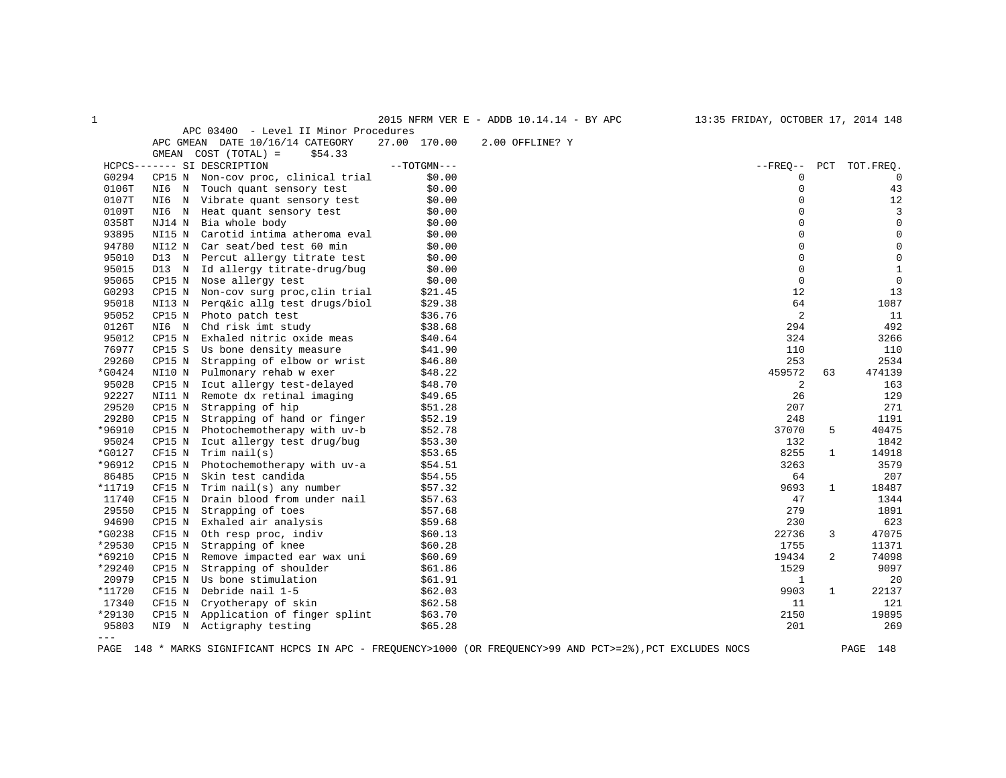| APC 03400 - Level II Minor Procedures<br>APC GMEAN DATE 10/16/14 CATEGORY<br>27.00 170.00<br>2.00 OFFLINE? Y<br>GMEAN COST (TOTAL) =<br>\$54.33<br>$--TOTGMN---$<br>$--FREQ--$<br>PCT TOT. FREQ.<br>HCPCS------- SI DESCRIPTION<br>G0294<br>CP15 N Non-cov proc, clinical trial<br>\$0.00<br>$\Omega$<br>0<br>$\mathsf 0$<br>0106T<br>\$0.00<br>43<br>Touch quant sensory test<br>NI6 N<br>$\Omega$<br>0107T<br>\$0.00<br>12<br>NI6 N Vibrate quant sensory test<br>$\mathbf 0$<br>3<br>0109T<br>\$0.00<br>NI6 N Heat quant sensory test<br>$\Omega$<br>$\mathbf 0$<br>0358T<br>NJ14 N Bia whole body<br>\$0.00<br>$\Omega$<br>93895<br>$\mathbf 0$<br>NI15 N<br>Carotid intima atheroma eval<br>\$0.00<br>$\mathsf 0$<br>94780<br>NI12 N Car seat/bed test 60 min<br>$\mathbf 0$<br>\$0.00<br>95010<br>$\mathbf 0$<br>$\mathbf 0$<br>D13 N Percut allergy titrate test<br>\$0.00<br>$\mathbf 0$<br>$\mathbf{1}$<br>95015<br>D13 N Id allergy titrate-drug/bug<br>\$0.00<br>$\mathbf 0$<br>$\mathsf 0$<br>95065<br>CP15 N Nose allergy test<br>\$0.00<br>G0293<br>CP15 N Non-cov surg proc, clin trial<br>\$21.45<br>12<br>13<br>95018<br>64<br>1087<br>NI13 N Perq⁣ allg test drugs/biol<br>\$29.38<br>$\overline{2}$<br>95052<br>\$36.76<br>11<br>CP15 N Photo patch test<br>294<br>492<br>0126T<br>NI6 N<br>Chd risk imt study<br>\$38.68<br>95012<br>324<br>3266<br>CP15 N Exhaled nitric oxide meas<br>\$40.64<br>76977<br>CP15 S Us bone density measure<br>\$41.90<br>110<br>110<br>29260<br>253<br>CP15 N Strapping of elbow or wrist<br>\$46.80<br>2534<br>*G0424<br>NI10 N Pulmonary rehab w exer<br>\$48.22<br>459572<br>63<br>474139<br>95028<br>2<br>CP15 N Icut allergy test-delayed<br>\$48.70<br>163<br>92227<br>129<br>NI11 N Remote dx retinal imaging<br>\$49.65<br>26<br>29520<br>CP15 N<br>207<br>271<br>Strapping of hip<br>\$51.28<br>29280<br>CP15 N<br>Strapping of hand or finger<br>\$52.19<br>248<br>1191<br>*96910<br>\$52.78<br>37070<br>$5^{\circ}$<br>40475<br>CP15 N Photochemotherapy with uv-b<br>95024<br>CP15 N Icut allergy test drug/bug<br>\$53.30<br>132<br>1842<br>*G0127<br>$CF15 N$ Trim nail(s)<br>\$53.65<br>8255<br>14918<br>$\mathbf{1}$<br>*96912<br>3579<br>CP15 N Photochemotherapy with uv-a<br>\$54.51<br>3263<br>86485<br>Skin test candida<br>\$54.55<br>207<br>CP15 N<br>64<br>*11719<br>18487<br>$CF15$ N Trim $nail(s)$ any number<br>\$57.32<br>9693<br>$\mathbf{1}$<br>11740<br>Drain blood from under nail<br>47<br>CF15 N<br>\$57.63<br>1344<br>29550<br>279<br>Strapping of toes<br>\$57.68<br>1891<br>CP15 N<br>94690<br>CP15 N Exhaled air analysis<br>\$59.68<br>230<br>623<br>*G0238<br>CF15 N<br>Oth resp proc, indiv<br>22736<br>3<br>47075<br>\$60.13<br>*29530<br>Strapping of knee<br>\$60.28<br>1755<br>11371<br>CP15 N<br>$*69210$<br>19434<br>CP15 N Remove impacted ear wax uni<br>\$60.69<br>$\overline{a}$<br>74098<br>*29240<br>1529<br>9097<br>CP15 N<br>Strapping of shoulder<br>\$61.86<br>20979<br>CP15 N Us bone stimulation<br>\$61.91<br>$\mathbf{1}$<br>20<br>*11720<br>CF15 N Debride nail 1-5<br>9903<br>22137<br>\$62.03<br>$\mathbf{1}$<br>17340<br>Cryotherapy of skin<br>\$62.58<br>11<br>121<br>CF15 N<br>2150<br>19895<br>*29130<br>CP15 N Application of finger splint<br>\$63.70<br>NI9 N Actigraphy testing<br>95803<br>\$65.28<br>201<br>269<br>$---$ | $\mathbf{1}$ |  | 2015 NFRM VER E - ADDB 10.14.14 - BY APC | 13:35 FRIDAY, OCTOBER 17, 2014 148 |  |
|----------------------------------------------------------------------------------------------------------------------------------------------------------------------------------------------------------------------------------------------------------------------------------------------------------------------------------------------------------------------------------------------------------------------------------------------------------------------------------------------------------------------------------------------------------------------------------------------------------------------------------------------------------------------------------------------------------------------------------------------------------------------------------------------------------------------------------------------------------------------------------------------------------------------------------------------------------------------------------------------------------------------------------------------------------------------------------------------------------------------------------------------------------------------------------------------------------------------------------------------------------------------------------------------------------------------------------------------------------------------------------------------------------------------------------------------------------------------------------------------------------------------------------------------------------------------------------------------------------------------------------------------------------------------------------------------------------------------------------------------------------------------------------------------------------------------------------------------------------------------------------------------------------------------------------------------------------------------------------------------------------------------------------------------------------------------------------------------------------------------------------------------------------------------------------------------------------------------------------------------------------------------------------------------------------------------------------------------------------------------------------------------------------------------------------------------------------------------------------------------------------------------------------------------------------------------------------------------------------------------------------------------------------------------------------------------------------------------------------------------------------------------------------------------------------------------------------------------------------------------------------------------------------------------------------------------------------------------------------------------------------------------------------------------------------------------------------------------------------------------------------------------------------------------------------------------------------------------------------------------------------------------------------------------------------------------------------------------------------|--------------|--|------------------------------------------|------------------------------------|--|
|                                                                                                                                                                                                                                                                                                                                                                                                                                                                                                                                                                                                                                                                                                                                                                                                                                                                                                                                                                                                                                                                                                                                                                                                                                                                                                                                                                                                                                                                                                                                                                                                                                                                                                                                                                                                                                                                                                                                                                                                                                                                                                                                                                                                                                                                                                                                                                                                                                                                                                                                                                                                                                                                                                                                                                                                                                                                                                                                                                                                                                                                                                                                                                                                                                                                                                                                                          |              |  |                                          |                                    |  |
|                                                                                                                                                                                                                                                                                                                                                                                                                                                                                                                                                                                                                                                                                                                                                                                                                                                                                                                                                                                                                                                                                                                                                                                                                                                                                                                                                                                                                                                                                                                                                                                                                                                                                                                                                                                                                                                                                                                                                                                                                                                                                                                                                                                                                                                                                                                                                                                                                                                                                                                                                                                                                                                                                                                                                                                                                                                                                                                                                                                                                                                                                                                                                                                                                                                                                                                                                          |              |  |                                          |                                    |  |
|                                                                                                                                                                                                                                                                                                                                                                                                                                                                                                                                                                                                                                                                                                                                                                                                                                                                                                                                                                                                                                                                                                                                                                                                                                                                                                                                                                                                                                                                                                                                                                                                                                                                                                                                                                                                                                                                                                                                                                                                                                                                                                                                                                                                                                                                                                                                                                                                                                                                                                                                                                                                                                                                                                                                                                                                                                                                                                                                                                                                                                                                                                                                                                                                                                                                                                                                                          |              |  |                                          |                                    |  |
|                                                                                                                                                                                                                                                                                                                                                                                                                                                                                                                                                                                                                                                                                                                                                                                                                                                                                                                                                                                                                                                                                                                                                                                                                                                                                                                                                                                                                                                                                                                                                                                                                                                                                                                                                                                                                                                                                                                                                                                                                                                                                                                                                                                                                                                                                                                                                                                                                                                                                                                                                                                                                                                                                                                                                                                                                                                                                                                                                                                                                                                                                                                                                                                                                                                                                                                                                          |              |  |                                          |                                    |  |
|                                                                                                                                                                                                                                                                                                                                                                                                                                                                                                                                                                                                                                                                                                                                                                                                                                                                                                                                                                                                                                                                                                                                                                                                                                                                                                                                                                                                                                                                                                                                                                                                                                                                                                                                                                                                                                                                                                                                                                                                                                                                                                                                                                                                                                                                                                                                                                                                                                                                                                                                                                                                                                                                                                                                                                                                                                                                                                                                                                                                                                                                                                                                                                                                                                                                                                                                                          |              |  |                                          |                                    |  |
|                                                                                                                                                                                                                                                                                                                                                                                                                                                                                                                                                                                                                                                                                                                                                                                                                                                                                                                                                                                                                                                                                                                                                                                                                                                                                                                                                                                                                                                                                                                                                                                                                                                                                                                                                                                                                                                                                                                                                                                                                                                                                                                                                                                                                                                                                                                                                                                                                                                                                                                                                                                                                                                                                                                                                                                                                                                                                                                                                                                                                                                                                                                                                                                                                                                                                                                                                          |              |  |                                          |                                    |  |
|                                                                                                                                                                                                                                                                                                                                                                                                                                                                                                                                                                                                                                                                                                                                                                                                                                                                                                                                                                                                                                                                                                                                                                                                                                                                                                                                                                                                                                                                                                                                                                                                                                                                                                                                                                                                                                                                                                                                                                                                                                                                                                                                                                                                                                                                                                                                                                                                                                                                                                                                                                                                                                                                                                                                                                                                                                                                                                                                                                                                                                                                                                                                                                                                                                                                                                                                                          |              |  |                                          |                                    |  |
|                                                                                                                                                                                                                                                                                                                                                                                                                                                                                                                                                                                                                                                                                                                                                                                                                                                                                                                                                                                                                                                                                                                                                                                                                                                                                                                                                                                                                                                                                                                                                                                                                                                                                                                                                                                                                                                                                                                                                                                                                                                                                                                                                                                                                                                                                                                                                                                                                                                                                                                                                                                                                                                                                                                                                                                                                                                                                                                                                                                                                                                                                                                                                                                                                                                                                                                                                          |              |  |                                          |                                    |  |
|                                                                                                                                                                                                                                                                                                                                                                                                                                                                                                                                                                                                                                                                                                                                                                                                                                                                                                                                                                                                                                                                                                                                                                                                                                                                                                                                                                                                                                                                                                                                                                                                                                                                                                                                                                                                                                                                                                                                                                                                                                                                                                                                                                                                                                                                                                                                                                                                                                                                                                                                                                                                                                                                                                                                                                                                                                                                                                                                                                                                                                                                                                                                                                                                                                                                                                                                                          |              |  |                                          |                                    |  |
|                                                                                                                                                                                                                                                                                                                                                                                                                                                                                                                                                                                                                                                                                                                                                                                                                                                                                                                                                                                                                                                                                                                                                                                                                                                                                                                                                                                                                                                                                                                                                                                                                                                                                                                                                                                                                                                                                                                                                                                                                                                                                                                                                                                                                                                                                                                                                                                                                                                                                                                                                                                                                                                                                                                                                                                                                                                                                                                                                                                                                                                                                                                                                                                                                                                                                                                                                          |              |  |                                          |                                    |  |
|                                                                                                                                                                                                                                                                                                                                                                                                                                                                                                                                                                                                                                                                                                                                                                                                                                                                                                                                                                                                                                                                                                                                                                                                                                                                                                                                                                                                                                                                                                                                                                                                                                                                                                                                                                                                                                                                                                                                                                                                                                                                                                                                                                                                                                                                                                                                                                                                                                                                                                                                                                                                                                                                                                                                                                                                                                                                                                                                                                                                                                                                                                                                                                                                                                                                                                                                                          |              |  |                                          |                                    |  |
|                                                                                                                                                                                                                                                                                                                                                                                                                                                                                                                                                                                                                                                                                                                                                                                                                                                                                                                                                                                                                                                                                                                                                                                                                                                                                                                                                                                                                                                                                                                                                                                                                                                                                                                                                                                                                                                                                                                                                                                                                                                                                                                                                                                                                                                                                                                                                                                                                                                                                                                                                                                                                                                                                                                                                                                                                                                                                                                                                                                                                                                                                                                                                                                                                                                                                                                                                          |              |  |                                          |                                    |  |
|                                                                                                                                                                                                                                                                                                                                                                                                                                                                                                                                                                                                                                                                                                                                                                                                                                                                                                                                                                                                                                                                                                                                                                                                                                                                                                                                                                                                                                                                                                                                                                                                                                                                                                                                                                                                                                                                                                                                                                                                                                                                                                                                                                                                                                                                                                                                                                                                                                                                                                                                                                                                                                                                                                                                                                                                                                                                                                                                                                                                                                                                                                                                                                                                                                                                                                                                                          |              |  |                                          |                                    |  |
|                                                                                                                                                                                                                                                                                                                                                                                                                                                                                                                                                                                                                                                                                                                                                                                                                                                                                                                                                                                                                                                                                                                                                                                                                                                                                                                                                                                                                                                                                                                                                                                                                                                                                                                                                                                                                                                                                                                                                                                                                                                                                                                                                                                                                                                                                                                                                                                                                                                                                                                                                                                                                                                                                                                                                                                                                                                                                                                                                                                                                                                                                                                                                                                                                                                                                                                                                          |              |  |                                          |                                    |  |
|                                                                                                                                                                                                                                                                                                                                                                                                                                                                                                                                                                                                                                                                                                                                                                                                                                                                                                                                                                                                                                                                                                                                                                                                                                                                                                                                                                                                                                                                                                                                                                                                                                                                                                                                                                                                                                                                                                                                                                                                                                                                                                                                                                                                                                                                                                                                                                                                                                                                                                                                                                                                                                                                                                                                                                                                                                                                                                                                                                                                                                                                                                                                                                                                                                                                                                                                                          |              |  |                                          |                                    |  |
|                                                                                                                                                                                                                                                                                                                                                                                                                                                                                                                                                                                                                                                                                                                                                                                                                                                                                                                                                                                                                                                                                                                                                                                                                                                                                                                                                                                                                                                                                                                                                                                                                                                                                                                                                                                                                                                                                                                                                                                                                                                                                                                                                                                                                                                                                                                                                                                                                                                                                                                                                                                                                                                                                                                                                                                                                                                                                                                                                                                                                                                                                                                                                                                                                                                                                                                                                          |              |  |                                          |                                    |  |
|                                                                                                                                                                                                                                                                                                                                                                                                                                                                                                                                                                                                                                                                                                                                                                                                                                                                                                                                                                                                                                                                                                                                                                                                                                                                                                                                                                                                                                                                                                                                                                                                                                                                                                                                                                                                                                                                                                                                                                                                                                                                                                                                                                                                                                                                                                                                                                                                                                                                                                                                                                                                                                                                                                                                                                                                                                                                                                                                                                                                                                                                                                                                                                                                                                                                                                                                                          |              |  |                                          |                                    |  |
|                                                                                                                                                                                                                                                                                                                                                                                                                                                                                                                                                                                                                                                                                                                                                                                                                                                                                                                                                                                                                                                                                                                                                                                                                                                                                                                                                                                                                                                                                                                                                                                                                                                                                                                                                                                                                                                                                                                                                                                                                                                                                                                                                                                                                                                                                                                                                                                                                                                                                                                                                                                                                                                                                                                                                                                                                                                                                                                                                                                                                                                                                                                                                                                                                                                                                                                                                          |              |  |                                          |                                    |  |
|                                                                                                                                                                                                                                                                                                                                                                                                                                                                                                                                                                                                                                                                                                                                                                                                                                                                                                                                                                                                                                                                                                                                                                                                                                                                                                                                                                                                                                                                                                                                                                                                                                                                                                                                                                                                                                                                                                                                                                                                                                                                                                                                                                                                                                                                                                                                                                                                                                                                                                                                                                                                                                                                                                                                                                                                                                                                                                                                                                                                                                                                                                                                                                                                                                                                                                                                                          |              |  |                                          |                                    |  |
|                                                                                                                                                                                                                                                                                                                                                                                                                                                                                                                                                                                                                                                                                                                                                                                                                                                                                                                                                                                                                                                                                                                                                                                                                                                                                                                                                                                                                                                                                                                                                                                                                                                                                                                                                                                                                                                                                                                                                                                                                                                                                                                                                                                                                                                                                                                                                                                                                                                                                                                                                                                                                                                                                                                                                                                                                                                                                                                                                                                                                                                                                                                                                                                                                                                                                                                                                          |              |  |                                          |                                    |  |
|                                                                                                                                                                                                                                                                                                                                                                                                                                                                                                                                                                                                                                                                                                                                                                                                                                                                                                                                                                                                                                                                                                                                                                                                                                                                                                                                                                                                                                                                                                                                                                                                                                                                                                                                                                                                                                                                                                                                                                                                                                                                                                                                                                                                                                                                                                                                                                                                                                                                                                                                                                                                                                                                                                                                                                                                                                                                                                                                                                                                                                                                                                                                                                                                                                                                                                                                                          |              |  |                                          |                                    |  |
|                                                                                                                                                                                                                                                                                                                                                                                                                                                                                                                                                                                                                                                                                                                                                                                                                                                                                                                                                                                                                                                                                                                                                                                                                                                                                                                                                                                                                                                                                                                                                                                                                                                                                                                                                                                                                                                                                                                                                                                                                                                                                                                                                                                                                                                                                                                                                                                                                                                                                                                                                                                                                                                                                                                                                                                                                                                                                                                                                                                                                                                                                                                                                                                                                                                                                                                                                          |              |  |                                          |                                    |  |
|                                                                                                                                                                                                                                                                                                                                                                                                                                                                                                                                                                                                                                                                                                                                                                                                                                                                                                                                                                                                                                                                                                                                                                                                                                                                                                                                                                                                                                                                                                                                                                                                                                                                                                                                                                                                                                                                                                                                                                                                                                                                                                                                                                                                                                                                                                                                                                                                                                                                                                                                                                                                                                                                                                                                                                                                                                                                                                                                                                                                                                                                                                                                                                                                                                                                                                                                                          |              |  |                                          |                                    |  |
|                                                                                                                                                                                                                                                                                                                                                                                                                                                                                                                                                                                                                                                                                                                                                                                                                                                                                                                                                                                                                                                                                                                                                                                                                                                                                                                                                                                                                                                                                                                                                                                                                                                                                                                                                                                                                                                                                                                                                                                                                                                                                                                                                                                                                                                                                                                                                                                                                                                                                                                                                                                                                                                                                                                                                                                                                                                                                                                                                                                                                                                                                                                                                                                                                                                                                                                                                          |              |  |                                          |                                    |  |
|                                                                                                                                                                                                                                                                                                                                                                                                                                                                                                                                                                                                                                                                                                                                                                                                                                                                                                                                                                                                                                                                                                                                                                                                                                                                                                                                                                                                                                                                                                                                                                                                                                                                                                                                                                                                                                                                                                                                                                                                                                                                                                                                                                                                                                                                                                                                                                                                                                                                                                                                                                                                                                                                                                                                                                                                                                                                                                                                                                                                                                                                                                                                                                                                                                                                                                                                                          |              |  |                                          |                                    |  |
|                                                                                                                                                                                                                                                                                                                                                                                                                                                                                                                                                                                                                                                                                                                                                                                                                                                                                                                                                                                                                                                                                                                                                                                                                                                                                                                                                                                                                                                                                                                                                                                                                                                                                                                                                                                                                                                                                                                                                                                                                                                                                                                                                                                                                                                                                                                                                                                                                                                                                                                                                                                                                                                                                                                                                                                                                                                                                                                                                                                                                                                                                                                                                                                                                                                                                                                                                          |              |  |                                          |                                    |  |
|                                                                                                                                                                                                                                                                                                                                                                                                                                                                                                                                                                                                                                                                                                                                                                                                                                                                                                                                                                                                                                                                                                                                                                                                                                                                                                                                                                                                                                                                                                                                                                                                                                                                                                                                                                                                                                                                                                                                                                                                                                                                                                                                                                                                                                                                                                                                                                                                                                                                                                                                                                                                                                                                                                                                                                                                                                                                                                                                                                                                                                                                                                                                                                                                                                                                                                                                                          |              |  |                                          |                                    |  |
|                                                                                                                                                                                                                                                                                                                                                                                                                                                                                                                                                                                                                                                                                                                                                                                                                                                                                                                                                                                                                                                                                                                                                                                                                                                                                                                                                                                                                                                                                                                                                                                                                                                                                                                                                                                                                                                                                                                                                                                                                                                                                                                                                                                                                                                                                                                                                                                                                                                                                                                                                                                                                                                                                                                                                                                                                                                                                                                                                                                                                                                                                                                                                                                                                                                                                                                                                          |              |  |                                          |                                    |  |
|                                                                                                                                                                                                                                                                                                                                                                                                                                                                                                                                                                                                                                                                                                                                                                                                                                                                                                                                                                                                                                                                                                                                                                                                                                                                                                                                                                                                                                                                                                                                                                                                                                                                                                                                                                                                                                                                                                                                                                                                                                                                                                                                                                                                                                                                                                                                                                                                                                                                                                                                                                                                                                                                                                                                                                                                                                                                                                                                                                                                                                                                                                                                                                                                                                                                                                                                                          |              |  |                                          |                                    |  |
|                                                                                                                                                                                                                                                                                                                                                                                                                                                                                                                                                                                                                                                                                                                                                                                                                                                                                                                                                                                                                                                                                                                                                                                                                                                                                                                                                                                                                                                                                                                                                                                                                                                                                                                                                                                                                                                                                                                                                                                                                                                                                                                                                                                                                                                                                                                                                                                                                                                                                                                                                                                                                                                                                                                                                                                                                                                                                                                                                                                                                                                                                                                                                                                                                                                                                                                                                          |              |  |                                          |                                    |  |
|                                                                                                                                                                                                                                                                                                                                                                                                                                                                                                                                                                                                                                                                                                                                                                                                                                                                                                                                                                                                                                                                                                                                                                                                                                                                                                                                                                                                                                                                                                                                                                                                                                                                                                                                                                                                                                                                                                                                                                                                                                                                                                                                                                                                                                                                                                                                                                                                                                                                                                                                                                                                                                                                                                                                                                                                                                                                                                                                                                                                                                                                                                                                                                                                                                                                                                                                                          |              |  |                                          |                                    |  |
|                                                                                                                                                                                                                                                                                                                                                                                                                                                                                                                                                                                                                                                                                                                                                                                                                                                                                                                                                                                                                                                                                                                                                                                                                                                                                                                                                                                                                                                                                                                                                                                                                                                                                                                                                                                                                                                                                                                                                                                                                                                                                                                                                                                                                                                                                                                                                                                                                                                                                                                                                                                                                                                                                                                                                                                                                                                                                                                                                                                                                                                                                                                                                                                                                                                                                                                                                          |              |  |                                          |                                    |  |
|                                                                                                                                                                                                                                                                                                                                                                                                                                                                                                                                                                                                                                                                                                                                                                                                                                                                                                                                                                                                                                                                                                                                                                                                                                                                                                                                                                                                                                                                                                                                                                                                                                                                                                                                                                                                                                                                                                                                                                                                                                                                                                                                                                                                                                                                                                                                                                                                                                                                                                                                                                                                                                                                                                                                                                                                                                                                                                                                                                                                                                                                                                                                                                                                                                                                                                                                                          |              |  |                                          |                                    |  |
|                                                                                                                                                                                                                                                                                                                                                                                                                                                                                                                                                                                                                                                                                                                                                                                                                                                                                                                                                                                                                                                                                                                                                                                                                                                                                                                                                                                                                                                                                                                                                                                                                                                                                                                                                                                                                                                                                                                                                                                                                                                                                                                                                                                                                                                                                                                                                                                                                                                                                                                                                                                                                                                                                                                                                                                                                                                                                                                                                                                                                                                                                                                                                                                                                                                                                                                                                          |              |  |                                          |                                    |  |
|                                                                                                                                                                                                                                                                                                                                                                                                                                                                                                                                                                                                                                                                                                                                                                                                                                                                                                                                                                                                                                                                                                                                                                                                                                                                                                                                                                                                                                                                                                                                                                                                                                                                                                                                                                                                                                                                                                                                                                                                                                                                                                                                                                                                                                                                                                                                                                                                                                                                                                                                                                                                                                                                                                                                                                                                                                                                                                                                                                                                                                                                                                                                                                                                                                                                                                                                                          |              |  |                                          |                                    |  |
|                                                                                                                                                                                                                                                                                                                                                                                                                                                                                                                                                                                                                                                                                                                                                                                                                                                                                                                                                                                                                                                                                                                                                                                                                                                                                                                                                                                                                                                                                                                                                                                                                                                                                                                                                                                                                                                                                                                                                                                                                                                                                                                                                                                                                                                                                                                                                                                                                                                                                                                                                                                                                                                                                                                                                                                                                                                                                                                                                                                                                                                                                                                                                                                                                                                                                                                                                          |              |  |                                          |                                    |  |
|                                                                                                                                                                                                                                                                                                                                                                                                                                                                                                                                                                                                                                                                                                                                                                                                                                                                                                                                                                                                                                                                                                                                                                                                                                                                                                                                                                                                                                                                                                                                                                                                                                                                                                                                                                                                                                                                                                                                                                                                                                                                                                                                                                                                                                                                                                                                                                                                                                                                                                                                                                                                                                                                                                                                                                                                                                                                                                                                                                                                                                                                                                                                                                                                                                                                                                                                                          |              |  |                                          |                                    |  |
|                                                                                                                                                                                                                                                                                                                                                                                                                                                                                                                                                                                                                                                                                                                                                                                                                                                                                                                                                                                                                                                                                                                                                                                                                                                                                                                                                                                                                                                                                                                                                                                                                                                                                                                                                                                                                                                                                                                                                                                                                                                                                                                                                                                                                                                                                                                                                                                                                                                                                                                                                                                                                                                                                                                                                                                                                                                                                                                                                                                                                                                                                                                                                                                                                                                                                                                                                          |              |  |                                          |                                    |  |
|                                                                                                                                                                                                                                                                                                                                                                                                                                                                                                                                                                                                                                                                                                                                                                                                                                                                                                                                                                                                                                                                                                                                                                                                                                                                                                                                                                                                                                                                                                                                                                                                                                                                                                                                                                                                                                                                                                                                                                                                                                                                                                                                                                                                                                                                                                                                                                                                                                                                                                                                                                                                                                                                                                                                                                                                                                                                                                                                                                                                                                                                                                                                                                                                                                                                                                                                                          |              |  |                                          |                                    |  |
|                                                                                                                                                                                                                                                                                                                                                                                                                                                                                                                                                                                                                                                                                                                                                                                                                                                                                                                                                                                                                                                                                                                                                                                                                                                                                                                                                                                                                                                                                                                                                                                                                                                                                                                                                                                                                                                                                                                                                                                                                                                                                                                                                                                                                                                                                                                                                                                                                                                                                                                                                                                                                                                                                                                                                                                                                                                                                                                                                                                                                                                                                                                                                                                                                                                                                                                                                          |              |  |                                          |                                    |  |
|                                                                                                                                                                                                                                                                                                                                                                                                                                                                                                                                                                                                                                                                                                                                                                                                                                                                                                                                                                                                                                                                                                                                                                                                                                                                                                                                                                                                                                                                                                                                                                                                                                                                                                                                                                                                                                                                                                                                                                                                                                                                                                                                                                                                                                                                                                                                                                                                                                                                                                                                                                                                                                                                                                                                                                                                                                                                                                                                                                                                                                                                                                                                                                                                                                                                                                                                                          |              |  |                                          |                                    |  |
|                                                                                                                                                                                                                                                                                                                                                                                                                                                                                                                                                                                                                                                                                                                                                                                                                                                                                                                                                                                                                                                                                                                                                                                                                                                                                                                                                                                                                                                                                                                                                                                                                                                                                                                                                                                                                                                                                                                                                                                                                                                                                                                                                                                                                                                                                                                                                                                                                                                                                                                                                                                                                                                                                                                                                                                                                                                                                                                                                                                                                                                                                                                                                                                                                                                                                                                                                          |              |  |                                          |                                    |  |
|                                                                                                                                                                                                                                                                                                                                                                                                                                                                                                                                                                                                                                                                                                                                                                                                                                                                                                                                                                                                                                                                                                                                                                                                                                                                                                                                                                                                                                                                                                                                                                                                                                                                                                                                                                                                                                                                                                                                                                                                                                                                                                                                                                                                                                                                                                                                                                                                                                                                                                                                                                                                                                                                                                                                                                                                                                                                                                                                                                                                                                                                                                                                                                                                                                                                                                                                                          |              |  |                                          |                                    |  |
|                                                                                                                                                                                                                                                                                                                                                                                                                                                                                                                                                                                                                                                                                                                                                                                                                                                                                                                                                                                                                                                                                                                                                                                                                                                                                                                                                                                                                                                                                                                                                                                                                                                                                                                                                                                                                                                                                                                                                                                                                                                                                                                                                                                                                                                                                                                                                                                                                                                                                                                                                                                                                                                                                                                                                                                                                                                                                                                                                                                                                                                                                                                                                                                                                                                                                                                                                          |              |  |                                          |                                    |  |
|                                                                                                                                                                                                                                                                                                                                                                                                                                                                                                                                                                                                                                                                                                                                                                                                                                                                                                                                                                                                                                                                                                                                                                                                                                                                                                                                                                                                                                                                                                                                                                                                                                                                                                                                                                                                                                                                                                                                                                                                                                                                                                                                                                                                                                                                                                                                                                                                                                                                                                                                                                                                                                                                                                                                                                                                                                                                                                                                                                                                                                                                                                                                                                                                                                                                                                                                                          |              |  |                                          |                                    |  |

PAGE 148 \* MARKS SIGNIFICANT HCPCS IN APC - FREQUENCY>1000 (OR FREQUENCY>99 AND PCT>=2%),PCT EXCLUDES NOCS PAGE 148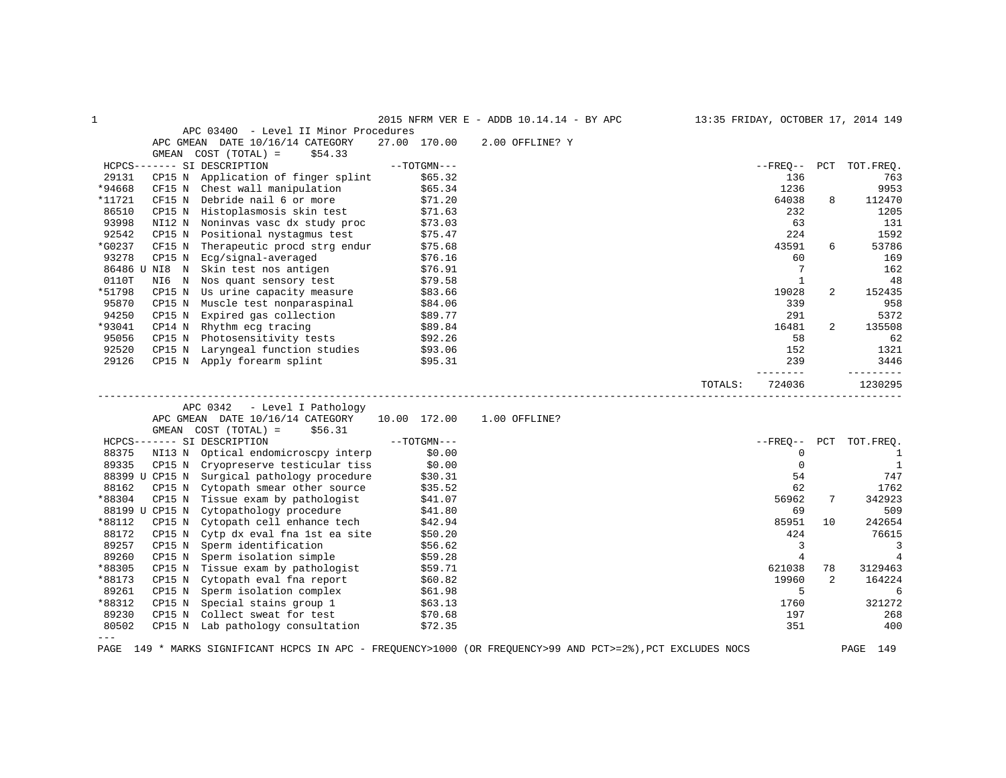| 1               |                |                                                                         |               | 2015 NFRM VER E - ADDB 10.14.14 - BY APC |         |                 |                      | 13:35 FRIDAY, OCTOBER 17, 2014 149 |
|-----------------|----------------|-------------------------------------------------------------------------|---------------|------------------------------------------|---------|-----------------|----------------------|------------------------------------|
|                 |                | APC 03400 - Level II Minor Procedures                                   |               |                                          |         |                 |                      |                                    |
|                 |                | APC GMEAN DATE 10/16/14 CATEGORY                                        | 27.00 170.00  | 2.00 OFFLINE? Y                          |         |                 |                      |                                    |
|                 |                | GMEAN COST (TOTAL) =<br>\$54.33                                         |               |                                          |         |                 |                      |                                    |
|                 |                | HCPCS------- SI DESCRIPTION                                             | $--TOTGMN---$ |                                          |         | $- FREO--$      | PCT                  | TOT.FREO.                          |
| 29131           |                | CP15 N Application of finger splint                                     | \$65.32       |                                          |         | 136             |                      | 763                                |
| *94668          |                | CF15 N Chest wall manipulation                                          | \$65.34       |                                          |         | 1236            |                      | 9953                               |
| *11721          | CF15 N         | Debride nail 6 or more                                                  | \$71.20       |                                          |         | 64038           | 8                    | 112470                             |
| 86510           |                | CP15 N Histoplasmosis skin test                                         | \$71.63       |                                          |         | 232             |                      | 1205                               |
| 93998           | NI12 N         | Noninvas vasc dx study proc                                             | \$73.03       |                                          |         | 63              |                      | 131                                |
| 92542           | CP15 N         | Positional nystagmus test                                               | \$75.47       |                                          |         | 224             |                      | 1592                               |
| *G0237          |                | CF15 N Therapeutic procd strg endur                                     | \$75.68       |                                          |         | 43591           | б.                   | 53786                              |
|                 |                | 93278 CP15 N Ecg/signal-averaged<br>86486 U NI8 N Skin test nos antigen | \$76.16       |                                          |         | 60              |                      | 169                                |
|                 |                |                                                                         | \$76.91       |                                          |         | $7\phantom{.0}$ |                      | 162                                |
| 0110T           | NI6 N          | Nos quant sensory test                                                  | \$79.58       |                                          |         | $\mathbf{1}$    |                      | 48                                 |
| *51798          | CP15 N         | Us urine capacity measure                                               | \$83.66       |                                          |         | 19028           | 2                    | 152435                             |
| 95870           | CP15 N         | Muscle test nonparaspinal                                               | \$84.06       |                                          |         | 339             |                      | 958                                |
| 94250           | CP15 N         | Expired gas collection                                                  | \$89.77       |                                          |         | 291             |                      | 5372                               |
| *93041          |                | CP14 N Rhythm ecg tracing                                               | \$89.84       |                                          |         | 16481           | $\overline{2}$       | 135508                             |
| 95056           | CP15 N         | Photosensitivity tests                                                  | \$92.26       |                                          |         | 58              |                      | 62                                 |
| 92520           | CP15 N         | Laryngeal function studies                                              | \$93.06       |                                          |         | 152             |                      | 1321                               |
| 29126           |                | CP15 N Apply forearm splint                                             | \$95.31       |                                          |         | 239             |                      | 3446                               |
|                 |                |                                                                         |               |                                          |         | ------          |                      | ---------                          |
|                 |                |                                                                         |               |                                          | TOTALS: | 724036          |                      | 1230295                            |
|                 |                | APC 0342<br>- Level I Pathology                                         |               |                                          |         |                 |                      |                                    |
|                 |                | APC GMEAN DATE 10/16/14 CATEGORY<br>GMEAN COST (TOTAL) =<br>\$56.31     | 10.00 172.00  | 1.00 OFFLINE?                            |         |                 |                      |                                    |
|                 |                | HCPCS------- SI DESCRIPTION                                             | $--TOTGMN---$ |                                          |         | $--$ FREO $--$  | PCT                  |                                    |
| 88375           |                | NI13 N Optical endomicroscpy interp                                     | \$0.00        |                                          |         | $\mathbf{0}$    |                      | TOT.FREQ.<br>1                     |
| 89335           |                | CP15 N Cryopreserve testicular tiss                                     | \$0.00        |                                          |         | $\Omega$        |                      | $\mathbf{1}$                       |
|                 |                | 88399 U CP15 N Surgical pathology procedure                             | \$30.31       |                                          |         | 54              |                      | 747                                |
| 88162           |                | CP15 N Cytopath smear other source                                      | \$35.52       |                                          |         | 62              |                      | 1762                               |
| *88304          | CP15 N         | Tissue exam by pathologist                                              | \$41.07       |                                          |         | 56962           | 7                    | 342923                             |
|                 | 88199 U CP15 N | Cytopathology procedure                                                 | \$41.80       |                                          |         | 69              |                      | 509                                |
| *88112          | CP15 N         | Cytopath cell enhance tech                                              | \$42.94       |                                          |         | 85951           | 10                   | 242654                             |
| 88172           | CP15 N         | Cytp dx eval fna 1st ea site                                            | \$50.20       |                                          |         | 424             |                      | 76615                              |
| 89257           | CP15 N         | Sperm identification                                                    | \$56.62       |                                          |         | 3               |                      | $\overline{3}$                     |
| 89260           | CP15 N         | Sperm isolation simple                                                  | \$59.28       |                                          |         | $\overline{4}$  |                      | 4                                  |
|                 |                |                                                                         |               |                                          |         |                 |                      |                                    |
| *88305          | CP15 N         | Tissue exam by pathologist                                              | \$59.71       |                                          |         | 621038          | 78<br>$\overline{2}$ | 3129463                            |
| *88173<br>89261 | CP15 N         | Cytopath eval fna report                                                | \$60.82       |                                          |         | 19960           |                      | 164224                             |
|                 | CP15 N         | Sperm isolation complex                                                 | \$61.98       |                                          |         | 5               |                      | 6                                  |
| *88312          | CP15 N         | Sperm isolation compared<br>Special stains group 1                      | \$63.13       |                                          |         | 1760            |                      | 321272                             |
| 89230           | CP15 N         |                                                                         | \$70.68       |                                          |         | 197             |                      | 268                                |
| 80502<br>$---$  | CP15 N         | Lab pathology consultation                                              | \$72.35       |                                          |         | 351             |                      | 400                                |
|                 |                |                                                                         |               |                                          |         |                 |                      |                                    |

PAGE 149 \* MARKS SIGNIFICANT HCPCS IN APC - FREQUENCY>1000 (OR FREQUENCY>99 AND PCT>=2%),PCT EXCLUDES NOCS PAGE 149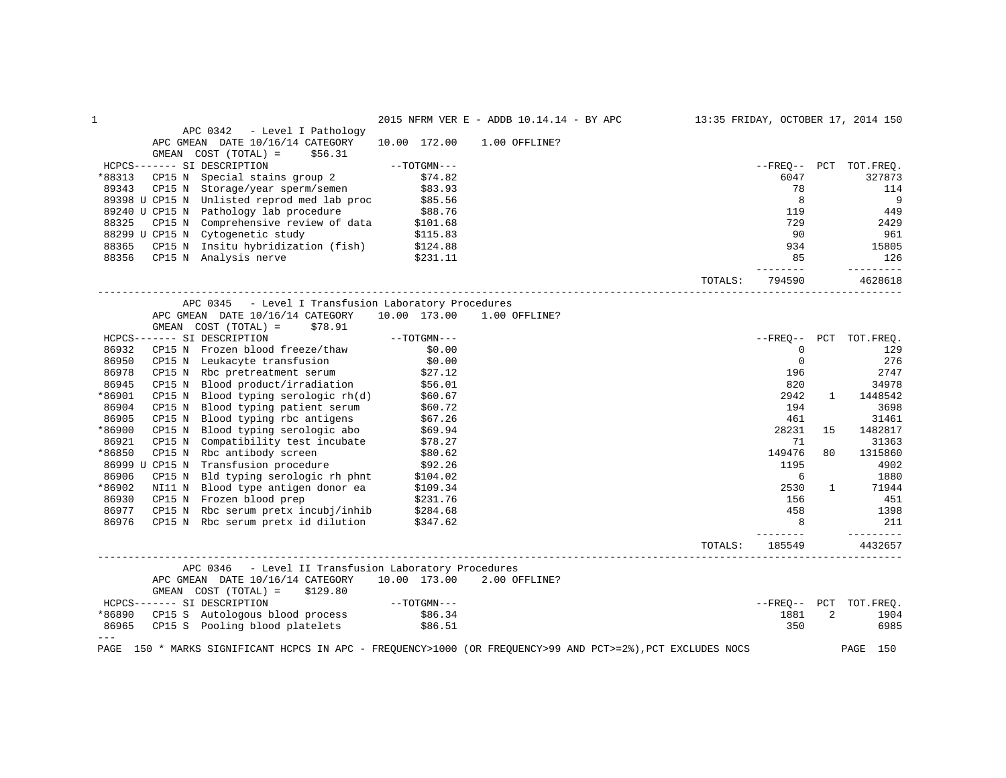| $\mathbf 1$                                                                                                               |               | 2015 NFRM VER E - ADDB 10.14.14 - BY APC |         |                    |                | 13:35 FRIDAY, OCTOBER 17, 2014 150 |
|---------------------------------------------------------------------------------------------------------------------------|---------------|------------------------------------------|---------|--------------------|----------------|------------------------------------|
| APC 0342<br>- Level I Pathology                                                                                           |               |                                          |         |                    |                |                                    |
| APC GMEAN DATE 10/16/14 CATEGORY                                                                                          | 10.00 172.00  | 1.00 OFFLINE?                            |         |                    |                |                                    |
| GMEAN COST (TOTAL) =<br>\$56.31                                                                                           |               |                                          |         |                    |                |                                    |
| HCPCS------- SI DESCRIPTION                                                                                               | $--TOTGMN---$ |                                          |         |                    |                | --FREO-- PCT TOT.FREO.             |
| *88313<br>CP15 N Special stains group 2                                                                                   | \$74.82       |                                          |         | 6047               |                | 327873                             |
| 89343<br>CP15 N Storage/year sperm/semen                                                                                  | \$83.93       |                                          |         | 78                 |                | 114                                |
| 89398 U CP15 N Unlisted reprod med lab proc                                                                               | \$85.56       |                                          |         | 8                  |                | 9                                  |
| 89240 U CP15 N Pathology lab procedure                                                                                    | \$88.76       |                                          |         | 119                |                | 449                                |
| 88325<br>CP15 N Comprehensive review of data                                                                              | \$101.68      |                                          |         | 729                |                | 2429                               |
| 88299 U CP15 N Cytogenetic study                                                                                          | \$115.83      |                                          |         | 90                 |                | 961                                |
| CP15 N Insitu hybridization (fish) \$124.88<br>88365                                                                      |               |                                          |         | 934                |                | 15805                              |
| 88356<br>CP15 N Analysis nerve                                                                                            | \$231.11      |                                          |         | 85                 |                | 126                                |
|                                                                                                                           |               |                                          | TOTALS: | --------<br>794590 |                | _________<br>4628618               |
|                                                                                                                           |               |                                          |         |                    |                |                                    |
| - Level I Transfusion Laboratory Procedures<br>APC 0345                                                                   |               |                                          |         |                    |                |                                    |
| APC GMEAN DATE 10/16/14 CATEGORY                                                                                          | 10.00 173.00  | 1.00 OFFLINE?                            |         |                    |                |                                    |
| GMEAN COST (TOTAL) =<br>\$78.91                                                                                           |               |                                          |         |                    |                |                                    |
| HCPCS------- SI DESCRIPTION                                                                                               | $--TOTGMN---$ |                                          |         |                    |                | --FREO-- PCT TOT.FREO.             |
| 86932<br>CP15 N Frozen blood freeze/thaw                                                                                  | \$0.00        |                                          |         | $\Omega$           |                | 129                                |
| 86950<br>Leukacyte transfusion<br>CP15 N                                                                                  | \$0.00        |                                          |         | $\mathbf 0$        |                | 276                                |
| 86978<br>CP15 N Rbc pretreatment serum                                                                                    | \$27.12       |                                          |         | 196                |                | 2747                               |
| Blood product/irradiation \$56.01<br>86945<br>CP15 N                                                                      |               |                                          |         | 820                |                | 34978                              |
| *86901<br>CP15 N Blood typing serologic rh(d)                                                                             | \$60.67       |                                          |         | 2942               | $\mathbf{1}$   | 1448542                            |
| 86904<br>CP15 N Blood typing patient serum                                                                                | \$60.72       |                                          |         | 194                |                | 3698                               |
| 86905<br>Blood typing rbc antigens<br>CP15 N                                                                              | \$67.26       |                                          |         | 461                |                | 31461                              |
| *86900<br>Blood typing serologic abo<br>CP15 N                                                                            | \$69.94       |                                          |         | 28231              | 15             | 1482817                            |
| 86921<br>CP15 N<br>Compatibility test incubate                                                                            | \$78.27       |                                          |         | 71                 |                | 31363                              |
| *86850<br>CP15 N Rbc antibody screen                                                                                      | \$80.62       |                                          |         | 149476             | 80             | 1315860                            |
| 86999 U CP15 N Transfusion procedure                                                                                      | \$92.26       |                                          |         | 1195               |                | 4902                               |
| 86906<br>Bld typing serologic rh phnt<br>CP15 N                                                                           | \$104.02      |                                          |         | 6                  |                | 1880                               |
| *86902<br>NI11 N Blood type antigen donor ea                                                                              | \$109.34      |                                          |         | 2530               | $\mathbf{1}$   | 71944                              |
| CP15 N Frozen blood prep<br>86930                                                                                         | \$231.76      |                                          |         | 156                |                | 451                                |
| 86977<br>CP15 N Rbc serum pretx incubj/inhib                                                                              | \$284.68      |                                          |         | 458                |                | 1398                               |
| 86976<br>CP15 N Rbc serum pretx id dilution                                                                               | \$347.62      |                                          |         | 8                  |                | 211<br>_________                   |
|                                                                                                                           |               |                                          | TOTALS: | 185549             |                | 4432657                            |
| APC 0346<br>- Level II Transfusion Laboratory Procedures                                                                  |               |                                          |         |                    |                |                                    |
| APC GMEAN DATE 10/16/14 CATEGORY                                                                                          | 10.00 173.00  | 2.00 OFFLINE?                            |         |                    |                |                                    |
| GMEAN COST (TOTAL) =<br>\$129.80                                                                                          |               |                                          |         |                    |                |                                    |
| HCPCS------- SI DESCRIPTION                                                                                               | $--TOTGMN---$ |                                          |         | --FREO-- PCT       |                | TOT.FREO.                          |
| *86890<br>CP15 S Autologous blood process                                                                                 | \$86.34       |                                          |         | 1881               | $\overline{c}$ | 1904                               |
| 86965<br>CP15 S Pooling blood platelets                                                                                   | \$86.51       |                                          |         | 350                |                | 6985                               |
| $- - -$<br>150 * MARKS SIGNIFICANT HCPCS IN APC - FREQUENCY>1000 (OR FREQUENCY>99 AND PCT>=2%), PCT EXCLUDES NOCS<br>PAGE |               |                                          |         |                    |                | PAGE<br>150                        |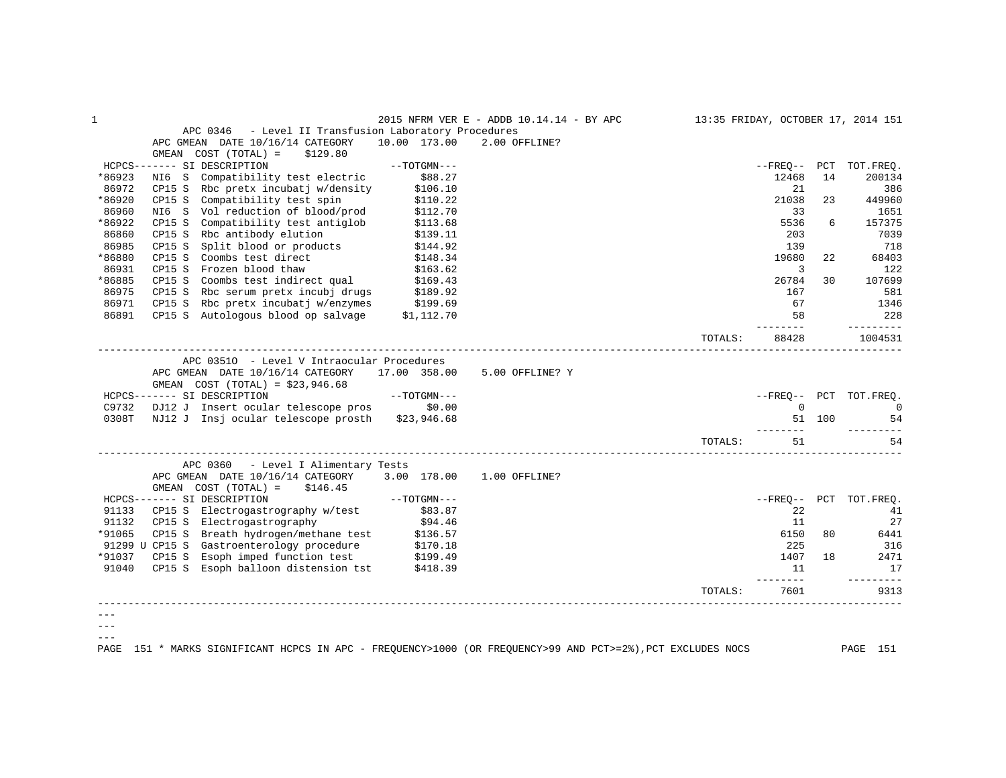| $\mathbf{1}$ |                                                                                                                                                                                                                                                                                                                |               | 2015 NFRM VER E - ADDB 10.14.14 - BY APC | 13:35 FRIDAY, OCTOBER 17, 2014 151 |                          |                |                         |
|--------------|----------------------------------------------------------------------------------------------------------------------------------------------------------------------------------------------------------------------------------------------------------------------------------------------------------------|---------------|------------------------------------------|------------------------------------|--------------------------|----------------|-------------------------|
|              | APC 0346 - Level II Transfusion Laboratory Procedures<br>APC GMEAN DATE 10/16/14 CATEGORY 10.00 173.00                                                                                                                                                                                                         |               | 2.00 OFFLINE?                            |                                    |                          |                |                         |
|              | GMEAN $COST (TOTAL) = $129.80$                                                                                                                                                                                                                                                                                 |               |                                          |                                    |                          |                |                         |
|              | HCPCS------- SI DESCRIPTION                                                                                                                                                                                                                                                                                    | $--TOTGMN---$ |                                          |                                    | --FREQ-- PCT TOT.FREQ.   |                |                         |
| *86923       |                                                                                                                                                                                                                                                                                                                |               |                                          |                                    | 12468                    | 14             | 200134                  |
| 86972        | NI6 S Compatibility test electric \$88.27<br>CP15 S Rbc pretx incubatj w/density \$106.10                                                                                                                                                                                                                      |               |                                          |                                    | 21                       |                | 386                     |
| *86920       | CP15 S Compatibility test spin 5110.22<br>NI6 S Vol reduction of blood/prod \$112.70                                                                                                                                                                                                                           |               |                                          |                                    | 21038                    | 23             | 449960                  |
| 86960        |                                                                                                                                                                                                                                                                                                                |               |                                          |                                    | 33                       |                | 1651                    |
| *86922       | CP15 S Compatibility test antiglob \$113.68                                                                                                                                                                                                                                                                    |               |                                          |                                    | 5536                     | 6              | 157375                  |
| 86860        | CP15 S Rbc antibody elution \$139.11<br>CP15 S Split blood or products \$144.92                                                                                                                                                                                                                                |               |                                          |                                    | 203                      |                | 7039                    |
| 86985        |                                                                                                                                                                                                                                                                                                                |               |                                          |                                    | 139                      |                | 718                     |
| *86880       | CP15 S Coombs test direct \$148.34<br>CP15 S Frozen blood thaw \$163.62                                                                                                                                                                                                                                        |               |                                          |                                    | 19680                    | 22             | 68403                   |
| 86931        |                                                                                                                                                                                                                                                                                                                |               |                                          |                                    | $\overline{\phantom{a}}$ |                | 122                     |
| *86885       | CP15 S Coombs test indirect qual \$169.43<br>CP15 S Rbc serum pretx incubj drugs \$189.92                                                                                                                                                                                                                      |               |                                          |                                    | 26784                    | 30             | 107699                  |
| 86975        |                                                                                                                                                                                                                                                                                                                |               |                                          |                                    | 167                      |                | 581                     |
| 86971        | CP15 S Rbc pretx incubatj w/enzymes \$199.69                                                                                                                                                                                                                                                                   |               |                                          |                                    | 67                       |                | 1346                    |
| 86891        | CP15 S Autologous blood op salvage \$1,112.70                                                                                                                                                                                                                                                                  |               |                                          |                                    | 58<br>________           |                | 228<br><u>_________</u> |
|              |                                                                                                                                                                                                                                                                                                                |               |                                          | TOTALS:                            | 88428                    |                | 1004531                 |
|              | APC 03510 - Level V Intraocular Procedures                                                                                                                                                                                                                                                                     |               |                                          |                                    |                          |                |                         |
|              | APC GMEAN DATE 10/16/14 CATEGORY 17.00 358.00 5.00 OFFLINE? Y                                                                                                                                                                                                                                                  |               |                                          |                                    |                          |                |                         |
|              | GMEAN COST $(TOTAL) = $23,946.68$                                                                                                                                                                                                                                                                              |               |                                          |                                    |                          |                |                         |
|              |                                                                                                                                                                                                                                                                                                                |               |                                          |                                    | --FREO-- PCT TOT.FREO.   |                |                         |
|              |                                                                                                                                                                                                                                                                                                                |               |                                          |                                    |                          | $\overline{0}$ | $\sim$ 0                |
|              | 0308T NJ12 J Insj ocular telescope prosth \$23,946.68                                                                                                                                                                                                                                                          |               |                                          |                                    |                          | 51 100         | 54                      |
|              |                                                                                                                                                                                                                                                                                                                |               |                                          | TOTALS:                            | ---------<br>51          |                | 54                      |
|              | APC 0360 - Level I Alimentary Tests                                                                                                                                                                                                                                                                            |               |                                          |                                    |                          |                |                         |
|              | APC GMEAN DATE 10/16/14 CATEGORY 3.00 178.00 1.00 OFFLINE?<br>GEN COST (TOTAL) = \$146.45<br>GEN COST (TOTAL) = \$146.45<br>HCPCS------ SI DESCRIPTION<br>91133 CP15 S Electrogastrography w/test \$83.87<br>9132 CP15 S Electrogastrography \$94.46<br>83.87<br>914.46<br>91065 CP15 S Gestroenterology proce |               |                                          |                                    |                          |                |                         |
|              |                                                                                                                                                                                                                                                                                                                |               |                                          |                                    | --FREO-- PCT TOT.FREO.   |                |                         |
|              |                                                                                                                                                                                                                                                                                                                |               |                                          |                                    | 22                       |                | 41                      |
|              |                                                                                                                                                                                                                                                                                                                |               |                                          |                                    | 11                       |                | 27                      |
| *91065       |                                                                                                                                                                                                                                                                                                                |               |                                          |                                    | 6150                     | 80             | 6441                    |
|              |                                                                                                                                                                                                                                                                                                                |               |                                          |                                    | 225                      |                | 316                     |
| *91037       |                                                                                                                                                                                                                                                                                                                |               |                                          |                                    |                          | 1407 18        | 2471                    |
| 91040        | CP15 S Esoph imped function test \$199.49<br>CP15 S Esoph balloon distension tst \$418.39                                                                                                                                                                                                                      |               |                                          |                                    | 11                       |                | 17                      |
|              |                                                                                                                                                                                                                                                                                                                |               |                                          | TOTALS:                            | ________<br>7601         |                | ----------<br>9313      |
|              |                                                                                                                                                                                                                                                                                                                |               |                                          |                                    |                          |                |                         |
|              |                                                                                                                                                                                                                                                                                                                |               |                                          |                                    |                          |                |                         |
|              |                                                                                                                                                                                                                                                                                                                |               |                                          |                                    |                          |                |                         |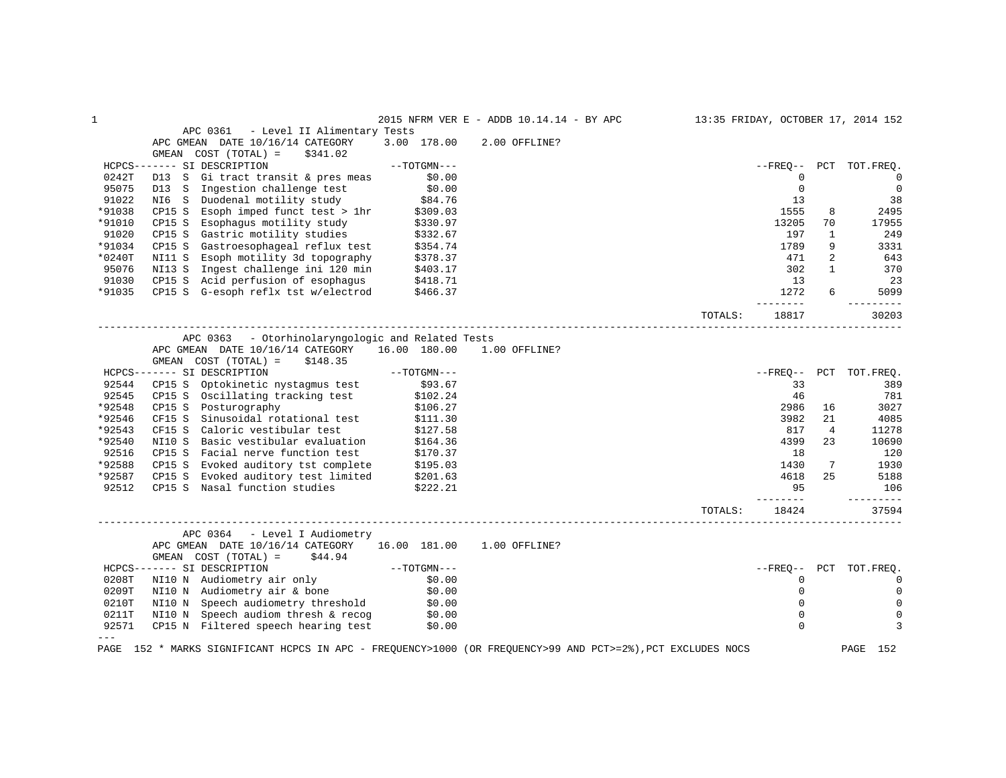| 1        |                                                                                                             |                        | 2015 NFRM VER E - ADDB 10.14.14 - BY APC |         |                |                | 13:35 FRIDAY, OCTOBER 17, 2014 152 |
|----------|-------------------------------------------------------------------------------------------------------------|------------------------|------------------------------------------|---------|----------------|----------------|------------------------------------|
|          | APC 0361<br>- Level II Alimentary Tests                                                                     |                        |                                          |         |                |                |                                    |
|          | APC GMEAN DATE 10/16/14 CATEGORY                                                                            | 3.00 178.00            | 2.00 OFFLINE?                            |         |                |                |                                    |
|          | $COST (TOTAL) =$<br>GMEAN<br>\$341.02                                                                       |                        |                                          |         |                |                |                                    |
|          | HCPCS------- SI DESCRIPTION                                                                                 | $--TOTGMN---$          |                                          |         | $--$ FREO $--$ | PCT            | TOT.FREO.                          |
| 0242T    | D13 S<br>Gi tract transit & pres meas                                                                       | \$0.00                 |                                          |         | 0              |                | $\overline{0}$                     |
| 95075    | Ingestion challenge test<br>D13 S                                                                           | \$0.00                 |                                          |         | $\mathbf 0$    |                | $\mathbf 0$                        |
| 91022    | NI6 S Duodenal motility study                                                                               | \$84.76                |                                          |         | 13             |                | 38                                 |
| *91038   | CP15 S Esoph imped funct test > 1hr                                                                         | \$309.03               |                                          |         | 1555           | 8              | 2495                               |
| *91010   | CP15 S<br>Esophagus motility study                                                                          | \$330.97               |                                          |         | 13205          | 70             | 17955                              |
| 91020    | CP15 S Gastric motility studies                                                                             | \$332.67               |                                          |         | 197            | $\mathbf{1}$   | 249                                |
| *91034   | CP15 S<br>Gastroesophageal reflux test                                                                      | \$354.74               |                                          |         | 1789           | 9              | 3331                               |
| $*0240T$ | NI11 S Esoph motility 3d topography                                                                         | \$378.37               |                                          |         | 471            | $\overline{2}$ | 643                                |
| 95076    | NI13 S Ingest challenge ini 120 min                                                                         | \$403.17               |                                          |         | 302            | $\mathbf{1}$   | 370                                |
| 91030    | CP15 S Acid perfusion of esophagus                                                                          | \$418.71               |                                          |         | 13             |                | 23                                 |
| *91035   | CP15 S G-esoph reflx tst w/electrod                                                                         | \$466.37               |                                          |         | 1272           | б.             | 5099                               |
|          |                                                                                                             |                        |                                          | TOTALS: | 18817          |                | $- - - - - -$<br>30203             |
|          |                                                                                                             |                        |                                          |         |                |                |                                    |
|          | APC 0363 - Otorhinolaryngologic and Related Tests                                                           |                        |                                          |         |                |                |                                    |
|          | APC GMEAN DATE 10/16/14 CATEGORY                                                                            | 16.00 180.00           | 1.00 OFFLINE?                            |         |                |                |                                    |
|          | \$148.35<br>GMEAN COST (TOTAL) =                                                                            |                        |                                          |         |                |                |                                    |
|          | HCPCS------- SI DESCRIPTION                                                                                 | $--TOTGMN---$          |                                          |         | --FREO--       |                | PCT TOT. FREO.                     |
| 92544    | Optokinetic nystagmus test<br>CP15 S                                                                        | \$93.67                |                                          |         | 33             |                | 389                                |
| 92545    | CP15 S Oscillating tracking test                                                                            | $$102.24$<br>$$106.27$ |                                          |         | 46             |                | 781                                |
| *92548   | CP15 S Posturography                                                                                        |                        |                                          |         | 2986           | 16             | 3027                               |
| *92546   | CF15 S<br>Sinusoidal rotational test                                                                        | \$111.30               |                                          |         | 3982           | 21             | 4085                               |
| *92543   | Caloric vestibular test<br>CF15 S                                                                           | \$127.58               |                                          |         | 817            | $\overline{4}$ | 11278                              |
| *92540   | Basic vestibular evaluation<br>NI10 S                                                                       | \$164.36               |                                          |         | 4399           | 23             | 10690                              |
| 92516    | CP15 S Facial nerve function test                                                                           | \$170.37               |                                          |         | 18             |                | 120                                |
| *92588   | CP15 S Evoked auditory tst complete \$195.03                                                                |                        |                                          |         | 1430           | 7              | 1930                               |
| *92587   | Evoked auditory test limited $$201.63$<br>CP15 S                                                            |                        |                                          |         | 4618           | 25             | 5188                               |
| 92512    | CP15 S Nasal function studies                                                                               | \$222.21               |                                          |         | 95<br>------   |                | 106<br>---------                   |
|          |                                                                                                             |                        |                                          | TOTALS: | 18424          |                | 37594                              |
|          | ___________________________________<br>APC 0364 - Level I Audiometry                                        |                        |                                          |         |                |                |                                    |
|          | APC GMEAN DATE 10/16/14 CATEGORY 16.00 181.00                                                               |                        | 1.00 OFFLINE?                            |         |                |                |                                    |
|          | GMEAN $COST (TOTAL) = $44.94$                                                                               |                        |                                          |         |                |                |                                    |
|          | HCPCS------- SI DESCRIPTION                                                                                 | $--TOTGMN---$          |                                          |         |                |                | --FREQ-- PCT TOT.FREQ.             |
| 0208T    | NI10 N Audiometry air only \$0.00                                                                           |                        |                                          |         | 0              |                | $\mathbf 0$                        |
| 0209T    | NI10 N Audiometry air & bone                                                                                | \$0.00                 |                                          |         | 0              |                | $\mathbf 0$                        |
| 0210T    | NI10 N Speech audiometry threshold \$0.00                                                                   |                        |                                          |         | 0              |                | 0                                  |
| 0211T    |                                                                                                             |                        |                                          |         | $\mathbf 0$    |                | 0                                  |
| 92571    | NI10 N Speech audiom thresh & recog \$0.00<br>CP15 N Filtered speech hearing test \$0.00                    |                        |                                          |         | $\Omega$       |                | 3                                  |
| $- - -$  |                                                                                                             |                        |                                          |         |                |                |                                    |
|          | PAGE 152 * MARKS SIGNIFICANT HCPCS IN APC - FREQUENCY>1000 (OR FREQUENCY>99 AND PCT>=2%), PCT EXCLUDES NOCS |                        |                                          |         |                |                | PAGE<br>152                        |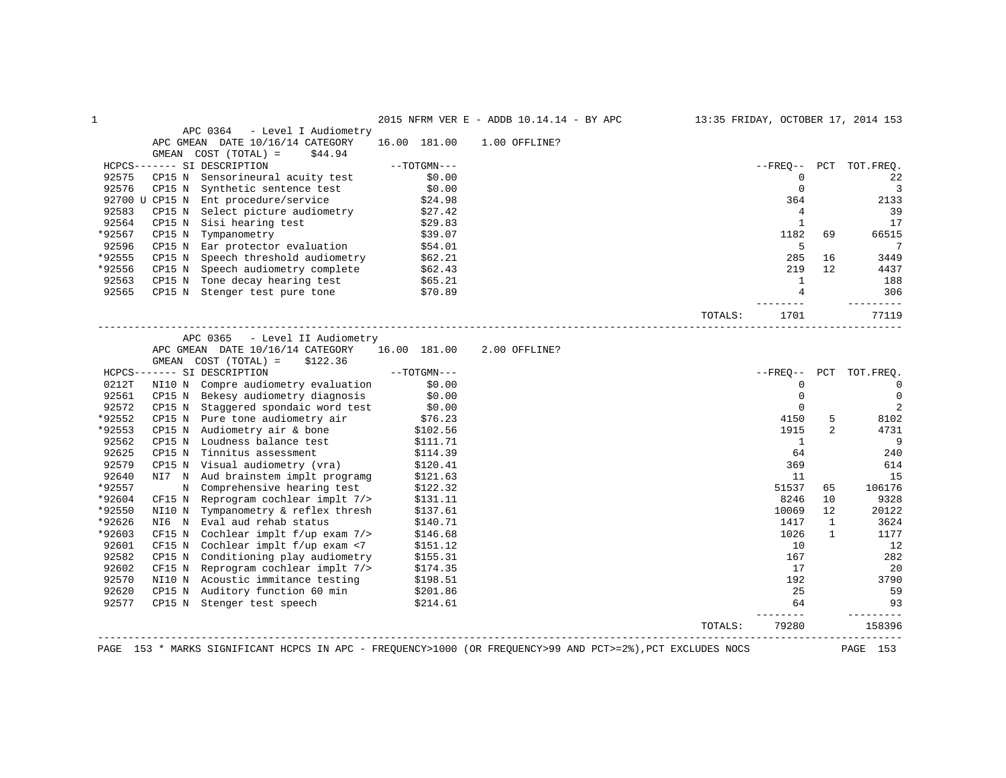|                                                                  |                |                             | 2015 NFRM VER E - ADDB 10.14.14 - BY APC 13:35 FRIDAY, OCTOBER 17, 2014 153 |               |                                                                                                                                                                                                                                                      |                |
|------------------------------------------------------------------|----------------|-----------------------------|-----------------------------------------------------------------------------|---------------|------------------------------------------------------------------------------------------------------------------------------------------------------------------------------------------------------------------------------------------------------|----------------|
|                                                                  |                |                             |                                                                             |               | APC 0364 - Level I Audiometry<br>APC GMEAN DATE 10/16/14 CATEGORY 16.00 181.00 1.00 OFFLINE?                                                                                                                                                         |                |
|                                                                  |                |                             |                                                                             |               | GMEAN $COST (TOTAL) = $44.94$                                                                                                                                                                                                                        |                |
|                                                                  |                | --FREO-- PCT TOT.FREO.      |                                                                             | $--TOTGMN---$ | HCPCS------- SI DESCRIPTION                                                                                                                                                                                                                          |                |
| 22                                                               |                | $\Omega$                    |                                                                             |               | CP15 N Sensorineural acuity test $$0.00$                                                                                                                                                                                                             | 92575          |
|                                                                  |                | $\mathbf 0$                 |                                                                             |               |                                                                                                                                                                                                                                                      |                |
| 2133                                                             |                | 364                         |                                                                             |               | 92576 CPI5 N Synthetic sentence test \$0.00<br>92700 U CPI5 N Synthetic sentence test \$0.00<br>92700 U CPI5 N Ent procedure/service \$24.98<br>92583 CPI5 N Select picture audiometry \$27.42<br>92564 CPI5 N Sisi hearing test \$29.83<br>9        |                |
| 39                                                               |                | $\overline{4}$              |                                                                             |               |                                                                                                                                                                                                                                                      |                |
| 17                                                               |                | $\overline{1}$              |                                                                             |               |                                                                                                                                                                                                                                                      |                |
| 66515                                                            | 69             | 1182                        |                                                                             |               |                                                                                                                                                                                                                                                      | *92567         |
| $\overline{7}$                                                   |                | $5^{\circ}$                 |                                                                             |               |                                                                                                                                                                                                                                                      |                |
| 16<br>3449                                                       |                | 285                         |                                                                             |               | CP15 N Speech threshold audiometry<br>CP15 N Speech audiometry complete \$62.21<br>CP15 N Tone decay hearing test \$65.21                                                                                                                            | *92555         |
| 4437                                                             | 12             | 219                         |                                                                             |               |                                                                                                                                                                                                                                                      | *92556         |
| 188                                                              |                | $\overline{1}$              |                                                                             |               |                                                                                                                                                                                                                                                      | 92563          |
| 306                                                              |                | $\overline{4}$              |                                                                             |               | CP15 N Stenger test pure tone \$70.89                                                                                                                                                                                                                | 92565          |
| 77119                                                            |                | 1701<br>TOTALS:             |                                                                             |               |                                                                                                                                                                                                                                                      |                |
|                                                                  |                |                             |                                                                             |               | APC GMEAN DATE 10/16/14 CATEGORY 16.00 181.00 2.00 OFFLINE?<br>$GMEAN$ $COST$ $(TOTAL) = $122.36$                                                                                                                                                    |                |
|                                                                  |                |                             |                                                                             |               |                                                                                                                                                                                                                                                      |                |
|                                                                  |                | --FREO-- PCT TOT.FREO.      |                                                                             |               | $HCPCS-----$ SI DESCRIPTION $---TOTGMN---$                                                                                                                                                                                                           |                |
|                                                                  |                | $\mathbf 0$                 |                                                                             |               | NI10 N Compre audiometry evaluation \$0.00                                                                                                                                                                                                           | 0212T          |
|                                                                  |                | $\overline{0}$              |                                                                             |               |                                                                                                                                                                                                                                                      | 92561          |
|                                                                  |                | $\mathbf 0$                 |                                                                             |               | CP15 N Bekesy audiometry diagnosis \$0.00<br>CP15 N Staggered spondaic word test \$0.00                                                                                                                                                              | 92572          |
|                                                                  | 5              | 4150                        |                                                                             |               |                                                                                                                                                                                                                                                      | *92552         |
|                                                                  | $\overline{2}$ | 1915                        |                                                                             |               |                                                                                                                                                                                                                                                      | *92553         |
|                                                                  |                | $\overline{1}$              |                                                                             |               |                                                                                                                                                                                                                                                      | 92562          |
|                                                                  |                | 64                          |                                                                             |               |                                                                                                                                                                                                                                                      | 92625          |
| 8102<br>4731<br>- 9<br>240<br>614                                |                | 369                         |                                                                             |               |                                                                                                                                                                                                                                                      | 92579          |
|                                                                  |                | 11                          |                                                                             |               | CP15 N Pure tone audiometry air (\$76.23<br>CP15 N Audiometry air (\$76.23<br>CP15 N Loudness balance test (\$102.56<br>CP15 N Tinnitus assessment (\$111.71<br>CP15 N Visual audiometry (vra) (\$120.41<br>TRI N Wall audiometry (wra) (\$120       | 92640          |
|                                                                  | 65             | 51537                       |                                                                             |               |                                                                                                                                                                                                                                                      | *92557         |
|                                                                  | 10             | 8246                        |                                                                             |               |                                                                                                                                                                                                                                                      | *92604         |
|                                                                  | 12             | 10069                       |                                                                             |               |                                                                                                                                                                                                                                                      | *92550         |
|                                                                  | $\mathbf{1}$   | 1417                        |                                                                             |               |                                                                                                                                                                                                                                                      | *92626         |
|                                                                  | 1              | 1026                        |                                                                             |               |                                                                                                                                                                                                                                                      | *92603         |
|                                                                  |                | 10                          |                                                                             |               | NI7 N Audi audiometry (via)<br>NI7 N Audi brainstem implier<br>N Comprehensive hearing test \$122.32<br>CF15 N Reprogram cochlear implt 7/> \$131.11<br>NI10 N Tympanometry & reflex thresh \$137.61<br>NI6 N Eval aud rehab status \$140.71<br>CF15 | 92601          |
|                                                                  |                | 167                         |                                                                             |               |                                                                                                                                                                                                                                                      | 92582          |
| 15<br>106176<br>9328<br>20122<br>3624<br>1177<br>12<br>282<br>20 |                | 17                          |                                                                             |               |                                                                                                                                                                                                                                                      | 92602          |
| 3790                                                             |                | 192                         |                                                                             |               |                                                                                                                                                                                                                                                      | 92570          |
| 59<br>93<br>---------                                            |                | 25<br>64<br><u>________</u> |                                                                             |               | CP15 N Conditioning play audiometry \$155.31<br>CP15 N Reprogram cochlear implt 7/> \$174.35<br>NI10 N Acoustic immitance testing \$198.51<br>CP15 N Auditory function 60 min \$201.86<br>CP15 N Stenger test speech \$214.61                        | 92620<br>92577 |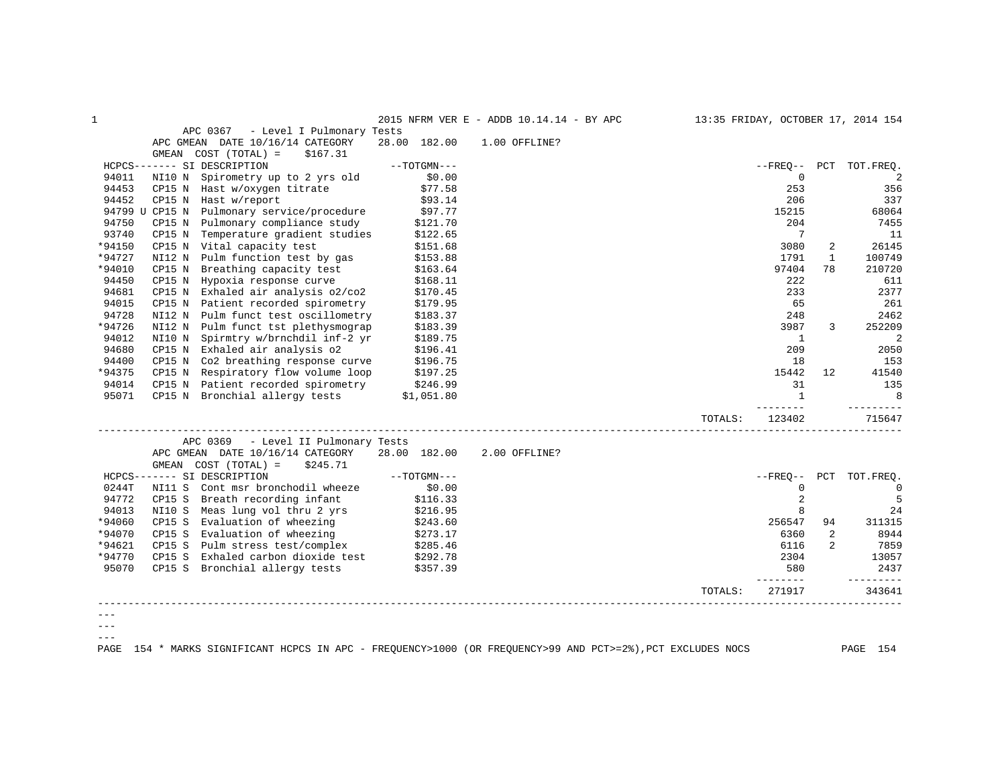|        |                                                                                                      |                        | 2015 NFRM VER E - ADDB 10.14.14 - BY APC |         |                 |                | 13:35 FRIDAY, OCTOBER 17, 2014 154 |
|--------|------------------------------------------------------------------------------------------------------|------------------------|------------------------------------------|---------|-----------------|----------------|------------------------------------|
|        | APC 0367 - Level I Pulmonary Tests                                                                   |                        |                                          |         |                 |                |                                    |
|        | APC GMEAN DATE 10/16/14 CATEGORY                                                                     | 28.00 182.00           | 1.00 OFFLINE?                            |         |                 |                |                                    |
|        | GMEAN COST (TOTAL) =<br>\$167.31                                                                     |                        |                                          |         |                 |                |                                    |
|        | HCPCS------- SI DESCRIPTION                                                                          | --TOTGMN---            |                                          |         |                 |                | --FREQ-- PCT TOT.FREQ.             |
| 94011  | NI10 N Spirometry up to 2 yrs old                                                                    | \$0.00                 |                                          |         | $\mathbf 0$     |                | 2                                  |
| 94453  | CP15 N Hast w/oxygen titrate                                                                         | \$77.58                |                                          |         | 253             |                | 356                                |
| 94452  | CP15 N Hast w/report                                                                                 | \$93.14                |                                          |         | 206             |                | 337                                |
|        | 94799 U CP15 N Pulmonary service/procedure \$97.77                                                   |                        |                                          |         | 15215           |                | 68064                              |
| 94750  | CP15 N Pulmonary compliance study                                                                    | \$121.70               |                                          |         | 204             |                | 7455                               |
| 93740  | Temperature gradient studies<br>CP15 N                                                               | \$122.65               |                                          |         | 7               |                | 11                                 |
| *94150 | CP15 N Vital capacity test                                                                           | \$151.68               |                                          |         | 3080            | 2              | 26145                              |
| *94727 | NI12 N Pulm function test by gas                                                                     | \$153.88               |                                          |         | 1791            | $\mathbf{1}$   | 100749                             |
| *94010 | CP15 N Breathing capacity test                                                                       | \$163.64               |                                          |         | 97404           | 78             | 210720                             |
| 94450  | Hypoxia response curve<br>CP15 N                                                                     | \$168.11               |                                          |         | 222             |                | 611                                |
| 94681  | Exhaled air analysis o2/co2<br>CP15 N                                                                | \$170.45               |                                          |         | 233             |                | 2377                               |
| 94015  | CP15 N Patient recorded spirometry                                                                   | \$179.95               |                                          |         | 65              |                | 261                                |
| 94728  | NI12 N<br>Pulm funct test oscillometry                                                               | \$183.37               |                                          |         | 248             |                | 2462                               |
| *94726 | NI12 N Pulm funct tst plethysmograp                                                                  | \$183.39               |                                          |         | 3987            | 3              | 252209                             |
| 94012  | NI10 N<br>Spirmtry w/brnchdil inf-2 yr                                                               | \$189.75               |                                          |         | $\mathbf{1}$    |                | 2                                  |
| 94680  | CP15 N Exhaled air analysis o2                                                                       | \$196.41               |                                          |         | 209             |                | 2050                               |
| 94400  | CP15 N Co2 breathing response curve                                                                  | \$196.75               |                                          |         | 18              |                | 153                                |
| *94375 | Respiratory flow volume loop<br>CP15 N                                                               | \$197.25               |                                          |         | 15442           | 12             | 41540                              |
|        |                                                                                                      |                        |                                          |         | 31              |                | 135                                |
|        | 94014 CP15 N Patient recorded spirometry \$246.99<br>95071 CP15 N Bronchial allergy tests \$1,051.80 |                        |                                          |         | $\mathbf{1}$    |                | 8                                  |
|        |                                                                                                      |                        |                                          |         | --------        |                | ---------                          |
|        |                                                                                                      |                        |                                          | TOTALS: | 123402          |                | 715647                             |
|        | APC 0369 - Level II Pulmonary Tests                                                                  |                        |                                          |         |                 |                |                                    |
|        | APC GMEAN DATE 10/16/14 CATEGORY 28.00 182.00                                                        |                        | 2.00 OFFLINE?                            |         |                 |                |                                    |
|        | GMEAN $COST (TOTAL) = $245.71$                                                                       |                        |                                          |         |                 |                |                                    |
|        | HCPCS------- SI DESCRIPTION                                                                          | $--\texttt{TOTGMN}---$ |                                          |         |                 |                | --FREO-- PCT TOT.FREO.             |
| 0244T  | NI11 S Cont msr bronchodil wheeze                                                                    | \$0.00                 |                                          |         | $\mathbf{0}$    |                | $\Omega$                           |
| 94772  | CP15 S Breath recording infant                                                                       | \$116.33<br>\$216.95   |                                          |         | 2               |                | 5                                  |
| 94013  | NI10 S Meas lung vol thru 2 yrs                                                                      |                        |                                          |         | 8               |                | 24                                 |
| *94060 | CP15 S Evaluation of wheezing \$243.60                                                               |                        |                                          |         | 256547          | 94             | 311315                             |
| *94070 | CP15 S Evaluation of wheezing<br>CP15 S Pulm stress test/complex                                     | \$273.17<br>\$285.46   |                                          |         | 6360            | 2              | 8944                               |
| *94621 |                                                                                                      |                        |                                          |         | 6116            | $\overline{2}$ | 7859                               |
| *94770 | CP15 S<br>Exhaled carbon dioxide test \$292.78                                                       |                        |                                          |         | 2304            |                | 13057                              |
| 95070  | CP15 S Bronchial allergy tests                                                                       | \$357.39               |                                          |         | 580<br>-------- |                | 2437<br><u>_________</u>           |
|        |                                                                                                      |                        |                                          | TOTALS: | 271917          |                | 343641                             |
|        |                                                                                                      |                        |                                          |         |                 |                |                                    |
|        |                                                                                                      |                        |                                          |         |                 |                |                                    |
|        |                                                                                                      |                        |                                          |         |                 |                |                                    |
|        |                                                                                                      |                        |                                          |         |                 |                |                                    |
|        |                                                                                                      |                        |                                          |         |                 |                |                                    |

PAGE 154 \* MARKS SIGNIFICANT HCPCS IN APC - FREQUENCY>1000 (OR FREQUENCY>99 AND PCT>=2%),PCT EXCLUDES NOCS PAGE 154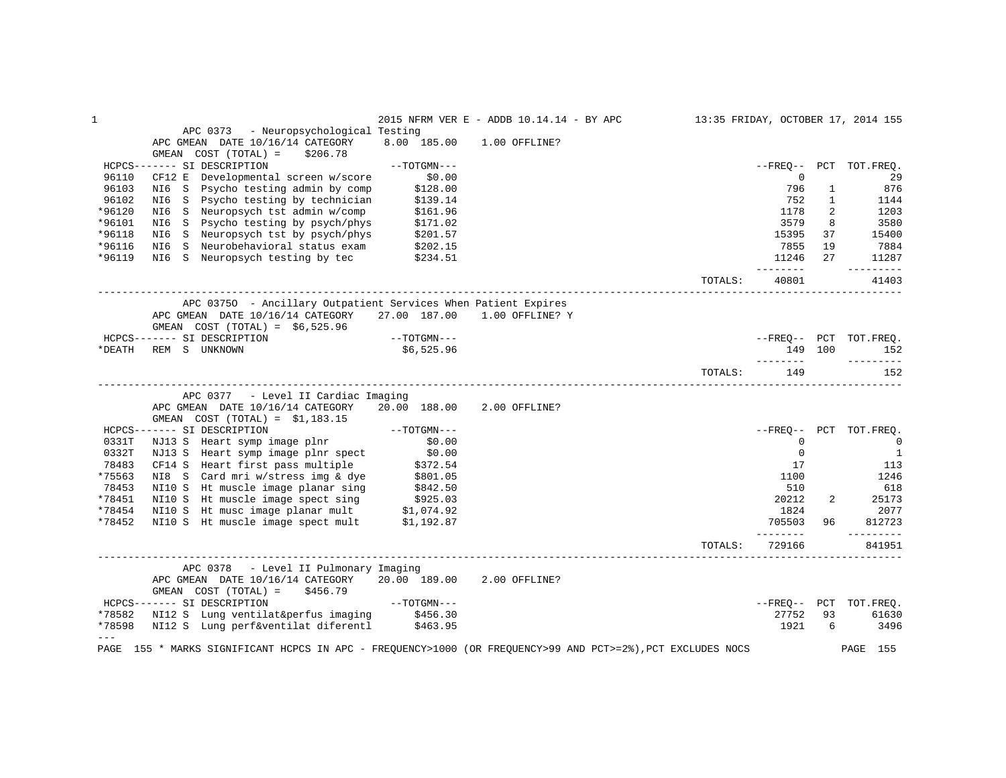| $\mathbf{1}$     |                                                                                                        |                      | 2015 NFRM VER E - ADDB 10.14.14 - BY APC |         |                |                | 13:35 FRIDAY, OCTOBER 17, 2014 155 |
|------------------|--------------------------------------------------------------------------------------------------------|----------------------|------------------------------------------|---------|----------------|----------------|------------------------------------|
|                  | APC 0373 - Neuropsychological Testing                                                                  |                      |                                          |         |                |                |                                    |
|                  | APC GMEAN DATE 10/16/14 CATEGORY                                                                       | 8.00 185.00          | 1.00 OFFLINE?                            |         |                |                |                                    |
|                  | GMEAN COST (TOTAL) =<br>\$206.78                                                                       |                      |                                          |         |                |                |                                    |
|                  | HCPCS------- SI DESCRIPTION                                                                            | $--TOTGMN---$        |                                          |         |                |                | --FREO-- PCT TOT.FREO.             |
| 96110            | CF12 E<br>Developmental screen w/score                                                                 | \$0.00               |                                          |         | $\mathbf 0$    |                | 29                                 |
| 96103            | Psycho testing admin by comp<br>NI6 S                                                                  | \$128.00             |                                          |         | 796            | $\mathbf{1}$   | 876                                |
| 96102            | Psycho testing by technician<br>NI6 S                                                                  | \$139.14             |                                          |         | 752            | $\mathbf{1}$   | 1144                               |
| *96120           | NI6 S Neuropsych tst admin w/comp                                                                      | \$161.96             |                                          |         | 1178           | $\overline{2}$ | 1203                               |
| *96101           | NI6 S Psycho testing by psych/phys                                                                     | \$171.02             |                                          |         | 3579           | 8              | 3580                               |
| *96118           | NI6 S Neuropsych tst by psych/phys                                                                     | \$201.57             |                                          |         | 15395          | 37             | 15400                              |
| *96116           | Neurobehavioral status exam<br>NI6<br>S                                                                | \$202.15             |                                          |         | 7855           | 19             | 7884                               |
| *96119           | NI6 S Neuropsych testing by tec                                                                        | \$234.51             |                                          |         | 11246          | 27             | 11287                              |
|                  |                                                                                                        |                      |                                          |         | --------       |                | ---------                          |
|                  |                                                                                                        |                      |                                          | TOTALS: | 40801          |                | 41403                              |
|                  | APC 03750 - Ancillary Outpatient Services When Patient Expires                                         |                      |                                          |         |                |                |                                    |
|                  | APC GMEAN DATE 10/16/14 CATEGORY 27.00 187.00 1.00 OFFLINE? Y                                          |                      |                                          |         |                |                |                                    |
|                  | GMEAN $COST (TOTAL) = $6,525.96$                                                                       |                      |                                          |         |                |                |                                    |
|                  | HCPCS------- SI DESCRIPTION                                                                            | --TOTGMN---          |                                          |         |                |                | --FREO-- PCT TOT.FREO.             |
| *DEATH           | REM S UNKNOWN                                                                                          | \$6,525.96           |                                          |         |                | 149 100        | 152                                |
|                  |                                                                                                        |                      |                                          |         | ---------      |                | ----------                         |
|                  |                                                                                                        |                      |                                          | TOTALS: | 149            |                | 152                                |
|                  | APC 0377 - Level II Cardiac Imaging                                                                    |                      |                                          |         |                |                |                                    |
|                  | APC GMEAN DATE 10/16/14 CATEGORY                                                                       | 20.00 188.00         | 2.00 OFFLINE?                            |         |                |                |                                    |
|                  | GMEAN COST $(TOTAL) = $1,183.15$                                                                       |                      |                                          |         |                |                |                                    |
|                  | HCPCS------- SI DESCRIPTION                                                                            | $--TOTGMN---$        |                                          |         |                |                | --FREQ-- PCT TOT.FREQ.             |
| 0331T            | NJ13 S Heart symp image plnr                                                                           | \$0.00               |                                          |         | 0              |                | $\overline{0}$                     |
| 0332T            | NJ13 S Heart symp image plnr spect                                                                     | \$0.00               |                                          |         | $\Omega$       |                | $\overline{1}$                     |
| 78483            | CF14 S Heart first pass multiple                                                                       | \$372.54             |                                          |         | 17             |                | 113                                |
| *75563           | NI8 S Card mri w/stress img & dye                                                                      |                      |                                          |         | 1100           |                | 1246                               |
| 78453            | NI10 S Ht muscle image planar sing                                                                     | \$801.05<br>\$842.50 |                                          |         | 510            |                | 618                                |
| *78451           |                                                                                                        |                      |                                          |         | 20212          | 2              | 25173                              |
|                  | NI10 S Ht muscle image spect sing \$925.03<br>NI10 S Ht musc image planar mult \$1,074.92              |                      |                                          |         |                |                | 2077                               |
| *78454<br>*78452 | NI10 S Ht muscle image spect mult \$1,192.87                                                           |                      |                                          |         | 1824<br>705503 | 96             | 812723                             |
|                  |                                                                                                        |                      |                                          |         | ---------      |                | ----------                         |
|                  |                                                                                                        |                      |                                          | TOTALS: | 729166         |                | 841951                             |
|                  | APC 0378 - Level II Pulmonary Imaging                                                                  |                      |                                          |         |                |                |                                    |
|                  | APC GMEAN DATE 10/16/14 CATEGORY<br>GMEAN COST (TOTAL) =<br>\$456.79                                   | 20.00 189.00         | 2.00 OFFLINE?                            |         |                |                |                                    |
|                  | HCPCS------- SI DESCRIPTION                                                                            | --TOTGMN---          |                                          |         | $--FRED--$ PCT |                | TOT.FREO.                          |
| *78582           | NI12 S Lung ventilat&perfus imaging                                                                    | \$456.30             |                                          |         | 27752          | 93             | 61630                              |
| *78598           | NI12 S Lung perf&ventilat diferentl                                                                    | \$463.95             |                                          |         | 1921           | 6              | 3496                               |
| $- - -$          |                                                                                                        |                      |                                          |         |                |                |                                    |
| PAGE             | 155 * MARKS SIGNIFICANT HCPCS IN APC - FREQUENCY>1000 (OR FREQUENCY>99 AND PCT>=2%), PCT EXCLUDES NOCS |                      |                                          |         |                |                | PAGE<br>155                        |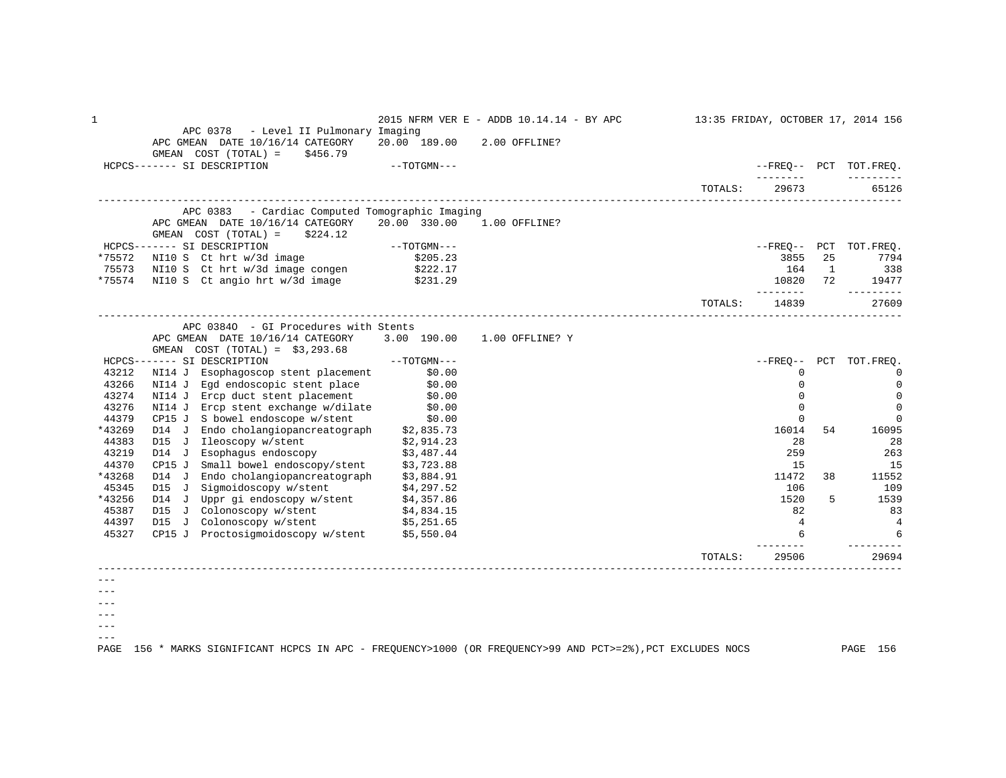1 2015 NFRM VER E - ADDB 10.14.14 - BY APC 13:35 FRIDAY, OCTOBER 17, 2014 156 APC 0378 - Level II Pulmonary Imaging APC GMEAN DATE 10/16/14 CATEGORY 20.00 189.00 2.00 OFFLINE? GMEAN COST (TOTAL) = \$456.79<br>HCPCS------- SI DESCRIPTION  $-$ -TOTGMN---  $\blacksquare$  -------- --------- TOTALS: 29673 65126 ------------------------------------------------------------------------------------------------------------------------------------ APC 0383 - Cardiac Computed Tomographic Imaging APC GMEAN DATE 10/16/14 CATEGORY 20.00 330.00 1.00 OFFLINE? GMEAN COST (TOTAL) = \$224.12 HCPCS------- SI DESCRIPTION --TOTGMN--- --FREQ-- PCT TOT.FREQ. \*75572 NI10 S Ct hrt w/3d image \$205.23 3855 25 7794 75573 NI10 S Ct hrt w/3d image congen \$222.17 164 1 338 \*75574 NI10 S Ct angio hrt w/3d image \$231.29 10820 72 19477 -------- --------- TOTALS: 14839 27609 ------------------------------------------------------------------------------------------------------------------------------------ APC 0384O - GI Procedures with Stents APC GMEAN DATE 10/16/14 CATEGORY 3.00 190.00 1.00 OFFLINE? Y GMEAN COST (TOTAL) = \$3,293.68<br>HCPCS------- SI DESCRIPTION HCPCS------- SI DESCRIPTION --TOTGMN--- --FREQ-- PCT TOT.FREQ. 43212 NI14 J Esophagoscop stent placement \$0.00 0 0 43266 NI14 J Egd endoscopic stent place \$0.00 \$0.00 \$1.000 \$1.000 \$1.000 \$1.000 \$1.000 \$1.000 \$1.000 \$1.000 \$1 43274 NI14 J Ercp duct stent placement \$0.00 \$0.00 \$1,000 \$1,000 \$1,000 \$1,000 \$1,000 \$1,000 \$1,000 \$1,000 \$1,000 \$1,000 \$1,000 \$1,000 \$1,000 \$1,000 \$1,000 \$1,000 \$1,000 \$1,000 \$1,000 \$1,000 \$1,000 \$1,000 \$1,000 \$1,000 \$1, 43276 NI14 J Ercp stent exchange w/dilate \$0.00 0 0 44379 CP15 J S bowel endoscope w/stent \$0.00 0 0 \*43269 D14 J Endo cholangiopancreatograph \$2,835.73 16014 54 16095 44383 D15 J Ileoscopy w/stent \$2,914.23 28 28 43219 D14 J Esophagus endoscopy \$3,487.44 259 263 41370 CP15 J Small bowel endoscopy/stent \$3,723.88 15 15 15 15 15<br>11472 38 11552 11552 11552 11552 11552 11552 11552 \*43268 D14 J Endo cholangiopancreatograph \$3,884.91 11472 38 11552 45345 D15 J Sigmoidoscopy w/stent \$4,297.52 (43256 PD 106 109)<br>1526 D14 J Uppr gi endoscopy w/stent \$4,357.86 (43256 PD 1520 5 1539 PD 1539 PD 1539 PD 1539 PD 1539 PD 1539 \*43256 D14 J Uppr gi endoscopy w/stent \$4,357.86 1520 5 1539 45387 D15 J Colonoscopy w/stent \$4,834.15 82 83 44397 D15 J Colonoscopy w/stent \$5,251.65 4 4 45327 CP15 J Proctosigmoidoscopy w/stent \$5,550.04 6 6 -------- --------- TOTALS: 29506 29694 ------------------------------------------------------------------------------------------------------------------------------------ ---

 $- - -$ 

 $---$ 

 $---$ ---

PAGE 156 \* MARKS SIGNIFICANT HCPCS IN APC - FREQUENCY>1000 (OR FREQUENCY>99 AND PCT>=2%),PCT EXCLUDES NOCS PAGE 156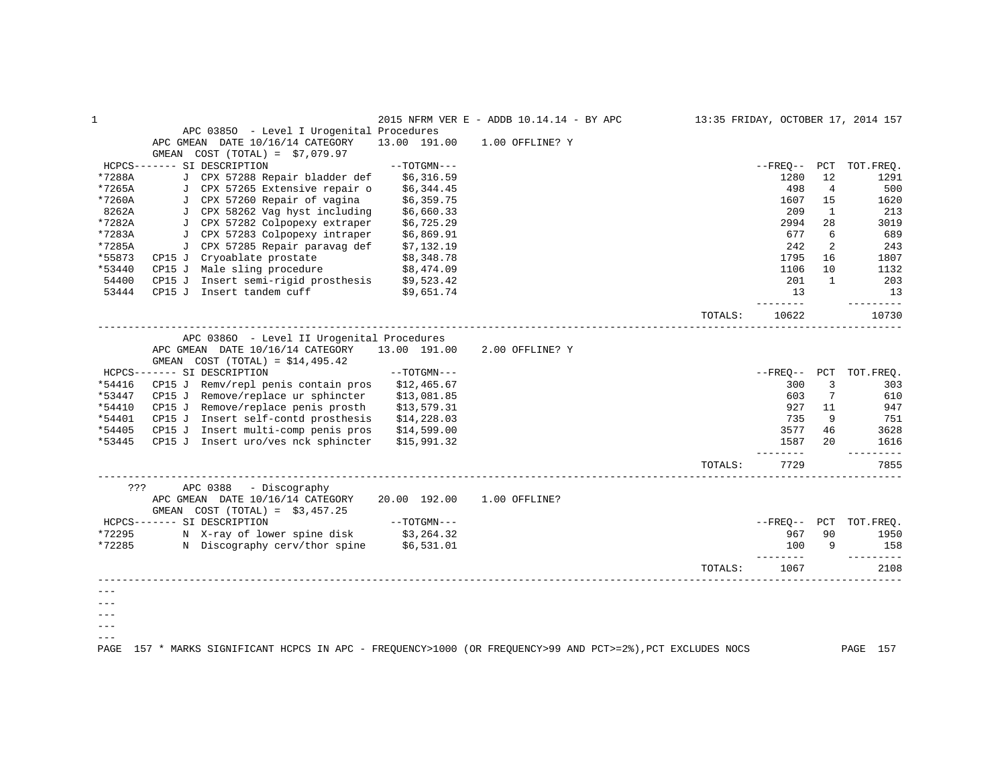| 1      |                                                                                                        |               | 2015 NFRM VER E - ADDB 10.14.14 - BY APC |         |                |                | 13:35 FRIDAY, OCTOBER 17, 2014 157 |
|--------|--------------------------------------------------------------------------------------------------------|---------------|------------------------------------------|---------|----------------|----------------|------------------------------------|
|        | APC 03850 - Level I Urogenital Procedures                                                              |               |                                          |         |                |                |                                    |
|        | APC GMEAN DATE 10/16/14 CATEGORY                                                                       | 13.00 191.00  | 1.00 OFFLINE? Y                          |         |                |                |                                    |
|        | GMEAN $COST (TOTAL) = $7,079.97$                                                                       |               |                                          |         |                |                |                                    |
|        | HCPCS------- SI DESCRIPTION                                                                            | $--TOTGMN---$ |                                          |         | --FREO--       |                | PCT TOT. FREO.                     |
| *7288A | J CPX 57288 Repair bladder def                                                                         | \$6,316.59    |                                          |         | 1280           | 12             | 1291                               |
| *7265A | J CPX 57265 Extensive repair o                                                                         | \$6,344.45    |                                          |         | 498            | $\overline{4}$ | 500                                |
| *7260A | J CPX 57260 Repair of vagina                                                                           | \$6,359.75    |                                          |         | 1607           | 15             | 1620                               |
| 8262A  | J CPX 58262 Vag hyst including                                                                         | \$6,660.33    |                                          |         | 209            | 1              | 213                                |
| *7282A | J CPX 57282 Colpopexy extraper                                                                         | \$6,725.29    |                                          |         | 2994           | 28             | 3019                               |
| *7283A | J CPX 57283 Colpopexy intraper                                                                         | \$6,869.91    |                                          |         | 677            | 6              | 689                                |
| *7285A | J CPX 57285 Repair paravag def                                                                         | \$7,132.19    |                                          |         | 242            | 2              | 243                                |
| *55873 | CP15 J Cryoablate prostate                                                                             | \$8,348.78    |                                          |         | 1795           | 16             | 1807                               |
| *53440 | CP15 J Male sling procedure                                                                            | \$8,474.09    |                                          |         | 1106           | 10             | 1132                               |
| 54400  | CP15 J Insert semi-rigid prosthesis \$9,523.42                                                         |               |                                          |         | 201            | 1              | 203                                |
| 53444  | CP15 J Insert tandem cuff                                                                              | \$9,651.74    |                                          |         | 13             |                | 13                                 |
|        |                                                                                                        |               |                                          |         | --------       |                | ---------                          |
|        |                                                                                                        |               |                                          | TOTALS: | 10622          |                | 10730                              |
|        | APC 03860 - Level II Urogenital Procedures                                                             |               |                                          |         |                |                |                                    |
|        | APC GMEAN DATE 10/16/14 CATEGORY                                                                       | 13.00 191.00  | 2.00 OFFLINE? Y                          |         |                |                |                                    |
|        | GMEAN $COST (TOTAL) = $14,495.42$                                                                      |               |                                          |         |                |                |                                    |
|        | HCPCS------- SI DESCRIPTION                                                                            | $--TOTGMN---$ |                                          |         | --FREO--       | PCT            | TOT.FREQ.                          |
| *54416 | CP15 J Remv/repl penis contain pros                                                                    | \$12,465.67   |                                          |         | 300            | 3              | 303                                |
| *53447 | CP15 J Remove/replace ur sphincter                                                                     | \$13,081.85   |                                          |         | 603            | 7              | 610                                |
| *54410 | CP15 J Remove/replace penis prosth                                                                     | \$13,579.31   |                                          |         | 927            | 11             | 947                                |
| *54401 | CP15 J Insert self-contd prosthesis                                                                    | \$14, 228.03  |                                          |         | 735            | 9              | 751                                |
| *54405 | CP15 J Insert multi-comp penis pros                                                                    |               |                                          |         | 3577           | 46             | 3628                               |
|        |                                                                                                        | \$14,599.00   |                                          |         |                | $20^{\circ}$   |                                    |
| *53445 | CP15 J Insert uro/ves nck sphincter                                                                    | \$15,991.32   |                                          |         | 1587<br>------ |                | 1616<br>$- - - - -$                |
|        |                                                                                                        |               |                                          | TOTALS: | 7729           |                | 7855                               |
| ???    | APC 0388<br>- Discography                                                                              |               |                                          |         |                |                |                                    |
|        | APC GMEAN DATE 10/16/14 CATEGORY                                                                       | 20.00 192.00  | 1.00 OFFLINE?                            |         |                |                |                                    |
|        | GMEAN COST $(TOTAL) = $3,457.25$                                                                       |               |                                          |         |                |                |                                    |
|        | HCPCS------- SI DESCRIPTION                                                                            | $--TOTGMN---$ |                                          |         |                |                | --FREQ-- PCT TOT.FREQ.             |
| *72295 |                                                                                                        |               |                                          |         | 967            | 90             | 1950                               |
| *72285 | N X-ray of lower spine disk \$3,264.32<br>N Discography cerv/thor spine \$6,531.01                     |               |                                          |         | 100            | 9              | 158                                |
|        |                                                                                                        |               |                                          |         | --------       |                | ---------                          |
|        |                                                                                                        |               |                                          | TOTALS: | 1067           |                | 2108                               |
|        |                                                                                                        |               |                                          |         |                |                |                                    |
|        |                                                                                                        |               |                                          |         |                |                |                                    |
|        |                                                                                                        |               |                                          |         |                |                |                                    |
|        |                                                                                                        |               |                                          |         |                |                |                                    |
|        |                                                                                                        |               |                                          |         |                |                |                                    |
| PAGE   | 157 * MARKS SIGNIFICANT HCPCS IN APC - FREQUENCY>1000 (OR FREQUENCY>99 AND PCT>=2%), PCT EXCLUDES NOCS |               |                                          |         |                |                | PAGE 157                           |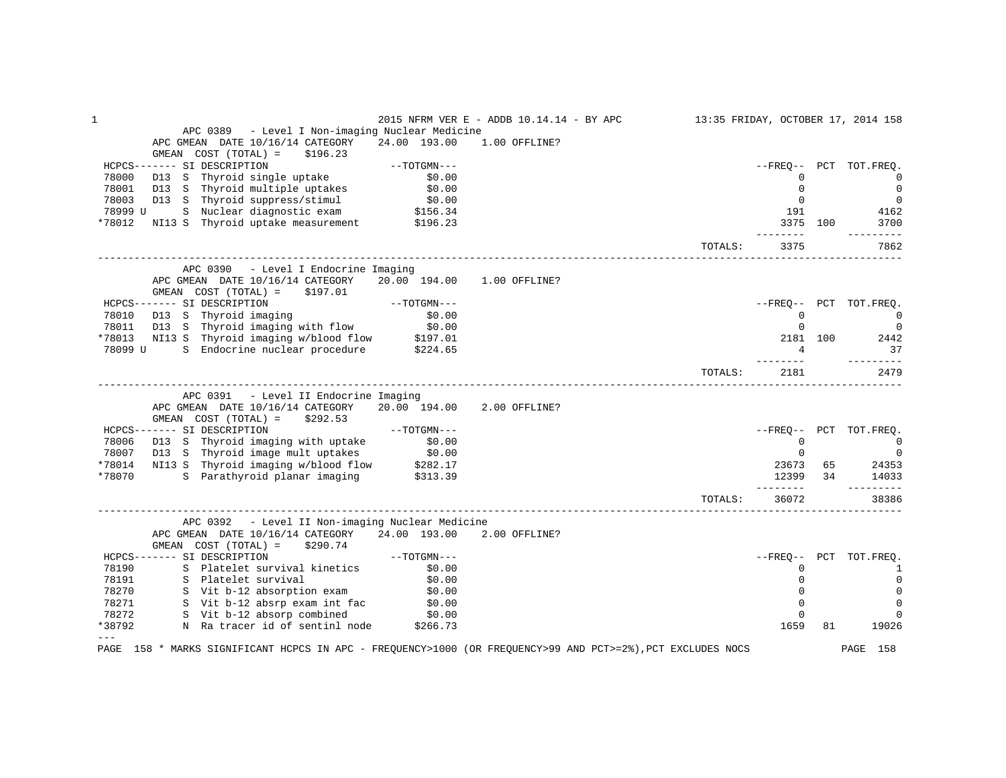| 1       |                                                                                                             |                        | 2015 NFRM VER E - ADDB 10.14.14 - BY APC |         |                     |     | 13:35 FRIDAY, OCTOBER 17, 2014 158 |
|---------|-------------------------------------------------------------------------------------------------------------|------------------------|------------------------------------------|---------|---------------------|-----|------------------------------------|
|         | - Level I Non-imaging Nuclear Medicine<br>APC 0389                                                          |                        |                                          |         |                     |     |                                    |
|         | APC GMEAN DATE 10/16/14 CATEGORY                                                                            | 24.00 193.00           | 1.00 OFFLINE?                            |         |                     |     |                                    |
|         | GMEAN COST (TOTAL) =<br>\$196.23                                                                            |                        |                                          |         |                     |     |                                    |
|         | HCPCS------- SI DESCRIPTION                                                                                 | --TOTGMN---            |                                          |         |                     |     | --FREO-- PCT TOT.FREO.             |
| 78000   | D13 S Thyroid single uptake                                                                                 | \$0.00                 |                                          |         | $\Omega$            |     | $\Omega$                           |
| 78001   | D13 S Thyroid multiple uptakes                                                                              | \$0.00<br>\$0.00       |                                          |         | $\mathbf 0$         |     | $\mathbf 0$                        |
| 78003   | D13 S Thyroid suppress/stimul                                                                               |                        |                                          |         | $\mathbf 0$         |     | $\overline{0}$                     |
| 78999 U | S Nuclear diagnostic exam \$156.34                                                                          |                        |                                          |         | 191                 |     | 4162                               |
| *78012  | NI13 S Thyroid uptake measurement \$196.23                                                                  |                        |                                          |         | 3375 100<br>------- |     | 3700<br>-------                    |
|         |                                                                                                             |                        |                                          | TOTALS: | 3375                |     | 7862                               |
|         | APC 0390 - Level I Endocrine Imaging                                                                        |                        |                                          |         |                     |     |                                    |
|         | APC GMEAN DATE 10/16/14 CATEGORY<br>GMEAN $COST (TOTAL) = $197.01$                                          | 20.00 194.00           | 1.00 OFFLINE?                            |         |                     |     |                                    |
|         | HCPCS------- SI DESCRIPTION                                                                                 | $--\mathrm{TOTGMN---}$ |                                          |         |                     |     | --FREO-- PCT TOT.FREO.             |
| 78010   | D13 S Thyroid imaging<br>D13 S Thyroid imaging with flow                                                    | \$0.00                 |                                          |         | $\mathbf 0$         |     | $\overline{0}$                     |
| 78011   |                                                                                                             | \$0.00                 |                                          |         | $\mathbf 0$         |     | $\mathbf{0}$                       |
|         | *78013 NI13 S Thyroid imaging w/blood flow \$197.01                                                         |                        |                                          |         | 2181 100            |     | 2442                               |
| 78099 U | S Endocrine nuclear procedure \$224.65                                                                      |                        |                                          |         | 4                   |     | 37                                 |
|         |                                                                                                             |                        |                                          |         | ---------           |     | ----------                         |
|         |                                                                                                             |                        |                                          | TOTALS: | 2181                |     | 2479                               |
|         | - Level II Endocrine Imaging<br>APC 0391                                                                    |                        |                                          |         |                     |     |                                    |
|         | APC GMEAN DATE 10/16/14 CATEGORY 20.00 194.00                                                               |                        | 2.00 OFFLINE?                            |         |                     |     |                                    |
|         | GMEAN COST (TOTAL) =<br>\$292.53                                                                            |                        |                                          |         |                     |     |                                    |
|         | HCPCS------- SI DESCRIPTION                                                                                 | --TOTGMN---            |                                          |         | --FREO--            |     | PCT TOT.FREQ.                      |
| 78006   | D13 S Thyroid imaging with uptake \$0.00                                                                    |                        |                                          |         | $\Omega$            |     | $\overline{0}$                     |
|         | 78007 D13 S Thyroid image mult uptakes \$0.00<br>*78014 NI13 S Thyroid imaging w/blood flow \$282.17        |                        |                                          |         | $\Omega$            |     | $\overline{0}$                     |
|         |                                                                                                             |                        |                                          |         | 23673               | 65  | 24353                              |
| *78070  | S Parathyroid planar imaging \$313.39                                                                       |                        |                                          |         | 12399               | 34  | 14033                              |
|         |                                                                                                             |                        |                                          |         | .                   |     | .                                  |
|         |                                                                                                             |                        |                                          | TOTALS: | 36072               |     | 38386                              |
|         | - Level II Non-imaging Nuclear Medicine<br>APC 0392                                                         |                        |                                          |         |                     |     |                                    |
|         | APC GMEAN DATE 10/16/14 CATEGORY                                                                            | 24.00 193.00           | 2.00 OFFLINE?                            |         |                     |     |                                    |
|         | GMEAN COST (TOTAL) =<br>\$290.74                                                                            |                        |                                          |         |                     |     |                                    |
|         | $--TOTGMN---$<br>HCPCS------- SI DESCRIPTION                                                                |                        |                                          |         | $- FREO--$          | PCT | TOT.FREO.                          |
| 78190   | S Platelet survival kinetics                                                                                | \$0.00                 |                                          |         | 0                   |     | 1                                  |
| 78191   | S Platelet survival                                                                                         | \$0.00                 |                                          |         | $\Omega$            |     | $\mathbf 0$                        |
| 78270   | S Vit b-12 absorption exam                                                                                  | \$0.00                 |                                          |         | $\mathbf 0$         |     | $\mathbf 0$                        |
| 78271   | S Vit b-12 absrp exam int fac \$0.00                                                                        |                        |                                          |         | $\mathbf 0$         |     | $\mathbf 0$                        |
| 78272   |                                                                                                             |                        |                                          |         | $\mathbf{0}$        |     | $\Omega$                           |
| *38792  | S Vit b-12 absorp combined \$0.00<br>N Ra tracer id of sentinl node \$266.73                                |                        |                                          |         | 1659                | 81  | 19026                              |
| $---$   |                                                                                                             |                        |                                          |         |                     |     |                                    |
|         | PAGE 158 * MARKS SIGNIFICANT HCPCS IN APC - FREOUENCY>1000 (OR FREOUENCY>99 AND PCT>=2%), PCT EXCLUDES NOCS |                        |                                          |         |                     |     | PAGE 158                           |
|         |                                                                                                             |                        |                                          |         |                     |     |                                    |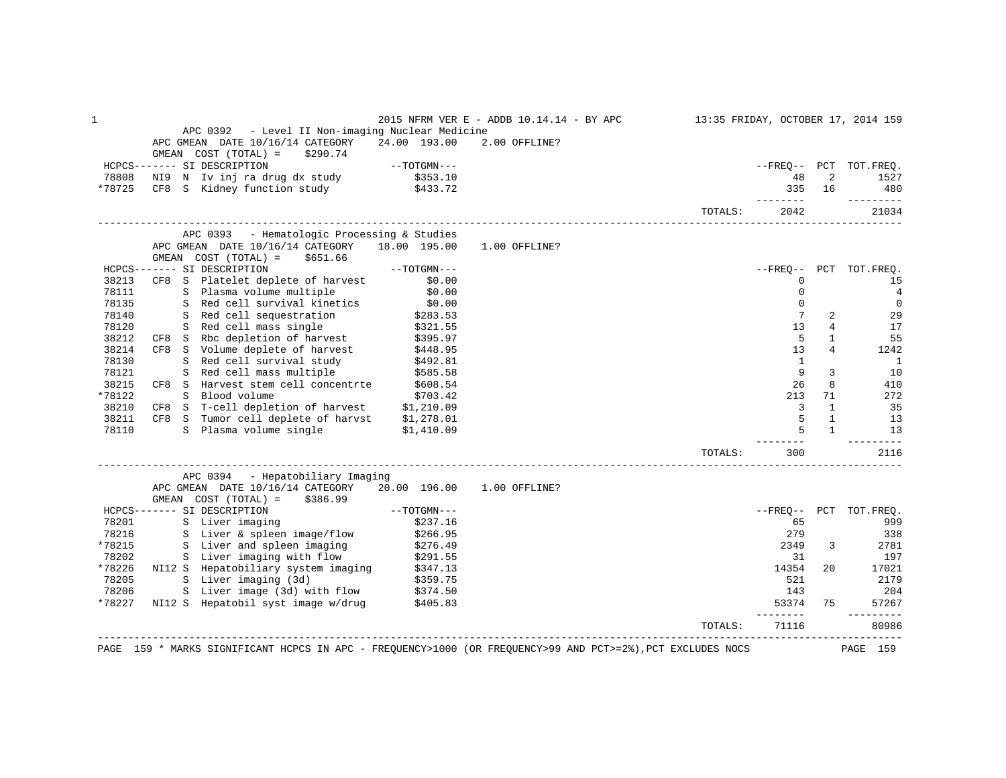| 1      |                                                                                                                     |                                   | 2015 NFRM VER E - ADDB 10.14.14 - BY APC                                                                    |         |                                                                                                                                                                                                                                                                                                                                                                                              |                | 13:35 FRIDAY, OCTOBER 17, 2014 159 |
|--------|---------------------------------------------------------------------------------------------------------------------|-----------------------------------|-------------------------------------------------------------------------------------------------------------|---------|----------------------------------------------------------------------------------------------------------------------------------------------------------------------------------------------------------------------------------------------------------------------------------------------------------------------------------------------------------------------------------------------|----------------|------------------------------------|
|        | APC 0392 - Level II Non-imaging Nuclear Medicine                                                                    |                                   |                                                                                                             |         |                                                                                                                                                                                                                                                                                                                                                                                              |                |                                    |
|        | APC GMEAN DATE 10/16/14 CATEGORY                                                                                    | 24.00 193.00                      | 2.00 OFFLINE?                                                                                               |         |                                                                                                                                                                                                                                                                                                                                                                                              |                |                                    |
|        | GMEAN COST (TOTAL) =<br>\$290.74                                                                                    |                                   |                                                                                                             |         |                                                                                                                                                                                                                                                                                                                                                                                              |                |                                    |
|        | HCPCS------- SI DESCRIPTION                                                                                         | $--{\tt TOTGMN---}$               |                                                                                                             |         |                                                                                                                                                                                                                                                                                                                                                                                              |                | --FREO-- PCT TOT.FREO.             |
| 78808  | NI9 N Iv inj ra drug dx study                                                                                       | \$353.10                          |                                                                                                             |         | 48                                                                                                                                                                                                                                                                                                                                                                                           | 2              | 1527                               |
| *78725 | CF8 S Kidney function study \$433.72                                                                                |                                   |                                                                                                             |         | 335<br>--------                                                                                                                                                                                                                                                                                                                                                                              | 16             | 480<br>---------                   |
|        |                                                                                                                     |                                   |                                                                                                             | TOTALS: | 2042                                                                                                                                                                                                                                                                                                                                                                                         |                | 21034                              |
|        | APC 0393 - Hematologic Processing & Studies                                                                         |                                   |                                                                                                             |         |                                                                                                                                                                                                                                                                                                                                                                                              |                |                                    |
|        | APC GMEAN DATE 10/16/14 CATEGORY                                                                                    | 18.00 195.00                      | 1.00 OFFLINE?                                                                                               |         |                                                                                                                                                                                                                                                                                                                                                                                              |                |                                    |
|        | GMEAN $COST (TOTAL) = $651.66$                                                                                      |                                   |                                                                                                             |         |                                                                                                                                                                                                                                                                                                                                                                                              |                |                                    |
|        | HCPCS------- SI DESCRIPTION                                                                                         | $--TOTGMN---$                     |                                                                                                             |         | --FRE0--                                                                                                                                                                                                                                                                                                                                                                                     |                | PCT TOT.FREO.                      |
| 38213  | CF8 S Platelet deplete of harvest \$0.00<br>S Plasma volume multiple \$0.00                                         |                                   |                                                                                                             |         | 0                                                                                                                                                                                                                                                                                                                                                                                            |                | 15                                 |
| 78111  |                                                                                                                     |                                   |                                                                                                             |         | $\mathbf 0$                                                                                                                                                                                                                                                                                                                                                                                  |                | $\overline{4}$                     |
| 78135  | S Red cell survival kinetics                                                                                        |                                   |                                                                                                             |         | $\mathbf{0}$                                                                                                                                                                                                                                                                                                                                                                                 |                | $\mathbf{0}$                       |
| 78140  | S Red cell sequestration                                                                                            |                                   |                                                                                                             |         | 7                                                                                                                                                                                                                                                                                                                                                                                            | 2              | 29                                 |
| 78120  | S Red cell mass single                                                                                              | $$0.00$<br>$$283.53$<br>$$321.55$ |                                                                                                             |         | 13                                                                                                                                                                                                                                                                                                                                                                                           | $\overline{4}$ | 17                                 |
| 38212  | S Rbc depletion of harvest<br>CF8 S Rbc depletion of harvest                                                        | \$395.97<br>\$448.95              |                                                                                                             |         | 5                                                                                                                                                                                                                                                                                                                                                                                            | $\mathbf{1}$   | 55                                 |
| 38214  | CF8 S Volume deplete of harvest                                                                                     |                                   |                                                                                                             |         | 13                                                                                                                                                                                                                                                                                                                                                                                           | $\overline{4}$ | 1242                               |
| 78130  | S Red cell mass multiple \$992.81<br>S Red cell mass multiple \$585.58<br>S Harvest stem coll the star              |                                   |                                                                                                             |         | $\mathbf{1}$                                                                                                                                                                                                                                                                                                                                                                                 |                | $\overline{\phantom{0}}$           |
| 78121  |                                                                                                                     |                                   |                                                                                                             |         | 9                                                                                                                                                                                                                                                                                                                                                                                            | 3              | 10                                 |
| 38215  | CF8 S Harvest stem cell concentrte \$608.54                                                                         |                                   |                                                                                                             |         | 26                                                                                                                                                                                                                                                                                                                                                                                           | 8              | 410                                |
| *78122 | S Blood volume                                                                                                      | \$703.42                          |                                                                                                             |         | 213                                                                                                                                                                                                                                                                                                                                                                                          | 71             | 272                                |
| 38210  | CF8 S T-cell depletion of harvest $$1,210.09$                                                                       |                                   |                                                                                                             |         | $\mathbf{3}$                                                                                                                                                                                                                                                                                                                                                                                 | $\mathbf{1}$   | 35                                 |
| 38211  | CF8 S Tumor cell deplete of harvst \$1,278.01                                                                       |                                   |                                                                                                             |         | 5                                                                                                                                                                                                                                                                                                                                                                                            | $\mathbf{1}$   | 13                                 |
| 78110  | S Plasma volume single                                                                                              | \$1,410.09                        |                                                                                                             |         |                                                                                                                                                                                                                                                                                                                                                                                              | $\mathbf{1}$   | 13                                 |
|        |                                                                                                                     |                                   |                                                                                                             | TOTALS: | $- - - - -$<br>300                                                                                                                                                                                                                                                                                                                                                                           |                | ---------<br>2116                  |
|        |                                                                                                                     |                                   |                                                                                                             |         |                                                                                                                                                                                                                                                                                                                                                                                              |                |                                    |
|        | APC 0394 - Hepatobiliary Imaging<br>APC GMEAN DATE 10/16/14 CATEGORY 20.00 196.00                                   |                                   | 1.00 OFFLINE?                                                                                               |         |                                                                                                                                                                                                                                                                                                                                                                                              |                |                                    |
|        | GMEAN $COST (TOTAL) = $386.99$                                                                                      |                                   |                                                                                                             |         |                                                                                                                                                                                                                                                                                                                                                                                              |                |                                    |
|        | HCPCS------- SI DESCRIPTION                                                                                         | $--TOTGMN---$                     |                                                                                                             |         | --FREQ--                                                                                                                                                                                                                                                                                                                                                                                     |                | PCT TOT.FREQ.                      |
| 78201  | S Liver imaging                                                                                                     | \$237.16                          |                                                                                                             |         | 65                                                                                                                                                                                                                                                                                                                                                                                           |                | 999                                |
| 78216  | S Liver & spleen image/flow                                                                                         | \$266.95                          |                                                                                                             |         | 279                                                                                                                                                                                                                                                                                                                                                                                          |                | 338                                |
| *78215 | S Liver and spleen imaging                                                                                          | \$276.49                          |                                                                                                             |         | 2349                                                                                                                                                                                                                                                                                                                                                                                         | 3              | 2781                               |
| 78202  |                                                                                                                     |                                   |                                                                                                             |         | 31                                                                                                                                                                                                                                                                                                                                                                                           |                | 197                                |
| *78226 | S Liver imaging with flow \$291.55<br>NI12 S Hepatobiliary system imaging \$347.13<br>S Liver imaging (3d) \$359.75 |                                   |                                                                                                             |         | 14354                                                                                                                                                                                                                                                                                                                                                                                        | 20             | 17021                              |
| 78205  |                                                                                                                     |                                   |                                                                                                             |         | 521                                                                                                                                                                                                                                                                                                                                                                                          |                | 2179                               |
| 78206  |                                                                                                                     |                                   |                                                                                                             |         |                                                                                                                                                                                                                                                                                                                                                                                              |                | 204                                |
| *78227 | S Liver image (3d) with flow \$374.50<br>NI12 S Hepatobil syst image w/drug \$405.83                                |                                   |                                                                                                             |         | 143<br>53374                                                                                                                                                                                                                                                                                                                                                                                 | 75             | 57267                              |
|        |                                                                                                                     |                                   |                                                                                                             |         | $\frac{1}{2} \frac{1}{2} \frac{1}{2} \frac{1}{2} \frac{1}{2} \frac{1}{2} \frac{1}{2} \frac{1}{2} \frac{1}{2} \frac{1}{2} \frac{1}{2} \frac{1}{2} \frac{1}{2} \frac{1}{2} \frac{1}{2} \frac{1}{2} \frac{1}{2} \frac{1}{2} \frac{1}{2} \frac{1}{2} \frac{1}{2} \frac{1}{2} \frac{1}{2} \frac{1}{2} \frac{1}{2} \frac{1}{2} \frac{1}{2} \frac{1}{2} \frac{1}{2} \frac{1}{2} \frac{1}{2} \frac{$ |                |                                    |
|        | _________________________________                                                                                   |                                   |                                                                                                             | TOTALS: | 71116                                                                                                                                                                                                                                                                                                                                                                                        |                | 80986                              |
|        |                                                                                                                     |                                   | PAGE 159 * MARKS SIGNIFICANT HCPCS IN APC - FREQUENCY>1000 (OR FREQUENCY>99 AND PCT>=2%), PCT EXCLUDES NOCS |         |                                                                                                                                                                                                                                                                                                                                                                                              |                | PAGE 159                           |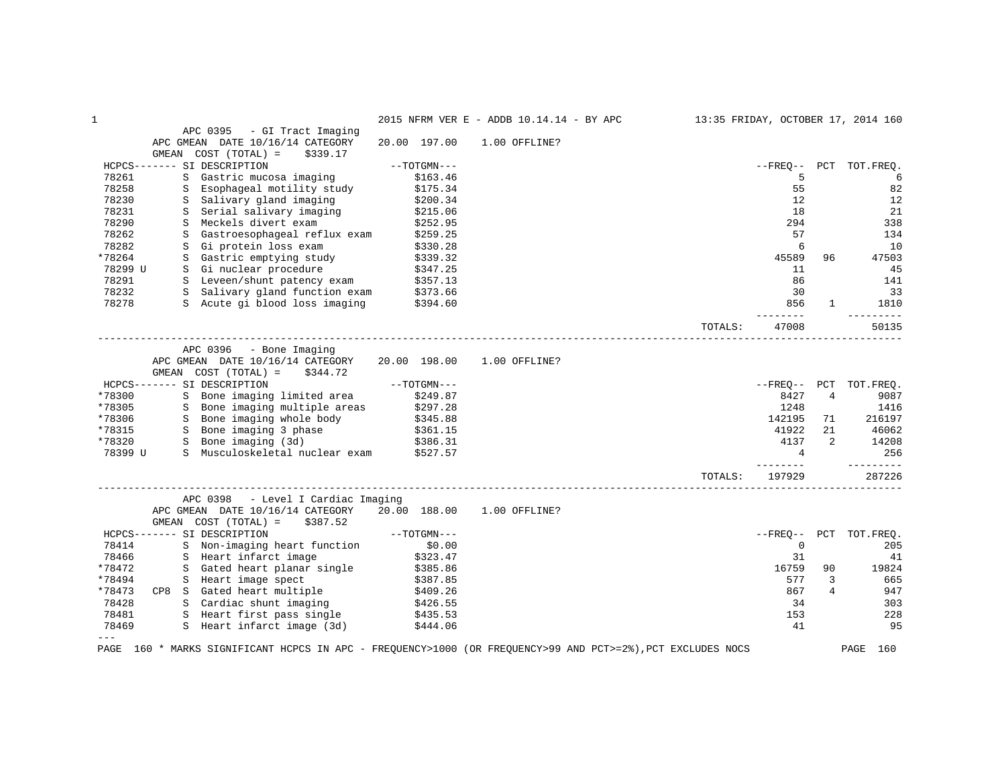| $\mathbf{1}$                                                                                                |               | 2015 NFRM VER E - ADDB 10.14.14 - BY APC |                  |                |                | 13:35 FRIDAY, OCTOBER 17, 2014 160 |
|-------------------------------------------------------------------------------------------------------------|---------------|------------------------------------------|------------------|----------------|----------------|------------------------------------|
| APC 0395<br>- GI Tract Imaging                                                                              |               |                                          |                  |                |                |                                    |
| APC GMEAN DATE 10/16/14 CATEGORY                                                                            | 20.00 197.00  | 1.00 OFFLINE?                            |                  |                |                |                                    |
| GMEAN COST (TOTAL) =<br>\$339.17                                                                            |               |                                          |                  |                |                |                                    |
| HCPCS------- SI DESCRIPTION                                                                                 | $--TOTGMN---$ |                                          |                  | $- FREO--$     |                | PCT TOT.FREO.                      |
| 78261<br>S<br>Gastric mucosa imaging                                                                        | \$163.46      |                                          |                  | 5              |                | 6                                  |
| 78258<br>Esophageal motility study<br>S                                                                     | \$175.34      |                                          |                  | 55             |                | 82                                 |
| 78230<br>Salivary gland imaging<br>S                                                                        | \$200.34      |                                          |                  | 12             |                | 12                                 |
| 78231<br>Serial salivary imaging<br>S                                                                       | \$215.06      |                                          |                  | 18             |                | 21                                 |
| 78290<br>Meckels divert exam<br>S                                                                           | \$252.95      |                                          |                  | 294            |                | 338                                |
| 78262<br>Gastroesophageal reflux exam<br>S                                                                  | \$259.25      |                                          |                  | 57             |                | 134                                |
| 78282<br>Gi protein loss exam<br>S                                                                          | \$330.28      |                                          |                  | 6              |                | 10                                 |
| *78264<br>S Gastric emptying study                                                                          | \$339.32      |                                          |                  | 45589          | 96             | 47503                              |
| S Gi nuclear procedure<br>78299 U                                                                           | \$347.25      |                                          |                  | 11             |                | 45                                 |
| 78291<br>S Leveen/shunt patency exam                                                                        | \$357.13      |                                          |                  | 86             |                | 141                                |
| S Leveen/shunt patency exam = \$357.15<br>S Salivary gland function exam = \$373.66<br>78232                |               |                                          |                  | 30             |                | 33                                 |
| S Acute qi blood loss imaging<br>78278                                                                      | \$394.60      |                                          |                  | 856            | $\mathbf{1}$   | 1810                               |
|                                                                                                             |               |                                          |                  | -------        |                |                                    |
|                                                                                                             |               |                                          | TOTALS:          | 47008          |                | 50135                              |
|                                                                                                             |               |                                          | ---------------- |                |                |                                    |
| APC 0396<br>- Bone Imaging                                                                                  |               |                                          |                  |                |                |                                    |
| APC GMEAN DATE 10/16/14 CATEGORY                                                                            | 20.00 198.00  | 1.00 OFFLINE?                            |                  |                |                |                                    |
| GMEAN<br>COST (TOTAL) =<br>\$344.72                                                                         |               |                                          |                  |                |                |                                    |
| HCPCS------- SI DESCRIPTION                                                                                 | $--TOTGMN---$ |                                          |                  |                |                | --FREO-- PCT TOT.FREO.             |
| SI DESCRIPTION<br>S Bone imaging limited area<br>*78300                                                     | \$249.87      |                                          |                  | 8427           | 4              | 9087                               |
| S Bone imaging multiple areas \$297.28<br>*78305                                                            |               |                                          |                  | 1248           |                | 1416                               |
| S Bone imaging whole body<br>*78306                                                                         | \$345.88      |                                          |                  | 142195         | 71             | 216197                             |
| S Bone imaging 3 phase<br>*78315                                                                            | \$361.15      |                                          |                  | 41922          | 21             | 46062                              |
| S Bone imaging (3d)<br>*78320                                                                               | \$386.31      |                                          |                  | 4137           | $\overline{2}$ | 14208                              |
| S Musculoskeletal nuclear exam<br>78399 U                                                                   | \$527.57      |                                          |                  | $\overline{4}$ |                | 256                                |
|                                                                                                             |               |                                          |                  | $- - - - -$    |                | _________                          |
|                                                                                                             |               |                                          | TOTALS:          | 197929         |                | 287226                             |
|                                                                                                             |               |                                          |                  |                |                |                                    |
| APC 0398<br>- Level I Cardiac Imaging                                                                       |               |                                          |                  |                |                |                                    |
| APC GMEAN DATE 10/16/14 CATEGORY                                                                            | 20.00 188.00  | 1.00 OFFLINE?                            |                  |                |                |                                    |
| \$387.52<br>GMEAN COST (TOTAL) =                                                                            |               |                                          |                  |                |                |                                    |
| HCPCS------- SI DESCRIPTION                                                                                 | $--TOTGMN---$ |                                          |                  | $- FREQ--$     |                | PCT TOT. FREO.                     |
| 78414<br>S Non-imaging heart function                                                                       | \$0.00        |                                          |                  | $\mathbf 0$    |                | 205                                |
| 78466<br>S Heart infarct image                                                                              | \$323.47      |                                          |                  | 31             |                | 41                                 |
| *78472<br>S Gated heart planar single                                                                       | \$385.86      |                                          |                  | 16759          | 90             | 19824                              |
| *78494<br>S Heart image spect                                                                               | \$387.85      |                                          |                  | 577            | 3              | 665                                |
| CP8 S Gated heart multiple<br>*78473                                                                        | \$409.26      |                                          |                  | 867            | 4              | 947                                |
| S Cardiac shunt imaging<br>78428                                                                            | \$426.55      |                                          |                  | 34             |                | 303                                |
| 78481                                                                                                       | \$435.53      |                                          |                  | 153            |                | 228                                |
| S Heart first pass single<br>S Heart infarct image (3d)<br>78469                                            | \$444.06      |                                          |                  | 41             |                | 95                                 |
| $---$                                                                                                       |               |                                          |                  |                |                |                                    |
| PAGE 160 * MARKS SIGNIFICANT HCPCS IN APC - FREQUENCY>1000 (OR FREQUENCY>99 AND PCT>=2%), PCT EXCLUDES NOCS |               |                                          |                  |                |                | PAGE<br>160                        |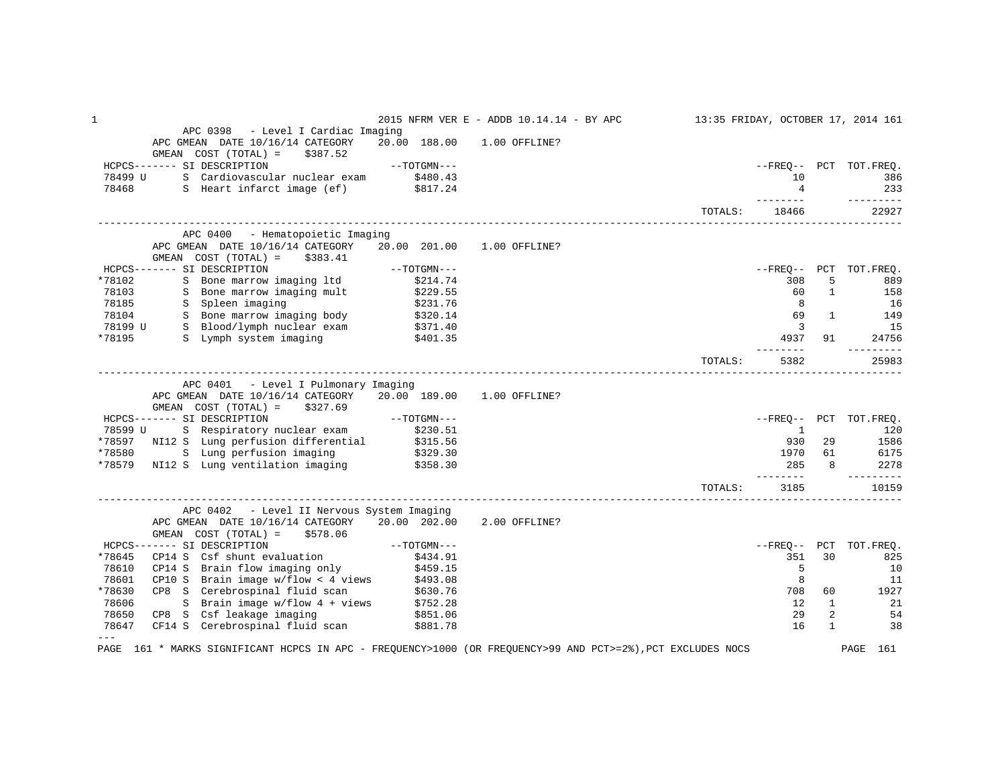| 1              |                                                                                                                                  |                        | 2015 NFRM VER E - ADDB 10.14.14 - BY APC |         |                             |              | 13:35 FRIDAY, OCTOBER 17, 2014 161 |
|----------------|----------------------------------------------------------------------------------------------------------------------------------|------------------------|------------------------------------------|---------|-----------------------------|--------------|------------------------------------|
|                | APC 0398 - Level I Cardiac Imaging                                                                                               |                        |                                          |         |                             |              |                                    |
|                | APC GMEAN DATE 10/16/14 CATEGORY                                                                                                 |                        | 20.00 188.00 1.00 OFFLINE?               |         |                             |              |                                    |
|                | GMEAN $COST (TOTAL) = $387.52$                                                                                                   |                        |                                          |         |                             |              |                                    |
|                | HCPCS------- SI DESCRIPTION                                                                                                      | $--TOTGMN---$          |                                          |         |                             |              | --FREO-- PCT TOT.FREO.             |
| 78499 U        | S Cardiovascular nuclear exam \$480.43<br>S Heart infarct image (ef) \$817.24                                                    |                        |                                          |         | 10                          |              | 386                                |
| 78468          |                                                                                                                                  |                        |                                          |         | $\overline{4}$<br>--------- |              | 233<br>----------                  |
|                |                                                                                                                                  |                        |                                          | TOTALS: | 18466                       |              | 22927                              |
|                | APC 0400 - Hematopoietic Imaging                                                                                                 |                        |                                          |         |                             |              |                                    |
|                | APC GMEAN DATE 10/16/14 CATEGORY                                                                                                 | 20.00 201.00           | 1.00 OFFLINE?                            |         |                             |              |                                    |
|                | GMEAN $COST (TOTAL) = $383.41$                                                                                                   |                        |                                          |         |                             |              |                                    |
|                | HCPCS------- SI DESCRIPTION                                                                                                      | $--\mathrm{TOTGMN---}$ |                                          |         |                             |              | --FREO-- PCT TOT.FREO.             |
| *78102         |                                                                                                                                  |                        |                                          |         | 308                         | 5            | 889                                |
|                |                                                                                                                                  |                        |                                          |         | 60                          | $\mathbf{1}$ | 158                                |
|                | *78102 S Bone marrow imaging 1td \$214.74<br>78103 S Bone marrow imaging mult \$229.55<br>78185 S Spleen imaging \$231.76        |                        |                                          |         | 8                           |              | 16                                 |
|                |                                                                                                                                  |                        |                                          |         | 69                          | $\mathbf{1}$ | 149                                |
|                |                                                                                                                                  |                        |                                          |         | $\overline{\mathbf{3}}$     |              | 15                                 |
| *78195         | S Lymph system imaging \$401.35                                                                                                  |                        |                                          |         | 4937                        | 91           | 24756                              |
|                |                                                                                                                                  |                        |                                          | TOTALS: | 5382                        |              | 25983                              |
|                | APC 0401 - Level I Pulmonary Imaging                                                                                             |                        |                                          |         |                             |              |                                    |
|                | APC GMEAN DATE 10/16/14 CATEGORY 20.00 189.00 1.00 OFFLINE?<br>GMEAN $COST (TOTAL) = $327.69$                                    |                        |                                          |         |                             |              |                                    |
|                | HCPCS------- SI DESCRIPTION<br>78599 U S Respiratory nuclear exam \$230.51<br>*78597 NI12 S Lung perfusion differential \$315.56 |                        |                                          |         |                             |              | --FREQ-- PCT TOT.FREQ.             |
|                |                                                                                                                                  |                        |                                          |         | <sup>1</sup>                |              | 120                                |
|                |                                                                                                                                  |                        |                                          |         | 930                         | 29           | 1586                               |
|                | *78580 S Lung perfusion imaging \$329.30<br>*78579 NI12 S Lung ventilation imaging \$358.30                                      |                        |                                          |         |                             | 1970 61      | 6175                               |
|                |                                                                                                                                  |                        |                                          |         | 285<br>--------             | 8            | 2278                               |
|                |                                                                                                                                  |                        |                                          | TOTALS: | 3185                        |              | 10159                              |
|                | APC 0402 - Level II Nervous System Imaging                                                                                       |                        |                                          |         |                             |              |                                    |
|                | APC GMEAN DATE 10/16/14 CATEGORY 20.00 202.00                                                                                    |                        | 2.00 OFFLINE?                            |         |                             |              |                                    |
|                | GMEAN $COST (TOTAL) = $578.06$                                                                                                   |                        |                                          |         |                             |              |                                    |
|                | HCPCS------- SI DESCRIPTION                                                                                                      | $--TOTGMN---$          |                                          |         | --FRE0--                    |              | PCT TOT.FREO.                      |
| *78645         | CP14 S Csf shunt evaluation \$434.91<br>CP14 S Csf shunt evaluation \$434.91<br>2014 S Brain flow imaging only \$459.15          |                        |                                          |         | 351                         | 30           | 825                                |
| 78610          |                                                                                                                                  |                        |                                          |         | 5                           |              | 10                                 |
| 78601          | CP10 S Brain image $w/flow < 4$ views $$493.08$                                                                                  |                        |                                          |         | 8                           |              | 11                                 |
| *78630         | CP8 S Cerebrospinal fluid scan \$630.76<br>S Brain image w/flow 4 + views \$752.28                                               |                        |                                          |         | 708                         | 60           | 1927                               |
| 78606          |                                                                                                                                  |                        |                                          |         | 12                          | 1            | 21                                 |
| 78650          | CP8 S Csf leakage imaging                                                                                                        | \$851.06               |                                          |         | 29                          | 2            | 54                                 |
| 78647<br>$---$ | CF14 S Cerebrospinal fluid scan \$881.78                                                                                         |                        |                                          |         | 16                          | $\mathbf{1}$ | 38                                 |
|                | PAGE 161 * MARKS SIGNIFICANT HCPCS IN APC - FREQUENCY>1000 (OR FREQUENCY>99 AND PCT>=2%), PCT EXCLUDES NOCS                      |                        |                                          |         |                             |              | PAGE 161                           |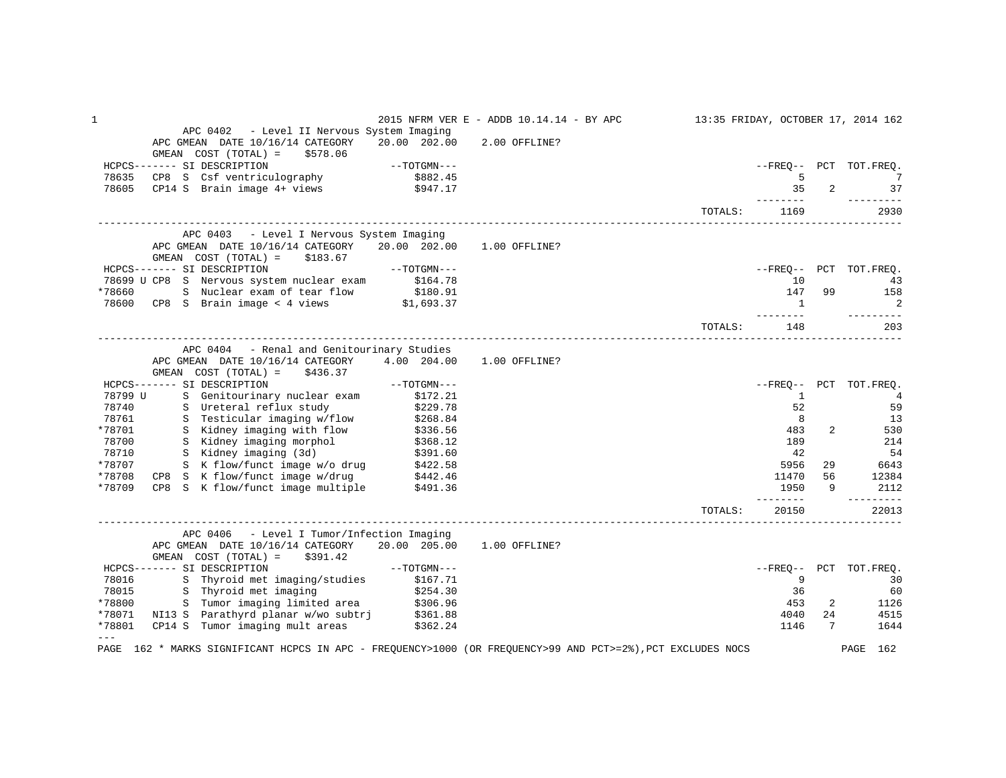| APC 0402 - Level II Nervous System Imaging<br>APC GMEAN DATE 10/16/14 CATEGORY<br>20.00 202.00<br>2.00 OFFLINE?<br>GMEAN COST (TOTAL) =<br>\$578.06<br>HCPCS------- SI DESCRIPTION<br>--FREO-- PCT TOT.FREO.<br>78635<br>5<br>7<br>CP14 S Brain image $4+$ views $$947.17$<br>35<br>$\overline{2}$<br>37<br>78605<br>--------<br>---------<br>2930<br>TOTALS:<br>1169<br>APC 0403 - Level I Nervous System Imaging<br>20.00 202.00<br>APC GMEAN DATE 10/16/14 CATEGORY<br>1.00 OFFLINE?<br>GMEAN COST (TOTAL) =<br>\$183.67<br>$--\texttt{TOTGMN}---$<br>HCPCS------- SI DESCRIPTION<br>--FREO-- PCT TOT.FREO.<br>78699 U CP8 S Nervous system nuclear exam \$164.78<br>178660 S Nuclear exam of tear flow \$180.91<br>178600 CP8 S Brain image < 4 views \$1,693.37<br>10<br>43<br>147<br>*78660<br>99<br>158<br>2<br>1<br>----------<br>-------<br>203<br>TOTALS:<br>148<br>APC 0404 - Renal and Genitourinary Studies<br>APC GMEAN DATE 10/16/14 CATEGORY 4.00 204.00<br>1.00 OFFLINE?<br>GMEAN COST (TOTAL) =<br>\$436.37<br>HCPCS------- SI DESCRIPTION<br>$--TOTGMN---$<br>--FREO-- PCT TOT.FREO.<br>S Genitourinary nuclear exam<br>78799 U<br>\$172.21<br>$\mathbf{1}$<br>4<br>52<br>78740<br>S Ureteral reflux study<br>\$229.78<br>59<br>S Testicular imaging w/flow<br>8<br>78761<br>\$268.84<br>\$336.56<br>13<br>S Kidney imaging with flow<br>*78701<br>483<br>2<br>530<br>78700<br>S Kidney imaging morphol \$368.12<br>S Kidney imaging (3d) \$391.60<br>189<br>214<br>42<br>54<br>78710<br>S K flow/funct image w/o drug \$422.58<br>CP8 S K flow/funct image w/drug \$442.46<br>CP8 S K flow/funct image multiple \$491.36<br>*78707<br>5956<br>29<br>6643<br>12384<br>*78708<br>11470<br>56<br>2112<br>*78709<br>1950<br>9<br>$- - - - - - -$<br>_________<br>TOTALS:<br>20150<br>22013<br>APC 0406 - Level I Tumor/Infection Imaging<br>APC GMEAN DATE 10/16/14 CATEGORY<br>20.00 205.00<br>1.00 OFFLINE?<br>GMEAN $COST (TOTAL) = $391.42$<br>$--TOTGMN---$<br>HCPCS------- SI DESCRIPTION<br>--FREO-- PCT TOT.FREO.<br>S Thyroid met imaging/studies<br>9<br>78016<br>\$167.71<br>30<br>S Thyroid met imaging<br>78015<br>\$254.30<br>36<br>60<br>*78800 S Tumor imaging limited area \$306.96<br>*78071 NI13 S Parathyrd planar w/wo subtrj \$361.88<br>453<br>2<br>1126<br>4040<br>24<br>4515<br>CP14 S Tumor imaging mult areas<br>*78801<br>\$362.24<br>$7\overline{ }$<br>1146<br>1644<br>$---$<br>PAGE 162 * MARKS SIGNIFICANT HCPCS IN APC - FREQUENCY>1000 (OR FREQUENCY>99 AND PCT>=2%), PCT EXCLUDES NOCS<br>PAGE 162 | $\mathbf{1}$ |  | 2015 NFRM VER E - ADDB 10.14.14 - BY APC |  | 13:35 FRIDAY, OCTOBER 17, 2014 162 |
|-------------------------------------------------------------------------------------------------------------------------------------------------------------------------------------------------------------------------------------------------------------------------------------------------------------------------------------------------------------------------------------------------------------------------------------------------------------------------------------------------------------------------------------------------------------------------------------------------------------------------------------------------------------------------------------------------------------------------------------------------------------------------------------------------------------------------------------------------------------------------------------------------------------------------------------------------------------------------------------------------------------------------------------------------------------------------------------------------------------------------------------------------------------------------------------------------------------------------------------------------------------------------------------------------------------------------------------------------------------------------------------------------------------------------------------------------------------------------------------------------------------------------------------------------------------------------------------------------------------------------------------------------------------------------------------------------------------------------------------------------------------------------------------------------------------------------------------------------------------------------------------------------------------------------------------------------------------------------------------------------------------------------------------------------------------------------------------------------------------------------------------------------------------------------------------------------------------------------------------------------------------------------------------------------------------------------------------------------------------------------------------------------------------------------------------------------------------------------------------------------------------------------------------------------------|--------------|--|------------------------------------------|--|------------------------------------|
|                                                                                                                                                                                                                                                                                                                                                                                                                                                                                                                                                                                                                                                                                                                                                                                                                                                                                                                                                                                                                                                                                                                                                                                                                                                                                                                                                                                                                                                                                                                                                                                                                                                                                                                                                                                                                                                                                                                                                                                                                                                                                                                                                                                                                                                                                                                                                                                                                                                                                                                                                       |              |  |                                          |  |                                    |
|                                                                                                                                                                                                                                                                                                                                                                                                                                                                                                                                                                                                                                                                                                                                                                                                                                                                                                                                                                                                                                                                                                                                                                                                                                                                                                                                                                                                                                                                                                                                                                                                                                                                                                                                                                                                                                                                                                                                                                                                                                                                                                                                                                                                                                                                                                                                                                                                                                                                                                                                                       |              |  |                                          |  |                                    |
|                                                                                                                                                                                                                                                                                                                                                                                                                                                                                                                                                                                                                                                                                                                                                                                                                                                                                                                                                                                                                                                                                                                                                                                                                                                                                                                                                                                                                                                                                                                                                                                                                                                                                                                                                                                                                                                                                                                                                                                                                                                                                                                                                                                                                                                                                                                                                                                                                                                                                                                                                       |              |  |                                          |  |                                    |
|                                                                                                                                                                                                                                                                                                                                                                                                                                                                                                                                                                                                                                                                                                                                                                                                                                                                                                                                                                                                                                                                                                                                                                                                                                                                                                                                                                                                                                                                                                                                                                                                                                                                                                                                                                                                                                                                                                                                                                                                                                                                                                                                                                                                                                                                                                                                                                                                                                                                                                                                                       |              |  |                                          |  |                                    |
|                                                                                                                                                                                                                                                                                                                                                                                                                                                                                                                                                                                                                                                                                                                                                                                                                                                                                                                                                                                                                                                                                                                                                                                                                                                                                                                                                                                                                                                                                                                                                                                                                                                                                                                                                                                                                                                                                                                                                                                                                                                                                                                                                                                                                                                                                                                                                                                                                                                                                                                                                       |              |  |                                          |  |                                    |
|                                                                                                                                                                                                                                                                                                                                                                                                                                                                                                                                                                                                                                                                                                                                                                                                                                                                                                                                                                                                                                                                                                                                                                                                                                                                                                                                                                                                                                                                                                                                                                                                                                                                                                                                                                                                                                                                                                                                                                                                                                                                                                                                                                                                                                                                                                                                                                                                                                                                                                                                                       |              |  |                                          |  |                                    |
|                                                                                                                                                                                                                                                                                                                                                                                                                                                                                                                                                                                                                                                                                                                                                                                                                                                                                                                                                                                                                                                                                                                                                                                                                                                                                                                                                                                                                                                                                                                                                                                                                                                                                                                                                                                                                                                                                                                                                                                                                                                                                                                                                                                                                                                                                                                                                                                                                                                                                                                                                       |              |  |                                          |  |                                    |
|                                                                                                                                                                                                                                                                                                                                                                                                                                                                                                                                                                                                                                                                                                                                                                                                                                                                                                                                                                                                                                                                                                                                                                                                                                                                                                                                                                                                                                                                                                                                                                                                                                                                                                                                                                                                                                                                                                                                                                                                                                                                                                                                                                                                                                                                                                                                                                                                                                                                                                                                                       |              |  |                                          |  |                                    |
|                                                                                                                                                                                                                                                                                                                                                                                                                                                                                                                                                                                                                                                                                                                                                                                                                                                                                                                                                                                                                                                                                                                                                                                                                                                                                                                                                                                                                                                                                                                                                                                                                                                                                                                                                                                                                                                                                                                                                                                                                                                                                                                                                                                                                                                                                                                                                                                                                                                                                                                                                       |              |  |                                          |  |                                    |
|                                                                                                                                                                                                                                                                                                                                                                                                                                                                                                                                                                                                                                                                                                                                                                                                                                                                                                                                                                                                                                                                                                                                                                                                                                                                                                                                                                                                                                                                                                                                                                                                                                                                                                                                                                                                                                                                                                                                                                                                                                                                                                                                                                                                                                                                                                                                                                                                                                                                                                                                                       |              |  |                                          |  |                                    |
|                                                                                                                                                                                                                                                                                                                                                                                                                                                                                                                                                                                                                                                                                                                                                                                                                                                                                                                                                                                                                                                                                                                                                                                                                                                                                                                                                                                                                                                                                                                                                                                                                                                                                                                                                                                                                                                                                                                                                                                                                                                                                                                                                                                                                                                                                                                                                                                                                                                                                                                                                       |              |  |                                          |  |                                    |
|                                                                                                                                                                                                                                                                                                                                                                                                                                                                                                                                                                                                                                                                                                                                                                                                                                                                                                                                                                                                                                                                                                                                                                                                                                                                                                                                                                                                                                                                                                                                                                                                                                                                                                                                                                                                                                                                                                                                                                                                                                                                                                                                                                                                                                                                                                                                                                                                                                                                                                                                                       |              |  |                                          |  |                                    |
|                                                                                                                                                                                                                                                                                                                                                                                                                                                                                                                                                                                                                                                                                                                                                                                                                                                                                                                                                                                                                                                                                                                                                                                                                                                                                                                                                                                                                                                                                                                                                                                                                                                                                                                                                                                                                                                                                                                                                                                                                                                                                                                                                                                                                                                                                                                                                                                                                                                                                                                                                       |              |  |                                          |  |                                    |
|                                                                                                                                                                                                                                                                                                                                                                                                                                                                                                                                                                                                                                                                                                                                                                                                                                                                                                                                                                                                                                                                                                                                                                                                                                                                                                                                                                                                                                                                                                                                                                                                                                                                                                                                                                                                                                                                                                                                                                                                                                                                                                                                                                                                                                                                                                                                                                                                                                                                                                                                                       |              |  |                                          |  |                                    |
|                                                                                                                                                                                                                                                                                                                                                                                                                                                                                                                                                                                                                                                                                                                                                                                                                                                                                                                                                                                                                                                                                                                                                                                                                                                                                                                                                                                                                                                                                                                                                                                                                                                                                                                                                                                                                                                                                                                                                                                                                                                                                                                                                                                                                                                                                                                                                                                                                                                                                                                                                       |              |  |                                          |  |                                    |
|                                                                                                                                                                                                                                                                                                                                                                                                                                                                                                                                                                                                                                                                                                                                                                                                                                                                                                                                                                                                                                                                                                                                                                                                                                                                                                                                                                                                                                                                                                                                                                                                                                                                                                                                                                                                                                                                                                                                                                                                                                                                                                                                                                                                                                                                                                                                                                                                                                                                                                                                                       |              |  |                                          |  |                                    |
|                                                                                                                                                                                                                                                                                                                                                                                                                                                                                                                                                                                                                                                                                                                                                                                                                                                                                                                                                                                                                                                                                                                                                                                                                                                                                                                                                                                                                                                                                                                                                                                                                                                                                                                                                                                                                                                                                                                                                                                                                                                                                                                                                                                                                                                                                                                                                                                                                                                                                                                                                       |              |  |                                          |  |                                    |
|                                                                                                                                                                                                                                                                                                                                                                                                                                                                                                                                                                                                                                                                                                                                                                                                                                                                                                                                                                                                                                                                                                                                                                                                                                                                                                                                                                                                                                                                                                                                                                                                                                                                                                                                                                                                                                                                                                                                                                                                                                                                                                                                                                                                                                                                                                                                                                                                                                                                                                                                                       |              |  |                                          |  |                                    |
|                                                                                                                                                                                                                                                                                                                                                                                                                                                                                                                                                                                                                                                                                                                                                                                                                                                                                                                                                                                                                                                                                                                                                                                                                                                                                                                                                                                                                                                                                                                                                                                                                                                                                                                                                                                                                                                                                                                                                                                                                                                                                                                                                                                                                                                                                                                                                                                                                                                                                                                                                       |              |  |                                          |  |                                    |
|                                                                                                                                                                                                                                                                                                                                                                                                                                                                                                                                                                                                                                                                                                                                                                                                                                                                                                                                                                                                                                                                                                                                                                                                                                                                                                                                                                                                                                                                                                                                                                                                                                                                                                                                                                                                                                                                                                                                                                                                                                                                                                                                                                                                                                                                                                                                                                                                                                                                                                                                                       |              |  |                                          |  |                                    |
|                                                                                                                                                                                                                                                                                                                                                                                                                                                                                                                                                                                                                                                                                                                                                                                                                                                                                                                                                                                                                                                                                                                                                                                                                                                                                                                                                                                                                                                                                                                                                                                                                                                                                                                                                                                                                                                                                                                                                                                                                                                                                                                                                                                                                                                                                                                                                                                                                                                                                                                                                       |              |  |                                          |  |                                    |
|                                                                                                                                                                                                                                                                                                                                                                                                                                                                                                                                                                                                                                                                                                                                                                                                                                                                                                                                                                                                                                                                                                                                                                                                                                                                                                                                                                                                                                                                                                                                                                                                                                                                                                                                                                                                                                                                                                                                                                                                                                                                                                                                                                                                                                                                                                                                                                                                                                                                                                                                                       |              |  |                                          |  |                                    |
|                                                                                                                                                                                                                                                                                                                                                                                                                                                                                                                                                                                                                                                                                                                                                                                                                                                                                                                                                                                                                                                                                                                                                                                                                                                                                                                                                                                                                                                                                                                                                                                                                                                                                                                                                                                                                                                                                                                                                                                                                                                                                                                                                                                                                                                                                                                                                                                                                                                                                                                                                       |              |  |                                          |  |                                    |
|                                                                                                                                                                                                                                                                                                                                                                                                                                                                                                                                                                                                                                                                                                                                                                                                                                                                                                                                                                                                                                                                                                                                                                                                                                                                                                                                                                                                                                                                                                                                                                                                                                                                                                                                                                                                                                                                                                                                                                                                                                                                                                                                                                                                                                                                                                                                                                                                                                                                                                                                                       |              |  |                                          |  |                                    |
|                                                                                                                                                                                                                                                                                                                                                                                                                                                                                                                                                                                                                                                                                                                                                                                                                                                                                                                                                                                                                                                                                                                                                                                                                                                                                                                                                                                                                                                                                                                                                                                                                                                                                                                                                                                                                                                                                                                                                                                                                                                                                                                                                                                                                                                                                                                                                                                                                                                                                                                                                       |              |  |                                          |  |                                    |
|                                                                                                                                                                                                                                                                                                                                                                                                                                                                                                                                                                                                                                                                                                                                                                                                                                                                                                                                                                                                                                                                                                                                                                                                                                                                                                                                                                                                                                                                                                                                                                                                                                                                                                                                                                                                                                                                                                                                                                                                                                                                                                                                                                                                                                                                                                                                                                                                                                                                                                                                                       |              |  |                                          |  |                                    |
|                                                                                                                                                                                                                                                                                                                                                                                                                                                                                                                                                                                                                                                                                                                                                                                                                                                                                                                                                                                                                                                                                                                                                                                                                                                                                                                                                                                                                                                                                                                                                                                                                                                                                                                                                                                                                                                                                                                                                                                                                                                                                                                                                                                                                                                                                                                                                                                                                                                                                                                                                       |              |  |                                          |  |                                    |
|                                                                                                                                                                                                                                                                                                                                                                                                                                                                                                                                                                                                                                                                                                                                                                                                                                                                                                                                                                                                                                                                                                                                                                                                                                                                                                                                                                                                                                                                                                                                                                                                                                                                                                                                                                                                                                                                                                                                                                                                                                                                                                                                                                                                                                                                                                                                                                                                                                                                                                                                                       |              |  |                                          |  |                                    |
|                                                                                                                                                                                                                                                                                                                                                                                                                                                                                                                                                                                                                                                                                                                                                                                                                                                                                                                                                                                                                                                                                                                                                                                                                                                                                                                                                                                                                                                                                                                                                                                                                                                                                                                                                                                                                                                                                                                                                                                                                                                                                                                                                                                                                                                                                                                                                                                                                                                                                                                                                       |              |  |                                          |  |                                    |
|                                                                                                                                                                                                                                                                                                                                                                                                                                                                                                                                                                                                                                                                                                                                                                                                                                                                                                                                                                                                                                                                                                                                                                                                                                                                                                                                                                                                                                                                                                                                                                                                                                                                                                                                                                                                                                                                                                                                                                                                                                                                                                                                                                                                                                                                                                                                                                                                                                                                                                                                                       |              |  |                                          |  |                                    |
|                                                                                                                                                                                                                                                                                                                                                                                                                                                                                                                                                                                                                                                                                                                                                                                                                                                                                                                                                                                                                                                                                                                                                                                                                                                                                                                                                                                                                                                                                                                                                                                                                                                                                                                                                                                                                                                                                                                                                                                                                                                                                                                                                                                                                                                                                                                                                                                                                                                                                                                                                       |              |  |                                          |  |                                    |
|                                                                                                                                                                                                                                                                                                                                                                                                                                                                                                                                                                                                                                                                                                                                                                                                                                                                                                                                                                                                                                                                                                                                                                                                                                                                                                                                                                                                                                                                                                                                                                                                                                                                                                                                                                                                                                                                                                                                                                                                                                                                                                                                                                                                                                                                                                                                                                                                                                                                                                                                                       |              |  |                                          |  |                                    |
|                                                                                                                                                                                                                                                                                                                                                                                                                                                                                                                                                                                                                                                                                                                                                                                                                                                                                                                                                                                                                                                                                                                                                                                                                                                                                                                                                                                                                                                                                                                                                                                                                                                                                                                                                                                                                                                                                                                                                                                                                                                                                                                                                                                                                                                                                                                                                                                                                                                                                                                                                       |              |  |                                          |  |                                    |
|                                                                                                                                                                                                                                                                                                                                                                                                                                                                                                                                                                                                                                                                                                                                                                                                                                                                                                                                                                                                                                                                                                                                                                                                                                                                                                                                                                                                                                                                                                                                                                                                                                                                                                                                                                                                                                                                                                                                                                                                                                                                                                                                                                                                                                                                                                                                                                                                                                                                                                                                                       |              |  |                                          |  |                                    |
|                                                                                                                                                                                                                                                                                                                                                                                                                                                                                                                                                                                                                                                                                                                                                                                                                                                                                                                                                                                                                                                                                                                                                                                                                                                                                                                                                                                                                                                                                                                                                                                                                                                                                                                                                                                                                                                                                                                                                                                                                                                                                                                                                                                                                                                                                                                                                                                                                                                                                                                                                       |              |  |                                          |  |                                    |
|                                                                                                                                                                                                                                                                                                                                                                                                                                                                                                                                                                                                                                                                                                                                                                                                                                                                                                                                                                                                                                                                                                                                                                                                                                                                                                                                                                                                                                                                                                                                                                                                                                                                                                                                                                                                                                                                                                                                                                                                                                                                                                                                                                                                                                                                                                                                                                                                                                                                                                                                                       |              |  |                                          |  |                                    |
|                                                                                                                                                                                                                                                                                                                                                                                                                                                                                                                                                                                                                                                                                                                                                                                                                                                                                                                                                                                                                                                                                                                                                                                                                                                                                                                                                                                                                                                                                                                                                                                                                                                                                                                                                                                                                                                                                                                                                                                                                                                                                                                                                                                                                                                                                                                                                                                                                                                                                                                                                       |              |  |                                          |  |                                    |
|                                                                                                                                                                                                                                                                                                                                                                                                                                                                                                                                                                                                                                                                                                                                                                                                                                                                                                                                                                                                                                                                                                                                                                                                                                                                                                                                                                                                                                                                                                                                                                                                                                                                                                                                                                                                                                                                                                                                                                                                                                                                                                                                                                                                                                                                                                                                                                                                                                                                                                                                                       |              |  |                                          |  |                                    |
|                                                                                                                                                                                                                                                                                                                                                                                                                                                                                                                                                                                                                                                                                                                                                                                                                                                                                                                                                                                                                                                                                                                                                                                                                                                                                                                                                                                                                                                                                                                                                                                                                                                                                                                                                                                                                                                                                                                                                                                                                                                                                                                                                                                                                                                                                                                                                                                                                                                                                                                                                       |              |  |                                          |  |                                    |
|                                                                                                                                                                                                                                                                                                                                                                                                                                                                                                                                                                                                                                                                                                                                                                                                                                                                                                                                                                                                                                                                                                                                                                                                                                                                                                                                                                                                                                                                                                                                                                                                                                                                                                                                                                                                                                                                                                                                                                                                                                                                                                                                                                                                                                                                                                                                                                                                                                                                                                                                                       |              |  |                                          |  |                                    |
|                                                                                                                                                                                                                                                                                                                                                                                                                                                                                                                                                                                                                                                                                                                                                                                                                                                                                                                                                                                                                                                                                                                                                                                                                                                                                                                                                                                                                                                                                                                                                                                                                                                                                                                                                                                                                                                                                                                                                                                                                                                                                                                                                                                                                                                                                                                                                                                                                                                                                                                                                       |              |  |                                          |  |                                    |
|                                                                                                                                                                                                                                                                                                                                                                                                                                                                                                                                                                                                                                                                                                                                                                                                                                                                                                                                                                                                                                                                                                                                                                                                                                                                                                                                                                                                                                                                                                                                                                                                                                                                                                                                                                                                                                                                                                                                                                                                                                                                                                                                                                                                                                                                                                                                                                                                                                                                                                                                                       |              |  |                                          |  |                                    |
|                                                                                                                                                                                                                                                                                                                                                                                                                                                                                                                                                                                                                                                                                                                                                                                                                                                                                                                                                                                                                                                                                                                                                                                                                                                                                                                                                                                                                                                                                                                                                                                                                                                                                                                                                                                                                                                                                                                                                                                                                                                                                                                                                                                                                                                                                                                                                                                                                                                                                                                                                       |              |  |                                          |  |                                    |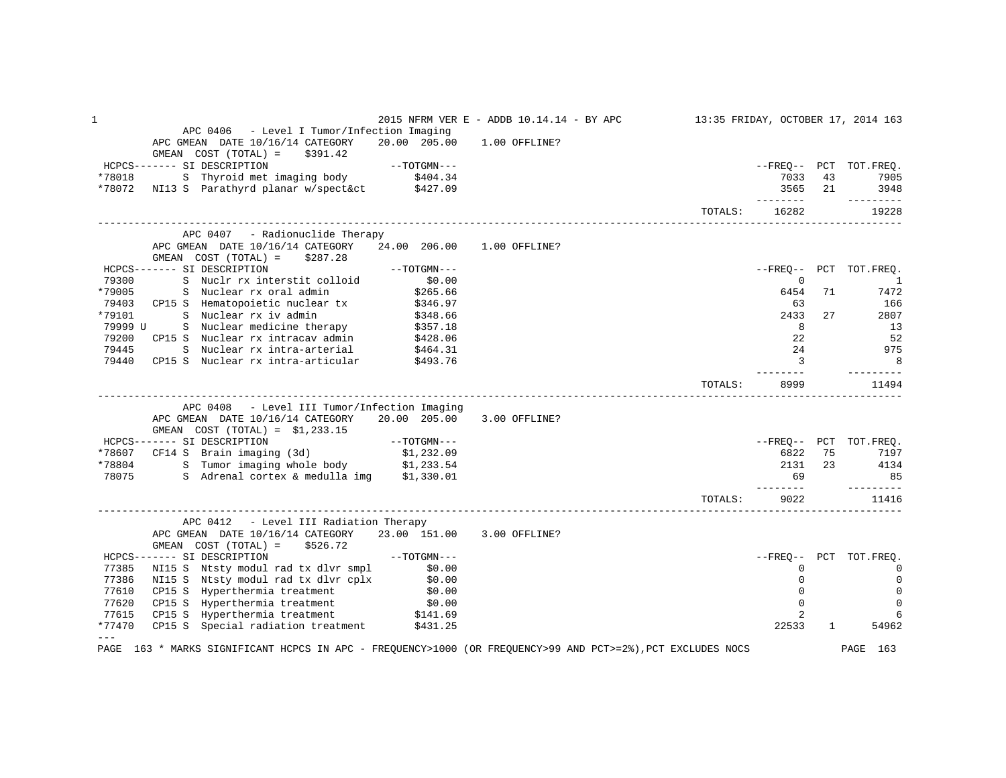| $\mathbf 1$ |                                                                                                             |                            | 2015 NFRM VER E - ADDB 10.14.14 - BY APC |         |                 |              | 13:35 FRIDAY, OCTOBER 17, 2014 163 |
|-------------|-------------------------------------------------------------------------------------------------------------|----------------------------|------------------------------------------|---------|-----------------|--------------|------------------------------------|
|             | APC 0406 - Level I Tumor/Infection Imaging                                                                  |                            |                                          |         |                 |              |                                    |
|             | APC GMEAN DATE 10/16/14 CATEGORY                                                                            | 20.00 205.00               | 1.00 OFFLINE?                            |         |                 |              |                                    |
|             | $GMEAN$ $COST$ $(TOTAL) = $391.42$                                                                          |                            |                                          |         |                 |              |                                    |
|             | HCPCS------- SI DESCRIPTION                                                                                 | --TOTGMN---                |                                          |         |                 |              | --FREO-- PCT TOT.FREO.             |
| *78018      | ST DESCRIPTION<br>S Thyroid met imaging body \$404.34                                                       |                            |                                          |         | 7033            | 43           | 7905                               |
|             | *78072 NI13 S Parathyrd planar w/spect&ct \$427.09                                                          |                            |                                          |         | 3565            | 21           | 3948                               |
|             |                                                                                                             |                            |                                          | TOTALS: | 16282           |              | $- - - - - - - - -$<br>19228       |
|             |                                                                                                             |                            |                                          |         |                 |              |                                    |
|             | APC 0407 - Radionuclide Therapy                                                                             |                            |                                          |         |                 |              |                                    |
|             | APC GMEAN DATE 10/16/14 CATEGORY                                                                            | 24.00 206.00               | $1.00$ OFFLINE?                          |         |                 |              |                                    |
|             | GMEAN $COST (TOTAL) = $287.28$                                                                              |                            |                                          |         |                 |              |                                    |
|             | HCPCS------- SI DESCRIPTION                                                                                 | $--TOTGMN---$              |                                          |         |                 |              | --FREO-- PCT TOT.FREO.             |
| 79300       | S Nuclr rx interstit colloid                                                                                | \$0.00                     |                                          |         | $\mathbf 0$     |              | $\overline{\phantom{a}}$           |
| *79005      | S Nuclear rx oral admin                                                                                     | \$265.66                   |                                          |         | 6454            | 71           | 7472                               |
| 79403       |                                                                                                             |                            |                                          |         | 63              |              | 166                                |
| *79101      | CP15 S Hematopoietic nuclear tx \$346.97<br>S Nuclear rx iv admin \$348.66                                  |                            |                                          |         | 2433            | 27           | 2807                               |
| 79999 U     | S Nuclear medicine therapy \$357.18                                                                         |                            |                                          |         | 8               |              | 13                                 |
| 79200       | CP15 S Nuclear rx intracav admin                                                                            | \$428.06                   |                                          |         | 22              |              | 52                                 |
| 79445       | S Nuclear rx intra-arterial \$464.31                                                                        |                            |                                          |         | 24              |              | 975                                |
| 79440       | CP15 S Nuclear rx intra-articular \$493.76                                                                  |                            |                                          |         | $\overline{3}$  |              | 8                                  |
|             |                                                                                                             |                            |                                          |         | $- - - - - - -$ |              | ----------                         |
|             |                                                                                                             |                            |                                          | TOTALS: | 8999            |              | 11494                              |
|             |                                                                                                             |                            |                                          |         |                 |              |                                    |
|             | APC 0408 - Level III Tumor/Infection Imaging                                                                |                            |                                          |         |                 |              |                                    |
|             | APC GMEAN DATE 10/16/14 CATEGORY                                                                            | 20.00 205.00 3.00 OFFLINE? |                                          |         |                 |              |                                    |
|             | GMEAN $COST (TOTAL) = $1,233.15$                                                                            |                            |                                          |         |                 |              |                                    |
|             |                                                                                                             |                            |                                          |         |                 |              | --FREO-- PCT TOT.FREO.             |
|             |                                                                                                             |                            |                                          |         | 6822            | 75           | 7197                               |
|             | *78804 S Tumor imaging whole body \$1,233.54                                                                |                            |                                          |         | 2131            | 23           | 4134                               |
| 78075       | S Adrenal cortex & medulla img \$1,330.01                                                                   |                            |                                          |         | 69<br>________  |              | 85<br>----------                   |
|             |                                                                                                             |                            |                                          | TOTALS: | 9022            |              | 11416                              |
|             |                                                                                                             |                            |                                          |         |                 |              |                                    |
|             | APC 0412 - Level III Radiation Therapy                                                                      |                            |                                          |         |                 |              |                                    |
|             | APC GMEAN DATE 10/16/14 CATEGORY 23.00 151.00 3.00 OFFLINE?                                                 |                            |                                          |         |                 |              |                                    |
|             | GMEAN $COST (TOTAL) = $526.72$                                                                              |                            |                                          |         |                 |              |                                    |
|             | HCPCS------- SI DESCRIPTION                                                                                 | $--TOTGMN---$              |                                          |         |                 |              | --FREO-- PCT TOT.FREO.             |
| 77385       | NI15 S Ntsty modul rad tx dlvr smpl                                                                         | \$0.00                     |                                          |         | $\Omega$        |              | $\Omega$                           |
| 77386       | NI15 S Ntsty modul rad tx dlvr cplx \$0.00                                                                  |                            |                                          |         | $\Omega$        |              | 0                                  |
| 77610       | CP15 S Hyperthermia treatment                                                                               | \$0.00                     |                                          |         | $\mathbf 0$     |              | $\mathbf 0$                        |
| 77620       | CP15 S Hyperthermia treatment                                                                               | \$0.00<br>\$141.69         |                                          |         | $\mathbf 0$     |              | $\mathsf 0$                        |
| 77615       | CP15 S Hyperthermia treatment                                                                               |                            |                                          |         | 2               |              | 6                                  |
| *77470      | CP15 S Special radiation treatment \$431.25                                                                 |                            |                                          |         | 22533           | $\mathbf{1}$ | 54962                              |
| $---$       | PAGE 163 * MARKS SIGNIFICANT HCPCS IN APC - FREQUENCY>1000 (OR FREQUENCY>99 AND PCT>=2%), PCT EXCLUDES NOCS |                            |                                          |         |                 |              | PAGE 163                           |
|             |                                                                                                             |                            |                                          |         |                 |              |                                    |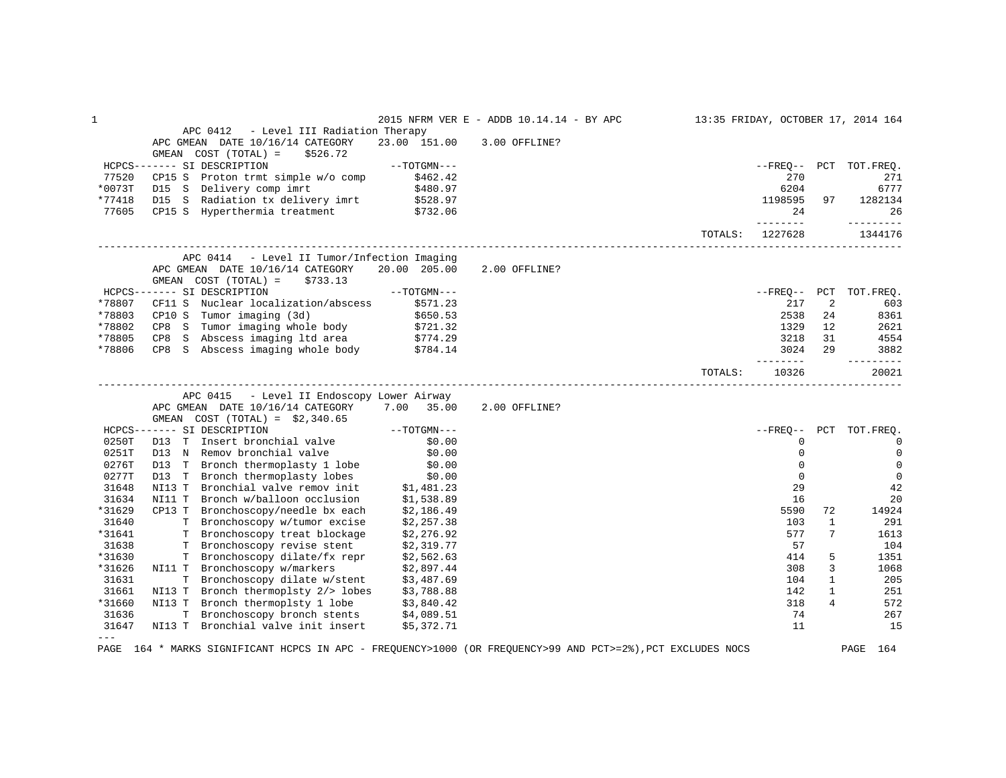| $\mathbf 1$     |                                                                                                                                                                         |                            | 2015 NFRM VER E - ADDB 10.14.14 - BY APC |         |                   |                | 13:35 FRIDAY, OCTOBER 17, 2014 164 |
|-----------------|-------------------------------------------------------------------------------------------------------------------------------------------------------------------------|----------------------------|------------------------------------------|---------|-------------------|----------------|------------------------------------|
|                 | APC 0412 - Level III Radiation Therapy                                                                                                                                  |                            |                                          |         |                   |                |                                    |
|                 | APC GMEAN DATE 10/16/14 CATEGORY                                                                                                                                        |                            | 23.00 151.00 3.00 OFFLINE?               |         |                   |                |                                    |
|                 | GMEAN $COST (TOTAL) = $526.72$                                                                                                                                          |                            |                                          |         |                   |                |                                    |
|                 | HCPCS------- SI DESCRIPTION                                                                                                                                             | $--{\tt TOTGMN---}$        |                                          |         |                   |                | --FREO-- PCT TOT.FREO.             |
| 77520<br>*0073T | CP15 S Proton trmt simple w/o comp \$462.42<br>D15 S Delivery comp imrt \$480.97<br>D15 S Radiation tx delivery imrt \$528.97<br>CP15 S Hyperthermia treatment \$732.06 |                            |                                          |         | 270<br>6204       |                | 271<br>6777                        |
| *77418          |                                                                                                                                                                         |                            |                                          |         | 1198595 97        |                | 1282134                            |
| 77605           |                                                                                                                                                                         |                            |                                          |         | 2.4               |                | 26                                 |
|                 |                                                                                                                                                                         |                            |                                          |         | ---------         |                | $- - - - - - - - -$                |
|                 |                                                                                                                                                                         |                            |                                          |         | TOTALS: 1227628   |                | 1344176                            |
|                 | APC 0414 - Level II Tumor/Infection Imaging                                                                                                                             |                            |                                          |         |                   |                |                                    |
|                 | APC GMEAN DATE 10/16/14 CATEGORY 20.00 205.00                                                                                                                           |                            | 2.00 OFFLINE?                            |         |                   |                |                                    |
|                 | GMEAN $COST (TOTAL) = $733.13$                                                                                                                                          |                            |                                          |         |                   |                |                                    |
|                 | $--TOTGMN---$<br>HCPCS------- SI DESCRIPTION                                                                                                                            |                            |                                          |         |                   |                | --FREQ-- PCT TOT.FREQ.             |
| *78807          | CF11 S Nuclear localization/abscess \$571.23                                                                                                                            |                            |                                          |         | 217               | 2              | 603                                |
| *78803          |                                                                                                                                                                         |                            |                                          |         | 2538              | 24             | 8361                               |
| *78802          | CP10 S Tumor imaging (3d) \$650.53<br>CP8 S Tumor imaging whole body \$721.32                                                                                           |                            |                                          |         | 1329              | 12             | 2621                               |
| *78805          | CP8 S Abscess imaging 1td area $$774.29$<br>CP8 S Abscess imaging whole body $$784.14$                                                                                  |                            |                                          |         | 3218              | 31             | 4554                               |
| *78806          |                                                                                                                                                                         |                            |                                          |         | 3024 29           |                | 3882                               |
|                 |                                                                                                                                                                         |                            |                                          | TOTALS: | ________<br>10326 |                | ----------<br>20021                |
|                 |                                                                                                                                                                         |                            |                                          |         |                   |                |                                    |
|                 | APC 0415 - Level II Endoscopy Lower Airway                                                                                                                              |                            |                                          |         |                   |                |                                    |
|                 | APC GMEAN DATE 10/16/14 CATEGORY 7.00 35.00                                                                                                                             |                            | 2.00 OFFLINE?                            |         |                   |                |                                    |
|                 | GMEAN COST $(TOTAL) = $2,340.65$                                                                                                                                        |                            |                                          |         |                   |                |                                    |
|                 | HCPCS------- SI DESCRIPTION                                                                                                                                             | $--TOTGMN---$              |                                          |         |                   |                | --FREO-- PCT TOT.FREQ.             |
| 0250T           | SI DESCRIPTION<br>D13 T Insert bronchial valve (\$0.00)<br>212 M Bomov bronchial valve (\$0.00)                                                                         |                            |                                          |         | 0                 |                | $\mathbf 0$                        |
| 0251T           | D13 N Remov bronchial valve \$0.00<br>D13 T Bronch thermoplasty 1 lobe \$0.00<br>D13 T Bronch thermoplasty lobes \$0.00<br>NI13 T Bronchial valve remov init \$1,481.23 |                            |                                          |         | $\mathbf 0$       |                | $\mathbf 0$                        |
| 0276T           |                                                                                                                                                                         |                            |                                          |         | $\mathbf 0$       |                | $\mathbf 0$                        |
| 0277T<br>31648  |                                                                                                                                                                         |                            |                                          |         | $\mathbf 0$<br>29 |                | $\mathbf 0$                        |
| 31634           |                                                                                                                                                                         |                            |                                          |         |                   |                | 42                                 |
| *31629          | Bronch w/balloon occlusion<br>NI11 T<br>CP13 T Bronchoscopy/needle bx each                                                                                              | $$1,538.89$<br>$$2,186.49$ |                                          |         | 16                | 72             | 20                                 |
| 31640           | T Bronchoscopy w/tumor excise                                                                                                                                           | \$2,257.38                 |                                          |         | 5590<br>103       | $\mathbf{1}$   | 14924<br>291                       |
| *31641          | T Bronchoscopy treat blockage                                                                                                                                           | \$2,276.92                 |                                          |         | 577               | 7              | 1613                               |
| 31638           | T Bronchoscopy revise stent                                                                                                                                             | \$2,319.77                 |                                          |         | 57                |                | 104                                |
| *31630          |                                                                                                                                                                         |                            |                                          |         | 414               | 5              | 1351                               |
| *31626          | T Bronchoscopy dilate/fx repr \$2,562.63<br>T Bronchoscopy w/markers \$2,897.44<br>NI11 T Bronchoscopy w/markers                                                        |                            |                                          |         | 308               | $\overline{3}$ | 1068                               |
| 31631           | T Bronchoscopy dilate w/stent \$3,487.69                                                                                                                                |                            |                                          |         | 104               | $\mathbf{1}$   | 205                                |
| 31661           | NI13 T Bronch thermoplsty 2/> lobes \$3,788.88                                                                                                                          |                            |                                          |         | 142               | $\mathbf{1}$   | 251                                |
| *31660          | NI13 T Bronch thermoplsty 1 lobe \$3,840.42                                                                                                                             |                            |                                          |         | 318               | 4              | 572                                |
| 31636           | Bronchoscopy bronch stents \$4,089.51<br>T –                                                                                                                            |                            |                                          |         | 74                |                | 267                                |
| 31647           | NI13 T Bronchial valve init insert \$5,372.71                                                                                                                           |                            |                                          |         | 11                |                | 15                                 |
| $= - -$         |                                                                                                                                                                         |                            |                                          |         |                   |                |                                    |
|                 | PAGE 164 * MARKS SIGNIFICANT HCPCS IN APC - FREQUENCY>1000 (OR FREQUENCY>99 AND PCT>=2%), PCT EXCLUDES NOCS                                                             |                            |                                          |         |                   |                | PAGE 164                           |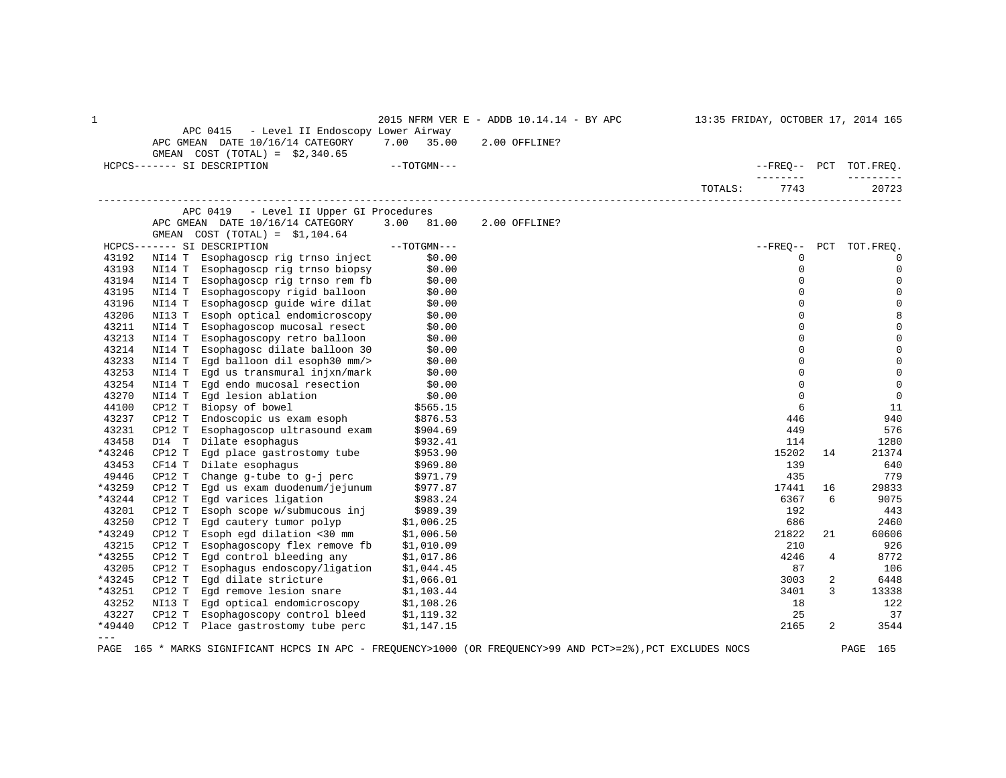| 1             |        | APC 0415<br>- Level II Endoscopy Lower Airway                        |               | 2015 NFRM VER E - ADDB 10.14.14 - BY APC                                                                    | 13:35 FRIDAY, OCTOBER 17, 2014 165 |     |                        |
|---------------|--------|----------------------------------------------------------------------|---------------|-------------------------------------------------------------------------------------------------------------|------------------------------------|-----|------------------------|
|               |        | APC GMEAN DATE 10/16/14 CATEGORY<br>GMEAN COST $(TOTAL) = $2,340.65$ | 7.00<br>35.00 | 2.00 OFFLINE?                                                                                               |                                    |     |                        |
|               |        | HCPCS------- SI DESCRIPTION                                          | $--TOTGMN---$ |                                                                                                             | --------                           |     | --FREO-- PCT TOT.FREQ. |
|               |        |                                                                      |               |                                                                                                             | 7743<br>TOTALS:                    |     | 20723                  |
|               |        | APC 0419 - Level II Upper GI Procedures                              |               |                                                                                                             |                                    |     |                        |
|               |        | APC GMEAN DATE 10/16/14 CATEGORY                                     | 3.00 81.00    | 2.00 OFFLINE?                                                                                               |                                    |     |                        |
|               |        | GMEAN COST $(TOTAL) = $1,104.64$                                     |               |                                                                                                             |                                    |     |                        |
|               |        | HCPCS------- SI DESCRIPTION                                          | $--TOTGMN---$ |                                                                                                             | $--$ FREQ--                        | PCT | TOT.FREQ.              |
| 43192         | NI14 T | Esophagoscp rig trnso inject                                         | \$0.00        |                                                                                                             | 0                                  |     | $\Omega$               |
| 43193         | NI14 T | Esophagoscp rig trnso biopsy                                         | \$0.00        |                                                                                                             | $\mathbf 0$                        |     |                        |
| 43194         | NI14 T | Esophagoscp rig trnso rem fb                                         | \$0.00        |                                                                                                             | $\Omega$                           |     | 0                      |
| 43195         | NI14 T | Esophagoscopy rigid balloon                                          | \$0.00        |                                                                                                             | 0                                  |     | 0                      |
| 43196         | NI14 T | Esophagoscp guide wire dilat                                         | \$0.00        |                                                                                                             | 0                                  |     | 0                      |
| 43206         | NI13 T | Esoph optical endomicroscopy                                         | \$0.00        |                                                                                                             | $\Omega$                           |     |                        |
| 43211         | NI14 T | Esophagoscop mucosal resect                                          | \$0.00        |                                                                                                             | $\Omega$                           |     |                        |
| 43213         | NI14 T | Esophagoscopy retro balloon                                          | \$0.00        |                                                                                                             | $\Omega$                           |     |                        |
| 43214         | NI14 T | Esophagosc dilate balloon 30                                         | \$0.00        |                                                                                                             | 0                                  |     |                        |
| 43233         | NI14 T | Eqd balloon dil esoph30 mm/>                                         | \$0.00        |                                                                                                             | $\Omega$                           |     |                        |
| 43253         | NI14 T | Egd us transmural injxn/mark                                         | \$0.00        |                                                                                                             | 0                                  |     | 0                      |
| 43254         | NI14 T | Egd endo mucosal resection                                           | \$0.00        |                                                                                                             | 0                                  |     | 0                      |
| 43270         | NI14 T | Egd lesion ablation                                                  | \$0.00        |                                                                                                             | 0                                  |     | $\mathbf 0$            |
| 44100         | CP12 T | Biopsy of bowel                                                      | \$565.15      |                                                                                                             | 6                                  |     | 11                     |
| 43237         | CP12 T | Endoscopic us exam esoph                                             | \$876.53      |                                                                                                             | 446                                |     | 940                    |
| 43231         | CP12 T | Esophagoscop ultrasound exam                                         | \$904.69      |                                                                                                             | 449                                |     | 576                    |
| 43458         | D14 T  | Dilate esophagus                                                     | \$932.41      |                                                                                                             | 114                                |     | 1280                   |
| *43246        | CP12 T | Eqd place qastrostomy tube                                           | \$953.90      |                                                                                                             | 15202                              | 14  | 21374                  |
| 43453         | CF14 T | Dilate esophagus                                                     | \$969.80      |                                                                                                             | 139                                |     | 640                    |
| 49446         | CP12 T | Change g-tube to g-j perc                                            | \$971.79      |                                                                                                             | 435                                |     | 779                    |
| *43259        | CP12 T | Egd us exam duodenum/jejunum                                         | \$977.87      |                                                                                                             | 17441                              | 16  | 29833                  |
| *43244        | CP12 T | Egd varices ligation                                                 | \$983.24      |                                                                                                             | 6367                               | 6   | 9075                   |
| 43201         | CP12 T | Esoph scope w/submucous inj                                          | \$989.39      |                                                                                                             | 192                                |     | 443                    |
| 43250         | CP12 T | Egd cautery tumor polyp                                              | \$1,006.25    |                                                                                                             | 686                                |     | 2460                   |
| *43249        | CP12 T | Esoph egd dilation <30 mm                                            | \$1,006.50    |                                                                                                             | 21822                              | 21  | 60606                  |
| 43215         | CP12 T | Esophagoscopy flex remove fb                                         | \$1,010.09    |                                                                                                             | 210                                |     | 926                    |
| *43255        | CP12 T | Egd control bleeding any                                             | \$1,017.86    |                                                                                                             | 4246                               | 4   | 8772                   |
| 43205         | CP12 T | Esophagus endoscopy/ligation                                         | \$1,044.45    |                                                                                                             | 87                                 |     | 106                    |
| *43245        | CP12 T | Eqd dilate stricture                                                 | \$1,066.01    |                                                                                                             | 3003                               | 2   | 6448                   |
| *43251        | CP12 T | Egd remove lesion snare                                              | \$1,103.44    |                                                                                                             | 3401                               | 3   | 13338                  |
| 43252         | NI13 T | Egd optical endomicroscopy                                           | \$1,108.26    |                                                                                                             | 18                                 |     | 122                    |
| 43227         | CP12 T | Esophagoscopy control bleed                                          | \$1,119.32    |                                                                                                             | 25                                 |     | 37                     |
| *49440        | CP12 T | Place gastrostomy tube perc                                          | \$1,147.15    |                                                                                                             | 2165                               | 2   | 3544                   |
| $\frac{1}{2}$ |        |                                                                      |               |                                                                                                             |                                    |     |                        |
|               |        |                                                                      |               | PAGE 165 * MARKS SIGNIFICANT HCPCS IN APC - FREQUENCY>1000 (OR FREQUENCY>99 AND PCT>=2%), PCT EXCLUDES NOCS |                                    |     | PAGE<br>165            |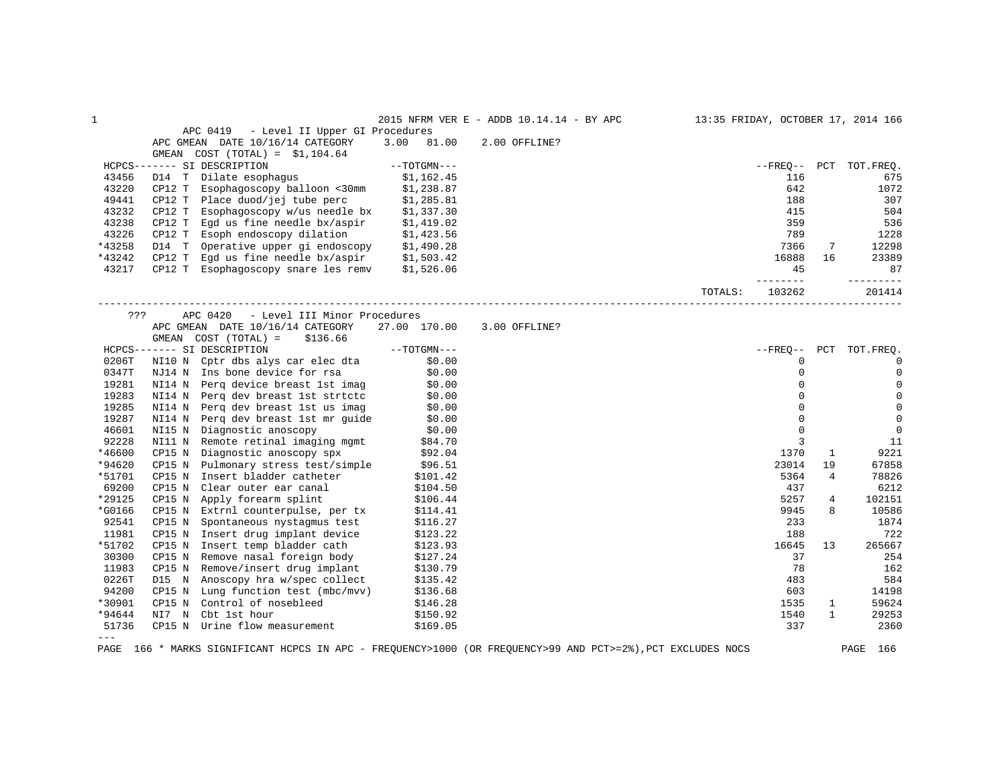| $\mathbf{1}$ |                                                                                        |                          | 2015 NFRM VER E - ADDB 10.14.14 - BY APC |         |             |              | 13:35 FRIDAY, OCTOBER 17, 2014 166 |
|--------------|----------------------------------------------------------------------------------------|--------------------------|------------------------------------------|---------|-------------|--------------|------------------------------------|
|              | APC 0419 - Level II Upper GI Procedures                                                |                          |                                          |         |             |              |                                    |
|              | APC GMEAN DATE 10/16/14 CATEGORY                                                       | 3.00 81.00               | 2.00 OFFLINE?                            |         |             |              |                                    |
|              | GMEAN $COST (TOTAL) = $1,104.64$                                                       |                          |                                          |         |             |              |                                    |
|              | HCPCS------- SI DESCRIPTION                                                            | $--TOTGMN---$            |                                          |         |             |              | --FREO-- PCT TOT.FREO.             |
| 43456        | D14 T Dilate esophagus \$1,162.45<br>CP12 T Esophagoscopy balloon <30mm \$1,238.87     |                          |                                          |         | 116         |              | 675                                |
| 43220        |                                                                                        |                          |                                          |         | 642         |              | 1072                               |
| 49441        | CP12 T Place duod/jej tube perc                                                        | \$1,285.81               |                                          |         | 188         |              | 307                                |
| 43232        | CP12 T Esophagoscopy w/us needle bx                                                    | \$1,337.30               |                                          |         | 415         |              | 504                                |
| 43238        | CP12 T Eqd us fine needle $bx/a$ spir \$1,419.02                                       |                          |                                          |         | 359         |              | 536                                |
| 43226        | CP12 T Esoph endoscopy dilation \$1,423.56                                             |                          |                                          |         | 789         |              | 1228                               |
| *43258       | D14 T Operative upper gi endoscopy \$1,490.28                                          |                          |                                          |         | 7366        | 7            | 12298                              |
| *43242       | CP12 T Egd us fine needle $bx/a$ spir $$1,503.42$                                      |                          |                                          |         | 16888       | 16           | 23389                              |
| 43217        | CP12 T Esophagoscopy snare les remv \$1,526.06                                         |                          |                                          |         | 45          |              | 87                                 |
|              |                                                                                        |                          |                                          |         | --------    |              | ----------                         |
|              |                                                                                        |                          |                                          | TOTALS: | 103262      |              | 201414                             |
| ???          | APC 0420<br>- Level III Minor Procedures                                               |                          |                                          |         |             |              |                                    |
|              | APC GMEAN DATE 10/16/14 CATEGORY                                                       | 27.00 170.00             | 3.00 OFFLINE?                            |         |             |              |                                    |
|              | GMEAN $COST (TOTAL) = $136.66$                                                         |                          |                                          |         |             |              |                                    |
|              | HCPCS------- SI DESCRIPTION                                                            | $--\text{TOTGMN}---$     |                                          |         |             |              | --FREO-- PCT TOT.FREO.             |
| 0206T        |                                                                                        |                          |                                          |         | $\mathbf 0$ |              | $\mathbf 0$                        |
|              | NI10 N Cptr dbs alys car elec dta \$0.00                                               |                          |                                          |         | $\mathbf 0$ |              | $\mathbb O$                        |
| 0347T        | NJ14 N Ins bone device for rsa                                                         | \$0.00                   |                                          |         | $\Omega$    |              |                                    |
| 19281        | NI14 N Perq device breast 1st imag \$0.00                                              |                          |                                          |         |             |              | $\mathbf 0$                        |
| 19283        | NI14 N Perq dev breast 1st strtctc \$0.00<br>NI14 N Perq dev breast 1st us imag \$0.00 |                          |                                          |         | $\Omega$    |              | $\mathbb O$                        |
| 19285        |                                                                                        |                          |                                          |         | $\Omega$    |              | $\mathbf 0$                        |
| 19287        | NI14 N Perq dev breast 1st mr guide \$0.00                                             |                          |                                          |         | $\Omega$    |              | $\overline{0}$                     |
| 46601        | NI15 N Diagnostic anoscopy                                                             | \$0.00                   |                                          |         | $\Omega$    |              | $\overline{0}$                     |
| 92228        | NI11 N Remote retinal imaging mgmt \$84.70                                             |                          |                                          |         | 3           |              | 11                                 |
| *46600       | CP15 N Diagnostic anoscopy spx \$92.04<br>CP15 N Pulmonary stress test/simple \$96.51  |                          |                                          |         | 1370        | 1            | 9221                               |
| *94620       |                                                                                        |                          |                                          |         | 23014       | 19           | 67858                              |
| *51701       | Insert bladder catheter<br>Clear outer ear canal<br>CP15 N                             | \$101.42                 |                                          |         | 5364        | 4            | 78826                              |
| 69200        | CP15 N Clear outer ear canal                                                           | \$104.50                 |                                          |         | 437         |              | 6212                               |
| *29125       | CP15 N Apply forearm splint                                                            | \$106.44                 |                                          |         | 5257        | 4            | 102151                             |
| *G0166       | CP15 N Extrnl counterpulse, per tx                                                     | \$114.41                 |                                          |         | 9945        | 8            | 10586                              |
| 92541        | CP15 N Spontaneous nystagmus test                                                      | \$116.27                 |                                          |         | 233         |              | 1874                               |
| 11981        | CP15 N Insert drug implant device                                                      | \$123.22                 |                                          |         | 188         |              | 722                                |
| *51702       | CP15 N Insert temp bladder cath                                                        | \$123.93                 |                                          |         | 16645       | 13           | 265667                             |
| 30300        | CP15 N Remove nasal foreign body                                                       | \$127.24                 |                                          |         | 37          |              | 254                                |
| 11983        | CP15 N Remove/insert drug implant                                                      | \$130.79                 |                                          |         | 78          |              | 162                                |
| 0226T        | D15 N Anoscopy hra w/spec collect                                                      | \$135.42                 |                                          |         | 483         |              | 584                                |
| 94200        | CP15 N Lung function test (mbc/mvv)                                                    | \$136.68                 |                                          |         | 603         |              | 14198                              |
| *30901       | CP15 N Control of nosebleed                                                            |                          |                                          |         | 1535        | $\mathbf{1}$ | 59624                              |
| *94644       | NI7 N Cbt 1st hour                                                                     | $$146.28$<br>$$150$ $$2$ |                                          |         | 1540        | $\mathbf{1}$ | 29253                              |
| 51736        | CP15 N Urine flow measurement                                                          | \$169.05                 |                                          |         | 337         |              | 2360                               |
| $---$        |                                                                                        |                          |                                          |         |             |              |                                    |
|              |                                                                                        |                          |                                          |         |             |              |                                    |

PAGE 166 \* MARKS SIGNIFICANT HCPCS IN APC - FREQUENCY>1000 (OR FREQUENCY>99 AND PCT>=2%),PCT EXCLUDES NOCS PAGE 166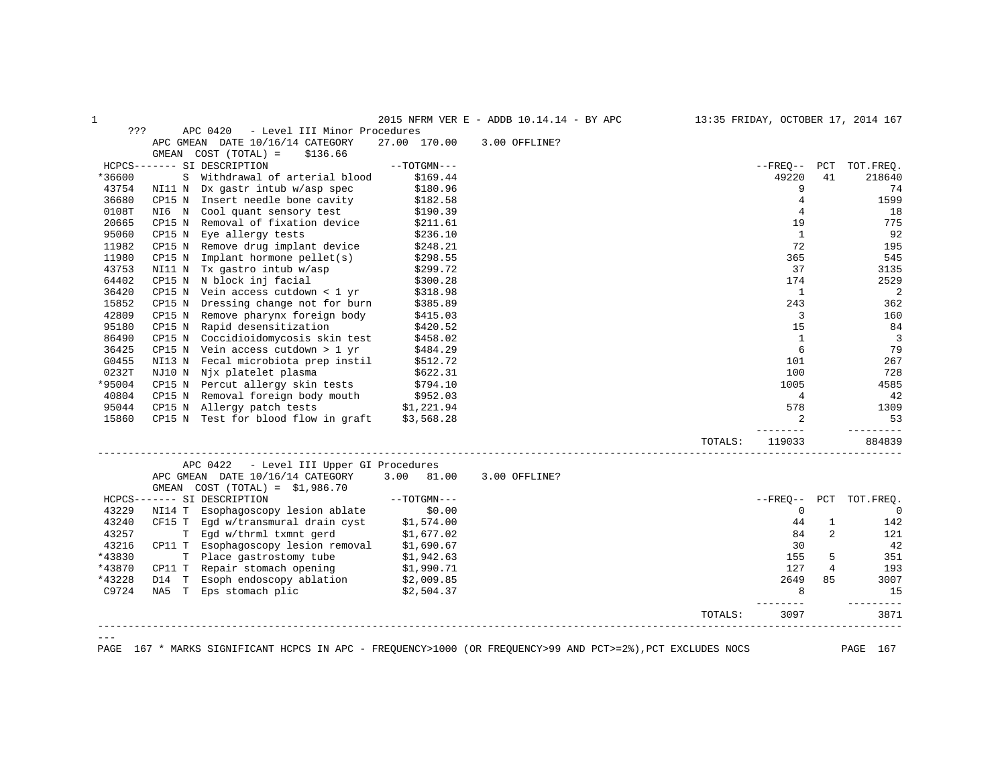| ???<br>APC 0420<br>- Level III Minor Procedures<br>27.00 170.00<br>APC GMEAN DATE 10/16/14 CATEGORY<br>3.00 OFFLINE?<br>GMEAN COST (TOTAL) =<br>\$136.66<br>HCPCS------- SI DESCRIPTION<br>$--TOTGMN---$<br>--FREO-- PCT TOT.FREO.<br>*36600<br>S Withdrawal of arterial blood<br>49220<br>\$169.44<br>41<br>9<br>43754<br>NI11 N Dx gastr intub w/asp spec<br>\$180.96<br>CP15 N Insert needle bone cavity<br>4<br>36680<br>\$182.58<br>0108T<br>NI6 N Cool quant sensory test<br>\$190.39<br>4<br>20665<br>CP15 N Removal of fixation device<br>19<br>\$211.61<br>95060<br>CP15 N Eye allergy tests<br><sup>1</sup><br>\$236.10<br>72<br>11982<br>Remove drug implant device<br>CP15 N<br>\$248.21<br>11980<br>Implant hormone pellet(s)<br>365<br>CP15 N<br>\$298.55<br>43753<br>NI11 N Tx gastro intub w/asp<br>37<br>\$299.72<br>64402<br>CP15 N N block inj facial<br>\$300.28<br>174<br>36420<br>$CP15$ N Vein access cutdown < 1 yr<br>\$318.98<br>1<br>15852<br>Dressing change not for burn<br>243<br>CP15 N<br>\$385.89<br>42809<br>CP15 N Remove pharynx foreign body<br>3<br>\$415.03<br>CP15 N Rapid desensitization<br>95180<br>15<br>\$420.52<br>$\mathbf{1}$<br>86490<br>CP15 N Coccidioidomycosis skin test<br>\$458.02<br>36425<br>CP15 N Vein access cutdown $> 1$ yr<br>6<br>\$484.29<br>G0455<br>Fecal microbiota prep instil<br>NI13 N<br>\$512.72<br>101<br>0232T<br>NJ10 N Njx platelet plasma<br>100<br>\$622.31<br>*95004<br>CP15 N Percut allergy skin tests<br>\$794.10<br>1005<br>40804<br>CP15 N Removal foreign body mouth<br>\$952.03<br>$\overline{4}$<br>CP15 N Allergy patch tests $$1,221.94$<br>95044<br>578<br>15860<br>CP15 N Test for blood flow in graft $$3,568.28$<br>$\overline{2}$<br>$- - - - - -$<br>119033<br>TOTALS:<br>APC 0422<br>- Level III Upper GI Procedures<br>APC GMEAN DATE 10/16/14 CATEGORY<br>3.00 81.00<br>3.00 OFFLINE?<br>GMEAN $COST (TOTAL) = $1,986.70$<br>HCPCS------- SI DESCRIPTION<br>$--TOTGMN---$<br>PCT<br>$--$ FREO $--$<br>TOT. FREO.<br>43229<br>NI14 T Esophagoscopy lesion ablate<br>\$0.00<br>$\mathbf 0$<br>\$1,574.00<br>43240<br>CF15 T Egd w/transmural drain cyst<br>44<br>1<br>T Egd w/thrml txmnt gerd<br>43257<br>84<br>$\overline{2}$<br>\$1,677.02<br>121<br>\$1,690.67<br>43216<br>CP11 T Esophagoscopy lesion removal<br>42<br>30<br>*43830<br>T Place gastrostomy tube<br>155<br>5<br>\$1,942.63<br>351<br>*43870<br>CP11 T Repair stomach opening<br>$\overline{4}$<br>\$1,990.71<br>127<br>193<br>D14 T Esoph endoscopy ablation \$2,009.85<br>*43228<br>2649<br>85<br>3007<br>C9724<br>NA5 T Eps stomach plic<br>\$2,504.37<br>8<br>$    -$<br>3097<br>TOTALS:<br>167 * MARKS SIGNIFICANT HCPCS IN APC - FREQUENCY>1000 (OR FREQUENCY>99 AND PCT>=2%), PCT EXCLUDES NOCS | 1    |  | 2015 NFRM VER E - ADDB 10.14.14 - BY APC | 13:35 FRIDAY, OCTOBER 17, 2014 167 |                |
|----------------------------------------------------------------------------------------------------------------------------------------------------------------------------------------------------------------------------------------------------------------------------------------------------------------------------------------------------------------------------------------------------------------------------------------------------------------------------------------------------------------------------------------------------------------------------------------------------------------------------------------------------------------------------------------------------------------------------------------------------------------------------------------------------------------------------------------------------------------------------------------------------------------------------------------------------------------------------------------------------------------------------------------------------------------------------------------------------------------------------------------------------------------------------------------------------------------------------------------------------------------------------------------------------------------------------------------------------------------------------------------------------------------------------------------------------------------------------------------------------------------------------------------------------------------------------------------------------------------------------------------------------------------------------------------------------------------------------------------------------------------------------------------------------------------------------------------------------------------------------------------------------------------------------------------------------------------------------------------------------------------------------------------------------------------------------------------------------------------------------------------------------------------------------------------------------------------------------------------------------------------------------------------------------------------------------------------------------------------------------------------------------------------------------------------------------------------------------------------------------------------------------------------------------------------------------------------------------------------------------------------------------------------------------------------------------------------------------------------------------------------------------|------|--|------------------------------------------|------------------------------------|----------------|
|                                                                                                                                                                                                                                                                                                                                                                                                                                                                                                                                                                                                                                                                                                                                                                                                                                                                                                                                                                                                                                                                                                                                                                                                                                                                                                                                                                                                                                                                                                                                                                                                                                                                                                                                                                                                                                                                                                                                                                                                                                                                                                                                                                                                                                                                                                                                                                                                                                                                                                                                                                                                                                                                                                                                                                            |      |  |                                          |                                    |                |
|                                                                                                                                                                                                                                                                                                                                                                                                                                                                                                                                                                                                                                                                                                                                                                                                                                                                                                                                                                                                                                                                                                                                                                                                                                                                                                                                                                                                                                                                                                                                                                                                                                                                                                                                                                                                                                                                                                                                                                                                                                                                                                                                                                                                                                                                                                                                                                                                                                                                                                                                                                                                                                                                                                                                                                            |      |  |                                          |                                    |                |
|                                                                                                                                                                                                                                                                                                                                                                                                                                                                                                                                                                                                                                                                                                                                                                                                                                                                                                                                                                                                                                                                                                                                                                                                                                                                                                                                                                                                                                                                                                                                                                                                                                                                                                                                                                                                                                                                                                                                                                                                                                                                                                                                                                                                                                                                                                                                                                                                                                                                                                                                                                                                                                                                                                                                                                            |      |  |                                          |                                    |                |
|                                                                                                                                                                                                                                                                                                                                                                                                                                                                                                                                                                                                                                                                                                                                                                                                                                                                                                                                                                                                                                                                                                                                                                                                                                                                                                                                                                                                                                                                                                                                                                                                                                                                                                                                                                                                                                                                                                                                                                                                                                                                                                                                                                                                                                                                                                                                                                                                                                                                                                                                                                                                                                                                                                                                                                            |      |  |                                          |                                    |                |
|                                                                                                                                                                                                                                                                                                                                                                                                                                                                                                                                                                                                                                                                                                                                                                                                                                                                                                                                                                                                                                                                                                                                                                                                                                                                                                                                                                                                                                                                                                                                                                                                                                                                                                                                                                                                                                                                                                                                                                                                                                                                                                                                                                                                                                                                                                                                                                                                                                                                                                                                                                                                                                                                                                                                                                            |      |  |                                          |                                    | 218640         |
|                                                                                                                                                                                                                                                                                                                                                                                                                                                                                                                                                                                                                                                                                                                                                                                                                                                                                                                                                                                                                                                                                                                                                                                                                                                                                                                                                                                                                                                                                                                                                                                                                                                                                                                                                                                                                                                                                                                                                                                                                                                                                                                                                                                                                                                                                                                                                                                                                                                                                                                                                                                                                                                                                                                                                                            |      |  |                                          |                                    | 74             |
|                                                                                                                                                                                                                                                                                                                                                                                                                                                                                                                                                                                                                                                                                                                                                                                                                                                                                                                                                                                                                                                                                                                                                                                                                                                                                                                                                                                                                                                                                                                                                                                                                                                                                                                                                                                                                                                                                                                                                                                                                                                                                                                                                                                                                                                                                                                                                                                                                                                                                                                                                                                                                                                                                                                                                                            |      |  |                                          |                                    | 1599           |
|                                                                                                                                                                                                                                                                                                                                                                                                                                                                                                                                                                                                                                                                                                                                                                                                                                                                                                                                                                                                                                                                                                                                                                                                                                                                                                                                                                                                                                                                                                                                                                                                                                                                                                                                                                                                                                                                                                                                                                                                                                                                                                                                                                                                                                                                                                                                                                                                                                                                                                                                                                                                                                                                                                                                                                            |      |  |                                          |                                    | 18             |
|                                                                                                                                                                                                                                                                                                                                                                                                                                                                                                                                                                                                                                                                                                                                                                                                                                                                                                                                                                                                                                                                                                                                                                                                                                                                                                                                                                                                                                                                                                                                                                                                                                                                                                                                                                                                                                                                                                                                                                                                                                                                                                                                                                                                                                                                                                                                                                                                                                                                                                                                                                                                                                                                                                                                                                            |      |  |                                          |                                    | 775            |
|                                                                                                                                                                                                                                                                                                                                                                                                                                                                                                                                                                                                                                                                                                                                                                                                                                                                                                                                                                                                                                                                                                                                                                                                                                                                                                                                                                                                                                                                                                                                                                                                                                                                                                                                                                                                                                                                                                                                                                                                                                                                                                                                                                                                                                                                                                                                                                                                                                                                                                                                                                                                                                                                                                                                                                            |      |  |                                          |                                    | 92             |
|                                                                                                                                                                                                                                                                                                                                                                                                                                                                                                                                                                                                                                                                                                                                                                                                                                                                                                                                                                                                                                                                                                                                                                                                                                                                                                                                                                                                                                                                                                                                                                                                                                                                                                                                                                                                                                                                                                                                                                                                                                                                                                                                                                                                                                                                                                                                                                                                                                                                                                                                                                                                                                                                                                                                                                            |      |  |                                          |                                    | 195            |
|                                                                                                                                                                                                                                                                                                                                                                                                                                                                                                                                                                                                                                                                                                                                                                                                                                                                                                                                                                                                                                                                                                                                                                                                                                                                                                                                                                                                                                                                                                                                                                                                                                                                                                                                                                                                                                                                                                                                                                                                                                                                                                                                                                                                                                                                                                                                                                                                                                                                                                                                                                                                                                                                                                                                                                            |      |  |                                          |                                    | 545            |
|                                                                                                                                                                                                                                                                                                                                                                                                                                                                                                                                                                                                                                                                                                                                                                                                                                                                                                                                                                                                                                                                                                                                                                                                                                                                                                                                                                                                                                                                                                                                                                                                                                                                                                                                                                                                                                                                                                                                                                                                                                                                                                                                                                                                                                                                                                                                                                                                                                                                                                                                                                                                                                                                                                                                                                            |      |  |                                          |                                    | 3135           |
|                                                                                                                                                                                                                                                                                                                                                                                                                                                                                                                                                                                                                                                                                                                                                                                                                                                                                                                                                                                                                                                                                                                                                                                                                                                                                                                                                                                                                                                                                                                                                                                                                                                                                                                                                                                                                                                                                                                                                                                                                                                                                                                                                                                                                                                                                                                                                                                                                                                                                                                                                                                                                                                                                                                                                                            |      |  |                                          |                                    | 2529           |
|                                                                                                                                                                                                                                                                                                                                                                                                                                                                                                                                                                                                                                                                                                                                                                                                                                                                                                                                                                                                                                                                                                                                                                                                                                                                                                                                                                                                                                                                                                                                                                                                                                                                                                                                                                                                                                                                                                                                                                                                                                                                                                                                                                                                                                                                                                                                                                                                                                                                                                                                                                                                                                                                                                                                                                            |      |  |                                          |                                    | 2              |
|                                                                                                                                                                                                                                                                                                                                                                                                                                                                                                                                                                                                                                                                                                                                                                                                                                                                                                                                                                                                                                                                                                                                                                                                                                                                                                                                                                                                                                                                                                                                                                                                                                                                                                                                                                                                                                                                                                                                                                                                                                                                                                                                                                                                                                                                                                                                                                                                                                                                                                                                                                                                                                                                                                                                                                            |      |  |                                          |                                    | 362            |
|                                                                                                                                                                                                                                                                                                                                                                                                                                                                                                                                                                                                                                                                                                                                                                                                                                                                                                                                                                                                                                                                                                                                                                                                                                                                                                                                                                                                                                                                                                                                                                                                                                                                                                                                                                                                                                                                                                                                                                                                                                                                                                                                                                                                                                                                                                                                                                                                                                                                                                                                                                                                                                                                                                                                                                            |      |  |                                          |                                    | 160            |
|                                                                                                                                                                                                                                                                                                                                                                                                                                                                                                                                                                                                                                                                                                                                                                                                                                                                                                                                                                                                                                                                                                                                                                                                                                                                                                                                                                                                                                                                                                                                                                                                                                                                                                                                                                                                                                                                                                                                                                                                                                                                                                                                                                                                                                                                                                                                                                                                                                                                                                                                                                                                                                                                                                                                                                            |      |  |                                          |                                    | 84             |
|                                                                                                                                                                                                                                                                                                                                                                                                                                                                                                                                                                                                                                                                                                                                                                                                                                                                                                                                                                                                                                                                                                                                                                                                                                                                                                                                                                                                                                                                                                                                                                                                                                                                                                                                                                                                                                                                                                                                                                                                                                                                                                                                                                                                                                                                                                                                                                                                                                                                                                                                                                                                                                                                                                                                                                            |      |  |                                          |                                    | $\overline{3}$ |
|                                                                                                                                                                                                                                                                                                                                                                                                                                                                                                                                                                                                                                                                                                                                                                                                                                                                                                                                                                                                                                                                                                                                                                                                                                                                                                                                                                                                                                                                                                                                                                                                                                                                                                                                                                                                                                                                                                                                                                                                                                                                                                                                                                                                                                                                                                                                                                                                                                                                                                                                                                                                                                                                                                                                                                            |      |  |                                          |                                    | 79             |
|                                                                                                                                                                                                                                                                                                                                                                                                                                                                                                                                                                                                                                                                                                                                                                                                                                                                                                                                                                                                                                                                                                                                                                                                                                                                                                                                                                                                                                                                                                                                                                                                                                                                                                                                                                                                                                                                                                                                                                                                                                                                                                                                                                                                                                                                                                                                                                                                                                                                                                                                                                                                                                                                                                                                                                            |      |  |                                          |                                    | 267            |
|                                                                                                                                                                                                                                                                                                                                                                                                                                                                                                                                                                                                                                                                                                                                                                                                                                                                                                                                                                                                                                                                                                                                                                                                                                                                                                                                                                                                                                                                                                                                                                                                                                                                                                                                                                                                                                                                                                                                                                                                                                                                                                                                                                                                                                                                                                                                                                                                                                                                                                                                                                                                                                                                                                                                                                            |      |  |                                          |                                    | 728            |
|                                                                                                                                                                                                                                                                                                                                                                                                                                                                                                                                                                                                                                                                                                                                                                                                                                                                                                                                                                                                                                                                                                                                                                                                                                                                                                                                                                                                                                                                                                                                                                                                                                                                                                                                                                                                                                                                                                                                                                                                                                                                                                                                                                                                                                                                                                                                                                                                                                                                                                                                                                                                                                                                                                                                                                            |      |  |                                          |                                    | 4585           |
|                                                                                                                                                                                                                                                                                                                                                                                                                                                                                                                                                                                                                                                                                                                                                                                                                                                                                                                                                                                                                                                                                                                                                                                                                                                                                                                                                                                                                                                                                                                                                                                                                                                                                                                                                                                                                                                                                                                                                                                                                                                                                                                                                                                                                                                                                                                                                                                                                                                                                                                                                                                                                                                                                                                                                                            |      |  |                                          |                                    | 42             |
|                                                                                                                                                                                                                                                                                                                                                                                                                                                                                                                                                                                                                                                                                                                                                                                                                                                                                                                                                                                                                                                                                                                                                                                                                                                                                                                                                                                                                                                                                                                                                                                                                                                                                                                                                                                                                                                                                                                                                                                                                                                                                                                                                                                                                                                                                                                                                                                                                                                                                                                                                                                                                                                                                                                                                                            |      |  |                                          |                                    | 1309           |
|                                                                                                                                                                                                                                                                                                                                                                                                                                                                                                                                                                                                                                                                                                                                                                                                                                                                                                                                                                                                                                                                                                                                                                                                                                                                                                                                                                                                                                                                                                                                                                                                                                                                                                                                                                                                                                                                                                                                                                                                                                                                                                                                                                                                                                                                                                                                                                                                                                                                                                                                                                                                                                                                                                                                                                            |      |  |                                          |                                    | 53             |
|                                                                                                                                                                                                                                                                                                                                                                                                                                                                                                                                                                                                                                                                                                                                                                                                                                                                                                                                                                                                                                                                                                                                                                                                                                                                                                                                                                                                                                                                                                                                                                                                                                                                                                                                                                                                                                                                                                                                                                                                                                                                                                                                                                                                                                                                                                                                                                                                                                                                                                                                                                                                                                                                                                                                                                            |      |  |                                          |                                    | 884839         |
|                                                                                                                                                                                                                                                                                                                                                                                                                                                                                                                                                                                                                                                                                                                                                                                                                                                                                                                                                                                                                                                                                                                                                                                                                                                                                                                                                                                                                                                                                                                                                                                                                                                                                                                                                                                                                                                                                                                                                                                                                                                                                                                                                                                                                                                                                                                                                                                                                                                                                                                                                                                                                                                                                                                                                                            |      |  |                                          |                                    |                |
|                                                                                                                                                                                                                                                                                                                                                                                                                                                                                                                                                                                                                                                                                                                                                                                                                                                                                                                                                                                                                                                                                                                                                                                                                                                                                                                                                                                                                                                                                                                                                                                                                                                                                                                                                                                                                                                                                                                                                                                                                                                                                                                                                                                                                                                                                                                                                                                                                                                                                                                                                                                                                                                                                                                                                                            |      |  |                                          |                                    |                |
|                                                                                                                                                                                                                                                                                                                                                                                                                                                                                                                                                                                                                                                                                                                                                                                                                                                                                                                                                                                                                                                                                                                                                                                                                                                                                                                                                                                                                                                                                                                                                                                                                                                                                                                                                                                                                                                                                                                                                                                                                                                                                                                                                                                                                                                                                                                                                                                                                                                                                                                                                                                                                                                                                                                                                                            |      |  |                                          |                                    |                |
|                                                                                                                                                                                                                                                                                                                                                                                                                                                                                                                                                                                                                                                                                                                                                                                                                                                                                                                                                                                                                                                                                                                                                                                                                                                                                                                                                                                                                                                                                                                                                                                                                                                                                                                                                                                                                                                                                                                                                                                                                                                                                                                                                                                                                                                                                                                                                                                                                                                                                                                                                                                                                                                                                                                                                                            |      |  |                                          |                                    |                |
|                                                                                                                                                                                                                                                                                                                                                                                                                                                                                                                                                                                                                                                                                                                                                                                                                                                                                                                                                                                                                                                                                                                                                                                                                                                                                                                                                                                                                                                                                                                                                                                                                                                                                                                                                                                                                                                                                                                                                                                                                                                                                                                                                                                                                                                                                                                                                                                                                                                                                                                                                                                                                                                                                                                                                                            |      |  |                                          |                                    | $\mathbf 0$    |
|                                                                                                                                                                                                                                                                                                                                                                                                                                                                                                                                                                                                                                                                                                                                                                                                                                                                                                                                                                                                                                                                                                                                                                                                                                                                                                                                                                                                                                                                                                                                                                                                                                                                                                                                                                                                                                                                                                                                                                                                                                                                                                                                                                                                                                                                                                                                                                                                                                                                                                                                                                                                                                                                                                                                                                            |      |  |                                          |                                    | 142            |
|                                                                                                                                                                                                                                                                                                                                                                                                                                                                                                                                                                                                                                                                                                                                                                                                                                                                                                                                                                                                                                                                                                                                                                                                                                                                                                                                                                                                                                                                                                                                                                                                                                                                                                                                                                                                                                                                                                                                                                                                                                                                                                                                                                                                                                                                                                                                                                                                                                                                                                                                                                                                                                                                                                                                                                            |      |  |                                          |                                    |                |
|                                                                                                                                                                                                                                                                                                                                                                                                                                                                                                                                                                                                                                                                                                                                                                                                                                                                                                                                                                                                                                                                                                                                                                                                                                                                                                                                                                                                                                                                                                                                                                                                                                                                                                                                                                                                                                                                                                                                                                                                                                                                                                                                                                                                                                                                                                                                                                                                                                                                                                                                                                                                                                                                                                                                                                            |      |  |                                          |                                    |                |
|                                                                                                                                                                                                                                                                                                                                                                                                                                                                                                                                                                                                                                                                                                                                                                                                                                                                                                                                                                                                                                                                                                                                                                                                                                                                                                                                                                                                                                                                                                                                                                                                                                                                                                                                                                                                                                                                                                                                                                                                                                                                                                                                                                                                                                                                                                                                                                                                                                                                                                                                                                                                                                                                                                                                                                            |      |  |                                          |                                    |                |
|                                                                                                                                                                                                                                                                                                                                                                                                                                                                                                                                                                                                                                                                                                                                                                                                                                                                                                                                                                                                                                                                                                                                                                                                                                                                                                                                                                                                                                                                                                                                                                                                                                                                                                                                                                                                                                                                                                                                                                                                                                                                                                                                                                                                                                                                                                                                                                                                                                                                                                                                                                                                                                                                                                                                                                            |      |  |                                          |                                    |                |
|                                                                                                                                                                                                                                                                                                                                                                                                                                                                                                                                                                                                                                                                                                                                                                                                                                                                                                                                                                                                                                                                                                                                                                                                                                                                                                                                                                                                                                                                                                                                                                                                                                                                                                                                                                                                                                                                                                                                                                                                                                                                                                                                                                                                                                                                                                                                                                                                                                                                                                                                                                                                                                                                                                                                                                            |      |  |                                          |                                    | 15             |
|                                                                                                                                                                                                                                                                                                                                                                                                                                                                                                                                                                                                                                                                                                                                                                                                                                                                                                                                                                                                                                                                                                                                                                                                                                                                                                                                                                                                                                                                                                                                                                                                                                                                                                                                                                                                                                                                                                                                                                                                                                                                                                                                                                                                                                                                                                                                                                                                                                                                                                                                                                                                                                                                                                                                                                            |      |  |                                          |                                    | ---------      |
|                                                                                                                                                                                                                                                                                                                                                                                                                                                                                                                                                                                                                                                                                                                                                                                                                                                                                                                                                                                                                                                                                                                                                                                                                                                                                                                                                                                                                                                                                                                                                                                                                                                                                                                                                                                                                                                                                                                                                                                                                                                                                                                                                                                                                                                                                                                                                                                                                                                                                                                                                                                                                                                                                                                                                                            |      |  |                                          |                                    | 3871           |
|                                                                                                                                                                                                                                                                                                                                                                                                                                                                                                                                                                                                                                                                                                                                                                                                                                                                                                                                                                                                                                                                                                                                                                                                                                                                                                                                                                                                                                                                                                                                                                                                                                                                                                                                                                                                                                                                                                                                                                                                                                                                                                                                                                                                                                                                                                                                                                                                                                                                                                                                                                                                                                                                                                                                                                            | PAGE |  |                                          |                                    | PAGE 167       |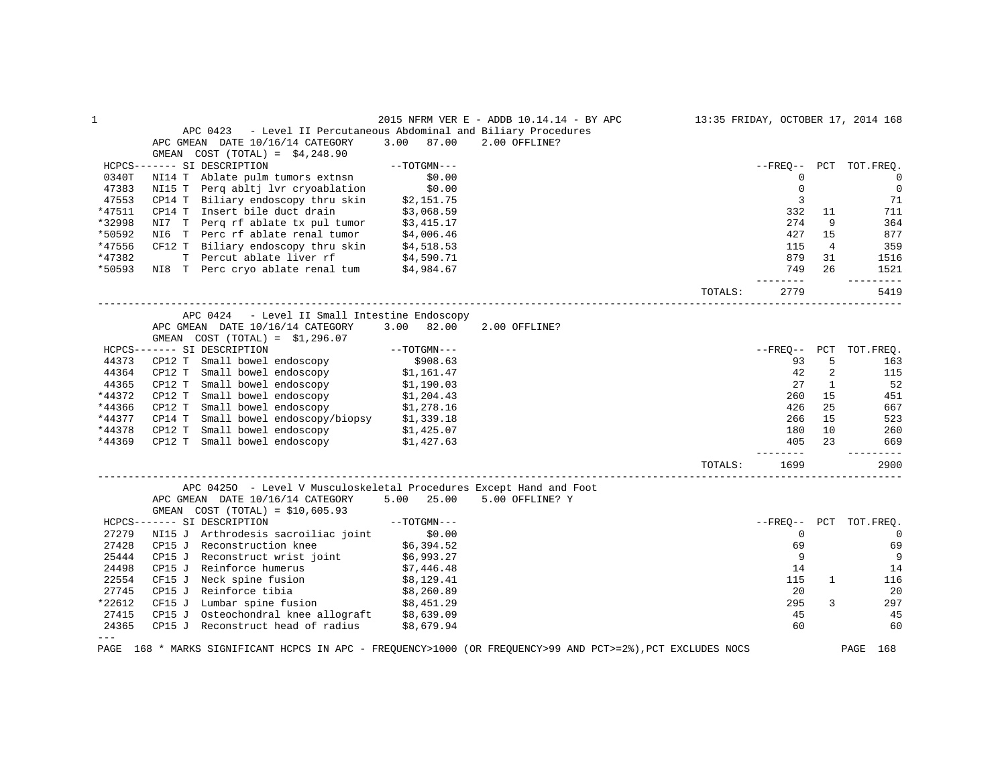| $\mathbf{1}$ |                                                                                                             |                                   | 2015 NFRM VER E - ADDB 10.14.14 - BY APC |         |                |                | 13:35 FRIDAY, OCTOBER 17, 2014 168 |
|--------------|-------------------------------------------------------------------------------------------------------------|-----------------------------------|------------------------------------------|---------|----------------|----------------|------------------------------------|
|              | - Level II Percutaneous Abdominal and Biliary Procedures<br>APC 0423                                        |                                   |                                          |         |                |                |                                    |
|              | APC GMEAN DATE 10/16/14 CATEGORY                                                                            | 3.00 87.00                        | 2.00 OFFLINE?                            |         |                |                |                                    |
|              | GMEAN $COST (TOTAL) = $4,248.90$                                                                            |                                   |                                          |         |                |                |                                    |
|              | HCPCS------- SI DESCRIPTION                                                                                 | --TOTGMN---                       |                                          |         | --FREO--       |                | PCT TOT.FREO.                      |
| 0340T        | NI14 T Ablate pulm tumors extnsn                                                                            | \$0.00                            |                                          |         | $\mathbf{0}$   |                | $\circ$                            |
| 47383        | NI15 T Perg abltj lvr cryoablation                                                                          | \$0.00                            |                                          |         | $\mathbf 0$    |                | $\mathbf 0$                        |
| 47553        | CP14 T Biliary endoscopy thru skin                                                                          | $\ddot{\mathbf{z}}$<br>\$2,151.75 |                                          |         | 3              |                | 71                                 |
| *47511       | CP14 T Insert bile duct drain                                                                               | \$3,068.59                        |                                          |         | 332            | 11             | 711                                |
| *32998       |                                                                                                             |                                   |                                          |         | 274            | 9              | 364                                |
| *50592       | NI7 T Perq rf ablate tx pul tumor \$3,415.17<br>NI6 T Perc rf ablate renal tumor \$4,006.46                 |                                   |                                          |         | 427            | 15             | 877                                |
| *47556       |                                                                                                             |                                   |                                          |         | 115            | $\overline{4}$ | 359                                |
| *47382       | CF12 T Biliary endoscopy thru skin $$4,518.53$<br>T Percut ablate liver rf $$4,590.71$                      |                                   |                                          |         | 879            | 31             | 1516                               |
| *50593       | NI8 T Perc cryo ablate renal tum \$4,984.67                                                                 |                                   |                                          |         | 749            | 26             | 1521                               |
|              |                                                                                                             |                                   |                                          |         | --------       |                | ----------                         |
|              |                                                                                                             |                                   |                                          | TOTALS: | 2779           |                | 5419                               |
|              | APC 0424<br>- Level II Small Intestine Endoscopy                                                            |                                   |                                          |         |                |                |                                    |
|              | APC GMEAN DATE 10/16/14 CATEGORY                                                                            | 3.00 82.00                        | 2.00 OFFLINE?                            |         |                |                |                                    |
|              | GMEAN $COST (TOTAL) = $1,296.07$                                                                            |                                   |                                          |         |                |                |                                    |
|              | HCPCS------- SI DESCRIPTION                                                                                 | $--TOTGMN---$                     |                                          |         | --FREO-- PCT   |                | TOT.FREQ.                          |
| 44373        | CP12 T Small bowel endoscopy                                                                                | \$908.63                          |                                          |         | 93             | 5              | 163                                |
| 44364        | CP12 T Small bowel endoscopy $$1,161.47$                                                                    |                                   |                                          |         | 42             | 2              | 115                                |
| 44365        | CP12 T<br>Small bowel endoscopy                                                                             |                                   |                                          |         | 27             | 1              | 52                                 |
| *44372       | CP12 T Small bowel endoscopy                                                                                | \$1,190.03<br>\$1,204.43          |                                          |         | 260            | 15             | 451                                |
| *44366       | CP12 T Small bowel endoscopy                                                                                | \$1,278.16                        |                                          |         | 426            | 25             | 667                                |
| *44377       | CP14 T Small bowel endoscopy/biopsy                                                                         | \$1,339.18                        |                                          |         | 266            | 15             | 523                                |
| *44378       | Small bowel endoscopy<br>CP12 T                                                                             | \$1,425.07                        |                                          |         | 180            | 10             | 260                                |
| *44369       | CP12 T Small bowel endoscopy \$1,427.63                                                                     |                                   |                                          |         | 405            | 23             | 669                                |
|              |                                                                                                             |                                   |                                          |         |                |                |                                    |
|              |                                                                                                             |                                   |                                          | TOTALS: | 1699           |                | 2900                               |
|              | APC 04250 - Level V Musculoskeletal Procedures Except Hand and Foot                                         |                                   |                                          |         |                |                |                                    |
|              | APC GMEAN DATE 10/16/14 CATEGORY                                                                            | $5.00$ 25.00                      | 5.00 OFFLINE? Y                          |         |                |                |                                    |
|              | GMEAN $COST (TOTAL) = $10,605.93$                                                                           |                                   |                                          |         |                |                |                                    |
|              | $--TOTGMN---$<br>HCPCS------- SI DESCRIPTION                                                                |                                   |                                          |         | $--$ FREO $--$ |                | PCT TOT.FREO.                      |
| 27279        | NI15 J Arthrodesis sacroiliac joint \$0.00                                                                  |                                   |                                          |         | $\Omega$       |                | $\Omega$                           |
| 27428        | CP15 J Reconstruction knee                                                                                  | \$6,394.52                        |                                          |         | 69             |                | 69                                 |
| 25444        | CP15 J Reconstruct wrist joint                                                                              | \$6,993.27                        |                                          |         | 9              |                | 9                                  |
| 24498        | CP15 J Reinforce humerus                                                                                    | \$7,446.48                        |                                          |         | 14             |                | 14                                 |
| 22554        | CF15 J Neck spine fusion<br>CP15 J Reinforce tibia                                                          |                                   |                                          |         | 115            | $\mathbf{1}$   | 116                                |
| 27745        |                                                                                                             | . دعا, ۶۵,<br>\$8,260.89<br>وو    |                                          |         | 20             |                | 20                                 |
| *22612       | Lumbar spine fusion \$8,451.29<br>CF15 J                                                                    |                                   |                                          |         | 295            | 3              | 297                                |
| 27415        | CP15 J Osteochondral knee allograft $$8,639.09$                                                             |                                   |                                          |         | 45             |                | 45                                 |
| 24365        | CP15 J Reconstruct head of radius                                                                           | \$8,679.94                        |                                          |         | 60             |                | 60                                 |
| $---$        | PAGE 168 * MARKS SIGNIFICANT HCPCS IN APC - FREQUENCY>1000 (OR FREQUENCY>99 AND PCT>=2%), PCT EXCLUDES NOCS |                                   |                                          |         |                |                | PAGE 168                           |
|              |                                                                                                             |                                   |                                          |         |                |                |                                    |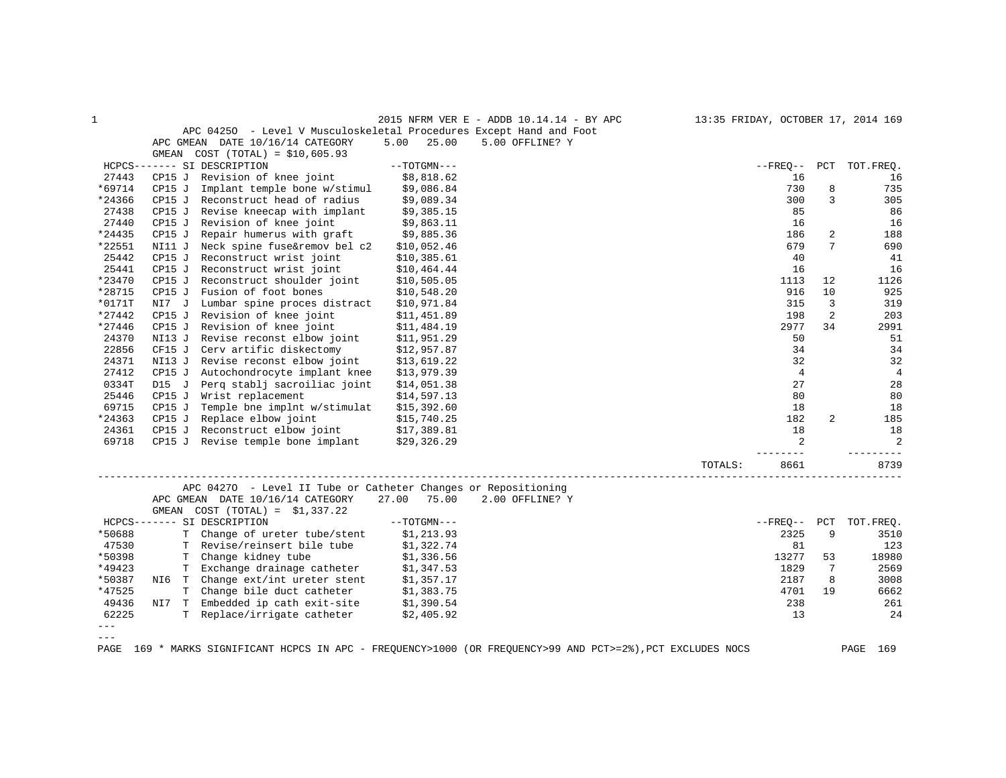| $\mathbf 1$   |        |                                                                     |                | 2015 NFRM VER E - ADDB 10.14.14 - BY APC |         |                        |          | 13:35 FRIDAY, OCTOBER 17, 2014 169 |
|---------------|--------|---------------------------------------------------------------------|----------------|------------------------------------------|---------|------------------------|----------|------------------------------------|
|               |        | APC 04250 - Level V Musculoskeletal Procedures Except Hand and Foot |                |                                          |         |                        |          |                                    |
|               |        | APC GMEAN DATE 10/16/14 CATEGORY                                    | 5.00<br>25.00  | 5.00 OFFLINE? Y                          |         |                        |          |                                    |
|               | GMEAN  | $COST (TOTAL) = $10,605.93$                                         |                |                                          |         |                        |          |                                    |
|               |        | HCPCS------- SI DESCRIPTION                                         | $--TOTGMN---$  |                                          |         | $--$ FREO $--$         |          | PCT TOT. FREO.                     |
| 27443         | CP15J  | Revision of knee joint                                              | \$8,818.62     |                                          |         | 16                     |          | 16                                 |
| *69714        | CP15J  | Implant temple bone w/stimul                                        | \$9,086.84     |                                          |         | 730                    | 8        | 735                                |
| *24366        | CP15 J | Reconstruct head of radius                                          | \$9,089.34     |                                          |         | 300                    | 3        | 305                                |
| 27438         | CP15 J | Revise kneecap with implant                                         | \$9,385.15     |                                          |         | 85                     |          | 86                                 |
| 27440         | CP15 J | Revision of knee joint                                              | \$9,863.11     |                                          |         | 16                     |          | 16                                 |
| *24435        | CP15 J | Repair humerus with graft                                           | \$9,885.36     |                                          |         | 186                    | 2        | 188                                |
| *22551        | NI11 J | Neck spine fuse&remov bel c2                                        | \$10,052.46    |                                          |         | 679                    | 7        | 690                                |
| 25442         | CP15J  | Reconstruct wrist joint                                             | \$10,385.61    |                                          |         | 40                     |          | 41                                 |
| 25441         | CP15 J | Reconstruct wrist joint                                             | \$10,464.44    |                                          |         | 16                     |          | 16                                 |
| *23470        | CP15 J | Reconstruct shoulder joint                                          | \$10,505.05    |                                          |         | 1113                   | 12       | 1126                               |
| *28715        | CP15J  | Fusion of foot bones                                                | \$10,548.20    |                                          |         | 916                    | 10       | 925                                |
| *0171T        | NI7 J  | Lumbar spine proces distract                                        | \$10,971.84    |                                          |         | 315                    | 3        | 319                                |
| $*27442$      | CP15 J | Revision of knee joint                                              | \$11,451.89    |                                          |         | 198                    | 2        | 203                                |
| *27446        | CP15 J | Revision of knee joint                                              | \$11,484.19    |                                          |         | 2977                   | 34       | 2991                               |
| 24370         | NI13 J | Revise reconst elbow joint                                          | \$11,951.29    |                                          |         | 50                     |          | 51                                 |
| 22856         | CF15 J | Cerv artific diskectomy                                             | \$12,957.87    |                                          |         | 34                     |          | 34                                 |
| 24371         | NI13 J | Revise reconst elbow joint                                          | \$13,619.22    |                                          |         | 32                     |          | 32                                 |
| 27412         | CP15 J | Autochondrocyte implant knee                                        | \$13,979.39    |                                          |         | $\overline{4}$         |          | $\overline{4}$                     |
| 0334T         | D15 J  | Perg stablj sacroiliac joint                                        | \$14,051.38    |                                          |         | 27                     |          | 28                                 |
| 25446         |        | CP15 J Wrist replacement                                            | \$14,597.13    |                                          |         | 80                     |          | 80                                 |
| 69715         | CP15 J | Temple bne implnt w/stimulat                                        | \$15,392.60    |                                          |         | 18                     |          | 18                                 |
| *24363        | CP15 J | Replace elbow joint                                                 | \$15,740.25    |                                          |         | 182                    | 2        | 185                                |
| 24361         |        | CP15 J Reconstruct elbow joint                                      | \$17,389.81    |                                          |         | 18                     |          | 18                                 |
| 69718         |        | CP15 J Revise temple bone implant                                   | \$29,326.29    |                                          |         | $\overline{a}$         |          | 2                                  |
|               |        |                                                                     |                |                                          |         |                        |          |                                    |
|               |        |                                                                     |                |                                          | TOTALS: | 8661                   |          | 8739                               |
|               |        | APC 04270 - Level II Tube or Catheter Changes or Repositioning      |                |                                          |         |                        |          |                                    |
|               |        |                                                                     |                | 2.00 OFFLINE? Y                          |         |                        |          |                                    |
|               |        | APC GMEAN DATE 10/16/14 CATEGORY                                    | 27.00<br>75.00 |                                          |         |                        |          |                                    |
|               |        | GMEAN $COST (TOTAL) = $1,337.22$                                    |                |                                          |         |                        |          |                                    |
|               |        | HCPCS------- SI DESCRIPTION                                         | $--TOTGMN---$  |                                          |         | $--$ FREO $--$<br>2325 | PCT<br>9 | TOT.FREQ.                          |
| *50688        |        | T Change of ureter tube/stent                                       | \$1,213.93     |                                          |         |                        |          | 3510                               |
| 47530         | Т      | Revise/reinsert bile tube                                           | \$1,322.74     |                                          |         | 81                     |          | 123                                |
| *50398        |        | T Change kidney tube                                                | \$1,336.56     |                                          |         | 13277                  | 53       | 18980                              |
| *49423        |        | T Exchange drainage catheter                                        | \$1,347.53     |                                          |         | 1829                   | 7        | 2569                               |
| *50387        |        | NI6 T Change ext/int ureter stent                                   | \$1,357.17     |                                          |         | 2187                   | 8        | 3008                               |
| *47525        |        | T Change bile duct catheter                                         | \$1,383.75     |                                          |         | 4701                   | 19       | 6662                               |
| 49436         |        | NI7 T Embedded ip cath exit-site                                    | \$1,390.54     |                                          |         | 238                    |          | 261                                |
| 62225         |        | T Replace/irrigate catheter                                         | \$2,405.92     |                                          |         | 13                     |          | 24                                 |
| $---$         |        |                                                                     |                |                                          |         |                        |          |                                    |
| $\frac{1}{2}$ |        |                                                                     |                |                                          |         |                        |          |                                    |

PAGE 169 \* MARKS SIGNIFICANT HCPCS IN APC - FREQUENCY>1000 (OR FREQUENCY>99 AND PCT>=2%),PCT EXCLUDES NOCS PAGE 169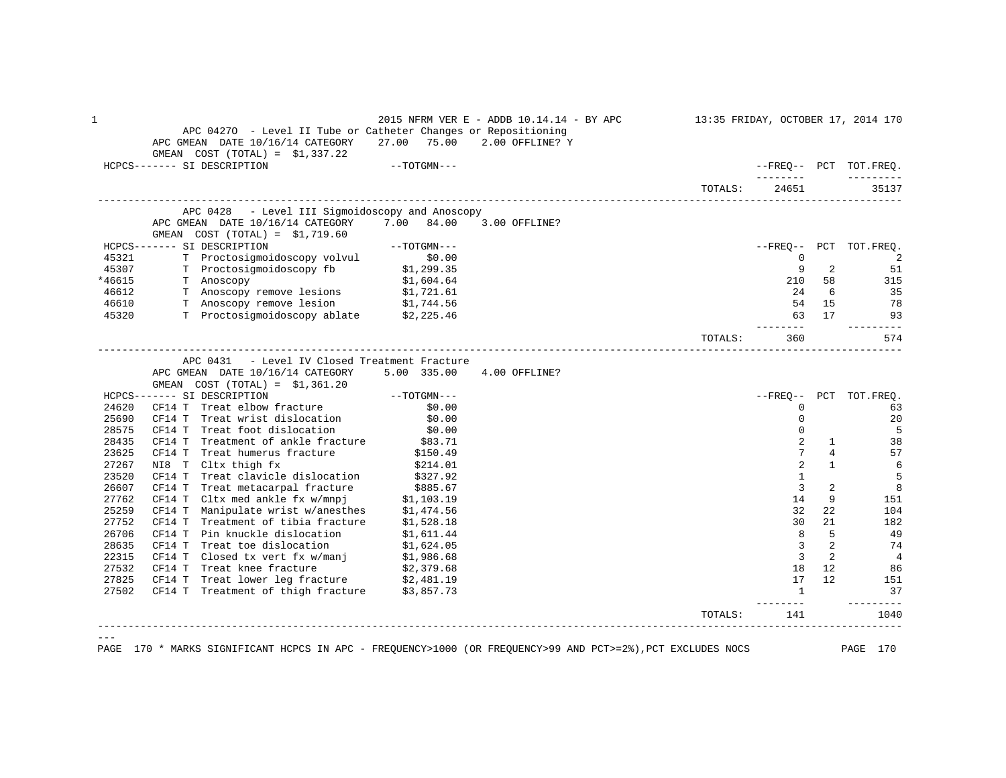|                | APC 04270 - Level II Tube or Catheter Changes or Repositioning<br>APC GMEAN DATE 10/16/14 CATEGORY<br>GMEAN $COST (TOTAL) = $1,337.22$ | 27.00 75.00            | 2015 NFRM VER E - ADDB 10.14.14 - BY APC<br>2.00 OFFLINE? Y | 13:35 FRIDAY, OCTOBER 17, 2014 170 |                 |                                |                        |
|----------------|----------------------------------------------------------------------------------------------------------------------------------------|------------------------|-------------------------------------------------------------|------------------------------------|-----------------|--------------------------------|------------------------|
|                | HCPCS------- SI DESCRIPTION                                                                                                            | $--TOTGMN---$          |                                                             |                                    |                 |                                | --FREO-- PCT TOT.FREO. |
|                |                                                                                                                                        |                        |                                                             |                                    | --------        |                                |                        |
|                |                                                                                                                                        |                        |                                                             | TOTALS:                            | 24651           |                                | 35137                  |
|                | APC 0428 - Level III Sigmoidoscopy and Anoscopy                                                                                        |                        |                                                             |                                    |                 |                                |                        |
|                | APC GMEAN DATE 10/16/14 CATEGORY 7.00 84.00<br>GMEAN $COST (TOTAL) = $1,719.60$                                                        |                        | 3.00 OFFLINE?                                               |                                    |                 |                                |                        |
|                | HCPCS------- SI DESCRIPTION                                                                                                            | --TOTGMN---            |                                                             |                                    |                 |                                | --FREQ-- PCT TOT.FREQ. |
| 45321          | T Proctosigmoidoscopy volvul \$0.00                                                                                                    |                        |                                                             |                                    | $\mathbf{0}$    |                                | -2                     |
| 45307          | T Proctosigmoidoscopy fb \$1,299.35                                                                                                    |                        |                                                             |                                    | 9               | 2                              | 51                     |
| *46615         | T Anoscopy                                                                                                                             | \$1,604.64             |                                                             |                                    |                 | 210 58                         | 315                    |
| 46612          | T Anoscopy remove lesions                                                                                                              | \$1,721.61             |                                                             |                                    | 2.4             | -6                             | 35                     |
| 46610          | T Anoscopy remove lesion \$1,744.56                                                                                                    |                        |                                                             |                                    |                 | 54 15                          | -78                    |
| 45320          | T Proctosigmoidoscopy ablate \$2,225.46                                                                                                |                        |                                                             |                                    |                 | 63 17                          | 93                     |
|                |                                                                                                                                        |                        |                                                             | TOTALS:                            | 360             |                                | 574                    |
|                | APC 0431 - Level IV Closed Treatment Fracture<br>APC GMEAN DATE 10/16/14 CATEGORY                                                      | 5.00 335.00            | 4.00 OFFLINE?                                               |                                    |                 |                                |                        |
|                | GMEAN $COST (TOTAL) = $1,361.20$                                                                                                       |                        |                                                             |                                    |                 |                                |                        |
|                | HCPCS------- SI DESCRIPTION                                                                                                            | $--TOTGMN---$          |                                                             |                                    | $--$ FREO $--$  |                                | PCT TOT. FREQ.         |
| 24620          | CF14 T Treat elbow fracture                                                                                                            | \$0.00                 |                                                             |                                    | $\Omega$        |                                | 63                     |
| 25690          | CF14 T Treat wrist dislocation                                                                                                         | \$0.00                 |                                                             |                                    | $\mathbf 0$     |                                | 20                     |
| 28575          | Treat foot dislocation<br>CF14 T                                                                                                       | \$0.00                 |                                                             |                                    | 0               |                                | 5                      |
| 28435          | Treatment of ankle fracture<br>CF14 T<br>CF14 T                                                                                        | \$83.71                |                                                             |                                    | 2<br>7          | $\mathbf{1}$<br>$\overline{4}$ | 38                     |
| 23625<br>27267 | Treat humerus fracture<br>NI8 T Cltx thigh fx                                                                                          | \$150.49               |                                                             |                                    | $\overline{2}$  | $\mathbf{1}$                   | 57                     |
| 23520          | CF14 T Treat clavicle dislocation                                                                                                      | \$214.01<br>\$327.92   |                                                             |                                    | $\mathbf{1}$    |                                | 6<br>5                 |
| 26607          | Treat metacarpal fracture<br>CF14 T                                                                                                    |                        |                                                             |                                    | $\overline{3}$  | 2                              | 8                      |
| 27762          | CF14 T Cltx med ankle fx w/mnpj                                                                                                        | \$885.67<br>\$1,103.19 |                                                             |                                    | 14              | 9                              | 151                    |
| 25259          | CF14 T Manipulate wrist w/anesthes                                                                                                     | \$1,474.56             |                                                             |                                    | 32              | 22                             | 104                    |
| 27752          | CF14 T<br>Treatment of tibia fracture                                                                                                  | \$1,528.18             |                                                             |                                    | 30              | 21                             | 182                    |
| 26706          | Pin knuckle dislocation<br>CF14 T                                                                                                      | \$1,611.44             |                                                             |                                    | 8               | 5                              | 49                     |
| 28635          | Treat toe dislocation<br>CF14 T                                                                                                        | \$1,624.05             |                                                             |                                    | $\mathbf{3}$    | 2                              | 74                     |
| 22315          | $CFT 1$ T Closed tx vert fx w/manj                                                                                                     | \$1,986.68             |                                                             |                                    | $\overline{3}$  | 2                              | $\overline{4}$         |
| 27532          | CF14 T Treat knee fracture                                                                                                             | \$2,379.68             |                                                             |                                    | 18              | 12                             | 86                     |
| 27825          | CF14 T<br>Treat lower leg fracture \$2,481.19                                                                                          |                        |                                                             |                                    | 17              | 12                             | 151                    |
| 27502          | CF14 T Treatment of thigh fracture \$3,857.73                                                                                          |                        |                                                             |                                    | $\mathbf{1}$    |                                | 37                     |
|                |                                                                                                                                        |                        |                                                             | TOTALS:                            | --------<br>141 |                                | 1040                   |
|                |                                                                                                                                        |                        |                                                             |                                    |                 |                                |                        |
|                |                                                                                                                                        |                        |                                                             |                                    |                 |                                |                        |

PAGE 170 \* MARKS SIGNIFICANT HCPCS IN APC - FREQUENCY>1000 (OR FREQUENCY>99 AND PCT>=2%),PCT EXCLUDES NOCS PAGE 170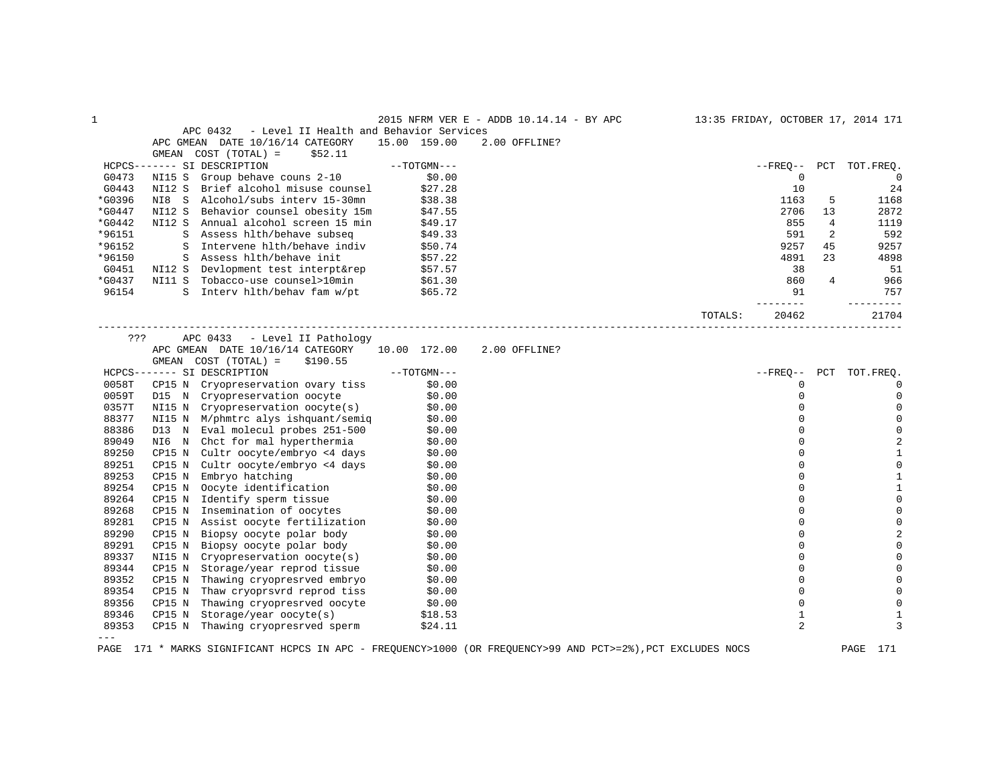|          |                                                                                                                                   |               | 2015 NFRM VER E - ADDB 10.14.14 - BY APC | 13:35 FRIDAY, OCTOBER 17, 2014 171 |              |     |                     |
|----------|-----------------------------------------------------------------------------------------------------------------------------------|---------------|------------------------------------------|------------------------------------|--------------|-----|---------------------|
|          | APC 0432<br>- Level II Health and Behavior Services                                                                               |               |                                          |                                    |              |     |                     |
|          | APC GMEAN DATE 10/16/14 CATEGORY                                                                                                  | 15.00 159.00  | 2.00 OFFLINE?                            |                                    |              |     |                     |
|          | COST (TOTAL) =<br>\$52.11<br>GMEAN                                                                                                |               |                                          |                                    |              |     |                     |
|          | HCPCS------- SI DESCRIPTION                                                                                                       | $--TOTGMN---$ |                                          |                                    | $- FREQ--$   |     | PCT TOT.FREQ.       |
| G0473    | NI15 S Group behave couns 2-10                                                                                                    | \$0.00        |                                          |                                    | 0            |     | $\overline{0}$      |
| G0443    | NI12 S Brief alcohol misuse counsel                                                                                               | \$27.28       |                                          |                                    | 10           |     | 24                  |
| *G0396   | NI8 S Alcohol/subs interv 15-30mn                                                                                                 | \$38.38       |                                          |                                    | 1163         | 5   | 1168                |
| $*G0447$ | NI12 S Behavior counsel obesity 15m                                                                                               | \$47.55       |                                          |                                    | 2706         | 13  | 2872                |
| *G0442   | NI12 S Annual alcohol screen 15 min                                                                                               | \$49.17       |                                          |                                    | 855          | 4   | 1119                |
| *96151   | S Assess hlth/behave subseq                                                                                                       | \$49.33       |                                          |                                    | 591          | 2   | 592                 |
| *96152   | S Intervene hlth/behave indiv                                                                                                     | \$50.74       |                                          |                                    | 9257         | 45  | 9257                |
| *96150   | S Assess hlth/behave init                                                                                                         | \$57.22       |                                          |                                    | 4891         | 23  | 4898                |
| G0451    |                                                                                                                                   |               |                                          |                                    | 38           |     | 51                  |
| *G0437   | NI12 S Devlopment test interpt&rep \$57.57<br>NI11 S Tobacco-use counsel>10min \$61.30                                            |               |                                          |                                    | 860          | 4   | 966                 |
| 96154    | S Interv hlth/behav fam w/pt \$65.72                                                                                              |               |                                          |                                    | 91           |     | 757                 |
|          |                                                                                                                                   |               |                                          |                                    |              |     | ---------           |
|          |                                                                                                                                   |               |                                          | TOTALS:                            | 20462        |     | 21704               |
| ???      | APC 0433 - Level II Pathology                                                                                                     |               |                                          |                                    |              |     |                     |
|          | APC GMEAN DATE 10/16/14 CATEGORY 10.00 172.00                                                                                     |               | 2.00 OFFLINE?                            |                                    |              |     |                     |
|          | GMEAN COST (TOTAL) =<br>\$190.55                                                                                                  |               |                                          |                                    |              |     |                     |
|          | HCPCS------- SI DESCRIPTION                                                                                                       | $--TOTGMN---$ |                                          |                                    | $- FREO--$   | PCT | TOT.FREO.           |
| 0058T    | CP15 N Cryopreservation ovary tiss                                                                                                | \$0.00        |                                          |                                    | 0            |     | $\mathbf 0$         |
| 0059T    | D15 N Cryopreservation oocyte \$0.00<br>NI15 N Cryopreservation oocyte(s) \$0.00                                                  |               |                                          |                                    | $\mathbf 0$  |     | $\mathbf{0}$        |
| 0357T    |                                                                                                                                   |               |                                          |                                    | $\Omega$     |     | $\mathbf 0$         |
| 88377    | NI15 N M/phmtrc alys ishquant/semiq \$0.00                                                                                        |               |                                          |                                    | $\Omega$     |     | $\mathsf{O}\xspace$ |
| 88386    |                                                                                                                                   |               |                                          |                                    | $\mathbf 0$  |     | $\mathbf 0$         |
| 89049    | D13 N Eval molecul probes 251-500 \$0.00<br>N16 N Chct for mal hyperthermia \$0.00                                                |               |                                          |                                    | $\Omega$     |     | $\overline{2}$      |
| 89250    | CP15 N Cultr oocyte/embryo <4 days \$0.00<br>CP15 N Cultr oocyte/embryo <4 days \$0.00<br>CP15 N Embryo hatching \$0.00<br>\$0.00 |               |                                          |                                    | $\Omega$     |     | $\mathbf{1}$        |
| 89251    |                                                                                                                                   |               |                                          |                                    | $\Omega$     |     | $\mathsf 0$         |
| 89253    |                                                                                                                                   |               |                                          |                                    | $\Omega$     |     | $\mathbf{1}$        |
| 89254    |                                                                                                                                   |               |                                          |                                    | $\mathbf 0$  |     | $\mathbf{1}$        |
| 89264    |                                                                                                                                   |               |                                          |                                    | $\mathbf 0$  |     | $\mathbb O$         |
| 89268    | CP15 N Oocyte identification \$0.00<br>CP15 N Identify sperm tissue \$0.00<br>CP15 N Insemination of oocytes \$0.00               |               |                                          |                                    | $\Omega$     |     | $\mathsf{O}\xspace$ |
| 89281    |                                                                                                                                   |               |                                          |                                    | $\mathbf 0$  |     | $\mathbf 0$         |
| 89290    | CP15 N Assist oocyte fertilization \$0.00<br>CP15 N Biopsy oocyte polar body \$0.00                                               |               |                                          |                                    | $\Omega$     |     | $\overline{2}$      |
| 89291    | Biopsy oocyte polar body \$0.00<br>CP15 N                                                                                         |               |                                          |                                    | $\Omega$     |     | $\mathbf 0$         |
| 89337    |                                                                                                                                   |               |                                          |                                    | $\mathbf 0$  |     | $\mathbf 0$         |
| 89344    | NI15 N Cryopreservation oocyte(s) \$0.00<br>CP15 N Storage/year reprod tissue \$0.00                                              |               |                                          |                                    | $\Omega$     |     | $\mathbf 0$         |
| 89352    | Thawing cryopresrved embryo \$0.00<br>CP15 N                                                                                      |               |                                          |                                    | 0            |     | $\mathbf 0$         |
| 89354    |                                                                                                                                   |               |                                          |                                    | $\mathbf 0$  |     | 0                   |
| 89356    | CP15 N Thaw cryoprsvrd reprod tiss \$0.00<br>CP15 N Thawing cryopresrved oocyte \$0.00                                            |               |                                          |                                    | $\mathbf 0$  |     | 0                   |
| 89346    | CP15 N<br>Storage/year oocyte(s) \$18.53                                                                                          |               |                                          |                                    | $\mathbf{1}$ |     | 1                   |
| 89353    | CP15 N Thawing cryopresrved sperm                                                                                                 | \$24.11       |                                          |                                    | 2            |     | 3                   |
|          |                                                                                                                                   |               |                                          |                                    |              |     |                     |

PAGE 171 \* MARKS SIGNIFICANT HCPCS IN APC - FREQUENCY>1000 (OR FREQUENCY>99 AND PCT>=2%),PCT EXCLUDES NOCS PAGE 171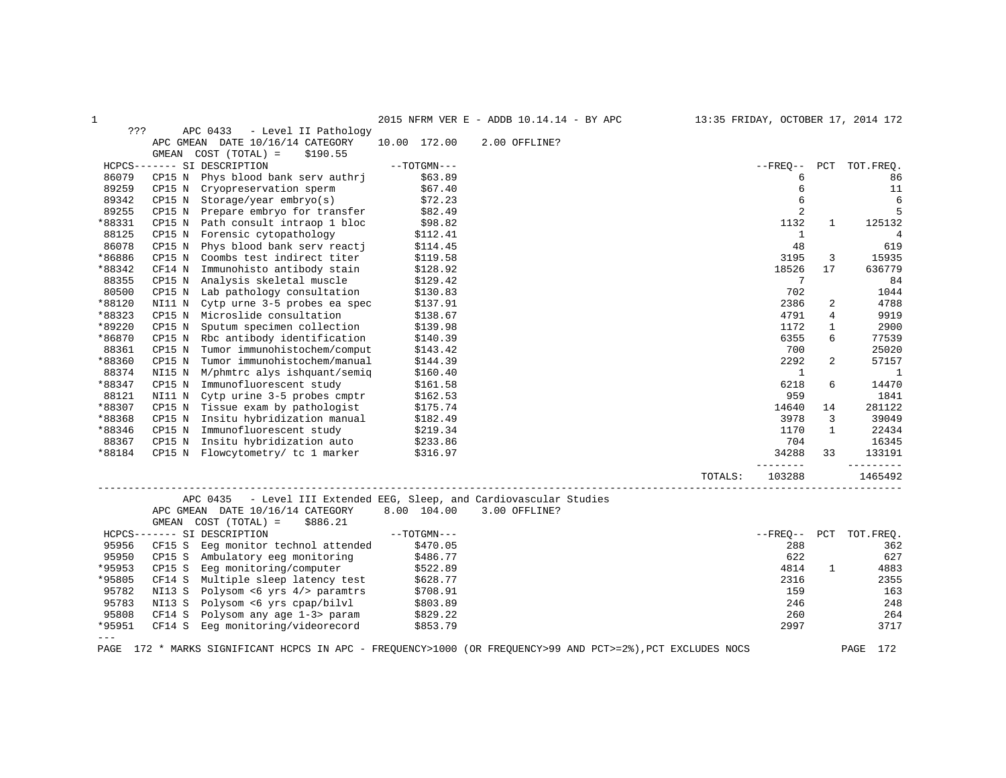1 2015 NFRM VER E - ADDB 10.14.14 - BY APC 13:35 FRIDAY, OCTOBER 17, 2014 172

| ???    |        | APC 0433<br>- Level II Pathology |               |                                                                                                        |                |                |                |
|--------|--------|----------------------------------|---------------|--------------------------------------------------------------------------------------------------------|----------------|----------------|----------------|
|        |        | APC GMEAN DATE 10/16/14 CATEGORY | 10.00 172.00  | 2.00 OFFLINE?                                                                                          |                |                |                |
|        | GMEAN  | $COST (TOTAL) =$<br>\$190.55     |               |                                                                                                        |                |                |                |
|        |        | HCPCS------- SI DESCRIPTION      | $--TOTGMN---$ |                                                                                                        | $- FREO--$     |                | PCT TOT. FREO. |
| 86079  | CP15 N | Phys blood bank serv authri      | \$63.89       |                                                                                                        | 6              |                | 86             |
| 89259  | CP15 N | Cryopreservation sperm           | \$67.40       |                                                                                                        | 6              |                | 11             |
| 89342  | CP15 N | $Storage/year$ embryo $(s)$      | \$72.23       |                                                                                                        | 6              |                | 6              |
| 89255  | CP15 N | Prepare embryo for transfer      | \$82.49       |                                                                                                        | $\overline{2}$ |                | 5              |
| *88331 | CP15 N | Path consult intraop 1 bloc      | \$98.82       |                                                                                                        | 1132           | $\mathbf{1}$   | 125132         |
| 88125  | CP15 N | Forensic cytopathology           | \$112.41      |                                                                                                        | 1              |                | 4              |
| 86078  | CP15 N | Phys blood bank serv reacti      | \$114.45      |                                                                                                        | 48             |                | 619            |
| *86886 | CP15 N | Coombs test indirect titer       | \$119.58      |                                                                                                        | 3195           | 3              | 15935          |
| *88342 | CF14 N | Immunohisto antibody stain       | \$128.92      |                                                                                                        | 18526          | 17             | 636779         |
| 88355  | CP15 N | Analysis skeletal muscle         | \$129.42      |                                                                                                        | 7              |                | 84             |
| 80500  | CP15 N | Lab pathology consultation       | \$130.83      |                                                                                                        | 702            |                | 1044           |
| *88120 | NI11 N | Cytp urne 3-5 probes ea spec     | \$137.91      |                                                                                                        | 2386           | 2              | 4788           |
| *88323 | CP15 N | Microslide consultation          | \$138.67      |                                                                                                        | 4791           | 4              | 9919           |
| *89220 | CP15 N | Sputum specimen collection       | \$139.98      |                                                                                                        | 1172           | 1              | 2900           |
| *86870 | CP15 N | Rbc antibody identification      | \$140.39      |                                                                                                        | 6355           | 6              | 77539          |
| 88361  | CP15 N | Tumor immunohistochem/comput     | \$143.42      |                                                                                                        | 700            |                | 25020          |
| *88360 | CP15 N | Tumor immunohistochem/manual     | \$144.39      |                                                                                                        | 2292           | $\overline{a}$ | 57157          |
| 88374  | NI15 N | M/phmtrc alys ishquant/semig     | \$160.40      |                                                                                                        | $\mathbf{1}$   |                | <sup>1</sup>   |
| *88347 | CP15 N | Immunofluorescent study          | \$161.58      |                                                                                                        | 6218           | 6              | 14470          |
| 88121  | NI11 N | Cytp urine 3-5 probes cmptr      | \$162.53      |                                                                                                        | 959            |                | 1841           |
| *88307 | CP15 N | Tissue exam by pathologist       | \$175.74      |                                                                                                        | 14640          | 14             | 281122         |
| *88368 | CP15 N | Insitu hybridization manual      | \$182.49      |                                                                                                        | 3978           | 3              | 39049          |
| *88346 | CP15 N | Immunofluorescent study          | \$219.34      |                                                                                                        | 1170           | $\mathbf{1}$   | 22434          |
| 88367  | CP15 N | Insitu hybridization auto        | \$233.86      |                                                                                                        | 704            |                | 16345          |
| *88184 | CP15 N | Flowcytometry/ tc 1 marker       | \$316.97      |                                                                                                        | 34288          | 33             | 133191         |
|        |        |                                  |               |                                                                                                        | . <u>.</u> .   |                |                |
|        |        |                                  |               | TOTALS:                                                                                                | 103288         |                | 1465492        |
|        |        | APC 0435                         |               | - Level III Extended EEG, Sleep, and Cardiovascular Studies                                            |                |                |                |
|        |        | APC GMEAN DATE 10/16/14 CATEGORY | 8.00 104.00   | 3.00 OFFLINE?                                                                                          |                |                |                |
|        | GMEAN  | COST (TOTAL) =<br>\$886.21       |               |                                                                                                        |                |                |                |
|        |        | HCPCS------- SI DESCRIPTION      | $--TOTGMN---$ |                                                                                                        | $--$ FREO $--$ |                | PCT TOT.FREQ.  |
| 95956  | CF15 S | Eeq monitor technol attended     | \$470.05      |                                                                                                        | 288            |                | 362            |
| 95950  | CP15 S | Ambulatory eeg monitoring        | \$486.77      |                                                                                                        | 622            |                | 627            |
| *95953 | CP15 S | Eeg monitoring/computer          | \$522.89      |                                                                                                        | 4814           | $\mathbf{1}$   | 4883           |
| *95805 | CF14 S | Multiple sleep latency test      | \$628.77      |                                                                                                        | 2316           |                | 2355           |
| 95782  | NI13 S | Polysom <6 yrs 4/> paramtrs      | \$708.91      |                                                                                                        | 159            |                | 163            |
| 95783  | NI13 S | Polysom <6 yrs cpap/bilvl        | \$803.89      |                                                                                                        | 246            |                | 248            |
| 95808  | CF14 S | Polysom any age 1-3> param       | \$829.22      |                                                                                                        | 260            |                | 264            |
| *95951 | CF14 S | Eeg monitoring/videorecord       | \$853.79      |                                                                                                        | 2997           |                | 3717           |
| $---$  |        |                                  |               |                                                                                                        |                |                |                |
| PAGE   |        |                                  |               | 172 * MARKS SIGNIFICANT HCPCS IN APC - FREQUENCY>1000 (OR FREQUENCY>99 AND PCT>=2%), PCT EXCLUDES NOCS |                |                | 172<br>PAGE    |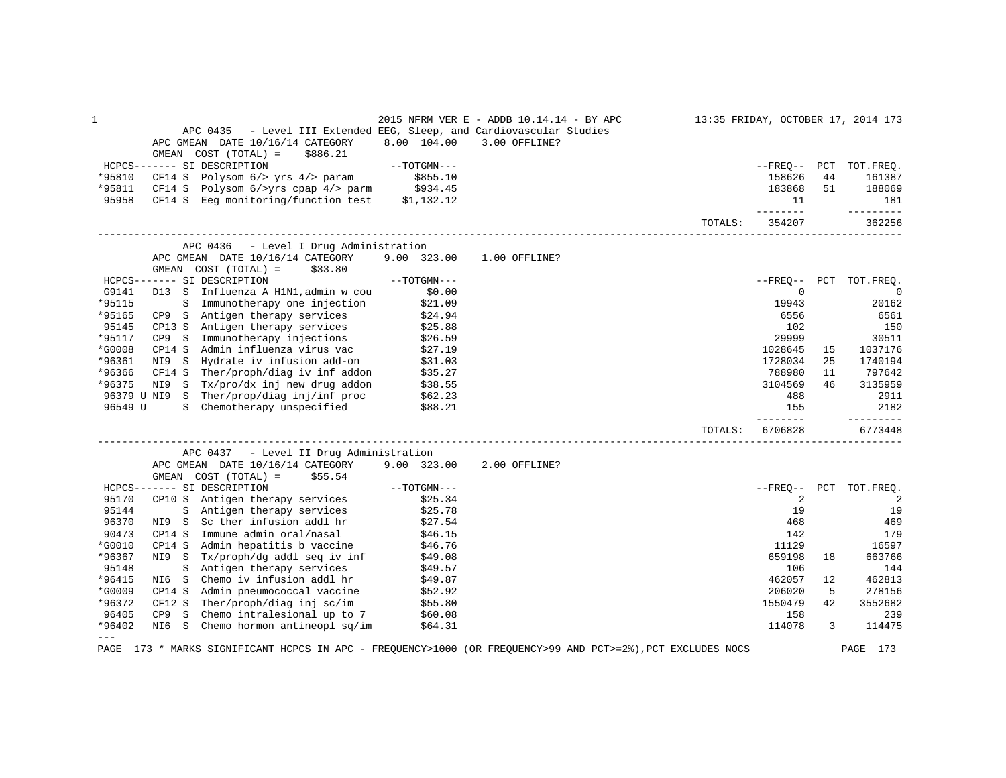| $\mathbf{1}$ |                                                                                                             |                     | 2015 NFRM VER E - ADDB 10.14.14 - BY APC |         |                     |              | 13:35 FRIDAY, OCTOBER 17, 2014 173 |
|--------------|-------------------------------------------------------------------------------------------------------------|---------------------|------------------------------------------|---------|---------------------|--------------|------------------------------------|
|              | APC 0435 - Level III Extended EEG, Sleep, and Cardiovascular Studies                                        |                     |                                          |         |                     |              |                                    |
|              | APC GMEAN DATE 10/16/14 CATEGORY                                                                            | 8.00 104.00         | 3.00 OFFLINE?                            |         |                     |              |                                    |
|              | GMEAN COST (TOTAL) =<br>\$886.21                                                                            |                     |                                          |         |                     |              |                                    |
|              | HCPCS------- SI DESCRIPTION                                                                                 | $--{\tt TOTGMN---}$ |                                          |         |                     |              | --FREO-- PCT TOT.FREO.             |
| *95810       | CF14 S Polysom 6/> yrs 4/> param                                                                            | \$855.10            |                                          |         | 158626              | 44           | 161387                             |
| *95811       |                                                                                                             |                     |                                          |         | 183868              | 51           | 188069                             |
| 95958        | CF14 S Eeg monitoring/function test \$1,132.12                                                              |                     |                                          |         | 11<br>--------      |              | 181<br>---------                   |
|              |                                                                                                             |                     |                                          | TOTALS: | 354207              |              | 362256                             |
|              | APC 0436 - Level I Drug Administration                                                                      |                     |                                          |         |                     |              |                                    |
|              | APC GMEAN DATE 10/16/14 CATEGORY                                                                            | 9.00 323.00         | 1.00 OFFLINE?                            |         |                     |              |                                    |
|              | GMEAN COST (TOTAL) =<br>\$33.80                                                                             |                     |                                          |         |                     |              |                                    |
|              | HCPCS------- SI DESCRIPTION                                                                                 | $--TOTGMN---$       |                                          |         |                     |              | --FREO-- PCT TOT.FREO.             |
| G9141        | D13 S Influenza A H1N1, admin w cou                                                                         | \$0.00              |                                          |         | $\mathbf 0$         |              | $\mathbf 0$                        |
| *95115       | Immunotherapy one injection<br>S                                                                            | \$21.09             |                                          |         | 19943               |              | 20162                              |
| *95165       | CP9 S Antigen therapy services                                                                              | \$24.94             |                                          |         | 6556                |              | 6561                               |
| 95145        | CP13 S Antigen therapy services                                                                             | \$25.88             |                                          |         | 102                 |              | 150                                |
| *95117       | CP9 S Immunotherapy injections                                                                              | \$26.59             |                                          |         | 29999               |              | 30511                              |
| *G0008       | CP14 S Admin influenza virus vac                                                                            | \$27.19             |                                          |         | 1028645             | 15           | 1037176                            |
| *96361       | NI9 S<br>Hydrate iv infusion add-on                                                                         | \$31.03             |                                          |         | 1728034             | 25           | 1740194                            |
| *96366       | CF14 S Ther/proph/diag iv inf addon                                                                         | \$35.27             |                                          |         | 788980              | 11           | 797642                             |
| *96375       | NI9 S Tx/pro/dx inj new drug addon                                                                          | \$38.55             |                                          |         | 3104569             | 46           | 3135959                            |
|              | 96379 U NI9 S Ther/prop/diag inj/inf proc                                                                   | \$62.23             |                                          |         | 488                 |              | 2911                               |
| 96549 U      | S Chemotherapy unspecified                                                                                  | \$88.21             |                                          |         | 155                 |              | 2182                               |
|              |                                                                                                             |                     |                                          | TOTALS: | --------<br>6706828 |              | ----------<br>6773448              |
|              | APC 0437 - Level II Drug Administration                                                                     |                     |                                          |         |                     |              |                                    |
|              | APC GMEAN DATE 10/16/14 CATEGORY                                                                            | 9.00 323.00         | 2.00 OFFLINE?                            |         |                     |              |                                    |
|              | GMEAN $COST (TOTAL) = $55.54$                                                                               |                     |                                          |         |                     |              |                                    |
|              | HCPCS------- SI DESCRIPTION                                                                                 | $--TOTGMN---$       |                                          |         |                     |              | --FREQ-- PCT TOT.FREQ.             |
| 95170        | CP10 S Antigen therapy services                                                                             | \$25.34             |                                          |         | 2                   |              | 2                                  |
| 95144        | S Antigen therapy services                                                                                  | \$25.78             |                                          |         | 19                  |              | 19                                 |
| 96370        | NI9 S Sc ther infusion addl hr                                                                              | \$27.54             |                                          |         | 468                 |              | 469                                |
| 90473        | CP14 S Immune admin oral/nasal                                                                              | \$46.15             |                                          |         | 142                 |              | 179                                |
| *G0010       | CP14 S Admin hepatitis b vaccine                                                                            | \$46.76             |                                          |         | 11129               |              | 16597                              |
| *96367       | NI9 S Tx/proph/dg addl seq iv inf                                                                           | \$49.08             |                                          |         | 659198              | 18           | 663766                             |
| 95148        | S Antigen therapy services                                                                                  | \$49.57             |                                          |         | 106                 |              | 144                                |
| *96415       | Chemo iv infusion addl hr<br>NI6 S                                                                          | \$49.87             |                                          |         | 462057              | 12           | 462813                             |
| *G0009       | CP14 S Admin pneumococcal vaccine                                                                           | \$52.92             |                                          |         | 206020              | 5            | 278156                             |
| *96372       | Ther/proph/diag inj sc/im<br>CF12 S                                                                         | \$55.80             |                                          |         | 1550479             | 42           | 3552682                            |
| 96405        | CP9 S Chemo intralesional up to 7                                                                           | \$60.08             |                                          |         | 158                 |              | 239                                |
| *96402       | NI6 S Chemo hormon antineopl sq/im                                                                          | \$64.31             |                                          |         | 114078              | $\mathbf{3}$ | 114475                             |
| $---$        | PAGE 173 * MARKS SIGNIFICANT HCPCS IN APC - FREQUENCY>1000 (OR FREQUENCY>99 AND PCT>=2%), PCT EXCLUDES NOCS |                     |                                          |         |                     |              | PAGE 173                           |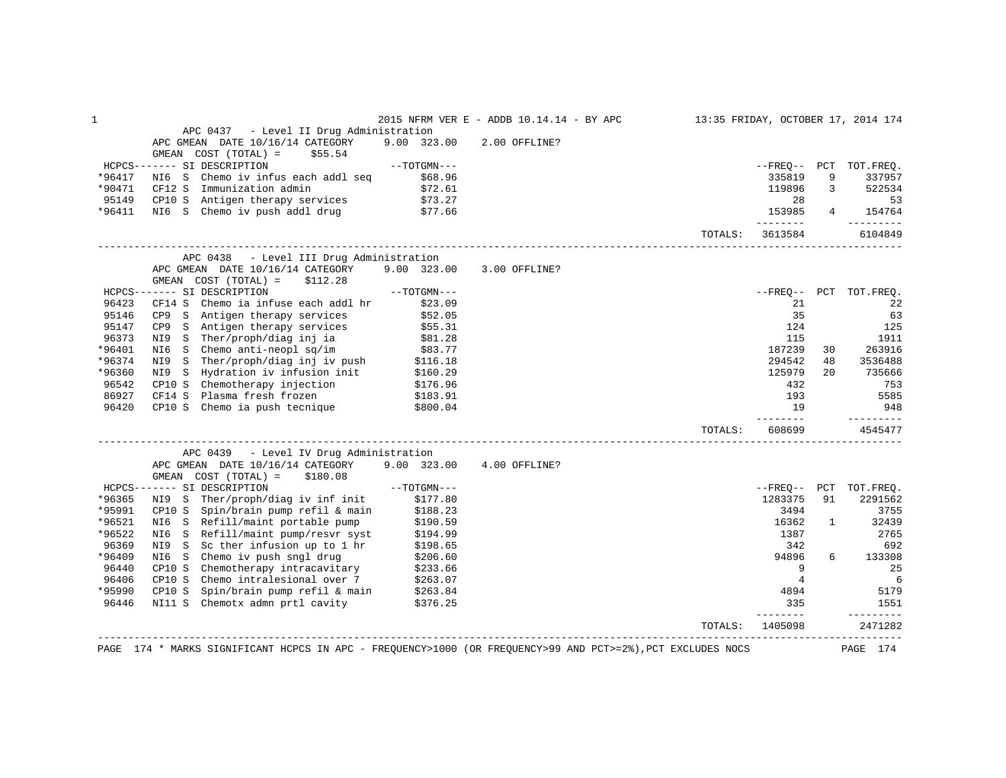| $\mathbf 1$ |                                                                                                                                   |                     | 2015 NFRM VER E - ADDB 10.14.14 - BY APC |         |                      |              | 13:35 FRIDAY, OCTOBER 17, 2014 174 |
|-------------|-----------------------------------------------------------------------------------------------------------------------------------|---------------------|------------------------------------------|---------|----------------------|--------------|------------------------------------|
|             | APC 0437 - Level II Drug Administration                                                                                           |                     |                                          |         |                      |              |                                    |
|             | APC GMEAN DATE 10/16/14 CATEGORY                                                                                                  | 9.00 323.00         | 2.00 OFFLINE?                            |         |                      |              |                                    |
|             | GMEAN COST (TOTAL) =<br>\$55.54                                                                                                   |                     |                                          |         |                      |              |                                    |
|             | HCPCS------- SI DESCRIPTION                                                                                                       | $--TOTGMN---$       |                                          |         |                      |              | --FREQ-- PCT TOT.FREQ.             |
| *96417      | Chemo iv infus each addl seq<br>NI6 S                                                                                             | \$68.96             |                                          |         | 335819               | 9            | 337957                             |
| *90471      | CF12 S Immunization admin                                                                                                         | \$72.61             |                                          |         | 119896               | 3            | 522534                             |
| 95149       |                                                                                                                                   |                     |                                          |         | 28                   |              | 53                                 |
| *96411      | CP10 S Antigen therapy services<br>NI6 S Chemo iv push addl drug                                                                  | \$73.27<br>\$77.66  |                                          |         | 153985               |              | $4 \quad \blacksquare$<br>154764   |
|             |                                                                                                                                   |                     |                                          | TOTALS: | ---------<br>3613584 |              | ---------<br>6104849               |
|             | APC 0438 - Level III Drug Administration                                                                                          |                     |                                          |         |                      |              |                                    |
|             | APC GMEAN DATE 10/16/14 CATEGORY 9.00 323.00                                                                                      |                     | 3.00 OFFLINE?                            |         |                      |              |                                    |
|             | GMEAN $COST (TOTAL) = $112.28$                                                                                                    |                     |                                          |         |                      |              |                                    |
|             | HCPCS------- SI DESCRIPTION                                                                                                       | $--{\tt TOTGMN---}$ |                                          |         |                      |              | --FREQ-- PCT TOT.FREQ.             |
| 96423       | CF14 S<br>Chemo ia infuse each addl hr                                                                                            | \$23.09             |                                          |         | 21                   |              | 22                                 |
| 95146       |                                                                                                                                   |                     |                                          |         | 35                   |              | 63                                 |
| 95147       | CP9 S Antigen therapy services \$52.05<br>CP9 S Antigen therapy services \$55.31                                                  |                     |                                          |         | 124                  |              | 125                                |
| 96373       |                                                                                                                                   |                     |                                          |         | 115                  |              | 1911                               |
| *96401      | NI9 S Ther/proph/diag inj ia \$81.28<br>NI6 S Chemo anti-neopl sq/im \$83.77                                                      |                     |                                          |         | 187239               | 30           | 263916                             |
| *96374      |                                                                                                                                   |                     |                                          |         | 294542               | 48           | 3536488                            |
| *96360      | NI9 S Ther/proph/diag inj iv push \$116.18<br>NI9 S Hydration iv infusion init \$160.29<br>CP10 S Chemotherapy injection \$176.96 |                     |                                          |         | 125979               | 20           | 735666                             |
| 96542       |                                                                                                                                   |                     |                                          |         | 432                  |              | 753                                |
| 86927       |                                                                                                                                   |                     |                                          |         | 193                  |              | 5585                               |
| 96420       | CF14 S Plasma fresh frozen \$183.91<br>CP10 S Chemo ia push tecnique \$800.04                                                     |                     |                                          |         | 19                   |              | 948                                |
|             |                                                                                                                                   |                     |                                          |         | ________             |              | $- - - - - - - - -$                |
|             |                                                                                                                                   |                     |                                          | TOTALS: | 608699               |              | 4545477                            |
|             | APC 0439 - Level IV Drug Administration                                                                                           |                     |                                          |         |                      |              |                                    |
|             | APC GMEAN DATE 10/16/14 CATEGORY 9.00 323.00                                                                                      |                     | 4.00 OFFLINE?                            |         |                      |              |                                    |
|             | GMEAN $COST (TOTAL) = $180.08$                                                                                                    |                     |                                          |         |                      |              |                                    |
|             | HCPCS------- SI DESCRIPTION                                                                                                       | $--TOTGMN---$       |                                          |         | --FREO-- PCT         |              | TOT.FREQ.                          |
| *96365      | NI9 S Ther/proph/diag iv inf init                                                                                                 | \$177.80            |                                          |         | 1283375              | 91           | 2291562                            |
| *95991      | CP10 S Spin/brain pump refil & main                                                                                               | \$188.23            |                                          |         | 3494                 |              | 3755                               |
| *96521      | NI6 S Refill/maint portable pump                                                                                                  | \$190.59            |                                          |         | 16362                | $\mathbf{1}$ | 32439                              |
| *96522      | NI6 S Refill/maint pump/resvr syst                                                                                                | \$194.99            |                                          |         | 1387                 |              | 2765                               |
| 96369       | NI9 S Sc ther infusion up to 1 hr                                                                                                 | \$198.65            |                                          |         | 342                  |              | 692                                |
| *96409      | NI6 S Chemo iv push sngl drug                                                                                                     | \$206.60            |                                          |         | 94896                | 6            | 133308                             |
| 96440       | CP10 S Chemotherapy intracavitary                                                                                                 | \$233.66            |                                          |         | 9                    |              | 25                                 |
| 96406       | Chemo intralesional over 7 \$263.07<br>CP10 S                                                                                     |                     |                                          |         | $\overline{4}$       |              | 6                                  |
| *95990      |                                                                                                                                   |                     |                                          |         | 4894                 |              | 5179                               |
| 96446       | CP10 S Spin/brain pump refil & main \$263.84<br>NI11 S Chemotx admn prtl cavity \$376.25                                          |                     |                                          |         | 335                  |              | 1551                               |
|             |                                                                                                                                   |                     |                                          | TOTALS: | --------<br>1405098  |              | ---------<br>2471282               |
|             |                                                                                                                                   |                     |                                          |         |                      |              |                                    |
|             | PAGE 174 * MARKS SIGNIFICANT HCPCS IN APC - FREQUENCY>1000 (OR FREQUENCY>99 AND PCT>=2%), PCT EXCLUDES NOCS                       |                     |                                          |         |                      |              | PAGE 174                           |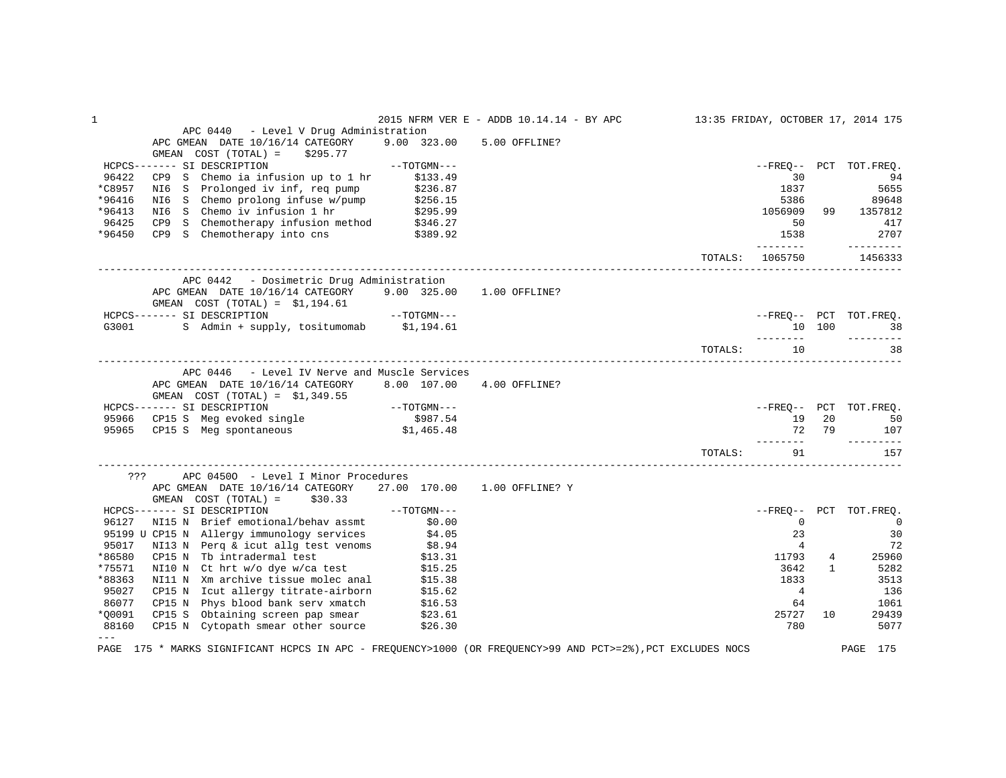| APC 0440 - Level V Drug Administration<br>APC GMEAN DATE 10/16/14 CATEGORY 9.00 323.00<br>5.00 OFFLINE?<br>GMEAN COST (TOTAL) =<br>\$295.77<br>$--{\tt TOTGMN---}$<br>HCPCS------- SI DESCRIPTION<br>--FREO-- PCT TOT.FREO.<br>96422<br>CP9 S Chemo ia infusion up to 1 hr<br>\$133.49<br>30<br>94<br>NI6 S Prolonged iv inf, req pump \$236.87<br>NI6 S Chemo prolong infuse w/pump \$256.15<br>NI6 S Chemo iv infusion 1 hr \$295.99<br>CP9 S Chemotherapy infusion method \$346.27<br>CP9 S Chemotherapy into cns \$389.92<br>1837<br>5655<br>5386<br>89648<br>*96413<br>1056909<br>99 1357812<br>96425<br>417<br>50<br>2707<br>*96450<br>1538<br>---------<br>---------<br>TOTALS: 1065750<br>1456333<br>APC 0442 - Dosimetric Drug Administration<br>APC GMEAN DATE 10/16/14 CATEGORY 9.00 325.00 1.00 OFFLINE?<br>GMEAN $COST (TOTAL) = $1,194.61$<br>HCPCS------- SI DESCRIPTION --TOTGMN---<br>G3001 S Admin + supply, tositumomab \$1,194.61<br>--------<br>----------<br>TOTALS: 10<br>38<br>APC 0446 - Level IV Nerve and Muscle Services<br>APC GMEAN DATE 10/16/14 CATEGORY<br>8.00 107.00 4.00 OFFLINE?<br>HCPCS------- SI DESCRIPTION<br>95966 CP15 S Meg evoked single \$987.54<br>95965 CP15 S Meg spontaneous \$1,465.48<br>19 20<br>50<br>72 79<br>----------<br>TOTALS:<br>91<br>157<br>??? APC 04500 - Level I Minor Procedures<br>APC GMEAN DATE 10/16/14 CATEGORY 27.00 170.00 1.00 OFFLINE? Y<br>GMEAN COST $(TOTAL) =$ \$30.33<br>$T T COTAT$ = \$30.33 --TOTGMN---<br>HCPCS------- SI DESCRIPTION<br>NI15 N Brief emotional/behav assmt \$0.00<br>96127<br>$\overline{0}$<br>95199 U CP15 N Allergy immunology services \$4.05<br>95017 NI13 N Perq & icut allg test venoms \$8.94<br>30<br>23<br>$\overline{4}$<br>72<br>*86580<br>CP15 N Tb intradermal test $$13.31$<br>NI10 N Ct hrt w/o dye w/ca test $$15.25$<br>11793<br>$4\degree$<br>25960 | 1      |  | 2015 NFRM VER E - ADDB 10.14.14 - BY APC |  | 13:35 FRIDAY, OCTOBER 17, 2014 175 |
|-------------------------------------------------------------------------------------------------------------------------------------------------------------------------------------------------------------------------------------------------------------------------------------------------------------------------------------------------------------------------------------------------------------------------------------------------------------------------------------------------------------------------------------------------------------------------------------------------------------------------------------------------------------------------------------------------------------------------------------------------------------------------------------------------------------------------------------------------------------------------------------------------------------------------------------------------------------------------------------------------------------------------------------------------------------------------------------------------------------------------------------------------------------------------------------------------------------------------------------------------------------------------------------------------------------------------------------------------------------------------------------------------------------------------------------------------------------------------------------------------------------------------------------------------------------------------------------------------------------------------------------------------------------------------------------------------------------------------------------------------------------------------------------------------------------------------------------------------------------------------------|--------|--|------------------------------------------|--|------------------------------------|
|                                                                                                                                                                                                                                                                                                                                                                                                                                                                                                                                                                                                                                                                                                                                                                                                                                                                                                                                                                                                                                                                                                                                                                                                                                                                                                                                                                                                                                                                                                                                                                                                                                                                                                                                                                                                                                                                               |        |  |                                          |  |                                    |
|                                                                                                                                                                                                                                                                                                                                                                                                                                                                                                                                                                                                                                                                                                                                                                                                                                                                                                                                                                                                                                                                                                                                                                                                                                                                                                                                                                                                                                                                                                                                                                                                                                                                                                                                                                                                                                                                               |        |  |                                          |  |                                    |
|                                                                                                                                                                                                                                                                                                                                                                                                                                                                                                                                                                                                                                                                                                                                                                                                                                                                                                                                                                                                                                                                                                                                                                                                                                                                                                                                                                                                                                                                                                                                                                                                                                                                                                                                                                                                                                                                               |        |  |                                          |  |                                    |
|                                                                                                                                                                                                                                                                                                                                                                                                                                                                                                                                                                                                                                                                                                                                                                                                                                                                                                                                                                                                                                                                                                                                                                                                                                                                                                                                                                                                                                                                                                                                                                                                                                                                                                                                                                                                                                                                               |        |  |                                          |  |                                    |
|                                                                                                                                                                                                                                                                                                                                                                                                                                                                                                                                                                                                                                                                                                                                                                                                                                                                                                                                                                                                                                                                                                                                                                                                                                                                                                                                                                                                                                                                                                                                                                                                                                                                                                                                                                                                                                                                               |        |  |                                          |  |                                    |
|                                                                                                                                                                                                                                                                                                                                                                                                                                                                                                                                                                                                                                                                                                                                                                                                                                                                                                                                                                                                                                                                                                                                                                                                                                                                                                                                                                                                                                                                                                                                                                                                                                                                                                                                                                                                                                                                               | *C8957 |  |                                          |  |                                    |
|                                                                                                                                                                                                                                                                                                                                                                                                                                                                                                                                                                                                                                                                                                                                                                                                                                                                                                                                                                                                                                                                                                                                                                                                                                                                                                                                                                                                                                                                                                                                                                                                                                                                                                                                                                                                                                                                               | *96416 |  |                                          |  |                                    |
|                                                                                                                                                                                                                                                                                                                                                                                                                                                                                                                                                                                                                                                                                                                                                                                                                                                                                                                                                                                                                                                                                                                                                                                                                                                                                                                                                                                                                                                                                                                                                                                                                                                                                                                                                                                                                                                                               |        |  |                                          |  |                                    |
|                                                                                                                                                                                                                                                                                                                                                                                                                                                                                                                                                                                                                                                                                                                                                                                                                                                                                                                                                                                                                                                                                                                                                                                                                                                                                                                                                                                                                                                                                                                                                                                                                                                                                                                                                                                                                                                                               |        |  |                                          |  |                                    |
|                                                                                                                                                                                                                                                                                                                                                                                                                                                                                                                                                                                                                                                                                                                                                                                                                                                                                                                                                                                                                                                                                                                                                                                                                                                                                                                                                                                                                                                                                                                                                                                                                                                                                                                                                                                                                                                                               |        |  |                                          |  |                                    |
|                                                                                                                                                                                                                                                                                                                                                                                                                                                                                                                                                                                                                                                                                                                                                                                                                                                                                                                                                                                                                                                                                                                                                                                                                                                                                                                                                                                                                                                                                                                                                                                                                                                                                                                                                                                                                                                                               |        |  |                                          |  |                                    |
|                                                                                                                                                                                                                                                                                                                                                                                                                                                                                                                                                                                                                                                                                                                                                                                                                                                                                                                                                                                                                                                                                                                                                                                                                                                                                                                                                                                                                                                                                                                                                                                                                                                                                                                                                                                                                                                                               |        |  |                                          |  |                                    |
| --FREQ-- PCT TOT.FREQ.<br>10 100 38<br>--FREQ-- PCT TOT.FREQ.<br>107<br>--FREQ-- PCT TOT.FREQ.<br>$\sim$ 0                                                                                                                                                                                                                                                                                                                                                                                                                                                                                                                                                                                                                                                                                                                                                                                                                                                                                                                                                                                                                                                                                                                                                                                                                                                                                                                                                                                                                                                                                                                                                                                                                                                                                                                                                                    |        |  |                                          |  |                                    |
|                                                                                                                                                                                                                                                                                                                                                                                                                                                                                                                                                                                                                                                                                                                                                                                                                                                                                                                                                                                                                                                                                                                                                                                                                                                                                                                                                                                                                                                                                                                                                                                                                                                                                                                                                                                                                                                                               |        |  |                                          |  |                                    |
|                                                                                                                                                                                                                                                                                                                                                                                                                                                                                                                                                                                                                                                                                                                                                                                                                                                                                                                                                                                                                                                                                                                                                                                                                                                                                                                                                                                                                                                                                                                                                                                                                                                                                                                                                                                                                                                                               |        |  |                                          |  |                                    |
|                                                                                                                                                                                                                                                                                                                                                                                                                                                                                                                                                                                                                                                                                                                                                                                                                                                                                                                                                                                                                                                                                                                                                                                                                                                                                                                                                                                                                                                                                                                                                                                                                                                                                                                                                                                                                                                                               |        |  |                                          |  |                                    |
|                                                                                                                                                                                                                                                                                                                                                                                                                                                                                                                                                                                                                                                                                                                                                                                                                                                                                                                                                                                                                                                                                                                                                                                                                                                                                                                                                                                                                                                                                                                                                                                                                                                                                                                                                                                                                                                                               |        |  |                                          |  |                                    |
|                                                                                                                                                                                                                                                                                                                                                                                                                                                                                                                                                                                                                                                                                                                                                                                                                                                                                                                                                                                                                                                                                                                                                                                                                                                                                                                                                                                                                                                                                                                                                                                                                                                                                                                                                                                                                                                                               |        |  |                                          |  |                                    |
|                                                                                                                                                                                                                                                                                                                                                                                                                                                                                                                                                                                                                                                                                                                                                                                                                                                                                                                                                                                                                                                                                                                                                                                                                                                                                                                                                                                                                                                                                                                                                                                                                                                                                                                                                                                                                                                                               |        |  |                                          |  |                                    |
|                                                                                                                                                                                                                                                                                                                                                                                                                                                                                                                                                                                                                                                                                                                                                                                                                                                                                                                                                                                                                                                                                                                                                                                                                                                                                                                                                                                                                                                                                                                                                                                                                                                                                                                                                                                                                                                                               |        |  |                                          |  |                                    |
|                                                                                                                                                                                                                                                                                                                                                                                                                                                                                                                                                                                                                                                                                                                                                                                                                                                                                                                                                                                                                                                                                                                                                                                                                                                                                                                                                                                                                                                                                                                                                                                                                                                                                                                                                                                                                                                                               |        |  |                                          |  |                                    |
|                                                                                                                                                                                                                                                                                                                                                                                                                                                                                                                                                                                                                                                                                                                                                                                                                                                                                                                                                                                                                                                                                                                                                                                                                                                                                                                                                                                                                                                                                                                                                                                                                                                                                                                                                                                                                                                                               |        |  |                                          |  |                                    |
|                                                                                                                                                                                                                                                                                                                                                                                                                                                                                                                                                                                                                                                                                                                                                                                                                                                                                                                                                                                                                                                                                                                                                                                                                                                                                                                                                                                                                                                                                                                                                                                                                                                                                                                                                                                                                                                                               |        |  |                                          |  |                                    |
|                                                                                                                                                                                                                                                                                                                                                                                                                                                                                                                                                                                                                                                                                                                                                                                                                                                                                                                                                                                                                                                                                                                                                                                                                                                                                                                                                                                                                                                                                                                                                                                                                                                                                                                                                                                                                                                                               |        |  |                                          |  |                                    |
|                                                                                                                                                                                                                                                                                                                                                                                                                                                                                                                                                                                                                                                                                                                                                                                                                                                                                                                                                                                                                                                                                                                                                                                                                                                                                                                                                                                                                                                                                                                                                                                                                                                                                                                                                                                                                                                                               |        |  |                                          |  |                                    |
|                                                                                                                                                                                                                                                                                                                                                                                                                                                                                                                                                                                                                                                                                                                                                                                                                                                                                                                                                                                                                                                                                                                                                                                                                                                                                                                                                                                                                                                                                                                                                                                                                                                                                                                                                                                                                                                                               |        |  |                                          |  |                                    |
|                                                                                                                                                                                                                                                                                                                                                                                                                                                                                                                                                                                                                                                                                                                                                                                                                                                                                                                                                                                                                                                                                                                                                                                                                                                                                                                                                                                                                                                                                                                                                                                                                                                                                                                                                                                                                                                                               |        |  |                                          |  |                                    |
|                                                                                                                                                                                                                                                                                                                                                                                                                                                                                                                                                                                                                                                                                                                                                                                                                                                                                                                                                                                                                                                                                                                                                                                                                                                                                                                                                                                                                                                                                                                                                                                                                                                                                                                                                                                                                                                                               |        |  |                                          |  |                                    |
|                                                                                                                                                                                                                                                                                                                                                                                                                                                                                                                                                                                                                                                                                                                                                                                                                                                                                                                                                                                                                                                                                                                                                                                                                                                                                                                                                                                                                                                                                                                                                                                                                                                                                                                                                                                                                                                                               |        |  |                                          |  |                                    |
|                                                                                                                                                                                                                                                                                                                                                                                                                                                                                                                                                                                                                                                                                                                                                                                                                                                                                                                                                                                                                                                                                                                                                                                                                                                                                                                                                                                                                                                                                                                                                                                                                                                                                                                                                                                                                                                                               |        |  |                                          |  |                                    |
|                                                                                                                                                                                                                                                                                                                                                                                                                                                                                                                                                                                                                                                                                                                                                                                                                                                                                                                                                                                                                                                                                                                                                                                                                                                                                                                                                                                                                                                                                                                                                                                                                                                                                                                                                                                                                                                                               |        |  |                                          |  |                                    |
|                                                                                                                                                                                                                                                                                                                                                                                                                                                                                                                                                                                                                                                                                                                                                                                                                                                                                                                                                                                                                                                                                                                                                                                                                                                                                                                                                                                                                                                                                                                                                                                                                                                                                                                                                                                                                                                                               |        |  |                                          |  |                                    |
|                                                                                                                                                                                                                                                                                                                                                                                                                                                                                                                                                                                                                                                                                                                                                                                                                                                                                                                                                                                                                                                                                                                                                                                                                                                                                                                                                                                                                                                                                                                                                                                                                                                                                                                                                                                                                                                                               |        |  |                                          |  |                                    |
|                                                                                                                                                                                                                                                                                                                                                                                                                                                                                                                                                                                                                                                                                                                                                                                                                                                                                                                                                                                                                                                                                                                                                                                                                                                                                                                                                                                                                                                                                                                                                                                                                                                                                                                                                                                                                                                                               |        |  |                                          |  |                                    |
|                                                                                                                                                                                                                                                                                                                                                                                                                                                                                                                                                                                                                                                                                                                                                                                                                                                                                                                                                                                                                                                                                                                                                                                                                                                                                                                                                                                                                                                                                                                                                                                                                                                                                                                                                                                                                                                                               |        |  |                                          |  |                                    |
| 3642<br>$\mathbf{1}$<br>5282                                                                                                                                                                                                                                                                                                                                                                                                                                                                                                                                                                                                                                                                                                                                                                                                                                                                                                                                                                                                                                                                                                                                                                                                                                                                                                                                                                                                                                                                                                                                                                                                                                                                                                                                                                                                                                                  | *75571 |  |                                          |  |                                    |
| NI11 N Xm archive tissue molec anal \$15.38<br>1833<br>3513                                                                                                                                                                                                                                                                                                                                                                                                                                                                                                                                                                                                                                                                                                                                                                                                                                                                                                                                                                                                                                                                                                                                                                                                                                                                                                                                                                                                                                                                                                                                                                                                                                                                                                                                                                                                                   | *88363 |  |                                          |  |                                    |
| 95027<br>$4\overline{ }$<br>136                                                                                                                                                                                                                                                                                                                                                                                                                                                                                                                                                                                                                                                                                                                                                                                                                                                                                                                                                                                                                                                                                                                                                                                                                                                                                                                                                                                                                                                                                                                                                                                                                                                                                                                                                                                                                                               |        |  |                                          |  |                                    |
| CP15 N Icut allergy titrate-airborn \$15.62<br>CP15 N Phys blood bank serv xmatch \$16.53<br>86077<br>64<br>1061                                                                                                                                                                                                                                                                                                                                                                                                                                                                                                                                                                                                                                                                                                                                                                                                                                                                                                                                                                                                                                                                                                                                                                                                                                                                                                                                                                                                                                                                                                                                                                                                                                                                                                                                                              |        |  |                                          |  |                                    |
| 25727<br>10                                                                                                                                                                                                                                                                                                                                                                                                                                                                                                                                                                                                                                                                                                                                                                                                                                                                                                                                                                                                                                                                                                                                                                                                                                                                                                                                                                                                                                                                                                                                                                                                                                                                                                                                                                                                                                                                   | *00091 |  |                                          |  |                                    |
| CP15 S Obtaining screen pap smear $$23.61$<br>CP15 N Cytopath smear other source $$26.30$<br>29439<br>780                                                                                                                                                                                                                                                                                                                                                                                                                                                                                                                                                                                                                                                                                                                                                                                                                                                                                                                                                                                                                                                                                                                                                                                                                                                                                                                                                                                                                                                                                                                                                                                                                                                                                                                                                                     |        |  |                                          |  |                                    |
| 88160<br>5077<br>$---$                                                                                                                                                                                                                                                                                                                                                                                                                                                                                                                                                                                                                                                                                                                                                                                                                                                                                                                                                                                                                                                                                                                                                                                                                                                                                                                                                                                                                                                                                                                                                                                                                                                                                                                                                                                                                                                        |        |  |                                          |  |                                    |
| PAGE 175 * MARKS SIGNIFICANT HCPCS IN APC - FREQUENCY>1000 (OR FREQUENCY>99 AND PCT>=2%), PCT EXCLUDES NOCS<br>PAGE 175                                                                                                                                                                                                                                                                                                                                                                                                                                                                                                                                                                                                                                                                                                                                                                                                                                                                                                                                                                                                                                                                                                                                                                                                                                                                                                                                                                                                                                                                                                                                                                                                                                                                                                                                                       |        |  |                                          |  |                                    |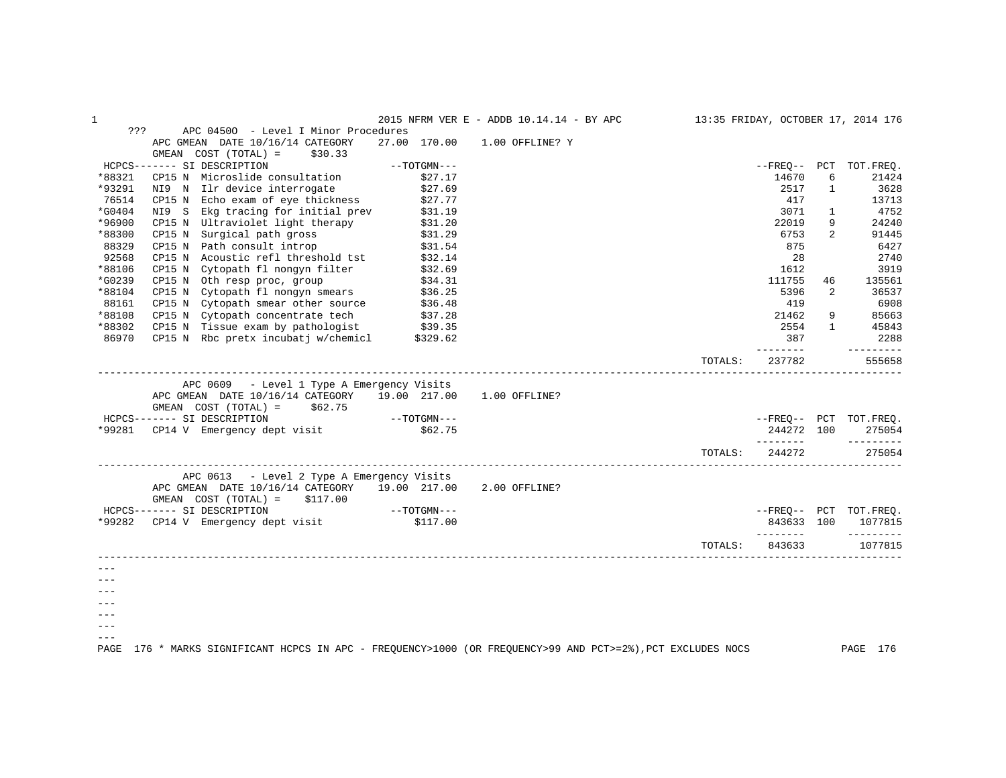| $\mathbf{1}$ |                                                                                                                                                                                     |                              | 2015 NFRM VER E - ADDB 10.14.14 - BY APC 13:35 FRIDAY, OCTOBER 17, 2014 176 |         |            |                |                           |
|--------------|-------------------------------------------------------------------------------------------------------------------------------------------------------------------------------------|------------------------------|-----------------------------------------------------------------------------|---------|------------|----------------|---------------------------|
| ???          | APC 04500 - Level I Minor Procedures                                                                                                                                                |                              |                                                                             |         |            |                |                           |
|              | APC GMEAN DATE 10/16/14 CATEGORY                                                                                                                                                    | 27.00 170.00 1.00 OFFLINE? Y |                                                                             |         |            |                |                           |
|              | GMEAN COST (TOTAL) =<br>\$30.33                                                                                                                                                     |                              |                                                                             |         |            |                |                           |
|              | HCPCS------- SI DESCRIPTION                                                                                                                                                         |                              |                                                                             |         |            |                | --FREQ-- PCT TOT.FREQ.    |
| *88321       |                                                                                                                                                                                     |                              |                                                                             |         | 14670      | 6              | 21424                     |
| *93291       | NI9 N Ilr device interrogate \$27.69                                                                                                                                                |                              |                                                                             |         | 2517       | $\mathbf{1}$   | 3628                      |
| 76514        | CP15 N Echo exam of eye thickness                                                                                                                                                   | \$27.77                      |                                                                             |         | 417        |                | 13713                     |
| $*G0404$     | NI9 S Ekg tracing for initial prev \$31.19                                                                                                                                          |                              |                                                                             |         | 3071       | $\mathbf{1}$   | 4752                      |
| *96900       |                                                                                                                                                                                     |                              |                                                                             |         | 22019      | 9              | 24240                     |
| *88300       | CP15 N Ultraviolet light therapy \$31.20<br>CP15 N Surgical path gross \$31.29<br>CP15 N Path consult introp \$31.54<br>CP15 N Acoustic refl threshold tst \$32.14                  |                              |                                                                             |         | 6753       | $\overline{2}$ | 91445                     |
| 88329        |                                                                                                                                                                                     |                              |                                                                             |         | 875        |                | 6427                      |
| 92568        |                                                                                                                                                                                     |                              |                                                                             |         | 2.8        |                | 2740                      |
| *88106       | CP15 N Cytopath fl nongyn filter $$32.69$                                                                                                                                           |                              |                                                                             |         | 1612       |                | 3919                      |
| *G0239       |                                                                                                                                                                                     |                              |                                                                             |         | 111755     | 46             | 135561                    |
| *88104       | CP15 N Oth resp proc, group \$34.31<br>CP15 N Cytopath fl nongyn smears \$36.25                                                                                                     |                              |                                                                             |         | 5396       | $\overline{2}$ | 36537                     |
| 88161        |                                                                                                                                                                                     |                              |                                                                             |         | 419        |                | 6908                      |
| *88108       | CP15 N Cytopath smear other source \$36.48<br>CP15 N Cytopath concentrate tech \$37.28<br>CP15 N Tissue exam by pathologist \$39.35<br>CP15 N Rbc pretx incubatj w/chemicl \$329.62 |                              |                                                                             |         | 21462      | 9              | 85663                     |
| *88302       |                                                                                                                                                                                     |                              |                                                                             |         | 2554       |                | $1 \quad \cdots$<br>45843 |
| 86970        |                                                                                                                                                                                     |                              |                                                                             |         | 387        |                | 2288                      |
|              |                                                                                                                                                                                     |                              |                                                                             |         | ---------  |                | $- - - - - - - - - -$     |
|              |                                                                                                                                                                                     |                              |                                                                             | TOTALS: | 237782     |                | 555658                    |
|              |                                                                                                                                                                                     |                              |                                                                             |         |            |                |                           |
|              | APC 0609 - Level 1 Type A Emergency Visits                                                                                                                                          |                              |                                                                             |         |            |                |                           |
|              | APC GMEAN DATE 10/16/14 CATEGORY 19.00 217.00 1.00 OFFLINE?                                                                                                                         |                              |                                                                             |         |            |                |                           |
|              | GMEAN $COST (TOTAL) = $62.75$                                                                                                                                                       |                              |                                                                             |         |            |                |                           |
|              | HCPCS------- SI DESCRIPTION -- "202.75" --------- SI DESCRIPTION ---<br>*99281 CP14 V Emergency dept visit \$62.75                                                                  |                              |                                                                             |         |            |                | --FREQ-- PCT TOT.FREQ.    |
|              |                                                                                                                                                                                     |                              |                                                                             |         | 244272 100 |                | 275054                    |
|              |                                                                                                                                                                                     |                              |                                                                             |         |            |                |                           |
|              |                                                                                                                                                                                     |                              |                                                                             | TOTALS: | 244272     |                | 275054                    |
|              | APC 0613 - Level 2 Type A Emergency Visits                                                                                                                                          |                              |                                                                             |         |            |                |                           |
|              | APC GMEAN DATE 10/16/14 CATEGORY 19.00 217.00 2.00 OFFLINE?                                                                                                                         |                              |                                                                             |         |            |                |                           |
|              | GMEAN $COST (TOTAL) = $117.00$                                                                                                                                                      |                              |                                                                             |         |            |                |                           |
|              | $HCPCS-----$ SI DESCRIPTION $---TOTGMN---$                                                                                                                                          |                              |                                                                             |         |            |                | --FREO-- PCT TOT.FREO.    |
|              | *99282 CP14 V Emergency dept visit \$117.00                                                                                                                                         |                              |                                                                             |         | 843633 100 |                | 1077815                   |
|              |                                                                                                                                                                                     |                              |                                                                             |         |            |                |                           |
|              |                                                                                                                                                                                     |                              |                                                                             | TOTALS: |            |                | 843633 1077815            |
|              |                                                                                                                                                                                     |                              |                                                                             |         |            |                |                           |
| $- - -$      |                                                                                                                                                                                     |                              |                                                                             |         |            |                |                           |
|              |                                                                                                                                                                                     |                              |                                                                             |         |            |                |                           |
|              |                                                                                                                                                                                     |                              |                                                                             |         |            |                |                           |
|              |                                                                                                                                                                                     |                              |                                                                             |         |            |                |                           |
|              |                                                                                                                                                                                     |                              |                                                                             |         |            |                |                           |
| $- - -$      |                                                                                                                                                                                     |                              |                                                                             |         |            |                |                           |
|              | 176 * MARKS SIGNIFICANT HCPCS IN APC - FREQUENCY>1000 (OR FREQUENCY>99 AND PCT>=2%), PCT EXCLUDES NOCS                                                                              |                              |                                                                             |         |            |                | PAGE 176                  |
| PAGE         |                                                                                                                                                                                     |                              |                                                                             |         |            |                |                           |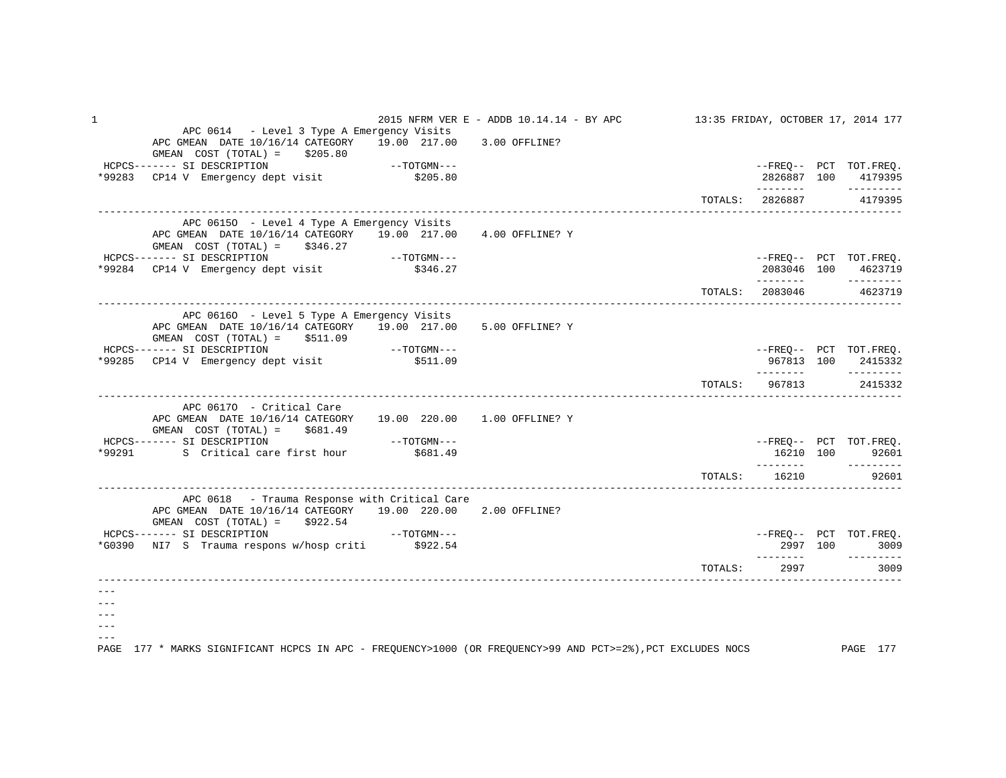| $\mathbf 1$ |                                                                                                                                                                                                                                 | 2015 NFRM VER E - ADDB 10.14.14 - BY APC 13:35 FRIDAY, OCTOBER 17, 2014 177 |                         |      |                                               |
|-------------|---------------------------------------------------------------------------------------------------------------------------------------------------------------------------------------------------------------------------------|-----------------------------------------------------------------------------|-------------------------|------|-----------------------------------------------|
|             | APC 0614 - Level 3 Type A Emergency Visits<br>APC GMEAN DATE 10/16/14 CATEGORY 19.00 217.00 3.00 OFFLINE?<br>GMEAN $COST (TOTAL) = $205.80$                                                                                     |                                                                             |                         |      | --FREQ-- PCT TOT.FREQ.<br>2826887 100 4179395 |
|             |                                                                                                                                                                                                                                 |                                                                             | TOTALS: 2826887 4179395 |      |                                               |
|             | APC 06150 - Level 4 Type A Emergency Visits<br>APC GMEAN DATE 10/16/14 CATEGORY 19.00 217.00 4.00 OFFLINE? Y<br>GMEAN $COST (TOTAL) = $346.27$<br>HCPCS------- SI DESCRIPTION<br>*99284 CP14 V Emergency dept visit \$346.27    |                                                                             |                         |      | --FREQ-- PCT TOT.FREQ.<br>2083046 100 4623719 |
|             |                                                                                                                                                                                                                                 |                                                                             |                         |      | --------<br>TOTALS: 2083046 4623719           |
|             | APC 06160 - Level 5 Type A Emergency Visits<br>APC GMEAN DATE 10/16/14 CATEGORY 19.00 217.00<br>$GMEAN$ $COST$ $(TOTAL) = $511.09$                                                                                              | 5.00 OFFLINE? Y                                                             |                         |      |                                               |
|             | *99285 CP14 V Emergency dept visit \$511.09                                                                                                                                                                                     |                                                                             |                         |      | --FREQ-- PCT TOT.FREQ.<br>967813 100 2415332  |
|             |                                                                                                                                                                                                                                 |                                                                             |                         |      | TOTALS: 967813 2415332                        |
|             | APC 06170 - Critical Care<br>APC GMEAN DATE 10/16/14 CATEGORY 19.00 220.00 1.00 OFFLINE? Y<br>$GMEAN$ $COST$ $(TOTAL) = $681.49$<br>$---TOTGMN---$<br>HCPCS------- SI DESCRIPTION<br>*99291 S Critical care first hour \$681.49 |                                                                             |                         |      | --FREO-- PCT TOT.FREO.<br>16210 100 92601     |
|             |                                                                                                                                                                                                                                 |                                                                             | TOTALS: 16210 92601     |      |                                               |
|             | APC 0618 - Trauma Response with Critical Care<br>APC GMEAN DATE 10/16/14 CATEGORY 19.00 220.00 2.00 OFFLINE?<br>GMEAN $COST (TOTAL) = $922.54$<br>HCPCS------- SI DESCRIPTION --- TOTGMN---                                     |                                                                             |                         |      |                                               |
|             | *G0390 NI7 S Trauma respons w/hosp criti \$922.54                                                                                                                                                                               |                                                                             |                         |      | --FREQ-- PCT TOT.FREQ.<br>2997 100 3009       |
|             |                                                                                                                                                                                                                                 |                                                                             | TOTALS:                 | 2997 | 3009                                          |
| PAGE        | 177 * MARKS SIGNIFICANT HCPCS IN APC - FREQUENCY>1000 (OR FREQUENCY>99 AND PCT>=2%),PCT EXCLUDES NOCS PAGE 177                                                                                                                  |                                                                             |                         |      |                                               |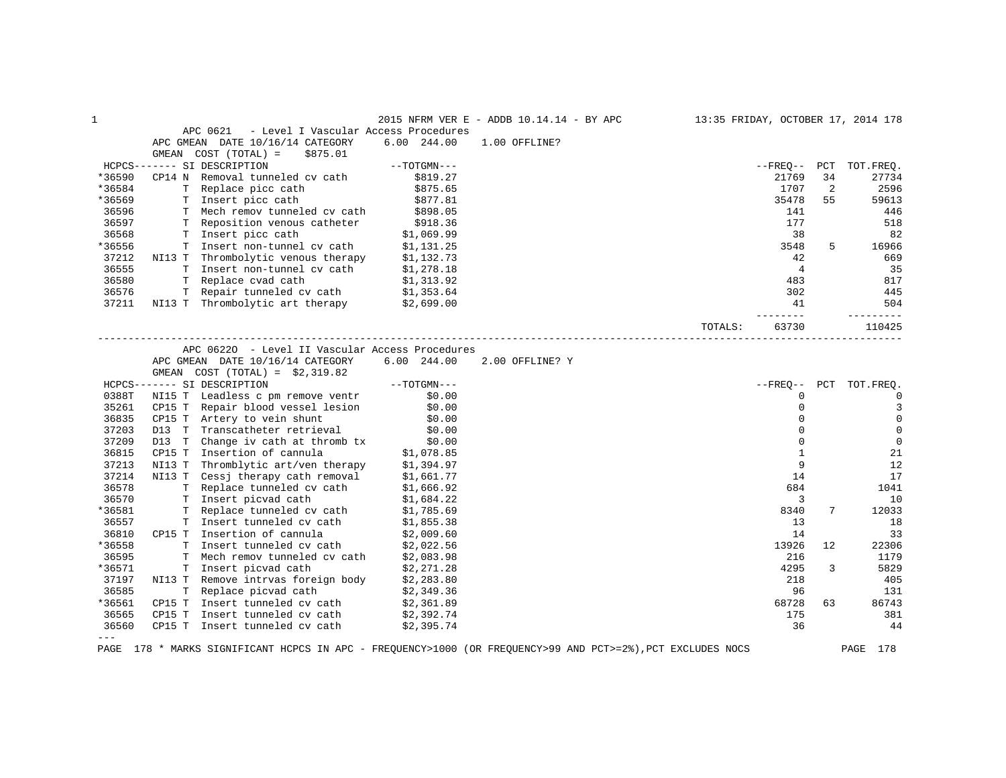| 1      |        |                                                                                           |                  | 2015 NFRM VER E - ADDB 10.14.14 - BY APC |         |                |    | 13:35 FRIDAY, OCTOBER 17, 2014 178 |
|--------|--------|-------------------------------------------------------------------------------------------|------------------|------------------------------------------|---------|----------------|----|------------------------------------|
|        |        | APC 0621<br>- Level I Vascular Access Procedures                                          |                  |                                          |         |                |    |                                    |
|        |        | APC GMEAN DATE 10/16/14 CATEGORY                                                          | $6.00$ 244.00    | 1.00 OFFLINE?                            |         |                |    |                                    |
|        | GMEAN  | COST (TOTAL) =<br>\$875.01                                                                |                  |                                          |         |                |    |                                    |
|        |        | HCPCS------- SI DESCRIPTION                                                               | $--TOTGMN---$    |                                          |         | --FREQ-- PCT   |    | TOT.FREQ.                          |
| *36590 |        | CP14 N Removal tunneled cv cath                                                           | \$819.27         |                                          |         | 21769          | 34 | 27734                              |
| *36584 |        | T Replace picc cath                                                                       | \$875.65         |                                          |         | 1707           | 2  | 2596                               |
| *36569 |        | T Insert picc cath                                                                        | \$877.81         |                                          |         | 35478          | 55 | 59613                              |
| 36596  |        | T Mech remov tunneled cv cath                                                             | \$898.05         |                                          |         | 141            |    | 446                                |
| 36597  |        | T Reposition venous catheter                                                              | \$918.36         |                                          |         | 177            |    | 518                                |
| 36568  |        | T Insert picc cath                                                                        | \$1,069.99       |                                          |         | 38             |    | 82                                 |
| *36556 |        | T Insert non-tunnel cv cath                                                               | \$1,131.25       |                                          |         | 3548           | 5  | 16966                              |
| 37212  |        | NI13 T Thrombolytic venous therapy \$1,132.73                                             |                  |                                          |         | 42             |    | 669                                |
| 36555  |        |                                                                                           |                  |                                          |         | $\overline{4}$ |    | 35                                 |
| 36580  |        | T Insert non-tunnel cv cath \$1,278.18<br>T Replace cvad cath \$1,313.92                  |                  |                                          |         | 483            |    | 817                                |
| 36576  |        | T Repair tunneled cv cath \$1,353.64                                                      |                  |                                          |         | 302            |    | 445                                |
| 37211  |        | NI13 T Thrombolytic art therapy                                                           | \$2,699.00       |                                          |         | 41             |    | 504                                |
|        |        |                                                                                           |                  |                                          |         |                |    | ---------                          |
|        |        |                                                                                           |                  |                                          | TOTALS: | 63730          |    | 110425                             |
|        |        | APC 06220 - Level II Vascular Access Procedures                                           |                  |                                          |         |                |    |                                    |
|        |        | APC GMEAN DATE 10/16/14 CATEGORY                                                          | 6.00 244.00      | 2.00 OFFLINE? Y                          |         |                |    |                                    |
|        |        |                                                                                           |                  |                                          |         |                |    |                                    |
|        |        | GMEAN $COST (TOTAL) = $2,319.82$                                                          | $--TOTGMN---$    |                                          |         |                |    | --FREQ-- PCT TOT.FREQ.             |
| 0388T  |        | HCPCS------- SI DESCRIPTION<br>NI15 T Leadless c pm remove ventr \$0.00                   |                  |                                          |         | $\Omega$       |    | $\overline{0}$                     |
|        |        | CP15 T Repair blood vessel lesion \$0.00                                                  |                  |                                          |         | $\mathbf 0$    |    | 3                                  |
| 35261  |        |                                                                                           |                  |                                          |         |                |    |                                    |
| 36835  | CP15 T | Artery to vein shunt                                                                      | \$0.00<br>\$0.00 |                                          |         | $\mathbf 0$    |    | $\mathbf 0$                        |
| 37203  | D13 T  | Transcatheter retrieval                                                                   |                  |                                          |         | $\mathbf 0$    |    | $\mathbf 0$                        |
| 37209  | D13 T  | Change iv cath at thromb tx                                                               | \$0.00           |                                          |         | $\Omega$       |    | $\mathbf 0$                        |
| 36815  |        | CP15 T Insertion of cannula $$1,078.85$<br>NI13 T Thromblytic art/ven therapy $$1,394.97$ |                  |                                          |         | $\mathbf{1}$   |    | 21                                 |
| 37213  |        |                                                                                           |                  |                                          |         | 9              |    | 12                                 |
| 37214  |        | NI13 T Cessj therapy cath removal \$1,661.77<br>T Replace tunneled cv cath \$1,666.92     |                  |                                          |         | 14             |    | 17                                 |
| 36578  |        |                                                                                           |                  |                                          |         | 684            |    | 1041                               |
| 36570  |        | T Insert picvad cath                                                                      | \$1,684.22       |                                          |         | 3              |    | 10                                 |
| *36581 |        | T Replace tunneled cv cath                                                                | \$1,785.69       |                                          |         | 8340           | 7  | 12033                              |
| 36557  |        | T Insert tunneled cv cath                                                                 | \$1,855.38       |                                          |         | 13             |    | 18                                 |
| 36810  |        | CP15 T Insertion of cannula                                                               | \$2,009.60       |                                          |         | 14             |    | 33                                 |
| *36558 |        | T Insert tunneled cv cath                                                                 | \$2,022.56       |                                          |         | 13926          | 12 | 22306                              |
| 36595  |        | T Mech remov tunneled cv cath                                                             | \$2,083.98       |                                          |         | 216            |    | 1179                               |
| *36571 |        | T Insert picvad cath                                                                      | \$2,271.28       |                                          |         | 4295           | 3  | 5829                               |
| 37197  |        | NI13 T Remove intrvas foreign body                                                        | \$2,283.80       |                                          |         | 218            |    | 405                                |
| 36585  |        | T Replace picvad cath                                                                     | \$2,349.36       |                                          |         | 96             |    | 131                                |
| *36561 |        | CP15 T Insert tunneled cv cath                                                            | \$2,361.89       |                                          |         | 68728          | 63 | 86743                              |
| 36565  | CP15 T | Insert tunneled cv cath                                                                   | \$2,392.74       |                                          |         | 175            |    | 381                                |
| 36560  |        | CP15 T Insert tunneled cv cath                                                            | \$2,395.74       |                                          |         | 36             |    | 44                                 |
| $---$  |        |                                                                                           |                  |                                          |         |                |    |                                    |

PAGE 178 \* MARKS SIGNIFICANT HCPCS IN APC - FREQUENCY>1000 (OR FREQUENCY>99 AND PCT>=2%),PCT EXCLUDES NOCS PAGE 178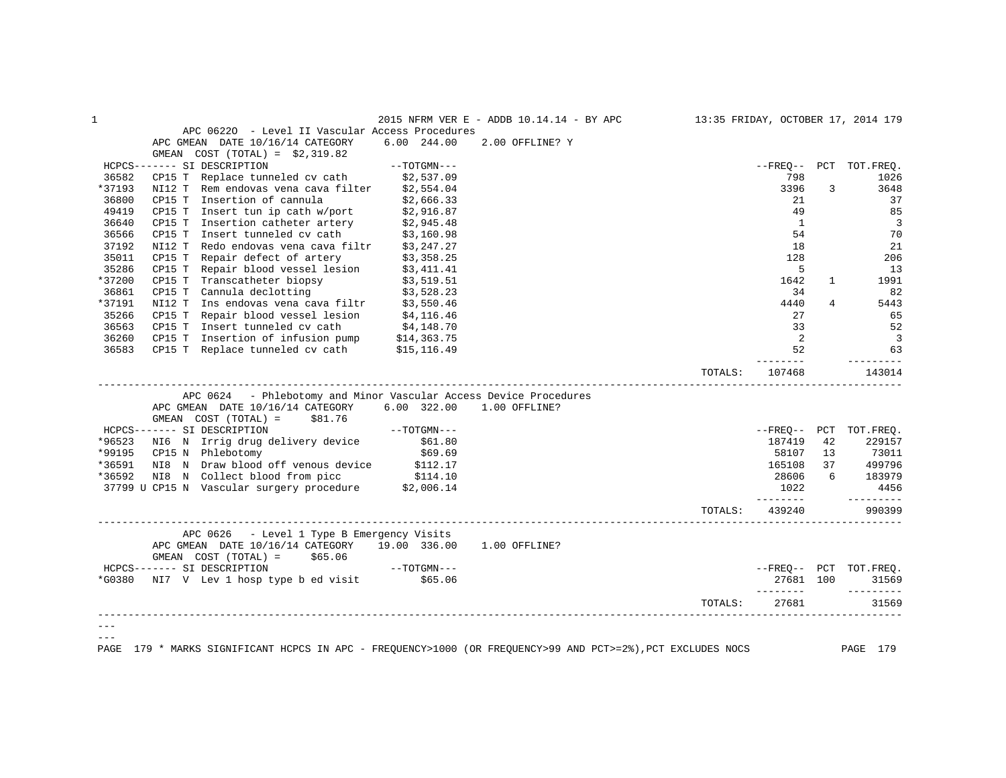|        |                                                                                                                                                               |                     |                                          | TOTALS:                            | 27681               |                | 31569                         |
|--------|---------------------------------------------------------------------------------------------------------------------------------------------------------------|---------------------|------------------------------------------|------------------------------------|---------------------|----------------|-------------------------------|
|        | *G0380 NI7 V Lev 1 hosp type b ed visit \$65.06                                                                                                               |                     |                                          |                                    | 27681 100           |                | 31569<br>$- - - - - - - - -$  |
|        | GMEAN $COST (TOTAL) = $65.06$<br>HCPCS------- SI DESCRIPTION                                                                                                  | $--TOTGMN---$       |                                          |                                    |                     |                | --FREO-- PCT TOT.FREO.        |
|        | APC 0626 - Level 1 Type B Emergency Visits<br>APC GMEAN DATE 10/16/14 CATEGORY 19.00 336.00 1.00 OFFLINE?                                                     |                     |                                          |                                    |                     |                |                               |
|        |                                                                                                                                                               |                     |                                          | TOTALS:                            | 439240              |                | 990399                        |
|        |                                                                                                                                                               |                     |                                          |                                    | 1022<br>---------   |                | 4456<br>$- - - - - - - - -$   |
|        |                                                                                                                                                               |                     |                                          |                                    | 28606               |                | 6 183979                      |
|        | *36591 NI8 N Draw blood off venous device \$112.17<br>*36592 NI8 N Collect blood from picc \$114.10<br>37799 U CP15 N Vascular surgery procedure \$2,006.14   |                     |                                          |                                    |                     |                | 165108 37 499796              |
|        | *99195 CP15 N Phlebotomy                                                                                                                                      | \$69.69             |                                          |                                    | 58107               | 13             | 73011                         |
| *96523 | NI6 N Irrig drug delivery device \$61.80                                                                                                                      |                     |                                          |                                    | 187419              | 42             | 229157                        |
|        | HCPCS------- SI DESCRIPTION                                                                                                                                   | $--{\tt TOTGMN---}$ |                                          |                                    |                     |                | --FREQ-- PCT TOT.FREQ.        |
|        | APC GMEAN DATE 10/16/14 CATEGORY 6.00 322.00 1.00 OFFLINE?<br>GMEAN $COST (TOTAL) = $81.76$                                                                   |                     |                                          |                                    |                     |                |                               |
|        | APC 0624 - Phlebotomy and Minor Vascular Access Device Procedures                                                                                             |                     |                                          |                                    |                     |                |                               |
|        |                                                                                                                                                               |                     |                                          | TOTALS:                            | ---------<br>107468 |                | $- - - - - - - - -$<br>143014 |
| 36583  |                                                                                                                                                               |                     |                                          |                                    | 52                  |                | 63                            |
| 36260  | CP15 T Insertion of infusion pump \$14,363.75<br>CP15 T Replace tunneled cv cath \$15,116.49                                                                  |                     |                                          |                                    | $\overline{2}$      |                | $\overline{\mathbf{3}}$       |
| 36563  | CP15 T Insert tunneled cv cath $$4,148.70$                                                                                                                    |                     |                                          |                                    | 33                  |                | 52                            |
| 35266  |                                                                                                                                                               |                     |                                          |                                    | 27                  |                | 65                            |
| *37191 |                                                                                                                                                               |                     |                                          |                                    | 4440                | $\overline{4}$ | 5443                          |
| 36861  |                                                                                                                                                               |                     |                                          |                                    | 34                  |                | 82                            |
| *37200 | CP15 T Transcatheter biopsy<br>CP15 T Cannula declotting<br>S3,519.51<br>NI12 T Ins endovas vena cava filtr<br>CP15 T Repair blood vessel lesion<br>S4,116.46 |                     |                                          |                                    | 1642                | $\mathbf{1}$   | 1991                          |
| 35286  | NI12 T Redo endovas vena cava filtr \$3,247.27<br>CP15 T Repair defect of artery \$3,358.25<br>CP15 T Repair blood vessel lesion \$3,411.41                   |                     |                                          |                                    | 5                   |                | 13                            |
| 35011  |                                                                                                                                                               |                     |                                          |                                    | 128                 |                | 206                           |
| 37192  |                                                                                                                                                               |                     |                                          |                                    | 18                  |                | 21                            |
| 36566  | CP15 T Insertion catheter artery $$2,945.48$<br>CP15 T Insert tunneled cv cath $$3,160.98$                                                                    |                     |                                          |                                    | 54                  |                | 70                            |
| 36640  |                                                                                                                                                               |                     |                                          |                                    | $\mathbf{1}$        |                | $\overline{3}$                |
| 49419  | CP15 T Insert tun ip cath w/port $$2,916.87$                                                                                                                  |                     |                                          |                                    | 49                  |                | 85                            |
| 36800  | Insertion of cannula<br>CP15 T                                                                                                                                | \$2,666.33          |                                          |                                    | 21                  |                | 37                            |
| *37193 | NI12 T Rem endovas vena cava filter \$2,554.04                                                                                                                |                     |                                          |                                    | 3396                | 3              | 3648                          |
| 36582  | $CP15$ T Replace tunneled cv cath $$2,537.09$                                                                                                                 |                     |                                          |                                    | 798                 |                | 1026                          |
|        | GMEAN $COST (TOTAL) = $2,319.82$<br>HCPCS------- SI DESCRIPTION                                                                                               | --TOTGMN---         |                                          |                                    |                     |                | --FREO-- PCT TOT.FREO.        |
|        | APC GMEAN DATE 10/16/14 CATEGORY 6.00 244.00                                                                                                                  |                     | 2.00 OFFLINE? Y                          |                                    |                     |                |                               |
|        | APC 06220 - Level II Vascular Access Procedures                                                                                                               |                     |                                          |                                    |                     |                |                               |
|        |                                                                                                                                                               |                     | 2015 NFRM VER E - ADDB 10.14.14 - BY APC | 13:35 FRIDAY, OCTOBER 17, 2014 179 |                     |                |                               |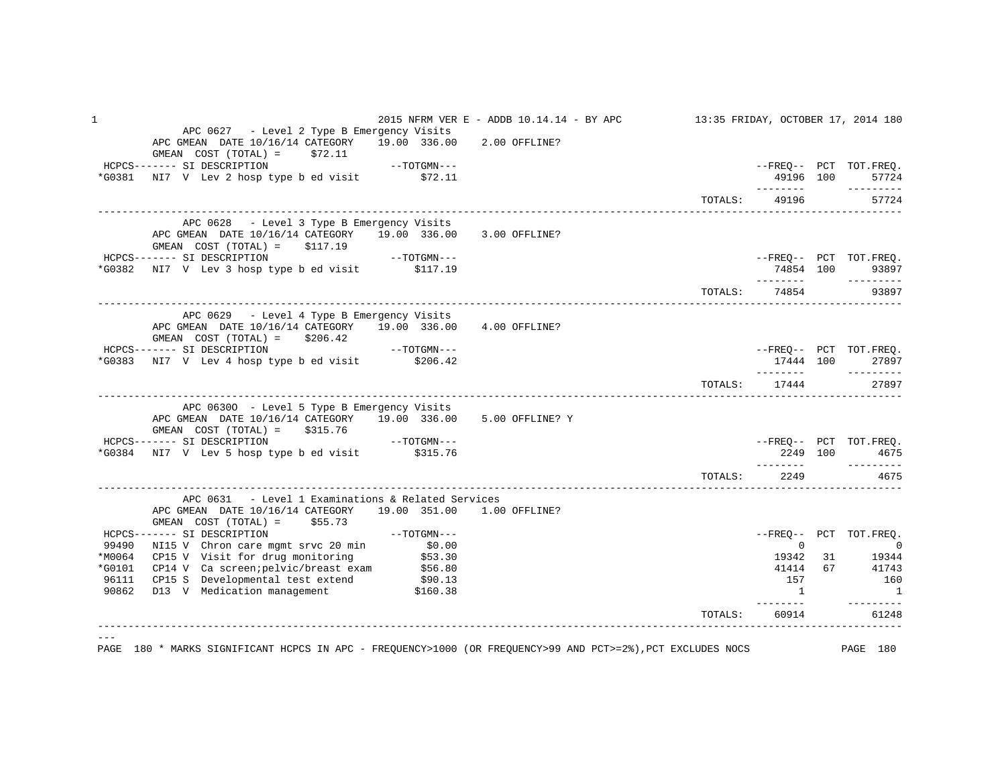| $\mathbf 1$ |                                                                                                                                                                                                                                                                                                                                                                                                                                                                                                                                                                                                   | 2015 NFRM VER E - ADDB 10.14.14 - BY APC 13:35 FRIDAY, OCTOBER 17, 2014 180 |                   |               |                                                                            |
|-------------|---------------------------------------------------------------------------------------------------------------------------------------------------------------------------------------------------------------------------------------------------------------------------------------------------------------------------------------------------------------------------------------------------------------------------------------------------------------------------------------------------------------------------------------------------------------------------------------------------|-----------------------------------------------------------------------------|-------------------|---------------|----------------------------------------------------------------------------|
|             | APC 0627 - Level 2 Type B Emergency Visits<br>APC GMEAN DATE 10/16/14 CATEGORY 19.00 336.00 2.00 OFFLINE?<br>GMEAN $COST (TOTAL) = $72.11$                                                                                                                                                                                                                                                                                                                                                                                                                                                        |                                                                             |                   |               | --FREQ-- PCT TOT.FREQ.                                                     |
|             | HCPCS------- SI DESCRIPTION --- ------ --- SI DESCRIPTION ---<br>*G0381 NI7 V Lev 2 hosp type b ed visit \$72.11                                                                                                                                                                                                                                                                                                                                                                                                                                                                                  |                                                                             |                   | 49196 100     | 57724                                                                      |
|             |                                                                                                                                                                                                                                                                                                                                                                                                                                                                                                                                                                                                   |                                                                             |                   | TOTALS: 49196 | 57724                                                                      |
|             | APC 0628 - Level 3 Type B Emergency Visits<br>APC GMEAN DATE 10/16/14 CATEGORY 19.00 336.00 3.00 OFFLINE?<br>$GMEAN$ $COST$ $(TOTAL) = $117.19$                                                                                                                                                                                                                                                                                                                                                                                                                                                   |                                                                             |                   |               |                                                                            |
|             | HCPCS------- SI DESCRIPTION ---<br>*G0382 NI7 V Lev 3 hosp type b ed visit \$117.19                                                                                                                                                                                                                                                                                                                                                                                                                                                                                                               |                                                                             |                   | 74854 100     | --FREQ-- PCT TOT.FREQ.<br>93897                                            |
|             |                                                                                                                                                                                                                                                                                                                                                                                                                                                                                                                                                                                                   |                                                                             |                   | TOTALS: 74854 | 93897                                                                      |
|             | APC 0629 - Level 4 Type B Emergency Visits<br>APC GMEAN DATE 10/16/14 CATEGORY 19.00 336.00 4.00 OFFLINE?<br>$\begin{tabular}{lllll} \multicolumn{2}{l}{{\small\textsf{GHEAN}}}&{{\small\textsf{COST}}}&{{\small\textsf{TOTAL}}}&=&\texttt{\$206.42}\\ &{{\small\textsf{HCPCS}}}\mbox{\small\textsf{-----}}&-&{{\small\textsf{SI}}}&{{\small\textsf{DESCRIPTION}}}& & & & & & & & & & \\ \multicolumn{2}{l}{\small\textsf{HCPCS}}&-&-&-&-&{{\small\textsf{ST}}}&{{\small\textsf{DESCRIPTION}}}& & & & & & & & \\ \multicolumn{2}{l}{\small\textsf{HCPCS}}&-&-&-&-&{{\small\textsf{ST}}}&{{\small$ |                                                                             |                   |               |                                                                            |
|             | *G0383 NI7 V Lev 4 hosp type b ed visit \$206.42                                                                                                                                                                                                                                                                                                                                                                                                                                                                                                                                                  |                                                                             |                   | 17444 100     | --FREQ-- PCT TOT.FREQ.<br>27897                                            |
|             |                                                                                                                                                                                                                                                                                                                                                                                                                                                                                                                                                                                                   |                                                                             |                   | TOTALS: 17444 | 27897                                                                      |
|             | APC 06300 - Level 5 Type B Emergency Visits<br>APC GMEAN DATE 10/16/14 CATEGORY 19.00 336.00 5.00 OFFLINE? Y<br>$GMEAN$ $COST$ $(TOTAL) = $315.76$                                                                                                                                                                                                                                                                                                                                                                                                                                                |                                                                             |                   |               |                                                                            |
|             | $---TOTGMN---$<br>HCPCS------- SI DESCRIPTION                                                                                                                                                                                                                                                                                                                                                                                                                                                                                                                                                     |                                                                             |                   |               | --FREO-- PCT TOT.FREO.                                                     |
|             | *G0384 NI7 V Lev 5 hosp type b ed visit \$315.76                                                                                                                                                                                                                                                                                                                                                                                                                                                                                                                                                  |                                                                             |                   |               | 2249 100 4675                                                              |
|             |                                                                                                                                                                                                                                                                                                                                                                                                                                                                                                                                                                                                   |                                                                             | TOTALS: 2249 4675 |               |                                                                            |
|             | APC 0631 - Level 1 Examinations & Related Services                                                                                                                                                                                                                                                                                                                                                                                                                                                                                                                                                |                                                                             |                   |               |                                                                            |
|             | APC GMEAN DATE 10/16/14 CATEGORY 19.00 351.00 1.00 OFFLINE?<br>GMEAN $COST (TOTAL) = $55.73$                                                                                                                                                                                                                                                                                                                                                                                                                                                                                                      |                                                                             |                   |               |                                                                            |
| 99490       | HCPCS------- SI DESCRIPTION --- TOTGMN---<br>NI15 V Chron care mgmt srvc 20 min \$0.00                                                                                                                                                                                                                                                                                                                                                                                                                                                                                                            |                                                                             |                   |               | --FREO-- PCT TOT.FREO.<br>$\overline{0}$<br>$\overline{0}$                 |
|             |                                                                                                                                                                                                                                                                                                                                                                                                                                                                                                                                                                                                   |                                                                             |                   |               |                                                                            |
|             |                                                                                                                                                                                                                                                                                                                                                                                                                                                                                                                                                                                                   |                                                                             |                   |               | $\begin{array}{cccc} 19342 & 31 & 19344 \\ 41414 & 67 & 41743 \end{array}$ |
|             | *M0064 CP15 V Visit for drug monitoring \$53.30<br>*G0101 CP14 V Cascreen: pelvic/breast exam \$56.80<br>96111 CP15 S Developmental test extend \$90.13                                                                                                                                                                                                                                                                                                                                                                                                                                           |                                                                             |                   |               | 157 160                                                                    |
| 90862       | D13 V Medication management \$160.38                                                                                                                                                                                                                                                                                                                                                                                                                                                                                                                                                              |                                                                             |                   | 1             | $\overline{\phantom{0}}$                                                   |
|             |                                                                                                                                                                                                                                                                                                                                                                                                                                                                                                                                                                                                   |                                                                             | TOTALS:           | 60914         | 61248                                                                      |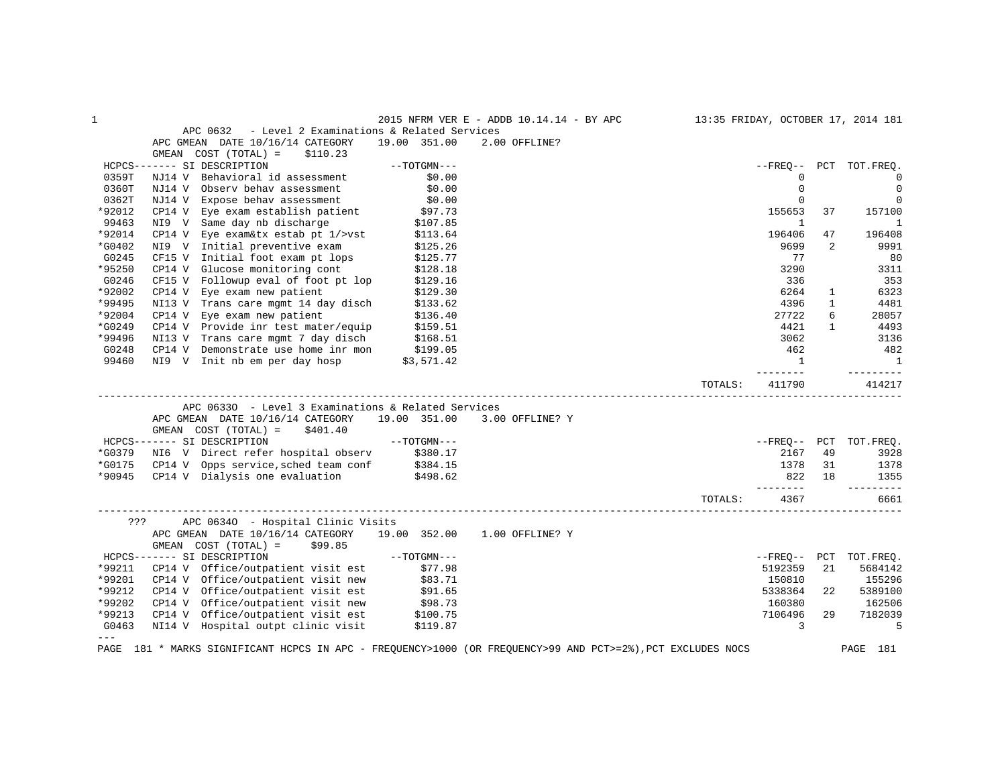| $\mathbf{1}$   |                                                                                                             |                     | 2015 NFRM VER E - ADDB 10.14.14 - BY APC | 13:35 FRIDAY, OCTOBER 17, 2014 181 |             |              |                        |
|----------------|-------------------------------------------------------------------------------------------------------------|---------------------|------------------------------------------|------------------------------------|-------------|--------------|------------------------|
|                | - Level 2 Examinations & Related Services<br>APC 0632                                                       |                     |                                          |                                    |             |              |                        |
|                | APC GMEAN DATE 10/16/14 CATEGORY                                                                            | 19.00 351.00        | 2.00 OFFLINE?                            |                                    |             |              |                        |
|                | GMEAN COST (TOTAL) =<br>\$110.23                                                                            |                     |                                          |                                    |             |              |                        |
|                | HCPCS------- SI DESCRIPTION                                                                                 | $--TOTGMN---$       |                                          |                                    |             |              | --FREO-- PCT TOT.FREO. |
| 0359T          | NJ14 V Behavioral id assessment                                                                             | \$0.00              |                                          |                                    | 0           |              | 0                      |
| 0360T          | NJ14 V Observ behav assessment                                                                              | \$0.00              |                                          |                                    | $\mathbf 0$ |              | $\mathbf 0$            |
| 0362T          | NJ14 V Expose behav assessment                                                                              | \$0.00              |                                          |                                    | $\mathbf 0$ |              | $\mathbf 0$            |
| *92012         | CP14 V Eye exam establish patient \$97.73                                                                   |                     |                                          |                                    | 155653      | 37           | 157100                 |
| 99463          | NI9 V Same day nb discharge                                                                                 | \$107.85            |                                          |                                    | 1           |              | 1                      |
| *92014         | CP14 V Eye exam&tx estab pt $1$ />vst                                                                       | \$113.64            |                                          |                                    | 196406      | 47           | 196408                 |
| *G0402         | NI9 V Initial preventive exam                                                                               | \$125.26            |                                          |                                    | 9699        | 2            | 9991                   |
| G0245          | CF15 V Initial foot exam pt lops                                                                            | \$125.77            |                                          |                                    | 77          |              | 80                     |
| *95250         | CP14 V Glucose monitoring cont                                                                              | \$128.18            |                                          |                                    | 3290        |              | 3311                   |
| G0246          | CF15 V Followup eval of foot pt lop                                                                         | \$129.16            |                                          |                                    | 336         |              | 353                    |
| *92002         | CP14 V Eye exam new patient                                                                                 | \$129.30            |                                          |                                    | 6264        | $\mathbf{1}$ | 6323                   |
| *99495         | NI13 V Trans care mgmt 14 day disch                                                                         | \$133.62            |                                          |                                    | 4396        | $\mathbf{1}$ | 4481                   |
| *92004         | CP14 V Eye exam new patient                                                                                 | \$136.40            |                                          |                                    | 27722       | 6            | 28057                  |
| *G0249         | CP14 V Provide inr test mater/equip                                                                         | \$159.51            |                                          |                                    | 4421        | $\mathbf{1}$ | 4493                   |
| *99496         | NI13 V Trans care mgmt 7 day disch                                                                          | \$168.51            |                                          |                                    | 3062        |              | 3136                   |
| G0248          | CP14 V Demonstrate use home inr mon                                                                         | \$199.05            |                                          |                                    | 462         |              | 482                    |
| 99460          | NI9 V Init nb em per day hosp \$3,571.42                                                                    |                     |                                          |                                    | 1           |              | $\overline{1}$         |
|                |                                                                                                             |                     |                                          |                                    | ---------   |              | ----------             |
|                |                                                                                                             |                     |                                          | TOTALS:                            | 411790      |              | 414217                 |
|                |                                                                                                             |                     |                                          |                                    |             |              |                        |
|                | APC 06330 - Level 3 Examinations & Related Services                                                         |                     |                                          |                                    |             |              |                        |
|                | APC GMEAN DATE 10/16/14 CATEGORY 19.00 351.00 3.00 OFFLINE? Y                                               |                     |                                          |                                    |             |              |                        |
|                | GMEAN COST (TOTAL) =<br>\$401.40                                                                            |                     |                                          |                                    |             |              |                        |
|                | HCPCS------- SI DESCRIPTION                                                                                 | --TOTGMN---         |                                          |                                    |             |              | --FREO-- PCT TOT.FREO. |
| *G0379         | NI6 V Direct refer hospital observ \$380.17                                                                 |                     |                                          |                                    | 2167        | 49           | 3928                   |
| *G0175         | CP14 V Opps service, sched team conf \$384.15                                                               |                     |                                          |                                    | 1378        | 31           | 1378                   |
|                | *90945 CP14 V Dialysis one evaluation                                                                       | \$498.62            |                                          |                                    | 822         | 18           | 1355                   |
|                |                                                                                                             |                     |                                          |                                    | --------    |              | $- - - - - - - - -$    |
|                |                                                                                                             |                     |                                          | TOTALS:                            | 4367        |              | 6661                   |
|                |                                                                                                             |                     |                                          |                                    |             |              |                        |
| ???            | APC 06340 - Hospital Clinic Visits<br>APC GMEAN DATE 10/16/14 CATEGORY 19.00 352.00 1.00 OFFLINE? Y         |                     |                                          |                                    |             |              |                        |
|                | \$99.85                                                                                                     |                     |                                          |                                    |             |              |                        |
|                | GMEAN COST (TOTAL) =                                                                                        |                     |                                          |                                    |             |              |                        |
|                | HCPCS------- SI DESCRIPTION                                                                                 | --TOTGMN---         |                                          |                                    |             |              | --FREQ-- PCT TOT.FREQ. |
| *99211         | CP14 V Office/outpatient visit est                                                                          | \$77.98             |                                          |                                    | 5192359     | 21           | 5684142                |
| *99201         | CP14 V Office/outpatient visit new                                                                          | \$83.71<br>\$91.65  |                                          |                                    | 150810      |              | 155296                 |
| *99212         | CP14 V Office/outpatient visit est                                                                          |                     |                                          |                                    | 5338364     | 22           | 5389100                |
| *99202         | CP14 V Office/outpatient visit new                                                                          | \$98.73<br>\$100.75 |                                          |                                    | 160380      |              | 162506                 |
| *99213         | CP14 V Office/outpatient visit est                                                                          | \$100.75            |                                          |                                    | 7106496     | 29           | 7182039                |
| G0463<br>$---$ | NI14 V Hospital outpt clinic visit                                                                          | \$119.87            |                                          |                                    | 3           |              | 5                      |
|                | PAGE 181 * MARKS SIGNIFICANT HCPCS IN APC - FREQUENCY>1000 (OR FREQUENCY>99 AND PCT>=2%), PCT EXCLUDES NOCS |                     |                                          |                                    |             |              | PAGE 181               |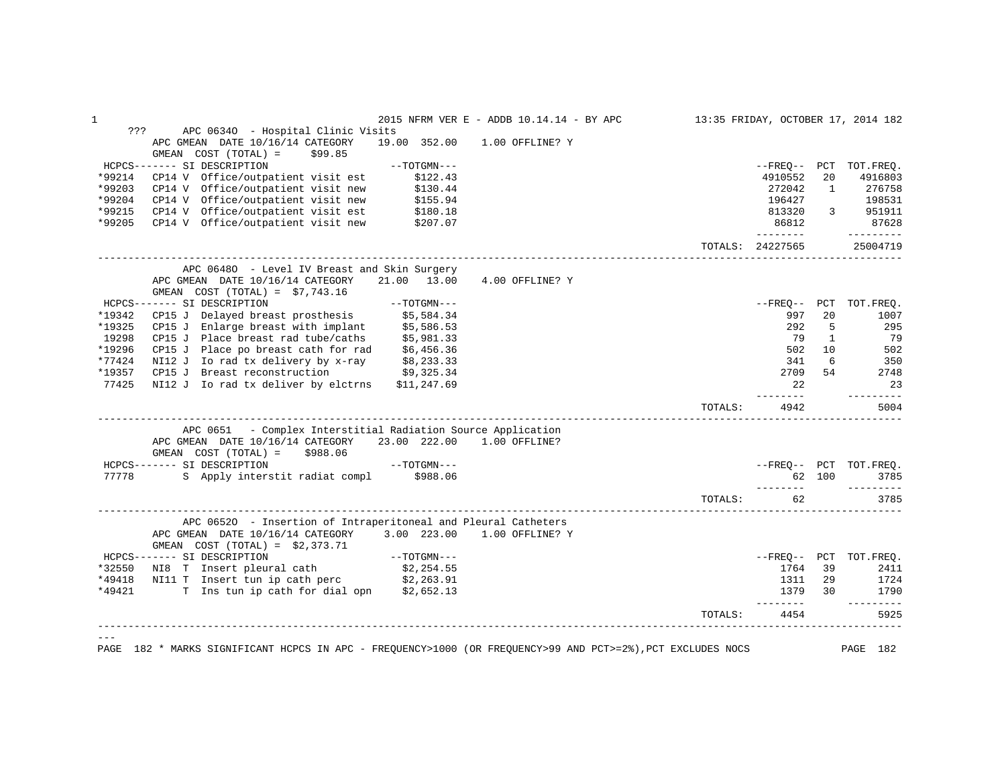| APC 06340 - Hospital Clinic Visits<br>???<br>APC GMEAN DATE 10/16/14 CATEGORY<br>19.00 352.00 1.00 OFFLINE? Y<br>GMEAN COST (TOTAL) =<br>\$99.85<br>HCPCS------- SI DESCRIPTION<br>$--TOTGMN---$<br>*99214<br>4910552<br>CP14 V Office/outpatient visit est<br>\$122.43<br>20<br>CP14 V Office/outpatient visit new<br>*99203<br>\$130.44<br>272042<br>$\mathbf{1}$<br>*99204<br>CP14 V Office/outpatient visit new<br>\$155.94<br>196427<br>\$180.18<br>*99215<br>CP14 V Office/outpatient visit est<br>$3 \quad \blacksquare$<br>813320<br>*99205<br>CP14 V Office/outpatient visit new<br>86812<br>\$207.07<br>---------<br>TOTALS: 24227565<br>APC 06480 - Level IV Breast and Skin Surgery<br>APC GMEAN DATE 10/16/14 CATEGORY<br>21.00 13.00<br>4.00 OFFLINE? Y<br>GMEAN COST $(TOTAL) = $7,743.16$<br>HCPCS------- SI DESCRIPTION<br>----- SI DESCRIPTION ------ SI DESCRIPTION ---<br>CP15 J Delayed breast prosthesis \$5,584.34<br>$--$ FREQ-- PCT<br>*19342<br>997<br>20<br>CP15 J Enlarge breast with implant \$5,586.53<br>*19325<br>292<br>5<br>19298<br>CP15 J Place breast rad tube/caths \$5,981.33<br>$\mathbf{1}$<br>79<br>\$6,456.36<br>*19296<br>CP15 J Place po breast cath for rad<br>502<br>10<br>$*77424$<br>NI12 J Io rad tx delivery by x-ray<br>6<br>\$8,233.33<br>341<br>*19357 CP15 J Breast reconstruction<br>\$9,325.34<br>2709<br>54<br>77425<br>NI12 J Io rad tx deliver by elctrns<br>\$11,247.69<br>22<br>--------<br>TOTALS:<br>4942<br>APC 0651 - Complex Interstitial Radiation Source Application<br>APC GMEAN DATE 10/16/14 CATEGORY<br>23.00 222.00<br>1.00 OFFLINE?<br>GMEAN $COST (TOTAL) = $988.06$<br>$--\text{TOTGMN}---$<br>HCPCS------- SI DESCRIPTION<br>S Apply interstit radiat compl \$988.06<br>77778<br>62 100<br>---------<br>62<br>TOTALS:<br>APC 06520 - Insertion of Intraperitoneal and Pleural Catheters<br>APC GMEAN DATE 10/16/14 CATEGORY 3.00 223.00 1.00 OFFLINE? Y<br>GMEAN $COST (TOTAL) = $2,373.71$<br>HCPCS------- SI DESCRIPTION<br>--TOTGMN---<br>\$2,254.55<br>*32550 NI8 T Insert pleural cath<br>1764<br>39<br>NI11 T Insert tun ip cath perc \$2,263.91<br>*49418<br>29<br>1311<br>T Ins tun ip cath for dial opn \$2,652.13<br>*49421<br>1379<br>30<br>---------<br>4454<br>TOTALS: |                                                                                                                         |
|-------------------------------------------------------------------------------------------------------------------------------------------------------------------------------------------------------------------------------------------------------------------------------------------------------------------------------------------------------------------------------------------------------------------------------------------------------------------------------------------------------------------------------------------------------------------------------------------------------------------------------------------------------------------------------------------------------------------------------------------------------------------------------------------------------------------------------------------------------------------------------------------------------------------------------------------------------------------------------------------------------------------------------------------------------------------------------------------------------------------------------------------------------------------------------------------------------------------------------------------------------------------------------------------------------------------------------------------------------------------------------------------------------------------------------------------------------------------------------------------------------------------------------------------------------------------------------------------------------------------------------------------------------------------------------------------------------------------------------------------------------------------------------------------------------------------------------------------------------------------------------------------------------------------------------------------------------------------------------------------------------------------------------------------------------------------------------------------------------------------------------------------------------------------------------------------------------------------------------------------------------------------|-------------------------------------------------------------------------------------------------------------------------|
| 25004719<br>. _ _ _ _ _ _ _ _<br>----------<br>5925                                                                                                                                                                                                                                                                                                                                                                                                                                                                                                                                                                                                                                                                                                                                                                                                                                                                                                                                                                                                                                                                                                                                                                                                                                                                                                                                                                                                                                                                                                                                                                                                                                                                                                                                                                                                                                                                                                                                                                                                                                                                                                                                                                                                               |                                                                                                                         |
|                                                                                                                                                                                                                                                                                                                                                                                                                                                                                                                                                                                                                                                                                                                                                                                                                                                                                                                                                                                                                                                                                                                                                                                                                                                                                                                                                                                                                                                                                                                                                                                                                                                                                                                                                                                                                                                                                                                                                                                                                                                                                                                                                                                                                                                                   |                                                                                                                         |
| --FREQ-- PCT TOT.FREQ.<br>4916803<br>276758<br>198531<br>951911<br>87628<br>$- - - - - - - - -$                                                                                                                                                                                                                                                                                                                                                                                                                                                                                                                                                                                                                                                                                                                                                                                                                                                                                                                                                                                                                                                                                                                                                                                                                                                                                                                                                                                                                                                                                                                                                                                                                                                                                                                                                                                                                                                                                                                                                                                                                                                                                                                                                                   |                                                                                                                         |
|                                                                                                                                                                                                                                                                                                                                                                                                                                                                                                                                                                                                                                                                                                                                                                                                                                                                                                                                                                                                                                                                                                                                                                                                                                                                                                                                                                                                                                                                                                                                                                                                                                                                                                                                                                                                                                                                                                                                                                                                                                                                                                                                                                                                                                                                   |                                                                                                                         |
|                                                                                                                                                                                                                                                                                                                                                                                                                                                                                                                                                                                                                                                                                                                                                                                                                                                                                                                                                                                                                                                                                                                                                                                                                                                                                                                                                                                                                                                                                                                                                                                                                                                                                                                                                                                                                                                                                                                                                                                                                                                                                                                                                                                                                                                                   |                                                                                                                         |
|                                                                                                                                                                                                                                                                                                                                                                                                                                                                                                                                                                                                                                                                                                                                                                                                                                                                                                                                                                                                                                                                                                                                                                                                                                                                                                                                                                                                                                                                                                                                                                                                                                                                                                                                                                                                                                                                                                                                                                                                                                                                                                                                                                                                                                                                   |                                                                                                                         |
|                                                                                                                                                                                                                                                                                                                                                                                                                                                                                                                                                                                                                                                                                                                                                                                                                                                                                                                                                                                                                                                                                                                                                                                                                                                                                                                                                                                                                                                                                                                                                                                                                                                                                                                                                                                                                                                                                                                                                                                                                                                                                                                                                                                                                                                                   |                                                                                                                         |
|                                                                                                                                                                                                                                                                                                                                                                                                                                                                                                                                                                                                                                                                                                                                                                                                                                                                                                                                                                                                                                                                                                                                                                                                                                                                                                                                                                                                                                                                                                                                                                                                                                                                                                                                                                                                                                                                                                                                                                                                                                                                                                                                                                                                                                                                   |                                                                                                                         |
|                                                                                                                                                                                                                                                                                                                                                                                                                                                                                                                                                                                                                                                                                                                                                                                                                                                                                                                                                                                                                                                                                                                                                                                                                                                                                                                                                                                                                                                                                                                                                                                                                                                                                                                                                                                                                                                                                                                                                                                                                                                                                                                                                                                                                                                                   |                                                                                                                         |
|                                                                                                                                                                                                                                                                                                                                                                                                                                                                                                                                                                                                                                                                                                                                                                                                                                                                                                                                                                                                                                                                                                                                                                                                                                                                                                                                                                                                                                                                                                                                                                                                                                                                                                                                                                                                                                                                                                                                                                                                                                                                                                                                                                                                                                                                   |                                                                                                                         |
| TOT.FREQ.<br>1007<br>295<br>79<br>502<br>350<br>2748<br>23<br>5004<br>--FREQ-- PCT TOT.FREQ.<br>3785<br>$- - - - - - - - -$<br>3785<br>--FREO-- PCT TOT.FREO.<br>1724<br>1790                                                                                                                                                                                                                                                                                                                                                                                                                                                                                                                                                                                                                                                                                                                                                                                                                                                                                                                                                                                                                                                                                                                                                                                                                                                                                                                                                                                                                                                                                                                                                                                                                                                                                                                                                                                                                                                                                                                                                                                                                                                                                     |                                                                                                                         |
|                                                                                                                                                                                                                                                                                                                                                                                                                                                                                                                                                                                                                                                                                                                                                                                                                                                                                                                                                                                                                                                                                                                                                                                                                                                                                                                                                                                                                                                                                                                                                                                                                                                                                                                                                                                                                                                                                                                                                                                                                                                                                                                                                                                                                                                                   |                                                                                                                         |
|                                                                                                                                                                                                                                                                                                                                                                                                                                                                                                                                                                                                                                                                                                                                                                                                                                                                                                                                                                                                                                                                                                                                                                                                                                                                                                                                                                                                                                                                                                                                                                                                                                                                                                                                                                                                                                                                                                                                                                                                                                                                                                                                                                                                                                                                   |                                                                                                                         |
|                                                                                                                                                                                                                                                                                                                                                                                                                                                                                                                                                                                                                                                                                                                                                                                                                                                                                                                                                                                                                                                                                                                                                                                                                                                                                                                                                                                                                                                                                                                                                                                                                                                                                                                                                                                                                                                                                                                                                                                                                                                                                                                                                                                                                                                                   |                                                                                                                         |
|                                                                                                                                                                                                                                                                                                                                                                                                                                                                                                                                                                                                                                                                                                                                                                                                                                                                                                                                                                                                                                                                                                                                                                                                                                                                                                                                                                                                                                                                                                                                                                                                                                                                                                                                                                                                                                                                                                                                                                                                                                                                                                                                                                                                                                                                   |                                                                                                                         |
|                                                                                                                                                                                                                                                                                                                                                                                                                                                                                                                                                                                                                                                                                                                                                                                                                                                                                                                                                                                                                                                                                                                                                                                                                                                                                                                                                                                                                                                                                                                                                                                                                                                                                                                                                                                                                                                                                                                                                                                                                                                                                                                                                                                                                                                                   |                                                                                                                         |
|                                                                                                                                                                                                                                                                                                                                                                                                                                                                                                                                                                                                                                                                                                                                                                                                                                                                                                                                                                                                                                                                                                                                                                                                                                                                                                                                                                                                                                                                                                                                                                                                                                                                                                                                                                                                                                                                                                                                                                                                                                                                                                                                                                                                                                                                   |                                                                                                                         |
|                                                                                                                                                                                                                                                                                                                                                                                                                                                                                                                                                                                                                                                                                                                                                                                                                                                                                                                                                                                                                                                                                                                                                                                                                                                                                                                                                                                                                                                                                                                                                                                                                                                                                                                                                                                                                                                                                                                                                                                                                                                                                                                                                                                                                                                                   |                                                                                                                         |
|                                                                                                                                                                                                                                                                                                                                                                                                                                                                                                                                                                                                                                                                                                                                                                                                                                                                                                                                                                                                                                                                                                                                                                                                                                                                                                                                                                                                                                                                                                                                                                                                                                                                                                                                                                                                                                                                                                                                                                                                                                                                                                                                                                                                                                                                   |                                                                                                                         |
|                                                                                                                                                                                                                                                                                                                                                                                                                                                                                                                                                                                                                                                                                                                                                                                                                                                                                                                                                                                                                                                                                                                                                                                                                                                                                                                                                                                                                                                                                                                                                                                                                                                                                                                                                                                                                                                                                                                                                                                                                                                                                                                                                                                                                                                                   |                                                                                                                         |
|                                                                                                                                                                                                                                                                                                                                                                                                                                                                                                                                                                                                                                                                                                                                                                                                                                                                                                                                                                                                                                                                                                                                                                                                                                                                                                                                                                                                                                                                                                                                                                                                                                                                                                                                                                                                                                                                                                                                                                                                                                                                                                                                                                                                                                                                   |                                                                                                                         |
|                                                                                                                                                                                                                                                                                                                                                                                                                                                                                                                                                                                                                                                                                                                                                                                                                                                                                                                                                                                                                                                                                                                                                                                                                                                                                                                                                                                                                                                                                                                                                                                                                                                                                                                                                                                                                                                                                                                                                                                                                                                                                                                                                                                                                                                                   |                                                                                                                         |
|                                                                                                                                                                                                                                                                                                                                                                                                                                                                                                                                                                                                                                                                                                                                                                                                                                                                                                                                                                                                                                                                                                                                                                                                                                                                                                                                                                                                                                                                                                                                                                                                                                                                                                                                                                                                                                                                                                                                                                                                                                                                                                                                                                                                                                                                   |                                                                                                                         |
|                                                                                                                                                                                                                                                                                                                                                                                                                                                                                                                                                                                                                                                                                                                                                                                                                                                                                                                                                                                                                                                                                                                                                                                                                                                                                                                                                                                                                                                                                                                                                                                                                                                                                                                                                                                                                                                                                                                                                                                                                                                                                                                                                                                                                                                                   |                                                                                                                         |
|                                                                                                                                                                                                                                                                                                                                                                                                                                                                                                                                                                                                                                                                                                                                                                                                                                                                                                                                                                                                                                                                                                                                                                                                                                                                                                                                                                                                                                                                                                                                                                                                                                                                                                                                                                                                                                                                                                                                                                                                                                                                                                                                                                                                                                                                   |                                                                                                                         |
|                                                                                                                                                                                                                                                                                                                                                                                                                                                                                                                                                                                                                                                                                                                                                                                                                                                                                                                                                                                                                                                                                                                                                                                                                                                                                                                                                                                                                                                                                                                                                                                                                                                                                                                                                                                                                                                                                                                                                                                                                                                                                                                                                                                                                                                                   |                                                                                                                         |
|                                                                                                                                                                                                                                                                                                                                                                                                                                                                                                                                                                                                                                                                                                                                                                                                                                                                                                                                                                                                                                                                                                                                                                                                                                                                                                                                                                                                                                                                                                                                                                                                                                                                                                                                                                                                                                                                                                                                                                                                                                                                                                                                                                                                                                                                   |                                                                                                                         |
|                                                                                                                                                                                                                                                                                                                                                                                                                                                                                                                                                                                                                                                                                                                                                                                                                                                                                                                                                                                                                                                                                                                                                                                                                                                                                                                                                                                                                                                                                                                                                                                                                                                                                                                                                                                                                                                                                                                                                                                                                                                                                                                                                                                                                                                                   |                                                                                                                         |
|                                                                                                                                                                                                                                                                                                                                                                                                                                                                                                                                                                                                                                                                                                                                                                                                                                                                                                                                                                                                                                                                                                                                                                                                                                                                                                                                                                                                                                                                                                                                                                                                                                                                                                                                                                                                                                                                                                                                                                                                                                                                                                                                                                                                                                                                   |                                                                                                                         |
| 2411                                                                                                                                                                                                                                                                                                                                                                                                                                                                                                                                                                                                                                                                                                                                                                                                                                                                                                                                                                                                                                                                                                                                                                                                                                                                                                                                                                                                                                                                                                                                                                                                                                                                                                                                                                                                                                                                                                                                                                                                                                                                                                                                                                                                                                                              |                                                                                                                         |
|                                                                                                                                                                                                                                                                                                                                                                                                                                                                                                                                                                                                                                                                                                                                                                                                                                                                                                                                                                                                                                                                                                                                                                                                                                                                                                                                                                                                                                                                                                                                                                                                                                                                                                                                                                                                                                                                                                                                                                                                                                                                                                                                                                                                                                                                   |                                                                                                                         |
|                                                                                                                                                                                                                                                                                                                                                                                                                                                                                                                                                                                                                                                                                                                                                                                                                                                                                                                                                                                                                                                                                                                                                                                                                                                                                                                                                                                                                                                                                                                                                                                                                                                                                                                                                                                                                                                                                                                                                                                                                                                                                                                                                                                                                                                                   |                                                                                                                         |
|                                                                                                                                                                                                                                                                                                                                                                                                                                                                                                                                                                                                                                                                                                                                                                                                                                                                                                                                                                                                                                                                                                                                                                                                                                                                                                                                                                                                                                                                                                                                                                                                                                                                                                                                                                                                                                                                                                                                                                                                                                                                                                                                                                                                                                                                   |                                                                                                                         |
|                                                                                                                                                                                                                                                                                                                                                                                                                                                                                                                                                                                                                                                                                                                                                                                                                                                                                                                                                                                                                                                                                                                                                                                                                                                                                                                                                                                                                                                                                                                                                                                                                                                                                                                                                                                                                                                                                                                                                                                                                                                                                                                                                                                                                                                                   |                                                                                                                         |
|                                                                                                                                                                                                                                                                                                                                                                                                                                                                                                                                                                                                                                                                                                                                                                                                                                                                                                                                                                                                                                                                                                                                                                                                                                                                                                                                                                                                                                                                                                                                                                                                                                                                                                                                                                                                                                                                                                                                                                                                                                                                                                                                                                                                                                                                   |                                                                                                                         |
|                                                                                                                                                                                                                                                                                                                                                                                                                                                                                                                                                                                                                                                                                                                                                                                                                                                                                                                                                                                                                                                                                                                                                                                                                                                                                                                                                                                                                                                                                                                                                                                                                                                                                                                                                                                                                                                                                                                                                                                                                                                                                                                                                                                                                                                                   |                                                                                                                         |
|                                                                                                                                                                                                                                                                                                                                                                                                                                                                                                                                                                                                                                                                                                                                                                                                                                                                                                                                                                                                                                                                                                                                                                                                                                                                                                                                                                                                                                                                                                                                                                                                                                                                                                                                                                                                                                                                                                                                                                                                                                                                                                                                                                                                                                                                   | PAGE 182 * MARKS SIGNIFICANT HCPCS IN APC - FREQUENCY>1000 (OR FREQUENCY>99 AND PCT>=2%), PCT EXCLUDES NOCS<br>PAGE 182 |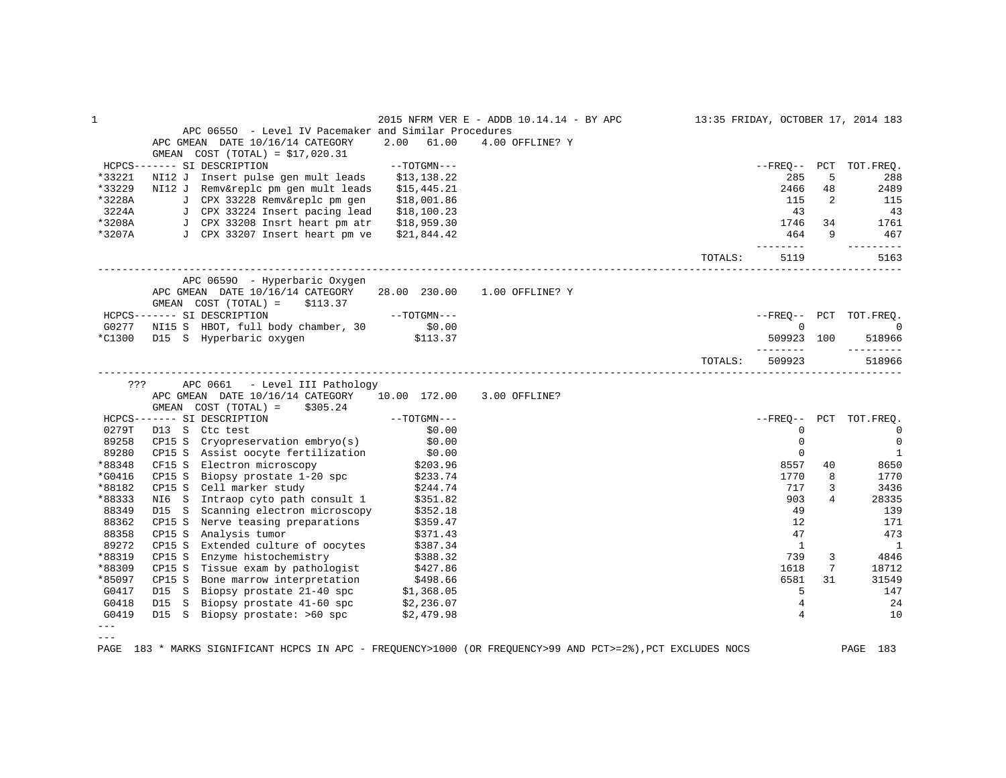| $\mathbf 1$ |                                                                                                                                                                                              |                | 2015 NFRM VER E - ADDB 10.14.14 - BY APC |         |                     |                | 13:35 FRIDAY, OCTOBER 17, 2014 183 |
|-------------|----------------------------------------------------------------------------------------------------------------------------------------------------------------------------------------------|----------------|------------------------------------------|---------|---------------------|----------------|------------------------------------|
|             | APC 06550 - Level IV Pacemaker and Similar Procedures                                                                                                                                        |                |                                          |         |                     |                |                                    |
|             | APC GMEAN DATE 10/16/14 CATEGORY                                                                                                                                                             | 61.00<br>2.00  | 4.00 OFFLINE? Y                          |         |                     |                |                                    |
|             | GMEAN $COST (TOTAL) = $17,020.31$                                                                                                                                                            |                |                                          |         |                     |                |                                    |
|             | HCPCS------- SI DESCRIPTION                                                                                                                                                                  | $--TOTGMN---$  |                                          |         |                     |                | --FREO-- PCT TOT.FREO.             |
| *33221      | NI12 J Insert pulse gen mult leads \$13,138.22                                                                                                                                               |                |                                          |         | 285                 | 5              | 288                                |
| *33229      | NI12 J Remv&replc pm gen mult leads                                                                                                                                                          | \$15,445.21    |                                          |         | 2466                | 48             | 2489                               |
| *3228A      | J CPX 33228 Remv&replc pm gen                                                                                                                                                                | \$18,001.86    |                                          |         | 115                 | 2              | 115                                |
| 3224A       | J CPX 33224 Insert pacing lead                                                                                                                                                               | \$18,100.23    |                                          |         | 43                  |                | 43                                 |
| *3208A      | J CPX 33208 Insrt heart pm atr                                                                                                                                                               | \$18,959.30    |                                          |         | 1746                | 34             | 1761                               |
| *3207A      | J CPX 33207 Insert heart pm ve                                                                                                                                                               | \$21,844.42    |                                          |         | 464<br>--------     | 9              | 467                                |
|             |                                                                                                                                                                                              |                |                                          | TOTALS: | 5119                |                | 5163                               |
|             | APC 06590 - Hyperbaric Oxygen                                                                                                                                                                |                |                                          |         |                     |                |                                    |
|             | APC GMEAN DATE 10/16/14 CATEGORY 28.00 230.00 1.00 OFFLINE? Y<br>\$113.37<br>GMEAN COST (TOTAL) =                                                                                            |                |                                          |         |                     |                |                                    |
|             | HCPCS------- SI DESCRIPTION                                                                                                                                                                  | $---TOTGMN---$ |                                          |         |                     |                | --FREO-- PCT TOT.FREQ.             |
|             | G0277 NI15 S HBOT, full body chamber, 30 \$0.00                                                                                                                                              |                |                                          |         | $\mathbf 0$         |                | $\overline{0}$                     |
|             | *C1300 D15 S Hyperbaric oxygen \$113.37                                                                                                                                                      |                |                                          |         | 509923 100          |                | 518966                             |
|             |                                                                                                                                                                                              |                |                                          | TOTALS: | ---------<br>509923 |                | $- - - - - - - - -$<br>518966      |
|             |                                                                                                                                                                                              |                |                                          |         |                     |                |                                    |
| ???         | APC 0661 - Level III Pathology                                                                                                                                                               |                |                                          |         |                     |                |                                    |
|             | APC GMEAN DATE 10/16/14 CATEGORY 10.00 172.00 3.00 OFFLINE?                                                                                                                                  |                |                                          |         |                     |                |                                    |
|             | GMEAN $COST (TOTAL) = $305.24$                                                                                                                                                               |                |                                          |         |                     |                |                                    |
|             | HCPCS------- SI DESCRIPTION<br>0279T - D13 - S. Ctc test                                                                                                                                     | $--TOTGMN---$  |                                          |         |                     |                | --FREQ-- PCT TOT.FREQ.             |
| 0279T       | D13 S Ctc test                                                                                                                                                                               | \$0.00         |                                          |         | 0                   |                | $\overline{0}$                     |
| 89258       | Cryopreservation embryo(s) \$0.00<br>CP15 S                                                                                                                                                  |                |                                          |         | $\mathbf 0$         |                | $\mathbf 0$                        |
| 89280       | CP15 S Assist oocyte fertilization \$0.00<br>CF15 S Electron microscopy \$203.96                                                                                                             |                |                                          |         | $\mathbf 0$         |                | $\overline{1}$                     |
| *88348      |                                                                                                                                                                                              |                |                                          |         | 8557                | 40             | 8650                               |
| *G0416      | Biopsy prostate 1-20 spc \$233.74<br>CP15 S                                                                                                                                                  |                |                                          |         | 1770                | 8              | 1770                               |
| *88182      | CP15 S Cell marker study \$244.74<br>NI6 S Intraop cyto path consult 1 \$351.82                                                                                                              |                |                                          |         | 717                 | 3              | 3436                               |
| *88333      |                                                                                                                                                                                              |                |                                          |         | 903                 | $\overline{4}$ | 28335                              |
| 88349       | Scanning electron microscopy<br>$D15$ S                                                                                                                                                      | \$352.18       |                                          |         | 49                  |                | 139                                |
| 88362       | CP15 S Nerve teasing preparations                                                                                                                                                            | \$359.47       |                                          |         | 12                  |                | 171                                |
| 88358       | CP15 S Analysis tumor                                                                                                                                                                        | \$371.43       |                                          |         | 47                  |                | 473                                |
| 89272       | Extended culture of oocytes \$387.34<br>CP15 S                                                                                                                                               |                |                                          |         | $\overline{1}$      |                | $\mathbf{1}$                       |
| *88319      | CP15 S Enzyme histochemistry                                                                                                                                                                 | \$388.32       |                                          |         | 739                 | 3              | 4846                               |
| *88309      | CP15 S Tissue exam by pathologist $$427.86$                                                                                                                                                  |                |                                          |         | 1618                | 7              | 18712                              |
| *85097      |                                                                                                                                                                                              |                |                                          |         | 6581                | 31             | 31549                              |
| G0417       |                                                                                                                                                                                              |                |                                          |         | 5                   |                | 147                                |
|             |                                                                                                                                                                                              |                |                                          |         |                     |                |                                    |
| G0418       |                                                                                                                                                                                              |                |                                          |         | 4                   |                | 24                                 |
| G0419       | CP15 S Bone marrow interpretation $$498.66$<br>D15 S Biopsy prostate 21-40 spc $$1,368.05$<br>D15 S Biopsy prostate 41-60 spc $$2,236.07$<br>Biopsy prostate: $>60$ spc $$2,479.98$<br>D15 S |                |                                          |         | $\overline{4}$      |                | 10                                 |

PAGE 183 \* MARKS SIGNIFICANT HCPCS IN APC - FREQUENCY>1000 (OR FREQUENCY>99 AND PCT>=2%),PCT EXCLUDES NOCS PAGE 183

 $---$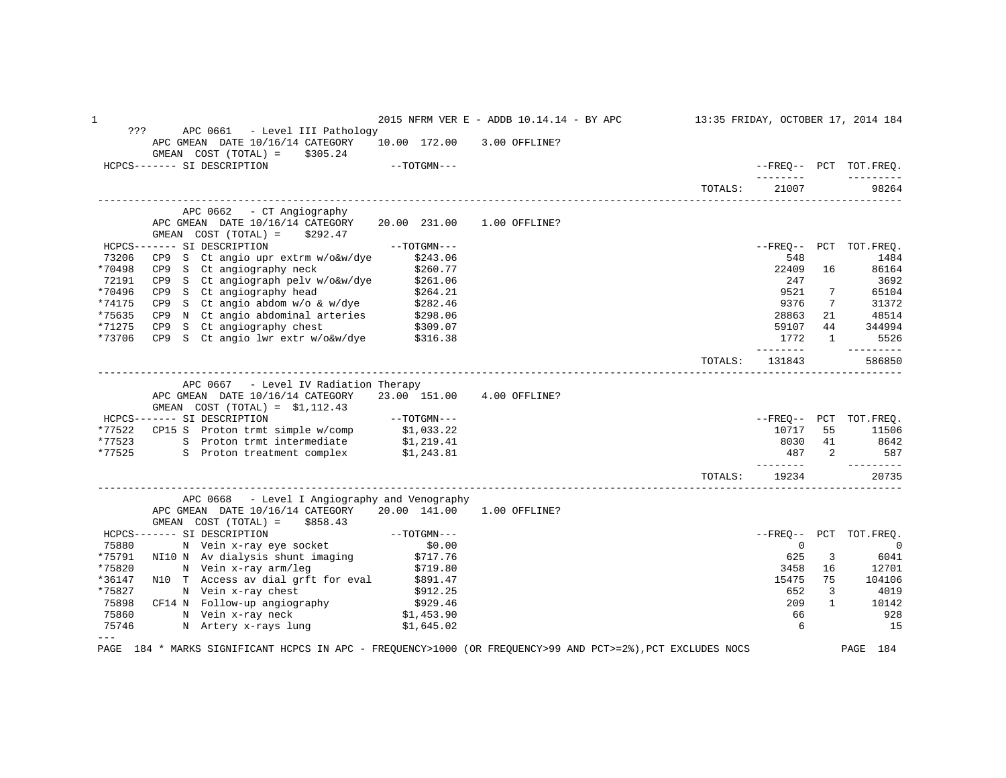1 2015 NFRM VER E - ADDB 10.14.14 - BY APC 13:35 FRIDAY, OCTOBER 17, 2014 184 ??? APC 0661 - Level III Pathology APC GMEAN DATE 10/16/14 CATEGORY 10.00 172.00 3.00 OFFLINE? GMEAN COST (TOTAL) =  $$305.24$ <br>HCPCS------- SI DESCRIPTION  $-$ -TOTGMN---  $-$ FREQ-- PCT TOT.FREQ. -------- --------- TOTALS: 21007 ------------------------------------------------------------------------------------------------------------------------------------ APC 0662 - CT Angiography APC GMEAN DATE 10/16/14 CATEGORY 20.00 231.00 1.00 OFFLINE? GMEAN COST (TOTAL) =  $$292.47$ <br>HCPCS------- SI DESCRIPTION HCPCS------- SI DESCRIPTION --TOTGMN--- --FREQ-- PCT TOT.FREQ. 73206 CP9 S Ct angio upr extrm w/o&w/dye \$243.06 548 1484 \*70498 CP9 S Ct angiography neck \$260.77 22409 16 86164 72191 CP9 S Ct angiograph pelv w/o&w/dye \$261.06 247 3692 \*70496 CP9 S Ct angiography head \$264.21 9521 7 65104 \*74175 CP9 S Ct angio abdom w/o & w/dye \$282.46 9376 7 31372 \*75635 CP9 N Ct angio abdominal arteries \$298.06 28863 21 48514 \*71275 CP9 S Ct angiography chest \$309.07 59107 44 344994 \*73706 CP9 S Ct angio lwr extr w/o&w/dye \$316.38 173706 CP9 S Ct angio lwr extr w/o&w/dye \$316.38 173 1 5526 -------- --------- TOTALS: 131843 586850 ------------------------------------------------------------------------------------------------------------------------------------ APC 0667 - Level IV Radiation Therapy APC GMEAN DATE 10/16/14 CATEGORY 23.00 151.00 4.00 OFFLINE? GMEAN COST (TOTAL) = \$1,112.43 HCPCS------- SI DESCRIPTION --TOTGMN--- --FREQ-- PCT TOT.FREQ. \*77522 CP15 S Proton trmt simple w/comp \$1,033.22<br>\*77523 S Proton trmt intermediate \$1,219.41 55 11506 10717 55 11506 \*77523 S Proton trmt intermediate \$1,219.41 \$642<br>\*77523 S Proton trmt intermediate \$1,219.41 \$642<br>\*77525 S Proton treatment complex \$1,243.81 8 Proton treatment complex \$1,243.81  $\frac{1}{2}$  587  $\frac{2}{3}$  587  $\frac{2}{3}$  587  $\frac{3}{4}$  587  $\frac{2}{3}$  587  $\frac{3}{4}$  587  $\frac{4}{5}$  -------- --------- TOTALS: 19234 20735 ------------------------------------------------------------------------------------------------------------------------------------ APC 0668 - Level I Angiography and Venography APC GMEAN DATE 10/16/14 CATEGORY 20.00 141.00 1.00 OFFLINE? GMEAN COST (TOTAL) = \$858.43 HCPCS------- SI DESCRIPTION --TOTGMN--- --FREQ-- PCT TOT.FREQ. 75880 N Vein x-ray eye socket \$0.00 0 0 \*75791 NI10 N Av dialysis shunt imaging \$717.76 525 6041 (\$1719) \$100 million was shown as the set of the set o \*75820 N Vein x-ray arm/leg \$719.80 \$900 \$900 \$900 \$900 \$900 \$900 \$900 \$900 \$900 \$900 \$ \*36147 N10 T Access av dial grft for eval \$891.47 15475 75 104106 \*75827 N Vein x-ray chest \$912.25 652 3 4019 75898 CF14 N Follow-up angiography \$929.46 209 1 10142 75860 N Vein x-ray neck \$1,453.90 66 928 75746 N Artery x-rays lung \$1,645.02 6 15 and \$1,645.02 6 15 --- PAGE 184 \* MARKS SIGNIFICANT HCPCS IN APC - FREQUENCY>1000 (OR FREQUENCY>99 AND PCT>=2%),PCT EXCLUDES NOCS PAGE 184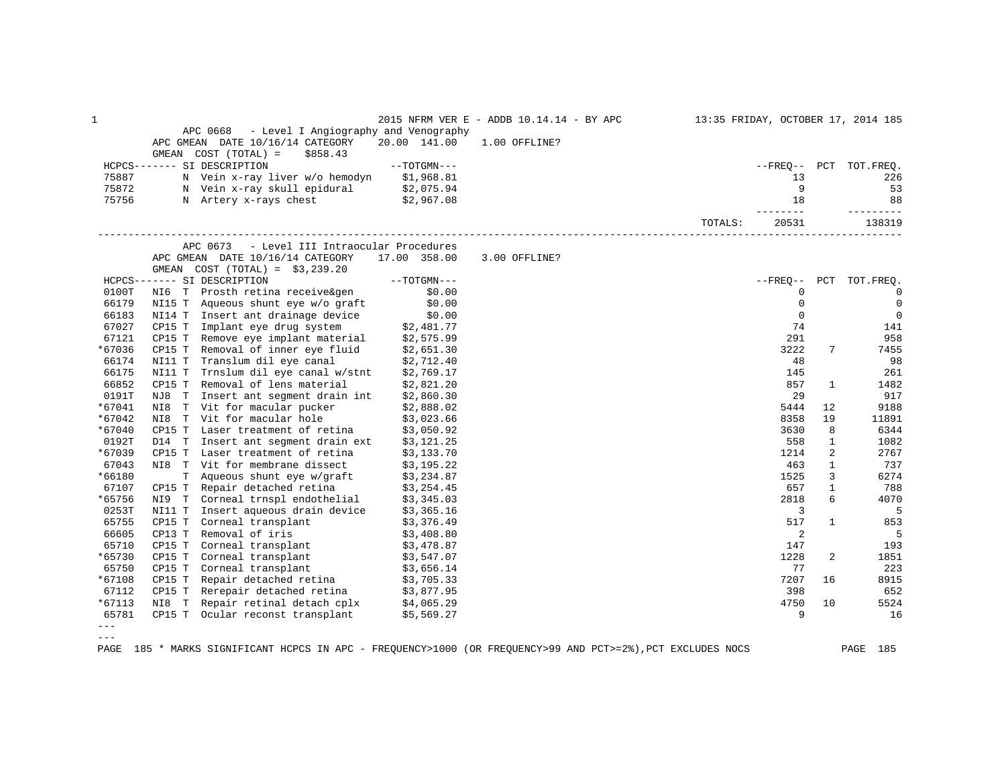| 1                                                                                                                                                                                                                                                                                                                                                                                            |        |                                                                                                                                        |                          | 2015 NFRM VER E - ADDB 10.14.14 - BY APC 13:35 FRIDAY, OCTOBER 17, 2014 185 |         |                    |              |                        |
|----------------------------------------------------------------------------------------------------------------------------------------------------------------------------------------------------------------------------------------------------------------------------------------------------------------------------------------------------------------------------------------------|--------|----------------------------------------------------------------------------------------------------------------------------------------|--------------------------|-----------------------------------------------------------------------------|---------|--------------------|--------------|------------------------|
|                                                                                                                                                                                                                                                                                                                                                                                              |        | - Level I Angiography and Venography<br>APC 0668<br>APC GMEAN DATE 10/16/14 CATEGORY                                                   | 20.00 141.00             | 1.00 OFFLINE?                                                               |         |                    |              |                        |
|                                                                                                                                                                                                                                                                                                                                                                                              |        | GMEAN COST (TOTAL) =<br>\$858.43                                                                                                       |                          |                                                                             |         |                    |              |                        |
|                                                                                                                                                                                                                                                                                                                                                                                              |        | HCPCS------- SI DESCRIPTION                                                                                                            | $--TOTGMN---$            |                                                                             |         |                    |              | --FREQ-- PCT TOT.FREQ. |
| 75887                                                                                                                                                                                                                                                                                                                                                                                        |        | N Vein x-ray liver w/o hemodyn \$1,968.81                                                                                              |                          |                                                                             |         | 13                 |              | 226                    |
| 75872                                                                                                                                                                                                                                                                                                                                                                                        |        | N Vein x-ray skull epidural $$2,075.94$                                                                                                |                          |                                                                             |         | - 9                |              | 53                     |
| 75756                                                                                                                                                                                                                                                                                                                                                                                        |        | N Artery x-rays chest                                                                                                                  | \$2,967.08               |                                                                             |         | 18                 |              | 88                     |
|                                                                                                                                                                                                                                                                                                                                                                                              |        |                                                                                                                                        |                          |                                                                             | TOTALS: | ---------<br>20531 |              | ----------<br>138319   |
|                                                                                                                                                                                                                                                                                                                                                                                              |        | APC 0673<br>- Level III Intraocular Procedures                                                                                         |                          |                                                                             |         |                    |              |                        |
|                                                                                                                                                                                                                                                                                                                                                                                              |        | APC GMEAN DATE 10/16/14 CATEGORY                                                                                                       | 17.00 358.00             | 3.00 OFFLINE?                                                               |         |                    |              |                        |
|                                                                                                                                                                                                                                                                                                                                                                                              |        | GMEAN $COST (TOTAL) = $3,239.20$                                                                                                       |                          |                                                                             |         |                    |              |                        |
|                                                                                                                                                                                                                                                                                                                                                                                              |        | HCPCS------- SI DESCRIPTION                                                                                                            | $--TOTGMN---$            |                                                                             |         |                    |              | --FREO-- PCT TOT.FREO. |
| 0100T                                                                                                                                                                                                                                                                                                                                                                                        |        | NI6 T Prosth retina receive&gen \$0.00<br>NI15 T Aqueous shunt eye w/o graft \$0.00                                                    |                          |                                                                             |         | $\mathbf{0}$       |              | $\overline{0}$         |
| 66179                                                                                                                                                                                                                                                                                                                                                                                        |        |                                                                                                                                        |                          |                                                                             |         | $\mathbf{0}$       |              | $\overline{0}$         |
| 66183                                                                                                                                                                                                                                                                                                                                                                                        |        |                                                                                                                                        |                          |                                                                             |         | $\mathbf 0$        |              | $\mathbf 0$            |
| 67027                                                                                                                                                                                                                                                                                                                                                                                        |        |                                                                                                                                        |                          |                                                                             |         | 74                 |              | 141                    |
| 67121                                                                                                                                                                                                                                                                                                                                                                                        |        | NI14 T Insert ant drainage device \$0.00<br>CP15 T Implant eye drug system \$2,481.77<br>CP15 T Remove eye implant material \$2,575.99 |                          |                                                                             |         | 291                |              | 958                    |
| *67036                                                                                                                                                                                                                                                                                                                                                                                       | CP15 T | Removal of inner eye fluid \$2,651.30                                                                                                  |                          |                                                                             |         | 3222               | 7            | 7455                   |
| 66174                                                                                                                                                                                                                                                                                                                                                                                        | NI11 T | Translum dil eye canal \$2,712.40                                                                                                      |                          |                                                                             |         | 48                 |              | 98                     |
| 66175                                                                                                                                                                                                                                                                                                                                                                                        |        | NI11 T Trnslum dil eye canal w/stnt \$2,769.17                                                                                         |                          |                                                                             |         | 145                |              | 261                    |
| 66852                                                                                                                                                                                                                                                                                                                                                                                        | CP15 T | Removal of lens material                                                                                                               | \$2,821.20               |                                                                             |         | 857                | 1            | 1482                   |
| 0191T                                                                                                                                                                                                                                                                                                                                                                                        |        | NJ8 T Insert ant segment drain int                                                                                                     | \$2,860.30               |                                                                             |         | 29                 |              | 917                    |
| *67041                                                                                                                                                                                                                                                                                                                                                                                       |        | NI8 T Vit for macular pucker \$2,888.02                                                                                                |                          |                                                                             |         | 5444               | 12           | 9188                   |
| *67042                                                                                                                                                                                                                                                                                                                                                                                       | NI8    | T Vit for macular hole                                                                                                                 | \$3,023.66               |                                                                             |         | 8358               | 19           | 11891                  |
| *67040                                                                                                                                                                                                                                                                                                                                                                                       | CP15 T | Laser treatment of retina                                                                                                              | \$3,050.92               |                                                                             |         | 3630               | 8            | 6344                   |
| 0192T                                                                                                                                                                                                                                                                                                                                                                                        | D14 T  | Insert ant segment drain ext                                                                                                           | \$3,121.25               |                                                                             |         | 558                | $\mathbf{1}$ | 1082                   |
| *67039                                                                                                                                                                                                                                                                                                                                                                                       | CP15 T | Laser treatment of retina \$3,133.70                                                                                                   |                          |                                                                             |         | 1214               | 2            | 2767                   |
| 67043                                                                                                                                                                                                                                                                                                                                                                                        |        | NI8 T Vit for membrane dissect                                                                                                         | \$3,195.22               |                                                                             |         | 463                | $\mathbf{1}$ | 737                    |
| *66180                                                                                                                                                                                                                                                                                                                                                                                       | T.     | Aqueous shunt eye w/graft \$3,234.87                                                                                                   |                          |                                                                             |         | 1525               | 3            | 6274                   |
| 67107                                                                                                                                                                                                                                                                                                                                                                                        | CP15 T | \$3,254.45 Repair detached retina<br>Corneal trnspl endothelial \$3,345.03                                                             |                          |                                                                             |         | 657                | $\mathbf{1}$ | 788                    |
| *65756                                                                                                                                                                                                                                                                                                                                                                                       | NI9 T  |                                                                                                                                        |                          |                                                                             |         | 2818               | 6            | 4070                   |
| 0253T                                                                                                                                                                                                                                                                                                                                                                                        | NI11 T | Insert aqueous drain device \$3,365.16                                                                                                 |                          |                                                                             |         | 3                  |              | 5                      |
| 65755                                                                                                                                                                                                                                                                                                                                                                                        | CP15 T | Corneal transplant                                                                                                                     | \$3,376.49<br>\$3,408.80 |                                                                             |         | 517                | $\mathbf{1}$ | 853                    |
| 66605                                                                                                                                                                                                                                                                                                                                                                                        | CP13 T | Removal of iris                                                                                                                        |                          |                                                                             |         | 2                  |              | 5                      |
| 65710                                                                                                                                                                                                                                                                                                                                                                                        | CP15 T | Corneal transplant \$3,478.87                                                                                                          |                          |                                                                             |         | 147                |              | 193                    |
| *65730                                                                                                                                                                                                                                                                                                                                                                                       |        | CP15 T Corneal transplant $$3,547.07$<br>CP15 T Corneal transplant $$3,656.14$                                                         |                          |                                                                             |         | 1228               | 2            | 1851                   |
| 65750                                                                                                                                                                                                                                                                                                                                                                                        |        |                                                                                                                                        |                          |                                                                             |         | 77                 |              | 223                    |
| *67108                                                                                                                                                                                                                                                                                                                                                                                       | CP15 T | Repair detached retina \$3,705.33                                                                                                      |                          |                                                                             |         | 7207               | 16           | 8915                   |
| 67112                                                                                                                                                                                                                                                                                                                                                                                        |        | CP15 T Rerepair detached retina $$3,877.95$<br>NI8 T Repair retinal detach cplx $$4,065.29$                                            |                          |                                                                             |         | 398                |              | 652                    |
| *67113                                                                                                                                                                                                                                                                                                                                                                                       |        |                                                                                                                                        |                          |                                                                             |         | 4750               | 10           | 5524                   |
| 65781                                                                                                                                                                                                                                                                                                                                                                                        |        | CP15 T Ocular reconst transplant \$5,569.27                                                                                            |                          |                                                                             |         | 9                  |              | 16                     |
| $\frac{1}{2} \frac{1}{2} \frac{1}{2} \frac{1}{2} \frac{1}{2} \frac{1}{2} \frac{1}{2} \frac{1}{2} \frac{1}{2} \frac{1}{2} \frac{1}{2} \frac{1}{2} \frac{1}{2} \frac{1}{2} \frac{1}{2} \frac{1}{2} \frac{1}{2} \frac{1}{2} \frac{1}{2} \frac{1}{2} \frac{1}{2} \frac{1}{2} \frac{1}{2} \frac{1}{2} \frac{1}{2} \frac{1}{2} \frac{1}{2} \frac{1}{2} \frac{1}{2} \frac{1}{2} \frac{1}{2} \frac{$ |        |                                                                                                                                        |                          |                                                                             |         |                    |              |                        |

 $---$ 

PAGE 185 \* MARKS SIGNIFICANT HCPCS IN APC - FREQUENCY>1000 (OR FREQUENCY>99 AND PCT>=2%),PCT EXCLUDES NOCS PAGE 185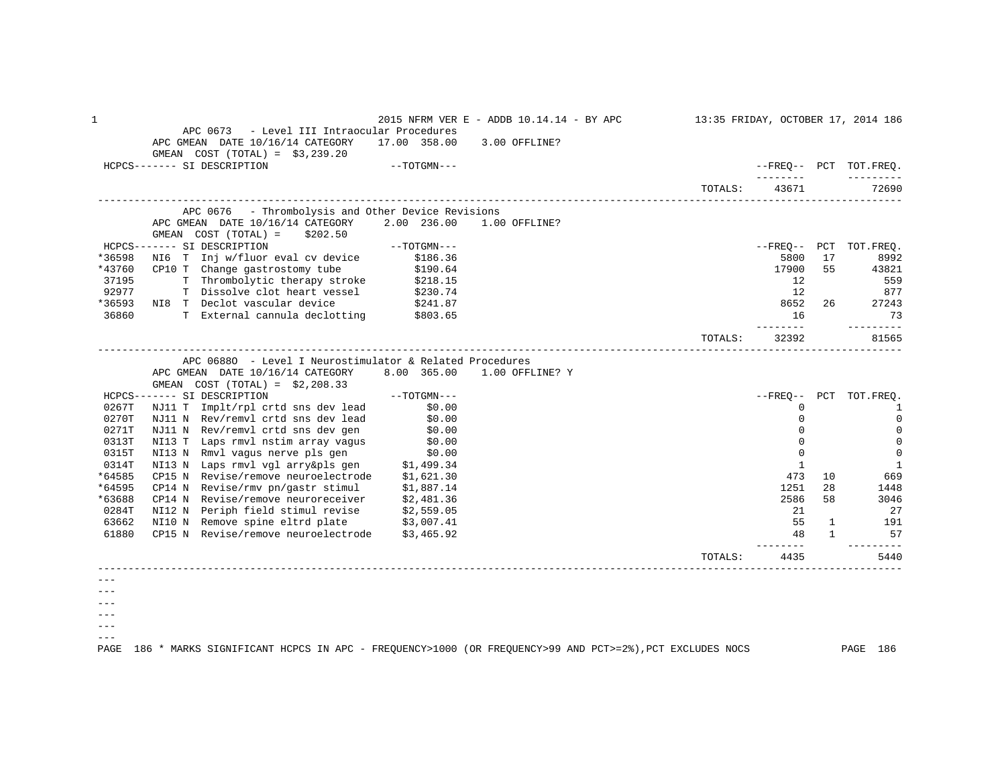1 2015 NFRM VER E - ADDB 10.14.14 - BY APC 13:35 FRIDAY, OCTOBER 17, 2014 186 APC 0673 - Level III Intraocular Procedures APC GMEAN DATE 10/16/14 CATEGORY 17.00 358.00 3.00 OFFLINE? GMEAN COST (TOTAL) = \$3,239.20<br>HCPCS------- SI DESCRIPTION  $-$ -TOTGMN--- $\blacksquare$  -------- --------- TOTALS: 43671 ------------------------------------------------------------------------------------------------------------------------------------ APC 0676 - Thrombolysis and Other Device Revisions APC GMEAN DATE 10/16/14 CATEGORY 2.00 236.00 1.00 OFFLINE? GMEAN COST (TOTAL) = \$202.50<br>HCPCS------- SI DESCRIPTION HCPCS------- SI DESCRIPTION --TOTGMN--- --FREQ-- PCT TOT.FREQ. \*36598 NI6 T Inj w/fluor eval cv device \$186.36 5800 17 \$992 \*43760 CP10 T Change gastrostomy tube \$190.64 17900 55 43821 17900 55 43821 37195 T Thrombolytic therapy stroke \$218.15 37195 \$18.15 12 \$559 92977 T Dissolve clot heart vessel \$230.74 2001 \$230.74 12 377 \*36593 NI8 T Declot vascular device \$241.87 8652 26 27243 36860 T External cannula declotting \$803.65 16 33 and \$803.65 16 35 and \$803.65 16 35 and \$803.65 in the set of the set of the set of the set of the set of the set of the set of the set of the set of the set of the set of -------- --------- TOTALS: 32392 81565 ------------------------------------------------------------------------------------------------------------------------------------ APC 0688O - Level I Neurostimulator & Related Procedures APC GMEAN DATE 10/16/14 CATEGORY 8.00 365.00 1.00 OFFLINE? Y GMEAN COST (TOTAL) = \$2,208.33 HCPCS------- SI DESCRIPTION --TOTGMN--- --FREQ-- PCT TOT.FREQ. 0267T NJ11 T Implt/rpl crtd sns dev lead \$0.00 \$0.00 \$0.00 \$0.00 \$0.00 \$0.00 \$0.00 \$0.00 \$0.00 \$0.00 \$0.00 \$0.00 \$0.00 \$0.00 \$0.00 \$0.00 \$0.00 \$0.00 \$0.00 \$0.00 \$0.00 \$0.00 \$0.00 \$0.00 \$0.00 \$0.00 \$0.00 \$0.00 \$0.00 \$0.00 \$ 0270T NJ11 N Rev/remvl crtd sns dev lead \$0.00 0 0 0271T NJ11 N Rev/remvl crtd sns dev gen \$0.00 0 0 0313T NI13 T Laps rmvl nstim array vagus \$0.00 0 0 0315T NI13 N Rmvl vagus nerve pls gen \$0.00 0 0 0314T NI13 N Laps rmvl vgl arry&pls gen \$1,499.34 for the state of the state of the state of the state of the state of the state of the state of the state of the state of the state of the state of the state of the state of \*64585 CP15 N Revise/remove neuroelectrode \$1,621.30 \*64595 CP14 N Revise/rmv pn/gastr stimul \$1,887.14 1251 28 1448 \*63688 CP14 N Revise/remove neuroreceiver \$2,481.36 2586 58 3046 0284T NI12 N Periph field stimul revise \$2,559.05 21 27 63662 NI10 N Remove spine eltrd plate \$3,007.41 55 1 191<br>61880 CP15 N Revise/remove neuroelectrode \$3,465.92 57 61880 CP15 N Revise/remove neuroelectrode \$3,465.92 48 57 -------- --------- TOTALS: 4435 5440 ------------------------------------------------------------------------------------------------------------------------------------ ---  $- - ---$ ---

PAGE 186 \* MARKS SIGNIFICANT HCPCS IN APC - FREQUENCY>1000 (OR FREQUENCY>99 AND PCT>=2%),PCT EXCLUDES NOCS PAGE 186

---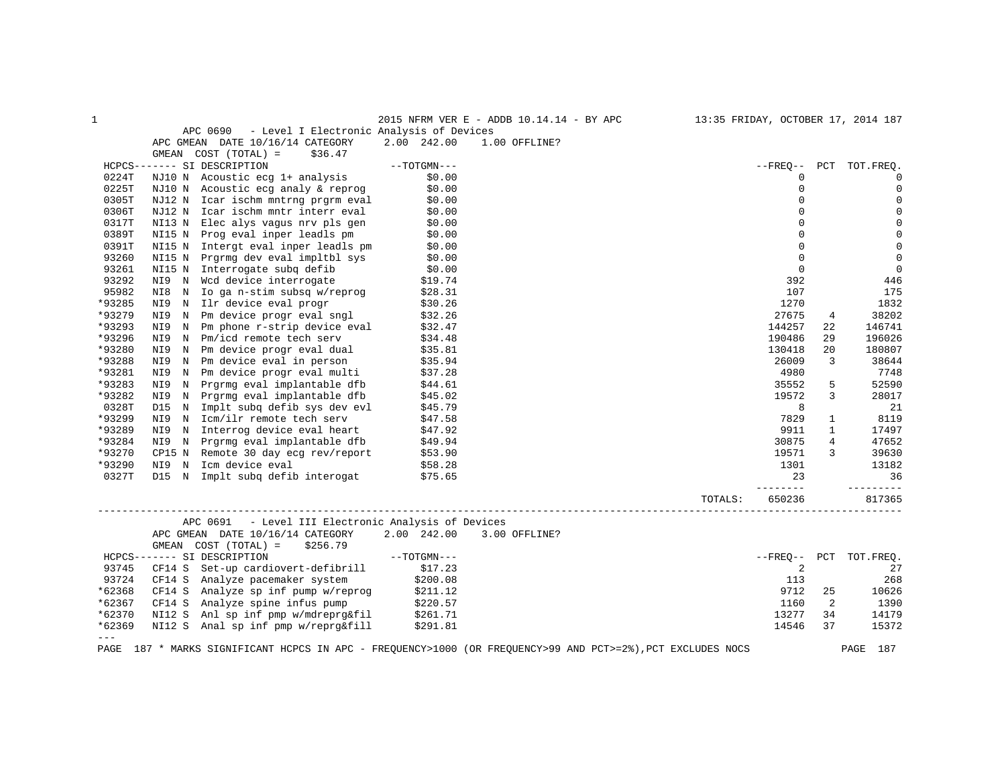| $\mathbf{1}$ |                                                                                                                                                                                                                                                                           | 2015 NFRM VER E - ADDB 10.14.14 - BY APC 13:35 FRIDAY, OCTOBER 17, 2014 187 |         |                |                |                        |
|--------------|---------------------------------------------------------------------------------------------------------------------------------------------------------------------------------------------------------------------------------------------------------------------------|-----------------------------------------------------------------------------|---------|----------------|----------------|------------------------|
|              | APC 0690 - Level I Electronic Analysis of Devices                                                                                                                                                                                                                         |                                                                             |         |                |                |                        |
|              | APC GMEAN DATE 10/16/14 CATEGORY 2.00 242.00                                                                                                                                                                                                                              | 1.00 OFFLINE?                                                               |         |                |                |                        |
|              | GMEAN $COST (TOTAL) = $36.47$                                                                                                                                                                                                                                             |                                                                             |         |                |                |                        |
|              | GMEAN COST (TOTAL) = $$36.47$<br>----- SI DESCRIPTION --TOTGMN---<br>NJ10 N Acoustic ecg 1+ analysis \$0.00<br>NJ10 N Acoustic ecg analy & reprog \$0.00<br>NJ12 N Icar ischm mntrng prgrm eval \$0.00<br>NJ12 N Icar ischm mntr interr ev<br>HCPCS------- SI DESCRIPTION |                                                                             |         |                |                | --FREO-- PCT TOT.FREO. |
| 0224T        |                                                                                                                                                                                                                                                                           |                                                                             |         | 0              |                | $\mathbf 0$            |
| 0225T        |                                                                                                                                                                                                                                                                           |                                                                             |         | $\Omega$       |                | $\mathbf 0$            |
| 0305T        |                                                                                                                                                                                                                                                                           |                                                                             |         | $\mathbf 0$    |                | $\mathbf 0$            |
| 0306T        |                                                                                                                                                                                                                                                                           |                                                                             |         | $\Omega$       |                | $\mathbf 0$            |
|              |                                                                                                                                                                                                                                                                           |                                                                             |         | $\Omega$       |                |                        |
| 0317T        |                                                                                                                                                                                                                                                                           |                                                                             |         |                |                | $\mathbf 0$            |
| 0389T        |                                                                                                                                                                                                                                                                           |                                                                             |         | $\Omega$       |                | $\mathbb O$            |
| 0391T        |                                                                                                                                                                                                                                                                           |                                                                             |         | $\Omega$       |                | $\mathbf 0$            |
| 93260        |                                                                                                                                                                                                                                                                           |                                                                             |         | $\mathbf 0$    |                | $\overline{0}$         |
| 93261        | NI15 N Interrogate subq defib $$0.00$<br>NI9 N Wcd device interrogate $$19.74$                                                                                                                                                                                            |                                                                             |         | $\overline{0}$ |                | $\mathbf 0$            |
| 93292        |                                                                                                                                                                                                                                                                           |                                                                             |         | 392            |                | 446                    |
| 95982        |                                                                                                                                                                                                                                                                           |                                                                             |         | 107            |                | 175                    |
| *93285       |                                                                                                                                                                                                                                                                           |                                                                             |         | 1270           |                | 1832                   |
| *93279       |                                                                                                                                                                                                                                                                           |                                                                             |         | 27675          | 4              | 38202                  |
| *93293       |                                                                                                                                                                                                                                                                           |                                                                             |         | 144257         | 22             | 146741                 |
| *93296       |                                                                                                                                                                                                                                                                           |                                                                             |         | 190486         | 29             | 196026                 |
| *93280       |                                                                                                                                                                                                                                                                           |                                                                             |         | 130418         | 20             | 180807                 |
| *93288       |                                                                                                                                                                                                                                                                           |                                                                             |         | 26009          | 3              | 38644                  |
| *93281       |                                                                                                                                                                                                                                                                           |                                                                             |         | 4980           |                | 7748                   |
|              |                                                                                                                                                                                                                                                                           |                                                                             |         |                |                |                        |
| *93283       |                                                                                                                                                                                                                                                                           |                                                                             |         | 35552          | 5              | 52590                  |
| *93282       |                                                                                                                                                                                                                                                                           |                                                                             |         | 19572          | 3              | 28017                  |
| 0328T        |                                                                                                                                                                                                                                                                           |                                                                             |         | 8              |                | 21                     |
| *93299       |                                                                                                                                                                                                                                                                           |                                                                             |         | 7829           | $\mathbf{1}$   | 8119                   |
| *93289       |                                                                                                                                                                                                                                                                           |                                                                             |         | 9911           | $\mathbf{1}$   | 17497                  |
| *93284       |                                                                                                                                                                                                                                                                           |                                                                             |         | 30875          | $\overline{4}$ | 47652                  |
| *93270       |                                                                                                                                                                                                                                                                           |                                                                             |         | 19571          | 3              | 39630                  |
| *93290       |                                                                                                                                                                                                                                                                           |                                                                             |         | 1301           |                | 13182                  |
| 0327T        |                                                                                                                                                                                                                                                                           |                                                                             |         | 23             |                | 36                     |
|              |                                                                                                                                                                                                                                                                           |                                                                             |         | _________      |                | <u>_________</u>       |
|              |                                                                                                                                                                                                                                                                           |                                                                             | TOTALS: | 650236         |                | 817365                 |
|              | APC 0691 - Level III Electronic Analysis of Devices                                                                                                                                                                                                                       |                                                                             |         |                |                |                        |
|              | APC GMEAN DATE 10/16/14 CATEGORY 2.00 242.00 3.00 OFFLINE?                                                                                                                                                                                                                |                                                                             |         |                |                |                        |
|              |                                                                                                                                                                                                                                                                           |                                                                             |         |                |                |                        |
|              | GMEAN COST (TOTAL) = \$256.79<br>----- SI DESCRIPTION ------ SI DESCRIPTION ---<br>CF14 S Set-up cardiovert-defibrill \$17.23<br>HCPCS------- SI DESCRIPTION                                                                                                              |                                                                             |         |                |                | --FREQ-- PCT TOT.FREQ. |
| 93745        |                                                                                                                                                                                                                                                                           |                                                                             |         | 2              |                |                        |
|              |                                                                                                                                                                                                                                                                           |                                                                             |         |                |                | 27                     |
| 93724        |                                                                                                                                                                                                                                                                           |                                                                             |         | 113            |                | 268                    |
| *62368       |                                                                                                                                                                                                                                                                           |                                                                             |         | 9712           | 25             | 10626                  |
| *62367       |                                                                                                                                                                                                                                                                           |                                                                             |         | 1160           | 2              | 1390                   |
| *62370       |                                                                                                                                                                                                                                                                           |                                                                             |         | 13277          | 34             | 14179                  |
| *62369       | CF14 S Analyze pacemaker system (1990.08<br>CF14 S Analyze spinf pump w/reprog (200.08<br>CF14 S Analyze spine infus pump (220.57<br>NI12 S Anl sp inf pmp w/mdreprg&fil (261.71<br>NI12 S Anal sp inf pmp w/reprg&fill (291.81                                           |                                                                             |         | 14546          | 37             | 15372                  |
| $---$        |                                                                                                                                                                                                                                                                           |                                                                             |         |                |                |                        |
|              | PAGE 187 * MARKS SIGNIFICANT HCPCS IN APC - FREOUENCY>1000 (OR FREOUENCY>99 AND PCT>=2%), PCT EXCLUDES NOCS                                                                                                                                                               |                                                                             |         |                |                | PAGE<br>187            |
|              |                                                                                                                                                                                                                                                                           |                                                                             |         |                |                |                        |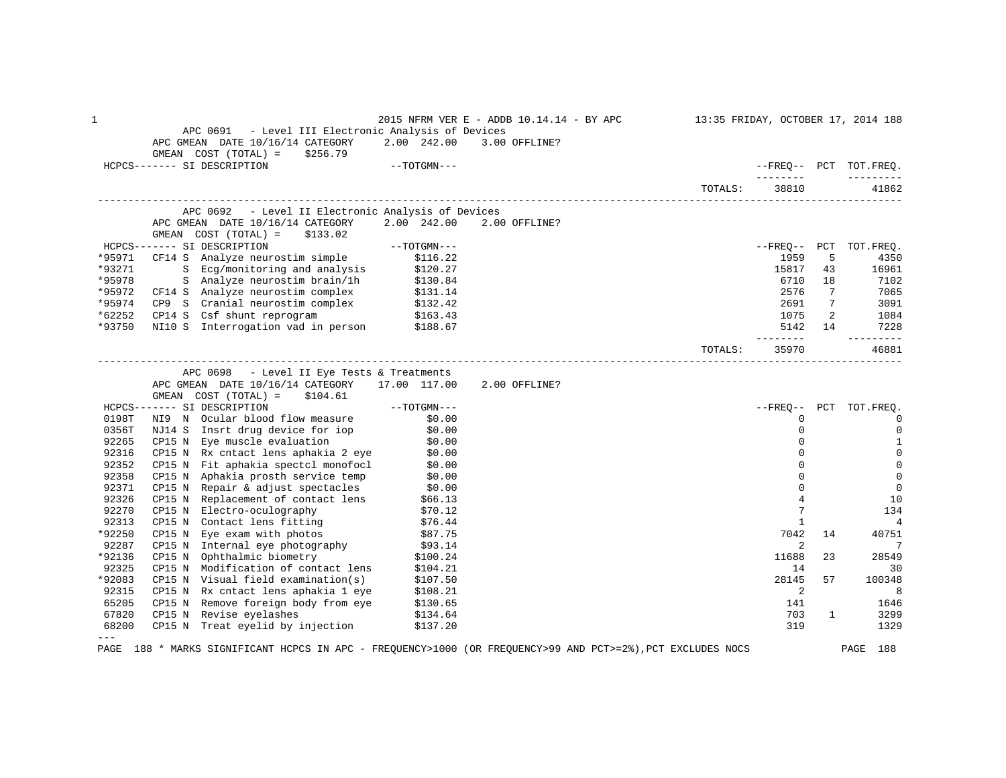1 2015 NFRM VER E - ADDB 10.14.14 - BY APC 13:35 FRIDAY, OCTOBER 17, 2014 188 APC 0691 - Level III Electronic Analysis of Devices APC GMEAN DATE 10/16/14 CATEGORY 2.00 242.00 3.00 OFFLINE? GMEAN COST (TOTAL) = \$256.79<br>HCPCS------- SI DESCRIPTION  $-$  -TOTGMN---  $-$  -------- --------- TOTALS: 38810 41862 ------------------------------------------------------------------------------------------------------------------------------------ APC 0692 - Level II Electronic Analysis of Devices APC GMEAN DATE 10/16/14 CATEGORY 2.00 242.00 2.00 OFFLINE? GMEAN COST (TOTAL) = \$133.02<br>HCPCS------- SI DESCRIPTION HCPCS------- SI DESCRIPTION --TOTGMN--- --FREQ-- PCT TOT.FREQ. \*95971 CF14 S Analyze neurostim simple \$116.22 1959 5 4350 \*93271 S Ecg/monitoring and analysis \$120.27 15817 43 16961 \*95978 S Analyze neurostim brain/1h \$130.84 5. \$130.84 6710 18 7102 \*95972 CF14 S Analyze neurostim complex \$131.14 2576 7 7065 \*95974 CP9 S Cranial neurostim complex \$132.42 2691 7 3091 \*62252 CP14 S Csf shunt reprogram \$163.43 1075 2 1084 \*93750 NI10 S Interrogation vad in person \$188.67 5142 14 7228 -------- --------- TOTALS: 35970 46881 ------------------------------------------------------------------------------------------------------------------------------------ APC 0698 - Level II Eye Tests & Treatments APC GMEAN DATE 10/16/14 CATEGORY 17.00 117.00 2.00 OFFLINE? GMEAN COST (TOTAL) = \$104.61<br>HCPCS------- SI DESCRIPTION HCPCS------- SI DESCRIPTION --TOTGMN--- --FREQ-- PCT TOT.FREQ. 0198T NI9 N Ocular blood flow measure \$0.00 0 0 0356T NJ14 S Insrt drug device for iop \$0.00 0 0 92265 CP15 N Eye muscle evaluation  $$0.00$  0 0 1 92316 CP15 N Rx cntact lens aphakia 2 eye \$0.00 0 0 ertical of the sected monofocl that the sected the sected of the sected of the sected of the sected of the sected of the sected of the sected of the sected of the sected of the sected of the sected of the sected of the sec 92358 CP15 N Aphakia prosth service temp \$0.00 \$0.00 \$1.00 \$1.00 \$1.00 \$1.00 \$1.00 \$1.00 \$1.00 \$1.00 \$1.00 \$1.<br>92371 CP15 N Repair & adjust spectacles \$0.00 \$1.00 \$1.00 \$1.00 \$1.00 \$1.00 \$1.00 \$1.00 \$1.00 \$1.00 \$1.00 \$1.0 92371 CP15 N Repair & adjust spectacles  $$0.00$ <br>92326 CP15 N Replacement of contact lens  $$66.13$   $$9.326$   $$9.3226$   $$9.3226$   $$9.3226$   $$9.3226$   $$9.3226$   $$9.3226$   $$9.3226$   $$9.3226$   $$9.3226$   $$9.3226$   $$9.3226$   $$9.$ 92326 CP15 N Replacement of contact lens \$66.13 10<br>92270 CP15 N Electro-oculography \$70.12 570.12 92270 CP15 N Electro-oculography  $$70.12$ <br>92313 CP15 N Contact lens fitting \$76.44 7 1 134 92313 CP15 N Contact lens fitting \$76.44 1 4 \*92250 CP15 N Eye exam with photos \$87.75 \$87.75 \$87.75 \$87.75 \$87.75 \$87.75 \$87.75 \$9250 \$887.75 \$9250 \$92.85 \$92.85 \$92.85 \$92.85 \$92.85 \$92.85 \$92.85 \$92.85 \$92.85 \$92.85 \$92.85 \$92.85 \$92.85 \$92.85 \$92.85 \$92.85 \$92.85 92287 CP15 N Internal eye photography \$93.14 2 2 7 7 \*92136 CP15 N Ophthalmic biometry \$100.24 11688 23 28549 92325 CP15 N Modification of contact lens \$104.21 14 30<br>
92083 CP15 N Visual field examination(s) \$107.50 100348 128145 57 100348 \*92083 CP15 N Visual field examination(s) \$107.50 28145 57 100348 92315 CP15 N Rx cntact lens aphakia 1 eye \$108.21 2 3 3 3 3 3 4 3 3 4 3 3 4 3 3 4 3 4 3 3 4 3 3 4 3 4 3 4 3 4 3 4 3 4 3 4 3 4 3 4 3 4 3 4 3 4 3 4 3 4 3 4 3 4 3 4 3 4 3 4 3 4 3 4 3 4 3 4 3 4 3 4 3 4 3 4 3 4 3 4 3 4 3 4 3 4 65205 CP15 N Remove foreign body from eye \$130.65 11 \$1646 \$130.45 1646 165205 141 1646<br>167820 CP15 N Revise evelashes \$134.64 161 \$134.64 161 \$134.64 161 \$1399 67820 CP15 N Revise eyelashes \$134.64 703 1 3299 68200 CP15 N Treat eyelid by injection \$137.20 ---

PAGE 188 \* MARKS SIGNIFICANT HCPCS IN APC - FREQUENCY>1000 (OR FREQUENCY>99 AND PCT>=2%),PCT EXCLUDES NOCS PAGE 188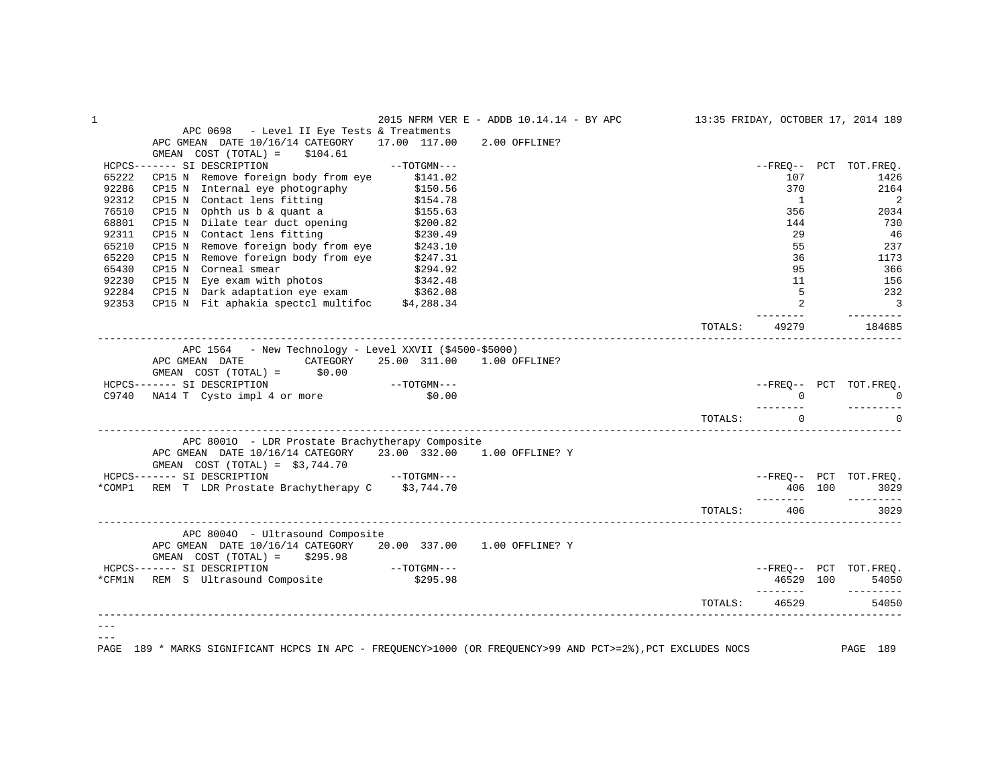|       |                                                                                                                                                                                                                                            |             | 2015 NFRM VER E - ADDB 10.14.14 - BY APC 13:35 FRIDAY, OCTOBER 17, 2014 189 |         |                              |                                        |
|-------|--------------------------------------------------------------------------------------------------------------------------------------------------------------------------------------------------------------------------------------------|-------------|-----------------------------------------------------------------------------|---------|------------------------------|----------------------------------------|
|       | APC 0698 - Level II Eye Tests & Treatments                                                                                                                                                                                                 |             |                                                                             |         |                              |                                        |
|       | APC GMEAN DATE 10/16/14 CATEGORY 17.00 117.00 2.00 OFFLINE?                                                                                                                                                                                |             |                                                                             |         |                              |                                        |
|       | $GMEAN$ $COST$ $(TOTAL) = $104.61$                                                                                                                                                                                                         |             |                                                                             |         |                              |                                        |
|       | HCPCS------- SI DESCRIPTION                                                                                                                                                                                                                | --TOTGMN--- |                                                                             |         |                              | --FREO-- PCT TOT.FREO.                 |
| 65222 | CP15 N Remove foreign body from eye \$141.02                                                                                                                                                                                               |             |                                                                             |         | 107                          | 1426                                   |
| 92286 | CP15 N Internal eye photography \$150.56<br>CP15 N Contact lens fitting \$154.78<br>CP15 N Ophth us b & quant a \$155.63                                                                                                                   |             |                                                                             |         | 370                          | 2164                                   |
| 92312 |                                                                                                                                                                                                                                            |             |                                                                             |         | $\overline{1}$               | 2                                      |
| 76510 |                                                                                                                                                                                                                                            |             |                                                                             |         | 356                          | 2034                                   |
| 68801 | CP15 N Dilate tear duct opening \$200.82<br>CP15 N Contact lens fitting \$230.49                                                                                                                                                           |             |                                                                             |         | 144                          | 730                                    |
| 92311 |                                                                                                                                                                                                                                            |             |                                                                             |         | 29                           | 46                                     |
|       |                                                                                                                                                                                                                                            |             |                                                                             |         | 55                           | 237                                    |
|       |                                                                                                                                                                                                                                            |             |                                                                             |         | 36                           | 1173                                   |
|       |                                                                                                                                                                                                                                            |             |                                                                             |         | 95                           | 366                                    |
|       |                                                                                                                                                                                                                                            |             |                                                                             |         | 11                           | 156                                    |
|       |                                                                                                                                                                                                                                            |             |                                                                             |         | 5 <sup>5</sup>               | 232                                    |
|       | % 2011 CP15 N Remove foreign body from eye (2243.10)<br>65210 CP15 N Remove foreign body from eye (2243.10)<br>65220 CP15 N Remove foreign body from eye (2247.31)<br>65430 CP15 N Corneal smear (2294.92)<br>92230 CP15 N Eye exam with p |             |                                                                             |         | $\overline{2}$               | $\overline{\phantom{a}}$               |
|       |                                                                                                                                                                                                                                            |             |                                                                             | TOTALS: | 49279                        | 184685                                 |
|       |                                                                                                                                                                                                                                            |             |                                                                             |         |                              |                                        |
|       | $\text{APC } 1564$ - New Technology - Level XXVII (\$4500-\$5000)                                                                                                                                                                          |             |                                                                             |         |                              |                                        |
|       | APC GMEAN DATE CATEGORY 25.00 311.00 1.00 OFFLINE?                                                                                                                                                                                         |             |                                                                             |         |                              |                                        |
|       | GMEAN $COST (TOTAL) =$ \$0.00                                                                                                                                                                                                              |             |                                                                             |         |                              |                                        |
|       |                                                                                                                                                                                                                                            |             |                                                                             |         |                              | --FREQ-- PCT TOT.FREQ.                 |
|       | $HCPCS-----SI DESCRIPTION$<br>$C9740 \quad NA14 T \quad Cysto impl 4 or more \quad $0.00$                                                                                                                                                  |             |                                                                             |         |                              |                                        |
|       |                                                                                                                                                                                                                                            |             |                                                                             |         | . _ _ _ _ _ _ _<br>TOTALS: 0 | $- - - - - - - - -$<br>$\Omega$        |
|       |                                                                                                                                                                                                                                            |             |                                                                             |         |                              |                                        |
|       | APC 80010 - LDR Prostate Brachytherapy Composite                                                                                                                                                                                           |             |                                                                             |         |                              |                                        |
|       | APC GMEAN DATE 10/16/14 CATEGORY 23.00 332.00 1.00 OFFLINE? Y                                                                                                                                                                              |             |                                                                             |         |                              |                                        |
|       | $\begin{array}{cccc} \texttt{GMEAN} & \texttt{COST} & \texttt{(TOTAL)} & = & \$3\,,744\,.70 \\ \texttt{HCPCS------} & \texttt{SI} & \texttt{DESCRIPITION} & & --\texttt{TOTGMN---} \end{array}$                                            |             |                                                                             |         |                              |                                        |
|       |                                                                                                                                                                                                                                            |             |                                                                             |         |                              | --FREO-- PCT TOT.FREO.                 |
|       | *COMP1 REM T LDR Prostate Brachytherapy C \$3,744.70                                                                                                                                                                                       |             |                                                                             |         |                              | 406 100<br>3029<br>$- - - - - - - - -$ |
|       |                                                                                                                                                                                                                                            |             |                                                                             | TOTALS: | 406                          | 3029                                   |
|       | APC 80040 - Ultrasound Composite                                                                                                                                                                                                           |             |                                                                             |         |                              |                                        |
|       | APC GMEAN DATE 10/16/14 CATEGORY 20.00 337.00 1.00 OFFLINE? Y                                                                                                                                                                              |             |                                                                             |         |                              |                                        |
|       | GMEAN $COST (TOTAL) = $295.98$                                                                                                                                                                                                             |             |                                                                             |         |                              |                                        |
|       | HCPCS------- SI DESCRIPTION --TOTGMN---                                                                                                                                                                                                    |             |                                                                             |         |                              | --FREQ-- PCT TOT.FREQ.                 |
|       | *CFM1N REM S Ultrasound Composite \$295.98                                                                                                                                                                                                 |             |                                                                             |         | 46529 100                    | 54050                                  |
|       |                                                                                                                                                                                                                                            |             |                                                                             |         |                              |                                        |
|       |                                                                                                                                                                                                                                            |             |                                                                             | TOTALS: | 46529                        | 54050                                  |
|       |                                                                                                                                                                                                                                            |             |                                                                             |         |                              |                                        |
|       |                                                                                                                                                                                                                                            |             |                                                                             |         |                              |                                        |
| PAGE  | 189 * MARKS SIGNIFICANT HCPCS IN APC - FREQUENCY>1000 (OR FREQUENCY>99 AND PCT>=2%),PCT EXCLUDES NOCS PAGE 189                                                                                                                             |             |                                                                             |         |                              |                                        |